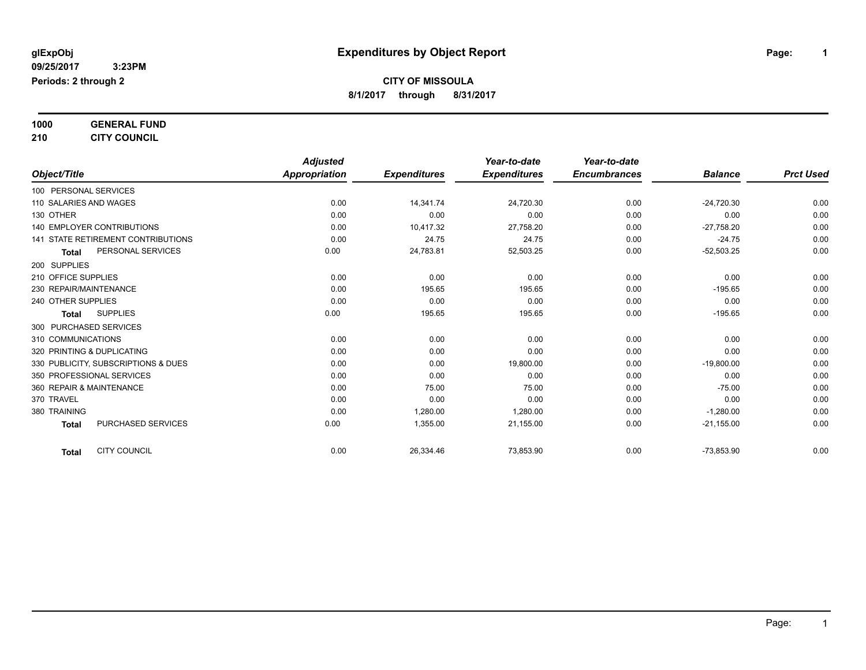### **1000 GENERAL FUND**

### **210 CITY COUNCIL**

|                                           | <b>Adjusted</b>      |                     | Year-to-date        | Year-to-date        |                |                  |
|-------------------------------------------|----------------------|---------------------|---------------------|---------------------|----------------|------------------|
| Object/Title                              | <b>Appropriation</b> | <b>Expenditures</b> | <b>Expenditures</b> | <b>Encumbrances</b> | <b>Balance</b> | <b>Prct Used</b> |
| 100 PERSONAL SERVICES                     |                      |                     |                     |                     |                |                  |
| 110 SALARIES AND WAGES                    | 0.00                 | 14,341.74           | 24,720.30           | 0.00                | $-24,720.30$   | 0.00             |
| 130 OTHER                                 | 0.00                 | 0.00                | 0.00                | 0.00                | 0.00           | 0.00             |
| <b>140 EMPLOYER CONTRIBUTIONS</b>         | 0.00                 | 10,417.32           | 27,758.20           | 0.00                | $-27,758.20$   | 0.00             |
| <b>141 STATE RETIREMENT CONTRIBUTIONS</b> | 0.00                 | 24.75               | 24.75               | 0.00                | $-24.75$       | 0.00             |
| PERSONAL SERVICES<br><b>Total</b>         | 0.00                 | 24,783.81           | 52,503.25           | 0.00                | $-52,503.25$   | 0.00             |
| 200 SUPPLIES                              |                      |                     |                     |                     |                |                  |
| 210 OFFICE SUPPLIES                       | 0.00                 | 0.00                | 0.00                | 0.00                | 0.00           | 0.00             |
| 230 REPAIR/MAINTENANCE                    | 0.00                 | 195.65              | 195.65              | 0.00                | $-195.65$      | 0.00             |
| 240 OTHER SUPPLIES                        | 0.00                 | 0.00                | 0.00                | 0.00                | 0.00           | 0.00             |
| <b>SUPPLIES</b><br>Total                  | 0.00                 | 195.65              | 195.65              | 0.00                | $-195.65$      | 0.00             |
| 300 PURCHASED SERVICES                    |                      |                     |                     |                     |                |                  |
| 310 COMMUNICATIONS                        | 0.00                 | 0.00                | 0.00                | 0.00                | 0.00           | 0.00             |
| 320 PRINTING & DUPLICATING                | 0.00                 | 0.00                | 0.00                | 0.00                | 0.00           | 0.00             |
| 330 PUBLICITY, SUBSCRIPTIONS & DUES       | 0.00                 | 0.00                | 19,800.00           | 0.00                | $-19,800.00$   | 0.00             |
| 350 PROFESSIONAL SERVICES                 | 0.00                 | 0.00                | 0.00                | 0.00                | 0.00           | 0.00             |
| 360 REPAIR & MAINTENANCE                  | 0.00                 | 75.00               | 75.00               | 0.00                | $-75.00$       | 0.00             |
| 370 TRAVEL                                | 0.00                 | 0.00                | 0.00                | 0.00                | 0.00           | 0.00             |
| 380 TRAINING                              | 0.00                 | 1,280.00            | 1,280.00            | 0.00                | $-1,280.00$    | 0.00             |
| PURCHASED SERVICES<br><b>Total</b>        | 0.00                 | 1,355.00            | 21,155.00           | 0.00                | $-21,155.00$   | 0.00             |
| <b>CITY COUNCIL</b><br><b>Total</b>       | 0.00                 | 26,334.46           | 73,853.90           | 0.00                | $-73,853.90$   | 0.00             |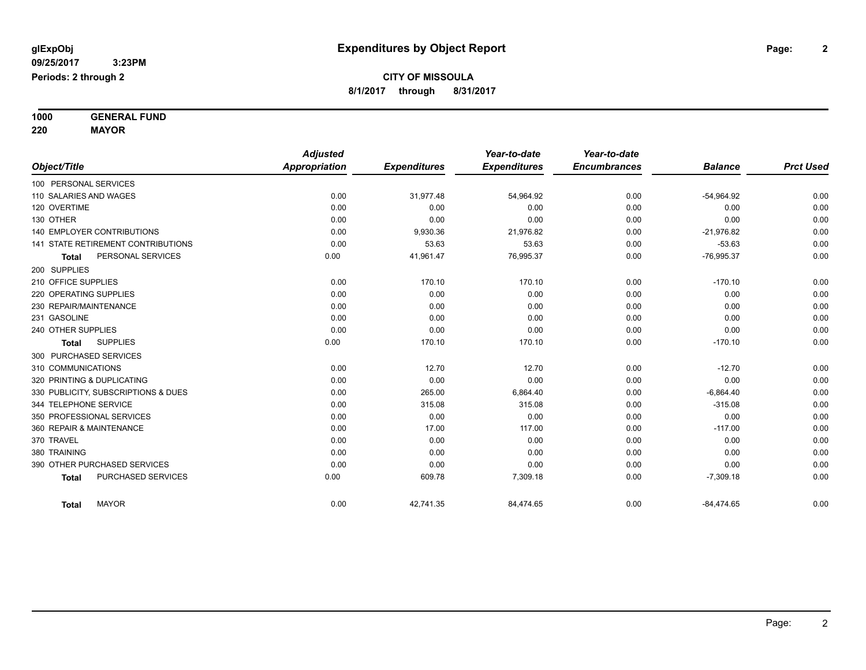**1000 GENERAL FUND 220 MAYOR**

|                                           | <b>Adjusted</b> |                     | Year-to-date        | Year-to-date        |                |                  |
|-------------------------------------------|-----------------|---------------------|---------------------|---------------------|----------------|------------------|
| Object/Title                              | Appropriation   | <b>Expenditures</b> | <b>Expenditures</b> | <b>Encumbrances</b> | <b>Balance</b> | <b>Prct Used</b> |
| 100 PERSONAL SERVICES                     |                 |                     |                     |                     |                |                  |
| 110 SALARIES AND WAGES                    | 0.00            | 31,977.48           | 54,964.92           | 0.00                | $-54,964.92$   | 0.00             |
| 120 OVERTIME                              | 0.00            | 0.00                | 0.00                | 0.00                | 0.00           | 0.00             |
| 130 OTHER                                 | 0.00            | 0.00                | 0.00                | 0.00                | 0.00           | 0.00             |
| <b>140 EMPLOYER CONTRIBUTIONS</b>         | 0.00            | 9,930.36            | 21,976.82           | 0.00                | $-21,976.82$   | 0.00             |
| <b>141 STATE RETIREMENT CONTRIBUTIONS</b> | 0.00            | 53.63               | 53.63               | 0.00                | $-53.63$       | 0.00             |
| PERSONAL SERVICES<br>Total                | 0.00            | 41,961.47           | 76,995.37           | 0.00                | $-76,995.37$   | 0.00             |
| 200 SUPPLIES                              |                 |                     |                     |                     |                |                  |
| 210 OFFICE SUPPLIES                       | 0.00            | 170.10              | 170.10              | 0.00                | $-170.10$      | 0.00             |
| 220 OPERATING SUPPLIES                    | 0.00            | 0.00                | 0.00                | 0.00                | 0.00           | 0.00             |
| 230 REPAIR/MAINTENANCE                    | 0.00            | 0.00                | 0.00                | 0.00                | 0.00           | 0.00             |
| 231 GASOLINE                              | 0.00            | 0.00                | 0.00                | 0.00                | 0.00           | 0.00             |
| 240 OTHER SUPPLIES                        | 0.00            | 0.00                | 0.00                | 0.00                | 0.00           | 0.00             |
| <b>SUPPLIES</b><br><b>Total</b>           | 0.00            | 170.10              | 170.10              | 0.00                | $-170.10$      | 0.00             |
| 300 PURCHASED SERVICES                    |                 |                     |                     |                     |                |                  |
| 310 COMMUNICATIONS                        | 0.00            | 12.70               | 12.70               | 0.00                | $-12.70$       | 0.00             |
| 320 PRINTING & DUPLICATING                | 0.00            | 0.00                | 0.00                | 0.00                | 0.00           | 0.00             |
| 330 PUBLICITY, SUBSCRIPTIONS & DUES       | 0.00            | 265.00              | 6,864.40            | 0.00                | $-6,864.40$    | 0.00             |
| 344 TELEPHONE SERVICE                     | 0.00            | 315.08              | 315.08              | 0.00                | $-315.08$      | 0.00             |
| 350 PROFESSIONAL SERVICES                 | 0.00            | 0.00                | 0.00                | 0.00                | 0.00           | 0.00             |
| 360 REPAIR & MAINTENANCE                  | 0.00            | 17.00               | 117.00              | 0.00                | $-117.00$      | 0.00             |
| 370 TRAVEL                                | 0.00            | 0.00                | 0.00                | 0.00                | 0.00           | 0.00             |
| 380 TRAINING                              | 0.00            | 0.00                | 0.00                | 0.00                | 0.00           | 0.00             |
| 390 OTHER PURCHASED SERVICES              | 0.00            | 0.00                | 0.00                | 0.00                | 0.00           | 0.00             |
| PURCHASED SERVICES<br><b>Total</b>        | 0.00            | 609.78              | 7,309.18            | 0.00                | $-7,309.18$    | 0.00             |
| <b>MAYOR</b><br><b>Total</b>              | 0.00            | 42,741.35           | 84,474.65           | 0.00                | $-84,474.65$   | 0.00             |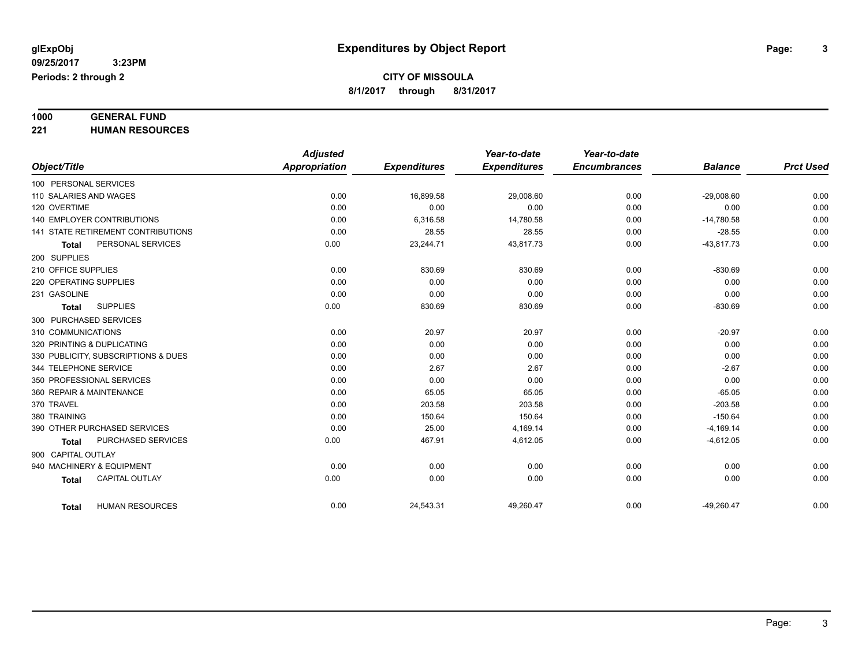# **1000 GENERAL FUND**

**221 HUMAN RESOURCES**

|                                           | <b>Adjusted</b> |                     | Year-to-date        | Year-to-date        |                |                  |
|-------------------------------------------|-----------------|---------------------|---------------------|---------------------|----------------|------------------|
| Object/Title                              | Appropriation   | <b>Expenditures</b> | <b>Expenditures</b> | <b>Encumbrances</b> | <b>Balance</b> | <b>Prct Used</b> |
| 100 PERSONAL SERVICES                     |                 |                     |                     |                     |                |                  |
| 110 SALARIES AND WAGES                    | 0.00            | 16,899.58           | 29,008.60           | 0.00                | $-29,008.60$   | 0.00             |
| 120 OVERTIME                              | 0.00            | 0.00                | 0.00                | 0.00                | 0.00           | 0.00             |
| <b>140 EMPLOYER CONTRIBUTIONS</b>         | 0.00            | 6,316.58            | 14,780.58           | 0.00                | $-14,780.58$   | 0.00             |
| <b>141 STATE RETIREMENT CONTRIBUTIONS</b> | 0.00            | 28.55               | 28.55               | 0.00                | $-28.55$       | 0.00             |
| PERSONAL SERVICES<br><b>Total</b>         | 0.00            | 23,244.71           | 43,817.73           | 0.00                | $-43,817.73$   | 0.00             |
| 200 SUPPLIES                              |                 |                     |                     |                     |                |                  |
| 210 OFFICE SUPPLIES                       | 0.00            | 830.69              | 830.69              | 0.00                | $-830.69$      | 0.00             |
| 220 OPERATING SUPPLIES                    | 0.00            | 0.00                | 0.00                | 0.00                | 0.00           | 0.00             |
| 231 GASOLINE                              | 0.00            | 0.00                | 0.00                | 0.00                | 0.00           | 0.00             |
| <b>SUPPLIES</b><br><b>Total</b>           | 0.00            | 830.69              | 830.69              | 0.00                | $-830.69$      | 0.00             |
| 300 PURCHASED SERVICES                    |                 |                     |                     |                     |                |                  |
| 310 COMMUNICATIONS                        | 0.00            | 20.97               | 20.97               | 0.00                | $-20.97$       | 0.00             |
| 320 PRINTING & DUPLICATING                | 0.00            | 0.00                | 0.00                | 0.00                | 0.00           | 0.00             |
| 330 PUBLICITY, SUBSCRIPTIONS & DUES       | 0.00            | 0.00                | 0.00                | 0.00                | 0.00           | 0.00             |
| 344 TELEPHONE SERVICE                     | 0.00            | 2.67                | 2.67                | 0.00                | $-2.67$        | 0.00             |
| 350 PROFESSIONAL SERVICES                 | 0.00            | 0.00                | 0.00                | 0.00                | 0.00           | 0.00             |
| 360 REPAIR & MAINTENANCE                  | 0.00            | 65.05               | 65.05               | 0.00                | $-65.05$       | 0.00             |
| 370 TRAVEL                                | 0.00            | 203.58              | 203.58              | 0.00                | $-203.58$      | 0.00             |
| 380 TRAINING                              | 0.00            | 150.64              | 150.64              | 0.00                | $-150.64$      | 0.00             |
| 390 OTHER PURCHASED SERVICES              | 0.00            | 25.00               | 4,169.14            | 0.00                | $-4,169.14$    | 0.00             |
| PURCHASED SERVICES<br><b>Total</b>        | 0.00            | 467.91              | 4,612.05            | 0.00                | $-4,612.05$    | 0.00             |
| 900 CAPITAL OUTLAY                        |                 |                     |                     |                     |                |                  |
| 940 MACHINERY & EQUIPMENT                 | 0.00            | 0.00                | 0.00                | 0.00                | 0.00           | 0.00             |
| <b>CAPITAL OUTLAY</b><br>Total            | 0.00            | 0.00                | 0.00                | 0.00                | 0.00           | 0.00             |
| <b>HUMAN RESOURCES</b><br><b>Total</b>    | 0.00            | 24,543.31           | 49,260.47           | 0.00                | $-49,260.47$   | 0.00             |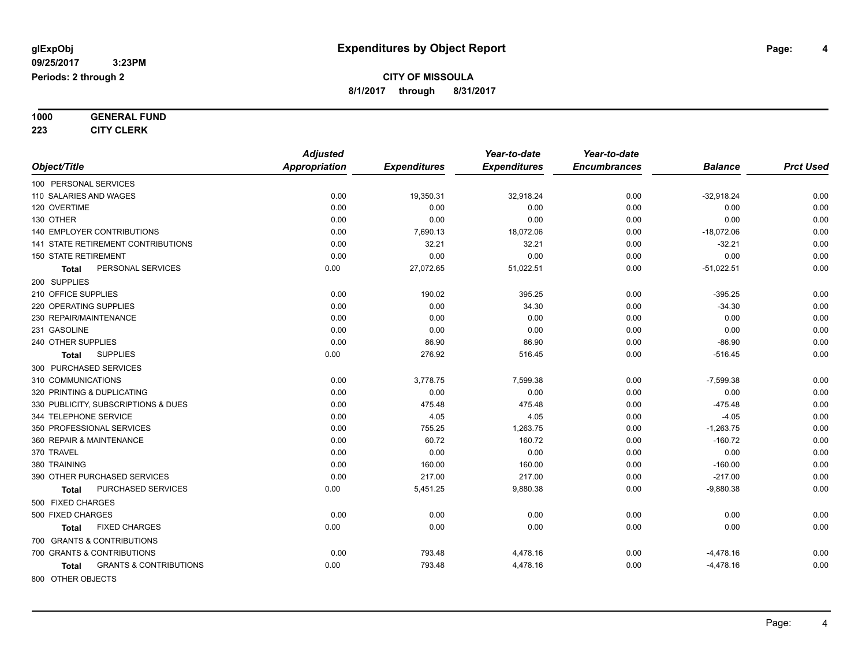# **1000 GENERAL FUND**

**223 CITY CLERK**

|                                            | <b>Adjusted</b>      |                     | Year-to-date        | Year-to-date        |                |                  |
|--------------------------------------------|----------------------|---------------------|---------------------|---------------------|----------------|------------------|
| Object/Title                               | <b>Appropriation</b> | <b>Expenditures</b> | <b>Expenditures</b> | <b>Encumbrances</b> | <b>Balance</b> | <b>Prct Used</b> |
| 100 PERSONAL SERVICES                      |                      |                     |                     |                     |                |                  |
| 110 SALARIES AND WAGES                     | 0.00                 | 19,350.31           | 32,918.24           | 0.00                | $-32,918.24$   | 0.00             |
| 120 OVERTIME                               | 0.00                 | 0.00                | 0.00                | 0.00                | 0.00           | 0.00             |
| 130 OTHER                                  | 0.00                 | 0.00                | 0.00                | 0.00                | 0.00           | 0.00             |
| 140 EMPLOYER CONTRIBUTIONS                 | 0.00                 | 7,690.13            | 18,072.06           | 0.00                | $-18,072.06$   | 0.00             |
| 141 STATE RETIREMENT CONTRIBUTIONS         | 0.00                 | 32.21               | 32.21               | 0.00                | $-32.21$       | 0.00             |
| <b>150 STATE RETIREMENT</b>                | 0.00                 | 0.00                | 0.00                | 0.00                | 0.00           | 0.00             |
| PERSONAL SERVICES<br>Total                 | 0.00                 | 27,072.65           | 51,022.51           | 0.00                | $-51,022.51$   | 0.00             |
| 200 SUPPLIES                               |                      |                     |                     |                     |                |                  |
| 210 OFFICE SUPPLIES                        | 0.00                 | 190.02              | 395.25              | 0.00                | $-395.25$      | 0.00             |
| 220 OPERATING SUPPLIES                     | 0.00                 | 0.00                | 34.30               | 0.00                | $-34.30$       | 0.00             |
| 230 REPAIR/MAINTENANCE                     | 0.00                 | 0.00                | 0.00                | 0.00                | 0.00           | 0.00             |
| 231 GASOLINE                               | 0.00                 | 0.00                | 0.00                | 0.00                | 0.00           | 0.00             |
| 240 OTHER SUPPLIES                         | 0.00                 | 86.90               | 86.90               | 0.00                | $-86.90$       | 0.00             |
| <b>SUPPLIES</b><br>Total                   | 0.00                 | 276.92              | 516.45              | 0.00                | $-516.45$      | 0.00             |
| 300 PURCHASED SERVICES                     |                      |                     |                     |                     |                |                  |
| 310 COMMUNICATIONS                         | 0.00                 | 3,778.75            | 7,599.38            | 0.00                | $-7,599.38$    | 0.00             |
| 320 PRINTING & DUPLICATING                 | 0.00                 | 0.00                | 0.00                | 0.00                | 0.00           | 0.00             |
| 330 PUBLICITY, SUBSCRIPTIONS & DUES        | 0.00                 | 475.48              | 475.48              | 0.00                | $-475.48$      | 0.00             |
| 344 TELEPHONE SERVICE                      | 0.00                 | 4.05                | 4.05                | 0.00                | $-4.05$        | 0.00             |
| 350 PROFESSIONAL SERVICES                  | 0.00                 | 755.25              | 1,263.75            | 0.00                | $-1,263.75$    | 0.00             |
| 360 REPAIR & MAINTENANCE                   | 0.00                 | 60.72               | 160.72              | 0.00                | $-160.72$      | 0.00             |
| 370 TRAVEL                                 | 0.00                 | 0.00                | 0.00                | 0.00                | 0.00           | 0.00             |
| 380 TRAINING                               | 0.00                 | 160.00              | 160.00              | 0.00                | $-160.00$      | 0.00             |
| 390 OTHER PURCHASED SERVICES               | 0.00                 | 217.00              | 217.00              | 0.00                | $-217.00$      | 0.00             |
| PURCHASED SERVICES<br><b>Total</b>         | 0.00                 | 5,451.25            | 9,880.38            | 0.00                | $-9,880.38$    | 0.00             |
| 500 FIXED CHARGES                          |                      |                     |                     |                     |                |                  |
| 500 FIXED CHARGES                          | 0.00                 | 0.00                | 0.00                | 0.00                | 0.00           | 0.00             |
| <b>FIXED CHARGES</b><br>Total              | 0.00                 | 0.00                | 0.00                | 0.00                | 0.00           | 0.00             |
| 700 GRANTS & CONTRIBUTIONS                 |                      |                     |                     |                     |                |                  |
| 700 GRANTS & CONTRIBUTIONS                 | 0.00                 | 793.48              | 4,478.16            | 0.00                | $-4,478.16$    | 0.00             |
| <b>GRANTS &amp; CONTRIBUTIONS</b><br>Total | 0.00                 | 793.48              | 4,478.16            | 0.00                | $-4,478.16$    | 0.00             |
| 800 OTHER OBJECTS                          |                      |                     |                     |                     |                |                  |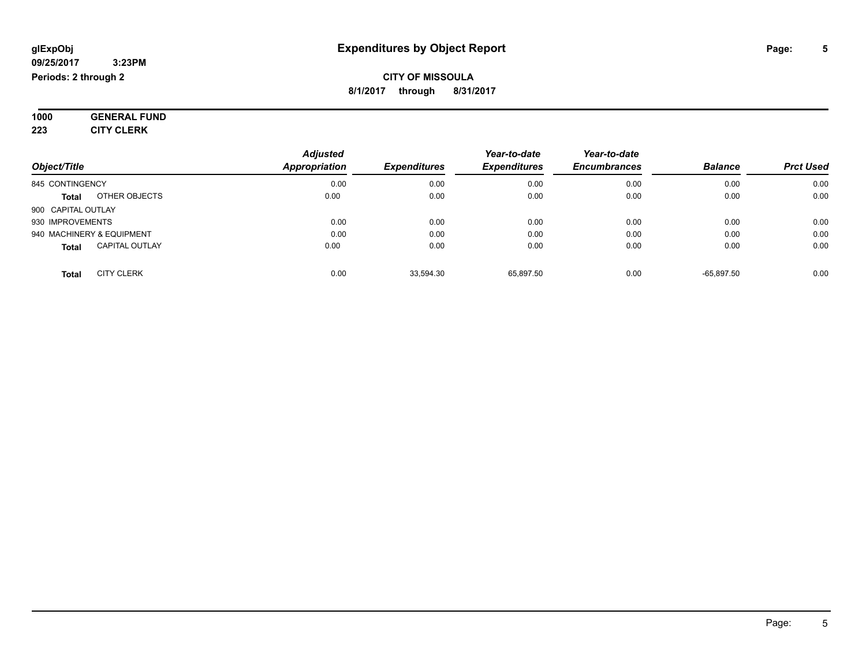#### **09/25/2017 3:23PM Periods: 2 through 2**

### **CITY OF MISSOULA 8/1/2017 through 8/31/2017**

**1000 GENERAL FUND 223 CITY CLERK**

|                                       | <b>Adjusted</b>      |                     | Year-to-date        | Year-to-date        |                |                  |
|---------------------------------------|----------------------|---------------------|---------------------|---------------------|----------------|------------------|
| Object/Title                          | <b>Appropriation</b> | <b>Expenditures</b> | <b>Expenditures</b> | <b>Encumbrances</b> | <b>Balance</b> | <b>Prct Used</b> |
| 845 CONTINGENCY                       | 0.00                 | 0.00                | 0.00                | 0.00                | 0.00           | 0.00             |
| OTHER OBJECTS<br><b>Total</b>         | 0.00                 | 0.00                | 0.00                | 0.00                | 0.00           | 0.00             |
| 900 CAPITAL OUTLAY                    |                      |                     |                     |                     |                |                  |
| 930 IMPROVEMENTS                      | 0.00                 | 0.00                | 0.00                | 0.00                | 0.00           | 0.00             |
| 940 MACHINERY & EQUIPMENT             | 0.00                 | 0.00                | 0.00                | 0.00                | 0.00           | 0.00             |
| <b>CAPITAL OUTLAY</b><br><b>Total</b> | 0.00                 | 0.00                | 0.00                | 0.00                | 0.00           | 0.00             |
| <b>CITY CLERK</b><br><b>Total</b>     | 0.00                 | 33.594.30           | 65.897.50           | 0.00                | $-65.897.50$   | 0.00             |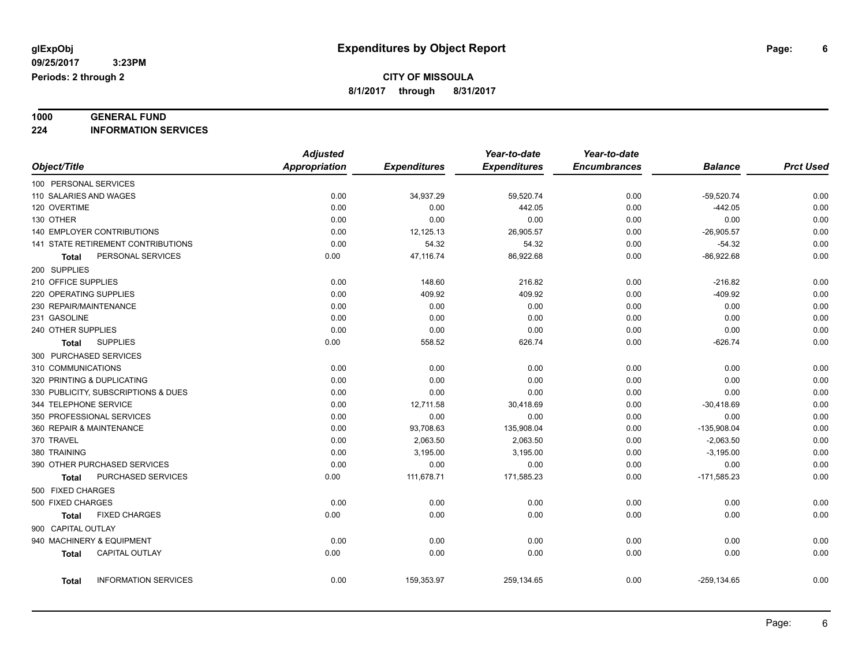**1000 GENERAL FUND**

**224 INFORMATION SERVICES**

|                                             | <b>Adjusted</b>      |                     | Year-to-date        | Year-to-date        |                |                  |
|---------------------------------------------|----------------------|---------------------|---------------------|---------------------|----------------|------------------|
| Object/Title                                | <b>Appropriation</b> | <b>Expenditures</b> | <b>Expenditures</b> | <b>Encumbrances</b> | <b>Balance</b> | <b>Prct Used</b> |
| 100 PERSONAL SERVICES                       |                      |                     |                     |                     |                |                  |
| 110 SALARIES AND WAGES                      | 0.00                 | 34,937.29           | 59,520.74           | 0.00                | $-59,520.74$   | 0.00             |
| 120 OVERTIME                                | 0.00                 | 0.00                | 442.05              | 0.00                | $-442.05$      | 0.00             |
| 130 OTHER                                   | 0.00                 | 0.00                | 0.00                | 0.00                | 0.00           | 0.00             |
| <b>140 EMPLOYER CONTRIBUTIONS</b>           | 0.00                 | 12,125.13           | 26,905.57           | 0.00                | $-26,905.57$   | 0.00             |
| 141 STATE RETIREMENT CONTRIBUTIONS          | 0.00                 | 54.32               | 54.32               | 0.00                | $-54.32$       | 0.00             |
| PERSONAL SERVICES<br>Total                  | 0.00                 | 47,116.74           | 86,922.68           | 0.00                | $-86,922.68$   | 0.00             |
| 200 SUPPLIES                                |                      |                     |                     |                     |                |                  |
| 210 OFFICE SUPPLIES                         | 0.00                 | 148.60              | 216.82              | 0.00                | $-216.82$      | 0.00             |
| 220 OPERATING SUPPLIES                      | 0.00                 | 409.92              | 409.92              | 0.00                | $-409.92$      | 0.00             |
| 230 REPAIR/MAINTENANCE                      | 0.00                 | 0.00                | 0.00                | 0.00                | 0.00           | 0.00             |
| 231 GASOLINE                                | 0.00                 | 0.00                | 0.00                | 0.00                | 0.00           | 0.00             |
| 240 OTHER SUPPLIES                          | 0.00                 | 0.00                | 0.00                | 0.00                | 0.00           | 0.00             |
| <b>SUPPLIES</b><br><b>Total</b>             | 0.00                 | 558.52              | 626.74              | 0.00                | $-626.74$      | 0.00             |
| 300 PURCHASED SERVICES                      |                      |                     |                     |                     |                |                  |
| 310 COMMUNICATIONS                          | 0.00                 | 0.00                | 0.00                | 0.00                | 0.00           | 0.00             |
| 320 PRINTING & DUPLICATING                  | 0.00                 | 0.00                | 0.00                | 0.00                | 0.00           | 0.00             |
| 330 PUBLICITY, SUBSCRIPTIONS & DUES         | 0.00                 | 0.00                | 0.00                | 0.00                | 0.00           | 0.00             |
| 344 TELEPHONE SERVICE                       | 0.00                 | 12,711.58           | 30,418.69           | 0.00                | $-30,418.69$   | 0.00             |
| 350 PROFESSIONAL SERVICES                   | 0.00                 | 0.00                | 0.00                | 0.00                | 0.00           | 0.00             |
| 360 REPAIR & MAINTENANCE                    | 0.00                 | 93,708.63           | 135,908.04          | 0.00                | $-135,908.04$  | 0.00             |
| 370 TRAVEL                                  | 0.00                 | 2,063.50            | 2,063.50            | 0.00                | $-2,063.50$    | 0.00             |
| 380 TRAINING                                | 0.00                 | 3,195.00            | 3,195.00            | 0.00                | $-3,195.00$    | 0.00             |
| 390 OTHER PURCHASED SERVICES                | 0.00                 | 0.00                | 0.00                | 0.00                | 0.00           | 0.00             |
| PURCHASED SERVICES<br>Total                 | 0.00                 | 111,678.71          | 171,585.23          | 0.00                | $-171,585.23$  | 0.00             |
| 500 FIXED CHARGES                           |                      |                     |                     |                     |                |                  |
| 500 FIXED CHARGES                           | 0.00                 | 0.00                | 0.00                | 0.00                | 0.00           | 0.00             |
| <b>FIXED CHARGES</b><br>Total               | 0.00                 | 0.00                | 0.00                | 0.00                | 0.00           | 0.00             |
| 900 CAPITAL OUTLAY                          |                      |                     |                     |                     |                |                  |
| 940 MACHINERY & EQUIPMENT                   | 0.00                 | 0.00                | 0.00                | 0.00                | 0.00           | 0.00             |
| CAPITAL OUTLAY<br><b>Total</b>              | 0.00                 | 0.00                | 0.00                | 0.00                | 0.00           | 0.00             |
|                                             |                      |                     |                     |                     |                |                  |
| <b>INFORMATION SERVICES</b><br><b>Total</b> | 0.00                 | 159,353.97          | 259,134.65          | 0.00                | $-259, 134.65$ | 0.00             |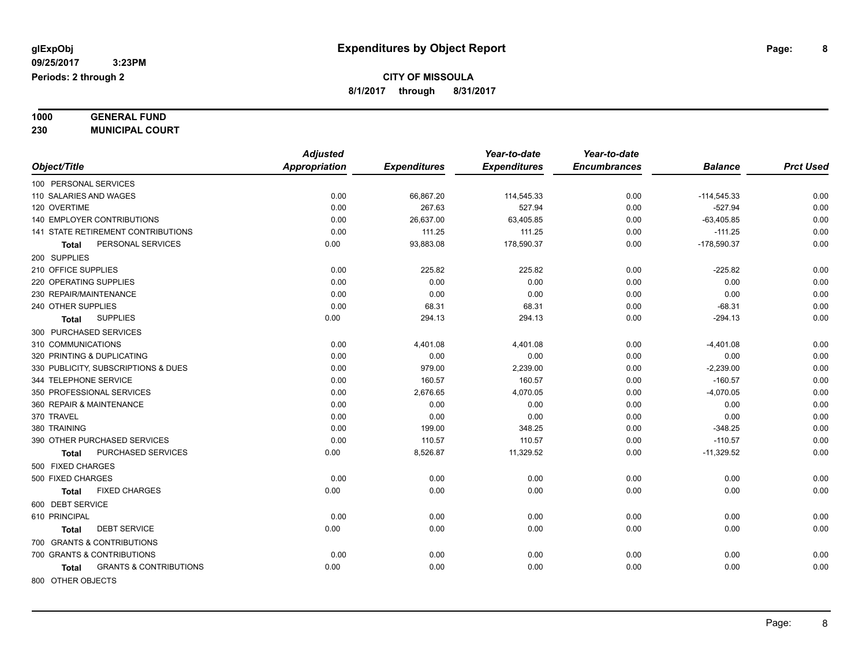### **1000 GENERAL FUND 230 MUNICIPAL COURT**

| <b>Appropriation</b><br><b>Expenditures</b><br><b>Encumbrances</b><br><b>Prct Used</b><br><b>Expenditures</b><br><b>Balance</b><br>0.00<br>$-114,545.33$<br>0.00<br>66,867.20<br>114,545.33<br>0.00<br>0.00<br>0.00<br>267.63<br>527.94<br>$-527.94$<br>0.00<br>0.00<br>0.00<br>26,637.00<br>63,405.85<br>0.00<br>$-63,405.85$<br>0.00<br>0.00<br>111.25<br>$-111.25$<br>111.25<br>0.00<br>0.00<br>PERSONAL SERVICES<br>93,883.08<br>178,590.37<br>$-178,590.37$<br>0.00<br>0.00<br>Total<br>0.00<br>0.00<br>225.82<br>225.82<br>0.00<br>$-225.82$<br>0.00<br>0.00<br>0.00<br>0.00<br>0.00<br>0.00<br>0.00<br>0.00<br>0.00<br>0.00<br>0.00<br>0.00<br>0.00<br>0.00<br>68.31<br>68.31<br>0.00<br>$-68.31$<br>0.00<br><b>SUPPLIES</b><br>0.00<br>294.13<br>$-294.13$<br>294.13<br>0.00<br><b>Total</b><br>0.00<br>0.00<br>4,401.08<br>4,401.08<br>0.00<br>$-4,401.08$<br>0.00<br>0.00<br>0.00<br>0.00<br>0.00<br>0.00<br>0.00<br>979.00<br>$-2,239.00$<br>0.00<br>2,239.00<br>0.00<br>0.00<br>344 TELEPHONE SERVICE<br>0.00<br>160.57<br>160.57<br>$-160.57$<br>0.00<br>0.00<br>0.00<br>2,676.65<br>$-4,070.05$<br>4,070.05<br>0.00<br>0.00<br>0.00<br>0.00<br>0.00<br>0.00<br>0.00<br>0.00<br>0.00<br>0.00<br>0.00<br>0.00<br>0.00<br>0.00<br>380 TRAINING<br>0.00<br>$-348.25$<br>199.00<br>348.25<br>0.00<br>$-110.57$<br>0.00<br>0.00<br>110.57<br>110.57<br>0.00<br>0.00<br>PURCHASED SERVICES<br>0.00<br>8,526.87<br>11,329.52<br>0.00<br>$-11,329.52$<br><b>Total</b><br>0.00<br>0.00<br>0.00<br>0.00<br>0.00<br>0.00<br>0.00<br><b>FIXED CHARGES</b><br>0.00<br>0.00<br>0.00<br>0.00<br>0.00<br><b>Total</b><br>0.00<br>0.00<br>0.00<br>0.00<br>0.00<br>0.00<br>0.00<br>0.00<br>0.00<br>0.00<br><b>DEBT SERVICE</b><br>0.00<br>0.00<br><b>Total</b><br>700 GRANTS & CONTRIBUTIONS<br>700 GRANTS & CONTRIBUTIONS<br>0.00<br>0.00<br>0.00<br>0.00<br>0.00<br>0.00<br>0.00<br>0.00<br><b>GRANTS &amp; CONTRIBUTIONS</b><br>0.00<br>0.00<br>0.00<br>0.00<br>Total<br>800 OTHER OBJECTS |                                     | <b>Adjusted</b> | Year-to-date | Year-to-date |  |
|------------------------------------------------------------------------------------------------------------------------------------------------------------------------------------------------------------------------------------------------------------------------------------------------------------------------------------------------------------------------------------------------------------------------------------------------------------------------------------------------------------------------------------------------------------------------------------------------------------------------------------------------------------------------------------------------------------------------------------------------------------------------------------------------------------------------------------------------------------------------------------------------------------------------------------------------------------------------------------------------------------------------------------------------------------------------------------------------------------------------------------------------------------------------------------------------------------------------------------------------------------------------------------------------------------------------------------------------------------------------------------------------------------------------------------------------------------------------------------------------------------------------------------------------------------------------------------------------------------------------------------------------------------------------------------------------------------------------------------------------------------------------------------------------------------------------------------------------------------------------------------------------------------------------------------------------------------------------------------------|-------------------------------------|-----------------|--------------|--------------|--|
|                                                                                                                                                                                                                                                                                                                                                                                                                                                                                                                                                                                                                                                                                                                                                                                                                                                                                                                                                                                                                                                                                                                                                                                                                                                                                                                                                                                                                                                                                                                                                                                                                                                                                                                                                                                                                                                                                                                                                                                          | Object/Title                        |                 |              |              |  |
|                                                                                                                                                                                                                                                                                                                                                                                                                                                                                                                                                                                                                                                                                                                                                                                                                                                                                                                                                                                                                                                                                                                                                                                                                                                                                                                                                                                                                                                                                                                                                                                                                                                                                                                                                                                                                                                                                                                                                                                          | 100 PERSONAL SERVICES               |                 |              |              |  |
|                                                                                                                                                                                                                                                                                                                                                                                                                                                                                                                                                                                                                                                                                                                                                                                                                                                                                                                                                                                                                                                                                                                                                                                                                                                                                                                                                                                                                                                                                                                                                                                                                                                                                                                                                                                                                                                                                                                                                                                          | 110 SALARIES AND WAGES              |                 |              |              |  |
|                                                                                                                                                                                                                                                                                                                                                                                                                                                                                                                                                                                                                                                                                                                                                                                                                                                                                                                                                                                                                                                                                                                                                                                                                                                                                                                                                                                                                                                                                                                                                                                                                                                                                                                                                                                                                                                                                                                                                                                          | 120 OVERTIME                        |                 |              |              |  |
|                                                                                                                                                                                                                                                                                                                                                                                                                                                                                                                                                                                                                                                                                                                                                                                                                                                                                                                                                                                                                                                                                                                                                                                                                                                                                                                                                                                                                                                                                                                                                                                                                                                                                                                                                                                                                                                                                                                                                                                          | <b>140 EMPLOYER CONTRIBUTIONS</b>   |                 |              |              |  |
|                                                                                                                                                                                                                                                                                                                                                                                                                                                                                                                                                                                                                                                                                                                                                                                                                                                                                                                                                                                                                                                                                                                                                                                                                                                                                                                                                                                                                                                                                                                                                                                                                                                                                                                                                                                                                                                                                                                                                                                          | 141 STATE RETIREMENT CONTRIBUTIONS  |                 |              |              |  |
|                                                                                                                                                                                                                                                                                                                                                                                                                                                                                                                                                                                                                                                                                                                                                                                                                                                                                                                                                                                                                                                                                                                                                                                                                                                                                                                                                                                                                                                                                                                                                                                                                                                                                                                                                                                                                                                                                                                                                                                          |                                     |                 |              |              |  |
|                                                                                                                                                                                                                                                                                                                                                                                                                                                                                                                                                                                                                                                                                                                                                                                                                                                                                                                                                                                                                                                                                                                                                                                                                                                                                                                                                                                                                                                                                                                                                                                                                                                                                                                                                                                                                                                                                                                                                                                          | 200 SUPPLIES                        |                 |              |              |  |
|                                                                                                                                                                                                                                                                                                                                                                                                                                                                                                                                                                                                                                                                                                                                                                                                                                                                                                                                                                                                                                                                                                                                                                                                                                                                                                                                                                                                                                                                                                                                                                                                                                                                                                                                                                                                                                                                                                                                                                                          | 210 OFFICE SUPPLIES                 |                 |              |              |  |
|                                                                                                                                                                                                                                                                                                                                                                                                                                                                                                                                                                                                                                                                                                                                                                                                                                                                                                                                                                                                                                                                                                                                                                                                                                                                                                                                                                                                                                                                                                                                                                                                                                                                                                                                                                                                                                                                                                                                                                                          | 220 OPERATING SUPPLIES              |                 |              |              |  |
|                                                                                                                                                                                                                                                                                                                                                                                                                                                                                                                                                                                                                                                                                                                                                                                                                                                                                                                                                                                                                                                                                                                                                                                                                                                                                                                                                                                                                                                                                                                                                                                                                                                                                                                                                                                                                                                                                                                                                                                          | 230 REPAIR/MAINTENANCE              |                 |              |              |  |
|                                                                                                                                                                                                                                                                                                                                                                                                                                                                                                                                                                                                                                                                                                                                                                                                                                                                                                                                                                                                                                                                                                                                                                                                                                                                                                                                                                                                                                                                                                                                                                                                                                                                                                                                                                                                                                                                                                                                                                                          | 240 OTHER SUPPLIES                  |                 |              |              |  |
|                                                                                                                                                                                                                                                                                                                                                                                                                                                                                                                                                                                                                                                                                                                                                                                                                                                                                                                                                                                                                                                                                                                                                                                                                                                                                                                                                                                                                                                                                                                                                                                                                                                                                                                                                                                                                                                                                                                                                                                          |                                     |                 |              |              |  |
|                                                                                                                                                                                                                                                                                                                                                                                                                                                                                                                                                                                                                                                                                                                                                                                                                                                                                                                                                                                                                                                                                                                                                                                                                                                                                                                                                                                                                                                                                                                                                                                                                                                                                                                                                                                                                                                                                                                                                                                          | 300 PURCHASED SERVICES              |                 |              |              |  |
|                                                                                                                                                                                                                                                                                                                                                                                                                                                                                                                                                                                                                                                                                                                                                                                                                                                                                                                                                                                                                                                                                                                                                                                                                                                                                                                                                                                                                                                                                                                                                                                                                                                                                                                                                                                                                                                                                                                                                                                          | 310 COMMUNICATIONS                  |                 |              |              |  |
|                                                                                                                                                                                                                                                                                                                                                                                                                                                                                                                                                                                                                                                                                                                                                                                                                                                                                                                                                                                                                                                                                                                                                                                                                                                                                                                                                                                                                                                                                                                                                                                                                                                                                                                                                                                                                                                                                                                                                                                          | 320 PRINTING & DUPLICATING          |                 |              |              |  |
|                                                                                                                                                                                                                                                                                                                                                                                                                                                                                                                                                                                                                                                                                                                                                                                                                                                                                                                                                                                                                                                                                                                                                                                                                                                                                                                                                                                                                                                                                                                                                                                                                                                                                                                                                                                                                                                                                                                                                                                          | 330 PUBLICITY, SUBSCRIPTIONS & DUES |                 |              |              |  |
|                                                                                                                                                                                                                                                                                                                                                                                                                                                                                                                                                                                                                                                                                                                                                                                                                                                                                                                                                                                                                                                                                                                                                                                                                                                                                                                                                                                                                                                                                                                                                                                                                                                                                                                                                                                                                                                                                                                                                                                          |                                     |                 |              |              |  |
|                                                                                                                                                                                                                                                                                                                                                                                                                                                                                                                                                                                                                                                                                                                                                                                                                                                                                                                                                                                                                                                                                                                                                                                                                                                                                                                                                                                                                                                                                                                                                                                                                                                                                                                                                                                                                                                                                                                                                                                          | 350 PROFESSIONAL SERVICES           |                 |              |              |  |
|                                                                                                                                                                                                                                                                                                                                                                                                                                                                                                                                                                                                                                                                                                                                                                                                                                                                                                                                                                                                                                                                                                                                                                                                                                                                                                                                                                                                                                                                                                                                                                                                                                                                                                                                                                                                                                                                                                                                                                                          | 360 REPAIR & MAINTENANCE            |                 |              |              |  |
|                                                                                                                                                                                                                                                                                                                                                                                                                                                                                                                                                                                                                                                                                                                                                                                                                                                                                                                                                                                                                                                                                                                                                                                                                                                                                                                                                                                                                                                                                                                                                                                                                                                                                                                                                                                                                                                                                                                                                                                          | 370 TRAVEL                          |                 |              |              |  |
|                                                                                                                                                                                                                                                                                                                                                                                                                                                                                                                                                                                                                                                                                                                                                                                                                                                                                                                                                                                                                                                                                                                                                                                                                                                                                                                                                                                                                                                                                                                                                                                                                                                                                                                                                                                                                                                                                                                                                                                          |                                     |                 |              |              |  |
|                                                                                                                                                                                                                                                                                                                                                                                                                                                                                                                                                                                                                                                                                                                                                                                                                                                                                                                                                                                                                                                                                                                                                                                                                                                                                                                                                                                                                                                                                                                                                                                                                                                                                                                                                                                                                                                                                                                                                                                          | 390 OTHER PURCHASED SERVICES        |                 |              |              |  |
|                                                                                                                                                                                                                                                                                                                                                                                                                                                                                                                                                                                                                                                                                                                                                                                                                                                                                                                                                                                                                                                                                                                                                                                                                                                                                                                                                                                                                                                                                                                                                                                                                                                                                                                                                                                                                                                                                                                                                                                          |                                     |                 |              |              |  |
|                                                                                                                                                                                                                                                                                                                                                                                                                                                                                                                                                                                                                                                                                                                                                                                                                                                                                                                                                                                                                                                                                                                                                                                                                                                                                                                                                                                                                                                                                                                                                                                                                                                                                                                                                                                                                                                                                                                                                                                          | 500 FIXED CHARGES                   |                 |              |              |  |
|                                                                                                                                                                                                                                                                                                                                                                                                                                                                                                                                                                                                                                                                                                                                                                                                                                                                                                                                                                                                                                                                                                                                                                                                                                                                                                                                                                                                                                                                                                                                                                                                                                                                                                                                                                                                                                                                                                                                                                                          | 500 FIXED CHARGES                   |                 |              |              |  |
|                                                                                                                                                                                                                                                                                                                                                                                                                                                                                                                                                                                                                                                                                                                                                                                                                                                                                                                                                                                                                                                                                                                                                                                                                                                                                                                                                                                                                                                                                                                                                                                                                                                                                                                                                                                                                                                                                                                                                                                          |                                     |                 |              |              |  |
|                                                                                                                                                                                                                                                                                                                                                                                                                                                                                                                                                                                                                                                                                                                                                                                                                                                                                                                                                                                                                                                                                                                                                                                                                                                                                                                                                                                                                                                                                                                                                                                                                                                                                                                                                                                                                                                                                                                                                                                          | 600 DEBT SERVICE                    |                 |              |              |  |
|                                                                                                                                                                                                                                                                                                                                                                                                                                                                                                                                                                                                                                                                                                                                                                                                                                                                                                                                                                                                                                                                                                                                                                                                                                                                                                                                                                                                                                                                                                                                                                                                                                                                                                                                                                                                                                                                                                                                                                                          | 610 PRINCIPAL                       |                 |              |              |  |
|                                                                                                                                                                                                                                                                                                                                                                                                                                                                                                                                                                                                                                                                                                                                                                                                                                                                                                                                                                                                                                                                                                                                                                                                                                                                                                                                                                                                                                                                                                                                                                                                                                                                                                                                                                                                                                                                                                                                                                                          |                                     |                 |              |              |  |
|                                                                                                                                                                                                                                                                                                                                                                                                                                                                                                                                                                                                                                                                                                                                                                                                                                                                                                                                                                                                                                                                                                                                                                                                                                                                                                                                                                                                                                                                                                                                                                                                                                                                                                                                                                                                                                                                                                                                                                                          |                                     |                 |              |              |  |
|                                                                                                                                                                                                                                                                                                                                                                                                                                                                                                                                                                                                                                                                                                                                                                                                                                                                                                                                                                                                                                                                                                                                                                                                                                                                                                                                                                                                                                                                                                                                                                                                                                                                                                                                                                                                                                                                                                                                                                                          |                                     |                 |              |              |  |
|                                                                                                                                                                                                                                                                                                                                                                                                                                                                                                                                                                                                                                                                                                                                                                                                                                                                                                                                                                                                                                                                                                                                                                                                                                                                                                                                                                                                                                                                                                                                                                                                                                                                                                                                                                                                                                                                                                                                                                                          |                                     |                 |              |              |  |
|                                                                                                                                                                                                                                                                                                                                                                                                                                                                                                                                                                                                                                                                                                                                                                                                                                                                                                                                                                                                                                                                                                                                                                                                                                                                                                                                                                                                                                                                                                                                                                                                                                                                                                                                                                                                                                                                                                                                                                                          |                                     |                 |              |              |  |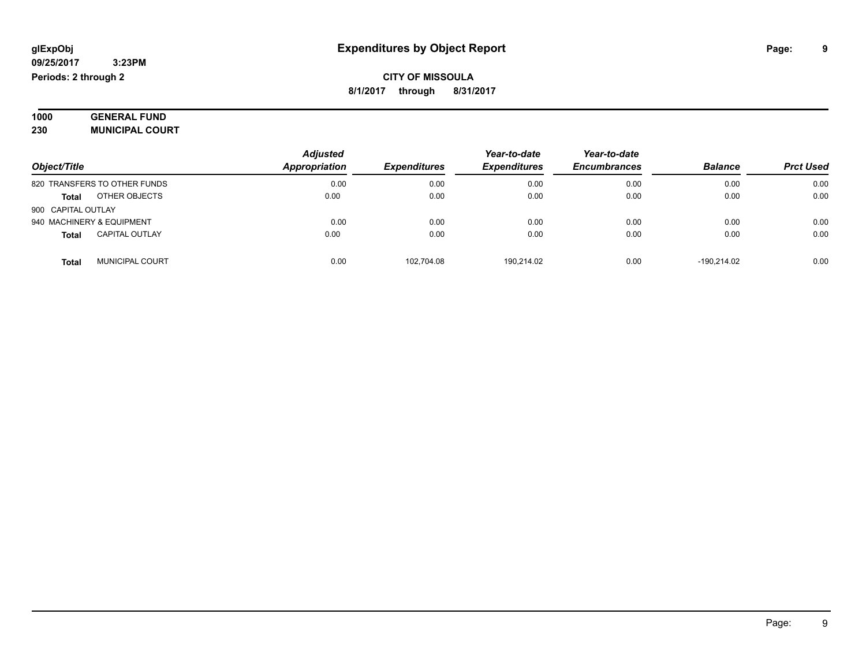| 1000 | <b>GENERAL FUND</b>    |
|------|------------------------|
| 230  | <b>MUNICIPAL COURT</b> |

|                                       | <b>Adjusted</b> |                     | Year-to-date        | Year-to-date        |                |                  |
|---------------------------------------|-----------------|---------------------|---------------------|---------------------|----------------|------------------|
| Object/Title                          | Appropriation   | <b>Expenditures</b> | <b>Expenditures</b> | <b>Encumbrances</b> | <b>Balance</b> | <b>Prct Used</b> |
| 820 TRANSFERS TO OTHER FUNDS          | 0.00            | 0.00                | 0.00                | 0.00                | 0.00           | 0.00             |
| OTHER OBJECTS<br><b>Total</b>         | 0.00            | 0.00                | 0.00                | 0.00                | 0.00           | 0.00             |
| 900 CAPITAL OUTLAY                    |                 |                     |                     |                     |                |                  |
| 940 MACHINERY & EQUIPMENT             | 0.00            | 0.00                | 0.00                | 0.00                | 0.00           | 0.00             |
| <b>CAPITAL OUTLAY</b><br><b>Total</b> | 0.00            | 0.00                | 0.00                | 0.00                | 0.00           | 0.00             |
| <b>MUNICIPAL COURT</b><br>Tota        | 0.00            | 102.704.08          | 190.214.02          | 0.00                | $-190.214.02$  | 0.00             |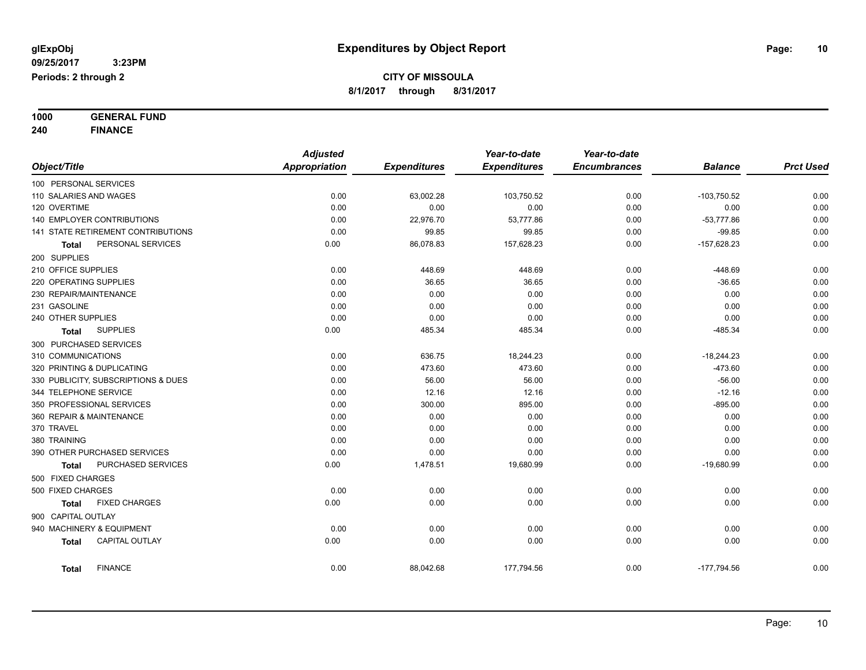**1000 GENERAL FUND**

**240 FINANCE**

|                                       | <b>Adjusted</b>      |                     | Year-to-date        | Year-to-date        |                |                  |
|---------------------------------------|----------------------|---------------------|---------------------|---------------------|----------------|------------------|
| Object/Title                          | <b>Appropriation</b> | <b>Expenditures</b> | <b>Expenditures</b> | <b>Encumbrances</b> | <b>Balance</b> | <b>Prct Used</b> |
| 100 PERSONAL SERVICES                 |                      |                     |                     |                     |                |                  |
| 110 SALARIES AND WAGES                | 0.00                 | 63,002.28           | 103,750.52          | 0.00                | $-103,750.52$  | 0.00             |
| 120 OVERTIME                          | 0.00                 | 0.00                | 0.00                | 0.00                | 0.00           | 0.00             |
| <b>140 EMPLOYER CONTRIBUTIONS</b>     | 0.00                 | 22,976.70           | 53,777.86           | 0.00                | $-53,777.86$   | 0.00             |
| 141 STATE RETIREMENT CONTRIBUTIONS    | 0.00                 | 99.85               | 99.85               | 0.00                | $-99.85$       | 0.00             |
| PERSONAL SERVICES<br>Total            | 0.00                 | 86,078.83           | 157,628.23          | 0.00                | $-157,628.23$  | 0.00             |
| 200 SUPPLIES                          |                      |                     |                     |                     |                |                  |
| 210 OFFICE SUPPLIES                   | 0.00                 | 448.69              | 448.69              | 0.00                | $-448.69$      | 0.00             |
| 220 OPERATING SUPPLIES                | 0.00                 | 36.65               | 36.65               | 0.00                | $-36.65$       | 0.00             |
| 230 REPAIR/MAINTENANCE                | 0.00                 | 0.00                | 0.00                | 0.00                | 0.00           | 0.00             |
| 231 GASOLINE                          | 0.00                 | 0.00                | 0.00                | 0.00                | 0.00           | 0.00             |
| 240 OTHER SUPPLIES                    | 0.00                 | 0.00                | 0.00                | 0.00                | 0.00           | 0.00             |
| <b>SUPPLIES</b><br>Total              | 0.00                 | 485.34              | 485.34              | 0.00                | $-485.34$      | 0.00             |
| 300 PURCHASED SERVICES                |                      |                     |                     |                     |                |                  |
| 310 COMMUNICATIONS                    | 0.00                 | 636.75              | 18,244.23           | 0.00                | $-18,244.23$   | 0.00             |
| 320 PRINTING & DUPLICATING            | 0.00                 | 473.60              | 473.60              | 0.00                | $-473.60$      | 0.00             |
| 330 PUBLICITY, SUBSCRIPTIONS & DUES   | 0.00                 | 56.00               | 56.00               | 0.00                | $-56.00$       | 0.00             |
| 344 TELEPHONE SERVICE                 | 0.00                 | 12.16               | 12.16               | 0.00                | $-12.16$       | 0.00             |
| 350 PROFESSIONAL SERVICES             | 0.00                 | 300.00              | 895.00              | 0.00                | $-895.00$      | 0.00             |
| 360 REPAIR & MAINTENANCE              | 0.00                 | 0.00                | 0.00                | 0.00                | 0.00           | 0.00             |
| 370 TRAVEL                            | 0.00                 | 0.00                | 0.00                | 0.00                | 0.00           | 0.00             |
| 380 TRAINING                          | 0.00                 | 0.00                | 0.00                | 0.00                | 0.00           | 0.00             |
| 390 OTHER PURCHASED SERVICES          | 0.00                 | 0.00                | 0.00                | 0.00                | 0.00           | 0.00             |
| PURCHASED SERVICES<br><b>Total</b>    | 0.00                 | 1,478.51            | 19,680.99           | 0.00                | $-19,680.99$   | 0.00             |
| 500 FIXED CHARGES                     |                      |                     |                     |                     |                |                  |
| 500 FIXED CHARGES                     | 0.00                 | 0.00                | 0.00                | 0.00                | 0.00           | 0.00             |
| <b>FIXED CHARGES</b><br><b>Total</b>  | 0.00                 | 0.00                | 0.00                | 0.00                | 0.00           | 0.00             |
| 900 CAPITAL OUTLAY                    |                      |                     |                     |                     |                |                  |
| 940 MACHINERY & EQUIPMENT             | 0.00                 | 0.00                | 0.00                | 0.00                | 0.00           | 0.00             |
| <b>CAPITAL OUTLAY</b><br><b>Total</b> | 0.00                 | 0.00                | 0.00                | 0.00                | 0.00           | 0.00             |
| <b>FINANCE</b><br><b>Total</b>        | 0.00                 | 88,042.68           | 177.794.56          | 0.00                | $-177,794.56$  | 0.00             |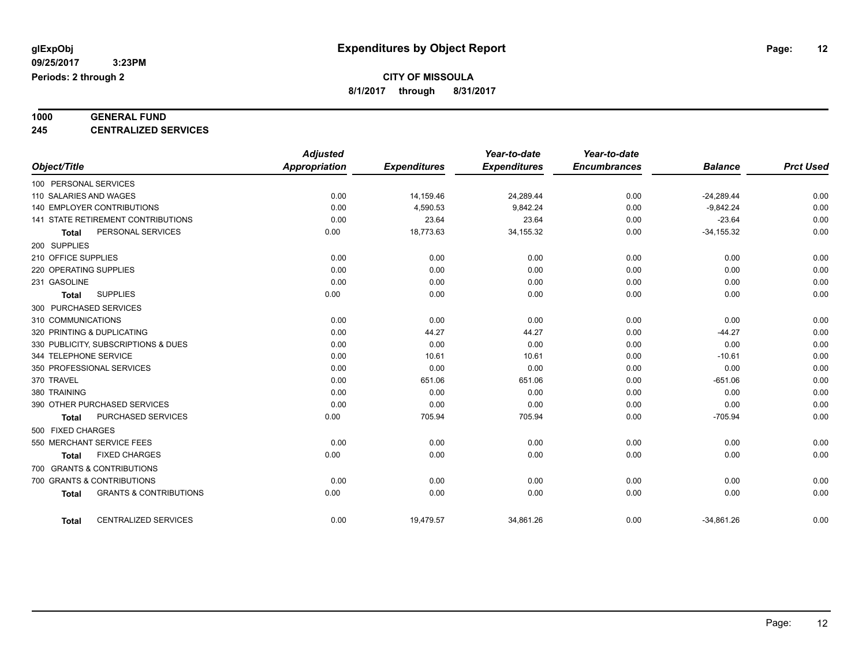# **1000 GENERAL FUND**

**245 CENTRALIZED SERVICES**

|                                                   | <b>Adjusted</b>      |                     | Year-to-date        | Year-to-date        |                |                  |
|---------------------------------------------------|----------------------|---------------------|---------------------|---------------------|----------------|------------------|
| Object/Title                                      | <b>Appropriation</b> | <b>Expenditures</b> | <b>Expenditures</b> | <b>Encumbrances</b> | <b>Balance</b> | <b>Prct Used</b> |
| 100 PERSONAL SERVICES                             |                      |                     |                     |                     |                |                  |
| 110 SALARIES AND WAGES                            | 0.00                 | 14,159.46           | 24,289.44           | 0.00                | $-24,289.44$   | 0.00             |
| 140 EMPLOYER CONTRIBUTIONS                        | 0.00                 | 4,590.53            | 9,842.24            | 0.00                | $-9,842.24$    | 0.00             |
| <b>141 STATE RETIREMENT CONTRIBUTIONS</b>         | 0.00                 | 23.64               | 23.64               | 0.00                | $-23.64$       | 0.00             |
| PERSONAL SERVICES<br><b>Total</b>                 | 0.00                 | 18,773.63           | 34, 155. 32         | 0.00                | $-34, 155.32$  | 0.00             |
| 200 SUPPLIES                                      |                      |                     |                     |                     |                |                  |
| 210 OFFICE SUPPLIES                               | 0.00                 | 0.00                | 0.00                | 0.00                | 0.00           | 0.00             |
| 220 OPERATING SUPPLIES                            | 0.00                 | 0.00                | 0.00                | 0.00                | 0.00           | 0.00             |
| 231 GASOLINE                                      | 0.00                 | 0.00                | 0.00                | 0.00                | 0.00           | 0.00             |
| <b>SUPPLIES</b><br><b>Total</b>                   | 0.00                 | 0.00                | 0.00                | 0.00                | 0.00           | 0.00             |
| 300 PURCHASED SERVICES                            |                      |                     |                     |                     |                |                  |
| 310 COMMUNICATIONS                                | 0.00                 | 0.00                | 0.00                | 0.00                | 0.00           | 0.00             |
| 320 PRINTING & DUPLICATING                        | 0.00                 | 44.27               | 44.27               | 0.00                | $-44.27$       | 0.00             |
| 330 PUBLICITY, SUBSCRIPTIONS & DUES               | 0.00                 | 0.00                | 0.00                | 0.00                | 0.00           | 0.00             |
| 344 TELEPHONE SERVICE                             | 0.00                 | 10.61               | 10.61               | 0.00                | $-10.61$       | 0.00             |
| 350 PROFESSIONAL SERVICES                         | 0.00                 | 0.00                | 0.00                | 0.00                | 0.00           | 0.00             |
| 370 TRAVEL                                        | 0.00                 | 651.06              | 651.06              | 0.00                | $-651.06$      | 0.00             |
| 380 TRAINING                                      | 0.00                 | 0.00                | 0.00                | 0.00                | 0.00           | 0.00             |
| 390 OTHER PURCHASED SERVICES                      | 0.00                 | 0.00                | 0.00                | 0.00                | 0.00           | 0.00             |
| PURCHASED SERVICES<br><b>Total</b>                | 0.00                 | 705.94              | 705.94              | 0.00                | $-705.94$      | 0.00             |
| 500 FIXED CHARGES                                 |                      |                     |                     |                     |                |                  |
| 550 MERCHANT SERVICE FEES                         | 0.00                 | 0.00                | 0.00                | 0.00                | 0.00           | 0.00             |
| <b>FIXED CHARGES</b><br><b>Total</b>              | 0.00                 | 0.00                | 0.00                | 0.00                | 0.00           | 0.00             |
| 700 GRANTS & CONTRIBUTIONS                        |                      |                     |                     |                     |                |                  |
| 700 GRANTS & CONTRIBUTIONS                        | 0.00                 | 0.00                | 0.00                | 0.00                | 0.00           | 0.00             |
| <b>GRANTS &amp; CONTRIBUTIONS</b><br><b>Total</b> | 0.00                 | 0.00                | 0.00                | 0.00                | 0.00           | 0.00             |
| <b>CENTRALIZED SERVICES</b><br><b>Total</b>       | 0.00                 | 19,479.57           | 34,861.26           | 0.00                | $-34.861.26$   | 0.00             |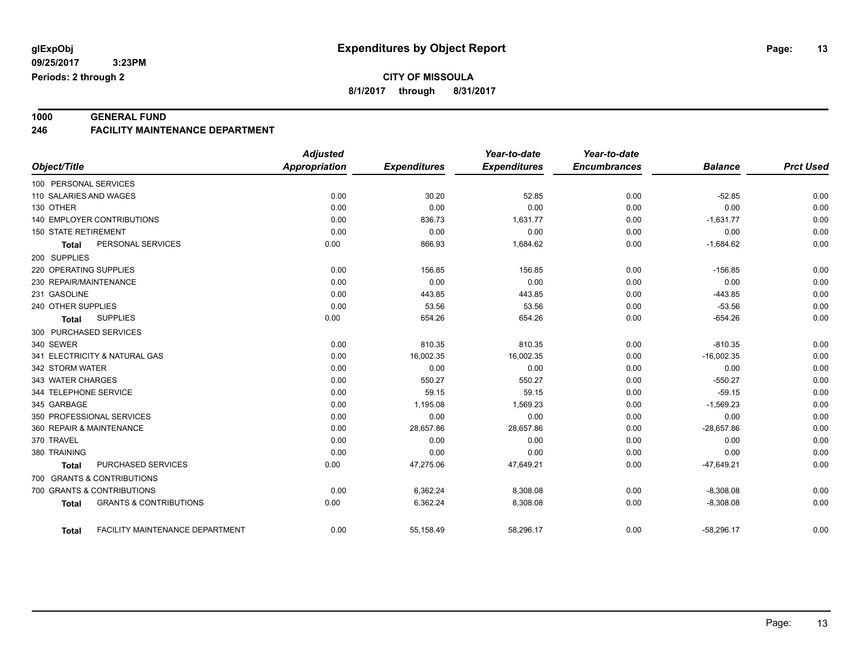**CITY OF MISSOULA**

**8/1/2017 through 8/31/2017**

**1000 GENERAL FUND 246 FACILITY MAINTENANCE DEPARTMENT**

|                                                   | <b>Adjusted</b> |                     | Year-to-date        | Year-to-date        |                |                  |
|---------------------------------------------------|-----------------|---------------------|---------------------|---------------------|----------------|------------------|
| Object/Title                                      | Appropriation   | <b>Expenditures</b> | <b>Expenditures</b> | <b>Encumbrances</b> | <b>Balance</b> | <b>Prct Used</b> |
| 100 PERSONAL SERVICES                             |                 |                     |                     |                     |                |                  |
| 110 SALARIES AND WAGES                            | 0.00            | 30.20               | 52.85               | 0.00                | $-52.85$       | 0.00             |
| 130 OTHER                                         | 0.00            | 0.00                | 0.00                | 0.00                | 0.00           | 0.00             |
| 140 EMPLOYER CONTRIBUTIONS                        | 0.00            | 836.73              | 1,631.77            | 0.00                | $-1,631.77$    | 0.00             |
| <b>150 STATE RETIREMENT</b>                       | 0.00            | 0.00                | 0.00                | 0.00                | 0.00           | 0.00             |
| PERSONAL SERVICES<br><b>Total</b>                 | 0.00            | 866.93              | 1,684.62            | 0.00                | $-1,684.62$    | 0.00             |
| 200 SUPPLIES                                      |                 |                     |                     |                     |                |                  |
| 220 OPERATING SUPPLIES                            | 0.00            | 156.85              | 156.85              | 0.00                | $-156.85$      | 0.00             |
| 230 REPAIR/MAINTENANCE                            | 0.00            | 0.00                | 0.00                | 0.00                | 0.00           | 0.00             |
| 231 GASOLINE                                      | 0.00            | 443.85              | 443.85              | 0.00                | $-443.85$      | 0.00             |
| 240 OTHER SUPPLIES                                | 0.00            | 53.56               | 53.56               | 0.00                | $-53.56$       | 0.00             |
| <b>SUPPLIES</b><br><b>Total</b>                   | 0.00            | 654.26              | 654.26              | 0.00                | $-654.26$      | 0.00             |
| 300 PURCHASED SERVICES                            |                 |                     |                     |                     |                |                  |
| 340 SEWER                                         | 0.00            | 810.35              | 810.35              | 0.00                | $-810.35$      | 0.00             |
| 341 ELECTRICITY & NATURAL GAS                     | 0.00            | 16,002.35           | 16,002.35           | 0.00                | $-16,002.35$   | 0.00             |
| 342 STORM WATER                                   | 0.00            | 0.00                | 0.00                | 0.00                | 0.00           | 0.00             |
| 343 WATER CHARGES                                 | 0.00            | 550.27              | 550.27              | 0.00                | $-550.27$      | 0.00             |
| 344 TELEPHONE SERVICE                             | 0.00            | 59.15               | 59.15               | 0.00                | $-59.15$       | 0.00             |
| 345 GARBAGE                                       | 0.00            | 1,195.08            | 1,569.23            | 0.00                | $-1,569.23$    | 0.00             |
| 350 PROFESSIONAL SERVICES                         | 0.00            | 0.00                | 0.00                | 0.00                | 0.00           | 0.00             |
| 360 REPAIR & MAINTENANCE                          | 0.00            | 28,657.86           | 28,657.86           | 0.00                | $-28,657.86$   | 0.00             |
| 370 TRAVEL                                        | 0.00            | 0.00                | 0.00                | 0.00                | 0.00           | 0.00             |
| 380 TRAINING                                      | 0.00            | 0.00                | 0.00                | 0.00                | 0.00           | 0.00             |
| PURCHASED SERVICES<br><b>Total</b>                | 0.00            | 47,275.06           | 47,649.21           | 0.00                | $-47,649.21$   | 0.00             |
| 700 GRANTS & CONTRIBUTIONS                        |                 |                     |                     |                     |                |                  |
| 700 GRANTS & CONTRIBUTIONS                        | 0.00            | 6,362.24            | 8,308.08            | 0.00                | $-8,308.08$    | 0.00             |
| <b>GRANTS &amp; CONTRIBUTIONS</b><br><b>Total</b> | 0.00            | 6,362.24            | 8,308.08            | 0.00                | $-8,308.08$    | 0.00             |
| FACILITY MAINTENANCE DEPARTMENT<br><b>Total</b>   | 0.00            | 55,158.49           | 58,296.17           | 0.00                | $-58,296.17$   | 0.00             |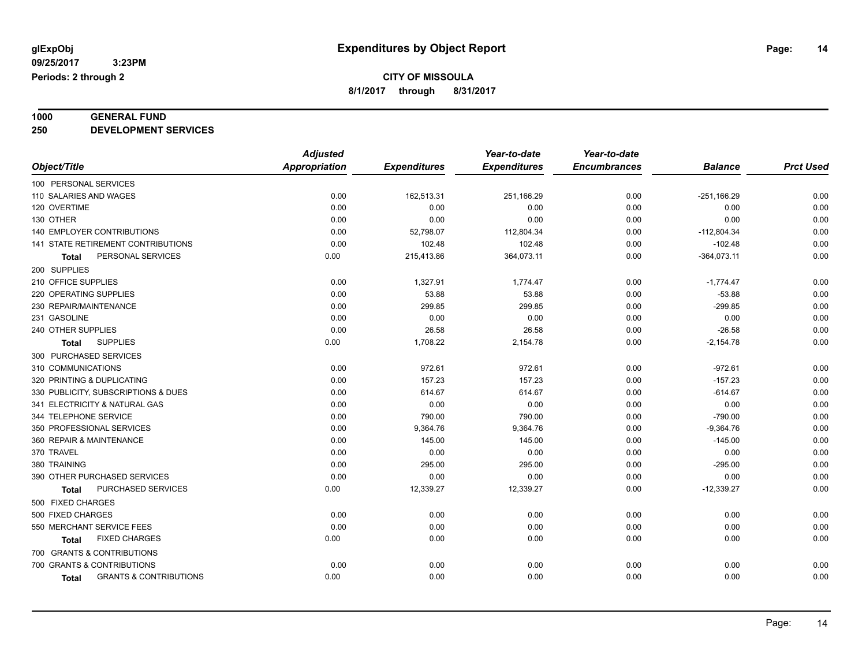# **1000 GENERAL FUND**

**250 DEVELOPMENT SERVICES**

|                                                   | <b>Adjusted</b>      |                     | Year-to-date        | Year-to-date        |                |                  |
|---------------------------------------------------|----------------------|---------------------|---------------------|---------------------|----------------|------------------|
| Object/Title                                      | <b>Appropriation</b> | <b>Expenditures</b> | <b>Expenditures</b> | <b>Encumbrances</b> | <b>Balance</b> | <b>Prct Used</b> |
| 100 PERSONAL SERVICES                             |                      |                     |                     |                     |                |                  |
| 110 SALARIES AND WAGES                            | 0.00                 | 162,513.31          | 251,166.29          | 0.00                | $-251,166.29$  | 0.00             |
| 120 OVERTIME                                      | 0.00                 | 0.00                | 0.00                | 0.00                | 0.00           | 0.00             |
| 130 OTHER                                         | 0.00                 | 0.00                | 0.00                | 0.00                | 0.00           | 0.00             |
| <b>140 EMPLOYER CONTRIBUTIONS</b>                 | 0.00                 | 52,798.07           | 112,804.34          | 0.00                | $-112,804.34$  | 0.00             |
| 141 STATE RETIREMENT CONTRIBUTIONS                | 0.00                 | 102.48              | 102.48              | 0.00                | $-102.48$      | 0.00             |
| PERSONAL SERVICES<br>Total                        | 0.00                 | 215,413.86          | 364,073.11          | 0.00                | $-364,073.11$  | 0.00             |
| 200 SUPPLIES                                      |                      |                     |                     |                     |                |                  |
| 210 OFFICE SUPPLIES                               | 0.00                 | 1,327.91            | 1,774.47            | 0.00                | $-1,774.47$    | 0.00             |
| 220 OPERATING SUPPLIES                            | 0.00                 | 53.88               | 53.88               | 0.00                | $-53.88$       | 0.00             |
| 230 REPAIR/MAINTENANCE                            | 0.00                 | 299.85              | 299.85              | 0.00                | $-299.85$      | 0.00             |
| 231 GASOLINE                                      | 0.00                 | 0.00                | 0.00                | 0.00                | 0.00           | 0.00             |
| 240 OTHER SUPPLIES                                | 0.00                 | 26.58               | 26.58               | 0.00                | $-26.58$       | 0.00             |
| <b>SUPPLIES</b><br><b>Total</b>                   | 0.00                 | 1,708.22            | 2,154.78            | 0.00                | $-2,154.78$    | 0.00             |
| 300 PURCHASED SERVICES                            |                      |                     |                     |                     |                |                  |
| 310 COMMUNICATIONS                                | 0.00                 | 972.61              | 972.61              | 0.00                | $-972.61$      | 0.00             |
| 320 PRINTING & DUPLICATING                        | 0.00                 | 157.23              | 157.23              | 0.00                | $-157.23$      | 0.00             |
| 330 PUBLICITY, SUBSCRIPTIONS & DUES               | 0.00                 | 614.67              | 614.67              | 0.00                | $-614.67$      | 0.00             |
| 341 ELECTRICITY & NATURAL GAS                     | 0.00                 | 0.00                | 0.00                | 0.00                | 0.00           | 0.00             |
| 344 TELEPHONE SERVICE                             | 0.00                 | 790.00              | 790.00              | 0.00                | $-790.00$      | 0.00             |
| 350 PROFESSIONAL SERVICES                         | 0.00                 | 9,364.76            | 9,364.76            | 0.00                | $-9,364.76$    | 0.00             |
| 360 REPAIR & MAINTENANCE                          | 0.00                 | 145.00              | 145.00              | 0.00                | $-145.00$      | 0.00             |
| 370 TRAVEL                                        | 0.00                 | 0.00                | 0.00                | 0.00                | 0.00           | 0.00             |
| 380 TRAINING                                      | 0.00                 | 295.00              | 295.00              | 0.00                | $-295.00$      | 0.00             |
| 390 OTHER PURCHASED SERVICES                      | 0.00                 | 0.00                | 0.00                | 0.00                | 0.00           | 0.00             |
| PURCHASED SERVICES<br>Total                       | 0.00                 | 12,339.27           | 12,339.27           | 0.00                | $-12,339.27$   | 0.00             |
| 500 FIXED CHARGES                                 |                      |                     |                     |                     |                |                  |
| 500 FIXED CHARGES                                 | 0.00                 | 0.00                | 0.00                | 0.00                | 0.00           | 0.00             |
| 550 MERCHANT SERVICE FEES                         | 0.00                 | 0.00                | 0.00                | 0.00                | 0.00           | 0.00             |
| <b>FIXED CHARGES</b><br><b>Total</b>              | 0.00                 | 0.00                | 0.00                | 0.00                | 0.00           | 0.00             |
| 700 GRANTS & CONTRIBUTIONS                        |                      |                     |                     |                     |                |                  |
| 700 GRANTS & CONTRIBUTIONS                        | 0.00                 | 0.00                | 0.00                | 0.00                | 0.00           | 0.00             |
| <b>GRANTS &amp; CONTRIBUTIONS</b><br><b>Total</b> | 0.00                 | 0.00                | 0.00                | 0.00                | 0.00           | 0.00             |
|                                                   |                      |                     |                     |                     |                |                  |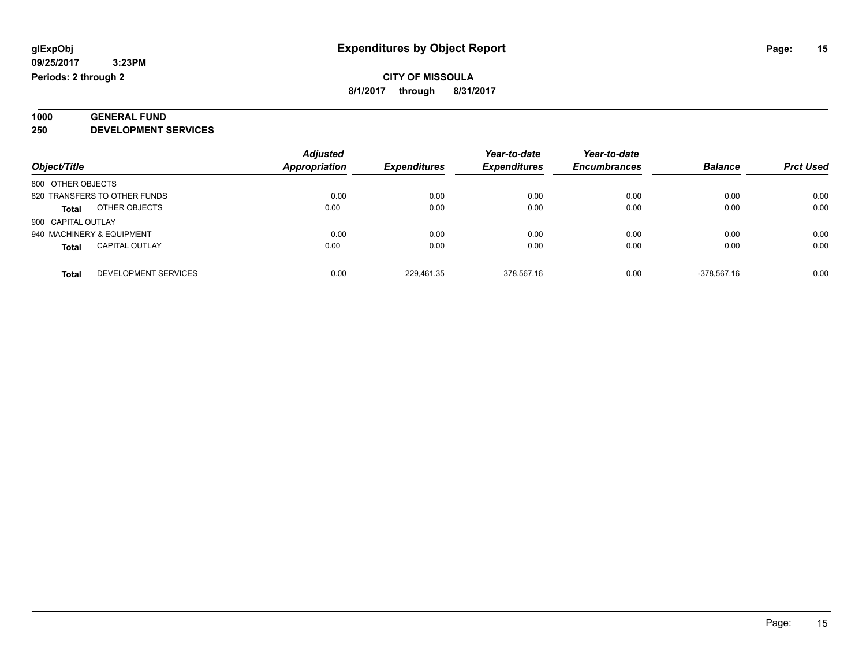### **1000 GENERAL FUND 250 DEVELOPMENT SERVICES**

|                                       | <b>Adjusted</b> |                     | Year-to-date        | Year-to-date        |                |                  |
|---------------------------------------|-----------------|---------------------|---------------------|---------------------|----------------|------------------|
| Object/Title                          | Appropriation   | <b>Expenditures</b> | <b>Expenditures</b> | <b>Encumbrances</b> | <b>Balance</b> | <b>Prct Used</b> |
| 800 OTHER OBJECTS                     |                 |                     |                     |                     |                |                  |
| 820 TRANSFERS TO OTHER FUNDS          | 0.00            | 0.00                | 0.00                | 0.00                | 0.00           | 0.00             |
| OTHER OBJECTS<br><b>Total</b>         | 0.00            | 0.00                | 0.00                | 0.00                | 0.00           | 0.00             |
| 900 CAPITAL OUTLAY                    |                 |                     |                     |                     |                |                  |
| 940 MACHINERY & EQUIPMENT             | 0.00            | 0.00                | 0.00                | 0.00                | 0.00           | 0.00             |
| <b>CAPITAL OUTLAY</b><br><b>Total</b> | 0.00            | 0.00                | 0.00                | 0.00                | 0.00           | 0.00             |
| DEVELOPMENT SERVICES<br><b>Total</b>  | 0.00            | 229.461.35          | 378.567.16          | 0.00                | -378.567.16    | 0.00             |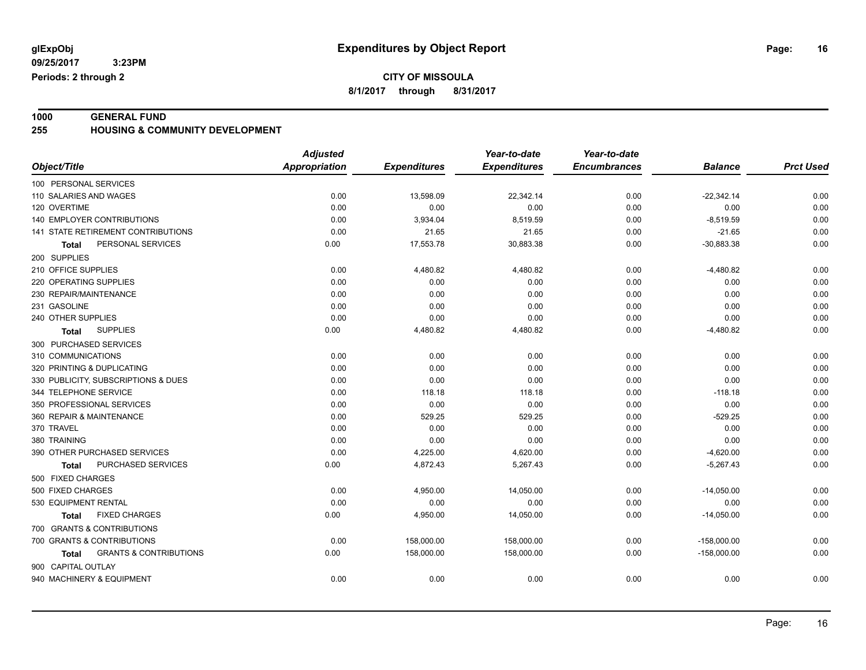**CITY OF MISSOULA**

**8/1/2017 through 8/31/2017**

**1000 GENERAL FUND 255 HOUSING & COMMUNITY DEVELOPMENT**

|                                                   | <b>Adjusted</b>      |                     | Year-to-date        | Year-to-date        |                |                  |
|---------------------------------------------------|----------------------|---------------------|---------------------|---------------------|----------------|------------------|
| Object/Title                                      | <b>Appropriation</b> | <b>Expenditures</b> | <b>Expenditures</b> | <b>Encumbrances</b> | <b>Balance</b> | <b>Prct Used</b> |
| 100 PERSONAL SERVICES                             |                      |                     |                     |                     |                |                  |
| 110 SALARIES AND WAGES                            | 0.00                 | 13,598.09           | 22,342.14           | 0.00                | $-22,342.14$   | 0.00             |
| 120 OVERTIME                                      | 0.00                 | 0.00                | 0.00                | 0.00                | 0.00           | 0.00             |
| 140 EMPLOYER CONTRIBUTIONS                        | 0.00                 | 3,934.04            | 8,519.59            | 0.00                | $-8,519.59$    | 0.00             |
| 141 STATE RETIREMENT CONTRIBUTIONS                | 0.00                 | 21.65               | 21.65               | 0.00                | $-21.65$       | 0.00             |
| PERSONAL SERVICES<br>Total                        | 0.00                 | 17,553.78           | 30,883.38           | 0.00                | $-30,883.38$   | 0.00             |
| 200 SUPPLIES                                      |                      |                     |                     |                     |                |                  |
| 210 OFFICE SUPPLIES                               | 0.00                 | 4,480.82            | 4,480.82            | 0.00                | $-4,480.82$    | 0.00             |
| 220 OPERATING SUPPLIES                            | 0.00                 | 0.00                | 0.00                | 0.00                | 0.00           | 0.00             |
| 230 REPAIR/MAINTENANCE                            | 0.00                 | 0.00                | 0.00                | 0.00                | 0.00           | 0.00             |
| 231 GASOLINE                                      | 0.00                 | 0.00                | 0.00                | 0.00                | 0.00           | 0.00             |
| 240 OTHER SUPPLIES                                | 0.00                 | 0.00                | 0.00                | 0.00                | 0.00           | 0.00             |
| <b>SUPPLIES</b><br>Total                          | 0.00                 | 4,480.82            | 4,480.82            | 0.00                | $-4,480.82$    | 0.00             |
| 300 PURCHASED SERVICES                            |                      |                     |                     |                     |                |                  |
| 310 COMMUNICATIONS                                | 0.00                 | 0.00                | 0.00                | 0.00                | 0.00           | 0.00             |
| 320 PRINTING & DUPLICATING                        | 0.00                 | 0.00                | 0.00                | 0.00                | 0.00           | 0.00             |
| 330 PUBLICITY, SUBSCRIPTIONS & DUES               | 0.00                 | 0.00                | 0.00                | 0.00                | 0.00           | 0.00             |
| 344 TELEPHONE SERVICE                             | 0.00                 | 118.18              | 118.18              | 0.00                | $-118.18$      | 0.00             |
| 350 PROFESSIONAL SERVICES                         | 0.00                 | 0.00                | 0.00                | 0.00                | 0.00           | 0.00             |
| 360 REPAIR & MAINTENANCE                          | 0.00                 | 529.25              | 529.25              | 0.00                | $-529.25$      | 0.00             |
| 370 TRAVEL                                        | 0.00                 | 0.00                | 0.00                | 0.00                | 0.00           | 0.00             |
| 380 TRAINING                                      | 0.00                 | 0.00                | 0.00                | 0.00                | 0.00           | 0.00             |
| 390 OTHER PURCHASED SERVICES                      | 0.00                 | 4,225.00            | 4,620.00            | 0.00                | $-4,620.00$    | 0.00             |
| PURCHASED SERVICES<br><b>Total</b>                | 0.00                 | 4,872.43            | 5,267.43            | 0.00                | $-5,267.43$    | 0.00             |
| 500 FIXED CHARGES                                 |                      |                     |                     |                     |                |                  |
| 500 FIXED CHARGES                                 | 0.00                 | 4,950.00            | 14,050.00           | 0.00                | $-14,050.00$   | 0.00             |
| 530 EQUIPMENT RENTAL                              | 0.00                 | 0.00                | 0.00                | 0.00                | 0.00           | 0.00             |
| <b>FIXED CHARGES</b><br><b>Total</b>              | 0.00                 | 4,950.00            | 14,050.00           | 0.00                | $-14,050.00$   | 0.00             |
| 700 GRANTS & CONTRIBUTIONS                        |                      |                     |                     |                     |                |                  |
| 700 GRANTS & CONTRIBUTIONS                        | 0.00                 | 158,000.00          | 158,000.00          | 0.00                | $-158,000.00$  | 0.00             |
| <b>GRANTS &amp; CONTRIBUTIONS</b><br><b>Total</b> | 0.00                 | 158,000.00          | 158,000.00          | 0.00                | $-158,000.00$  | 0.00             |
| 900 CAPITAL OUTLAY                                |                      |                     |                     |                     |                |                  |
| 940 MACHINERY & EQUIPMENT                         | 0.00                 | 0.00                | 0.00                | 0.00                | 0.00           | 0.00             |
|                                                   |                      |                     |                     |                     |                |                  |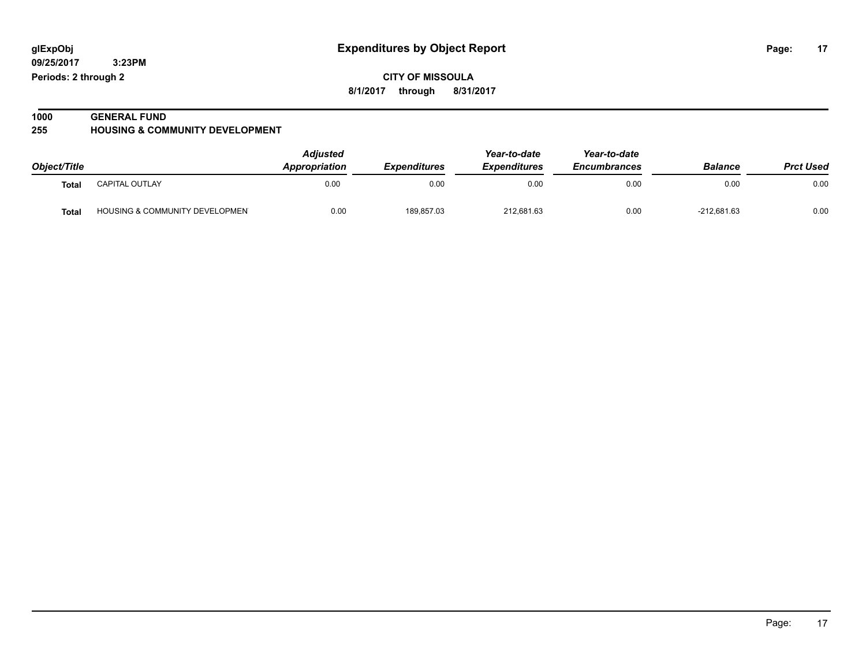**09/25/2017 3:23PM Periods: 2 through 2**

**CITY OF MISSOULA 8/1/2017 through 8/31/2017**

#### **1000 GENERAL FUND 255 HOUSING & COMMUNITY DEVELOPMENT**

|              |                                           | <b>Adjusted</b>      |                     | Year-to-date               | Year-to-date        |                |                  |
|--------------|-------------------------------------------|----------------------|---------------------|----------------------------|---------------------|----------------|------------------|
| Object/Title |                                           | <b>Appropriation</b> | <b>Expenditures</b> | <i><b>Expenditures</b></i> | <b>Encumbrances</b> | <b>Balance</b> | <b>Prct Used</b> |
| <b>Total</b> | <b>CAPITAL OUTLAY</b>                     | 0.00                 | 0.00                | 0.00                       | 0.00                | 0.00           | 0.00             |
| <b>Total</b> | <b>HOUSING &amp; COMMUNITY DEVELOPMEN</b> | 0.00                 | 189,857.03          | 212,681.63                 | 0.00                | $-212.681.63$  | 0.00             |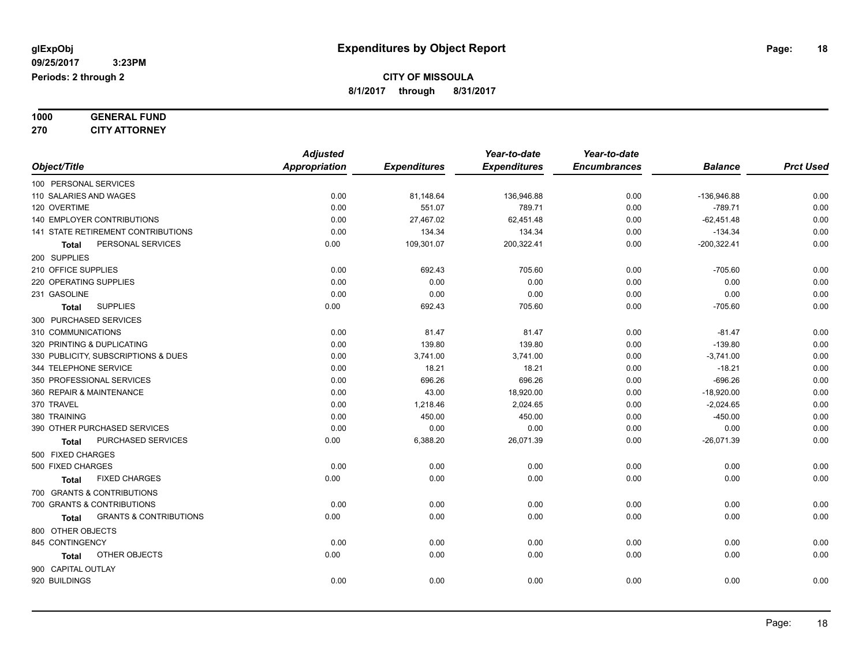### **1000 GENERAL FUND 270 CITY ATTORNEY**

|                                            | <b>Adjusted</b>      |                     | Year-to-date        | Year-to-date        |                |                  |
|--------------------------------------------|----------------------|---------------------|---------------------|---------------------|----------------|------------------|
| Object/Title                               | <b>Appropriation</b> | <b>Expenditures</b> | <b>Expenditures</b> | <b>Encumbrances</b> | <b>Balance</b> | <b>Prct Used</b> |
| 100 PERSONAL SERVICES                      |                      |                     |                     |                     |                |                  |
| 110 SALARIES AND WAGES                     | 0.00                 | 81,148.64           | 136,946.88          | 0.00                | -136,946.88    | 0.00             |
| 120 OVERTIME                               | 0.00                 | 551.07              | 789.71              | 0.00                | $-789.71$      | 0.00             |
| 140 EMPLOYER CONTRIBUTIONS                 | 0.00                 | 27,467.02           | 62,451.48           | 0.00                | $-62,451.48$   | 0.00             |
| 141 STATE RETIREMENT CONTRIBUTIONS         | 0.00                 | 134.34              | 134.34              | 0.00                | $-134.34$      | 0.00             |
| PERSONAL SERVICES<br><b>Total</b>          | 0.00                 | 109,301.07          | 200,322.41          | 0.00                | $-200,322.41$  | 0.00             |
| 200 SUPPLIES                               |                      |                     |                     |                     |                |                  |
| 210 OFFICE SUPPLIES                        | 0.00                 | 692.43              | 705.60              | 0.00                | $-705.60$      | 0.00             |
| 220 OPERATING SUPPLIES                     | 0.00                 | 0.00                | 0.00                | 0.00                | 0.00           | 0.00             |
| 231 GASOLINE                               | 0.00                 | 0.00                | 0.00                | 0.00                | 0.00           | 0.00             |
| <b>SUPPLIES</b><br><b>Total</b>            | 0.00                 | 692.43              | 705.60              | 0.00                | $-705.60$      | 0.00             |
| 300 PURCHASED SERVICES                     |                      |                     |                     |                     |                |                  |
| 310 COMMUNICATIONS                         | 0.00                 | 81.47               | 81.47               | 0.00                | $-81.47$       | 0.00             |
| 320 PRINTING & DUPLICATING                 | 0.00                 | 139.80              | 139.80              | 0.00                | $-139.80$      | 0.00             |
| 330 PUBLICITY, SUBSCRIPTIONS & DUES        | 0.00                 | 3,741.00            | 3,741.00            | 0.00                | $-3,741.00$    | 0.00             |
| 344 TELEPHONE SERVICE                      | 0.00                 | 18.21               | 18.21               | 0.00                | $-18.21$       | 0.00             |
| 350 PROFESSIONAL SERVICES                  | 0.00                 | 696.26              | 696.26              | 0.00                | $-696.26$      | 0.00             |
| 360 REPAIR & MAINTENANCE                   | 0.00                 | 43.00               | 18,920.00           | 0.00                | $-18,920.00$   | 0.00             |
| 370 TRAVEL                                 | 0.00                 | 1,218.46            | 2,024.65            | 0.00                | $-2,024.65$    | 0.00             |
| 380 TRAINING                               | 0.00                 | 450.00              | 450.00              | 0.00                | $-450.00$      | 0.00             |
| 390 OTHER PURCHASED SERVICES               | 0.00                 | 0.00                | 0.00                | 0.00                | 0.00           | 0.00             |
| PURCHASED SERVICES<br><b>Total</b>         | 0.00                 | 6,388.20            | 26,071.39           | 0.00                | $-26,071.39$   | 0.00             |
| 500 FIXED CHARGES                          |                      |                     |                     |                     |                |                  |
| 500 FIXED CHARGES                          | 0.00                 | 0.00                | 0.00                | 0.00                | 0.00           | 0.00             |
| <b>FIXED CHARGES</b><br><b>Total</b>       | 0.00                 | 0.00                | 0.00                | 0.00                | 0.00           | 0.00             |
| 700 GRANTS & CONTRIBUTIONS                 |                      |                     |                     |                     |                |                  |
| 700 GRANTS & CONTRIBUTIONS                 | 0.00                 | 0.00                | 0.00                | 0.00                | 0.00           | 0.00             |
| <b>GRANTS &amp; CONTRIBUTIONS</b><br>Total | 0.00                 | 0.00                | 0.00                | 0.00                | 0.00           | 0.00             |
| 800 OTHER OBJECTS                          |                      |                     |                     |                     |                |                  |
| 845 CONTINGENCY                            | 0.00                 | 0.00                | 0.00                | 0.00                | 0.00           | 0.00             |
| OTHER OBJECTS<br>Total                     | 0.00                 | 0.00                | 0.00                | 0.00                | 0.00           | 0.00             |
| 900 CAPITAL OUTLAY                         |                      |                     |                     |                     |                |                  |
| 920 BUILDINGS                              | 0.00                 | 0.00                | 0.00                | 0.00                | 0.00           | 0.00             |
|                                            |                      |                     |                     |                     |                |                  |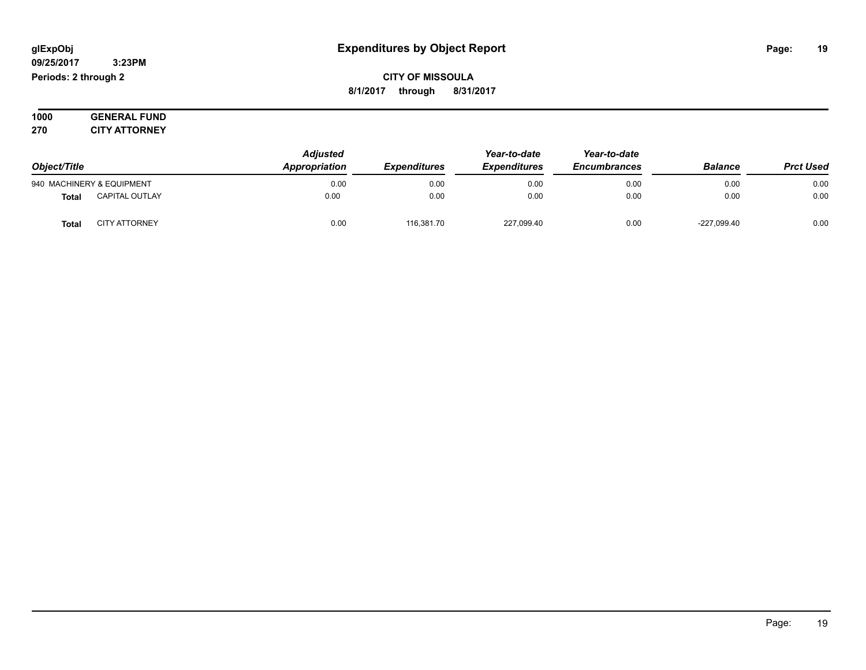#### **09/25/2017 3:23PM Periods: 2 through 2**

**CITY OF MISSOULA 8/1/2017 through 8/31/2017**

**1000 GENERAL FUND 270 CITY ATTORNEY**

| Object/Title |                           | <b>Adjusted</b><br>Appropriation | Year-to-date<br><b>Expenditures</b><br><i><b>Expenditures</b></i> | Year-to-date<br><b>Encumbrances</b> | <b>Balance</b> | <b>Prct Used</b> |      |
|--------------|---------------------------|----------------------------------|-------------------------------------------------------------------|-------------------------------------|----------------|------------------|------|
|              | 940 MACHINERY & EQUIPMENT | 0.00                             | 0.00                                                              | 0.00                                | 0.00           | 0.00             | 0.00 |
| <b>Total</b> | <b>CAPITAL OUTLAY</b>     | 0.00                             | 0.00                                                              | 0.00                                | 0.00           | 0.00             | 0.00 |
| Total        | <b>CITY ATTORNEY</b>      | 0.00                             | 116.381.70                                                        | 227,099.40                          | 0.00           | $-227,099.40$    | 0.00 |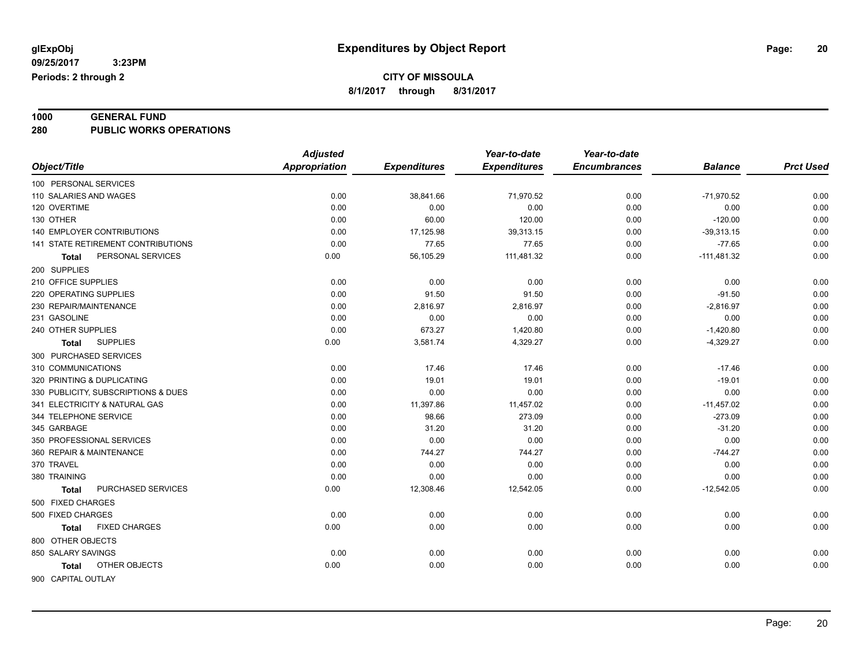# **1000 GENERAL FUND**

**280 PUBLIC WORKS OPERATIONS**

|                                     | <b>Adjusted</b>      |                     | Year-to-date        | Year-to-date        |                |                  |
|-------------------------------------|----------------------|---------------------|---------------------|---------------------|----------------|------------------|
| Object/Title                        | <b>Appropriation</b> | <b>Expenditures</b> | <b>Expenditures</b> | <b>Encumbrances</b> | <b>Balance</b> | <b>Prct Used</b> |
| 100 PERSONAL SERVICES               |                      |                     |                     |                     |                |                  |
| 110 SALARIES AND WAGES              | 0.00                 | 38,841.66           | 71,970.52           | 0.00                | $-71,970.52$   | 0.00             |
| 120 OVERTIME                        | 0.00                 | 0.00                | 0.00                | 0.00                | 0.00           | 0.00             |
| 130 OTHER                           | 0.00                 | 60.00               | 120.00              | 0.00                | $-120.00$      | 0.00             |
| <b>140 EMPLOYER CONTRIBUTIONS</b>   | 0.00                 | 17,125.98           | 39,313.15           | 0.00                | $-39,313.15$   | 0.00             |
| 141 STATE RETIREMENT CONTRIBUTIONS  | 0.00                 | 77.65               | 77.65               | 0.00                | $-77.65$       | 0.00             |
| PERSONAL SERVICES<br>Total          | 0.00                 | 56,105.29           | 111,481.32          | 0.00                | $-111,481.32$  | 0.00             |
| 200 SUPPLIES                        |                      |                     |                     |                     |                |                  |
| 210 OFFICE SUPPLIES                 | 0.00                 | 0.00                | 0.00                | 0.00                | 0.00           | 0.00             |
| 220 OPERATING SUPPLIES              | 0.00                 | 91.50               | 91.50               | 0.00                | $-91.50$       | 0.00             |
| 230 REPAIR/MAINTENANCE              | 0.00                 | 2,816.97            | 2,816.97            | 0.00                | $-2,816.97$    | 0.00             |
| 231 GASOLINE                        | 0.00                 | 0.00                | 0.00                | 0.00                | 0.00           | 0.00             |
| 240 OTHER SUPPLIES                  | 0.00                 | 673.27              | 1,420.80            | 0.00                | $-1,420.80$    | 0.00             |
| <b>SUPPLIES</b><br>Total            | 0.00                 | 3,581.74            | 4,329.27            | 0.00                | $-4,329.27$    | 0.00             |
| 300 PURCHASED SERVICES              |                      |                     |                     |                     |                |                  |
| 310 COMMUNICATIONS                  | 0.00                 | 17.46               | 17.46               | 0.00                | $-17.46$       | 0.00             |
| 320 PRINTING & DUPLICATING          | 0.00                 | 19.01               | 19.01               | 0.00                | $-19.01$       | 0.00             |
| 330 PUBLICITY, SUBSCRIPTIONS & DUES | 0.00                 | 0.00                | 0.00                | 0.00                | 0.00           | 0.00             |
| 341 ELECTRICITY & NATURAL GAS       | 0.00                 | 11,397.86           | 11,457.02           | 0.00                | $-11,457.02$   | 0.00             |
| 344 TELEPHONE SERVICE               | 0.00                 | 98.66               | 273.09              | 0.00                | $-273.09$      | 0.00             |
| 345 GARBAGE                         | 0.00                 | 31.20               | 31.20               | 0.00                | $-31.20$       | 0.00             |
| 350 PROFESSIONAL SERVICES           | 0.00                 | 0.00                | 0.00                | 0.00                | 0.00           | 0.00             |
| 360 REPAIR & MAINTENANCE            | 0.00                 | 744.27              | 744.27              | 0.00                | $-744.27$      | 0.00             |
| 370 TRAVEL                          | 0.00                 | 0.00                | 0.00                | 0.00                | 0.00           | 0.00             |
| 380 TRAINING                        | 0.00                 | 0.00                | 0.00                | 0.00                | 0.00           | 0.00             |
| PURCHASED SERVICES<br><b>Total</b>  | 0.00                 | 12,308.46           | 12,542.05           | 0.00                | $-12,542.05$   | 0.00             |
| 500 FIXED CHARGES                   |                      |                     |                     |                     |                |                  |
| 500 FIXED CHARGES                   | 0.00                 | 0.00                | 0.00                | 0.00                | 0.00           | 0.00             |
| <b>FIXED CHARGES</b><br>Total       | 0.00                 | 0.00                | 0.00                | 0.00                | 0.00           | 0.00             |
| 800 OTHER OBJECTS                   |                      |                     |                     |                     |                |                  |
| 850 SALARY SAVINGS                  | 0.00                 | 0.00                | 0.00                | 0.00                | 0.00           | 0.00             |
| OTHER OBJECTS<br>Total              | 0.00                 | 0.00                | 0.00                | 0.00                | 0.00           | 0.00             |
| 900 CAPITAL OUTLAY                  |                      |                     |                     |                     |                |                  |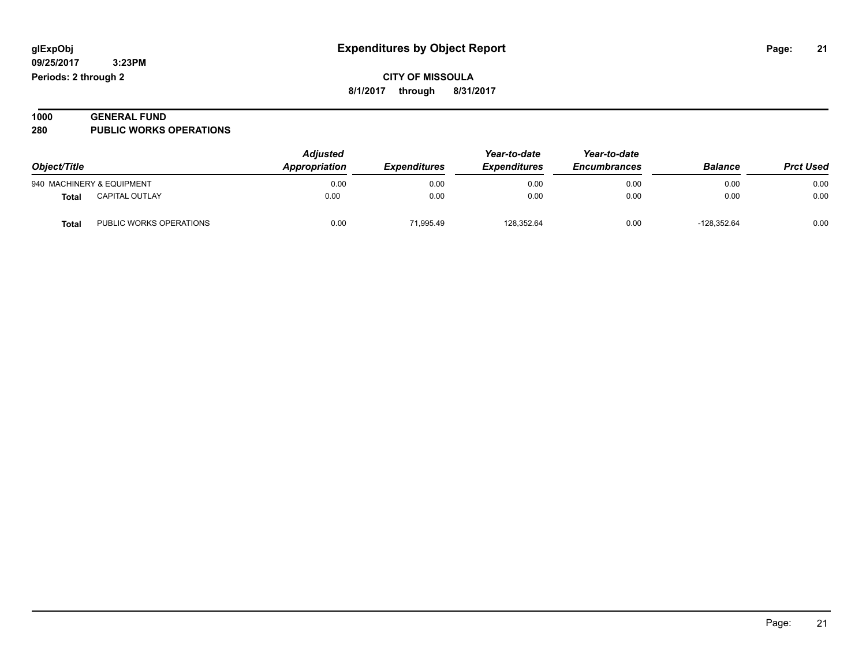| 1000 | <b>GENERAL FUND</b>            |  |
|------|--------------------------------|--|
| 280  | <b>PUBLIC WORKS OPERATIONS</b> |  |

| Object/Title |                           | <b>Adjusted</b><br>Appropriation | <b>Expenditures</b> | Year-to-date<br><b>Expenditures</b> | Year-to-date<br><b>Encumbrances</b> | <b>Balance</b> | <b>Prct Used</b> |
|--------------|---------------------------|----------------------------------|---------------------|-------------------------------------|-------------------------------------|----------------|------------------|
|              | 940 MACHINERY & EQUIPMENT | 0.00                             | 0.00                | 0.00                                | 0.00                                | 0.00           | 0.00             |
| Total        | <b>CAPITAL OUTLAY</b>     | 0.00                             | 0.00                | 0.00                                | 0.00                                | 0.00           | 0.00             |
| <b>Total</b> | PUBLIC WORKS OPERATIONS   | 0.00                             | 71.995.49           | 128.352.64                          | 0.00                                | $-128.352.64$  | 0.00             |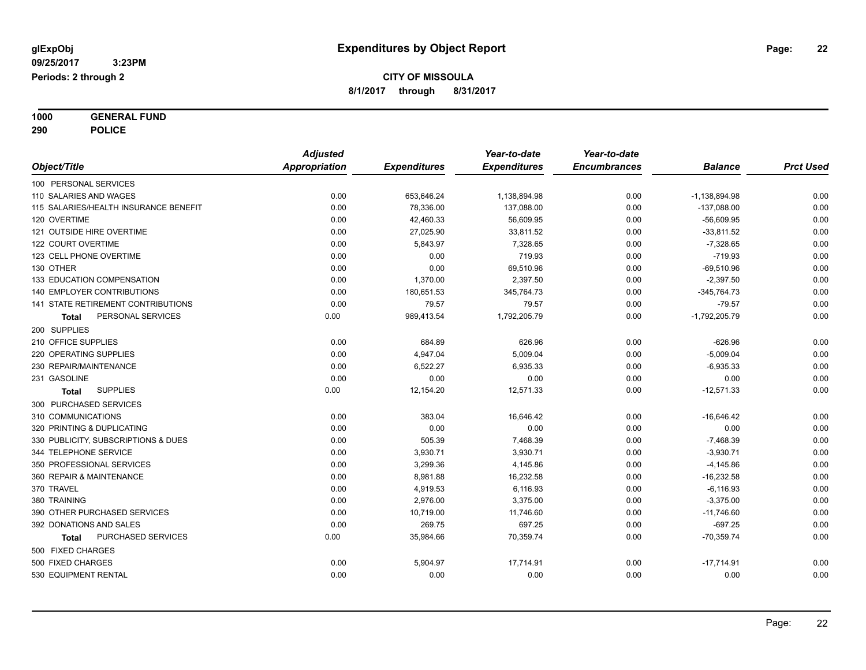**1000 GENERAL FUND 290 POLICE**

|                                       | <b>Adjusted</b> |                     | Year-to-date        | Year-to-date        |                 |                  |
|---------------------------------------|-----------------|---------------------|---------------------|---------------------|-----------------|------------------|
| Object/Title                          | Appropriation   | <b>Expenditures</b> | <b>Expenditures</b> | <b>Encumbrances</b> | <b>Balance</b>  | <b>Prct Used</b> |
| 100 PERSONAL SERVICES                 |                 |                     |                     |                     |                 |                  |
| 110 SALARIES AND WAGES                | 0.00            | 653,646.24          | 1,138,894.98        | 0.00                | $-1,138,894.98$ | 0.00             |
| 115 SALARIES/HEALTH INSURANCE BENEFIT | 0.00            | 78,336.00           | 137,088.00          | 0.00                | $-137,088.00$   | 0.00             |
| 120 OVERTIME                          | 0.00            | 42,460.33           | 56,609.95           | 0.00                | $-56,609.95$    | 0.00             |
| 121 OUTSIDE HIRE OVERTIME             | 0.00            | 27,025.90           | 33,811.52           | 0.00                | $-33,811.52$    | 0.00             |
| 122 COURT OVERTIME                    | 0.00            | 5,843.97            | 7,328.65            | 0.00                | $-7,328.65$     | 0.00             |
| 123 CELL PHONE OVERTIME               | 0.00            | 0.00                | 719.93              | 0.00                | $-719.93$       | 0.00             |
| 130 OTHER                             | 0.00            | 0.00                | 69,510.96           | 0.00                | $-69,510.96$    | 0.00             |
| 133 EDUCATION COMPENSATION            | 0.00            | 1,370.00            | 2,397.50            | 0.00                | $-2,397.50$     | 0.00             |
| <b>140 EMPLOYER CONTRIBUTIONS</b>     | 0.00            | 180,651.53          | 345,764.73          | 0.00                | $-345,764.73$   | 0.00             |
| 141 STATE RETIREMENT CONTRIBUTIONS    | 0.00            | 79.57               | 79.57               | 0.00                | $-79.57$        | 0.00             |
| PERSONAL SERVICES<br>Total            | 0.00            | 989,413.54          | 1,792,205.79        | 0.00                | $-1,792,205.79$ | 0.00             |
| 200 SUPPLIES                          |                 |                     |                     |                     |                 |                  |
| 210 OFFICE SUPPLIES                   | 0.00            | 684.89              | 626.96              | 0.00                | $-626.96$       | 0.00             |
| 220 OPERATING SUPPLIES                | 0.00            | 4,947.04            | 5,009.04            | 0.00                | $-5,009.04$     | 0.00             |
| 230 REPAIR/MAINTENANCE                | 0.00            | 6,522.27            | 6,935.33            | 0.00                | $-6,935.33$     | 0.00             |
| 231 GASOLINE                          | 0.00            | 0.00                | 0.00                | 0.00                | 0.00            | 0.00             |
| <b>SUPPLIES</b><br>Total              | 0.00            | 12,154.20           | 12,571.33           | 0.00                | $-12,571.33$    | 0.00             |
| 300 PURCHASED SERVICES                |                 |                     |                     |                     |                 |                  |
| 310 COMMUNICATIONS                    | 0.00            | 383.04              | 16,646.42           | 0.00                | $-16,646.42$    | 0.00             |
| 320 PRINTING & DUPLICATING            | 0.00            | 0.00                | 0.00                | 0.00                | 0.00            | 0.00             |
| 330 PUBLICITY, SUBSCRIPTIONS & DUES   | 0.00            | 505.39              | 7,468.39            | 0.00                | $-7,468.39$     | 0.00             |
| 344 TELEPHONE SERVICE                 | 0.00            | 3,930.71            | 3,930.71            | 0.00                | $-3,930.71$     | 0.00             |
| 350 PROFESSIONAL SERVICES             | 0.00            | 3,299.36            | 4,145.86            | 0.00                | $-4,145.86$     | 0.00             |
| 360 REPAIR & MAINTENANCE              | 0.00            | 8,981.88            | 16,232.58           | 0.00                | $-16,232.58$    | 0.00             |
| 370 TRAVEL                            | 0.00            | 4,919.53            | 6,116.93            | 0.00                | $-6, 116.93$    | 0.00             |
| 380 TRAINING                          | 0.00            | 2,976.00            | 3,375.00            | 0.00                | $-3,375.00$     | 0.00             |
| 390 OTHER PURCHASED SERVICES          | 0.00            | 10,719.00           | 11,746.60           | 0.00                | $-11,746.60$    | 0.00             |
| 392 DONATIONS AND SALES               | 0.00            | 269.75              | 697.25              | 0.00                | $-697.25$       | 0.00             |
| PURCHASED SERVICES<br>Total           | 0.00            | 35,984.66           | 70,359.74           | 0.00                | $-70,359.74$    | 0.00             |
| 500 FIXED CHARGES                     |                 |                     |                     |                     |                 |                  |
| 500 FIXED CHARGES                     | 0.00            | 5,904.97            | 17,714.91           | 0.00                | $-17,714.91$    | 0.00             |
| 530 EQUIPMENT RENTAL                  | 0.00            | 0.00                | 0.00                | 0.00                | 0.00            | 0.00             |
|                                       |                 |                     |                     |                     |                 |                  |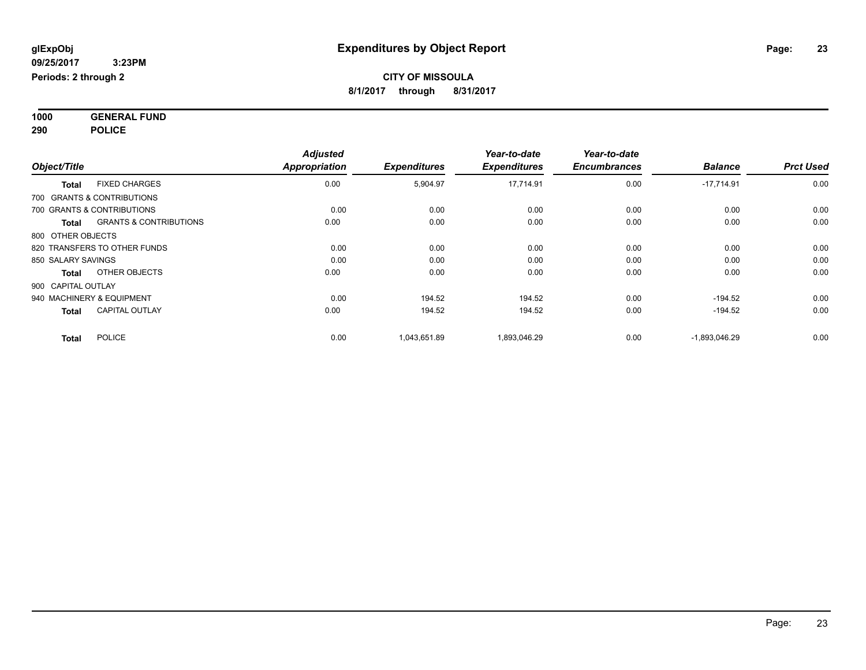**1000 GENERAL FUND 290 POLICE**

| Object/Title                               | <b>Adjusted</b><br>Appropriation | <b>Expenditures</b> | Year-to-date<br><b>Expenditures</b> | Year-to-date<br><b>Encumbrances</b> | <b>Balance</b>  | <b>Prct Used</b> |
|--------------------------------------------|----------------------------------|---------------------|-------------------------------------|-------------------------------------|-----------------|------------------|
| <b>FIXED CHARGES</b><br><b>Total</b>       | 0.00                             | 5,904.97            | 17,714.91                           | 0.00                                | $-17,714.91$    | 0.00             |
| 700 GRANTS & CONTRIBUTIONS                 |                                  |                     |                                     |                                     |                 |                  |
| 700 GRANTS & CONTRIBUTIONS                 | 0.00                             | 0.00                | 0.00                                | 0.00                                | 0.00            | 0.00             |
| <b>GRANTS &amp; CONTRIBUTIONS</b><br>Total | 0.00                             | 0.00                | 0.00                                | 0.00                                | 0.00            | 0.00             |
| 800 OTHER OBJECTS                          |                                  |                     |                                     |                                     |                 |                  |
| 820 TRANSFERS TO OTHER FUNDS               | 0.00                             | 0.00                | 0.00                                | 0.00                                | 0.00            | 0.00             |
| 850 SALARY SAVINGS                         | 0.00                             | 0.00                | 0.00                                | 0.00                                | 0.00            | 0.00             |
| OTHER OBJECTS<br><b>Total</b>              | 0.00                             | 0.00                | 0.00                                | 0.00                                | 0.00            | 0.00             |
| 900 CAPITAL OUTLAY                         |                                  |                     |                                     |                                     |                 |                  |
| 940 MACHINERY & EQUIPMENT                  | 0.00                             | 194.52              | 194.52                              | 0.00                                | $-194.52$       | 0.00             |
| <b>CAPITAL OUTLAY</b><br><b>Total</b>      | 0.00                             | 194.52              | 194.52                              | 0.00                                | $-194.52$       | 0.00             |
| <b>POLICE</b><br><b>Total</b>              | 0.00                             | 1,043,651.89        | 1,893,046.29                        | 0.00                                | $-1,893,046.29$ | 0.00             |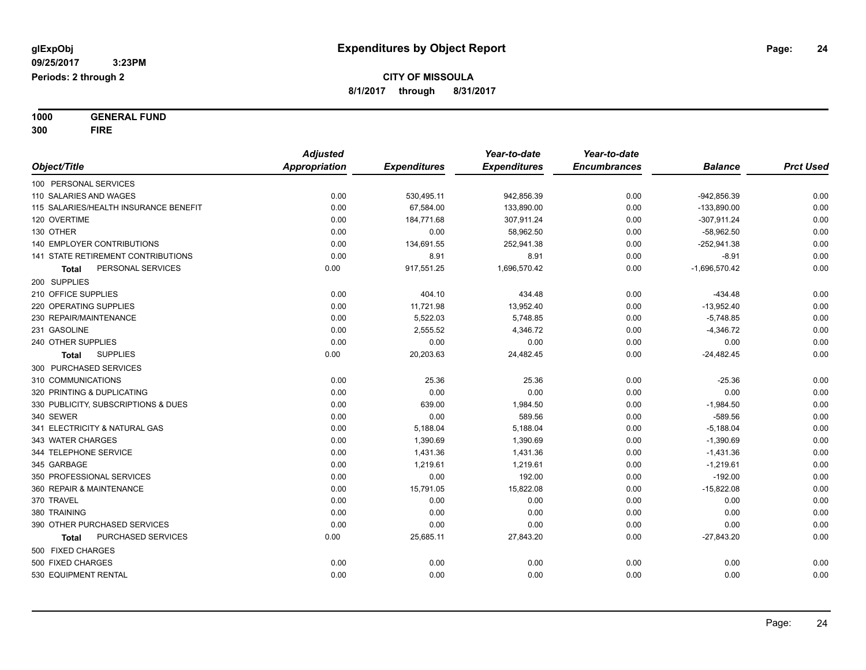**1000 GENERAL FUND 300 FIRE**

|                                           | <b>Adjusted</b> |                     | Year-to-date        | Year-to-date        |                 |                  |
|-------------------------------------------|-----------------|---------------------|---------------------|---------------------|-----------------|------------------|
| Object/Title                              | Appropriation   | <b>Expenditures</b> | <b>Expenditures</b> | <b>Encumbrances</b> | <b>Balance</b>  | <b>Prct Used</b> |
| 100 PERSONAL SERVICES                     |                 |                     |                     |                     |                 |                  |
| 110 SALARIES AND WAGES                    | 0.00            | 530,495.11          | 942,856.39          | 0.00                | -942,856.39     | 0.00             |
| 115 SALARIES/HEALTH INSURANCE BENEFIT     | 0.00            | 67,584.00           | 133,890.00          | 0.00                | $-133,890.00$   | 0.00             |
| 120 OVERTIME                              | 0.00            | 184,771.68          | 307,911.24          | 0.00                | $-307,911.24$   | 0.00             |
| 130 OTHER                                 | 0.00            | 0.00                | 58,962.50           | 0.00                | $-58,962.50$    | 0.00             |
| <b>140 EMPLOYER CONTRIBUTIONS</b>         | 0.00            | 134,691.55          | 252,941.38          | 0.00                | $-252,941.38$   | 0.00             |
| <b>141 STATE RETIREMENT CONTRIBUTIONS</b> | 0.00            | 8.91                | 8.91                | 0.00                | $-8.91$         | 0.00             |
| PERSONAL SERVICES<br>Total                | 0.00            | 917,551.25          | 1,696,570.42        | 0.00                | $-1,696,570.42$ | 0.00             |
| 200 SUPPLIES                              |                 |                     |                     |                     |                 |                  |
| 210 OFFICE SUPPLIES                       | 0.00            | 404.10              | 434.48              | 0.00                | $-434.48$       | 0.00             |
| 220 OPERATING SUPPLIES                    | 0.00            | 11,721.98           | 13,952.40           | 0.00                | $-13,952.40$    | 0.00             |
| 230 REPAIR/MAINTENANCE                    | 0.00            | 5,522.03            | 5,748.85            | 0.00                | $-5,748.85$     | 0.00             |
| 231 GASOLINE                              | 0.00            | 2,555.52            | 4,346.72            | 0.00                | $-4,346.72$     | 0.00             |
| 240 OTHER SUPPLIES                        | 0.00            | 0.00                | 0.00                | 0.00                | 0.00            | 0.00             |
| <b>SUPPLIES</b><br>Total                  | 0.00            | 20,203.63           | 24,482.45           | 0.00                | $-24,482.45$    | 0.00             |
| 300 PURCHASED SERVICES                    |                 |                     |                     |                     |                 |                  |
| 310 COMMUNICATIONS                        | 0.00            | 25.36               | 25.36               | 0.00                | $-25.36$        | 0.00             |
| 320 PRINTING & DUPLICATING                | 0.00            | 0.00                | 0.00                | 0.00                | 0.00            | 0.00             |
| 330 PUBLICITY, SUBSCRIPTIONS & DUES       | 0.00            | 639.00              | 1,984.50            | 0.00                | $-1,984.50$     | 0.00             |
| 340 SEWER                                 | 0.00            | 0.00                | 589.56              | 0.00                | $-589.56$       | 0.00             |
| 341 ELECTRICITY & NATURAL GAS             | 0.00            | 5,188.04            | 5,188.04            | 0.00                | $-5,188.04$     | 0.00             |
| 343 WATER CHARGES                         | 0.00            | 1,390.69            | 1,390.69            | 0.00                | $-1,390.69$     | 0.00             |
| 344 TELEPHONE SERVICE                     | 0.00            | 1,431.36            | 1,431.36            | 0.00                | $-1,431.36$     | 0.00             |
| 345 GARBAGE                               | 0.00            | 1,219.61            | 1,219.61            | 0.00                | $-1,219.61$     | 0.00             |
| 350 PROFESSIONAL SERVICES                 | 0.00            | 0.00                | 192.00              | 0.00                | $-192.00$       | 0.00             |
| 360 REPAIR & MAINTENANCE                  | 0.00            | 15,791.05           | 15,822.08           | 0.00                | $-15,822.08$    | 0.00             |
| 370 TRAVEL                                | 0.00            | 0.00                | 0.00                | 0.00                | 0.00            | 0.00             |
| 380 TRAINING                              | 0.00            | 0.00                | 0.00                | 0.00                | 0.00            | 0.00             |
| 390 OTHER PURCHASED SERVICES              | 0.00            | 0.00                | 0.00                | 0.00                | 0.00            | 0.00             |
| PURCHASED SERVICES<br>Total               | 0.00            | 25,685.11           | 27,843.20           | 0.00                | $-27,843.20$    | 0.00             |
| 500 FIXED CHARGES                         |                 |                     |                     |                     |                 |                  |
| 500 FIXED CHARGES                         | 0.00            | 0.00                | 0.00                | 0.00                | 0.00            | 0.00             |
| 530 EQUIPMENT RENTAL                      | 0.00            | 0.00                | 0.00                | 0.00                | 0.00            | 0.00             |
|                                           |                 |                     |                     |                     |                 |                  |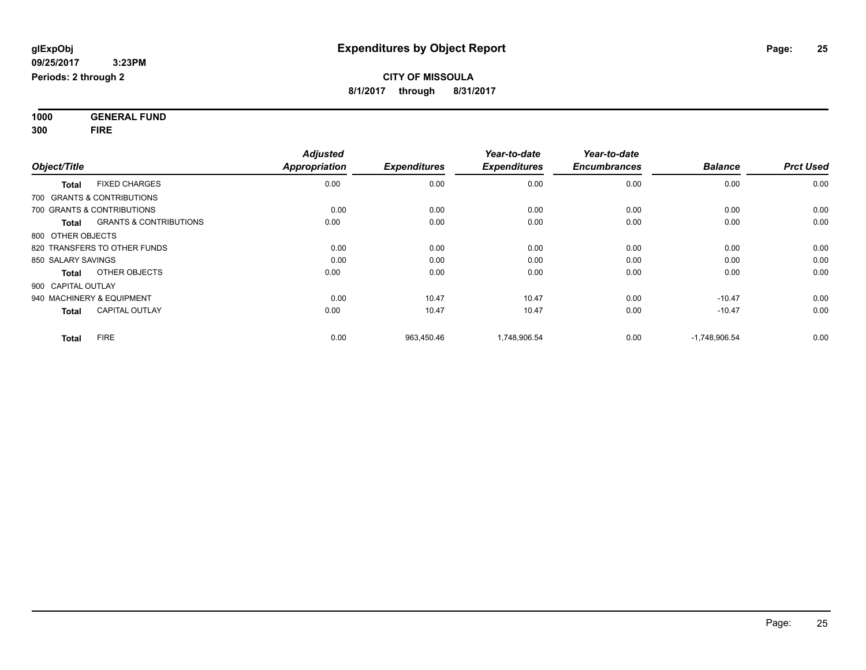**1000 GENERAL FUND 300 FIRE**

| Object/Title                                      | <b>Adjusted</b><br><b>Appropriation</b> | <b>Expenditures</b> | Year-to-date<br><b>Expenditures</b> | Year-to-date<br><b>Encumbrances</b> | <b>Balance</b>  | <b>Prct Used</b> |
|---------------------------------------------------|-----------------------------------------|---------------------|-------------------------------------|-------------------------------------|-----------------|------------------|
| <b>FIXED CHARGES</b><br><b>Total</b>              | 0.00                                    | 0.00                | 0.00                                | 0.00                                | 0.00            | 0.00             |
| 700 GRANTS & CONTRIBUTIONS                        |                                         |                     |                                     |                                     |                 |                  |
| 700 GRANTS & CONTRIBUTIONS                        | 0.00                                    | 0.00                | 0.00                                | 0.00                                | 0.00            | 0.00             |
| <b>GRANTS &amp; CONTRIBUTIONS</b><br><b>Total</b> | 0.00                                    | 0.00                | 0.00                                | 0.00                                | 0.00            | 0.00             |
| 800 OTHER OBJECTS                                 |                                         |                     |                                     |                                     |                 |                  |
| 820 TRANSFERS TO OTHER FUNDS                      | 0.00                                    | 0.00                | 0.00                                | 0.00                                | 0.00            | 0.00             |
| 850 SALARY SAVINGS                                | 0.00                                    | 0.00                | 0.00                                | 0.00                                | 0.00            | 0.00             |
| OTHER OBJECTS<br><b>Total</b>                     | 0.00                                    | 0.00                | 0.00                                | 0.00                                | 0.00            | 0.00             |
| 900 CAPITAL OUTLAY                                |                                         |                     |                                     |                                     |                 |                  |
| 940 MACHINERY & EQUIPMENT                         | 0.00                                    | 10.47               | 10.47                               | 0.00                                | $-10.47$        | 0.00             |
| <b>CAPITAL OUTLAY</b><br><b>Total</b>             | 0.00                                    | 10.47               | 10.47                               | 0.00                                | $-10.47$        | 0.00             |
| <b>FIRE</b><br><b>Total</b>                       | 0.00                                    | 963,450.46          | 1,748,906.54                        | 0.00                                | $-1,748,906.54$ | 0.00             |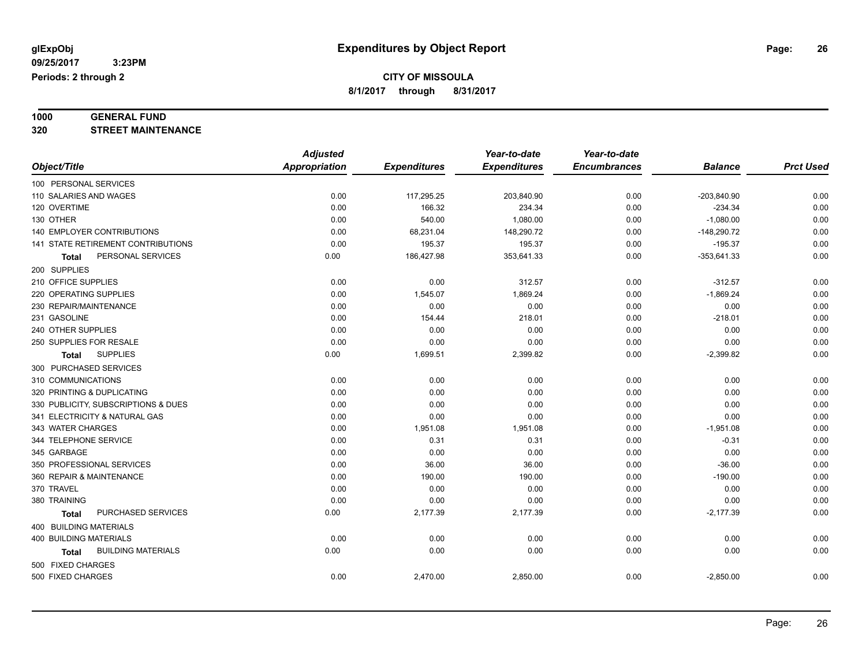# **1000 GENERAL FUND**

**320 STREET MAINTENANCE**

|                                           | <b>Adjusted</b>      |                     | Year-to-date        | Year-to-date        |                |                  |
|-------------------------------------------|----------------------|---------------------|---------------------|---------------------|----------------|------------------|
| Object/Title                              | <b>Appropriation</b> | <b>Expenditures</b> | <b>Expenditures</b> | <b>Encumbrances</b> | <b>Balance</b> | <b>Prct Used</b> |
| 100 PERSONAL SERVICES                     |                      |                     |                     |                     |                |                  |
| 110 SALARIES AND WAGES                    | 0.00                 | 117,295.25          | 203,840.90          | 0.00                | $-203,840.90$  | 0.00             |
| 120 OVERTIME                              | 0.00                 | 166.32              | 234.34              | 0.00                | $-234.34$      | 0.00             |
| 130 OTHER                                 | 0.00                 | 540.00              | 1,080.00            | 0.00                | $-1,080.00$    | 0.00             |
| 140 EMPLOYER CONTRIBUTIONS                | 0.00                 | 68,231.04           | 148,290.72          | 0.00                | $-148,290.72$  | 0.00             |
| 141 STATE RETIREMENT CONTRIBUTIONS        | 0.00                 | 195.37              | 195.37              | 0.00                | $-195.37$      | 0.00             |
| PERSONAL SERVICES<br>Total                | 0.00                 | 186,427.98          | 353,641.33          | 0.00                | $-353,641.33$  | 0.00             |
| 200 SUPPLIES                              |                      |                     |                     |                     |                |                  |
| 210 OFFICE SUPPLIES                       | 0.00                 | 0.00                | 312.57              | 0.00                | $-312.57$      | 0.00             |
| 220 OPERATING SUPPLIES                    | 0.00                 | 1,545.07            | 1,869.24            | 0.00                | $-1,869.24$    | 0.00             |
| 230 REPAIR/MAINTENANCE                    | 0.00                 | 0.00                | 0.00                | 0.00                | 0.00           | 0.00             |
| 231 GASOLINE                              | 0.00                 | 154.44              | 218.01              | 0.00                | $-218.01$      | 0.00             |
| 240 OTHER SUPPLIES                        | 0.00                 | 0.00                | 0.00                | 0.00                | 0.00           | 0.00             |
| 250 SUPPLIES FOR RESALE                   | 0.00                 | 0.00                | 0.00                | 0.00                | 0.00           | 0.00             |
| <b>SUPPLIES</b><br><b>Total</b>           | 0.00                 | 1,699.51            | 2,399.82            | 0.00                | $-2,399.82$    | 0.00             |
| 300 PURCHASED SERVICES                    |                      |                     |                     |                     |                |                  |
| 310 COMMUNICATIONS                        | 0.00                 | 0.00                | 0.00                | 0.00                | 0.00           | 0.00             |
| 320 PRINTING & DUPLICATING                | 0.00                 | 0.00                | 0.00                | 0.00                | 0.00           | 0.00             |
| 330 PUBLICITY, SUBSCRIPTIONS & DUES       | 0.00                 | 0.00                | 0.00                | 0.00                | 0.00           | 0.00             |
| 341 ELECTRICITY & NATURAL GAS             | 0.00                 | 0.00                | 0.00                | 0.00                | 0.00           | 0.00             |
| 343 WATER CHARGES                         | 0.00                 | 1,951.08            | 1,951.08            | 0.00                | $-1,951.08$    | 0.00             |
| 344 TELEPHONE SERVICE                     | 0.00                 | 0.31                | 0.31                | 0.00                | $-0.31$        | 0.00             |
| 345 GARBAGE                               | 0.00                 | 0.00                | 0.00                | 0.00                | 0.00           | 0.00             |
| 350 PROFESSIONAL SERVICES                 | 0.00                 | 36.00               | 36.00               | 0.00                | $-36.00$       | 0.00             |
| 360 REPAIR & MAINTENANCE                  | 0.00                 | 190.00              | 190.00              | 0.00                | $-190.00$      | 0.00             |
| 370 TRAVEL                                | 0.00                 | 0.00                | 0.00                | 0.00                | 0.00           | 0.00             |
| 380 TRAINING                              | 0.00                 | 0.00                | 0.00                | 0.00                | 0.00           | 0.00             |
| PURCHASED SERVICES<br>Total               | 0.00                 | 2,177.39            | 2,177.39            | 0.00                | $-2,177.39$    | 0.00             |
| 400 BUILDING MATERIALS                    |                      |                     |                     |                     |                |                  |
| <b>400 BUILDING MATERIALS</b>             | 0.00                 | 0.00                | 0.00                | 0.00                | 0.00           | 0.00             |
| <b>BUILDING MATERIALS</b><br><b>Total</b> | 0.00                 | 0.00                | 0.00                | 0.00                | 0.00           | 0.00             |
| 500 FIXED CHARGES                         |                      |                     |                     |                     |                |                  |
| 500 FIXED CHARGES                         | 0.00                 | 2,470.00            | 2,850.00            | 0.00                | $-2,850.00$    | 0.00             |
|                                           |                      |                     |                     |                     |                |                  |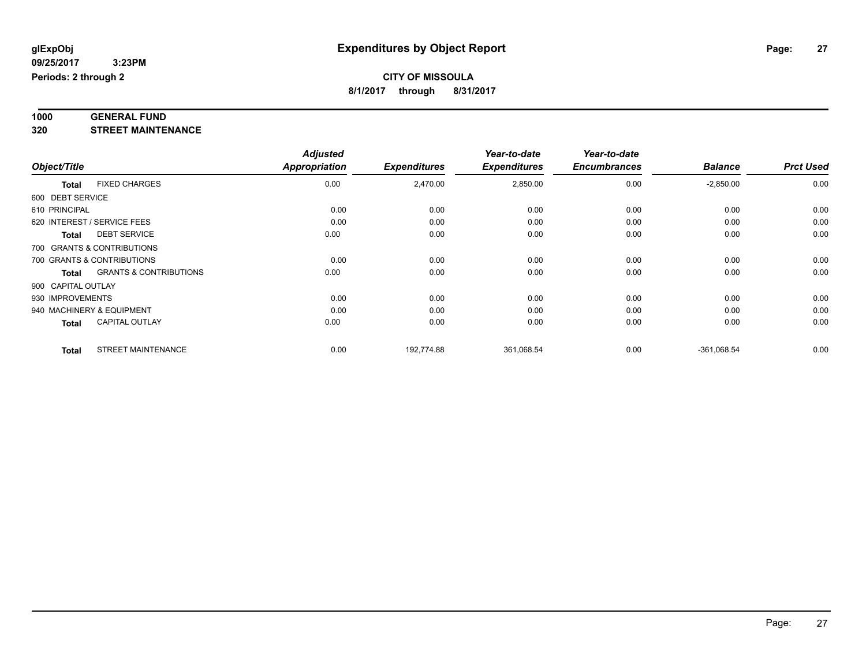# **1000 GENERAL FUND**

**320 STREET MAINTENANCE**

|                    |                                   | <b>Adjusted</b>      |                     | Year-to-date        | Year-to-date        |                |                  |
|--------------------|-----------------------------------|----------------------|---------------------|---------------------|---------------------|----------------|------------------|
| Object/Title       |                                   | <b>Appropriation</b> | <b>Expenditures</b> | <b>Expenditures</b> | <b>Encumbrances</b> | <b>Balance</b> | <b>Prct Used</b> |
| <b>Total</b>       | <b>FIXED CHARGES</b>              | 0.00                 | 2,470.00            | 2,850.00            | 0.00                | $-2,850.00$    | 0.00             |
| 600 DEBT SERVICE   |                                   |                      |                     |                     |                     |                |                  |
| 610 PRINCIPAL      |                                   | 0.00                 | 0.00                | 0.00                | 0.00                | 0.00           | 0.00             |
|                    | 620 INTEREST / SERVICE FEES       | 0.00                 | 0.00                | 0.00                | 0.00                | 0.00           | 0.00             |
| <b>Total</b>       | <b>DEBT SERVICE</b>               | 0.00                 | 0.00                | 0.00                | 0.00                | 0.00           | 0.00             |
|                    | 700 GRANTS & CONTRIBUTIONS        |                      |                     |                     |                     |                |                  |
|                    | 700 GRANTS & CONTRIBUTIONS        | 0.00                 | 0.00                | 0.00                | 0.00                | 0.00           | 0.00             |
| Total              | <b>GRANTS &amp; CONTRIBUTIONS</b> | 0.00                 | 0.00                | 0.00                | 0.00                | 0.00           | 0.00             |
| 900 CAPITAL OUTLAY |                                   |                      |                     |                     |                     |                |                  |
| 930 IMPROVEMENTS   |                                   | 0.00                 | 0.00                | 0.00                | 0.00                | 0.00           | 0.00             |
|                    | 940 MACHINERY & EQUIPMENT         | 0.00                 | 0.00                | 0.00                | 0.00                | 0.00           | 0.00             |
| <b>Total</b>       | <b>CAPITAL OUTLAY</b>             | 0.00                 | 0.00                | 0.00                | 0.00                | 0.00           | 0.00             |
| <b>Total</b>       | <b>STREET MAINTENANCE</b>         | 0.00                 | 192,774.88          | 361,068.54          | 0.00                | $-361,068.54$  | 0.00             |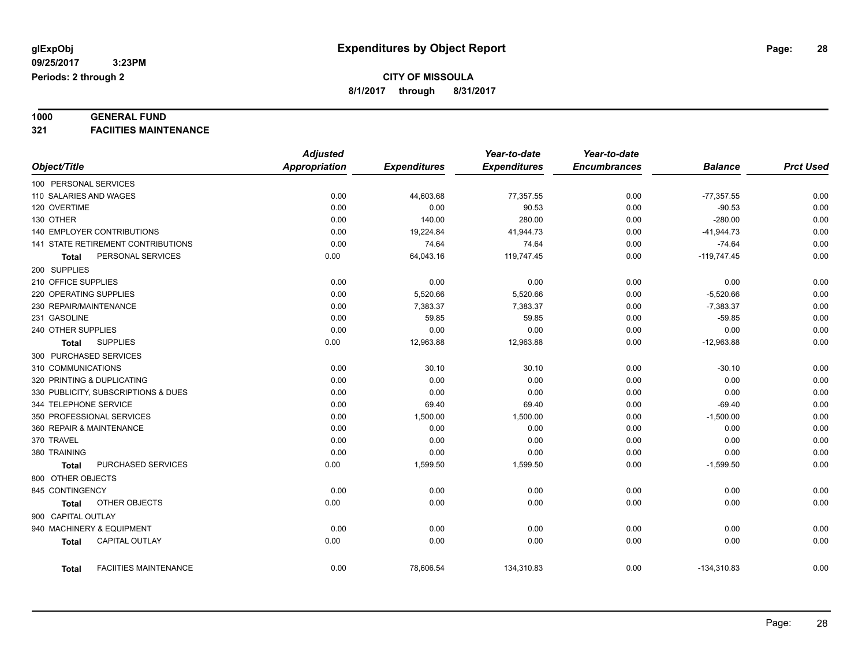# **1000 GENERAL FUND**

**321 FACIITIES MAINTENANCE**

|                                   |                                     | <b>Adjusted</b>      |                     | Year-to-date        | Year-to-date        |                |                  |
|-----------------------------------|-------------------------------------|----------------------|---------------------|---------------------|---------------------|----------------|------------------|
| Object/Title                      |                                     | <b>Appropriation</b> | <b>Expenditures</b> | <b>Expenditures</b> | <b>Encumbrances</b> | <b>Balance</b> | <b>Prct Used</b> |
| 100 PERSONAL SERVICES             |                                     |                      |                     |                     |                     |                |                  |
| 110 SALARIES AND WAGES            |                                     | 0.00                 | 44,603.68           | 77,357.55           | 0.00                | $-77,357.55$   | 0.00             |
| 120 OVERTIME                      |                                     | 0.00                 | 0.00                | 90.53               | 0.00                | $-90.53$       | 0.00             |
| 130 OTHER                         |                                     | 0.00                 | 140.00              | 280.00              | 0.00                | $-280.00$      | 0.00             |
| <b>140 EMPLOYER CONTRIBUTIONS</b> |                                     | 0.00                 | 19,224.84           | 41,944.73           | 0.00                | $-41,944.73$   | 0.00             |
|                                   | 141 STATE RETIREMENT CONTRIBUTIONS  | 0.00                 | 74.64               | 74.64               | 0.00                | $-74.64$       | 0.00             |
| <b>Total</b>                      | PERSONAL SERVICES                   | 0.00                 | 64,043.16           | 119,747.45          | 0.00                | $-119,747.45$  | 0.00             |
| 200 SUPPLIES                      |                                     |                      |                     |                     |                     |                |                  |
| 210 OFFICE SUPPLIES               |                                     | 0.00                 | 0.00                | 0.00                | 0.00                | 0.00           | 0.00             |
| 220 OPERATING SUPPLIES            |                                     | 0.00                 | 5,520.66            | 5,520.66            | 0.00                | $-5,520.66$    | 0.00             |
| 230 REPAIR/MAINTENANCE            |                                     | 0.00                 | 7,383.37            | 7,383.37            | 0.00                | $-7,383.37$    | 0.00             |
| 231 GASOLINE                      |                                     | 0.00                 | 59.85               | 59.85               | 0.00                | $-59.85$       | 0.00             |
| 240 OTHER SUPPLIES                |                                     | 0.00                 | 0.00                | 0.00                | 0.00                | 0.00           | 0.00             |
| <b>Total</b>                      | <b>SUPPLIES</b>                     | 0.00                 | 12,963.88           | 12,963.88           | 0.00                | $-12,963.88$   | 0.00             |
| 300 PURCHASED SERVICES            |                                     |                      |                     |                     |                     |                |                  |
| 310 COMMUNICATIONS                |                                     | 0.00                 | 30.10               | 30.10               | 0.00                | $-30.10$       | 0.00             |
| 320 PRINTING & DUPLICATING        |                                     | 0.00                 | 0.00                | 0.00                | 0.00                | 0.00           | 0.00             |
|                                   | 330 PUBLICITY, SUBSCRIPTIONS & DUES | 0.00                 | 0.00                | 0.00                | 0.00                | 0.00           | 0.00             |
| 344 TELEPHONE SERVICE             |                                     | 0.00                 | 69.40               | 69.40               | 0.00                | $-69.40$       | 0.00             |
| 350 PROFESSIONAL SERVICES         |                                     | 0.00                 | 1,500.00            | 1,500.00            | 0.00                | $-1,500.00$    | 0.00             |
| 360 REPAIR & MAINTENANCE          |                                     | 0.00                 | 0.00                | 0.00                | 0.00                | 0.00           | 0.00             |
| 370 TRAVEL                        |                                     | 0.00                 | 0.00                | 0.00                | 0.00                | 0.00           | 0.00             |
| 380 TRAINING                      |                                     | 0.00                 | 0.00                | 0.00                | 0.00                | 0.00           | 0.00             |
| <b>Total</b>                      | PURCHASED SERVICES                  | 0.00                 | 1,599.50            | 1,599.50            | 0.00                | $-1,599.50$    | 0.00             |
| 800 OTHER OBJECTS                 |                                     |                      |                     |                     |                     |                |                  |
| 845 CONTINGENCY                   |                                     | 0.00                 | 0.00                | 0.00                | 0.00                | 0.00           | 0.00             |
| Total                             | OTHER OBJECTS                       | 0.00                 | 0.00                | 0.00                | 0.00                | 0.00           | 0.00             |
| 900 CAPITAL OUTLAY                |                                     |                      |                     |                     |                     |                |                  |
| 940 MACHINERY & EQUIPMENT         |                                     | 0.00                 | 0.00                | 0.00                | 0.00                | 0.00           | 0.00             |
| <b>Total</b>                      | <b>CAPITAL OUTLAY</b>               | 0.00                 | 0.00                | 0.00                | 0.00                | 0.00           | 0.00             |
|                                   |                                     |                      |                     |                     |                     |                |                  |
| <b>Total</b>                      | <b>FACIITIES MAINTENANCE</b>        | 0.00                 | 78,606.54           | 134,310.83          | 0.00                | $-134,310.83$  | 0.00             |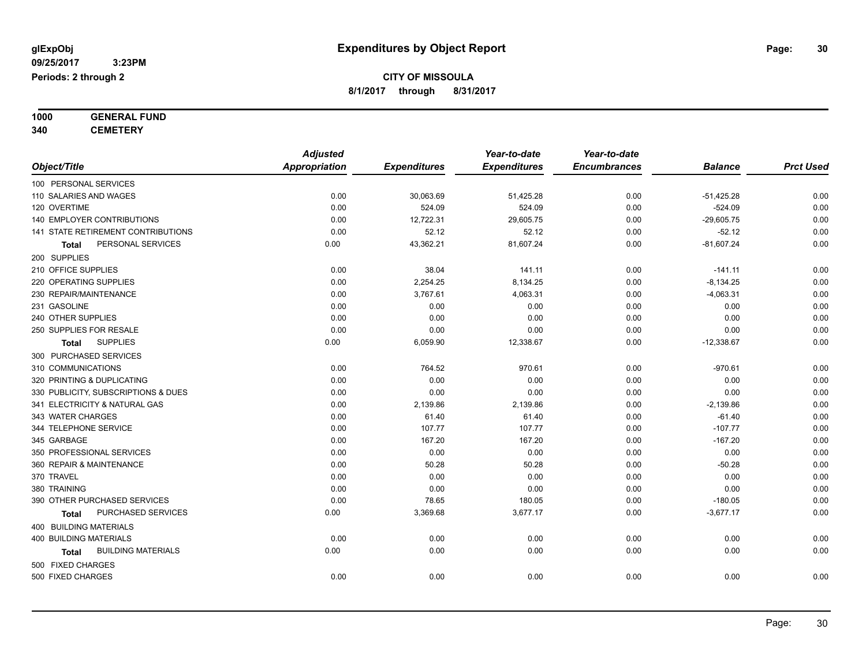**1000 GENERAL FUND**

**340 CEMETERY**

|                                     | <b>Adjusted</b>      |                     | Year-to-date        | Year-to-date        |                |                  |
|-------------------------------------|----------------------|---------------------|---------------------|---------------------|----------------|------------------|
| Object/Title                        | <b>Appropriation</b> | <b>Expenditures</b> | <b>Expenditures</b> | <b>Encumbrances</b> | <b>Balance</b> | <b>Prct Used</b> |
| 100 PERSONAL SERVICES               |                      |                     |                     |                     |                |                  |
| 110 SALARIES AND WAGES              | 0.00                 | 30,063.69           | 51,425.28           | 0.00                | $-51,425.28$   | 0.00             |
| 120 OVERTIME                        | 0.00                 | 524.09              | 524.09              | 0.00                | $-524.09$      | 0.00             |
| 140 EMPLOYER CONTRIBUTIONS          | 0.00                 | 12,722.31           | 29,605.75           | 0.00                | $-29,605.75$   | 0.00             |
| 141 STATE RETIREMENT CONTRIBUTIONS  | 0.00                 | 52.12               | 52.12               | 0.00                | $-52.12$       | 0.00             |
| PERSONAL SERVICES<br>Total          | 0.00                 | 43,362.21           | 81,607.24           | 0.00                | $-81,607.24$   | 0.00             |
| 200 SUPPLIES                        |                      |                     |                     |                     |                |                  |
| 210 OFFICE SUPPLIES                 | 0.00                 | 38.04               | 141.11              | 0.00                | $-141.11$      | 0.00             |
| 220 OPERATING SUPPLIES              | 0.00                 | 2,254.25            | 8,134.25            | 0.00                | $-8,134.25$    | 0.00             |
| 230 REPAIR/MAINTENANCE              | 0.00                 | 3,767.61            | 4,063.31            | 0.00                | $-4,063.31$    | 0.00             |
| 231 GASOLINE                        | 0.00                 | 0.00                | 0.00                | 0.00                | 0.00           | 0.00             |
| 240 OTHER SUPPLIES                  | 0.00                 | 0.00                | 0.00                | 0.00                | 0.00           | 0.00             |
| 250 SUPPLIES FOR RESALE             | 0.00                 | 0.00                | 0.00                | 0.00                | 0.00           | 0.00             |
| <b>SUPPLIES</b><br><b>Total</b>     | 0.00                 | 6,059.90            | 12,338.67           | 0.00                | $-12,338.67$   | 0.00             |
| 300 PURCHASED SERVICES              |                      |                     |                     |                     |                |                  |
| 310 COMMUNICATIONS                  | 0.00                 | 764.52              | 970.61              | 0.00                | $-970.61$      | 0.00             |
| 320 PRINTING & DUPLICATING          | 0.00                 | 0.00                | 0.00                | 0.00                | 0.00           | 0.00             |
| 330 PUBLICITY, SUBSCRIPTIONS & DUES | 0.00                 | 0.00                | 0.00                | 0.00                | 0.00           | 0.00             |
| 341 ELECTRICITY & NATURAL GAS       | 0.00                 | 2,139.86            | 2,139.86            | 0.00                | $-2,139.86$    | 0.00             |
| 343 WATER CHARGES                   | 0.00                 | 61.40               | 61.40               | 0.00                | $-61.40$       | 0.00             |
| 344 TELEPHONE SERVICE               | 0.00                 | 107.77              | 107.77              | 0.00                | $-107.77$      | 0.00             |
| 345 GARBAGE                         | 0.00                 | 167.20              | 167.20              | 0.00                | $-167.20$      | 0.00             |
| 350 PROFESSIONAL SERVICES           | 0.00                 | 0.00                | 0.00                | 0.00                | 0.00           | 0.00             |
| 360 REPAIR & MAINTENANCE            | 0.00                 | 50.28               | 50.28               | 0.00                | $-50.28$       | 0.00             |
| 370 TRAVEL                          | 0.00                 | 0.00                | 0.00                | 0.00                | 0.00           | 0.00             |
| 380 TRAINING                        | 0.00                 | 0.00                | 0.00                | 0.00                | 0.00           | 0.00             |
| 390 OTHER PURCHASED SERVICES        | 0.00                 | 78.65               | 180.05              | 0.00                | $-180.05$      | 0.00             |
| PURCHASED SERVICES<br>Total         | 0.00                 | 3,369.68            | 3,677.17            | 0.00                | $-3,677.17$    | 0.00             |
| 400 BUILDING MATERIALS              |                      |                     |                     |                     |                |                  |
| <b>400 BUILDING MATERIALS</b>       | 0.00                 | 0.00                | 0.00                | 0.00                | 0.00           | 0.00             |
| <b>BUILDING MATERIALS</b><br>Total  | 0.00                 | 0.00                | 0.00                | 0.00                | 0.00           | 0.00             |
| 500 FIXED CHARGES                   |                      |                     |                     |                     |                |                  |
| 500 FIXED CHARGES                   | 0.00                 | 0.00                | 0.00                | 0.00                | 0.00           | 0.00             |
|                                     |                      |                     |                     |                     |                |                  |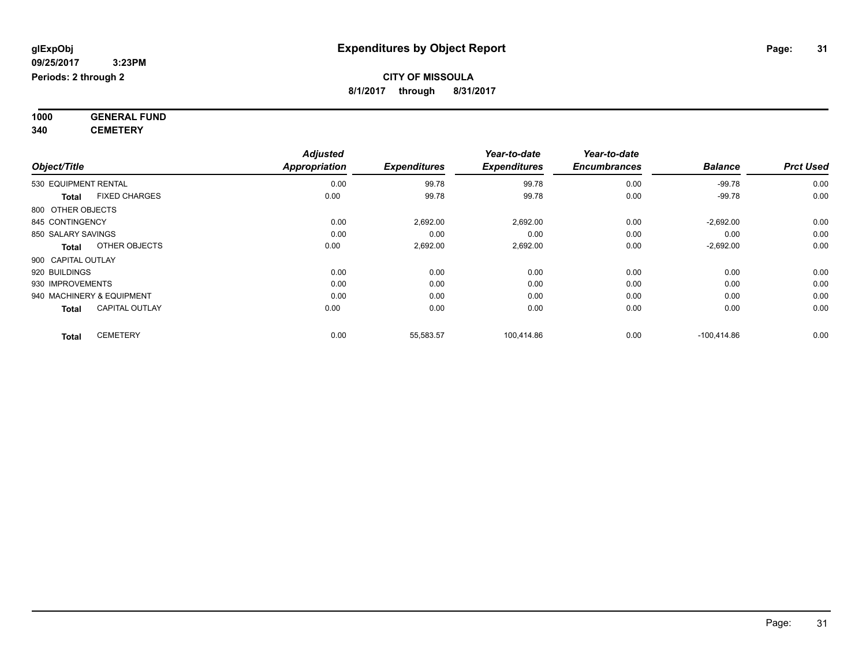**1000 GENERAL FUND 340 CEMETERY**

*Object/Title Adjusted Appropriation Expenditures Year-to-date Expenditures Year-to-date Encumbrances Balance Prct Used*  $0.00 \qquad \qquad 99.78 \qquad \qquad 0.00 \qquad \qquad 99.78 \qquad \qquad 0.00 \qquad \qquad 99.78 \qquad \qquad 0.00 \qquad \qquad 99.78 \qquad \qquad 0.00 \qquad \qquad 99.78 \qquad \qquad 0.00 \qquad \qquad 0.00 \qquad \qquad 0.00 \qquad \qquad 0.00 \qquad \qquad 0.00 \qquad \qquad 0.00 \qquad \qquad 0.00 \qquad \qquad 0.00 \qquad \qquad 0.00 \qquad \qquad 0.00 \qquad$ **Total** FIXED CHARGES 0.00 99.78 99.78 0.00 -99.78 0.00 800 OTHER OBJECTS 845 CONTINGENCY 2,692.00 2,692.00 0.00 850 SALARY SAVINGS 0.00 0.00 0.00 0.00 0.00 0.00 **Total** OTHER OBJECTS 0.00 2,692.00 2,692.00 0.00 -2,692.00 0.00 900 CAPITAL OUTLAY 920 BUILDINGS 0.00 0.00 0.00 0.00 0.00 0.00 930 IMPROVEMENTS 0.00 0.00 0.00 0.00 0.00 0.00 940 MACHINERY & EQUIPMENT 0.00 0.00 0.00 0.00 0.00 0.00 **Total** CAPITAL OUTLAY 0.00 0.00 0.00 0.00 0.00 0.00 **Total** CEMETERY 0.00 55,583.57 100,414.86 0.00 -100,414.86 0.00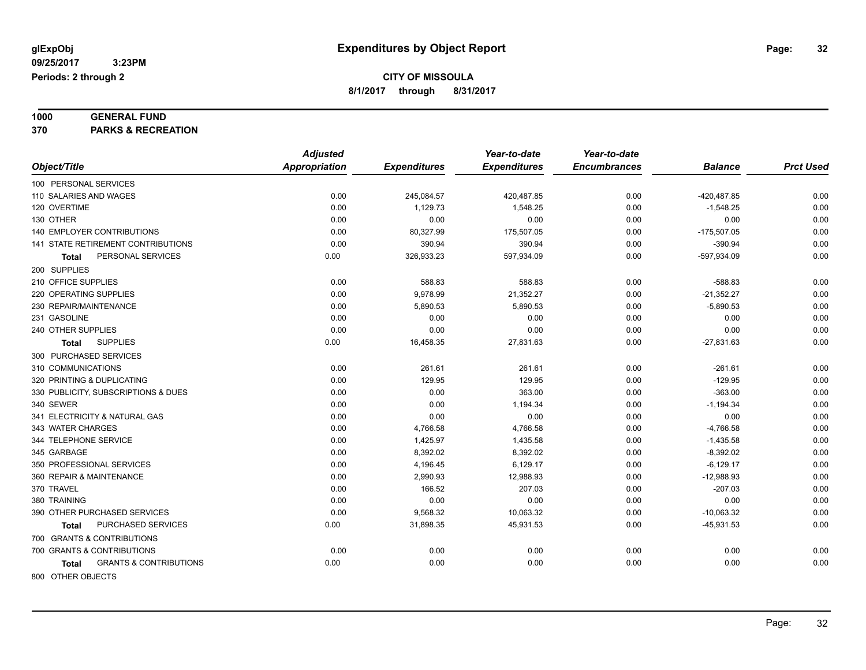# **1000 GENERAL FUND**

**370 PARKS & RECREATION**

|                                                   | <b>Adjusted</b> |                     | Year-to-date        | Year-to-date        |                |                  |
|---------------------------------------------------|-----------------|---------------------|---------------------|---------------------|----------------|------------------|
| Object/Title                                      | Appropriation   | <b>Expenditures</b> | <b>Expenditures</b> | <b>Encumbrances</b> | <b>Balance</b> | <b>Prct Used</b> |
| 100 PERSONAL SERVICES                             |                 |                     |                     |                     |                |                  |
| 110 SALARIES AND WAGES                            | 0.00            | 245,084.57          | 420,487.85          | 0.00                | -420,487.85    | 0.00             |
| 120 OVERTIME                                      | 0.00            | 1,129.73            | 1,548.25            | 0.00                | $-1,548.25$    | 0.00             |
| 130 OTHER                                         | 0.00            | 0.00                | 0.00                | 0.00                | 0.00           | 0.00             |
| <b>140 EMPLOYER CONTRIBUTIONS</b>                 | 0.00            | 80,327.99           | 175,507.05          | 0.00                | $-175,507.05$  | 0.00             |
| <b>141 STATE RETIREMENT CONTRIBUTIONS</b>         | 0.00            | 390.94              | 390.94              | 0.00                | $-390.94$      | 0.00             |
| PERSONAL SERVICES<br>Total                        | 0.00            | 326,933.23          | 597,934.09          | 0.00                | -597,934.09    | 0.00             |
| 200 SUPPLIES                                      |                 |                     |                     |                     |                |                  |
| 210 OFFICE SUPPLIES                               | 0.00            | 588.83              | 588.83              | 0.00                | $-588.83$      | 0.00             |
| 220 OPERATING SUPPLIES                            | 0.00            | 9,978.99            | 21,352.27           | 0.00                | $-21,352.27$   | 0.00             |
| 230 REPAIR/MAINTENANCE                            | 0.00            | 5,890.53            | 5,890.53            | 0.00                | $-5,890.53$    | 0.00             |
| 231 GASOLINE                                      | 0.00            | 0.00                | 0.00                | 0.00                | 0.00           | 0.00             |
| 240 OTHER SUPPLIES                                | 0.00            | 0.00                | 0.00                | 0.00                | 0.00           | 0.00             |
| <b>SUPPLIES</b><br>Total                          | 0.00            | 16,458.35           | 27,831.63           | 0.00                | $-27,831.63$   | 0.00             |
| 300 PURCHASED SERVICES                            |                 |                     |                     |                     |                |                  |
| 310 COMMUNICATIONS                                | 0.00            | 261.61              | 261.61              | 0.00                | $-261.61$      | 0.00             |
| 320 PRINTING & DUPLICATING                        | 0.00            | 129.95              | 129.95              | 0.00                | $-129.95$      | 0.00             |
| 330 PUBLICITY, SUBSCRIPTIONS & DUES               | 0.00            | 0.00                | 363.00              | 0.00                | $-363.00$      | 0.00             |
| 340 SEWER                                         | 0.00            | 0.00                | 1,194.34            | 0.00                | $-1,194.34$    | 0.00             |
| 341 ELECTRICITY & NATURAL GAS                     | 0.00            | 0.00                | 0.00                | 0.00                | 0.00           | 0.00             |
| 343 WATER CHARGES                                 | 0.00            | 4,766.58            | 4,766.58            | 0.00                | $-4,766.58$    | 0.00             |
| 344 TELEPHONE SERVICE                             | 0.00            | 1,425.97            | 1,435.58            | 0.00                | $-1,435.58$    | 0.00             |
| 345 GARBAGE                                       | 0.00            | 8,392.02            | 8,392.02            | 0.00                | $-8,392.02$    | 0.00             |
| 350 PROFESSIONAL SERVICES                         | 0.00            | 4,196.45            | 6,129.17            | 0.00                | $-6,129.17$    | 0.00             |
| 360 REPAIR & MAINTENANCE                          | 0.00            | 2,990.93            | 12,988.93           | 0.00                | $-12,988.93$   | 0.00             |
| 370 TRAVEL                                        | 0.00            | 166.52              | 207.03              | 0.00                | $-207.03$      | 0.00             |
| 380 TRAINING                                      | 0.00            | 0.00                | 0.00                | 0.00                | 0.00           | 0.00             |
| 390 OTHER PURCHASED SERVICES                      | 0.00            | 9,568.32            | 10,063.32           | 0.00                | $-10,063.32$   | 0.00             |
| PURCHASED SERVICES<br>Total                       | 0.00            | 31,898.35           | 45,931.53           | 0.00                | $-45,931.53$   | 0.00             |
| 700 GRANTS & CONTRIBUTIONS                        |                 |                     |                     |                     |                |                  |
| 700 GRANTS & CONTRIBUTIONS                        | 0.00            | 0.00                | 0.00                | 0.00                | 0.00           | 0.00             |
| <b>GRANTS &amp; CONTRIBUTIONS</b><br><b>Total</b> | 0.00            | 0.00                | 0.00                | 0.00                | 0.00           | 0.00             |
|                                                   |                 |                     |                     |                     |                |                  |

800 OTHER OBJECTS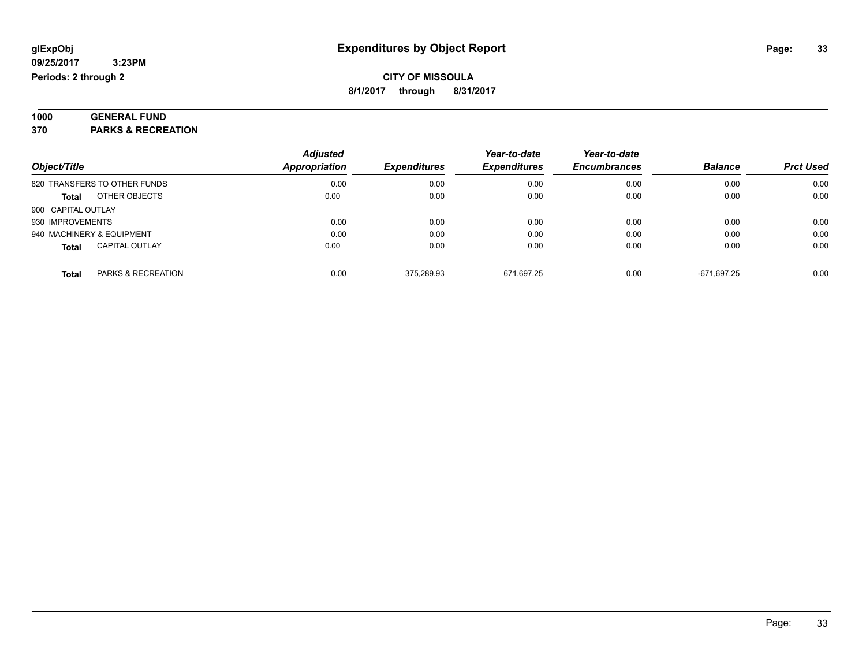| 1000 | <b>GENERAL FUND</b>           |  |
|------|-------------------------------|--|
| 370  | <b>PARKS &amp; RECREATION</b> |  |

| Object/Title                          | <b>Adjusted</b><br><b>Appropriation</b> | <b>Expenditures</b> | Year-to-date<br><b>Expenditures</b> | Year-to-date<br><b>Encumbrances</b> | <b>Balance</b> | <b>Prct Used</b> |
|---------------------------------------|-----------------------------------------|---------------------|-------------------------------------|-------------------------------------|----------------|------------------|
| 820 TRANSFERS TO OTHER FUNDS          | 0.00                                    | 0.00                | 0.00                                | 0.00                                | 0.00           | 0.00             |
| OTHER OBJECTS<br><b>Total</b>         | 0.00                                    | 0.00                | 0.00                                | 0.00                                | 0.00           | 0.00             |
| 900 CAPITAL OUTLAY                    |                                         |                     |                                     |                                     |                |                  |
| 930 IMPROVEMENTS                      | 0.00                                    | 0.00                | 0.00                                | 0.00                                | 0.00           | 0.00             |
| 940 MACHINERY & EQUIPMENT             | 0.00                                    | 0.00                | 0.00                                | 0.00                                | 0.00           | 0.00             |
| <b>CAPITAL OUTLAY</b><br><b>Total</b> | 0.00                                    | 0.00                | 0.00                                | 0.00                                | 0.00           | 0.00             |
| PARKS & RECREATION<br><b>Total</b>    | 0.00                                    | 375.289.93          | 671.697.25                          | 0.00                                | -671.697.25    | 0.00             |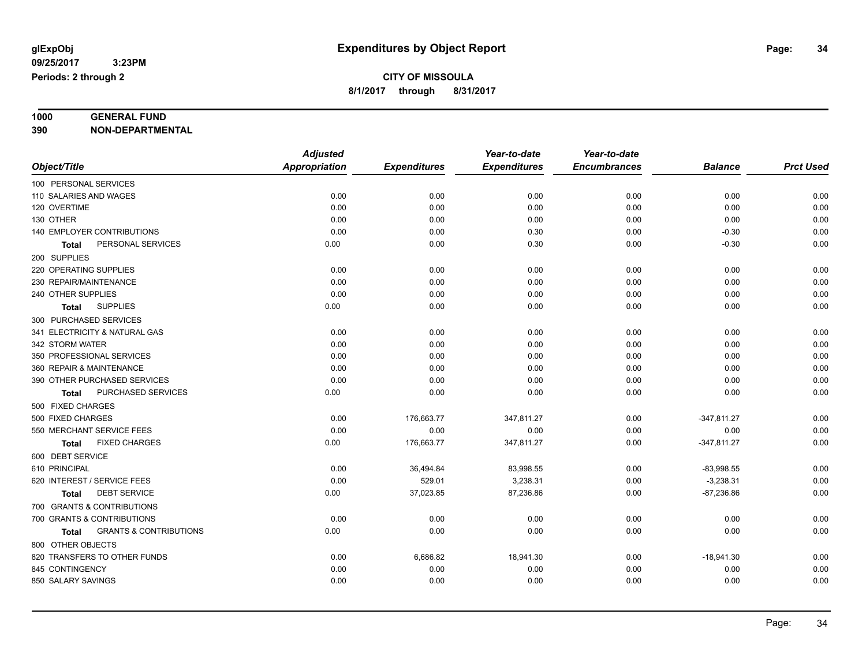# **1000 GENERAL FUND**

**390 NON-DEPARTMENTAL**

|                                                   | <b>Adjusted</b>      |                     | Year-to-date        | Year-to-date        |                |                  |
|---------------------------------------------------|----------------------|---------------------|---------------------|---------------------|----------------|------------------|
| Object/Title                                      | <b>Appropriation</b> | <b>Expenditures</b> | <b>Expenditures</b> | <b>Encumbrances</b> | <b>Balance</b> | <b>Prct Used</b> |
| 100 PERSONAL SERVICES                             |                      |                     |                     |                     |                |                  |
| 110 SALARIES AND WAGES                            | 0.00                 | 0.00                | 0.00                | 0.00                | 0.00           | 0.00             |
| 120 OVERTIME                                      | 0.00                 | 0.00                | 0.00                | 0.00                | 0.00           | 0.00             |
| 130 OTHER                                         | 0.00                 | 0.00                | 0.00                | 0.00                | 0.00           | 0.00             |
| 140 EMPLOYER CONTRIBUTIONS                        | 0.00                 | 0.00                | 0.30                | 0.00                | $-0.30$        | 0.00             |
| PERSONAL SERVICES<br>Total                        | 0.00                 | 0.00                | 0.30                | 0.00                | $-0.30$        | 0.00             |
| 200 SUPPLIES                                      |                      |                     |                     |                     |                |                  |
| 220 OPERATING SUPPLIES                            | 0.00                 | 0.00                | 0.00                | 0.00                | 0.00           | 0.00             |
| 230 REPAIR/MAINTENANCE                            | 0.00                 | 0.00                | 0.00                | 0.00                | 0.00           | 0.00             |
| 240 OTHER SUPPLIES                                | 0.00                 | 0.00                | 0.00                | 0.00                | 0.00           | 0.00             |
| <b>SUPPLIES</b><br><b>Total</b>                   | 0.00                 | 0.00                | 0.00                | 0.00                | 0.00           | 0.00             |
| 300 PURCHASED SERVICES                            |                      |                     |                     |                     |                |                  |
| 341 ELECTRICITY & NATURAL GAS                     | 0.00                 | 0.00                | 0.00                | 0.00                | 0.00           | 0.00             |
| 342 STORM WATER                                   | 0.00                 | 0.00                | 0.00                | 0.00                | 0.00           | 0.00             |
| 350 PROFESSIONAL SERVICES                         | 0.00                 | 0.00                | 0.00                | 0.00                | 0.00           | 0.00             |
| 360 REPAIR & MAINTENANCE                          | 0.00                 | 0.00                | 0.00                | 0.00                | 0.00           | 0.00             |
| 390 OTHER PURCHASED SERVICES                      | 0.00                 | 0.00                | 0.00                | 0.00                | 0.00           | 0.00             |
| PURCHASED SERVICES<br><b>Total</b>                | 0.00                 | 0.00                | 0.00                | 0.00                | 0.00           | 0.00             |
| 500 FIXED CHARGES                                 |                      |                     |                     |                     |                |                  |
| 500 FIXED CHARGES                                 | 0.00                 | 176,663.77          | 347,811.27          | 0.00                | $-347,811.27$  | 0.00             |
| 550 MERCHANT SERVICE FEES                         | 0.00                 | 0.00                | 0.00                | 0.00                | 0.00           | 0.00             |
| <b>FIXED CHARGES</b><br><b>Total</b>              | 0.00                 | 176,663.77          | 347,811.27          | 0.00                | $-347,811.27$  | 0.00             |
| 600 DEBT SERVICE                                  |                      |                     |                     |                     |                |                  |
| 610 PRINCIPAL                                     | 0.00                 | 36,494.84           | 83,998.55           | 0.00                | $-83,998.55$   | 0.00             |
| 620 INTEREST / SERVICE FEES                       | 0.00                 | 529.01              | 3,238.31            | 0.00                | $-3,238.31$    | 0.00             |
| <b>DEBT SERVICE</b><br><b>Total</b>               | 0.00                 | 37,023.85           | 87,236.86           | 0.00                | $-87,236.86$   | 0.00             |
| 700 GRANTS & CONTRIBUTIONS                        |                      |                     |                     |                     |                |                  |
| 700 GRANTS & CONTRIBUTIONS                        | 0.00                 | 0.00                | 0.00                | 0.00                | 0.00           | 0.00             |
| <b>GRANTS &amp; CONTRIBUTIONS</b><br><b>Total</b> | 0.00                 | 0.00                | 0.00                | 0.00                | 0.00           | 0.00             |
| 800 OTHER OBJECTS                                 |                      |                     |                     |                     |                |                  |
| 820 TRANSFERS TO OTHER FUNDS                      | 0.00                 | 6,686.82            | 18,941.30           | 0.00                | $-18,941.30$   | 0.00             |
| 845 CONTINGENCY                                   | 0.00                 | 0.00                | 0.00                | 0.00                | 0.00           | 0.00             |
| 850 SALARY SAVINGS                                | 0.00                 | 0.00                | 0.00                | 0.00                | 0.00           | 0.00             |
|                                                   |                      |                     |                     |                     |                |                  |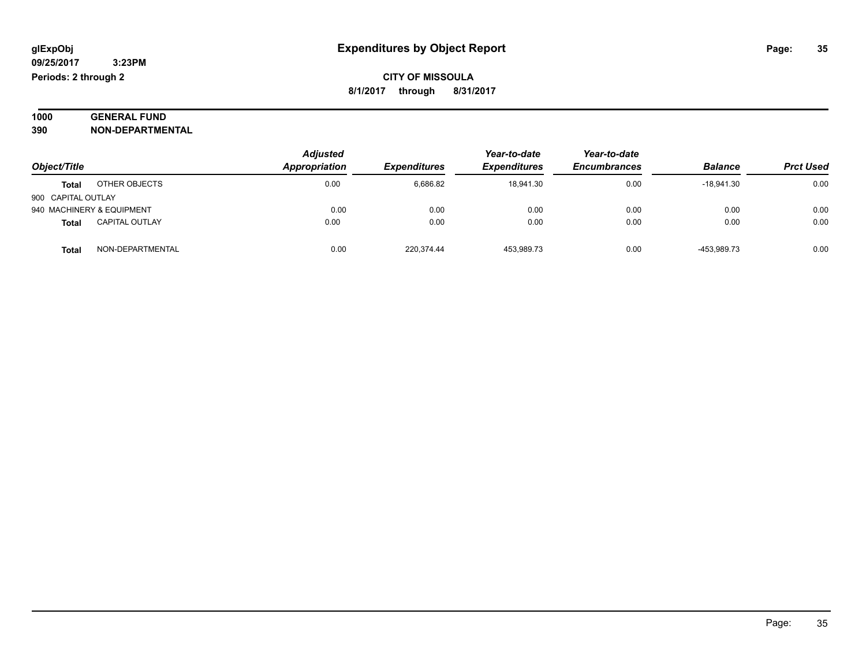| 1000 | <b>GENERAL FUND</b>     |
|------|-------------------------|
| 390  | <b>NON-DEPARTMENTAL</b> |

| Object/Title              |                       | <b>Adjusted</b><br>Appropriation | <b>Expenditures</b> | Year-to-date<br><b>Expenditures</b> | Year-to-date<br><b>Encumbrances</b> | <b>Balance</b> | <b>Prct Used</b> |
|---------------------------|-----------------------|----------------------------------|---------------------|-------------------------------------|-------------------------------------|----------------|------------------|
| <b>Total</b>              | OTHER OBJECTS         | 0.00                             | 6,686.82            | 18.941.30                           | 0.00                                | $-18.941.30$   | 0.00             |
| 900 CAPITAL OUTLAY        |                       |                                  |                     |                                     |                                     |                |                  |
| 940 MACHINERY & EQUIPMENT |                       | 0.00                             | 0.00                | 0.00                                | 0.00                                | 0.00           | 0.00             |
| <b>Total</b>              | <b>CAPITAL OUTLAY</b> | 0.00                             | 0.00                | 0.00                                | 0.00                                | 0.00           | 0.00             |
| <b>Total</b>              | NON-DEPARTMENTAL      | 0.00                             | 220,374.44          | 453,989.73                          | 0.00                                | -453.989.73    | 0.00             |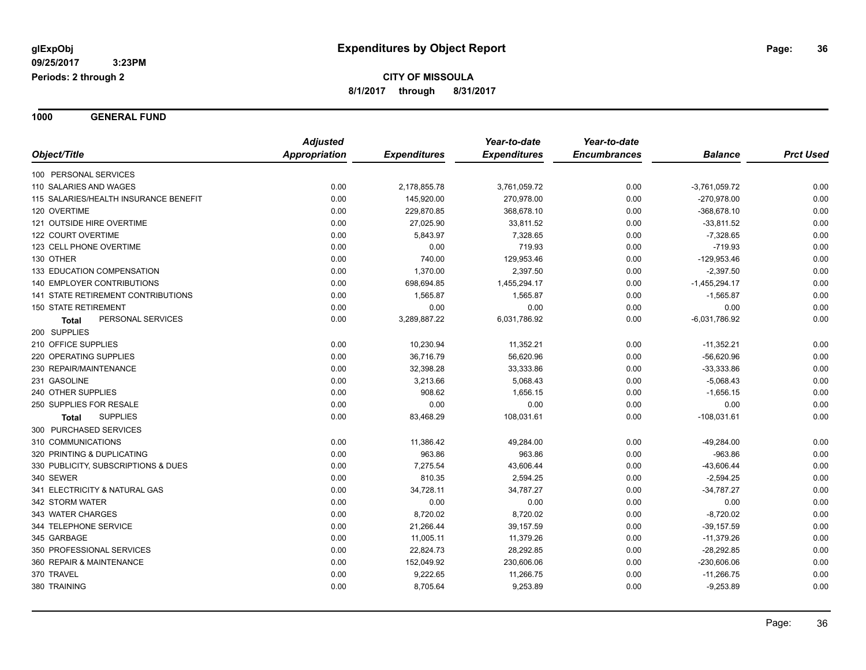**1000 GENERAL FUND**

|                                       | <b>Adjusted</b>      |                     | Year-to-date        | Year-to-date        |                 |                  |
|---------------------------------------|----------------------|---------------------|---------------------|---------------------|-----------------|------------------|
| Object/Title                          | <b>Appropriation</b> | <b>Expenditures</b> | <b>Expenditures</b> | <b>Encumbrances</b> | <b>Balance</b>  | <b>Prct Used</b> |
| 100 PERSONAL SERVICES                 |                      |                     |                     |                     |                 |                  |
| 110 SALARIES AND WAGES                | 0.00                 | 2,178,855.78        | 3,761,059.72        | 0.00                | $-3,761,059.72$ | 0.00             |
| 115 SALARIES/HEALTH INSURANCE BENEFIT | 0.00                 | 145,920.00          | 270,978.00          | 0.00                | -270,978.00     | 0.00             |
| 120 OVERTIME                          | 0.00                 | 229,870.85          | 368,678.10          | 0.00                | $-368,678.10$   | 0.00             |
| 121 OUTSIDE HIRE OVERTIME             | 0.00                 | 27,025.90           | 33,811.52           | 0.00                | $-33,811.52$    | 0.00             |
| 122 COURT OVERTIME                    | 0.00                 | 5,843.97            | 7,328.65            | 0.00                | $-7,328.65$     | 0.00             |
| 123 CELL PHONE OVERTIME               | 0.00                 | 0.00                | 719.93              | 0.00                | $-719.93$       | 0.00             |
| 130 OTHER                             | 0.00                 | 740.00              | 129,953.46          | 0.00                | $-129,953.46$   | 0.00             |
| 133 EDUCATION COMPENSATION            | 0.00                 | 1,370.00            | 2,397.50            | 0.00                | $-2,397.50$     | 0.00             |
| 140 EMPLOYER CONTRIBUTIONS            | 0.00                 | 698,694.85          | 1,455,294.17        | 0.00                | $-1,455,294.17$ | 0.00             |
| 141 STATE RETIREMENT CONTRIBUTIONS    | 0.00                 | 1,565.87            | 1,565.87            | 0.00                | $-1,565.87$     | 0.00             |
| <b>150 STATE RETIREMENT</b>           | 0.00                 | 0.00                | 0.00                | 0.00                | 0.00            | 0.00             |
| PERSONAL SERVICES<br>Total            | 0.00                 | 3,289,887.22        | 6,031,786.92        | 0.00                | $-6,031,786.92$ | 0.00             |
| 200 SUPPLIES                          |                      |                     |                     |                     |                 |                  |
| 210 OFFICE SUPPLIES                   | 0.00                 | 10,230.94           | 11,352.21           | 0.00                | $-11,352.21$    | 0.00             |
| 220 OPERATING SUPPLIES                | 0.00                 | 36,716.79           | 56,620.96           | 0.00                | $-56,620.96$    | 0.00             |
| 230 REPAIR/MAINTENANCE                | 0.00                 | 32,398.28           | 33,333.86           | 0.00                | $-33,333.86$    | 0.00             |
| 231 GASOLINE                          | 0.00                 | 3,213.66            | 5,068.43            | 0.00                | $-5,068.43$     | 0.00             |
| 240 OTHER SUPPLIES                    | 0.00                 | 908.62              | 1,656.15            | 0.00                | $-1,656.15$     | 0.00             |
| 250 SUPPLIES FOR RESALE               | 0.00                 | 0.00                | 0.00                | 0.00                | 0.00            | 0.00             |
| <b>SUPPLIES</b><br><b>Total</b>       | 0.00                 | 83,468.29           | 108,031.61          | 0.00                | $-108,031.61$   | 0.00             |
| 300 PURCHASED SERVICES                |                      |                     |                     |                     |                 |                  |
| 310 COMMUNICATIONS                    | 0.00                 | 11,386.42           | 49,284.00           | 0.00                | -49,284.00      | 0.00             |
| 320 PRINTING & DUPLICATING            | 0.00                 | 963.86              | 963.86              | 0.00                | $-963.86$       | 0.00             |
| 330 PUBLICITY, SUBSCRIPTIONS & DUES   | 0.00                 | 7,275.54            | 43,606.44           | 0.00                | $-43,606.44$    | 0.00             |
| 340 SEWER                             | 0.00                 | 810.35              | 2,594.25            | 0.00                | $-2,594.25$     | 0.00             |
| 341 ELECTRICITY & NATURAL GAS         | 0.00                 | 34,728.11           | 34,787.27           | 0.00                | $-34,787.27$    | 0.00             |
| 342 STORM WATER                       | 0.00                 | 0.00                | 0.00                | 0.00                | 0.00            | 0.00             |
| 343 WATER CHARGES                     | 0.00                 | 8,720.02            | 8,720.02            | 0.00                | $-8,720.02$     | 0.00             |
| 344 TELEPHONE SERVICE                 | 0.00                 | 21,266.44           | 39,157.59           | 0.00                | $-39,157.59$    | 0.00             |
| 345 GARBAGE                           | 0.00                 | 11,005.11           | 11,379.26           | 0.00                | $-11,379.26$    | 0.00             |
| 350 PROFESSIONAL SERVICES             | 0.00                 | 22,824.73           | 28,292.85           | 0.00                | $-28,292.85$    | 0.00             |
| 360 REPAIR & MAINTENANCE              | 0.00                 | 152,049.92          | 230,606.06          | 0.00                | $-230,606.06$   | 0.00             |
| 370 TRAVEL                            | 0.00                 | 9,222.65            | 11,266.75           | 0.00                | $-11,266.75$    | 0.00             |
| 380 TRAINING                          | 0.00                 | 8,705.64            | 9,253.89            | 0.00                | $-9,253.89$     | 0.00             |
|                                       |                      |                     |                     |                     |                 |                  |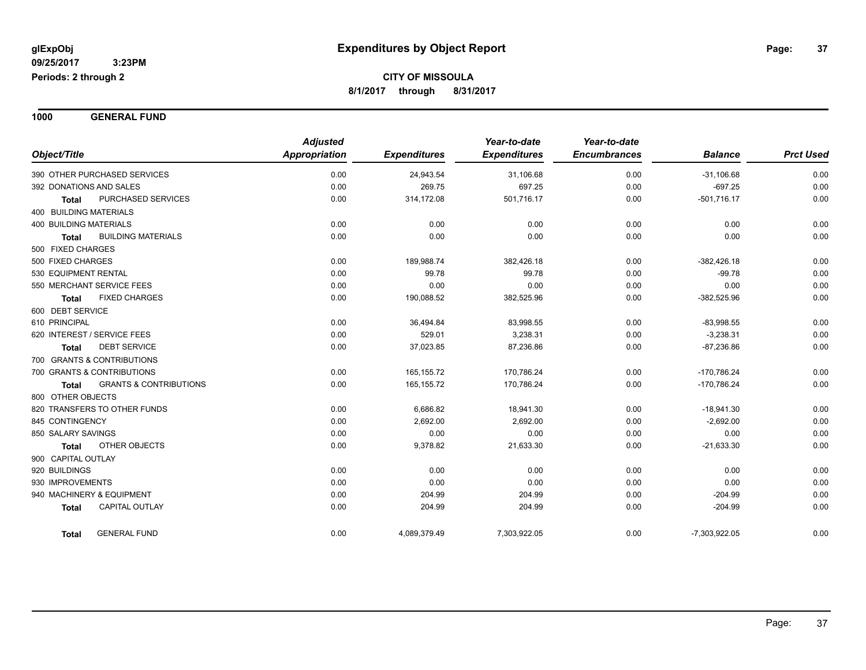**1000 GENERAL FUND**

|                                                   | <b>Adjusted</b>      |                     | Year-to-date        | Year-to-date        |                 |                  |
|---------------------------------------------------|----------------------|---------------------|---------------------|---------------------|-----------------|------------------|
| Object/Title                                      | <b>Appropriation</b> | <b>Expenditures</b> | <b>Expenditures</b> | <b>Encumbrances</b> | <b>Balance</b>  | <b>Prct Used</b> |
| 390 OTHER PURCHASED SERVICES                      | 0.00                 | 24,943.54           | 31,106.68           | 0.00                | $-31,106.68$    | 0.00             |
| 392 DONATIONS AND SALES                           | 0.00                 | 269.75              | 697.25              | 0.00                | $-697.25$       | 0.00             |
| PURCHASED SERVICES<br><b>Total</b>                | 0.00                 | 314,172.08          | 501,716.17          | 0.00                | $-501,716.17$   | 0.00             |
| <b>400 BUILDING MATERIALS</b>                     |                      |                     |                     |                     |                 |                  |
| <b>400 BUILDING MATERIALS</b>                     | 0.00                 | 0.00                | 0.00                | 0.00                | 0.00            | 0.00             |
| <b>BUILDING MATERIALS</b><br><b>Total</b>         | 0.00                 | 0.00                | 0.00                | 0.00                | 0.00            | 0.00             |
| 500 FIXED CHARGES                                 |                      |                     |                     |                     |                 |                  |
| 500 FIXED CHARGES                                 | 0.00                 | 189,988.74          | 382,426.18          | 0.00                | $-382,426.18$   | 0.00             |
| 530 EQUIPMENT RENTAL                              | 0.00                 | 99.78               | 99.78               | 0.00                | $-99.78$        | 0.00             |
| 550 MERCHANT SERVICE FEES                         | 0.00                 | 0.00                | 0.00                | 0.00                | 0.00            | 0.00             |
| <b>FIXED CHARGES</b><br><b>Total</b>              | 0.00                 | 190,088.52          | 382,525.96          | 0.00                | $-382,525.96$   | 0.00             |
| 600 DEBT SERVICE                                  |                      |                     |                     |                     |                 |                  |
| 610 PRINCIPAL                                     | 0.00                 | 36,494.84           | 83,998.55           | 0.00                | $-83,998.55$    | 0.00             |
| 620 INTEREST / SERVICE FEES                       | 0.00                 | 529.01              | 3,238.31            | 0.00                | $-3,238.31$     | 0.00             |
| <b>DEBT SERVICE</b><br><b>Total</b>               | 0.00                 | 37,023.85           | 87,236.86           | 0.00                | $-87,236.86$    | 0.00             |
| 700 GRANTS & CONTRIBUTIONS                        |                      |                     |                     |                     |                 |                  |
| 700 GRANTS & CONTRIBUTIONS                        | 0.00                 | 165,155.72          | 170,786.24          | 0.00                | $-170,786.24$   | 0.00             |
| <b>GRANTS &amp; CONTRIBUTIONS</b><br><b>Total</b> | 0.00                 | 165, 155.72         | 170,786.24          | 0.00                | $-170,786.24$   | 0.00             |
| 800 OTHER OBJECTS                                 |                      |                     |                     |                     |                 |                  |
| 820 TRANSFERS TO OTHER FUNDS                      | 0.00                 | 6,686.82            | 18,941.30           | 0.00                | $-18,941.30$    | 0.00             |
| 845 CONTINGENCY                                   | 0.00                 | 2,692.00            | 2,692.00            | 0.00                | $-2,692.00$     | 0.00             |
| 850 SALARY SAVINGS                                | 0.00                 | 0.00                | 0.00                | 0.00                | 0.00            | 0.00             |
| OTHER OBJECTS<br><b>Total</b>                     | 0.00                 | 9,378.82            | 21,633.30           | 0.00                | $-21,633.30$    | 0.00             |
| 900 CAPITAL OUTLAY                                |                      |                     |                     |                     |                 |                  |
| 920 BUILDINGS                                     | 0.00                 | 0.00                | 0.00                | 0.00                | 0.00            | 0.00             |
| 930 IMPROVEMENTS                                  | 0.00                 | 0.00                | 0.00                | 0.00                | 0.00            | 0.00             |
| 940 MACHINERY & EQUIPMENT                         | 0.00                 | 204.99              | 204.99              | 0.00                | $-204.99$       | 0.00             |
| <b>CAPITAL OUTLAY</b><br><b>Total</b>             | 0.00                 | 204.99              | 204.99              | 0.00                | $-204.99$       | 0.00             |
| <b>GENERAL FUND</b><br>Total                      | 0.00                 | 4,089,379.49        | 7,303,922.05        | 0.00                | $-7,303,922.05$ | 0.00             |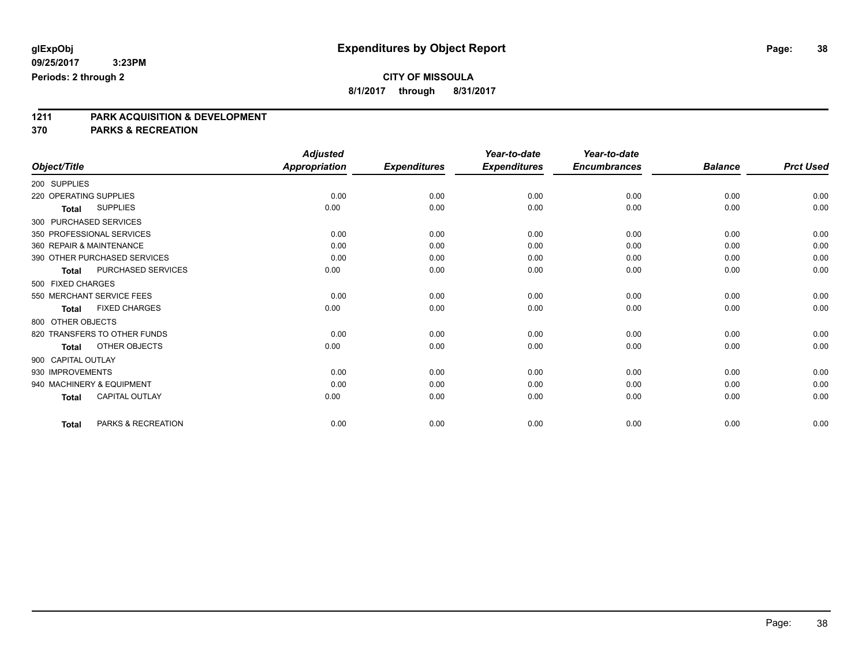**8/1/2017 through 8/31/2017**

# **1211 PARK ACQUISITION & DEVELOPMENT**

**370 PARKS & RECREATION**

|                                       |                    | <b>Adjusted</b>      |                     | Year-to-date        | Year-to-date        |                |                  |
|---------------------------------------|--------------------|----------------------|---------------------|---------------------|---------------------|----------------|------------------|
| Object/Title                          |                    | <b>Appropriation</b> | <b>Expenditures</b> | <b>Expenditures</b> | <b>Encumbrances</b> | <b>Balance</b> | <b>Prct Used</b> |
| 200 SUPPLIES                          |                    |                      |                     |                     |                     |                |                  |
| 220 OPERATING SUPPLIES                |                    | 0.00                 | 0.00                | 0.00                | 0.00                | 0.00           | 0.00             |
| <b>SUPPLIES</b><br>Total              |                    | 0.00                 | 0.00                | 0.00                | 0.00                | 0.00           | 0.00             |
| 300 PURCHASED SERVICES                |                    |                      |                     |                     |                     |                |                  |
| 350 PROFESSIONAL SERVICES             |                    | 0.00                 | 0.00                | 0.00                | 0.00                | 0.00           | 0.00             |
| 360 REPAIR & MAINTENANCE              |                    | 0.00                 | 0.00                | 0.00                | 0.00                | 0.00           | 0.00             |
| 390 OTHER PURCHASED SERVICES          |                    | 0.00                 | 0.00                | 0.00                | 0.00                | 0.00           | 0.00             |
| <b>Total</b>                          | PURCHASED SERVICES | 0.00                 | 0.00                | 0.00                | 0.00                | 0.00           | 0.00             |
| 500 FIXED CHARGES                     |                    |                      |                     |                     |                     |                |                  |
| 550 MERCHANT SERVICE FEES             |                    | 0.00                 | 0.00                | 0.00                | 0.00                | 0.00           | 0.00             |
| <b>FIXED CHARGES</b><br><b>Total</b>  |                    | 0.00                 | 0.00                | 0.00                | 0.00                | 0.00           | 0.00             |
| 800 OTHER OBJECTS                     |                    |                      |                     |                     |                     |                |                  |
| 820 TRANSFERS TO OTHER FUNDS          |                    | 0.00                 | 0.00                | 0.00                | 0.00                | 0.00           | 0.00             |
| OTHER OBJECTS<br><b>Total</b>         |                    | 0.00                 | 0.00                | 0.00                | 0.00                | 0.00           | 0.00             |
| 900 CAPITAL OUTLAY                    |                    |                      |                     |                     |                     |                |                  |
| 930 IMPROVEMENTS                      |                    | 0.00                 | 0.00                | 0.00                | 0.00                | 0.00           | 0.00             |
| 940 MACHINERY & EQUIPMENT             |                    | 0.00                 | 0.00                | 0.00                | 0.00                | 0.00           | 0.00             |
| <b>CAPITAL OUTLAY</b><br><b>Total</b> |                    | 0.00                 | 0.00                | 0.00                | 0.00                | 0.00           | 0.00             |
| <b>Total</b>                          | PARKS & RECREATION | 0.00                 | 0.00                | 0.00                | 0.00                | 0.00           | 0.00             |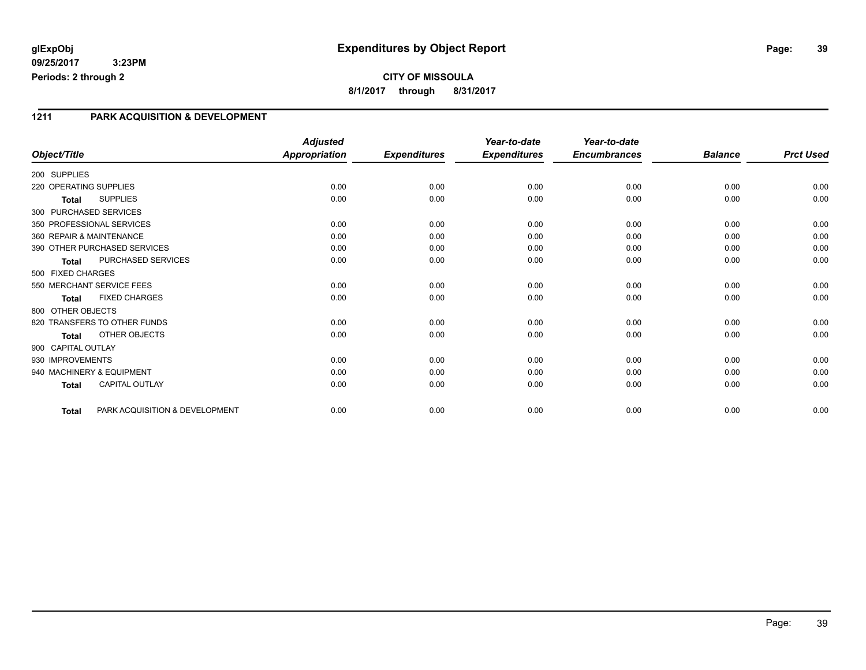## **glExpObj Expenditures by Object Report Page: 39**

**09/25/2017 3:23PM Periods: 2 through 2**

## **CITY OF MISSOULA 8/1/2017 through 8/31/2017**

#### **1211 PARK ACQUISITION & DEVELOPMENT**

|                        |                                | <b>Adjusted</b>      |                     | Year-to-date        | Year-to-date        |                |                  |
|------------------------|--------------------------------|----------------------|---------------------|---------------------|---------------------|----------------|------------------|
| Object/Title           |                                | <b>Appropriation</b> | <b>Expenditures</b> | <b>Expenditures</b> | <b>Encumbrances</b> | <b>Balance</b> | <b>Prct Used</b> |
| 200 SUPPLIES           |                                |                      |                     |                     |                     |                |                  |
| 220 OPERATING SUPPLIES |                                | 0.00                 | 0.00                | 0.00                | 0.00                | 0.00           | 0.00             |
| <b>Total</b>           | <b>SUPPLIES</b>                | 0.00                 | 0.00                | 0.00                | 0.00                | 0.00           | 0.00             |
|                        | 300 PURCHASED SERVICES         |                      |                     |                     |                     |                |                  |
|                        | 350 PROFESSIONAL SERVICES      | 0.00                 | 0.00                | 0.00                | 0.00                | 0.00           | 0.00             |
|                        | 360 REPAIR & MAINTENANCE       | 0.00                 | 0.00                | 0.00                | 0.00                | 0.00           | 0.00             |
|                        | 390 OTHER PURCHASED SERVICES   | 0.00                 | 0.00                | 0.00                | 0.00                | 0.00           | 0.00             |
| Total                  | PURCHASED SERVICES             | 0.00                 | 0.00                | 0.00                | 0.00                | 0.00           | 0.00             |
| 500 FIXED CHARGES      |                                |                      |                     |                     |                     |                |                  |
|                        | 550 MERCHANT SERVICE FEES      | 0.00                 | 0.00                | 0.00                | 0.00                | 0.00           | 0.00             |
| <b>Total</b>           | <b>FIXED CHARGES</b>           | 0.00                 | 0.00                | 0.00                | 0.00                | 0.00           | 0.00             |
| 800 OTHER OBJECTS      |                                |                      |                     |                     |                     |                |                  |
|                        | 820 TRANSFERS TO OTHER FUNDS   | 0.00                 | 0.00                | 0.00                | 0.00                | 0.00           | 0.00             |
| <b>Total</b>           | OTHER OBJECTS                  | 0.00                 | 0.00                | 0.00                | 0.00                | 0.00           | 0.00             |
| 900 CAPITAL OUTLAY     |                                |                      |                     |                     |                     |                |                  |
| 930 IMPROVEMENTS       |                                | 0.00                 | 0.00                | 0.00                | 0.00                | 0.00           | 0.00             |
|                        | 940 MACHINERY & EQUIPMENT      | 0.00                 | 0.00                | 0.00                | 0.00                | 0.00           | 0.00             |
| <b>Total</b>           | <b>CAPITAL OUTLAY</b>          | 0.00                 | 0.00                | 0.00                | 0.00                | 0.00           | 0.00             |
| <b>Total</b>           | PARK ACQUISITION & DEVELOPMENT | 0.00                 | 0.00                | 0.00                | 0.00                | 0.00           | 0.00             |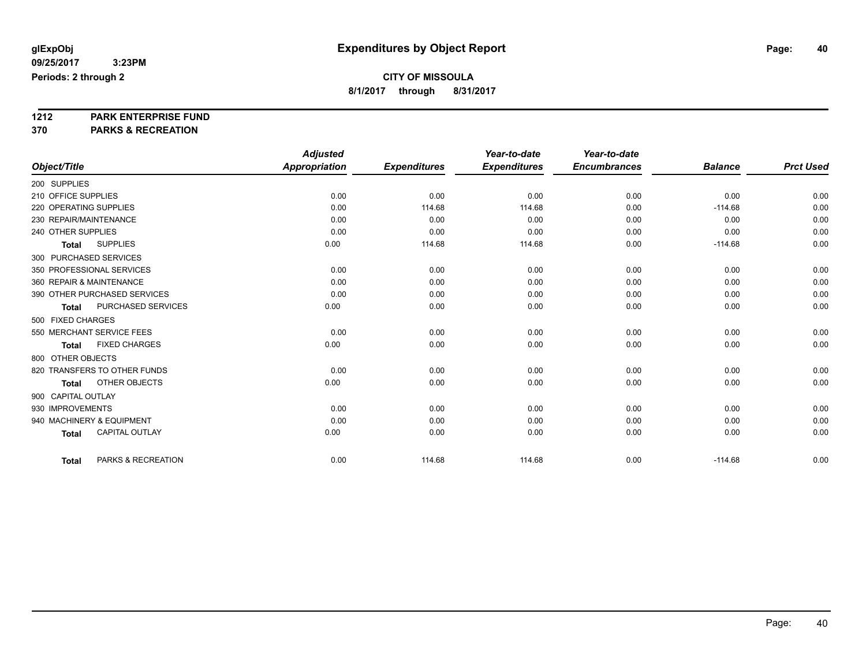**8/1/2017 through 8/31/2017**

# **1212 PARK ENTERPRISE FUND**

**370 PARKS & RECREATION**

|                                       | <b>Adjusted</b>      |                     | Year-to-date        | Year-to-date        |                |                  |
|---------------------------------------|----------------------|---------------------|---------------------|---------------------|----------------|------------------|
| Object/Title                          | <b>Appropriation</b> | <b>Expenditures</b> | <b>Expenditures</b> | <b>Encumbrances</b> | <b>Balance</b> | <b>Prct Used</b> |
| 200 SUPPLIES                          |                      |                     |                     |                     |                |                  |
| 210 OFFICE SUPPLIES                   | 0.00                 | 0.00                | 0.00                | 0.00                | 0.00           | 0.00             |
| 220 OPERATING SUPPLIES                | 0.00                 | 114.68              | 114.68              | 0.00                | $-114.68$      | 0.00             |
| 230 REPAIR/MAINTENANCE                | 0.00                 | 0.00                | 0.00                | 0.00                | 0.00           | 0.00             |
| 240 OTHER SUPPLIES                    | 0.00                 | 0.00                | 0.00                | 0.00                | 0.00           | 0.00             |
| <b>SUPPLIES</b><br><b>Total</b>       | 0.00                 | 114.68              | 114.68              | 0.00                | $-114.68$      | 0.00             |
| 300 PURCHASED SERVICES                |                      |                     |                     |                     |                |                  |
| 350 PROFESSIONAL SERVICES             | 0.00                 | 0.00                | 0.00                | 0.00                | 0.00           | 0.00             |
| 360 REPAIR & MAINTENANCE              | 0.00                 | 0.00                | 0.00                | 0.00                | 0.00           | 0.00             |
| 390 OTHER PURCHASED SERVICES          | 0.00                 | 0.00                | 0.00                | 0.00                | 0.00           | 0.00             |
| PURCHASED SERVICES<br><b>Total</b>    | 0.00                 | 0.00                | 0.00                | 0.00                | 0.00           | 0.00             |
| 500 FIXED CHARGES                     |                      |                     |                     |                     |                |                  |
| 550 MERCHANT SERVICE FEES             | 0.00                 | 0.00                | 0.00                | 0.00                | 0.00           | 0.00             |
| <b>FIXED CHARGES</b><br><b>Total</b>  | 0.00                 | 0.00                | 0.00                | 0.00                | 0.00           | 0.00             |
| 800 OTHER OBJECTS                     |                      |                     |                     |                     |                |                  |
| 820 TRANSFERS TO OTHER FUNDS          | 0.00                 | 0.00                | 0.00                | 0.00                | 0.00           | 0.00             |
| OTHER OBJECTS<br><b>Total</b>         | 0.00                 | 0.00                | 0.00                | 0.00                | 0.00           | 0.00             |
| 900 CAPITAL OUTLAY                    |                      |                     |                     |                     |                |                  |
| 930 IMPROVEMENTS                      | 0.00                 | 0.00                | 0.00                | 0.00                | 0.00           | 0.00             |
| 940 MACHINERY & EQUIPMENT             | 0.00                 | 0.00                | 0.00                | 0.00                | 0.00           | 0.00             |
| <b>CAPITAL OUTLAY</b><br><b>Total</b> | 0.00                 | 0.00                | 0.00                | 0.00                | 0.00           | 0.00             |
| PARKS & RECREATION<br><b>Total</b>    | 0.00                 | 114.68              | 114.68              | 0.00                | $-114.68$      | 0.00             |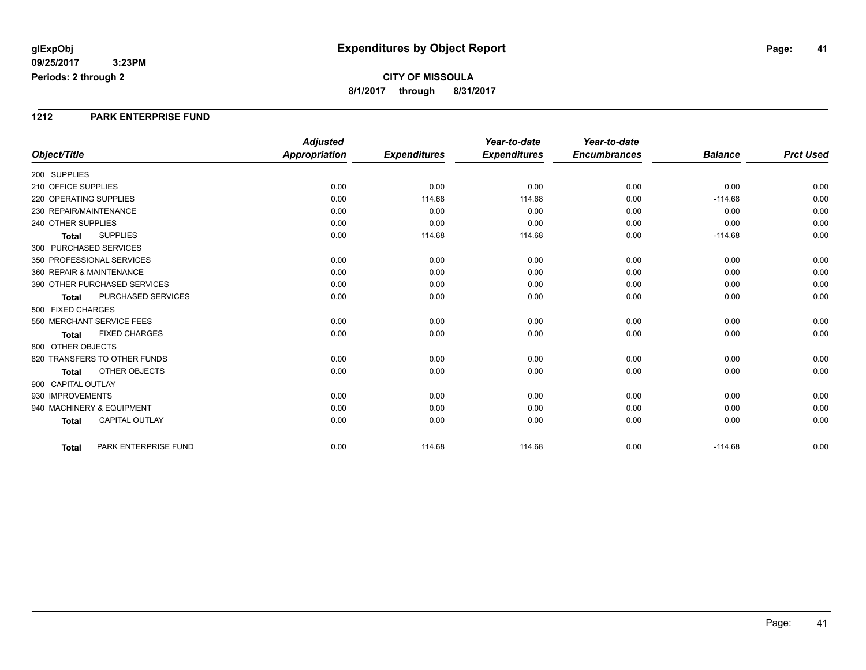#### **1212 PARK ENTERPRISE FUND**

|                                 |                       | <b>Adjusted</b>      |                     | Year-to-date        | Year-to-date        |                |                  |
|---------------------------------|-----------------------|----------------------|---------------------|---------------------|---------------------|----------------|------------------|
| Object/Title                    |                       | <b>Appropriation</b> | <b>Expenditures</b> | <b>Expenditures</b> | <b>Encumbrances</b> | <b>Balance</b> | <b>Prct Used</b> |
| 200 SUPPLIES                    |                       |                      |                     |                     |                     |                |                  |
| 210 OFFICE SUPPLIES             |                       | 0.00                 | 0.00                | 0.00                | 0.00                | 0.00           | 0.00             |
| 220 OPERATING SUPPLIES          |                       | 0.00                 | 114.68              | 114.68              | 0.00                | $-114.68$      | 0.00             |
| 230 REPAIR/MAINTENANCE          |                       | 0.00                 | 0.00                | 0.00                | 0.00                | 0.00           | 0.00             |
| 240 OTHER SUPPLIES              |                       | 0.00                 | 0.00                | 0.00                | 0.00                | 0.00           | 0.00             |
| <b>SUPPLIES</b><br><b>Total</b> |                       | 0.00                 | 114.68              | 114.68              | 0.00                | $-114.68$      | 0.00             |
| 300 PURCHASED SERVICES          |                       |                      |                     |                     |                     |                |                  |
| 350 PROFESSIONAL SERVICES       |                       | 0.00                 | 0.00                | 0.00                | 0.00                | 0.00           | 0.00             |
| 360 REPAIR & MAINTENANCE        |                       | 0.00                 | 0.00                | 0.00                | 0.00                | 0.00           | 0.00             |
| 390 OTHER PURCHASED SERVICES    |                       | 0.00                 | 0.00                | 0.00                | 0.00                | 0.00           | 0.00             |
| <b>Total</b>                    | PURCHASED SERVICES    | 0.00                 | 0.00                | 0.00                | 0.00                | 0.00           | 0.00             |
| 500 FIXED CHARGES               |                       |                      |                     |                     |                     |                |                  |
| 550 MERCHANT SERVICE FEES       |                       | 0.00                 | 0.00                | 0.00                | 0.00                | 0.00           | 0.00             |
| <b>Total</b>                    | <b>FIXED CHARGES</b>  | 0.00                 | 0.00                | 0.00                | 0.00                | 0.00           | 0.00             |
| 800 OTHER OBJECTS               |                       |                      |                     |                     |                     |                |                  |
| 820 TRANSFERS TO OTHER FUNDS    |                       | 0.00                 | 0.00                | 0.00                | 0.00                | 0.00           | 0.00             |
| <b>Total</b>                    | OTHER OBJECTS         | 0.00                 | 0.00                | 0.00                | 0.00                | 0.00           | 0.00             |
| 900 CAPITAL OUTLAY              |                       |                      |                     |                     |                     |                |                  |
| 930 IMPROVEMENTS                |                       | 0.00                 | 0.00                | 0.00                | 0.00                | 0.00           | 0.00             |
| 940 MACHINERY & EQUIPMENT       |                       | 0.00                 | 0.00                | 0.00                | 0.00                | 0.00           | 0.00             |
| <b>Total</b>                    | <b>CAPITAL OUTLAY</b> | 0.00                 | 0.00                | 0.00                | 0.00                | 0.00           | 0.00             |
| <b>Total</b>                    | PARK ENTERPRISE FUND  | 0.00                 | 114.68              | 114.68              | 0.00                | $-114.68$      | 0.00             |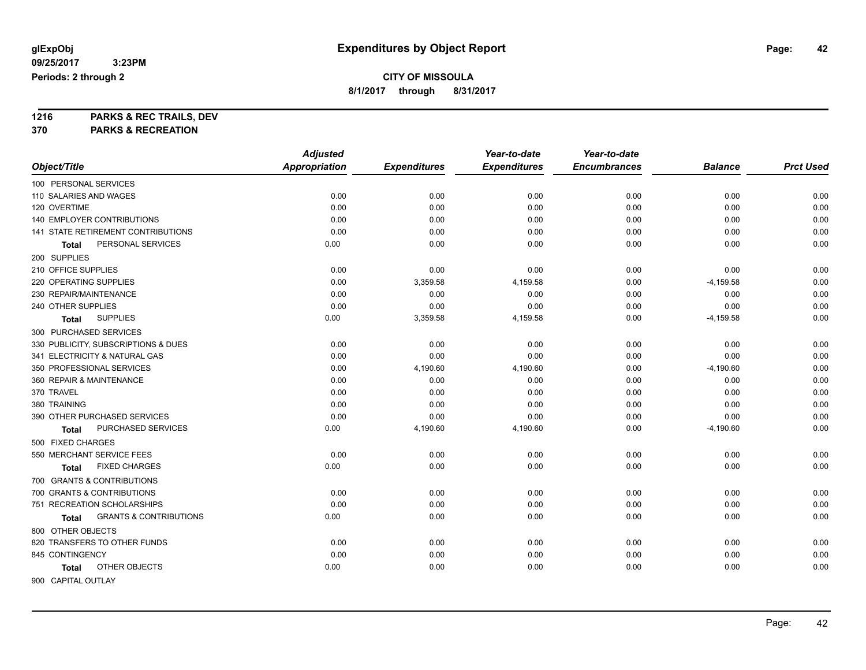**8/1/2017 through 8/31/2017**

**1216 PARKS & REC TRAILS, DEV**

**370 PARKS & RECREATION**

|                                            | <b>Adjusted</b>      |                     | Year-to-date        | Year-to-date        |                |                  |
|--------------------------------------------|----------------------|---------------------|---------------------|---------------------|----------------|------------------|
| Object/Title                               | <b>Appropriation</b> | <b>Expenditures</b> | <b>Expenditures</b> | <b>Encumbrances</b> | <b>Balance</b> | <b>Prct Used</b> |
| 100 PERSONAL SERVICES                      |                      |                     |                     |                     |                |                  |
| 110 SALARIES AND WAGES                     | 0.00                 | 0.00                | 0.00                | 0.00                | 0.00           | 0.00             |
| 120 OVERTIME                               | 0.00                 | 0.00                | 0.00                | 0.00                | 0.00           | 0.00             |
| <b>140 EMPLOYER CONTRIBUTIONS</b>          | 0.00                 | 0.00                | 0.00                | 0.00                | 0.00           | 0.00             |
| 141 STATE RETIREMENT CONTRIBUTIONS         | 0.00                 | 0.00                | 0.00                | 0.00                | 0.00           | 0.00             |
| PERSONAL SERVICES<br><b>Total</b>          | 0.00                 | 0.00                | 0.00                | 0.00                | 0.00           | 0.00             |
| 200 SUPPLIES                               |                      |                     |                     |                     |                |                  |
| 210 OFFICE SUPPLIES                        | 0.00                 | 0.00                | 0.00                | 0.00                | 0.00           | 0.00             |
| 220 OPERATING SUPPLIES                     | 0.00                 | 3,359.58            | 4,159.58            | 0.00                | $-4,159.58$    | 0.00             |
| 230 REPAIR/MAINTENANCE                     | 0.00                 | 0.00                | 0.00                | 0.00                | 0.00           | 0.00             |
| 240 OTHER SUPPLIES                         | 0.00                 | 0.00                | 0.00                | 0.00                | 0.00           | 0.00             |
| <b>SUPPLIES</b><br><b>Total</b>            | 0.00                 | 3,359.58            | 4,159.58            | 0.00                | $-4,159.58$    | 0.00             |
| 300 PURCHASED SERVICES                     |                      |                     |                     |                     |                |                  |
| 330 PUBLICITY, SUBSCRIPTIONS & DUES        | 0.00                 | 0.00                | 0.00                | 0.00                | 0.00           | 0.00             |
| 341 ELECTRICITY & NATURAL GAS              | 0.00                 | 0.00                | 0.00                | 0.00                | 0.00           | 0.00             |
| 350 PROFESSIONAL SERVICES                  | 0.00                 | 4,190.60            | 4,190.60            | 0.00                | $-4,190.60$    | 0.00             |
| 360 REPAIR & MAINTENANCE                   | 0.00                 | 0.00                | 0.00                | 0.00                | 0.00           | 0.00             |
| 370 TRAVEL                                 | 0.00                 | 0.00                | 0.00                | 0.00                | 0.00           | 0.00             |
| 380 TRAINING                               | 0.00                 | 0.00                | 0.00                | 0.00                | 0.00           | 0.00             |
| 390 OTHER PURCHASED SERVICES               | 0.00                 | 0.00                | 0.00                | 0.00                | 0.00           | 0.00             |
| PURCHASED SERVICES<br>Total                | 0.00                 | 4,190.60            | 4,190.60            | 0.00                | $-4,190.60$    | 0.00             |
| 500 FIXED CHARGES                          |                      |                     |                     |                     |                |                  |
| 550 MERCHANT SERVICE FEES                  | 0.00                 | 0.00                | 0.00                | 0.00                | 0.00           | 0.00             |
| <b>FIXED CHARGES</b><br>Total              | 0.00                 | 0.00                | 0.00                | 0.00                | 0.00           | 0.00             |
| 700 GRANTS & CONTRIBUTIONS                 |                      |                     |                     |                     |                |                  |
| 700 GRANTS & CONTRIBUTIONS                 | 0.00                 | 0.00                | 0.00                | 0.00                | 0.00           | 0.00             |
| 751 RECREATION SCHOLARSHIPS                | 0.00                 | 0.00                | 0.00                | 0.00                | 0.00           | 0.00             |
| <b>GRANTS &amp; CONTRIBUTIONS</b><br>Total | 0.00                 | 0.00                | 0.00                | 0.00                | 0.00           | 0.00             |
| 800 OTHER OBJECTS                          |                      |                     |                     |                     |                |                  |
| 820 TRANSFERS TO OTHER FUNDS               | 0.00                 | 0.00                | 0.00                | 0.00                | 0.00           | 0.00             |
| 845 CONTINGENCY                            | 0.00                 | 0.00                | 0.00                | 0.00                | 0.00           | 0.00             |
| OTHER OBJECTS<br>Total                     | 0.00                 | 0.00                | 0.00                | 0.00                | 0.00           | 0.00             |
| 900 CAPITAL OUTLAY                         |                      |                     |                     |                     |                |                  |

Page: 42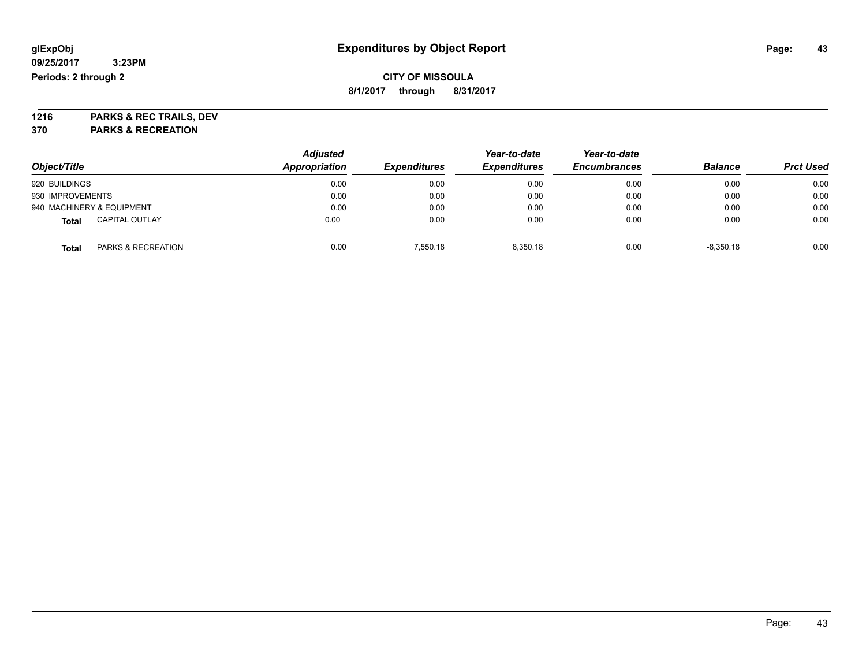### **CITY OF MISSOULA 8/1/2017 through 8/31/2017**

**1216 PARKS & REC TRAILS, DEV 370 PARKS & RECREATION**

| Object/Title                          | <b>Adjusted</b><br>Appropriation | <b>Expenditures</b> | Year-to-date<br><b>Expenditures</b> | Year-to-date<br><b>Encumbrances</b> | <b>Balance</b> | <b>Prct Used</b> |
|---------------------------------------|----------------------------------|---------------------|-------------------------------------|-------------------------------------|----------------|------------------|
| 920 BUILDINGS                         | 0.00                             | 0.00                | 0.00                                | 0.00                                | 0.00           | 0.00             |
| 930 IMPROVEMENTS                      | 0.00                             | 0.00                | 0.00                                | 0.00                                | 0.00           | 0.00             |
| 940 MACHINERY & EQUIPMENT             | 0.00                             | 0.00                | 0.00                                | 0.00                                | 0.00           | 0.00             |
| <b>CAPITAL OUTLAY</b><br><b>Total</b> | 0.00                             | 0.00                | 0.00                                | 0.00                                | 0.00           | 0.00             |
| PARKS & RECREATION<br><b>Total</b>    | 0.00                             | 7.550.18            | 8.350.18                            | 0.00                                | $-8,350.18$    | 0.00             |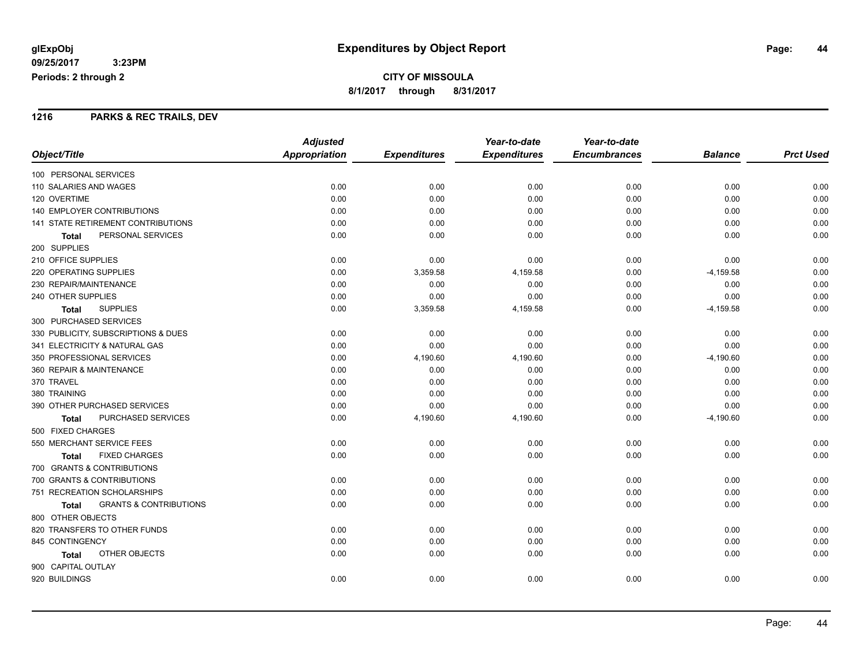### **1216 PARKS & REC TRAILS, DEV**

|                                            | <b>Adjusted</b>      |                     | Year-to-date        | Year-to-date        |                |                  |
|--------------------------------------------|----------------------|---------------------|---------------------|---------------------|----------------|------------------|
| Object/Title                               | <b>Appropriation</b> | <b>Expenditures</b> | <b>Expenditures</b> | <b>Encumbrances</b> | <b>Balance</b> | <b>Prct Used</b> |
| 100 PERSONAL SERVICES                      |                      |                     |                     |                     |                |                  |
| 110 SALARIES AND WAGES                     | 0.00                 | 0.00                | 0.00                | 0.00                | 0.00           | 0.00             |
| 120 OVERTIME                               | 0.00                 | 0.00                | 0.00                | 0.00                | 0.00           | 0.00             |
| <b>140 EMPLOYER CONTRIBUTIONS</b>          | 0.00                 | 0.00                | 0.00                | 0.00                | 0.00           | 0.00             |
| 141 STATE RETIREMENT CONTRIBUTIONS         | 0.00                 | 0.00                | 0.00                | 0.00                | 0.00           | 0.00             |
| PERSONAL SERVICES<br><b>Total</b>          | 0.00                 | 0.00                | 0.00                | 0.00                | 0.00           | 0.00             |
| 200 SUPPLIES                               |                      |                     |                     |                     |                |                  |
| 210 OFFICE SUPPLIES                        | 0.00                 | 0.00                | 0.00                | 0.00                | 0.00           | 0.00             |
| 220 OPERATING SUPPLIES                     | 0.00                 | 3,359.58            | 4,159.58            | 0.00                | $-4,159.58$    | 0.00             |
| 230 REPAIR/MAINTENANCE                     | 0.00                 | 0.00                | 0.00                | 0.00                | 0.00           | 0.00             |
| 240 OTHER SUPPLIES                         | 0.00                 | 0.00                | 0.00                | 0.00                | 0.00           | 0.00             |
| <b>SUPPLIES</b><br><b>Total</b>            | 0.00                 | 3,359.58            | 4,159.58            | 0.00                | $-4,159.58$    | 0.00             |
| 300 PURCHASED SERVICES                     |                      |                     |                     |                     |                |                  |
| 330 PUBLICITY, SUBSCRIPTIONS & DUES        | 0.00                 | 0.00                | 0.00                | 0.00                | 0.00           | 0.00             |
| 341 ELECTRICITY & NATURAL GAS              | 0.00                 | 0.00                | 0.00                | 0.00                | 0.00           | 0.00             |
| 350 PROFESSIONAL SERVICES                  | 0.00                 | 4,190.60            | 4,190.60            | 0.00                | $-4,190.60$    | 0.00             |
| 360 REPAIR & MAINTENANCE                   | 0.00                 | 0.00                | 0.00                | 0.00                | 0.00           | 0.00             |
| 370 TRAVEL                                 | 0.00                 | 0.00                | 0.00                | 0.00                | 0.00           | 0.00             |
| 380 TRAINING                               | 0.00                 | 0.00                | 0.00                | 0.00                | 0.00           | 0.00             |
| 390 OTHER PURCHASED SERVICES               | 0.00                 | 0.00                | 0.00                | 0.00                | 0.00           | 0.00             |
| PURCHASED SERVICES<br>Total                | 0.00                 | 4,190.60            | 4,190.60            | 0.00                | $-4,190.60$    | 0.00             |
| 500 FIXED CHARGES                          |                      |                     |                     |                     |                |                  |
| 550 MERCHANT SERVICE FEES                  | 0.00                 | 0.00                | 0.00                | 0.00                | 0.00           | 0.00             |
| <b>FIXED CHARGES</b><br><b>Total</b>       | 0.00                 | 0.00                | 0.00                | 0.00                | 0.00           | 0.00             |
| 700 GRANTS & CONTRIBUTIONS                 |                      |                     |                     |                     |                |                  |
| 700 GRANTS & CONTRIBUTIONS                 | 0.00                 | 0.00                | 0.00                | 0.00                | 0.00           | 0.00             |
| 751 RECREATION SCHOLARSHIPS                | 0.00                 | 0.00                | 0.00                | 0.00                | 0.00           | 0.00             |
| <b>GRANTS &amp; CONTRIBUTIONS</b><br>Total | 0.00                 | 0.00                | 0.00                | 0.00                | 0.00           | 0.00             |
| 800 OTHER OBJECTS                          |                      |                     |                     |                     |                |                  |
| 820 TRANSFERS TO OTHER FUNDS               | 0.00                 | 0.00                | 0.00                | 0.00                | 0.00           | 0.00             |
| 845 CONTINGENCY                            | 0.00                 | 0.00                | 0.00                | 0.00                | 0.00           | 0.00             |
| OTHER OBJECTS<br><b>Total</b>              | 0.00                 | 0.00                | 0.00                | 0.00                | 0.00           | 0.00             |
| 900 CAPITAL OUTLAY                         |                      |                     |                     |                     |                |                  |
| 920 BUILDINGS                              | 0.00                 | 0.00                | 0.00                | 0.00                | 0.00           | 0.00             |
|                                            |                      |                     |                     |                     |                |                  |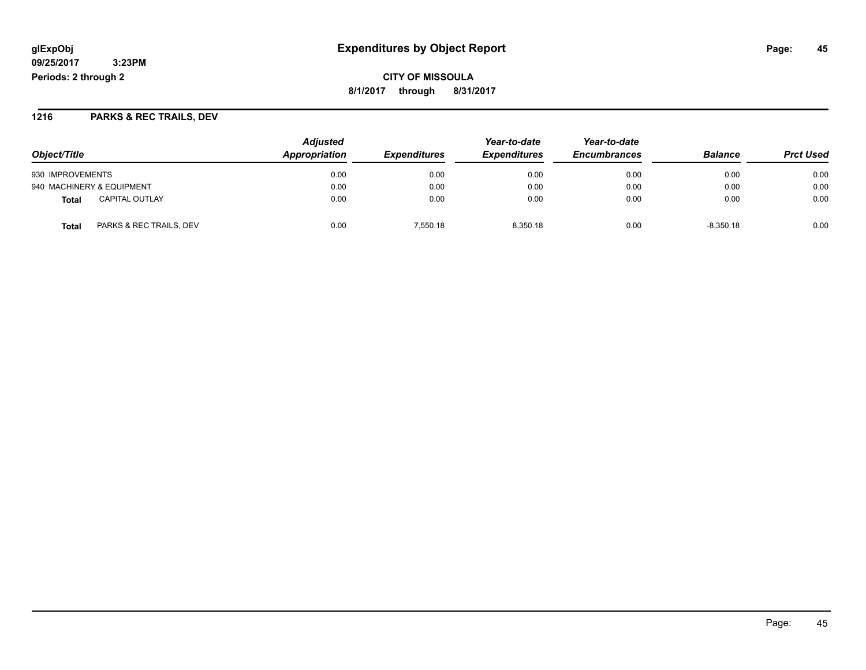**CITY OF MISSOULA 8/1/2017 through 8/31/2017**

### **1216 PARKS & REC TRAILS, DEV**

|                                  | <b>Adjusted</b> |                            | Year-to-date        | Year-to-date        |                | <b>Prct Used</b> |
|----------------------------------|-----------------|----------------------------|---------------------|---------------------|----------------|------------------|
| Object/Title                     | Appropriation   | <i><b>Expenditures</b></i> | <b>Expenditures</b> | <b>Encumbrances</b> | <b>Balance</b> |                  |
| 930 IMPROVEMENTS                 | 0.00            | 0.00                       | 0.00                | 0.00                | 0.00           | 0.00             |
| 940 MACHINERY & EQUIPMENT        | 0.00            | 0.00                       | 0.00                | 0.00                | 0.00           | 0.00             |
| <b>CAPITAL OUTLAY</b><br>Total   | 0.00            | 0.00                       | 0.00                | 0.00                | 0.00           | 0.00             |
| PARKS & REC TRAILS, DEV<br>Total | 0.00            | 7.550.18                   | 8.350.18            | 0.00                | $-8.350.18$    | 0.00             |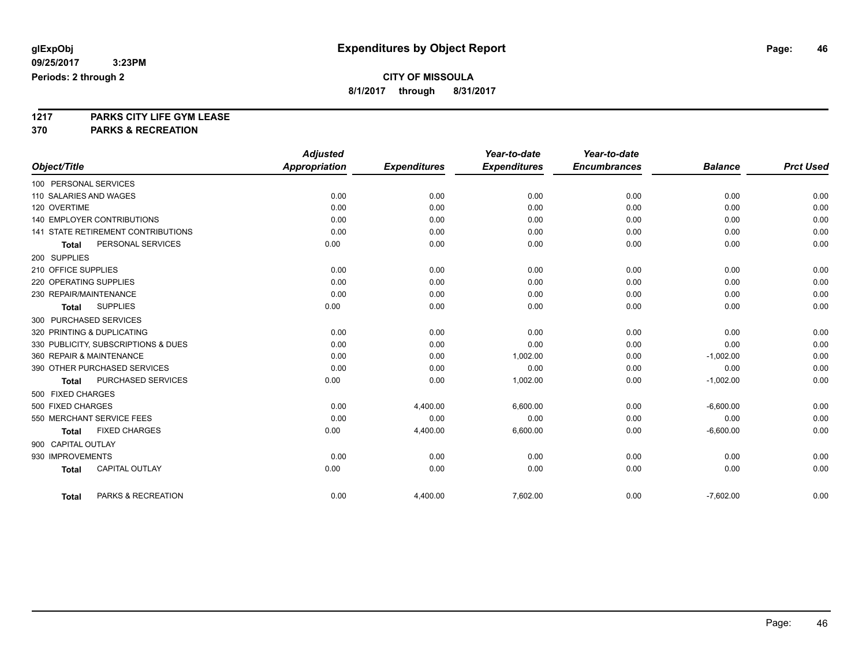**8/1/2017 through 8/31/2017**

# **1217 PARKS CITY LIFE GYM LEASE**

**370 PARKS & RECREATION**

|                                           | <b>Adjusted</b> |                     | Year-to-date        | Year-to-date        |                |                  |
|-------------------------------------------|-----------------|---------------------|---------------------|---------------------|----------------|------------------|
| Object/Title                              | Appropriation   | <b>Expenditures</b> | <b>Expenditures</b> | <b>Encumbrances</b> | <b>Balance</b> | <b>Prct Used</b> |
| 100 PERSONAL SERVICES                     |                 |                     |                     |                     |                |                  |
| 110 SALARIES AND WAGES                    | 0.00            | 0.00                | 0.00                | 0.00                | 0.00           | 0.00             |
| 120 OVERTIME                              | 0.00            | 0.00                | 0.00                | 0.00                | 0.00           | 0.00             |
| <b>140 EMPLOYER CONTRIBUTIONS</b>         | 0.00            | 0.00                | 0.00                | 0.00                | 0.00           | 0.00             |
| <b>141 STATE RETIREMENT CONTRIBUTIONS</b> | 0.00            | 0.00                | 0.00                | 0.00                | 0.00           | 0.00             |
| PERSONAL SERVICES<br><b>Total</b>         | 0.00            | 0.00                | 0.00                | 0.00                | 0.00           | 0.00             |
| 200 SUPPLIES                              |                 |                     |                     |                     |                |                  |
| 210 OFFICE SUPPLIES                       | 0.00            | 0.00                | 0.00                | 0.00                | 0.00           | 0.00             |
| 220 OPERATING SUPPLIES                    | 0.00            | 0.00                | 0.00                | 0.00                | 0.00           | 0.00             |
| 230 REPAIR/MAINTENANCE                    | 0.00            | 0.00                | 0.00                | 0.00                | 0.00           | 0.00             |
| <b>SUPPLIES</b><br><b>Total</b>           | 0.00            | 0.00                | 0.00                | 0.00                | 0.00           | 0.00             |
| 300 PURCHASED SERVICES                    |                 |                     |                     |                     |                |                  |
| 320 PRINTING & DUPLICATING                | 0.00            | 0.00                | 0.00                | 0.00                | 0.00           | 0.00             |
| 330 PUBLICITY, SUBSCRIPTIONS & DUES       | 0.00            | 0.00                | 0.00                | 0.00                | 0.00           | 0.00             |
| 360 REPAIR & MAINTENANCE                  | 0.00            | 0.00                | 1,002.00            | 0.00                | $-1,002.00$    | 0.00             |
| 390 OTHER PURCHASED SERVICES              | 0.00            | 0.00                | 0.00                | 0.00                | 0.00           | 0.00             |
| PURCHASED SERVICES<br><b>Total</b>        | 0.00            | 0.00                | 1,002.00            | 0.00                | $-1,002.00$    | 0.00             |
| 500 FIXED CHARGES                         |                 |                     |                     |                     |                |                  |
| 500 FIXED CHARGES                         | 0.00            | 4,400.00            | 6,600.00            | 0.00                | $-6,600.00$    | 0.00             |
| 550 MERCHANT SERVICE FEES                 | 0.00            | 0.00                | 0.00                | 0.00                | 0.00           | 0.00             |
| <b>FIXED CHARGES</b><br><b>Total</b>      | 0.00            | 4,400.00            | 6,600.00            | 0.00                | $-6,600.00$    | 0.00             |
| 900 CAPITAL OUTLAY                        |                 |                     |                     |                     |                |                  |
| 930 IMPROVEMENTS                          | 0.00            | 0.00                | 0.00                | 0.00                | 0.00           | 0.00             |
| <b>CAPITAL OUTLAY</b><br><b>Total</b>     | 0.00            | 0.00                | 0.00                | 0.00                | 0.00           | 0.00             |
| PARKS & RECREATION<br><b>Total</b>        | 0.00            | 4,400.00            | 7,602.00            | 0.00                | $-7,602.00$    | 0.00             |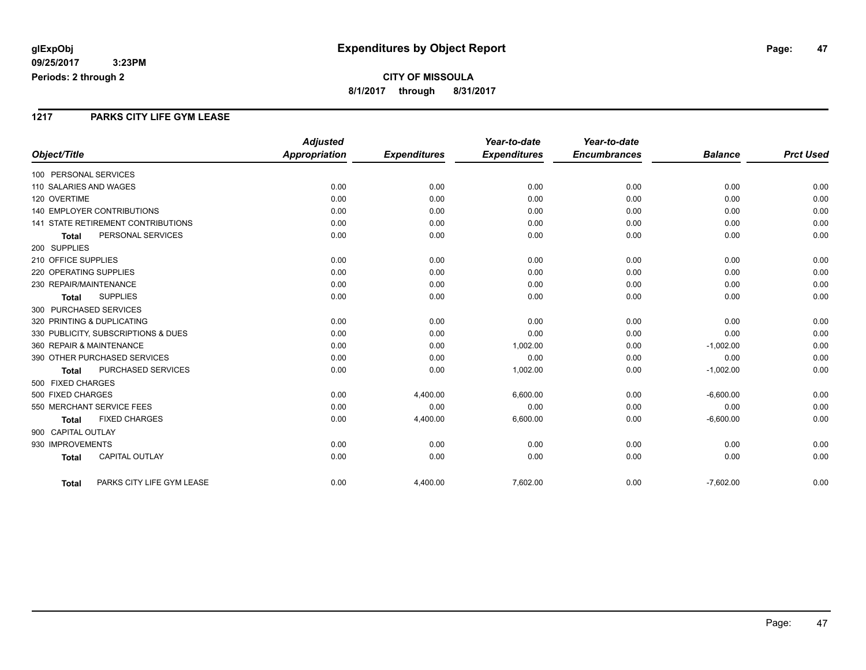#### **1217 PARKS CITY LIFE GYM LEASE**

|                                           | <b>Adjusted</b> |                     | Year-to-date        | Year-to-date        |                |                  |
|-------------------------------------------|-----------------|---------------------|---------------------|---------------------|----------------|------------------|
| Object/Title                              | Appropriation   | <b>Expenditures</b> | <b>Expenditures</b> | <b>Encumbrances</b> | <b>Balance</b> | <b>Prct Used</b> |
| 100 PERSONAL SERVICES                     |                 |                     |                     |                     |                |                  |
| 110 SALARIES AND WAGES                    | 0.00            | 0.00                | 0.00                | 0.00                | 0.00           | 0.00             |
| 120 OVERTIME                              | 0.00            | 0.00                | 0.00                | 0.00                | 0.00           | 0.00             |
| <b>140 EMPLOYER CONTRIBUTIONS</b>         | 0.00            | 0.00                | 0.00                | 0.00                | 0.00           | 0.00             |
| <b>141 STATE RETIREMENT CONTRIBUTIONS</b> | 0.00            | 0.00                | 0.00                | 0.00                | 0.00           | 0.00             |
| PERSONAL SERVICES<br><b>Total</b>         | 0.00            | 0.00                | 0.00                | 0.00                | 0.00           | 0.00             |
| 200 SUPPLIES                              |                 |                     |                     |                     |                |                  |
| 210 OFFICE SUPPLIES                       | 0.00            | 0.00                | 0.00                | 0.00                | 0.00           | 0.00             |
| 220 OPERATING SUPPLIES                    | 0.00            | 0.00                | 0.00                | 0.00                | 0.00           | 0.00             |
| 230 REPAIR/MAINTENANCE                    | 0.00            | 0.00                | 0.00                | 0.00                | 0.00           | 0.00             |
| <b>SUPPLIES</b><br><b>Total</b>           | 0.00            | 0.00                | 0.00                | 0.00                | 0.00           | 0.00             |
| 300 PURCHASED SERVICES                    |                 |                     |                     |                     |                |                  |
| 320 PRINTING & DUPLICATING                | 0.00            | 0.00                | 0.00                | 0.00                | 0.00           | 0.00             |
| 330 PUBLICITY, SUBSCRIPTIONS & DUES       | 0.00            | 0.00                | 0.00                | 0.00                | 0.00           | 0.00             |
| 360 REPAIR & MAINTENANCE                  | 0.00            | 0.00                | 1,002.00            | 0.00                | $-1,002.00$    | 0.00             |
| 390 OTHER PURCHASED SERVICES              | 0.00            | 0.00                | 0.00                | 0.00                | 0.00           | 0.00             |
| PURCHASED SERVICES<br><b>Total</b>        | 0.00            | 0.00                | 1,002.00            | 0.00                | $-1,002.00$    | 0.00             |
| 500 FIXED CHARGES                         |                 |                     |                     |                     |                |                  |
| 500 FIXED CHARGES                         | 0.00            | 4,400.00            | 6,600.00            | 0.00                | $-6,600.00$    | 0.00             |
| 550 MERCHANT SERVICE FEES                 | 0.00            | 0.00                | 0.00                | 0.00                | 0.00           | 0.00             |
| <b>FIXED CHARGES</b><br><b>Total</b>      | 0.00            | 4,400.00            | 6,600.00            | 0.00                | $-6,600.00$    | 0.00             |
| 900 CAPITAL OUTLAY                        |                 |                     |                     |                     |                |                  |
| 930 IMPROVEMENTS                          | 0.00            | 0.00                | 0.00                | 0.00                | 0.00           | 0.00             |
| <b>CAPITAL OUTLAY</b><br><b>Total</b>     | 0.00            | 0.00                | 0.00                | 0.00                | 0.00           | 0.00             |
| PARKS CITY LIFE GYM LEASE<br><b>Total</b> | 0.00            | 4,400.00            | 7,602.00            | 0.00                | $-7,602.00$    | 0.00             |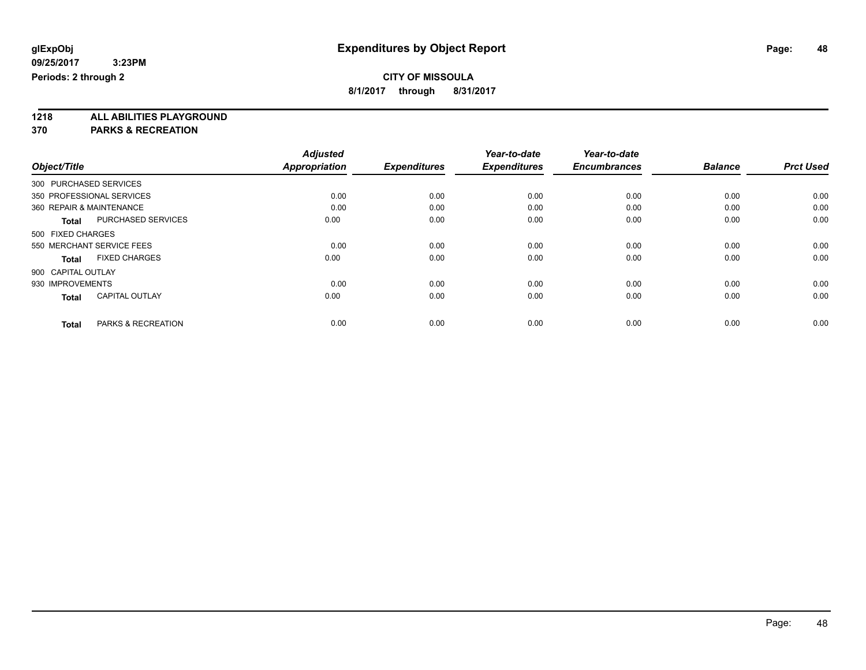**8/1/2017 through 8/31/2017**

**1218 ALL ABILITIES PLAYGROUND**

**370 PARKS & RECREATION**

|                                               | <b>Adjusted</b>      |                     | Year-to-date        | Year-to-date        |                |                  |
|-----------------------------------------------|----------------------|---------------------|---------------------|---------------------|----------------|------------------|
| Object/Title                                  | <b>Appropriation</b> | <b>Expenditures</b> | <b>Expenditures</b> | <b>Encumbrances</b> | <b>Balance</b> | <b>Prct Used</b> |
| 300 PURCHASED SERVICES                        |                      |                     |                     |                     |                |                  |
| 350 PROFESSIONAL SERVICES                     | 0.00                 | 0.00                | 0.00                | 0.00                | 0.00           | 0.00             |
| 360 REPAIR & MAINTENANCE                      | 0.00                 | 0.00                | 0.00                | 0.00                | 0.00           | 0.00             |
| <b>PURCHASED SERVICES</b><br><b>Total</b>     | 0.00                 | 0.00                | 0.00                | 0.00                | 0.00           | 0.00             |
| 500 FIXED CHARGES                             |                      |                     |                     |                     |                |                  |
| 550 MERCHANT SERVICE FEES                     | 0.00                 | 0.00                | 0.00                | 0.00                | 0.00           | 0.00             |
| <b>FIXED CHARGES</b><br><b>Total</b>          | 0.00                 | 0.00                | 0.00                | 0.00                | 0.00           | 0.00             |
| 900 CAPITAL OUTLAY                            |                      |                     |                     |                     |                |                  |
| 930 IMPROVEMENTS                              | 0.00                 | 0.00                | 0.00                | 0.00                | 0.00           | 0.00             |
| <b>CAPITAL OUTLAY</b><br><b>Total</b>         | 0.00                 | 0.00                | 0.00                | 0.00                | 0.00           | 0.00             |
| <b>PARKS &amp; RECREATION</b><br><b>Total</b> | 0.00                 | 0.00                | 0.00                | 0.00                | 0.00           | 0.00             |
|                                               |                      |                     |                     |                     |                |                  |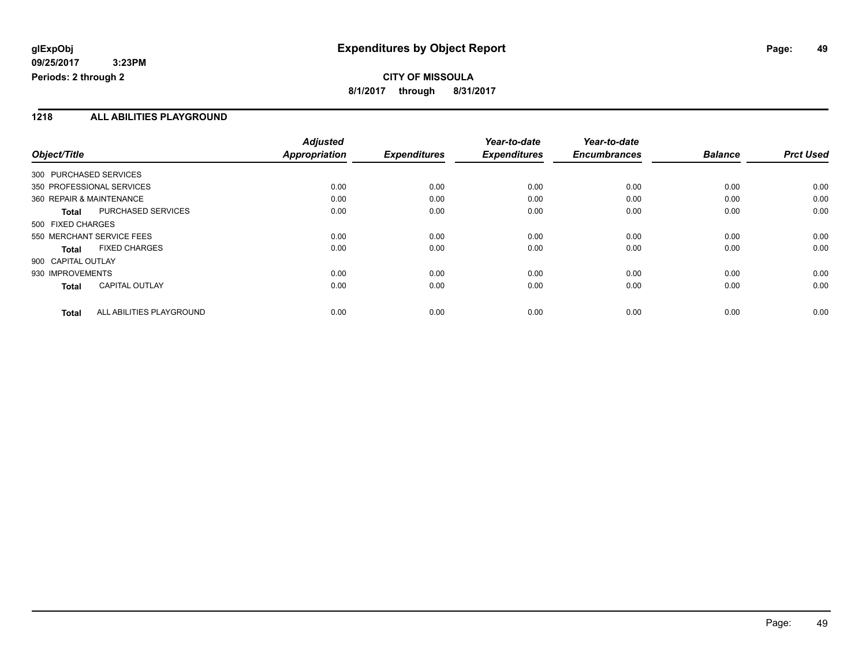### **CITY OF MISSOULA 8/1/2017 through 8/31/2017**

#### **1218 ALL ABILITIES PLAYGROUND**

|                                           | <b>Adjusted</b>      |                     | Year-to-date        | Year-to-date        |                |                  |
|-------------------------------------------|----------------------|---------------------|---------------------|---------------------|----------------|------------------|
| Object/Title                              | <b>Appropriation</b> | <b>Expenditures</b> | <b>Expenditures</b> | <b>Encumbrances</b> | <b>Balance</b> | <b>Prct Used</b> |
| 300 PURCHASED SERVICES                    |                      |                     |                     |                     |                |                  |
| 350 PROFESSIONAL SERVICES                 | 0.00                 | 0.00                | 0.00                | 0.00                | 0.00           | 0.00             |
| 360 REPAIR & MAINTENANCE                  | 0.00                 | 0.00                | 0.00                | 0.00                | 0.00           | 0.00             |
| <b>PURCHASED SERVICES</b><br><b>Total</b> | 0.00                 | 0.00                | 0.00                | 0.00                | 0.00           | 0.00             |
| 500 FIXED CHARGES                         |                      |                     |                     |                     |                |                  |
| 550 MERCHANT SERVICE FEES                 | 0.00                 | 0.00                | 0.00                | 0.00                | 0.00           | 0.00             |
| <b>FIXED CHARGES</b><br><b>Total</b>      | 0.00                 | 0.00                | 0.00                | 0.00                | 0.00           | 0.00             |
| 900 CAPITAL OUTLAY                        |                      |                     |                     |                     |                |                  |
| 930 IMPROVEMENTS                          | 0.00                 | 0.00                | 0.00                | 0.00                | 0.00           | 0.00             |
| <b>CAPITAL OUTLAY</b><br><b>Total</b>     | 0.00                 | 0.00                | 0.00                | 0.00                | 0.00           | 0.00             |
| ALL ABILITIES PLAYGROUND<br><b>Total</b>  | 0.00                 | 0.00                | 0.00                | 0.00                | 0.00           | 0.00             |
|                                           |                      |                     |                     |                     |                |                  |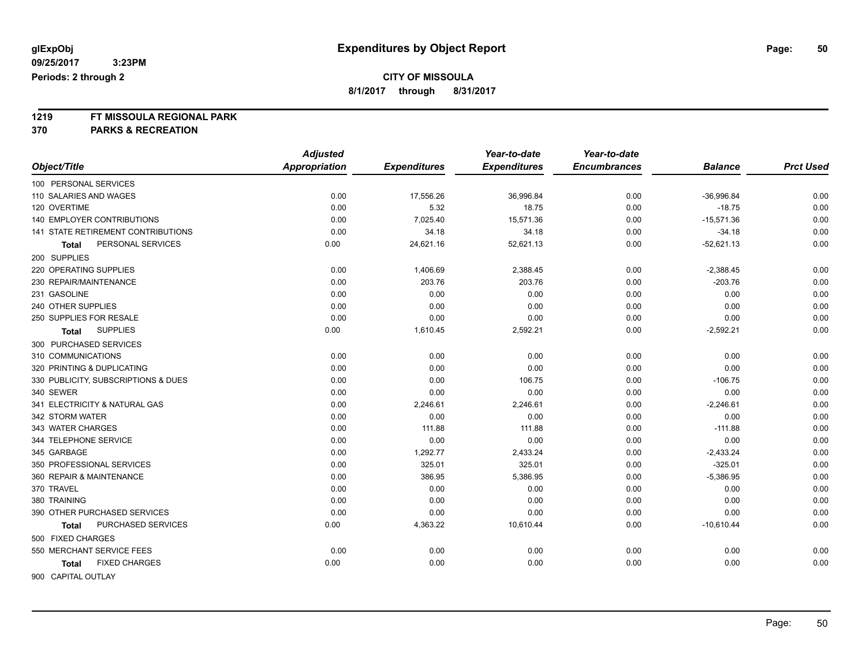**8/1/2017 through 8/31/2017**

# **1219 FT MISSOULA REGIONAL PARK**

**370 PARKS & RECREATION**

|                                           | <b>Adjusted</b> |                     | Year-to-date        | Year-to-date        |                |                  |
|-------------------------------------------|-----------------|---------------------|---------------------|---------------------|----------------|------------------|
| Object/Title                              | Appropriation   | <b>Expenditures</b> | <b>Expenditures</b> | <b>Encumbrances</b> | <b>Balance</b> | <b>Prct Used</b> |
| 100 PERSONAL SERVICES                     |                 |                     |                     |                     |                |                  |
| 110 SALARIES AND WAGES                    | 0.00            | 17,556.26           | 36,996.84           | 0.00                | $-36,996.84$   | 0.00             |
| 120 OVERTIME                              | 0.00            | 5.32                | 18.75               | 0.00                | $-18.75$       | 0.00             |
| <b>140 EMPLOYER CONTRIBUTIONS</b>         | 0.00            | 7,025.40            | 15,571.36           | 0.00                | $-15,571.36$   | 0.00             |
| <b>141 STATE RETIREMENT CONTRIBUTIONS</b> | 0.00            | 34.18               | 34.18               | 0.00                | $-34.18$       | 0.00             |
| PERSONAL SERVICES<br>Total                | 0.00            | 24,621.16           | 52,621.13           | 0.00                | $-52,621.13$   | 0.00             |
| 200 SUPPLIES                              |                 |                     |                     |                     |                |                  |
| 220 OPERATING SUPPLIES                    | 0.00            | 1,406.69            | 2,388.45            | 0.00                | $-2,388.45$    | 0.00             |
| 230 REPAIR/MAINTENANCE                    | 0.00            | 203.76              | 203.76              | 0.00                | $-203.76$      | 0.00             |
| 231 GASOLINE                              | 0.00            | 0.00                | 0.00                | 0.00                | 0.00           | 0.00             |
| 240 OTHER SUPPLIES                        | 0.00            | 0.00                | 0.00                | 0.00                | 0.00           | 0.00             |
| 250 SUPPLIES FOR RESALE                   | 0.00            | 0.00                | 0.00                | 0.00                | 0.00           | 0.00             |
| <b>SUPPLIES</b><br>Total                  | 0.00            | 1,610.45            | 2,592.21            | 0.00                | $-2,592.21$    | 0.00             |
| 300 PURCHASED SERVICES                    |                 |                     |                     |                     |                |                  |
| 310 COMMUNICATIONS                        | 0.00            | 0.00                | 0.00                | 0.00                | 0.00           | 0.00             |
| 320 PRINTING & DUPLICATING                | 0.00            | 0.00                | 0.00                | 0.00                | 0.00           | 0.00             |
| 330 PUBLICITY, SUBSCRIPTIONS & DUES       | 0.00            | 0.00                | 106.75              | 0.00                | $-106.75$      | 0.00             |
| 340 SEWER                                 | 0.00            | 0.00                | 0.00                | 0.00                | 0.00           | 0.00             |
| 341 ELECTRICITY & NATURAL GAS             | 0.00            | 2,246.61            | 2,246.61            | 0.00                | $-2,246.61$    | 0.00             |
| 342 STORM WATER                           | 0.00            | 0.00                | 0.00                | 0.00                | 0.00           | 0.00             |
| 343 WATER CHARGES                         | 0.00            | 111.88              | 111.88              | 0.00                | $-111.88$      | 0.00             |
| 344 TELEPHONE SERVICE                     | 0.00            | 0.00                | 0.00                | 0.00                | 0.00           | 0.00             |
| 345 GARBAGE                               | 0.00            | 1,292.77            | 2,433.24            | 0.00                | $-2,433.24$    | 0.00             |
| 350 PROFESSIONAL SERVICES                 | 0.00            | 325.01              | 325.01              | 0.00                | $-325.01$      | 0.00             |
| 360 REPAIR & MAINTENANCE                  | 0.00            | 386.95              | 5,386.95            | 0.00                | $-5,386.95$    | 0.00             |
| 370 TRAVEL                                | 0.00            | 0.00                | 0.00                | 0.00                | 0.00           | 0.00             |
| 380 TRAINING                              | 0.00            | 0.00                | 0.00                | 0.00                | 0.00           | 0.00             |
| 390 OTHER PURCHASED SERVICES              | 0.00            | 0.00                | 0.00                | 0.00                | 0.00           | 0.00             |
| PURCHASED SERVICES<br>Total               | 0.00            | 4,363.22            | 10,610.44           | 0.00                | $-10,610.44$   | 0.00             |
| 500 FIXED CHARGES                         |                 |                     |                     |                     |                |                  |
| 550 MERCHANT SERVICE FEES                 | 0.00            | 0.00                | 0.00                | 0.00                | 0.00           | 0.00             |
| <b>FIXED CHARGES</b><br>Total             | 0.00            | 0.00                | 0.00                | 0.00                | 0.00           | 0.00             |
| 900 CAPITAL OUTLAY                        |                 |                     |                     |                     |                |                  |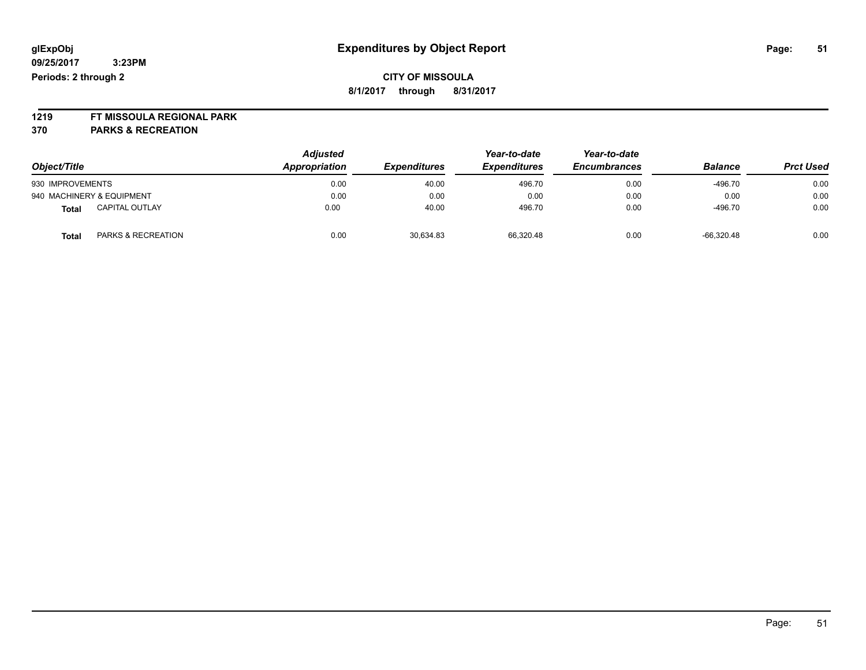### **CITY OF MISSOULA 8/1/2017 through 8/31/2017**

# **1219 FT MISSOULA REGIONAL PARK**

**370 PARKS & RECREATION**

|                                        | <b>Adjusted</b> |                     | Year-to-date        | Year-to-date<br><b>Encumbrances</b> |                |                  |
|----------------------------------------|-----------------|---------------------|---------------------|-------------------------------------|----------------|------------------|
| Object/Title                           | Appropriation   | <b>Expenditures</b> | <b>Expenditures</b> |                                     | <b>Balance</b> | <b>Prct Used</b> |
| 930 IMPROVEMENTS                       | 0.00            | 40.00               | 496.70              | 0.00                                | $-496.70$      | 0.00             |
| 940 MACHINERY & EQUIPMENT              | 0.00            | 0.00                | 0.00                | 0.00                                | 0.00           | 0.00             |
| <b>CAPITAL OUTLAY</b><br>Total         | 0.00            | 40.00               | 496.70              | 0.00                                | $-496.70$      | 0.00             |
| <b>PARKS &amp; RECREATION</b><br>Total | 0.00            | 30,634.83           | 66.320.48           | 0.00                                | $-66.320.48$   | 0.00             |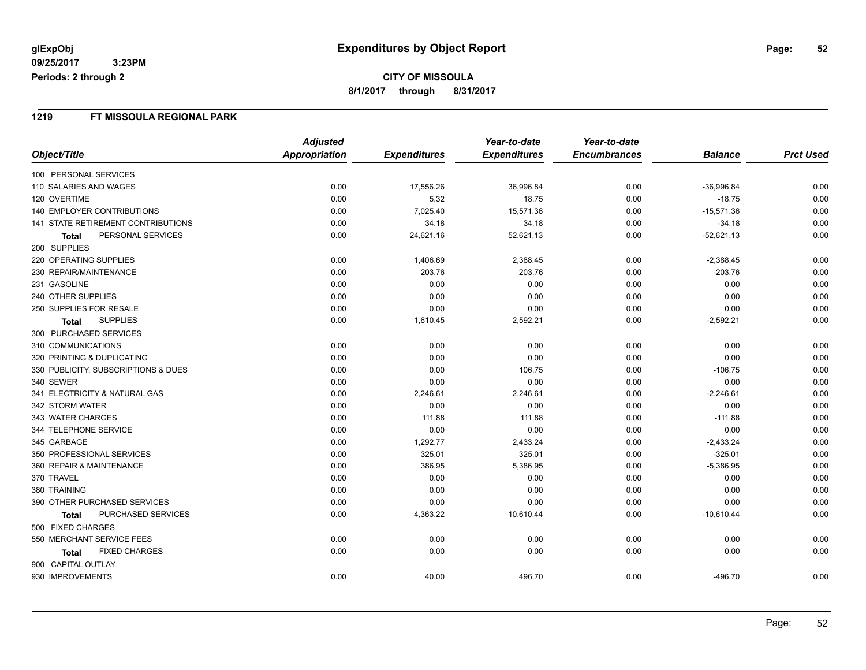#### **1219 FT MISSOULA REGIONAL PARK**

|                                     | <b>Adjusted</b>      |                     | Year-to-date        | Year-to-date        |                |                  |
|-------------------------------------|----------------------|---------------------|---------------------|---------------------|----------------|------------------|
| Object/Title                        | <b>Appropriation</b> | <b>Expenditures</b> | <b>Expenditures</b> | <b>Encumbrances</b> | <b>Balance</b> | <b>Prct Used</b> |
| 100 PERSONAL SERVICES               |                      |                     |                     |                     |                |                  |
| 110 SALARIES AND WAGES              | 0.00                 | 17,556.26           | 36,996.84           | 0.00                | $-36,996.84$   | 0.00             |
| 120 OVERTIME                        | 0.00                 | 5.32                | 18.75               | 0.00                | $-18.75$       | 0.00             |
| 140 EMPLOYER CONTRIBUTIONS          | 0.00                 | 7,025.40            | 15,571.36           | 0.00                | $-15,571.36$   | 0.00             |
| 141 STATE RETIREMENT CONTRIBUTIONS  | 0.00                 | 34.18               | 34.18               | 0.00                | $-34.18$       | 0.00             |
| PERSONAL SERVICES<br><b>Total</b>   | 0.00                 | 24,621.16           | 52,621.13           | 0.00                | $-52,621.13$   | 0.00             |
| 200 SUPPLIES                        |                      |                     |                     |                     |                |                  |
| 220 OPERATING SUPPLIES              | 0.00                 | 1,406.69            | 2,388.45            | 0.00                | $-2,388.45$    | 0.00             |
| 230 REPAIR/MAINTENANCE              | 0.00                 | 203.76              | 203.76              | 0.00                | $-203.76$      | 0.00             |
| 231 GASOLINE                        | 0.00                 | 0.00                | 0.00                | 0.00                | 0.00           | 0.00             |
| 240 OTHER SUPPLIES                  | 0.00                 | 0.00                | 0.00                | 0.00                | 0.00           | 0.00             |
| 250 SUPPLIES FOR RESALE             | 0.00                 | 0.00                | 0.00                | 0.00                | 0.00           | 0.00             |
| <b>SUPPLIES</b><br><b>Total</b>     | 0.00                 | 1,610.45            | 2,592.21            | 0.00                | $-2,592.21$    | 0.00             |
| 300 PURCHASED SERVICES              |                      |                     |                     |                     |                |                  |
| 310 COMMUNICATIONS                  | 0.00                 | 0.00                | 0.00                | 0.00                | 0.00           | 0.00             |
| 320 PRINTING & DUPLICATING          | 0.00                 | 0.00                | 0.00                | 0.00                | 0.00           | 0.00             |
| 330 PUBLICITY, SUBSCRIPTIONS & DUES | 0.00                 | 0.00                | 106.75              | 0.00                | $-106.75$      | 0.00             |
| 340 SEWER                           | 0.00                 | 0.00                | 0.00                | 0.00                | 0.00           | 0.00             |
| 341 ELECTRICITY & NATURAL GAS       | 0.00                 | 2,246.61            | 2,246.61            | 0.00                | $-2,246.61$    | 0.00             |
| 342 STORM WATER                     | 0.00                 | 0.00                | 0.00                | 0.00                | 0.00           | 0.00             |
| 343 WATER CHARGES                   | 0.00                 | 111.88              | 111.88              | 0.00                | $-111.88$      | 0.00             |
| 344 TELEPHONE SERVICE               | 0.00                 | 0.00                | 0.00                | 0.00                | 0.00           | 0.00             |
| 345 GARBAGE                         | 0.00                 | 1,292.77            | 2,433.24            | 0.00                | $-2,433.24$    | 0.00             |
| 350 PROFESSIONAL SERVICES           | 0.00                 | 325.01              | 325.01              | 0.00                | $-325.01$      | 0.00             |
| 360 REPAIR & MAINTENANCE            | 0.00                 | 386.95              | 5,386.95            | 0.00                | $-5,386.95$    | 0.00             |
| 370 TRAVEL                          | 0.00                 | 0.00                | 0.00                | 0.00                | 0.00           | 0.00             |
| 380 TRAINING                        | 0.00                 | 0.00                | 0.00                | 0.00                | 0.00           | 0.00             |
| 390 OTHER PURCHASED SERVICES        | 0.00                 | 0.00                | 0.00                | 0.00                | 0.00           | 0.00             |
| PURCHASED SERVICES<br><b>Total</b>  | 0.00                 | 4,363.22            | 10,610.44           | 0.00                | $-10,610.44$   | 0.00             |
| 500 FIXED CHARGES                   |                      |                     |                     |                     |                |                  |
| 550 MERCHANT SERVICE FEES           | 0.00                 | 0.00                | 0.00                | 0.00                | 0.00           | 0.00             |
| <b>FIXED CHARGES</b><br>Total       | 0.00                 | 0.00                | 0.00                | 0.00                | 0.00           | 0.00             |
| 900 CAPITAL OUTLAY                  |                      |                     |                     |                     |                |                  |
| 930 IMPROVEMENTS                    | 0.00                 | 40.00               | 496.70              | 0.00                | -496.70        | 0.00             |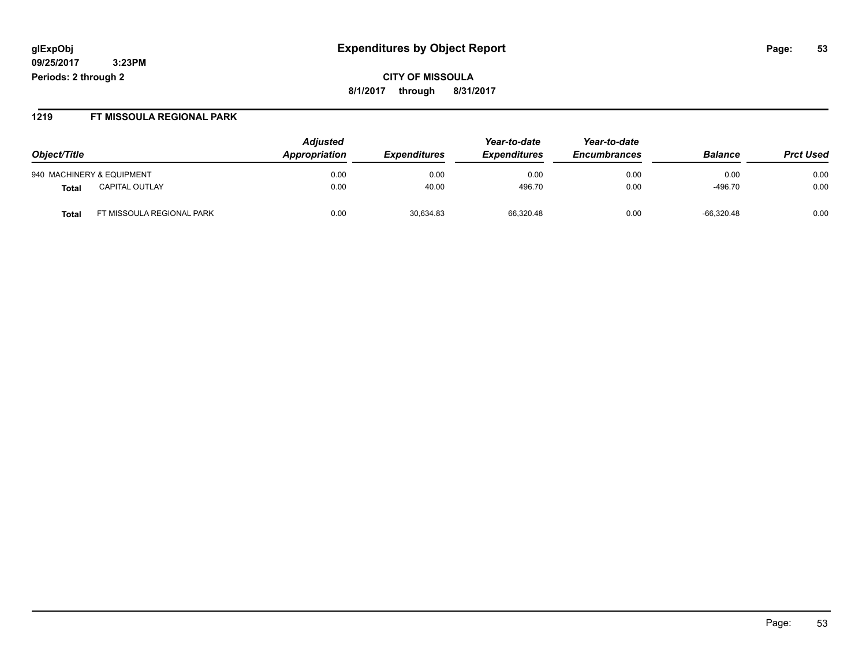## **glExpObj Expenditures by Object Report Page: 53**

**09/25/2017 3:23PM Periods: 2 through 2**

**8/1/2017 through 8/31/2017**

#### **1219 FT MISSOULA REGIONAL PARK**

|                                    | <b>Adjusted</b> |                            | Year-to-date        | Year-to-date        |                |                  |
|------------------------------------|-----------------|----------------------------|---------------------|---------------------|----------------|------------------|
| Object/Title                       | Appropriation   | <i><b>Expenditures</b></i> | <b>Expenditures</b> | <b>Encumbrances</b> | <b>Balance</b> | <b>Prct Used</b> |
| 940 MACHINERY & EQUIPMENT          | 0.00            | 0.00                       | 0.00                | 0.00                | 0.00           | 0.00             |
| CAPITAL OUTLAY<br>Total            | 0.00            | 40.00                      | 496.70              | 0.00                | $-496.70$      | 0.00             |
| FT MISSOULA REGIONAL PARK<br>Total | 0.00            | 30,634.83                  | 66.320.48           | 0.00                | $-66,320.48$   | 0.00             |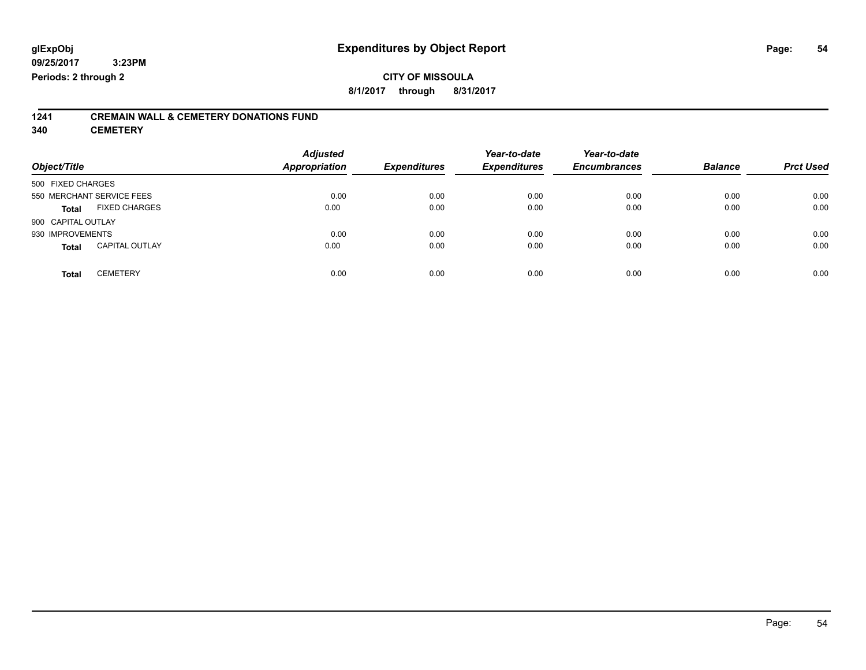### **CITY OF MISSOULA 8/1/2017 through 8/31/2017**

# **1241 CREMAIN WALL & CEMETERY DONATIONS FUND**

**340 CEMETERY**

| Object/Title                          | <b>Adjusted</b><br><b>Appropriation</b> | <b>Expenditures</b> | Year-to-date<br><b>Expenditures</b> | Year-to-date<br><b>Encumbrances</b> | <b>Balance</b> | <b>Prct Used</b> |
|---------------------------------------|-----------------------------------------|---------------------|-------------------------------------|-------------------------------------|----------------|------------------|
| 500 FIXED CHARGES                     |                                         |                     |                                     |                                     |                |                  |
| 550 MERCHANT SERVICE FEES             | 0.00                                    | 0.00                | 0.00                                | 0.00                                | 0.00           | 0.00             |
| <b>FIXED CHARGES</b><br><b>Total</b>  | 0.00                                    | 0.00                | 0.00                                | 0.00                                | 0.00           | 0.00             |
| 900 CAPITAL OUTLAY                    |                                         |                     |                                     |                                     |                |                  |
| 930 IMPROVEMENTS                      | 0.00                                    | 0.00                | 0.00                                | 0.00                                | 0.00           | 0.00             |
| <b>CAPITAL OUTLAY</b><br><b>Total</b> | 0.00                                    | 0.00                | 0.00                                | 0.00                                | 0.00           | 0.00             |
| <b>CEMETERY</b><br><b>Total</b>       | 0.00                                    | 0.00                | 0.00                                | 0.00                                | 0.00           | 0.00             |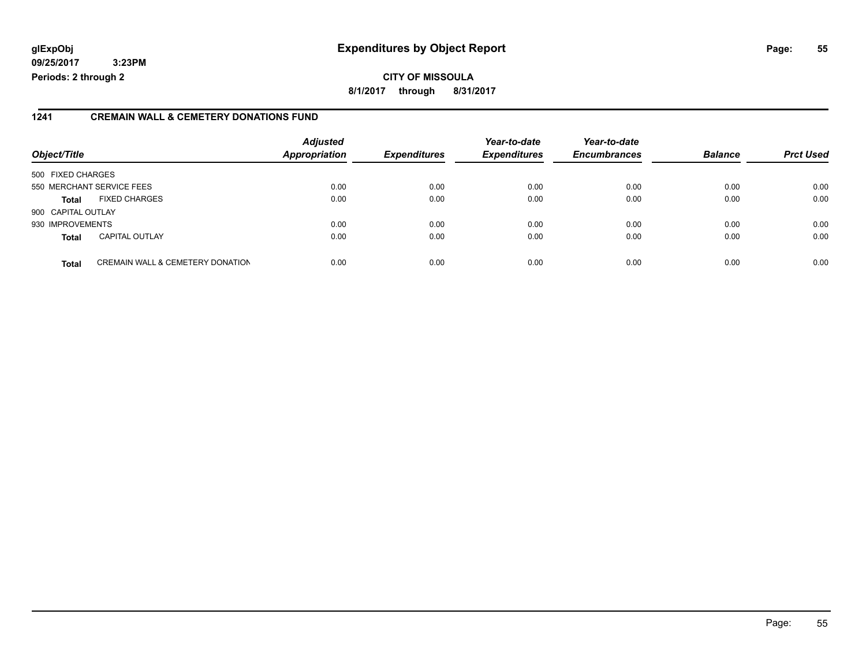## **glExpObj Expenditures by Object Report Page: 55**

**09/25/2017 3:23PM Periods: 2 through 2**

**8/1/2017 through 8/31/2017**

#### **1241 CREMAIN WALL & CEMETERY DONATIONS FUND**

| Object/Title       |                                             | <b>Adjusted</b><br>Appropriation | <b>Expenditures</b> | Year-to-date<br><b>Expenditures</b> | Year-to-date<br><b>Encumbrances</b> | <b>Balance</b> | <b>Prct Used</b> |
|--------------------|---------------------------------------------|----------------------------------|---------------------|-------------------------------------|-------------------------------------|----------------|------------------|
| 500 FIXED CHARGES  |                                             |                                  |                     |                                     |                                     |                |                  |
|                    | 550 MERCHANT SERVICE FEES                   | 0.00                             | 0.00                | 0.00                                | 0.00                                | 0.00           | 0.00             |
| <b>Total</b>       | <b>FIXED CHARGES</b>                        | 0.00                             | 0.00                | 0.00                                | 0.00                                | 0.00           | 0.00             |
| 900 CAPITAL OUTLAY |                                             |                                  |                     |                                     |                                     |                |                  |
| 930 IMPROVEMENTS   |                                             | 0.00                             | 0.00                | 0.00                                | 0.00                                | 0.00           | 0.00             |
| <b>Total</b>       | <b>CAPITAL OUTLAY</b>                       | 0.00                             | 0.00                | 0.00                                | 0.00                                | 0.00           | 0.00             |
| <b>Total</b>       | <b>CREMAIN WALL &amp; CEMETERY DONATION</b> | 0.00                             | 0.00                | 0.00                                | 0.00                                | 0.00           | 0.00             |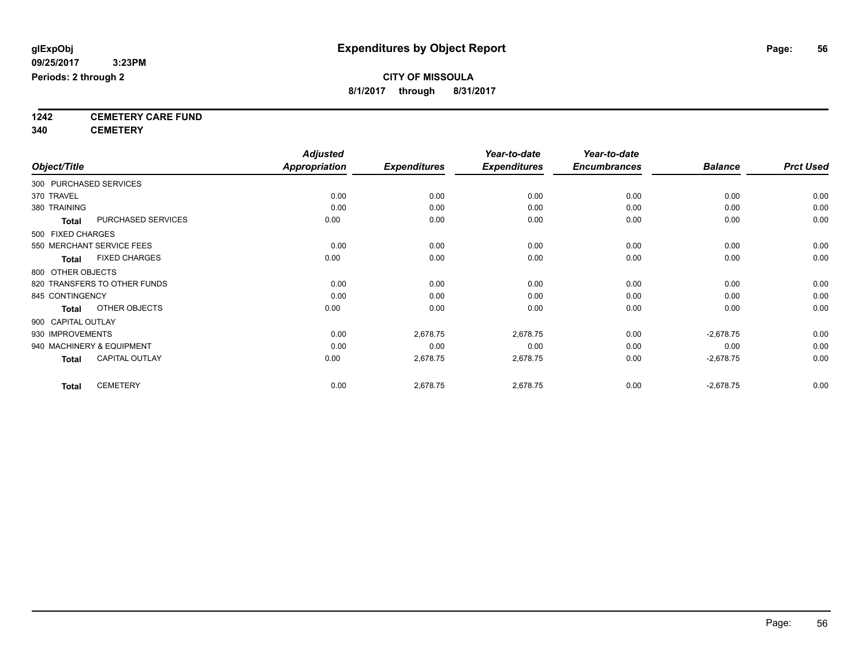**1242 CEMETERY CARE FUND**

**340 CEMETERY**

|                                       | <b>Adjusted</b><br><b>Appropriation</b> |                     | Year-to-date<br><b>Expenditures</b> | Year-to-date<br><b>Encumbrances</b> | <b>Balance</b> | <b>Prct Used</b> |
|---------------------------------------|-----------------------------------------|---------------------|-------------------------------------|-------------------------------------|----------------|------------------|
| Object/Title                          |                                         | <b>Expenditures</b> |                                     |                                     |                |                  |
| 300 PURCHASED SERVICES                |                                         |                     |                                     |                                     |                |                  |
| 370 TRAVEL                            | 0.00                                    | 0.00                | 0.00                                | 0.00                                | 0.00           | 0.00             |
| 380 TRAINING                          | 0.00                                    | 0.00                | 0.00                                | 0.00                                | 0.00           | 0.00             |
| PURCHASED SERVICES<br><b>Total</b>    | 0.00                                    | 0.00                | 0.00                                | 0.00                                | 0.00           | 0.00             |
| 500 FIXED CHARGES                     |                                         |                     |                                     |                                     |                |                  |
| 550 MERCHANT SERVICE FEES             | 0.00                                    | 0.00                | 0.00                                | 0.00                                | 0.00           | 0.00             |
| <b>FIXED CHARGES</b><br><b>Total</b>  | 0.00                                    | 0.00                | 0.00                                | 0.00                                | 0.00           | 0.00             |
| 800 OTHER OBJECTS                     |                                         |                     |                                     |                                     |                |                  |
| 820 TRANSFERS TO OTHER FUNDS          | 0.00                                    | 0.00                | 0.00                                | 0.00                                | 0.00           | 0.00             |
| 845 CONTINGENCY                       | 0.00                                    | 0.00                | 0.00                                | 0.00                                | 0.00           | 0.00             |
| OTHER OBJECTS<br>Total                | 0.00                                    | 0.00                | 0.00                                | 0.00                                | 0.00           | 0.00             |
| 900 CAPITAL OUTLAY                    |                                         |                     |                                     |                                     |                |                  |
| 930 IMPROVEMENTS                      | 0.00                                    | 2,678.75            | 2,678.75                            | 0.00                                | $-2,678.75$    | 0.00             |
| 940 MACHINERY & EQUIPMENT             | 0.00                                    | 0.00                | 0.00                                | 0.00                                | 0.00           | 0.00             |
| <b>CAPITAL OUTLAY</b><br><b>Total</b> | 0.00                                    | 2,678.75            | 2,678.75                            | 0.00                                | $-2,678.75$    | 0.00             |
| <b>CEMETERY</b><br><b>Total</b>       | 0.00                                    | 2,678.75            | 2,678.75                            | 0.00                                | $-2,678.75$    | 0.00             |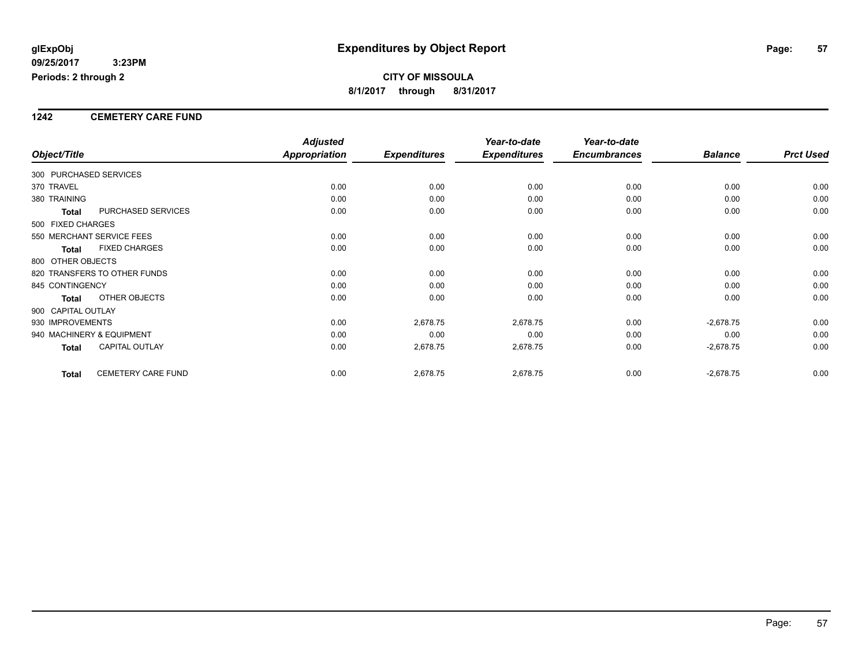#### **1242 CEMETERY CARE FUND**

|                        |                              | <b>Adjusted</b> |                     | Year-to-date        | Year-to-date        |                |                  |
|------------------------|------------------------------|-----------------|---------------------|---------------------|---------------------|----------------|------------------|
| Object/Title           |                              | Appropriation   | <b>Expenditures</b> | <b>Expenditures</b> | <b>Encumbrances</b> | <b>Balance</b> | <b>Prct Used</b> |
| 300 PURCHASED SERVICES |                              |                 |                     |                     |                     |                |                  |
| 370 TRAVEL             |                              | 0.00            | 0.00                | 0.00                | 0.00                | 0.00           | 0.00             |
| 380 TRAINING           |                              | 0.00            | 0.00                | 0.00                | 0.00                | 0.00           | 0.00             |
| <b>Total</b>           | PURCHASED SERVICES           | 0.00            | 0.00                | 0.00                | 0.00                | 0.00           | 0.00             |
| 500 FIXED CHARGES      |                              |                 |                     |                     |                     |                |                  |
|                        | 550 MERCHANT SERVICE FEES    | 0.00            | 0.00                | 0.00                | 0.00                | 0.00           | 0.00             |
| <b>Total</b>           | <b>FIXED CHARGES</b>         | 0.00            | 0.00                | 0.00                | 0.00                | 0.00           | 0.00             |
| 800 OTHER OBJECTS      |                              |                 |                     |                     |                     |                |                  |
|                        | 820 TRANSFERS TO OTHER FUNDS | 0.00            | 0.00                | 0.00                | 0.00                | 0.00           | 0.00             |
| 845 CONTINGENCY        |                              | 0.00            | 0.00                | 0.00                | 0.00                | 0.00           | 0.00             |
| Total                  | OTHER OBJECTS                | 0.00            | 0.00                | 0.00                | 0.00                | 0.00           | 0.00             |
| 900 CAPITAL OUTLAY     |                              |                 |                     |                     |                     |                |                  |
| 930 IMPROVEMENTS       |                              | 0.00            | 2,678.75            | 2,678.75            | 0.00                | $-2,678.75$    | 0.00             |
|                        | 940 MACHINERY & EQUIPMENT    | 0.00            | 0.00                | 0.00                | 0.00                | 0.00           | 0.00             |
| Total                  | <b>CAPITAL OUTLAY</b>        | 0.00            | 2,678.75            | 2,678.75            | 0.00                | $-2,678.75$    | 0.00             |
| <b>Total</b>           | CEMETERY CARE FUND           | 0.00            | 2,678.75            | 2,678.75            | 0.00                | $-2,678.75$    | 0.00             |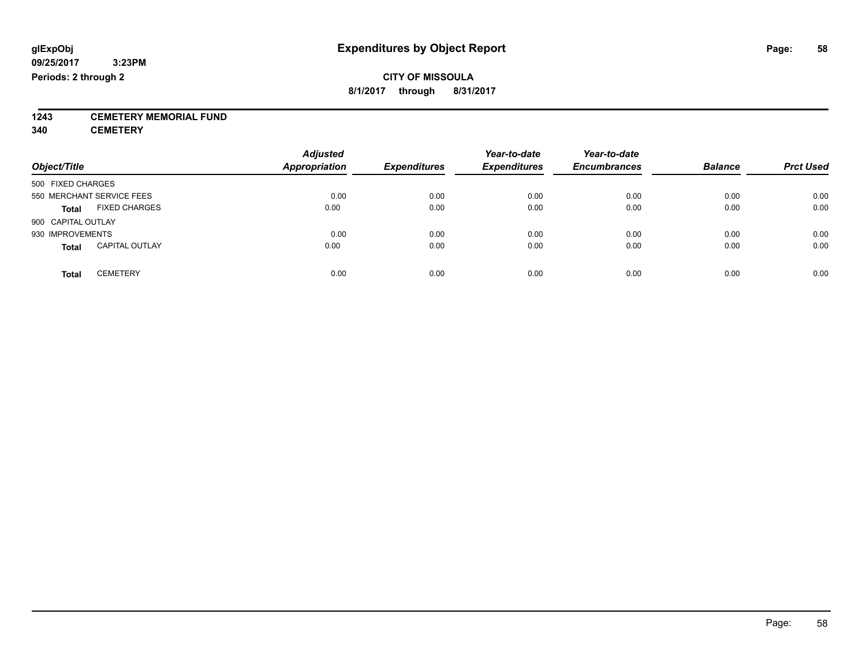# **1243 CEMETERY MEMORIAL FUND**

**340 CEMETERY**

| Object/Title                          | <b>Adjusted</b><br><b>Appropriation</b> | <b>Expenditures</b> | Year-to-date<br><b>Expenditures</b> | Year-to-date<br><b>Encumbrances</b> | <b>Balance</b> | <b>Prct Used</b> |
|---------------------------------------|-----------------------------------------|---------------------|-------------------------------------|-------------------------------------|----------------|------------------|
| 500 FIXED CHARGES                     |                                         |                     |                                     |                                     |                |                  |
| 550 MERCHANT SERVICE FEES             | 0.00                                    | 0.00                | 0.00                                | 0.00                                | 0.00           | 0.00             |
| <b>FIXED CHARGES</b><br><b>Total</b>  | 0.00                                    | 0.00                | 0.00                                | 0.00                                | 0.00           | 0.00             |
| 900 CAPITAL OUTLAY                    |                                         |                     |                                     |                                     |                |                  |
| 930 IMPROVEMENTS                      | 0.00                                    | 0.00                | 0.00                                | 0.00                                | 0.00           | 0.00             |
| <b>CAPITAL OUTLAY</b><br><b>Total</b> | 0.00                                    | 0.00                | 0.00                                | 0.00                                | 0.00           | 0.00             |
| <b>CEMETERY</b><br>Total              | 0.00                                    | 0.00                | 0.00                                | 0.00                                | 0.00           | 0.00             |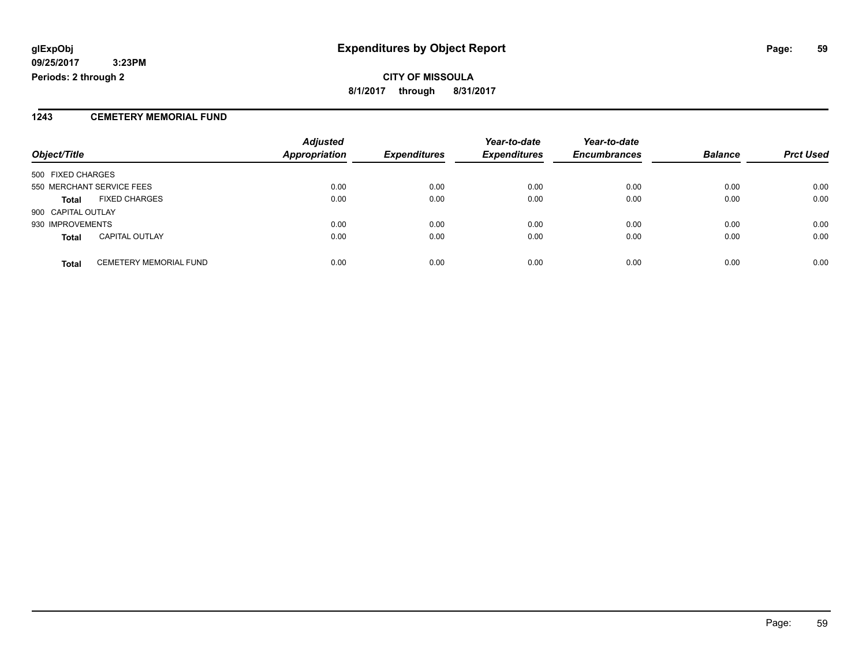#### **1243 CEMETERY MEMORIAL FUND**

|                    |                               | <b>Adjusted</b>      |                     | Year-to-date        | Year-to-date        |                |                  |
|--------------------|-------------------------------|----------------------|---------------------|---------------------|---------------------|----------------|------------------|
| Object/Title       |                               | <b>Appropriation</b> | <b>Expenditures</b> | <b>Expenditures</b> | <b>Encumbrances</b> | <b>Balance</b> | <b>Prct Used</b> |
| 500 FIXED CHARGES  |                               |                      |                     |                     |                     |                |                  |
|                    | 550 MERCHANT SERVICE FEES     | 0.00                 | 0.00                | 0.00                | 0.00                | 0.00           | 0.00             |
| <b>Total</b>       | <b>FIXED CHARGES</b>          | 0.00                 | 0.00                | 0.00                | 0.00                | 0.00           | 0.00             |
| 900 CAPITAL OUTLAY |                               |                      |                     |                     |                     |                |                  |
| 930 IMPROVEMENTS   |                               | 0.00                 | 0.00                | 0.00                | 0.00                | 0.00           | 0.00             |
| <b>Total</b>       | <b>CAPITAL OUTLAY</b>         | 0.00                 | 0.00                | 0.00                | 0.00                | 0.00           | 0.00             |
| <b>Total</b>       | <b>CEMETERY MEMORIAL FUND</b> | 0.00                 | 0.00                | 0.00                | 0.00                | 0.00           | 0.00             |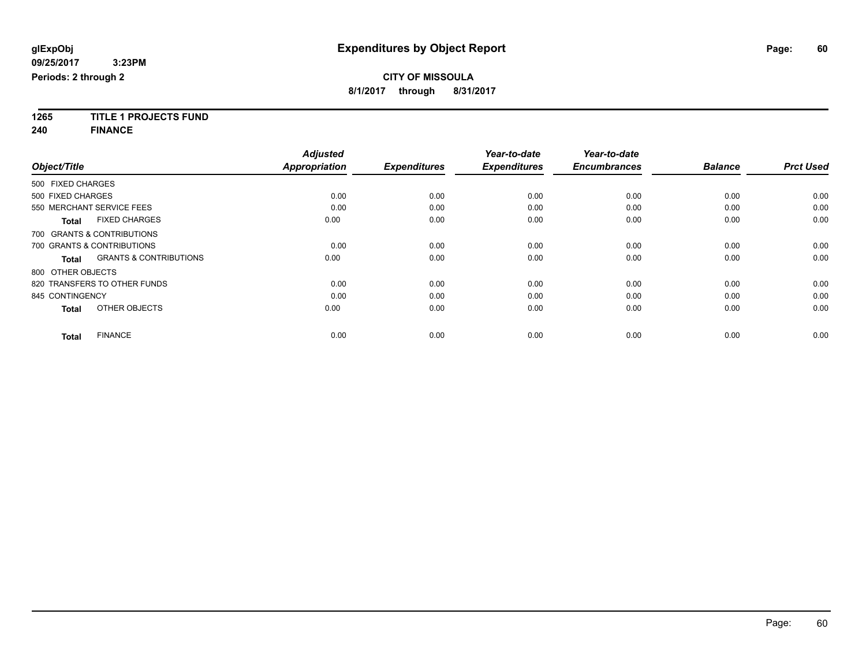**1265 TITLE 1 PROJECTS FUND**

**240 FINANCE**

|                                                   | <b>Adjusted</b>      |                     | Year-to-date        | Year-to-date        |                |                  |
|---------------------------------------------------|----------------------|---------------------|---------------------|---------------------|----------------|------------------|
| Object/Title                                      | <b>Appropriation</b> | <b>Expenditures</b> | <b>Expenditures</b> | <b>Encumbrances</b> | <b>Balance</b> | <b>Prct Used</b> |
| 500 FIXED CHARGES                                 |                      |                     |                     |                     |                |                  |
| 500 FIXED CHARGES                                 | 0.00                 | 0.00                | 0.00                | 0.00                | 0.00           | 0.00             |
| 550 MERCHANT SERVICE FEES                         | 0.00                 | 0.00                | 0.00                | 0.00                | 0.00           | 0.00             |
| <b>FIXED CHARGES</b><br>Total                     | 0.00                 | 0.00                | 0.00                | 0.00                | 0.00           | 0.00             |
| 700 GRANTS & CONTRIBUTIONS                        |                      |                     |                     |                     |                |                  |
| 700 GRANTS & CONTRIBUTIONS                        | 0.00                 | 0.00                | 0.00                | 0.00                | 0.00           | 0.00             |
| <b>GRANTS &amp; CONTRIBUTIONS</b><br><b>Total</b> | 0.00                 | 0.00                | 0.00                | 0.00                | 0.00           | 0.00             |
| 800 OTHER OBJECTS                                 |                      |                     |                     |                     |                |                  |
| 820 TRANSFERS TO OTHER FUNDS                      | 0.00                 | 0.00                | 0.00                | 0.00                | 0.00           | 0.00             |
| 845 CONTINGENCY                                   | 0.00                 | 0.00                | 0.00                | 0.00                | 0.00           | 0.00             |
| OTHER OBJECTS<br><b>Total</b>                     | 0.00                 | 0.00                | 0.00                | 0.00                | 0.00           | 0.00             |
| <b>FINANCE</b><br><b>Total</b>                    | 0.00                 | 0.00                | 0.00                | 0.00                | 0.00           | 0.00             |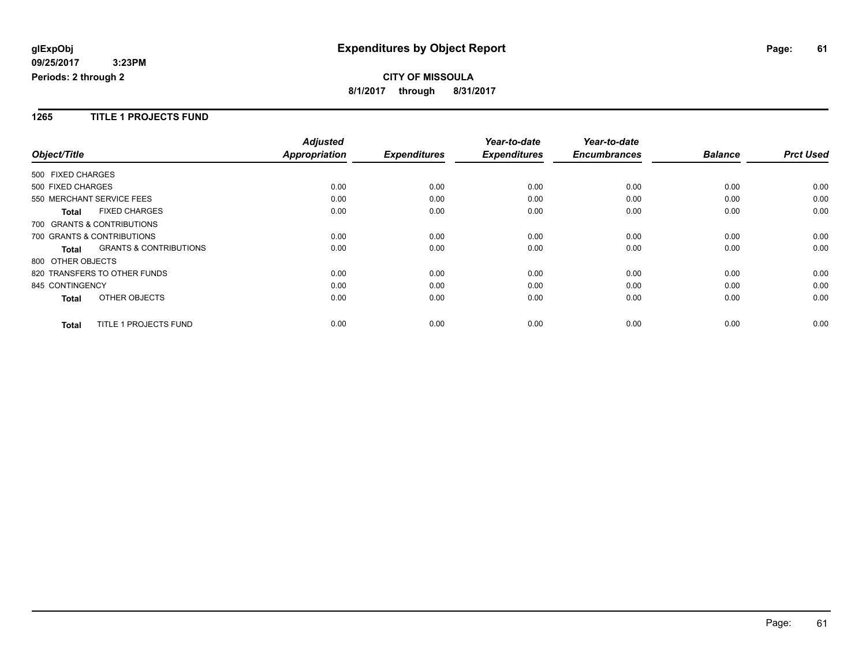#### **1265 TITLE 1 PROJECTS FUND**

|                                                   | <b>Adjusted</b>      |                     | Year-to-date        | Year-to-date        |                |                  |
|---------------------------------------------------|----------------------|---------------------|---------------------|---------------------|----------------|------------------|
| Object/Title                                      | <b>Appropriation</b> | <b>Expenditures</b> | <b>Expenditures</b> | <b>Encumbrances</b> | <b>Balance</b> | <b>Prct Used</b> |
| 500 FIXED CHARGES                                 |                      |                     |                     |                     |                |                  |
| 500 FIXED CHARGES                                 | 0.00                 | 0.00                | 0.00                | 0.00                | 0.00           | 0.00             |
| 550 MERCHANT SERVICE FEES                         | 0.00                 | 0.00                | 0.00                | 0.00                | 0.00           | 0.00             |
| <b>FIXED CHARGES</b><br><b>Total</b>              | 0.00                 | 0.00                | 0.00                | 0.00                | 0.00           | 0.00             |
| 700 GRANTS & CONTRIBUTIONS                        |                      |                     |                     |                     |                |                  |
| 700 GRANTS & CONTRIBUTIONS                        | 0.00                 | 0.00                | 0.00                | 0.00                | 0.00           | 0.00             |
| <b>GRANTS &amp; CONTRIBUTIONS</b><br><b>Total</b> | 0.00                 | 0.00                | 0.00                | 0.00                | 0.00           | 0.00             |
| 800 OTHER OBJECTS                                 |                      |                     |                     |                     |                |                  |
| 820 TRANSFERS TO OTHER FUNDS                      | 0.00                 | 0.00                | 0.00                | 0.00                | 0.00           | 0.00             |
| 845 CONTINGENCY                                   | 0.00                 | 0.00                | 0.00                | 0.00                | 0.00           | 0.00             |
| OTHER OBJECTS<br><b>Total</b>                     | 0.00                 | 0.00                | 0.00                | 0.00                | 0.00           | 0.00             |
| <b>TITLE 1 PROJECTS FUND</b><br><b>Total</b>      | 0.00                 | 0.00                | 0.00                | 0.00                | 0.00           | 0.00             |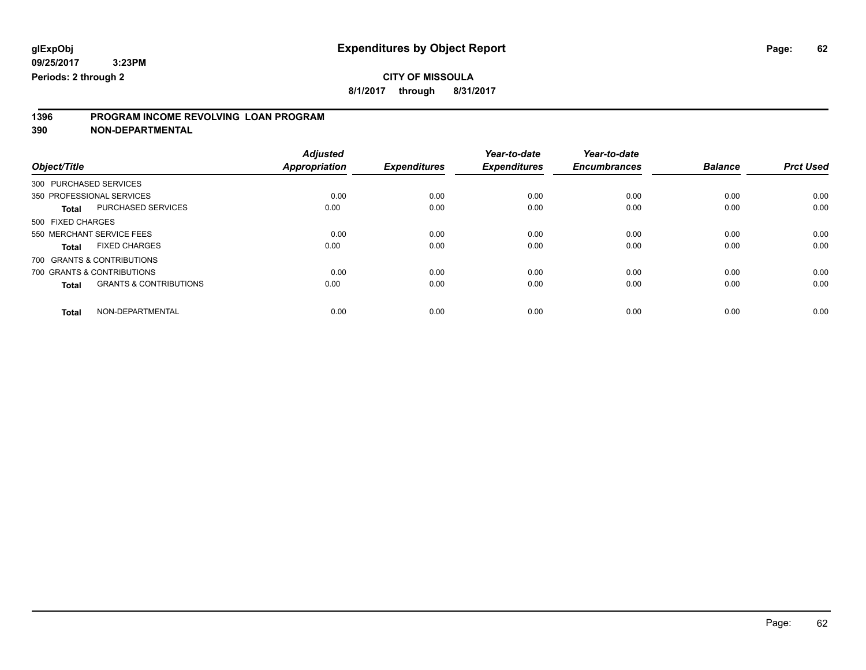**8/1/2017 through 8/31/2017**

# **1396 PROGRAM INCOME REVOLVING LOAN PROGRAM**

**390 NON-DEPARTMENTAL**

|                                                   | <b>Adjusted</b>      |                     | Year-to-date        | Year-to-date        |                |                  |
|---------------------------------------------------|----------------------|---------------------|---------------------|---------------------|----------------|------------------|
| Object/Title                                      | <b>Appropriation</b> | <b>Expenditures</b> | <b>Expenditures</b> | <b>Encumbrances</b> | <b>Balance</b> | <b>Prct Used</b> |
| 300 PURCHASED SERVICES                            |                      |                     |                     |                     |                |                  |
| 350 PROFESSIONAL SERVICES                         | 0.00                 | 0.00                | 0.00                | 0.00                | 0.00           | 0.00             |
| PURCHASED SERVICES<br><b>Total</b>                | 0.00                 | 0.00                | 0.00                | 0.00                | 0.00           | 0.00             |
| 500 FIXED CHARGES                                 |                      |                     |                     |                     |                |                  |
| 550 MERCHANT SERVICE FEES                         | 0.00                 | 0.00                | 0.00                | 0.00                | 0.00           | 0.00             |
| <b>FIXED CHARGES</b><br><b>Total</b>              | 0.00                 | 0.00                | 0.00                | 0.00                | 0.00           | 0.00             |
| 700 GRANTS & CONTRIBUTIONS                        |                      |                     |                     |                     |                |                  |
| 700 GRANTS & CONTRIBUTIONS                        | 0.00                 | 0.00                | 0.00                | 0.00                | 0.00           | 0.00             |
| <b>GRANTS &amp; CONTRIBUTIONS</b><br><b>Total</b> | 0.00                 | 0.00                | 0.00                | 0.00                | 0.00           | 0.00             |
| NON-DEPARTMENTAL<br><b>Total</b>                  | 0.00                 | 0.00                | 0.00                | 0.00                | 0.00           | 0.00             |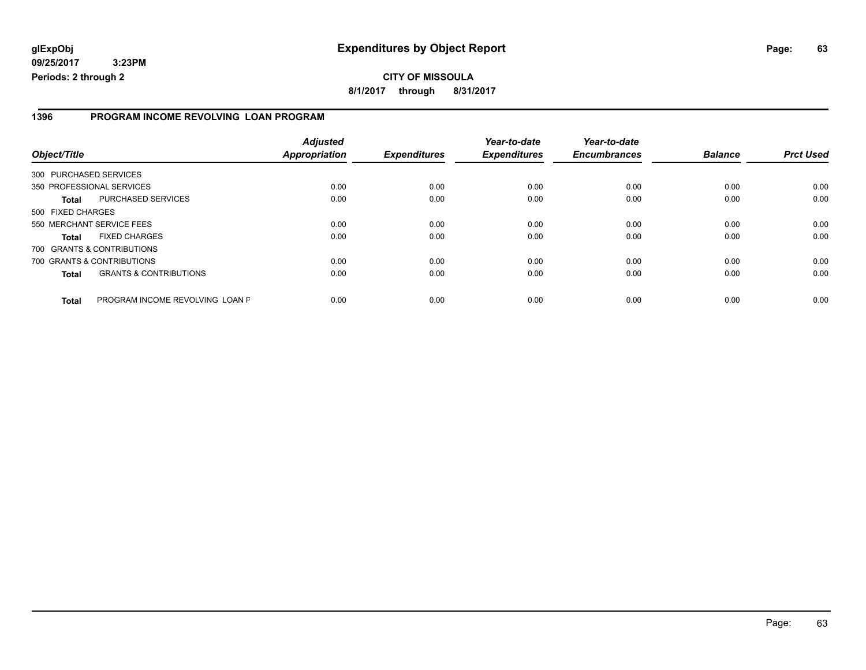#### **1396 PROGRAM INCOME REVOLVING LOAN PROGRAM**

| Object/Title           |                                   | <b>Adjusted</b><br><b>Appropriation</b> | <b>Expenditures</b> | Year-to-date<br><b>Expenditures</b> | Year-to-date<br><b>Encumbrances</b> | <b>Balance</b> | <b>Prct Used</b> |
|------------------------|-----------------------------------|-----------------------------------------|---------------------|-------------------------------------|-------------------------------------|----------------|------------------|
| 300 PURCHASED SERVICES |                                   |                                         |                     |                                     |                                     |                |                  |
|                        | 350 PROFESSIONAL SERVICES         | 0.00                                    | 0.00                | 0.00                                | 0.00                                | 0.00           | 0.00             |
| Total                  | PURCHASED SERVICES                | 0.00                                    | 0.00                | 0.00                                | 0.00                                | 0.00           | 0.00             |
| 500 FIXED CHARGES      |                                   |                                         |                     |                                     |                                     |                |                  |
|                        | 550 MERCHANT SERVICE FEES         | 0.00                                    | 0.00                | 0.00                                | 0.00                                | 0.00           | 0.00             |
| Total                  | <b>FIXED CHARGES</b>              | 0.00                                    | 0.00                | 0.00                                | 0.00                                | 0.00           | 0.00             |
|                        | 700 GRANTS & CONTRIBUTIONS        |                                         |                     |                                     |                                     |                |                  |
|                        | 700 GRANTS & CONTRIBUTIONS        | 0.00                                    | 0.00                | 0.00                                | 0.00                                | 0.00           | 0.00             |
| Total                  | <b>GRANTS &amp; CONTRIBUTIONS</b> | 0.00                                    | 0.00                | 0.00                                | 0.00                                | 0.00           | 0.00             |
| <b>Total</b>           | PROGRAM INCOME REVOLVING LOAN P   | 0.00                                    | 0.00                | 0.00                                | 0.00                                | 0.00           | 0.00             |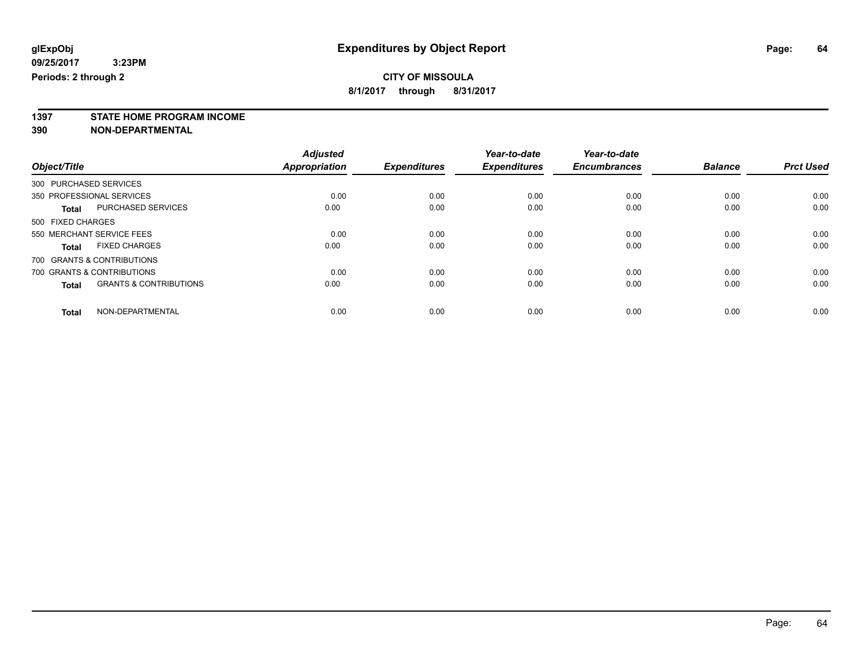**1397 STATE HOME PROGRAM INCOME**

**390 NON-DEPARTMENTAL**

|                        |                                   | <b>Adjusted</b> |                     | Year-to-date        | Year-to-date        |                |                  |
|------------------------|-----------------------------------|-----------------|---------------------|---------------------|---------------------|----------------|------------------|
| Object/Title           |                                   | Appropriation   | <b>Expenditures</b> | <b>Expenditures</b> | <b>Encumbrances</b> | <b>Balance</b> | <b>Prct Used</b> |
| 300 PURCHASED SERVICES |                                   |                 |                     |                     |                     |                |                  |
|                        | 350 PROFESSIONAL SERVICES         | 0.00            | 0.00                | 0.00                | 0.00                | 0.00           | 0.00             |
| <b>Total</b>           | <b>PURCHASED SERVICES</b>         | 0.00            | 0.00                | 0.00                | 0.00                | 0.00           | 0.00             |
| 500 FIXED CHARGES      |                                   |                 |                     |                     |                     |                |                  |
|                        | 550 MERCHANT SERVICE FEES         | 0.00            | 0.00                | 0.00                | 0.00                | 0.00           | 0.00             |
| <b>Total</b>           | <b>FIXED CHARGES</b>              | 0.00            | 0.00                | 0.00                | 0.00                | 0.00           | 0.00             |
|                        | 700 GRANTS & CONTRIBUTIONS        |                 |                     |                     |                     |                |                  |
|                        | 700 GRANTS & CONTRIBUTIONS        | 0.00            | 0.00                | 0.00                | 0.00                | 0.00           | 0.00             |
| <b>Total</b>           | <b>GRANTS &amp; CONTRIBUTIONS</b> | 0.00            | 0.00                | 0.00                | 0.00                | 0.00           | 0.00             |
| <b>Total</b>           | NON-DEPARTMENTAL                  | 0.00            | 0.00                | 0.00                | 0.00                | 0.00           | 0.00             |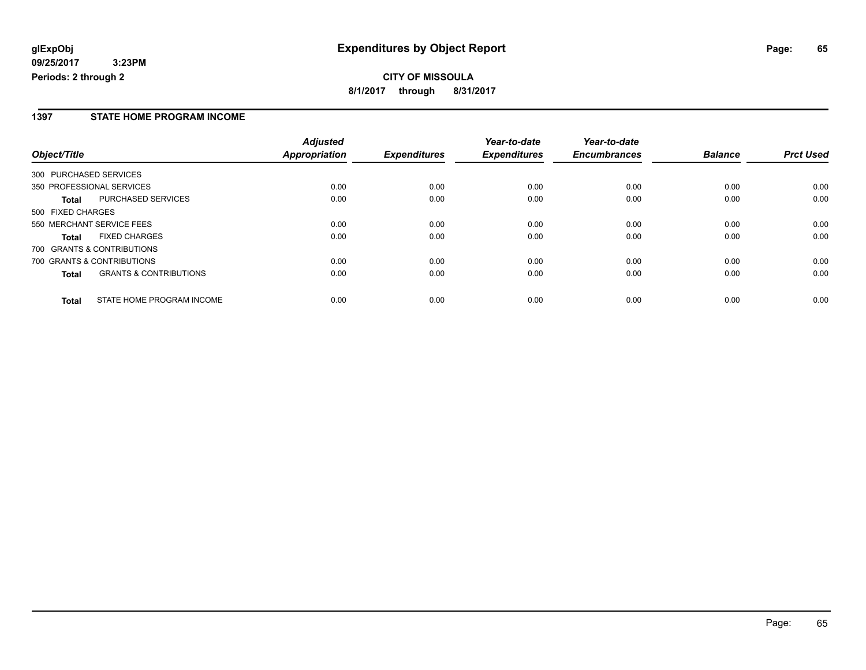## **CITY OF MISSOULA 8/1/2017 through 8/31/2017**

#### **1397 STATE HOME PROGRAM INCOME**

|                   |                                   | <b>Adjusted</b> |                     | Year-to-date        | Year-to-date        |                |                  |
|-------------------|-----------------------------------|-----------------|---------------------|---------------------|---------------------|----------------|------------------|
| Object/Title      |                                   | Appropriation   | <b>Expenditures</b> | <b>Expenditures</b> | <b>Encumbrances</b> | <b>Balance</b> | <b>Prct Used</b> |
|                   | 300 PURCHASED SERVICES            |                 |                     |                     |                     |                |                  |
|                   | 350 PROFESSIONAL SERVICES         | 0.00            | 0.00                | 0.00                | 0.00                | 0.00           | 0.00             |
| Total             | PURCHASED SERVICES                | 0.00            | 0.00                | 0.00                | 0.00                | 0.00           | 0.00             |
| 500 FIXED CHARGES |                                   |                 |                     |                     |                     |                |                  |
|                   | 550 MERCHANT SERVICE FEES         | 0.00            | 0.00                | 0.00                | 0.00                | 0.00           | 0.00             |
| <b>Total</b>      | <b>FIXED CHARGES</b>              | 0.00            | 0.00                | 0.00                | 0.00                | 0.00           | 0.00             |
|                   | 700 GRANTS & CONTRIBUTIONS        |                 |                     |                     |                     |                |                  |
|                   | 700 GRANTS & CONTRIBUTIONS        | 0.00            | 0.00                | 0.00                | 0.00                | 0.00           | 0.00             |
| <b>Total</b>      | <b>GRANTS &amp; CONTRIBUTIONS</b> | 0.00            | 0.00                | 0.00                | 0.00                | 0.00           | 0.00             |
| <b>Total</b>      | STATE HOME PROGRAM INCOME         | 0.00            | 0.00                | 0.00                | 0.00                | 0.00           | 0.00             |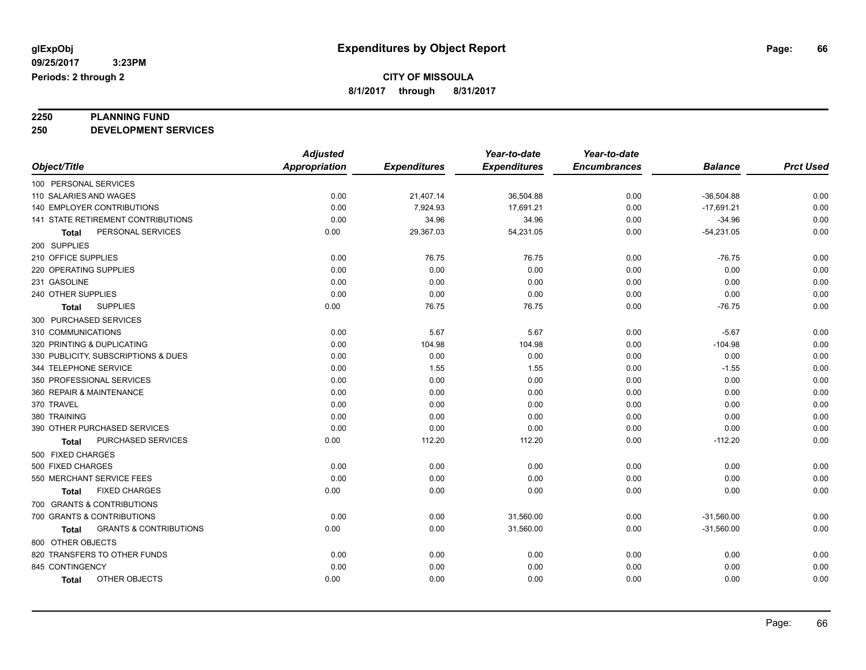# **2250 PLANNING FUND**

**250 DEVELOPMENT SERVICES**

|                                            | <b>Adjusted</b>      |                     | Year-to-date        | Year-to-date        |                |                  |
|--------------------------------------------|----------------------|---------------------|---------------------|---------------------|----------------|------------------|
| Object/Title                               | <b>Appropriation</b> | <b>Expenditures</b> | <b>Expenditures</b> | <b>Encumbrances</b> | <b>Balance</b> | <b>Prct Used</b> |
| 100 PERSONAL SERVICES                      |                      |                     |                     |                     |                |                  |
| 110 SALARIES AND WAGES                     | 0.00                 | 21,407.14           | 36,504.88           | 0.00                | $-36,504.88$   | 0.00             |
| 140 EMPLOYER CONTRIBUTIONS                 | 0.00                 | 7,924.93            | 17,691.21           | 0.00                | $-17,691.21$   | 0.00             |
| <b>141 STATE RETIREMENT CONTRIBUTIONS</b>  | 0.00                 | 34.96               | 34.96               | 0.00                | $-34.96$       | 0.00             |
| PERSONAL SERVICES<br>Total                 | 0.00                 | 29,367.03           | 54,231.05           | 0.00                | $-54,231.05$   | 0.00             |
| 200 SUPPLIES                               |                      |                     |                     |                     |                |                  |
| 210 OFFICE SUPPLIES                        | 0.00                 | 76.75               | 76.75               | 0.00                | $-76.75$       | 0.00             |
| 220 OPERATING SUPPLIES                     | 0.00                 | 0.00                | 0.00                | 0.00                | 0.00           | 0.00             |
| 231 GASOLINE                               | 0.00                 | 0.00                | 0.00                | 0.00                | 0.00           | 0.00             |
| 240 OTHER SUPPLIES                         | 0.00                 | 0.00                | 0.00                | 0.00                | 0.00           | 0.00             |
| <b>SUPPLIES</b><br>Total                   | 0.00                 | 76.75               | 76.75               | 0.00                | $-76.75$       | 0.00             |
| 300 PURCHASED SERVICES                     |                      |                     |                     |                     |                |                  |
| 310 COMMUNICATIONS                         | 0.00                 | 5.67                | 5.67                | 0.00                | $-5.67$        | 0.00             |
| 320 PRINTING & DUPLICATING                 | 0.00                 | 104.98              | 104.98              | 0.00                | $-104.98$      | 0.00             |
| 330 PUBLICITY, SUBSCRIPTIONS & DUES        | 0.00                 | 0.00                | 0.00                | 0.00                | 0.00           | 0.00             |
| 344 TELEPHONE SERVICE                      | 0.00                 | 1.55                | 1.55                | 0.00                | $-1.55$        | 0.00             |
| 350 PROFESSIONAL SERVICES                  | 0.00                 | 0.00                | 0.00                | 0.00                | 0.00           | 0.00             |
| 360 REPAIR & MAINTENANCE                   | 0.00                 | 0.00                | 0.00                | 0.00                | 0.00           | 0.00             |
| 370 TRAVEL                                 | 0.00                 | 0.00                | 0.00                | 0.00                | 0.00           | 0.00             |
| 380 TRAINING                               | 0.00                 | 0.00                | 0.00                | 0.00                | 0.00           | 0.00             |
| 390 OTHER PURCHASED SERVICES               | 0.00                 | 0.00                | 0.00                | 0.00                | 0.00           | 0.00             |
| PURCHASED SERVICES<br>Total                | 0.00                 | 112.20              | 112.20              | 0.00                | $-112.20$      | 0.00             |
| 500 FIXED CHARGES                          |                      |                     |                     |                     |                |                  |
| 500 FIXED CHARGES                          | 0.00                 | 0.00                | 0.00                | 0.00                | 0.00           | 0.00             |
| 550 MERCHANT SERVICE FEES                  | 0.00                 | 0.00                | 0.00                | 0.00                | 0.00           | 0.00             |
| <b>FIXED CHARGES</b><br>Total              | 0.00                 | 0.00                | 0.00                | 0.00                | 0.00           | 0.00             |
| 700 GRANTS & CONTRIBUTIONS                 |                      |                     |                     |                     |                |                  |
| 700 GRANTS & CONTRIBUTIONS                 | 0.00                 | 0.00                | 31,560.00           | 0.00                | $-31,560.00$   | 0.00             |
| <b>GRANTS &amp; CONTRIBUTIONS</b><br>Total | 0.00                 | 0.00                | 31,560.00           | 0.00                | $-31,560.00$   | 0.00             |
| 800 OTHER OBJECTS                          |                      |                     |                     |                     |                |                  |
| 820 TRANSFERS TO OTHER FUNDS               | 0.00                 | 0.00                | 0.00                | 0.00                | 0.00           | 0.00             |
| 845 CONTINGENCY                            | 0.00                 | 0.00                | 0.00                | 0.00                | 0.00           | 0.00             |
| OTHER OBJECTS<br>Total                     | 0.00                 | 0.00                | 0.00                | 0.00                | 0.00           | 0.00             |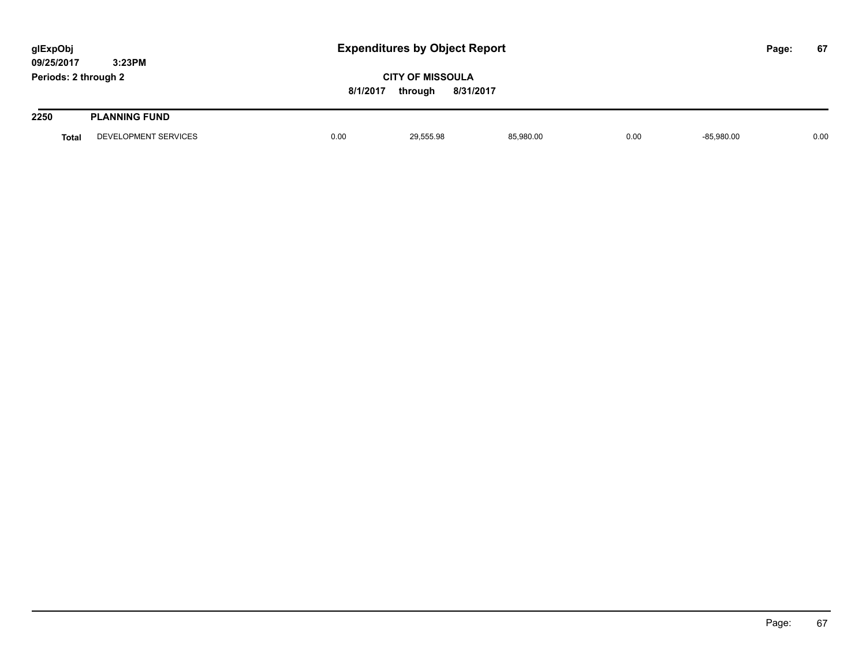| glExpObj<br>09/25/2017 | 3:23PM               | <b>Expenditures by Object Report</b> |                                                 |           |      |              |  | 67   |
|------------------------|----------------------|--------------------------------------|-------------------------------------------------|-----------|------|--------------|--|------|
| Periods: 2 through 2   |                      | 8/1/2017                             | <b>CITY OF MISSOULA</b><br>8/31/2017<br>through |           |      |              |  |      |
| 2250                   | <b>PLANNING FUND</b> |                                      |                                                 |           |      |              |  |      |
| <b>Total</b>           | DEVELOPMENT SERVICES | 0.00                                 | 29,555.98                                       | 85,980.00 | 0.00 | $-85,980.00$ |  | 0.00 |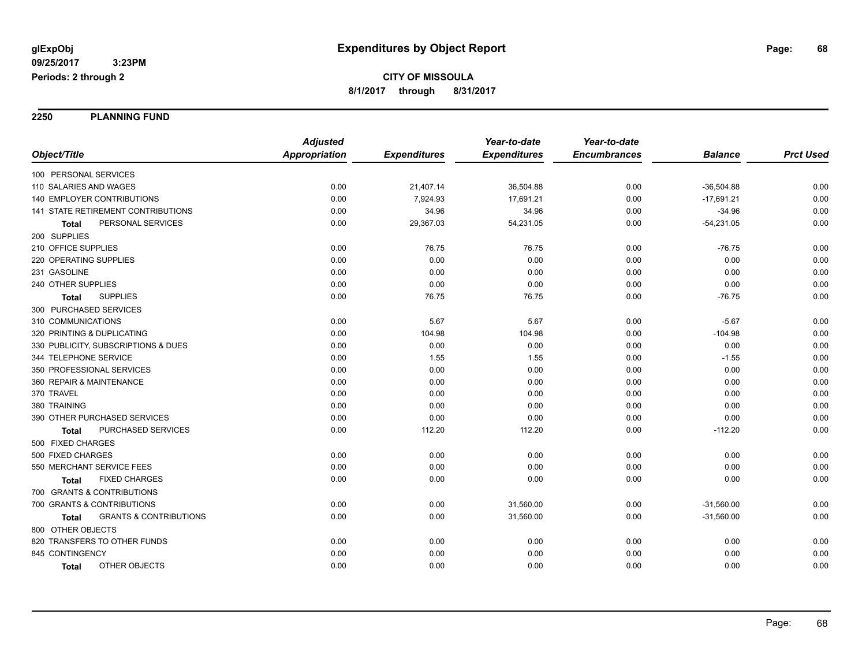**2250 PLANNING FUND**

|                                                   | <b>Adjusted</b>      |                     | Year-to-date        | Year-to-date        |                |                  |
|---------------------------------------------------|----------------------|---------------------|---------------------|---------------------|----------------|------------------|
| Object/Title                                      | <b>Appropriation</b> | <b>Expenditures</b> | <b>Expenditures</b> | <b>Encumbrances</b> | <b>Balance</b> | <b>Prct Used</b> |
| 100 PERSONAL SERVICES                             |                      |                     |                     |                     |                |                  |
| 110 SALARIES AND WAGES                            | 0.00                 | 21,407.14           | 36,504.88           | 0.00                | $-36,504.88$   | 0.00             |
| <b>140 EMPLOYER CONTRIBUTIONS</b>                 | 0.00                 | 7,924.93            | 17,691.21           | 0.00                | $-17,691.21$   | 0.00             |
| 141 STATE RETIREMENT CONTRIBUTIONS                | 0.00                 | 34.96               | 34.96               | 0.00                | $-34.96$       | 0.00             |
| PERSONAL SERVICES<br><b>Total</b>                 | 0.00                 | 29,367.03           | 54,231.05           | 0.00                | $-54,231.05$   | 0.00             |
| 200 SUPPLIES                                      |                      |                     |                     |                     |                |                  |
| 210 OFFICE SUPPLIES                               | 0.00                 | 76.75               | 76.75               | 0.00                | $-76.75$       | 0.00             |
| 220 OPERATING SUPPLIES                            | 0.00                 | 0.00                | 0.00                | 0.00                | 0.00           | 0.00             |
| 231 GASOLINE                                      | 0.00                 | 0.00                | 0.00                | 0.00                | 0.00           | 0.00             |
| 240 OTHER SUPPLIES                                | 0.00                 | 0.00                | 0.00                | 0.00                | 0.00           | 0.00             |
| <b>SUPPLIES</b><br>Total                          | 0.00                 | 76.75               | 76.75               | 0.00                | $-76.75$       | 0.00             |
| 300 PURCHASED SERVICES                            |                      |                     |                     |                     |                |                  |
| 310 COMMUNICATIONS                                | 0.00                 | 5.67                | 5.67                | 0.00                | $-5.67$        | 0.00             |
| 320 PRINTING & DUPLICATING                        | 0.00                 | 104.98              | 104.98              | 0.00                | $-104.98$      | 0.00             |
| 330 PUBLICITY, SUBSCRIPTIONS & DUES               | 0.00                 | 0.00                | 0.00                | 0.00                | 0.00           | 0.00             |
| 344 TELEPHONE SERVICE                             | 0.00                 | 1.55                | 1.55                | 0.00                | $-1.55$        | 0.00             |
| 350 PROFESSIONAL SERVICES                         | 0.00                 | 0.00                | 0.00                | 0.00                | 0.00           | 0.00             |
| 360 REPAIR & MAINTENANCE                          | 0.00                 | 0.00                | 0.00                | 0.00                | 0.00           | 0.00             |
| 370 TRAVEL                                        | 0.00                 | 0.00                | 0.00                | 0.00                | 0.00           | 0.00             |
| 380 TRAINING                                      | 0.00                 | 0.00                | 0.00                | 0.00                | 0.00           | 0.00             |
| 390 OTHER PURCHASED SERVICES                      | 0.00                 | 0.00                | 0.00                | 0.00                | 0.00           | 0.00             |
| PURCHASED SERVICES<br>Total                       | 0.00                 | 112.20              | 112.20              | 0.00                | $-112.20$      | 0.00             |
| 500 FIXED CHARGES                                 |                      |                     |                     |                     |                |                  |
| 500 FIXED CHARGES                                 | 0.00                 | 0.00                | 0.00                | 0.00                | 0.00           | 0.00             |
| 550 MERCHANT SERVICE FEES                         | 0.00                 | 0.00                | 0.00                | 0.00                | 0.00           | 0.00             |
| <b>FIXED CHARGES</b><br>Total                     | 0.00                 | 0.00                | 0.00                | 0.00                | 0.00           | 0.00             |
| 700 GRANTS & CONTRIBUTIONS                        |                      |                     |                     |                     |                |                  |
| 700 GRANTS & CONTRIBUTIONS                        | 0.00                 | 0.00                | 31,560.00           | 0.00                | $-31,560.00$   | 0.00             |
| <b>GRANTS &amp; CONTRIBUTIONS</b><br><b>Total</b> | 0.00                 | 0.00                | 31,560.00           | 0.00                | $-31,560.00$   | 0.00             |
| 800 OTHER OBJECTS                                 |                      |                     |                     |                     |                |                  |
| 820 TRANSFERS TO OTHER FUNDS                      | 0.00                 | 0.00                | 0.00                | 0.00                | 0.00           | 0.00             |
| 845 CONTINGENCY                                   | 0.00                 | 0.00                | 0.00                | 0.00                | 0.00           | 0.00             |
| OTHER OBJECTS<br><b>Total</b>                     | 0.00                 | 0.00                | 0.00                | 0.00                | 0.00           | 0.00             |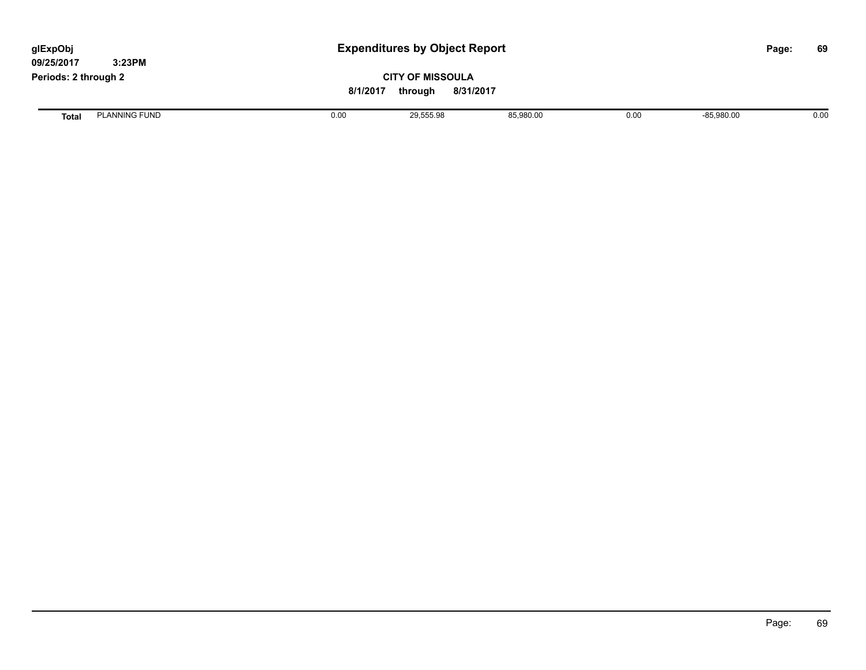| glExpObj<br>09/25/2017 | 3:23PM               | <b>Expenditures by Object Report</b> |           |           |      |              | Page: | 69   |
|------------------------|----------------------|--------------------------------------|-----------|-----------|------|--------------|-------|------|
| Periods: 2 through 2   |                      | <b>CITY OF MISSOULA</b><br>8/1/2017  |           |           |      |              |       |      |
| <b>Total</b>           | <b>PLANNING FUND</b> | 0.00                                 | 29,555.98 | 85,980.00 | 0.00 | $-85,980.00$ |       | 0.00 |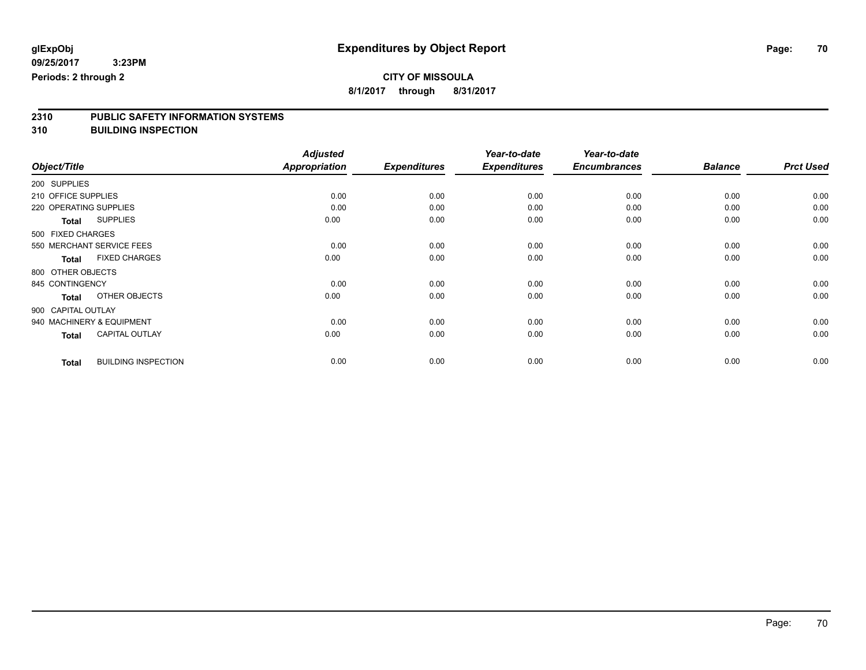**8/1/2017 through 8/31/2017**

# **2310 PUBLIC SAFETY INFORMATION SYSTEMS**

**310 BUILDING INSPECTION**

|              |                                            | <b>Adjusted</b> |                     | Year-to-date        | Year-to-date        |                |                  |
|--------------|--------------------------------------------|-----------------|---------------------|---------------------|---------------------|----------------|------------------|
| Object/Title |                                            | Appropriation   | <b>Expenditures</b> | <b>Expenditures</b> | <b>Encumbrances</b> | <b>Balance</b> | <b>Prct Used</b> |
| 200 SUPPLIES |                                            |                 |                     |                     |                     |                |                  |
|              | 210 OFFICE SUPPLIES                        | 0.00            | 0.00                | 0.00                | 0.00                | 0.00           | 0.00             |
|              | 220 OPERATING SUPPLIES                     | 0.00            | 0.00                | 0.00                | 0.00                | 0.00           | 0.00             |
|              | <b>SUPPLIES</b><br><b>Total</b>            | 0.00            | 0.00                | 0.00                | 0.00                | 0.00           | 0.00             |
|              | 500 FIXED CHARGES                          |                 |                     |                     |                     |                |                  |
|              | 550 MERCHANT SERVICE FEES                  | 0.00            | 0.00                | 0.00                | 0.00                | 0.00           | 0.00             |
|              | <b>FIXED CHARGES</b><br><b>Total</b>       | 0.00            | 0.00                | 0.00                | 0.00                | 0.00           | 0.00             |
|              | 800 OTHER OBJECTS                          |                 |                     |                     |                     |                |                  |
|              | 845 CONTINGENCY                            | 0.00            | 0.00                | 0.00                | 0.00                | 0.00           | 0.00             |
|              | OTHER OBJECTS<br><b>Total</b>              | 0.00            | 0.00                | 0.00                | 0.00                | 0.00           | 0.00             |
|              | 900 CAPITAL OUTLAY                         |                 |                     |                     |                     |                |                  |
|              | 940 MACHINERY & EQUIPMENT                  | 0.00            | 0.00                | 0.00                | 0.00                | 0.00           | 0.00             |
|              | <b>CAPITAL OUTLAY</b><br><b>Total</b>      | 0.00            | 0.00                | 0.00                | 0.00                | 0.00           | 0.00             |
|              | <b>BUILDING INSPECTION</b><br><b>Total</b> | 0.00            | 0.00                | 0.00                | 0.00                | 0.00           | 0.00             |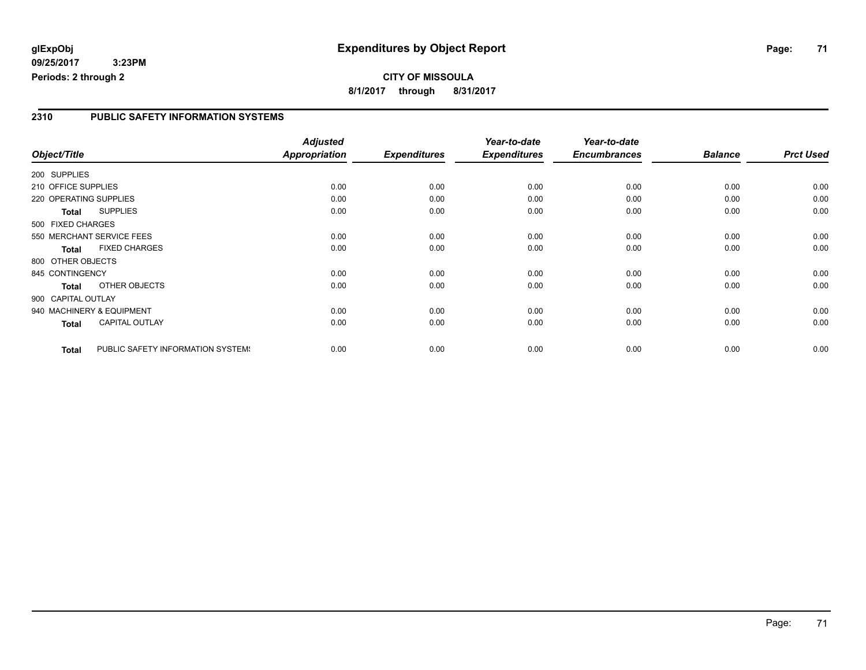#### **2310 PUBLIC SAFETY INFORMATION SYSTEMS**

|                        |                                   | <b>Adjusted</b>      |                     | Year-to-date        | Year-to-date        |                |                  |
|------------------------|-----------------------------------|----------------------|---------------------|---------------------|---------------------|----------------|------------------|
| Object/Title           |                                   | <b>Appropriation</b> | <b>Expenditures</b> | <b>Expenditures</b> | <b>Encumbrances</b> | <b>Balance</b> | <b>Prct Used</b> |
| 200 SUPPLIES           |                                   |                      |                     |                     |                     |                |                  |
| 210 OFFICE SUPPLIES    |                                   | 0.00                 | 0.00                | 0.00                | 0.00                | 0.00           | 0.00             |
| 220 OPERATING SUPPLIES |                                   | 0.00                 | 0.00                | 0.00                | 0.00                | 0.00           | 0.00             |
| Total                  | <b>SUPPLIES</b>                   | 0.00                 | 0.00                | 0.00                | 0.00                | 0.00           | 0.00             |
| 500 FIXED CHARGES      |                                   |                      |                     |                     |                     |                |                  |
|                        | 550 MERCHANT SERVICE FEES         | 0.00                 | 0.00                | 0.00                | 0.00                | 0.00           | 0.00             |
| <b>Total</b>           | <b>FIXED CHARGES</b>              | 0.00                 | 0.00                | 0.00                | 0.00                | 0.00           | 0.00             |
| 800 OTHER OBJECTS      |                                   |                      |                     |                     |                     |                |                  |
| 845 CONTINGENCY        |                                   | 0.00                 | 0.00                | 0.00                | 0.00                | 0.00           | 0.00             |
| <b>Total</b>           | OTHER OBJECTS                     | 0.00                 | 0.00                | 0.00                | 0.00                | 0.00           | 0.00             |
| 900 CAPITAL OUTLAY     |                                   |                      |                     |                     |                     |                |                  |
|                        | 940 MACHINERY & EQUIPMENT         | 0.00                 | 0.00                | 0.00                | 0.00                | 0.00           | 0.00             |
| Total                  | <b>CAPITAL OUTLAY</b>             | 0.00                 | 0.00                | 0.00                | 0.00                | 0.00           | 0.00             |
| <b>Total</b>           | PUBLIC SAFETY INFORMATION SYSTEM! | 0.00                 | 0.00                | 0.00                | 0.00                | 0.00           | 0.00             |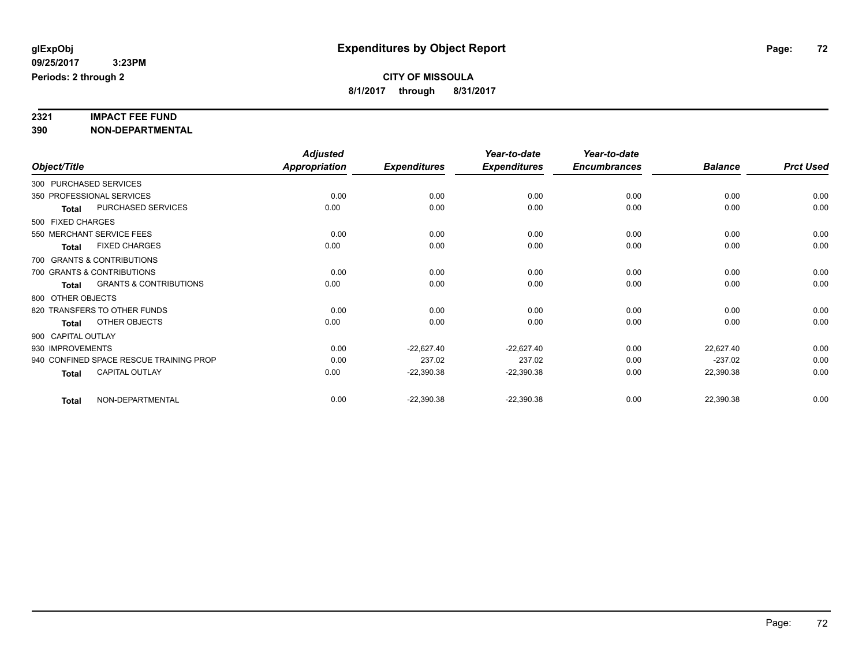# **2321 IMPACT FEE FUND**

**390 NON-DEPARTMENTAL**

|                    |                                         | <b>Adjusted</b>      |                     | Year-to-date        | Year-to-date        |                |                  |
|--------------------|-----------------------------------------|----------------------|---------------------|---------------------|---------------------|----------------|------------------|
| Object/Title       |                                         | <b>Appropriation</b> | <b>Expenditures</b> | <b>Expenditures</b> | <b>Encumbrances</b> | <b>Balance</b> | <b>Prct Used</b> |
|                    | 300 PURCHASED SERVICES                  |                      |                     |                     |                     |                |                  |
|                    | 350 PROFESSIONAL SERVICES               | 0.00                 | 0.00                | 0.00                | 0.00                | 0.00           | 0.00             |
| <b>Total</b>       | PURCHASED SERVICES                      | 0.00                 | 0.00                | 0.00                | 0.00                | 0.00           | 0.00             |
| 500 FIXED CHARGES  |                                         |                      |                     |                     |                     |                |                  |
|                    | 550 MERCHANT SERVICE FEES               | 0.00                 | 0.00                | 0.00                | 0.00                | 0.00           | 0.00             |
| <b>Total</b>       | <b>FIXED CHARGES</b>                    | 0.00                 | 0.00                | 0.00                | 0.00                | 0.00           | 0.00             |
|                    | 700 GRANTS & CONTRIBUTIONS              |                      |                     |                     |                     |                |                  |
|                    | 700 GRANTS & CONTRIBUTIONS              | 0.00                 | 0.00                | 0.00                | 0.00                | 0.00           | 0.00             |
| <b>Total</b>       | <b>GRANTS &amp; CONTRIBUTIONS</b>       | 0.00                 | 0.00                | 0.00                | 0.00                | 0.00           | 0.00             |
| 800 OTHER OBJECTS  |                                         |                      |                     |                     |                     |                |                  |
|                    | 820 TRANSFERS TO OTHER FUNDS            | 0.00                 | 0.00                | 0.00                | 0.00                | 0.00           | 0.00             |
| Total              | OTHER OBJECTS                           | 0.00                 | 0.00                | 0.00                | 0.00                | 0.00           | 0.00             |
| 900 CAPITAL OUTLAY |                                         |                      |                     |                     |                     |                |                  |
| 930 IMPROVEMENTS   |                                         | 0.00                 | $-22,627.40$        | $-22,627.40$        | 0.00                | 22,627.40      | 0.00             |
|                    | 940 CONFINED SPACE RESCUE TRAINING PROP | 0.00                 | 237.02              | 237.02              | 0.00                | $-237.02$      | 0.00             |
| <b>Total</b>       | CAPITAL OUTLAY                          | 0.00                 | $-22,390.38$        | $-22,390.38$        | 0.00                | 22,390.38      | 0.00             |
| <b>Total</b>       | NON-DEPARTMENTAL                        | 0.00                 | $-22,390.38$        | $-22,390.38$        | 0.00                | 22,390.38      | 0.00             |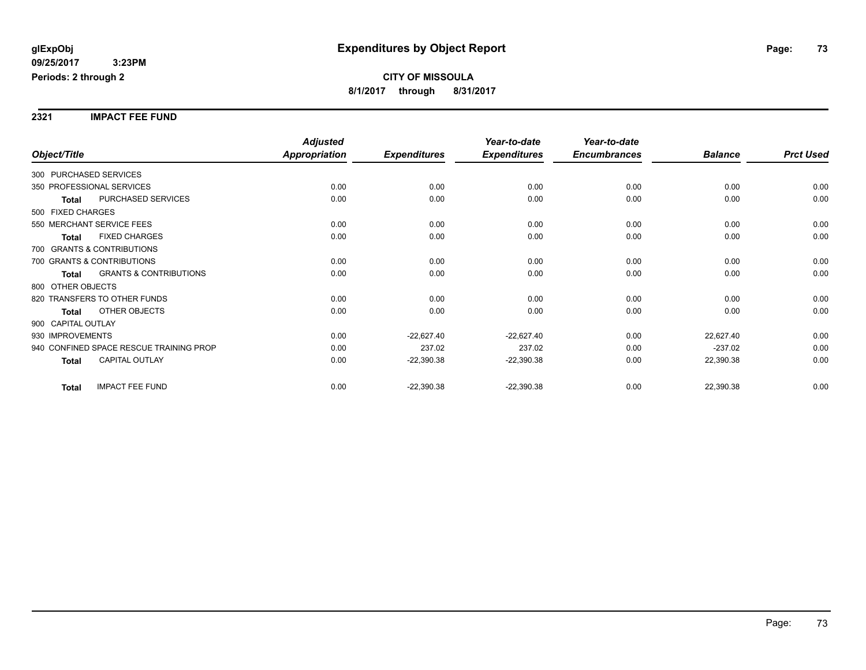**2321 IMPACT FEE FUND**

|                        |                                         | <b>Adjusted</b>      |                     | Year-to-date        | Year-to-date        |                |                  |
|------------------------|-----------------------------------------|----------------------|---------------------|---------------------|---------------------|----------------|------------------|
| Object/Title           |                                         | <b>Appropriation</b> | <b>Expenditures</b> | <b>Expenditures</b> | <b>Encumbrances</b> | <b>Balance</b> | <b>Prct Used</b> |
| 300 PURCHASED SERVICES |                                         |                      |                     |                     |                     |                |                  |
|                        | 350 PROFESSIONAL SERVICES               | 0.00                 | 0.00                | 0.00                | 0.00                | 0.00           | 0.00             |
| <b>Total</b>           | PURCHASED SERVICES                      | 0.00                 | 0.00                | 0.00                | 0.00                | 0.00           | 0.00             |
| 500 FIXED CHARGES      |                                         |                      |                     |                     |                     |                |                  |
|                        | 550 MERCHANT SERVICE FEES               | 0.00                 | 0.00                | 0.00                | 0.00                | 0.00           | 0.00             |
| Total                  | <b>FIXED CHARGES</b>                    | 0.00                 | 0.00                | 0.00                | 0.00                | 0.00           | 0.00             |
|                        | 700 GRANTS & CONTRIBUTIONS              |                      |                     |                     |                     |                |                  |
|                        | 700 GRANTS & CONTRIBUTIONS              | 0.00                 | 0.00                | 0.00                | 0.00                | 0.00           | 0.00             |
| Total                  | <b>GRANTS &amp; CONTRIBUTIONS</b>       | 0.00                 | 0.00                | 0.00                | 0.00                | 0.00           | 0.00             |
| 800 OTHER OBJECTS      |                                         |                      |                     |                     |                     |                |                  |
|                        | 820 TRANSFERS TO OTHER FUNDS            | 0.00                 | 0.00                | 0.00                | 0.00                | 0.00           | 0.00             |
| Total                  | OTHER OBJECTS                           | 0.00                 | 0.00                | 0.00                | 0.00                | 0.00           | 0.00             |
| 900 CAPITAL OUTLAY     |                                         |                      |                     |                     |                     |                |                  |
| 930 IMPROVEMENTS       |                                         | 0.00                 | $-22,627.40$        | $-22,627.40$        | 0.00                | 22,627.40      | 0.00             |
|                        | 940 CONFINED SPACE RESCUE TRAINING PROP | 0.00                 | 237.02              | 237.02              | 0.00                | $-237.02$      | 0.00             |
| <b>Total</b>           | <b>CAPITAL OUTLAY</b>                   | 0.00                 | $-22,390.38$        | $-22,390.38$        | 0.00                | 22,390.38      | 0.00             |
| <b>Total</b>           | <b>IMPACT FEE FUND</b>                  | 0.00                 | $-22,390.38$        | $-22,390.38$        | 0.00                | 22,390.38      | 0.00             |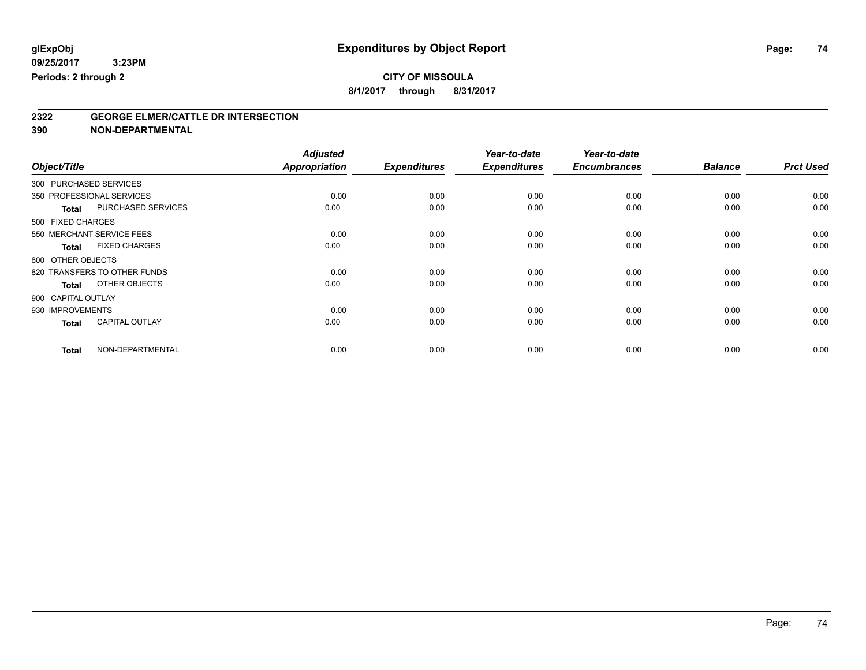## **CITY OF MISSOULA**

**8/1/2017 through 8/31/2017**

# **2322 GEORGE ELMER/CATTLE DR INTERSECTION**

**390 NON-DEPARTMENTAL**

|                        |                              | <b>Adjusted</b> |                     | Year-to-date        | Year-to-date        |                |                  |
|------------------------|------------------------------|-----------------|---------------------|---------------------|---------------------|----------------|------------------|
| Object/Title           |                              | Appropriation   | <b>Expenditures</b> | <b>Expenditures</b> | <b>Encumbrances</b> | <b>Balance</b> | <b>Prct Used</b> |
| 300 PURCHASED SERVICES |                              |                 |                     |                     |                     |                |                  |
|                        | 350 PROFESSIONAL SERVICES    | 0.00            | 0.00                | 0.00                | 0.00                | 0.00           | 0.00             |
| <b>Total</b>           | PURCHASED SERVICES           | 0.00            | 0.00                | 0.00                | 0.00                | 0.00           | 0.00             |
| 500 FIXED CHARGES      |                              |                 |                     |                     |                     |                |                  |
|                        | 550 MERCHANT SERVICE FEES    | 0.00            | 0.00                | 0.00                | 0.00                | 0.00           | 0.00             |
| <b>Total</b>           | <b>FIXED CHARGES</b>         | 0.00            | 0.00                | 0.00                | 0.00                | 0.00           | 0.00             |
| 800 OTHER OBJECTS      |                              |                 |                     |                     |                     |                |                  |
|                        | 820 TRANSFERS TO OTHER FUNDS | 0.00            | 0.00                | 0.00                | 0.00                | 0.00           | 0.00             |
| <b>Total</b>           | OTHER OBJECTS                | 0.00            | 0.00                | 0.00                | 0.00                | 0.00           | 0.00             |
| 900 CAPITAL OUTLAY     |                              |                 |                     |                     |                     |                |                  |
| 930 IMPROVEMENTS       |                              | 0.00            | 0.00                | 0.00                | 0.00                | 0.00           | 0.00             |
| <b>Total</b>           | <b>CAPITAL OUTLAY</b>        | 0.00            | 0.00                | 0.00                | 0.00                | 0.00           | 0.00             |
| <b>Total</b>           | NON-DEPARTMENTAL             | 0.00            | 0.00                | 0.00                | 0.00                | 0.00           | 0.00             |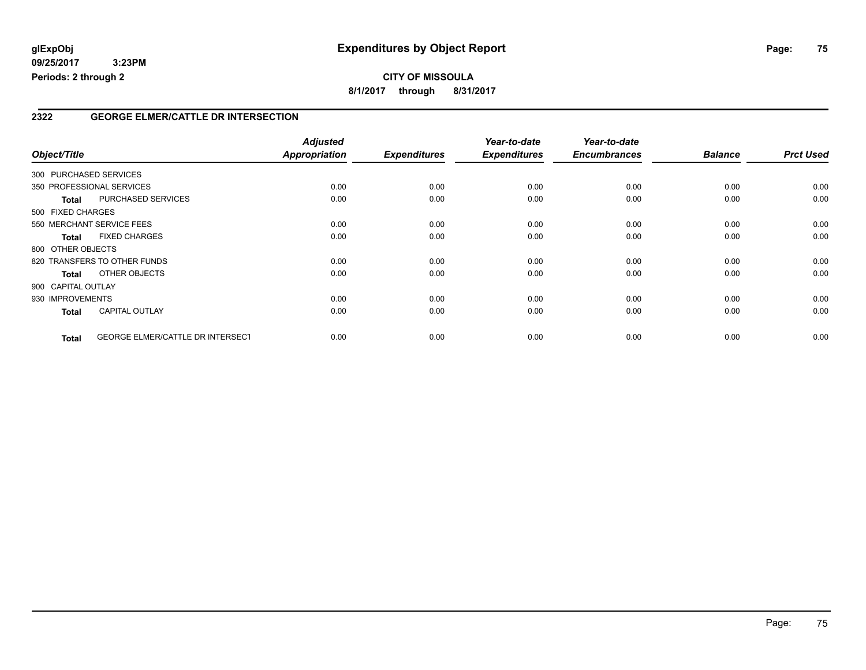#### **2322 GEORGE ELMER/CATTLE DR INTERSECTION**

| Object/Title           |                                         | <b>Adjusted</b><br><b>Appropriation</b> | <b>Expenditures</b> | Year-to-date<br><b>Expenditures</b> | Year-to-date<br><b>Encumbrances</b> | <b>Balance</b> | <b>Prct Used</b> |
|------------------------|-----------------------------------------|-----------------------------------------|---------------------|-------------------------------------|-------------------------------------|----------------|------------------|
| 300 PURCHASED SERVICES |                                         |                                         |                     |                                     |                                     |                |                  |
|                        | 350 PROFESSIONAL SERVICES               | 0.00                                    | 0.00                | 0.00                                | 0.00                                | 0.00           | 0.00             |
| <b>Total</b>           | PURCHASED SERVICES                      | 0.00                                    | 0.00                | 0.00                                | 0.00                                | 0.00           | 0.00             |
| 500 FIXED CHARGES      |                                         |                                         |                     |                                     |                                     |                |                  |
|                        | 550 MERCHANT SERVICE FEES               | 0.00                                    | 0.00                | 0.00                                | 0.00                                | 0.00           | 0.00             |
| <b>Total</b>           | <b>FIXED CHARGES</b>                    | 0.00                                    | 0.00                | 0.00                                | 0.00                                | 0.00           | 0.00             |
| 800 OTHER OBJECTS      |                                         |                                         |                     |                                     |                                     |                |                  |
|                        | 820 TRANSFERS TO OTHER FUNDS            | 0.00                                    | 0.00                | 0.00                                | 0.00                                | 0.00           | 0.00             |
| Total                  | OTHER OBJECTS                           | 0.00                                    | 0.00                | 0.00                                | 0.00                                | 0.00           | 0.00             |
| 900 CAPITAL OUTLAY     |                                         |                                         |                     |                                     |                                     |                |                  |
| 930 IMPROVEMENTS       |                                         | 0.00                                    | 0.00                | 0.00                                | 0.00                                | 0.00           | 0.00             |
| <b>Total</b>           | <b>CAPITAL OUTLAY</b>                   | 0.00                                    | 0.00                | 0.00                                | 0.00                                | 0.00           | 0.00             |
| <b>Total</b>           | <b>GEORGE ELMER/CATTLE DR INTERSECT</b> | 0.00                                    | 0.00                | 0.00                                | 0.00                                | 0.00           | 0.00             |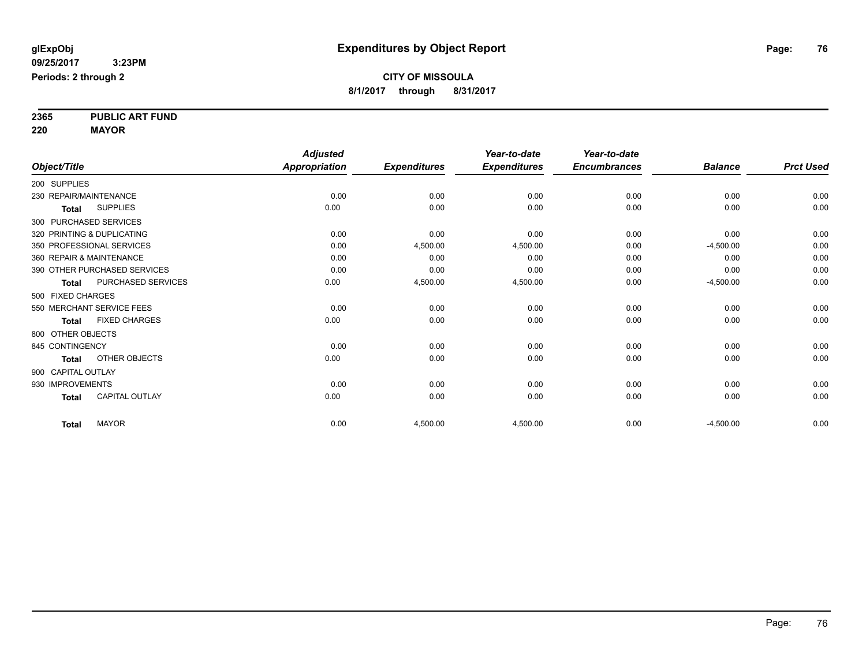**2365 PUBLIC ART FUND**

**220 MAYOR**

|                            |                              | <b>Adjusted</b>      |                     | Year-to-date        | Year-to-date        |                |                  |
|----------------------------|------------------------------|----------------------|---------------------|---------------------|---------------------|----------------|------------------|
| Object/Title               |                              | <b>Appropriation</b> | <b>Expenditures</b> | <b>Expenditures</b> | <b>Encumbrances</b> | <b>Balance</b> | <b>Prct Used</b> |
| 200 SUPPLIES               |                              |                      |                     |                     |                     |                |                  |
| 230 REPAIR/MAINTENANCE     |                              | 0.00                 | 0.00                | 0.00                | 0.00                | 0.00           | 0.00             |
| <b>Total</b>               | <b>SUPPLIES</b>              | 0.00                 | 0.00                | 0.00                | 0.00                | 0.00           | 0.00             |
| 300 PURCHASED SERVICES     |                              |                      |                     |                     |                     |                |                  |
| 320 PRINTING & DUPLICATING |                              | 0.00                 | 0.00                | 0.00                | 0.00                | 0.00           | 0.00             |
| 350 PROFESSIONAL SERVICES  |                              | 0.00                 | 4,500.00            | 4,500.00            | 0.00                | $-4,500.00$    | 0.00             |
| 360 REPAIR & MAINTENANCE   |                              | 0.00                 | 0.00                | 0.00                | 0.00                | 0.00           | 0.00             |
|                            | 390 OTHER PURCHASED SERVICES | 0.00                 | 0.00                | 0.00                | 0.00                | 0.00           | 0.00             |
| <b>Total</b>               | PURCHASED SERVICES           | 0.00                 | 4,500.00            | 4,500.00            | 0.00                | $-4,500.00$    | 0.00             |
| 500 FIXED CHARGES          |                              |                      |                     |                     |                     |                |                  |
| 550 MERCHANT SERVICE FEES  |                              | 0.00                 | 0.00                | 0.00                | 0.00                | 0.00           | 0.00             |
| <b>Total</b>               | <b>FIXED CHARGES</b>         | 0.00                 | 0.00                | 0.00                | 0.00                | 0.00           | 0.00             |
| 800 OTHER OBJECTS          |                              |                      |                     |                     |                     |                |                  |
| 845 CONTINGENCY            |                              | 0.00                 | 0.00                | 0.00                | 0.00                | 0.00           | 0.00             |
| <b>Total</b>               | OTHER OBJECTS                | 0.00                 | 0.00                | 0.00                | 0.00                | 0.00           | 0.00             |
| 900 CAPITAL OUTLAY         |                              |                      |                     |                     |                     |                |                  |
| 930 IMPROVEMENTS           |                              | 0.00                 | 0.00                | 0.00                | 0.00                | 0.00           | 0.00             |
| <b>Total</b>               | <b>CAPITAL OUTLAY</b>        | 0.00                 | 0.00                | 0.00                | 0.00                | 0.00           | 0.00             |
| <b>Total</b>               | <b>MAYOR</b>                 | 0.00                 | 4,500.00            | 4,500.00            | 0.00                | $-4,500.00$    | 0.00             |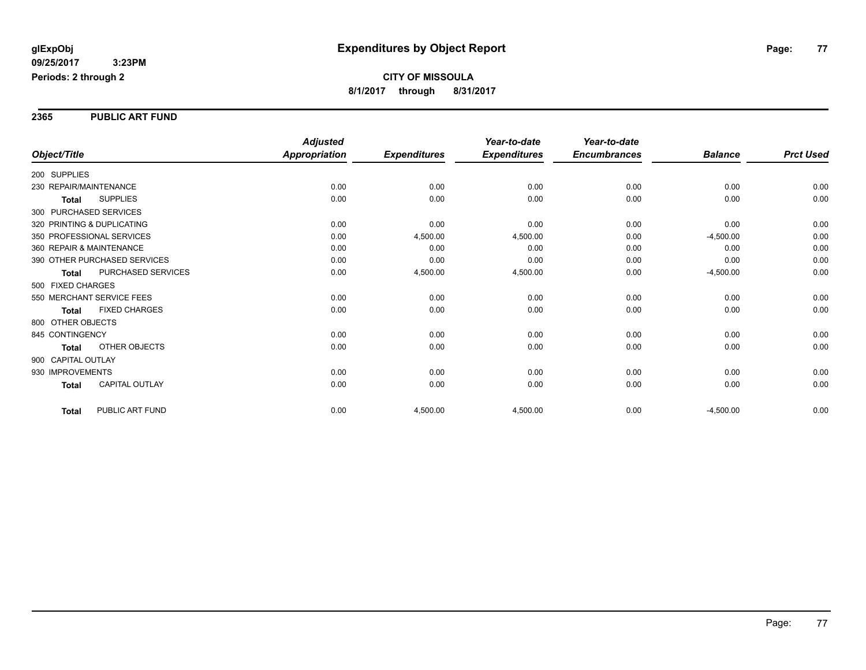#### **2365 PUBLIC ART FUND**

|                                       | <b>Adjusted</b>      |                     | Year-to-date        | Year-to-date        |                |                  |
|---------------------------------------|----------------------|---------------------|---------------------|---------------------|----------------|------------------|
| Object/Title                          | <b>Appropriation</b> | <b>Expenditures</b> | <b>Expenditures</b> | <b>Encumbrances</b> | <b>Balance</b> | <b>Prct Used</b> |
| 200 SUPPLIES                          |                      |                     |                     |                     |                |                  |
| 230 REPAIR/MAINTENANCE                | 0.00                 | 0.00                | 0.00                | 0.00                | 0.00           | 0.00             |
| <b>SUPPLIES</b><br><b>Total</b>       | 0.00                 | 0.00                | 0.00                | 0.00                | 0.00           | 0.00             |
| 300 PURCHASED SERVICES                |                      |                     |                     |                     |                |                  |
| 320 PRINTING & DUPLICATING            | 0.00                 | 0.00                | 0.00                | 0.00                | 0.00           | 0.00             |
| 350 PROFESSIONAL SERVICES             | 0.00                 | 4,500.00            | 4,500.00            | 0.00                | $-4,500.00$    | 0.00             |
| 360 REPAIR & MAINTENANCE              | 0.00                 | 0.00                | 0.00                | 0.00                | 0.00           | 0.00             |
| 390 OTHER PURCHASED SERVICES          | 0.00                 | 0.00                | 0.00                | 0.00                | 0.00           | 0.00             |
| PURCHASED SERVICES<br><b>Total</b>    | 0.00                 | 4,500.00            | 4,500.00            | 0.00                | $-4,500.00$    | 0.00             |
| 500 FIXED CHARGES                     |                      |                     |                     |                     |                |                  |
| 550 MERCHANT SERVICE FEES             | 0.00                 | 0.00                | 0.00                | 0.00                | 0.00           | 0.00             |
| <b>FIXED CHARGES</b><br><b>Total</b>  | 0.00                 | 0.00                | 0.00                | 0.00                | 0.00           | 0.00             |
| 800 OTHER OBJECTS                     |                      |                     |                     |                     |                |                  |
| 845 CONTINGENCY                       | 0.00                 | 0.00                | 0.00                | 0.00                | 0.00           | 0.00             |
| OTHER OBJECTS<br><b>Total</b>         | 0.00                 | 0.00                | 0.00                | 0.00                | 0.00           | 0.00             |
| 900 CAPITAL OUTLAY                    |                      |                     |                     |                     |                |                  |
| 930 IMPROVEMENTS                      | 0.00                 | 0.00                | 0.00                | 0.00                | 0.00           | 0.00             |
| <b>CAPITAL OUTLAY</b><br><b>Total</b> | 0.00                 | 0.00                | 0.00                | 0.00                | 0.00           | 0.00             |
| PUBLIC ART FUND<br><b>Total</b>       | 0.00                 | 4,500.00            | 4,500.00            | 0.00                | $-4,500.00$    | 0.00             |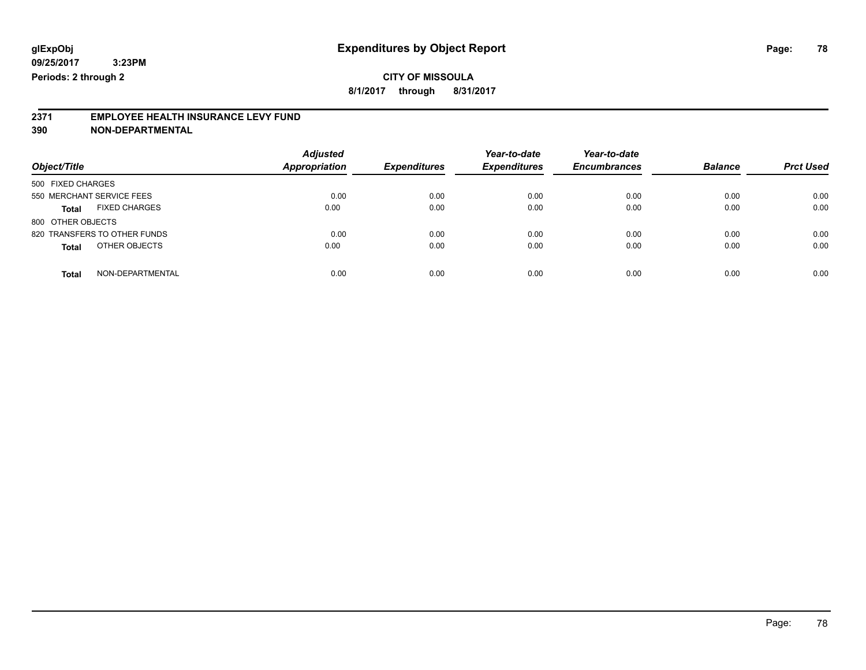**8/1/2017 through 8/31/2017**

# **2371 EMPLOYEE HEALTH INSURANCE LEVY FUND**

**390 NON-DEPARTMENTAL**

| Object/Title                         | <b>Adjusted</b><br><b>Appropriation</b> | <b>Expenditures</b> | Year-to-date<br><b>Expenditures</b> | Year-to-date<br><b>Encumbrances</b> | <b>Balance</b> | <b>Prct Used</b> |
|--------------------------------------|-----------------------------------------|---------------------|-------------------------------------|-------------------------------------|----------------|------------------|
| 500 FIXED CHARGES                    |                                         |                     |                                     |                                     |                |                  |
| 550 MERCHANT SERVICE FEES            | 0.00                                    | 0.00                | 0.00                                | 0.00                                | 0.00           | 0.00             |
| <b>FIXED CHARGES</b><br><b>Total</b> | 0.00                                    | 0.00                | 0.00                                | 0.00                                | 0.00           | 0.00             |
| 800 OTHER OBJECTS                    |                                         |                     |                                     |                                     |                |                  |
| 820 TRANSFERS TO OTHER FUNDS         | 0.00                                    | 0.00                | 0.00                                | 0.00                                | 0.00           | 0.00             |
| OTHER OBJECTS<br><b>Total</b>        | 0.00                                    | 0.00                | 0.00                                | 0.00                                | 0.00           | 0.00             |
| NON-DEPARTMENTAL<br>Total            | 0.00                                    | 0.00                | 0.00                                | 0.00                                | 0.00           | 0.00             |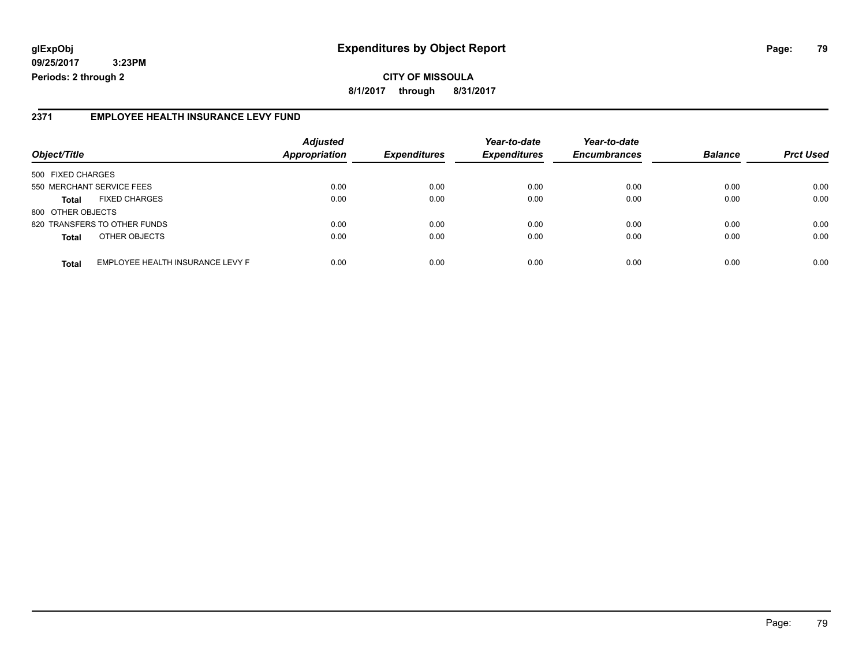## **glExpObj Expenditures by Object Report Page: 79**

**09/25/2017 3:23PM Periods: 2 through 2**

#### **2371 EMPLOYEE HEALTH INSURANCE LEVY FUND**

| Object/Title              |                                  | <b>Adjusted</b><br><b>Appropriation</b> | <b>Expenditures</b> | Year-to-date<br><b>Expenditures</b> | Year-to-date<br><b>Encumbrances</b> | <b>Balance</b> | <b>Prct Used</b> |
|---------------------------|----------------------------------|-----------------------------------------|---------------------|-------------------------------------|-------------------------------------|----------------|------------------|
| 500 FIXED CHARGES         |                                  |                                         |                     |                                     |                                     |                |                  |
| 550 MERCHANT SERVICE FEES |                                  | 0.00                                    | 0.00                | 0.00                                | 0.00                                | 0.00           | 0.00             |
| <b>Total</b>              | <b>FIXED CHARGES</b>             | 0.00                                    | 0.00                | 0.00                                | 0.00                                | 0.00           | 0.00             |
| 800 OTHER OBJECTS         |                                  |                                         |                     |                                     |                                     |                |                  |
|                           | 820 TRANSFERS TO OTHER FUNDS     | 0.00                                    | 0.00                | 0.00                                | 0.00                                | 0.00           | 0.00             |
| <b>Total</b>              | OTHER OBJECTS                    | 0.00                                    | 0.00                | 0.00                                | 0.00                                | 0.00           | 0.00             |
| <b>Total</b>              | EMPLOYEE HEALTH INSURANCE LEVY F | 0.00                                    | 0.00                | 0.00                                | 0.00                                | 0.00           | 0.00             |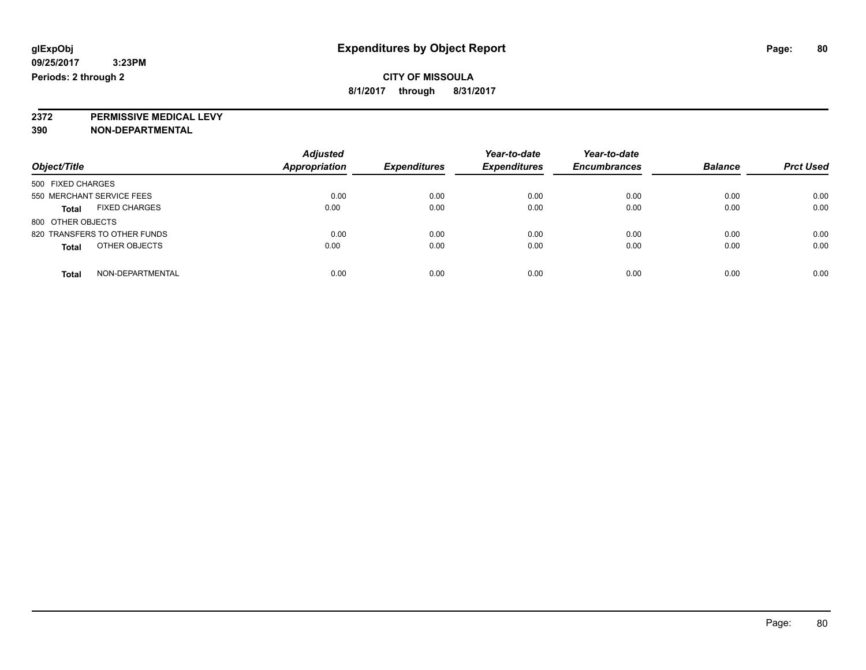**2372 PERMISSIVE MEDICAL LEVY**

**390 NON-DEPARTMENTAL**

| Object/Title                         | <b>Adjusted</b><br>Appropriation | <b>Expenditures</b> | Year-to-date<br><b>Expenditures</b> | Year-to-date<br><b>Encumbrances</b> | <b>Balance</b> | <b>Prct Used</b> |
|--------------------------------------|----------------------------------|---------------------|-------------------------------------|-------------------------------------|----------------|------------------|
| 500 FIXED CHARGES                    |                                  |                     |                                     |                                     |                |                  |
| 550 MERCHANT SERVICE FEES            | 0.00                             | 0.00                | 0.00                                | 0.00                                | 0.00           | 0.00             |
| <b>FIXED CHARGES</b><br><b>Total</b> | 0.00                             | 0.00                | 0.00                                | 0.00                                | 0.00           | 0.00             |
| 800 OTHER OBJECTS                    |                                  |                     |                                     |                                     |                |                  |
| 820 TRANSFERS TO OTHER FUNDS         | 0.00                             | 0.00                | 0.00                                | 0.00                                | 0.00           | 0.00             |
| OTHER OBJECTS<br><b>Total</b>        | 0.00                             | 0.00                | 0.00                                | 0.00                                | 0.00           | 0.00             |
| NON-DEPARTMENTAL<br><b>Total</b>     | 0.00                             | 0.00                | 0.00                                | 0.00                                | 0.00           | 0.00             |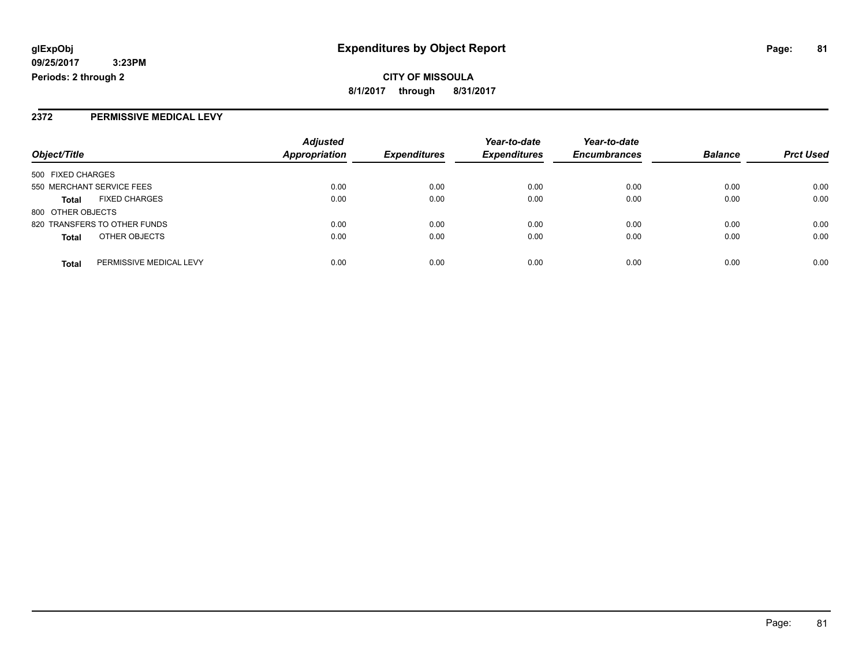### **2372 PERMISSIVE MEDICAL LEVY**

| Object/Title      |                              | <b>Adjusted</b>      |                     | Year-to-date        | Year-to-date        | <b>Balance</b> |                  |
|-------------------|------------------------------|----------------------|---------------------|---------------------|---------------------|----------------|------------------|
|                   |                              | <b>Appropriation</b> | <b>Expenditures</b> | <b>Expenditures</b> | <b>Encumbrances</b> |                | <b>Prct Used</b> |
| 500 FIXED CHARGES |                              |                      |                     |                     |                     |                |                  |
|                   | 550 MERCHANT SERVICE FEES    | 0.00                 | 0.00                | 0.00                | 0.00                | 0.00           | 0.00             |
| <b>Total</b>      | <b>FIXED CHARGES</b>         | 0.00                 | 0.00                | 0.00                | 0.00                | 0.00           | 0.00             |
| 800 OTHER OBJECTS |                              |                      |                     |                     |                     |                |                  |
|                   | 820 TRANSFERS TO OTHER FUNDS | 0.00                 | 0.00                | 0.00                | 0.00                | 0.00           | 0.00             |
| <b>Total</b>      | OTHER OBJECTS                | 0.00                 | 0.00                | 0.00                | 0.00                | 0.00           | 0.00             |
| <b>Total</b>      | PERMISSIVE MEDICAL LEVY      | 0.00                 | 0.00                | 0.00                | 0.00                | 0.00           | 0.00             |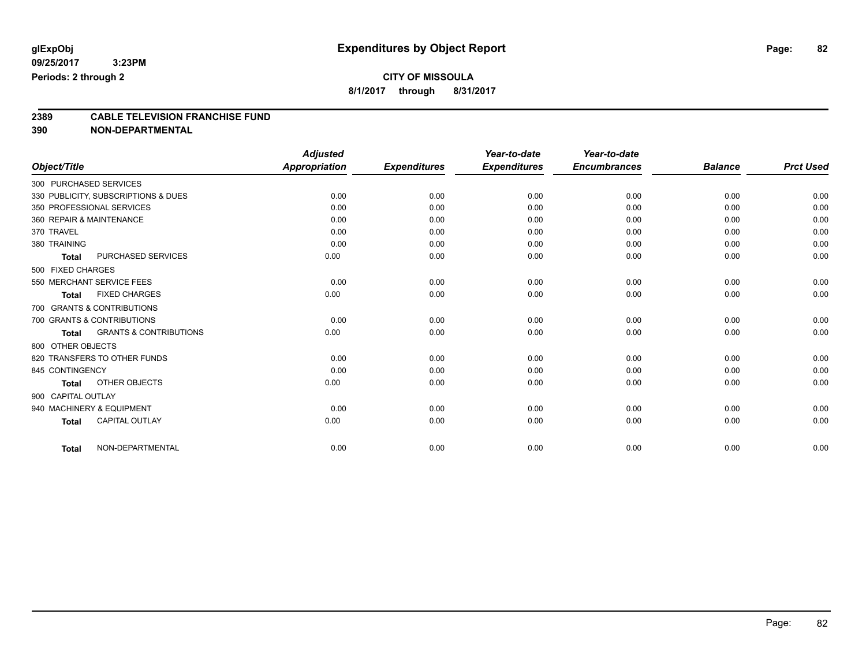# **CITY OF MISSOULA**

**8/1/2017 through 8/31/2017**

# **2389 CABLE TELEVISION FRANCHISE FUND**

**390 NON-DEPARTMENTAL**

|                          |                                     | <b>Adjusted</b>      |                     | Year-to-date        | Year-to-date        |                |                  |
|--------------------------|-------------------------------------|----------------------|---------------------|---------------------|---------------------|----------------|------------------|
| Object/Title             |                                     | <b>Appropriation</b> | <b>Expenditures</b> | <b>Expenditures</b> | <b>Encumbrances</b> | <b>Balance</b> | <b>Prct Used</b> |
| 300 PURCHASED SERVICES   |                                     |                      |                     |                     |                     |                |                  |
|                          | 330 PUBLICITY, SUBSCRIPTIONS & DUES | 0.00                 | 0.00                | 0.00                | 0.00                | 0.00           | 0.00             |
|                          | 350 PROFESSIONAL SERVICES           | 0.00                 | 0.00                | 0.00                | 0.00                | 0.00           | 0.00             |
| 360 REPAIR & MAINTENANCE |                                     | 0.00                 | 0.00                | 0.00                | 0.00                | 0.00           | 0.00             |
| 370 TRAVEL               |                                     | 0.00                 | 0.00                | 0.00                | 0.00                | 0.00           | 0.00             |
| 380 TRAINING             |                                     | 0.00                 | 0.00                | 0.00                | 0.00                | 0.00           | 0.00             |
| <b>Total</b>             | PURCHASED SERVICES                  | 0.00                 | 0.00                | 0.00                | 0.00                | 0.00           | 0.00             |
| 500 FIXED CHARGES        |                                     |                      |                     |                     |                     |                |                  |
|                          | 550 MERCHANT SERVICE FEES           | 0.00                 | 0.00                | 0.00                | 0.00                | 0.00           | 0.00             |
| <b>Total</b>             | <b>FIXED CHARGES</b>                | 0.00                 | 0.00                | 0.00                | 0.00                | 0.00           | 0.00             |
|                          | 700 GRANTS & CONTRIBUTIONS          |                      |                     |                     |                     |                |                  |
|                          | 700 GRANTS & CONTRIBUTIONS          | 0.00                 | 0.00                | 0.00                | 0.00                | 0.00           | 0.00             |
| <b>Total</b>             | <b>GRANTS &amp; CONTRIBUTIONS</b>   | 0.00                 | 0.00                | 0.00                | 0.00                | 0.00           | 0.00             |
| 800 OTHER OBJECTS        |                                     |                      |                     |                     |                     |                |                  |
|                          | 820 TRANSFERS TO OTHER FUNDS        | 0.00                 | 0.00                | 0.00                | 0.00                | 0.00           | 0.00             |
| 845 CONTINGENCY          |                                     | 0.00                 | 0.00                | 0.00                | 0.00                | 0.00           | 0.00             |
| <b>Total</b>             | <b>OTHER OBJECTS</b>                | 0.00                 | 0.00                | 0.00                | 0.00                | 0.00           | 0.00             |
| 900 CAPITAL OUTLAY       |                                     |                      |                     |                     |                     |                |                  |
|                          | 940 MACHINERY & EQUIPMENT           | 0.00                 | 0.00                | 0.00                | 0.00                | 0.00           | 0.00             |
| <b>Total</b>             | <b>CAPITAL OUTLAY</b>               | 0.00                 | 0.00                | 0.00                | 0.00                | 0.00           | 0.00             |
|                          |                                     |                      |                     |                     |                     |                |                  |
| <b>Total</b>             | NON-DEPARTMENTAL                    | 0.00                 | 0.00                | 0.00                | 0.00                | 0.00           | 0.00             |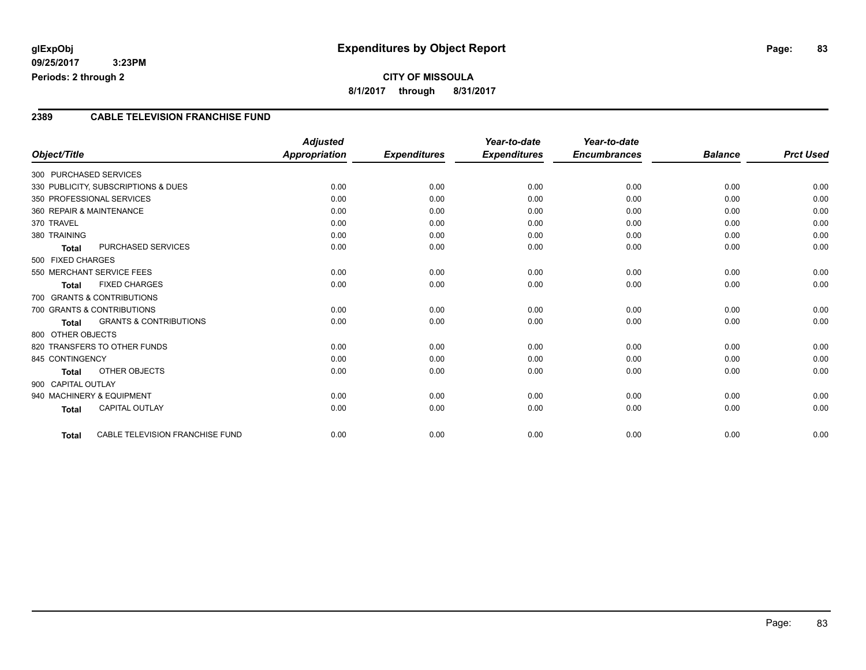## **CITY OF MISSOULA 8/1/2017 through 8/31/2017**

#### **2389 CABLE TELEVISION FRANCHISE FUND**

|                          |                                        | <b>Adjusted</b>      |                     | Year-to-date        | Year-to-date        |                |                  |
|--------------------------|----------------------------------------|----------------------|---------------------|---------------------|---------------------|----------------|------------------|
| Object/Title             |                                        | <b>Appropriation</b> | <b>Expenditures</b> | <b>Expenditures</b> | <b>Encumbrances</b> | <b>Balance</b> | <b>Prct Used</b> |
| 300 PURCHASED SERVICES   |                                        |                      |                     |                     |                     |                |                  |
|                          | 330 PUBLICITY, SUBSCRIPTIONS & DUES    | 0.00                 | 0.00                | 0.00                | 0.00                | 0.00           | 0.00             |
|                          | 350 PROFESSIONAL SERVICES              | 0.00                 | 0.00                | 0.00                | 0.00                | 0.00           | 0.00             |
| 360 REPAIR & MAINTENANCE |                                        | 0.00                 | 0.00                | 0.00                | 0.00                | 0.00           | 0.00             |
| 370 TRAVEL               |                                        | 0.00                 | 0.00                | 0.00                | 0.00                | 0.00           | 0.00             |
| 380 TRAINING             |                                        | 0.00                 | 0.00                | 0.00                | 0.00                | 0.00           | 0.00             |
| <b>Total</b>             | PURCHASED SERVICES                     | 0.00                 | 0.00                | 0.00                | 0.00                | 0.00           | 0.00             |
| 500 FIXED CHARGES        |                                        |                      |                     |                     |                     |                |                  |
|                          | 550 MERCHANT SERVICE FEES              | 0.00                 | 0.00                | 0.00                | 0.00                | 0.00           | 0.00             |
| <b>Total</b>             | <b>FIXED CHARGES</b>                   | 0.00                 | 0.00                | 0.00                | 0.00                | 0.00           | 0.00             |
|                          | 700 GRANTS & CONTRIBUTIONS             |                      |                     |                     |                     |                |                  |
|                          | 700 GRANTS & CONTRIBUTIONS             | 0.00                 | 0.00                | 0.00                | 0.00                | 0.00           | 0.00             |
| <b>Total</b>             | <b>GRANTS &amp; CONTRIBUTIONS</b>      | 0.00                 | 0.00                | 0.00                | 0.00                | 0.00           | 0.00             |
| 800 OTHER OBJECTS        |                                        |                      |                     |                     |                     |                |                  |
|                          | 820 TRANSFERS TO OTHER FUNDS           | 0.00                 | 0.00                | 0.00                | 0.00                | 0.00           | 0.00             |
| 845 CONTINGENCY          |                                        | 0.00                 | 0.00                | 0.00                | 0.00                | 0.00           | 0.00             |
| Total                    | OTHER OBJECTS                          | 0.00                 | 0.00                | 0.00                | 0.00                | 0.00           | 0.00             |
| 900 CAPITAL OUTLAY       |                                        |                      |                     |                     |                     |                |                  |
|                          | 940 MACHINERY & EQUIPMENT              | 0.00                 | 0.00                | 0.00                | 0.00                | 0.00           | 0.00             |
| <b>Total</b>             | <b>CAPITAL OUTLAY</b>                  | 0.00                 | 0.00                | 0.00                | 0.00                | 0.00           | 0.00             |
|                          |                                        |                      |                     |                     |                     |                |                  |
| <b>Total</b>             | <b>CABLE TELEVISION FRANCHISE FUND</b> | 0.00                 | 0.00                | 0.00                | 0.00                | 0.00           | 0.00             |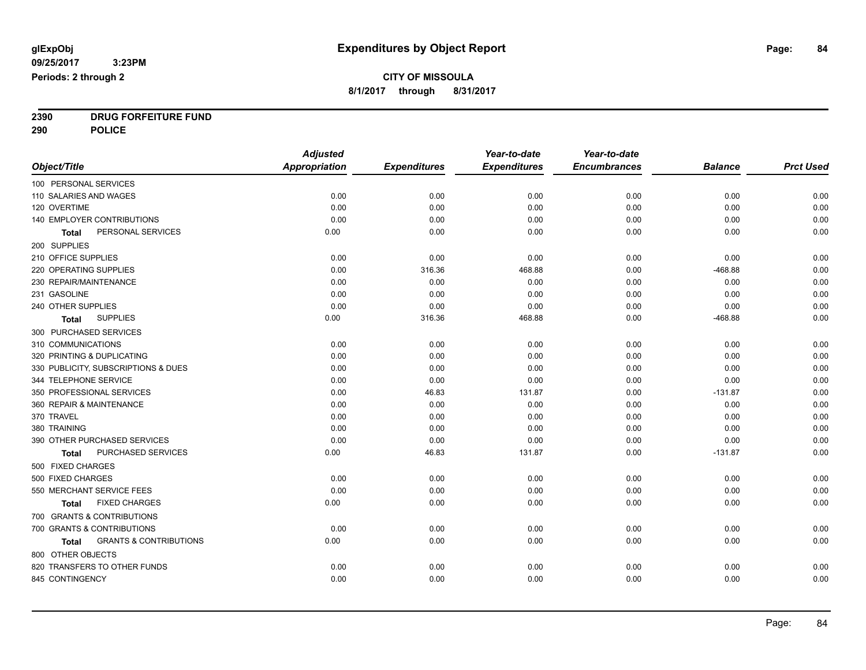**2390 DRUG FORFEITURE FUND**

**290 POLICE**

|                                                   | <b>Adjusted</b>      |                     | Year-to-date        | Year-to-date        |                |                  |
|---------------------------------------------------|----------------------|---------------------|---------------------|---------------------|----------------|------------------|
| Object/Title                                      | <b>Appropriation</b> | <b>Expenditures</b> | <b>Expenditures</b> | <b>Encumbrances</b> | <b>Balance</b> | <b>Prct Used</b> |
| 100 PERSONAL SERVICES                             |                      |                     |                     |                     |                |                  |
| 110 SALARIES AND WAGES                            | 0.00                 | 0.00                | 0.00                | 0.00                | 0.00           | 0.00             |
| 120 OVERTIME                                      | 0.00                 | 0.00                | 0.00                | 0.00                | 0.00           | 0.00             |
| 140 EMPLOYER CONTRIBUTIONS                        | 0.00                 | 0.00                | 0.00                | 0.00                | 0.00           | 0.00             |
| PERSONAL SERVICES<br>Total                        | 0.00                 | 0.00                | 0.00                | 0.00                | 0.00           | 0.00             |
| 200 SUPPLIES                                      |                      |                     |                     |                     |                |                  |
| 210 OFFICE SUPPLIES                               | 0.00                 | 0.00                | 0.00                | 0.00                | 0.00           | 0.00             |
| 220 OPERATING SUPPLIES                            | 0.00                 | 316.36              | 468.88              | 0.00                | $-468.88$      | 0.00             |
| 230 REPAIR/MAINTENANCE                            | 0.00                 | 0.00                | 0.00                | 0.00                | 0.00           | 0.00             |
| 231 GASOLINE                                      | 0.00                 | 0.00                | 0.00                | 0.00                | 0.00           | 0.00             |
| 240 OTHER SUPPLIES                                | 0.00                 | 0.00                | 0.00                | 0.00                | 0.00           | 0.00             |
| <b>SUPPLIES</b><br>Total                          | 0.00                 | 316.36              | 468.88              | 0.00                | $-468.88$      | 0.00             |
| 300 PURCHASED SERVICES                            |                      |                     |                     |                     |                |                  |
| 310 COMMUNICATIONS                                | 0.00                 | 0.00                | 0.00                | 0.00                | 0.00           | 0.00             |
| 320 PRINTING & DUPLICATING                        | 0.00                 | 0.00                | 0.00                | 0.00                | 0.00           | 0.00             |
| 330 PUBLICITY, SUBSCRIPTIONS & DUES               | 0.00                 | 0.00                | 0.00                | 0.00                | 0.00           | 0.00             |
| 344 TELEPHONE SERVICE                             | 0.00                 | 0.00                | 0.00                | 0.00                | 0.00           | 0.00             |
| 350 PROFESSIONAL SERVICES                         | 0.00                 | 46.83               | 131.87              | 0.00                | $-131.87$      | 0.00             |
| 360 REPAIR & MAINTENANCE                          | 0.00                 | 0.00                | 0.00                | 0.00                | 0.00           | 0.00             |
| 370 TRAVEL                                        | 0.00                 | 0.00                | 0.00                | 0.00                | 0.00           | 0.00             |
| 380 TRAINING                                      | 0.00                 | 0.00                | 0.00                | 0.00                | 0.00           | 0.00             |
| 390 OTHER PURCHASED SERVICES                      | 0.00                 | 0.00                | 0.00                | 0.00                | 0.00           | 0.00             |
| PURCHASED SERVICES<br><b>Total</b>                | 0.00                 | 46.83               | 131.87              | 0.00                | $-131.87$      | 0.00             |
| 500 FIXED CHARGES                                 |                      |                     |                     |                     |                |                  |
| 500 FIXED CHARGES                                 | 0.00                 | 0.00                | 0.00                | 0.00                | 0.00           | 0.00             |
| 550 MERCHANT SERVICE FEES                         | 0.00                 | 0.00                | 0.00                | 0.00                | 0.00           | 0.00             |
| <b>FIXED CHARGES</b><br>Total                     | 0.00                 | 0.00                | 0.00                | 0.00                | 0.00           | 0.00             |
| 700 GRANTS & CONTRIBUTIONS                        |                      |                     |                     |                     |                |                  |
| 700 GRANTS & CONTRIBUTIONS                        | 0.00                 | 0.00                | 0.00                | 0.00                | 0.00           | 0.00             |
| <b>GRANTS &amp; CONTRIBUTIONS</b><br><b>Total</b> | 0.00                 | 0.00                | 0.00                | 0.00                | 0.00           | 0.00             |
| 800 OTHER OBJECTS                                 |                      |                     |                     |                     |                |                  |
| 820 TRANSFERS TO OTHER FUNDS                      | 0.00                 | 0.00                | 0.00                | 0.00                | 0.00           | 0.00             |
| 845 CONTINGENCY                                   | 0.00                 | 0.00                | 0.00                | 0.00                | 0.00           | 0.00             |
|                                                   |                      |                     |                     |                     |                |                  |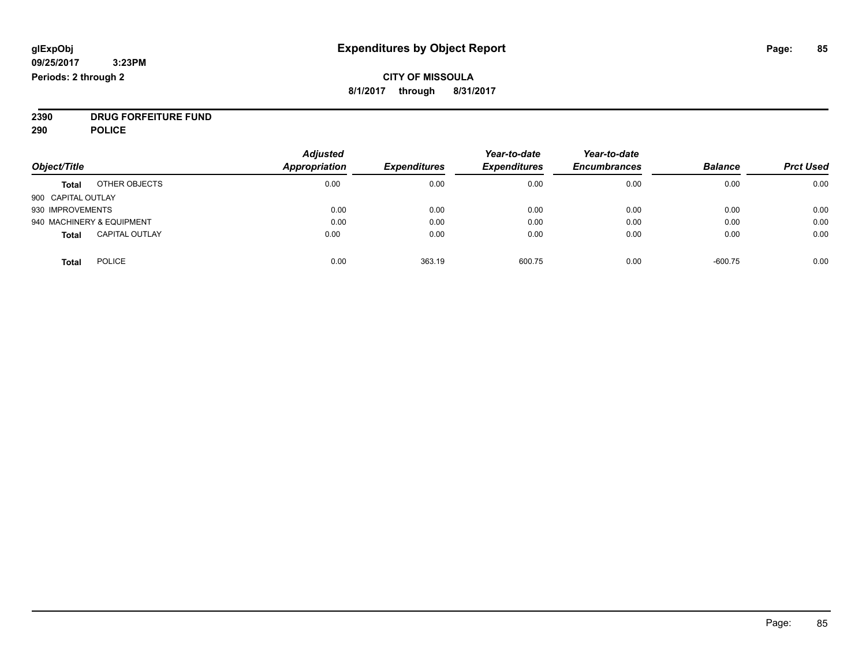### **CITY OF MISSOULA 8/1/2017 through 8/31/2017**

**2390 DRUG FORFEITURE FUND**

**290 POLICE**

|                                       | <b>Adjusted</b> |                     | Year-to-date        | Year-to-date        |                |                  |
|---------------------------------------|-----------------|---------------------|---------------------|---------------------|----------------|------------------|
| Object/Title                          | Appropriation   | <b>Expenditures</b> | <b>Expenditures</b> | <b>Encumbrances</b> | <b>Balance</b> | <b>Prct Used</b> |
| OTHER OBJECTS<br><b>Total</b>         | 0.00            | 0.00                | 0.00                | 0.00                | 0.00           | 0.00             |
| 900 CAPITAL OUTLAY                    |                 |                     |                     |                     |                |                  |
| 930 IMPROVEMENTS                      | 0.00            | 0.00                | 0.00                | 0.00                | 0.00           | 0.00             |
| 940 MACHINERY & EQUIPMENT             | 0.00            | 0.00                | 0.00                | 0.00                | 0.00           | 0.00             |
| <b>CAPITAL OUTLAY</b><br><b>Total</b> | 0.00            | 0.00                | 0.00                | 0.00                | 0.00           | 0.00             |
| <b>POLICE</b><br>Total                | 0.00            | 363.19              | 600.75              | 0.00                | $-600.75$      | 0.00             |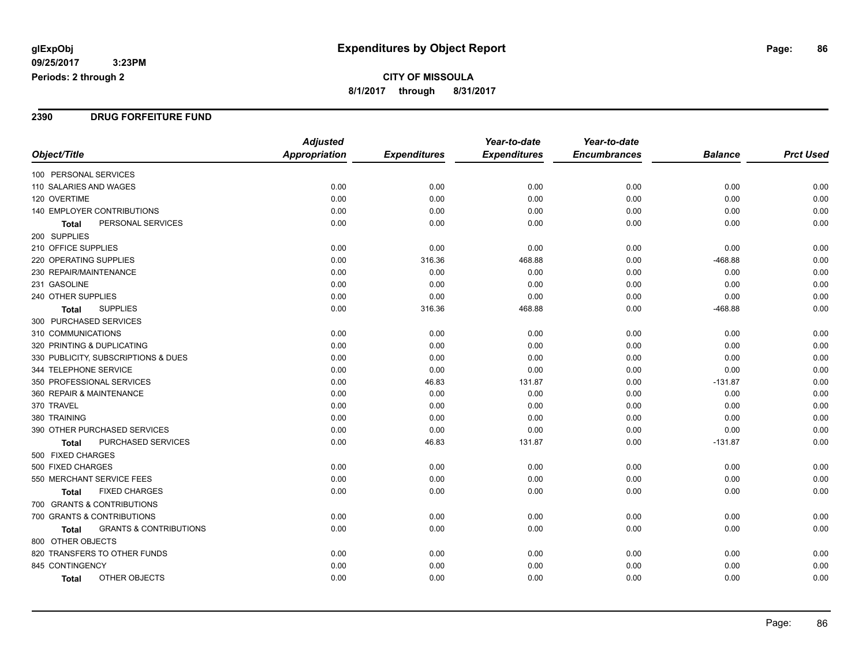**CITY OF MISSOULA 8/1/2017 through 8/31/2017**

#### **2390 DRUG FORFEITURE FUND**

|                                                   | <b>Adjusted</b>      |                     | Year-to-date        | Year-to-date        |                |                  |
|---------------------------------------------------|----------------------|---------------------|---------------------|---------------------|----------------|------------------|
| Object/Title                                      | <b>Appropriation</b> | <b>Expenditures</b> | <b>Expenditures</b> | <b>Encumbrances</b> | <b>Balance</b> | <b>Prct Used</b> |
| 100 PERSONAL SERVICES                             |                      |                     |                     |                     |                |                  |
| 110 SALARIES AND WAGES                            | 0.00                 | 0.00                | 0.00                | 0.00                | 0.00           | 0.00             |
| 120 OVERTIME                                      | 0.00                 | 0.00                | 0.00                | 0.00                | 0.00           | 0.00             |
| 140 EMPLOYER CONTRIBUTIONS                        | 0.00                 | 0.00                | 0.00                | 0.00                | 0.00           | 0.00             |
| PERSONAL SERVICES<br>Total                        | 0.00                 | 0.00                | 0.00                | 0.00                | 0.00           | 0.00             |
| 200 SUPPLIES                                      |                      |                     |                     |                     |                |                  |
| 210 OFFICE SUPPLIES                               | 0.00                 | 0.00                | 0.00                | 0.00                | 0.00           | 0.00             |
| 220 OPERATING SUPPLIES                            | 0.00                 | 316.36              | 468.88              | 0.00                | $-468.88$      | 0.00             |
| 230 REPAIR/MAINTENANCE                            | 0.00                 | 0.00                | 0.00                | 0.00                | 0.00           | 0.00             |
| 231 GASOLINE                                      | 0.00                 | 0.00                | 0.00                | 0.00                | 0.00           | 0.00             |
| 240 OTHER SUPPLIES                                | 0.00                 | 0.00                | 0.00                | 0.00                | 0.00           | 0.00             |
| <b>SUPPLIES</b><br><b>Total</b>                   | 0.00                 | 316.36              | 468.88              | 0.00                | $-468.88$      | 0.00             |
| 300 PURCHASED SERVICES                            |                      |                     |                     |                     |                |                  |
| 310 COMMUNICATIONS                                | 0.00                 | 0.00                | 0.00                | 0.00                | 0.00           | 0.00             |
| 320 PRINTING & DUPLICATING                        | 0.00                 | 0.00                | 0.00                | 0.00                | 0.00           | 0.00             |
| 330 PUBLICITY, SUBSCRIPTIONS & DUES               | 0.00                 | 0.00                | 0.00                | 0.00                | 0.00           | 0.00             |
| 344 TELEPHONE SERVICE                             | 0.00                 | 0.00                | 0.00                | 0.00                | 0.00           | 0.00             |
| 350 PROFESSIONAL SERVICES                         | 0.00                 | 46.83               | 131.87              | 0.00                | $-131.87$      | 0.00             |
| 360 REPAIR & MAINTENANCE                          | 0.00                 | 0.00                | 0.00                | 0.00                | 0.00           | 0.00             |
| 370 TRAVEL                                        | 0.00                 | 0.00                | 0.00                | 0.00                | 0.00           | 0.00             |
| 380 TRAINING                                      | 0.00                 | 0.00                | 0.00                | 0.00                | 0.00           | 0.00             |
| 390 OTHER PURCHASED SERVICES                      | 0.00                 | 0.00                | 0.00                | 0.00                | 0.00           | 0.00             |
| PURCHASED SERVICES<br><b>Total</b>                | 0.00                 | 46.83               | 131.87              | 0.00                | $-131.87$      | 0.00             |
| 500 FIXED CHARGES                                 |                      |                     |                     |                     |                |                  |
| 500 FIXED CHARGES                                 | 0.00                 | 0.00                | 0.00                | 0.00                | 0.00           | 0.00             |
| 550 MERCHANT SERVICE FEES                         | 0.00                 | 0.00                | 0.00                | 0.00                | 0.00           | 0.00             |
| <b>FIXED CHARGES</b><br><b>Total</b>              | 0.00                 | 0.00                | 0.00                | 0.00                | 0.00           | 0.00             |
| 700 GRANTS & CONTRIBUTIONS                        |                      |                     |                     |                     |                |                  |
| 700 GRANTS & CONTRIBUTIONS                        | 0.00                 | 0.00                | 0.00                | 0.00                | 0.00           | 0.00             |
| <b>GRANTS &amp; CONTRIBUTIONS</b><br><b>Total</b> | 0.00                 | 0.00                | 0.00                | 0.00                | 0.00           | 0.00             |
| 800 OTHER OBJECTS                                 |                      |                     |                     |                     |                |                  |
| 820 TRANSFERS TO OTHER FUNDS                      | 0.00                 | 0.00                | 0.00                | 0.00                | 0.00           | 0.00             |
| 845 CONTINGENCY                                   | 0.00                 | 0.00                | 0.00                | 0.00                | 0.00           | 0.00             |
| OTHER OBJECTS<br>Total                            | 0.00                 | 0.00                | 0.00                | 0.00                | 0.00           | 0.00             |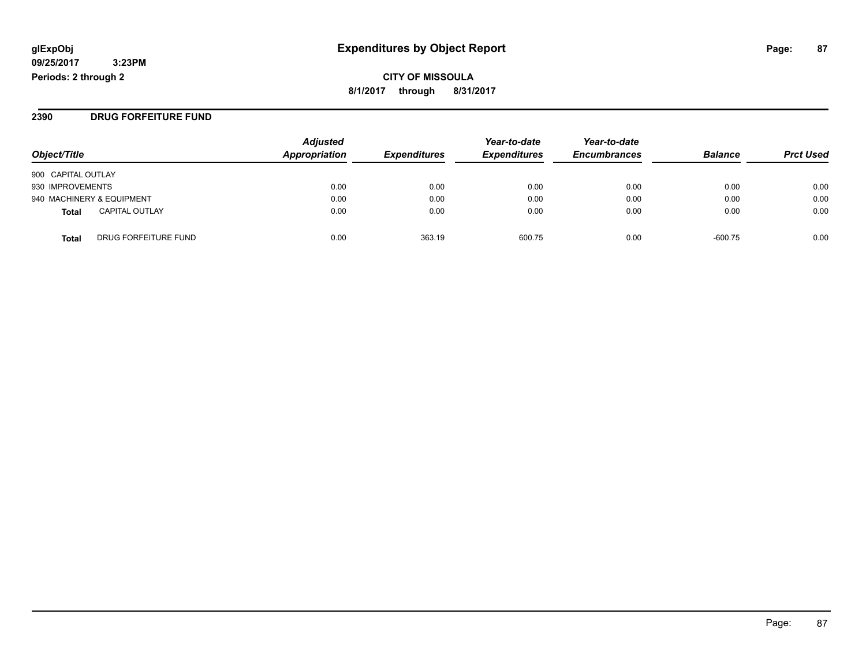**2390 DRUG FORFEITURE FUND**

| Object/Title                          | <b>Adjusted</b><br>Appropriation | <b>Expenditures</b> | Year-to-date<br><b>Expenditures</b> | Year-to-date<br><b>Encumbrances</b> | <b>Balance</b> | <b>Prct Used</b> |
|---------------------------------------|----------------------------------|---------------------|-------------------------------------|-------------------------------------|----------------|------------------|
| 900 CAPITAL OUTLAY                    |                                  |                     |                                     |                                     |                |                  |
| 930 IMPROVEMENTS                      | 0.00                             | 0.00                | 0.00                                | 0.00                                | 0.00           | 0.00             |
| 940 MACHINERY & EQUIPMENT             | 0.00                             | 0.00                | 0.00                                | 0.00                                | 0.00           | 0.00             |
| <b>CAPITAL OUTLAY</b><br><b>Total</b> | 0.00                             | 0.00                | 0.00                                | 0.00                                | 0.00           | 0.00             |
| DRUG FORFEITURE FUND<br>Total         | 0.00                             | 363.19              | 600.75                              | 0.00                                | $-600.75$      | 0.00             |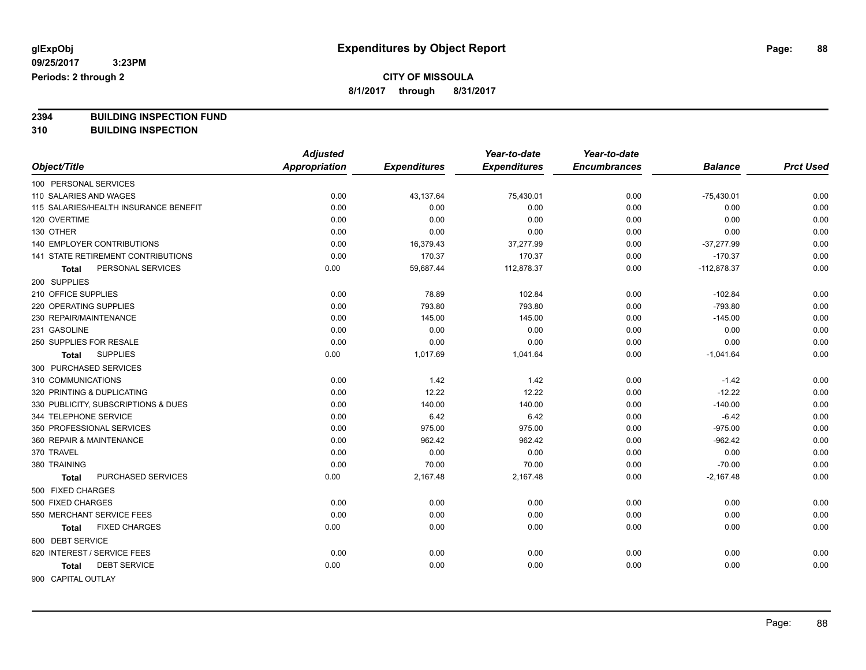## **CITY OF MISSOULA**

**8/1/2017 through 8/31/2017**

**2394 BUILDING INSPECTION FUND**

**310 BUILDING INSPECTION**

|                                           | <b>Adjusted</b>      |                     | Year-to-date        | Year-to-date        |                |                  |
|-------------------------------------------|----------------------|---------------------|---------------------|---------------------|----------------|------------------|
| Object/Title                              | <b>Appropriation</b> | <b>Expenditures</b> | <b>Expenditures</b> | <b>Encumbrances</b> | <b>Balance</b> | <b>Prct Used</b> |
| 100 PERSONAL SERVICES                     |                      |                     |                     |                     |                |                  |
| 110 SALARIES AND WAGES                    | 0.00                 | 43,137.64           | 75,430.01           | 0.00                | $-75,430.01$   | 0.00             |
| 115 SALARIES/HEALTH INSURANCE BENEFIT     | 0.00                 | 0.00                | 0.00                | 0.00                | 0.00           | 0.00             |
| 120 OVERTIME                              | 0.00                 | 0.00                | 0.00                | 0.00                | 0.00           | 0.00             |
| 130 OTHER                                 | 0.00                 | 0.00                | 0.00                | 0.00                | 0.00           | 0.00             |
| <b>140 EMPLOYER CONTRIBUTIONS</b>         | 0.00                 | 16,379.43           | 37,277.99           | 0.00                | $-37,277.99$   | 0.00             |
| <b>141 STATE RETIREMENT CONTRIBUTIONS</b> | 0.00                 | 170.37              | 170.37              | 0.00                | $-170.37$      | 0.00             |
| PERSONAL SERVICES<br>Total                | 0.00                 | 59,687.44           | 112,878.37          | 0.00                | $-112,878.37$  | 0.00             |
| 200 SUPPLIES                              |                      |                     |                     |                     |                |                  |
| 210 OFFICE SUPPLIES                       | 0.00                 | 78.89               | 102.84              | 0.00                | $-102.84$      | 0.00             |
| 220 OPERATING SUPPLIES                    | 0.00                 | 793.80              | 793.80              | 0.00                | $-793.80$      | 0.00             |
| 230 REPAIR/MAINTENANCE                    | 0.00                 | 145.00              | 145.00              | 0.00                | $-145.00$      | 0.00             |
| 231 GASOLINE                              | 0.00                 | 0.00                | 0.00                | 0.00                | 0.00           | 0.00             |
| 250 SUPPLIES FOR RESALE                   | 0.00                 | 0.00                | 0.00                | 0.00                | 0.00           | 0.00             |
| <b>SUPPLIES</b><br>Total                  | 0.00                 | 1,017.69            | 1,041.64            | 0.00                | $-1,041.64$    | 0.00             |
| 300 PURCHASED SERVICES                    |                      |                     |                     |                     |                |                  |
| 310 COMMUNICATIONS                        | 0.00                 | 1.42                | 1.42                | 0.00                | $-1.42$        | 0.00             |
| 320 PRINTING & DUPLICATING                | 0.00                 | 12.22               | 12.22               | 0.00                | $-12.22$       | 0.00             |
| 330 PUBLICITY, SUBSCRIPTIONS & DUES       | 0.00                 | 140.00              | 140.00              | 0.00                | $-140.00$      | 0.00             |
| 344 TELEPHONE SERVICE                     | 0.00                 | 6.42                | 6.42                | 0.00                | $-6.42$        | 0.00             |
| 350 PROFESSIONAL SERVICES                 | 0.00                 | 975.00              | 975.00              | 0.00                | $-975.00$      | 0.00             |
| 360 REPAIR & MAINTENANCE                  | 0.00                 | 962.42              | 962.42              | 0.00                | $-962.42$      | 0.00             |
| 370 TRAVEL                                | 0.00                 | 0.00                | 0.00                | 0.00                | 0.00           | 0.00             |
| 380 TRAINING                              | 0.00                 | 70.00               | 70.00               | 0.00                | $-70.00$       | 0.00             |
| PURCHASED SERVICES<br>Total               | 0.00                 | 2,167.48            | 2,167.48            | 0.00                | $-2,167.48$    | 0.00             |
| 500 FIXED CHARGES                         |                      |                     |                     |                     |                |                  |
| 500 FIXED CHARGES                         | 0.00                 | 0.00                | 0.00                | 0.00                | 0.00           | 0.00             |
| 550 MERCHANT SERVICE FEES                 | 0.00                 | 0.00                | 0.00                | 0.00                | 0.00           | 0.00             |
| <b>FIXED CHARGES</b><br>Total             | 0.00                 | 0.00                | 0.00                | 0.00                | 0.00           | 0.00             |
| 600 DEBT SERVICE                          |                      |                     |                     |                     |                |                  |
| 620 INTEREST / SERVICE FEES               | 0.00                 | 0.00                | 0.00                | 0.00                | 0.00           | 0.00             |
| <b>DEBT SERVICE</b><br>Total              | 0.00                 | 0.00                | 0.00                | 0.00                | 0.00           | 0.00             |
| 900 CAPITAL OUTLAY                        |                      |                     |                     |                     |                |                  |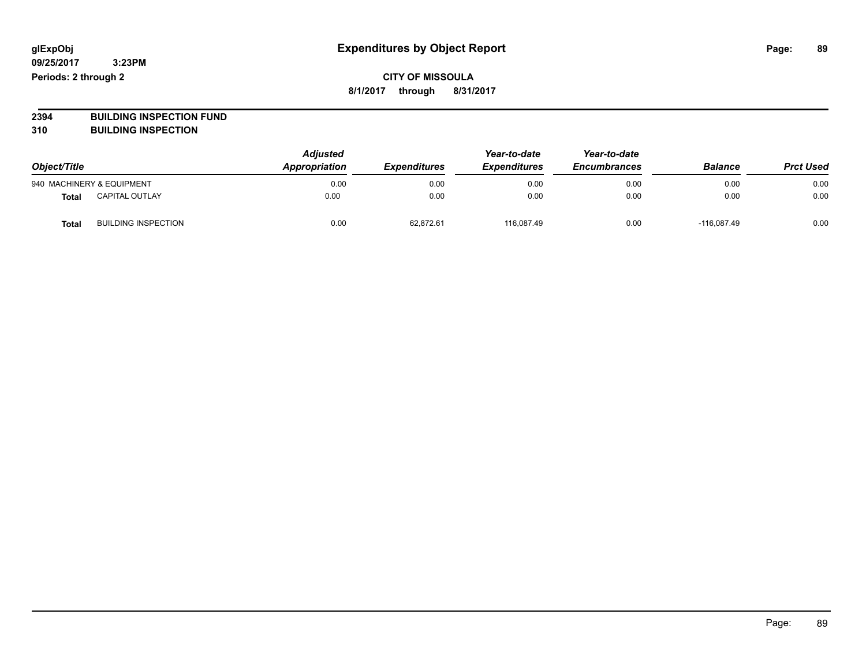### **CITY OF MISSOULA 8/1/2017 through 8/31/2017**

# **2394 BUILDING INSPECTION FUND**

**310 BUILDING INSPECTION**

| Object/Title |                            | <b>Adjusted</b><br>Appropriation | <i><b>Expenditures</b></i> | Year-to-date<br><b>Expenditures</b> | Year-to-date<br><b>Encumbrances</b> | <b>Balance</b> | <b>Prct Used</b> |
|--------------|----------------------------|----------------------------------|----------------------------|-------------------------------------|-------------------------------------|----------------|------------------|
|              | 940 MACHINERY & EQUIPMENT  | 0.00                             | 0.00                       | 0.00                                | 0.00                                | 0.00           | 0.00             |
| Total        | CAPITAL OUTLAY             | 0.00                             | 0.00                       | 0.00                                | 0.00                                | 0.00           | 0.00             |
| Total        | <b>BUILDING INSPECTION</b> | 0.00                             | 62.872.61                  | 116.087.49                          | 0.00                                | $-116.087.49$  | 0.00             |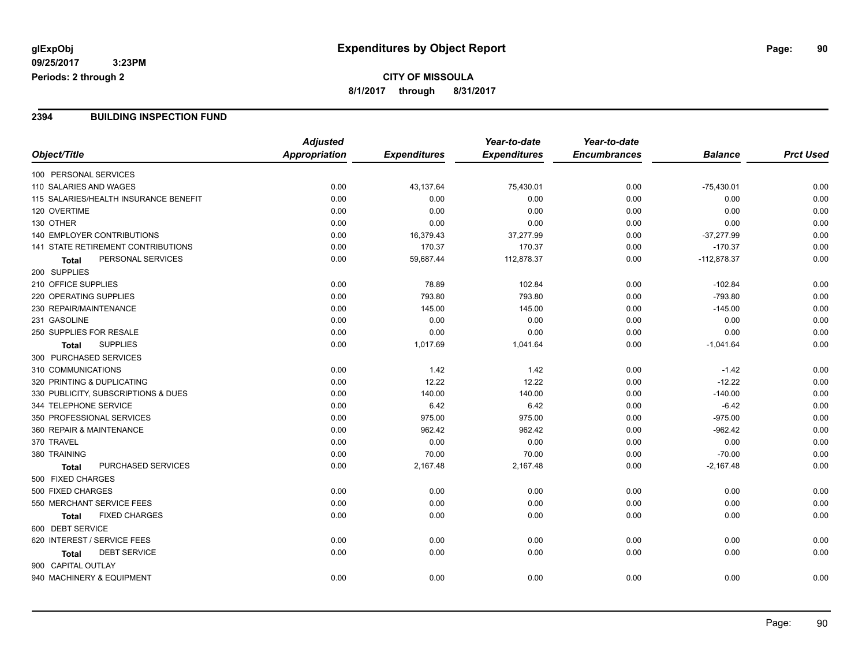#### **2394 BUILDING INSPECTION FUND**

|                                       | <b>Adjusted</b>      |                     | Year-to-date        | Year-to-date        |                |                  |
|---------------------------------------|----------------------|---------------------|---------------------|---------------------|----------------|------------------|
| Object/Title                          | <b>Appropriation</b> | <b>Expenditures</b> | <b>Expenditures</b> | <b>Encumbrances</b> | <b>Balance</b> | <b>Prct Used</b> |
| 100 PERSONAL SERVICES                 |                      |                     |                     |                     |                |                  |
| 110 SALARIES AND WAGES                | 0.00                 | 43,137.64           | 75,430.01           | 0.00                | $-75,430.01$   | 0.00             |
| 115 SALARIES/HEALTH INSURANCE BENEFIT | 0.00                 | 0.00                | 0.00                | 0.00                | 0.00           | 0.00             |
| 120 OVERTIME                          | 0.00                 | 0.00                | 0.00                | 0.00                | 0.00           | 0.00             |
| 130 OTHER                             | 0.00                 | 0.00                | 0.00                | 0.00                | 0.00           | 0.00             |
| 140 EMPLOYER CONTRIBUTIONS            | 0.00                 | 16,379.43           | 37,277.99           | 0.00                | $-37,277.99$   | 0.00             |
| 141 STATE RETIREMENT CONTRIBUTIONS    | 0.00                 | 170.37              | 170.37              | 0.00                | $-170.37$      | 0.00             |
| PERSONAL SERVICES<br><b>Total</b>     | 0.00                 | 59,687.44           | 112,878.37          | 0.00                | $-112,878.37$  | 0.00             |
| 200 SUPPLIES                          |                      |                     |                     |                     |                |                  |
| 210 OFFICE SUPPLIES                   | 0.00                 | 78.89               | 102.84              | 0.00                | $-102.84$      | 0.00             |
| 220 OPERATING SUPPLIES                | 0.00                 | 793.80              | 793.80              | 0.00                | $-793.80$      | 0.00             |
| 230 REPAIR/MAINTENANCE                | 0.00                 | 145.00              | 145.00              | 0.00                | $-145.00$      | 0.00             |
| 231 GASOLINE                          | 0.00                 | 0.00                | 0.00                | 0.00                | 0.00           | 0.00             |
| 250 SUPPLIES FOR RESALE               | 0.00                 | 0.00                | 0.00                | 0.00                | 0.00           | 0.00             |
| <b>SUPPLIES</b><br><b>Total</b>       | 0.00                 | 1,017.69            | 1,041.64            | 0.00                | $-1,041.64$    | 0.00             |
| 300 PURCHASED SERVICES                |                      |                     |                     |                     |                |                  |
| 310 COMMUNICATIONS                    | 0.00                 | 1.42                | 1.42                | 0.00                | $-1.42$        | 0.00             |
| 320 PRINTING & DUPLICATING            | 0.00                 | 12.22               | 12.22               | 0.00                | $-12.22$       | 0.00             |
| 330 PUBLICITY, SUBSCRIPTIONS & DUES   | 0.00                 | 140.00              | 140.00              | 0.00                | $-140.00$      | 0.00             |
| 344 TELEPHONE SERVICE                 | 0.00                 | 6.42                | 6.42                | 0.00                | $-6.42$        | 0.00             |
| 350 PROFESSIONAL SERVICES             | 0.00                 | 975.00              | 975.00              | 0.00                | $-975.00$      | 0.00             |
| 360 REPAIR & MAINTENANCE              | 0.00                 | 962.42              | 962.42              | 0.00                | $-962.42$      | 0.00             |
| 370 TRAVEL                            | 0.00                 | 0.00                | 0.00                | 0.00                | 0.00           | 0.00             |
| 380 TRAINING                          | 0.00                 | 70.00               | 70.00               | 0.00                | $-70.00$       | 0.00             |
| PURCHASED SERVICES<br><b>Total</b>    | 0.00                 | 2,167.48            | 2,167.48            | 0.00                | $-2,167.48$    | 0.00             |
| 500 FIXED CHARGES                     |                      |                     |                     |                     |                |                  |
| 500 FIXED CHARGES                     | 0.00                 | 0.00                | 0.00                | 0.00                | 0.00           | 0.00             |
| 550 MERCHANT SERVICE FEES             | 0.00                 | 0.00                | 0.00                | 0.00                | 0.00           | 0.00             |
| <b>FIXED CHARGES</b><br>Total         | 0.00                 | 0.00                | 0.00                | 0.00                | 0.00           | 0.00             |
| 600 DEBT SERVICE                      |                      |                     |                     |                     |                |                  |
| 620 INTEREST / SERVICE FEES           | 0.00                 | 0.00                | 0.00                | 0.00                | 0.00           | 0.00             |
| <b>DEBT SERVICE</b><br>Total          | 0.00                 | 0.00                | 0.00                | 0.00                | 0.00           | 0.00             |
| 900 CAPITAL OUTLAY                    |                      |                     |                     |                     |                |                  |
| 940 MACHINERY & EQUIPMENT             | 0.00                 | 0.00                | 0.00                | 0.00                | 0.00           | 0.00             |
|                                       |                      |                     |                     |                     |                |                  |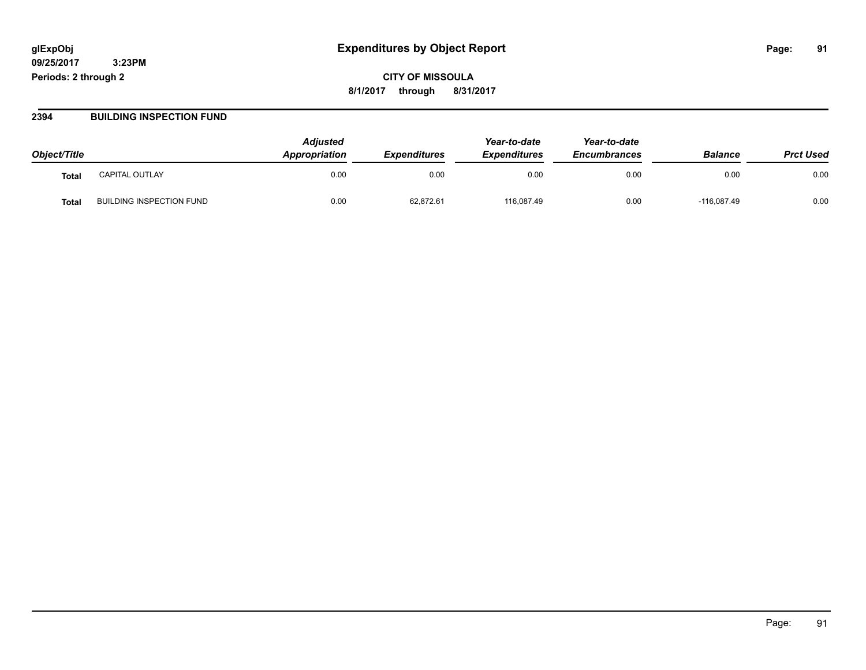**CITY OF MISSOULA 8/1/2017 through 8/31/2017**

#### **2394 BUILDING INSPECTION FUND**

| Object/Title |                                 | <b>Adjusted</b><br>Appropriation | <b>Expenditures</b> | Year-to-date<br><b>Expenditures</b> | Year-to-date<br><b>Encumbrances</b> | <b>Balance</b> | <b>Prct Used</b> |
|--------------|---------------------------------|----------------------------------|---------------------|-------------------------------------|-------------------------------------|----------------|------------------|
| <b>Total</b> | <b>CAPITAL OUTLAY</b>           | 0.00                             | 0.00                | 0.00                                | 0.00                                | 0.00           | 0.00             |
| Tota.        | <b>BUILDING INSPECTION FUND</b> | 0.00                             | 62,872.61           | 116.087.49                          | 0.00                                | $-116.087.49$  | 0.00             |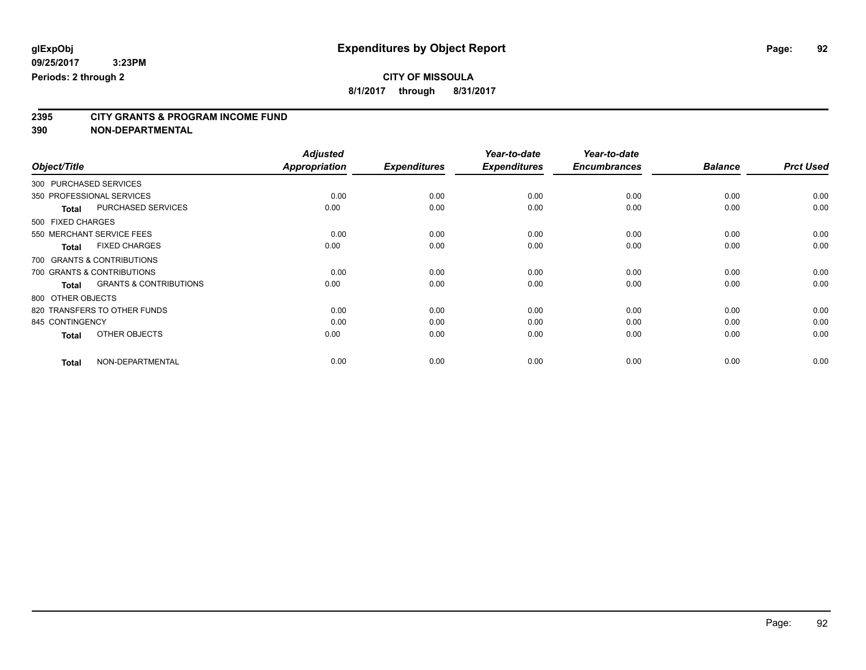**2395 CITY GRANTS & PROGRAM INCOME FUND**

**390 NON-DEPARTMENTAL**

|                                                   | <b>Adjusted</b>      |                     | Year-to-date        | Year-to-date        |                |                  |
|---------------------------------------------------|----------------------|---------------------|---------------------|---------------------|----------------|------------------|
| Object/Title                                      | <b>Appropriation</b> | <b>Expenditures</b> | <b>Expenditures</b> | <b>Encumbrances</b> | <b>Balance</b> | <b>Prct Used</b> |
| 300 PURCHASED SERVICES                            |                      |                     |                     |                     |                |                  |
| 350 PROFESSIONAL SERVICES                         | 0.00                 | 0.00                | 0.00                | 0.00                | 0.00           | 0.00             |
| PURCHASED SERVICES<br><b>Total</b>                | 0.00                 | 0.00                | 0.00                | 0.00                | 0.00           | 0.00             |
| 500 FIXED CHARGES                                 |                      |                     |                     |                     |                |                  |
| 550 MERCHANT SERVICE FEES                         | 0.00                 | 0.00                | 0.00                | 0.00                | 0.00           | 0.00             |
| <b>FIXED CHARGES</b><br><b>Total</b>              | 0.00                 | 0.00                | 0.00                | 0.00                | 0.00           | 0.00             |
| 700 GRANTS & CONTRIBUTIONS                        |                      |                     |                     |                     |                |                  |
| 700 GRANTS & CONTRIBUTIONS                        | 0.00                 | 0.00                | 0.00                | 0.00                | 0.00           | 0.00             |
| <b>GRANTS &amp; CONTRIBUTIONS</b><br><b>Total</b> | 0.00                 | 0.00                | 0.00                | 0.00                | 0.00           | 0.00             |
| 800 OTHER OBJECTS                                 |                      |                     |                     |                     |                |                  |
| 820 TRANSFERS TO OTHER FUNDS                      | 0.00                 | 0.00                | 0.00                | 0.00                | 0.00           | 0.00             |
| 845 CONTINGENCY                                   | 0.00                 | 0.00                | 0.00                | 0.00                | 0.00           | 0.00             |
| OTHER OBJECTS<br><b>Total</b>                     | 0.00                 | 0.00                | 0.00                | 0.00                | 0.00           | 0.00             |
| NON-DEPARTMENTAL<br><b>Total</b>                  | 0.00                 | 0.00                | 0.00                | 0.00                | 0.00           | 0.00             |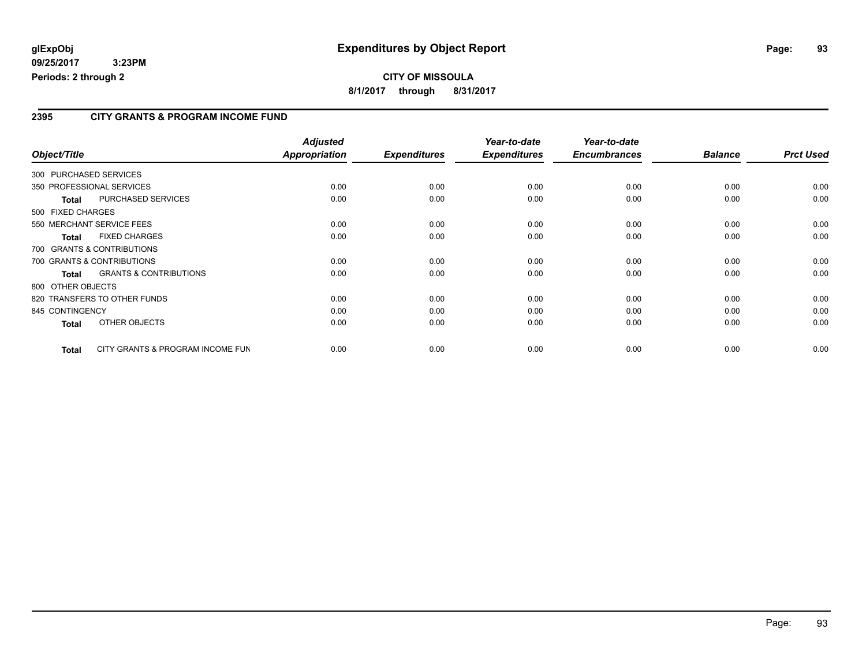#### **2395 CITY GRANTS & PROGRAM INCOME FUND**

| Object/Title           |                                   | <b>Adjusted</b><br><b>Appropriation</b> | <b>Expenditures</b> | Year-to-date<br><b>Expenditures</b> | Year-to-date<br><b>Encumbrances</b> | <b>Balance</b> | <b>Prct Used</b> |
|------------------------|-----------------------------------|-----------------------------------------|---------------------|-------------------------------------|-------------------------------------|----------------|------------------|
| 300 PURCHASED SERVICES |                                   |                                         |                     |                                     |                                     |                |                  |
|                        | 350 PROFESSIONAL SERVICES         | 0.00                                    | 0.00                | 0.00                                | 0.00                                | 0.00           | 0.00             |
| Total                  | PURCHASED SERVICES                | 0.00                                    | 0.00                | 0.00                                | 0.00                                | 0.00           | 0.00             |
| 500 FIXED CHARGES      |                                   |                                         |                     |                                     |                                     |                |                  |
|                        | 550 MERCHANT SERVICE FEES         | 0.00                                    | 0.00                | 0.00                                | 0.00                                | 0.00           | 0.00             |
| <b>Total</b>           | <b>FIXED CHARGES</b>              | 0.00                                    | 0.00                | 0.00                                | 0.00                                | 0.00           | 0.00             |
|                        | 700 GRANTS & CONTRIBUTIONS        |                                         |                     |                                     |                                     |                |                  |
|                        | 700 GRANTS & CONTRIBUTIONS        | 0.00                                    | 0.00                | 0.00                                | 0.00                                | 0.00           | 0.00             |
| <b>Total</b>           | <b>GRANTS &amp; CONTRIBUTIONS</b> | 0.00                                    | 0.00                | 0.00                                | 0.00                                | 0.00           | 0.00             |
| 800 OTHER OBJECTS      |                                   |                                         |                     |                                     |                                     |                |                  |
|                        | 820 TRANSFERS TO OTHER FUNDS      | 0.00                                    | 0.00                | 0.00                                | 0.00                                | 0.00           | 0.00             |
| 845 CONTINGENCY        |                                   | 0.00                                    | 0.00                | 0.00                                | 0.00                                | 0.00           | 0.00             |
| <b>Total</b>           | OTHER OBJECTS                     | 0.00                                    | 0.00                | 0.00                                | 0.00                                | 0.00           | 0.00             |
| Total                  | CITY GRANTS & PROGRAM INCOME FUN  | 0.00                                    | 0.00                | 0.00                                | 0.00                                | 0.00           | 0.00             |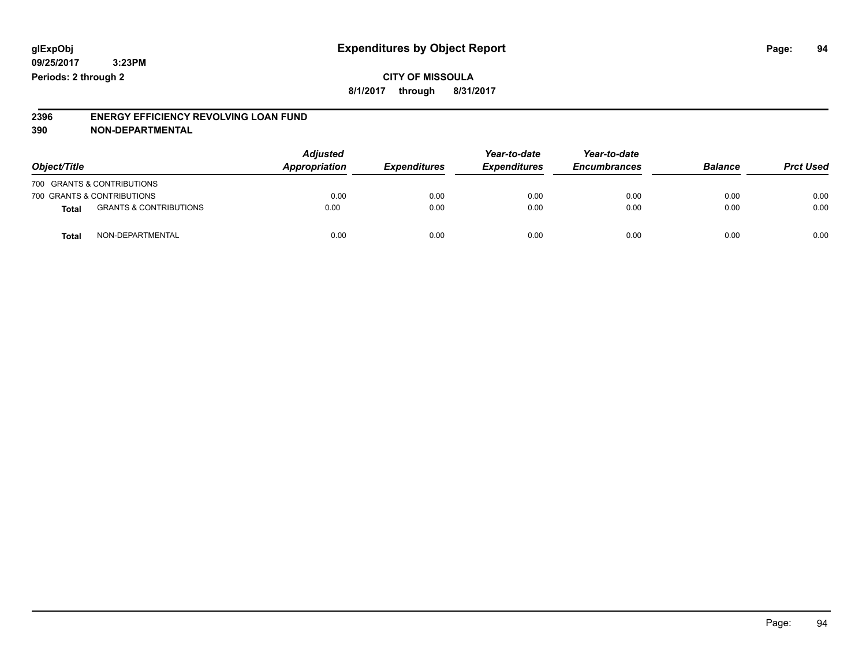**CITY OF MISSOULA 8/1/2017 through 8/31/2017**

#### **2396 ENERGY EFFICIENCY REVOLVING LOAN FUND 390 NON-DEPARTMENTAL**

| Object/Title               |                                   | <b>Adjusted</b><br>Appropriation | <b>Expenditures</b> | Year-to-date<br><b>Expenditures</b> | Year-to-date<br><b>Encumbrances</b> | <b>Balance</b> | <b>Prct Used</b> |
|----------------------------|-----------------------------------|----------------------------------|---------------------|-------------------------------------|-------------------------------------|----------------|------------------|
| 700 GRANTS & CONTRIBUTIONS |                                   |                                  |                     |                                     |                                     |                |                  |
| 700 GRANTS & CONTRIBUTIONS |                                   | 0.00                             | 0.00                | 0.00                                | 0.00                                | 0.00           | 0.00             |
| <b>Total</b>               | <b>GRANTS &amp; CONTRIBUTIONS</b> | 0.00                             | 0.00                | 0.00                                | 0.00                                | 0.00           | 0.00             |
| <b>Total</b>               | NON-DEPARTMENTAL                  | 0.00                             | 0.00                | 0.00                                | 0.00                                | 0.00           | 0.00             |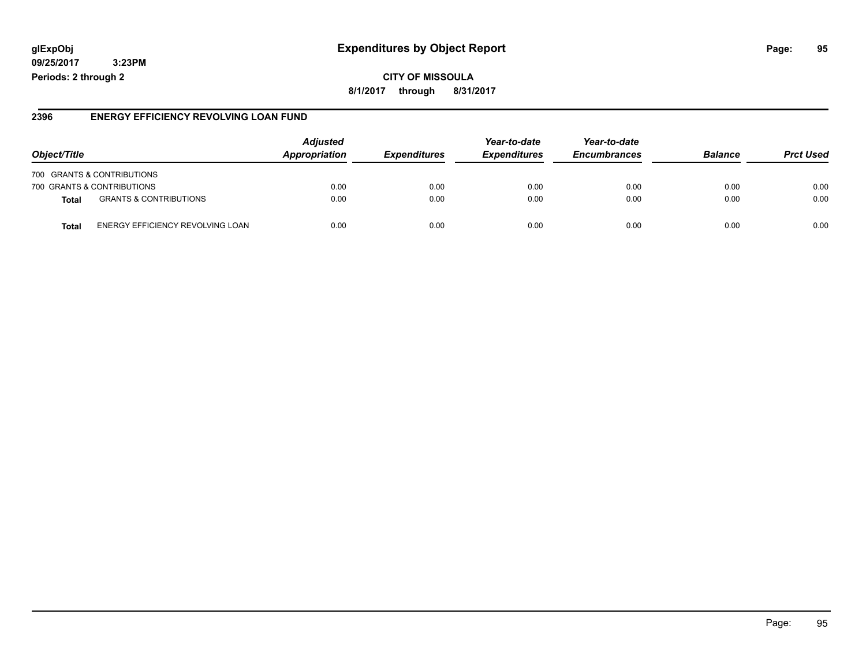### **glExpObj Expenditures by Object Report Page: 95**

**09/25/2017 3:23PM Periods: 2 through 2**

#### **2396 ENERGY EFFICIENCY REVOLVING LOAN FUND**

| Object/Title                               | <b>Adjusted</b><br><b>Appropriation</b> | <b>Expenditures</b> | Year-to-date<br><b>Expenditures</b> | Year-to-date<br><b>Encumbrances</b> | <b>Balance</b> | <b>Prct Used</b> |
|--------------------------------------------|-----------------------------------------|---------------------|-------------------------------------|-------------------------------------|----------------|------------------|
| 700 GRANTS & CONTRIBUTIONS                 |                                         |                     |                                     |                                     |                |                  |
| 700 GRANTS & CONTRIBUTIONS                 | 0.00                                    | 0.00                | 0.00                                | 0.00                                | 0.00           | 0.00             |
| <b>GRANTS &amp; CONTRIBUTIONS</b><br>Total | 0.00                                    | 0.00                | 0.00                                | 0.00                                | 0.00           | 0.00             |
| ENERGY EFFICIENCY REVOLVING LOAN<br>Tota   | 0.00                                    | 0.00                | 0.00                                | 0.00                                | 0.00           | 0.00             |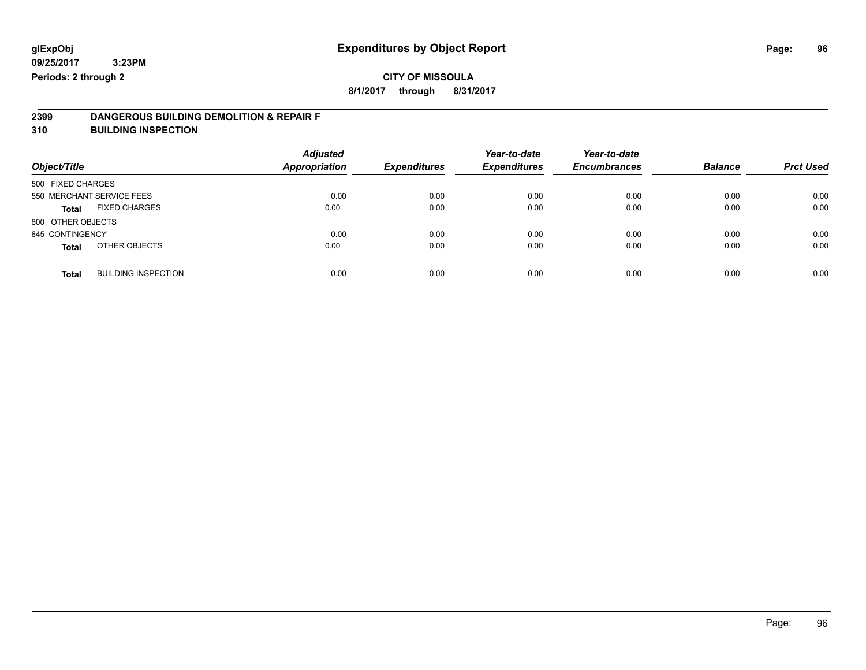## **CITY OF MISSOULA**

**8/1/2017 through 8/31/2017**

# **2399 DANGEROUS BUILDING DEMOLITION & REPAIR F**

**310 BUILDING INSPECTION**

| Object/Title      |                            | <b>Adjusted</b><br>Appropriation | <b>Expenditures</b> | Year-to-date<br><b>Expenditures</b> | Year-to-date<br><b>Encumbrances</b> | <b>Balance</b> | <b>Prct Used</b> |
|-------------------|----------------------------|----------------------------------|---------------------|-------------------------------------|-------------------------------------|----------------|------------------|
| 500 FIXED CHARGES |                            |                                  |                     |                                     |                                     |                |                  |
|                   | 550 MERCHANT SERVICE FEES  | 0.00                             | 0.00                | 0.00                                | 0.00                                | 0.00           | 0.00             |
| <b>Total</b>      | <b>FIXED CHARGES</b>       | 0.00                             | 0.00                | 0.00                                | 0.00                                | 0.00           | 0.00             |
| 800 OTHER OBJECTS |                            |                                  |                     |                                     |                                     |                |                  |
| 845 CONTINGENCY   |                            | 0.00                             | 0.00                | 0.00                                | 0.00                                | 0.00           | 0.00             |
| <b>Total</b>      | OTHER OBJECTS              | 0.00                             | 0.00                | 0.00                                | 0.00                                | 0.00           | 0.00             |
| <b>Total</b>      | <b>BUILDING INSPECTION</b> | 0.00                             | 0.00                | 0.00                                | 0.00                                | 0.00           | 0.00             |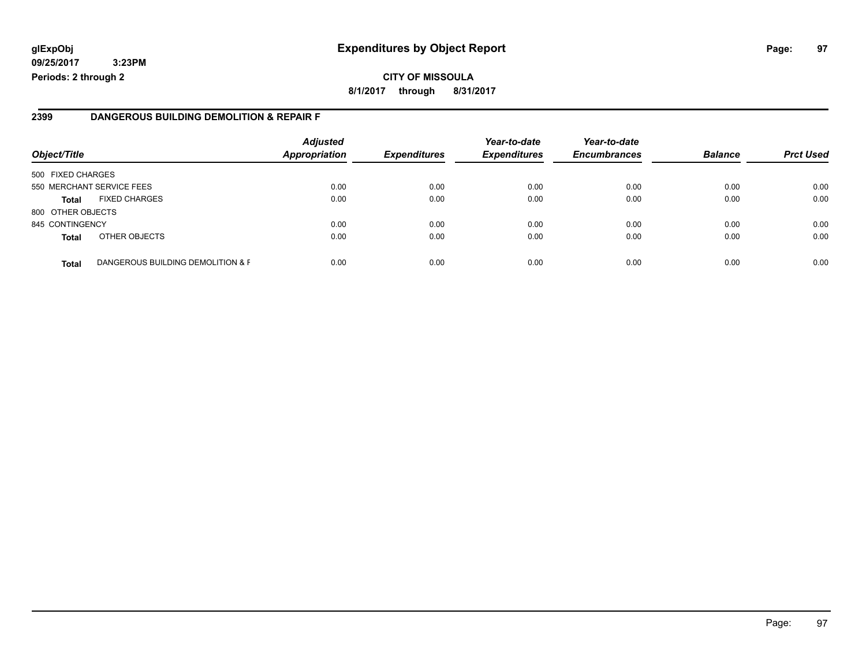## **glExpObj Expenditures by Object Report Page: 97**

**09/25/2017 3:23PM Periods: 2 through 2**

#### **2399 DANGEROUS BUILDING DEMOLITION & REPAIR F**

| Object/Title      |                                   | <b>Adjusted</b><br><b>Appropriation</b> | <b>Expenditures</b> | Year-to-date<br><b>Expenditures</b> | Year-to-date<br><b>Encumbrances</b> | <b>Balance</b> | <b>Prct Used</b> |
|-------------------|-----------------------------------|-----------------------------------------|---------------------|-------------------------------------|-------------------------------------|----------------|------------------|
| 500 FIXED CHARGES |                                   |                                         |                     |                                     |                                     |                |                  |
|                   | 550 MERCHANT SERVICE FEES         | 0.00                                    | 0.00                | 0.00                                | 0.00                                | 0.00           | 0.00             |
| <b>Total</b>      | <b>FIXED CHARGES</b>              | 0.00                                    | 0.00                | 0.00                                | 0.00                                | 0.00           | 0.00             |
| 800 OTHER OBJECTS |                                   |                                         |                     |                                     |                                     |                |                  |
| 845 CONTINGENCY   |                                   | 0.00                                    | 0.00                | 0.00                                | 0.00                                | 0.00           | 0.00             |
| <b>Total</b>      | OTHER OBJECTS                     | 0.00                                    | 0.00                | 0.00                                | 0.00                                | 0.00           | 0.00             |
| <b>Total</b>      | DANGEROUS BUILDING DEMOLITION & F | 0.00                                    | 0.00                | 0.00                                | 0.00                                | 0.00           | 0.00             |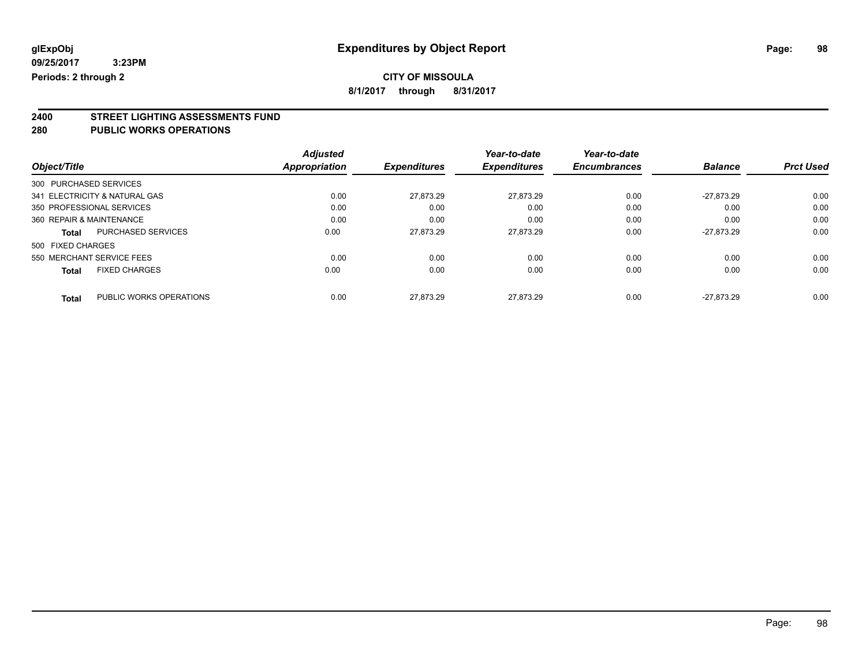**8/1/2017 through 8/31/2017**

# **2400 STREET LIGHTING ASSESSMENTS FUND**

#### **280 PUBLIC WORKS OPERATIONS**

|                                           | <b>Adjusted</b> |                     | Year-to-date        | Year-to-date        |                |                  |
|-------------------------------------------|-----------------|---------------------|---------------------|---------------------|----------------|------------------|
| Object/Title                              | Appropriation   | <b>Expenditures</b> | <b>Expenditures</b> | <b>Encumbrances</b> | <b>Balance</b> | <b>Prct Used</b> |
| 300 PURCHASED SERVICES                    |                 |                     |                     |                     |                |                  |
| 341 ELECTRICITY & NATURAL GAS             | 0.00            | 27.873.29           | 27.873.29           | 0.00                | $-27.873.29$   | 0.00             |
| 350 PROFESSIONAL SERVICES                 | 0.00            | 0.00                | 0.00                | 0.00                | 0.00           | 0.00             |
| 360 REPAIR & MAINTENANCE                  | 0.00            | 0.00                | 0.00                | 0.00                | 0.00           | 0.00             |
| <b>PURCHASED SERVICES</b><br><b>Total</b> | 0.00            | 27.873.29           | 27.873.29           | 0.00                | $-27.873.29$   | 0.00             |
| 500 FIXED CHARGES                         |                 |                     |                     |                     |                |                  |
| 550 MERCHANT SERVICE FEES                 | 0.00            | 0.00                | 0.00                | 0.00                | 0.00           | 0.00             |
| <b>FIXED CHARGES</b><br><b>Total</b>      | 0.00            | 0.00                | 0.00                | 0.00                | 0.00           | 0.00             |
| PUBLIC WORKS OPERATIONS<br><b>Total</b>   | 0.00            | 27.873.29           | 27.873.29           | 0.00                | $-27.873.29$   | 0.00             |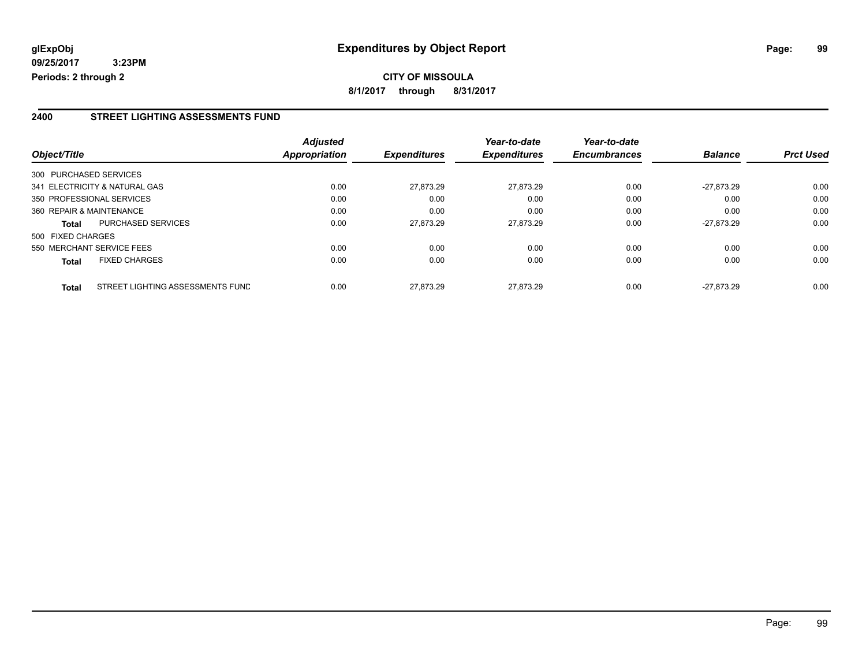#### **2400 STREET LIGHTING ASSESSMENTS FUND**

| Object/Title           |                                  | <b>Adjusted</b><br>Appropriation | <b>Expenditures</b> | Year-to-date<br><b>Expenditures</b> | Year-to-date<br><b>Encumbrances</b> | <b>Balance</b> | <b>Prct Used</b> |
|------------------------|----------------------------------|----------------------------------|---------------------|-------------------------------------|-------------------------------------|----------------|------------------|
| 300 PURCHASED SERVICES |                                  |                                  |                     |                                     |                                     |                |                  |
|                        | 341 ELECTRICITY & NATURAL GAS    | 0.00                             | 27.873.29           | 27,873.29                           | 0.00                                | $-27.873.29$   | 0.00             |
|                        | 350 PROFESSIONAL SERVICES        | 0.00                             | 0.00                | 0.00                                | 0.00                                | 0.00           | 0.00             |
|                        | 360 REPAIR & MAINTENANCE         | 0.00                             | 0.00                | 0.00                                | 0.00                                | 0.00           | 0.00             |
| <b>Total</b>           | <b>PURCHASED SERVICES</b>        | 0.00                             | 27,873.29           | 27,873.29                           | 0.00                                | $-27.873.29$   | 0.00             |
| 500 FIXED CHARGES      |                                  |                                  |                     |                                     |                                     |                |                  |
|                        | 550 MERCHANT SERVICE FEES        | 0.00                             | 0.00                | 0.00                                | 0.00                                | 0.00           | 0.00             |
| Total                  | <b>FIXED CHARGES</b>             | 0.00                             | 0.00                | 0.00                                | 0.00                                | 0.00           | 0.00             |
| <b>Total</b>           | STREET LIGHTING ASSESSMENTS FUND | 0.00                             | 27.873.29           | 27.873.29                           | 0.00                                | $-27.873.29$   | 0.00             |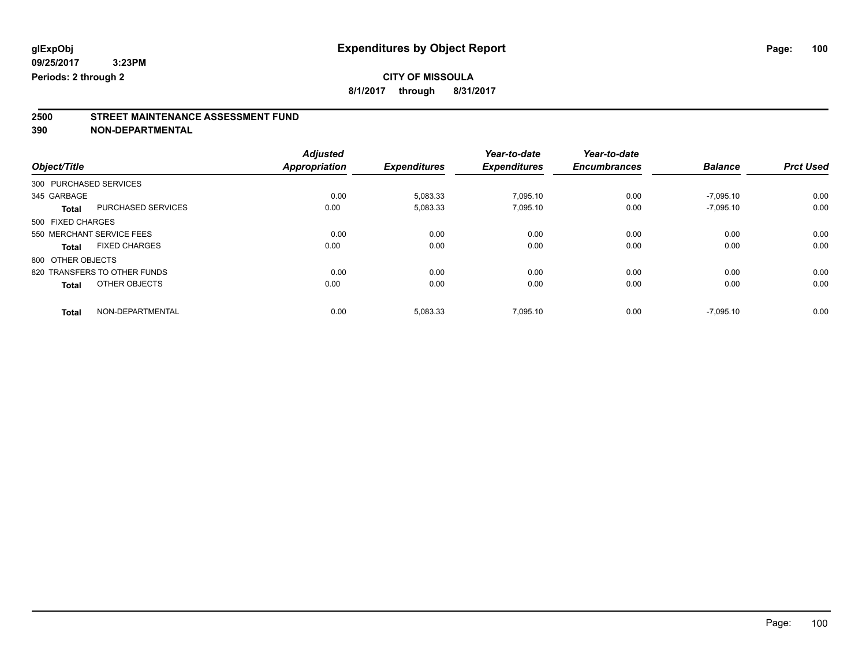## **CITY OF MISSOULA**

**8/1/2017 through 8/31/2017**

# **2500 STREET MAINTENANCE ASSESSMENT FUND**

**390 NON-DEPARTMENTAL**

|                              |                      | <b>Adjusted</b>      |                     | Year-to-date        | Year-to-date        |                |                  |
|------------------------------|----------------------|----------------------|---------------------|---------------------|---------------------|----------------|------------------|
| Object/Title                 |                      | <b>Appropriation</b> | <b>Expenditures</b> | <b>Expenditures</b> | <b>Encumbrances</b> | <b>Balance</b> | <b>Prct Used</b> |
| 300 PURCHASED SERVICES       |                      |                      |                     |                     |                     |                |                  |
| 345 GARBAGE                  |                      | 0.00                 | 5,083.33            | 7.095.10            | 0.00                | $-7.095.10$    | 0.00             |
| <b>Total</b>                 | PURCHASED SERVICES   | 0.00                 | 5,083.33            | 7,095.10            | 0.00                | $-7,095.10$    | 0.00             |
| 500 FIXED CHARGES            |                      |                      |                     |                     |                     |                |                  |
| 550 MERCHANT SERVICE FEES    |                      | 0.00                 | 0.00                | 0.00                | 0.00                | 0.00           | 0.00             |
| <b>Total</b>                 | <b>FIXED CHARGES</b> | 0.00                 | 0.00                | 0.00                | 0.00                | 0.00           | 0.00             |
| 800 OTHER OBJECTS            |                      |                      |                     |                     |                     |                |                  |
| 820 TRANSFERS TO OTHER FUNDS |                      | 0.00                 | 0.00                | 0.00                | 0.00                | 0.00           | 0.00             |
| <b>Total</b>                 | OTHER OBJECTS        | 0.00                 | 0.00                | 0.00                | 0.00                | 0.00           | 0.00             |
| <b>Total</b>                 | NON-DEPARTMENTAL     | 0.00                 | 5,083.33            | 7.095.10            | 0.00                | $-7.095.10$    | 0.00             |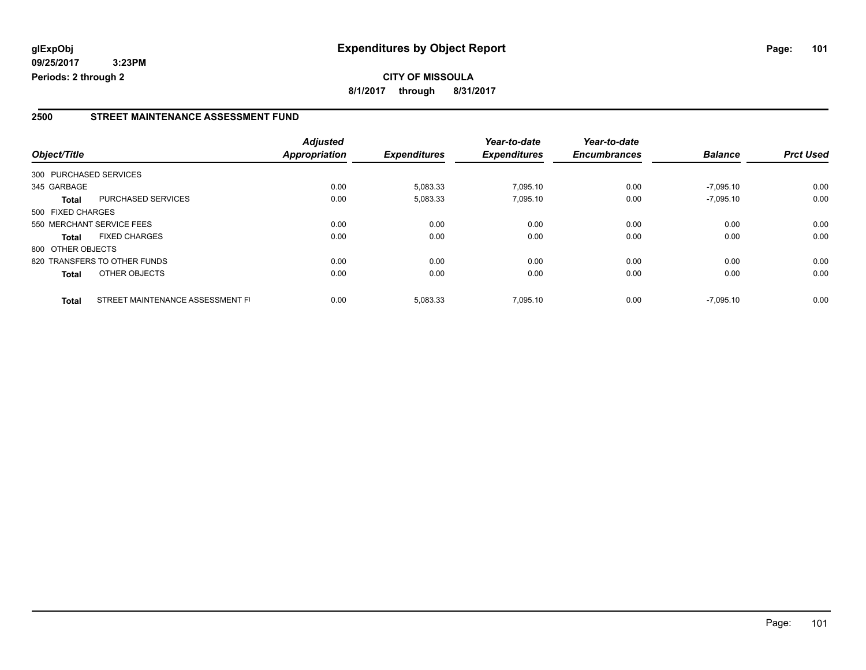#### **2500 STREET MAINTENANCE ASSESSMENT FUND**

|                        |                                  | <b>Adjusted</b> |                     | Year-to-date        | Year-to-date        |                |                  |
|------------------------|----------------------------------|-----------------|---------------------|---------------------|---------------------|----------------|------------------|
| Object/Title           |                                  | Appropriation   | <b>Expenditures</b> | <b>Expenditures</b> | <b>Encumbrances</b> | <b>Balance</b> | <b>Prct Used</b> |
| 300 PURCHASED SERVICES |                                  |                 |                     |                     |                     |                |                  |
| 345 GARBAGE            |                                  | 0.00            | 5,083.33            | 7.095.10            | 0.00                | $-7.095.10$    | 0.00             |
| Total                  | PURCHASED SERVICES               | 0.00            | 5,083.33            | 7,095.10            | 0.00                | $-7,095.10$    | 0.00             |
| 500 FIXED CHARGES      |                                  |                 |                     |                     |                     |                |                  |
|                        | 550 MERCHANT SERVICE FEES        | 0.00            | 0.00                | 0.00                | 0.00                | 0.00           | 0.00             |
| Total                  | <b>FIXED CHARGES</b>             | 0.00            | 0.00                | 0.00                | 0.00                | 0.00           | 0.00             |
| 800 OTHER OBJECTS      |                                  |                 |                     |                     |                     |                |                  |
|                        | 820 TRANSFERS TO OTHER FUNDS     | 0.00            | 0.00                | 0.00                | 0.00                | 0.00           | 0.00             |
| <b>Total</b>           | OTHER OBJECTS                    | 0.00            | 0.00                | 0.00                | 0.00                | 0.00           | 0.00             |
| <b>Total</b>           | STREET MAINTENANCE ASSESSMENT FI | 0.00            | 5,083.33            | 7.095.10            | 0.00                | $-7.095.10$    | 0.00             |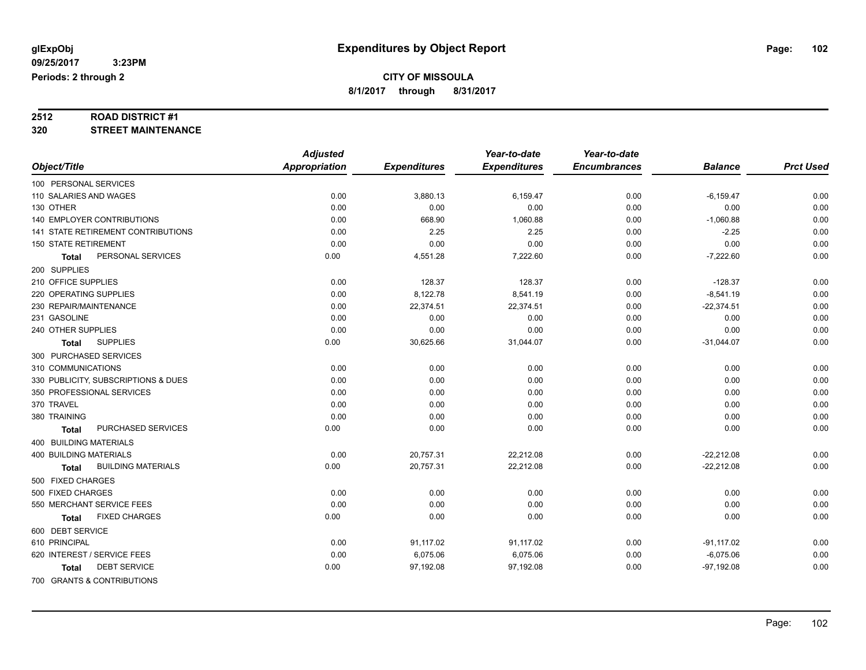# **2512 ROAD DISTRICT #1**

**320 STREET MAINTENANCE**

|                                           | <b>Adjusted</b>      |                     | Year-to-date        | Year-to-date        |                |                  |
|-------------------------------------------|----------------------|---------------------|---------------------|---------------------|----------------|------------------|
| Object/Title                              | <b>Appropriation</b> | <b>Expenditures</b> | <b>Expenditures</b> | <b>Encumbrances</b> | <b>Balance</b> | <b>Prct Used</b> |
| 100 PERSONAL SERVICES                     |                      |                     |                     |                     |                |                  |
| 110 SALARIES AND WAGES                    | 0.00                 | 3,880.13            | 6,159.47            | 0.00                | $-6,159.47$    | 0.00             |
| 130 OTHER                                 | 0.00                 | 0.00                | 0.00                | 0.00                | 0.00           | 0.00             |
| 140 EMPLOYER CONTRIBUTIONS                | 0.00                 | 668.90              | 1,060.88            | 0.00                | $-1,060.88$    | 0.00             |
| <b>141 STATE RETIREMENT CONTRIBUTIONS</b> | 0.00                 | 2.25                | 2.25                | 0.00                | $-2.25$        | 0.00             |
| <b>150 STATE RETIREMENT</b>               | 0.00                 | 0.00                | 0.00                | 0.00                | 0.00           | 0.00             |
| PERSONAL SERVICES<br><b>Total</b>         | 0.00                 | 4,551.28            | 7,222.60            | 0.00                | $-7,222.60$    | 0.00             |
| 200 SUPPLIES                              |                      |                     |                     |                     |                |                  |
| 210 OFFICE SUPPLIES                       | 0.00                 | 128.37              | 128.37              | 0.00                | $-128.37$      | 0.00             |
| 220 OPERATING SUPPLIES                    | 0.00                 | 8,122.78            | 8,541.19            | 0.00                | $-8,541.19$    | 0.00             |
| 230 REPAIR/MAINTENANCE                    | 0.00                 | 22,374.51           | 22,374.51           | 0.00                | $-22,374.51$   | 0.00             |
| 231 GASOLINE                              | 0.00                 | 0.00                | 0.00                | 0.00                | 0.00           | 0.00             |
| 240 OTHER SUPPLIES                        | 0.00                 | 0.00                | 0.00                | 0.00                | 0.00           | 0.00             |
| <b>SUPPLIES</b><br><b>Total</b>           | 0.00                 | 30,625.66           | 31,044.07           | 0.00                | $-31,044.07$   | 0.00             |
| 300 PURCHASED SERVICES                    |                      |                     |                     |                     |                |                  |
| 310 COMMUNICATIONS                        | 0.00                 | 0.00                | 0.00                | 0.00                | 0.00           | 0.00             |
| 330 PUBLICITY, SUBSCRIPTIONS & DUES       | 0.00                 | 0.00                | 0.00                | 0.00                | 0.00           | 0.00             |
| 350 PROFESSIONAL SERVICES                 | 0.00                 | 0.00                | 0.00                | 0.00                | 0.00           | 0.00             |
| 370 TRAVEL                                | 0.00                 | 0.00                | 0.00                | 0.00                | 0.00           | 0.00             |
| 380 TRAINING                              | 0.00                 | 0.00                | 0.00                | 0.00                | 0.00           | 0.00             |
| PURCHASED SERVICES<br>Total               | 0.00                 | 0.00                | 0.00                | 0.00                | 0.00           | 0.00             |
| 400 BUILDING MATERIALS                    |                      |                     |                     |                     |                |                  |
| <b>400 BUILDING MATERIALS</b>             | 0.00                 | 20,757.31           | 22,212.08           | 0.00                | $-22,212.08$   | 0.00             |
| <b>BUILDING MATERIALS</b><br><b>Total</b> | 0.00                 | 20,757.31           | 22,212.08           | 0.00                | $-22,212.08$   | 0.00             |
| 500 FIXED CHARGES                         |                      |                     |                     |                     |                |                  |
| 500 FIXED CHARGES                         | 0.00                 | 0.00                | 0.00                | 0.00                | 0.00           | 0.00             |
| 550 MERCHANT SERVICE FEES                 | 0.00                 | 0.00                | 0.00                | 0.00                | 0.00           | 0.00             |
| <b>FIXED CHARGES</b><br>Total             | 0.00                 | 0.00                | 0.00                | 0.00                | 0.00           | 0.00             |
| 600 DEBT SERVICE                          |                      |                     |                     |                     |                |                  |
| 610 PRINCIPAL                             | 0.00                 | 91,117.02           | 91,117.02           | 0.00                | $-91,117.02$   | 0.00             |
| 620 INTEREST / SERVICE FEES               | 0.00                 | 6,075.06            | 6,075.06            | 0.00                | $-6,075.06$    | 0.00             |
| <b>DEBT SERVICE</b><br>Total              | 0.00                 | 97,192.08           | 97,192.08           | 0.00                | $-97,192.08$   | 0.00             |
| 700 GRANTS & CONTRIBUTIONS                |                      |                     |                     |                     |                |                  |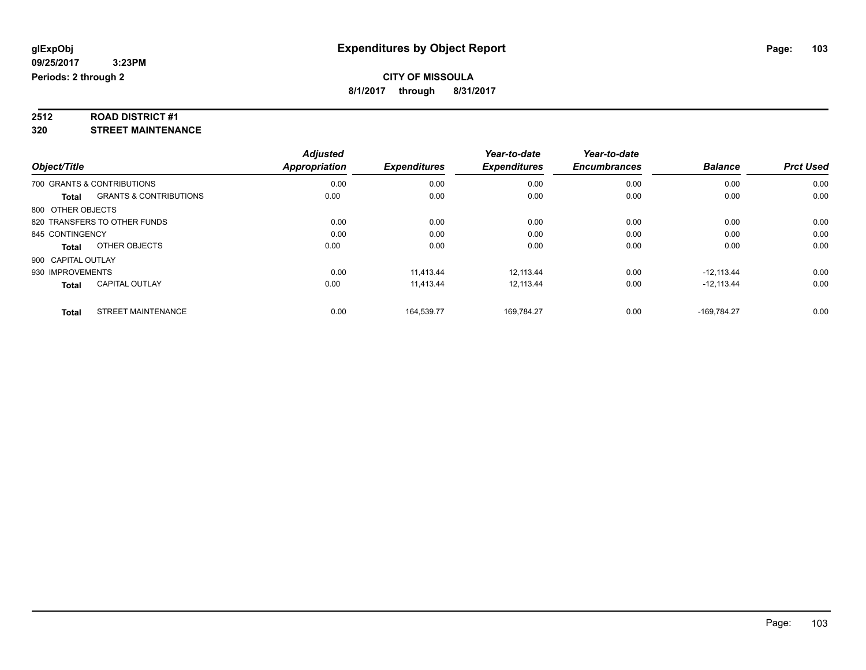# **2512 ROAD DISTRICT #1**

**320 STREET MAINTENANCE**

|                              |                                   | <b>Adjusted</b> |                     | Year-to-date        | Year-to-date        |                |                  |
|------------------------------|-----------------------------------|-----------------|---------------------|---------------------|---------------------|----------------|------------------|
| Object/Title                 |                                   | Appropriation   | <b>Expenditures</b> | <b>Expenditures</b> | <b>Encumbrances</b> | <b>Balance</b> | <b>Prct Used</b> |
| 700 GRANTS & CONTRIBUTIONS   |                                   | 0.00            | 0.00                | 0.00                | 0.00                | 0.00           | 0.00             |
| Total                        | <b>GRANTS &amp; CONTRIBUTIONS</b> | 0.00            | 0.00                | 0.00                | 0.00                | 0.00           | 0.00             |
| 800 OTHER OBJECTS            |                                   |                 |                     |                     |                     |                |                  |
| 820 TRANSFERS TO OTHER FUNDS |                                   | 0.00            | 0.00                | 0.00                | 0.00                | 0.00           | 0.00             |
| 845 CONTINGENCY              |                                   | 0.00            | 0.00                | 0.00                | 0.00                | 0.00           | 0.00             |
| Total                        | OTHER OBJECTS                     | 0.00            | 0.00                | 0.00                | 0.00                | 0.00           | 0.00             |
| 900 CAPITAL OUTLAY           |                                   |                 |                     |                     |                     |                |                  |
| 930 IMPROVEMENTS             |                                   | 0.00            | 11.413.44           | 12.113.44           | 0.00                | $-12.113.44$   | 0.00             |
| <b>Total</b>                 | <b>CAPITAL OUTLAY</b>             | 0.00            | 11,413.44           | 12,113.44           | 0.00                | $-12,113.44$   | 0.00             |
| <b>Total</b>                 | <b>STREET MAINTENANCE</b>         | 0.00            | 164.539.77          | 169.784.27          | 0.00                | $-169.784.27$  | 0.00             |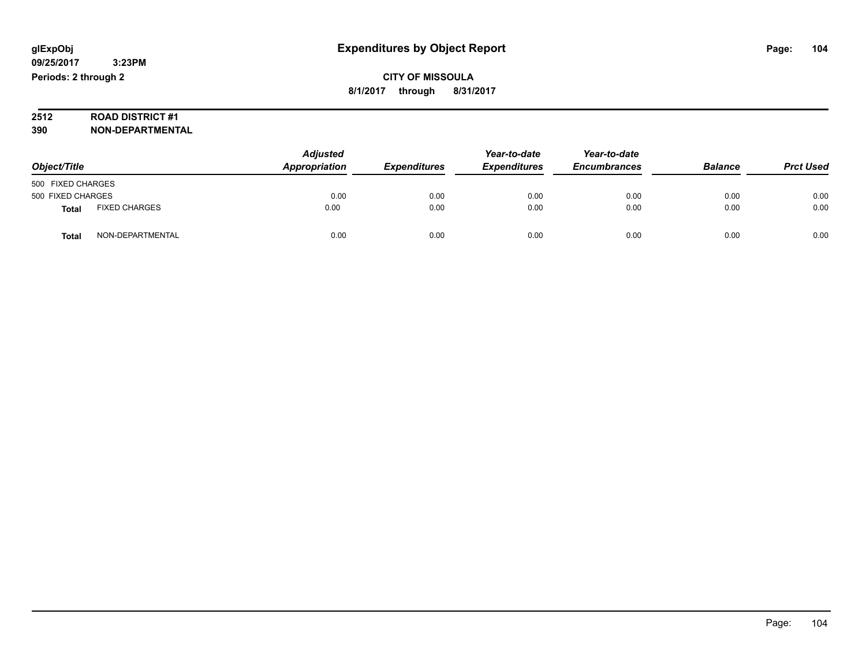# **2512 ROAD DISTRICT #1**

**390 NON-DEPARTMENTAL**

| Object/Title      |                      | <b>Adjusted</b><br>Appropriation | <b>Expenditures</b> | Year-to-date<br><b>Expenditures</b> | Year-to-date<br><b>Encumbrances</b> | <b>Balance</b> | <b>Prct Used</b> |
|-------------------|----------------------|----------------------------------|---------------------|-------------------------------------|-------------------------------------|----------------|------------------|
| 500 FIXED CHARGES |                      |                                  |                     |                                     |                                     |                |                  |
| 500 FIXED CHARGES |                      | 0.00                             | 0.00                | 0.00                                | 0.00                                | 0.00           | 0.00             |
| <b>Total</b>      | <b>FIXED CHARGES</b> | 0.00                             | 0.00                | 0.00                                | 0.00                                | 0.00           | 0.00             |
| Total             | NON-DEPARTMENTAL     | 0.00                             | 0.00                | 0.00                                | 0.00                                | 0.00           | 0.00             |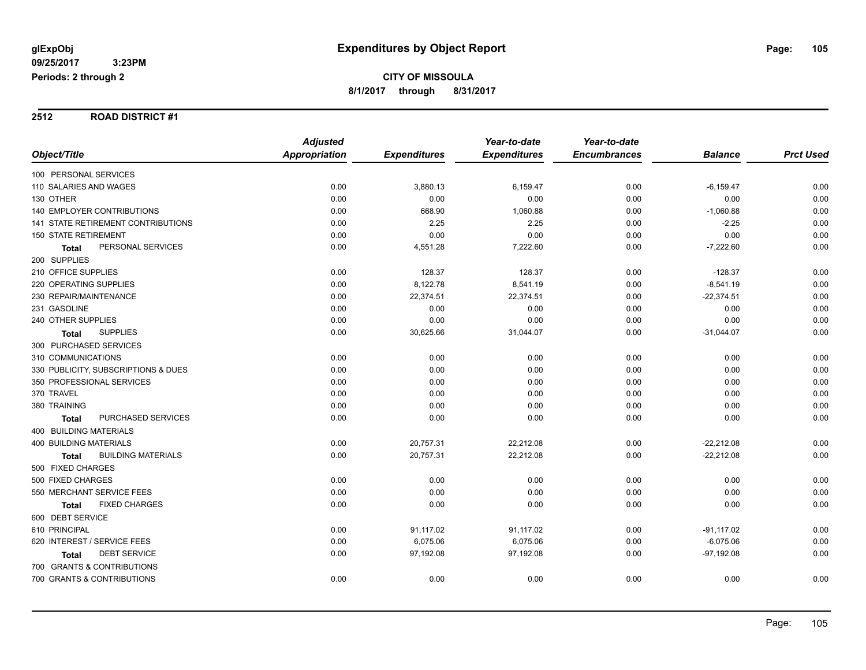#### **2512 ROAD DISTRICT #1**

|                                           | <b>Adjusted</b>      |                     | Year-to-date        | Year-to-date        |                |                  |
|-------------------------------------------|----------------------|---------------------|---------------------|---------------------|----------------|------------------|
| Object/Title                              | <b>Appropriation</b> | <b>Expenditures</b> | <b>Expenditures</b> | <b>Encumbrances</b> | <b>Balance</b> | <b>Prct Used</b> |
| 100 PERSONAL SERVICES                     |                      |                     |                     |                     |                |                  |
| 110 SALARIES AND WAGES                    | 0.00                 | 3,880.13            | 6,159.47            | 0.00                | $-6,159.47$    | 0.00             |
| 130 OTHER                                 | 0.00                 | 0.00                | 0.00                | 0.00                | 0.00           | 0.00             |
| <b>140 EMPLOYER CONTRIBUTIONS</b>         | 0.00                 | 668.90              | 1,060.88            | 0.00                | $-1,060.88$    | 0.00             |
| 141 STATE RETIREMENT CONTRIBUTIONS        | 0.00                 | 2.25                | 2.25                | 0.00                | $-2.25$        | 0.00             |
| <b>150 STATE RETIREMENT</b>               | 0.00                 | 0.00                | 0.00                | 0.00                | 0.00           | 0.00             |
| PERSONAL SERVICES<br><b>Total</b>         | 0.00                 | 4,551.28            | 7,222.60            | 0.00                | $-7,222.60$    | 0.00             |
| 200 SUPPLIES                              |                      |                     |                     |                     |                |                  |
| 210 OFFICE SUPPLIES                       | 0.00                 | 128.37              | 128.37              | 0.00                | $-128.37$      | 0.00             |
| 220 OPERATING SUPPLIES                    | 0.00                 | 8,122.78            | 8,541.19            | 0.00                | $-8,541.19$    | 0.00             |
| 230 REPAIR/MAINTENANCE                    | 0.00                 | 22,374.51           | 22,374.51           | 0.00                | $-22,374.51$   | 0.00             |
| 231 GASOLINE                              | 0.00                 | 0.00                | 0.00                | 0.00                | 0.00           | 0.00             |
| 240 OTHER SUPPLIES                        | 0.00                 | 0.00                | 0.00                | 0.00                | 0.00           | 0.00             |
| <b>SUPPLIES</b><br><b>Total</b>           | 0.00                 | 30,625.66           | 31,044.07           | 0.00                | $-31,044.07$   | 0.00             |
| 300 PURCHASED SERVICES                    |                      |                     |                     |                     |                |                  |
| 310 COMMUNICATIONS                        | 0.00                 | 0.00                | 0.00                | 0.00                | 0.00           | 0.00             |
| 330 PUBLICITY, SUBSCRIPTIONS & DUES       | 0.00                 | 0.00                | 0.00                | 0.00                | 0.00           | 0.00             |
| 350 PROFESSIONAL SERVICES                 | 0.00                 | 0.00                | 0.00                | 0.00                | 0.00           | 0.00             |
| 370 TRAVEL                                | 0.00                 | 0.00                | 0.00                | 0.00                | 0.00           | 0.00             |
| 380 TRAINING                              | 0.00                 | 0.00                | 0.00                | 0.00                | 0.00           | 0.00             |
| PURCHASED SERVICES<br><b>Total</b>        | 0.00                 | 0.00                | 0.00                | 0.00                | 0.00           | 0.00             |
| 400 BUILDING MATERIALS                    |                      |                     |                     |                     |                |                  |
| <b>400 BUILDING MATERIALS</b>             | 0.00                 | 20,757.31           | 22,212.08           | 0.00                | $-22,212.08$   | 0.00             |
| <b>BUILDING MATERIALS</b><br><b>Total</b> | 0.00                 | 20,757.31           | 22,212.08           | 0.00                | $-22,212.08$   | 0.00             |
| 500 FIXED CHARGES                         |                      |                     |                     |                     |                |                  |
| 500 FIXED CHARGES                         | 0.00                 | 0.00                | 0.00                | 0.00                | 0.00           | 0.00             |
| 550 MERCHANT SERVICE FEES                 | 0.00                 | 0.00                | 0.00                | 0.00                | 0.00           | 0.00             |
| <b>FIXED CHARGES</b><br><b>Total</b>      | 0.00                 | 0.00                | 0.00                | 0.00                | 0.00           | 0.00             |
| 600 DEBT SERVICE                          |                      |                     |                     |                     |                |                  |
| 610 PRINCIPAL                             | 0.00                 | 91,117.02           | 91,117.02           | 0.00                | $-91,117.02$   | 0.00             |
| 620 INTEREST / SERVICE FEES               | 0.00                 | 6,075.06            | 6,075.06            | 0.00                | $-6,075.06$    | 0.00             |
| <b>DEBT SERVICE</b><br>Total              | 0.00                 | 97,192.08           | 97,192.08           | 0.00                | $-97,192.08$   | 0.00             |
| 700 GRANTS & CONTRIBUTIONS                |                      |                     |                     |                     |                |                  |
| 700 GRANTS & CONTRIBUTIONS                | 0.00                 | 0.00                | 0.00                | 0.00                | 0.00           | 0.00             |
|                                           |                      |                     |                     |                     |                |                  |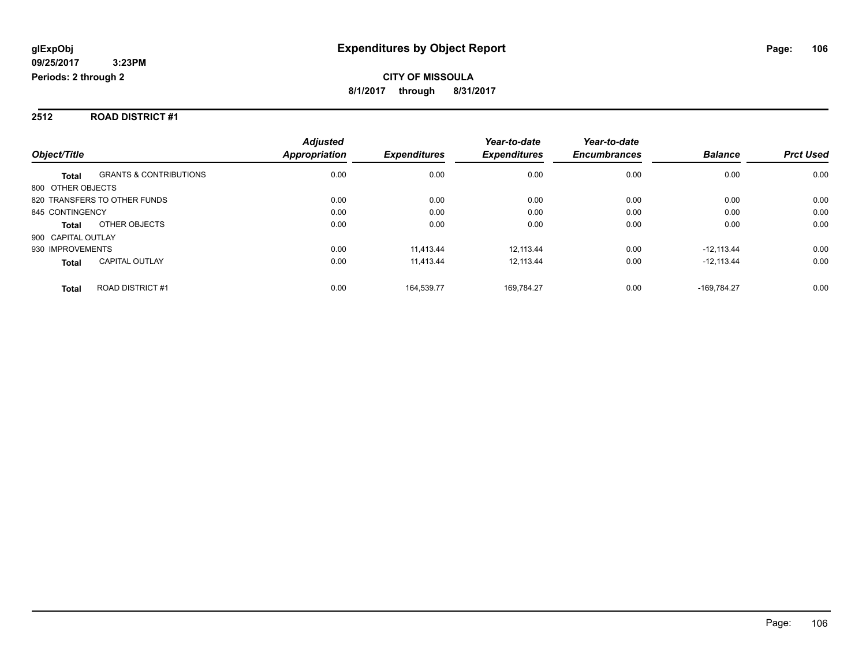#### **2512 ROAD DISTRICT #1**

|                                                   | <b>Adjusted</b>      |                     | Year-to-date        | Year-to-date        |                |                  |
|---------------------------------------------------|----------------------|---------------------|---------------------|---------------------|----------------|------------------|
| Object/Title                                      | <b>Appropriation</b> | <b>Expenditures</b> | <b>Expenditures</b> | <b>Encumbrances</b> | <b>Balance</b> | <b>Prct Used</b> |
| <b>GRANTS &amp; CONTRIBUTIONS</b><br><b>Total</b> | 0.00                 | 0.00                | 0.00                | 0.00                | 0.00           | 0.00             |
| 800 OTHER OBJECTS                                 |                      |                     |                     |                     |                |                  |
| 820 TRANSFERS TO OTHER FUNDS                      | 0.00                 | 0.00                | 0.00                | 0.00                | 0.00           | 0.00             |
| 845 CONTINGENCY                                   | 0.00                 | 0.00                | 0.00                | 0.00                | 0.00           | 0.00             |
| OTHER OBJECTS<br><b>Total</b>                     | 0.00                 | 0.00                | 0.00                | 0.00                | 0.00           | 0.00             |
| 900 CAPITAL OUTLAY                                |                      |                     |                     |                     |                |                  |
| 930 IMPROVEMENTS                                  | 0.00                 | 11.413.44           | 12.113.44           | 0.00                | $-12.113.44$   | 0.00             |
| <b>CAPITAL OUTLAY</b><br><b>Total</b>             | 0.00                 | 11,413.44           | 12.113.44           | 0.00                | $-12.113.44$   | 0.00             |
| ROAD DISTRICT #1<br><b>Total</b>                  | 0.00                 | 164.539.77          | 169.784.27          | 0.00                | -169.784.27    | 0.00             |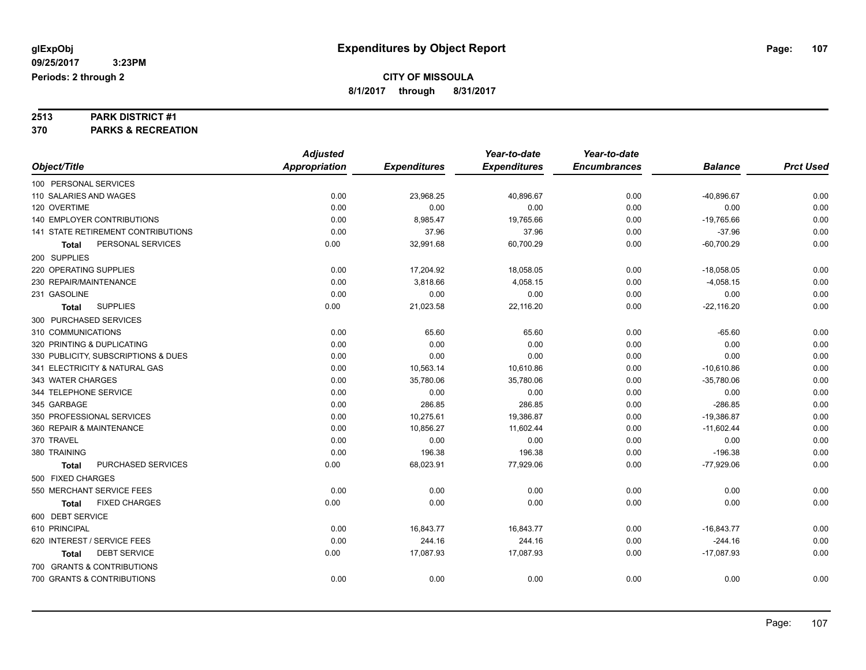# **2513 PARK DISTRICT #1**

**370 PARKS & RECREATION**

|                                     | <b>Adjusted</b>      |                     | Year-to-date        | Year-to-date        |                |                  |
|-------------------------------------|----------------------|---------------------|---------------------|---------------------|----------------|------------------|
| Object/Title                        | <b>Appropriation</b> | <b>Expenditures</b> | <b>Expenditures</b> | <b>Encumbrances</b> | <b>Balance</b> | <b>Prct Used</b> |
| 100 PERSONAL SERVICES               |                      |                     |                     |                     |                |                  |
| 110 SALARIES AND WAGES              | 0.00                 | 23,968.25           | 40,896.67           | 0.00                | $-40,896.67$   | 0.00             |
| 120 OVERTIME                        | 0.00                 | 0.00                | 0.00                | 0.00                | 0.00           | 0.00             |
| 140 EMPLOYER CONTRIBUTIONS          | 0.00                 | 8,985.47            | 19,765.66           | 0.00                | $-19,765.66$   | 0.00             |
| 141 STATE RETIREMENT CONTRIBUTIONS  | 0.00                 | 37.96               | 37.96               | 0.00                | $-37.96$       | 0.00             |
| PERSONAL SERVICES<br>Total          | 0.00                 | 32,991.68           | 60,700.29           | 0.00                | $-60,700.29$   | 0.00             |
| 200 SUPPLIES                        |                      |                     |                     |                     |                |                  |
| 220 OPERATING SUPPLIES              | 0.00                 | 17,204.92           | 18,058.05           | 0.00                | $-18,058.05$   | 0.00             |
| 230 REPAIR/MAINTENANCE              | 0.00                 | 3,818.66            | 4,058.15            | 0.00                | $-4,058.15$    | 0.00             |
| 231 GASOLINE                        | 0.00                 | 0.00                | 0.00                | 0.00                | 0.00           | 0.00             |
| <b>SUPPLIES</b><br>Total            | 0.00                 | 21,023.58           | 22,116.20           | 0.00                | $-22,116.20$   | 0.00             |
| 300 PURCHASED SERVICES              |                      |                     |                     |                     |                |                  |
| 310 COMMUNICATIONS                  | 0.00                 | 65.60               | 65.60               | 0.00                | $-65.60$       | 0.00             |
| 320 PRINTING & DUPLICATING          | 0.00                 | 0.00                | 0.00                | 0.00                | 0.00           | 0.00             |
| 330 PUBLICITY, SUBSCRIPTIONS & DUES | 0.00                 | 0.00                | 0.00                | 0.00                | 0.00           | 0.00             |
| 341 ELECTRICITY & NATURAL GAS       | 0.00                 | 10,563.14           | 10,610.86           | 0.00                | $-10,610.86$   | 0.00             |
| 343 WATER CHARGES                   | 0.00                 | 35,780.06           | 35,780.06           | 0.00                | $-35,780.06$   | 0.00             |
| 344 TELEPHONE SERVICE               | 0.00                 | 0.00                | 0.00                | 0.00                | 0.00           | 0.00             |
| 345 GARBAGE                         | 0.00                 | 286.85              | 286.85              | 0.00                | $-286.85$      | 0.00             |
| 350 PROFESSIONAL SERVICES           | 0.00                 | 10,275.61           | 19,386.87           | 0.00                | $-19,386.87$   | 0.00             |
| 360 REPAIR & MAINTENANCE            | 0.00                 | 10,856.27           | 11,602.44           | 0.00                | $-11,602.44$   | 0.00             |
| 370 TRAVEL                          | 0.00                 | 0.00                | 0.00                | 0.00                | 0.00           | 0.00             |
| 380 TRAINING                        | 0.00                 | 196.38              | 196.38              | 0.00                | $-196.38$      | 0.00             |
| PURCHASED SERVICES<br><b>Total</b>  | 0.00                 | 68,023.91           | 77,929.06           | 0.00                | $-77,929.06$   | 0.00             |
| 500 FIXED CHARGES                   |                      |                     |                     |                     |                |                  |
| 550 MERCHANT SERVICE FEES           | 0.00                 | 0.00                | 0.00                | 0.00                | 0.00           | 0.00             |
| <b>FIXED CHARGES</b><br>Total       | 0.00                 | 0.00                | 0.00                | 0.00                | 0.00           | 0.00             |
| 600 DEBT SERVICE                    |                      |                     |                     |                     |                |                  |
| 610 PRINCIPAL                       | 0.00                 | 16,843.77           | 16,843.77           | 0.00                | $-16,843.77$   | 0.00             |
| 620 INTEREST / SERVICE FEES         | 0.00                 | 244.16              | 244.16              | 0.00                | $-244.16$      | 0.00             |
| <b>DEBT SERVICE</b><br><b>Total</b> | 0.00                 | 17,087.93           | 17,087.93           | 0.00                | $-17,087.93$   | 0.00             |
| 700 GRANTS & CONTRIBUTIONS          |                      |                     |                     |                     |                |                  |
| 700 GRANTS & CONTRIBUTIONS          | 0.00                 | 0.00                | 0.00                | 0.00                | 0.00           | 0.00             |
|                                     |                      |                     |                     |                     |                |                  |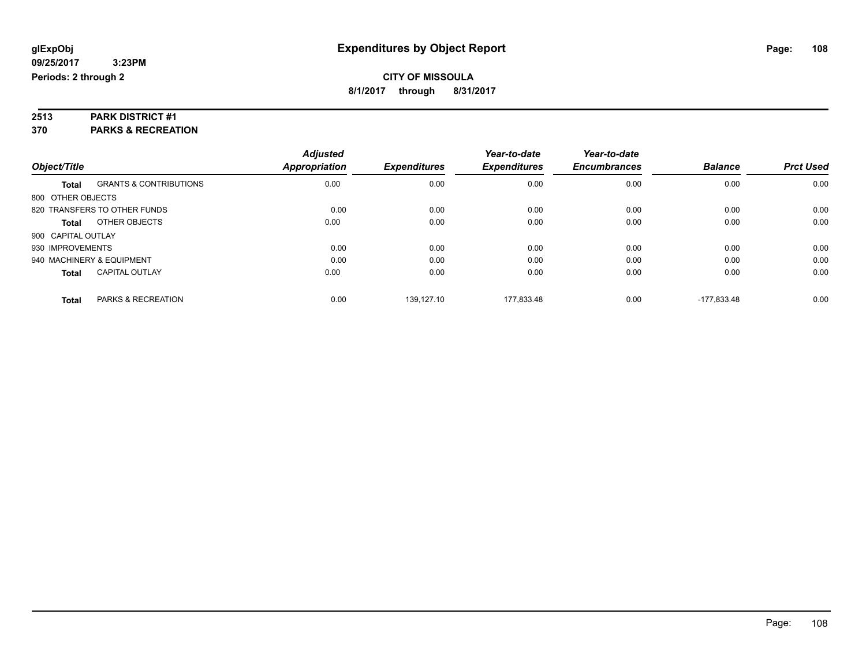# **2513 PARK DISTRICT #1**

**370 PARKS & RECREATION**

| Object/Title              |                                   | <b>Adjusted</b><br><b>Appropriation</b> | <b>Expenditures</b> | Year-to-date<br><b>Expenditures</b> | Year-to-date<br><b>Encumbrances</b> | <b>Balance</b> | <b>Prct Used</b> |
|---------------------------|-----------------------------------|-----------------------------------------|---------------------|-------------------------------------|-------------------------------------|----------------|------------------|
|                           |                                   |                                         |                     |                                     |                                     |                |                  |
| Total                     | <b>GRANTS &amp; CONTRIBUTIONS</b> | 0.00                                    | 0.00                | 0.00                                | 0.00                                | 0.00           | 0.00             |
| 800 OTHER OBJECTS         |                                   |                                         |                     |                                     |                                     |                |                  |
|                           | 820 TRANSFERS TO OTHER FUNDS      | 0.00                                    | 0.00                | 0.00                                | 0.00                                | 0.00           | 0.00             |
| <b>Total</b>              | OTHER OBJECTS                     | 0.00                                    | 0.00                | 0.00                                | 0.00                                | 0.00           | 0.00             |
| 900 CAPITAL OUTLAY        |                                   |                                         |                     |                                     |                                     |                |                  |
| 930 IMPROVEMENTS          |                                   | 0.00                                    | 0.00                | 0.00                                | 0.00                                | 0.00           | 0.00             |
| 940 MACHINERY & EQUIPMENT |                                   | 0.00                                    | 0.00                | 0.00                                | 0.00                                | 0.00           | 0.00             |
| <b>Total</b>              | <b>CAPITAL OUTLAY</b>             | 0.00                                    | 0.00                | 0.00                                | 0.00                                | 0.00           | 0.00             |
| <b>Total</b>              | PARKS & RECREATION                | 0.00                                    | 139.127.10          | 177.833.48                          | 0.00                                | $-177.833.48$  | 0.00             |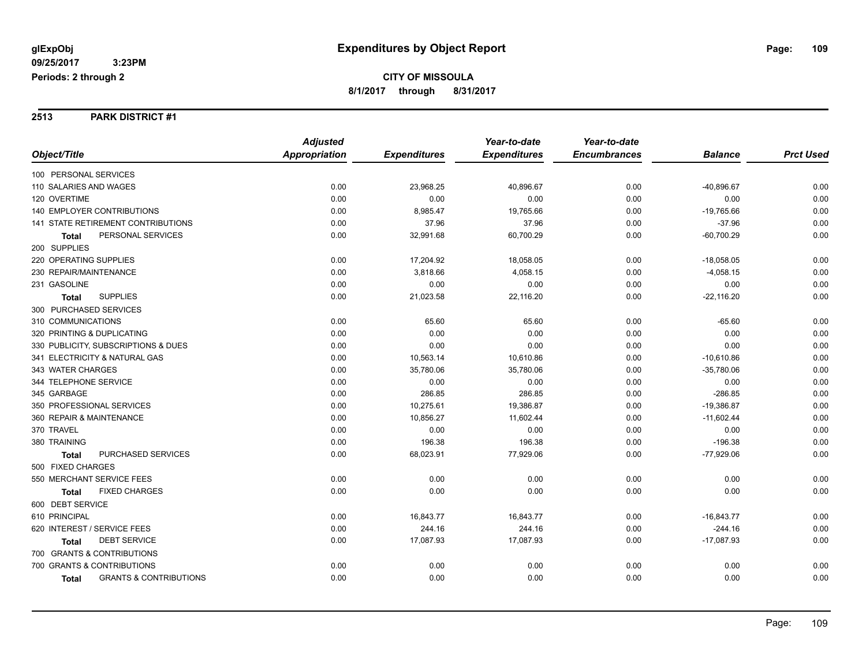#### **2513 PARK DISTRICT #1**

|                        |                                           | <b>Adjusted</b> |                     | Year-to-date        | Year-to-date        |                |                  |
|------------------------|-------------------------------------------|-----------------|---------------------|---------------------|---------------------|----------------|------------------|
| Object/Title           |                                           | Appropriation   | <b>Expenditures</b> | <b>Expenditures</b> | <b>Encumbrances</b> | <b>Balance</b> | <b>Prct Used</b> |
| 100 PERSONAL SERVICES  |                                           |                 |                     |                     |                     |                |                  |
| 110 SALARIES AND WAGES |                                           | 0.00            | 23,968.25           | 40,896.67           | 0.00                | $-40,896.67$   | 0.00             |
| 120 OVERTIME           |                                           | 0.00            | 0.00                | 0.00                | 0.00                | 0.00           | 0.00             |
|                        | <b>140 EMPLOYER CONTRIBUTIONS</b>         | 0.00            | 8,985.47            | 19,765.66           | 0.00                | $-19,765.66$   | 0.00             |
|                        | <b>141 STATE RETIREMENT CONTRIBUTIONS</b> | 0.00            | 37.96               | 37.96               | 0.00                | $-37.96$       | 0.00             |
| Total                  | PERSONAL SERVICES                         | 0.00            | 32,991.68           | 60,700.29           | 0.00                | $-60,700.29$   | 0.00             |
| 200 SUPPLIES           |                                           |                 |                     |                     |                     |                |                  |
| 220 OPERATING SUPPLIES |                                           | 0.00            | 17,204.92           | 18,058.05           | 0.00                | $-18,058.05$   | 0.00             |
| 230 REPAIR/MAINTENANCE |                                           | 0.00            | 3,818.66            | 4,058.15            | 0.00                | $-4,058.15$    | 0.00             |
| 231 GASOLINE           |                                           | 0.00            | 0.00                | 0.00                | 0.00                | 0.00           | 0.00             |
| <b>Total</b>           | <b>SUPPLIES</b>                           | 0.00            | 21,023.58           | 22,116.20           | 0.00                | $-22,116.20$   | 0.00             |
|                        | 300 PURCHASED SERVICES                    |                 |                     |                     |                     |                |                  |
| 310 COMMUNICATIONS     |                                           | 0.00            | 65.60               | 65.60               | 0.00                | $-65.60$       | 0.00             |
|                        | 320 PRINTING & DUPLICATING                | 0.00            | 0.00                | 0.00                | 0.00                | 0.00           | 0.00             |
|                        | 330 PUBLICITY, SUBSCRIPTIONS & DUES       | 0.00            | 0.00                | 0.00                | 0.00                | 0.00           | 0.00             |
|                        | 341 ELECTRICITY & NATURAL GAS             | 0.00            | 10,563.14           | 10,610.86           | 0.00                | $-10,610.86$   | 0.00             |
| 343 WATER CHARGES      |                                           | 0.00            | 35,780.06           | 35,780.06           | 0.00                | $-35,780.06$   | 0.00             |
| 344 TELEPHONE SERVICE  |                                           | 0.00            | 0.00                | 0.00                | 0.00                | 0.00           | 0.00             |
| 345 GARBAGE            |                                           | 0.00            | 286.85              | 286.85              | 0.00                | $-286.85$      | 0.00             |
|                        | 350 PROFESSIONAL SERVICES                 | 0.00            | 10,275.61           | 19,386.87           | 0.00                | $-19,386.87$   | 0.00             |
|                        | 360 REPAIR & MAINTENANCE                  | 0.00            | 10,856.27           | 11,602.44           | 0.00                | $-11,602.44$   | 0.00             |
| 370 TRAVEL             |                                           | 0.00            | 0.00                | 0.00                | 0.00                | 0.00           | 0.00             |
| 380 TRAINING           |                                           | 0.00            | 196.38              | 196.38              | 0.00                | $-196.38$      | 0.00             |
| <b>Total</b>           | PURCHASED SERVICES                        | 0.00            | 68,023.91           | 77,929.06           | 0.00                | $-77,929.06$   | 0.00             |
| 500 FIXED CHARGES      |                                           |                 |                     |                     |                     |                |                  |
|                        | 550 MERCHANT SERVICE FEES                 | 0.00            | 0.00                | 0.00                | 0.00                | 0.00           | 0.00             |
| <b>Total</b>           | <b>FIXED CHARGES</b>                      | 0.00            | 0.00                | 0.00                | 0.00                | 0.00           | 0.00             |
| 600 DEBT SERVICE       |                                           |                 |                     |                     |                     |                |                  |
| 610 PRINCIPAL          |                                           | 0.00            | 16,843.77           | 16,843.77           | 0.00                | $-16,843.77$   | 0.00             |
|                        | 620 INTEREST / SERVICE FEES               | 0.00            | 244.16              | 244.16              | 0.00                | $-244.16$      | 0.00             |
| <b>Total</b>           | <b>DEBT SERVICE</b>                       | 0.00            | 17,087.93           | 17,087.93           | 0.00                | $-17,087.93$   | 0.00             |
|                        | 700 GRANTS & CONTRIBUTIONS                |                 |                     |                     |                     |                |                  |
|                        | 700 GRANTS & CONTRIBUTIONS                | 0.00            | 0.00                | 0.00                | 0.00                | 0.00           | 0.00             |
| <b>Total</b>           | <b>GRANTS &amp; CONTRIBUTIONS</b>         | 0.00            | 0.00                | 0.00                | 0.00                | 0.00           | 0.00             |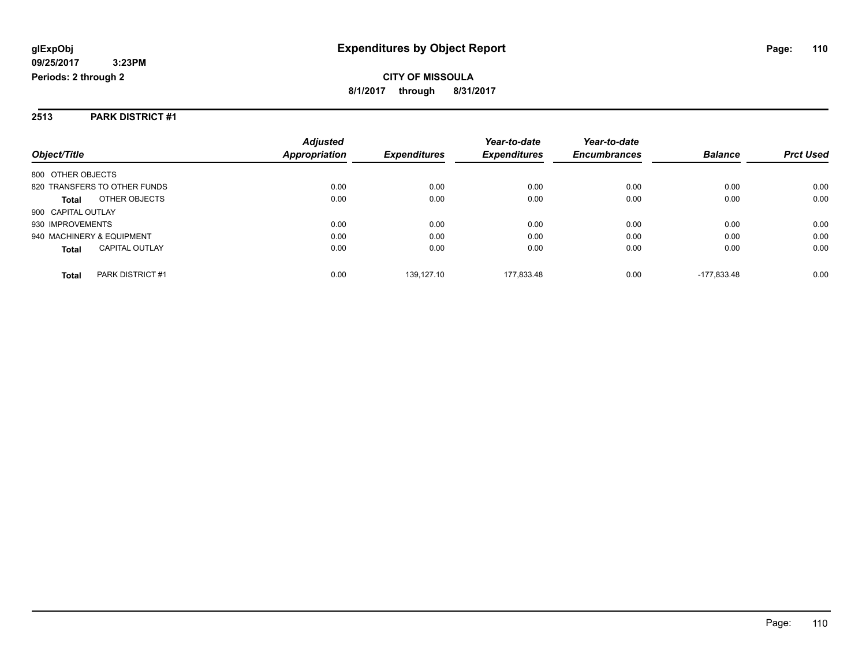#### **2513 PARK DISTRICT #1**

|                                       | <b>Adjusted</b> |                     | Year-to-date        | Year-to-date        |                |                  |
|---------------------------------------|-----------------|---------------------|---------------------|---------------------|----------------|------------------|
| Object/Title                          | Appropriation   | <b>Expenditures</b> | <b>Expenditures</b> | <b>Encumbrances</b> | <b>Balance</b> | <b>Prct Used</b> |
| 800 OTHER OBJECTS                     |                 |                     |                     |                     |                |                  |
| 820 TRANSFERS TO OTHER FUNDS          | 0.00            | 0.00                | 0.00                | 0.00                | 0.00           | 0.00             |
| OTHER OBJECTS<br><b>Total</b>         | 0.00            | 0.00                | 0.00                | 0.00                | 0.00           | 0.00             |
| 900 CAPITAL OUTLAY                    |                 |                     |                     |                     |                |                  |
| 930 IMPROVEMENTS                      | 0.00            | 0.00                | 0.00                | 0.00                | 0.00           | 0.00             |
| 940 MACHINERY & EQUIPMENT             | 0.00            | 0.00                | 0.00                | 0.00                | 0.00           | 0.00             |
| <b>CAPITAL OUTLAY</b><br><b>Total</b> | 0.00            | 0.00                | 0.00                | 0.00                | 0.00           | 0.00             |
| PARK DISTRICT #1<br><b>Total</b>      | 0.00            | 139.127.10          | 177.833.48          | 0.00                | $-177.833.48$  | 0.00             |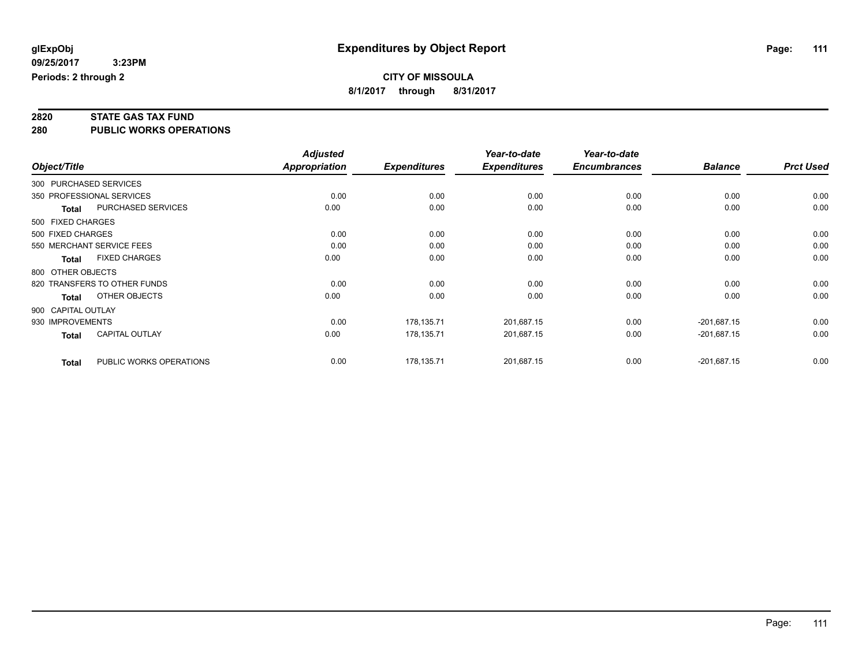**2820 STATE GAS TAX FUND**

**280 PUBLIC WORKS OPERATIONS**

|                    |                              | <b>Adjusted</b> |                     | Year-to-date        | Year-to-date        |                |                  |
|--------------------|------------------------------|-----------------|---------------------|---------------------|---------------------|----------------|------------------|
| Object/Title       |                              | Appropriation   | <b>Expenditures</b> | <b>Expenditures</b> | <b>Encumbrances</b> | <b>Balance</b> | <b>Prct Used</b> |
|                    | 300 PURCHASED SERVICES       |                 |                     |                     |                     |                |                  |
|                    | 350 PROFESSIONAL SERVICES    | 0.00            | 0.00                | 0.00                | 0.00                | 0.00           | 0.00             |
| <b>Total</b>       | PURCHASED SERVICES           | 0.00            | 0.00                | 0.00                | 0.00                | 0.00           | 0.00             |
| 500 FIXED CHARGES  |                              |                 |                     |                     |                     |                |                  |
| 500 FIXED CHARGES  |                              | 0.00            | 0.00                | 0.00                | 0.00                | 0.00           | 0.00             |
|                    | 550 MERCHANT SERVICE FEES    | 0.00            | 0.00                | 0.00                | 0.00                | 0.00           | 0.00             |
| <b>Total</b>       | <b>FIXED CHARGES</b>         | 0.00            | 0.00                | 0.00                | 0.00                | 0.00           | 0.00             |
| 800 OTHER OBJECTS  |                              |                 |                     |                     |                     |                |                  |
|                    | 820 TRANSFERS TO OTHER FUNDS | 0.00            | 0.00                | 0.00                | 0.00                | 0.00           | 0.00             |
| Total              | OTHER OBJECTS                | 0.00            | 0.00                | 0.00                | 0.00                | 0.00           | 0.00             |
| 900 CAPITAL OUTLAY |                              |                 |                     |                     |                     |                |                  |
| 930 IMPROVEMENTS   |                              | 0.00            | 178,135.71          | 201,687.15          | 0.00                | $-201,687.15$  | 0.00             |
| <b>Total</b>       | CAPITAL OUTLAY               | 0.00            | 178,135.71          | 201,687.15          | 0.00                | $-201,687.15$  | 0.00             |
| <b>Total</b>       | PUBLIC WORKS OPERATIONS      | 0.00            | 178,135.71          | 201,687.15          | 0.00                | $-201,687.15$  | 0.00             |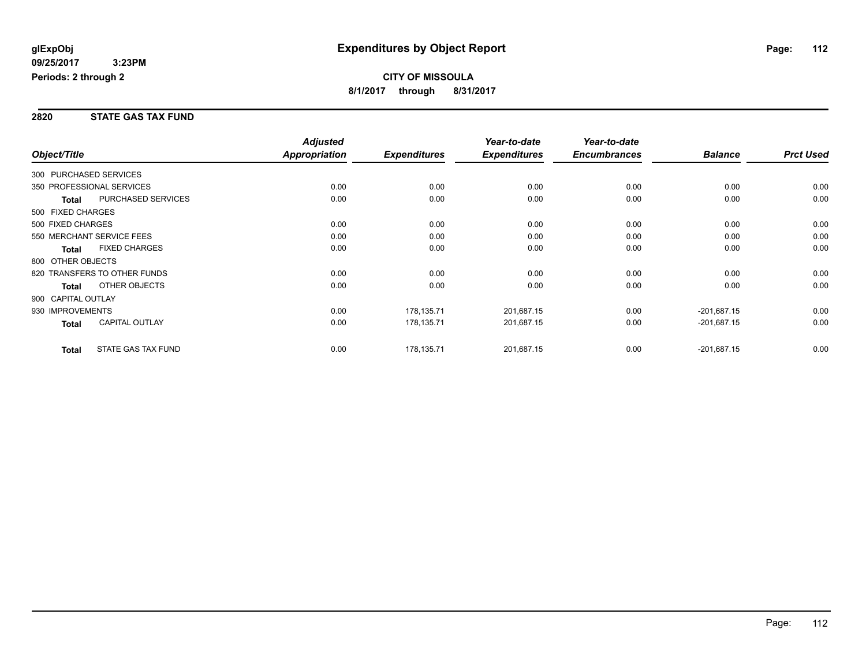#### **2820 STATE GAS TAX FUND**

|                        |                              | <b>Adjusted</b> |                     | Year-to-date        | Year-to-date        |                |                  |
|------------------------|------------------------------|-----------------|---------------------|---------------------|---------------------|----------------|------------------|
| Object/Title           |                              | Appropriation   | <b>Expenditures</b> | <b>Expenditures</b> | <b>Encumbrances</b> | <b>Balance</b> | <b>Prct Used</b> |
| 300 PURCHASED SERVICES |                              |                 |                     |                     |                     |                |                  |
|                        | 350 PROFESSIONAL SERVICES    | 0.00            | 0.00                | 0.00                | 0.00                | 0.00           | 0.00             |
| Total                  | PURCHASED SERVICES           | 0.00            | 0.00                | 0.00                | 0.00                | 0.00           | 0.00             |
| 500 FIXED CHARGES      |                              |                 |                     |                     |                     |                |                  |
| 500 FIXED CHARGES      |                              | 0.00            | 0.00                | 0.00                | 0.00                | 0.00           | 0.00             |
|                        | 550 MERCHANT SERVICE FEES    | 0.00            | 0.00                | 0.00                | 0.00                | 0.00           | 0.00             |
| <b>Total</b>           | <b>FIXED CHARGES</b>         | 0.00            | 0.00                | 0.00                | 0.00                | 0.00           | 0.00             |
| 800 OTHER OBJECTS      |                              |                 |                     |                     |                     |                |                  |
|                        | 820 TRANSFERS TO OTHER FUNDS | 0.00            | 0.00                | 0.00                | 0.00                | 0.00           | 0.00             |
| <b>Total</b>           | OTHER OBJECTS                | 0.00            | 0.00                | 0.00                | 0.00                | 0.00           | 0.00             |
| 900 CAPITAL OUTLAY     |                              |                 |                     |                     |                     |                |                  |
| 930 IMPROVEMENTS       |                              | 0.00            | 178,135.71          | 201,687.15          | 0.00                | $-201,687.15$  | 0.00             |
| <b>Total</b>           | <b>CAPITAL OUTLAY</b>        | 0.00            | 178,135.71          | 201,687.15          | 0.00                | $-201,687.15$  | 0.00             |
| <b>Total</b>           | STATE GAS TAX FUND           | 0.00            | 178,135.71          | 201,687.15          | 0.00                | $-201,687.15$  | 0.00             |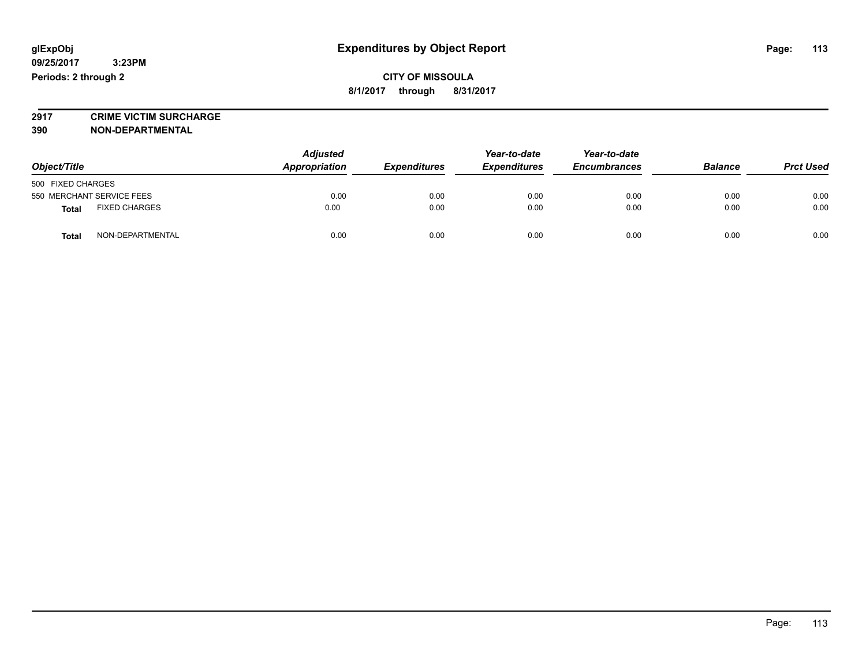**2917 CRIME VICTIM SURCHARGE**

**390 NON-DEPARTMENTAL**

| Object/Title                         | <b>Adjusted</b><br>Appropriation | <b>Expenditures</b> | Year-to-date<br><b>Expenditures</b> | Year-to-date<br><b>Encumbrances</b> | <b>Balance</b> | <b>Prct Used</b> |
|--------------------------------------|----------------------------------|---------------------|-------------------------------------|-------------------------------------|----------------|------------------|
| 500 FIXED CHARGES                    |                                  |                     |                                     |                                     |                |                  |
| 550 MERCHANT SERVICE FEES            | 0.00                             | 0.00                | 0.00                                | 0.00                                | 0.00           | 0.00             |
| <b>FIXED CHARGES</b><br><b>Total</b> | 0.00                             | 0.00                | 0.00                                | 0.00                                | 0.00           | 0.00             |
| NON-DEPARTMENTAL<br>Total            | 0.00                             | 0.00                | 0.00                                | 0.00                                | 0.00           | 0.00             |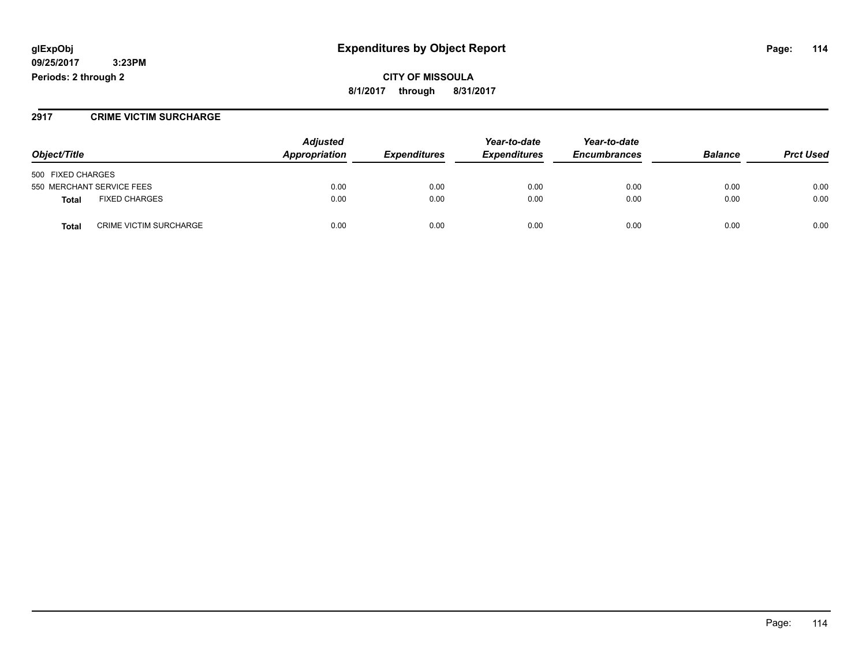## **glExpObj Expenditures by Object Report Page: 114**

**09/25/2017 3:23PM Periods: 2 through 2**

**CITY OF MISSOULA 8/1/2017 through 8/31/2017**

#### **2917 CRIME VICTIM SURCHARGE**

| Object/Title                           | <b>Adjusted</b><br>Appropriation | <b>Expenditures</b> | Year-to-date<br><b>Expenditures</b> | Year-to-date<br><b>Encumbrances</b> | <b>Balance</b> | <b>Prct Used</b> |
|----------------------------------------|----------------------------------|---------------------|-------------------------------------|-------------------------------------|----------------|------------------|
| 500 FIXED CHARGES                      |                                  |                     |                                     |                                     |                |                  |
| 550 MERCHANT SERVICE FEES              | 0.00                             | 0.00                | 0.00                                | 0.00                                | 0.00           | 0.00             |
| <b>FIXED CHARGES</b><br><b>Total</b>   | 0.00                             | 0.00                | 0.00                                | 0.00                                | 0.00           | 0.00             |
| <b>CRIME VICTIM SURCHARGE</b><br>Total | 0.00                             | 0.00                | 0.00                                | 0.00                                | 0.00           | 0.00             |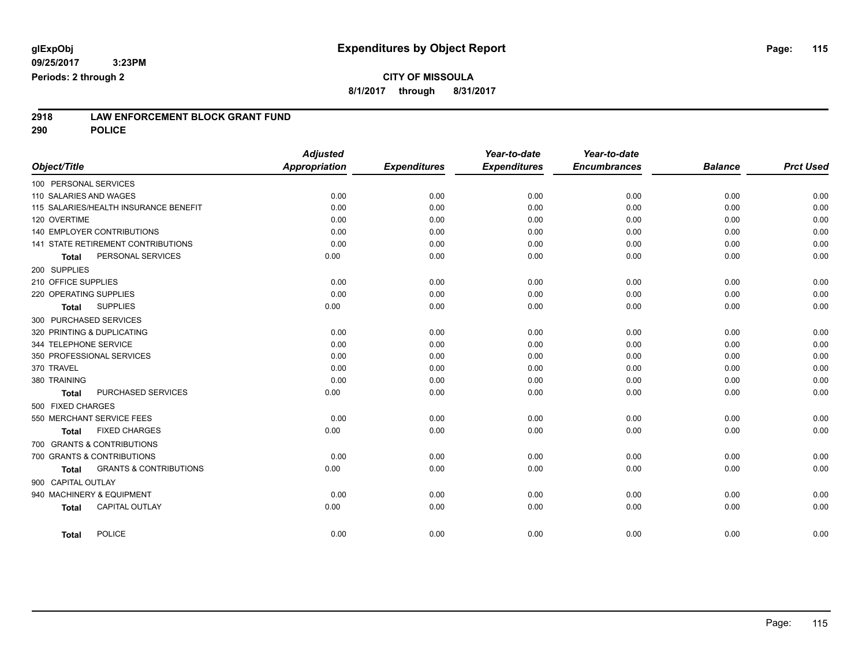# **CITY OF MISSOULA**

**8/1/2017 through 8/31/2017**

# **2918 LAW ENFORCEMENT BLOCK GRANT FUND**

**290 POLICE**

| Object/Title           |                                           | <b>Adjusted</b><br><b>Appropriation</b> | <b>Expenditures</b> | Year-to-date<br><b>Expenditures</b> | Year-to-date<br><b>Encumbrances</b> | <b>Balance</b> | <b>Prct Used</b> |
|------------------------|-------------------------------------------|-----------------------------------------|---------------------|-------------------------------------|-------------------------------------|----------------|------------------|
| 100 PERSONAL SERVICES  |                                           |                                         |                     |                                     |                                     |                |                  |
| 110 SALARIES AND WAGES |                                           | 0.00                                    | 0.00                | 0.00                                | 0.00                                | 0.00           | 0.00             |
|                        | 115 SALARIES/HEALTH INSURANCE BENEFIT     | 0.00                                    | 0.00                | 0.00                                | 0.00                                | 0.00           | 0.00             |
| 120 OVERTIME           |                                           | 0.00                                    | 0.00                | 0.00                                | 0.00                                | 0.00           | 0.00             |
|                        | <b>140 EMPLOYER CONTRIBUTIONS</b>         | 0.00                                    | 0.00                | 0.00                                | 0.00                                | 0.00           | 0.00             |
|                        | <b>141 STATE RETIREMENT CONTRIBUTIONS</b> | 0.00                                    | 0.00                | 0.00                                | 0.00                                | 0.00           | 0.00             |
| <b>Total</b>           | PERSONAL SERVICES                         | 0.00                                    | 0.00                | 0.00                                | 0.00                                | 0.00           | 0.00             |
| 200 SUPPLIES           |                                           |                                         |                     |                                     |                                     |                |                  |
| 210 OFFICE SUPPLIES    |                                           | 0.00                                    | 0.00                | 0.00                                | 0.00                                | 0.00           | 0.00             |
| 220 OPERATING SUPPLIES |                                           | 0.00                                    | 0.00                | 0.00                                | 0.00                                | 0.00           | 0.00             |
| <b>Total</b>           | <b>SUPPLIES</b>                           | 0.00                                    | 0.00                | 0.00                                | 0.00                                | 0.00           | 0.00             |
|                        | 300 PURCHASED SERVICES                    |                                         |                     |                                     |                                     |                |                  |
|                        | 320 PRINTING & DUPLICATING                | 0.00                                    | 0.00                | 0.00                                | 0.00                                | 0.00           | 0.00             |
| 344 TELEPHONE SERVICE  |                                           | 0.00                                    | 0.00                | 0.00                                | 0.00                                | 0.00           | 0.00             |
|                        | 350 PROFESSIONAL SERVICES                 | 0.00                                    | 0.00                | 0.00                                | 0.00                                | 0.00           | 0.00             |
| 370 TRAVEL             |                                           | 0.00                                    | 0.00                | 0.00                                | 0.00                                | 0.00           | 0.00             |
| 380 TRAINING           |                                           | 0.00                                    | 0.00                | 0.00                                | 0.00                                | 0.00           | 0.00             |
| <b>Total</b>           | PURCHASED SERVICES                        | 0.00                                    | 0.00                | 0.00                                | 0.00                                | 0.00           | 0.00             |
| 500 FIXED CHARGES      |                                           |                                         |                     |                                     |                                     |                |                  |
|                        | 550 MERCHANT SERVICE FEES                 | 0.00                                    | 0.00                | 0.00                                | 0.00                                | 0.00           | 0.00             |
| Total                  | <b>FIXED CHARGES</b>                      | 0.00                                    | 0.00                | 0.00                                | 0.00                                | 0.00           | 0.00             |
|                        | 700 GRANTS & CONTRIBUTIONS                |                                         |                     |                                     |                                     |                |                  |
|                        | 700 GRANTS & CONTRIBUTIONS                | 0.00                                    | 0.00                | 0.00                                | 0.00                                | 0.00           | 0.00             |
| <b>Total</b>           | <b>GRANTS &amp; CONTRIBUTIONS</b>         | 0.00                                    | 0.00                | 0.00                                | 0.00                                | 0.00           | 0.00             |
| 900 CAPITAL OUTLAY     |                                           |                                         |                     |                                     |                                     |                |                  |
|                        | 940 MACHINERY & EQUIPMENT                 | 0.00                                    | 0.00                | 0.00                                | 0.00                                | 0.00           | 0.00             |
| <b>Total</b>           | CAPITAL OUTLAY                            | 0.00                                    | 0.00                | 0.00                                | 0.00                                | 0.00           | 0.00             |
| Total                  | POLICE                                    | 0.00                                    | 0.00                | 0.00                                | 0.00                                | 0.00           | 0.00             |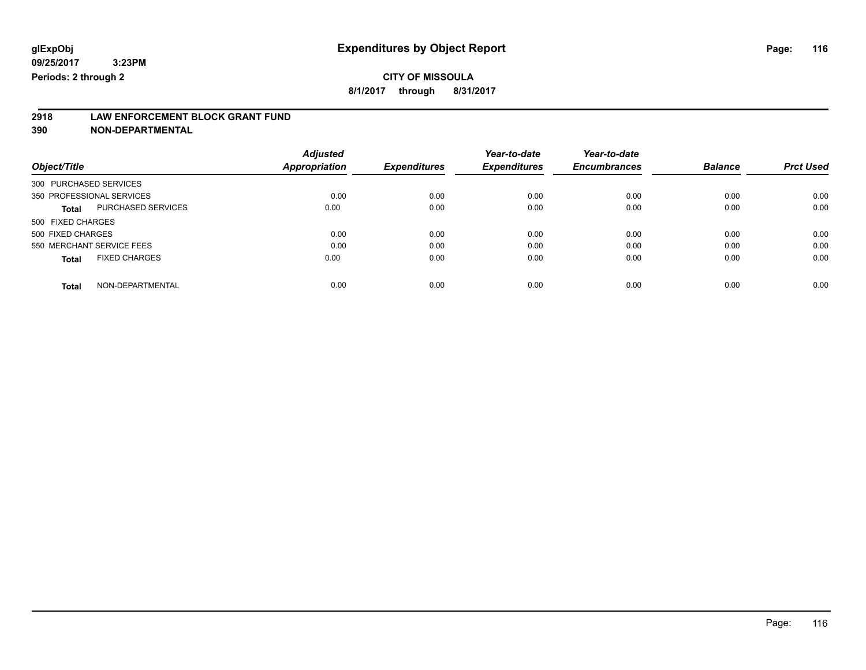# **2918 LAW ENFORCEMENT BLOCK GRANT FUND**

**390 NON-DEPARTMENTAL**

|                                           | <b>Adjusted</b> |                     | Year-to-date        | Year-to-date        |                |                  |
|-------------------------------------------|-----------------|---------------------|---------------------|---------------------|----------------|------------------|
| Object/Title                              | Appropriation   | <b>Expenditures</b> | <b>Expenditures</b> | <b>Encumbrances</b> | <b>Balance</b> | <b>Prct Used</b> |
| 300 PURCHASED SERVICES                    |                 |                     |                     |                     |                |                  |
| 350 PROFESSIONAL SERVICES                 | 0.00            | 0.00                | 0.00                | 0.00                | 0.00           | 0.00             |
| <b>PURCHASED SERVICES</b><br><b>Total</b> | 0.00            | 0.00                | 0.00                | 0.00                | 0.00           | 0.00             |
| 500 FIXED CHARGES                         |                 |                     |                     |                     |                |                  |
| 500 FIXED CHARGES                         | 0.00            | 0.00                | 0.00                | 0.00                | 0.00           | 0.00             |
| 550 MERCHANT SERVICE FEES                 | 0.00            | 0.00                | 0.00                | 0.00                | 0.00           | 0.00             |
| <b>FIXED CHARGES</b><br><b>Total</b>      | 0.00            | 0.00                | 0.00                | 0.00                | 0.00           | 0.00             |
| NON-DEPARTMENTAL<br><b>Total</b>          | 0.00            | 0.00                | 0.00                | 0.00                | 0.00           | 0.00             |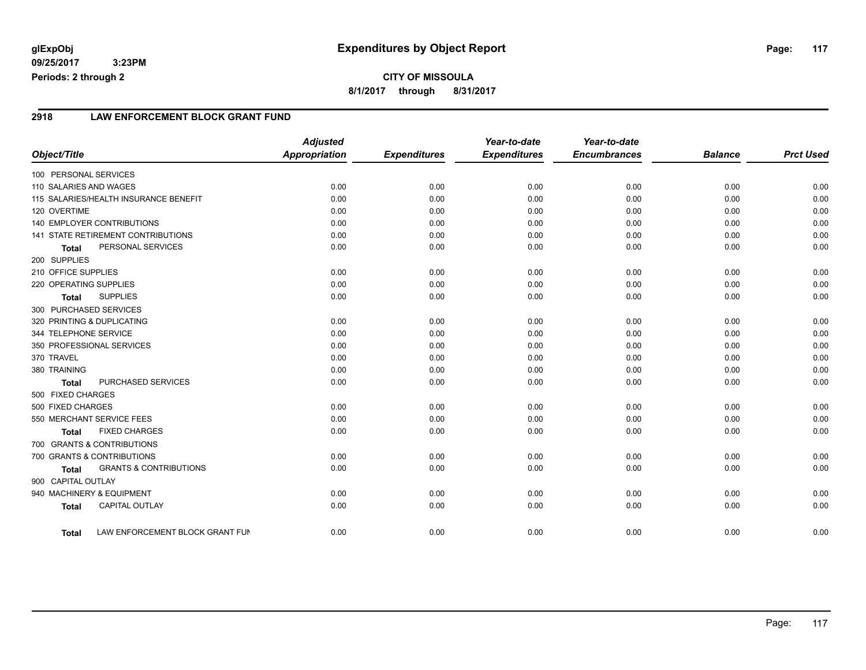### **2918 LAW ENFORCEMENT BLOCK GRANT FUND**

|                            |                                       | <b>Adjusted</b><br><b>Appropriation</b> |                     | Year-to-date<br><b>Expenditures</b> | Year-to-date<br><b>Encumbrances</b> | <b>Balance</b> | <b>Prct Used</b> |
|----------------------------|---------------------------------------|-----------------------------------------|---------------------|-------------------------------------|-------------------------------------|----------------|------------------|
| Object/Title               |                                       |                                         | <b>Expenditures</b> |                                     |                                     |                |                  |
| 100 PERSONAL SERVICES      |                                       |                                         |                     |                                     |                                     |                |                  |
| 110 SALARIES AND WAGES     |                                       | 0.00                                    | 0.00                | 0.00                                | 0.00                                | 0.00           | 0.00             |
|                            | 115 SALARIES/HEALTH INSURANCE BENEFIT | 0.00                                    | 0.00                | 0.00                                | 0.00                                | 0.00           | 0.00             |
| 120 OVERTIME               |                                       | 0.00                                    | 0.00                | 0.00                                | 0.00                                | 0.00           | 0.00             |
|                            | <b>140 EMPLOYER CONTRIBUTIONS</b>     | 0.00                                    | 0.00                | 0.00                                | 0.00                                | 0.00           | 0.00             |
|                            | 141 STATE RETIREMENT CONTRIBUTIONS    | 0.00                                    | 0.00                | 0.00                                | 0.00                                | 0.00           | 0.00             |
| <b>Total</b>               | PERSONAL SERVICES                     | 0.00                                    | 0.00                | 0.00                                | 0.00                                | 0.00           | 0.00             |
| 200 SUPPLIES               |                                       |                                         |                     |                                     |                                     |                |                  |
| 210 OFFICE SUPPLIES        |                                       | 0.00                                    | 0.00                | 0.00                                | 0.00                                | 0.00           | 0.00             |
| 220 OPERATING SUPPLIES     |                                       | 0.00                                    | 0.00                | 0.00                                | 0.00                                | 0.00           | 0.00             |
| <b>Total</b>               | <b>SUPPLIES</b>                       | 0.00                                    | 0.00                | 0.00                                | 0.00                                | 0.00           | 0.00             |
| 300 PURCHASED SERVICES     |                                       |                                         |                     |                                     |                                     |                |                  |
| 320 PRINTING & DUPLICATING |                                       | 0.00                                    | 0.00                | 0.00                                | 0.00                                | 0.00           | 0.00             |
| 344 TELEPHONE SERVICE      |                                       | 0.00                                    | 0.00                | 0.00                                | 0.00                                | 0.00           | 0.00             |
|                            | 350 PROFESSIONAL SERVICES             | 0.00                                    | 0.00                | 0.00                                | 0.00                                | 0.00           | 0.00             |
| 370 TRAVEL                 |                                       | 0.00                                    | 0.00                | 0.00                                | 0.00                                | 0.00           | 0.00             |
| 380 TRAINING               |                                       | 0.00                                    | 0.00                | 0.00                                | 0.00                                | 0.00           | 0.00             |
| <b>Total</b>               | PURCHASED SERVICES                    | 0.00                                    | 0.00                | 0.00                                | 0.00                                | 0.00           | 0.00             |
| 500 FIXED CHARGES          |                                       |                                         |                     |                                     |                                     |                |                  |
| 500 FIXED CHARGES          |                                       | 0.00                                    | 0.00                | 0.00                                | 0.00                                | 0.00           | 0.00             |
|                            | 550 MERCHANT SERVICE FEES             | 0.00                                    | 0.00                | 0.00                                | 0.00                                | 0.00           | 0.00             |
| <b>Total</b>               | <b>FIXED CHARGES</b>                  | 0.00                                    | 0.00                | 0.00                                | 0.00                                | 0.00           | 0.00             |
|                            | 700 GRANTS & CONTRIBUTIONS            |                                         |                     |                                     |                                     |                |                  |
|                            | 700 GRANTS & CONTRIBUTIONS            | 0.00                                    | 0.00                | 0.00                                | 0.00                                | 0.00           | 0.00             |
| <b>Total</b>               | <b>GRANTS &amp; CONTRIBUTIONS</b>     | 0.00                                    | 0.00                | 0.00                                | 0.00                                | 0.00           | 0.00             |
| 900 CAPITAL OUTLAY         |                                       |                                         |                     |                                     |                                     |                |                  |
|                            | 940 MACHINERY & EQUIPMENT             | 0.00                                    | 0.00                | 0.00                                | 0.00                                | 0.00           | 0.00             |
| <b>Total</b>               | <b>CAPITAL OUTLAY</b>                 | 0.00                                    | 0.00                | 0.00                                | 0.00                                | 0.00           | 0.00             |
| Total                      | LAW ENFORCEMENT BLOCK GRANT FUN       | 0.00                                    | 0.00                | 0.00                                | 0.00                                | 0.00           | 0.00             |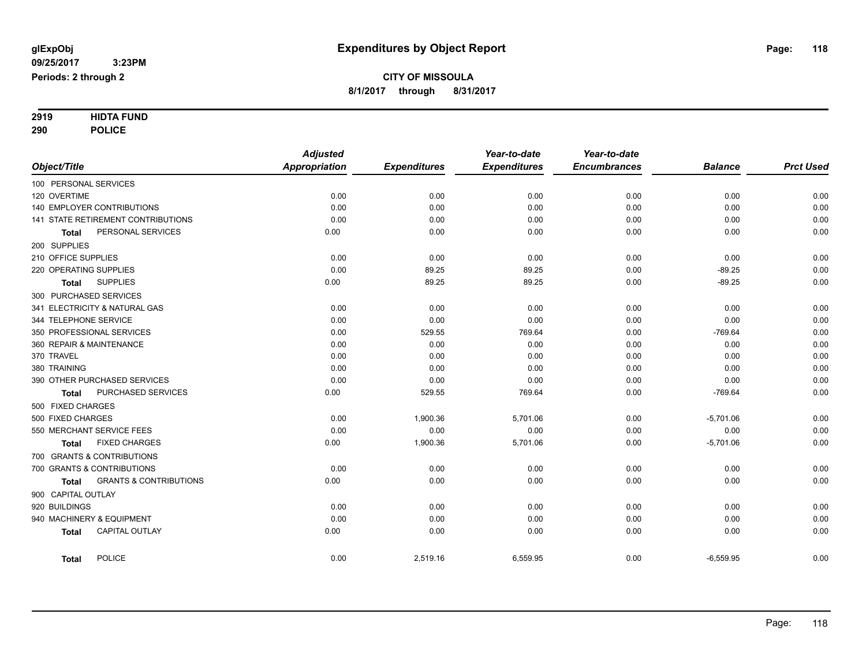# **2919 HIDTA FUND**

**290 POLICE**

|                          |                                    | <b>Adjusted</b>      |                     | Year-to-date        | Year-to-date        |                |                  |
|--------------------------|------------------------------------|----------------------|---------------------|---------------------|---------------------|----------------|------------------|
| Object/Title             |                                    | <b>Appropriation</b> | <b>Expenditures</b> | <b>Expenditures</b> | <b>Encumbrances</b> | <b>Balance</b> | <b>Prct Used</b> |
| 100 PERSONAL SERVICES    |                                    |                      |                     |                     |                     |                |                  |
| 120 OVERTIME             |                                    | 0.00                 | 0.00                | 0.00                | 0.00                | 0.00           | 0.00             |
|                          | 140 EMPLOYER CONTRIBUTIONS         | 0.00                 | 0.00                | 0.00                | 0.00                | 0.00           | 0.00             |
|                          | 141 STATE RETIREMENT CONTRIBUTIONS | 0.00                 | 0.00                | 0.00                | 0.00                | 0.00           | 0.00             |
| <b>Total</b>             | PERSONAL SERVICES                  | 0.00                 | 0.00                | 0.00                | 0.00                | 0.00           | 0.00             |
| 200 SUPPLIES             |                                    |                      |                     |                     |                     |                |                  |
| 210 OFFICE SUPPLIES      |                                    | 0.00                 | 0.00                | 0.00                | 0.00                | 0.00           | 0.00             |
| 220 OPERATING SUPPLIES   |                                    | 0.00                 | 89.25               | 89.25               | 0.00                | $-89.25$       | 0.00             |
| <b>Total</b>             | <b>SUPPLIES</b>                    | 0.00                 | 89.25               | 89.25               | 0.00                | $-89.25$       | 0.00             |
| 300 PURCHASED SERVICES   |                                    |                      |                     |                     |                     |                |                  |
|                          | 341 ELECTRICITY & NATURAL GAS      | 0.00                 | 0.00                | 0.00                | 0.00                | 0.00           | 0.00             |
| 344 TELEPHONE SERVICE    |                                    | 0.00                 | 0.00                | 0.00                | 0.00                | 0.00           | 0.00             |
|                          | 350 PROFESSIONAL SERVICES          | 0.00                 | 529.55              | 769.64              | 0.00                | $-769.64$      | 0.00             |
| 360 REPAIR & MAINTENANCE |                                    | 0.00                 | 0.00                | 0.00                | 0.00                | 0.00           | 0.00             |
| 370 TRAVEL               |                                    | 0.00                 | 0.00                | 0.00                | 0.00                | 0.00           | 0.00             |
| 380 TRAINING             |                                    | 0.00                 | 0.00                | 0.00                | 0.00                | 0.00           | 0.00             |
|                          | 390 OTHER PURCHASED SERVICES       | 0.00                 | 0.00                | 0.00                | 0.00                | 0.00           | 0.00             |
| <b>Total</b>             | PURCHASED SERVICES                 | 0.00                 | 529.55              | 769.64              | 0.00                | $-769.64$      | 0.00             |
| 500 FIXED CHARGES        |                                    |                      |                     |                     |                     |                |                  |
| 500 FIXED CHARGES        |                                    | 0.00                 | 1,900.36            | 5,701.06            | 0.00                | $-5,701.06$    | 0.00             |
|                          | 550 MERCHANT SERVICE FEES          | 0.00                 | 0.00                | 0.00                | 0.00                | 0.00           | 0.00             |
| Total                    | <b>FIXED CHARGES</b>               | 0.00                 | 1,900.36            | 5,701.06            | 0.00                | $-5,701.06$    | 0.00             |
|                          | 700 GRANTS & CONTRIBUTIONS         |                      |                     |                     |                     |                |                  |
|                          | 700 GRANTS & CONTRIBUTIONS         | 0.00                 | 0.00                | 0.00                | 0.00                | 0.00           | 0.00             |
| <b>Total</b>             | <b>GRANTS &amp; CONTRIBUTIONS</b>  | 0.00                 | 0.00                | 0.00                | 0.00                | 0.00           | 0.00             |
| 900 CAPITAL OUTLAY       |                                    |                      |                     |                     |                     |                |                  |
| 920 BUILDINGS            |                                    | 0.00                 | 0.00                | 0.00                | 0.00                | 0.00           | 0.00             |
|                          | 940 MACHINERY & EQUIPMENT          | 0.00                 | 0.00                | 0.00                | 0.00                | 0.00           | 0.00             |
| <b>Total</b>             | CAPITAL OUTLAY                     | 0.00                 | 0.00                | 0.00                | 0.00                | 0.00           | 0.00             |
| <b>Total</b>             | <b>POLICE</b>                      | 0.00                 | 2,519.16            | 6,559.95            | 0.00                | $-6,559.95$    | 0.00             |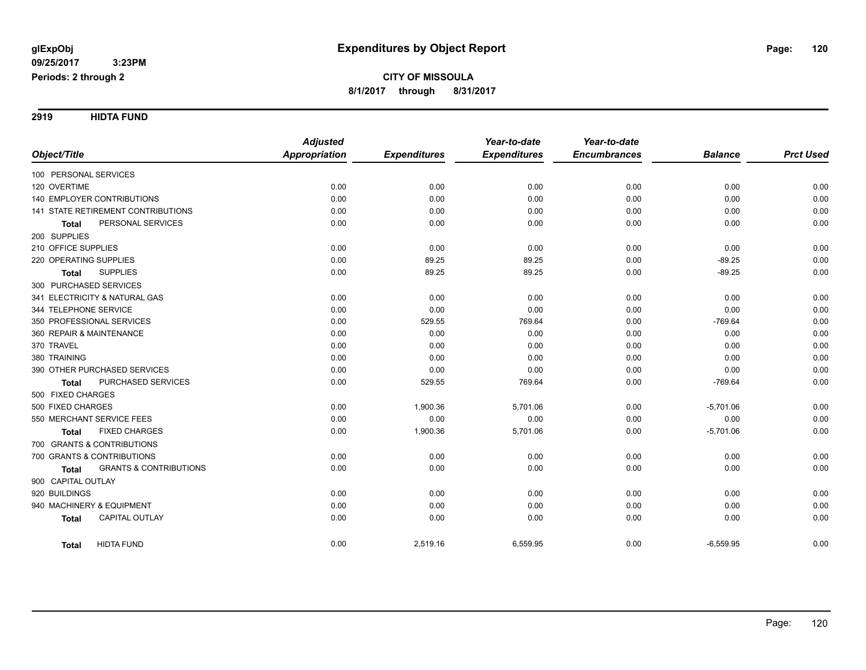**2919 HIDTA FUND**

|                                                   | <b>Adjusted</b>      |                     | Year-to-date        | Year-to-date        |                |                  |
|---------------------------------------------------|----------------------|---------------------|---------------------|---------------------|----------------|------------------|
| Object/Title                                      | <b>Appropriation</b> | <b>Expenditures</b> | <b>Expenditures</b> | <b>Encumbrances</b> | <b>Balance</b> | <b>Prct Used</b> |
| 100 PERSONAL SERVICES                             |                      |                     |                     |                     |                |                  |
| 120 OVERTIME                                      | 0.00                 | 0.00                | 0.00                | 0.00                | 0.00           | 0.00             |
| 140 EMPLOYER CONTRIBUTIONS                        | 0.00                 | 0.00                | 0.00                | 0.00                | 0.00           | 0.00             |
| 141 STATE RETIREMENT CONTRIBUTIONS                | 0.00                 | 0.00                | 0.00                | 0.00                | 0.00           | 0.00             |
| PERSONAL SERVICES<br><b>Total</b>                 | 0.00                 | 0.00                | 0.00                | 0.00                | 0.00           | 0.00             |
| 200 SUPPLIES                                      |                      |                     |                     |                     |                |                  |
| 210 OFFICE SUPPLIES                               | 0.00                 | 0.00                | 0.00                | 0.00                | 0.00           | 0.00             |
| 220 OPERATING SUPPLIES                            | 0.00                 | 89.25               | 89.25               | 0.00                | $-89.25$       | 0.00             |
| <b>SUPPLIES</b><br><b>Total</b>                   | 0.00                 | 89.25               | 89.25               | 0.00                | $-89.25$       | 0.00             |
| 300 PURCHASED SERVICES                            |                      |                     |                     |                     |                |                  |
| 341 ELECTRICITY & NATURAL GAS                     | 0.00                 | 0.00                | 0.00                | 0.00                | 0.00           | 0.00             |
| 344 TELEPHONE SERVICE                             | 0.00                 | 0.00                | 0.00                | 0.00                | 0.00           | 0.00             |
| 350 PROFESSIONAL SERVICES                         | 0.00                 | 529.55              | 769.64              | 0.00                | $-769.64$      | 0.00             |
| 360 REPAIR & MAINTENANCE                          | 0.00                 | 0.00                | 0.00                | 0.00                | 0.00           | 0.00             |
| 370 TRAVEL                                        | 0.00                 | 0.00                | 0.00                | 0.00                | 0.00           | 0.00             |
| 380 TRAINING                                      | 0.00                 | 0.00                | 0.00                | 0.00                | 0.00           | 0.00             |
| 390 OTHER PURCHASED SERVICES                      | 0.00                 | 0.00                | 0.00                | 0.00                | 0.00           | 0.00             |
| PURCHASED SERVICES<br><b>Total</b>                | 0.00                 | 529.55              | 769.64              | 0.00                | $-769.64$      | 0.00             |
| 500 FIXED CHARGES                                 |                      |                     |                     |                     |                |                  |
| 500 FIXED CHARGES                                 | 0.00                 | 1,900.36            | 5,701.06            | 0.00                | $-5,701.06$    | 0.00             |
| 550 MERCHANT SERVICE FEES                         | 0.00                 | 0.00                | 0.00                | 0.00                | 0.00           | 0.00             |
| <b>FIXED CHARGES</b><br>Total                     | 0.00                 | 1,900.36            | 5,701.06            | 0.00                | $-5,701.06$    | 0.00             |
| 700 GRANTS & CONTRIBUTIONS                        |                      |                     |                     |                     |                |                  |
| 700 GRANTS & CONTRIBUTIONS                        | 0.00                 | 0.00                | 0.00                | 0.00                | 0.00           | 0.00             |
| <b>GRANTS &amp; CONTRIBUTIONS</b><br><b>Total</b> | 0.00                 | 0.00                | 0.00                | 0.00                | 0.00           | 0.00             |
| 900 CAPITAL OUTLAY                                |                      |                     |                     |                     |                |                  |
| 920 BUILDINGS                                     | 0.00                 | 0.00                | 0.00                | 0.00                | 0.00           | 0.00             |
| 940 MACHINERY & EQUIPMENT                         | 0.00                 | 0.00                | 0.00                | 0.00                | 0.00           | 0.00             |
| <b>CAPITAL OUTLAY</b><br><b>Total</b>             | 0.00                 | 0.00                | 0.00                | 0.00                | 0.00           | 0.00             |
| <b>HIDTA FUND</b><br><b>Total</b>                 | 0.00                 | 2,519.16            | 6,559.95            | 0.00                | $-6,559.95$    | 0.00             |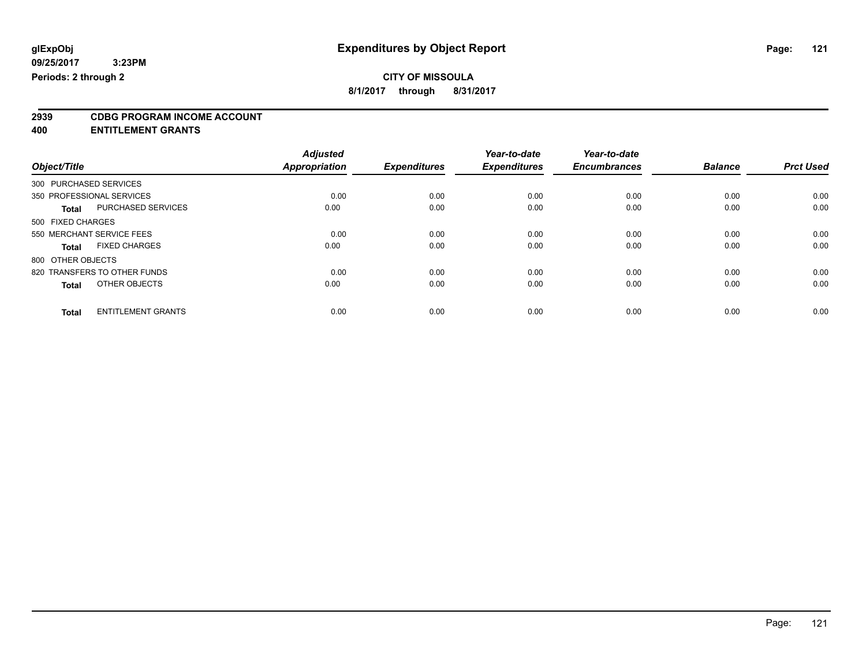# **CITY OF MISSOULA**

**8/1/2017 through 8/31/2017**

# **2939 CDBG PROGRAM INCOME ACCOUNT**

**400 ENTITLEMENT GRANTS**

|                                           | <b>Adjusted</b> |                     | Year-to-date        | Year-to-date        |                |                  |
|-------------------------------------------|-----------------|---------------------|---------------------|---------------------|----------------|------------------|
| Object/Title                              | Appropriation   | <b>Expenditures</b> | <b>Expenditures</b> | <b>Encumbrances</b> | <b>Balance</b> | <b>Prct Used</b> |
| 300 PURCHASED SERVICES                    |                 |                     |                     |                     |                |                  |
| 350 PROFESSIONAL SERVICES                 | 0.00            | 0.00                | 0.00                | 0.00                | 0.00           | 0.00             |
| PURCHASED SERVICES<br><b>Total</b>        | 0.00            | 0.00                | 0.00                | 0.00                | 0.00           | 0.00             |
| 500 FIXED CHARGES                         |                 |                     |                     |                     |                |                  |
| 550 MERCHANT SERVICE FEES                 | 0.00            | 0.00                | 0.00                | 0.00                | 0.00           | 0.00             |
| <b>FIXED CHARGES</b><br><b>Total</b>      | 0.00            | 0.00                | 0.00                | 0.00                | 0.00           | 0.00             |
| 800 OTHER OBJECTS                         |                 |                     |                     |                     |                |                  |
| 820 TRANSFERS TO OTHER FUNDS              | 0.00            | 0.00                | 0.00                | 0.00                | 0.00           | 0.00             |
| OTHER OBJECTS<br><b>Total</b>             | 0.00            | 0.00                | 0.00                | 0.00                | 0.00           | 0.00             |
|                                           |                 |                     |                     |                     |                |                  |
| <b>ENTITLEMENT GRANTS</b><br><b>Total</b> | 0.00            | 0.00                | 0.00                | 0.00                | 0.00           | 0.00             |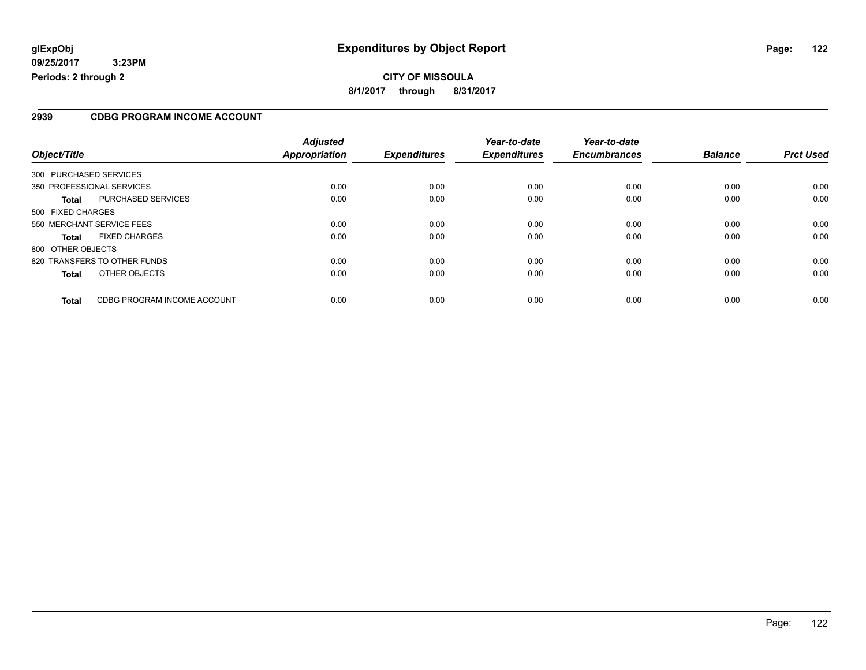### **2939 CDBG PROGRAM INCOME ACCOUNT**

| Object/Title      |                              | <b>Adjusted</b><br>Appropriation | <b>Expenditures</b> | Year-to-date<br><b>Expenditures</b> | Year-to-date<br><b>Encumbrances</b> | <b>Balance</b> | <b>Prct Used</b> |
|-------------------|------------------------------|----------------------------------|---------------------|-------------------------------------|-------------------------------------|----------------|------------------|
|                   | 300 PURCHASED SERVICES       |                                  |                     |                                     |                                     |                |                  |
|                   |                              |                                  |                     |                                     |                                     |                |                  |
|                   | 350 PROFESSIONAL SERVICES    | 0.00                             | 0.00                | 0.00                                | 0.00                                | 0.00           | 0.00             |
| Total             | PURCHASED SERVICES           | 0.00                             | 0.00                | 0.00                                | 0.00                                | 0.00           | 0.00             |
| 500 FIXED CHARGES |                              |                                  |                     |                                     |                                     |                |                  |
|                   | 550 MERCHANT SERVICE FEES    | 0.00                             | 0.00                | 0.00                                | 0.00                                | 0.00           | 0.00             |
| <b>Total</b>      | <b>FIXED CHARGES</b>         | 0.00                             | 0.00                | 0.00                                | 0.00                                | 0.00           | 0.00             |
| 800 OTHER OBJECTS |                              |                                  |                     |                                     |                                     |                |                  |
|                   | 820 TRANSFERS TO OTHER FUNDS | 0.00                             | 0.00                | 0.00                                | 0.00                                | 0.00           | 0.00             |
| <b>Total</b>      | OTHER OBJECTS                | 0.00                             | 0.00                | 0.00                                | 0.00                                | 0.00           | 0.00             |
| <b>Total</b>      | CDBG PROGRAM INCOME ACCOUNT  | 0.00                             | 0.00                | 0.00                                | 0.00                                | 0.00           | 0.00             |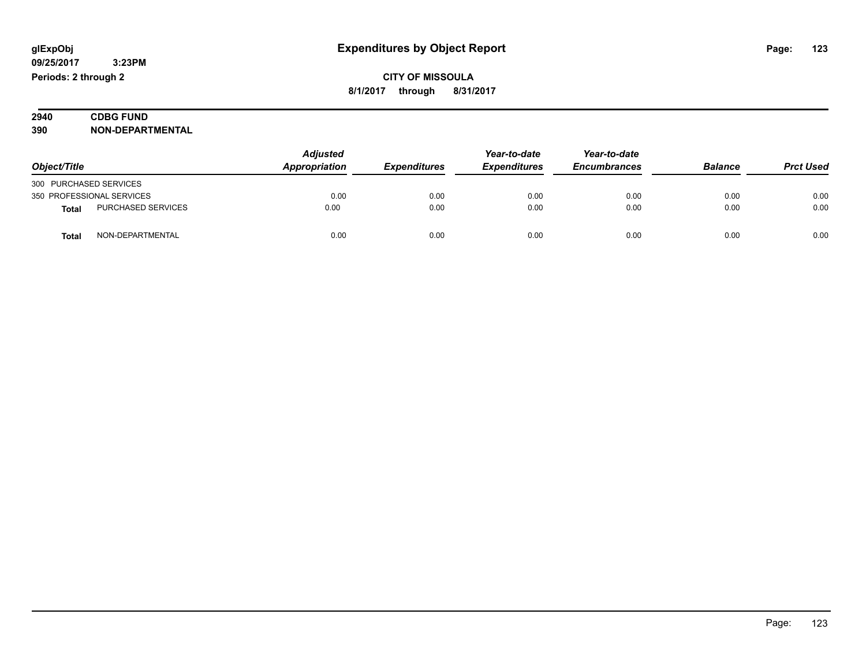| 2940 | <b>CDBG FUND</b><br>___              |
|------|--------------------------------------|
| 390  | <b>\I-DEPARTMENTAL</b><br><b>NON</b> |

|                        |                           | <b>Adjusted</b> |                            | Year-to-date        | Year-to-date        |                |                  |
|------------------------|---------------------------|-----------------|----------------------------|---------------------|---------------------|----------------|------------------|
| Object/Title           |                           | Appropriation   | <i><b>Expenditures</b></i> | <b>Expenditures</b> | <b>Encumbrances</b> | <b>Balance</b> | <b>Prct Used</b> |
| 300 PURCHASED SERVICES |                           |                 |                            |                     |                     |                |                  |
|                        | 350 PROFESSIONAL SERVICES | 0.00            | 0.00                       | 0.00                | 0.00                | 0.00           | 0.00             |
| <b>Total</b>           | PURCHASED SERVICES        | 0.00            | 0.00                       | 0.00                | 0.00                | 0.00           | 0.00             |
| <b>Total</b>           | NON-DEPARTMENTAL          | 0.00            | 0.00                       | 0.00                | 0.00                | 0.00           | 0.00             |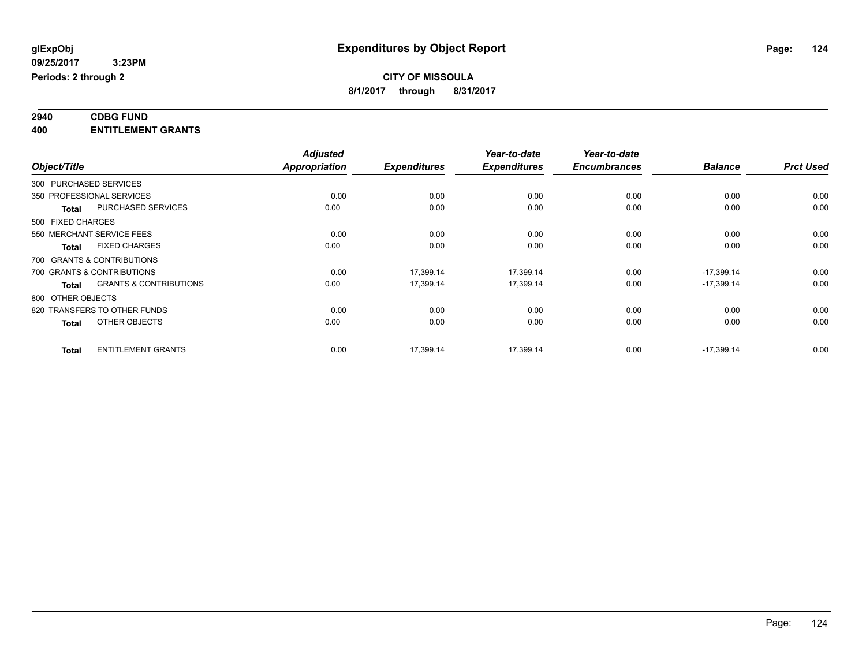#### **2940 CDBG FUND 400 ENTITLEMENT GRANTS**

|                                                   | <b>Adjusted</b> |                     | Year-to-date        | Year-to-date        |                |                  |
|---------------------------------------------------|-----------------|---------------------|---------------------|---------------------|----------------|------------------|
| Object/Title                                      | Appropriation   | <b>Expenditures</b> | <b>Expenditures</b> | <b>Encumbrances</b> | <b>Balance</b> | <b>Prct Used</b> |
| 300 PURCHASED SERVICES                            |                 |                     |                     |                     |                |                  |
| 350 PROFESSIONAL SERVICES                         | 0.00            | 0.00                | 0.00                | 0.00                | 0.00           | 0.00             |
| <b>PURCHASED SERVICES</b><br>Total                | 0.00            | 0.00                | 0.00                | 0.00                | 0.00           | 0.00             |
| 500 FIXED CHARGES                                 |                 |                     |                     |                     |                |                  |
| 550 MERCHANT SERVICE FEES                         | 0.00            | 0.00                | 0.00                | 0.00                | 0.00           | 0.00             |
| <b>FIXED CHARGES</b><br>Total                     | 0.00            | 0.00                | 0.00                | 0.00                | 0.00           | 0.00             |
| 700 GRANTS & CONTRIBUTIONS                        |                 |                     |                     |                     |                |                  |
| 700 GRANTS & CONTRIBUTIONS                        | 0.00            | 17,399.14           | 17,399.14           | 0.00                | $-17,399.14$   | 0.00             |
| <b>GRANTS &amp; CONTRIBUTIONS</b><br><b>Total</b> | 0.00            | 17.399.14           | 17.399.14           | 0.00                | $-17.399.14$   | 0.00             |
| 800 OTHER OBJECTS                                 |                 |                     |                     |                     |                |                  |
| 820 TRANSFERS TO OTHER FUNDS                      | 0.00            | 0.00                | 0.00                | 0.00                | 0.00           | 0.00             |
| OTHER OBJECTS<br><b>Total</b>                     | 0.00            | 0.00                | 0.00                | 0.00                | 0.00           | 0.00             |
| <b>ENTITLEMENT GRANTS</b><br><b>Total</b>         | 0.00            | 17,399.14           | 17,399.14           | 0.00                | $-17,399.14$   | 0.00             |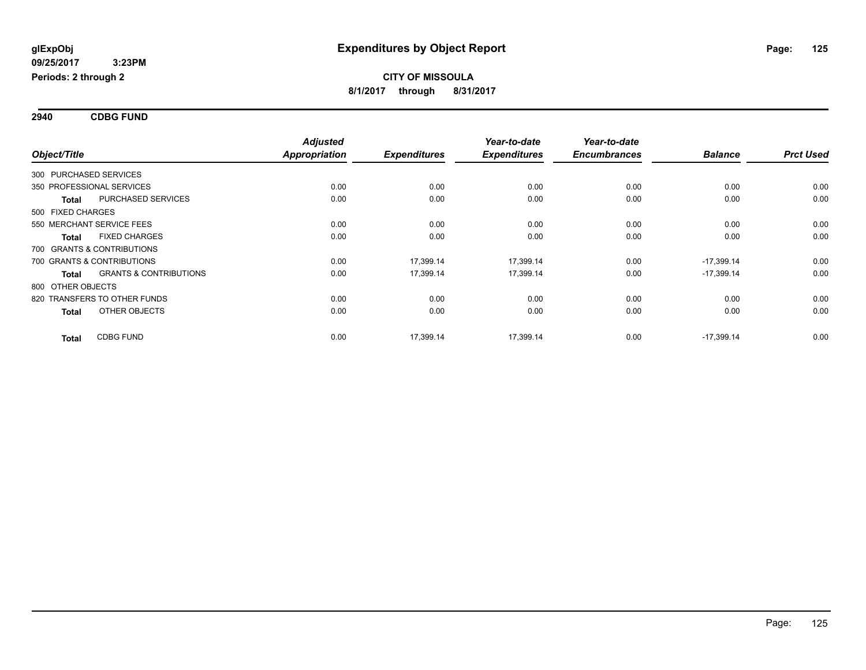**2940 CDBG FUND**

| Object/Title           |                                   | <b>Adjusted</b><br><b>Appropriation</b><br><b>Expenditures</b> |           | Year-to-date<br><b>Expenditures</b> | Year-to-date        | <b>Balance</b> | <b>Prct Used</b> |
|------------------------|-----------------------------------|----------------------------------------------------------------|-----------|-------------------------------------|---------------------|----------------|------------------|
|                        |                                   |                                                                |           |                                     | <b>Encumbrances</b> |                |                  |
| 300 PURCHASED SERVICES |                                   |                                                                |           |                                     |                     |                |                  |
|                        | 350 PROFESSIONAL SERVICES         | 0.00                                                           | 0.00      | 0.00                                | 0.00                | 0.00           | 0.00             |
| <b>Total</b>           | <b>PURCHASED SERVICES</b>         | 0.00                                                           | 0.00      | 0.00                                | 0.00                | 0.00           | 0.00             |
| 500 FIXED CHARGES      |                                   |                                                                |           |                                     |                     |                |                  |
|                        | 550 MERCHANT SERVICE FEES         | 0.00                                                           | 0.00      | 0.00                                | 0.00                | 0.00           | 0.00             |
| <b>Total</b>           | <b>FIXED CHARGES</b>              | 0.00                                                           | 0.00      | 0.00                                | 0.00                | 0.00           | 0.00             |
|                        | 700 GRANTS & CONTRIBUTIONS        |                                                                |           |                                     |                     |                |                  |
|                        | 700 GRANTS & CONTRIBUTIONS        | 0.00                                                           | 17,399.14 | 17,399.14                           | 0.00                | $-17,399.14$   | 0.00             |
| <b>Total</b>           | <b>GRANTS &amp; CONTRIBUTIONS</b> | 0.00                                                           | 17,399.14 | 17,399.14                           | 0.00                | $-17,399.14$   | 0.00             |
| 800 OTHER OBJECTS      |                                   |                                                                |           |                                     |                     |                |                  |
|                        | 820 TRANSFERS TO OTHER FUNDS      | 0.00                                                           | 0.00      | 0.00                                | 0.00                | 0.00           | 0.00             |
| <b>Total</b>           | OTHER OBJECTS                     | 0.00                                                           | 0.00      | 0.00                                | 0.00                | 0.00           | 0.00             |
| <b>Total</b>           | <b>CDBG FUND</b>                  | 0.00                                                           | 17,399.14 | 17,399.14                           | 0.00                | $-17,399.14$   | 0.00             |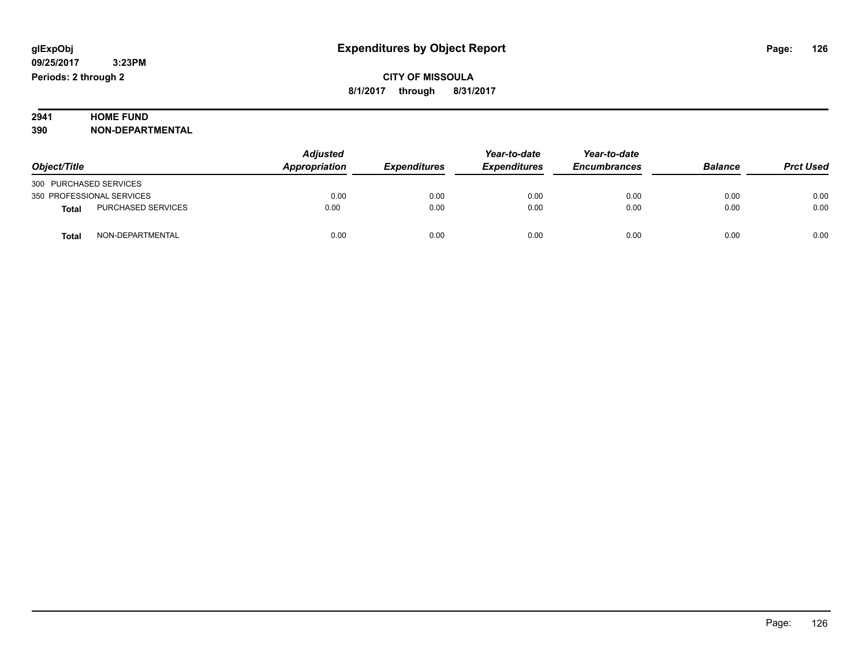# **2941 HOME FUND<br>390 NON-DEPART**

**390 NON-DEPARTMENTAL**

|                                           | <b>Adjusted</b> |                     | Year-to-date        | Year-to-date        |                |                  |
|-------------------------------------------|-----------------|---------------------|---------------------|---------------------|----------------|------------------|
| Object/Title                              | Appropriation   | <b>Expenditures</b> | <b>Expenditures</b> | <b>Encumbrances</b> | <b>Balance</b> | <b>Prct Used</b> |
| 300 PURCHASED SERVICES                    |                 |                     |                     |                     |                |                  |
| 350 PROFESSIONAL SERVICES                 | 0.00            | 0.00                | 0.00                | 0.00                | 0.00           | 0.00             |
| <b>PURCHASED SERVICES</b><br><b>Total</b> | 0.00            | 0.00                | 0.00                | 0.00                | 0.00           | 0.00             |
| NON-DEPARTMENTAL<br>Total                 | 0.00            | 0.00                | 0.00                | 0.00                | 0.00           | 0.00             |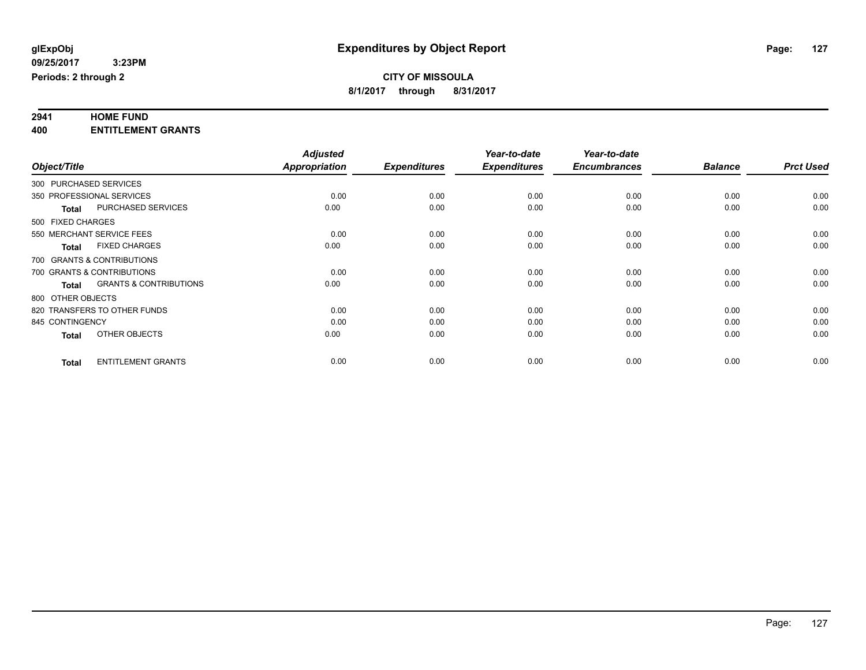# **2941 HOME FUND**

**400 ENTITLEMENT GRANTS**

|                 |                                                   | <b>Adjusted</b>      |                     | Year-to-date        | Year-to-date        |                |                  |
|-----------------|---------------------------------------------------|----------------------|---------------------|---------------------|---------------------|----------------|------------------|
| Object/Title    |                                                   | <b>Appropriation</b> | <b>Expenditures</b> | <b>Expenditures</b> | <b>Encumbrances</b> | <b>Balance</b> | <b>Prct Used</b> |
|                 | 300 PURCHASED SERVICES                            |                      |                     |                     |                     |                |                  |
|                 | 350 PROFESSIONAL SERVICES                         | 0.00                 | 0.00                | 0.00                | 0.00                | 0.00           | 0.00             |
|                 | PURCHASED SERVICES<br><b>Total</b>                | 0.00                 | 0.00                | 0.00                | 0.00                | 0.00           | 0.00             |
|                 | 500 FIXED CHARGES                                 |                      |                     |                     |                     |                |                  |
|                 | 550 MERCHANT SERVICE FEES                         | 0.00                 | 0.00                | 0.00                | 0.00                | 0.00           | 0.00             |
|                 | <b>FIXED CHARGES</b><br><b>Total</b>              | 0.00                 | 0.00                | 0.00                | 0.00                | 0.00           | 0.00             |
|                 | 700 GRANTS & CONTRIBUTIONS                        |                      |                     |                     |                     |                |                  |
|                 | 700 GRANTS & CONTRIBUTIONS                        | 0.00                 | 0.00                | 0.00                | 0.00                | 0.00           | 0.00             |
|                 | <b>GRANTS &amp; CONTRIBUTIONS</b><br><b>Total</b> | 0.00                 | 0.00                | 0.00                | 0.00                | 0.00           | 0.00             |
|                 | 800 OTHER OBJECTS                                 |                      |                     |                     |                     |                |                  |
|                 | 820 TRANSFERS TO OTHER FUNDS                      | 0.00                 | 0.00                | 0.00                | 0.00                | 0.00           | 0.00             |
| 845 CONTINGENCY |                                                   | 0.00                 | 0.00                | 0.00                | 0.00                | 0.00           | 0.00             |
|                 | OTHER OBJECTS<br><b>Total</b>                     | 0.00                 | 0.00                | 0.00                | 0.00                | 0.00           | 0.00             |
|                 | <b>ENTITLEMENT GRANTS</b><br><b>Total</b>         | 0.00                 | 0.00                | 0.00                | 0.00                | 0.00           | 0.00             |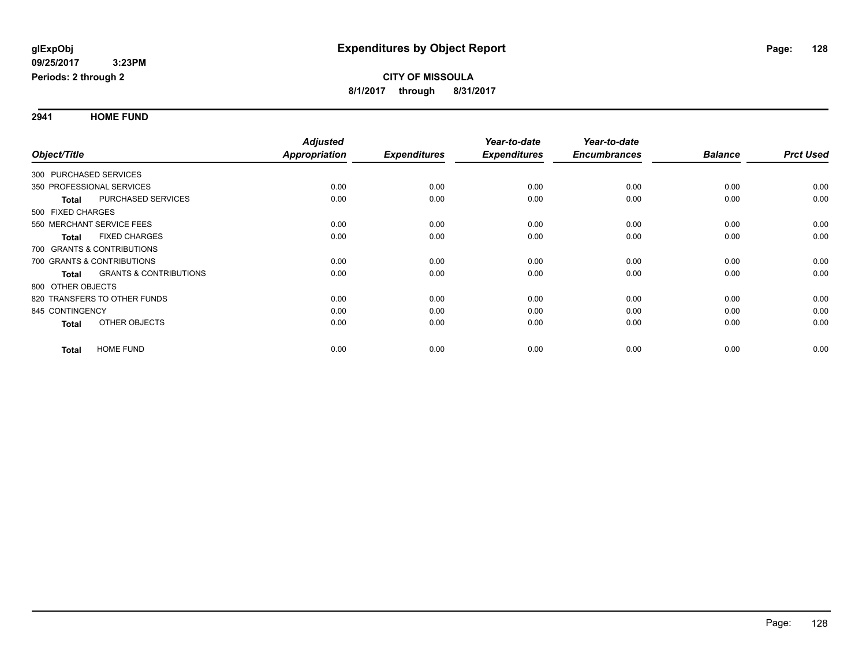**2941 HOME FUND**

|                        |                                   | <b>Adjusted</b> |                     | Year-to-date        | Year-to-date        |                |                  |
|------------------------|-----------------------------------|-----------------|---------------------|---------------------|---------------------|----------------|------------------|
| Object/Title           |                                   | Appropriation   | <b>Expenditures</b> | <b>Expenditures</b> | <b>Encumbrances</b> | <b>Balance</b> | <b>Prct Used</b> |
| 300 PURCHASED SERVICES |                                   |                 |                     |                     |                     |                |                  |
|                        | 350 PROFESSIONAL SERVICES         | 0.00            | 0.00                | 0.00                | 0.00                | 0.00           | 0.00             |
| <b>Total</b>           | PURCHASED SERVICES                | 0.00            | 0.00                | 0.00                | 0.00                | 0.00           | 0.00             |
| 500 FIXED CHARGES      |                                   |                 |                     |                     |                     |                |                  |
|                        | 550 MERCHANT SERVICE FEES         | 0.00            | 0.00                | 0.00                | 0.00                | 0.00           | 0.00             |
| <b>Total</b>           | <b>FIXED CHARGES</b>              | 0.00            | 0.00                | 0.00                | 0.00                | 0.00           | 0.00             |
|                        | 700 GRANTS & CONTRIBUTIONS        |                 |                     |                     |                     |                |                  |
|                        | 700 GRANTS & CONTRIBUTIONS        | 0.00            | 0.00                | 0.00                | 0.00                | 0.00           | 0.00             |
| <b>Total</b>           | <b>GRANTS &amp; CONTRIBUTIONS</b> | 0.00            | 0.00                | 0.00                | 0.00                | 0.00           | 0.00             |
| 800 OTHER OBJECTS      |                                   |                 |                     |                     |                     |                |                  |
|                        | 820 TRANSFERS TO OTHER FUNDS      | 0.00            | 0.00                | 0.00                | 0.00                | 0.00           | 0.00             |
| 845 CONTINGENCY        |                                   | 0.00            | 0.00                | 0.00                | 0.00                | 0.00           | 0.00             |
| <b>Total</b>           | <b>OTHER OBJECTS</b>              | 0.00            | 0.00                | 0.00                | 0.00                | 0.00           | 0.00             |
| Total                  | <b>HOME FUND</b>                  | 0.00            | 0.00                | 0.00                | 0.00                | 0.00           | 0.00             |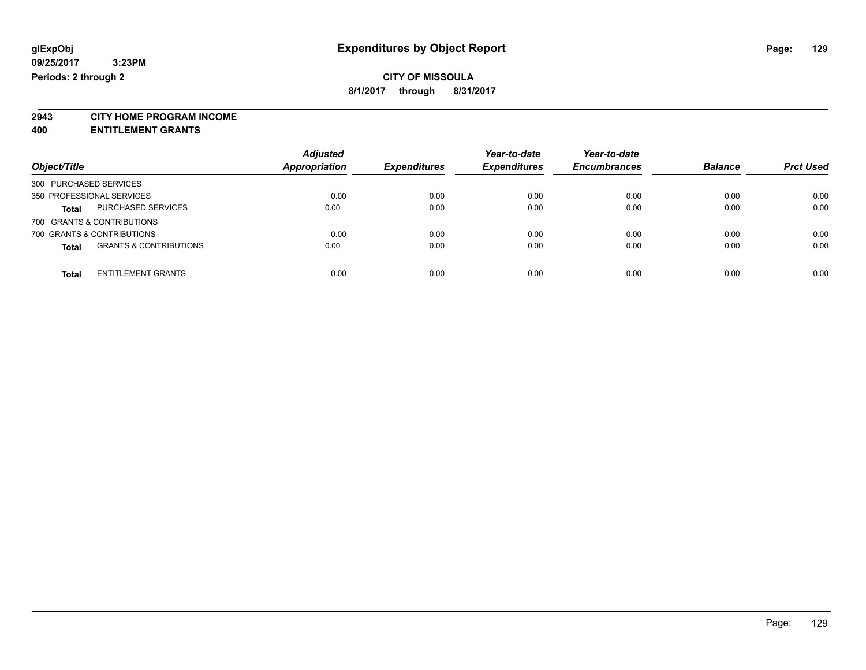# **CITY OF MISSOULA**

**8/1/2017 through 8/31/2017**

**2943 CITY HOME PROGRAM INCOME**

**400 ENTITLEMENT GRANTS**

| Object/Title                               | <b>Adjusted</b><br><b>Appropriation</b> | <b>Expenditures</b> | Year-to-date<br><b>Expenditures</b> | Year-to-date<br><b>Encumbrances</b> | <b>Balance</b> | <b>Prct Used</b> |
|--------------------------------------------|-----------------------------------------|---------------------|-------------------------------------|-------------------------------------|----------------|------------------|
| 300 PURCHASED SERVICES                     |                                         |                     |                                     |                                     |                |                  |
| 350 PROFESSIONAL SERVICES                  | 0.00                                    | 0.00                | 0.00                                | 0.00                                | 0.00           | 0.00             |
| PURCHASED SERVICES<br><b>Total</b>         | 0.00                                    | 0.00                | 0.00                                | 0.00                                | 0.00           | 0.00             |
| 700 GRANTS & CONTRIBUTIONS                 |                                         |                     |                                     |                                     |                |                  |
| 700 GRANTS & CONTRIBUTIONS                 | 0.00                                    | 0.00                | 0.00                                | 0.00                                | 0.00           | 0.00             |
| <b>GRANTS &amp; CONTRIBUTIONS</b><br>Total | 0.00                                    | 0.00                | 0.00                                | 0.00                                | 0.00           | 0.00             |
| <b>ENTITLEMENT GRANTS</b><br><b>Total</b>  | 0.00                                    | 0.00                | 0.00                                | 0.00                                | 0.00           | 0.00             |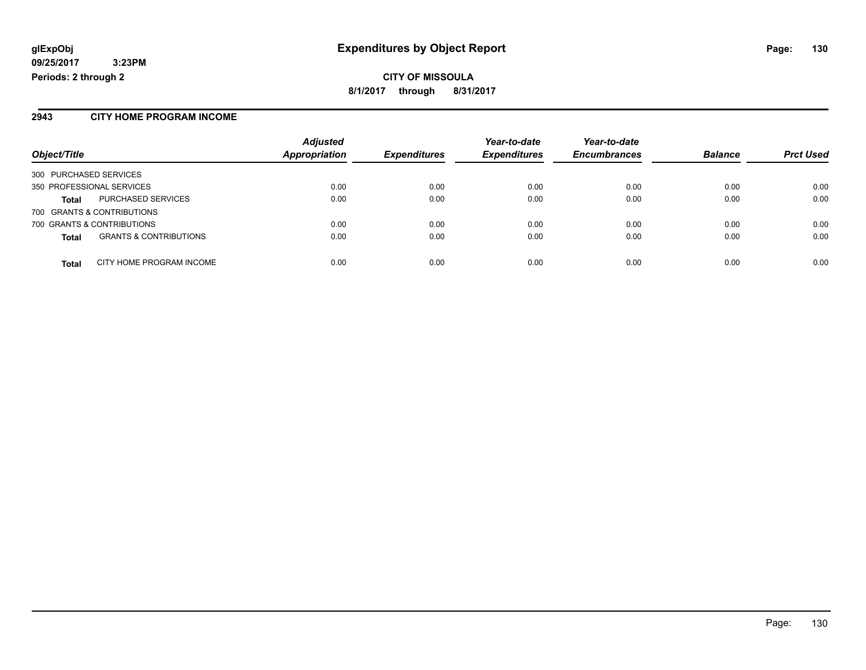**CITY OF MISSOULA 8/1/2017 through 8/31/2017**

### **2943 CITY HOME PROGRAM INCOME**

| Object/Title                                      | <b>Adjusted</b><br>Appropriation | <b>Expenditures</b> | Year-to-date<br><b>Expenditures</b> | Year-to-date<br><b>Encumbrances</b> | <b>Balance</b> | <b>Prct Used</b> |
|---------------------------------------------------|----------------------------------|---------------------|-------------------------------------|-------------------------------------|----------------|------------------|
| 300 PURCHASED SERVICES                            |                                  |                     |                                     |                                     |                |                  |
| 350 PROFESSIONAL SERVICES                         | 0.00                             | 0.00                | 0.00                                | 0.00                                | 0.00           | 0.00             |
| <b>PURCHASED SERVICES</b><br><b>Total</b>         | 0.00                             | 0.00                | 0.00                                | 0.00                                | 0.00           | 0.00             |
| 700 GRANTS & CONTRIBUTIONS                        |                                  |                     |                                     |                                     |                |                  |
| 700 GRANTS & CONTRIBUTIONS                        | 0.00                             | 0.00                | 0.00                                | 0.00                                | 0.00           | 0.00             |
| <b>GRANTS &amp; CONTRIBUTIONS</b><br><b>Total</b> | 0.00                             | 0.00                | 0.00                                | 0.00                                | 0.00           | 0.00             |
| CITY HOME PROGRAM INCOME<br><b>Total</b>          | 0.00                             | 0.00                | 0.00                                | 0.00                                | 0.00           | 0.00             |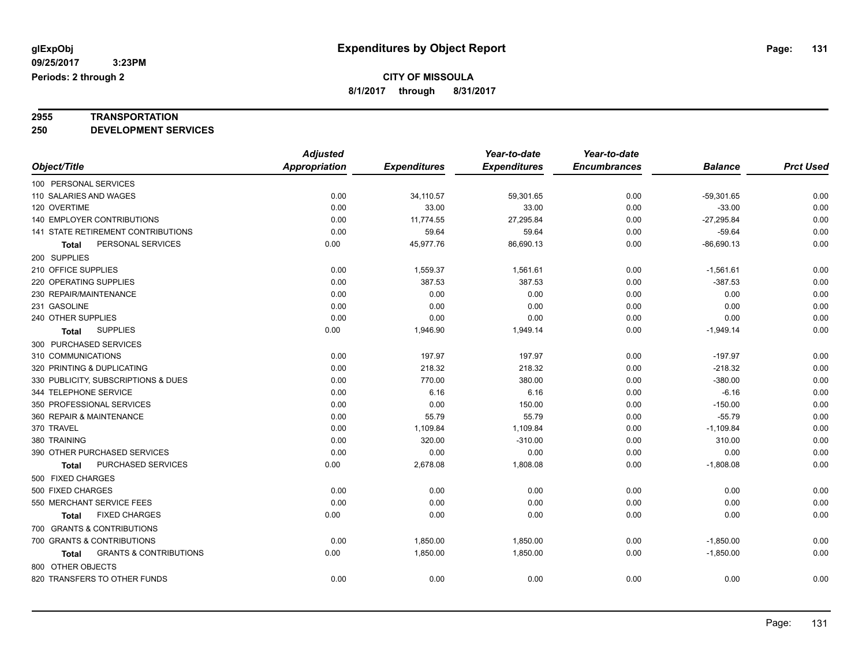# **2955 TRANSPORTATION**

**250 DEVELOPMENT SERVICES**

|                                            | <b>Adjusted</b>      |                     | Year-to-date        | Year-to-date        |                |                  |
|--------------------------------------------|----------------------|---------------------|---------------------|---------------------|----------------|------------------|
| Object/Title                               | <b>Appropriation</b> | <b>Expenditures</b> | <b>Expenditures</b> | <b>Encumbrances</b> | <b>Balance</b> | <b>Prct Used</b> |
| 100 PERSONAL SERVICES                      |                      |                     |                     |                     |                |                  |
| 110 SALARIES AND WAGES                     | 0.00                 | 34,110.57           | 59,301.65           | 0.00                | $-59,301.65$   | 0.00             |
| 120 OVERTIME                               | 0.00                 | 33.00               | 33.00               | 0.00                | $-33.00$       | 0.00             |
| 140 EMPLOYER CONTRIBUTIONS                 | 0.00                 | 11,774.55           | 27,295.84           | 0.00                | $-27,295.84$   | 0.00             |
| 141 STATE RETIREMENT CONTRIBUTIONS         | 0.00                 | 59.64               | 59.64               | 0.00                | $-59.64$       | 0.00             |
| PERSONAL SERVICES<br>Total                 | 0.00                 | 45,977.76           | 86,690.13           | 0.00                | $-86,690.13$   | 0.00             |
| 200 SUPPLIES                               |                      |                     |                     |                     |                |                  |
| 210 OFFICE SUPPLIES                        | 0.00                 | 1,559.37            | 1,561.61            | 0.00                | $-1,561.61$    | 0.00             |
| 220 OPERATING SUPPLIES                     | 0.00                 | 387.53              | 387.53              | 0.00                | $-387.53$      | 0.00             |
| 230 REPAIR/MAINTENANCE                     | 0.00                 | 0.00                | 0.00                | 0.00                | 0.00           | 0.00             |
| 231 GASOLINE                               | 0.00                 | 0.00                | 0.00                | 0.00                | 0.00           | 0.00             |
| 240 OTHER SUPPLIES                         | 0.00                 | 0.00                | 0.00                | 0.00                | 0.00           | 0.00             |
| <b>SUPPLIES</b><br><b>Total</b>            | 0.00                 | 1,946.90            | 1,949.14            | 0.00                | $-1,949.14$    | 0.00             |
| 300 PURCHASED SERVICES                     |                      |                     |                     |                     |                |                  |
| 310 COMMUNICATIONS                         | 0.00                 | 197.97              | 197.97              | 0.00                | $-197.97$      | 0.00             |
| 320 PRINTING & DUPLICATING                 | 0.00                 | 218.32              | 218.32              | 0.00                | $-218.32$      | 0.00             |
| 330 PUBLICITY, SUBSCRIPTIONS & DUES        | 0.00                 | 770.00              | 380.00              | 0.00                | $-380.00$      | 0.00             |
| 344 TELEPHONE SERVICE                      | 0.00                 | 6.16                | 6.16                | 0.00                | $-6.16$        | 0.00             |
| 350 PROFESSIONAL SERVICES                  | 0.00                 | 0.00                | 150.00              | 0.00                | $-150.00$      | 0.00             |
| 360 REPAIR & MAINTENANCE                   | 0.00                 | 55.79               | 55.79               | 0.00                | $-55.79$       | 0.00             |
| 370 TRAVEL                                 | 0.00                 | 1,109.84            | 1,109.84            | 0.00                | $-1,109.84$    | 0.00             |
| 380 TRAINING                               | 0.00                 | 320.00              | $-310.00$           | 0.00                | 310.00         | 0.00             |
| 390 OTHER PURCHASED SERVICES               | 0.00                 | 0.00                | 0.00                | 0.00                | 0.00           | 0.00             |
| PURCHASED SERVICES<br>Total                | 0.00                 | 2,678.08            | 1,808.08            | 0.00                | $-1,808.08$    | 0.00             |
| 500 FIXED CHARGES                          |                      |                     |                     |                     |                |                  |
| 500 FIXED CHARGES                          | 0.00                 | 0.00                | 0.00                | 0.00                | 0.00           | 0.00             |
| 550 MERCHANT SERVICE FEES                  | 0.00                 | 0.00                | 0.00                | 0.00                | 0.00           | 0.00             |
| <b>FIXED CHARGES</b><br>Total              | 0.00                 | 0.00                | 0.00                | 0.00                | 0.00           | 0.00             |
| 700 GRANTS & CONTRIBUTIONS                 |                      |                     |                     |                     |                |                  |
| 700 GRANTS & CONTRIBUTIONS                 | 0.00                 | 1,850.00            | 1,850.00            | 0.00                | $-1,850.00$    | 0.00             |
| <b>GRANTS &amp; CONTRIBUTIONS</b><br>Total | 0.00                 | 1,850.00            | 1,850.00            | 0.00                | $-1,850.00$    | 0.00             |
| 800 OTHER OBJECTS                          |                      |                     |                     |                     |                |                  |
| 820 TRANSFERS TO OTHER FUNDS               | 0.00                 | 0.00                | 0.00                | 0.00                | 0.00           | 0.00             |
|                                            |                      |                     |                     |                     |                |                  |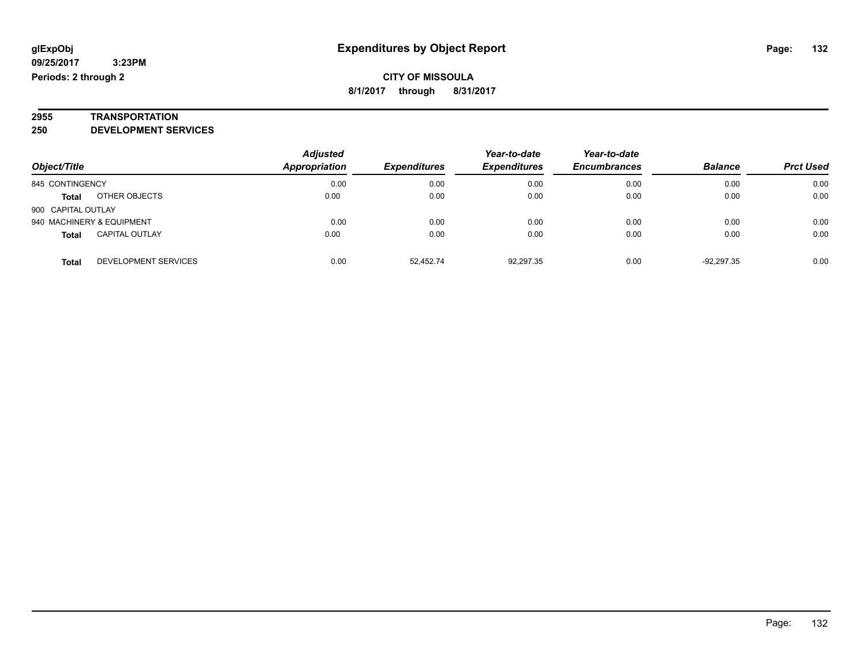# **2955 TRANSPORTATION**

**250 DEVELOPMENT SERVICES**

|                    |                           | <b>Adjusted</b> |                     | Year-to-date        | Year-to-date        |                |                  |
|--------------------|---------------------------|-----------------|---------------------|---------------------|---------------------|----------------|------------------|
| Object/Title       |                           | Appropriation   | <b>Expenditures</b> | <b>Expenditures</b> | <b>Encumbrances</b> | <b>Balance</b> | <b>Prct Used</b> |
| 845 CONTINGENCY    |                           | 0.00            | 0.00                | 0.00                | 0.00                | 0.00           | 0.00             |
| <b>Total</b>       | OTHER OBJECTS             | 0.00            | 0.00                | 0.00                | 0.00                | 0.00           | 0.00             |
| 900 CAPITAL OUTLAY |                           |                 |                     |                     |                     |                |                  |
|                    | 940 MACHINERY & EQUIPMENT | 0.00            | 0.00                | 0.00                | 0.00                | 0.00           | 0.00             |
| <b>Total</b>       | <b>CAPITAL OUTLAY</b>     | 0.00            | 0.00                | 0.00                | 0.00                | 0.00           | 0.00             |
| <b>Total</b>       | DEVELOPMENT SERVICES      | 0.00            | 52.452.74           | 92.297.35           | 0.00                | $-92.297.35$   | 0.00             |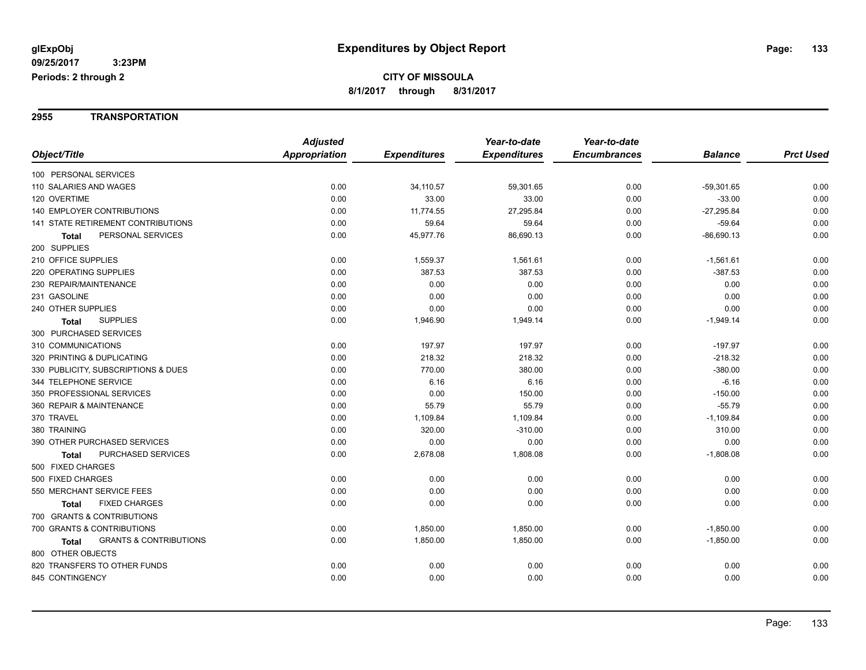#### **2955 TRANSPORTATION**

|                                                   | <b>Adjusted</b>      |                     | Year-to-date        | Year-to-date        |                |                  |
|---------------------------------------------------|----------------------|---------------------|---------------------|---------------------|----------------|------------------|
| Object/Title                                      | <b>Appropriation</b> | <b>Expenditures</b> | <b>Expenditures</b> | <b>Encumbrances</b> | <b>Balance</b> | <b>Prct Used</b> |
| 100 PERSONAL SERVICES                             |                      |                     |                     |                     |                |                  |
| 110 SALARIES AND WAGES                            | 0.00                 | 34,110.57           | 59,301.65           | 0.00                | $-59,301.65$   | 0.00             |
| 120 OVERTIME                                      | 0.00                 | 33.00               | 33.00               | 0.00                | $-33.00$       | 0.00             |
| <b>140 EMPLOYER CONTRIBUTIONS</b>                 | 0.00                 | 11,774.55           | 27,295.84           | 0.00                | $-27,295.84$   | 0.00             |
| 141 STATE RETIREMENT CONTRIBUTIONS                | 0.00                 | 59.64               | 59.64               | 0.00                | $-59.64$       | 0.00             |
| PERSONAL SERVICES<br>Total                        | 0.00                 | 45,977.76           | 86,690.13           | 0.00                | $-86,690.13$   | 0.00             |
| 200 SUPPLIES                                      |                      |                     |                     |                     |                |                  |
| 210 OFFICE SUPPLIES                               | 0.00                 | 1,559.37            | 1,561.61            | 0.00                | $-1,561.61$    | 0.00             |
| 220 OPERATING SUPPLIES                            | 0.00                 | 387.53              | 387.53              | 0.00                | $-387.53$      | 0.00             |
| 230 REPAIR/MAINTENANCE                            | 0.00                 | 0.00                | 0.00                | 0.00                | 0.00           | 0.00             |
| 231 GASOLINE                                      | 0.00                 | 0.00                | 0.00                | 0.00                | 0.00           | 0.00             |
| 240 OTHER SUPPLIES                                | 0.00                 | 0.00                | 0.00                | 0.00                | 0.00           | 0.00             |
| <b>SUPPLIES</b><br><b>Total</b>                   | 0.00                 | 1,946.90            | 1,949.14            | 0.00                | $-1,949.14$    | 0.00             |
| 300 PURCHASED SERVICES                            |                      |                     |                     |                     |                |                  |
| 310 COMMUNICATIONS                                | 0.00                 | 197.97              | 197.97              | 0.00                | $-197.97$      | 0.00             |
| 320 PRINTING & DUPLICATING                        | 0.00                 | 218.32              | 218.32              | 0.00                | $-218.32$      | 0.00             |
| 330 PUBLICITY, SUBSCRIPTIONS & DUES               | 0.00                 | 770.00              | 380.00              | 0.00                | $-380.00$      | 0.00             |
| 344 TELEPHONE SERVICE                             | 0.00                 | 6.16                | 6.16                | 0.00                | $-6.16$        | 0.00             |
| 350 PROFESSIONAL SERVICES                         | 0.00                 | 0.00                | 150.00              | 0.00                | $-150.00$      | 0.00             |
| 360 REPAIR & MAINTENANCE                          | 0.00                 | 55.79               | 55.79               | 0.00                | $-55.79$       | 0.00             |
| 370 TRAVEL                                        | 0.00                 | 1,109.84            | 1,109.84            | 0.00                | $-1,109.84$    | 0.00             |
| 380 TRAINING                                      | 0.00                 | 320.00              | $-310.00$           | 0.00                | 310.00         | 0.00             |
| 390 OTHER PURCHASED SERVICES                      | 0.00                 | 0.00                | 0.00                | 0.00                | 0.00           | 0.00             |
| PURCHASED SERVICES<br>Total                       | 0.00                 | 2,678.08            | 1,808.08            | 0.00                | $-1,808.08$    | 0.00             |
| 500 FIXED CHARGES                                 |                      |                     |                     |                     |                |                  |
| 500 FIXED CHARGES                                 | 0.00                 | 0.00                | 0.00                | 0.00                | 0.00           | 0.00             |
| 550 MERCHANT SERVICE FEES                         | 0.00                 | 0.00                | 0.00                | 0.00                | 0.00           | 0.00             |
| <b>FIXED CHARGES</b><br>Total                     | 0.00                 | 0.00                | 0.00                | 0.00                | 0.00           | 0.00             |
| 700 GRANTS & CONTRIBUTIONS                        |                      |                     |                     |                     |                |                  |
| 700 GRANTS & CONTRIBUTIONS                        | 0.00                 | 1,850.00            | 1,850.00            | 0.00                | $-1,850.00$    | 0.00             |
| <b>GRANTS &amp; CONTRIBUTIONS</b><br><b>Total</b> | 0.00                 | 1,850.00            | 1,850.00            | 0.00                | $-1,850.00$    | 0.00             |
| 800 OTHER OBJECTS                                 |                      |                     |                     |                     |                |                  |
| 820 TRANSFERS TO OTHER FUNDS                      | 0.00                 | 0.00                | 0.00                | 0.00                | 0.00           | 0.00             |
| 845 CONTINGENCY                                   | 0.00                 | 0.00                | 0.00                | 0.00                | 0.00           | 0.00             |
|                                                   |                      |                     |                     |                     |                |                  |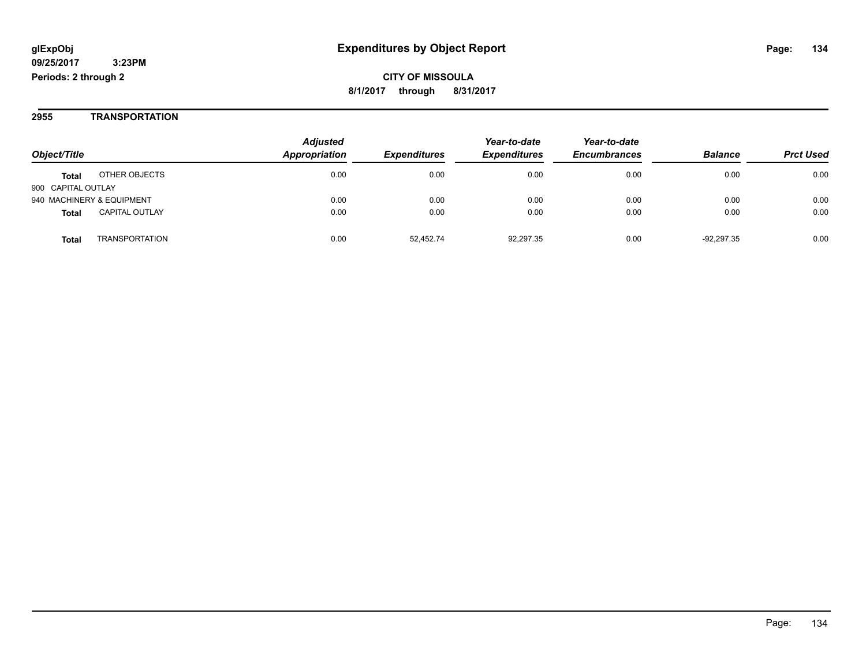#### **2955 TRANSPORTATION**

|                           |                       | <b>Adjusted</b> |                     | Year-to-date        | Year-to-date        |                |                  |
|---------------------------|-----------------------|-----------------|---------------------|---------------------|---------------------|----------------|------------------|
| Object/Title              |                       | Appropriation   | <b>Expenditures</b> | <b>Expenditures</b> | <b>Encumbrances</b> | <b>Balance</b> | <b>Prct Used</b> |
| <b>Total</b>              | OTHER OBJECTS         | 0.00            | 0.00                | 0.00                | 0.00                | 0.00           | 0.00             |
| 900 CAPITAL OUTLAY        |                       |                 |                     |                     |                     |                |                  |
| 940 MACHINERY & EQUIPMENT |                       | 0.00            | 0.00                | 0.00                | 0.00                | 0.00           | 0.00             |
| <b>Total</b>              | <b>CAPITAL OUTLAY</b> | 0.00            | 0.00                | 0.00                | 0.00                | 0.00           | 0.00             |
| Total                     | TRANSPORTATION        | 0.00            | 52.452.74           | 92.297.35           | 0.00                | $-92.297.35$   | 0.00             |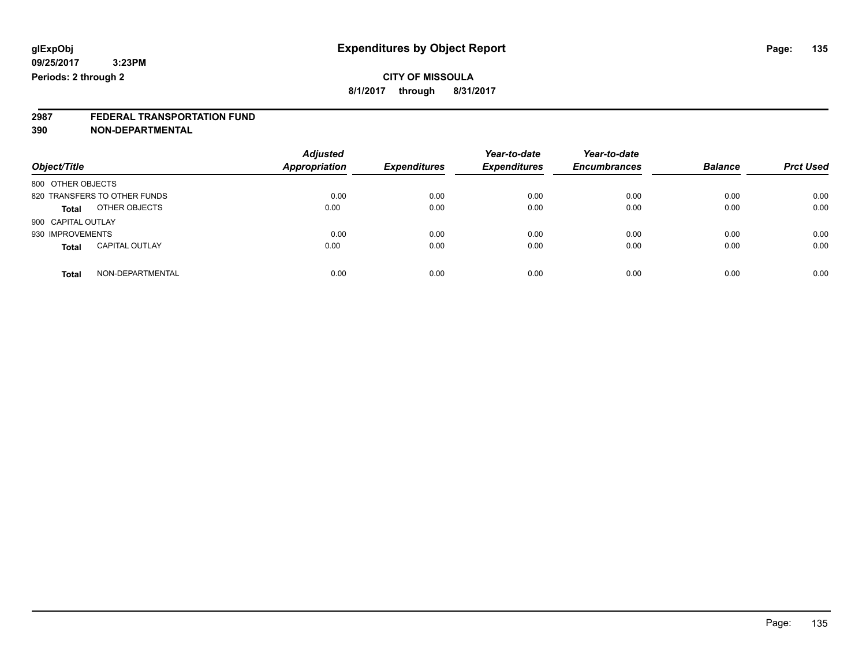**2987 FEDERAL TRANSPORTATION FUND**

**390 NON-DEPARTMENTAL**

| Object/Title                          | <b>Adjusted</b><br><b>Appropriation</b> | <b>Expenditures</b> | Year-to-date<br><b>Expenditures</b> | Year-to-date<br><b>Encumbrances</b> | <b>Balance</b> | <b>Prct Used</b> |
|---------------------------------------|-----------------------------------------|---------------------|-------------------------------------|-------------------------------------|----------------|------------------|
| 800 OTHER OBJECTS                     |                                         |                     |                                     |                                     |                |                  |
| 820 TRANSFERS TO OTHER FUNDS          | 0.00                                    | 0.00                | 0.00                                | 0.00                                | 0.00           | 0.00             |
| OTHER OBJECTS<br><b>Total</b>         | 0.00                                    | 0.00                | 0.00                                | 0.00                                | 0.00           | 0.00             |
| 900 CAPITAL OUTLAY                    |                                         |                     |                                     |                                     |                |                  |
| 930 IMPROVEMENTS                      | 0.00                                    | 0.00                | 0.00                                | 0.00                                | 0.00           | 0.00             |
| <b>CAPITAL OUTLAY</b><br><b>Total</b> | 0.00                                    | 0.00                | 0.00                                | 0.00                                | 0.00           | 0.00             |
| NON-DEPARTMENTAL<br>Total             | 0.00                                    | 0.00                | 0.00                                | 0.00                                | 0.00           | 0.00             |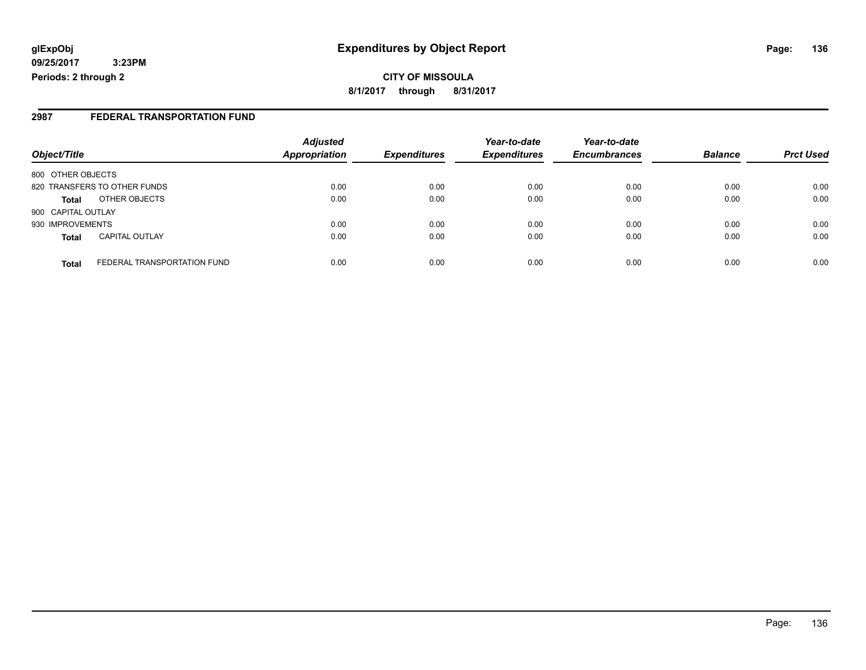### **2987 FEDERAL TRANSPORTATION FUND**

|                                             | <b>Adjusted</b>      |                     | Year-to-date        | Year-to-date        |                |                  |
|---------------------------------------------|----------------------|---------------------|---------------------|---------------------|----------------|------------------|
| Object/Title                                | <b>Appropriation</b> | <b>Expenditures</b> | <b>Expenditures</b> | <b>Encumbrances</b> | <b>Balance</b> | <b>Prct Used</b> |
| 800 OTHER OBJECTS                           |                      |                     |                     |                     |                |                  |
| 820 TRANSFERS TO OTHER FUNDS                | 0.00                 | 0.00                | 0.00                | 0.00                | 0.00           | 0.00             |
| OTHER OBJECTS<br><b>Total</b>               | 0.00                 | 0.00                | 0.00                | 0.00                | 0.00           | 0.00             |
| 900 CAPITAL OUTLAY                          |                      |                     |                     |                     |                |                  |
| 930 IMPROVEMENTS                            | 0.00                 | 0.00                | 0.00                | 0.00                | 0.00           | 0.00             |
| <b>CAPITAL OUTLAY</b><br><b>Total</b>       | 0.00                 | 0.00                | 0.00                | 0.00                | 0.00           | 0.00             |
| FEDERAL TRANSPORTATION FUND<br><b>Total</b> | 0.00                 | 0.00                | 0.00                | 0.00                | 0.00           | 0.00             |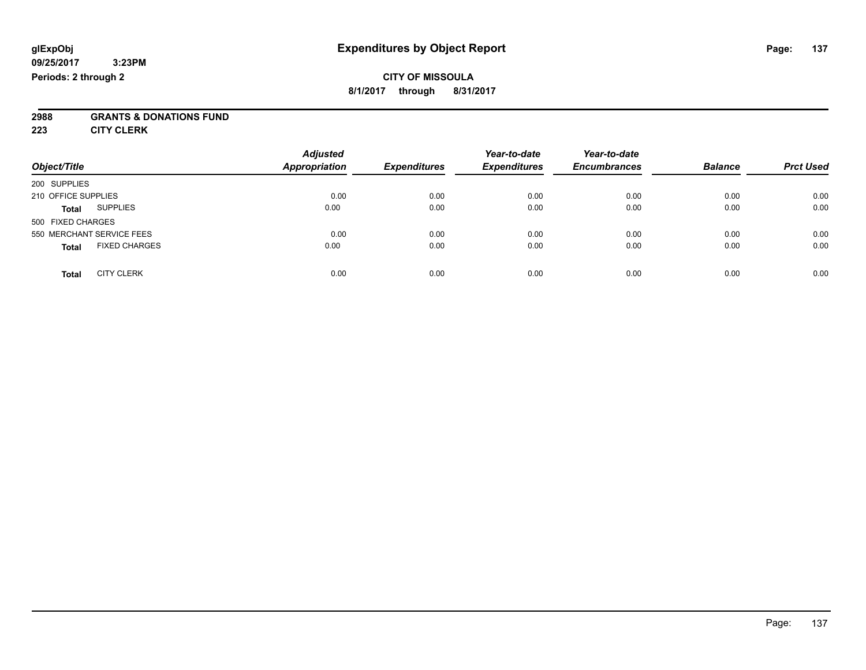### **CITY OF MISSOULA 8/1/2017 through 8/31/2017**

# **2988 GRANTS & DONATIONS FUND**

**223 CITY CLERK**

| Object/Title                         | <b>Adjusted</b><br><b>Appropriation</b> | <b>Expenditures</b> | Year-to-date<br><b>Expenditures</b> | Year-to-date<br><b>Encumbrances</b> | <b>Balance</b> | <b>Prct Used</b> |
|--------------------------------------|-----------------------------------------|---------------------|-------------------------------------|-------------------------------------|----------------|------------------|
| 200 SUPPLIES                         |                                         |                     |                                     |                                     |                |                  |
| 210 OFFICE SUPPLIES                  | 0.00                                    | 0.00                | 0.00                                | 0.00                                | 0.00           | 0.00             |
| <b>SUPPLIES</b><br><b>Total</b>      | 0.00                                    | 0.00                | 0.00                                | 0.00                                | 0.00           | 0.00             |
| 500 FIXED CHARGES                    |                                         |                     |                                     |                                     |                |                  |
| 550 MERCHANT SERVICE FEES            | 0.00                                    | 0.00                | 0.00                                | 0.00                                | 0.00           | 0.00             |
| <b>FIXED CHARGES</b><br><b>Total</b> | 0.00                                    | 0.00                | 0.00                                | 0.00                                | 0.00           | 0.00             |
| <b>CITY CLERK</b><br>Total           | 0.00                                    | 0.00                | 0.00                                | 0.00                                | 0.00           | 0.00             |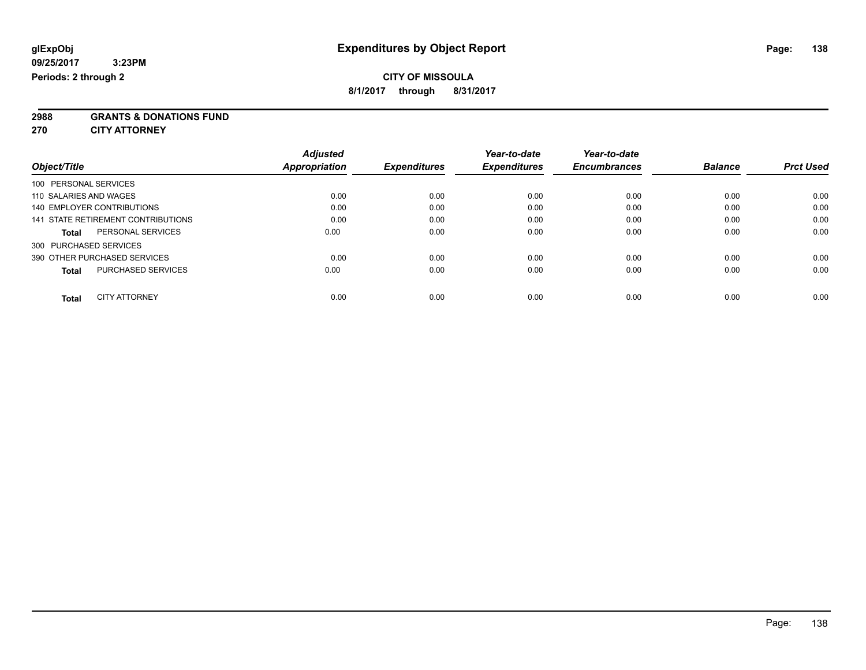## **CITY OF MISSOULA**

**8/1/2017 through 8/31/2017**

**2988 GRANTS & DONATIONS FUND**

**270 CITY ATTORNEY**

| Object/Title                       |                      | <b>Adjusted</b><br><b>Appropriation</b> | <b>Expenditures</b> | Year-to-date<br><b>Expenditures</b> | Year-to-date<br><b>Encumbrances</b> | <b>Balance</b> | <b>Prct Used</b> |
|------------------------------------|----------------------|-----------------------------------------|---------------------|-------------------------------------|-------------------------------------|----------------|------------------|
| 100 PERSONAL SERVICES              |                      |                                         |                     |                                     |                                     |                |                  |
| 110 SALARIES AND WAGES             |                      | 0.00                                    | 0.00                | 0.00                                | 0.00                                | 0.00           | 0.00             |
| 140 EMPLOYER CONTRIBUTIONS         |                      | 0.00                                    | 0.00                | 0.00                                | 0.00                                | 0.00           | 0.00             |
| 141 STATE RETIREMENT CONTRIBUTIONS |                      | 0.00                                    | 0.00                | 0.00                                | 0.00                                | 0.00           | 0.00             |
| Total                              | PERSONAL SERVICES    | 0.00                                    | 0.00                | 0.00                                | 0.00                                | 0.00           | 0.00             |
| 300 PURCHASED SERVICES             |                      |                                         |                     |                                     |                                     |                |                  |
| 390 OTHER PURCHASED SERVICES       |                      | 0.00                                    | 0.00                | 0.00                                | 0.00                                | 0.00           | 0.00             |
| <b>Total</b>                       | PURCHASED SERVICES   | 0.00                                    | 0.00                | 0.00                                | 0.00                                | 0.00           | 0.00             |
| <b>Total</b>                       | <b>CITY ATTORNEY</b> | 0.00                                    | 0.00                | 0.00                                | 0.00                                | 0.00           | 0.00             |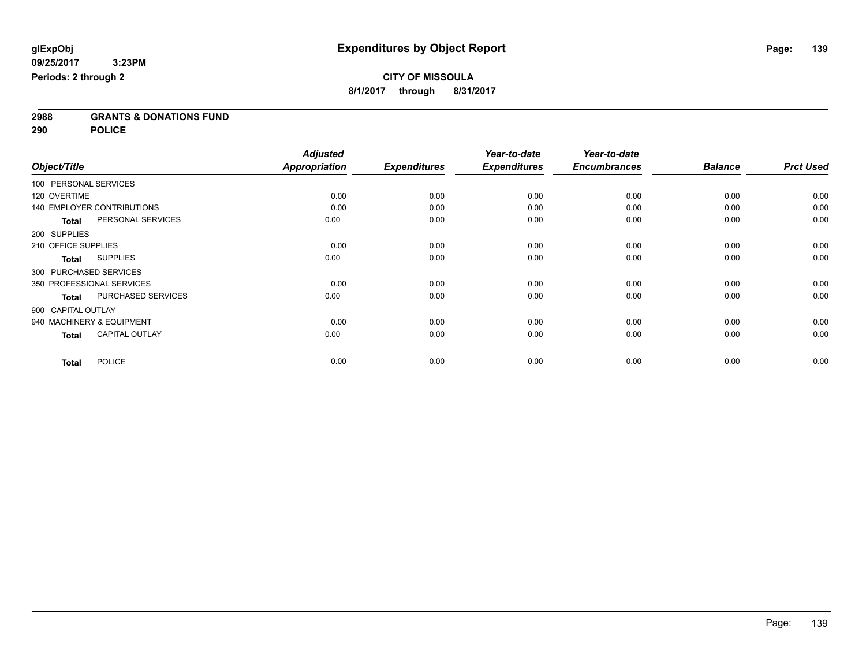**2988 GRANTS & DONATIONS FUND**

**290 POLICE**

|                           |                                   | <b>Adjusted</b>      |                     | Year-to-date        | Year-to-date        |                |                  |
|---------------------------|-----------------------------------|----------------------|---------------------|---------------------|---------------------|----------------|------------------|
| Object/Title              |                                   | <b>Appropriation</b> | <b>Expenditures</b> | <b>Expenditures</b> | <b>Encumbrances</b> | <b>Balance</b> | <b>Prct Used</b> |
| 100 PERSONAL SERVICES     |                                   |                      |                     |                     |                     |                |                  |
| 120 OVERTIME              |                                   | 0.00                 | 0.00                | 0.00                | 0.00                | 0.00           | 0.00             |
|                           | <b>140 EMPLOYER CONTRIBUTIONS</b> | 0.00                 | 0.00                | 0.00                | 0.00                | 0.00           | 0.00             |
| <b>Total</b>              | PERSONAL SERVICES                 | 0.00                 | 0.00                | 0.00                | 0.00                | 0.00           | 0.00             |
| 200 SUPPLIES              |                                   |                      |                     |                     |                     |                |                  |
| 210 OFFICE SUPPLIES       |                                   | 0.00                 | 0.00                | 0.00                | 0.00                | 0.00           | 0.00             |
| Total                     | <b>SUPPLIES</b>                   | 0.00                 | 0.00                | 0.00                | 0.00                | 0.00           | 0.00             |
| 300 PURCHASED SERVICES    |                                   |                      |                     |                     |                     |                |                  |
| 350 PROFESSIONAL SERVICES |                                   | 0.00                 | 0.00                | 0.00                | 0.00                | 0.00           | 0.00             |
| <b>Total</b>              | PURCHASED SERVICES                | 0.00                 | 0.00                | 0.00                | 0.00                | 0.00           | 0.00             |
| 900 CAPITAL OUTLAY        |                                   |                      |                     |                     |                     |                |                  |
| 940 MACHINERY & EQUIPMENT |                                   | 0.00                 | 0.00                | 0.00                | 0.00                | 0.00           | 0.00             |
| <b>Total</b>              | <b>CAPITAL OUTLAY</b>             | 0.00                 | 0.00                | 0.00                | 0.00                | 0.00           | 0.00             |
| <b>Total</b>              | <b>POLICE</b>                     | 0.00                 | 0.00                | 0.00                | 0.00                | 0.00           | 0.00             |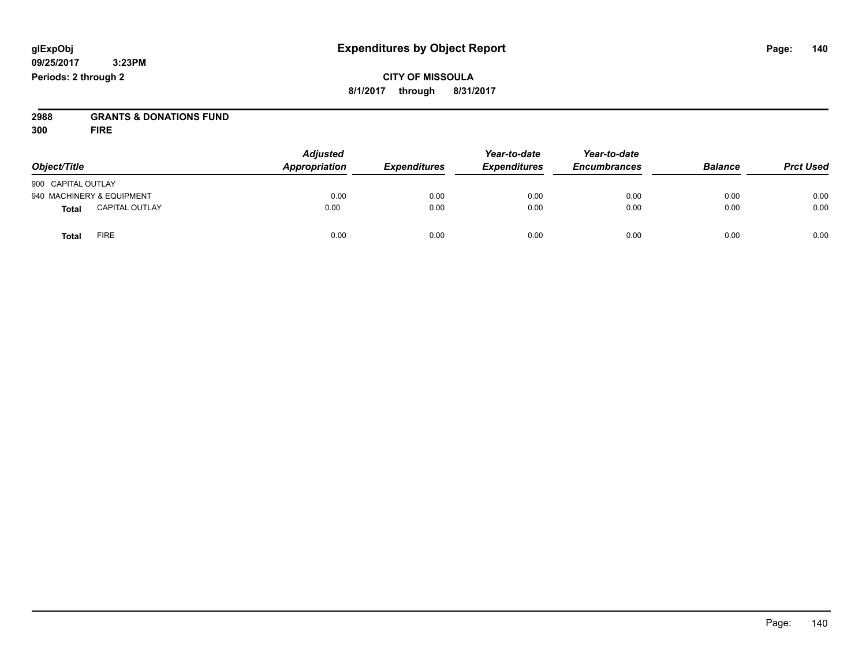## **CITY OF MISSOULA 8/1/2017 through 8/31/2017**

# **2988 GRANTS & DONATIONS FUND**

**300 FIRE**

|                           |                       | <b>Adjusted</b> | Year-to-date        | Year-to-date        |                     |                |                  |
|---------------------------|-----------------------|-----------------|---------------------|---------------------|---------------------|----------------|------------------|
| Object/Title              |                       | Appropriation   | <b>Expenditures</b> | <b>Expenditures</b> | <b>Encumbrances</b> | <b>Balance</b> | <b>Prct Used</b> |
| 900 CAPITAL OUTLAY        |                       |                 |                     |                     |                     |                |                  |
| 940 MACHINERY & EQUIPMENT |                       | 0.00            | 0.00                | 0.00                | 0.00                | 0.00           | 0.00             |
| <b>Total</b>              | <b>CAPITAL OUTLAY</b> | 0.00            | 0.00                | 0.00                | 0.00                | 0.00           | 0.00             |
| <b>Total</b>              | <b>FIRE</b>           | 0.00            | 0.00                | 0.00                | 0.00                | 0.00           | 0.00             |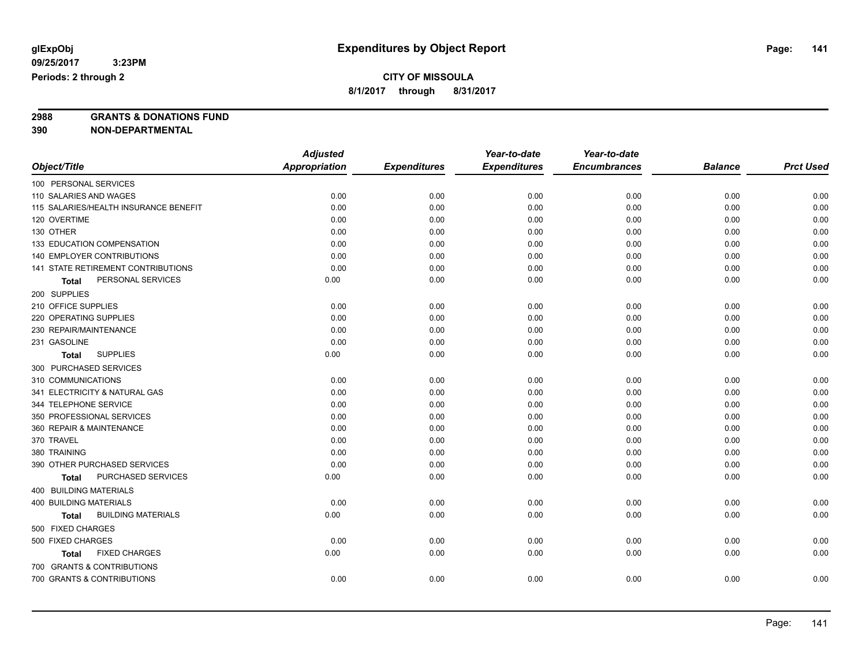# **CITY OF MISSOULA**

**8/1/2017 through 8/31/2017**

**2988 GRANTS & DONATIONS FUND**

**390 NON-DEPARTMENTAL**

|                                       | <b>Adjusted</b>      |                     | Year-to-date        | Year-to-date        |                |                  |
|---------------------------------------|----------------------|---------------------|---------------------|---------------------|----------------|------------------|
| Object/Title                          | <b>Appropriation</b> | <b>Expenditures</b> | <b>Expenditures</b> | <b>Encumbrances</b> | <b>Balance</b> | <b>Prct Used</b> |
| 100 PERSONAL SERVICES                 |                      |                     |                     |                     |                |                  |
| 110 SALARIES AND WAGES                | 0.00                 | 0.00                | 0.00                | 0.00                | 0.00           | 0.00             |
| 115 SALARIES/HEALTH INSURANCE BENEFIT | 0.00                 | 0.00                | 0.00                | 0.00                | 0.00           | 0.00             |
| 120 OVERTIME                          | 0.00                 | 0.00                | 0.00                | 0.00                | 0.00           | 0.00             |
| 130 OTHER                             | 0.00                 | 0.00                | 0.00                | 0.00                | 0.00           | 0.00             |
| 133 EDUCATION COMPENSATION            | 0.00                 | 0.00                | 0.00                | 0.00                | 0.00           | 0.00             |
| 140 EMPLOYER CONTRIBUTIONS            | 0.00                 | 0.00                | 0.00                | 0.00                | 0.00           | 0.00             |
| 141 STATE RETIREMENT CONTRIBUTIONS    | 0.00                 | 0.00                | 0.00                | 0.00                | 0.00           | 0.00             |
| PERSONAL SERVICES<br>Total            | 0.00                 | 0.00                | 0.00                | 0.00                | 0.00           | 0.00             |
| 200 SUPPLIES                          |                      |                     |                     |                     |                |                  |
| 210 OFFICE SUPPLIES                   | 0.00                 | 0.00                | 0.00                | 0.00                | 0.00           | 0.00             |
| 220 OPERATING SUPPLIES                | 0.00                 | 0.00                | 0.00                | 0.00                | 0.00           | 0.00             |
| 230 REPAIR/MAINTENANCE                | 0.00                 | 0.00                | 0.00                | 0.00                | 0.00           | 0.00             |
| 231 GASOLINE                          | 0.00                 | 0.00                | 0.00                | 0.00                | 0.00           | 0.00             |
| <b>SUPPLIES</b><br>Total              | 0.00                 | 0.00                | 0.00                | 0.00                | 0.00           | 0.00             |
| 300 PURCHASED SERVICES                |                      |                     |                     |                     |                |                  |
| 310 COMMUNICATIONS                    | 0.00                 | 0.00                | 0.00                | 0.00                | 0.00           | 0.00             |
| 341 ELECTRICITY & NATURAL GAS         | 0.00                 | 0.00                | 0.00                | 0.00                | 0.00           | 0.00             |
| 344 TELEPHONE SERVICE                 | 0.00                 | 0.00                | 0.00                | 0.00                | 0.00           | 0.00             |
| 350 PROFESSIONAL SERVICES             | 0.00                 | 0.00                | 0.00                | 0.00                | 0.00           | 0.00             |
| 360 REPAIR & MAINTENANCE              | 0.00                 | 0.00                | 0.00                | 0.00                | 0.00           | 0.00             |
| 370 TRAVEL                            | 0.00                 | 0.00                | 0.00                | 0.00                | 0.00           | 0.00             |
| 380 TRAINING                          | 0.00                 | 0.00                | 0.00                | 0.00                | 0.00           | 0.00             |
| 390 OTHER PURCHASED SERVICES          | 0.00                 | 0.00                | 0.00                | 0.00                | 0.00           | 0.00             |
| PURCHASED SERVICES<br>Total           | 0.00                 | 0.00                | 0.00                | 0.00                | 0.00           | 0.00             |
| 400 BUILDING MATERIALS                |                      |                     |                     |                     |                |                  |
| <b>400 BUILDING MATERIALS</b>         | 0.00                 | 0.00                | 0.00                | 0.00                | 0.00           | 0.00             |
| <b>BUILDING MATERIALS</b><br>Total    | 0.00                 | 0.00                | 0.00                | 0.00                | 0.00           | 0.00             |
| 500 FIXED CHARGES                     |                      |                     |                     |                     |                |                  |
| 500 FIXED CHARGES                     | 0.00                 | 0.00                | 0.00                | 0.00                | 0.00           | 0.00             |
| <b>FIXED CHARGES</b><br>Total         | 0.00                 | 0.00                | 0.00                | 0.00                | 0.00           | 0.00             |
| 700 GRANTS & CONTRIBUTIONS            |                      |                     |                     |                     |                |                  |
| 700 GRANTS & CONTRIBUTIONS            | 0.00                 | 0.00                | 0.00                | 0.00                | 0.00           | 0.00             |
|                                       |                      |                     |                     |                     |                |                  |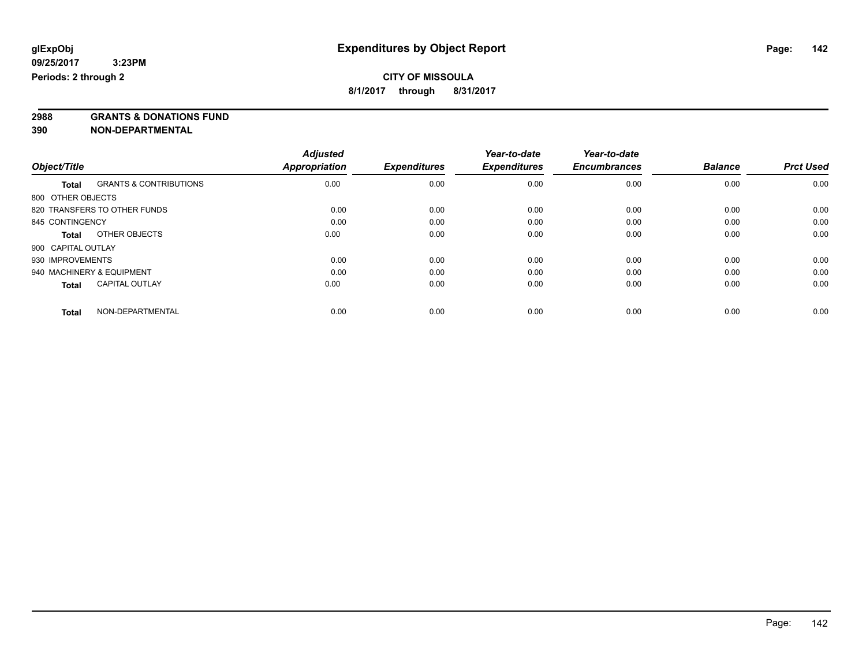**2988 GRANTS & DONATIONS FUND**

**390 NON-DEPARTMENTAL**

|                    |                                   | <b>Adjusted</b> |                     | Year-to-date        | Year-to-date        |                |                  |
|--------------------|-----------------------------------|-----------------|---------------------|---------------------|---------------------|----------------|------------------|
| Object/Title       |                                   | Appropriation   | <b>Expenditures</b> | <b>Expenditures</b> | <b>Encumbrances</b> | <b>Balance</b> | <b>Prct Used</b> |
| <b>Total</b>       | <b>GRANTS &amp; CONTRIBUTIONS</b> | 0.00            | 0.00                | 0.00                | 0.00                | 0.00           | 0.00             |
| 800 OTHER OBJECTS  |                                   |                 |                     |                     |                     |                |                  |
|                    | 820 TRANSFERS TO OTHER FUNDS      | 0.00            | 0.00                | 0.00                | 0.00                | 0.00           | 0.00             |
| 845 CONTINGENCY    |                                   | 0.00            | 0.00                | 0.00                | 0.00                | 0.00           | 0.00             |
| <b>Total</b>       | OTHER OBJECTS                     | 0.00            | 0.00                | 0.00                | 0.00                | 0.00           | 0.00             |
| 900 CAPITAL OUTLAY |                                   |                 |                     |                     |                     |                |                  |
| 930 IMPROVEMENTS   |                                   | 0.00            | 0.00                | 0.00                | 0.00                | 0.00           | 0.00             |
|                    | 940 MACHINERY & EQUIPMENT         | 0.00            | 0.00                | 0.00                | 0.00                | 0.00           | 0.00             |
| <b>Total</b>       | <b>CAPITAL OUTLAY</b>             | 0.00            | 0.00                | 0.00                | 0.00                | 0.00           | 0.00             |
| <b>Total</b>       | NON-DEPARTMENTAL                  | 0.00            | 0.00                | 0.00                | 0.00                | 0.00           | 0.00             |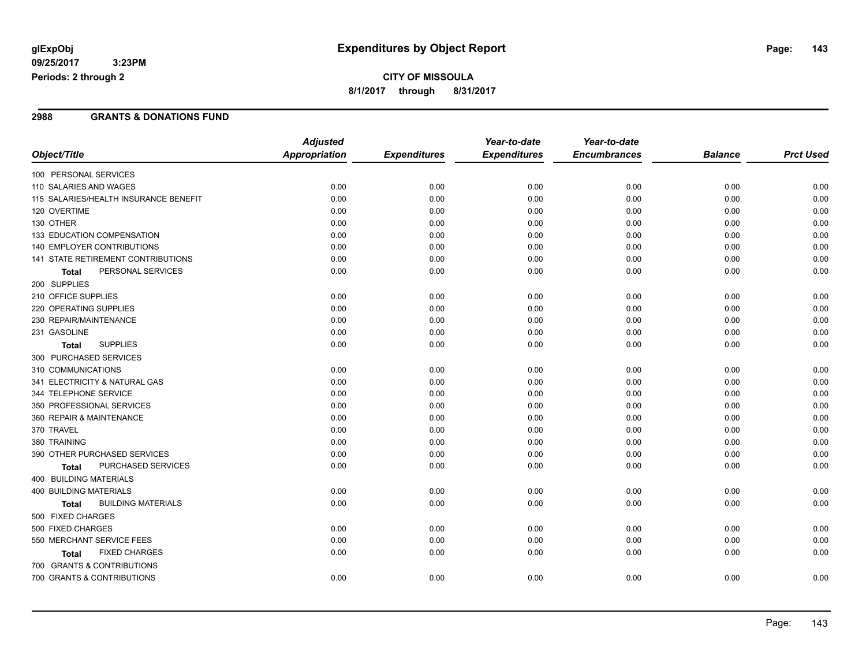## **CITY OF MISSOULA 8/1/2017 through 8/31/2017**

### **2988 GRANTS & DONATIONS FUND**

|                                           | <b>Adjusted</b>      |                     | Year-to-date        | Year-to-date        |                |                  |
|-------------------------------------------|----------------------|---------------------|---------------------|---------------------|----------------|------------------|
| Object/Title                              | <b>Appropriation</b> | <b>Expenditures</b> | <b>Expenditures</b> | <b>Encumbrances</b> | <b>Balance</b> | <b>Prct Used</b> |
| 100 PERSONAL SERVICES                     |                      |                     |                     |                     |                |                  |
| 110 SALARIES AND WAGES                    | 0.00                 | 0.00                | 0.00                | 0.00                | 0.00           | 0.00             |
| 115 SALARIES/HEALTH INSURANCE BENEFIT     | 0.00                 | 0.00                | 0.00                | 0.00                | 0.00           | 0.00             |
| 120 OVERTIME                              | 0.00                 | 0.00                | 0.00                | 0.00                | 0.00           | 0.00             |
| 130 OTHER                                 | 0.00                 | 0.00                | 0.00                | 0.00                | 0.00           | 0.00             |
| 133 EDUCATION COMPENSATION                | 0.00                 | 0.00                | 0.00                | 0.00                | 0.00           | 0.00             |
| 140 EMPLOYER CONTRIBUTIONS                | 0.00                 | 0.00                | 0.00                | 0.00                | 0.00           | 0.00             |
| 141 STATE RETIREMENT CONTRIBUTIONS        | 0.00                 | 0.00                | 0.00                | 0.00                | 0.00           | 0.00             |
| PERSONAL SERVICES<br><b>Total</b>         | 0.00                 | 0.00                | 0.00                | 0.00                | 0.00           | 0.00             |
| 200 SUPPLIES                              |                      |                     |                     |                     |                |                  |
| 210 OFFICE SUPPLIES                       | 0.00                 | 0.00                | 0.00                | 0.00                | 0.00           | 0.00             |
| 220 OPERATING SUPPLIES                    | 0.00                 | 0.00                | 0.00                | 0.00                | 0.00           | 0.00             |
| 230 REPAIR/MAINTENANCE                    | 0.00                 | 0.00                | 0.00                | 0.00                | 0.00           | 0.00             |
| 231 GASOLINE                              | 0.00                 | 0.00                | 0.00                | 0.00                | 0.00           | 0.00             |
| <b>SUPPLIES</b><br><b>Total</b>           | 0.00                 | 0.00                | 0.00                | 0.00                | 0.00           | 0.00             |
| 300 PURCHASED SERVICES                    |                      |                     |                     |                     |                |                  |
| 310 COMMUNICATIONS                        | 0.00                 | 0.00                | 0.00                | 0.00                | 0.00           | 0.00             |
| 341 ELECTRICITY & NATURAL GAS             | 0.00                 | 0.00                | 0.00                | 0.00                | 0.00           | 0.00             |
| 344 TELEPHONE SERVICE                     | 0.00                 | 0.00                | 0.00                | 0.00                | 0.00           | 0.00             |
| 350 PROFESSIONAL SERVICES                 | 0.00                 | 0.00                | 0.00                | 0.00                | 0.00           | 0.00             |
| 360 REPAIR & MAINTENANCE                  | 0.00                 | 0.00                | 0.00                | 0.00                | 0.00           | 0.00             |
| 370 TRAVEL                                | 0.00                 | 0.00                | 0.00                | 0.00                | 0.00           | 0.00             |
| 380 TRAINING                              | 0.00                 | 0.00                | 0.00                | 0.00                | 0.00           | 0.00             |
| 390 OTHER PURCHASED SERVICES              | 0.00                 | 0.00                | 0.00                | 0.00                | 0.00           | 0.00             |
| PURCHASED SERVICES<br><b>Total</b>        | 0.00                 | 0.00                | 0.00                | 0.00                | 0.00           | 0.00             |
| 400 BUILDING MATERIALS                    |                      |                     |                     |                     |                |                  |
| <b>400 BUILDING MATERIALS</b>             | 0.00                 | 0.00                | 0.00                | 0.00                | 0.00           | 0.00             |
| <b>BUILDING MATERIALS</b><br><b>Total</b> | 0.00                 | 0.00                | 0.00                | 0.00                | 0.00           | 0.00             |
| 500 FIXED CHARGES                         |                      |                     |                     |                     |                |                  |
| 500 FIXED CHARGES                         | 0.00                 | 0.00                | 0.00                | 0.00                | 0.00           | 0.00             |
| 550 MERCHANT SERVICE FEES                 | 0.00                 | 0.00                | 0.00                | 0.00                | 0.00           | 0.00             |
| <b>FIXED CHARGES</b><br><b>Total</b>      | 0.00                 | 0.00                | 0.00                | 0.00                | 0.00           | 0.00             |
| 700 GRANTS & CONTRIBUTIONS                |                      |                     |                     |                     |                |                  |
| 700 GRANTS & CONTRIBUTIONS                | 0.00                 | 0.00                | 0.00                | 0.00                | 0.00           | 0.00             |
|                                           |                      |                     |                     |                     |                |                  |

Page: 143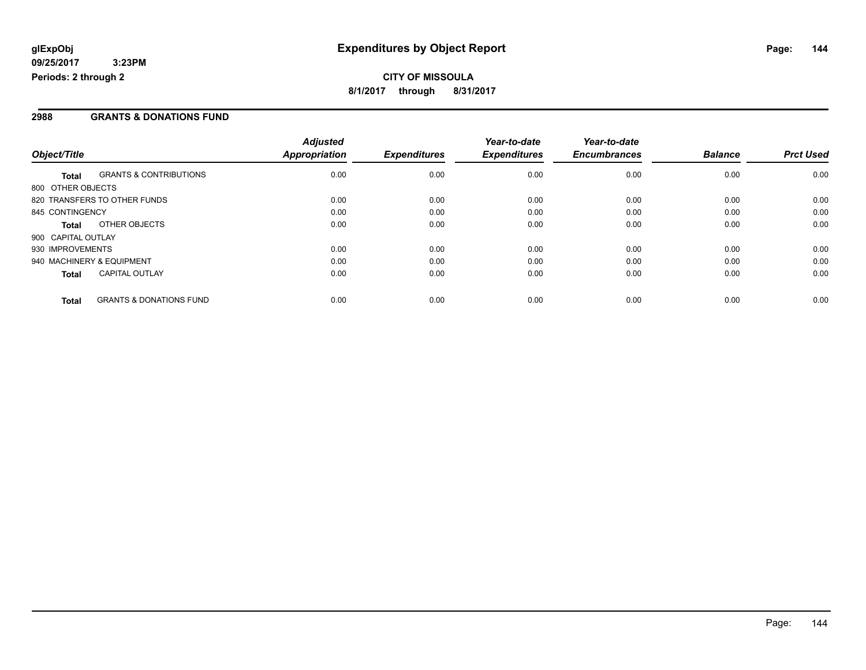### **2988 GRANTS & DONATIONS FUND**

|                    |                                    | <b>Adjusted</b> |                     | Year-to-date        | Year-to-date        |                |                  |
|--------------------|------------------------------------|-----------------|---------------------|---------------------|---------------------|----------------|------------------|
| Object/Title       |                                    | Appropriation   | <b>Expenditures</b> | <b>Expenditures</b> | <b>Encumbrances</b> | <b>Balance</b> | <b>Prct Used</b> |
| <b>Total</b>       | <b>GRANTS &amp; CONTRIBUTIONS</b>  | 0.00            | 0.00                | 0.00                | 0.00                | 0.00           | 0.00             |
| 800 OTHER OBJECTS  |                                    |                 |                     |                     |                     |                |                  |
|                    | 820 TRANSFERS TO OTHER FUNDS       | 0.00            | 0.00                | 0.00                | 0.00                | 0.00           | 0.00             |
| 845 CONTINGENCY    |                                    | 0.00            | 0.00                | 0.00                | 0.00                | 0.00           | 0.00             |
| <b>Total</b>       | OTHER OBJECTS                      | 0.00            | 0.00                | 0.00                | 0.00                | 0.00           | 0.00             |
| 900 CAPITAL OUTLAY |                                    |                 |                     |                     |                     |                |                  |
| 930 IMPROVEMENTS   |                                    | 0.00            | 0.00                | 0.00                | 0.00                | 0.00           | 0.00             |
|                    | 940 MACHINERY & EQUIPMENT          | 0.00            | 0.00                | 0.00                | 0.00                | 0.00           | 0.00             |
| <b>Total</b>       | <b>CAPITAL OUTLAY</b>              | 0.00            | 0.00                | 0.00                | 0.00                | 0.00           | 0.00             |
| <b>Total</b>       | <b>GRANTS &amp; DONATIONS FUND</b> | 0.00            | 0.00                | 0.00                | 0.00                | 0.00           | 0.00             |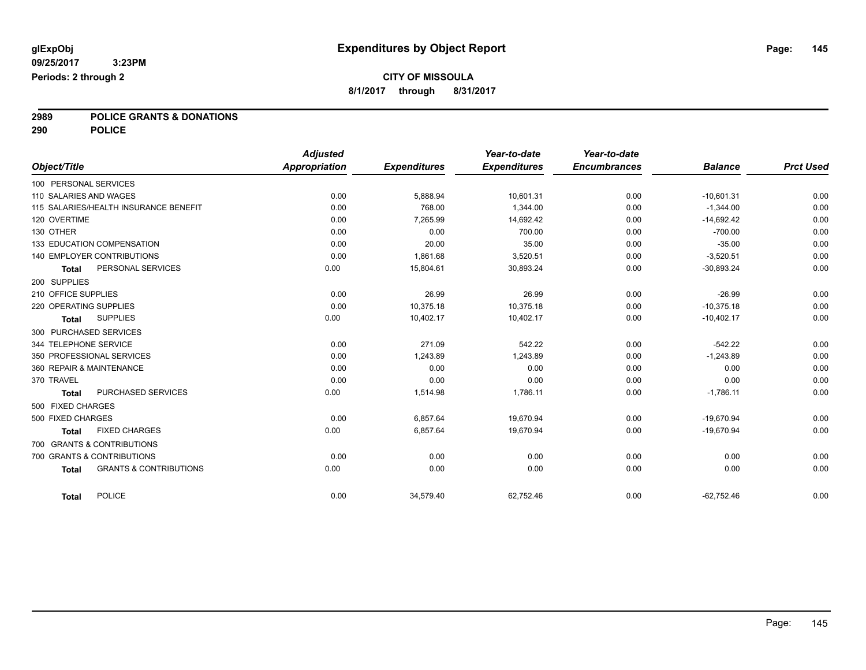# **2989 POLICE GRANTS & DONATIONS**

**290 POLICE**

|                        |                                       | <b>Adjusted</b> |                     | Year-to-date        | Year-to-date        |                |                  |
|------------------------|---------------------------------------|-----------------|---------------------|---------------------|---------------------|----------------|------------------|
| Object/Title           |                                       | Appropriation   | <b>Expenditures</b> | <b>Expenditures</b> | <b>Encumbrances</b> | <b>Balance</b> | <b>Prct Used</b> |
| 100 PERSONAL SERVICES  |                                       |                 |                     |                     |                     |                |                  |
| 110 SALARIES AND WAGES |                                       | 0.00            | 5.888.94            | 10.601.31           | 0.00                | $-10.601.31$   | 0.00             |
|                        | 115 SALARIES/HEALTH INSURANCE BENEFIT | 0.00            | 768.00              | 1.344.00            | 0.00                | $-1.344.00$    | 0.00             |
| 120 OVERTIME           |                                       | 0.00            | 7.265.99            | 14,692.42           | 0.00                | $-14,692.42$   | 0.00             |
| 130 OTHER              |                                       | 0.00            | 0.00                | 700.00              | 0.00                | $-700.00$      | 0.00             |
|                        | 133 EDUCATION COMPENSATION            | 0.00            | 20.00               | 35.00               | 0.00                | $-35.00$       | 0.00             |
|                        | <b>140 EMPLOYER CONTRIBUTIONS</b>     | 0.00            | 1,861.68            | 3,520.51            | 0.00                | $-3,520.51$    | 0.00             |
| <b>Total</b>           | PERSONAL SERVICES                     | 0.00            | 15,804.61           | 30,893.24           | 0.00                | $-30,893.24$   | 0.00             |
| 200 SUPPLIES           |                                       |                 |                     |                     |                     |                |                  |
| 210 OFFICE SUPPLIES    |                                       | 0.00            | 26.99               | 26.99               | 0.00                | $-26.99$       | 0.00             |
| 220 OPERATING SUPPLIES |                                       | 0.00            | 10.375.18           | 10.375.18           | 0.00                | $-10.375.18$   | 0.00             |
| <b>Total</b>           | <b>SUPPLIES</b>                       | 0.00            | 10,402.17           | 10,402.17           | 0.00                | $-10,402.17$   | 0.00             |
|                        | 300 PURCHASED SERVICES                |                 |                     |                     |                     |                |                  |
| 344 TELEPHONE SERVICE  |                                       | 0.00            | 271.09              | 542.22              | 0.00                | $-542.22$      | 0.00             |
|                        | 350 PROFESSIONAL SERVICES             | 0.00            | 1,243.89            | 1,243.89            | 0.00                | $-1,243.89$    | 0.00             |
|                        | 360 REPAIR & MAINTENANCE              | 0.00            | 0.00                | 0.00                | 0.00                | 0.00           | 0.00             |
| 370 TRAVEL             |                                       | 0.00            | 0.00                | 0.00                | 0.00                | 0.00           | 0.00             |
| <b>Total</b>           | PURCHASED SERVICES                    | 0.00            | 1,514.98            | 1,786.11            | 0.00                | $-1,786.11$    | 0.00             |
| 500 FIXED CHARGES      |                                       |                 |                     |                     |                     |                |                  |
| 500 FIXED CHARGES      |                                       | 0.00            | 6,857.64            | 19,670.94           | 0.00                | $-19,670.94$   | 0.00             |
| <b>Total</b>           | <b>FIXED CHARGES</b>                  | 0.00            | 6,857.64            | 19,670.94           | 0.00                | $-19.670.94$   | 0.00             |
|                        | 700 GRANTS & CONTRIBUTIONS            |                 |                     |                     |                     |                |                  |
|                        | 700 GRANTS & CONTRIBUTIONS            | 0.00            | 0.00                | 0.00                | 0.00                | 0.00           | 0.00             |
| <b>Total</b>           | <b>GRANTS &amp; CONTRIBUTIONS</b>     | 0.00            | 0.00                | 0.00                | 0.00                | 0.00           | 0.00             |
|                        |                                       |                 |                     |                     |                     |                |                  |
| <b>Total</b>           | <b>POLICE</b>                         | 0.00            | 34,579.40           | 62,752.46           | 0.00                | $-62.752.46$   | 0.00             |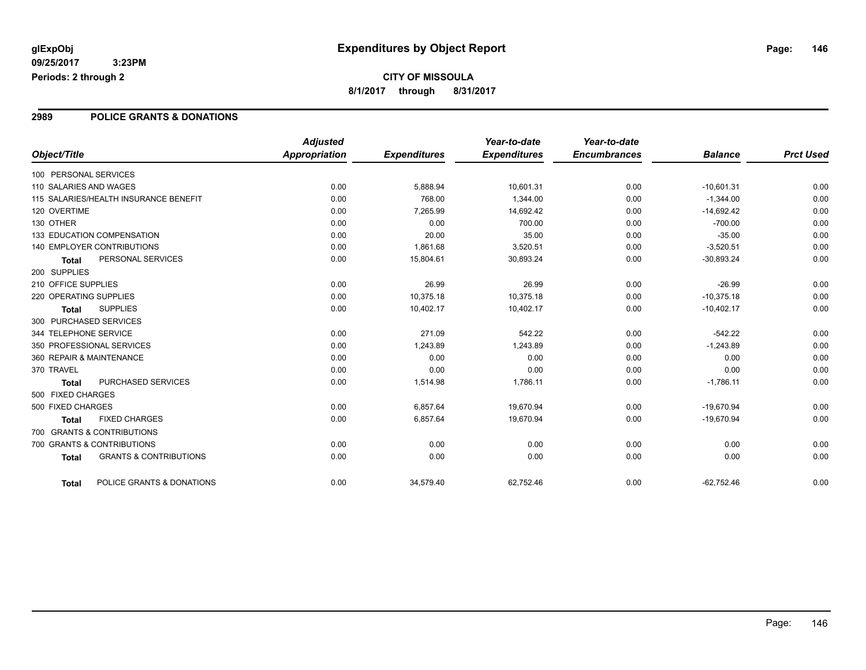### **2989 POLICE GRANTS & DONATIONS**

|                        |                                       | <b>Adjusted</b> |                     | Year-to-date        | Year-to-date        |                |                  |
|------------------------|---------------------------------------|-----------------|---------------------|---------------------|---------------------|----------------|------------------|
| Object/Title           |                                       | Appropriation   | <b>Expenditures</b> | <b>Expenditures</b> | <b>Encumbrances</b> | <b>Balance</b> | <b>Prct Used</b> |
| 100 PERSONAL SERVICES  |                                       |                 |                     |                     |                     |                |                  |
| 110 SALARIES AND WAGES |                                       | 0.00            | 5,888.94            | 10,601.31           | 0.00                | $-10,601.31$   | 0.00             |
|                        | 115 SALARIES/HEALTH INSURANCE BENEFIT | 0.00            | 768.00              | 1,344.00            | 0.00                | $-1,344.00$    | 0.00             |
| 120 OVERTIME           |                                       | 0.00            | 7,265.99            | 14,692.42           | 0.00                | $-14,692.42$   | 0.00             |
| 130 OTHER              |                                       | 0.00            | 0.00                | 700.00              | 0.00                | $-700.00$      | 0.00             |
|                        | 133 EDUCATION COMPENSATION            | 0.00            | 20.00               | 35.00               | 0.00                | $-35.00$       | 0.00             |
|                        | 140 EMPLOYER CONTRIBUTIONS            | 0.00            | 1,861.68            | 3,520.51            | 0.00                | $-3,520.51$    | 0.00             |
| Total                  | PERSONAL SERVICES                     | 0.00            | 15,804.61           | 30,893.24           | 0.00                | $-30,893.24$   | 0.00             |
| 200 SUPPLIES           |                                       |                 |                     |                     |                     |                |                  |
| 210 OFFICE SUPPLIES    |                                       | 0.00            | 26.99               | 26.99               | 0.00                | $-26.99$       | 0.00             |
| 220 OPERATING SUPPLIES |                                       | 0.00            | 10,375.18           | 10,375.18           | 0.00                | $-10,375.18$   | 0.00             |
| <b>Total</b>           | <b>SUPPLIES</b>                       | 0.00            | 10,402.17           | 10,402.17           | 0.00                | $-10,402.17$   | 0.00             |
| 300 PURCHASED SERVICES |                                       |                 |                     |                     |                     |                |                  |
| 344 TELEPHONE SERVICE  |                                       | 0.00            | 271.09              | 542.22              | 0.00                | $-542.22$      | 0.00             |
|                        | 350 PROFESSIONAL SERVICES             | 0.00            | 1,243.89            | 1,243.89            | 0.00                | $-1,243.89$    | 0.00             |
|                        | 360 REPAIR & MAINTENANCE              | 0.00            | 0.00                | 0.00                | 0.00                | 0.00           | 0.00             |
| 370 TRAVEL             |                                       | 0.00            | 0.00                | 0.00                | 0.00                | 0.00           | 0.00             |
| Total                  | PURCHASED SERVICES                    | 0.00            | 1,514.98            | 1,786.11            | 0.00                | $-1,786.11$    | 0.00             |
| 500 FIXED CHARGES      |                                       |                 |                     |                     |                     |                |                  |
| 500 FIXED CHARGES      |                                       | 0.00            | 6,857.64            | 19,670.94           | 0.00                | $-19,670.94$   | 0.00             |
| <b>Total</b>           | <b>FIXED CHARGES</b>                  | 0.00            | 6,857.64            | 19,670.94           | 0.00                | $-19,670.94$   | 0.00             |
|                        | 700 GRANTS & CONTRIBUTIONS            |                 |                     |                     |                     |                |                  |
|                        | 700 GRANTS & CONTRIBUTIONS            | 0.00            | 0.00                | 0.00                | 0.00                | 0.00           | 0.00             |
| <b>Total</b>           | <b>GRANTS &amp; CONTRIBUTIONS</b>     | 0.00            | 0.00                | 0.00                | 0.00                | 0.00           | 0.00             |
| Total                  | POLICE GRANTS & DONATIONS             | 0.00            | 34,579.40           | 62.752.46           | 0.00                | $-62.752.46$   | 0.00             |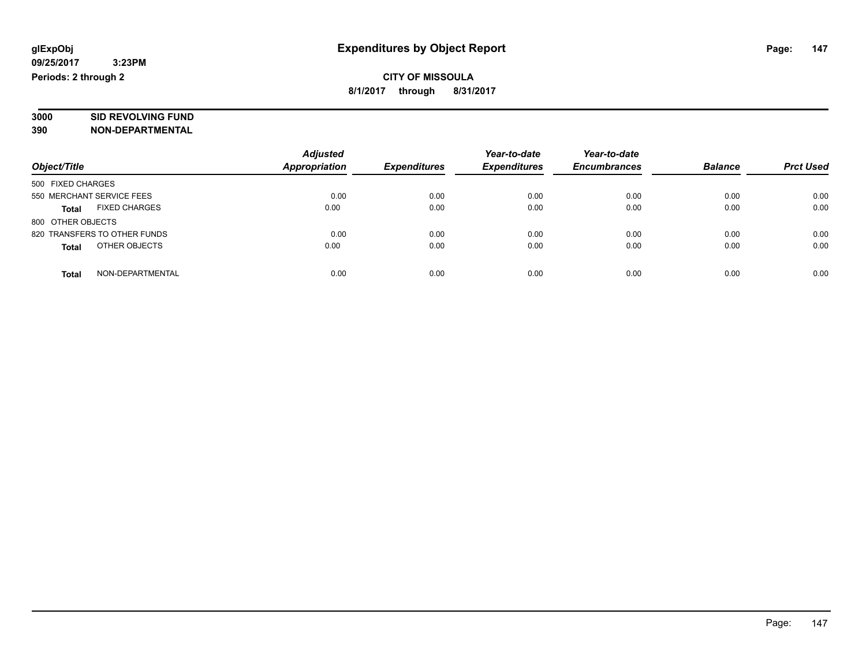# **3000 SID REVOLVING FUND**

|                                      | <b>Adjusted</b>      |                     | Year-to-date        | Year-to-date        |                |                  |
|--------------------------------------|----------------------|---------------------|---------------------|---------------------|----------------|------------------|
| Object/Title                         | <b>Appropriation</b> | <b>Expenditures</b> | <b>Expenditures</b> | <b>Encumbrances</b> | <b>Balance</b> | <b>Prct Used</b> |
| 500 FIXED CHARGES                    |                      |                     |                     |                     |                |                  |
| 550 MERCHANT SERVICE FEES            | 0.00                 | 0.00                | 0.00                | 0.00                | 0.00           | 0.00             |
| <b>FIXED CHARGES</b><br><b>Total</b> | 0.00                 | 0.00                | 0.00                | 0.00                | 0.00           | 0.00             |
| 800 OTHER OBJECTS                    |                      |                     |                     |                     |                |                  |
| 820 TRANSFERS TO OTHER FUNDS         | 0.00                 | 0.00                | 0.00                | 0.00                | 0.00           | 0.00             |
| OTHER OBJECTS<br><b>Total</b>        | 0.00                 | 0.00                | 0.00                | 0.00                | 0.00           | 0.00             |
| NON-DEPARTMENTAL<br>Total            | 0.00                 | 0.00                | 0.00                | 0.00                | 0.00           | 0.00             |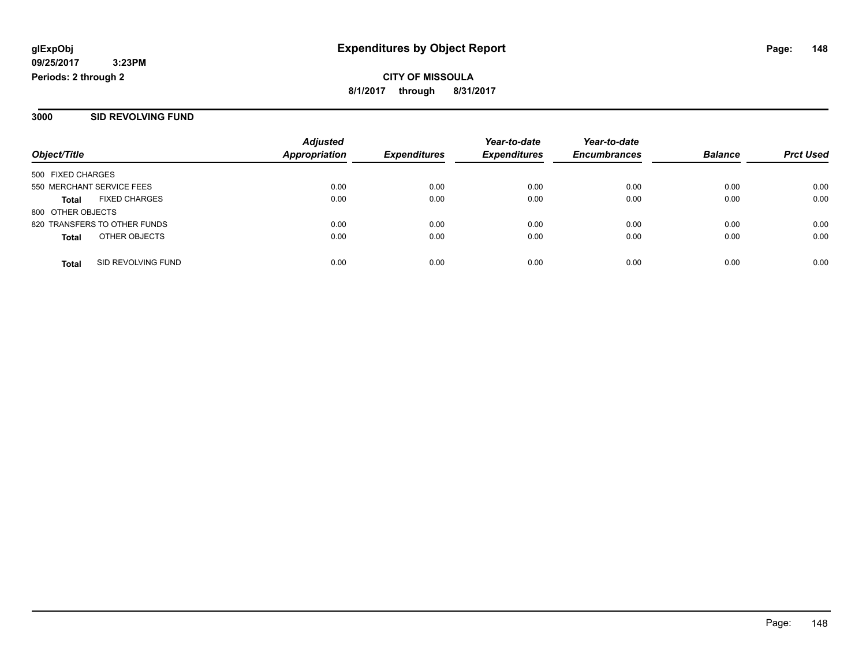#### **3000 SID REVOLVING FUND**

|                              |                      | <b>Adjusted</b>      |                     | Year-to-date        | Year-to-date        |                |                  |
|------------------------------|----------------------|----------------------|---------------------|---------------------|---------------------|----------------|------------------|
| Object/Title                 |                      | <b>Appropriation</b> | <b>Expenditures</b> | <b>Expenditures</b> | <b>Encumbrances</b> | <b>Balance</b> | <b>Prct Used</b> |
| 500 FIXED CHARGES            |                      |                      |                     |                     |                     |                |                  |
| 550 MERCHANT SERVICE FEES    |                      | 0.00                 | 0.00                | 0.00                | 0.00                | 0.00           | 0.00             |
| <b>Total</b>                 | <b>FIXED CHARGES</b> | 0.00                 | 0.00                | 0.00                | 0.00                | 0.00           | 0.00             |
| 800 OTHER OBJECTS            |                      |                      |                     |                     |                     |                |                  |
| 820 TRANSFERS TO OTHER FUNDS |                      | 0.00                 | 0.00                | 0.00                | 0.00                | 0.00           | 0.00             |
| <b>Total</b>                 | OTHER OBJECTS        | 0.00                 | 0.00                | 0.00                | 0.00                | 0.00           | 0.00             |
| <b>Total</b>                 | SID REVOLVING FUND   | 0.00                 | 0.00                | 0.00                | 0.00                | 0.00           | 0.00             |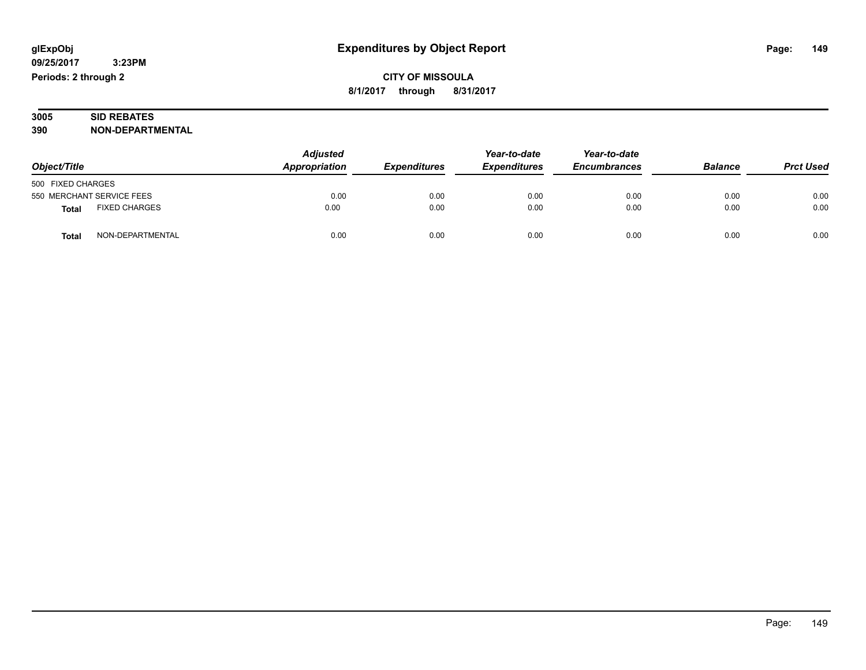### **3005 SID REBATES 390 NON-DEPARTMENTAL**

| Object/Title                         | <b>Adjusted</b><br>Appropriation | <b>Expenditures</b> | Year-to-date<br><b>Expenditures</b> | Year-to-date<br><b>Encumbrances</b> | <b>Balance</b> | <b>Prct Used</b> |
|--------------------------------------|----------------------------------|---------------------|-------------------------------------|-------------------------------------|----------------|------------------|
| 500 FIXED CHARGES                    |                                  |                     |                                     |                                     |                |                  |
| 550 MERCHANT SERVICE FEES            | 0.00                             | 0.00                | 0.00                                | 0.00                                | 0.00           | 0.00             |
| <b>FIXED CHARGES</b><br><b>Total</b> | 0.00                             | 0.00                | 0.00                                | 0.00                                | 0.00           | 0.00             |
| NON-DEPARTMENTAL<br><b>Total</b>     | 0.00                             | 0.00                | 0.00                                | 0.00                                | 0.00           | 0.00             |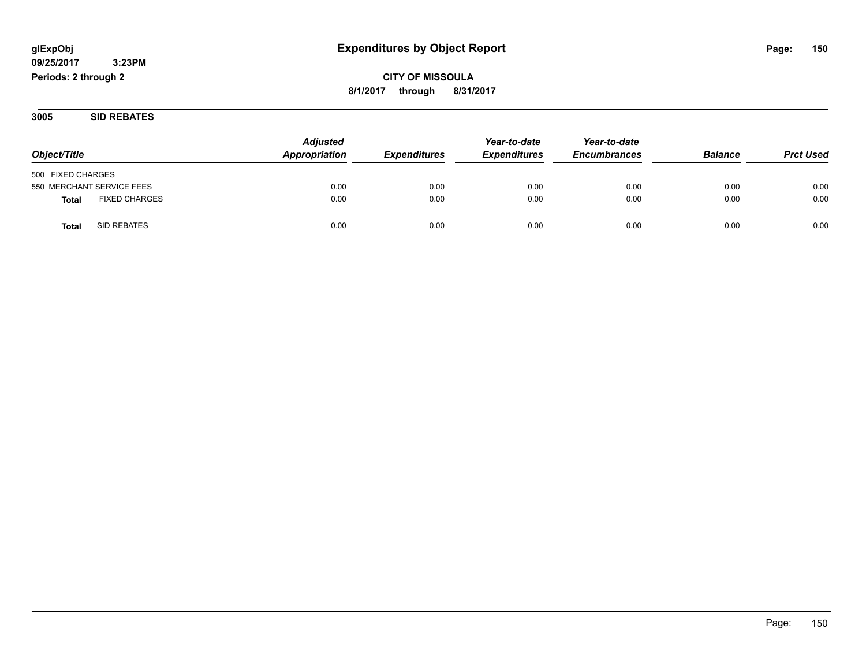# **09/25/2017**

 **3:23PM Periods: 2 through 2**

## **CITY OF MISSOULA 8/1/2017 through 8/31/2017**

**3005 SID REBATES**

|                                      | <b>Adjusted</b> |                     | Year-to-date        | Year-to-date        |                |                  |
|--------------------------------------|-----------------|---------------------|---------------------|---------------------|----------------|------------------|
| Object/Title                         | Appropriation   | <b>Expenditures</b> | <b>Expenditures</b> | <b>Encumbrances</b> | <b>Balance</b> | <b>Prct Used</b> |
| 500 FIXED CHARGES                    |                 |                     |                     |                     |                |                  |
| 550 MERCHANT SERVICE FEES            | 0.00            | 0.00                | 0.00                | 0.00                | 0.00           | 0.00             |
| <b>FIXED CHARGES</b><br><b>Total</b> | 0.00            | 0.00                | 0.00                | 0.00                | 0.00           | 0.00             |
| SID REBATES<br>Tota                  | 0.00            | 0.00                | 0.00                | 0.00                | 0.00           | 0.00             |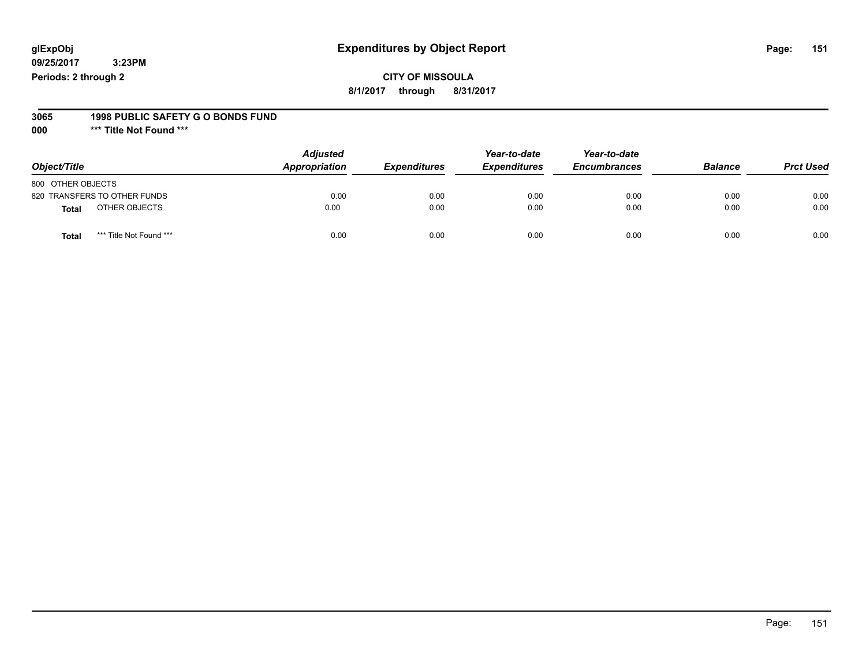# **CITY OF MISSOULA**

**8/1/2017 through 8/31/2017**

#### **3065 1998 PUBLIC SAFETY G O BONDS FUND**

**000 \*\*\* Title Not Found \*\*\***

| Object/Title                            | <b>Adjusted</b><br>Appropriation | <b>Expenditures</b> | Year-to-date<br><b>Expenditures</b> | Year-to-date<br><b>Encumbrances</b> | <b>Balance</b> | <b>Prct Used</b> |
|-----------------------------------------|----------------------------------|---------------------|-------------------------------------|-------------------------------------|----------------|------------------|
| 800 OTHER OBJECTS                       |                                  |                     |                                     |                                     |                |                  |
| 820 TRANSFERS TO OTHER FUNDS            | 0.00                             | 0.00                | 0.00                                | 0.00                                | 0.00           | 0.00             |
| OTHER OBJECTS<br><b>Total</b>           | 0.00                             | 0.00                | 0.00                                | 0.00                                | 0.00           | 0.00             |
| *** Title Not Found ***<br><b>Total</b> | 0.00                             | 0.00                | 0.00                                | 0.00                                | 0.00           | 0.00             |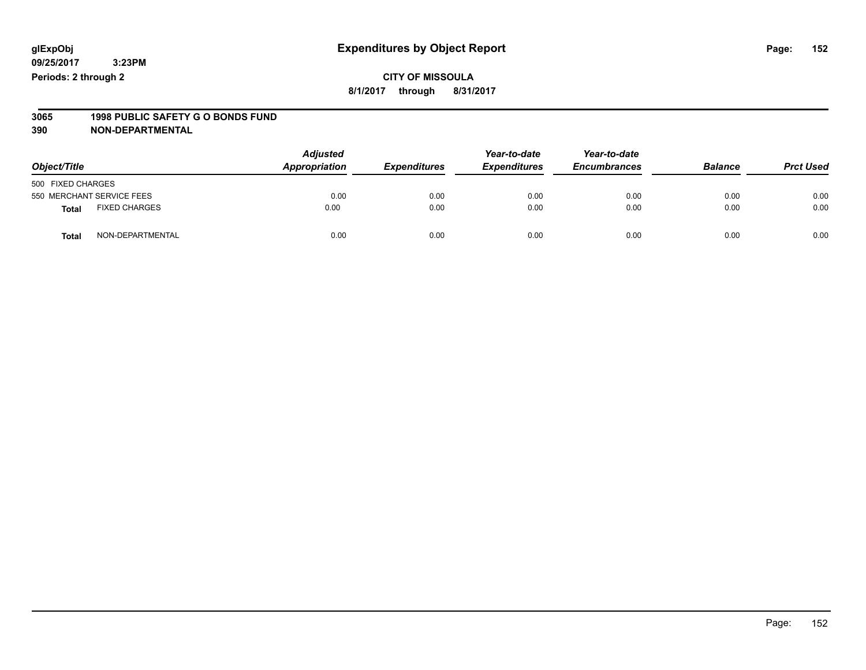### **CITY OF MISSOULA 8/1/2017 through 8/31/2017**

# **3065 1998 PUBLIC SAFETY G O BONDS FUND**

| Object/Title                         | <b>Adjusted</b><br><b>Appropriation</b> | <b>Expenditures</b> | Year-to-date<br><b>Expenditures</b> | Year-to-date<br><b>Encumbrances</b> | <b>Balance</b> | <b>Prct Used</b> |
|--------------------------------------|-----------------------------------------|---------------------|-------------------------------------|-------------------------------------|----------------|------------------|
| 500 FIXED CHARGES                    |                                         |                     |                                     |                                     |                |                  |
| 550 MERCHANT SERVICE FEES            | 0.00                                    | 0.00                | 0.00                                | 0.00                                | 0.00           | 0.00             |
| <b>FIXED CHARGES</b><br><b>Total</b> | 0.00                                    | 0.00                | 0.00                                | 0.00                                | 0.00           | 0.00             |
| NON-DEPARTMENTAL<br><b>Total</b>     | 0.00                                    | 0.00                | 0.00                                | 0.00                                | 0.00           | 0.00             |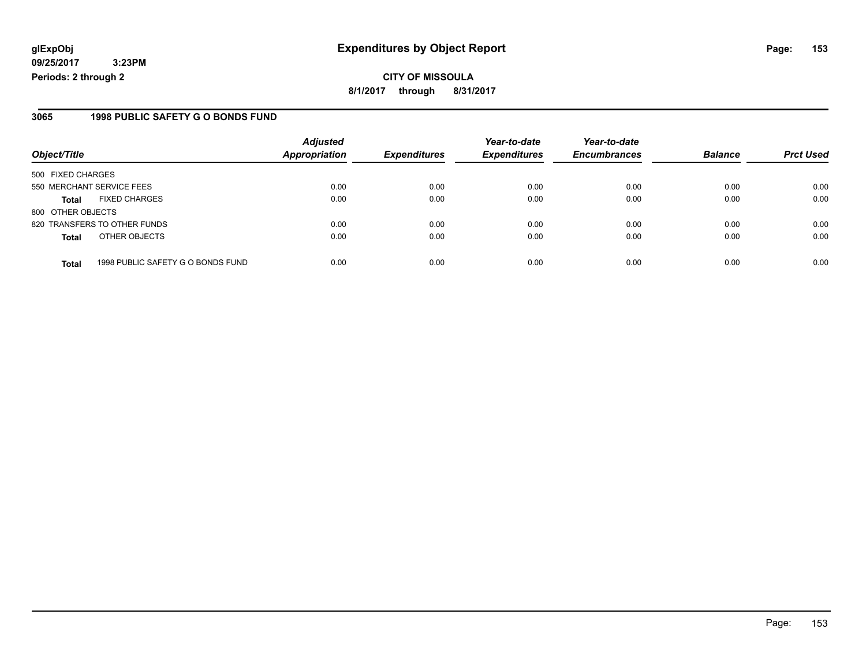**CITY OF MISSOULA 8/1/2017 through 8/31/2017**

### **3065 1998 PUBLIC SAFETY G O BONDS FUND**

|                              |                                   | <b>Adjusted</b>      |                     | Year-to-date        | Year-to-date        |                |                  |
|------------------------------|-----------------------------------|----------------------|---------------------|---------------------|---------------------|----------------|------------------|
| Object/Title                 |                                   | <b>Appropriation</b> | <b>Expenditures</b> | <b>Expenditures</b> | <b>Encumbrances</b> | <b>Balance</b> | <b>Prct Used</b> |
| 500 FIXED CHARGES            |                                   |                      |                     |                     |                     |                |                  |
| 550 MERCHANT SERVICE FEES    |                                   | 0.00                 | 0.00                | 0.00                | 0.00                | 0.00           | 0.00             |
| <b>Total</b>                 | <b>FIXED CHARGES</b>              | 0.00                 | 0.00                | 0.00                | 0.00                | 0.00           | 0.00             |
| 800 OTHER OBJECTS            |                                   |                      |                     |                     |                     |                |                  |
| 820 TRANSFERS TO OTHER FUNDS |                                   | 0.00                 | 0.00                | 0.00                | 0.00                | 0.00           | 0.00             |
| <b>Total</b>                 | OTHER OBJECTS                     | 0.00                 | 0.00                | 0.00                | 0.00                | 0.00           | 0.00             |
| <b>Total</b>                 | 1998 PUBLIC SAFETY G O BONDS FUND | 0.00                 | 0.00                | 0.00                | 0.00                | 0.00           | 0.00             |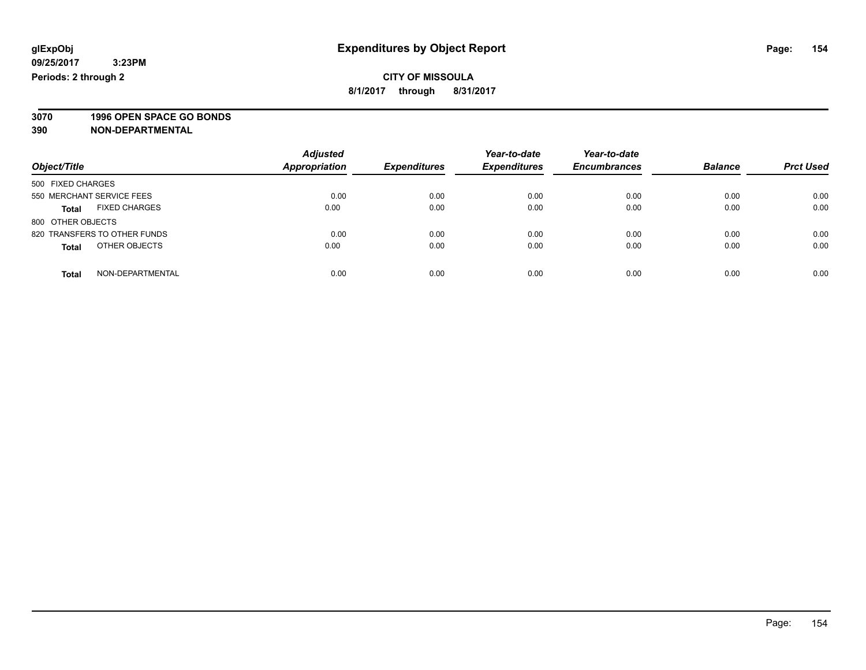**3070 1996 OPEN SPACE GO BONDS**

| Object/Title                         | <b>Adjusted</b><br><b>Appropriation</b> | <b>Expenditures</b> | Year-to-date<br><b>Expenditures</b> | Year-to-date<br><b>Encumbrances</b> | <b>Balance</b> | <b>Prct Used</b> |
|--------------------------------------|-----------------------------------------|---------------------|-------------------------------------|-------------------------------------|----------------|------------------|
| 500 FIXED CHARGES                    |                                         |                     |                                     |                                     |                |                  |
| 550 MERCHANT SERVICE FEES            | 0.00                                    | 0.00                | 0.00                                | 0.00                                | 0.00           | 0.00             |
| <b>FIXED CHARGES</b><br><b>Total</b> | 0.00                                    | 0.00                | 0.00                                | 0.00                                | 0.00           | 0.00             |
| 800 OTHER OBJECTS                    |                                         |                     |                                     |                                     |                |                  |
| 820 TRANSFERS TO OTHER FUNDS         | 0.00                                    | 0.00                | 0.00                                | 0.00                                | 0.00           | 0.00             |
| OTHER OBJECTS<br><b>Total</b>        | 0.00                                    | 0.00                | 0.00                                | 0.00                                | 0.00           | 0.00             |
| NON-DEPARTMENTAL<br>Total            | 0.00                                    | 0.00                | 0.00                                | 0.00                                | 0.00           | 0.00             |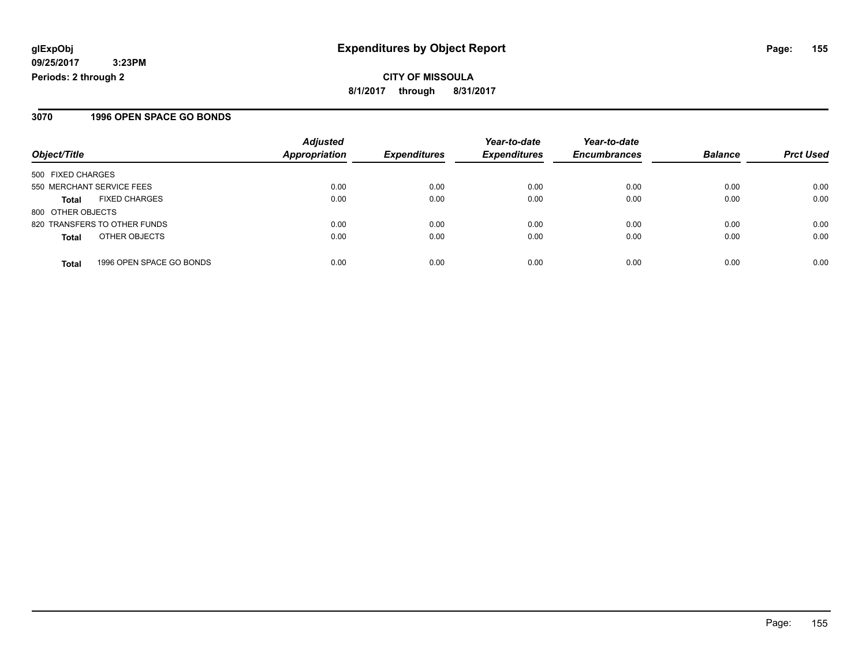**CITY OF MISSOULA 8/1/2017 through 8/31/2017**

### **3070 1996 OPEN SPACE GO BONDS**

|                                          | <b>Adjusted</b>      |                     | Year-to-date        | Year-to-date        |                |                  |
|------------------------------------------|----------------------|---------------------|---------------------|---------------------|----------------|------------------|
| Object/Title                             | <b>Appropriation</b> | <b>Expenditures</b> | <b>Expenditures</b> | <b>Encumbrances</b> | <b>Balance</b> | <b>Prct Used</b> |
| 500 FIXED CHARGES                        |                      |                     |                     |                     |                |                  |
| 550 MERCHANT SERVICE FEES                | 0.00                 | 0.00                | 0.00                | 0.00                | 0.00           | 0.00             |
| <b>FIXED CHARGES</b><br>Total            | 0.00                 | 0.00                | 0.00                | 0.00                | 0.00           | 0.00             |
| 800 OTHER OBJECTS                        |                      |                     |                     |                     |                |                  |
| 820 TRANSFERS TO OTHER FUNDS             | 0.00                 | 0.00                | 0.00                | 0.00                | 0.00           | 0.00             |
| OTHER OBJECTS<br><b>Total</b>            | 0.00                 | 0.00                | 0.00                | 0.00                | 0.00           | 0.00             |
| 1996 OPEN SPACE GO BONDS<br><b>Total</b> | 0.00                 | 0.00                | 0.00                | 0.00                | 0.00           | 0.00             |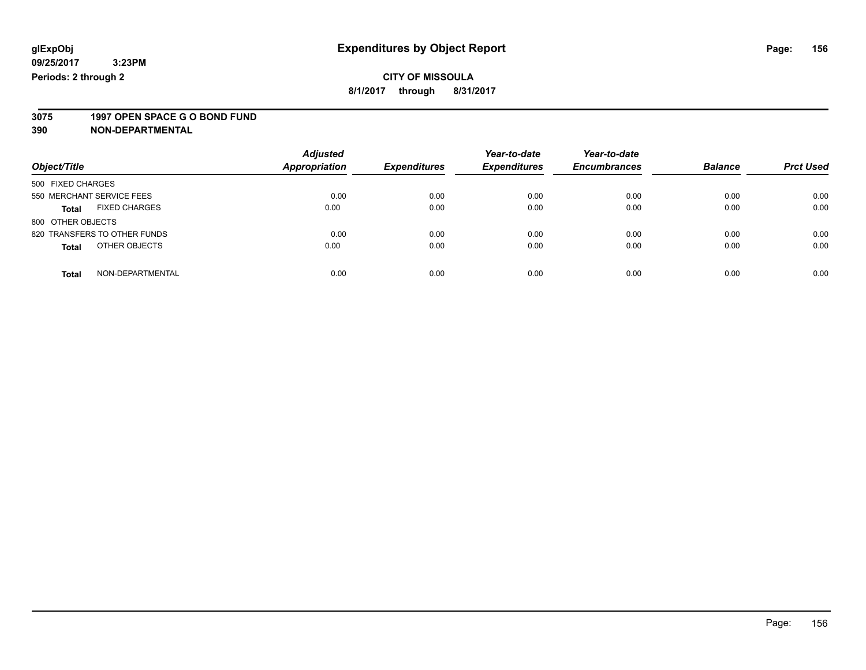# **3075 1997 OPEN SPACE G O BOND FUND**

|                                      | <b>Adjusted</b>      |                     | Year-to-date        | Year-to-date        |                |                  |
|--------------------------------------|----------------------|---------------------|---------------------|---------------------|----------------|------------------|
| Object/Title                         | <b>Appropriation</b> | <b>Expenditures</b> | <b>Expenditures</b> | <b>Encumbrances</b> | <b>Balance</b> | <b>Prct Used</b> |
| 500 FIXED CHARGES                    |                      |                     |                     |                     |                |                  |
| 550 MERCHANT SERVICE FEES            | 0.00                 | 0.00                | 0.00                | 0.00                | 0.00           | 0.00             |
| <b>FIXED CHARGES</b><br><b>Total</b> | 0.00                 | 0.00                | 0.00                | 0.00                | 0.00           | 0.00             |
| 800 OTHER OBJECTS                    |                      |                     |                     |                     |                |                  |
| 820 TRANSFERS TO OTHER FUNDS         | 0.00                 | 0.00                | 0.00                | 0.00                | 0.00           | 0.00             |
| OTHER OBJECTS<br><b>Total</b>        | 0.00                 | 0.00                | 0.00                | 0.00                | 0.00           | 0.00             |
| NON-DEPARTMENTAL<br>Total            | 0.00                 | 0.00                | 0.00                | 0.00                | 0.00           | 0.00             |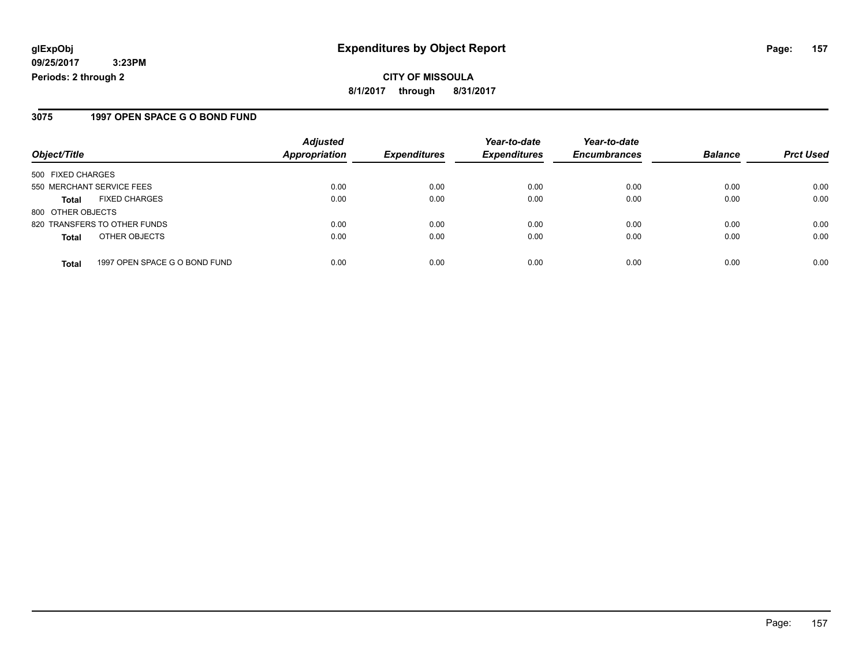### **3075 1997 OPEN SPACE G O BOND FUND**

| Object/Title              |                               | <b>Adjusted</b><br><b>Appropriation</b> | <b>Expenditures</b> | Year-to-date        | Year-to-date<br><b>Encumbrances</b> | <b>Balance</b> |                  |
|---------------------------|-------------------------------|-----------------------------------------|---------------------|---------------------|-------------------------------------|----------------|------------------|
|                           |                               |                                         |                     | <b>Expenditures</b> |                                     |                | <b>Prct Used</b> |
| 500 FIXED CHARGES         |                               |                                         |                     |                     |                                     |                |                  |
| 550 MERCHANT SERVICE FEES |                               | 0.00                                    | 0.00                | 0.00                | 0.00                                | 0.00           | 0.00             |
| <b>Total</b>              | <b>FIXED CHARGES</b>          | 0.00                                    | 0.00                | 0.00                | 0.00                                | 0.00           | 0.00             |
| 800 OTHER OBJECTS         |                               |                                         |                     |                     |                                     |                |                  |
|                           | 820 TRANSFERS TO OTHER FUNDS  | 0.00                                    | 0.00                | 0.00                | 0.00                                | 0.00           | 0.00             |
| <b>Total</b>              | OTHER OBJECTS                 | 0.00                                    | 0.00                | 0.00                | 0.00                                | 0.00           | 0.00             |
| <b>Total</b>              | 1997 OPEN SPACE G O BOND FUND | 0.00                                    | 0.00                | 0.00                | 0.00                                | 0.00           | 0.00             |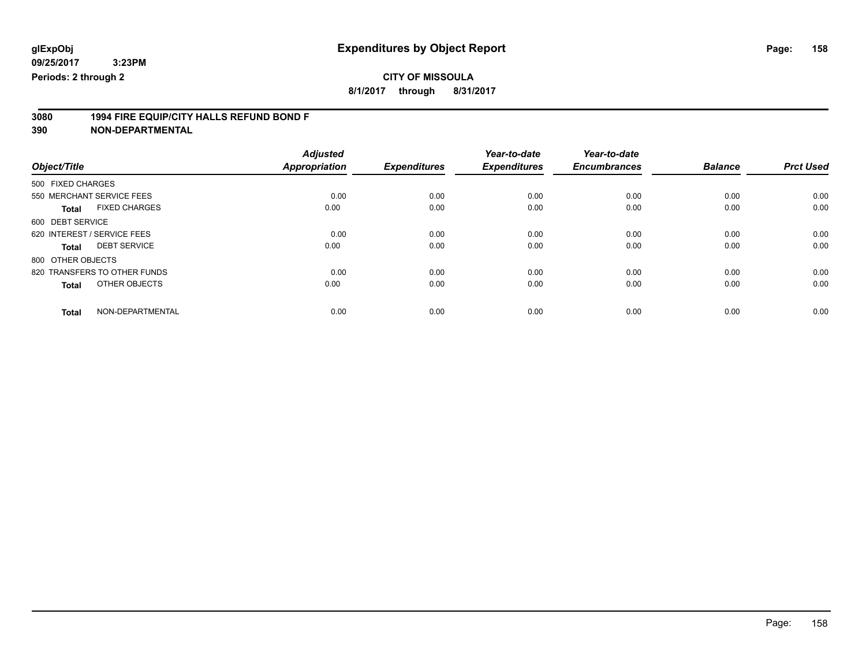**8/1/2017 through 8/31/2017**

# **3080 1994 FIRE EQUIP/CITY HALLS REFUND BOND F**

|                                      | <b>Adjusted</b>      |                     | Year-to-date        | Year-to-date        |                |                  |
|--------------------------------------|----------------------|---------------------|---------------------|---------------------|----------------|------------------|
| Object/Title                         | <b>Appropriation</b> | <b>Expenditures</b> | <b>Expenditures</b> | <b>Encumbrances</b> | <b>Balance</b> | <b>Prct Used</b> |
| 500 FIXED CHARGES                    |                      |                     |                     |                     |                |                  |
| 550 MERCHANT SERVICE FEES            | 0.00                 | 0.00                | 0.00                | 0.00                | 0.00           | 0.00             |
| <b>FIXED CHARGES</b><br><b>Total</b> | 0.00                 | 0.00                | 0.00                | 0.00                | 0.00           | 0.00             |
| 600 DEBT SERVICE                     |                      |                     |                     |                     |                |                  |
| 620 INTEREST / SERVICE FEES          | 0.00                 | 0.00                | 0.00                | 0.00                | 0.00           | 0.00             |
| <b>DEBT SERVICE</b><br>Total         | 0.00                 | 0.00                | 0.00                | 0.00                | 0.00           | 0.00             |
| 800 OTHER OBJECTS                    |                      |                     |                     |                     |                |                  |
| 820 TRANSFERS TO OTHER FUNDS         | 0.00                 | 0.00                | 0.00                | 0.00                | 0.00           | 0.00             |
| OTHER OBJECTS<br><b>Total</b>        | 0.00                 | 0.00                | 0.00                | 0.00                | 0.00           | 0.00             |
|                                      |                      |                     |                     |                     |                |                  |
| NON-DEPARTMENTAL<br><b>Total</b>     | 0.00                 | 0.00                | 0.00                | 0.00                | 0.00           | 0.00             |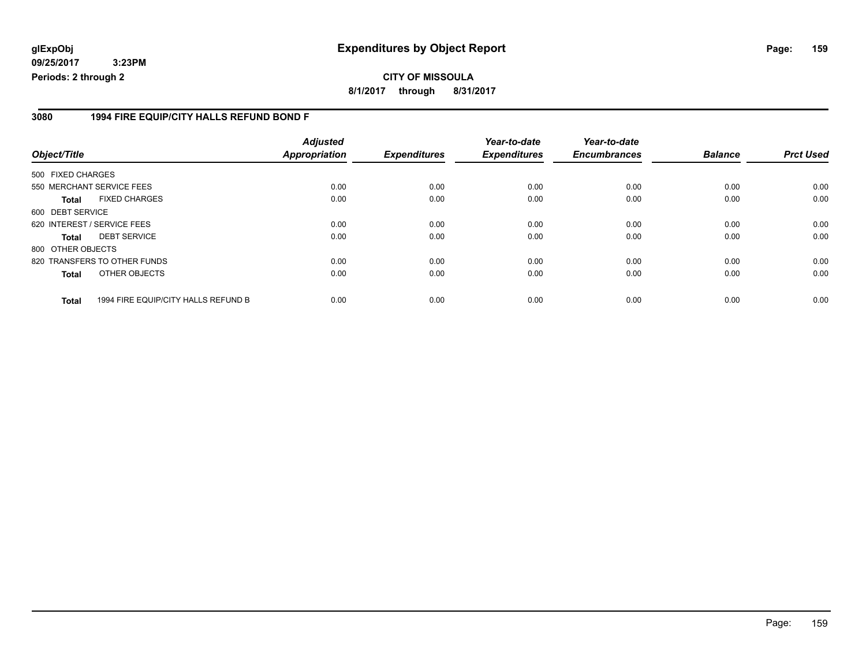## **glExpObj Expenditures by Object Report Page: 159**

**09/25/2017 3:23PM Periods: 2 through 2**

#### **3080 1994 FIRE EQUIP/CITY HALLS REFUND BOND F**

| Object/Title      |                                     | <b>Adjusted</b><br><b>Appropriation</b> | <b>Expenditures</b> | Year-to-date<br><b>Expenditures</b> | Year-to-date<br><b>Encumbrances</b> | <b>Balance</b> | <b>Prct Used</b> |
|-------------------|-------------------------------------|-----------------------------------------|---------------------|-------------------------------------|-------------------------------------|----------------|------------------|
| 500 FIXED CHARGES |                                     |                                         |                     |                                     |                                     |                |                  |
|                   | 550 MERCHANT SERVICE FEES           | 0.00                                    | 0.00                | 0.00                                | 0.00                                | 0.00           | 0.00             |
| <b>Total</b>      | <b>FIXED CHARGES</b>                | 0.00                                    | 0.00                | 0.00                                | 0.00                                | 0.00           | 0.00             |
| 600 DEBT SERVICE  |                                     |                                         |                     |                                     |                                     |                |                  |
|                   | 620 INTEREST / SERVICE FEES         | 0.00                                    | 0.00                | 0.00                                | 0.00                                | 0.00           | 0.00             |
| <b>Total</b>      | <b>DEBT SERVICE</b>                 | 0.00                                    | 0.00                | 0.00                                | 0.00                                | 0.00           | 0.00             |
| 800 OTHER OBJECTS |                                     |                                         |                     |                                     |                                     |                |                  |
|                   | 820 TRANSFERS TO OTHER FUNDS        | 0.00                                    | 0.00                | 0.00                                | 0.00                                | 0.00           | 0.00             |
| <b>Total</b>      | OTHER OBJECTS                       | 0.00                                    | 0.00                | 0.00                                | 0.00                                | 0.00           | 0.00             |
| <b>Total</b>      | 1994 FIRE EQUIP/CITY HALLS REFUND B | 0.00                                    | 0.00                | 0.00                                | 0.00                                | 0.00           | 0.00             |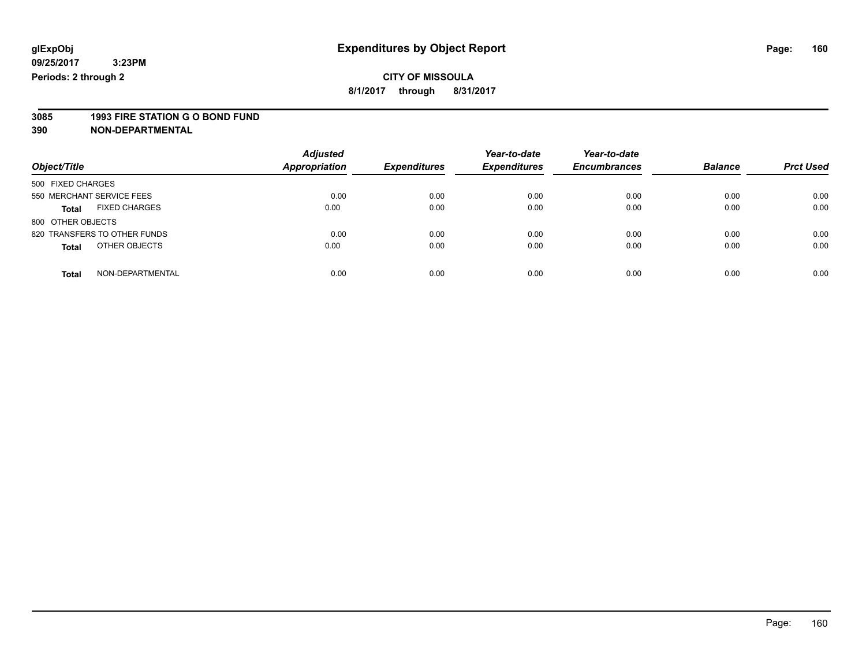**8/1/2017 through 8/31/2017**

# **3085 1993 FIRE STATION G O BOND FUND**

| Object/Title                         | <b>Adjusted</b><br><b>Appropriation</b> | <b>Expenditures</b> | Year-to-date<br><b>Expenditures</b> | Year-to-date<br><b>Encumbrances</b> | <b>Balance</b> | <b>Prct Used</b> |
|--------------------------------------|-----------------------------------------|---------------------|-------------------------------------|-------------------------------------|----------------|------------------|
| 500 FIXED CHARGES                    |                                         |                     |                                     |                                     |                |                  |
| 550 MERCHANT SERVICE FEES            | 0.00                                    | 0.00                | 0.00                                | 0.00                                | 0.00           | 0.00             |
| <b>FIXED CHARGES</b><br><b>Total</b> | 0.00                                    | 0.00                | 0.00                                | 0.00                                | 0.00           | 0.00             |
| 800 OTHER OBJECTS                    |                                         |                     |                                     |                                     |                |                  |
| 820 TRANSFERS TO OTHER FUNDS         | 0.00                                    | 0.00                | 0.00                                | 0.00                                | 0.00           | 0.00             |
| OTHER OBJECTS<br><b>Total</b>        | 0.00                                    | 0.00                | 0.00                                | 0.00                                | 0.00           | 0.00             |
| NON-DEPARTMENTAL<br><b>Total</b>     | 0.00                                    | 0.00                | 0.00                                | 0.00                                | 0.00           | 0.00             |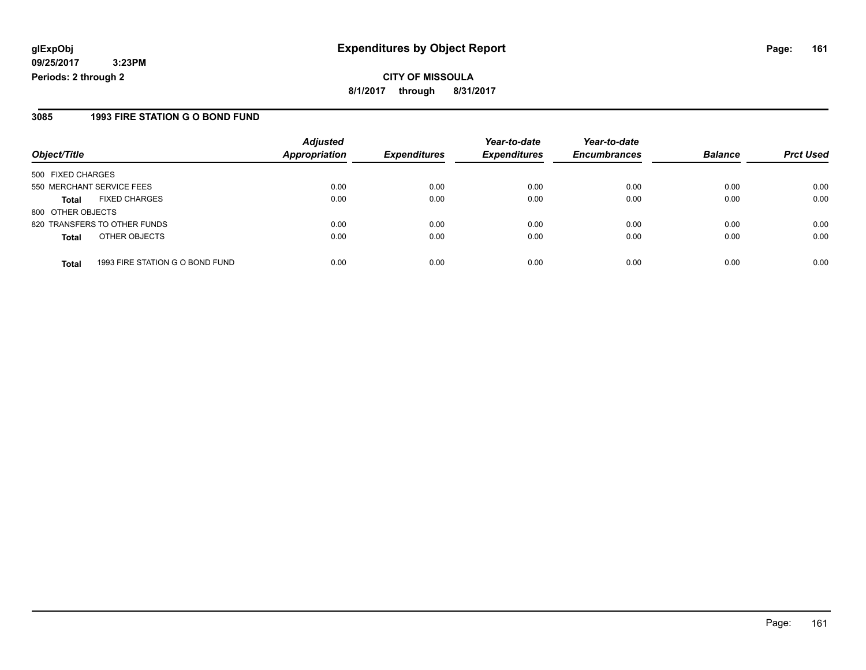### **3085 1993 FIRE STATION G O BOND FUND**

|                              | <b>Adjusted</b>                 |                      | Year-to-date        | Year-to-date        |                     | <b>Prct Used</b> |
|------------------------------|---------------------------------|----------------------|---------------------|---------------------|---------------------|------------------|
|                              |                                 |                      |                     |                     |                     |                  |
| 500 FIXED CHARGES            |                                 |                      |                     |                     |                     |                  |
| 550 MERCHANT SERVICE FEES    | 0.00                            | 0.00                 | 0.00                | 0.00                | 0.00                | 0.00             |
| <b>FIXED CHARGES</b>         | 0.00                            | 0.00                 | 0.00                | 0.00                | 0.00                | 0.00             |
| 800 OTHER OBJECTS            |                                 |                      |                     |                     |                     |                  |
| 820 TRANSFERS TO OTHER FUNDS | 0.00                            | 0.00                 | 0.00                | 0.00                | 0.00                | 0.00             |
| OTHER OBJECTS                | 0.00                            | 0.00                 | 0.00                | 0.00                | 0.00                | 0.00             |
|                              | 0.00                            | 0.00                 | 0.00                | 0.00                | 0.00                | 0.00             |
|                              | 1993 FIRE STATION G O BOND FUND | <b>Appropriation</b> | <b>Expenditures</b> | <b>Expenditures</b> | <b>Encumbrances</b> | <b>Balance</b>   |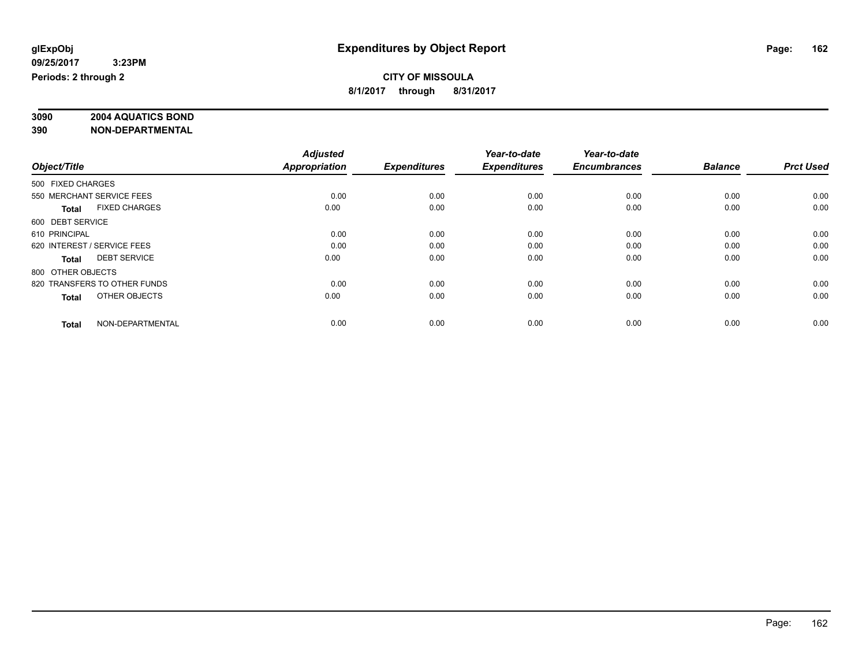# **3090 2004 AQUATICS BOND**

|                                      | <b>Adjusted</b>      |                     | Year-to-date        | Year-to-date        |                |                  |
|--------------------------------------|----------------------|---------------------|---------------------|---------------------|----------------|------------------|
| Object/Title                         | <b>Appropriation</b> | <b>Expenditures</b> | <b>Expenditures</b> | <b>Encumbrances</b> | <b>Balance</b> | <b>Prct Used</b> |
| 500 FIXED CHARGES                    |                      |                     |                     |                     |                |                  |
| 550 MERCHANT SERVICE FEES            | 0.00                 | 0.00                | 0.00                | 0.00                | 0.00           | 0.00             |
| <b>FIXED CHARGES</b><br><b>Total</b> | 0.00                 | 0.00                | 0.00                | 0.00                | 0.00           | 0.00             |
| 600 DEBT SERVICE                     |                      |                     |                     |                     |                |                  |
| 610 PRINCIPAL                        | 0.00                 | 0.00                | 0.00                | 0.00                | 0.00           | 0.00             |
| 620 INTEREST / SERVICE FEES          | 0.00                 | 0.00                | 0.00                | 0.00                | 0.00           | 0.00             |
| <b>DEBT SERVICE</b><br><b>Total</b>  | 0.00                 | 0.00                | 0.00                | 0.00                | 0.00           | 0.00             |
| 800 OTHER OBJECTS                    |                      |                     |                     |                     |                |                  |
| 820 TRANSFERS TO OTHER FUNDS         | 0.00                 | 0.00                | 0.00                | 0.00                | 0.00           | 0.00             |
| OTHER OBJECTS<br><b>Total</b>        | 0.00                 | 0.00                | 0.00                | 0.00                | 0.00           | 0.00             |
|                                      |                      |                     |                     |                     |                |                  |
| NON-DEPARTMENTAL<br><b>Total</b>     | 0.00                 | 0.00                | 0.00                | 0.00                | 0.00           | 0.00             |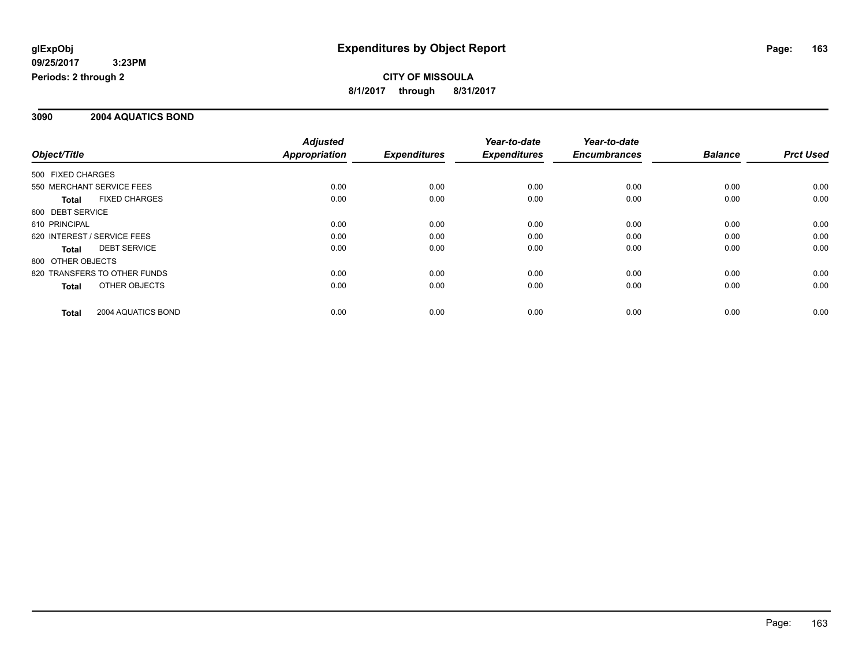### **3090 2004 AQUATICS BOND**

|                             |                              | <b>Adjusted</b>      |                     | Year-to-date        | Year-to-date        |                |                  |
|-----------------------------|------------------------------|----------------------|---------------------|---------------------|---------------------|----------------|------------------|
| Object/Title                |                              | <b>Appropriation</b> | <b>Expenditures</b> | <b>Expenditures</b> | <b>Encumbrances</b> | <b>Balance</b> | <b>Prct Used</b> |
| 500 FIXED CHARGES           |                              |                      |                     |                     |                     |                |                  |
| 550 MERCHANT SERVICE FEES   |                              | 0.00                 | 0.00                | 0.00                | 0.00                | 0.00           | 0.00             |
| Total                       | <b>FIXED CHARGES</b>         | 0.00                 | 0.00                | 0.00                | 0.00                | 0.00           | 0.00             |
| 600 DEBT SERVICE            |                              |                      |                     |                     |                     |                |                  |
| 610 PRINCIPAL               |                              | 0.00                 | 0.00                | 0.00                | 0.00                | 0.00           | 0.00             |
| 620 INTEREST / SERVICE FEES |                              | 0.00                 | 0.00                | 0.00                | 0.00                | 0.00           | 0.00             |
| Total                       | <b>DEBT SERVICE</b>          | 0.00                 | 0.00                | 0.00                | 0.00                | 0.00           | 0.00             |
| 800 OTHER OBJECTS           |                              |                      |                     |                     |                     |                |                  |
|                             | 820 TRANSFERS TO OTHER FUNDS | 0.00                 | 0.00                | 0.00                | 0.00                | 0.00           | 0.00             |
| <b>Total</b>                | OTHER OBJECTS                | 0.00                 | 0.00                | 0.00                | 0.00                | 0.00           | 0.00             |
| <b>Total</b>                | 2004 AQUATICS BOND           | 0.00                 | 0.00                | 0.00                | 0.00                | 0.00           | 0.00             |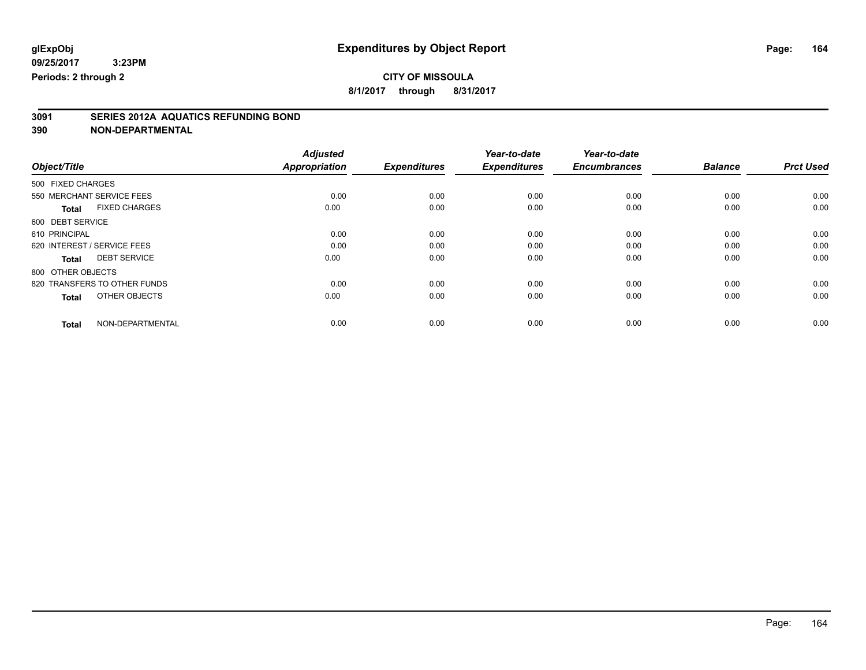**8/1/2017 through 8/31/2017**

# **3091 SERIES 2012A AQUATICS REFUNDING BOND**

|                                      | <b>Adjusted</b>      |                     | Year-to-date        | Year-to-date        |                |                  |
|--------------------------------------|----------------------|---------------------|---------------------|---------------------|----------------|------------------|
| Object/Title                         | <b>Appropriation</b> | <b>Expenditures</b> | <b>Expenditures</b> | <b>Encumbrances</b> | <b>Balance</b> | <b>Prct Used</b> |
| 500 FIXED CHARGES                    |                      |                     |                     |                     |                |                  |
| 550 MERCHANT SERVICE FEES            | 0.00                 | 0.00                | 0.00                | 0.00                | 0.00           | 0.00             |
| <b>FIXED CHARGES</b><br><b>Total</b> | 0.00                 | 0.00                | 0.00                | 0.00                | 0.00           | 0.00             |
| 600 DEBT SERVICE                     |                      |                     |                     |                     |                |                  |
| 610 PRINCIPAL                        | 0.00                 | 0.00                | 0.00                | 0.00                | 0.00           | 0.00             |
| 620 INTEREST / SERVICE FEES          | 0.00                 | 0.00                | 0.00                | 0.00                | 0.00           | 0.00             |
| <b>DEBT SERVICE</b><br><b>Total</b>  | 0.00                 | 0.00                | 0.00                | 0.00                | 0.00           | 0.00             |
| 800 OTHER OBJECTS                    |                      |                     |                     |                     |                |                  |
| 820 TRANSFERS TO OTHER FUNDS         | 0.00                 | 0.00                | 0.00                | 0.00                | 0.00           | 0.00             |
| OTHER OBJECTS<br><b>Total</b>        | 0.00                 | 0.00                | 0.00                | 0.00                | 0.00           | 0.00             |
|                                      |                      |                     |                     |                     |                |                  |
| NON-DEPARTMENTAL<br><b>Total</b>     | 0.00                 | 0.00                | 0.00                | 0.00                | 0.00           | 0.00             |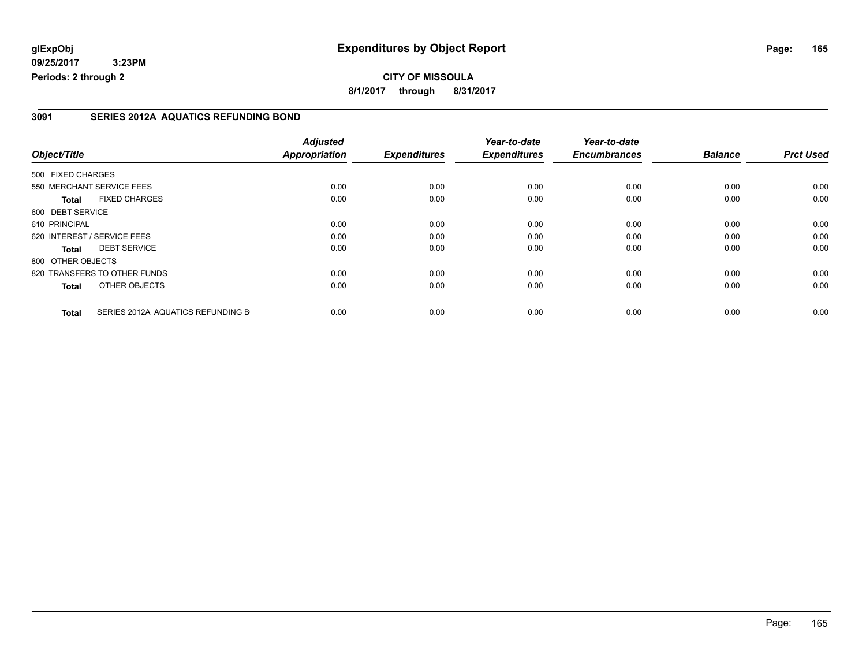**8/1/2017 through 8/31/2017**

### **3091 SERIES 2012A AQUATICS REFUNDING BOND**

|                   |                                   | <b>Adjusted</b>      |                     | Year-to-date        | Year-to-date        |                |                  |
|-------------------|-----------------------------------|----------------------|---------------------|---------------------|---------------------|----------------|------------------|
| Object/Title      |                                   | <b>Appropriation</b> | <b>Expenditures</b> | <b>Expenditures</b> | <b>Encumbrances</b> | <b>Balance</b> | <b>Prct Used</b> |
| 500 FIXED CHARGES |                                   |                      |                     |                     |                     |                |                  |
|                   | 550 MERCHANT SERVICE FEES         | 0.00                 | 0.00                | 0.00                | 0.00                | 0.00           | 0.00             |
| <b>Total</b>      | <b>FIXED CHARGES</b>              | 0.00                 | 0.00                | 0.00                | 0.00                | 0.00           | 0.00             |
| 600 DEBT SERVICE  |                                   |                      |                     |                     |                     |                |                  |
| 610 PRINCIPAL     |                                   | 0.00                 | 0.00                | 0.00                | 0.00                | 0.00           | 0.00             |
|                   | 620 INTEREST / SERVICE FEES       | 0.00                 | 0.00                | 0.00                | 0.00                | 0.00           | 0.00             |
| <b>Total</b>      | <b>DEBT SERVICE</b>               | 0.00                 | 0.00                | 0.00                | 0.00                | 0.00           | 0.00             |
| 800 OTHER OBJECTS |                                   |                      |                     |                     |                     |                |                  |
|                   | 820 TRANSFERS TO OTHER FUNDS      | 0.00                 | 0.00                | 0.00                | 0.00                | 0.00           | 0.00             |
| <b>Total</b>      | OTHER OBJECTS                     | 0.00                 | 0.00                | 0.00                | 0.00                | 0.00           | 0.00             |
| <b>Total</b>      | SERIES 2012A AQUATICS REFUNDING B | 0.00                 | 0.00                | 0.00                | 0.00                | 0.00           | 0.00             |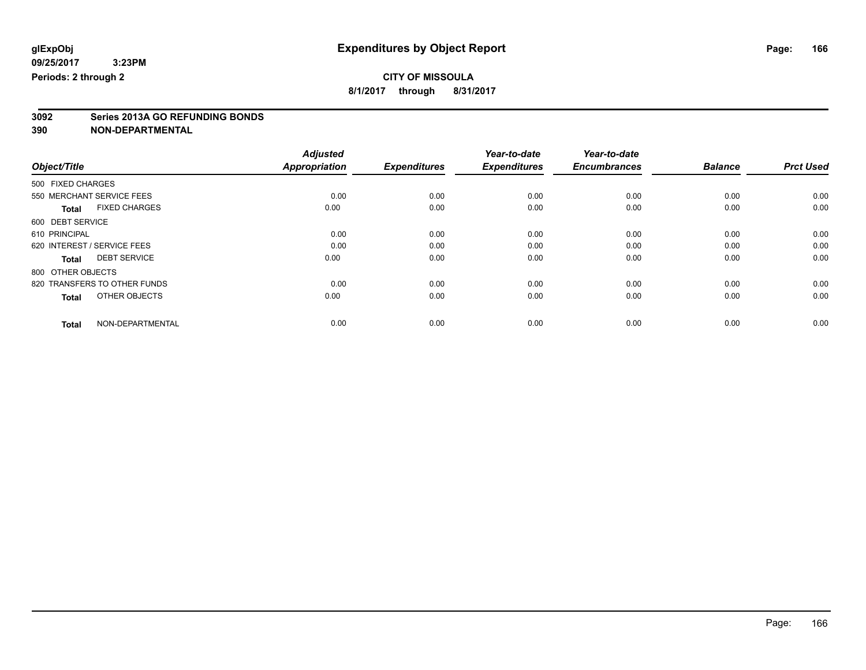**8/1/2017 through 8/31/2017**

# **3092 Series 2013A GO REFUNDING BONDS**

|                                      | <b>Adjusted</b>      |                     | Year-to-date        | Year-to-date        |                |                  |
|--------------------------------------|----------------------|---------------------|---------------------|---------------------|----------------|------------------|
| Object/Title                         | <b>Appropriation</b> | <b>Expenditures</b> | <b>Expenditures</b> | <b>Encumbrances</b> | <b>Balance</b> | <b>Prct Used</b> |
| 500 FIXED CHARGES                    |                      |                     |                     |                     |                |                  |
| 550 MERCHANT SERVICE FEES            | 0.00                 | 0.00                | 0.00                | 0.00                | 0.00           | 0.00             |
| <b>FIXED CHARGES</b><br><b>Total</b> | 0.00                 | 0.00                | 0.00                | 0.00                | 0.00           | 0.00             |
| 600 DEBT SERVICE                     |                      |                     |                     |                     |                |                  |
| 610 PRINCIPAL                        | 0.00                 | 0.00                | 0.00                | 0.00                | 0.00           | 0.00             |
| 620 INTEREST / SERVICE FEES          | 0.00                 | 0.00                | 0.00                | 0.00                | 0.00           | 0.00             |
| <b>DEBT SERVICE</b><br><b>Total</b>  | 0.00                 | 0.00                | 0.00                | 0.00                | 0.00           | 0.00             |
| 800 OTHER OBJECTS                    |                      |                     |                     |                     |                |                  |
| 820 TRANSFERS TO OTHER FUNDS         | 0.00                 | 0.00                | 0.00                | 0.00                | 0.00           | 0.00             |
| OTHER OBJECTS<br><b>Total</b>        | 0.00                 | 0.00                | 0.00                | 0.00                | 0.00           | 0.00             |
|                                      |                      |                     |                     |                     |                |                  |
| NON-DEPARTMENTAL<br><b>Total</b>     | 0.00                 | 0.00                | 0.00                | 0.00                | 0.00           | 0.00             |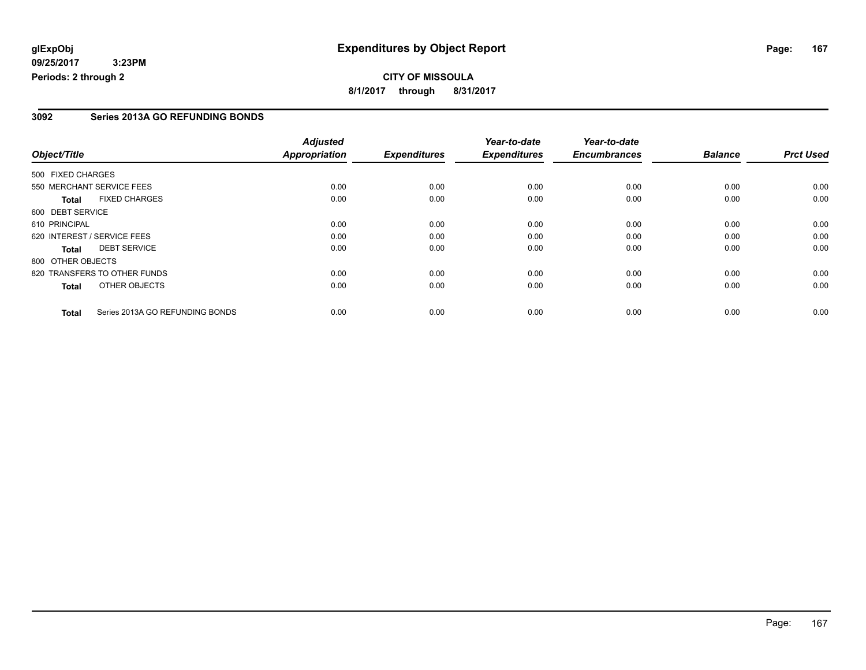### **3092 Series 2013A GO REFUNDING BONDS**

|                   |                                 | <b>Adjusted</b>      |                     | Year-to-date        | Year-to-date        |                |                  |
|-------------------|---------------------------------|----------------------|---------------------|---------------------|---------------------|----------------|------------------|
| Object/Title      |                                 | <b>Appropriation</b> | <b>Expenditures</b> | <b>Expenditures</b> | <b>Encumbrances</b> | <b>Balance</b> | <b>Prct Used</b> |
| 500 FIXED CHARGES |                                 |                      |                     |                     |                     |                |                  |
|                   | 550 MERCHANT SERVICE FEES       | 0.00                 | 0.00                | 0.00                | 0.00                | 0.00           | 0.00             |
| <b>Total</b>      | <b>FIXED CHARGES</b>            | 0.00                 | 0.00                | 0.00                | 0.00                | 0.00           | 0.00             |
| 600 DEBT SERVICE  |                                 |                      |                     |                     |                     |                |                  |
| 610 PRINCIPAL     |                                 | 0.00                 | 0.00                | 0.00                | 0.00                | 0.00           | 0.00             |
|                   | 620 INTEREST / SERVICE FEES     | 0.00                 | 0.00                | 0.00                | 0.00                | 0.00           | 0.00             |
| <b>Total</b>      | <b>DEBT SERVICE</b>             | 0.00                 | 0.00                | 0.00                | 0.00                | 0.00           | 0.00             |
| 800 OTHER OBJECTS |                                 |                      |                     |                     |                     |                |                  |
|                   | 820 TRANSFERS TO OTHER FUNDS    | 0.00                 | 0.00                | 0.00                | 0.00                | 0.00           | 0.00             |
| <b>Total</b>      | OTHER OBJECTS                   | 0.00                 | 0.00                | 0.00                | 0.00                | 0.00           | 0.00             |
| <b>Total</b>      | Series 2013A GO REFUNDING BONDS | 0.00                 | 0.00                | 0.00                | 0.00                | 0.00           | 0.00             |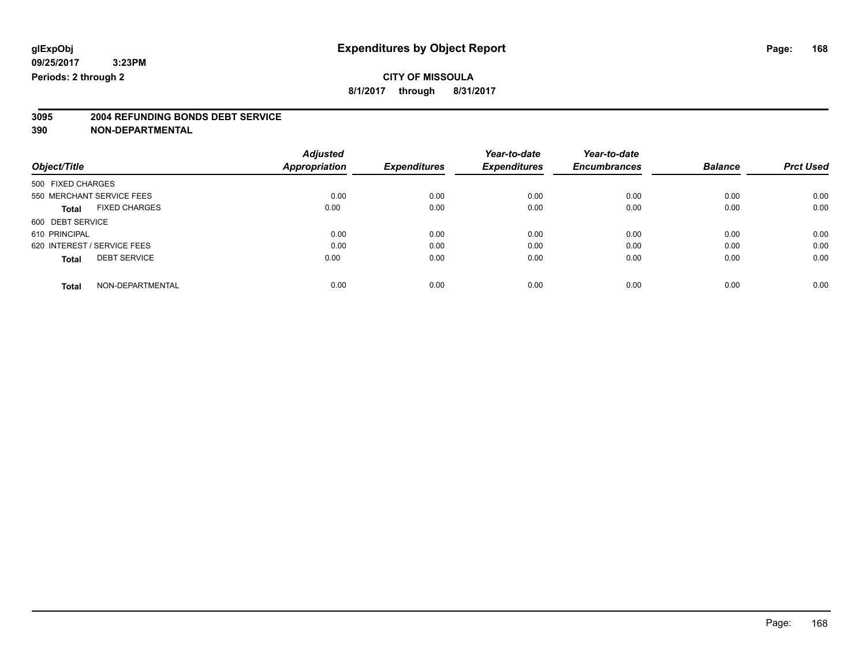**8/1/2017 through 8/31/2017**

# **3095 2004 REFUNDING BONDS DEBT SERVICE**

|                             |                      | <b>Adjusted</b>      |                     | Year-to-date        | Year-to-date        |                |                  |
|-----------------------------|----------------------|----------------------|---------------------|---------------------|---------------------|----------------|------------------|
| Object/Title                |                      | <b>Appropriation</b> | <b>Expenditures</b> | <b>Expenditures</b> | <b>Encumbrances</b> | <b>Balance</b> | <b>Prct Used</b> |
| 500 FIXED CHARGES           |                      |                      |                     |                     |                     |                |                  |
| 550 MERCHANT SERVICE FEES   |                      | 0.00                 | 0.00                | 0.00                | 0.00                | 0.00           | 0.00             |
| <b>Total</b>                | <b>FIXED CHARGES</b> | 0.00                 | 0.00                | 0.00                | 0.00                | 0.00           | 0.00             |
| 600 DEBT SERVICE            |                      |                      |                     |                     |                     |                |                  |
| 610 PRINCIPAL               |                      | 0.00                 | 0.00                | 0.00                | 0.00                | 0.00           | 0.00             |
| 620 INTEREST / SERVICE FEES |                      | 0.00                 | 0.00                | 0.00                | 0.00                | 0.00           | 0.00             |
| <b>Total</b>                | <b>DEBT SERVICE</b>  | 0.00                 | 0.00                | 0.00                | 0.00                | 0.00           | 0.00             |
| <b>Total</b>                | NON-DEPARTMENTAL     | 0.00                 | 0.00                | 0.00                | 0.00                | 0.00           | 0.00             |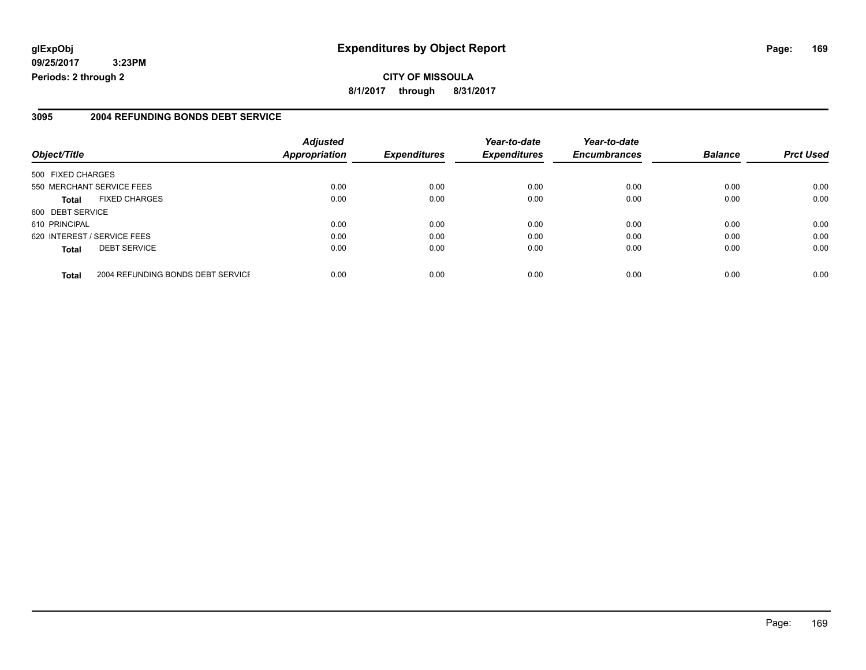## **glExpObj Expenditures by Object Report Page: 169**

**09/25/2017 3:23PM Periods: 2 through 2**

#### **3095 2004 REFUNDING BONDS DEBT SERVICE**

|                                                   | <b>Adjusted</b>      |                     | Year-to-date        | Year-to-date        |                |                  |
|---------------------------------------------------|----------------------|---------------------|---------------------|---------------------|----------------|------------------|
| Object/Title                                      | <b>Appropriation</b> | <b>Expenditures</b> | <b>Expenditures</b> | <b>Encumbrances</b> | <b>Balance</b> | <b>Prct Used</b> |
| 500 FIXED CHARGES                                 |                      |                     |                     |                     |                |                  |
| 550 MERCHANT SERVICE FEES                         | 0.00                 | 0.00                | 0.00                | 0.00                | 0.00           | 0.00             |
| <b>FIXED CHARGES</b><br><b>Total</b>              | 0.00                 | 0.00                | 0.00                | 0.00                | 0.00           | 0.00             |
| 600 DEBT SERVICE                                  |                      |                     |                     |                     |                |                  |
| 610 PRINCIPAL                                     | 0.00                 | 0.00                | 0.00                | 0.00                | 0.00           | 0.00             |
| 620 INTEREST / SERVICE FEES                       | 0.00                 | 0.00                | 0.00                | 0.00                | 0.00           | 0.00             |
| <b>DEBT SERVICE</b><br><b>Total</b>               | 0.00                 | 0.00                | 0.00                | 0.00                | 0.00           | 0.00             |
| 2004 REFUNDING BONDS DEBT SERVICE<br><b>Total</b> | 0.00                 | 0.00                | 0.00                | 0.00                | 0.00           | 0.00             |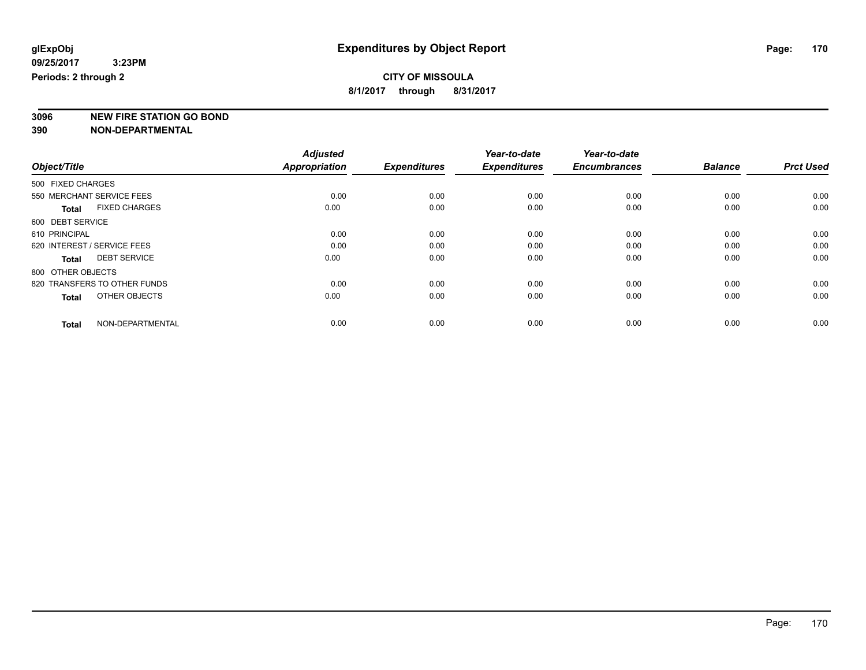**3096 NEW FIRE STATION GO BOND**

|                                      | <b>Adjusted</b>      |                     | Year-to-date        | Year-to-date        |                |                  |
|--------------------------------------|----------------------|---------------------|---------------------|---------------------|----------------|------------------|
| Object/Title                         | <b>Appropriation</b> | <b>Expenditures</b> | <b>Expenditures</b> | <b>Encumbrances</b> | <b>Balance</b> | <b>Prct Used</b> |
| 500 FIXED CHARGES                    |                      |                     |                     |                     |                |                  |
| 550 MERCHANT SERVICE FEES            | 0.00                 | 0.00                | 0.00                | 0.00                | 0.00           | 0.00             |
| <b>FIXED CHARGES</b><br><b>Total</b> | 0.00                 | 0.00                | 0.00                | 0.00                | 0.00           | 0.00             |
| 600 DEBT SERVICE                     |                      |                     |                     |                     |                |                  |
| 610 PRINCIPAL                        | 0.00                 | 0.00                | 0.00                | 0.00                | 0.00           | 0.00             |
| 620 INTEREST / SERVICE FEES          | 0.00                 | 0.00                | 0.00                | 0.00                | 0.00           | 0.00             |
| <b>DEBT SERVICE</b><br><b>Total</b>  | 0.00                 | 0.00                | 0.00                | 0.00                | 0.00           | 0.00             |
| 800 OTHER OBJECTS                    |                      |                     |                     |                     |                |                  |
| 820 TRANSFERS TO OTHER FUNDS         | 0.00                 | 0.00                | 0.00                | 0.00                | 0.00           | 0.00             |
| OTHER OBJECTS<br><b>Total</b>        | 0.00                 | 0.00                | 0.00                | 0.00                | 0.00           | 0.00             |
|                                      |                      |                     |                     |                     |                |                  |
| NON-DEPARTMENTAL<br><b>Total</b>     | 0.00                 | 0.00                | 0.00                | 0.00                | 0.00           | 0.00             |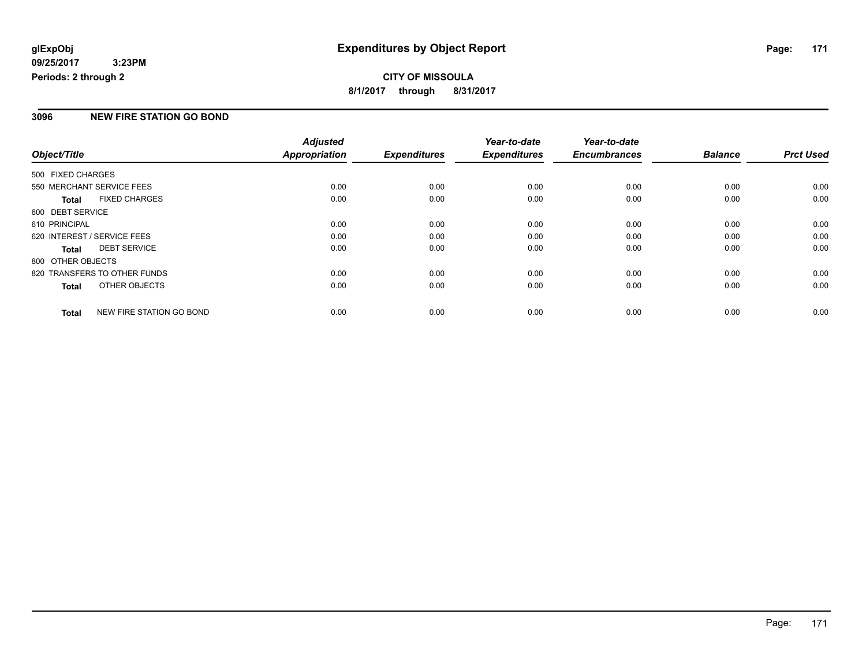## **CITY OF MISSOULA 8/1/2017 through 8/31/2017**

### **3096 NEW FIRE STATION GO BOND**

|                   |                              | <b>Adjusted</b>      |                     | Year-to-date        | Year-to-date        |                |                  |
|-------------------|------------------------------|----------------------|---------------------|---------------------|---------------------|----------------|------------------|
| Object/Title      |                              | <b>Appropriation</b> | <b>Expenditures</b> | <b>Expenditures</b> | <b>Encumbrances</b> | <b>Balance</b> | <b>Prct Used</b> |
| 500 FIXED CHARGES |                              |                      |                     |                     |                     |                |                  |
|                   | 550 MERCHANT SERVICE FEES    | 0.00                 | 0.00                | 0.00                | 0.00                | 0.00           | 0.00             |
| <b>Total</b>      | <b>FIXED CHARGES</b>         | 0.00                 | 0.00                | 0.00                | 0.00                | 0.00           | 0.00             |
| 600 DEBT SERVICE  |                              |                      |                     |                     |                     |                |                  |
| 610 PRINCIPAL     |                              | 0.00                 | 0.00                | 0.00                | 0.00                | 0.00           | 0.00             |
|                   | 620 INTEREST / SERVICE FEES  | 0.00                 | 0.00                | 0.00                | 0.00                | 0.00           | 0.00             |
| <b>Total</b>      | <b>DEBT SERVICE</b>          | 0.00                 | 0.00                | 0.00                | 0.00                | 0.00           | 0.00             |
| 800 OTHER OBJECTS |                              |                      |                     |                     |                     |                |                  |
|                   | 820 TRANSFERS TO OTHER FUNDS | 0.00                 | 0.00                | 0.00                | 0.00                | 0.00           | 0.00             |
| <b>Total</b>      | OTHER OBJECTS                | 0.00                 | 0.00                | 0.00                | 0.00                | 0.00           | 0.00             |
| <b>Total</b>      | NEW FIRE STATION GO BOND     | 0.00                 | 0.00                | 0.00                | 0.00                | 0.00           | 0.00             |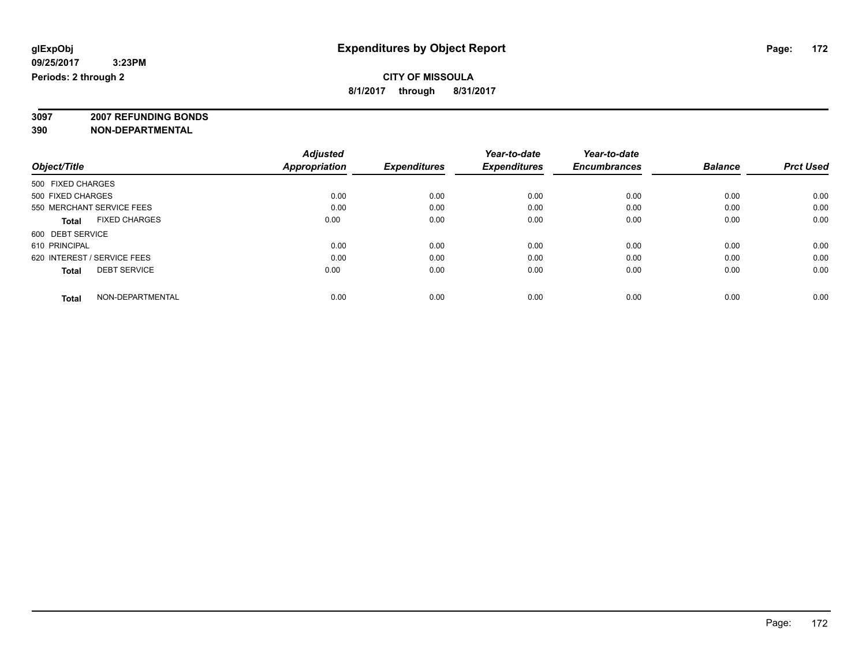**3097 2007 REFUNDING BONDS**

| Object/Title                         | <b>Adjusted</b><br><b>Appropriation</b> | <b>Expenditures</b> | Year-to-date<br><b>Expenditures</b> | Year-to-date<br><b>Encumbrances</b> | <b>Balance</b> | <b>Prct Used</b> |
|--------------------------------------|-----------------------------------------|---------------------|-------------------------------------|-------------------------------------|----------------|------------------|
| 500 FIXED CHARGES                    |                                         |                     |                                     |                                     |                |                  |
| 500 FIXED CHARGES                    | 0.00                                    | 0.00                | 0.00                                | 0.00                                | 0.00           | 0.00             |
| 550 MERCHANT SERVICE FEES            | 0.00                                    | 0.00                | 0.00                                | 0.00                                | 0.00           | 0.00             |
| <b>FIXED CHARGES</b><br><b>Total</b> | 0.00                                    | 0.00                | 0.00                                | 0.00                                | 0.00           | 0.00             |
| 600 DEBT SERVICE                     |                                         |                     |                                     |                                     |                |                  |
| 610 PRINCIPAL                        | 0.00                                    | 0.00                | 0.00                                | 0.00                                | 0.00           | 0.00             |
| 620 INTEREST / SERVICE FEES          | 0.00                                    | 0.00                | 0.00                                | 0.00                                | 0.00           | 0.00             |
| <b>DEBT SERVICE</b><br><b>Total</b>  | 0.00                                    | 0.00                | 0.00                                | 0.00                                | 0.00           | 0.00             |
| NON-DEPARTMENTAL<br><b>Total</b>     | 0.00                                    | 0.00                | 0.00                                | 0.00                                | 0.00           | 0.00             |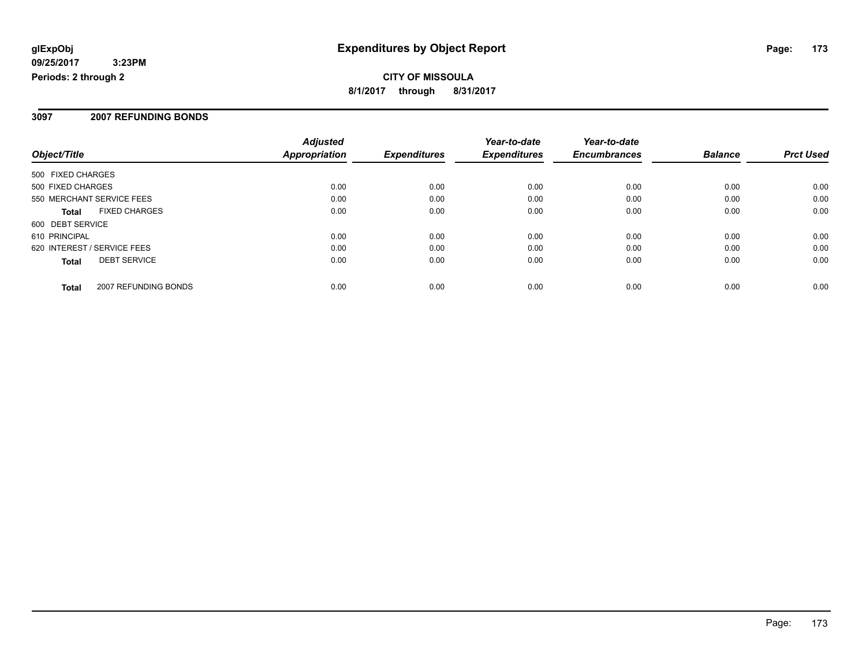#### **3097 2007 REFUNDING BONDS**

|                             |                      | <b>Adjusted</b>      |                     | Year-to-date        | Year-to-date        |                |                  |
|-----------------------------|----------------------|----------------------|---------------------|---------------------|---------------------|----------------|------------------|
| Object/Title                |                      | <b>Appropriation</b> | <b>Expenditures</b> | <b>Expenditures</b> | <b>Encumbrances</b> | <b>Balance</b> | <b>Prct Used</b> |
| 500 FIXED CHARGES           |                      |                      |                     |                     |                     |                |                  |
| 500 FIXED CHARGES           |                      | 0.00                 | 0.00                | 0.00                | 0.00                | 0.00           | 0.00             |
| 550 MERCHANT SERVICE FEES   |                      | 0.00                 | 0.00                | 0.00                | 0.00                | 0.00           | 0.00             |
| <b>Total</b>                | <b>FIXED CHARGES</b> | 0.00                 | 0.00                | 0.00                | 0.00                | 0.00           | 0.00             |
| 600 DEBT SERVICE            |                      |                      |                     |                     |                     |                |                  |
| 610 PRINCIPAL               |                      | 0.00                 | 0.00                | 0.00                | 0.00                | 0.00           | 0.00             |
| 620 INTEREST / SERVICE FEES |                      | 0.00                 | 0.00                | 0.00                | 0.00                | 0.00           | 0.00             |
| <b>Total</b>                | <b>DEBT SERVICE</b>  | 0.00                 | 0.00                | 0.00                | 0.00                | 0.00           | 0.00             |
| Total                       | 2007 REFUNDING BONDS | 0.00                 | 0.00                | 0.00                | 0.00                | 0.00           | 0.00             |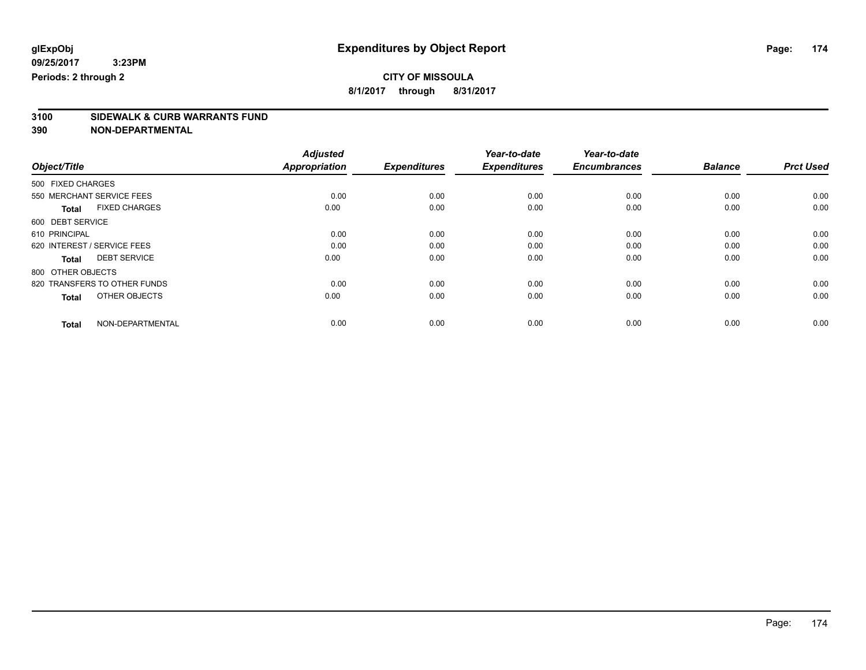**8/1/2017 through 8/31/2017**

# **3100 SIDEWALK & CURB WARRANTS FUND**

|                                      | <b>Adjusted</b>      |                     | Year-to-date        | Year-to-date        |                |                  |
|--------------------------------------|----------------------|---------------------|---------------------|---------------------|----------------|------------------|
| Object/Title                         | <b>Appropriation</b> | <b>Expenditures</b> | <b>Expenditures</b> | <b>Encumbrances</b> | <b>Balance</b> | <b>Prct Used</b> |
| 500 FIXED CHARGES                    |                      |                     |                     |                     |                |                  |
| 550 MERCHANT SERVICE FEES            | 0.00                 | 0.00                | 0.00                | 0.00                | 0.00           | 0.00             |
| <b>FIXED CHARGES</b><br><b>Total</b> | 0.00                 | 0.00                | 0.00                | 0.00                | 0.00           | 0.00             |
| 600 DEBT SERVICE                     |                      |                     |                     |                     |                |                  |
| 610 PRINCIPAL                        | 0.00                 | 0.00                | 0.00                | 0.00                | 0.00           | 0.00             |
| 620 INTEREST / SERVICE FEES          | 0.00                 | 0.00                | 0.00                | 0.00                | 0.00           | 0.00             |
| <b>DEBT SERVICE</b><br><b>Total</b>  | 0.00                 | 0.00                | 0.00                | 0.00                | 0.00           | 0.00             |
| 800 OTHER OBJECTS                    |                      |                     |                     |                     |                |                  |
| 820 TRANSFERS TO OTHER FUNDS         | 0.00                 | 0.00                | 0.00                | 0.00                | 0.00           | 0.00             |
| OTHER OBJECTS<br><b>Total</b>        | 0.00                 | 0.00                | 0.00                | 0.00                | 0.00           | 0.00             |
|                                      |                      |                     |                     |                     |                |                  |
| NON-DEPARTMENTAL<br><b>Total</b>     | 0.00                 | 0.00                | 0.00                | 0.00                | 0.00           | 0.00             |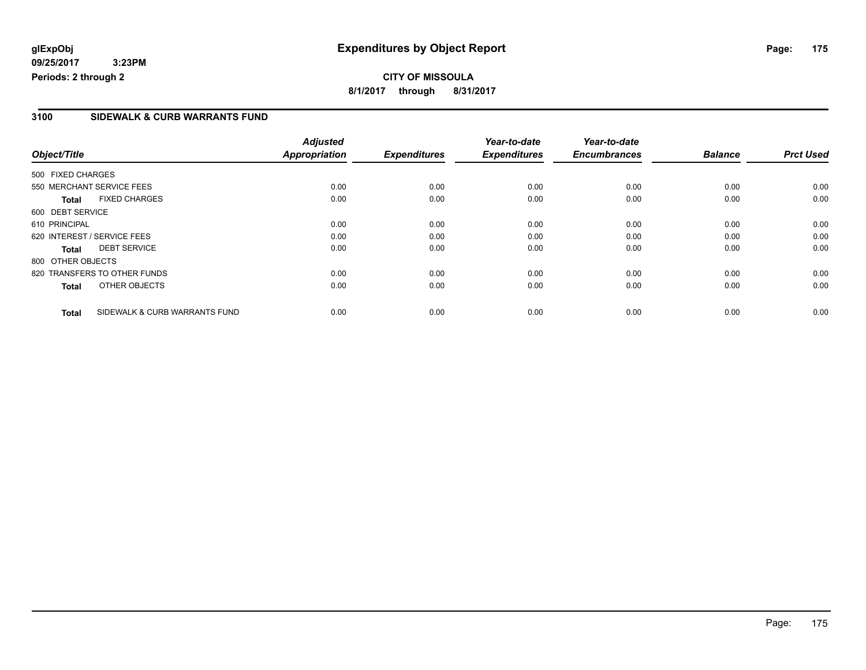### **3100 SIDEWALK & CURB WARRANTS FUND**

|                   |                               | <b>Adjusted</b>      |                     | Year-to-date        | Year-to-date        |                |                  |
|-------------------|-------------------------------|----------------------|---------------------|---------------------|---------------------|----------------|------------------|
| Object/Title      |                               | <b>Appropriation</b> | <b>Expenditures</b> | <b>Expenditures</b> | <b>Encumbrances</b> | <b>Balance</b> | <b>Prct Used</b> |
| 500 FIXED CHARGES |                               |                      |                     |                     |                     |                |                  |
|                   | 550 MERCHANT SERVICE FEES     | 0.00                 | 0.00                | 0.00                | 0.00                | 0.00           | 0.00             |
| <b>Total</b>      | <b>FIXED CHARGES</b>          | 0.00                 | 0.00                | 0.00                | 0.00                | 0.00           | 0.00             |
| 600 DEBT SERVICE  |                               |                      |                     |                     |                     |                |                  |
| 610 PRINCIPAL     |                               | 0.00                 | 0.00                | 0.00                | 0.00                | 0.00           | 0.00             |
|                   | 620 INTEREST / SERVICE FEES   | 0.00                 | 0.00                | 0.00                | 0.00                | 0.00           | 0.00             |
| Total             | <b>DEBT SERVICE</b>           | 0.00                 | 0.00                | 0.00                | 0.00                | 0.00           | 0.00             |
| 800 OTHER OBJECTS |                               |                      |                     |                     |                     |                |                  |
|                   | 820 TRANSFERS TO OTHER FUNDS  | 0.00                 | 0.00                | 0.00                | 0.00                | 0.00           | 0.00             |
| <b>Total</b>      | OTHER OBJECTS                 | 0.00                 | 0.00                | 0.00                | 0.00                | 0.00           | 0.00             |
| <b>Total</b>      | SIDEWALK & CURB WARRANTS FUND | 0.00                 | 0.00                | 0.00                | 0.00                | 0.00           | 0.00             |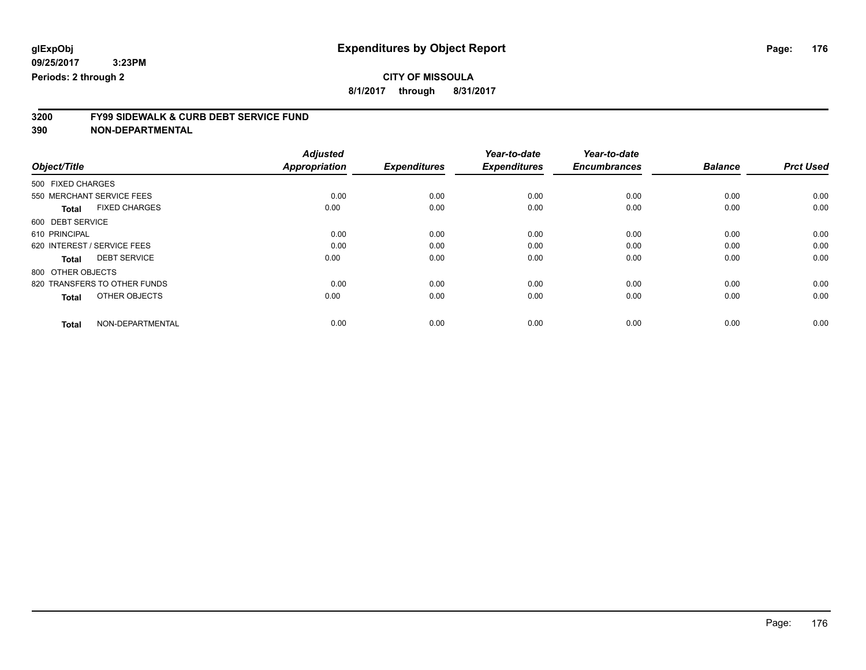**8/1/2017 through 8/31/2017**

# **3200 FY99 SIDEWALK & CURB DEBT SERVICE FUND**

|                                      | <b>Adjusted</b>      |                     | Year-to-date        | Year-to-date        |                |                  |
|--------------------------------------|----------------------|---------------------|---------------------|---------------------|----------------|------------------|
| Object/Title                         | <b>Appropriation</b> | <b>Expenditures</b> | <b>Expenditures</b> | <b>Encumbrances</b> | <b>Balance</b> | <b>Prct Used</b> |
| 500 FIXED CHARGES                    |                      |                     |                     |                     |                |                  |
| 550 MERCHANT SERVICE FEES            | 0.00                 | 0.00                | 0.00                | 0.00                | 0.00           | 0.00             |
| <b>FIXED CHARGES</b><br><b>Total</b> | 0.00                 | 0.00                | 0.00                | 0.00                | 0.00           | 0.00             |
| 600 DEBT SERVICE                     |                      |                     |                     |                     |                |                  |
| 610 PRINCIPAL                        | 0.00                 | 0.00                | 0.00                | 0.00                | 0.00           | 0.00             |
| 620 INTEREST / SERVICE FEES          | 0.00                 | 0.00                | 0.00                | 0.00                | 0.00           | 0.00             |
| <b>DEBT SERVICE</b><br><b>Total</b>  | 0.00                 | 0.00                | 0.00                | 0.00                | 0.00           | 0.00             |
| 800 OTHER OBJECTS                    |                      |                     |                     |                     |                |                  |
| 820 TRANSFERS TO OTHER FUNDS         | 0.00                 | 0.00                | 0.00                | 0.00                | 0.00           | 0.00             |
| OTHER OBJECTS<br><b>Total</b>        | 0.00                 | 0.00                | 0.00                | 0.00                | 0.00           | 0.00             |
|                                      |                      |                     |                     |                     |                |                  |
| NON-DEPARTMENTAL<br><b>Total</b>     | 0.00                 | 0.00                | 0.00                | 0.00                | 0.00           | 0.00             |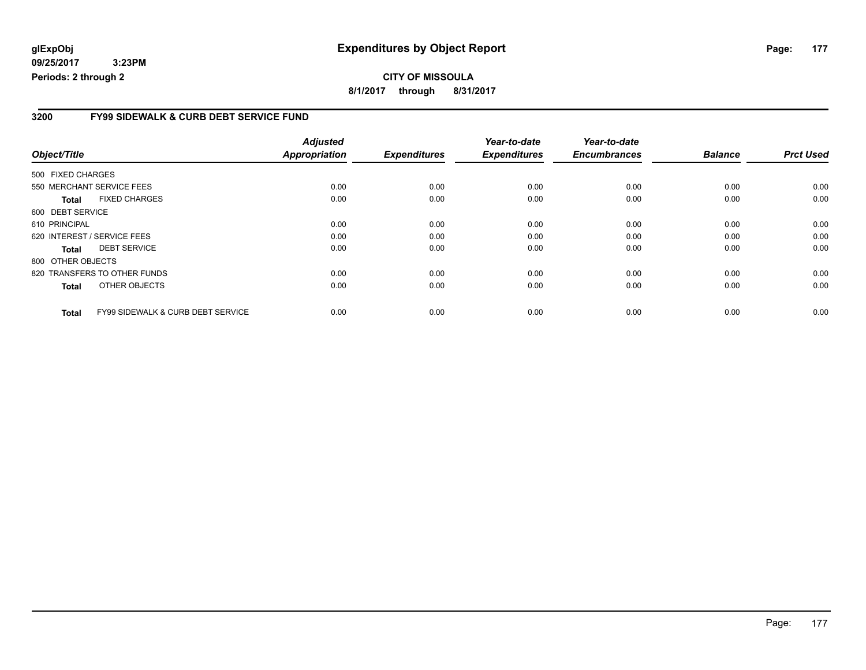### **3200 FY99 SIDEWALK & CURB DEBT SERVICE FUND**

|                             |                                              | <b>Adjusted</b> |                     | Year-to-date        | Year-to-date        |                |                  |
|-----------------------------|----------------------------------------------|-----------------|---------------------|---------------------|---------------------|----------------|------------------|
| Object/Title                |                                              | Appropriation   | <b>Expenditures</b> | <b>Expenditures</b> | <b>Encumbrances</b> | <b>Balance</b> | <b>Prct Used</b> |
| 500 FIXED CHARGES           |                                              |                 |                     |                     |                     |                |                  |
| 550 MERCHANT SERVICE FEES   |                                              | 0.00            | 0.00                | 0.00                | 0.00                | 0.00           | 0.00             |
| <b>Total</b>                | <b>FIXED CHARGES</b>                         | 0.00            | 0.00                | 0.00                | 0.00                | 0.00           | 0.00             |
| 600 DEBT SERVICE            |                                              |                 |                     |                     |                     |                |                  |
| 610 PRINCIPAL               |                                              | 0.00            | 0.00                | 0.00                | 0.00                | 0.00           | 0.00             |
| 620 INTEREST / SERVICE FEES |                                              | 0.00            | 0.00                | 0.00                | 0.00                | 0.00           | 0.00             |
| <b>Total</b>                | <b>DEBT SERVICE</b>                          | 0.00            | 0.00                | 0.00                | 0.00                | 0.00           | 0.00             |
| 800 OTHER OBJECTS           |                                              |                 |                     |                     |                     |                |                  |
|                             | 820 TRANSFERS TO OTHER FUNDS                 | 0.00            | 0.00                | 0.00                | 0.00                | 0.00           | 0.00             |
| <b>Total</b>                | OTHER OBJECTS                                | 0.00            | 0.00                | 0.00                | 0.00                | 0.00           | 0.00             |
| <b>Total</b>                | <b>FY99 SIDEWALK &amp; CURB DEBT SERVICE</b> | 0.00            | 0.00                | 0.00                | 0.00                | 0.00           | 0.00             |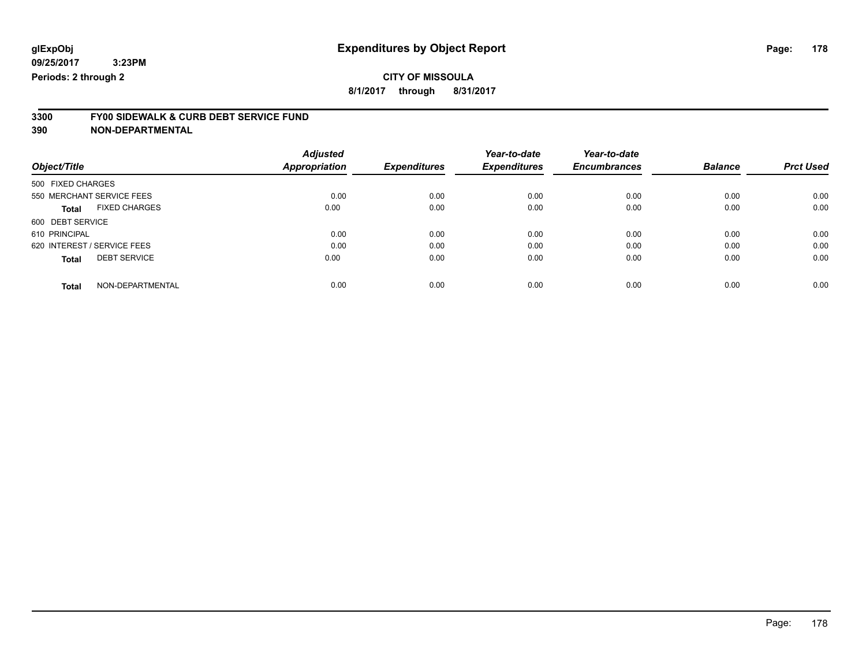**8/1/2017 through 8/31/2017**

# **3300 FY00 SIDEWALK & CURB DEBT SERVICE FUND**

|                             |                      | <b>Adjusted</b>      |                     | Year-to-date        | Year-to-date        |                |                  |
|-----------------------------|----------------------|----------------------|---------------------|---------------------|---------------------|----------------|------------------|
| Object/Title                |                      | <b>Appropriation</b> | <b>Expenditures</b> | <b>Expenditures</b> | <b>Encumbrances</b> | <b>Balance</b> | <b>Prct Used</b> |
| 500 FIXED CHARGES           |                      |                      |                     |                     |                     |                |                  |
| 550 MERCHANT SERVICE FEES   |                      | 0.00                 | 0.00                | 0.00                | 0.00                | 0.00           | 0.00             |
| <b>Total</b>                | <b>FIXED CHARGES</b> | 0.00                 | 0.00                | 0.00                | 0.00                | 0.00           | 0.00             |
| 600 DEBT SERVICE            |                      |                      |                     |                     |                     |                |                  |
| 610 PRINCIPAL               |                      | 0.00                 | 0.00                | 0.00                | 0.00                | 0.00           | 0.00             |
| 620 INTEREST / SERVICE FEES |                      | 0.00                 | 0.00                | 0.00                | 0.00                | 0.00           | 0.00             |
| <b>Total</b>                | <b>DEBT SERVICE</b>  | 0.00                 | 0.00                | 0.00                | 0.00                | 0.00           | 0.00             |
| <b>Total</b>                | NON-DEPARTMENTAL     | 0.00                 | 0.00                | 0.00                | 0.00                | 0.00           | 0.00             |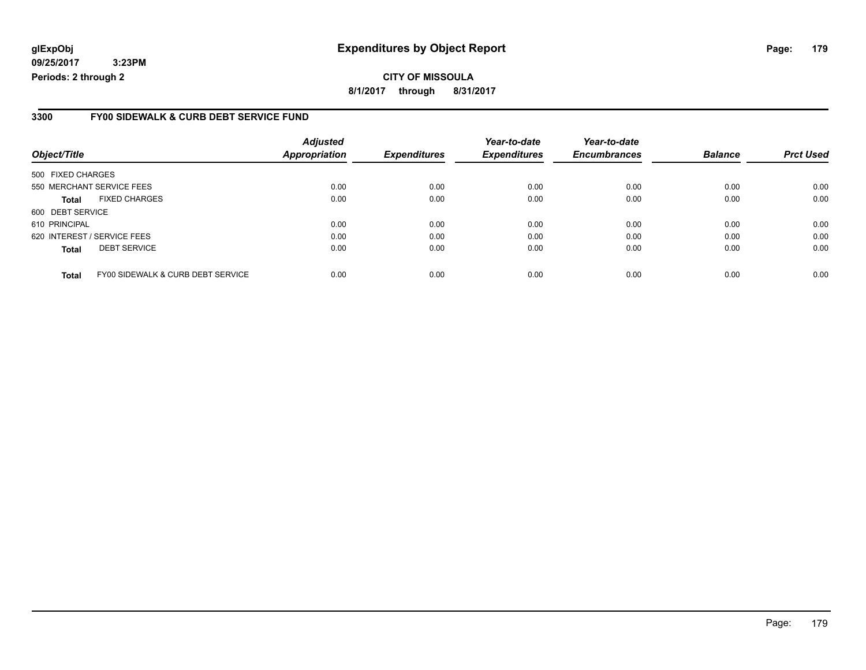### **glExpObj Expenditures by Object Report Page: 179**

**09/25/2017 3:23PM Periods: 2 through 2**

#### **3300 FY00 SIDEWALK & CURB DEBT SERVICE FUND**

| Object/Title                |                                   | <b>Adjusted</b><br><b>Appropriation</b> | <b>Expenditures</b> | Year-to-date<br><b>Expenditures</b> | Year-to-date<br><b>Encumbrances</b> | <b>Balance</b> | <b>Prct Used</b> |
|-----------------------------|-----------------------------------|-----------------------------------------|---------------------|-------------------------------------|-------------------------------------|----------------|------------------|
| 500 FIXED CHARGES           |                                   |                                         |                     |                                     |                                     |                |                  |
|                             | 550 MERCHANT SERVICE FEES         | 0.00                                    | 0.00                | 0.00                                | 0.00                                | 0.00           | 0.00             |
| <b>Total</b>                | <b>FIXED CHARGES</b>              | 0.00                                    | 0.00                | 0.00                                | 0.00                                | 0.00           | 0.00             |
| 600 DEBT SERVICE            |                                   |                                         |                     |                                     |                                     |                |                  |
| 610 PRINCIPAL               |                                   | 0.00                                    | 0.00                | 0.00                                | 0.00                                | 0.00           | 0.00             |
| 620 INTEREST / SERVICE FEES |                                   | 0.00                                    | 0.00                | 0.00                                | 0.00                                | 0.00           | 0.00             |
| <b>Total</b>                | <b>DEBT SERVICE</b>               | 0.00                                    | 0.00                | 0.00                                | 0.00                                | 0.00           | 0.00             |
| <b>Total</b>                | FY00 SIDEWALK & CURB DEBT SERVICE | 0.00                                    | 0.00                | 0.00                                | 0.00                                | 0.00           | 0.00             |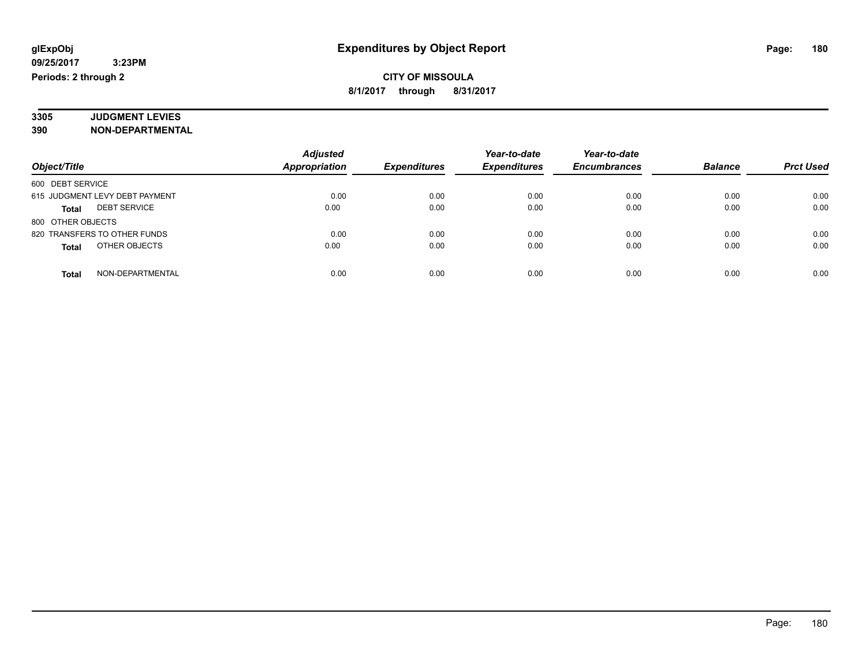#### **3305 JUDGMENT LEVIES 390 NON-DEPARTMENTAL**

|                                     | <b>Adjusted</b> |                     | Year-to-date        | Year-to-date        |                |                  |
|-------------------------------------|-----------------|---------------------|---------------------|---------------------|----------------|------------------|
| Object/Title                        | Appropriation   | <b>Expenditures</b> | <b>Expenditures</b> | <b>Encumbrances</b> | <b>Balance</b> | <b>Prct Used</b> |
| 600 DEBT SERVICE                    |                 |                     |                     |                     |                |                  |
| 615 JUDGMENT LEVY DEBT PAYMENT      | 0.00            | 0.00                | 0.00                | 0.00                | 0.00           | 0.00             |
| <b>DEBT SERVICE</b><br><b>Total</b> | 0.00            | 0.00                | 0.00                | 0.00                | 0.00           | 0.00             |
| 800 OTHER OBJECTS                   |                 |                     |                     |                     |                |                  |
| 820 TRANSFERS TO OTHER FUNDS        | 0.00            | 0.00                | 0.00                | 0.00                | 0.00           | 0.00             |
| OTHER OBJECTS<br><b>Total</b>       | 0.00            | 0.00                | 0.00                | 0.00                | 0.00           | 0.00             |
| NON-DEPARTMENTAL<br><b>Total</b>    | 0.00            | 0.00                | 0.00                | 0.00                | 0.00           | 0.00             |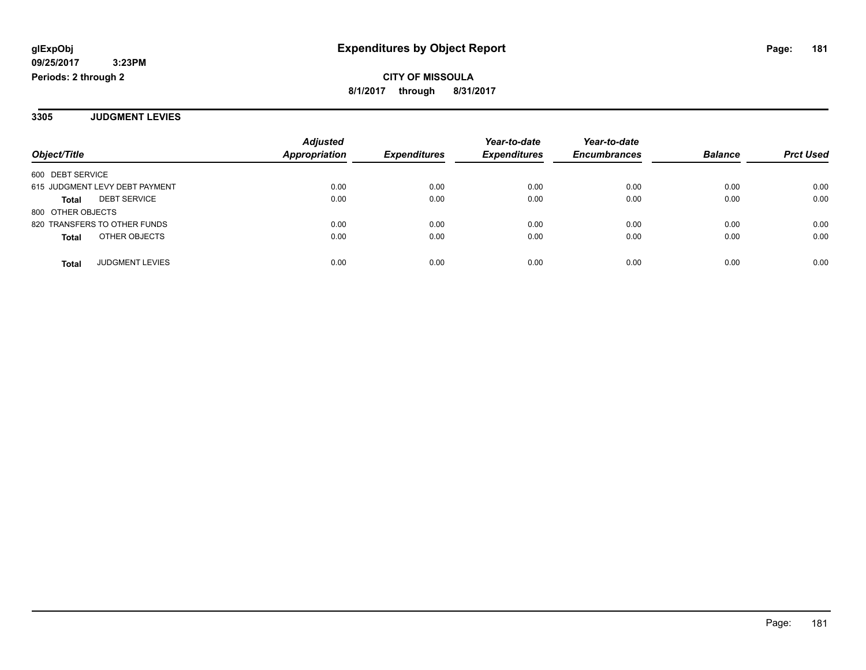**3305 JUDGMENT LEVIES**

|                                        | <b>Adjusted</b> |                     | Year-to-date        | Year-to-date        |                |                  |
|----------------------------------------|-----------------|---------------------|---------------------|---------------------|----------------|------------------|
| Object/Title                           | Appropriation   | <b>Expenditures</b> | <b>Expenditures</b> | <b>Encumbrances</b> | <b>Balance</b> | <b>Prct Used</b> |
| 600 DEBT SERVICE                       |                 |                     |                     |                     |                |                  |
| 615 JUDGMENT LEVY DEBT PAYMENT         | 0.00            | 0.00                | 0.00                | 0.00                | 0.00           | 0.00             |
| <b>DEBT SERVICE</b><br><b>Total</b>    | 0.00            | 0.00                | 0.00                | 0.00                | 0.00           | 0.00             |
| 800 OTHER OBJECTS                      |                 |                     |                     |                     |                |                  |
| 820 TRANSFERS TO OTHER FUNDS           | 0.00            | 0.00                | 0.00                | 0.00                | 0.00           | 0.00             |
| OTHER OBJECTS<br><b>Total</b>          | 0.00            | 0.00                | 0.00                | 0.00                | 0.00           | 0.00             |
|                                        |                 |                     |                     |                     |                |                  |
| <b>JUDGMENT LEVIES</b><br><b>Total</b> | 0.00            | 0.00                | 0.00                | 0.00                | 0.00           | 0.00             |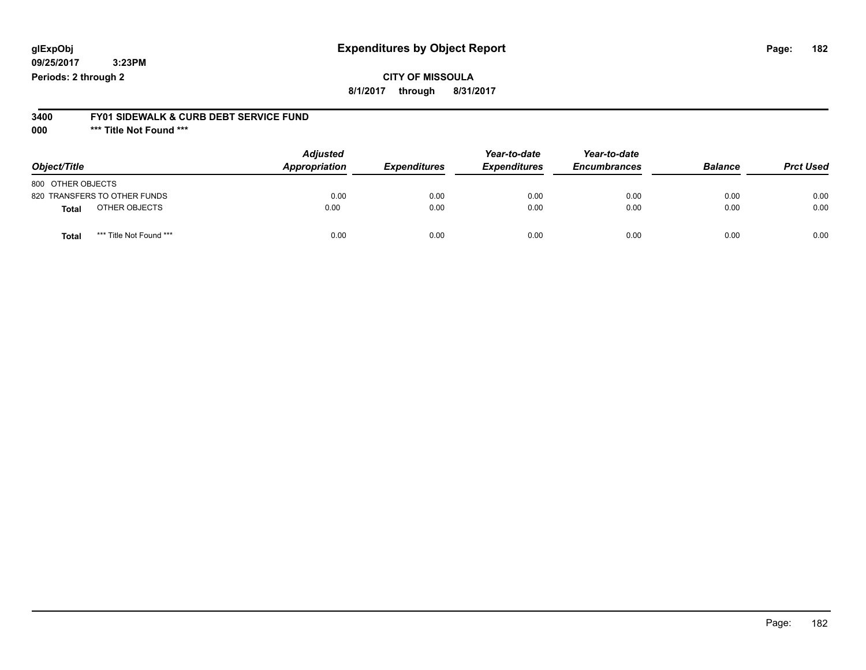### **CITY OF MISSOULA**

**8/1/2017 through 8/31/2017**

#### **3400 FY01 SIDEWALK & CURB DEBT SERVICE FUND**

**000 \*\*\* Title Not Found \*\*\***

| Object/Title                            | <b>Adjusted</b><br>Appropriation | <b>Expenditures</b> | Year-to-date<br><b>Expenditures</b> | Year-to-date<br><b>Encumbrances</b> | <b>Balance</b> | <b>Prct Used</b> |
|-----------------------------------------|----------------------------------|---------------------|-------------------------------------|-------------------------------------|----------------|------------------|
| 800 OTHER OBJECTS                       |                                  |                     |                                     |                                     |                |                  |
| 820 TRANSFERS TO OTHER FUNDS            | 0.00                             | 0.00                | 0.00                                | 0.00                                | 0.00           | 0.00             |
| OTHER OBJECTS<br><b>Total</b>           | 0.00                             | 0.00                | 0.00                                | 0.00                                | 0.00           | 0.00             |
| *** Title Not Found ***<br><b>Total</b> | 0.00                             | 0.00                | 0.00                                | 0.00                                | 0.00           | 0.00             |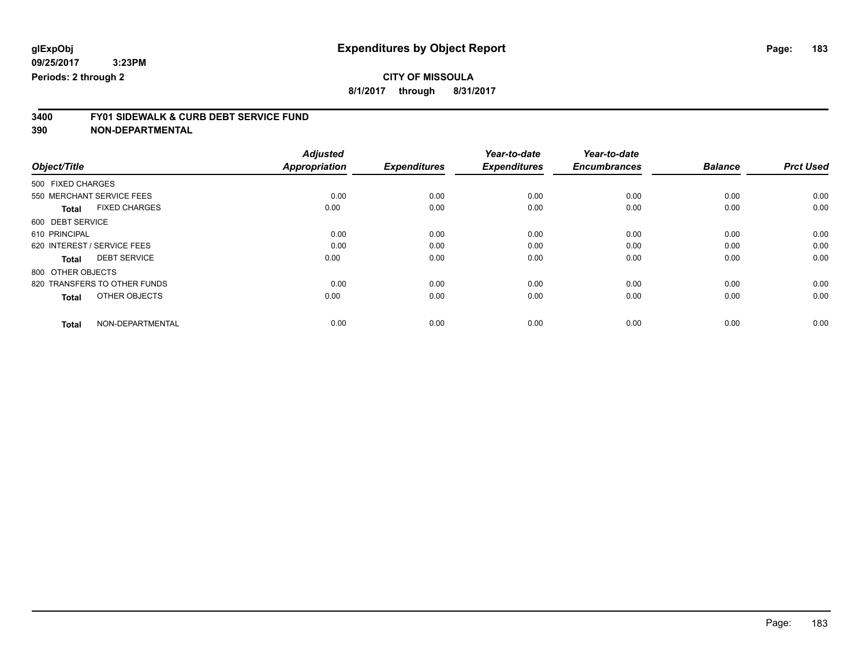**8/1/2017 through 8/31/2017**

# **3400 FY01 SIDEWALK & CURB DEBT SERVICE FUND**

|                                      | <b>Adjusted</b>      |                     | Year-to-date        | Year-to-date        |                |                  |
|--------------------------------------|----------------------|---------------------|---------------------|---------------------|----------------|------------------|
| Object/Title                         | <b>Appropriation</b> | <b>Expenditures</b> | <b>Expenditures</b> | <b>Encumbrances</b> | <b>Balance</b> | <b>Prct Used</b> |
| 500 FIXED CHARGES                    |                      |                     |                     |                     |                |                  |
| 550 MERCHANT SERVICE FEES            | 0.00                 | 0.00                | 0.00                | 0.00                | 0.00           | 0.00             |
| <b>FIXED CHARGES</b><br><b>Total</b> | 0.00                 | 0.00                | 0.00                | 0.00                | 0.00           | 0.00             |
| 600 DEBT SERVICE                     |                      |                     |                     |                     |                |                  |
| 610 PRINCIPAL                        | 0.00                 | 0.00                | 0.00                | 0.00                | 0.00           | 0.00             |
| 620 INTEREST / SERVICE FEES          | 0.00                 | 0.00                | 0.00                | 0.00                | 0.00           | 0.00             |
| <b>DEBT SERVICE</b><br><b>Total</b>  | 0.00                 | 0.00                | 0.00                | 0.00                | 0.00           | 0.00             |
| 800 OTHER OBJECTS                    |                      |                     |                     |                     |                |                  |
| 820 TRANSFERS TO OTHER FUNDS         | 0.00                 | 0.00                | 0.00                | 0.00                | 0.00           | 0.00             |
| OTHER OBJECTS<br><b>Total</b>        | 0.00                 | 0.00                | 0.00                | 0.00                | 0.00           | 0.00             |
|                                      |                      |                     |                     |                     |                |                  |
| NON-DEPARTMENTAL<br><b>Total</b>     | 0.00                 | 0.00                | 0.00                | 0.00                | 0.00           | 0.00             |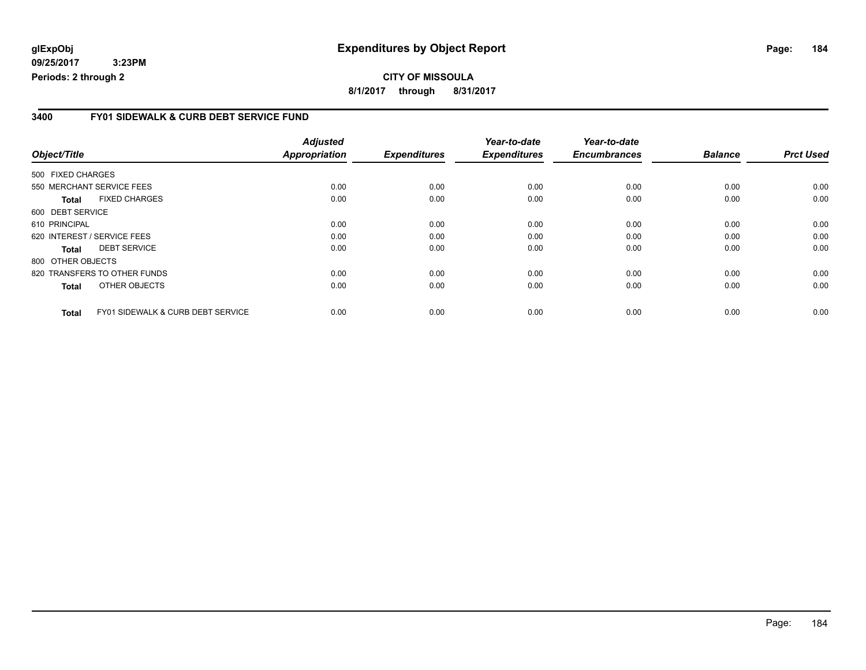#### **glExpObj Expenditures by Object Report Page: 184**

**09/25/2017 3:23PM Periods: 2 through 2**

**8/1/2017 through 8/31/2017**

#### **3400 FY01 SIDEWALK & CURB DEBT SERVICE FUND**

| Object/Title                |                                   | <b>Adjusted</b><br><b>Appropriation</b> | <b>Expenditures</b> | Year-to-date<br><b>Expenditures</b> | Year-to-date<br><b>Encumbrances</b> | <b>Balance</b> | <b>Prct Used</b> |
|-----------------------------|-----------------------------------|-----------------------------------------|---------------------|-------------------------------------|-------------------------------------|----------------|------------------|
|                             |                                   |                                         |                     |                                     |                                     |                |                  |
| 500 FIXED CHARGES           |                                   |                                         |                     |                                     |                                     |                |                  |
|                             | 550 MERCHANT SERVICE FEES         | 0.00                                    | 0.00                | 0.00                                | 0.00                                | 0.00           | 0.00             |
| Total                       | <b>FIXED CHARGES</b>              | 0.00                                    | 0.00                | 0.00                                | 0.00                                | 0.00           | 0.00             |
| 600 DEBT SERVICE            |                                   |                                         |                     |                                     |                                     |                |                  |
| 610 PRINCIPAL               |                                   | 0.00                                    | 0.00                | 0.00                                | 0.00                                | 0.00           | 0.00             |
| 620 INTEREST / SERVICE FEES |                                   | 0.00                                    | 0.00                | 0.00                                | 0.00                                | 0.00           | 0.00             |
| <b>Total</b>                | <b>DEBT SERVICE</b>               | 0.00                                    | 0.00                | 0.00                                | 0.00                                | 0.00           | 0.00             |
| 800 OTHER OBJECTS           |                                   |                                         |                     |                                     |                                     |                |                  |
|                             | 820 TRANSFERS TO OTHER FUNDS      | 0.00                                    | 0.00                | 0.00                                | 0.00                                | 0.00           | 0.00             |
| <b>Total</b>                | OTHER OBJECTS                     | 0.00                                    | 0.00                | 0.00                                | 0.00                                | 0.00           | 0.00             |
| <b>Total</b>                | FY01 SIDEWALK & CURB DEBT SERVICE | 0.00                                    | 0.00                | 0.00                                | 0.00                                | 0.00           | 0.00             |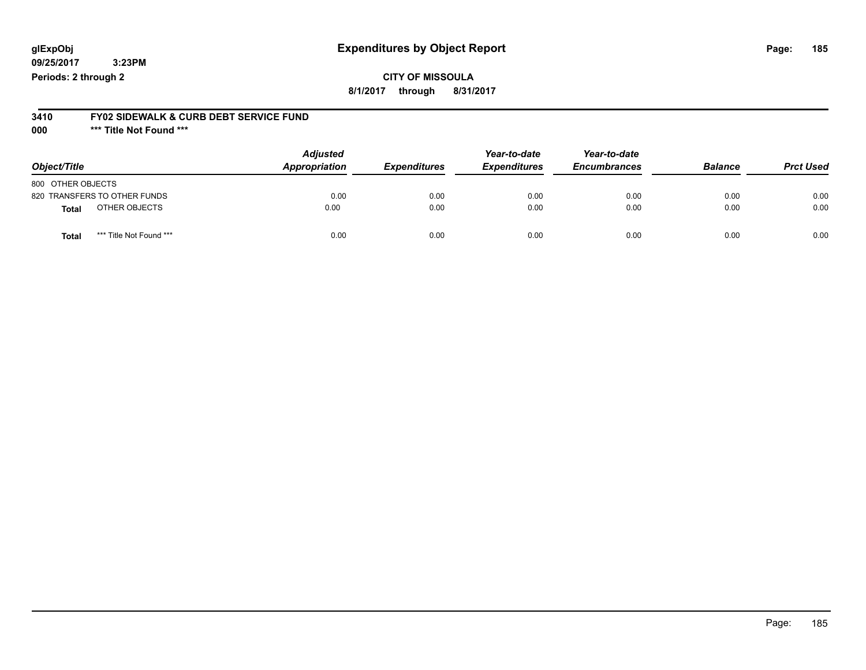#### **CITY OF MISSOULA 8/1/2017 through 8/31/2017**

### **3410 FY02 SIDEWALK & CURB DEBT SERVICE FUND**

**000 \*\*\* Title Not Found \*\*\***

| Object/Title                     | <b>Adjusted</b><br>Appropriation | <b>Expenditures</b> | Year-to-date<br><b>Expenditures</b> | Year-to-date<br><b>Encumbrances</b> | <b>Balance</b> | <b>Prct Used</b> |
|----------------------------------|----------------------------------|---------------------|-------------------------------------|-------------------------------------|----------------|------------------|
| 800 OTHER OBJECTS                |                                  |                     |                                     |                                     |                |                  |
| 820 TRANSFERS TO OTHER FUNDS     | 0.00                             | 0.00                | 0.00                                | 0.00                                | 0.00           | 0.00             |
| OTHER OBJECTS<br>Total           | 0.00                             | 0.00                | 0.00                                | 0.00                                | 0.00           | 0.00             |
| *** Title Not Found ***<br>Total | 0.00                             | 0.00                | 0.00                                | 0.00                                | 0.00           | 0.00             |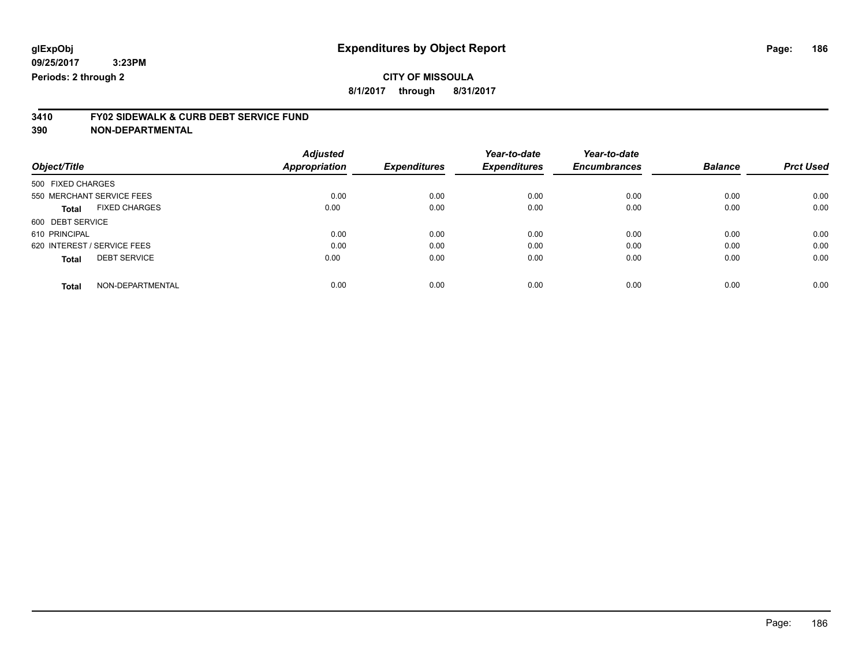**8/1/2017 through 8/31/2017**

# **3410 FY02 SIDEWALK & CURB DEBT SERVICE FUND**

|                             |                      | <b>Adjusted</b>      |                     | Year-to-date        | Year-to-date        |                |                  |
|-----------------------------|----------------------|----------------------|---------------------|---------------------|---------------------|----------------|------------------|
| Object/Title                |                      | <b>Appropriation</b> | <b>Expenditures</b> | <b>Expenditures</b> | <b>Encumbrances</b> | <b>Balance</b> | <b>Prct Used</b> |
| 500 FIXED CHARGES           |                      |                      |                     |                     |                     |                |                  |
| 550 MERCHANT SERVICE FEES   |                      | 0.00                 | 0.00                | 0.00                | 0.00                | 0.00           | 0.00             |
| <b>Total</b>                | <b>FIXED CHARGES</b> | 0.00                 | 0.00                | 0.00                | 0.00                | 0.00           | 0.00             |
| 600 DEBT SERVICE            |                      |                      |                     |                     |                     |                |                  |
| 610 PRINCIPAL               |                      | 0.00                 | 0.00                | 0.00                | 0.00                | 0.00           | 0.00             |
| 620 INTEREST / SERVICE FEES |                      | 0.00                 | 0.00                | 0.00                | 0.00                | 0.00           | 0.00             |
| <b>Total</b>                | <b>DEBT SERVICE</b>  | 0.00                 | 0.00                | 0.00                | 0.00                | 0.00           | 0.00             |
| <b>Total</b>                | NON-DEPARTMENTAL     | 0.00                 | 0.00                | 0.00                | 0.00                | 0.00           | 0.00             |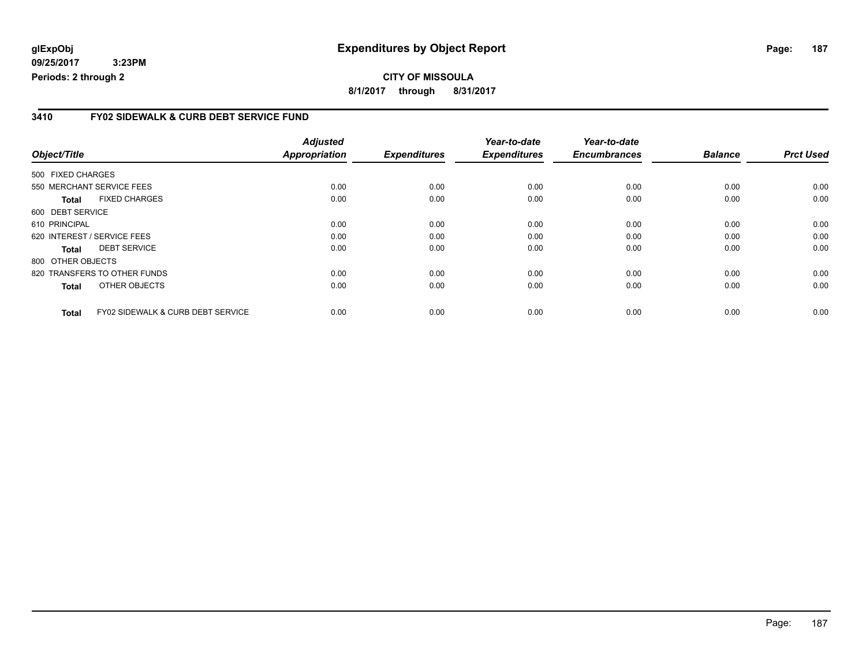#### **3410 FY02 SIDEWALK & CURB DEBT SERVICE FUND**

| Object/Title      |                                              | <b>Adjusted</b><br><b>Appropriation</b> | <b>Expenditures</b> | Year-to-date<br><b>Expenditures</b> | Year-to-date<br><b>Encumbrances</b> | <b>Balance</b> | <b>Prct Used</b> |
|-------------------|----------------------------------------------|-----------------------------------------|---------------------|-------------------------------------|-------------------------------------|----------------|------------------|
| 500 FIXED CHARGES |                                              |                                         |                     |                                     |                                     |                |                  |
|                   | 550 MERCHANT SERVICE FEES                    | 0.00                                    | 0.00                | 0.00                                | 0.00                                | 0.00           | 0.00             |
| Total             | <b>FIXED CHARGES</b>                         | 0.00                                    | 0.00                | 0.00                                | 0.00                                | 0.00           | 0.00             |
| 600 DEBT SERVICE  |                                              |                                         |                     |                                     |                                     |                |                  |
| 610 PRINCIPAL     |                                              | 0.00                                    | 0.00                | 0.00                                | 0.00                                | 0.00           | 0.00             |
|                   | 620 INTEREST / SERVICE FEES                  | 0.00                                    | 0.00                | 0.00                                | 0.00                                | 0.00           | 0.00             |
| Total             | <b>DEBT SERVICE</b>                          | 0.00                                    | 0.00                | 0.00                                | 0.00                                | 0.00           | 0.00             |
| 800 OTHER OBJECTS |                                              |                                         |                     |                                     |                                     |                |                  |
|                   | 820 TRANSFERS TO OTHER FUNDS                 | 0.00                                    | 0.00                | 0.00                                | 0.00                                | 0.00           | 0.00             |
| <b>Total</b>      | OTHER OBJECTS                                | 0.00                                    | 0.00                | 0.00                                | 0.00                                | 0.00           | 0.00             |
| <b>Total</b>      | <b>FY02 SIDEWALK &amp; CURB DEBT SERVICE</b> | 0.00                                    | 0.00                | 0.00                                | 0.00                                | 0.00           | 0.00             |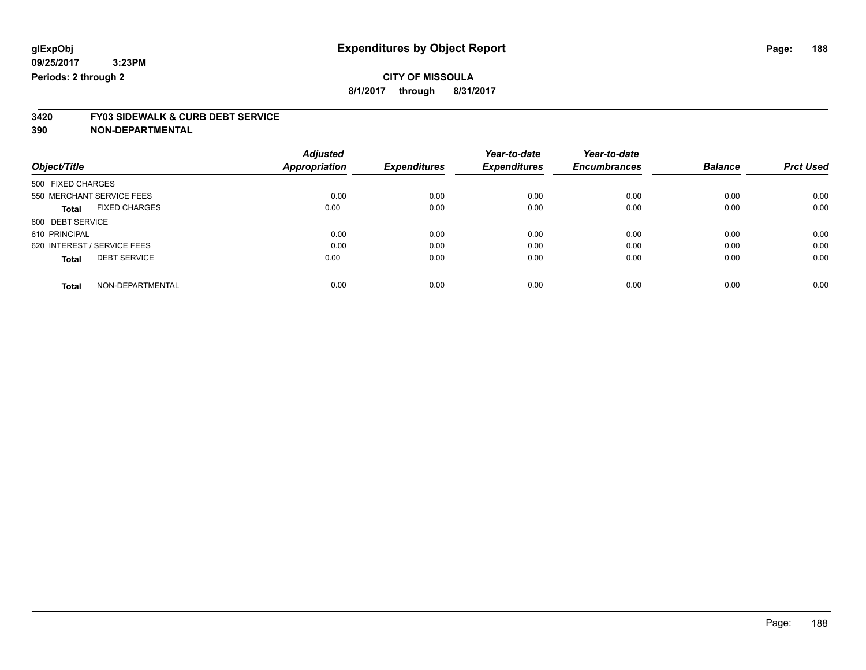**8/1/2017 through 8/31/2017**

# **3420 FY03 SIDEWALK & CURB DEBT SERVICE**

| Object/Title                         | <b>Adjusted</b><br>Appropriation | <b>Expenditures</b> | Year-to-date<br><b>Expenditures</b> | Year-to-date<br><b>Encumbrances</b> | <b>Balance</b> | <b>Prct Used</b> |
|--------------------------------------|----------------------------------|---------------------|-------------------------------------|-------------------------------------|----------------|------------------|
| 500 FIXED CHARGES                    |                                  |                     |                                     |                                     |                |                  |
| 550 MERCHANT SERVICE FEES            | 0.00                             | 0.00                | 0.00                                | 0.00                                | 0.00           | 0.00             |
| <b>FIXED CHARGES</b><br><b>Total</b> | 0.00                             | 0.00                | 0.00                                | 0.00                                | 0.00           | 0.00             |
| 600 DEBT SERVICE                     |                                  |                     |                                     |                                     |                |                  |
| 610 PRINCIPAL                        | 0.00                             | 0.00                | 0.00                                | 0.00                                | 0.00           | 0.00             |
| 620 INTEREST / SERVICE FEES          | 0.00                             | 0.00                | 0.00                                | 0.00                                | 0.00           | 0.00             |
| <b>DEBT SERVICE</b><br><b>Total</b>  | 0.00                             | 0.00                | 0.00                                | 0.00                                | 0.00           | 0.00             |
| NON-DEPARTMENTAL<br><b>Total</b>     | 0.00                             | 0.00                | 0.00                                | 0.00                                | 0.00           | 0.00             |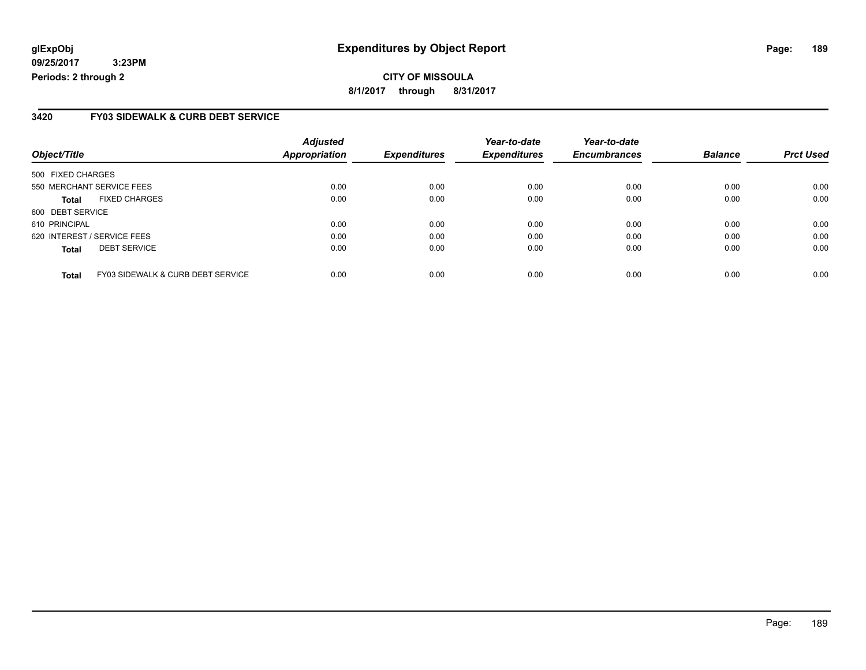**CITY OF MISSOULA 8/1/2017 through 8/31/2017**

#### **3420 FY03 SIDEWALK & CURB DEBT SERVICE**

| Object/Title                |                                              | <b>Adjusted</b><br><b>Appropriation</b> | <b>Expenditures</b> | Year-to-date<br><b>Expenditures</b> | Year-to-date<br><b>Encumbrances</b> | <b>Balance</b> | <b>Prct Used</b> |
|-----------------------------|----------------------------------------------|-----------------------------------------|---------------------|-------------------------------------|-------------------------------------|----------------|------------------|
| 500 FIXED CHARGES           |                                              |                                         |                     |                                     |                                     |                |                  |
| 550 MERCHANT SERVICE FEES   |                                              | 0.00                                    | 0.00                | 0.00                                | 0.00                                | 0.00           | 0.00             |
| <b>Total</b>                | <b>FIXED CHARGES</b>                         | 0.00                                    | 0.00                | 0.00                                | 0.00                                | 0.00           | 0.00             |
| 600 DEBT SERVICE            |                                              |                                         |                     |                                     |                                     |                |                  |
| 610 PRINCIPAL               |                                              | 0.00                                    | 0.00                | 0.00                                | 0.00                                | 0.00           | 0.00             |
| 620 INTEREST / SERVICE FEES |                                              | 0.00                                    | 0.00                | 0.00                                | 0.00                                | 0.00           | 0.00             |
| <b>Total</b>                | <b>DEBT SERVICE</b>                          | 0.00                                    | 0.00                | 0.00                                | 0.00                                | 0.00           | 0.00             |
| <b>Total</b>                | <b>FY03 SIDEWALK &amp; CURB DEBT SERVICE</b> | 0.00                                    | 0.00                | 0.00                                | 0.00                                | 0.00           | 0.00             |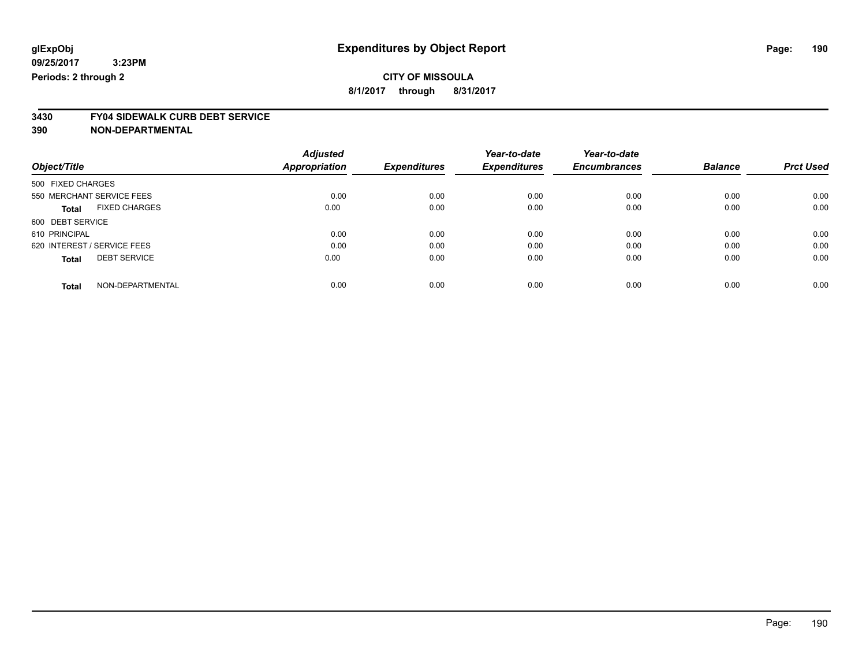**8/1/2017 through 8/31/2017**

# **3430 FY04 SIDEWALK CURB DEBT SERVICE**

|                             |                      | <b>Adjusted</b>      |                     | Year-to-date        | Year-to-date        |                |                  |
|-----------------------------|----------------------|----------------------|---------------------|---------------------|---------------------|----------------|------------------|
| Object/Title                |                      | <b>Appropriation</b> | <b>Expenditures</b> | <b>Expenditures</b> | <b>Encumbrances</b> | <b>Balance</b> | <b>Prct Used</b> |
| 500 FIXED CHARGES           |                      |                      |                     |                     |                     |                |                  |
| 550 MERCHANT SERVICE FEES   |                      | 0.00                 | 0.00                | 0.00                | 0.00                | 0.00           | 0.00             |
| <b>Total</b>                | <b>FIXED CHARGES</b> | 0.00                 | 0.00                | 0.00                | 0.00                | 0.00           | 0.00             |
| 600 DEBT SERVICE            |                      |                      |                     |                     |                     |                |                  |
| 610 PRINCIPAL               |                      | 0.00                 | 0.00                | 0.00                | 0.00                | 0.00           | 0.00             |
| 620 INTEREST / SERVICE FEES |                      | 0.00                 | 0.00                | 0.00                | 0.00                | 0.00           | 0.00             |
| <b>Total</b>                | <b>DEBT SERVICE</b>  | 0.00                 | 0.00                | 0.00                | 0.00                | 0.00           | 0.00             |
| <b>Total</b>                | NON-DEPARTMENTAL     | 0.00                 | 0.00                | 0.00                | 0.00                | 0.00           | 0.00             |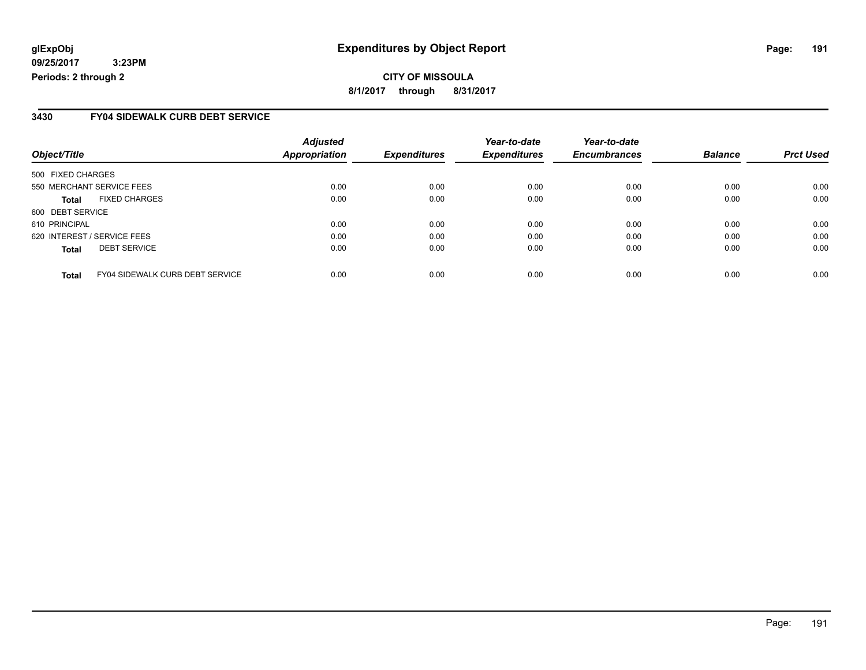**CITY OF MISSOULA 8/1/2017 through 8/31/2017**

#### **3430 FY04 SIDEWALK CURB DEBT SERVICE**

| Object/Title                                           | <b>Adjusted</b><br><b>Appropriation</b> | <b>Expenditures</b> | Year-to-date<br><b>Expenditures</b> | Year-to-date<br><b>Encumbrances</b> | <b>Balance</b> | <b>Prct Used</b> |
|--------------------------------------------------------|-----------------------------------------|---------------------|-------------------------------------|-------------------------------------|----------------|------------------|
|                                                        |                                         |                     |                                     |                                     |                |                  |
| 500 FIXED CHARGES                                      |                                         |                     |                                     |                                     |                |                  |
| 550 MERCHANT SERVICE FEES                              | 0.00                                    | 0.00                | 0.00                                | 0.00                                | 0.00           | 0.00             |
| <b>FIXED CHARGES</b><br><b>Total</b>                   | 0.00                                    | 0.00                | 0.00                                | 0.00                                | 0.00           | 0.00             |
| 600 DEBT SERVICE                                       |                                         |                     |                                     |                                     |                |                  |
| 610 PRINCIPAL                                          | 0.00                                    | 0.00                | 0.00                                | 0.00                                | 0.00           | 0.00             |
| 620 INTEREST / SERVICE FEES                            | 0.00                                    | 0.00                | 0.00                                | 0.00                                | 0.00           | 0.00             |
| <b>DEBT SERVICE</b><br><b>Total</b>                    | 0.00                                    | 0.00                | 0.00                                | 0.00                                | 0.00           | 0.00             |
| <b>FY04 SIDEWALK CURB DEBT SERVICE</b><br><b>Total</b> | 0.00                                    | 0.00                | 0.00                                | 0.00                                | 0.00           | 0.00             |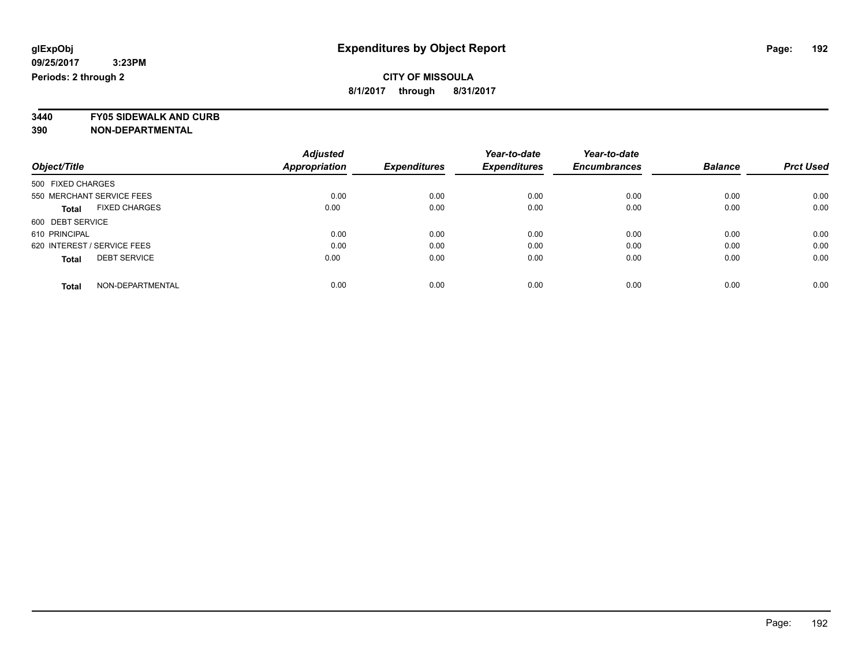**3440 FY05 SIDEWALK AND CURB**

|                                      | <b>Adjusted</b>      |                     | Year-to-date        | Year-to-date        |                |                  |
|--------------------------------------|----------------------|---------------------|---------------------|---------------------|----------------|------------------|
| Object/Title                         | <b>Appropriation</b> | <b>Expenditures</b> | <b>Expenditures</b> | <b>Encumbrances</b> | <b>Balance</b> | <b>Prct Used</b> |
| 500 FIXED CHARGES                    |                      |                     |                     |                     |                |                  |
| 550 MERCHANT SERVICE FEES            | 0.00                 | 0.00                | 0.00                | 0.00                | 0.00           | 0.00             |
| <b>FIXED CHARGES</b><br><b>Total</b> | 0.00                 | 0.00                | 0.00                | 0.00                | 0.00           | 0.00             |
| 600 DEBT SERVICE                     |                      |                     |                     |                     |                |                  |
| 610 PRINCIPAL                        | 0.00                 | 0.00                | 0.00                | 0.00                | 0.00           | 0.00             |
| 620 INTEREST / SERVICE FEES          | 0.00                 | 0.00                | 0.00                | 0.00                | 0.00           | 0.00             |
| <b>DEBT SERVICE</b><br><b>Total</b>  | 0.00                 | 0.00                | 0.00                | 0.00                | 0.00           | 0.00             |
| NON-DEPARTMENTAL<br><b>Total</b>     | 0.00                 | 0.00                | 0.00                | 0.00                | 0.00           | 0.00             |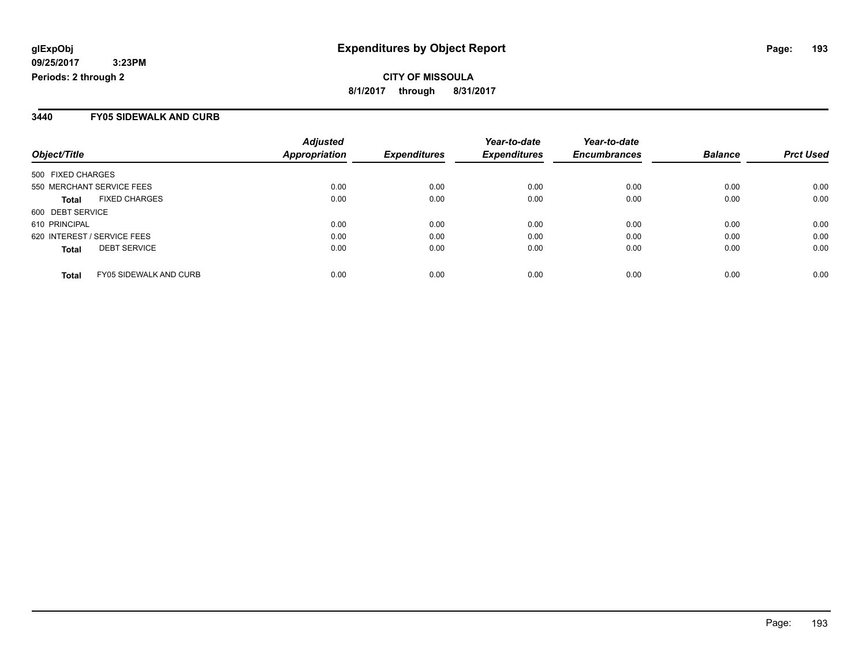**CITY OF MISSOULA 8/1/2017 through 8/31/2017**

#### **3440 FY05 SIDEWALK AND CURB**

| Object/Title                                  | <b>Adjusted</b><br>Appropriation | <b>Expenditures</b> | Year-to-date<br><b>Expenditures</b> | Year-to-date<br><b>Encumbrances</b> | <b>Balance</b> | <b>Prct Used</b> |
|-----------------------------------------------|----------------------------------|---------------------|-------------------------------------|-------------------------------------|----------------|------------------|
| 500 FIXED CHARGES                             |                                  |                     |                                     |                                     |                |                  |
| 550 MERCHANT SERVICE FEES                     | 0.00                             | 0.00                | 0.00                                | 0.00                                | 0.00           | 0.00             |
| <b>FIXED CHARGES</b><br><b>Total</b>          | 0.00                             | 0.00                | 0.00                                | 0.00                                | 0.00           | 0.00             |
| 600 DEBT SERVICE                              |                                  |                     |                                     |                                     |                |                  |
| 610 PRINCIPAL                                 | 0.00                             | 0.00                | 0.00                                | 0.00                                | 0.00           | 0.00             |
| 620 INTEREST / SERVICE FEES                   | 0.00                             | 0.00                | 0.00                                | 0.00                                | 0.00           | 0.00             |
| <b>DEBT SERVICE</b><br><b>Total</b>           | 0.00                             | 0.00                | 0.00                                | 0.00                                | 0.00           | 0.00             |
| <b>FY05 SIDEWALK AND CURB</b><br><b>Total</b> | 0.00                             | 0.00                | 0.00                                | 0.00                                | 0.00           | 0.00             |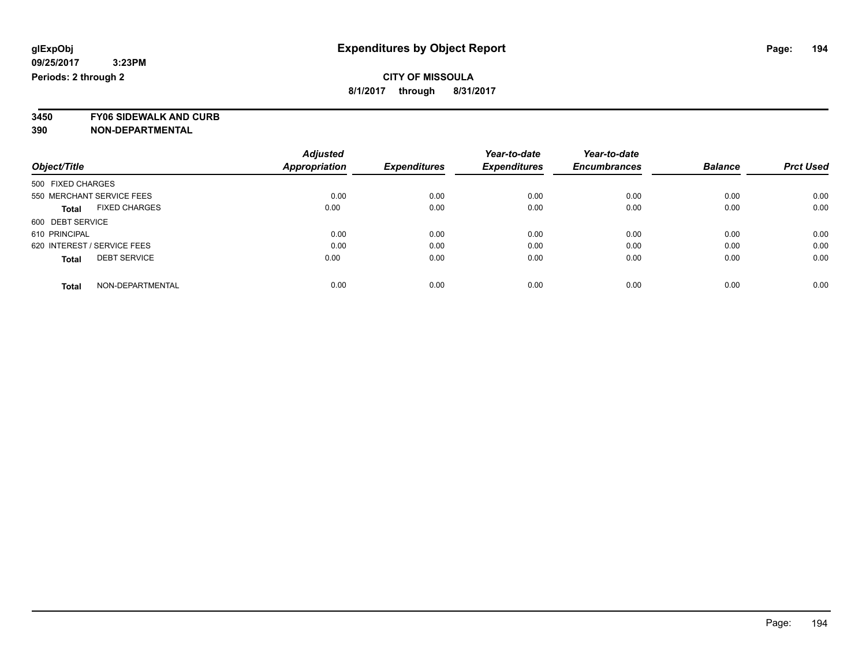**3450 FY06 SIDEWALK AND CURB**

|                                      | <b>Adjusted</b>      |                     | Year-to-date        | Year-to-date        |                |                  |
|--------------------------------------|----------------------|---------------------|---------------------|---------------------|----------------|------------------|
| Object/Title                         | <b>Appropriation</b> | <b>Expenditures</b> | <b>Expenditures</b> | <b>Encumbrances</b> | <b>Balance</b> | <b>Prct Used</b> |
| 500 FIXED CHARGES                    |                      |                     |                     |                     |                |                  |
| 550 MERCHANT SERVICE FEES            | 0.00                 | 0.00                | 0.00                | 0.00                | 0.00           | 0.00             |
| <b>FIXED CHARGES</b><br><b>Total</b> | 0.00                 | 0.00                | 0.00                | 0.00                | 0.00           | 0.00             |
| 600 DEBT SERVICE                     |                      |                     |                     |                     |                |                  |
| 610 PRINCIPAL                        | 0.00                 | 0.00                | 0.00                | 0.00                | 0.00           | 0.00             |
| 620 INTEREST / SERVICE FEES          | 0.00                 | 0.00                | 0.00                | 0.00                | 0.00           | 0.00             |
| <b>DEBT SERVICE</b><br><b>Total</b>  | 0.00                 | 0.00                | 0.00                | 0.00                | 0.00           | 0.00             |
| NON-DEPARTMENTAL<br><b>Total</b>     | 0.00                 | 0.00                | 0.00                | 0.00                | 0.00           | 0.00             |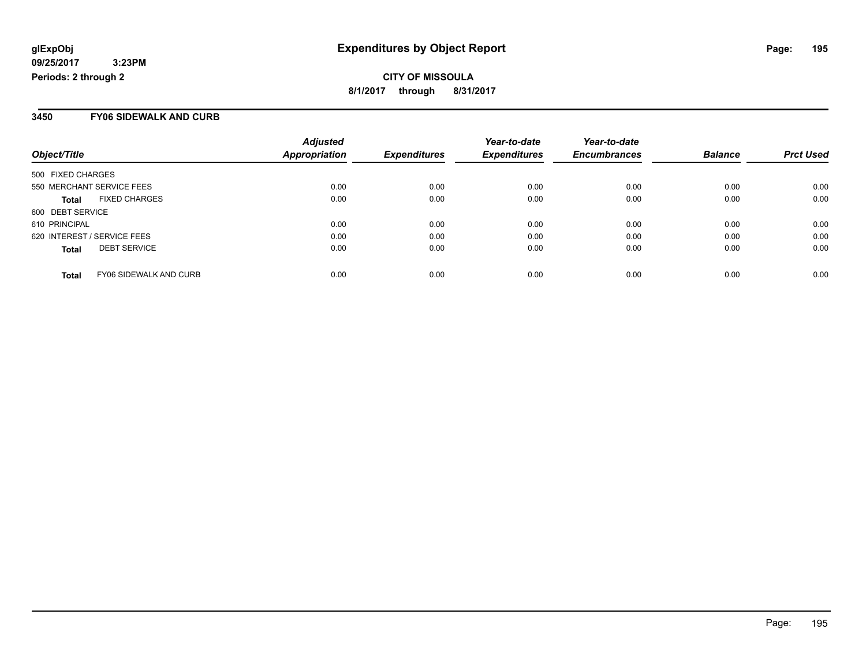**CITY OF MISSOULA 8/1/2017 through 8/31/2017**

#### **3450 FY06 SIDEWALK AND CURB**

| Object/Title                                  | <b>Adjusted</b><br>Appropriation | <b>Expenditures</b> | Year-to-date<br><b>Expenditures</b> | Year-to-date<br><b>Encumbrances</b> | <b>Balance</b> | <b>Prct Used</b> |
|-----------------------------------------------|----------------------------------|---------------------|-------------------------------------|-------------------------------------|----------------|------------------|
| 500 FIXED CHARGES                             |                                  |                     |                                     |                                     |                |                  |
| 550 MERCHANT SERVICE FEES                     | 0.00                             | 0.00                | 0.00                                | 0.00                                | 0.00           | 0.00             |
| <b>FIXED CHARGES</b><br><b>Total</b>          | 0.00                             | 0.00                | 0.00                                | 0.00                                | 0.00           | 0.00             |
| 600 DEBT SERVICE                              |                                  |                     |                                     |                                     |                |                  |
| 610 PRINCIPAL                                 | 0.00                             | 0.00                | 0.00                                | 0.00                                | 0.00           | 0.00             |
| 620 INTEREST / SERVICE FEES                   | 0.00                             | 0.00                | 0.00                                | 0.00                                | 0.00           | 0.00             |
| <b>DEBT SERVICE</b><br><b>Total</b>           | 0.00                             | 0.00                | 0.00                                | 0.00                                | 0.00           | 0.00             |
| <b>FY06 SIDEWALK AND CURB</b><br><b>Total</b> | 0.00                             | 0.00                | 0.00                                | 0.00                                | 0.00           | 0.00             |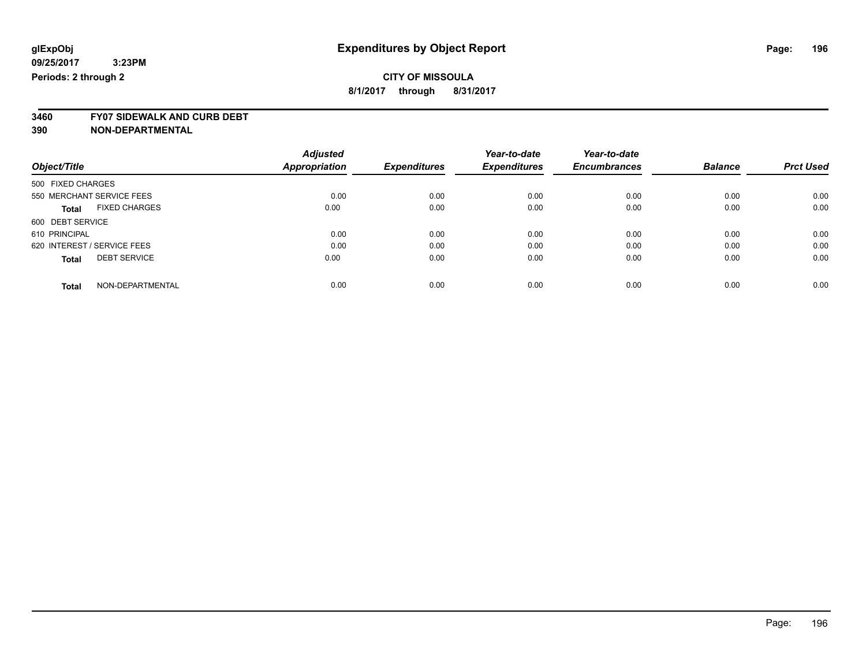**3460 FY07 SIDEWALK AND CURB DEBT**

|                             |                           | <b>Adjusted</b>      |                     | Year-to-date        | Year-to-date        |                |                  |
|-----------------------------|---------------------------|----------------------|---------------------|---------------------|---------------------|----------------|------------------|
| Object/Title                |                           | <b>Appropriation</b> | <b>Expenditures</b> | <b>Expenditures</b> | <b>Encumbrances</b> | <b>Balance</b> | <b>Prct Used</b> |
| 500 FIXED CHARGES           |                           |                      |                     |                     |                     |                |                  |
|                             | 550 MERCHANT SERVICE FEES | 0.00                 | 0.00                | 0.00                | 0.00                | 0.00           | 0.00             |
| <b>Total</b>                | <b>FIXED CHARGES</b>      | 0.00                 | 0.00                | 0.00                | 0.00                | 0.00           | 0.00             |
| 600 DEBT SERVICE            |                           |                      |                     |                     |                     |                |                  |
| 610 PRINCIPAL               |                           | 0.00                 | 0.00                | 0.00                | 0.00                | 0.00           | 0.00             |
| 620 INTEREST / SERVICE FEES |                           | 0.00                 | 0.00                | 0.00                | 0.00                | 0.00           | 0.00             |
| <b>Total</b>                | <b>DEBT SERVICE</b>       | 0.00                 | 0.00                | 0.00                | 0.00                | 0.00           | 0.00             |
| <b>Total</b>                | NON-DEPARTMENTAL          | 0.00                 | 0.00                | 0.00                | 0.00                | 0.00           | 0.00             |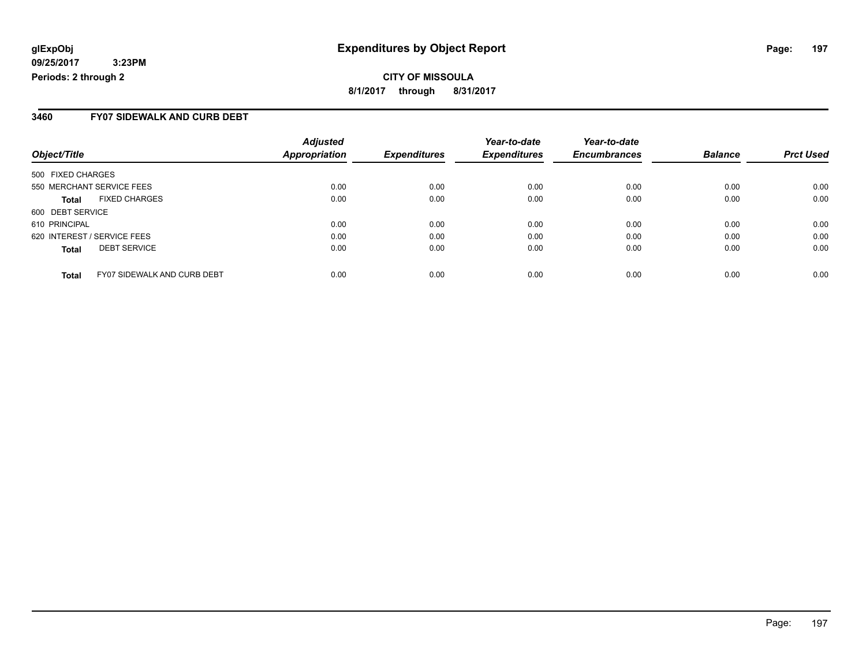#### **3460 FY07 SIDEWALK AND CURB DEBT**

| Object/Title                |                                    | <b>Adjusted</b><br><b>Appropriation</b> | <b>Expenditures</b> | Year-to-date<br><b>Expenditures</b> | Year-to-date<br><b>Encumbrances</b> | <b>Balance</b> | <b>Prct Used</b> |
|-----------------------------|------------------------------------|-----------------------------------------|---------------------|-------------------------------------|-------------------------------------|----------------|------------------|
| 500 FIXED CHARGES           |                                    |                                         |                     |                                     |                                     |                |                  |
| 550 MERCHANT SERVICE FEES   |                                    | 0.00                                    | 0.00                | 0.00                                | 0.00                                | 0.00           | 0.00             |
| <b>Total</b>                | <b>FIXED CHARGES</b>               | 0.00                                    | 0.00                | 0.00                                | 0.00                                | 0.00           | 0.00             |
| 600 DEBT SERVICE            |                                    |                                         |                     |                                     |                                     |                |                  |
| 610 PRINCIPAL               |                                    | 0.00                                    | 0.00                | 0.00                                | 0.00                                | 0.00           | 0.00             |
| 620 INTEREST / SERVICE FEES |                                    | 0.00                                    | 0.00                | 0.00                                | 0.00                                | 0.00           | 0.00             |
| <b>Total</b>                | <b>DEBT SERVICE</b>                | 0.00                                    | 0.00                | 0.00                                | 0.00                                | 0.00           | 0.00             |
| <b>Total</b>                | <b>FY07 SIDEWALK AND CURB DEBT</b> | 0.00                                    | 0.00                | 0.00                                | 0.00                                | 0.00           | 0.00             |

Page: 197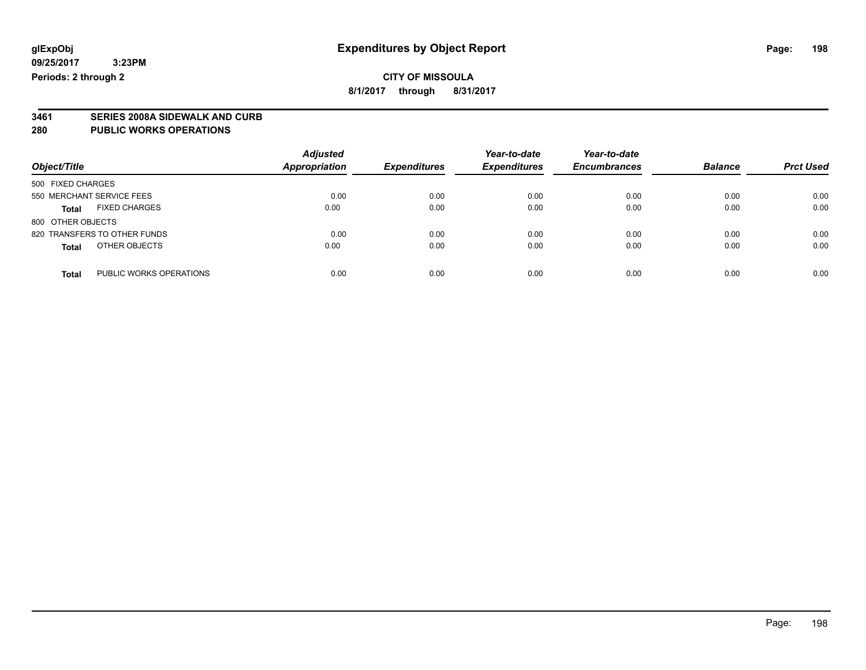**3461 SERIES 2008A SIDEWALK AND CURB**

#### **280 PUBLIC WORKS OPERATIONS**

| Object/Title                            | <b>Adjusted</b><br><b>Appropriation</b> | <b>Expenditures</b> | Year-to-date<br><b>Expenditures</b> | Year-to-date<br><b>Encumbrances</b> | <b>Balance</b> | <b>Prct Used</b> |
|-----------------------------------------|-----------------------------------------|---------------------|-------------------------------------|-------------------------------------|----------------|------------------|
| 500 FIXED CHARGES                       |                                         |                     |                                     |                                     |                |                  |
| 550 MERCHANT SERVICE FEES               | 0.00                                    | 0.00                | 0.00                                | 0.00                                | 0.00           | 0.00             |
| <b>FIXED CHARGES</b><br><b>Total</b>    | 0.00                                    | 0.00                | 0.00                                | 0.00                                | 0.00           | 0.00             |
| 800 OTHER OBJECTS                       |                                         |                     |                                     |                                     |                |                  |
| 820 TRANSFERS TO OTHER FUNDS            | 0.00                                    | 0.00                | 0.00                                | 0.00                                | 0.00           | 0.00             |
| OTHER OBJECTS<br><b>Total</b>           | 0.00                                    | 0.00                | 0.00                                | 0.00                                | 0.00           | 0.00             |
|                                         |                                         |                     |                                     |                                     |                |                  |
| PUBLIC WORKS OPERATIONS<br><b>Total</b> | 0.00                                    | 0.00                | 0.00                                | 0.00                                | 0.00           | 0.00             |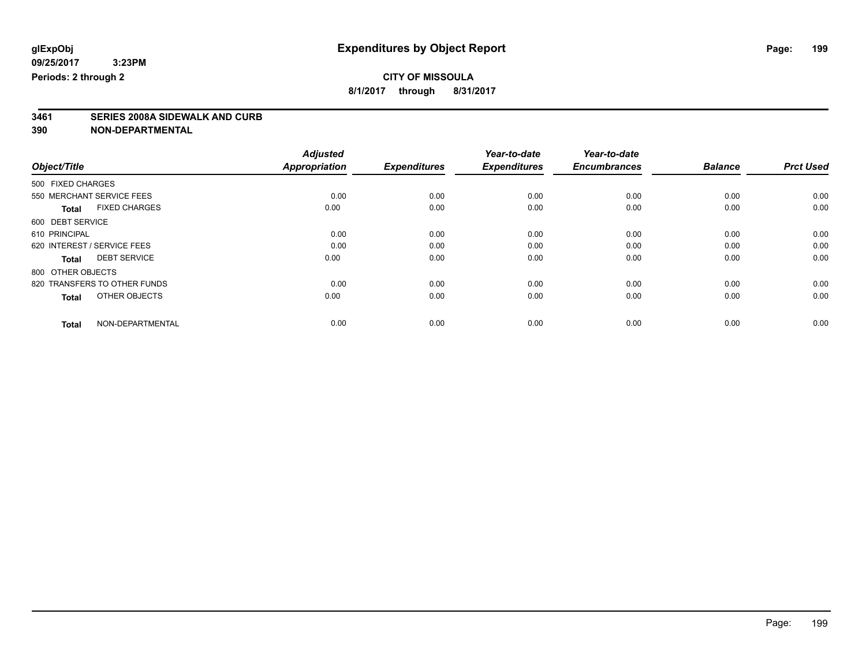**8/1/2017 through 8/31/2017**

### **3461 SERIES 2008A SIDEWALK AND CURB**

|                                      | <b>Adjusted</b>      |                     | Year-to-date        | Year-to-date        |                |                  |
|--------------------------------------|----------------------|---------------------|---------------------|---------------------|----------------|------------------|
| Object/Title                         | <b>Appropriation</b> | <b>Expenditures</b> | <b>Expenditures</b> | <b>Encumbrances</b> | <b>Balance</b> | <b>Prct Used</b> |
| 500 FIXED CHARGES                    |                      |                     |                     |                     |                |                  |
| 550 MERCHANT SERVICE FEES            | 0.00                 | 0.00                | 0.00                | 0.00                | 0.00           | 0.00             |
| <b>FIXED CHARGES</b><br><b>Total</b> | 0.00                 | 0.00                | 0.00                | 0.00                | 0.00           | 0.00             |
| 600 DEBT SERVICE                     |                      |                     |                     |                     |                |                  |
| 610 PRINCIPAL                        | 0.00                 | 0.00                | 0.00                | 0.00                | 0.00           | 0.00             |
| 620 INTEREST / SERVICE FEES          | 0.00                 | 0.00                | 0.00                | 0.00                | 0.00           | 0.00             |
| <b>DEBT SERVICE</b><br><b>Total</b>  | 0.00                 | 0.00                | 0.00                | 0.00                | 0.00           | 0.00             |
| 800 OTHER OBJECTS                    |                      |                     |                     |                     |                |                  |
| 820 TRANSFERS TO OTHER FUNDS         | 0.00                 | 0.00                | 0.00                | 0.00                | 0.00           | 0.00             |
| OTHER OBJECTS<br><b>Total</b>        | 0.00                 | 0.00                | 0.00                | 0.00                | 0.00           | 0.00             |
|                                      |                      |                     |                     |                     |                |                  |
| NON-DEPARTMENTAL<br><b>Total</b>     | 0.00                 | 0.00                | 0.00                | 0.00                | 0.00           | 0.00             |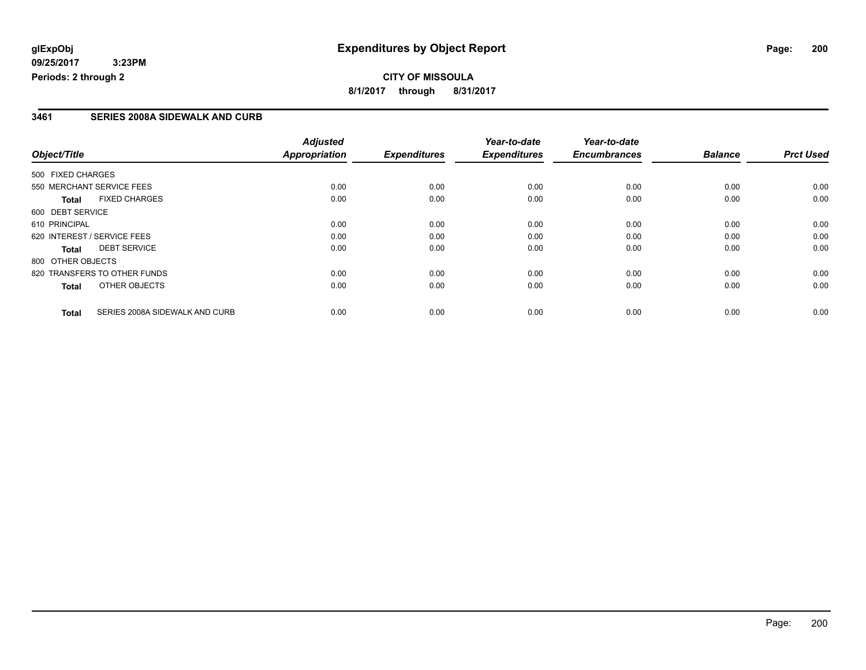#### **3461 SERIES 2008A SIDEWALK AND CURB**

|                   |                                | <b>Adjusted</b>      |                     | Year-to-date        | Year-to-date        |                |                  |
|-------------------|--------------------------------|----------------------|---------------------|---------------------|---------------------|----------------|------------------|
| Object/Title      |                                | <b>Appropriation</b> | <b>Expenditures</b> | <b>Expenditures</b> | <b>Encumbrances</b> | <b>Balance</b> | <b>Prct Used</b> |
| 500 FIXED CHARGES |                                |                      |                     |                     |                     |                |                  |
|                   | 550 MERCHANT SERVICE FEES      | 0.00                 | 0.00                | 0.00                | 0.00                | 0.00           | 0.00             |
| <b>Total</b>      | <b>FIXED CHARGES</b>           | 0.00                 | 0.00                | 0.00                | 0.00                | 0.00           | 0.00             |
| 600 DEBT SERVICE  |                                |                      |                     |                     |                     |                |                  |
| 610 PRINCIPAL     |                                | 0.00                 | 0.00                | 0.00                | 0.00                | 0.00           | 0.00             |
|                   | 620 INTEREST / SERVICE FEES    | 0.00                 | 0.00                | 0.00                | 0.00                | 0.00           | 0.00             |
| <b>Total</b>      | <b>DEBT SERVICE</b>            | 0.00                 | 0.00                | 0.00                | 0.00                | 0.00           | 0.00             |
| 800 OTHER OBJECTS |                                |                      |                     |                     |                     |                |                  |
|                   | 820 TRANSFERS TO OTHER FUNDS   | 0.00                 | 0.00                | 0.00                | 0.00                | 0.00           | 0.00             |
| <b>Total</b>      | OTHER OBJECTS                  | 0.00                 | 0.00                | 0.00                | 0.00                | 0.00           | 0.00             |
| <b>Total</b>      | SERIES 2008A SIDEWALK AND CURB | 0.00                 | 0.00                | 0.00                | 0.00                | 0.00           | 0.00             |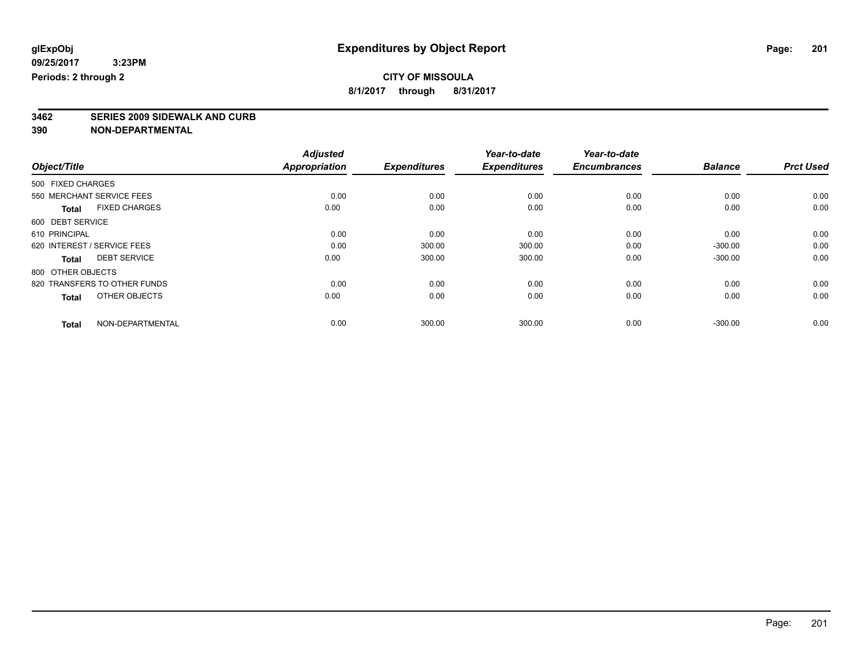# **3462 SERIES 2009 SIDEWALK AND CURB**

|                                     |                      | <b>Adjusted</b>      |                     | Year-to-date        | Year-to-date        |                |                  |
|-------------------------------------|----------------------|----------------------|---------------------|---------------------|---------------------|----------------|------------------|
| Object/Title                        |                      | <b>Appropriation</b> | <b>Expenditures</b> | <b>Expenditures</b> | <b>Encumbrances</b> | <b>Balance</b> | <b>Prct Used</b> |
| 500 FIXED CHARGES                   |                      |                      |                     |                     |                     |                |                  |
| 550 MERCHANT SERVICE FEES           |                      | 0.00                 | 0.00                | 0.00                | 0.00                | 0.00           | 0.00             |
| <b>Total</b>                        | <b>FIXED CHARGES</b> | 0.00                 | 0.00                | 0.00                | 0.00                | 0.00           | 0.00             |
| 600 DEBT SERVICE                    |                      |                      |                     |                     |                     |                |                  |
| 610 PRINCIPAL                       |                      | 0.00                 | 0.00                | 0.00                | 0.00                | 0.00           | 0.00             |
| 620 INTEREST / SERVICE FEES         |                      | 0.00                 | 300.00              | 300.00              | 0.00                | $-300.00$      | 0.00             |
| <b>DEBT SERVICE</b><br><b>Total</b> |                      | 0.00                 | 300.00              | 300.00              | 0.00                | $-300.00$      | 0.00             |
| 800 OTHER OBJECTS                   |                      |                      |                     |                     |                     |                |                  |
| 820 TRANSFERS TO OTHER FUNDS        |                      | 0.00                 | 0.00                | 0.00                | 0.00                | 0.00           | 0.00             |
| <b>Total</b>                        | OTHER OBJECTS        | 0.00                 | 0.00                | 0.00                | 0.00                | 0.00           | 0.00             |
| <b>Total</b>                        | NON-DEPARTMENTAL     | 0.00                 | 300.00              | 300.00              | 0.00                | $-300.00$      | 0.00             |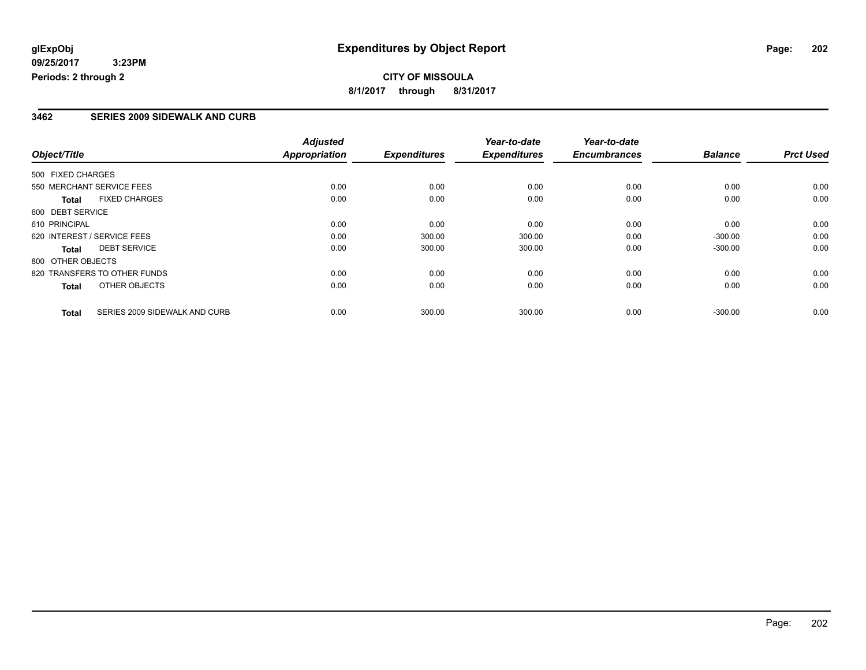#### **3462 SERIES 2009 SIDEWALK AND CURB**

|                   |                               | <b>Adjusted</b>      |                     | Year-to-date        | Year-to-date        |                |                  |
|-------------------|-------------------------------|----------------------|---------------------|---------------------|---------------------|----------------|------------------|
| Object/Title      |                               | <b>Appropriation</b> | <b>Expenditures</b> | <b>Expenditures</b> | <b>Encumbrances</b> | <b>Balance</b> | <b>Prct Used</b> |
| 500 FIXED CHARGES |                               |                      |                     |                     |                     |                |                  |
|                   | 550 MERCHANT SERVICE FEES     | 0.00                 | 0.00                | 0.00                | 0.00                | 0.00           | 0.00             |
| <b>Total</b>      | <b>FIXED CHARGES</b>          | 0.00                 | 0.00                | 0.00                | 0.00                | 0.00           | 0.00             |
| 600 DEBT SERVICE  |                               |                      |                     |                     |                     |                |                  |
| 610 PRINCIPAL     |                               | 0.00                 | 0.00                | 0.00                | 0.00                | 0.00           | 0.00             |
|                   | 620 INTEREST / SERVICE FEES   | 0.00                 | 300.00              | 300.00              | 0.00                | $-300.00$      | 0.00             |
| Total             | <b>DEBT SERVICE</b>           | 0.00                 | 300.00              | 300.00              | 0.00                | $-300.00$      | 0.00             |
| 800 OTHER OBJECTS |                               |                      |                     |                     |                     |                |                  |
|                   | 820 TRANSFERS TO OTHER FUNDS  | 0.00                 | 0.00                | 0.00                | 0.00                | 0.00           | 0.00             |
| <b>Total</b>      | OTHER OBJECTS                 | 0.00                 | 0.00                | 0.00                | 0.00                | 0.00           | 0.00             |
| <b>Total</b>      | SERIES 2009 SIDEWALK AND CURB | 0.00                 | 300.00              | 300.00              | 0.00                | $-300.00$      | 0.00             |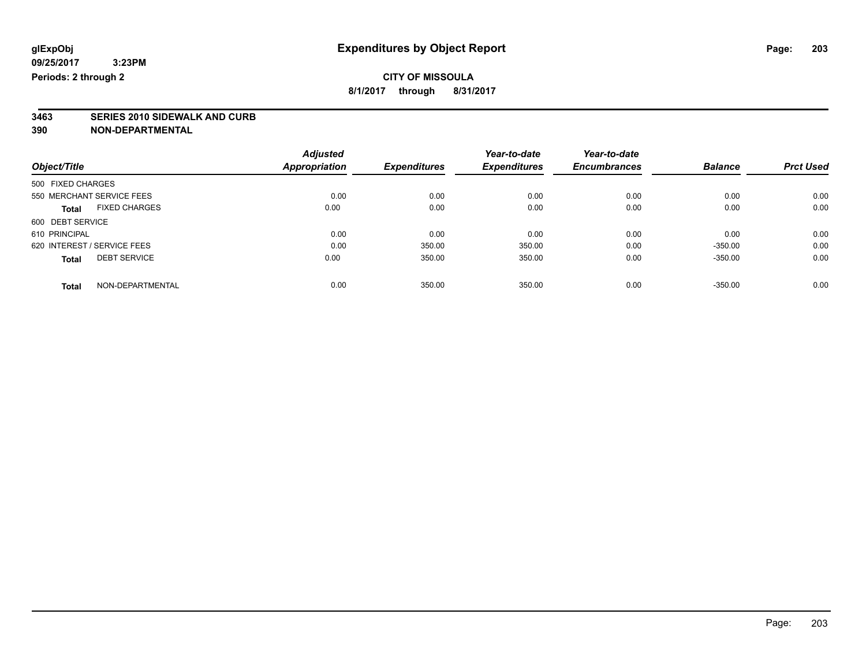**3463 SERIES 2010 SIDEWALK AND CURB**

|                                      | <b>Adjusted</b> |                     | Year-to-date        | Year-to-date        |                |                  |
|--------------------------------------|-----------------|---------------------|---------------------|---------------------|----------------|------------------|
| Object/Title                         | Appropriation   | <b>Expenditures</b> | <b>Expenditures</b> | <b>Encumbrances</b> | <b>Balance</b> | <b>Prct Used</b> |
| 500 FIXED CHARGES                    |                 |                     |                     |                     |                |                  |
| 550 MERCHANT SERVICE FEES            | 0.00            | 0.00                | 0.00                | 0.00                | 0.00           | 0.00             |
| <b>FIXED CHARGES</b><br><b>Total</b> | 0.00            | 0.00                | 0.00                | 0.00                | 0.00           | 0.00             |
| 600 DEBT SERVICE                     |                 |                     |                     |                     |                |                  |
| 610 PRINCIPAL                        | 0.00            | 0.00                | 0.00                | 0.00                | 0.00           | 0.00             |
| 620 INTEREST / SERVICE FEES          | 0.00            | 350.00              | 350.00              | 0.00                | $-350.00$      | 0.00             |
| <b>DEBT SERVICE</b><br><b>Total</b>  | 0.00            | 350.00              | 350.00              | 0.00                | $-350.00$      | 0.00             |
| NON-DEPARTMENTAL<br><b>Total</b>     | 0.00            | 350.00              | 350.00              | 0.00                | $-350.00$      | 0.00             |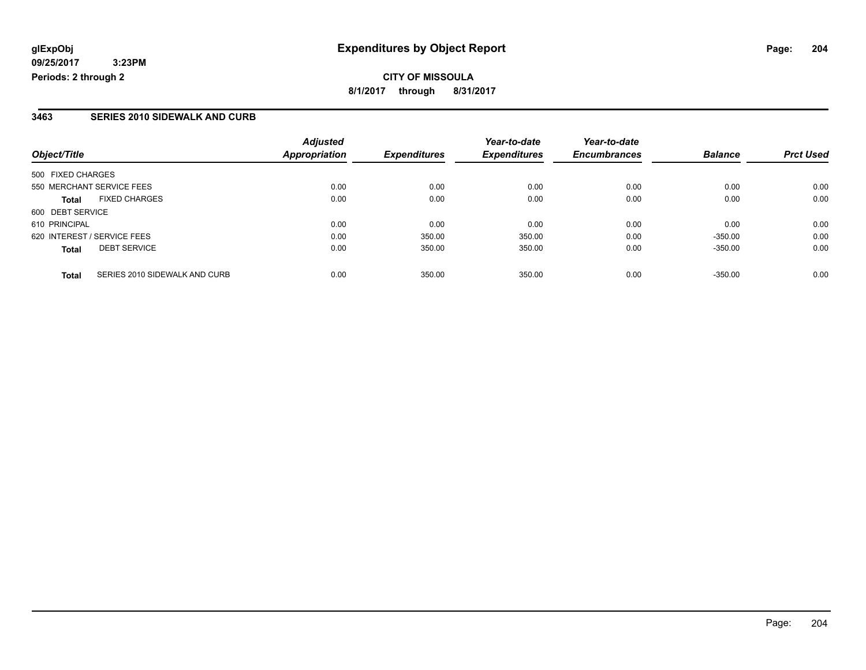#### **3463 SERIES 2010 SIDEWALK AND CURB**

| Object/Title                                  | <b>Adjusted</b><br><b>Appropriation</b> | <b>Expenditures</b> | Year-to-date<br><b>Expenditures</b> | Year-to-date<br><b>Encumbrances</b> | <b>Balance</b> | <b>Prct Used</b> |
|-----------------------------------------------|-----------------------------------------|---------------------|-------------------------------------|-------------------------------------|----------------|------------------|
|                                               |                                         |                     |                                     |                                     |                |                  |
| 500 FIXED CHARGES                             |                                         |                     |                                     |                                     |                |                  |
| 550 MERCHANT SERVICE FEES                     | 0.00                                    | 0.00                | 0.00                                | 0.00                                | 0.00           | 0.00             |
| <b>FIXED CHARGES</b><br><b>Total</b>          | 0.00                                    | 0.00                | 0.00                                | 0.00                                | 0.00           | 0.00             |
| 600 DEBT SERVICE                              |                                         |                     |                                     |                                     |                |                  |
| 610 PRINCIPAL                                 | 0.00                                    | 0.00                | 0.00                                | 0.00                                | 0.00           | 0.00             |
| 620 INTEREST / SERVICE FEES                   | 0.00                                    | 350.00              | 350.00                              | 0.00                                | $-350.00$      | 0.00             |
| <b>DEBT SERVICE</b><br><b>Total</b>           | 0.00                                    | 350.00              | 350.00                              | 0.00                                | $-350.00$      | 0.00             |
| SERIES 2010 SIDEWALK AND CURB<br><b>Total</b> | 0.00                                    | 350.00              | 350.00                              | 0.00                                | $-350.00$      | 0.00             |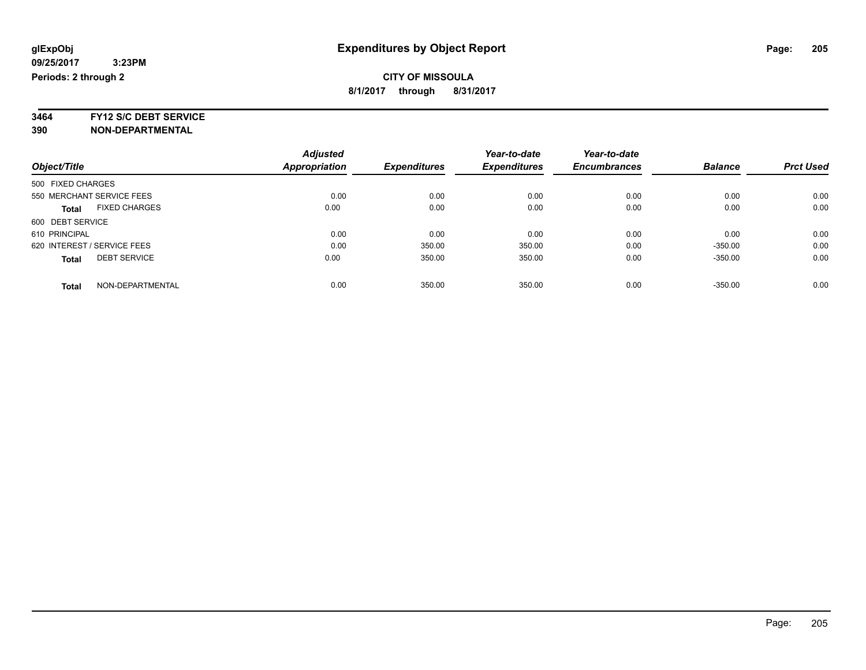**3464 FY12 S/C DEBT SERVICE**

|                             |                      | <b>Adjusted</b>      |                     | Year-to-date        | Year-to-date        |                |                  |
|-----------------------------|----------------------|----------------------|---------------------|---------------------|---------------------|----------------|------------------|
| Object/Title                |                      | <b>Appropriation</b> | <b>Expenditures</b> | <b>Expenditures</b> | <b>Encumbrances</b> | <b>Balance</b> | <b>Prct Used</b> |
| 500 FIXED CHARGES           |                      |                      |                     |                     |                     |                |                  |
| 550 MERCHANT SERVICE FEES   |                      | 0.00                 | 0.00                | 0.00                | 0.00                | 0.00           | 0.00             |
| <b>Total</b>                | <b>FIXED CHARGES</b> | 0.00                 | 0.00                | 0.00                | 0.00                | 0.00           | 0.00             |
| 600 DEBT SERVICE            |                      |                      |                     |                     |                     |                |                  |
| 610 PRINCIPAL               |                      | 0.00                 | 0.00                | 0.00                | 0.00                | 0.00           | 0.00             |
| 620 INTEREST / SERVICE FEES |                      | 0.00                 | 350.00              | 350.00              | 0.00                | $-350.00$      | 0.00             |
| <b>Total</b>                | <b>DEBT SERVICE</b>  | 0.00                 | 350.00              | 350.00              | 0.00                | $-350.00$      | 0.00             |
| <b>Total</b>                | NON-DEPARTMENTAL     | 0.00                 | 350.00              | 350.00              | 0.00                | $-350.00$      | 0.00             |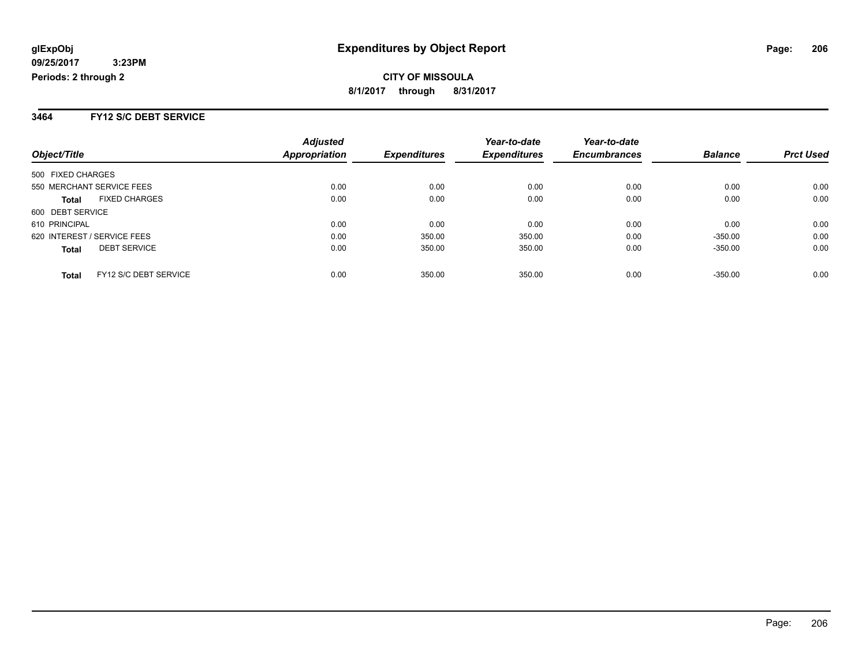#### **3464 FY12 S/C DEBT SERVICE**

|                                      | <b>Adjusted</b> |                     | Year-to-date        | Year-to-date        |                |                  |
|--------------------------------------|-----------------|---------------------|---------------------|---------------------|----------------|------------------|
| Object/Title                         | Appropriation   | <b>Expenditures</b> | <b>Expenditures</b> | <b>Encumbrances</b> | <b>Balance</b> | <b>Prct Used</b> |
| 500 FIXED CHARGES                    |                 |                     |                     |                     |                |                  |
| 550 MERCHANT SERVICE FEES            | 0.00            | 0.00                | 0.00                | 0.00                | 0.00           | 0.00             |
| <b>FIXED CHARGES</b><br><b>Total</b> | 0.00            | 0.00                | 0.00                | 0.00                | 0.00           | 0.00             |
| 600 DEBT SERVICE                     |                 |                     |                     |                     |                |                  |
| 610 PRINCIPAL                        | 0.00            | 0.00                | 0.00                | 0.00                | 0.00           | 0.00             |
| 620 INTEREST / SERVICE FEES          | 0.00            | 350.00              | 350.00              | 0.00                | $-350.00$      | 0.00             |
| <b>DEBT SERVICE</b><br><b>Total</b>  | 0.00            | 350.00              | 350.00              | 0.00                | $-350.00$      | 0.00             |
| FY12 S/C DEBT SERVICE<br>Total       | 0.00            | 350.00              | 350.00              | 0.00                | $-350.00$      | 0.00             |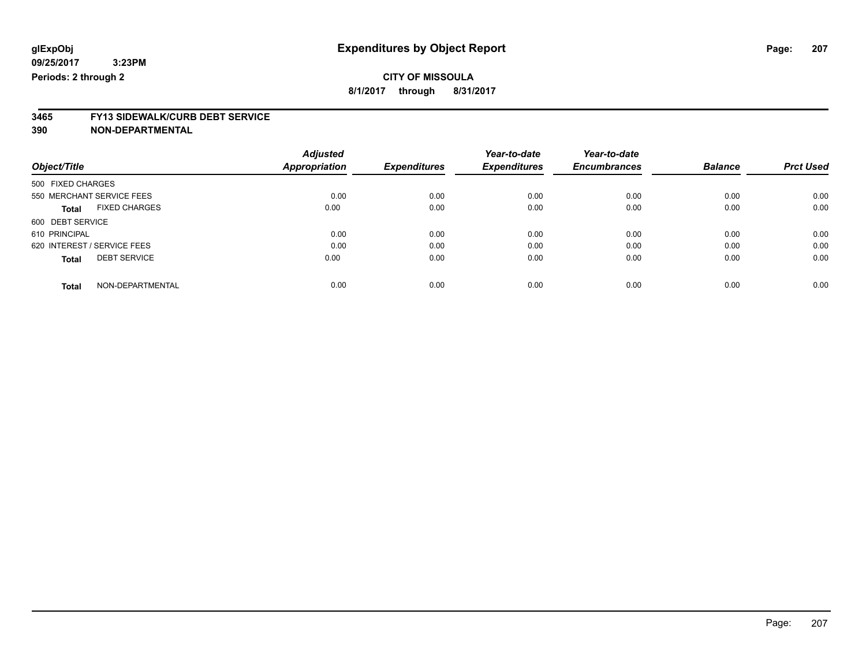**8/1/2017 through 8/31/2017**

# **3465 FY13 SIDEWALK/CURB DEBT SERVICE**

|                                      | <b>Adjusted</b>      |                     | Year-to-date        | Year-to-date        |                |                  |
|--------------------------------------|----------------------|---------------------|---------------------|---------------------|----------------|------------------|
| Object/Title                         | <b>Appropriation</b> | <b>Expenditures</b> | <b>Expenditures</b> | <b>Encumbrances</b> | <b>Balance</b> | <b>Prct Used</b> |
| 500 FIXED CHARGES                    |                      |                     |                     |                     |                |                  |
| 550 MERCHANT SERVICE FEES            | 0.00                 | 0.00                | 0.00                | 0.00                | 0.00           | 0.00             |
| <b>FIXED CHARGES</b><br><b>Total</b> | 0.00                 | 0.00                | 0.00                | 0.00                | 0.00           | 0.00             |
| 600 DEBT SERVICE                     |                      |                     |                     |                     |                |                  |
| 610 PRINCIPAL                        | 0.00                 | 0.00                | 0.00                | 0.00                | 0.00           | 0.00             |
| 620 INTEREST / SERVICE FEES          | 0.00                 | 0.00                | 0.00                | 0.00                | 0.00           | 0.00             |
| <b>DEBT SERVICE</b><br><b>Total</b>  | 0.00                 | 0.00                | 0.00                | 0.00                | 0.00           | 0.00             |
| NON-DEPARTMENTAL<br><b>Total</b>     | 0.00                 | 0.00                | 0.00                | 0.00                | 0.00           | 0.00             |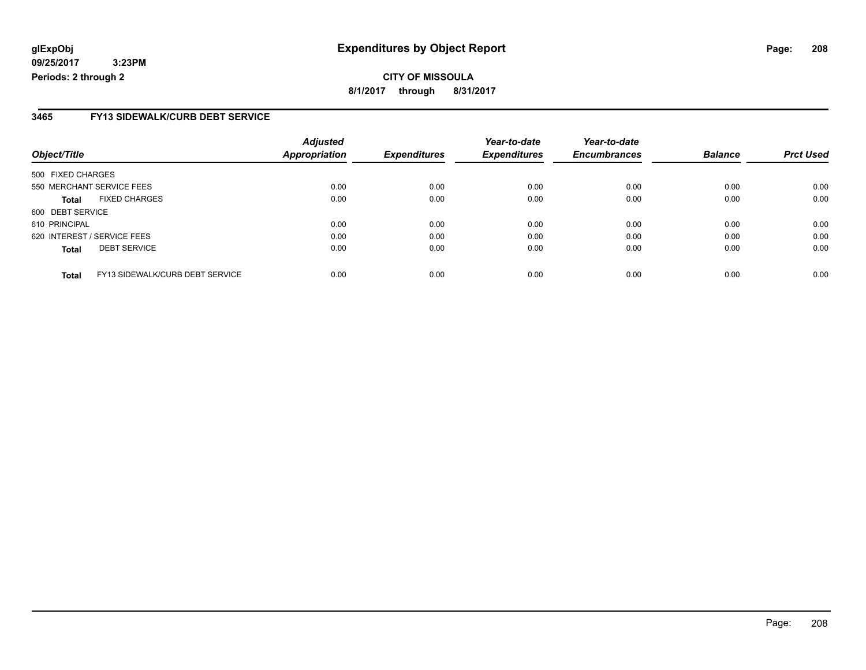#### **3465 FY13 SIDEWALK/CURB DEBT SERVICE**

| Object/Title                |                                 | <b>Adjusted</b><br><b>Appropriation</b> | <b>Expenditures</b> | Year-to-date<br><b>Expenditures</b> | Year-to-date<br><b>Encumbrances</b> | <b>Balance</b> | <b>Prct Used</b> |
|-----------------------------|---------------------------------|-----------------------------------------|---------------------|-------------------------------------|-------------------------------------|----------------|------------------|
|                             |                                 |                                         |                     |                                     |                                     |                |                  |
| 500 FIXED CHARGES           |                                 |                                         |                     |                                     |                                     |                |                  |
|                             | 550 MERCHANT SERVICE FEES       | 0.00                                    | 0.00                | 0.00                                | 0.00                                | 0.00           | 0.00             |
| Total                       | <b>FIXED CHARGES</b>            | 0.00                                    | 0.00                | 0.00                                | 0.00                                | 0.00           | 0.00             |
| 600 DEBT SERVICE            |                                 |                                         |                     |                                     |                                     |                |                  |
| 610 PRINCIPAL               |                                 | 0.00                                    | 0.00                | 0.00                                | 0.00                                | 0.00           | 0.00             |
| 620 INTEREST / SERVICE FEES |                                 | 0.00                                    | 0.00                | 0.00                                | 0.00                                | 0.00           | 0.00             |
| <b>Total</b>                | <b>DEBT SERVICE</b>             | 0.00                                    | 0.00                | 0.00                                | 0.00                                | 0.00           | 0.00             |
| <b>Total</b>                | FY13 SIDEWALK/CURB DEBT SERVICE | 0.00                                    | 0.00                | 0.00                                | 0.00                                | 0.00           | 0.00             |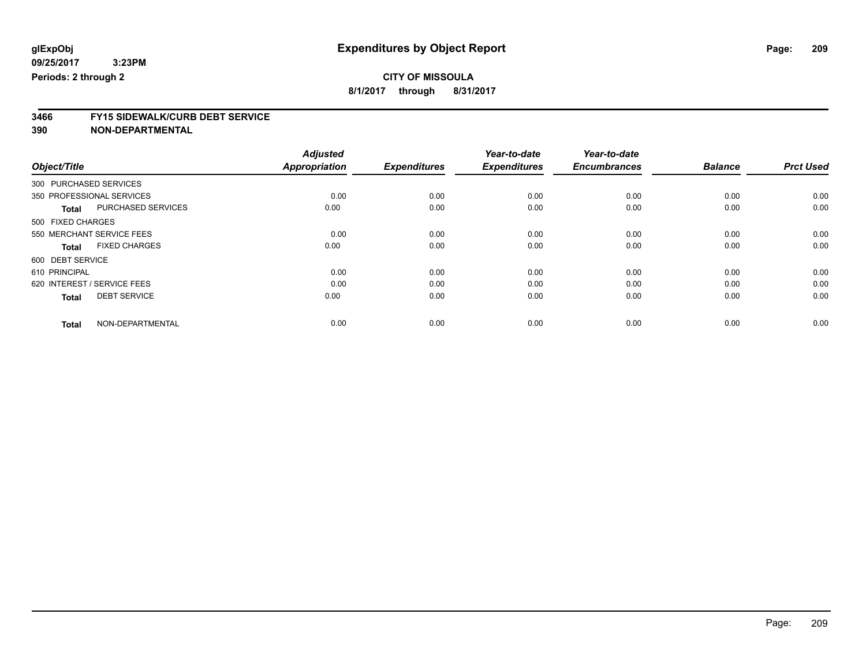**8/1/2017 through 8/31/2017**

# **3466 FY15 SIDEWALK/CURB DEBT SERVICE**

|                                      | <b>Adjusted</b>      |                     | Year-to-date        | Year-to-date        |                |                  |
|--------------------------------------|----------------------|---------------------|---------------------|---------------------|----------------|------------------|
| Object/Title                         | <b>Appropriation</b> | <b>Expenditures</b> | <b>Expenditures</b> | <b>Encumbrances</b> | <b>Balance</b> | <b>Prct Used</b> |
| 300 PURCHASED SERVICES               |                      |                     |                     |                     |                |                  |
| 350 PROFESSIONAL SERVICES            | 0.00                 | 0.00                | 0.00                | 0.00                | 0.00           | 0.00             |
| PURCHASED SERVICES<br><b>Total</b>   | 0.00                 | 0.00                | 0.00                | 0.00                | 0.00           | 0.00             |
| 500 FIXED CHARGES                    |                      |                     |                     |                     |                |                  |
| 550 MERCHANT SERVICE FEES            | 0.00                 | 0.00                | 0.00                | 0.00                | 0.00           | 0.00             |
| <b>FIXED CHARGES</b><br><b>Total</b> | 0.00                 | 0.00                | 0.00                | 0.00                | 0.00           | 0.00             |
| 600 DEBT SERVICE                     |                      |                     |                     |                     |                |                  |
| 610 PRINCIPAL                        | 0.00                 | 0.00                | 0.00                | 0.00                | 0.00           | 0.00             |
| 620 INTEREST / SERVICE FEES          | 0.00                 | 0.00                | 0.00                | 0.00                | 0.00           | 0.00             |
| <b>DEBT SERVICE</b><br><b>Total</b>  | 0.00                 | 0.00                | 0.00                | 0.00                | 0.00           | 0.00             |
|                                      |                      |                     |                     |                     |                |                  |
| NON-DEPARTMENTAL<br><b>Total</b>     | 0.00                 | 0.00                | 0.00                | 0.00                | 0.00           | 0.00             |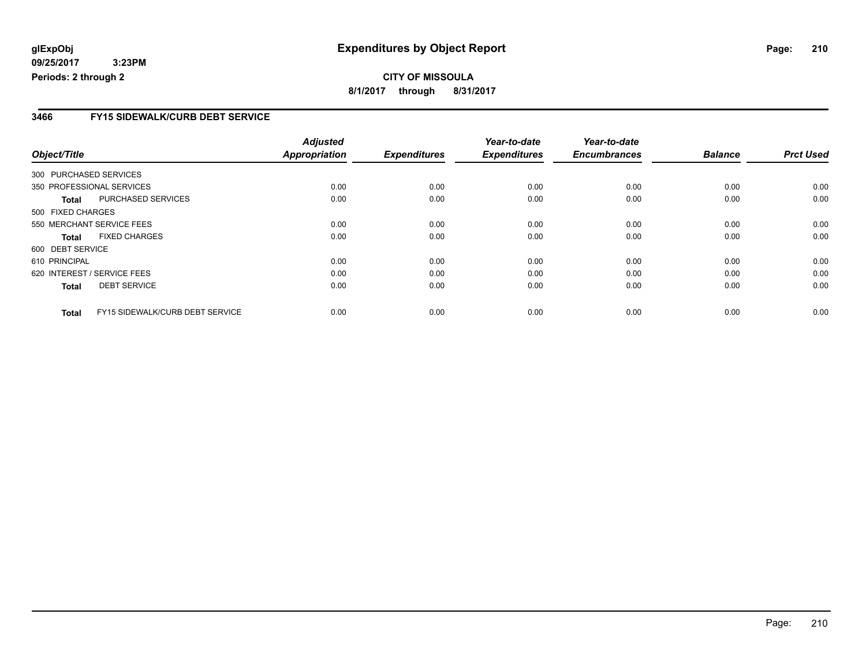#### **CITY OF MISSOULA 8/1/2017 through 8/31/2017**

#### **3466 FY15 SIDEWALK/CURB DEBT SERVICE**

|                        |                                 | <b>Adjusted</b>      |                     | Year-to-date        | Year-to-date        |                |                  |
|------------------------|---------------------------------|----------------------|---------------------|---------------------|---------------------|----------------|------------------|
| Object/Title           |                                 | <b>Appropriation</b> | <b>Expenditures</b> | <b>Expenditures</b> | <b>Encumbrances</b> | <b>Balance</b> | <b>Prct Used</b> |
| 300 PURCHASED SERVICES |                                 |                      |                     |                     |                     |                |                  |
|                        | 350 PROFESSIONAL SERVICES       | 0.00                 | 0.00                | 0.00                | 0.00                | 0.00           | 0.00             |
| Total                  | PURCHASED SERVICES              | 0.00                 | 0.00                | 0.00                | 0.00                | 0.00           | 0.00             |
| 500 FIXED CHARGES      |                                 |                      |                     |                     |                     |                |                  |
|                        | 550 MERCHANT SERVICE FEES       | 0.00                 | 0.00                | 0.00                | 0.00                | 0.00           | 0.00             |
| <b>Total</b>           | <b>FIXED CHARGES</b>            | 0.00                 | 0.00                | 0.00                | 0.00                | 0.00           | 0.00             |
| 600 DEBT SERVICE       |                                 |                      |                     |                     |                     |                |                  |
| 610 PRINCIPAL          |                                 | 0.00                 | 0.00                | 0.00                | 0.00                | 0.00           | 0.00             |
|                        | 620 INTEREST / SERVICE FEES     | 0.00                 | 0.00                | 0.00                | 0.00                | 0.00           | 0.00             |
| <b>Total</b>           | <b>DEBT SERVICE</b>             | 0.00                 | 0.00                | 0.00                | 0.00                | 0.00           | 0.00             |
| <b>Total</b>           | FY15 SIDEWALK/CURB DEBT SERVICE | 0.00                 | 0.00                | 0.00                | 0.00                | 0.00           | 0.00             |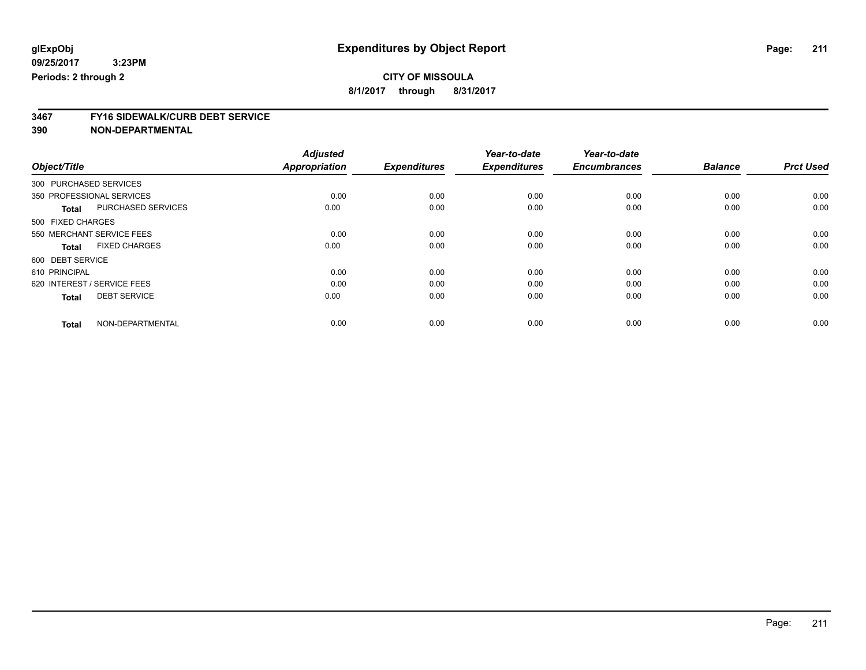**8/1/2017 through 8/31/2017**

# **3467 FY16 SIDEWALK/CURB DEBT SERVICE**

|                                      | <b>Adjusted</b>      |                     | Year-to-date        | Year-to-date        |                |                  |
|--------------------------------------|----------------------|---------------------|---------------------|---------------------|----------------|------------------|
| Object/Title                         | <b>Appropriation</b> | <b>Expenditures</b> | <b>Expenditures</b> | <b>Encumbrances</b> | <b>Balance</b> | <b>Prct Used</b> |
| 300 PURCHASED SERVICES               |                      |                     |                     |                     |                |                  |
| 350 PROFESSIONAL SERVICES            | 0.00                 | 0.00                | 0.00                | 0.00                | 0.00           | 0.00             |
| PURCHASED SERVICES<br><b>Total</b>   | 0.00                 | 0.00                | 0.00                | 0.00                | 0.00           | 0.00             |
| 500 FIXED CHARGES                    |                      |                     |                     |                     |                |                  |
| 550 MERCHANT SERVICE FEES            | 0.00                 | 0.00                | 0.00                | 0.00                | 0.00           | 0.00             |
| <b>FIXED CHARGES</b><br><b>Total</b> | 0.00                 | 0.00                | 0.00                | 0.00                | 0.00           | 0.00             |
| 600 DEBT SERVICE                     |                      |                     |                     |                     |                |                  |
| 610 PRINCIPAL                        | 0.00                 | 0.00                | 0.00                | 0.00                | 0.00           | 0.00             |
| 620 INTEREST / SERVICE FEES          | 0.00                 | 0.00                | 0.00                | 0.00                | 0.00           | 0.00             |
| <b>DEBT SERVICE</b><br><b>Total</b>  | 0.00                 | 0.00                | 0.00                | 0.00                | 0.00           | 0.00             |
|                                      |                      |                     |                     |                     |                |                  |
| NON-DEPARTMENTAL<br><b>Total</b>     | 0.00                 | 0.00                | 0.00                | 0.00                | 0.00           | 0.00             |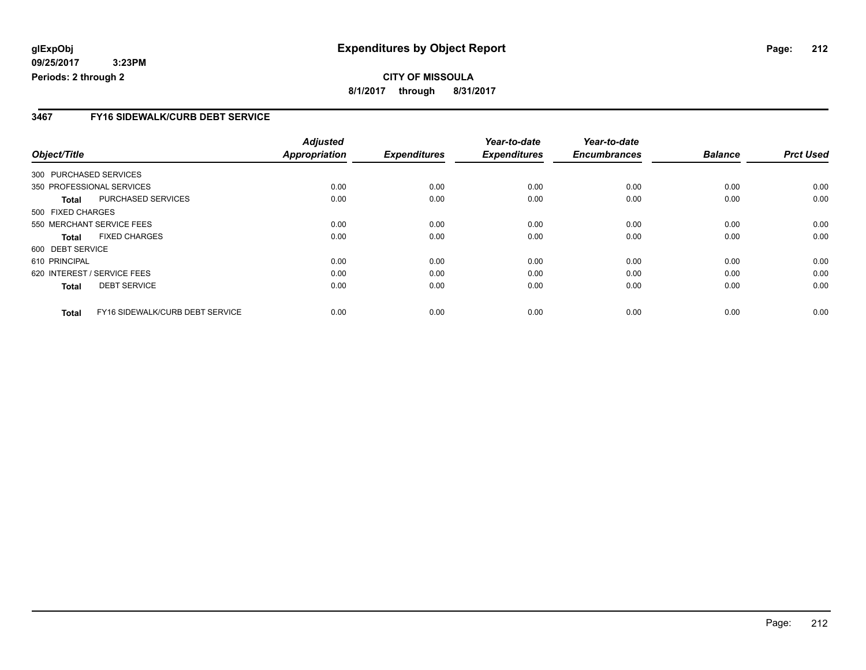#### **CITY OF MISSOULA 8/1/2017 through 8/31/2017**

#### **3467 FY16 SIDEWALK/CURB DEBT SERVICE**

|                        |                                 | <b>Adjusted</b>      |                     | Year-to-date        | Year-to-date        |                |                  |
|------------------------|---------------------------------|----------------------|---------------------|---------------------|---------------------|----------------|------------------|
| Object/Title           |                                 | <b>Appropriation</b> | <b>Expenditures</b> | <b>Expenditures</b> | <b>Encumbrances</b> | <b>Balance</b> | <b>Prct Used</b> |
| 300 PURCHASED SERVICES |                                 |                      |                     |                     |                     |                |                  |
|                        | 350 PROFESSIONAL SERVICES       | 0.00                 | 0.00                | 0.00                | 0.00                | 0.00           | 0.00             |
| <b>Total</b>           | PURCHASED SERVICES              | 0.00                 | 0.00                | 0.00                | 0.00                | 0.00           | 0.00             |
| 500 FIXED CHARGES      |                                 |                      |                     |                     |                     |                |                  |
|                        | 550 MERCHANT SERVICE FEES       | 0.00                 | 0.00                | 0.00                | 0.00                | 0.00           | 0.00             |
| <b>Total</b>           | <b>FIXED CHARGES</b>            | 0.00                 | 0.00                | 0.00                | 0.00                | 0.00           | 0.00             |
| 600 DEBT SERVICE       |                                 |                      |                     |                     |                     |                |                  |
| 610 PRINCIPAL          |                                 | 0.00                 | 0.00                | 0.00                | 0.00                | 0.00           | 0.00             |
|                        | 620 INTEREST / SERVICE FEES     | 0.00                 | 0.00                | 0.00                | 0.00                | 0.00           | 0.00             |
| <b>Total</b>           | <b>DEBT SERVICE</b>             | 0.00                 | 0.00                | 0.00                | 0.00                | 0.00           | 0.00             |
| <b>Total</b>           | FY16 SIDEWALK/CURB DEBT SERVICE | 0.00                 | 0.00                | 0.00                | 0.00                | 0.00           | 0.00             |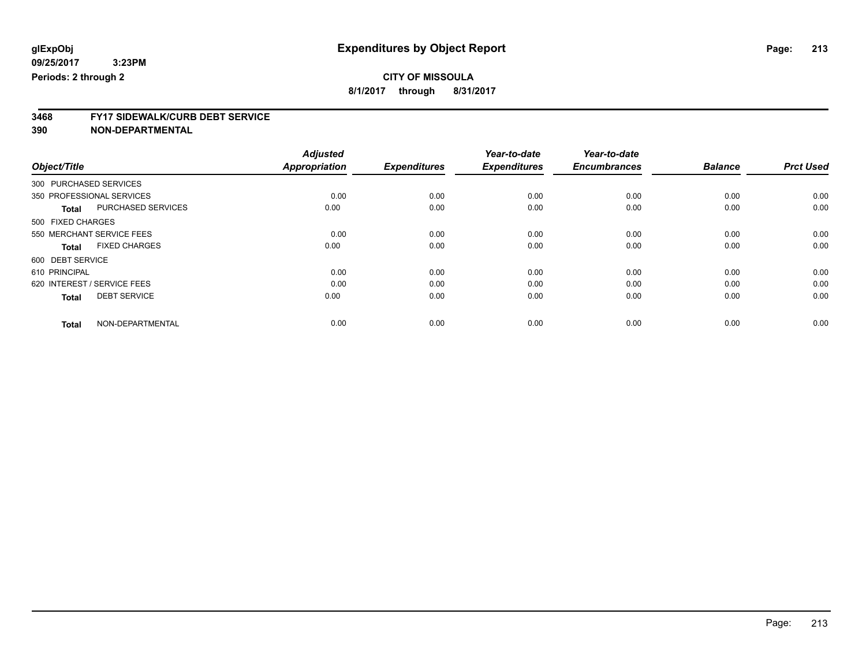**8/1/2017 through 8/31/2017**

# **3468 FY17 SIDEWALK/CURB DEBT SERVICE**

|                                      | <b>Adjusted</b>      |                     | Year-to-date        | Year-to-date        |                |                  |
|--------------------------------------|----------------------|---------------------|---------------------|---------------------|----------------|------------------|
| Object/Title                         | <b>Appropriation</b> | <b>Expenditures</b> | <b>Expenditures</b> | <b>Encumbrances</b> | <b>Balance</b> | <b>Prct Used</b> |
| 300 PURCHASED SERVICES               |                      |                     |                     |                     |                |                  |
| 350 PROFESSIONAL SERVICES            | 0.00                 | 0.00                | 0.00                | 0.00                | 0.00           | 0.00             |
| PURCHASED SERVICES<br><b>Total</b>   | 0.00                 | 0.00                | 0.00                | 0.00                | 0.00           | 0.00             |
| 500 FIXED CHARGES                    |                      |                     |                     |                     |                |                  |
| 550 MERCHANT SERVICE FEES            | 0.00                 | 0.00                | 0.00                | 0.00                | 0.00           | 0.00             |
| <b>FIXED CHARGES</b><br><b>Total</b> | 0.00                 | 0.00                | 0.00                | 0.00                | 0.00           | 0.00             |
| 600 DEBT SERVICE                     |                      |                     |                     |                     |                |                  |
| 610 PRINCIPAL                        | 0.00                 | 0.00                | 0.00                | 0.00                | 0.00           | 0.00             |
| 620 INTEREST / SERVICE FEES          | 0.00                 | 0.00                | 0.00                | 0.00                | 0.00           | 0.00             |
| <b>DEBT SERVICE</b><br><b>Total</b>  | 0.00                 | 0.00                | 0.00                | 0.00                | 0.00           | 0.00             |
|                                      |                      |                     |                     |                     |                |                  |
| NON-DEPARTMENTAL<br><b>Total</b>     | 0.00                 | 0.00                | 0.00                | 0.00                | 0.00           | 0.00             |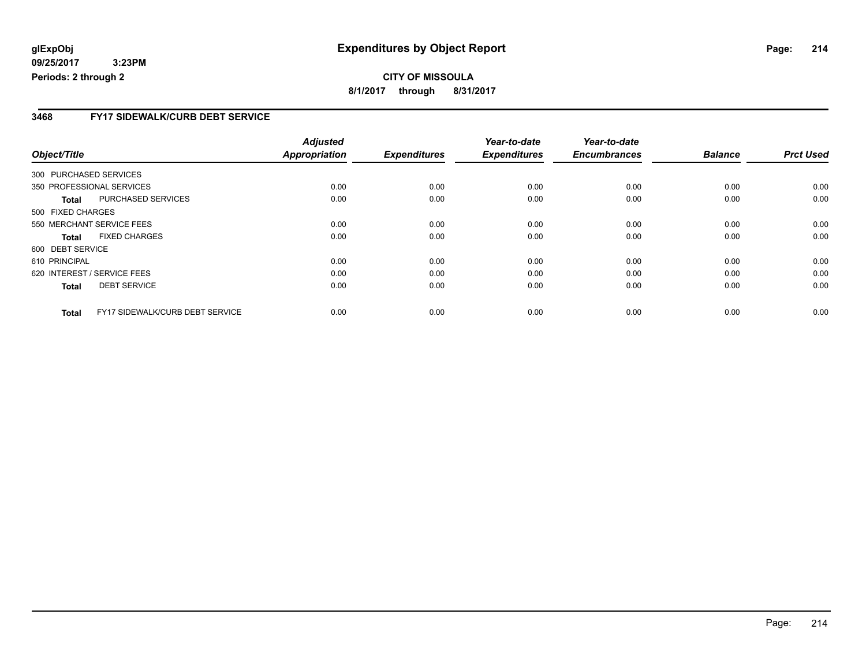#### **3468 FY17 SIDEWALK/CURB DEBT SERVICE**

|                        |                                 | <b>Adjusted</b>      |                     | Year-to-date        | Year-to-date        |                |                  |
|------------------------|---------------------------------|----------------------|---------------------|---------------------|---------------------|----------------|------------------|
| Object/Title           |                                 | <b>Appropriation</b> | <b>Expenditures</b> | <b>Expenditures</b> | <b>Encumbrances</b> | <b>Balance</b> | <b>Prct Used</b> |
| 300 PURCHASED SERVICES |                                 |                      |                     |                     |                     |                |                  |
|                        | 350 PROFESSIONAL SERVICES       | 0.00                 | 0.00                | 0.00                | 0.00                | 0.00           | 0.00             |
| Total                  | PURCHASED SERVICES              | 0.00                 | 0.00                | 0.00                | 0.00                | 0.00           | 0.00             |
| 500 FIXED CHARGES      |                                 |                      |                     |                     |                     |                |                  |
|                        | 550 MERCHANT SERVICE FEES       | 0.00                 | 0.00                | 0.00                | 0.00                | 0.00           | 0.00             |
| <b>Total</b>           | <b>FIXED CHARGES</b>            | 0.00                 | 0.00                | 0.00                | 0.00                | 0.00           | 0.00             |
| 600 DEBT SERVICE       |                                 |                      |                     |                     |                     |                |                  |
| 610 PRINCIPAL          |                                 | 0.00                 | 0.00                | 0.00                | 0.00                | 0.00           | 0.00             |
|                        | 620 INTEREST / SERVICE FEES     | 0.00                 | 0.00                | 0.00                | 0.00                | 0.00           | 0.00             |
| <b>Total</b>           | <b>DEBT SERVICE</b>             | 0.00                 | 0.00                | 0.00                | 0.00                | 0.00           | 0.00             |
| <b>Total</b>           | FY17 SIDEWALK/CURB DEBT SERVICE | 0.00                 | 0.00                | 0.00                | 0.00                | 0.00           | 0.00             |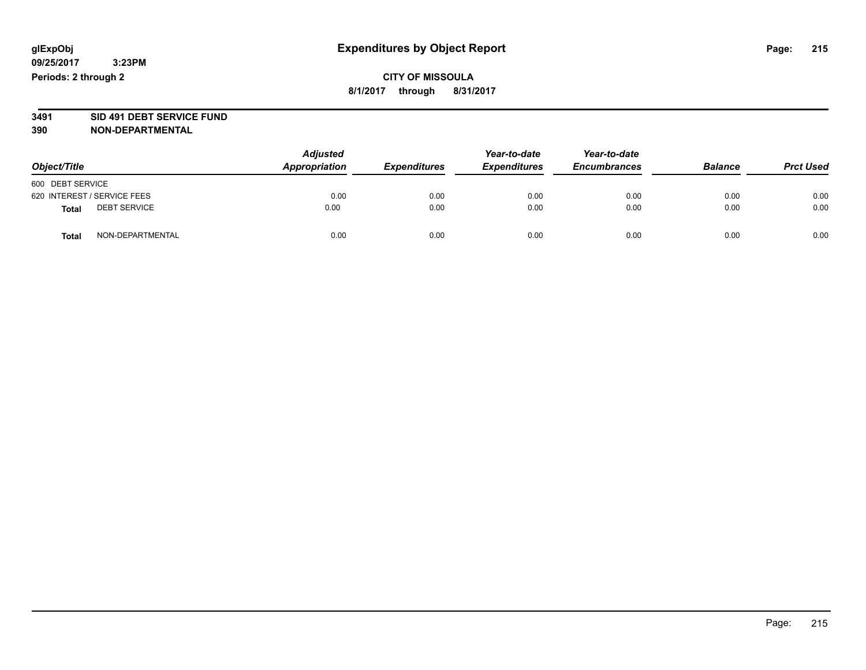#### **CITY OF MISSOULA 8/1/2017 through 8/31/2017**

# **3491 SID 491 DEBT SERVICE FUND**

| Object/Title                        | <b>Adjusted</b><br>Appropriation | <b>Expenditures</b> | Year-to-date<br><b>Expenditures</b> | Year-to-date<br><b>Encumbrances</b> | <b>Balance</b> | <b>Prct Used</b> |
|-------------------------------------|----------------------------------|---------------------|-------------------------------------|-------------------------------------|----------------|------------------|
| 600 DEBT SERVICE                    |                                  |                     |                                     |                                     |                |                  |
| 620 INTEREST / SERVICE FEES         | 0.00                             | 0.00                | 0.00                                | 0.00                                | 0.00           | 0.00             |
| <b>DEBT SERVICE</b><br><b>Total</b> | 0.00                             | 0.00                | 0.00                                | 0.00                                | 0.00           | 0.00             |
| NON-DEPARTMENTAL<br><b>Total</b>    | 0.00                             | 0.00                | 0.00                                | 0.00                                | 0.00           | 0.00             |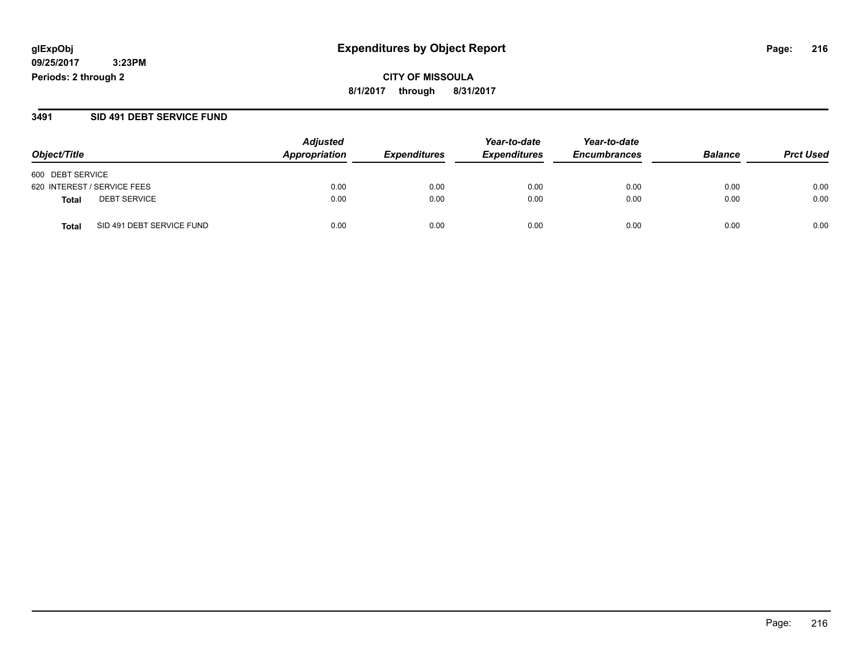**CITY OF MISSOULA 8/1/2017 through 8/31/2017**

#### **3491 SID 491 DEBT SERVICE FUND**

| Object/Title                       | <b>Adjusted</b><br>Appropriation | <b>Expenditures</b> | Year-to-date<br><b>Expenditures</b> | Year-to-date<br><b>Encumbrances</b> | <b>Balance</b> | <b>Prct Used</b> |
|------------------------------------|----------------------------------|---------------------|-------------------------------------|-------------------------------------|----------------|------------------|
|                                    |                                  |                     |                                     |                                     |                |                  |
| 600 DEBT SERVICE                   |                                  |                     |                                     |                                     |                |                  |
| 620 INTEREST / SERVICE FEES        | 0.00                             | 0.00                | 0.00                                | 0.00                                | 0.00           | 0.00             |
| <b>DEBT SERVICE</b><br>Total       | 0.00                             | 0.00                | 0.00                                | 0.00                                | 0.00           | 0.00             |
| SID 491 DEBT SERVICE FUND<br>Total | 0.00                             | 0.00                | 0.00                                | 0.00                                | 0.00           | 0.00             |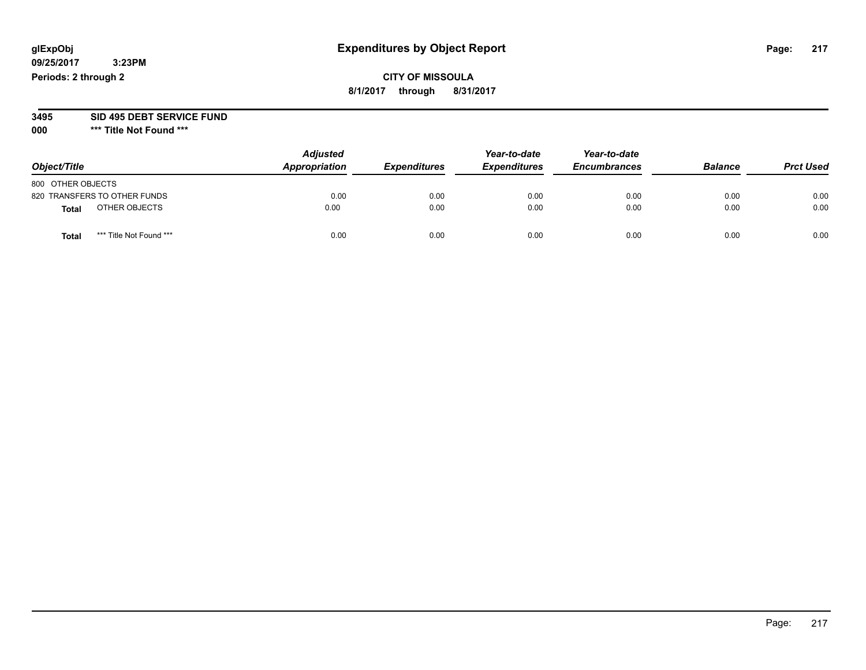# **CITY OF MISSOULA 8/1/2017 through 8/31/2017**

# **3495 SID 495 DEBT SERVICE FUND**

|                                  | <b>Adjusted</b> | Year-to-date        |                     | Year-to-date        |                |                  |
|----------------------------------|-----------------|---------------------|---------------------|---------------------|----------------|------------------|
| Object/Title                     | Appropriation   | <b>Expenditures</b> | <b>Expenditures</b> | <b>Encumbrances</b> | <b>Balance</b> | <b>Prct Used</b> |
| 800 OTHER OBJECTS                |                 |                     |                     |                     |                |                  |
| 820 TRANSFERS TO OTHER FUNDS     | 0.00            | 0.00                | 0.00                | 0.00                | 0.00           | 0.00             |
| OTHER OBJECTS<br><b>Total</b>    | 0.00            | 0.00                | 0.00                | 0.00                | 0.00           | 0.00             |
| *** Title Not Found ***<br>Total | 0.00            | 0.00                | 0.00                | 0.00                | 0.00           | 0.00             |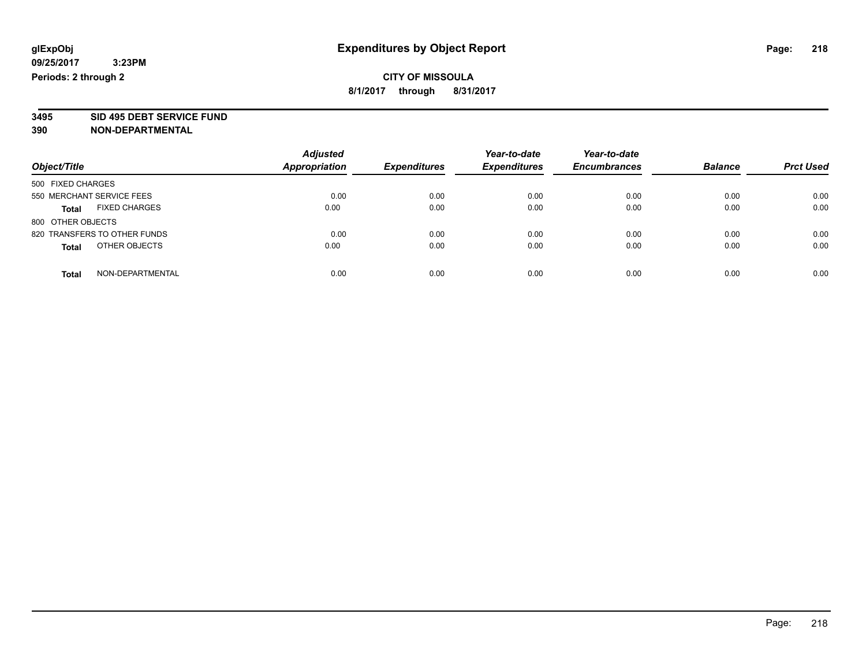**3495 SID 495 DEBT SERVICE FUND**

| Object/Title                         | <b>Adjusted</b><br>Appropriation | <b>Expenditures</b> | Year-to-date<br><b>Expenditures</b> | Year-to-date<br><b>Encumbrances</b> | <b>Balance</b> | <b>Prct Used</b> |
|--------------------------------------|----------------------------------|---------------------|-------------------------------------|-------------------------------------|----------------|------------------|
| 500 FIXED CHARGES                    |                                  |                     |                                     |                                     |                |                  |
| 550 MERCHANT SERVICE FEES            | 0.00                             | 0.00                | 0.00                                | 0.00                                | 0.00           | 0.00             |
| <b>FIXED CHARGES</b><br><b>Total</b> | 0.00                             | 0.00                | 0.00                                | 0.00                                | 0.00           | 0.00             |
| 800 OTHER OBJECTS                    |                                  |                     |                                     |                                     |                |                  |
| 820 TRANSFERS TO OTHER FUNDS         | 0.00                             | 0.00                | 0.00                                | 0.00                                | 0.00           | 0.00             |
| OTHER OBJECTS<br><b>Total</b>        | 0.00                             | 0.00                | 0.00                                | 0.00                                | 0.00           | 0.00             |
| NON-DEPARTMENTAL<br>Total            | 0.00                             | 0.00                | 0.00                                | 0.00                                | 0.00           | 0.00             |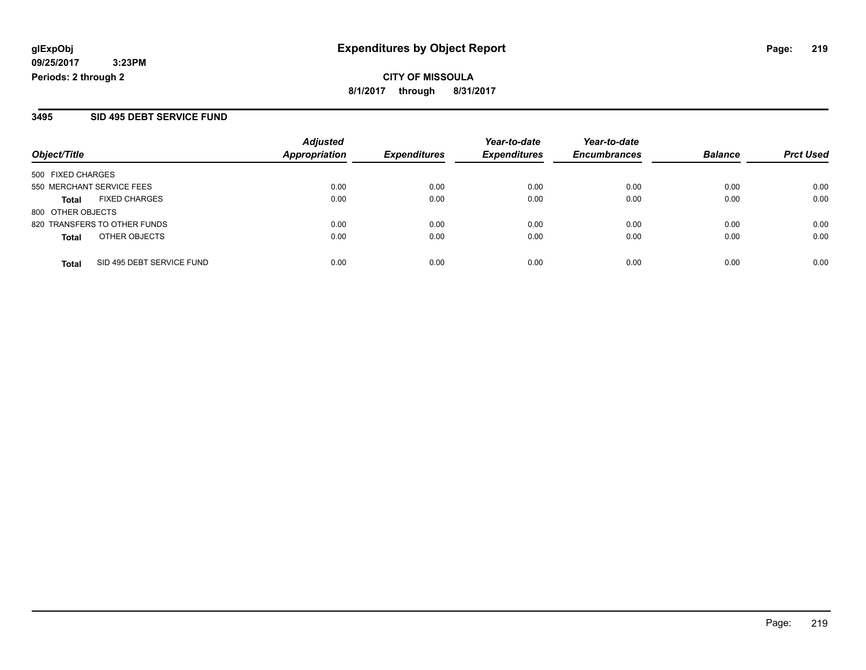**CITY OF MISSOULA 8/1/2017 through 8/31/2017**

### **3495 SID 495 DEBT SERVICE FUND**

|                              | <b>Adjusted</b>   |               | Year-to-date        | Year-to-date        |                     | <b>Prct Used</b> |
|------------------------------|-------------------|---------------|---------------------|---------------------|---------------------|------------------|
|                              |                   |               |                     |                     |                     |                  |
|                              |                   |               |                     |                     |                     |                  |
| 550 MERCHANT SERVICE FEES    | 0.00              | 0.00          | 0.00                | 0.00                | 0.00                | 0.00             |
| <b>FIXED CHARGES</b>         | 0.00              | 0.00          | 0.00                | 0.00                | 0.00                | 0.00             |
| 800 OTHER OBJECTS            |                   |               |                     |                     |                     |                  |
| 820 TRANSFERS TO OTHER FUNDS | 0.00              | 0.00          | 0.00                | 0.00                | 0.00                | 0.00             |
| OTHER OBJECTS                | 0.00              | 0.00          | 0.00                | 0.00                | 0.00                | 0.00             |
| SID 495 DEBT SERVICE FUND    | 0.00              | 0.00          | 0.00                | 0.00                | 0.00                | 0.00             |
|                              | 500 FIXED CHARGES | Appropriation | <b>Expenditures</b> | <b>Expenditures</b> | <b>Encumbrances</b> | <b>Balance</b>   |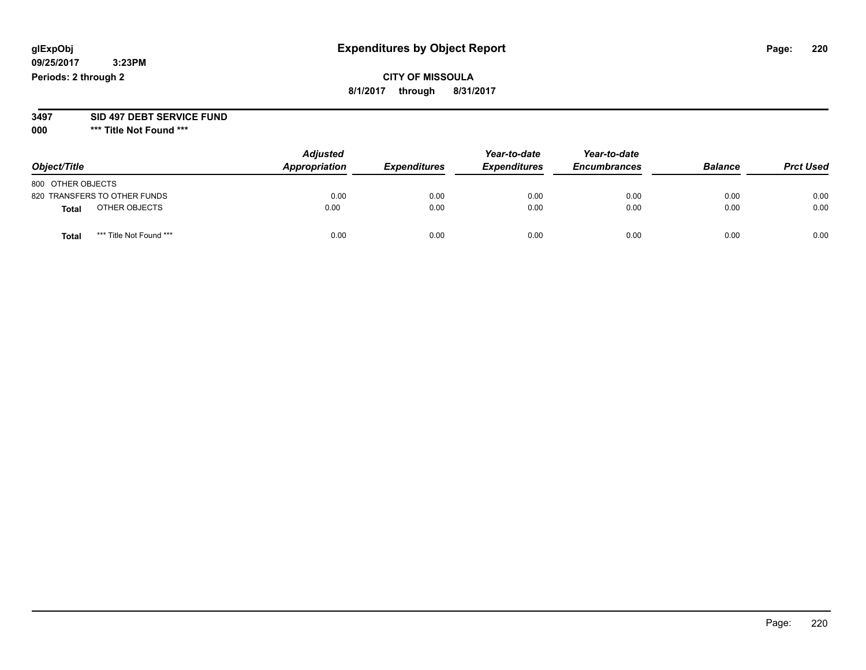# **CITY OF MISSOULA 8/1/2017 through 8/31/2017**

#### **3497 SID 497 DEBT SERVICE FUND**

| Object/Title                     | <b>Adjusted</b><br>Appropriation | <b>Expenditures</b> | Year-to-date<br><b>Expenditures</b> | Year-to-date<br><b>Encumbrances</b> | <b>Balance</b> | <b>Prct Used</b> |
|----------------------------------|----------------------------------|---------------------|-------------------------------------|-------------------------------------|----------------|------------------|
| 800 OTHER OBJECTS                |                                  |                     |                                     |                                     |                |                  |
| 820 TRANSFERS TO OTHER FUNDS     | 0.00                             | 0.00                | 0.00                                | 0.00                                | 0.00           | 0.00             |
| OTHER OBJECTS<br><b>Total</b>    | 0.00                             | 0.00                | 0.00                                | 0.00                                | 0.00           | 0.00             |
| *** Title Not Found ***<br>Total | 0.00                             | 0.00                | 0.00                                | 0.00                                | 0.00           | 0.00             |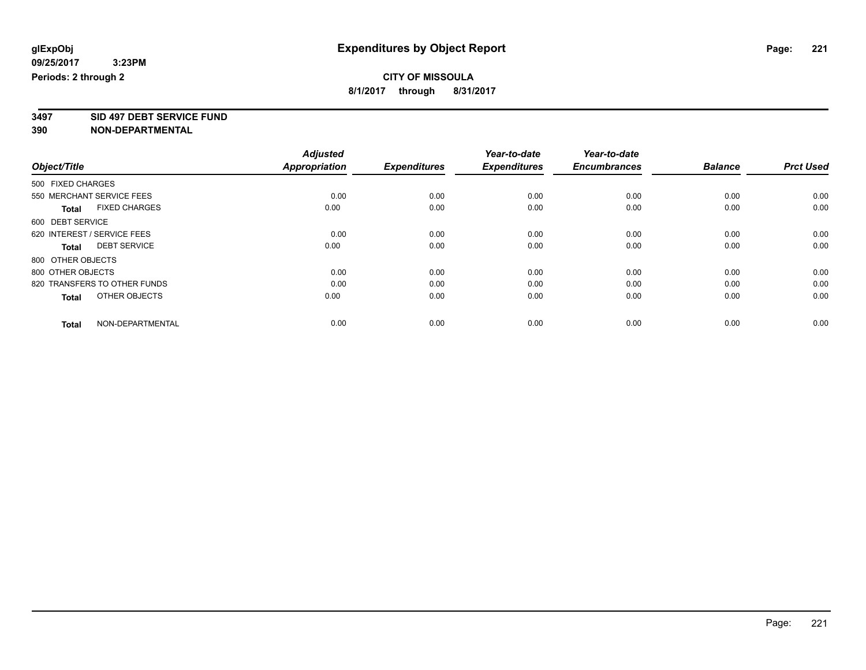**3497 SID 497 DEBT SERVICE FUND**

|                                      | <b>Adjusted</b>      |                     | Year-to-date<br><b>Expenditures</b> | Year-to-date<br><b>Encumbrances</b> | <b>Balance</b> | <b>Prct Used</b> |
|--------------------------------------|----------------------|---------------------|-------------------------------------|-------------------------------------|----------------|------------------|
| Object/Title                         | <b>Appropriation</b> | <b>Expenditures</b> |                                     |                                     |                |                  |
| 500 FIXED CHARGES                    |                      |                     |                                     |                                     |                |                  |
| 550 MERCHANT SERVICE FEES            | 0.00                 | 0.00                | 0.00                                | 0.00                                | 0.00           | 0.00             |
| <b>FIXED CHARGES</b><br><b>Total</b> | 0.00                 | 0.00                | 0.00                                | 0.00                                | 0.00           | 0.00             |
| 600 DEBT SERVICE                     |                      |                     |                                     |                                     |                |                  |
| 620 INTEREST / SERVICE FEES          | 0.00                 | 0.00                | 0.00                                | 0.00                                | 0.00           | 0.00             |
| <b>DEBT SERVICE</b><br>Total         | 0.00                 | 0.00                | 0.00                                | 0.00                                | 0.00           | 0.00             |
| 800 OTHER OBJECTS                    |                      |                     |                                     |                                     |                |                  |
| 800 OTHER OBJECTS                    | 0.00                 | 0.00                | 0.00                                | 0.00                                | 0.00           | 0.00             |
| 820 TRANSFERS TO OTHER FUNDS         | 0.00                 | 0.00                | 0.00                                | 0.00                                | 0.00           | 0.00             |
| OTHER OBJECTS<br><b>Total</b>        | 0.00                 | 0.00                | 0.00                                | 0.00                                | 0.00           | 0.00             |
|                                      |                      |                     |                                     |                                     |                |                  |
| NON-DEPARTMENTAL<br><b>Total</b>     | 0.00                 | 0.00                | 0.00                                | 0.00                                | 0.00           | 0.00             |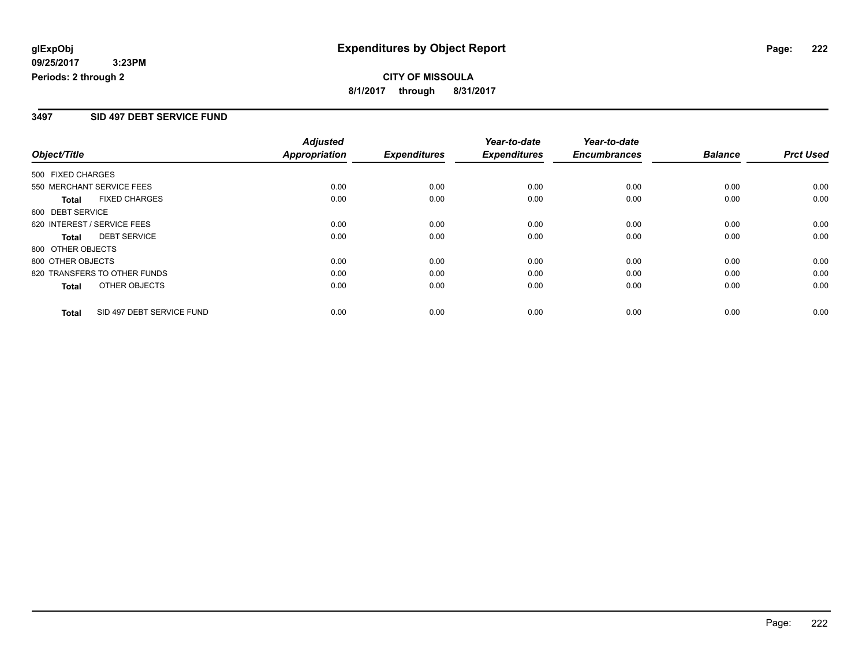# **CITY OF MISSOULA 8/1/2017 through 8/31/2017**

## **3497 SID 497 DEBT SERVICE FUND**

|                                           | <b>Adjusted</b>      |                     | Year-to-date        | Year-to-date        |                |                  |
|-------------------------------------------|----------------------|---------------------|---------------------|---------------------|----------------|------------------|
| Object/Title                              | <b>Appropriation</b> | <b>Expenditures</b> | <b>Expenditures</b> | <b>Encumbrances</b> | <b>Balance</b> | <b>Prct Used</b> |
| 500 FIXED CHARGES                         |                      |                     |                     |                     |                |                  |
| 550 MERCHANT SERVICE FEES                 | 0.00                 | 0.00                | 0.00                | 0.00                | 0.00           | 0.00             |
| <b>FIXED CHARGES</b><br><b>Total</b>      | 0.00                 | 0.00                | 0.00                | 0.00                | 0.00           | 0.00             |
| 600 DEBT SERVICE                          |                      |                     |                     |                     |                |                  |
| 620 INTEREST / SERVICE FEES               | 0.00                 | 0.00                | 0.00                | 0.00                | 0.00           | 0.00             |
| <b>DEBT SERVICE</b><br><b>Total</b>       | 0.00                 | 0.00                | 0.00                | 0.00                | 0.00           | 0.00             |
| 800 OTHER OBJECTS                         |                      |                     |                     |                     |                |                  |
| 800 OTHER OBJECTS                         | 0.00                 | 0.00                | 0.00                | 0.00                | 0.00           | 0.00             |
| 820 TRANSFERS TO OTHER FUNDS              | 0.00                 | 0.00                | 0.00                | 0.00                | 0.00           | 0.00             |
| OTHER OBJECTS<br><b>Total</b>             | 0.00                 | 0.00                | 0.00                | 0.00                | 0.00           | 0.00             |
| SID 497 DEBT SERVICE FUND<br><b>Total</b> | 0.00                 | 0.00                | 0.00                | 0.00                | 0.00           | 0.00             |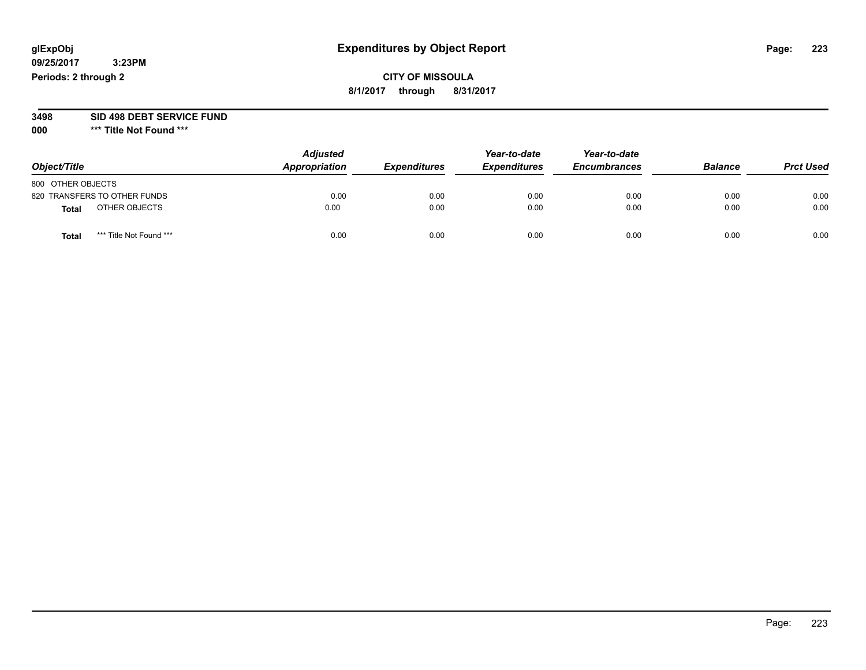# **CITY OF MISSOULA 8/1/2017 through 8/31/2017**

# **3498 SID 498 DEBT SERVICE FUND**

| Object/Title                    | <b>Adjusted</b><br>Appropriation | <b>Expenditures</b> | Year-to-date<br><b>Expenditures</b> | Year-to-date<br><b>Encumbrances</b> | <b>Balance</b> | <b>Prct Used</b> |
|---------------------------------|----------------------------------|---------------------|-------------------------------------|-------------------------------------|----------------|------------------|
| 800 OTHER OBJECTS               |                                  |                     |                                     |                                     |                |                  |
| 820 TRANSFERS TO OTHER FUNDS    | 0.00                             | 0.00                | 0.00                                | 0.00                                | 0.00           | 0.00             |
| OTHER OBJECTS<br><b>Total</b>   | 0.00                             | 0.00                | 0.00                                | 0.00                                | 0.00           | 0.00             |
| *** Title Not Found ***<br>Tota | 0.00                             | 0.00                | 0.00                                | 0.00                                | 0.00           | 0.00             |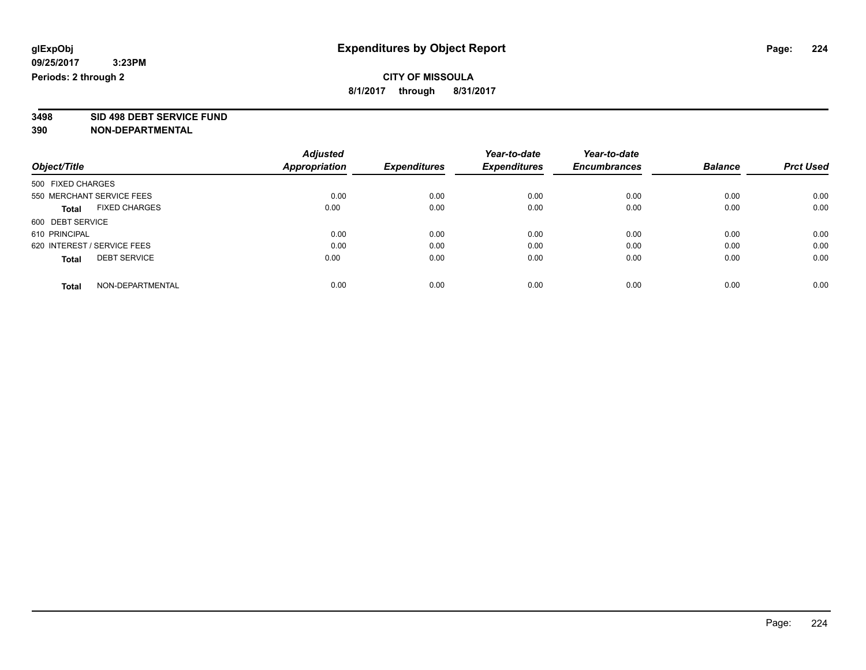**3498 SID 498 DEBT SERVICE FUND**

|                                      | <b>Adjusted</b>      |                     | Year-to-date        | Year-to-date<br><b>Encumbrances</b> |                | <b>Prct Used</b> |
|--------------------------------------|----------------------|---------------------|---------------------|-------------------------------------|----------------|------------------|
| Object/Title                         | <b>Appropriation</b> | <b>Expenditures</b> | <b>Expenditures</b> |                                     | <b>Balance</b> |                  |
| 500 FIXED CHARGES                    |                      |                     |                     |                                     |                |                  |
| 550 MERCHANT SERVICE FEES            | 0.00                 | 0.00                | 0.00                | 0.00                                | 0.00           | 0.00             |
| <b>FIXED CHARGES</b><br><b>Total</b> | 0.00                 | 0.00                | 0.00                | 0.00                                | 0.00           | 0.00             |
| 600 DEBT SERVICE                     |                      |                     |                     |                                     |                |                  |
| 610 PRINCIPAL                        | 0.00                 | 0.00                | 0.00                | 0.00                                | 0.00           | 0.00             |
| 620 INTEREST / SERVICE FEES          | 0.00                 | 0.00                | 0.00                | 0.00                                | 0.00           | 0.00             |
| <b>DEBT SERVICE</b><br><b>Total</b>  | 0.00                 | 0.00                | 0.00                | 0.00                                | 0.00           | 0.00             |
| NON-DEPARTMENTAL<br><b>Total</b>     | 0.00                 | 0.00                | 0.00                | 0.00                                | 0.00           | 0.00             |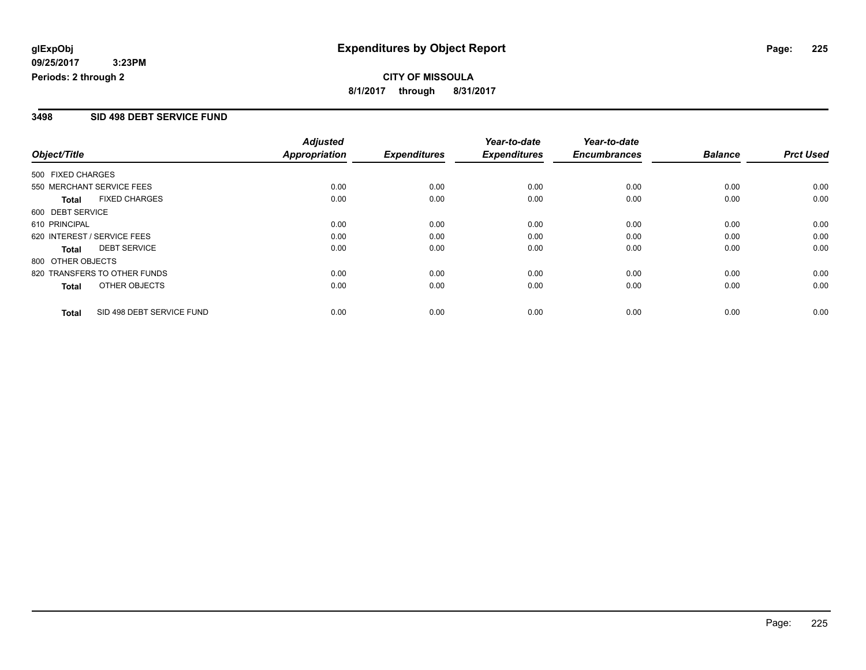**CITY OF MISSOULA 8/1/2017 through 8/31/2017**

### **3498 SID 498 DEBT SERVICE FUND**

|                             |                              | <b>Adjusted</b>      |                     | Year-to-date        | Year-to-date        |                |                  |
|-----------------------------|------------------------------|----------------------|---------------------|---------------------|---------------------|----------------|------------------|
| Object/Title                |                              | <b>Appropriation</b> | <b>Expenditures</b> | <b>Expenditures</b> | <b>Encumbrances</b> | <b>Balance</b> | <b>Prct Used</b> |
| 500 FIXED CHARGES           |                              |                      |                     |                     |                     |                |                  |
| 550 MERCHANT SERVICE FEES   |                              | 0.00                 | 0.00                | 0.00                | 0.00                | 0.00           | 0.00             |
| <b>Total</b>                | <b>FIXED CHARGES</b>         | 0.00                 | 0.00                | 0.00                | 0.00                | 0.00           | 0.00             |
| 600 DEBT SERVICE            |                              |                      |                     |                     |                     |                |                  |
| 610 PRINCIPAL               |                              | 0.00                 | 0.00                | 0.00                | 0.00                | 0.00           | 0.00             |
| 620 INTEREST / SERVICE FEES |                              | 0.00                 | 0.00                | 0.00                | 0.00                | 0.00           | 0.00             |
| Total                       | <b>DEBT SERVICE</b>          | 0.00                 | 0.00                | 0.00                | 0.00                | 0.00           | 0.00             |
| 800 OTHER OBJECTS           |                              |                      |                     |                     |                     |                |                  |
|                             | 820 TRANSFERS TO OTHER FUNDS | 0.00                 | 0.00                | 0.00                | 0.00                | 0.00           | 0.00             |
| Total                       | OTHER OBJECTS                | 0.00                 | 0.00                | 0.00                | 0.00                | 0.00           | 0.00             |
| <b>Total</b>                | SID 498 DEBT SERVICE FUND    | 0.00                 | 0.00                | 0.00                | 0.00                | 0.00           | 0.00             |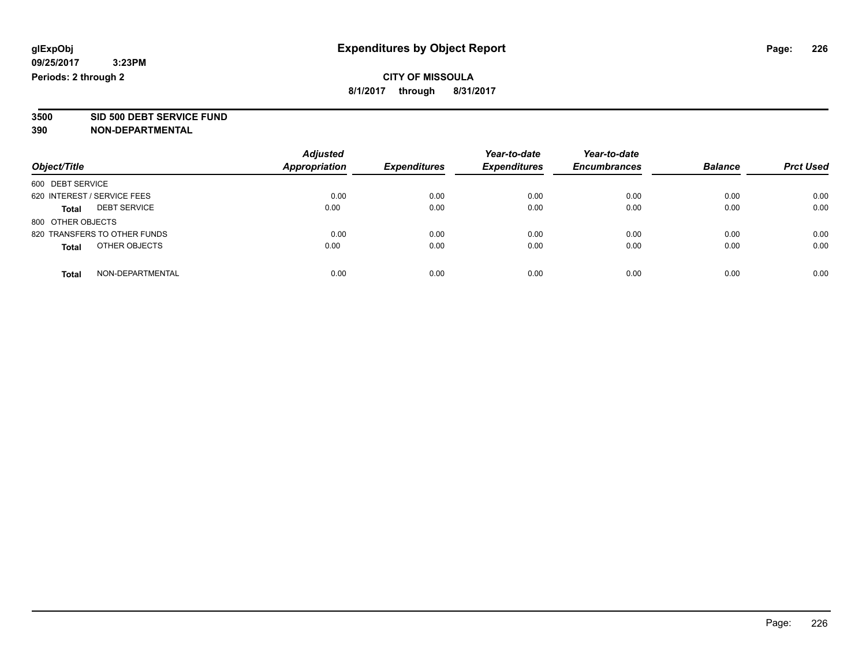**3500 SID 500 DEBT SERVICE FUND**

| Object/Title                        | <b>Adjusted</b><br>Appropriation | <b>Expenditures</b> | Year-to-date<br><b>Expenditures</b> | Year-to-date<br><b>Encumbrances</b> | <b>Balance</b> | <b>Prct Used</b> |
|-------------------------------------|----------------------------------|---------------------|-------------------------------------|-------------------------------------|----------------|------------------|
| 600 DEBT SERVICE                    |                                  |                     |                                     |                                     |                |                  |
| 620 INTEREST / SERVICE FEES         | 0.00                             | 0.00                | 0.00                                | 0.00                                | 0.00           | 0.00             |
| <b>DEBT SERVICE</b><br><b>Total</b> | 0.00                             | 0.00                | 0.00                                | 0.00                                | 0.00           | 0.00             |
| 800 OTHER OBJECTS                   |                                  |                     |                                     |                                     |                |                  |
| 820 TRANSFERS TO OTHER FUNDS        | 0.00                             | 0.00                | 0.00                                | 0.00                                | 0.00           | 0.00             |
| OTHER OBJECTS<br><b>Total</b>       | 0.00                             | 0.00                | 0.00                                | 0.00                                | 0.00           | 0.00             |
| NON-DEPARTMENTAL<br><b>Total</b>    | 0.00                             | 0.00                | 0.00                                | 0.00                                | 0.00           | 0.00             |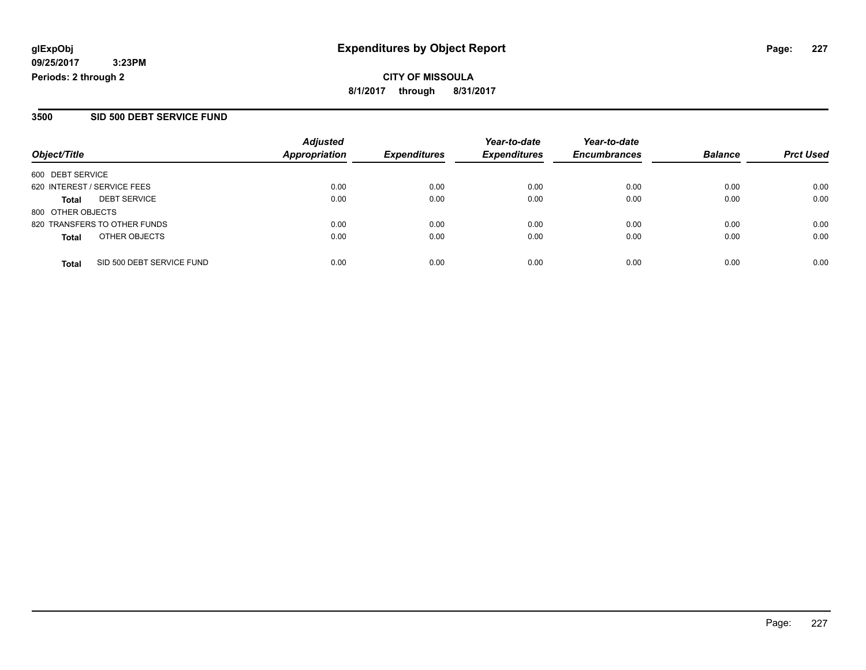**CITY OF MISSOULA 8/1/2017 through 8/31/2017**

### **3500 SID 500 DEBT SERVICE FUND**

| Object/Title                              | <b>Adjusted</b><br><b>Appropriation</b> | <b>Expenditures</b> | Year-to-date<br><b>Expenditures</b> | Year-to-date<br><b>Encumbrances</b> | <b>Balance</b> | <b>Prct Used</b> |
|-------------------------------------------|-----------------------------------------|---------------------|-------------------------------------|-------------------------------------|----------------|------------------|
| 600 DEBT SERVICE                          |                                         |                     |                                     |                                     |                |                  |
| 620 INTEREST / SERVICE FEES               | 0.00                                    | 0.00                | 0.00                                | 0.00                                | 0.00           | 0.00             |
| <b>DEBT SERVICE</b><br>Total              | 0.00                                    | 0.00                | 0.00                                | 0.00                                | 0.00           | 0.00             |
| 800 OTHER OBJECTS                         |                                         |                     |                                     |                                     |                |                  |
| 820 TRANSFERS TO OTHER FUNDS              | 0.00                                    | 0.00                | 0.00                                | 0.00                                | 0.00           | 0.00             |
| OTHER OBJECTS<br><b>Total</b>             | 0.00                                    | 0.00                | 0.00                                | 0.00                                | 0.00           | 0.00             |
| SID 500 DEBT SERVICE FUND<br><b>Total</b> | 0.00                                    | 0.00                | 0.00                                | 0.00                                | 0.00           | 0.00             |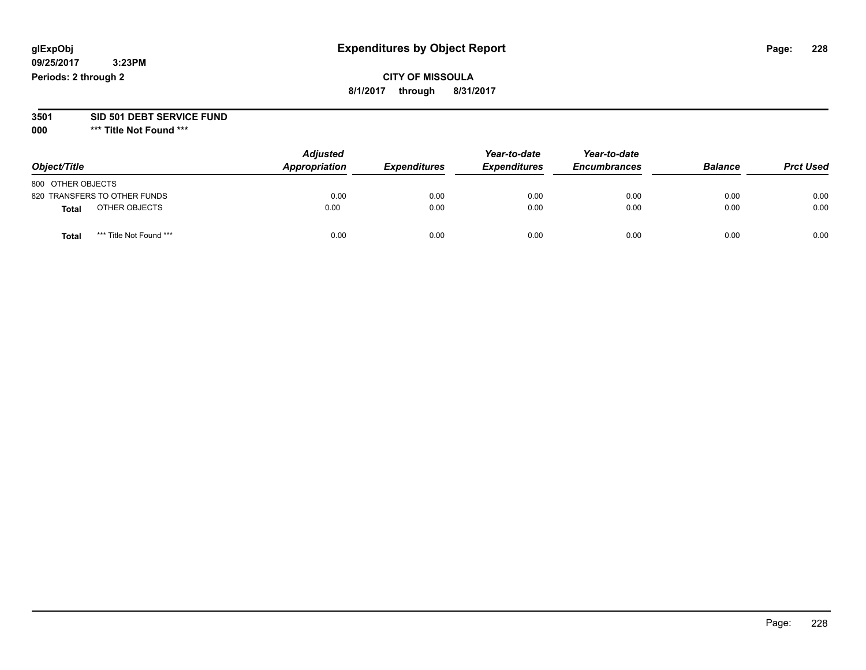# **CITY OF MISSOULA 8/1/2017 through 8/31/2017**

#### **3501 SID 501 DEBT SERVICE FUND**

| Object/Title                            | <b>Adjusted</b><br>Appropriation | <b>Expenditures</b> | Year-to-date<br><b>Expenditures</b> | Year-to-date<br><b>Encumbrances</b> | <b>Balance</b> | <b>Prct Used</b> |
|-----------------------------------------|----------------------------------|---------------------|-------------------------------------|-------------------------------------|----------------|------------------|
| 800 OTHER OBJECTS                       |                                  |                     |                                     |                                     |                |                  |
| 820 TRANSFERS TO OTHER FUNDS            | 0.00                             | 0.00                | 0.00                                | 0.00                                | 0.00           | 0.00             |
| OTHER OBJECTS<br>Total                  | 0.00                             | 0.00                | 0.00                                | 0.00                                | 0.00           | 0.00             |
| *** Title Not Found ***<br><b>Total</b> | 0.00                             | 0.00                | 0.00                                | 0.00                                | 0.00           | 0.00             |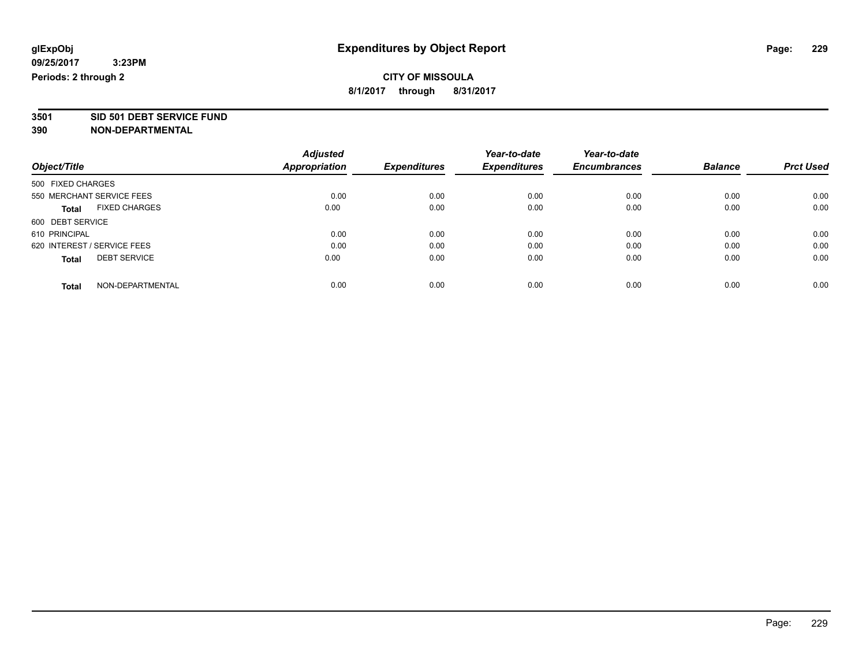**3501 SID 501 DEBT SERVICE FUND**

|                                      | <b>Adjusted</b> |                     | Year-to-date        | Year-to-date        |                |                  |
|--------------------------------------|-----------------|---------------------|---------------------|---------------------|----------------|------------------|
| Object/Title                         | Appropriation   | <b>Expenditures</b> | <b>Expenditures</b> | <b>Encumbrances</b> | <b>Balance</b> | <b>Prct Used</b> |
| 500 FIXED CHARGES                    |                 |                     |                     |                     |                |                  |
| 550 MERCHANT SERVICE FEES            | 0.00            | 0.00                | 0.00                | 0.00                | 0.00           | 0.00             |
| <b>FIXED CHARGES</b><br><b>Total</b> | 0.00            | 0.00                | 0.00                | 0.00                | 0.00           | 0.00             |
| 600 DEBT SERVICE                     |                 |                     |                     |                     |                |                  |
| 610 PRINCIPAL                        | 0.00            | 0.00                | 0.00                | 0.00                | 0.00           | 0.00             |
| 620 INTEREST / SERVICE FEES          | 0.00            | 0.00                | 0.00                | 0.00                | 0.00           | 0.00             |
| <b>DEBT SERVICE</b><br><b>Total</b>  | 0.00            | 0.00                | 0.00                | 0.00                | 0.00           | 0.00             |
| NON-DEPARTMENTAL<br><b>Total</b>     | 0.00            | 0.00                | 0.00                | 0.00                | 0.00           | 0.00             |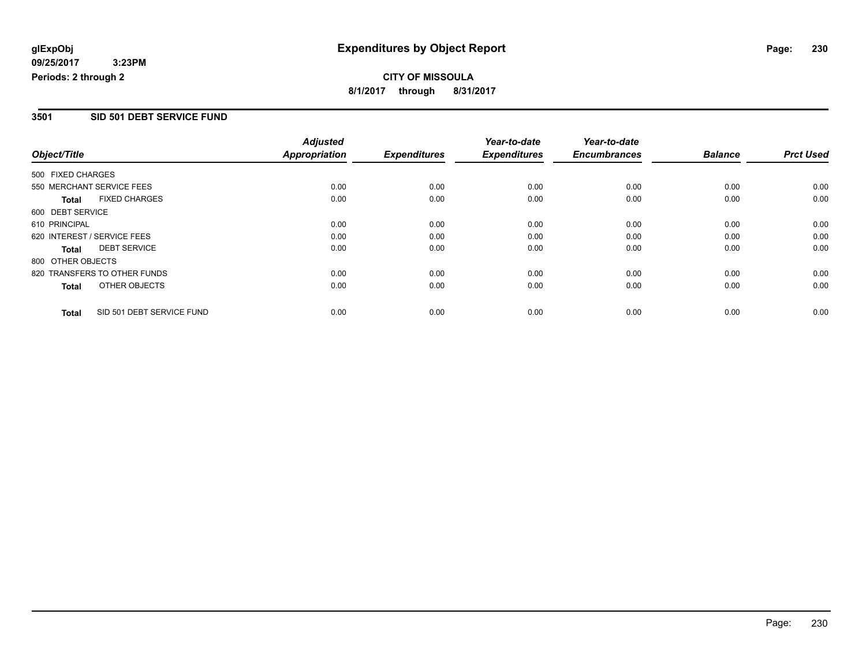# **CITY OF MISSOULA 8/1/2017 through 8/31/2017**

## **3501 SID 501 DEBT SERVICE FUND**

|                   |                              | <b>Adjusted</b>      |                     | Year-to-date        | Year-to-date        |                |                  |
|-------------------|------------------------------|----------------------|---------------------|---------------------|---------------------|----------------|------------------|
| Object/Title      |                              | <b>Appropriation</b> | <b>Expenditures</b> | <b>Expenditures</b> | <b>Encumbrances</b> | <b>Balance</b> | <b>Prct Used</b> |
| 500 FIXED CHARGES |                              |                      |                     |                     |                     |                |                  |
|                   | 550 MERCHANT SERVICE FEES    | 0.00                 | 0.00                | 0.00                | 0.00                | 0.00           | 0.00             |
| <b>Total</b>      | <b>FIXED CHARGES</b>         | 0.00                 | 0.00                | 0.00                | 0.00                | 0.00           | 0.00             |
| 600 DEBT SERVICE  |                              |                      |                     |                     |                     |                |                  |
| 610 PRINCIPAL     |                              | 0.00                 | 0.00                | 0.00                | 0.00                | 0.00           | 0.00             |
|                   | 620 INTEREST / SERVICE FEES  | 0.00                 | 0.00                | 0.00                | 0.00                | 0.00           | 0.00             |
| <b>Total</b>      | <b>DEBT SERVICE</b>          | 0.00                 | 0.00                | 0.00                | 0.00                | 0.00           | 0.00             |
| 800 OTHER OBJECTS |                              |                      |                     |                     |                     |                |                  |
|                   | 820 TRANSFERS TO OTHER FUNDS | 0.00                 | 0.00                | 0.00                | 0.00                | 0.00           | 0.00             |
| <b>Total</b>      | OTHER OBJECTS                | 0.00                 | 0.00                | 0.00                | 0.00                | 0.00           | 0.00             |
| <b>Total</b>      | SID 501 DEBT SERVICE FUND    | 0.00                 | 0.00                | 0.00                | 0.00                | 0.00           | 0.00             |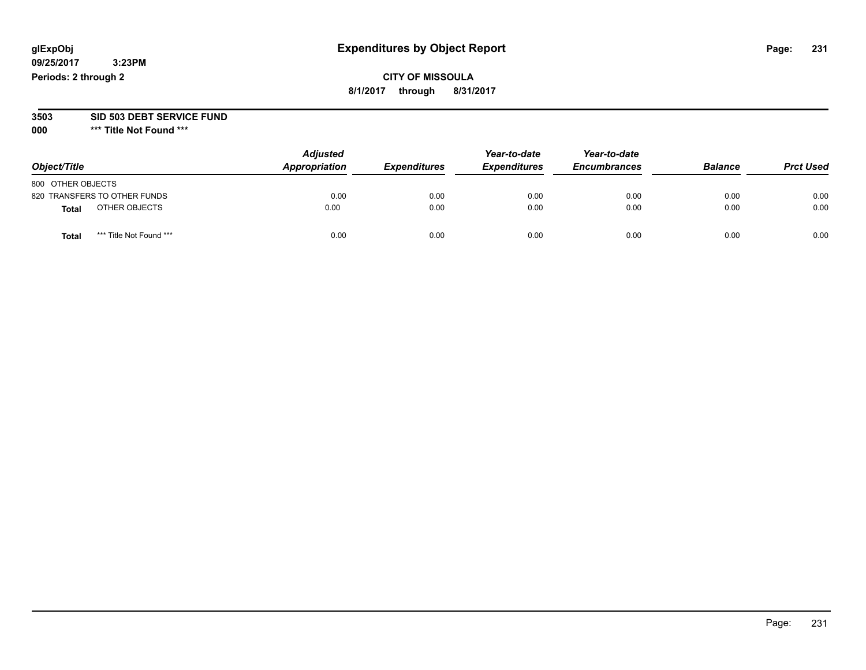# **CITY OF MISSOULA 8/1/2017 through 8/31/2017**

#### **3503 SID 503 DEBT SERVICE FUND**

| Object/Title                 |                         | <b>Adjusted</b><br>Appropriation | <b>Expenditures</b> | Year-to-date<br><b>Expenditures</b> | Year-to-date<br><b>Encumbrances</b> | <b>Balance</b> | <b>Prct Used</b> |
|------------------------------|-------------------------|----------------------------------|---------------------|-------------------------------------|-------------------------------------|----------------|------------------|
| 800 OTHER OBJECTS            |                         |                                  |                     |                                     |                                     |                |                  |
| 820 TRANSFERS TO OTHER FUNDS |                         | 0.00                             | 0.00                | 0.00                                | 0.00                                | 0.00           | 0.00             |
| Total                        | OTHER OBJECTS           | 0.00                             | 0.00                | 0.00                                | 0.00                                | 0.00           | 0.00             |
| Tota                         | *** Title Not Found *** | 0.00                             | 0.00                | 0.00                                | 0.00                                | 0.00           | 0.00             |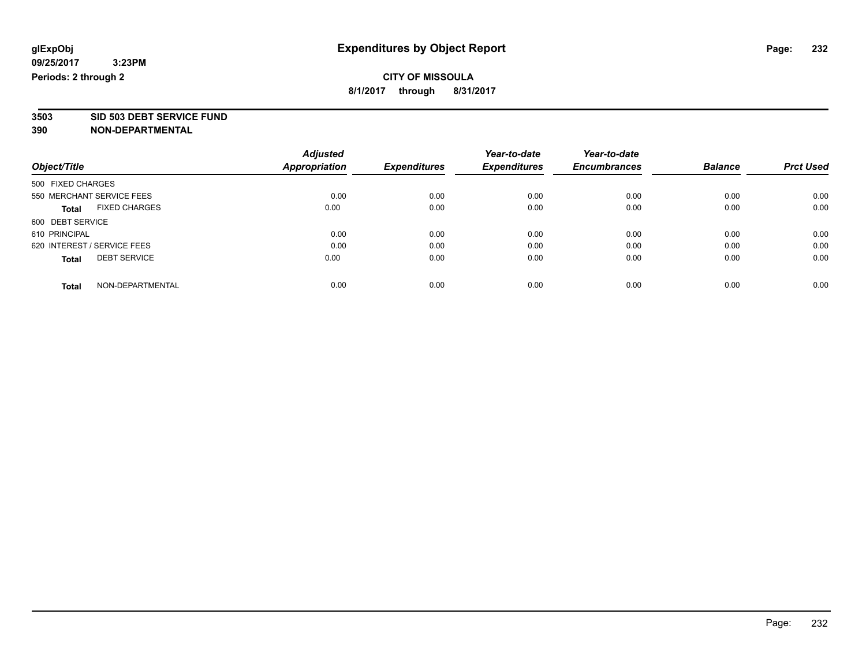**3503 SID 503 DEBT SERVICE FUND**

|                                      | <b>Adjusted</b>      |                     | Year-to-date        | Year-to-date        |                |                  |
|--------------------------------------|----------------------|---------------------|---------------------|---------------------|----------------|------------------|
| Object/Title                         | <b>Appropriation</b> | <b>Expenditures</b> | <b>Expenditures</b> | <b>Encumbrances</b> | <b>Balance</b> | <b>Prct Used</b> |
| 500 FIXED CHARGES                    |                      |                     |                     |                     |                |                  |
| 550 MERCHANT SERVICE FEES            | 0.00                 | 0.00                | 0.00                | 0.00                | 0.00           | 0.00             |
| <b>FIXED CHARGES</b><br><b>Total</b> | 0.00                 | 0.00                | 0.00                | 0.00                | 0.00           | 0.00             |
| 600 DEBT SERVICE                     |                      |                     |                     |                     |                |                  |
| 610 PRINCIPAL                        | 0.00                 | 0.00                | 0.00                | 0.00                | 0.00           | 0.00             |
| 620 INTEREST / SERVICE FEES          | 0.00                 | 0.00                | 0.00                | 0.00                | 0.00           | 0.00             |
| <b>DEBT SERVICE</b><br><b>Total</b>  | 0.00                 | 0.00                | 0.00                | 0.00                | 0.00           | 0.00             |
| NON-DEPARTMENTAL<br><b>Total</b>     | 0.00                 | 0.00                | 0.00                | 0.00                | 0.00           | 0.00             |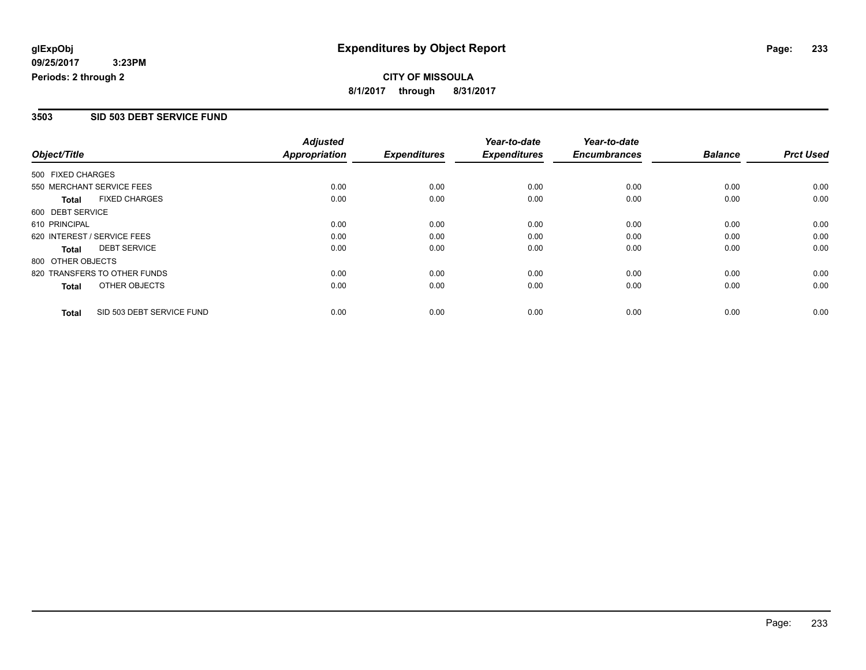# **CITY OF MISSOULA 8/1/2017 through 8/31/2017**

## **3503 SID 503 DEBT SERVICE FUND**

|                             |                              | <b>Adjusted</b>      |                     | Year-to-date        | Year-to-date        |                |                  |
|-----------------------------|------------------------------|----------------------|---------------------|---------------------|---------------------|----------------|------------------|
| Object/Title                |                              | <b>Appropriation</b> | <b>Expenditures</b> | <b>Expenditures</b> | <b>Encumbrances</b> | <b>Balance</b> | <b>Prct Used</b> |
| 500 FIXED CHARGES           |                              |                      |                     |                     |                     |                |                  |
|                             | 550 MERCHANT SERVICE FEES    | 0.00                 | 0.00                | 0.00                | 0.00                | 0.00           | 0.00             |
| Total                       | <b>FIXED CHARGES</b>         | 0.00                 | 0.00                | 0.00                | 0.00                | 0.00           | 0.00             |
| 600 DEBT SERVICE            |                              |                      |                     |                     |                     |                |                  |
| 610 PRINCIPAL               |                              | 0.00                 | 0.00                | 0.00                | 0.00                | 0.00           | 0.00             |
| 620 INTEREST / SERVICE FEES |                              | 0.00                 | 0.00                | 0.00                | 0.00                | 0.00           | 0.00             |
| Total                       | <b>DEBT SERVICE</b>          | 0.00                 | 0.00                | 0.00                | 0.00                | 0.00           | 0.00             |
| 800 OTHER OBJECTS           |                              |                      |                     |                     |                     |                |                  |
|                             | 820 TRANSFERS TO OTHER FUNDS | 0.00                 | 0.00                | 0.00                | 0.00                | 0.00           | 0.00             |
| Total                       | OTHER OBJECTS                | 0.00                 | 0.00                | 0.00                | 0.00                | 0.00           | 0.00             |
| <b>Total</b>                | SID 503 DEBT SERVICE FUND    | 0.00                 | 0.00                | 0.00                | 0.00                | 0.00           | 0.00             |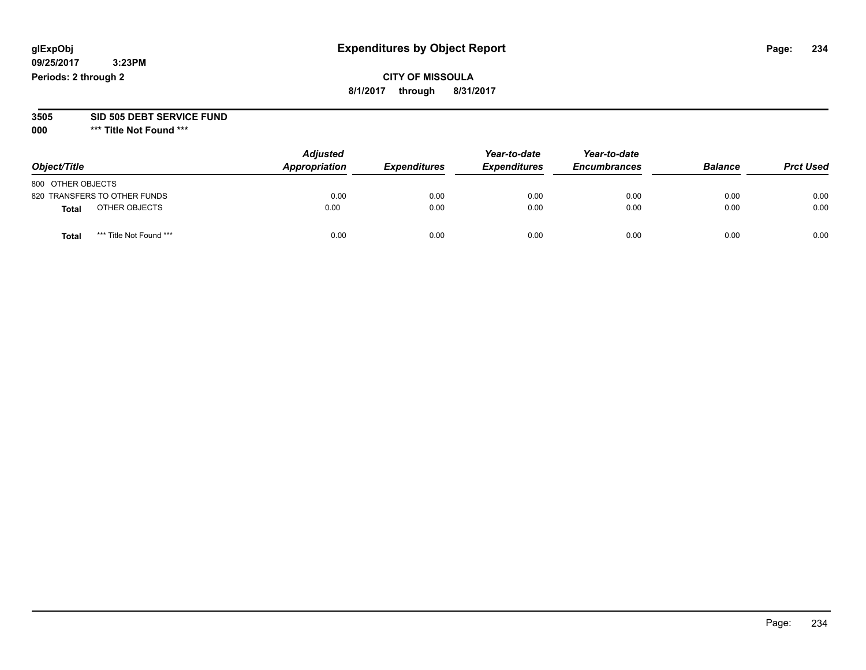# **CITY OF MISSOULA 8/1/2017 through 8/31/2017**

#### **3505 SID 505 DEBT SERVICE FUND**

| Object/Title                     | <b>Adjusted</b><br>Appropriation | <b>Expenditures</b> | Year-to-date<br><b>Expenditures</b> | Year-to-date<br><b>Encumbrances</b> | <b>Balance</b> | <b>Prct Used</b> |
|----------------------------------|----------------------------------|---------------------|-------------------------------------|-------------------------------------|----------------|------------------|
| 800 OTHER OBJECTS                |                                  |                     |                                     |                                     |                |                  |
| 820 TRANSFERS TO OTHER FUNDS     | 0.00                             | 0.00                | 0.00                                | 0.00                                | 0.00           | 0.00             |
| OTHER OBJECTS<br><b>Total</b>    | 0.00                             | 0.00                | 0.00                                | 0.00                                | 0.00           | 0.00             |
| *** Title Not Found ***<br>Total | 0.00                             | 0.00                | 0.00                                | 0.00                                | 0.00           | 0.00             |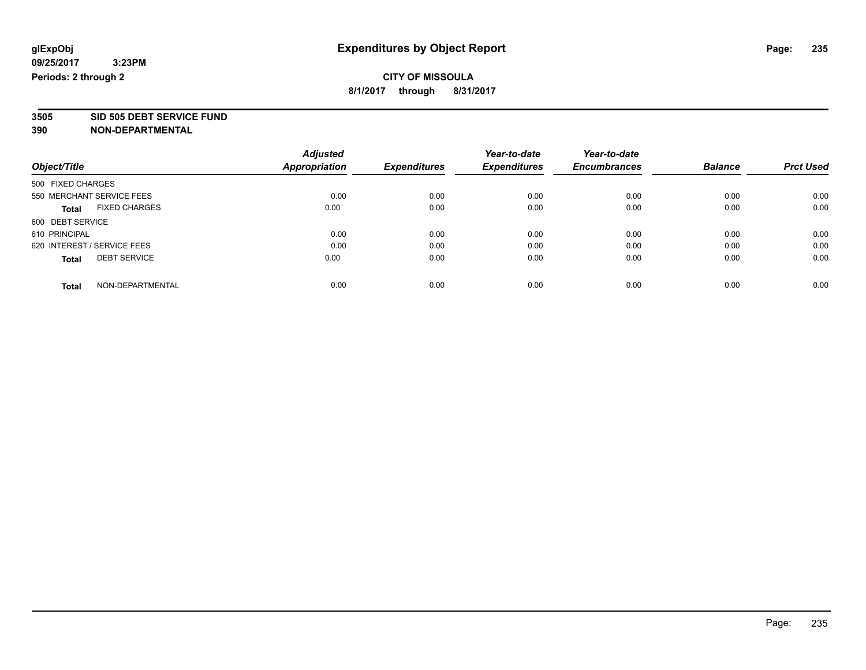**3505 SID 505 DEBT SERVICE FUND**

|                                      | <b>Adjusted</b>      |                     | Year-to-date        | Year-to-date        |                |                  |
|--------------------------------------|----------------------|---------------------|---------------------|---------------------|----------------|------------------|
| Object/Title                         | <b>Appropriation</b> | <b>Expenditures</b> | <b>Expenditures</b> | <b>Encumbrances</b> | <b>Balance</b> | <b>Prct Used</b> |
| 500 FIXED CHARGES                    |                      |                     |                     |                     |                |                  |
| 550 MERCHANT SERVICE FEES            | 0.00                 | 0.00                | 0.00                | 0.00                | 0.00           | 0.00             |
| <b>FIXED CHARGES</b><br><b>Total</b> | 0.00                 | 0.00                | 0.00                | 0.00                | 0.00           | 0.00             |
| 600 DEBT SERVICE                     |                      |                     |                     |                     |                |                  |
| 610 PRINCIPAL                        | 0.00                 | 0.00                | 0.00                | 0.00                | 0.00           | 0.00             |
| 620 INTEREST / SERVICE FEES          | 0.00                 | 0.00                | 0.00                | 0.00                | 0.00           | 0.00             |
| <b>DEBT SERVICE</b><br><b>Total</b>  | 0.00                 | 0.00                | 0.00                | 0.00                | 0.00           | 0.00             |
| NON-DEPARTMENTAL<br><b>Total</b>     | 0.00                 | 0.00                | 0.00                | 0.00                | 0.00           | 0.00             |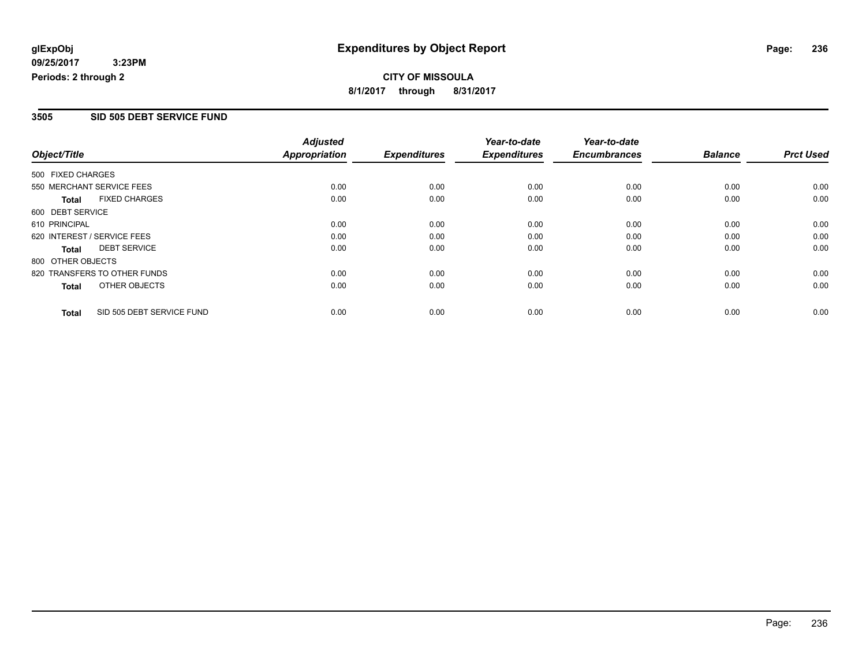**CITY OF MISSOULA 8/1/2017 through 8/31/2017**

### **3505 SID 505 DEBT SERVICE FUND**

|                                           | <b>Adjusted</b>      |                     | Year-to-date        | Year-to-date        |                |                  |
|-------------------------------------------|----------------------|---------------------|---------------------|---------------------|----------------|------------------|
| Object/Title                              | <b>Appropriation</b> | <b>Expenditures</b> | <b>Expenditures</b> | <b>Encumbrances</b> | <b>Balance</b> | <b>Prct Used</b> |
| 500 FIXED CHARGES                         |                      |                     |                     |                     |                |                  |
| 550 MERCHANT SERVICE FEES                 | 0.00                 | 0.00                | 0.00                | 0.00                | 0.00           | 0.00             |
| <b>FIXED CHARGES</b><br><b>Total</b>      | 0.00                 | 0.00                | 0.00                | 0.00                | 0.00           | 0.00             |
| 600 DEBT SERVICE                          |                      |                     |                     |                     |                |                  |
| 610 PRINCIPAL                             | 0.00                 | 0.00                | 0.00                | 0.00                | 0.00           | 0.00             |
| 620 INTEREST / SERVICE FEES               | 0.00                 | 0.00                | 0.00                | 0.00                | 0.00           | 0.00             |
| <b>DEBT SERVICE</b><br><b>Total</b>       | 0.00                 | 0.00                | 0.00                | 0.00                | 0.00           | 0.00             |
| 800 OTHER OBJECTS                         |                      |                     |                     |                     |                |                  |
| 820 TRANSFERS TO OTHER FUNDS              | 0.00                 | 0.00                | 0.00                | 0.00                | 0.00           | 0.00             |
| OTHER OBJECTS<br><b>Total</b>             | 0.00                 | 0.00                | 0.00                | 0.00                | 0.00           | 0.00             |
| SID 505 DEBT SERVICE FUND<br><b>Total</b> | 0.00                 | 0.00                | 0.00                | 0.00                | 0.00           | 0.00             |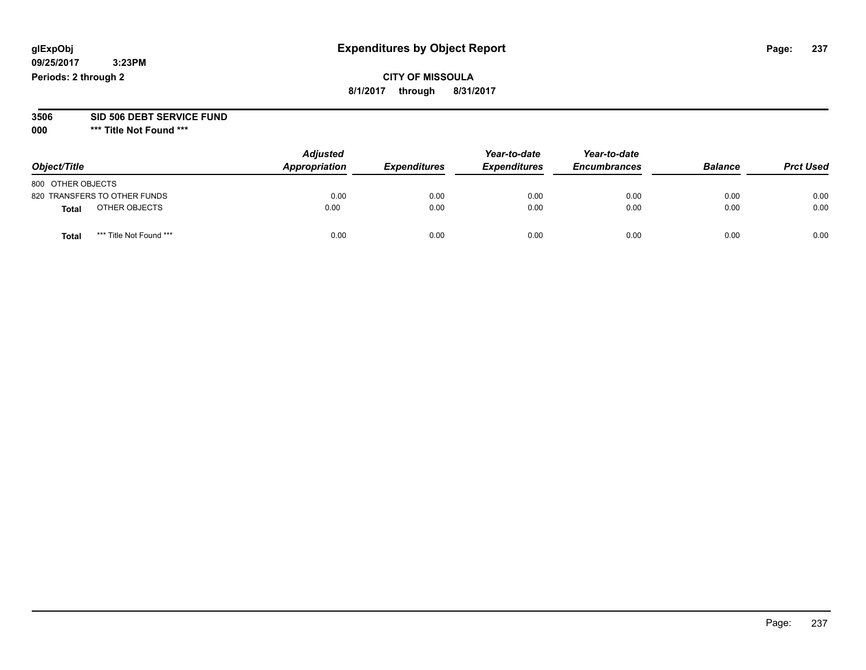# **CITY OF MISSOULA 8/1/2017 through 8/31/2017**

# **3506 SID 506 DEBT SERVICE FUND**

| Object/Title                     | <b>Adjusted</b><br>Appropriation | <b>Expenditures</b> | Year-to-date<br><b>Expenditures</b> | Year-to-date<br><b>Encumbrances</b> | <b>Balance</b> | <b>Prct Used</b> |
|----------------------------------|----------------------------------|---------------------|-------------------------------------|-------------------------------------|----------------|------------------|
| 800 OTHER OBJECTS                |                                  |                     |                                     |                                     |                |                  |
| 820 TRANSFERS TO OTHER FUNDS     | 0.00                             | 0.00                | 0.00                                | 0.00                                | 0.00           | 0.00             |
| OTHER OBJECTS<br><b>Total</b>    | 0.00                             | 0.00                | 0.00                                | 0.00                                | 0.00           | 0.00             |
| *** Title Not Found ***<br>Total | 0.00                             | 0.00                | 0.00                                | 0.00                                | 0.00           | 0.00             |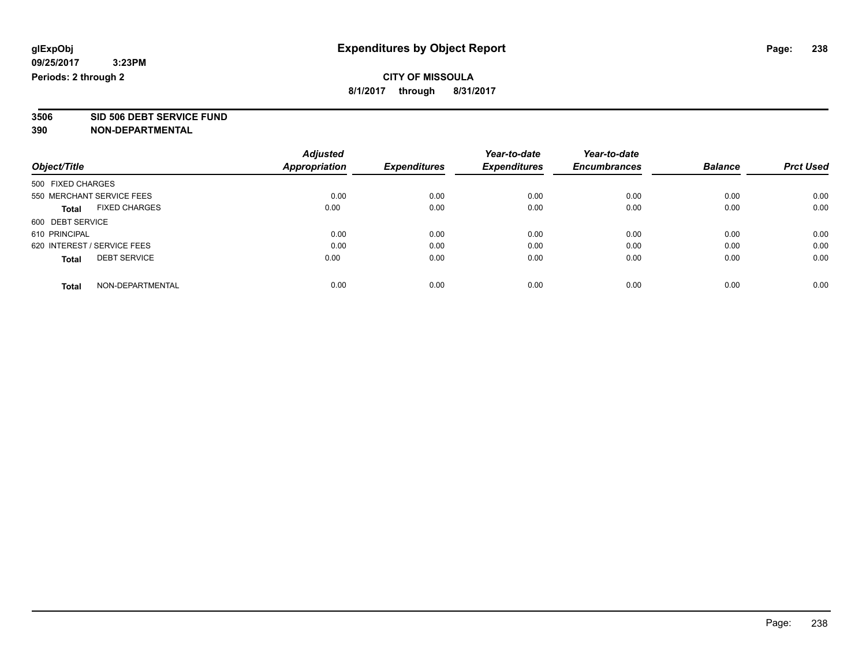**3506 SID 506 DEBT SERVICE FUND**

|                                      | <b>Adjusted</b>      |                     | Year-to-date        | Year-to-date        |                |                  |
|--------------------------------------|----------------------|---------------------|---------------------|---------------------|----------------|------------------|
| Object/Title                         | <b>Appropriation</b> | <b>Expenditures</b> | <b>Expenditures</b> | <b>Encumbrances</b> | <b>Balance</b> | <b>Prct Used</b> |
| 500 FIXED CHARGES                    |                      |                     |                     |                     |                |                  |
| 550 MERCHANT SERVICE FEES            | 0.00                 | 0.00                | 0.00                | 0.00                | 0.00           | 0.00             |
| <b>FIXED CHARGES</b><br><b>Total</b> | 0.00                 | 0.00                | 0.00                | 0.00                | 0.00           | 0.00             |
| 600 DEBT SERVICE                     |                      |                     |                     |                     |                |                  |
| 610 PRINCIPAL                        | 0.00                 | 0.00                | 0.00                | 0.00                | 0.00           | 0.00             |
| 620 INTEREST / SERVICE FEES          | 0.00                 | 0.00                | 0.00                | 0.00                | 0.00           | 0.00             |
| <b>DEBT SERVICE</b><br><b>Total</b>  | 0.00                 | 0.00                | 0.00                | 0.00                | 0.00           | 0.00             |
| NON-DEPARTMENTAL<br><b>Total</b>     | 0.00                 | 0.00                | 0.00                | 0.00                | 0.00           | 0.00             |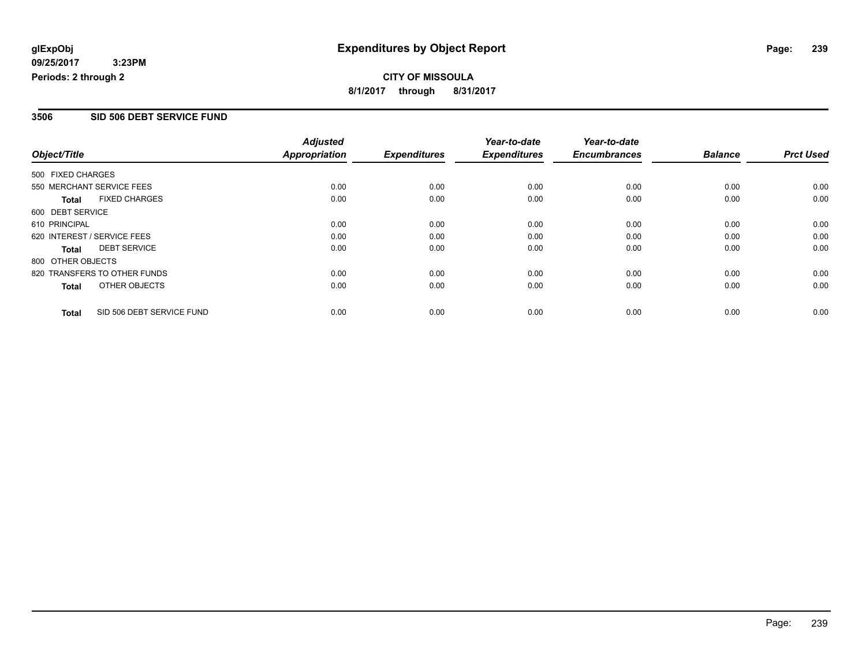**CITY OF MISSOULA 8/1/2017 through 8/31/2017**

### **3506 SID 506 DEBT SERVICE FUND**

|                                           | <b>Adjusted</b>      |                     | Year-to-date        | Year-to-date        |                |                  |
|-------------------------------------------|----------------------|---------------------|---------------------|---------------------|----------------|------------------|
| Object/Title                              | <b>Appropriation</b> | <b>Expenditures</b> | <b>Expenditures</b> | <b>Encumbrances</b> | <b>Balance</b> | <b>Prct Used</b> |
| 500 FIXED CHARGES                         |                      |                     |                     |                     |                |                  |
| 550 MERCHANT SERVICE FEES                 | 0.00                 | 0.00                | 0.00                | 0.00                | 0.00           | 0.00             |
| <b>FIXED CHARGES</b><br><b>Total</b>      | 0.00                 | 0.00                | 0.00                | 0.00                | 0.00           | 0.00             |
| 600 DEBT SERVICE                          |                      |                     |                     |                     |                |                  |
| 610 PRINCIPAL                             | 0.00                 | 0.00                | 0.00                | 0.00                | 0.00           | 0.00             |
| 620 INTEREST / SERVICE FEES               | 0.00                 | 0.00                | 0.00                | 0.00                | 0.00           | 0.00             |
| <b>DEBT SERVICE</b><br><b>Total</b>       | 0.00                 | 0.00                | 0.00                | 0.00                | 0.00           | 0.00             |
| 800 OTHER OBJECTS                         |                      |                     |                     |                     |                |                  |
| 820 TRANSFERS TO OTHER FUNDS              | 0.00                 | 0.00                | 0.00                | 0.00                | 0.00           | 0.00             |
| OTHER OBJECTS<br><b>Total</b>             | 0.00                 | 0.00                | 0.00                | 0.00                | 0.00           | 0.00             |
| SID 506 DEBT SERVICE FUND<br><b>Total</b> | 0.00                 | 0.00                | 0.00                | 0.00                | 0.00           | 0.00             |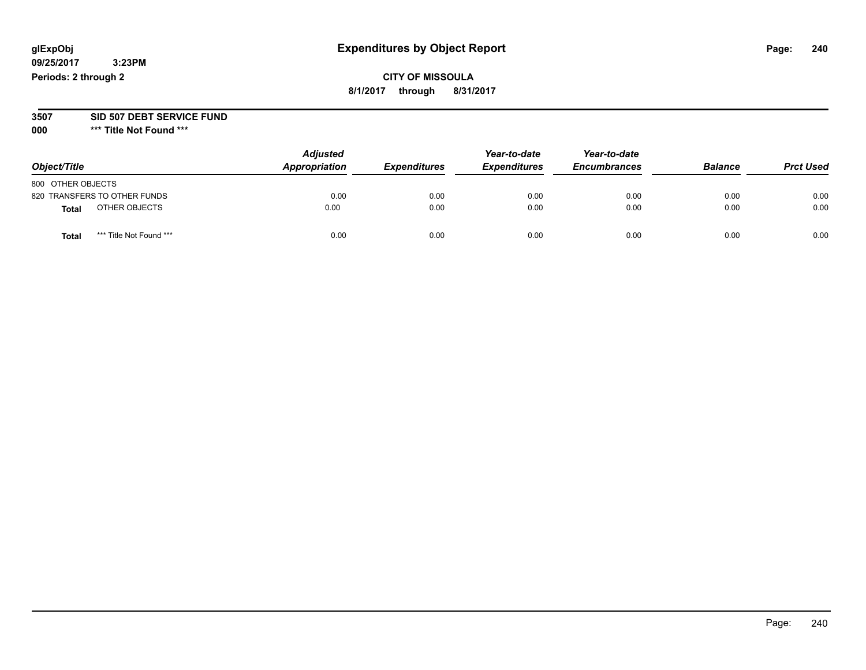# **CITY OF MISSOULA 8/1/2017 through 8/31/2017**

#### **3507 SID 507 DEBT SERVICE FUND**

| Object/Title                     | <b>Adjusted</b><br>Appropriation | <b>Expenditures</b> | Year-to-date<br><b>Expenditures</b> | Year-to-date<br><b>Encumbrances</b> | <b>Balance</b> | <b>Prct Used</b> |
|----------------------------------|----------------------------------|---------------------|-------------------------------------|-------------------------------------|----------------|------------------|
| 800 OTHER OBJECTS                |                                  |                     |                                     |                                     |                |                  |
| 820 TRANSFERS TO OTHER FUNDS     | 0.00                             | 0.00                | 0.00                                | 0.00                                | 0.00           | 0.00             |
| OTHER OBJECTS<br><b>Total</b>    | 0.00                             | 0.00                | 0.00                                | 0.00                                | 0.00           | 0.00             |
| *** Title Not Found ***<br>Total | 0.00                             | 0.00                | 0.00                                | 0.00                                | 0.00           | 0.00             |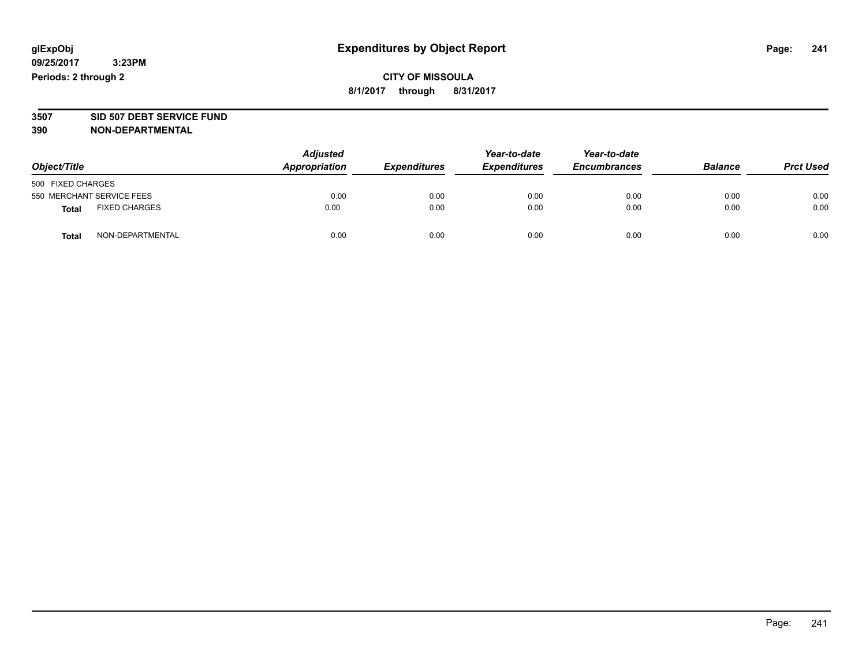# **CITY OF MISSOULA 8/1/2017 through 8/31/2017**

# **3507 SID 507 DEBT SERVICE FUND**

| Object/Title                         | <b>Adjusted</b><br>Appropriation | <b>Expenditures</b> | Year-to-date<br><b>Expenditures</b> | Year-to-date<br><b>Encumbrances</b> | <b>Balance</b> | <b>Prct Used</b> |
|--------------------------------------|----------------------------------|---------------------|-------------------------------------|-------------------------------------|----------------|------------------|
| 500 FIXED CHARGES                    |                                  |                     |                                     |                                     |                |                  |
| 550 MERCHANT SERVICE FEES            | 0.00                             | 0.00                | 0.00                                | 0.00                                | 0.00           | 0.00             |
| <b>FIXED CHARGES</b><br><b>Total</b> | 0.00                             | 0.00                | 0.00                                | 0.00                                | 0.00           | 0.00             |
| NON-DEPARTMENTAL<br>Total            | 0.00                             | 0.00                | 0.00                                | 0.00                                | 0.00           | 0.00             |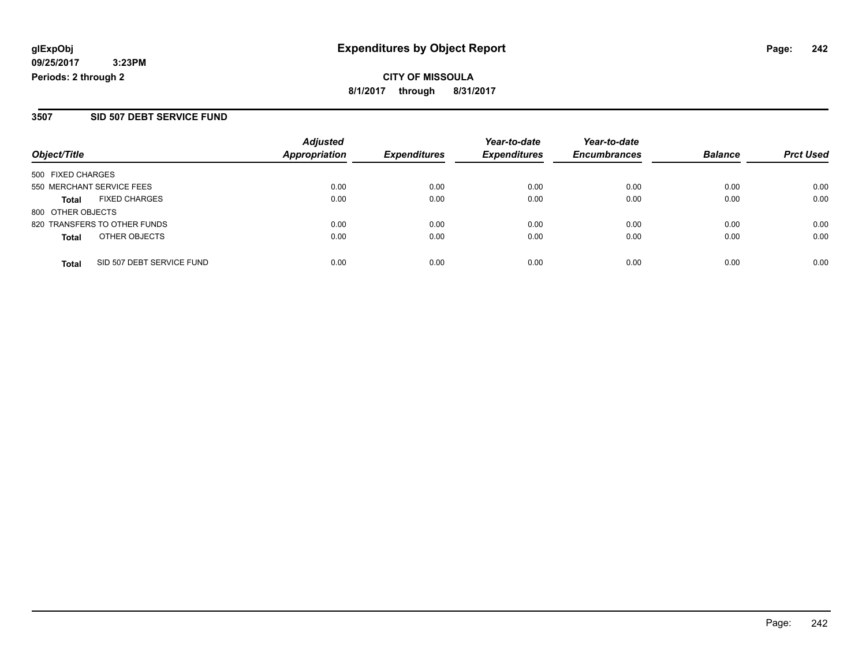**CITY OF MISSOULA 8/1/2017 through 8/31/2017**

### **3507 SID 507 DEBT SERVICE FUND**

|                              | <b>Adjusted</b> |               | Year-to-date        | Year-to-date        |                     | <b>Prct Used</b> |
|------------------------------|-----------------|---------------|---------------------|---------------------|---------------------|------------------|
|                              |                 |               |                     |                     |                     |                  |
| 500 FIXED CHARGES            |                 |               |                     |                     |                     |                  |
| 550 MERCHANT SERVICE FEES    | 0.00            | 0.00          | 0.00                | 0.00                | 0.00                | 0.00             |
| <b>FIXED CHARGES</b>         | 0.00            | 0.00          | 0.00                | 0.00                | 0.00                | 0.00             |
| 800 OTHER OBJECTS            |                 |               |                     |                     |                     |                  |
| 820 TRANSFERS TO OTHER FUNDS | 0.00            | 0.00          | 0.00                | 0.00                | 0.00                | 0.00             |
| OTHER OBJECTS                | 0.00            | 0.00          | 0.00                | 0.00                | 0.00                | 0.00             |
| SID 507 DEBT SERVICE FUND    | 0.00            | 0.00          | 0.00                | 0.00                | 0.00                | 0.00             |
|                              |                 | Appropriation | <b>Expenditures</b> | <b>Expenditures</b> | <b>Encumbrances</b> | <b>Balance</b>   |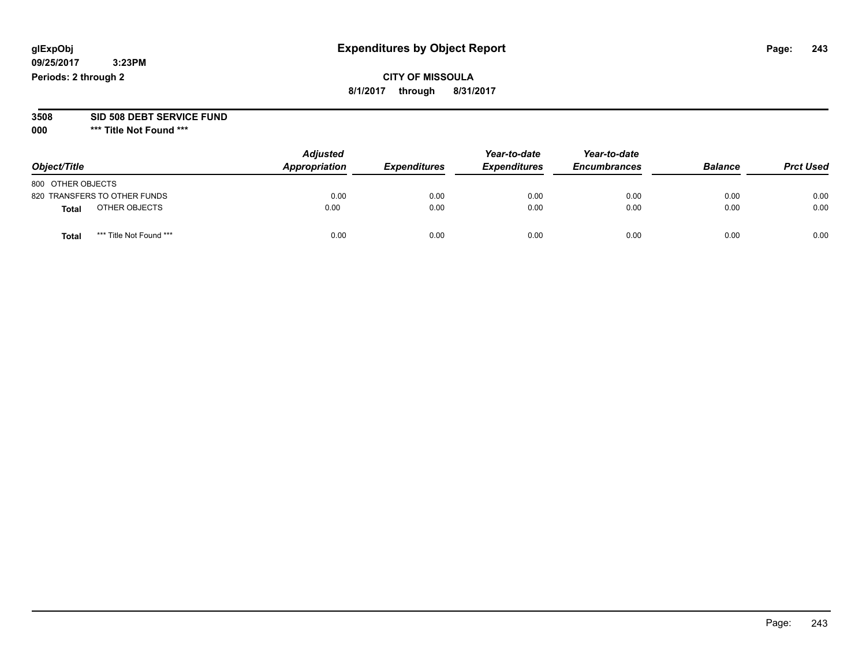# **CITY OF MISSOULA 8/1/2017 through 8/31/2017**

**3508 SID 508 DEBT SERVICE FUND**

| Object/Title                            | <b>Adjusted</b><br>Appropriation | <b>Expenditures</b> | Year-to-date<br><b>Expenditures</b> | Year-to-date<br><b>Encumbrances</b> | <b>Balance</b> | <b>Prct Used</b> |
|-----------------------------------------|----------------------------------|---------------------|-------------------------------------|-------------------------------------|----------------|------------------|
| 800 OTHER OBJECTS                       |                                  |                     |                                     |                                     |                |                  |
| 820 TRANSFERS TO OTHER FUNDS            | 0.00                             | 0.00                | 0.00                                | 0.00                                | 0.00           | 0.00             |
| OTHER OBJECTS<br>Total                  | 0.00                             | 0.00                | 0.00                                | 0.00                                | 0.00           | 0.00             |
| *** Title Not Found ***<br><b>Total</b> | 0.00                             | 0.00                | 0.00                                | 0.00                                | 0.00           | 0.00             |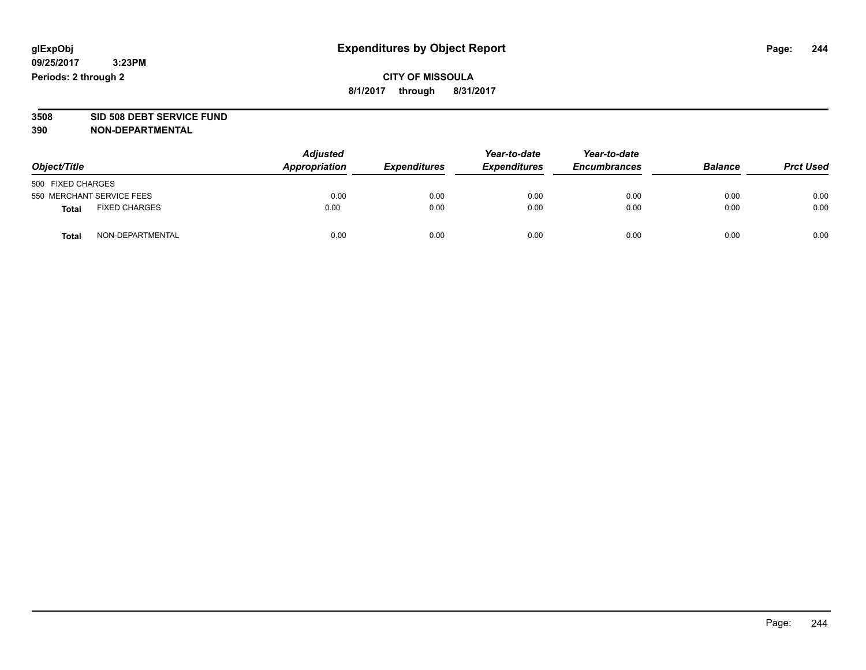# **CITY OF MISSOULA 8/1/2017 through 8/31/2017**

# **3508 SID 508 DEBT SERVICE FUND**

| Object/Title                         | <b>Adjusted</b><br>Appropriation | <b>Expenditures</b> | Year-to-date<br><b>Expenditures</b> | Year-to-date<br><b>Encumbrances</b> | <b>Balance</b> | <b>Prct Used</b> |
|--------------------------------------|----------------------------------|---------------------|-------------------------------------|-------------------------------------|----------------|------------------|
| 500 FIXED CHARGES                    |                                  |                     |                                     |                                     |                |                  |
| 550 MERCHANT SERVICE FEES            | 0.00                             | 0.00                | 0.00                                | 0.00                                | 0.00           | 0.00             |
| <b>FIXED CHARGES</b><br><b>Total</b> | 0.00                             | 0.00                | 0.00                                | 0.00                                | 0.00           | 0.00             |
| NON-DEPARTMENTAL<br>Total            | 0.00                             | 0.00                | 0.00                                | 0.00                                | 0.00           | 0.00             |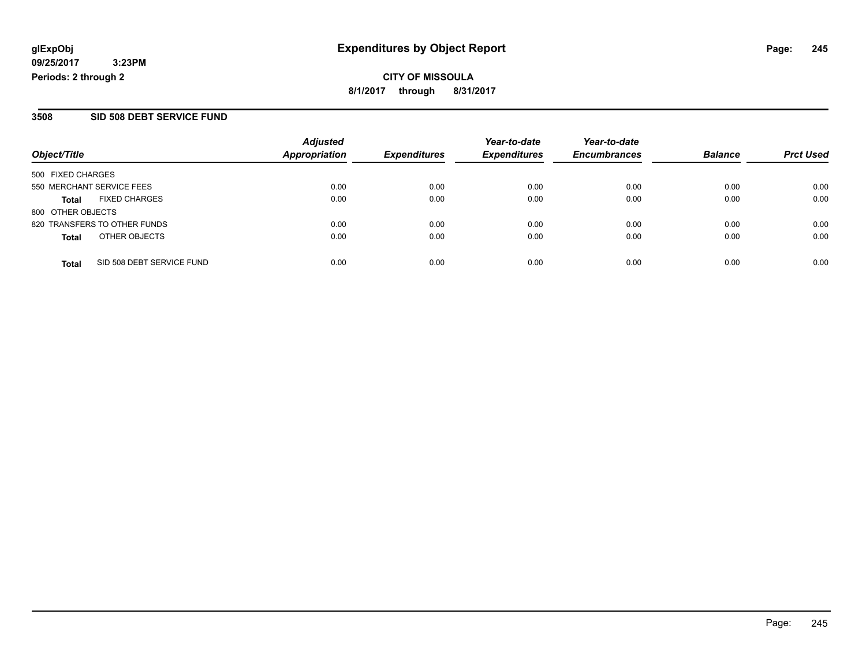**CITY OF MISSOULA 8/1/2017 through 8/31/2017**

### **3508 SID 508 DEBT SERVICE FUND**

| Object/Title                              | <b>Adjusted</b><br>Appropriation | <b>Expenditures</b> | Year-to-date<br><b>Expenditures</b> | Year-to-date<br><b>Encumbrances</b> | <b>Balance</b> | <b>Prct Used</b> |
|-------------------------------------------|----------------------------------|---------------------|-------------------------------------|-------------------------------------|----------------|------------------|
| 500 FIXED CHARGES                         |                                  |                     |                                     |                                     |                |                  |
| 550 MERCHANT SERVICE FEES                 | 0.00                             | 0.00                | 0.00                                | 0.00                                | 0.00           | 0.00             |
| <b>FIXED CHARGES</b><br>Total             | 0.00                             | 0.00                | 0.00                                | 0.00                                | 0.00           | 0.00             |
| 800 OTHER OBJECTS                         |                                  |                     |                                     |                                     |                |                  |
| 820 TRANSFERS TO OTHER FUNDS              | 0.00                             | 0.00                | 0.00                                | 0.00                                | 0.00           | 0.00             |
| OTHER OBJECTS<br><b>Total</b>             | 0.00                             | 0.00                | 0.00                                | 0.00                                | 0.00           | 0.00             |
| SID 508 DEBT SERVICE FUND<br><b>Total</b> | 0.00                             | 0.00                | 0.00                                | 0.00                                | 0.00           | 0.00             |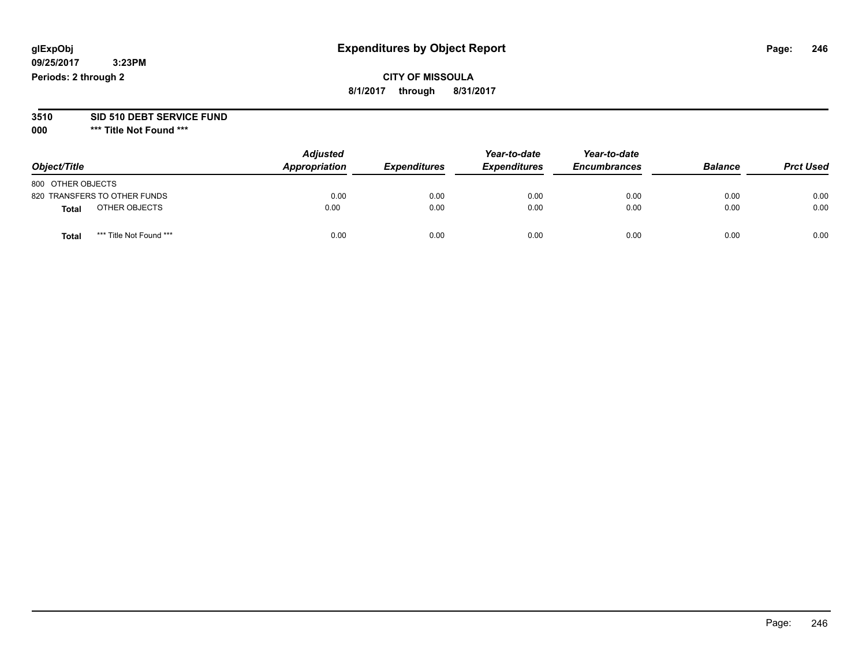# **CITY OF MISSOULA 8/1/2017 through 8/31/2017**

# **3510 SID 510 DEBT SERVICE FUND**

| Object/Title                     | <b>Adjusted</b><br>Appropriation | <b>Expenditures</b> | Year-to-date<br><b>Expenditures</b> | Year-to-date<br><b>Encumbrances</b> | <b>Balance</b> | <b>Prct Used</b> |
|----------------------------------|----------------------------------|---------------------|-------------------------------------|-------------------------------------|----------------|------------------|
| 800 OTHER OBJECTS                |                                  |                     |                                     |                                     |                |                  |
| 820 TRANSFERS TO OTHER FUNDS     | 0.00                             | 0.00                | 0.00                                | 0.00                                | 0.00           | 0.00             |
| OTHER OBJECTS<br><b>Total</b>    | 0.00                             | 0.00                | 0.00                                | 0.00                                | 0.00           | 0.00             |
| *** Title Not Found ***<br>Total | 0.00                             | 0.00                | 0.00                                | 0.00                                | 0.00           | 0.00             |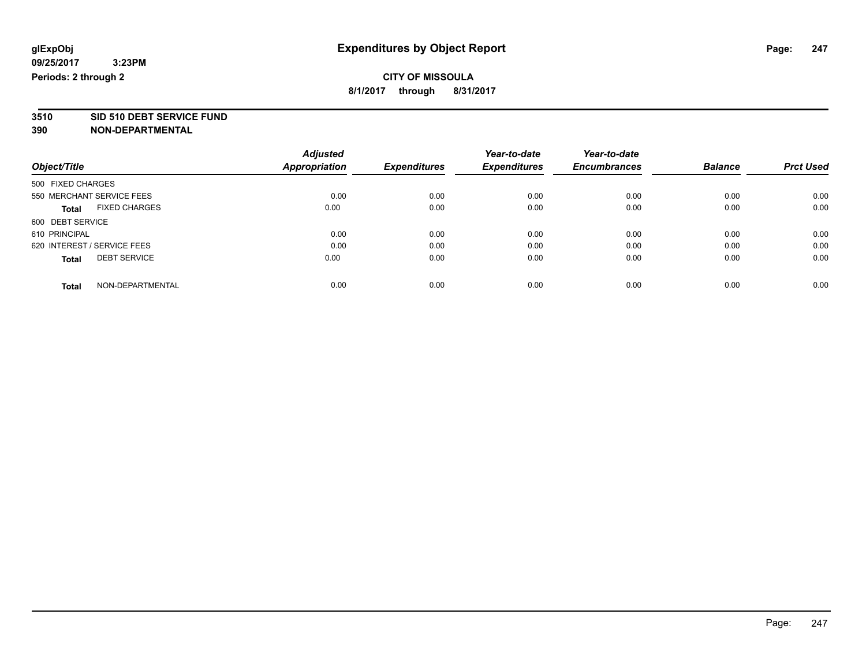**3510 SID 510 DEBT SERVICE FUND**

|                                      | <b>Adjusted</b> |                     | Year-to-date        | Year-to-date        |                |                  |
|--------------------------------------|-----------------|---------------------|---------------------|---------------------|----------------|------------------|
| Object/Title                         | Appropriation   | <b>Expenditures</b> | <b>Expenditures</b> | <b>Encumbrances</b> | <b>Balance</b> | <b>Prct Used</b> |
| 500 FIXED CHARGES                    |                 |                     |                     |                     |                |                  |
| 550 MERCHANT SERVICE FEES            | 0.00            | 0.00                | 0.00                | 0.00                | 0.00           | 0.00             |
| <b>FIXED CHARGES</b><br><b>Total</b> | 0.00            | 0.00                | 0.00                | 0.00                | 0.00           | 0.00             |
| 600 DEBT SERVICE                     |                 |                     |                     |                     |                |                  |
| 610 PRINCIPAL                        | 0.00            | 0.00                | 0.00                | 0.00                | 0.00           | 0.00             |
| 620 INTEREST / SERVICE FEES          | 0.00            | 0.00                | 0.00                | 0.00                | 0.00           | 0.00             |
| <b>DEBT SERVICE</b><br><b>Total</b>  | 0.00            | 0.00                | 0.00                | 0.00                | 0.00           | 0.00             |
| NON-DEPARTMENTAL<br><b>Total</b>     | 0.00            | 0.00                | 0.00                | 0.00                | 0.00           | 0.00             |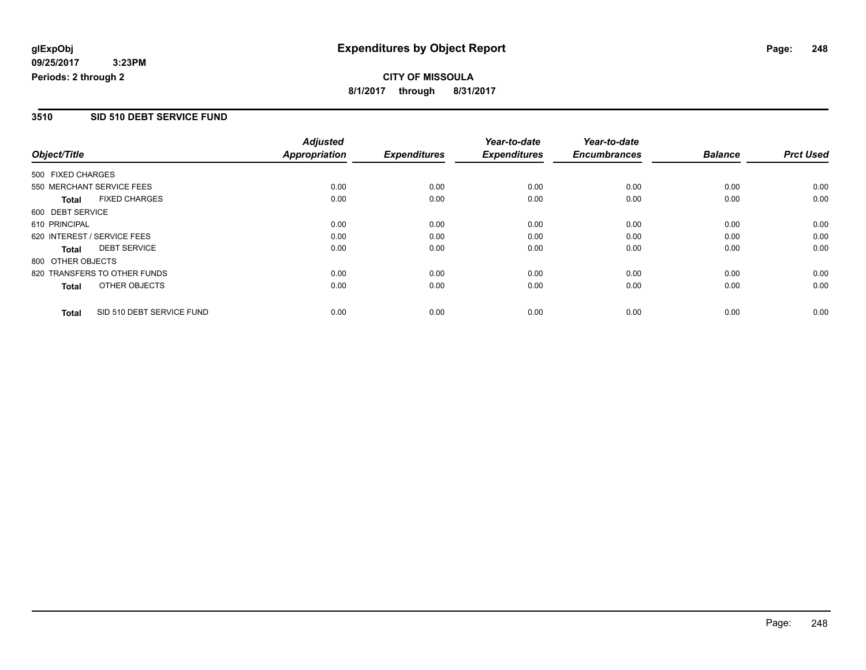# **CITY OF MISSOULA 8/1/2017 through 8/31/2017**

## **3510 SID 510 DEBT SERVICE FUND**

|                   |                              | <b>Adjusted</b>      |                     | Year-to-date        | Year-to-date        |                |                  |
|-------------------|------------------------------|----------------------|---------------------|---------------------|---------------------|----------------|------------------|
| Object/Title      |                              | <b>Appropriation</b> | <b>Expenditures</b> | <b>Expenditures</b> | <b>Encumbrances</b> | <b>Balance</b> | <b>Prct Used</b> |
| 500 FIXED CHARGES |                              |                      |                     |                     |                     |                |                  |
|                   | 550 MERCHANT SERVICE FEES    | 0.00                 | 0.00                | 0.00                | 0.00                | 0.00           | 0.00             |
| <b>Total</b>      | <b>FIXED CHARGES</b>         | 0.00                 | 0.00                | 0.00                | 0.00                | 0.00           | 0.00             |
| 600 DEBT SERVICE  |                              |                      |                     |                     |                     |                |                  |
| 610 PRINCIPAL     |                              | 0.00                 | 0.00                | 0.00                | 0.00                | 0.00           | 0.00             |
|                   | 620 INTEREST / SERVICE FEES  | 0.00                 | 0.00                | 0.00                | 0.00                | 0.00           | 0.00             |
| <b>Total</b>      | <b>DEBT SERVICE</b>          | 0.00                 | 0.00                | 0.00                | 0.00                | 0.00           | 0.00             |
| 800 OTHER OBJECTS |                              |                      |                     |                     |                     |                |                  |
|                   | 820 TRANSFERS TO OTHER FUNDS | 0.00                 | 0.00                | 0.00                | 0.00                | 0.00           | 0.00             |
| <b>Total</b>      | OTHER OBJECTS                | 0.00                 | 0.00                | 0.00                | 0.00                | 0.00           | 0.00             |
| <b>Total</b>      | SID 510 DEBT SERVICE FUND    | 0.00                 | 0.00                | 0.00                | 0.00                | 0.00           | 0.00             |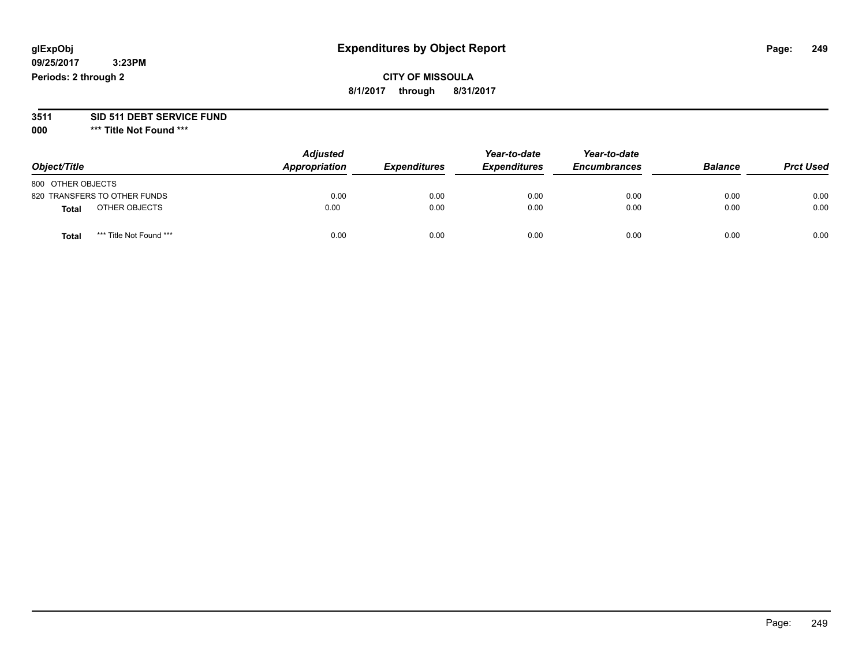# **CITY OF MISSOULA 8/1/2017 through 8/31/2017**

# **3511 SID 511 DEBT SERVICE FUND**

| Object/Title                            | <b>Adjusted</b><br>Appropriation | <b>Expenditures</b> | Year-to-date<br><b>Expenditures</b> | Year-to-date<br><b>Encumbrances</b> | <b>Balance</b> | <b>Prct Used</b> |
|-----------------------------------------|----------------------------------|---------------------|-------------------------------------|-------------------------------------|----------------|------------------|
| 800 OTHER OBJECTS                       |                                  |                     |                                     |                                     |                |                  |
| 820 TRANSFERS TO OTHER FUNDS            | 0.00                             | 0.00                | 0.00                                | 0.00                                | 0.00           | 0.00             |
| OTHER OBJECTS<br>Total                  | 0.00                             | 0.00                | 0.00                                | 0.00                                | 0.00           | 0.00             |
| *** Title Not Found ***<br><b>Total</b> | 0.00                             | 0.00                | 0.00                                | 0.00                                | 0.00           | 0.00             |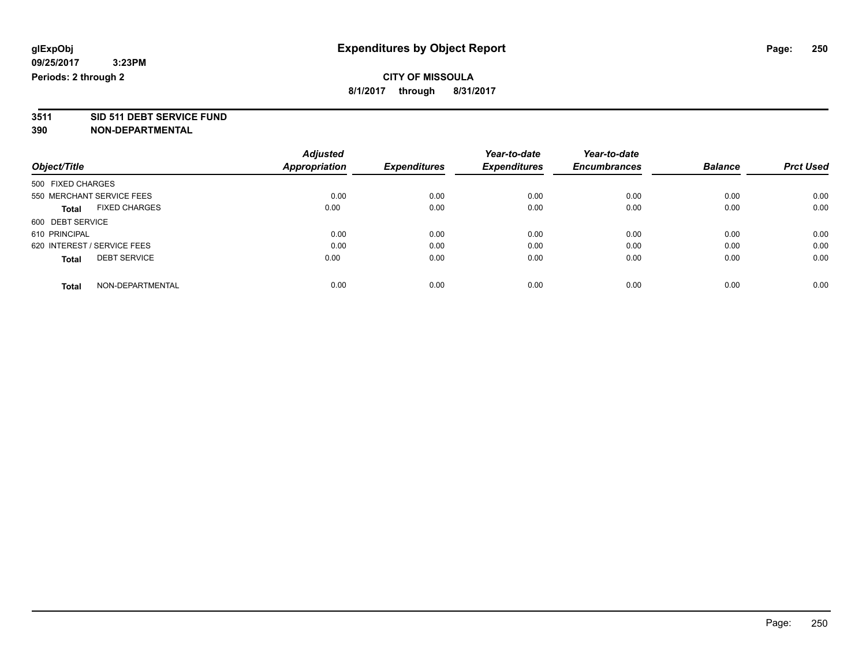**3511 SID 511 DEBT SERVICE FUND**

|                                      | <b>Adjusted</b> |                     | Year-to-date        | Year-to-date        |                |                  |
|--------------------------------------|-----------------|---------------------|---------------------|---------------------|----------------|------------------|
| Object/Title                         | Appropriation   | <b>Expenditures</b> | <b>Expenditures</b> | <b>Encumbrances</b> | <b>Balance</b> | <b>Prct Used</b> |
| 500 FIXED CHARGES                    |                 |                     |                     |                     |                |                  |
| 550 MERCHANT SERVICE FEES            | 0.00            | 0.00                | 0.00                | 0.00                | 0.00           | 0.00             |
| <b>FIXED CHARGES</b><br><b>Total</b> | 0.00            | 0.00                | 0.00                | 0.00                | 0.00           | 0.00             |
| 600 DEBT SERVICE                     |                 |                     |                     |                     |                |                  |
| 610 PRINCIPAL                        | 0.00            | 0.00                | 0.00                | 0.00                | 0.00           | 0.00             |
| 620 INTEREST / SERVICE FEES          | 0.00            | 0.00                | 0.00                | 0.00                | 0.00           | 0.00             |
| <b>DEBT SERVICE</b><br><b>Total</b>  | 0.00            | 0.00                | 0.00                | 0.00                | 0.00           | 0.00             |
| NON-DEPARTMENTAL<br><b>Total</b>     | 0.00            | 0.00                | 0.00                | 0.00                | 0.00           | 0.00             |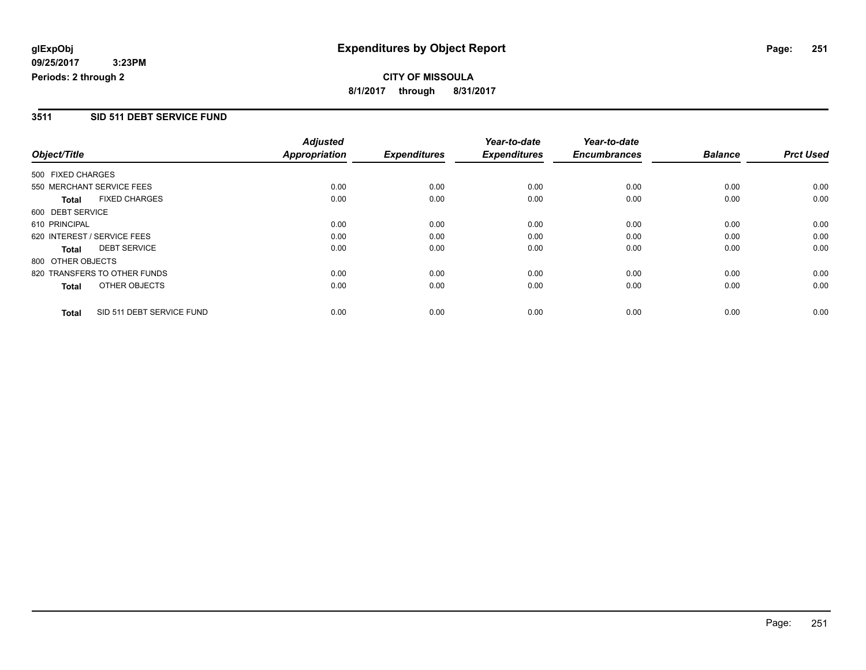# **CITY OF MISSOULA 8/1/2017 through 8/31/2017**

### **3511 SID 511 DEBT SERVICE FUND**

|                   |                              | <b>Adjusted</b> |                     | Year-to-date        | Year-to-date        |                |                  |
|-------------------|------------------------------|-----------------|---------------------|---------------------|---------------------|----------------|------------------|
| Object/Title      |                              | Appropriation   | <b>Expenditures</b> | <b>Expenditures</b> | <b>Encumbrances</b> | <b>Balance</b> | <b>Prct Used</b> |
| 500 FIXED CHARGES |                              |                 |                     |                     |                     |                |                  |
|                   | 550 MERCHANT SERVICE FEES    | 0.00            | 0.00                | 0.00                | 0.00                | 0.00           | 0.00             |
| Total             | <b>FIXED CHARGES</b>         | 0.00            | 0.00                | 0.00                | 0.00                | 0.00           | 0.00             |
| 600 DEBT SERVICE  |                              |                 |                     |                     |                     |                |                  |
| 610 PRINCIPAL     |                              | 0.00            | 0.00                | 0.00                | 0.00                | 0.00           | 0.00             |
|                   | 620 INTEREST / SERVICE FEES  | 0.00            | 0.00                | 0.00                | 0.00                | 0.00           | 0.00             |
| Total             | <b>DEBT SERVICE</b>          | 0.00            | 0.00                | 0.00                | 0.00                | 0.00           | 0.00             |
| 800 OTHER OBJECTS |                              |                 |                     |                     |                     |                |                  |
|                   | 820 TRANSFERS TO OTHER FUNDS | 0.00            | 0.00                | 0.00                | 0.00                | 0.00           | 0.00             |
| Total             | OTHER OBJECTS                | 0.00            | 0.00                | 0.00                | 0.00                | 0.00           | 0.00             |
| <b>Total</b>      | SID 511 DEBT SERVICE FUND    | 0.00            | 0.00                | 0.00                | 0.00                | 0.00           | 0.00             |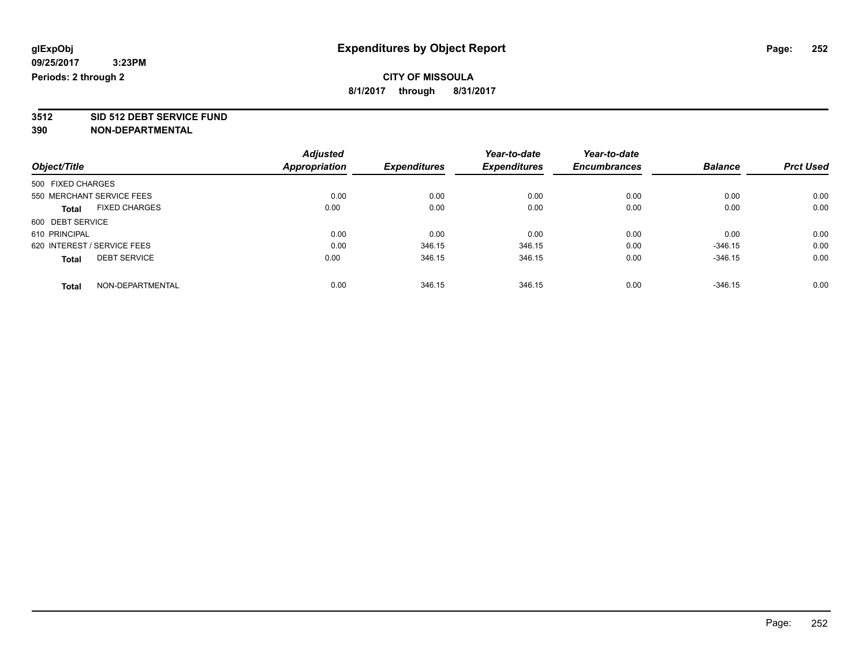**3512 SID 512 DEBT SERVICE FUND**

|                                      | <b>Adjusted</b> |                     | Year-to-date        | Year-to-date        |                |                  |
|--------------------------------------|-----------------|---------------------|---------------------|---------------------|----------------|------------------|
| Object/Title                         | Appropriation   | <b>Expenditures</b> | <b>Expenditures</b> | <b>Encumbrances</b> | <b>Balance</b> | <b>Prct Used</b> |
| 500 FIXED CHARGES                    |                 |                     |                     |                     |                |                  |
| 550 MERCHANT SERVICE FEES            | 0.00            | 0.00                | 0.00                | 0.00                | 0.00           | 0.00             |
| <b>FIXED CHARGES</b><br><b>Total</b> | 0.00            | 0.00                | 0.00                | 0.00                | 0.00           | 0.00             |
| 600 DEBT SERVICE                     |                 |                     |                     |                     |                |                  |
| 610 PRINCIPAL                        | 0.00            | 0.00                | 0.00                | 0.00                | 0.00           | 0.00             |
| 620 INTEREST / SERVICE FEES          | 0.00            | 346.15              | 346.15              | 0.00                | $-346.15$      | 0.00             |
| <b>DEBT SERVICE</b><br><b>Total</b>  | 0.00            | 346.15              | 346.15              | 0.00                | $-346.15$      | 0.00             |
| NON-DEPARTMENTAL<br><b>Total</b>     | 0.00            | 346.15              | 346.15              | 0.00                | $-346.15$      | 0.00             |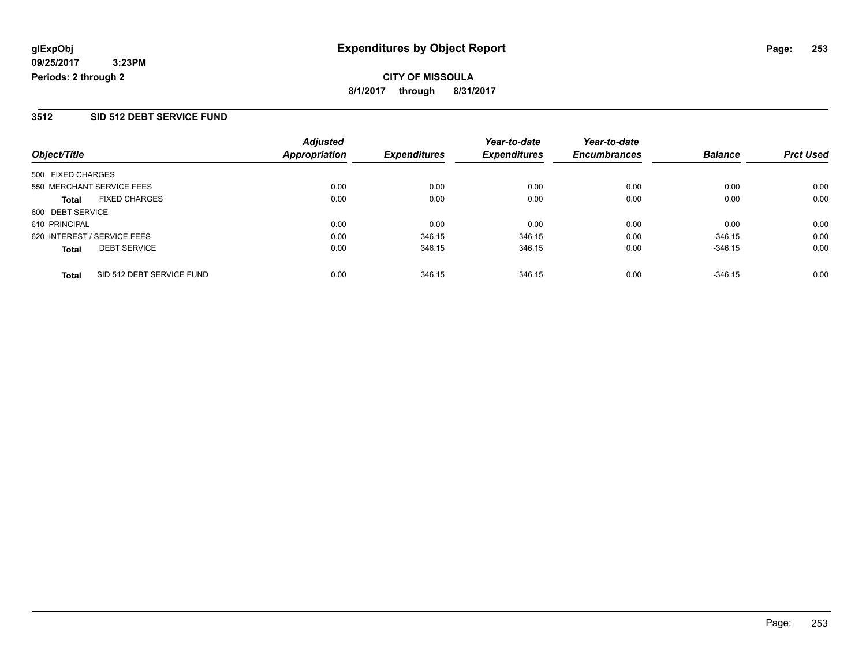#### **3512 SID 512 DEBT SERVICE FUND**

|                                           | <b>Adjusted</b>      |                     | Year-to-date        | Year-to-date        |                |                  |
|-------------------------------------------|----------------------|---------------------|---------------------|---------------------|----------------|------------------|
| Object/Title                              | <b>Appropriation</b> | <b>Expenditures</b> | <b>Expenditures</b> | <b>Encumbrances</b> | <b>Balance</b> | <b>Prct Used</b> |
| 500 FIXED CHARGES                         |                      |                     |                     |                     |                |                  |
| 550 MERCHANT SERVICE FEES                 | 0.00                 | 0.00                | 0.00                | 0.00                | 0.00           | 0.00             |
| <b>FIXED CHARGES</b><br><b>Total</b>      | 0.00                 | 0.00                | 0.00                | 0.00                | 0.00           | 0.00             |
| 600 DEBT SERVICE                          |                      |                     |                     |                     |                |                  |
| 610 PRINCIPAL                             | 0.00                 | 0.00                | 0.00                | 0.00                | 0.00           | 0.00             |
| 620 INTEREST / SERVICE FEES               | 0.00                 | 346.15              | 346.15              | 0.00                | $-346.15$      | 0.00             |
| <b>DEBT SERVICE</b><br><b>Total</b>       | 0.00                 | 346.15              | 346.15              | 0.00                | $-346.15$      | 0.00             |
| SID 512 DEBT SERVICE FUND<br><b>Total</b> | 0.00                 | 346.15              | 346.15              | 0.00                | $-346.15$      | 0.00             |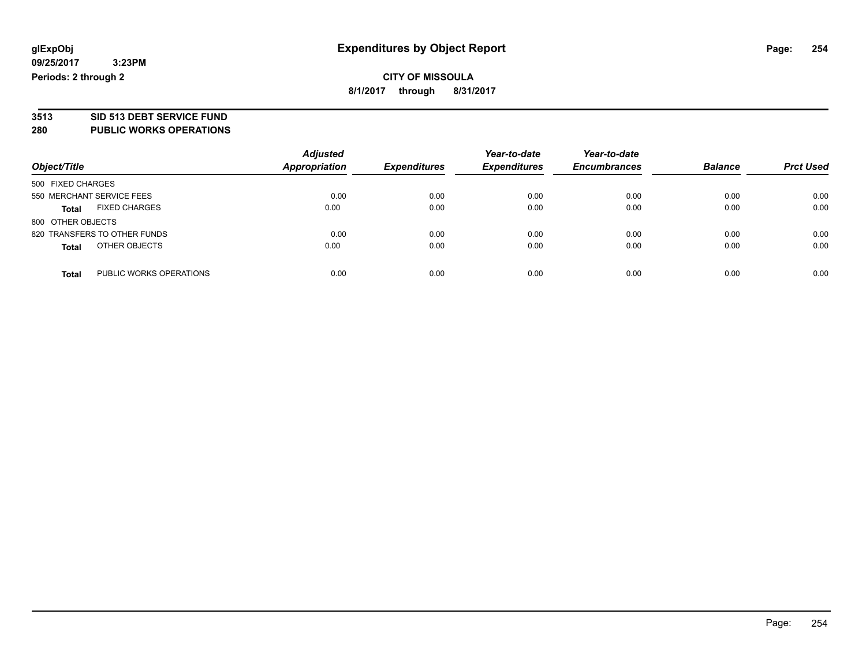# **3513 SID 513 DEBT SERVICE FUND**

**280 PUBLIC WORKS OPERATIONS**

| Object/Title                            | <b>Adjusted</b><br><b>Appropriation</b> | <b>Expenditures</b> | Year-to-date<br><b>Expenditures</b> | Year-to-date<br><b>Encumbrances</b> | <b>Balance</b> | <b>Prct Used</b> |
|-----------------------------------------|-----------------------------------------|---------------------|-------------------------------------|-------------------------------------|----------------|------------------|
| 500 FIXED CHARGES                       |                                         |                     |                                     |                                     |                |                  |
| 550 MERCHANT SERVICE FEES               | 0.00                                    | 0.00                | 0.00                                | 0.00                                | 0.00           | 0.00             |
| <b>FIXED CHARGES</b><br>Total           | 0.00                                    | 0.00                | 0.00                                | 0.00                                | 0.00           | 0.00             |
| 800 OTHER OBJECTS                       |                                         |                     |                                     |                                     |                |                  |
| 820 TRANSFERS TO OTHER FUNDS            | 0.00                                    | 0.00                | 0.00                                | 0.00                                | 0.00           | 0.00             |
| OTHER OBJECTS<br><b>Total</b>           | 0.00                                    | 0.00                | 0.00                                | 0.00                                | 0.00           | 0.00             |
| PUBLIC WORKS OPERATIONS<br><b>Total</b> | 0.00                                    | 0.00                | 0.00                                | 0.00                                | 0.00           | 0.00             |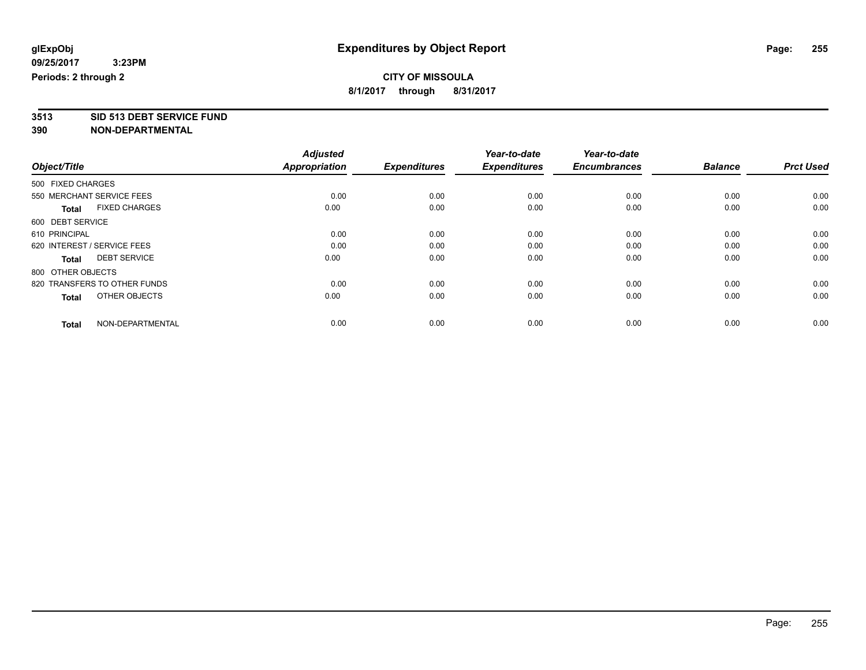**3513 SID 513 DEBT SERVICE FUND 390 NON-DEPARTMENTAL**

| Object/Title                         | <b>Adjusted</b><br><b>Appropriation</b> | <b>Expenditures</b> | Year-to-date<br><b>Expenditures</b> | Year-to-date<br><b>Encumbrances</b> | <b>Balance</b> | <b>Prct Used</b> |
|--------------------------------------|-----------------------------------------|---------------------|-------------------------------------|-------------------------------------|----------------|------------------|
|                                      |                                         |                     |                                     |                                     |                |                  |
| 500 FIXED CHARGES                    |                                         |                     |                                     |                                     |                |                  |
| 550 MERCHANT SERVICE FEES            | 0.00                                    | 0.00                | 0.00                                | 0.00                                | 0.00           | 0.00             |
| <b>FIXED CHARGES</b><br><b>Total</b> | 0.00                                    | 0.00                | 0.00                                | 0.00                                | 0.00           | 0.00             |
| 600 DEBT SERVICE                     |                                         |                     |                                     |                                     |                |                  |
| 610 PRINCIPAL                        | 0.00                                    | 0.00                | 0.00                                | 0.00                                | 0.00           | 0.00             |
| 620 INTEREST / SERVICE FEES          | 0.00                                    | 0.00                | 0.00                                | 0.00                                | 0.00           | 0.00             |
| <b>DEBT SERVICE</b><br><b>Total</b>  | 0.00                                    | 0.00                | 0.00                                | 0.00                                | 0.00           | 0.00             |
| 800 OTHER OBJECTS                    |                                         |                     |                                     |                                     |                |                  |
| 820 TRANSFERS TO OTHER FUNDS         | 0.00                                    | 0.00                | 0.00                                | 0.00                                | 0.00           | 0.00             |
| OTHER OBJECTS<br><b>Total</b>        | 0.00                                    | 0.00                | 0.00                                | 0.00                                | 0.00           | 0.00             |
|                                      |                                         |                     |                                     |                                     |                |                  |
| NON-DEPARTMENTAL<br><b>Total</b>     | 0.00                                    | 0.00                | 0.00                                | 0.00                                | 0.00           | 0.00             |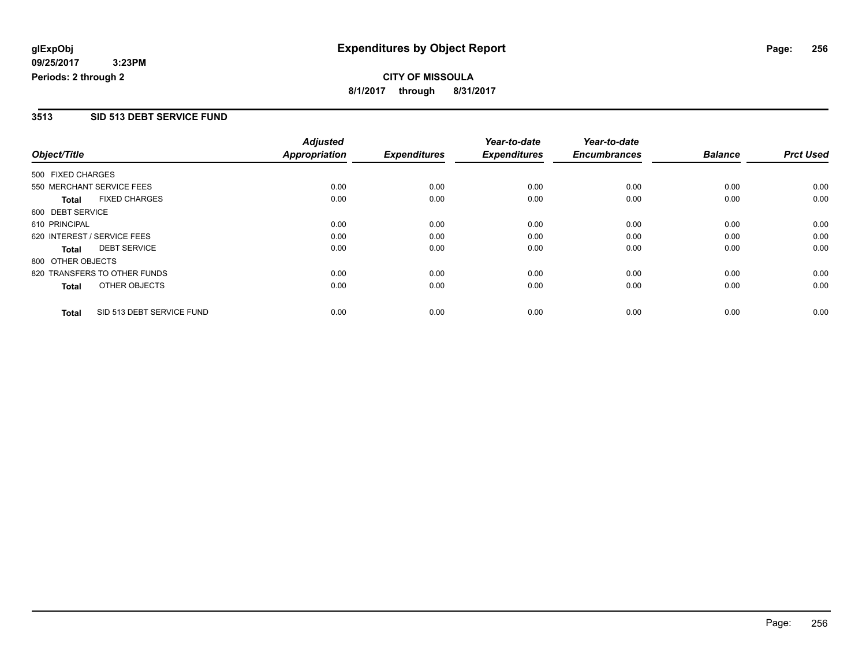# **CITY OF MISSOULA 8/1/2017 through 8/31/2017**

#### **3513 SID 513 DEBT SERVICE FUND**

|                   |                              | <b>Adjusted</b>      |                     | Year-to-date        | Year-to-date        |                |                  |
|-------------------|------------------------------|----------------------|---------------------|---------------------|---------------------|----------------|------------------|
| Object/Title      |                              | <b>Appropriation</b> | <b>Expenditures</b> | <b>Expenditures</b> | <b>Encumbrances</b> | <b>Balance</b> | <b>Prct Used</b> |
| 500 FIXED CHARGES |                              |                      |                     |                     |                     |                |                  |
|                   | 550 MERCHANT SERVICE FEES    | 0.00                 | 0.00                | 0.00                | 0.00                | 0.00           | 0.00             |
| <b>Total</b>      | <b>FIXED CHARGES</b>         | 0.00                 | 0.00                | 0.00                | 0.00                | 0.00           | 0.00             |
| 600 DEBT SERVICE  |                              |                      |                     |                     |                     |                |                  |
| 610 PRINCIPAL     |                              | 0.00                 | 0.00                | 0.00                | 0.00                | 0.00           | 0.00             |
|                   | 620 INTEREST / SERVICE FEES  | 0.00                 | 0.00                | 0.00                | 0.00                | 0.00           | 0.00             |
| Total             | <b>DEBT SERVICE</b>          | 0.00                 | 0.00                | 0.00                | 0.00                | 0.00           | 0.00             |
| 800 OTHER OBJECTS |                              |                      |                     |                     |                     |                |                  |
|                   | 820 TRANSFERS TO OTHER FUNDS | 0.00                 | 0.00                | 0.00                | 0.00                | 0.00           | 0.00             |
| <b>Total</b>      | OTHER OBJECTS                | 0.00                 | 0.00                | 0.00                | 0.00                | 0.00           | 0.00             |
| <b>Total</b>      | SID 513 DEBT SERVICE FUND    | 0.00                 | 0.00                | 0.00                | 0.00                | 0.00           | 0.00             |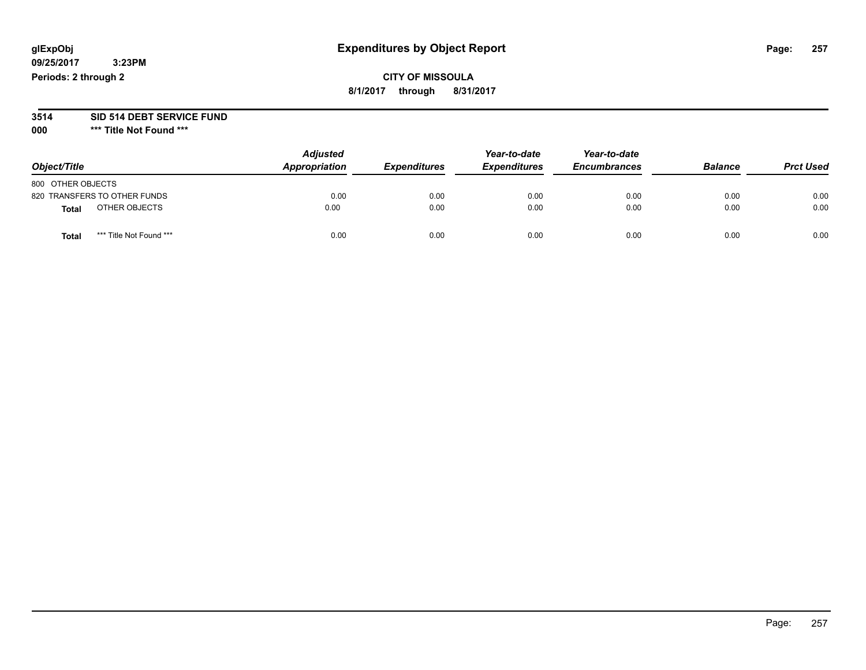# **CITY OF MISSOULA 8/1/2017 through 8/31/2017**

# **3514 SID 514 DEBT SERVICE FUND**

**000 \*\*\* Title Not Found \*\*\***

| Object/Title                            | <b>Adjusted</b><br>Appropriation | <b>Expenditures</b> | Year-to-date<br><b>Expenditures</b> | Year-to-date<br><b>Encumbrances</b> | <b>Balance</b> | <b>Prct Used</b> |
|-----------------------------------------|----------------------------------|---------------------|-------------------------------------|-------------------------------------|----------------|------------------|
| 800 OTHER OBJECTS                       |                                  |                     |                                     |                                     |                |                  |
| 820 TRANSFERS TO OTHER FUNDS            | 0.00                             | 0.00                | 0.00                                | 0.00                                | 0.00           | 0.00             |
| OTHER OBJECTS<br>Total                  | 0.00                             | 0.00                | 0.00                                | 0.00                                | 0.00           | 0.00             |
| *** Title Not Found ***<br><b>Total</b> | 0.00                             | 0.00                | 0.00                                | 0.00                                | 0.00           | 0.00             |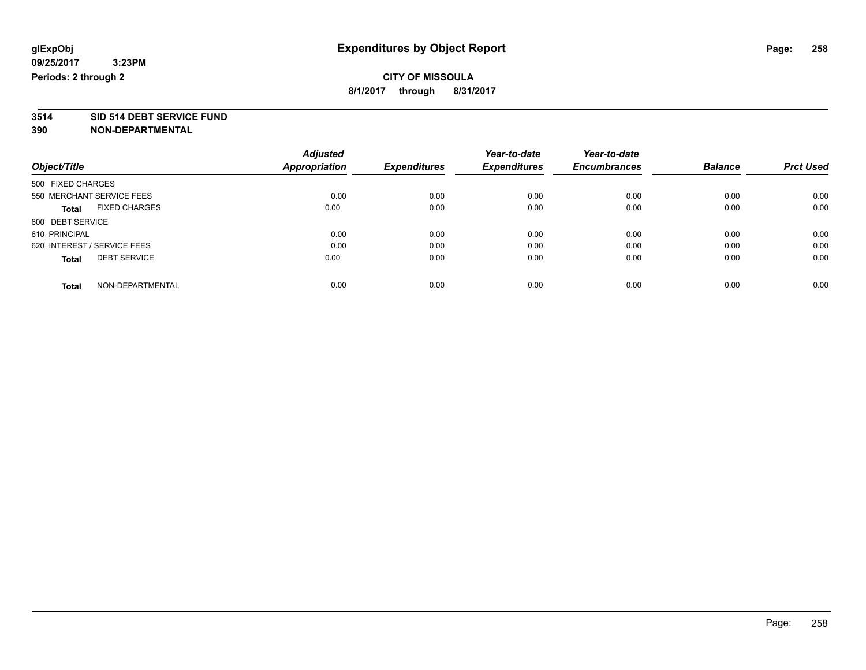# **3514 SID 514 DEBT SERVICE FUND**

| Object/Title                |                      | <b>Adjusted</b> |                     | Year-to-date        | Year-to-date<br><b>Encumbrances</b> | <b>Balance</b> | <b>Prct Used</b> |
|-----------------------------|----------------------|-----------------|---------------------|---------------------|-------------------------------------|----------------|------------------|
|                             |                      | Appropriation   | <b>Expenditures</b> | <b>Expenditures</b> |                                     |                |                  |
| 500 FIXED CHARGES           |                      |                 |                     |                     |                                     |                |                  |
| 550 MERCHANT SERVICE FEES   |                      | 0.00            | 0.00                | 0.00                | 0.00                                | 0.00           | 0.00             |
| Total                       | <b>FIXED CHARGES</b> | 0.00            | 0.00                | 0.00                | 0.00                                | 0.00           | 0.00             |
| 600 DEBT SERVICE            |                      |                 |                     |                     |                                     |                |                  |
| 610 PRINCIPAL               |                      | 0.00            | 0.00                | 0.00                | 0.00                                | 0.00           | 0.00             |
| 620 INTEREST / SERVICE FEES |                      | 0.00            | 0.00                | 0.00                | 0.00                                | 0.00           | 0.00             |
| <b>Total</b>                | <b>DEBT SERVICE</b>  | 0.00            | 0.00                | 0.00                | 0.00                                | 0.00           | 0.00             |
| <b>Total</b>                | NON-DEPARTMENTAL     | 0.00            | 0.00                | 0.00                | 0.00                                | 0.00           | 0.00             |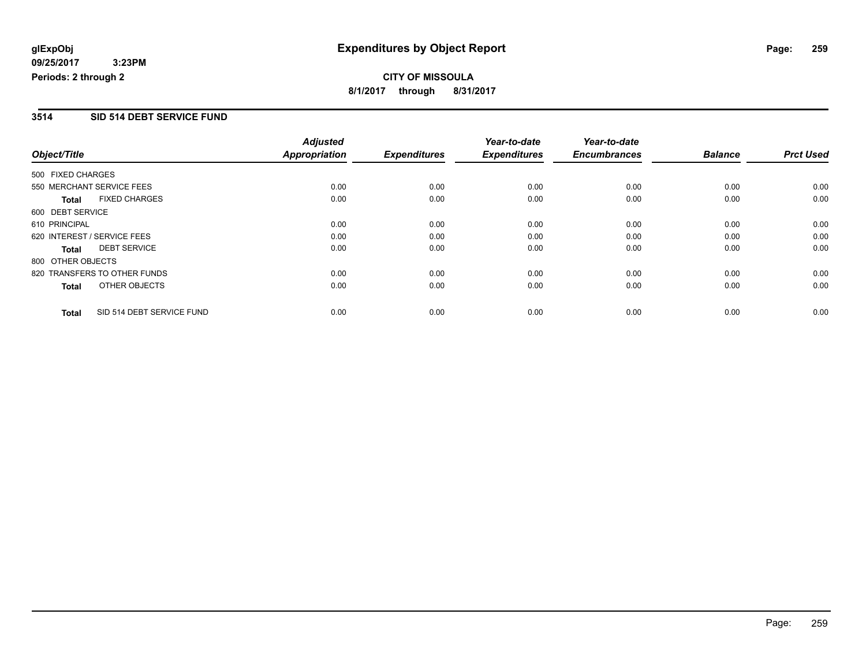# **CITY OF MISSOULA 8/1/2017 through 8/31/2017**

#### **3514 SID 514 DEBT SERVICE FUND**

|                   |                              | <b>Adjusted</b>      |                     | Year-to-date        | Year-to-date        |                |                  |
|-------------------|------------------------------|----------------------|---------------------|---------------------|---------------------|----------------|------------------|
| Object/Title      |                              | <b>Appropriation</b> | <b>Expenditures</b> | <b>Expenditures</b> | <b>Encumbrances</b> | <b>Balance</b> | <b>Prct Used</b> |
| 500 FIXED CHARGES |                              |                      |                     |                     |                     |                |                  |
|                   | 550 MERCHANT SERVICE FEES    | 0.00                 | 0.00                | 0.00                | 0.00                | 0.00           | 0.00             |
| <b>Total</b>      | <b>FIXED CHARGES</b>         | 0.00                 | 0.00                | 0.00                | 0.00                | 0.00           | 0.00             |
| 600 DEBT SERVICE  |                              |                      |                     |                     |                     |                |                  |
| 610 PRINCIPAL     |                              | 0.00                 | 0.00                | 0.00                | 0.00                | 0.00           | 0.00             |
|                   | 620 INTEREST / SERVICE FEES  | 0.00                 | 0.00                | 0.00                | 0.00                | 0.00           | 0.00             |
| Total             | <b>DEBT SERVICE</b>          | 0.00                 | 0.00                | 0.00                | 0.00                | 0.00           | 0.00             |
| 800 OTHER OBJECTS |                              |                      |                     |                     |                     |                |                  |
|                   | 820 TRANSFERS TO OTHER FUNDS | 0.00                 | 0.00                | 0.00                | 0.00                | 0.00           | 0.00             |
| <b>Total</b>      | OTHER OBJECTS                | 0.00                 | 0.00                | 0.00                | 0.00                | 0.00           | 0.00             |
| <b>Total</b>      | SID 514 DEBT SERVICE FUND    | 0.00                 | 0.00                | 0.00                | 0.00                | 0.00           | 0.00             |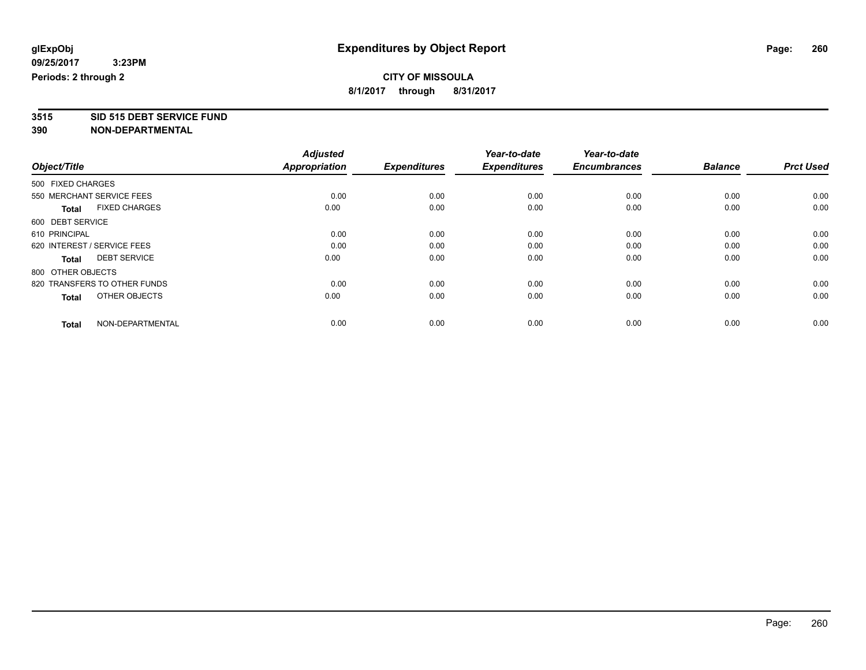**3515 SID 515 DEBT SERVICE FUND**

|                                      | <b>Adjusted</b> |                     | Year-to-date        | Year-to-date        |                |                  |
|--------------------------------------|-----------------|---------------------|---------------------|---------------------|----------------|------------------|
| Object/Title                         | Appropriation   | <b>Expenditures</b> | <b>Expenditures</b> | <b>Encumbrances</b> | <b>Balance</b> | <b>Prct Used</b> |
| 500 FIXED CHARGES                    |                 |                     |                     |                     |                |                  |
| 550 MERCHANT SERVICE FEES            | 0.00            | 0.00                | 0.00                | 0.00                | 0.00           | 0.00             |
| <b>FIXED CHARGES</b><br><b>Total</b> | 0.00            | 0.00                | 0.00                | 0.00                | 0.00           | 0.00             |
| 600 DEBT SERVICE                     |                 |                     |                     |                     |                |                  |
| 610 PRINCIPAL                        | 0.00            | 0.00                | 0.00                | 0.00                | 0.00           | 0.00             |
| 620 INTEREST / SERVICE FEES          | 0.00            | 0.00                | 0.00                | 0.00                | 0.00           | 0.00             |
| <b>DEBT SERVICE</b><br><b>Total</b>  | 0.00            | 0.00                | 0.00                | 0.00                | 0.00           | 0.00             |
| 800 OTHER OBJECTS                    |                 |                     |                     |                     |                |                  |
| 820 TRANSFERS TO OTHER FUNDS         | 0.00            | 0.00                | 0.00                | 0.00                | 0.00           | 0.00             |
| OTHER OBJECTS<br><b>Total</b>        | 0.00            | 0.00                | 0.00                | 0.00                | 0.00           | 0.00             |
|                                      |                 |                     |                     |                     |                |                  |
| NON-DEPARTMENTAL<br><b>Total</b>     | 0.00            | 0.00                | 0.00                | 0.00                | 0.00           | 0.00             |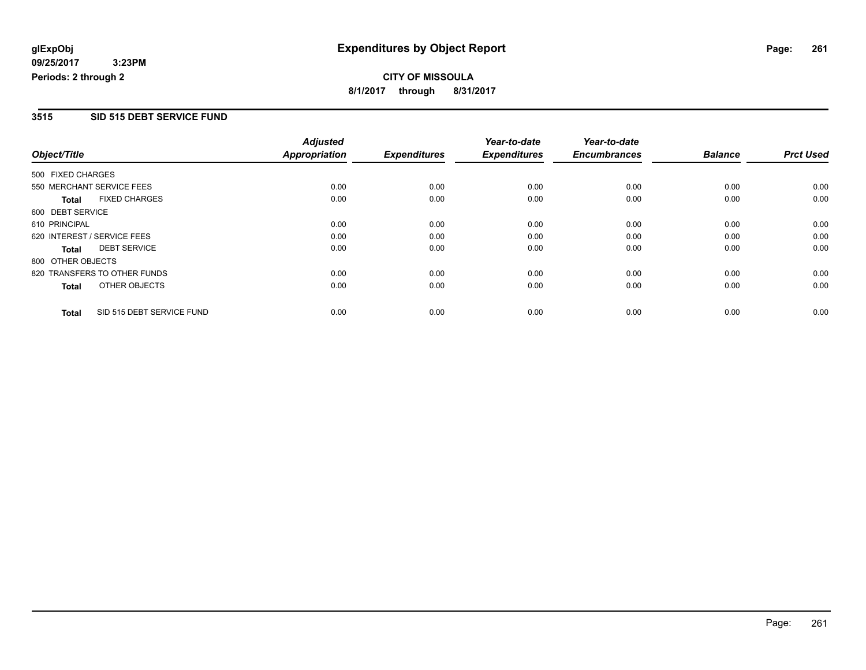# **CITY OF MISSOULA 8/1/2017 through 8/31/2017**

#### **3515 SID 515 DEBT SERVICE FUND**

|                   |                              | <b>Adjusted</b>      |                     | Year-to-date        | Year-to-date        |                |                  |
|-------------------|------------------------------|----------------------|---------------------|---------------------|---------------------|----------------|------------------|
| Object/Title      |                              | <b>Appropriation</b> | <b>Expenditures</b> | <b>Expenditures</b> | <b>Encumbrances</b> | <b>Balance</b> | <b>Prct Used</b> |
| 500 FIXED CHARGES |                              |                      |                     |                     |                     |                |                  |
|                   | 550 MERCHANT SERVICE FEES    | 0.00                 | 0.00                | 0.00                | 0.00                | 0.00           | 0.00             |
| <b>Total</b>      | <b>FIXED CHARGES</b>         | 0.00                 | 0.00                | 0.00                | 0.00                | 0.00           | 0.00             |
| 600 DEBT SERVICE  |                              |                      |                     |                     |                     |                |                  |
| 610 PRINCIPAL     |                              | 0.00                 | 0.00                | 0.00                | 0.00                | 0.00           | 0.00             |
|                   | 620 INTEREST / SERVICE FEES  | 0.00                 | 0.00                | 0.00                | 0.00                | 0.00           | 0.00             |
| Total             | <b>DEBT SERVICE</b>          | 0.00                 | 0.00                | 0.00                | 0.00                | 0.00           | 0.00             |
| 800 OTHER OBJECTS |                              |                      |                     |                     |                     |                |                  |
|                   | 820 TRANSFERS TO OTHER FUNDS | 0.00                 | 0.00                | 0.00                | 0.00                | 0.00           | 0.00             |
| <b>Total</b>      | OTHER OBJECTS                | 0.00                 | 0.00                | 0.00                | 0.00                | 0.00           | 0.00             |
| <b>Total</b>      | SID 515 DEBT SERVICE FUND    | 0.00                 | 0.00                | 0.00                | 0.00                | 0.00           | 0.00             |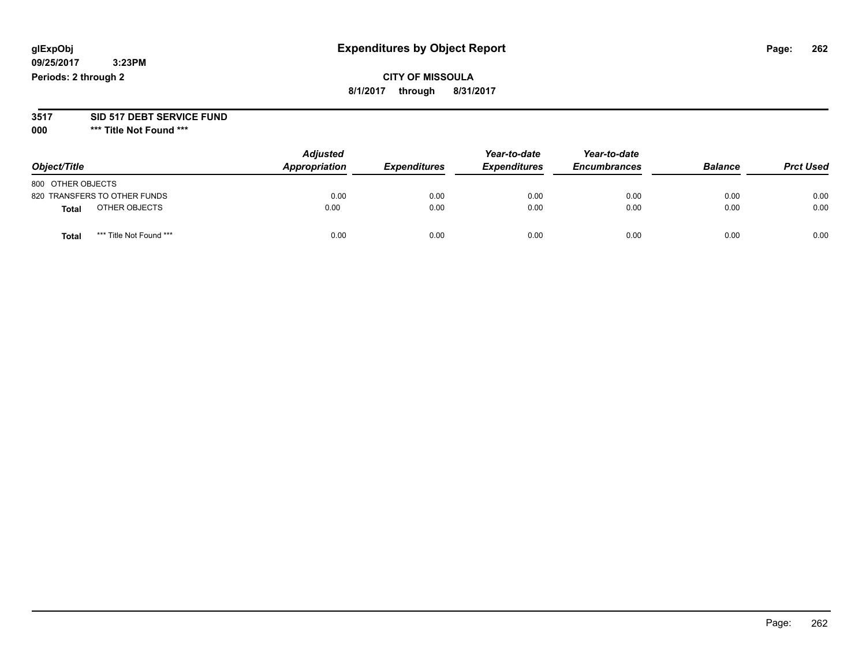# **CITY OF MISSOULA 8/1/2017 through 8/31/2017**

#### **3517 SID 517 DEBT SERVICE FUND**

**000 \*\*\* Title Not Found \*\*\***

| Object/Title                            | <b>Adjusted</b><br>Appropriation | <b>Expenditures</b> | Year-to-date<br><b>Expenditures</b> | Year-to-date<br><b>Encumbrances</b> | <b>Balance</b> | <b>Prct Used</b> |
|-----------------------------------------|----------------------------------|---------------------|-------------------------------------|-------------------------------------|----------------|------------------|
| 800 OTHER OBJECTS                       |                                  |                     |                                     |                                     |                |                  |
| 820 TRANSFERS TO OTHER FUNDS            | 0.00                             | 0.00                | 0.00                                | 0.00                                | 0.00           | 0.00             |
| OTHER OBJECTS<br>Total                  | 0.00                             | 0.00                | 0.00                                | 0.00                                | 0.00           | 0.00             |
| *** Title Not Found ***<br><b>Total</b> | 0.00                             | 0.00                | 0.00                                | 0.00                                | 0.00           | 0.00             |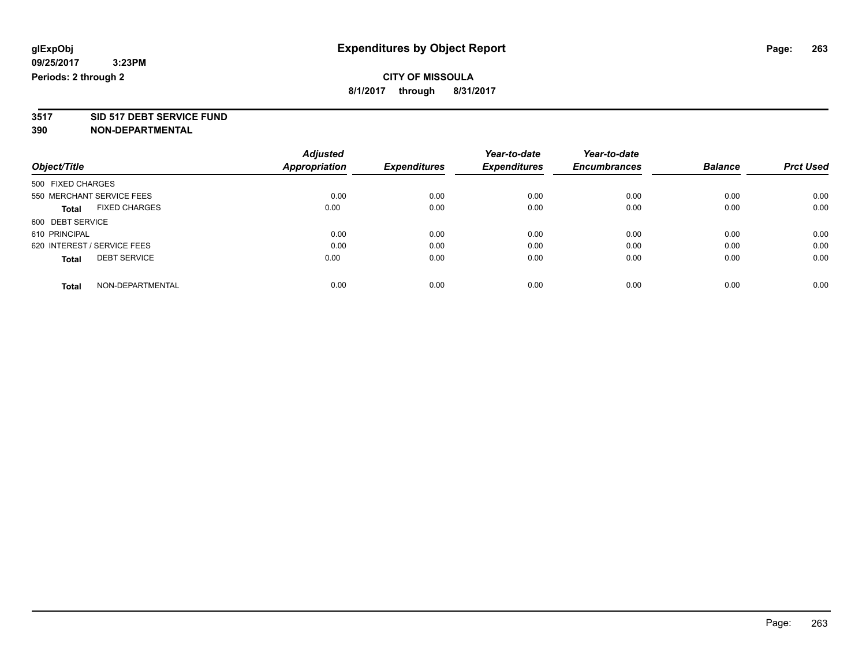**3517 SID 517 DEBT SERVICE FUND**

|                                      | <b>Adjusted</b>      |                     | Year-to-date        | Year-to-date        |                |                  |
|--------------------------------------|----------------------|---------------------|---------------------|---------------------|----------------|------------------|
| Object/Title                         | <b>Appropriation</b> | <b>Expenditures</b> | <b>Expenditures</b> | <b>Encumbrances</b> | <b>Balance</b> | <b>Prct Used</b> |
| 500 FIXED CHARGES                    |                      |                     |                     |                     |                |                  |
| 550 MERCHANT SERVICE FEES            | 0.00                 | 0.00                | 0.00                | 0.00                | 0.00           | 0.00             |
| <b>FIXED CHARGES</b><br><b>Total</b> | 0.00                 | 0.00                | 0.00                | 0.00                | 0.00           | 0.00             |
| 600 DEBT SERVICE                     |                      |                     |                     |                     |                |                  |
| 610 PRINCIPAL                        | 0.00                 | 0.00                | 0.00                | 0.00                | 0.00           | 0.00             |
| 620 INTEREST / SERVICE FEES          | 0.00                 | 0.00                | 0.00                | 0.00                | 0.00           | 0.00             |
| <b>DEBT SERVICE</b><br><b>Total</b>  | 0.00                 | 0.00                | 0.00                | 0.00                | 0.00           | 0.00             |
| NON-DEPARTMENTAL<br><b>Total</b>     | 0.00                 | 0.00                | 0.00                | 0.00                | 0.00           | 0.00             |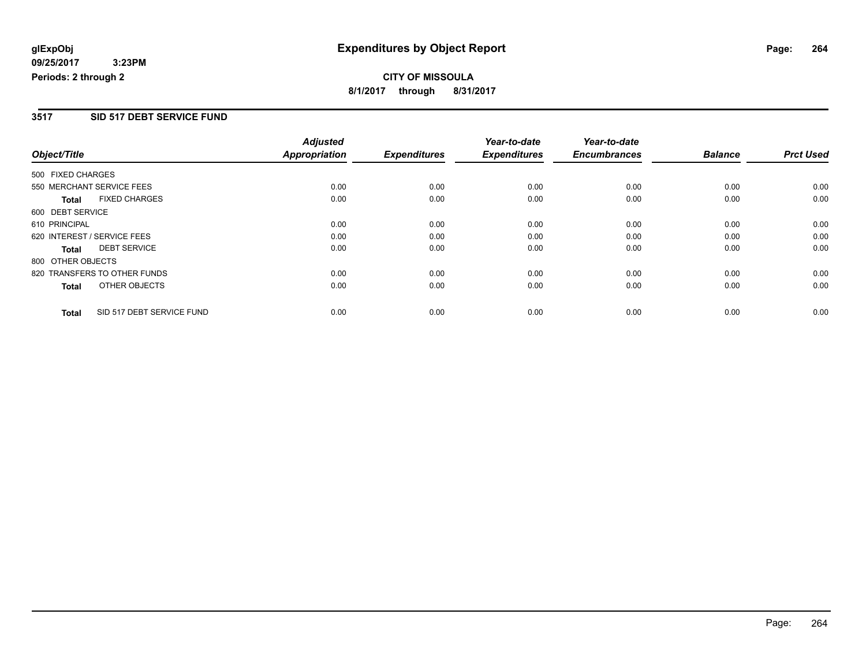**CITY OF MISSOULA 8/1/2017 through 8/31/2017**

#### **3517 SID 517 DEBT SERVICE FUND**

|                   |                              | <b>Adjusted</b>      |                     | Year-to-date        | Year-to-date        |                |                  |
|-------------------|------------------------------|----------------------|---------------------|---------------------|---------------------|----------------|------------------|
| Object/Title      |                              | <b>Appropriation</b> | <b>Expenditures</b> | <b>Expenditures</b> | <b>Encumbrances</b> | <b>Balance</b> | <b>Prct Used</b> |
| 500 FIXED CHARGES |                              |                      |                     |                     |                     |                |                  |
|                   | 550 MERCHANT SERVICE FEES    | 0.00                 | 0.00                | 0.00                | 0.00                | 0.00           | 0.00             |
| <b>Total</b>      | <b>FIXED CHARGES</b>         | 0.00                 | 0.00                | 0.00                | 0.00                | 0.00           | 0.00             |
| 600 DEBT SERVICE  |                              |                      |                     |                     |                     |                |                  |
| 610 PRINCIPAL     |                              | 0.00                 | 0.00                | 0.00                | 0.00                | 0.00           | 0.00             |
|                   | 620 INTEREST / SERVICE FEES  | 0.00                 | 0.00                | 0.00                | 0.00                | 0.00           | 0.00             |
| Total             | <b>DEBT SERVICE</b>          | 0.00                 | 0.00                | 0.00                | 0.00                | 0.00           | 0.00             |
| 800 OTHER OBJECTS |                              |                      |                     |                     |                     |                |                  |
|                   | 820 TRANSFERS TO OTHER FUNDS | 0.00                 | 0.00                | 0.00                | 0.00                | 0.00           | 0.00             |
| Total             | OTHER OBJECTS                | 0.00                 | 0.00                | 0.00                | 0.00                | 0.00           | 0.00             |
| <b>Total</b>      | SID 517 DEBT SERVICE FUND    | 0.00                 | 0.00                | 0.00                | 0.00                | 0.00           | 0.00             |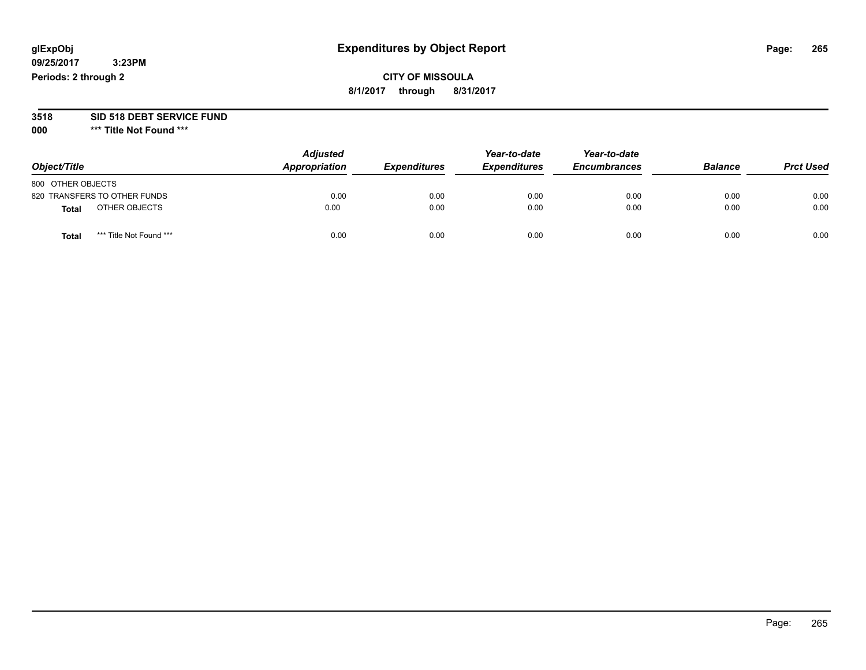# **CITY OF MISSOULA 8/1/2017 through 8/31/2017**

# **3518 SID 518 DEBT SERVICE FUND**

**000 \*\*\* Title Not Found \*\*\***

|                                  | <b>Adjusted</b> |                     | Year-to-date        | Year-to-date        |                |                  |
|----------------------------------|-----------------|---------------------|---------------------|---------------------|----------------|------------------|
| Object/Title                     | Appropriation   | <b>Expenditures</b> | <b>Expenditures</b> | <b>Encumbrances</b> | <b>Balance</b> | <b>Prct Used</b> |
| 800 OTHER OBJECTS                |                 |                     |                     |                     |                |                  |
| 820 TRANSFERS TO OTHER FUNDS     | 0.00            | 0.00                | 0.00                | 0.00                | 0.00           | 0.00             |
| OTHER OBJECTS<br><b>Total</b>    | 0.00            | 0.00                | 0.00                | 0.00                | 0.00           | 0.00             |
| *** Title Not Found ***<br>Total | 0.00            | 0.00                | 0.00                | 0.00                | 0.00           | 0.00             |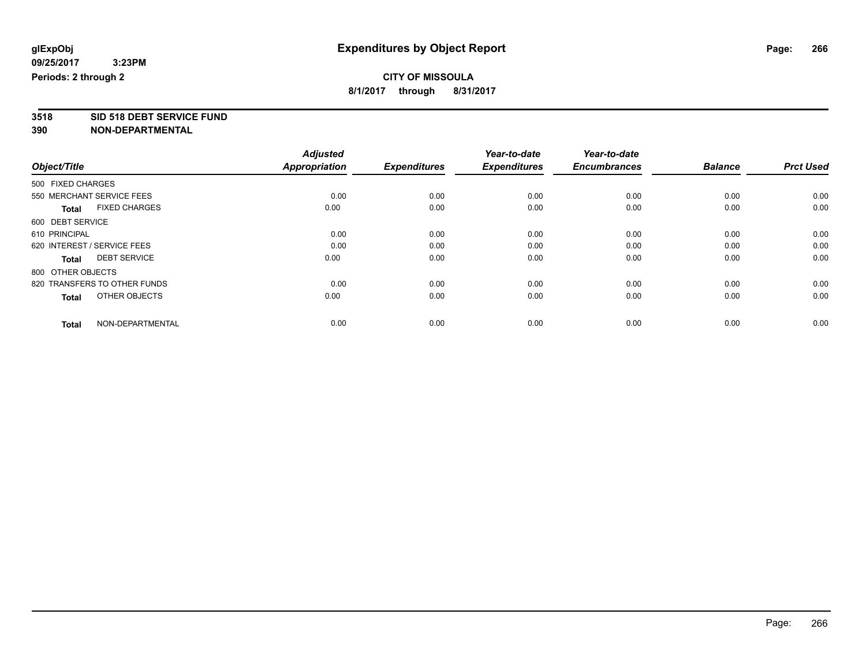**3518 SID 518 DEBT SERVICE FUND 390 NON-DEPARTMENTAL**

| Object/Title                         | <b>Adjusted</b><br><b>Appropriation</b> | <b>Expenditures</b> | Year-to-date<br><b>Expenditures</b> | Year-to-date<br><b>Encumbrances</b> | <b>Balance</b> | <b>Prct Used</b> |
|--------------------------------------|-----------------------------------------|---------------------|-------------------------------------|-------------------------------------|----------------|------------------|
|                                      |                                         |                     |                                     |                                     |                |                  |
| 500 FIXED CHARGES                    |                                         |                     |                                     |                                     |                |                  |
| 550 MERCHANT SERVICE FEES            | 0.00                                    | 0.00                | 0.00                                | 0.00                                | 0.00           | 0.00             |
| <b>FIXED CHARGES</b><br><b>Total</b> | 0.00                                    | 0.00                | 0.00                                | 0.00                                | 0.00           | 0.00             |
| 600 DEBT SERVICE                     |                                         |                     |                                     |                                     |                |                  |
| 610 PRINCIPAL                        | 0.00                                    | 0.00                | 0.00                                | 0.00                                | 0.00           | 0.00             |
| 620 INTEREST / SERVICE FEES          | 0.00                                    | 0.00                | 0.00                                | 0.00                                | 0.00           | 0.00             |
| <b>DEBT SERVICE</b><br><b>Total</b>  | 0.00                                    | 0.00                | 0.00                                | 0.00                                | 0.00           | 0.00             |
| 800 OTHER OBJECTS                    |                                         |                     |                                     |                                     |                |                  |
| 820 TRANSFERS TO OTHER FUNDS         | 0.00                                    | 0.00                | 0.00                                | 0.00                                | 0.00           | 0.00             |
| OTHER OBJECTS<br><b>Total</b>        | 0.00                                    | 0.00                | 0.00                                | 0.00                                | 0.00           | 0.00             |
|                                      |                                         |                     |                                     |                                     |                |                  |
| NON-DEPARTMENTAL<br><b>Total</b>     | 0.00                                    | 0.00                | 0.00                                | 0.00                                | 0.00           | 0.00             |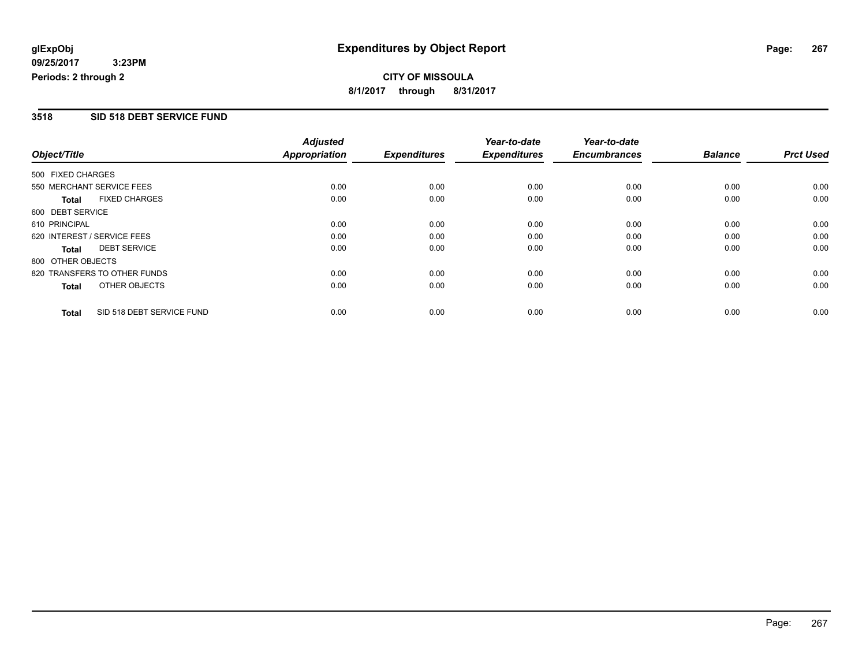# **CITY OF MISSOULA 8/1/2017 through 8/31/2017**

#### **3518 SID 518 DEBT SERVICE FUND**

|                   |                              | <b>Adjusted</b>      |                     | Year-to-date        | Year-to-date        |                |                  |
|-------------------|------------------------------|----------------------|---------------------|---------------------|---------------------|----------------|------------------|
| Object/Title      |                              | <b>Appropriation</b> | <b>Expenditures</b> | <b>Expenditures</b> | <b>Encumbrances</b> | <b>Balance</b> | <b>Prct Used</b> |
| 500 FIXED CHARGES |                              |                      |                     |                     |                     |                |                  |
|                   | 550 MERCHANT SERVICE FEES    | 0.00                 | 0.00                | 0.00                | 0.00                | 0.00           | 0.00             |
| <b>Total</b>      | <b>FIXED CHARGES</b>         | 0.00                 | 0.00                | 0.00                | 0.00                | 0.00           | 0.00             |
| 600 DEBT SERVICE  |                              |                      |                     |                     |                     |                |                  |
| 610 PRINCIPAL     |                              | 0.00                 | 0.00                | 0.00                | 0.00                | 0.00           | 0.00             |
|                   | 620 INTEREST / SERVICE FEES  | 0.00                 | 0.00                | 0.00                | 0.00                | 0.00           | 0.00             |
| Total             | <b>DEBT SERVICE</b>          | 0.00                 | 0.00                | 0.00                | 0.00                | 0.00           | 0.00             |
| 800 OTHER OBJECTS |                              |                      |                     |                     |                     |                |                  |
|                   | 820 TRANSFERS TO OTHER FUNDS | 0.00                 | 0.00                | 0.00                | 0.00                | 0.00           | 0.00             |
| <b>Total</b>      | OTHER OBJECTS                | 0.00                 | 0.00                | 0.00                | 0.00                | 0.00           | 0.00             |
| <b>Total</b>      | SID 518 DEBT SERVICE FUND    | 0.00                 | 0.00                | 0.00                | 0.00                | 0.00           | 0.00             |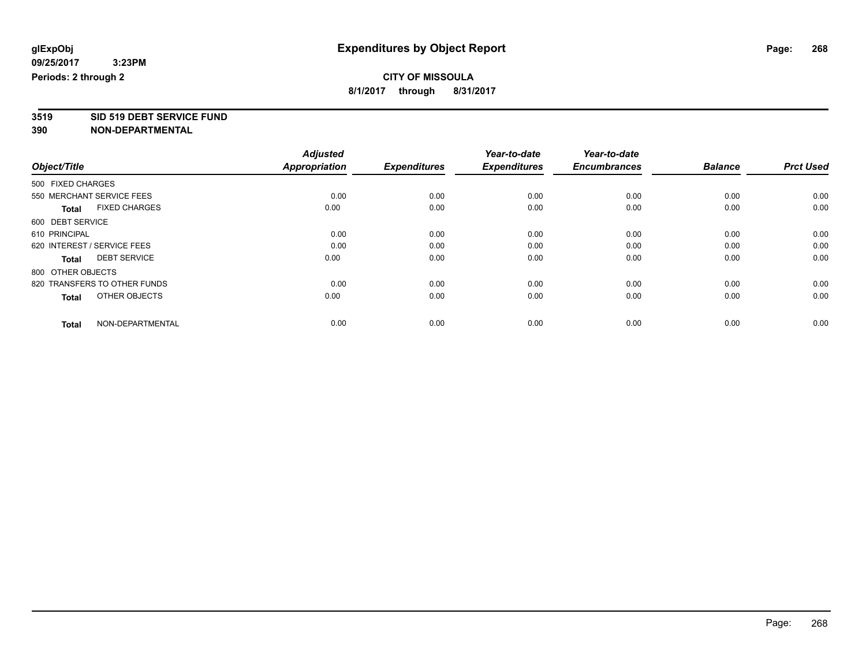**3519 SID 519 DEBT SERVICE FUND**

|                                      | <b>Adjusted</b>      |                     | Year-to-date<br><b>Expenditures</b> | Year-to-date<br><b>Encumbrances</b> | <b>Balance</b> | <b>Prct Used</b> |
|--------------------------------------|----------------------|---------------------|-------------------------------------|-------------------------------------|----------------|------------------|
| Object/Title                         | <b>Appropriation</b> | <b>Expenditures</b> |                                     |                                     |                |                  |
| 500 FIXED CHARGES                    |                      |                     |                                     |                                     |                |                  |
| 550 MERCHANT SERVICE FEES            | 0.00                 | 0.00                | 0.00                                | 0.00                                | 0.00           | 0.00             |
| <b>FIXED CHARGES</b><br><b>Total</b> | 0.00                 | 0.00                | 0.00                                | 0.00                                | 0.00           | 0.00             |
| 600 DEBT SERVICE                     |                      |                     |                                     |                                     |                |                  |
| 610 PRINCIPAL                        | 0.00                 | 0.00                | 0.00                                | 0.00                                | 0.00           | 0.00             |
| 620 INTEREST / SERVICE FEES          | 0.00                 | 0.00                | 0.00                                | 0.00                                | 0.00           | 0.00             |
| <b>DEBT SERVICE</b><br><b>Total</b>  | 0.00                 | 0.00                | 0.00                                | 0.00                                | 0.00           | 0.00             |
| 800 OTHER OBJECTS                    |                      |                     |                                     |                                     |                |                  |
| 820 TRANSFERS TO OTHER FUNDS         | 0.00                 | 0.00                | 0.00                                | 0.00                                | 0.00           | 0.00             |
| OTHER OBJECTS<br><b>Total</b>        | 0.00                 | 0.00                | 0.00                                | 0.00                                | 0.00           | 0.00             |
|                                      |                      |                     |                                     |                                     |                |                  |
| NON-DEPARTMENTAL<br><b>Total</b>     | 0.00                 | 0.00                | 0.00                                | 0.00                                | 0.00           | 0.00             |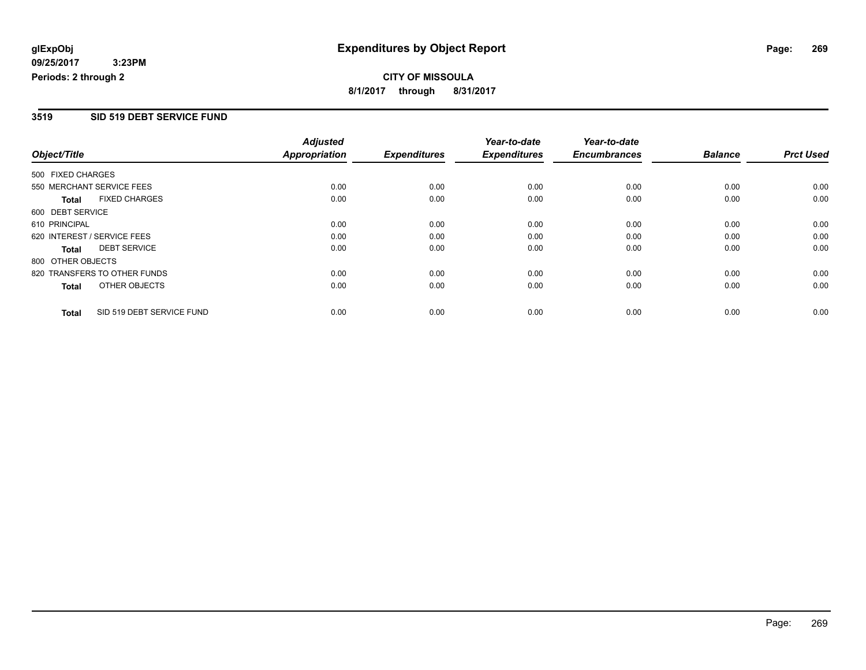# **CITY OF MISSOULA 8/1/2017 through 8/31/2017**

#### **3519 SID 519 DEBT SERVICE FUND**

|                   |                              | <b>Adjusted</b>      |                     | Year-to-date        | Year-to-date        |                |                  |
|-------------------|------------------------------|----------------------|---------------------|---------------------|---------------------|----------------|------------------|
| Object/Title      |                              | <b>Appropriation</b> | <b>Expenditures</b> | <b>Expenditures</b> | <b>Encumbrances</b> | <b>Balance</b> | <b>Prct Used</b> |
| 500 FIXED CHARGES |                              |                      |                     |                     |                     |                |                  |
|                   | 550 MERCHANT SERVICE FEES    | 0.00                 | 0.00                | 0.00                | 0.00                | 0.00           | 0.00             |
| <b>Total</b>      | <b>FIXED CHARGES</b>         | 0.00                 | 0.00                | 0.00                | 0.00                | 0.00           | 0.00             |
| 600 DEBT SERVICE  |                              |                      |                     |                     |                     |                |                  |
| 610 PRINCIPAL     |                              | 0.00                 | 0.00                | 0.00                | 0.00                | 0.00           | 0.00             |
|                   | 620 INTEREST / SERVICE FEES  | 0.00                 | 0.00                | 0.00                | 0.00                | 0.00           | 0.00             |
| Total             | <b>DEBT SERVICE</b>          | 0.00                 | 0.00                | 0.00                | 0.00                | 0.00           | 0.00             |
| 800 OTHER OBJECTS |                              |                      |                     |                     |                     |                |                  |
|                   | 820 TRANSFERS TO OTHER FUNDS | 0.00                 | 0.00                | 0.00                | 0.00                | 0.00           | 0.00             |
| <b>Total</b>      | OTHER OBJECTS                | 0.00                 | 0.00                | 0.00                | 0.00                | 0.00           | 0.00             |
| <b>Total</b>      | SID 519 DEBT SERVICE FUND    | 0.00                 | 0.00                | 0.00                | 0.00                | 0.00           | 0.00             |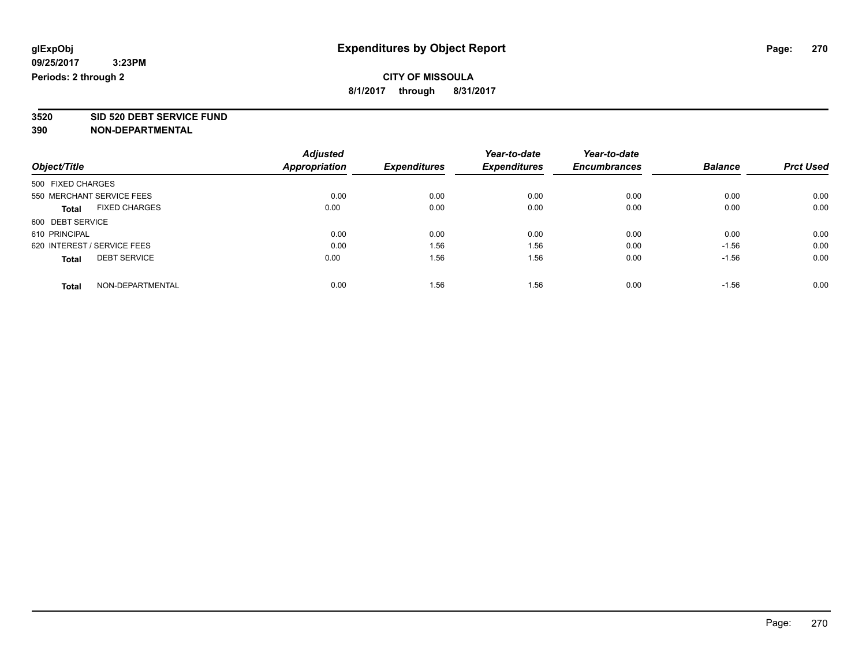**3520 SID 520 DEBT SERVICE FUND**

|                                      | <b>Adjusted</b> |                     | Year-to-date        | Year-to-date        |                |                  |
|--------------------------------------|-----------------|---------------------|---------------------|---------------------|----------------|------------------|
| Object/Title                         | Appropriation   | <b>Expenditures</b> | <b>Expenditures</b> | <b>Encumbrances</b> | <b>Balance</b> | <b>Prct Used</b> |
| 500 FIXED CHARGES                    |                 |                     |                     |                     |                |                  |
| 550 MERCHANT SERVICE FEES            | 0.00            | 0.00                | 0.00                | 0.00                | 0.00           | 0.00             |
| <b>FIXED CHARGES</b><br><b>Total</b> | 0.00            | 0.00                | 0.00                | 0.00                | 0.00           | 0.00             |
| 600 DEBT SERVICE                     |                 |                     |                     |                     |                |                  |
| 610 PRINCIPAL                        | 0.00            | 0.00                | 0.00                | 0.00                | 0.00           | 0.00             |
| 620 INTEREST / SERVICE FEES          | 0.00            | 1.56                | 1.56                | 0.00                | $-1.56$        | 0.00             |
| <b>DEBT SERVICE</b><br><b>Total</b>  | 0.00            | 1.56                | 1.56                | 0.00                | $-1.56$        | 0.00             |
| NON-DEPARTMENTAL<br><b>Total</b>     | 0.00            | 1.56                | 1.56                | 0.00                | $-1.56$        | 0.00             |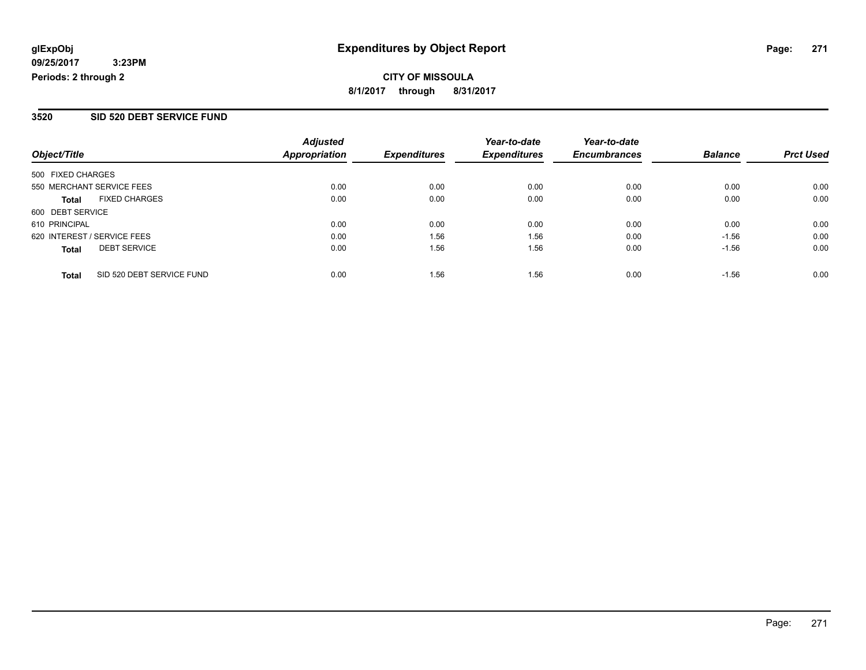# **CITY OF MISSOULA 8/1/2017 through 8/31/2017**

#### **3520 SID 520 DEBT SERVICE FUND**

| Object/Title                              | <b>Adjusted</b><br><b>Appropriation</b> | <b>Expenditures</b> | Year-to-date<br><b>Expenditures</b> | Year-to-date<br><b>Encumbrances</b> | <b>Balance</b> | <b>Prct Used</b> |
|-------------------------------------------|-----------------------------------------|---------------------|-------------------------------------|-------------------------------------|----------------|------------------|
| 500 FIXED CHARGES                         |                                         |                     |                                     |                                     |                |                  |
| 550 MERCHANT SERVICE FEES                 | 0.00                                    | 0.00                | 0.00                                | 0.00                                | 0.00           | 0.00             |
| <b>FIXED CHARGES</b><br><b>Total</b>      | 0.00                                    | 0.00                | 0.00                                | 0.00                                | 0.00           | 0.00             |
| 600 DEBT SERVICE                          |                                         |                     |                                     |                                     |                |                  |
| 610 PRINCIPAL                             | 0.00                                    | 0.00                | 0.00                                | 0.00                                | 0.00           | 0.00             |
| 620 INTEREST / SERVICE FEES               | 0.00                                    | 1.56                | 1.56                                | 0.00                                | $-1.56$        | 0.00             |
| <b>DEBT SERVICE</b><br><b>Total</b>       | 0.00                                    | 1.56                | 1.56                                | 0.00                                | $-1.56$        | 0.00             |
| SID 520 DEBT SERVICE FUND<br><b>Total</b> | 0.00                                    | 1.56                | 1.56                                | 0.00                                | $-1.56$        | 0.00             |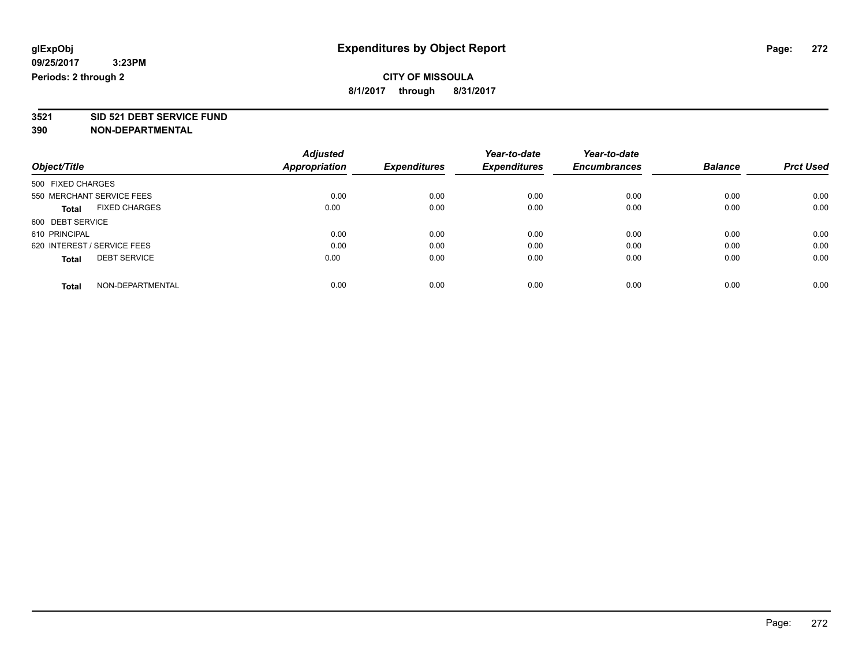**3521 SID 521 DEBT SERVICE FUND**

| Object/Title                |                      | <b>Adjusted</b> |                     | Year-to-date        | Year-to-date<br><b>Encumbrances</b> | <b>Balance</b> | <b>Prct Used</b> |
|-----------------------------|----------------------|-----------------|---------------------|---------------------|-------------------------------------|----------------|------------------|
|                             |                      | Appropriation   | <b>Expenditures</b> | <b>Expenditures</b> |                                     |                |                  |
| 500 FIXED CHARGES           |                      |                 |                     |                     |                                     |                |                  |
| 550 MERCHANT SERVICE FEES   |                      | 0.00            | 0.00                | 0.00                | 0.00                                | 0.00           | 0.00             |
| <b>Total</b>                | <b>FIXED CHARGES</b> | 0.00            | 0.00                | 0.00                | 0.00                                | 0.00           | 0.00             |
| 600 DEBT SERVICE            |                      |                 |                     |                     |                                     |                |                  |
| 610 PRINCIPAL               |                      | 0.00            | 0.00                | 0.00                | 0.00                                | 0.00           | 0.00             |
| 620 INTEREST / SERVICE FEES |                      | 0.00            | 0.00                | 0.00                | 0.00                                | 0.00           | 0.00             |
| <b>Total</b>                | <b>DEBT SERVICE</b>  | 0.00            | 0.00                | 0.00                | 0.00                                | 0.00           | 0.00             |
| <b>Total</b>                | NON-DEPARTMENTAL     | 0.00            | 0.00                | 0.00                | 0.00                                | 0.00           | 0.00             |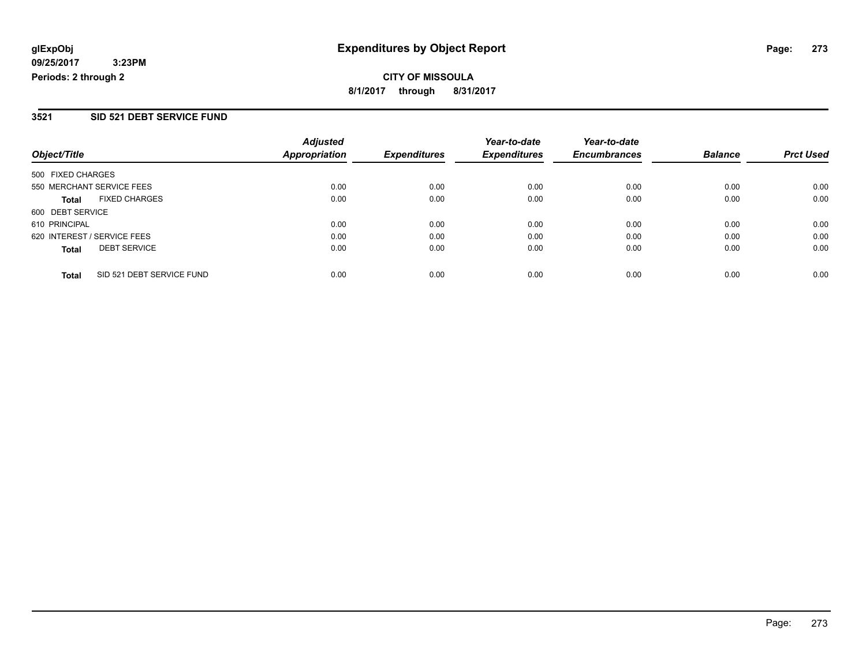#### **3521 SID 521 DEBT SERVICE FUND**

| Object/Title                              | <b>Adjusted</b><br><b>Appropriation</b> | <b>Expenditures</b> | Year-to-date<br><b>Expenditures</b> | Year-to-date<br><b>Encumbrances</b> | <b>Balance</b> | <b>Prct Used</b> |
|-------------------------------------------|-----------------------------------------|---------------------|-------------------------------------|-------------------------------------|----------------|------------------|
| 500 FIXED CHARGES                         |                                         |                     |                                     |                                     |                |                  |
| 550 MERCHANT SERVICE FEES                 | 0.00                                    | 0.00                | 0.00                                | 0.00                                | 0.00           | 0.00             |
| <b>FIXED CHARGES</b><br><b>Total</b>      | 0.00                                    | 0.00                | 0.00                                | 0.00                                | 0.00           | 0.00             |
| 600 DEBT SERVICE                          |                                         |                     |                                     |                                     |                |                  |
| 610 PRINCIPAL                             | 0.00                                    | 0.00                | 0.00                                | 0.00                                | 0.00           | 0.00             |
| 620 INTEREST / SERVICE FEES               | 0.00                                    | 0.00                | 0.00                                | 0.00                                | 0.00           | 0.00             |
| <b>DEBT SERVICE</b><br><b>Total</b>       | 0.00                                    | 0.00                | 0.00                                | 0.00                                | 0.00           | 0.00             |
| SID 521 DEBT SERVICE FUND<br><b>Total</b> | 0.00                                    | 0.00                | 0.00                                | 0.00                                | 0.00           | 0.00             |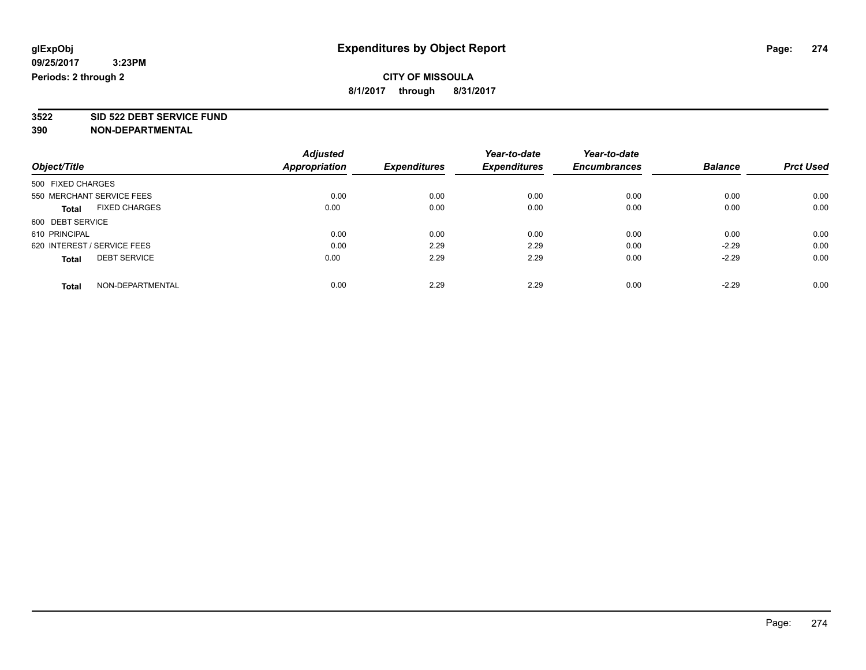**3522 SID 522 DEBT SERVICE FUND**

| Object/Title                |                           | <b>Adjusted</b>      |                     | Year-to-date        | Year-to-date        |                |                  |
|-----------------------------|---------------------------|----------------------|---------------------|---------------------|---------------------|----------------|------------------|
|                             |                           | <b>Appropriation</b> | <b>Expenditures</b> | <b>Expenditures</b> | <b>Encumbrances</b> | <b>Balance</b> | <b>Prct Used</b> |
| 500 FIXED CHARGES           |                           |                      |                     |                     |                     |                |                  |
|                             | 550 MERCHANT SERVICE FEES | 0.00                 | 0.00                | 0.00                | 0.00                | 0.00           | 0.00             |
| <b>Total</b>                | <b>FIXED CHARGES</b>      | 0.00                 | 0.00                | 0.00                | 0.00                | 0.00           | 0.00             |
| 600 DEBT SERVICE            |                           |                      |                     |                     |                     |                |                  |
| 610 PRINCIPAL               |                           | 0.00                 | 0.00                | 0.00                | 0.00                | 0.00           | 0.00             |
| 620 INTEREST / SERVICE FEES |                           | 0.00                 | 2.29                | 2.29                | 0.00                | $-2.29$        | 0.00             |
| <b>Total</b>                | <b>DEBT SERVICE</b>       | 0.00                 | 2.29                | 2.29                | 0.00                | $-2.29$        | 0.00             |
| <b>Total</b>                | NON-DEPARTMENTAL          | 0.00                 | 2.29                | 2.29                | 0.00                | $-2.29$        | 0.00             |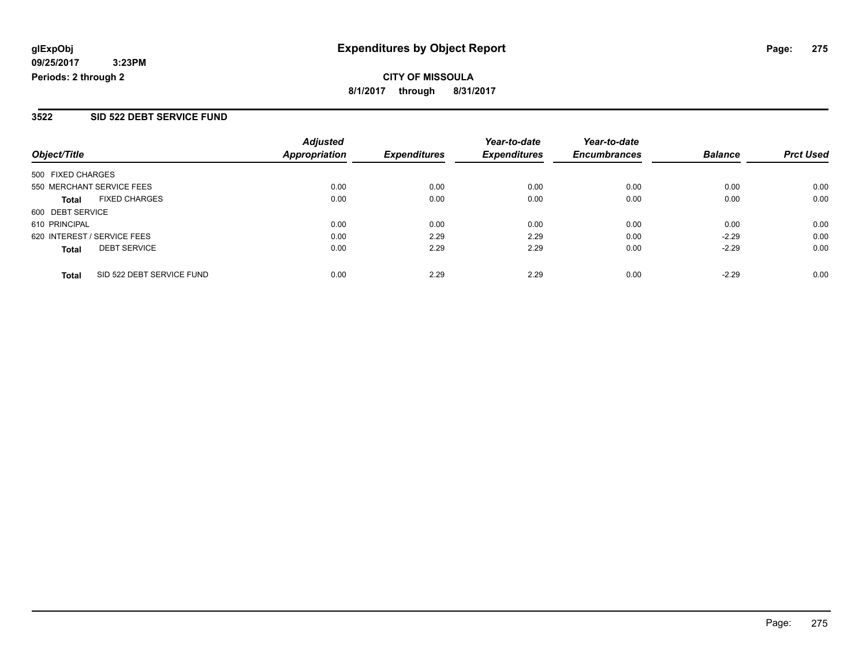#### **3522 SID 522 DEBT SERVICE FUND**

| Object/Title                              | <b>Adjusted</b><br><b>Appropriation</b> | <b>Expenditures</b> | Year-to-date<br><b>Expenditures</b> | Year-to-date<br><b>Encumbrances</b> | <b>Balance</b> | <b>Prct Used</b> |
|-------------------------------------------|-----------------------------------------|---------------------|-------------------------------------|-------------------------------------|----------------|------------------|
| 500 FIXED CHARGES                         |                                         |                     |                                     |                                     |                |                  |
| 550 MERCHANT SERVICE FEES                 | 0.00                                    | 0.00                | 0.00                                | 0.00                                | 0.00           | 0.00             |
| <b>FIXED CHARGES</b><br><b>Total</b>      | 0.00                                    | 0.00                | 0.00                                | 0.00                                | 0.00           | 0.00             |
| 600 DEBT SERVICE                          |                                         |                     |                                     |                                     |                |                  |
| 610 PRINCIPAL                             | 0.00                                    | 0.00                | 0.00                                | 0.00                                | 0.00           | 0.00             |
| 620 INTEREST / SERVICE FEES               | 0.00                                    | 2.29                | 2.29                                | 0.00                                | $-2.29$        | 0.00             |
| <b>DEBT SERVICE</b><br><b>Total</b>       | 0.00                                    | 2.29                | 2.29                                | 0.00                                | $-2.29$        | 0.00             |
| SID 522 DEBT SERVICE FUND<br><b>Total</b> | 0.00                                    | 2.29                | 2.29                                | 0.00                                | $-2.29$        | 0.00             |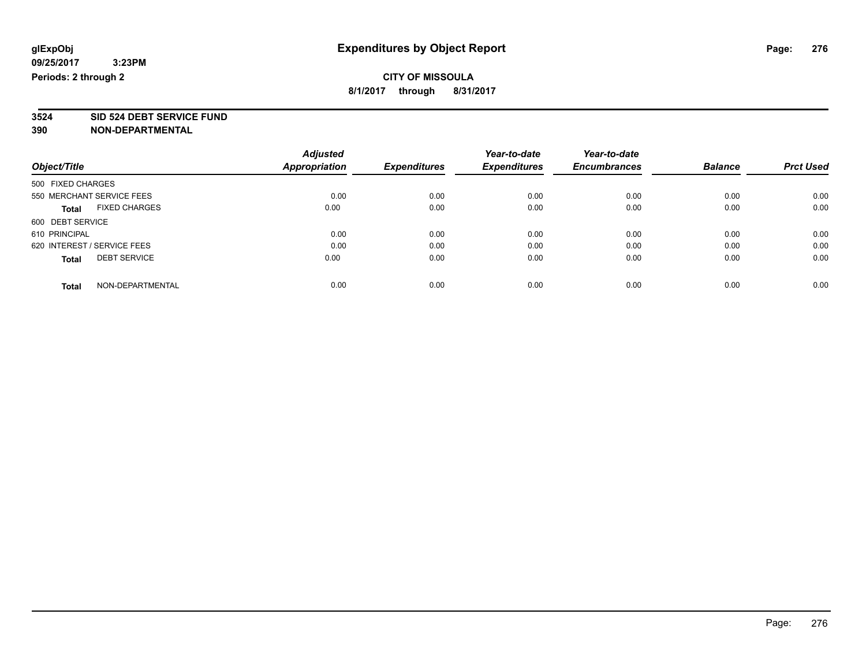**3524 SID 524 DEBT SERVICE FUND**

|                                      | <b>Adjusted</b> | <b>Expenditures</b> | Year-to-date<br><b>Expenditures</b> | Year-to-date        | <b>Balance</b> | <b>Prct Used</b> |
|--------------------------------------|-----------------|---------------------|-------------------------------------|---------------------|----------------|------------------|
| Object/Title                         | Appropriation   |                     |                                     | <b>Encumbrances</b> |                |                  |
| 500 FIXED CHARGES                    |                 |                     |                                     |                     |                |                  |
| 550 MERCHANT SERVICE FEES            | 0.00            | 0.00                | 0.00                                | 0.00                | 0.00           | 0.00             |
| <b>FIXED CHARGES</b><br><b>Total</b> | 0.00            | 0.00                | 0.00                                | 0.00                | 0.00           | 0.00             |
| 600 DEBT SERVICE                     |                 |                     |                                     |                     |                |                  |
| 610 PRINCIPAL                        | 0.00            | 0.00                | 0.00                                | 0.00                | 0.00           | 0.00             |
| 620 INTEREST / SERVICE FEES          | 0.00            | 0.00                | 0.00                                | 0.00                | 0.00           | 0.00             |
| <b>DEBT SERVICE</b><br><b>Total</b>  | 0.00            | 0.00                | 0.00                                | 0.00                | 0.00           | 0.00             |
| NON-DEPARTMENTAL<br><b>Total</b>     | 0.00            | 0.00                | 0.00                                | 0.00                | 0.00           | 0.00             |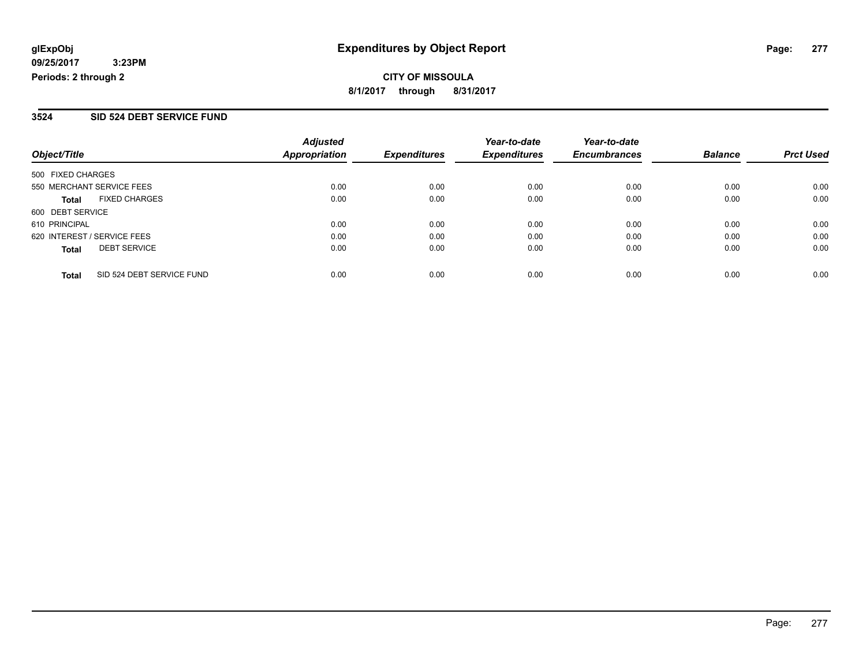#### **3524 SID 524 DEBT SERVICE FUND**

| Object/Title                              | <b>Adjusted</b><br><b>Appropriation</b> | <b>Expenditures</b> | Year-to-date<br><b>Expenditures</b> | Year-to-date<br><b>Encumbrances</b> | <b>Balance</b> | <b>Prct Used</b> |
|-------------------------------------------|-----------------------------------------|---------------------|-------------------------------------|-------------------------------------|----------------|------------------|
| 500 FIXED CHARGES                         |                                         |                     |                                     |                                     |                |                  |
| 550 MERCHANT SERVICE FEES                 | 0.00                                    | 0.00                | 0.00                                | 0.00                                | 0.00           | 0.00             |
| <b>FIXED CHARGES</b><br><b>Total</b>      | 0.00                                    | 0.00                | 0.00                                | 0.00                                | 0.00           | 0.00             |
| 600 DEBT SERVICE                          |                                         |                     |                                     |                                     |                |                  |
| 610 PRINCIPAL                             | 0.00                                    | 0.00                | 0.00                                | 0.00                                | 0.00           | 0.00             |
| 620 INTEREST / SERVICE FEES               | 0.00                                    | 0.00                | 0.00                                | 0.00                                | 0.00           | 0.00             |
| <b>DEBT SERVICE</b><br><b>Total</b>       | 0.00                                    | 0.00                | 0.00                                | 0.00                                | 0.00           | 0.00             |
| SID 524 DEBT SERVICE FUND<br><b>Total</b> | 0.00                                    | 0.00                | 0.00                                | 0.00                                | 0.00           | 0.00             |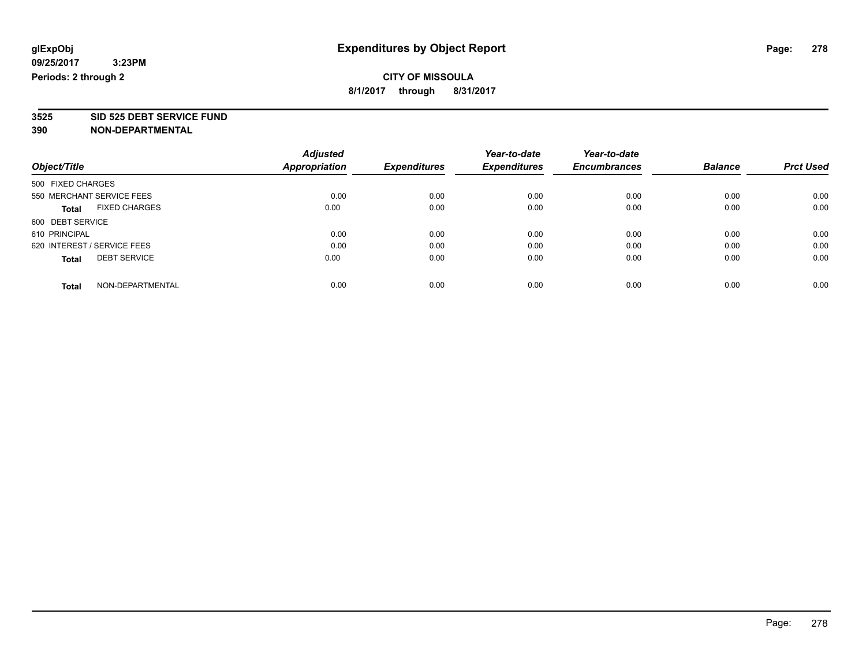**3525 SID 525 DEBT SERVICE FUND**

|                                      | <b>Adjusted</b> |                     | Year-to-date        | Year-to-date        |                |                  |
|--------------------------------------|-----------------|---------------------|---------------------|---------------------|----------------|------------------|
| Object/Title                         | Appropriation   | <b>Expenditures</b> | <b>Expenditures</b> | <b>Encumbrances</b> | <b>Balance</b> | <b>Prct Used</b> |
| 500 FIXED CHARGES                    |                 |                     |                     |                     |                |                  |
| 550 MERCHANT SERVICE FEES            | 0.00            | 0.00                | 0.00                | 0.00                | 0.00           | 0.00             |
| <b>FIXED CHARGES</b><br><b>Total</b> | 0.00            | 0.00                | 0.00                | 0.00                | 0.00           | 0.00             |
| 600 DEBT SERVICE                     |                 |                     |                     |                     |                |                  |
| 610 PRINCIPAL                        | 0.00            | 0.00                | 0.00                | 0.00                | 0.00           | 0.00             |
| 620 INTEREST / SERVICE FEES          | 0.00            | 0.00                | 0.00                | 0.00                | 0.00           | 0.00             |
| <b>DEBT SERVICE</b><br><b>Total</b>  | 0.00            | 0.00                | 0.00                | 0.00                | 0.00           | 0.00             |
| NON-DEPARTMENTAL<br><b>Total</b>     | 0.00            | 0.00                | 0.00                | 0.00                | 0.00           | 0.00             |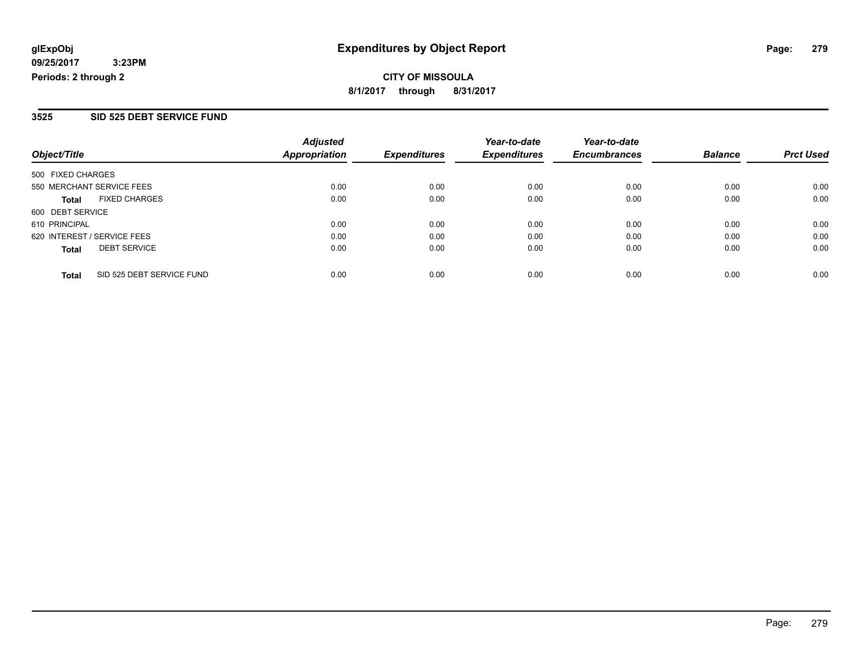#### **3525 SID 525 DEBT SERVICE FUND**

| Object/Title                              | <b>Adjusted</b><br><b>Appropriation</b> | <b>Expenditures</b> | Year-to-date<br><b>Expenditures</b> | Year-to-date<br><b>Encumbrances</b> | <b>Balance</b> | <b>Prct Used</b> |
|-------------------------------------------|-----------------------------------------|---------------------|-------------------------------------|-------------------------------------|----------------|------------------|
| 500 FIXED CHARGES                         |                                         |                     |                                     |                                     |                |                  |
| 550 MERCHANT SERVICE FEES                 | 0.00                                    | 0.00                | 0.00                                | 0.00                                | 0.00           | 0.00             |
| <b>FIXED CHARGES</b><br><b>Total</b>      | 0.00                                    | 0.00                | 0.00                                | 0.00                                | 0.00           | 0.00             |
| 600 DEBT SERVICE                          |                                         |                     |                                     |                                     |                |                  |
| 610 PRINCIPAL                             | 0.00                                    | 0.00                | 0.00                                | 0.00                                | 0.00           | 0.00             |
| 620 INTEREST / SERVICE FEES               | 0.00                                    | 0.00                | 0.00                                | 0.00                                | 0.00           | 0.00             |
| <b>DEBT SERVICE</b><br><b>Total</b>       | 0.00                                    | 0.00                | 0.00                                | 0.00                                | 0.00           | 0.00             |
| SID 525 DEBT SERVICE FUND<br><b>Total</b> | 0.00                                    | 0.00                | 0.00                                | 0.00                                | 0.00           | 0.00             |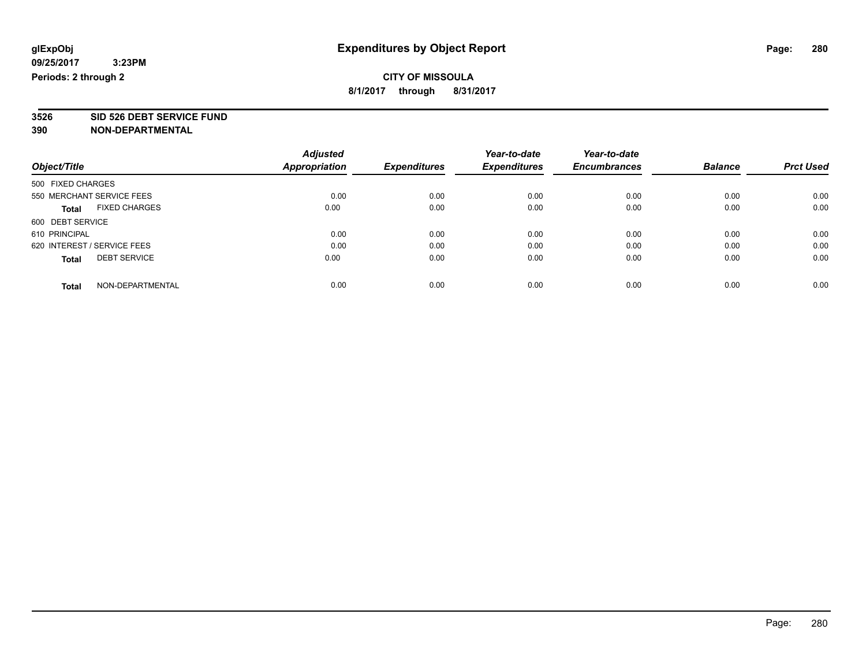**3526 SID 526 DEBT SERVICE FUND**

|                                      | <b>Adjusted</b>      |                     | Year-to-date        | Year-to-date        |                |                  |
|--------------------------------------|----------------------|---------------------|---------------------|---------------------|----------------|------------------|
| Object/Title                         | <b>Appropriation</b> | <b>Expenditures</b> | <b>Expenditures</b> | <b>Encumbrances</b> | <b>Balance</b> | <b>Prct Used</b> |
| 500 FIXED CHARGES                    |                      |                     |                     |                     |                |                  |
| 550 MERCHANT SERVICE FEES            | 0.00                 | 0.00                | 0.00                | 0.00                | 0.00           | 0.00             |
| <b>FIXED CHARGES</b><br><b>Total</b> | 0.00                 | 0.00                | 0.00                | 0.00                | 0.00           | 0.00             |
| 600 DEBT SERVICE                     |                      |                     |                     |                     |                |                  |
| 610 PRINCIPAL                        | 0.00                 | 0.00                | 0.00                | 0.00                | 0.00           | 0.00             |
| 620 INTEREST / SERVICE FEES          | 0.00                 | 0.00                | 0.00                | 0.00                | 0.00           | 0.00             |
| <b>DEBT SERVICE</b><br><b>Total</b>  | 0.00                 | 0.00                | 0.00                | 0.00                | 0.00           | 0.00             |
| NON-DEPARTMENTAL<br><b>Total</b>     | 0.00                 | 0.00                | 0.00                | 0.00                | 0.00           | 0.00             |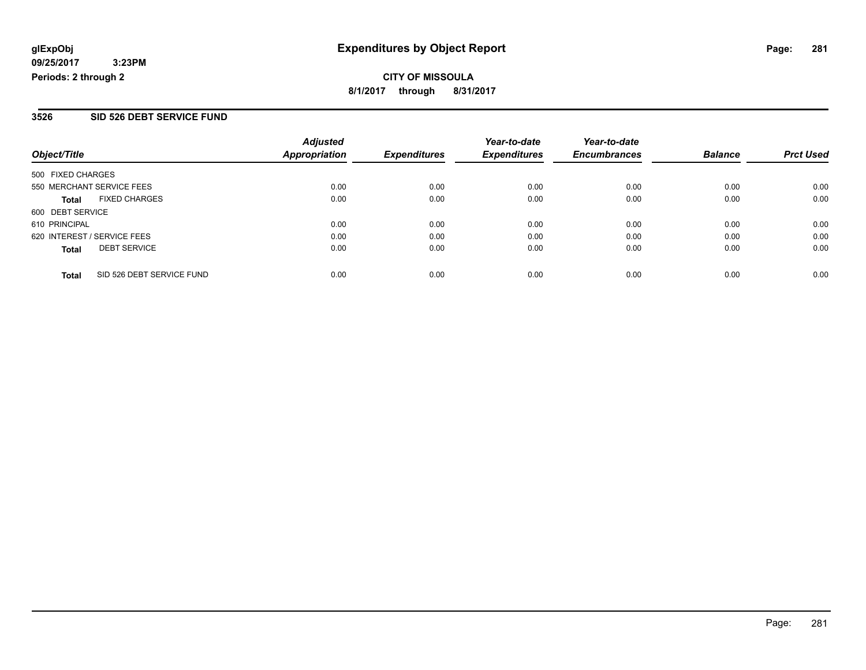#### **3526 SID 526 DEBT SERVICE FUND**

| Object/Title                              | <b>Adjusted</b><br><b>Appropriation</b> | <b>Expenditures</b> | Year-to-date<br><b>Expenditures</b> | Year-to-date<br><b>Encumbrances</b> | <b>Balance</b> | <b>Prct Used</b> |
|-------------------------------------------|-----------------------------------------|---------------------|-------------------------------------|-------------------------------------|----------------|------------------|
| 500 FIXED CHARGES                         |                                         |                     |                                     |                                     |                |                  |
| 550 MERCHANT SERVICE FEES                 | 0.00                                    | 0.00                | 0.00                                | 0.00                                | 0.00           | 0.00             |
| <b>FIXED CHARGES</b><br><b>Total</b>      | 0.00                                    | 0.00                | 0.00                                | 0.00                                | 0.00           | 0.00             |
| 600 DEBT SERVICE                          |                                         |                     |                                     |                                     |                |                  |
| 610 PRINCIPAL                             | 0.00                                    | 0.00                | 0.00                                | 0.00                                | 0.00           | 0.00             |
| 620 INTEREST / SERVICE FEES               | 0.00                                    | 0.00                | 0.00                                | 0.00                                | 0.00           | 0.00             |
| <b>DEBT SERVICE</b><br><b>Total</b>       | 0.00                                    | 0.00                | 0.00                                | 0.00                                | 0.00           | 0.00             |
| SID 526 DEBT SERVICE FUND<br><b>Total</b> | 0.00                                    | 0.00                | 0.00                                | 0.00                                | 0.00           | 0.00             |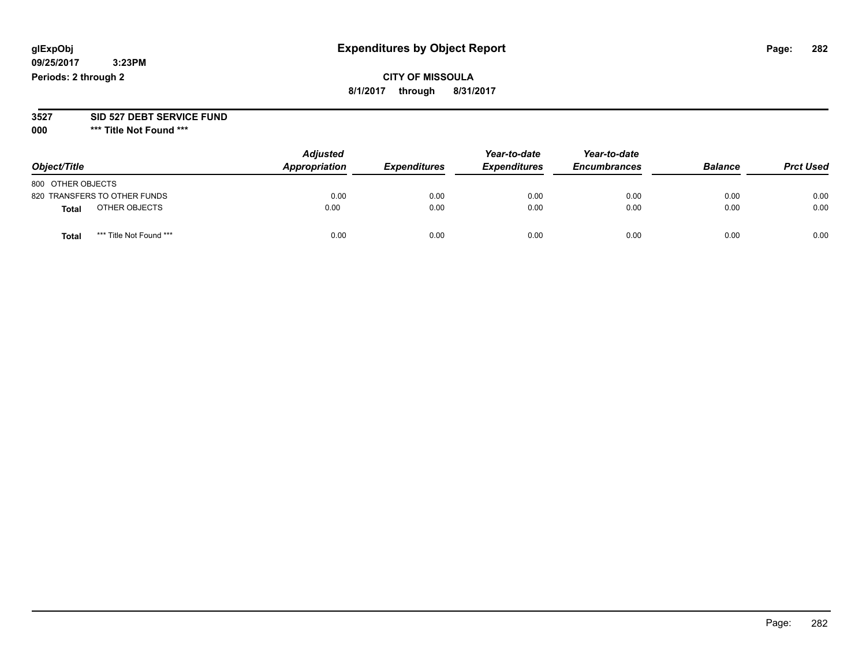# **CITY OF MISSOULA 8/1/2017 through 8/31/2017**

#### **3527 SID 527 DEBT SERVICE FUND**

**000 \*\*\* Title Not Found \*\*\***

| Object/Title                            | <b>Adjusted</b><br>Appropriation | <b>Expenditures</b> | Year-to-date<br><b>Expenditures</b> | Year-to-date<br><b>Encumbrances</b> | <b>Balance</b> | <b>Prct Used</b> |
|-----------------------------------------|----------------------------------|---------------------|-------------------------------------|-------------------------------------|----------------|------------------|
| 800 OTHER OBJECTS                       |                                  |                     |                                     |                                     |                |                  |
| 820 TRANSFERS TO OTHER FUNDS            | 0.00                             | 0.00                | 0.00                                | 0.00                                | 0.00           | 0.00             |
| OTHER OBJECTS<br><b>Total</b>           | 0.00                             | 0.00                | 0.00                                | 0.00                                | 0.00           | 0.00             |
| *** Title Not Found ***<br><b>Total</b> | 0.00                             | 0.00                | 0.00                                | 0.00                                | 0.00           | 0.00             |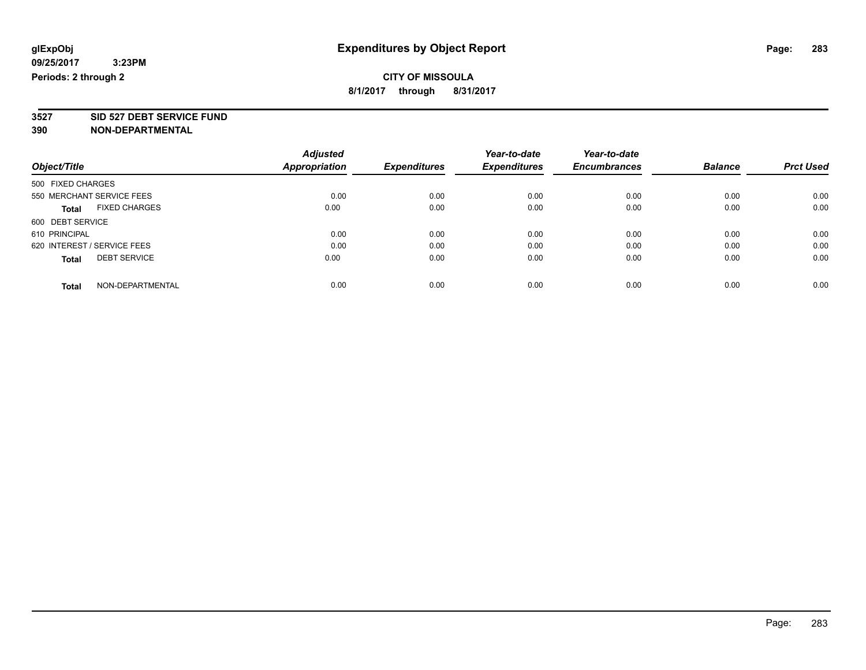**3527 SID 527 DEBT SERVICE FUND**

|                             |                           | <b>Adjusted</b>      |                     | Year-to-date        | Year-to-date        |                |                  |
|-----------------------------|---------------------------|----------------------|---------------------|---------------------|---------------------|----------------|------------------|
| Object/Title                |                           | <b>Appropriation</b> | <b>Expenditures</b> | <b>Expenditures</b> | <b>Encumbrances</b> | <b>Balance</b> | <b>Prct Used</b> |
| 500 FIXED CHARGES           |                           |                      |                     |                     |                     |                |                  |
|                             | 550 MERCHANT SERVICE FEES | 0.00                 | 0.00                | 0.00                | 0.00                | 0.00           | 0.00             |
| <b>Total</b>                | <b>FIXED CHARGES</b>      | 0.00                 | 0.00                | 0.00                | 0.00                | 0.00           | 0.00             |
| 600 DEBT SERVICE            |                           |                      |                     |                     |                     |                |                  |
| 610 PRINCIPAL               |                           | 0.00                 | 0.00                | 0.00                | 0.00                | 0.00           | 0.00             |
| 620 INTEREST / SERVICE FEES |                           | 0.00                 | 0.00                | 0.00                | 0.00                | 0.00           | 0.00             |
| <b>Total</b>                | <b>DEBT SERVICE</b>       | 0.00                 | 0.00                | 0.00                | 0.00                | 0.00           | 0.00             |
| <b>Total</b>                | NON-DEPARTMENTAL          | 0.00                 | 0.00                | 0.00                | 0.00                | 0.00           | 0.00             |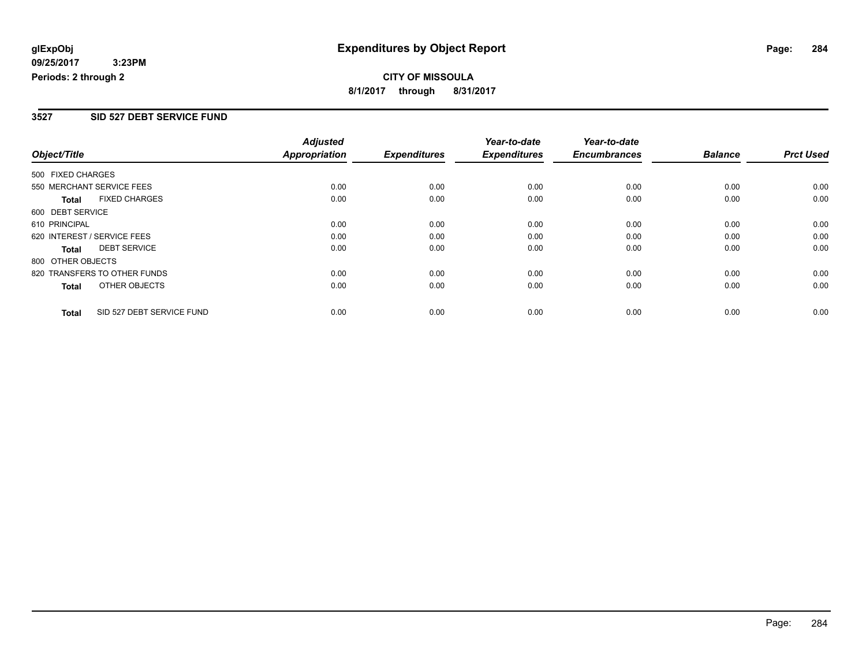**CITY OF MISSOULA 8/1/2017 through 8/31/2017**

#### **3527 SID 527 DEBT SERVICE FUND**

|                   |                              | <b>Adjusted</b> |                     | Year-to-date        | Year-to-date        |                |                  |
|-------------------|------------------------------|-----------------|---------------------|---------------------|---------------------|----------------|------------------|
| Object/Title      |                              | Appropriation   | <b>Expenditures</b> | <b>Expenditures</b> | <b>Encumbrances</b> | <b>Balance</b> | <b>Prct Used</b> |
| 500 FIXED CHARGES |                              |                 |                     |                     |                     |                |                  |
|                   | 550 MERCHANT SERVICE FEES    | 0.00            | 0.00                | 0.00                | 0.00                | 0.00           | 0.00             |
| Total             | <b>FIXED CHARGES</b>         | 0.00            | 0.00                | 0.00                | 0.00                | 0.00           | 0.00             |
| 600 DEBT SERVICE  |                              |                 |                     |                     |                     |                |                  |
| 610 PRINCIPAL     |                              | 0.00            | 0.00                | 0.00                | 0.00                | 0.00           | 0.00             |
|                   | 620 INTEREST / SERVICE FEES  | 0.00            | 0.00                | 0.00                | 0.00                | 0.00           | 0.00             |
| Total             | <b>DEBT SERVICE</b>          | 0.00            | 0.00                | 0.00                | 0.00                | 0.00           | 0.00             |
| 800 OTHER OBJECTS |                              |                 |                     |                     |                     |                |                  |
|                   | 820 TRANSFERS TO OTHER FUNDS | 0.00            | 0.00                | 0.00                | 0.00                | 0.00           | 0.00             |
| Total             | OTHER OBJECTS                | 0.00            | 0.00                | 0.00                | 0.00                | 0.00           | 0.00             |
| <b>Total</b>      | SID 527 DEBT SERVICE FUND    | 0.00            | 0.00                | 0.00                | 0.00                | 0.00           | 0.00             |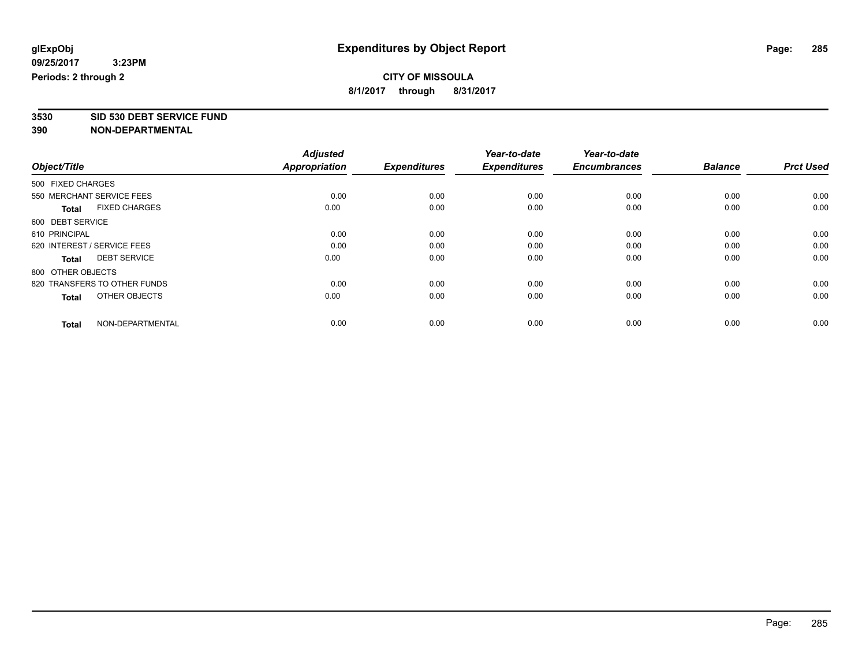**3530 SID 530 DEBT SERVICE FUND**

|                                      | <b>Adjusted</b> |                     | Year-to-date        | Year-to-date        |                |                  |
|--------------------------------------|-----------------|---------------------|---------------------|---------------------|----------------|------------------|
| Object/Title                         | Appropriation   | <b>Expenditures</b> | <b>Expenditures</b> | <b>Encumbrances</b> | <b>Balance</b> | <b>Prct Used</b> |
| 500 FIXED CHARGES                    |                 |                     |                     |                     |                |                  |
| 550 MERCHANT SERVICE FEES            | 0.00            | 0.00                | 0.00                | 0.00                | 0.00           | 0.00             |
| <b>FIXED CHARGES</b><br><b>Total</b> | 0.00            | 0.00                | 0.00                | 0.00                | 0.00           | 0.00             |
| 600 DEBT SERVICE                     |                 |                     |                     |                     |                |                  |
| 610 PRINCIPAL                        | 0.00            | 0.00                | 0.00                | 0.00                | 0.00           | 0.00             |
| 620 INTEREST / SERVICE FEES          | 0.00            | 0.00                | 0.00                | 0.00                | 0.00           | 0.00             |
| <b>DEBT SERVICE</b><br><b>Total</b>  | 0.00            | 0.00                | 0.00                | 0.00                | 0.00           | 0.00             |
| 800 OTHER OBJECTS                    |                 |                     |                     |                     |                |                  |
| 820 TRANSFERS TO OTHER FUNDS         | 0.00            | 0.00                | 0.00                | 0.00                | 0.00           | 0.00             |
| OTHER OBJECTS<br><b>Total</b>        | 0.00            | 0.00                | 0.00                | 0.00                | 0.00           | 0.00             |
|                                      |                 |                     |                     |                     |                |                  |
| NON-DEPARTMENTAL<br><b>Total</b>     | 0.00            | 0.00                | 0.00                | 0.00                | 0.00           | 0.00             |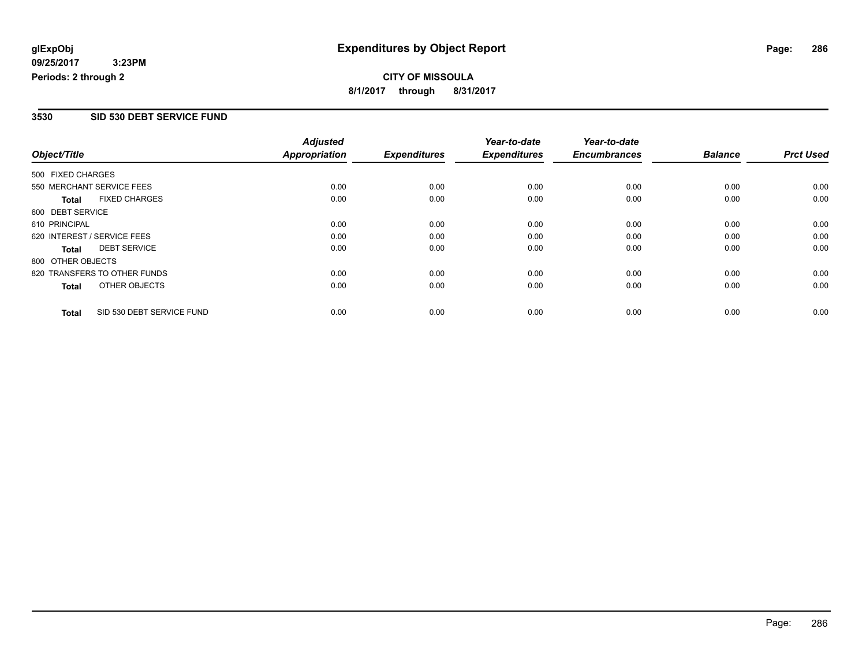**CITY OF MISSOULA 8/1/2017 through 8/31/2017**

#### **3530 SID 530 DEBT SERVICE FUND**

|                                           | <b>Adjusted</b>      |                     | Year-to-date        | Year-to-date        |                |                  |
|-------------------------------------------|----------------------|---------------------|---------------------|---------------------|----------------|------------------|
| Object/Title                              | <b>Appropriation</b> | <b>Expenditures</b> | <b>Expenditures</b> | <b>Encumbrances</b> | <b>Balance</b> | <b>Prct Used</b> |
| 500 FIXED CHARGES                         |                      |                     |                     |                     |                |                  |
| 550 MERCHANT SERVICE FEES                 | 0.00                 | 0.00                | 0.00                | 0.00                | 0.00           | 0.00             |
| <b>FIXED CHARGES</b><br><b>Total</b>      | 0.00                 | 0.00                | 0.00                | 0.00                | 0.00           | 0.00             |
| 600 DEBT SERVICE                          |                      |                     |                     |                     |                |                  |
| 610 PRINCIPAL                             | 0.00                 | 0.00                | 0.00                | 0.00                | 0.00           | 0.00             |
| 620 INTEREST / SERVICE FEES               | 0.00                 | 0.00                | 0.00                | 0.00                | 0.00           | 0.00             |
| <b>DEBT SERVICE</b><br><b>Total</b>       | 0.00                 | 0.00                | 0.00                | 0.00                | 0.00           | 0.00             |
| 800 OTHER OBJECTS                         |                      |                     |                     |                     |                |                  |
| 820 TRANSFERS TO OTHER FUNDS              | 0.00                 | 0.00                | 0.00                | 0.00                | 0.00           | 0.00             |
| OTHER OBJECTS<br><b>Total</b>             | 0.00                 | 0.00                | 0.00                | 0.00                | 0.00           | 0.00             |
| SID 530 DEBT SERVICE FUND<br><b>Total</b> | 0.00                 | 0.00                | 0.00                | 0.00                | 0.00           | 0.00             |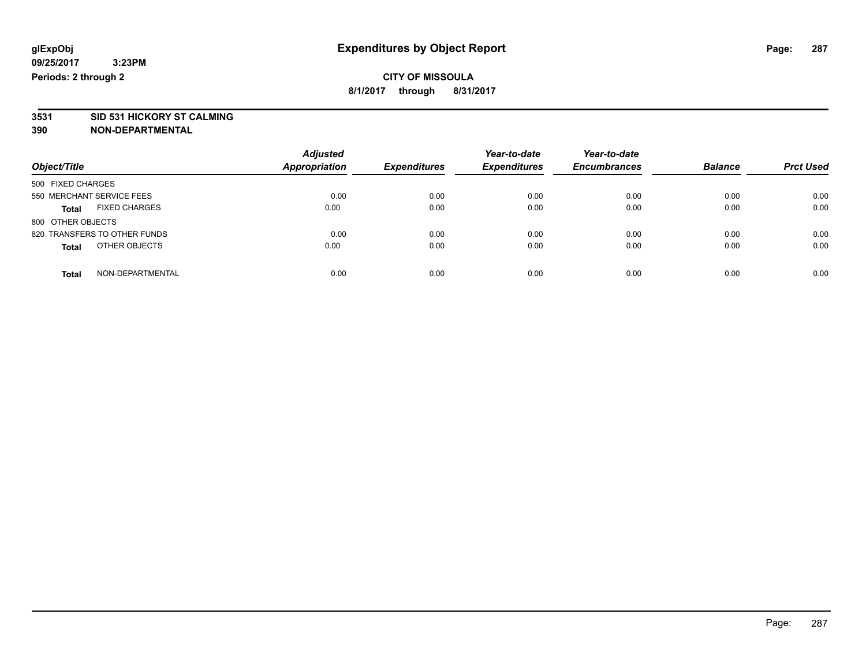# **3531 SID 531 HICKORY ST CALMING**

| Object/Title                         | <b>Adjusted</b><br>Appropriation | <b>Expenditures</b> | Year-to-date<br><b>Expenditures</b> | Year-to-date<br><b>Encumbrances</b> | <b>Balance</b> | <b>Prct Used</b> |
|--------------------------------------|----------------------------------|---------------------|-------------------------------------|-------------------------------------|----------------|------------------|
| 500 FIXED CHARGES                    |                                  |                     |                                     |                                     |                |                  |
| 550 MERCHANT SERVICE FEES            | 0.00                             | 0.00                | 0.00                                | 0.00                                | 0.00           | 0.00             |
| <b>FIXED CHARGES</b><br><b>Total</b> | 0.00                             | 0.00                | 0.00                                | 0.00                                | 0.00           | 0.00             |
| 800 OTHER OBJECTS                    |                                  |                     |                                     |                                     |                |                  |
| 820 TRANSFERS TO OTHER FUNDS         | 0.00                             | 0.00                | 0.00                                | 0.00                                | 0.00           | 0.00             |
| OTHER OBJECTS<br><b>Total</b>        | 0.00                             | 0.00                | 0.00                                | 0.00                                | 0.00           | 0.00             |
| NON-DEPARTMENTAL<br>Total            | 0.00                             | 0.00                | 0.00                                | 0.00                                | 0.00           | 0.00             |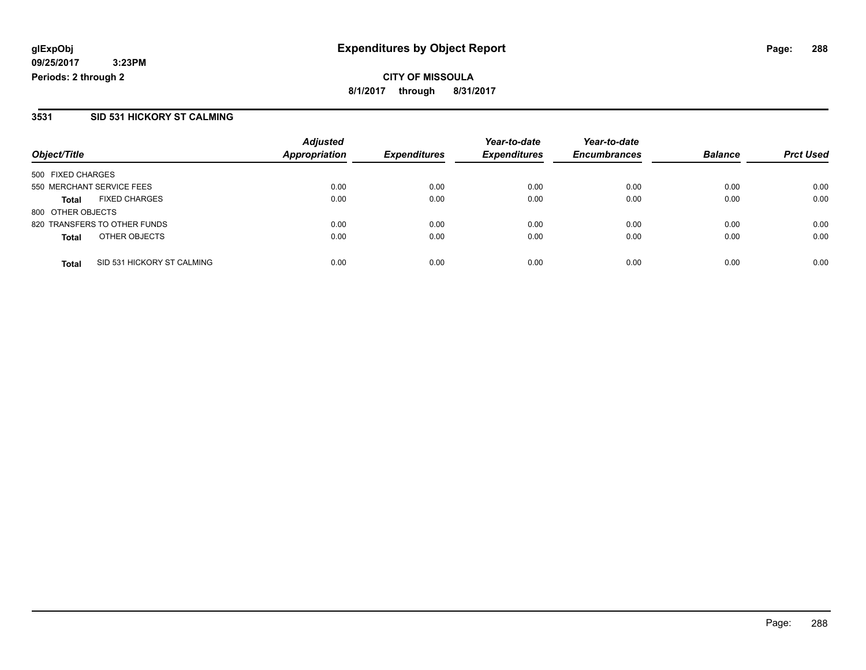**CITY OF MISSOULA 8/1/2017 through 8/31/2017**

#### **3531 SID 531 HICKORY ST CALMING**

|                           |                              | <b>Adjusted</b>      |                     | Year-to-date        | Year-to-date        |                |                  |
|---------------------------|------------------------------|----------------------|---------------------|---------------------|---------------------|----------------|------------------|
| Object/Title              |                              | <b>Appropriation</b> | <b>Expenditures</b> | <b>Expenditures</b> | <b>Encumbrances</b> | <b>Balance</b> | <b>Prct Used</b> |
| 500 FIXED CHARGES         |                              |                      |                     |                     |                     |                |                  |
| 550 MERCHANT SERVICE FEES |                              | 0.00                 | 0.00                | 0.00                | 0.00                | 0.00           | 0.00             |
| <b>Total</b>              | <b>FIXED CHARGES</b>         | 0.00                 | 0.00                | 0.00                | 0.00                | 0.00           | 0.00             |
| 800 OTHER OBJECTS         |                              |                      |                     |                     |                     |                |                  |
|                           | 820 TRANSFERS TO OTHER FUNDS | 0.00                 | 0.00                | 0.00                | 0.00                | 0.00           | 0.00             |
| <b>Total</b>              | OTHER OBJECTS                | 0.00                 | 0.00                | 0.00                | 0.00                | 0.00           | 0.00             |
| <b>Total</b>              | SID 531 HICKORY ST CALMING   | 0.00                 | 0.00                | 0.00                | 0.00                | 0.00           | 0.00             |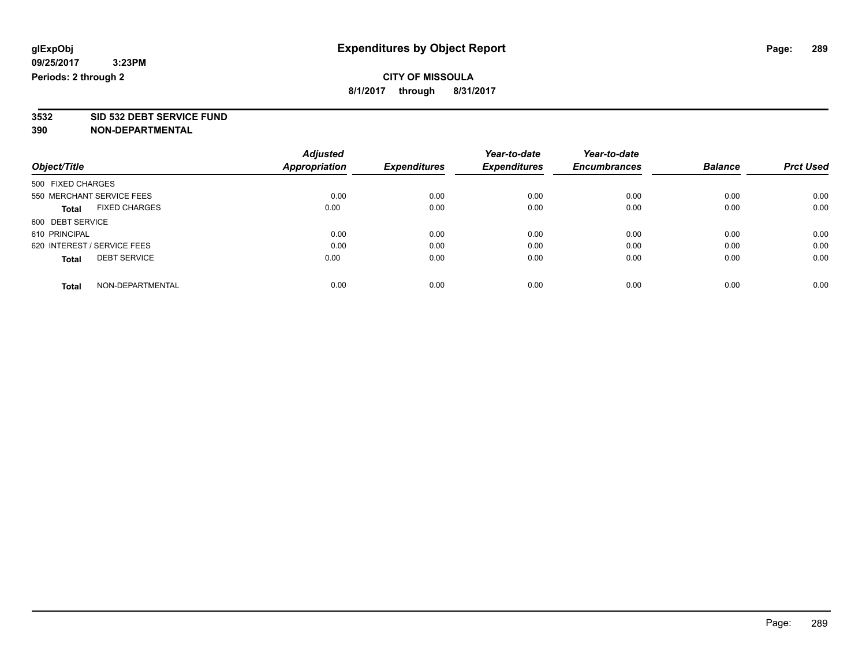**3532 SID 532 DEBT SERVICE FUND**

|                             |                           | <b>Adjusted</b>      |                     | Year-to-date        | Year-to-date        |                |                  |
|-----------------------------|---------------------------|----------------------|---------------------|---------------------|---------------------|----------------|------------------|
| Object/Title                |                           | <b>Appropriation</b> | <b>Expenditures</b> | <b>Expenditures</b> | <b>Encumbrances</b> | <b>Balance</b> | <b>Prct Used</b> |
| 500 FIXED CHARGES           |                           |                      |                     |                     |                     |                |                  |
|                             | 550 MERCHANT SERVICE FEES | 0.00                 | 0.00                | 0.00                | 0.00                | 0.00           | 0.00             |
| <b>Total</b>                | <b>FIXED CHARGES</b>      | 0.00                 | 0.00                | 0.00                | 0.00                | 0.00           | 0.00             |
| 600 DEBT SERVICE            |                           |                      |                     |                     |                     |                |                  |
| 610 PRINCIPAL               |                           | 0.00                 | 0.00                | 0.00                | 0.00                | 0.00           | 0.00             |
| 620 INTEREST / SERVICE FEES |                           | 0.00                 | 0.00                | 0.00                | 0.00                | 0.00           | 0.00             |
| <b>Total</b>                | <b>DEBT SERVICE</b>       | 0.00                 | 0.00                | 0.00                | 0.00                | 0.00           | 0.00             |
| <b>Total</b>                | NON-DEPARTMENTAL          | 0.00                 | 0.00                | 0.00                | 0.00                | 0.00           | 0.00             |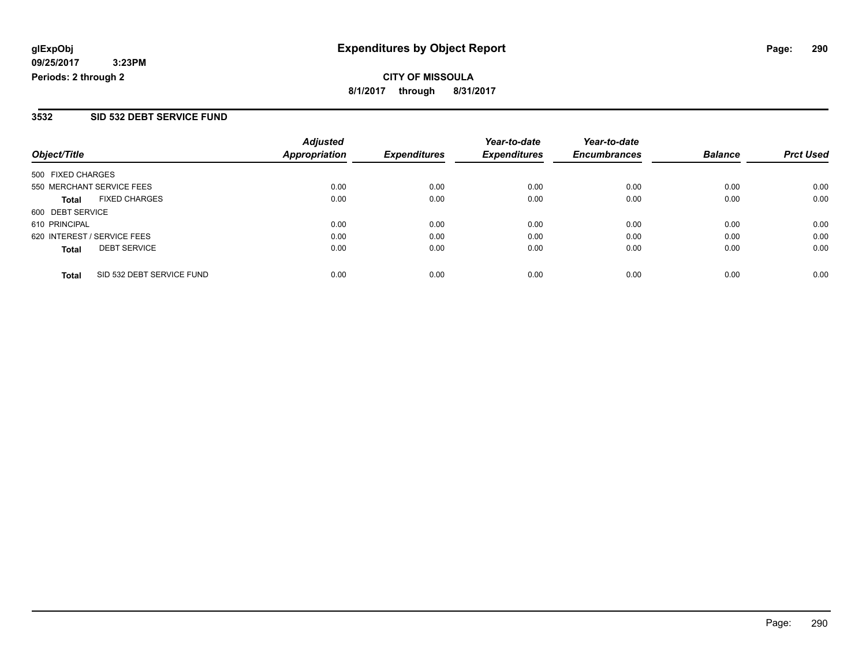### **3532 SID 532 DEBT SERVICE FUND**

| Object/Title                              | <b>Adjusted</b><br><b>Appropriation</b> | <b>Expenditures</b> | Year-to-date<br><b>Expenditures</b> | Year-to-date<br><b>Encumbrances</b> | <b>Balance</b> | <b>Prct Used</b> |
|-------------------------------------------|-----------------------------------------|---------------------|-------------------------------------|-------------------------------------|----------------|------------------|
| 500 FIXED CHARGES                         |                                         |                     |                                     |                                     |                |                  |
| 550 MERCHANT SERVICE FEES                 | 0.00                                    | 0.00                | 0.00                                | 0.00                                | 0.00           | 0.00             |
| <b>FIXED CHARGES</b><br><b>Total</b>      | 0.00                                    | 0.00                | 0.00                                | 0.00                                | 0.00           | 0.00             |
| 600 DEBT SERVICE                          |                                         |                     |                                     |                                     |                |                  |
| 610 PRINCIPAL                             | 0.00                                    | 0.00                | 0.00                                | 0.00                                | 0.00           | 0.00             |
| 620 INTEREST / SERVICE FEES               | 0.00                                    | 0.00                | 0.00                                | 0.00                                | 0.00           | 0.00             |
| <b>DEBT SERVICE</b><br><b>Total</b>       | 0.00                                    | 0.00                | 0.00                                | 0.00                                | 0.00           | 0.00             |
| SID 532 DEBT SERVICE FUND<br><b>Total</b> | 0.00                                    | 0.00                | 0.00                                | 0.00                                | 0.00           | 0.00             |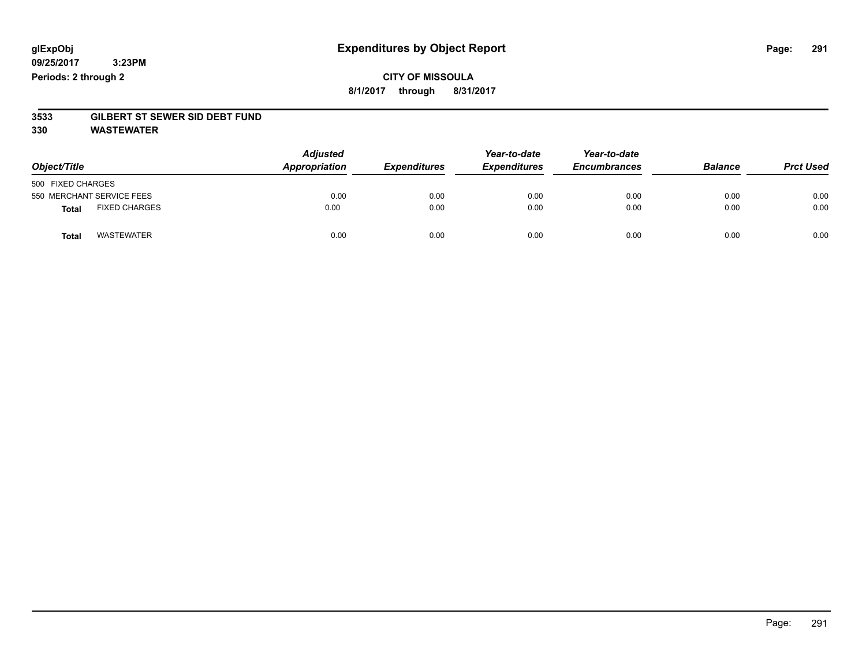### **CITY OF MISSOULA 8/1/2017 through 8/31/2017**

# **3533 GILBERT ST SEWER SID DEBT FUND**

**330 WASTEWATER**

| Object/Title      |                           | <b>Adjusted</b><br>Appropriation | <b>Expenditures</b> | Year-to-date<br><b>Expenditures</b> | Year-to-date<br><b>Encumbrances</b> | <b>Balance</b> | <b>Prct Used</b> |
|-------------------|---------------------------|----------------------------------|---------------------|-------------------------------------|-------------------------------------|----------------|------------------|
| 500 FIXED CHARGES |                           |                                  |                     |                                     |                                     |                |                  |
|                   | 550 MERCHANT SERVICE FEES | 0.00                             | 0.00                | 0.00                                | 0.00                                | 0.00           | 0.00             |
| <b>Total</b>      | <b>FIXED CHARGES</b>      | 0.00                             | 0.00                | 0.00                                | 0.00                                | 0.00           | 0.00             |
| <b>Total</b>      | <b>WASTEWATER</b>         | 0.00                             | 0.00                | 0.00                                | 0.00                                | 0.00           | 0.00             |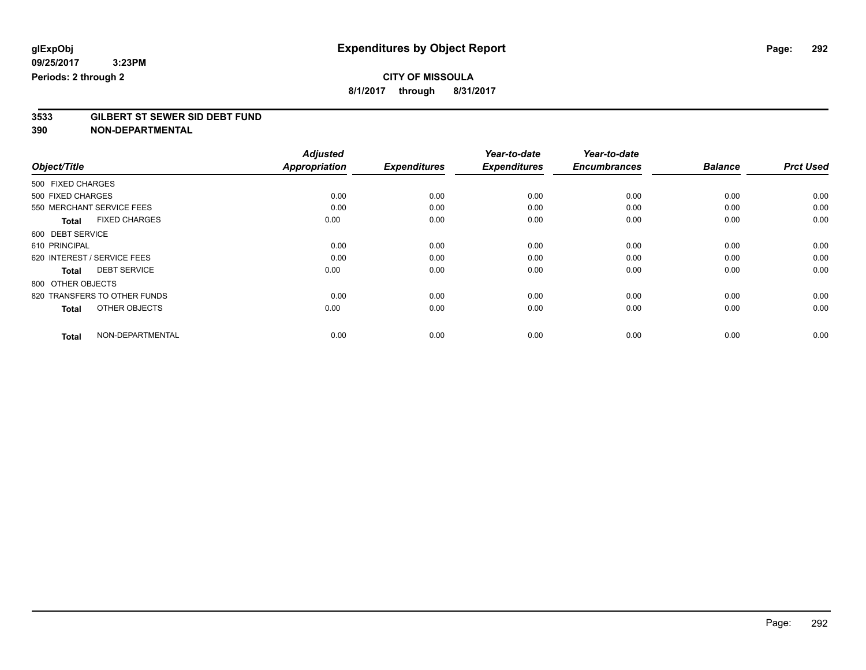# **CITY OF MISSOULA**

**8/1/2017 through 8/31/2017**

# **3533 GILBERT ST SEWER SID DEBT FUND**

|                                      | <b>Adjusted</b>      |                     | Year-to-date        | Year-to-date        | <b>Balance</b> | <b>Prct Used</b> |
|--------------------------------------|----------------------|---------------------|---------------------|---------------------|----------------|------------------|
| Object/Title                         | <b>Appropriation</b> | <b>Expenditures</b> | <b>Expenditures</b> | <b>Encumbrances</b> |                |                  |
| 500 FIXED CHARGES                    |                      |                     |                     |                     |                |                  |
| 500 FIXED CHARGES                    | 0.00                 | 0.00                | 0.00                | 0.00                | 0.00           | 0.00             |
| 550 MERCHANT SERVICE FEES            | 0.00                 | 0.00                | 0.00                | 0.00                | 0.00           | 0.00             |
| <b>FIXED CHARGES</b><br><b>Total</b> | 0.00                 | 0.00                | 0.00                | 0.00                | 0.00           | 0.00             |
| 600 DEBT SERVICE                     |                      |                     |                     |                     |                |                  |
| 610 PRINCIPAL                        | 0.00                 | 0.00                | 0.00                | 0.00                | 0.00           | 0.00             |
| 620 INTEREST / SERVICE FEES          | 0.00                 | 0.00                | 0.00                | 0.00                | 0.00           | 0.00             |
| <b>DEBT SERVICE</b><br><b>Total</b>  | 0.00                 | 0.00                | 0.00                | 0.00                | 0.00           | 0.00             |
| 800 OTHER OBJECTS                    |                      |                     |                     |                     |                |                  |
| 820 TRANSFERS TO OTHER FUNDS         | 0.00                 | 0.00                | 0.00                | 0.00                | 0.00           | 0.00             |
| OTHER OBJECTS<br><b>Total</b>        | 0.00                 | 0.00                | 0.00                | 0.00                | 0.00           | 0.00             |
| NON-DEPARTMENTAL<br><b>Total</b>     | 0.00                 | 0.00                | 0.00                | 0.00                | 0.00           | 0.00             |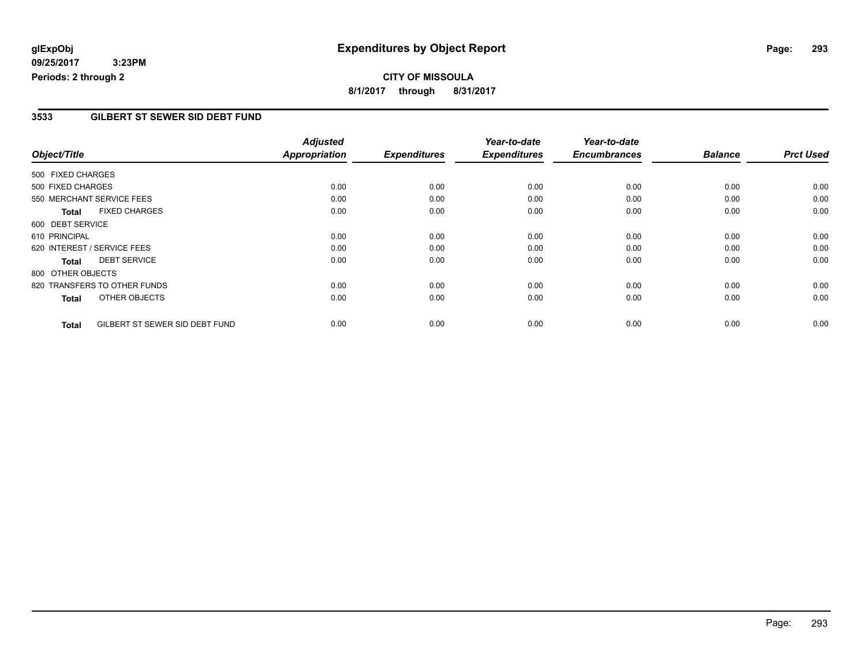## **CITY OF MISSOULA 8/1/2017 through 8/31/2017**

### **3533 GILBERT ST SEWER SID DEBT FUND**

|                                                | <b>Adjusted</b>      |                     | Year-to-date        | Year-to-date        |                |                  |
|------------------------------------------------|----------------------|---------------------|---------------------|---------------------|----------------|------------------|
| Object/Title                                   | <b>Appropriation</b> | <b>Expenditures</b> | <b>Expenditures</b> | <b>Encumbrances</b> | <b>Balance</b> | <b>Prct Used</b> |
| 500 FIXED CHARGES                              |                      |                     |                     |                     |                |                  |
| 500 FIXED CHARGES                              | 0.00                 | 0.00                | 0.00                | 0.00                | 0.00           | 0.00             |
| 550 MERCHANT SERVICE FEES                      | 0.00                 | 0.00                | 0.00                | 0.00                | 0.00           | 0.00             |
| <b>FIXED CHARGES</b><br><b>Total</b>           | 0.00                 | 0.00                | 0.00                | 0.00                | 0.00           | 0.00             |
| 600 DEBT SERVICE                               |                      |                     |                     |                     |                |                  |
| 610 PRINCIPAL                                  | 0.00                 | 0.00                | 0.00                | 0.00                | 0.00           | 0.00             |
| 620 INTEREST / SERVICE FEES                    | 0.00                 | 0.00                | 0.00                | 0.00                | 0.00           | 0.00             |
| <b>DEBT SERVICE</b><br><b>Total</b>            | 0.00                 | 0.00                | 0.00                | 0.00                | 0.00           | 0.00             |
| 800 OTHER OBJECTS                              |                      |                     |                     |                     |                |                  |
| 820 TRANSFERS TO OTHER FUNDS                   | 0.00                 | 0.00                | 0.00                | 0.00                | 0.00           | 0.00             |
| OTHER OBJECTS<br><b>Total</b>                  | 0.00                 | 0.00                | 0.00                | 0.00                | 0.00           | 0.00             |
| GILBERT ST SEWER SID DEBT FUND<br><b>Total</b> | 0.00                 | 0.00                | 0.00                | 0.00                | 0.00           | 0.00             |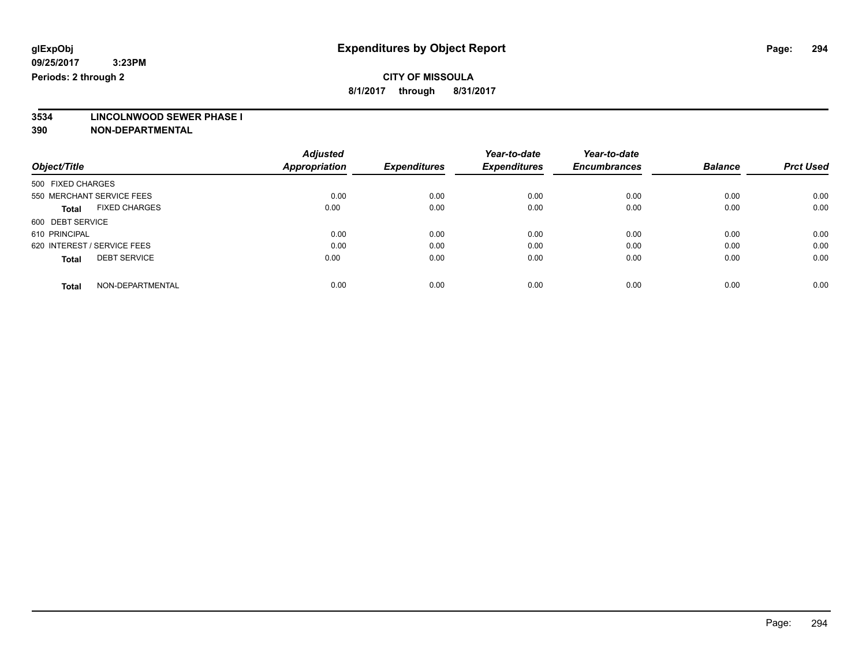# **CITY OF MISSOULA**

**8/1/2017 through 8/31/2017**

# **3534 LINCOLNWOOD SEWER PHASE I**

|                                      | <b>Adjusted</b>      |                     | Year-to-date        | Year-to-date        |                |                  |
|--------------------------------------|----------------------|---------------------|---------------------|---------------------|----------------|------------------|
| Object/Title                         | <b>Appropriation</b> | <b>Expenditures</b> | <b>Expenditures</b> | <b>Encumbrances</b> | <b>Balance</b> | <b>Prct Used</b> |
| 500 FIXED CHARGES                    |                      |                     |                     |                     |                |                  |
| 550 MERCHANT SERVICE FEES            | 0.00                 | 0.00                | 0.00                | 0.00                | 0.00           | 0.00             |
| <b>FIXED CHARGES</b><br><b>Total</b> | 0.00                 | 0.00                | 0.00                | 0.00                | 0.00           | 0.00             |
| 600 DEBT SERVICE                     |                      |                     |                     |                     |                |                  |
| 610 PRINCIPAL                        | 0.00                 | 0.00                | 0.00                | 0.00                | 0.00           | 0.00             |
| 620 INTEREST / SERVICE FEES          | 0.00                 | 0.00                | 0.00                | 0.00                | 0.00           | 0.00             |
| <b>DEBT SERVICE</b><br><b>Total</b>  | 0.00                 | 0.00                | 0.00                | 0.00                | 0.00           | 0.00             |
| NON-DEPARTMENTAL<br><b>Total</b>     | 0.00                 | 0.00                | 0.00                | 0.00                | 0.00           | 0.00             |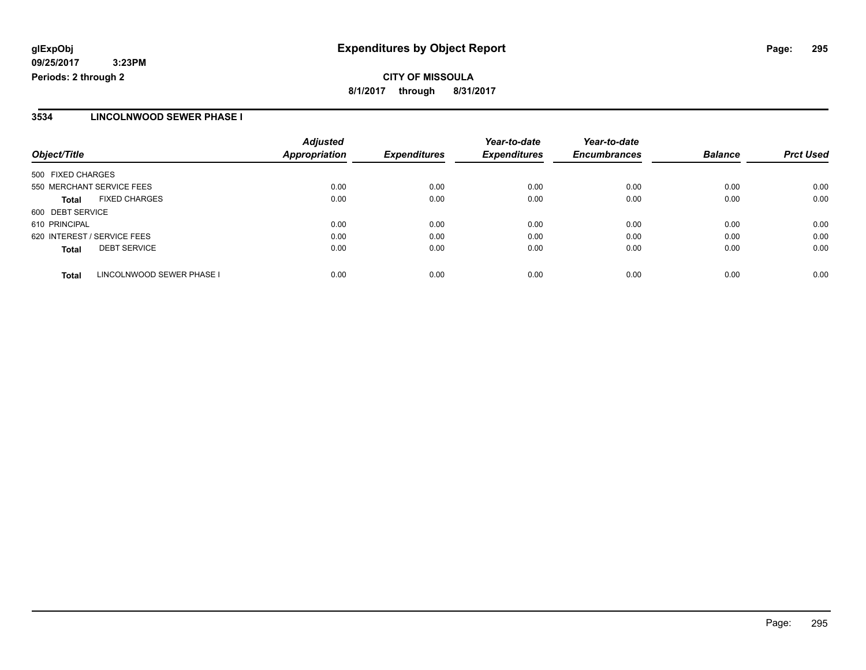### **3534 LINCOLNWOOD SEWER PHASE I**

| Object/Title                              | <b>Adjusted</b><br><b>Appropriation</b> | <b>Expenditures</b> | Year-to-date<br><b>Expenditures</b> | Year-to-date<br><b>Encumbrances</b> | <b>Balance</b> | <b>Prct Used</b> |
|-------------------------------------------|-----------------------------------------|---------------------|-------------------------------------|-------------------------------------|----------------|------------------|
| 500 FIXED CHARGES                         |                                         |                     |                                     |                                     |                |                  |
| 550 MERCHANT SERVICE FEES                 | 0.00                                    | 0.00                | 0.00                                | 0.00                                | 0.00           | 0.00             |
| <b>FIXED CHARGES</b><br><b>Total</b>      | 0.00                                    | 0.00                | 0.00                                | 0.00                                | 0.00           | 0.00             |
| 600 DEBT SERVICE                          |                                         |                     |                                     |                                     |                |                  |
| 610 PRINCIPAL                             | 0.00                                    | 0.00                | 0.00                                | 0.00                                | 0.00           | 0.00             |
| 620 INTEREST / SERVICE FEES               | 0.00                                    | 0.00                | 0.00                                | 0.00                                | 0.00           | 0.00             |
| <b>DEBT SERVICE</b><br><b>Total</b>       | 0.00                                    | 0.00                | 0.00                                | 0.00                                | 0.00           | 0.00             |
| LINCOLNWOOD SEWER PHASE I<br><b>Total</b> | 0.00                                    | 0.00                | 0.00                                | 0.00                                | 0.00           | 0.00             |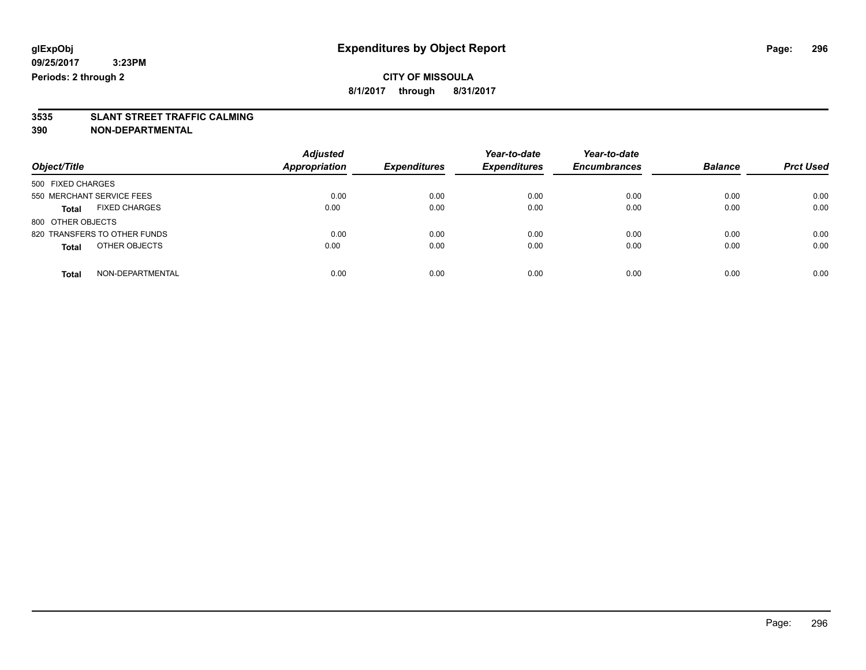# **3535 SLANT STREET TRAFFIC CALMING**

| Object/Title                         | <b>Adjusted</b><br>Appropriation | <b>Expenditures</b> | Year-to-date<br><b>Expenditures</b> | Year-to-date<br><b>Encumbrances</b> | <b>Balance</b> | <b>Prct Used</b> |
|--------------------------------------|----------------------------------|---------------------|-------------------------------------|-------------------------------------|----------------|------------------|
| 500 FIXED CHARGES                    |                                  |                     |                                     |                                     |                |                  |
| 550 MERCHANT SERVICE FEES            | 0.00                             | 0.00                | 0.00                                | 0.00                                | 0.00           | 0.00             |
| <b>FIXED CHARGES</b><br><b>Total</b> | 0.00                             | 0.00                | 0.00                                | 0.00                                | 0.00           | 0.00             |
| 800 OTHER OBJECTS                    |                                  |                     |                                     |                                     |                |                  |
| 820 TRANSFERS TO OTHER FUNDS         | 0.00                             | 0.00                | 0.00                                | 0.00                                | 0.00           | 0.00             |
| OTHER OBJECTS<br><b>Total</b>        | 0.00                             | 0.00                | 0.00                                | 0.00                                | 0.00           | 0.00             |
| NON-DEPARTMENTAL<br>Total            | 0.00                             | 0.00                | 0.00                                | 0.00                                | 0.00           | 0.00             |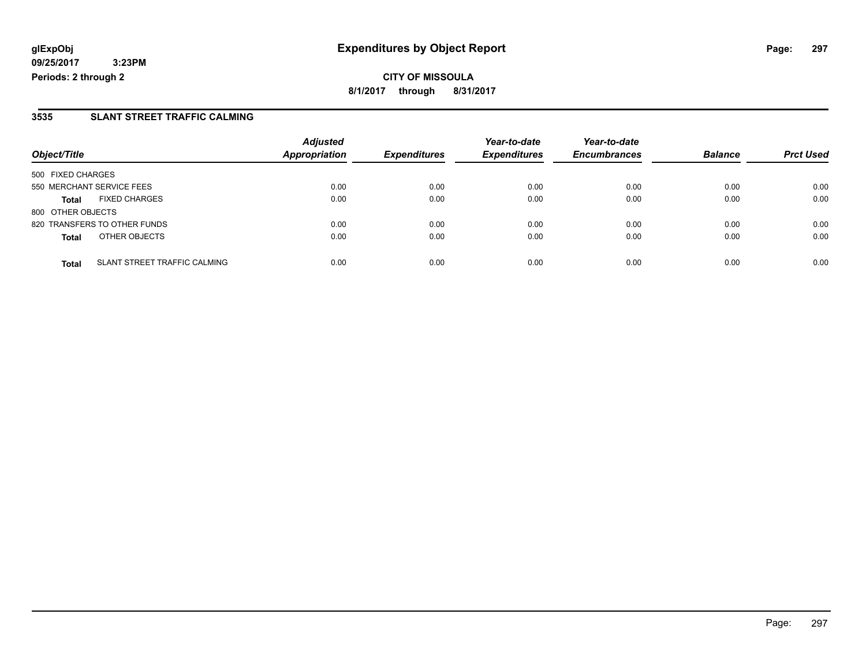**8/1/2017 through 8/31/2017**

### **3535 SLANT STREET TRAFFIC CALMING**

| Object/Title              |                              | <b>Adjusted</b>      | <b>Expenditures</b> | Year-to-date<br><b>Expenditures</b> | Year-to-date<br><b>Encumbrances</b> | <b>Balance</b> | <b>Prct Used</b> |
|---------------------------|------------------------------|----------------------|---------------------|-------------------------------------|-------------------------------------|----------------|------------------|
|                           |                              | <b>Appropriation</b> |                     |                                     |                                     |                |                  |
| 500 FIXED CHARGES         |                              |                      |                     |                                     |                                     |                |                  |
| 550 MERCHANT SERVICE FEES |                              | 0.00                 | 0.00                | 0.00                                | 0.00                                | 0.00           | 0.00             |
| <b>Total</b>              | <b>FIXED CHARGES</b>         | 0.00                 | 0.00                | 0.00                                | 0.00                                | 0.00           | 0.00             |
| 800 OTHER OBJECTS         |                              |                      |                     |                                     |                                     |                |                  |
|                           | 820 TRANSFERS TO OTHER FUNDS | 0.00                 | 0.00                | 0.00                                | 0.00                                | 0.00           | 0.00             |
| <b>Total</b>              | OTHER OBJECTS                | 0.00                 | 0.00                | 0.00                                | 0.00                                | 0.00           | 0.00             |
| <b>Total</b>              | SLANT STREET TRAFFIC CALMING | 0.00                 | 0.00                | 0.00                                | 0.00                                | 0.00           | 0.00             |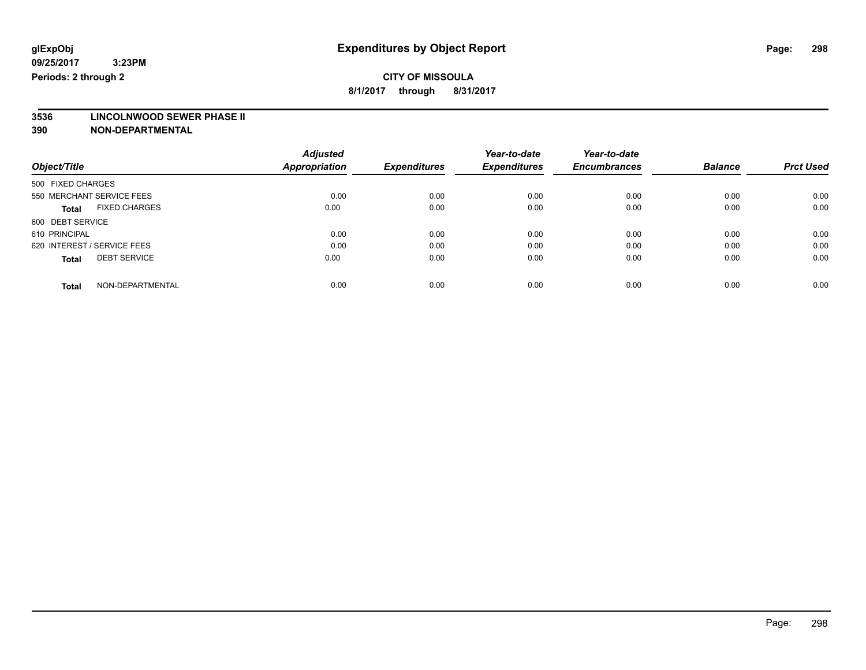# **CITY OF MISSOULA**

**8/1/2017 through 8/31/2017**

# **3536 LINCOLNWOOD SEWER PHASE II**

|                                      | <b>Adjusted</b>      |                     | Year-to-date<br><b>Expenditures</b> | Year-to-date        | <b>Balance</b> | <b>Prct Used</b> |
|--------------------------------------|----------------------|---------------------|-------------------------------------|---------------------|----------------|------------------|
| Object/Title                         | <b>Appropriation</b> | <b>Expenditures</b> |                                     | <b>Encumbrances</b> |                |                  |
| 500 FIXED CHARGES                    |                      |                     |                                     |                     |                |                  |
| 550 MERCHANT SERVICE FEES            | 0.00                 | 0.00                | 0.00                                | 0.00                | 0.00           | 0.00             |
| <b>FIXED CHARGES</b><br><b>Total</b> | 0.00                 | 0.00                | 0.00                                | 0.00                | 0.00           | 0.00             |
| 600 DEBT SERVICE                     |                      |                     |                                     |                     |                |                  |
| 610 PRINCIPAL                        | 0.00                 | 0.00                | 0.00                                | 0.00                | 0.00           | 0.00             |
| 620 INTEREST / SERVICE FEES          | 0.00                 | 0.00                | 0.00                                | 0.00                | 0.00           | 0.00             |
| <b>DEBT SERVICE</b><br><b>Total</b>  | 0.00                 | 0.00                | 0.00                                | 0.00                | 0.00           | 0.00             |
|                                      |                      |                     |                                     |                     |                |                  |
| NON-DEPARTMENTAL<br><b>Total</b>     | 0.00                 | 0.00                | 0.00                                | 0.00                | 0.00           | 0.00             |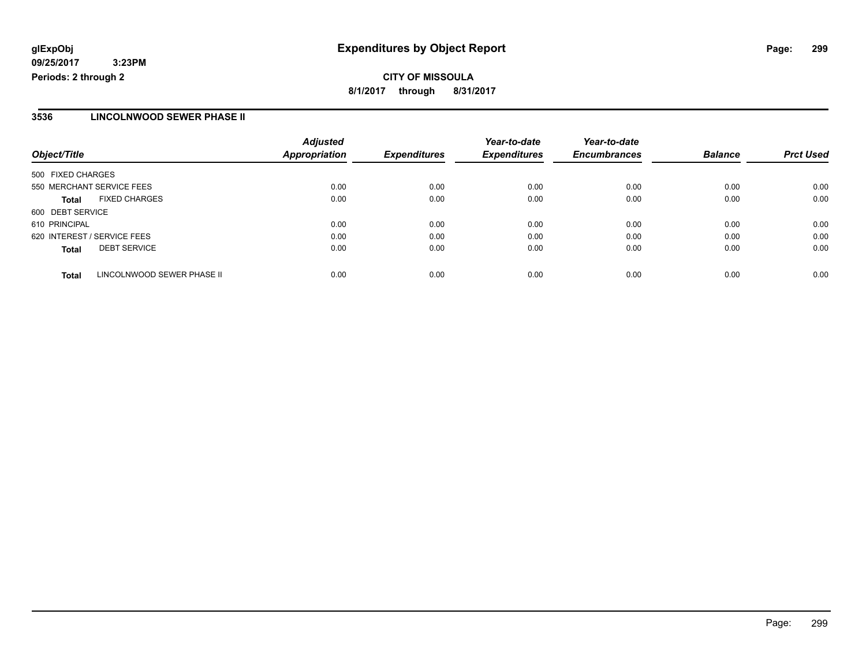### **3536 LINCOLNWOOD SEWER PHASE II**

| Object/Title                |                            | <b>Adjusted</b><br><b>Appropriation</b> | <b>Expenditures</b> | Year-to-date<br><b>Expenditures</b> | Year-to-date<br><b>Encumbrances</b> | <b>Balance</b> | <b>Prct Used</b> |
|-----------------------------|----------------------------|-----------------------------------------|---------------------|-------------------------------------|-------------------------------------|----------------|------------------|
| 500 FIXED CHARGES           |                            |                                         |                     |                                     |                                     |                |                  |
|                             |                            |                                         |                     |                                     |                                     |                |                  |
| 550 MERCHANT SERVICE FEES   |                            | 0.00                                    | 0.00                | 0.00                                | 0.00                                | 0.00           | 0.00             |
| <b>Total</b>                | <b>FIXED CHARGES</b>       | 0.00                                    | 0.00                | 0.00                                | 0.00                                | 0.00           | 0.00             |
| 600 DEBT SERVICE            |                            |                                         |                     |                                     |                                     |                |                  |
| 610 PRINCIPAL               |                            | 0.00                                    | 0.00                | 0.00                                | 0.00                                | 0.00           | 0.00             |
| 620 INTEREST / SERVICE FEES |                            | 0.00                                    | 0.00                | 0.00                                | 0.00                                | 0.00           | 0.00             |
| <b>Total</b>                | <b>DEBT SERVICE</b>        | 0.00                                    | 0.00                | 0.00                                | 0.00                                | 0.00           | 0.00             |
| Total                       | LINCOLNWOOD SEWER PHASE II | 0.00                                    | 0.00                | 0.00                                | 0.00                                | 0.00           | 0.00             |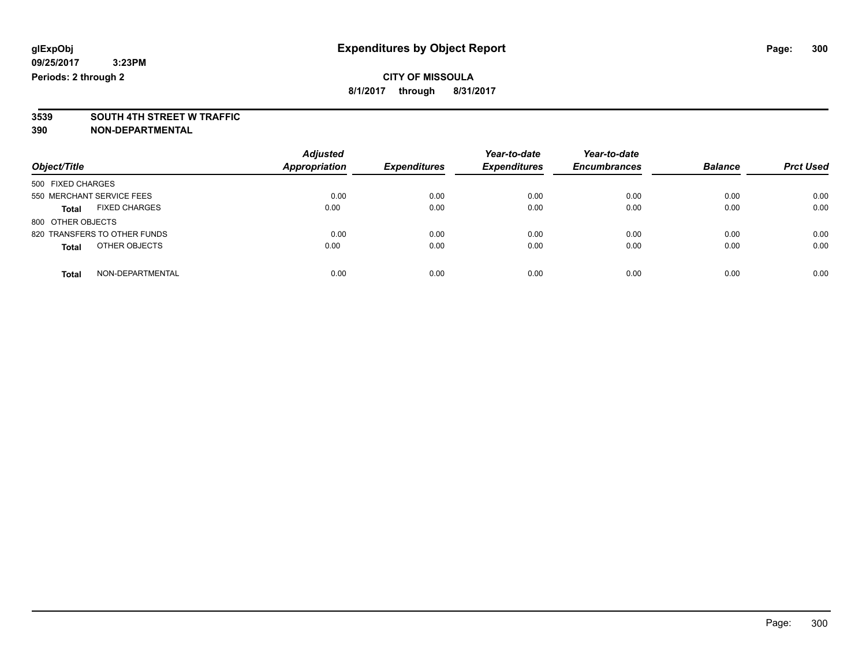# **3539 SOUTH 4TH STREET W TRAFFIC**

| Object/Title                         | <b>Adjusted</b><br><b>Appropriation</b> | <b>Expenditures</b> | Year-to-date<br><b>Expenditures</b> | Year-to-date<br><b>Encumbrances</b> | <b>Balance</b> | <b>Prct Used</b> |
|--------------------------------------|-----------------------------------------|---------------------|-------------------------------------|-------------------------------------|----------------|------------------|
| 500 FIXED CHARGES                    |                                         |                     |                                     |                                     |                |                  |
| 550 MERCHANT SERVICE FEES            | 0.00                                    | 0.00                | 0.00                                | 0.00                                | 0.00           | 0.00             |
| <b>FIXED CHARGES</b><br><b>Total</b> | 0.00                                    | 0.00                | 0.00                                | 0.00                                | 0.00           | 0.00             |
| 800 OTHER OBJECTS                    |                                         |                     |                                     |                                     |                |                  |
| 820 TRANSFERS TO OTHER FUNDS         | 0.00                                    | 0.00                | 0.00                                | 0.00                                | 0.00           | 0.00             |
| OTHER OBJECTS<br><b>Total</b>        | 0.00                                    | 0.00                | 0.00                                | 0.00                                | 0.00           | 0.00             |
| NON-DEPARTMENTAL<br>Total            | 0.00                                    | 0.00                | 0.00                                | 0.00                                | 0.00           | 0.00             |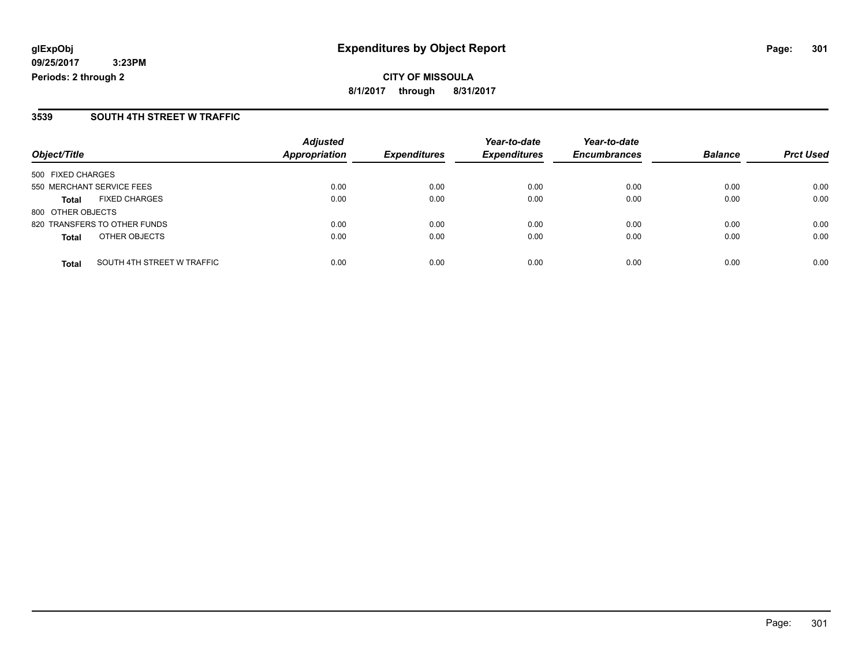#### **3539 SOUTH 4TH STREET W TRAFFIC**

|                           |                              | <b>Adjusted</b>      |                     | Year-to-date        | Year-to-date        |                |                  |
|---------------------------|------------------------------|----------------------|---------------------|---------------------|---------------------|----------------|------------------|
| Object/Title              |                              | <b>Appropriation</b> | <b>Expenditures</b> | <b>Expenditures</b> | <b>Encumbrances</b> | <b>Balance</b> | <b>Prct Used</b> |
| 500 FIXED CHARGES         |                              |                      |                     |                     |                     |                |                  |
| 550 MERCHANT SERVICE FEES |                              | 0.00                 | 0.00                | 0.00                | 0.00                | 0.00           | 0.00             |
| <b>Total</b>              | <b>FIXED CHARGES</b>         | 0.00                 | 0.00                | 0.00                | 0.00                | 0.00           | 0.00             |
| 800 OTHER OBJECTS         |                              |                      |                     |                     |                     |                |                  |
|                           | 820 TRANSFERS TO OTHER FUNDS | 0.00                 | 0.00                | 0.00                | 0.00                | 0.00           | 0.00             |
| <b>Total</b>              | OTHER OBJECTS                | 0.00                 | 0.00                | 0.00                | 0.00                | 0.00           | 0.00             |
| <b>Total</b>              | SOUTH 4TH STREET W TRAFFIC   | 0.00                 | 0.00                | 0.00                | 0.00                | 0.00           | 0.00             |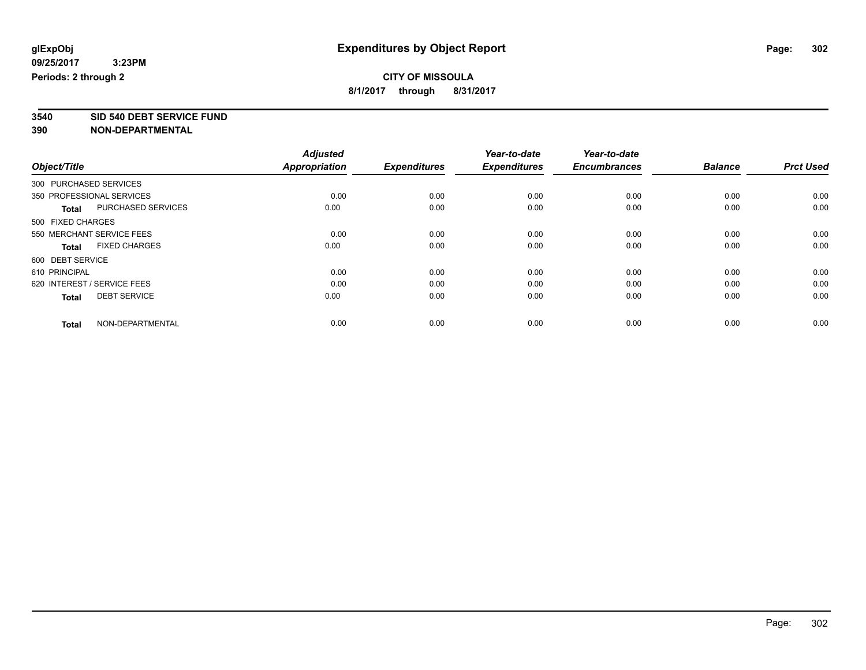**3540 SID 540 DEBT SERVICE FUND**

|                                      | <b>Adjusted</b>      |                     | Year-to-date        | Year-to-date        |                |                  |
|--------------------------------------|----------------------|---------------------|---------------------|---------------------|----------------|------------------|
| Object/Title                         | <b>Appropriation</b> | <b>Expenditures</b> | <b>Expenditures</b> | <b>Encumbrances</b> | <b>Balance</b> | <b>Prct Used</b> |
| 300 PURCHASED SERVICES               |                      |                     |                     |                     |                |                  |
| 350 PROFESSIONAL SERVICES            | 0.00                 | 0.00                | 0.00                | 0.00                | 0.00           | 0.00             |
| PURCHASED SERVICES<br><b>Total</b>   | 0.00                 | 0.00                | 0.00                | 0.00                | 0.00           | 0.00             |
| 500 FIXED CHARGES                    |                      |                     |                     |                     |                |                  |
| 550 MERCHANT SERVICE FEES            | 0.00                 | 0.00                | 0.00                | 0.00                | 0.00           | 0.00             |
| <b>FIXED CHARGES</b><br><b>Total</b> | 0.00                 | 0.00                | 0.00                | 0.00                | 0.00           | 0.00             |
| 600 DEBT SERVICE                     |                      |                     |                     |                     |                |                  |
| 610 PRINCIPAL                        | 0.00                 | 0.00                | 0.00                | 0.00                | 0.00           | 0.00             |
| 620 INTEREST / SERVICE FEES          | 0.00                 | 0.00                | 0.00                | 0.00                | 0.00           | 0.00             |
| <b>DEBT SERVICE</b><br><b>Total</b>  | 0.00                 | 0.00                | 0.00                | 0.00                | 0.00           | 0.00             |
|                                      |                      |                     |                     |                     |                |                  |
| NON-DEPARTMENTAL<br><b>Total</b>     | 0.00                 | 0.00                | 0.00                | 0.00                | 0.00           | 0.00             |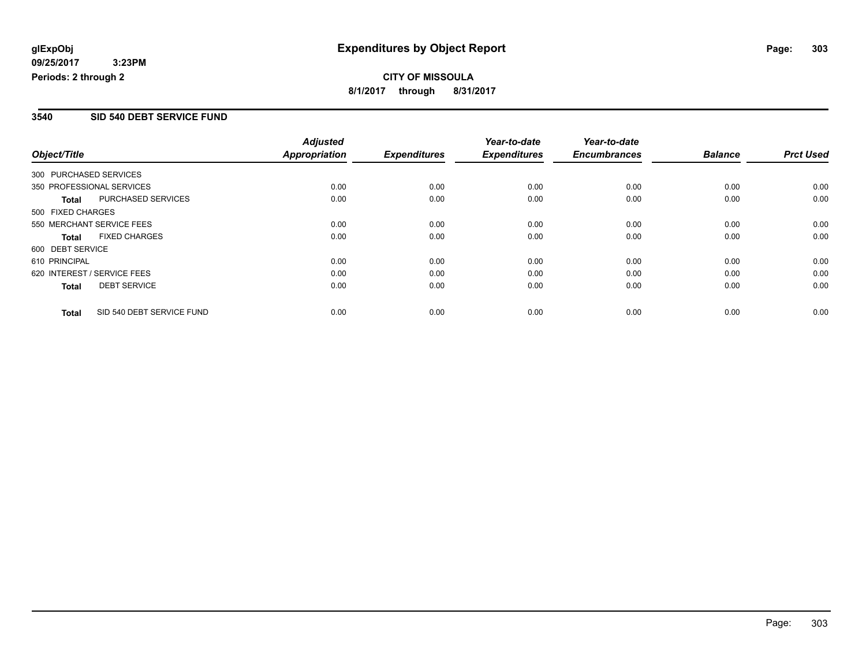## **CITY OF MISSOULA 8/1/2017 through 8/31/2017**

### **3540 SID 540 DEBT SERVICE FUND**

|                        |                             | <b>Adjusted</b>      |                     | Year-to-date        | Year-to-date        |                |                  |
|------------------------|-----------------------------|----------------------|---------------------|---------------------|---------------------|----------------|------------------|
| Object/Title           |                             | <b>Appropriation</b> | <b>Expenditures</b> | <b>Expenditures</b> | <b>Encumbrances</b> | <b>Balance</b> | <b>Prct Used</b> |
| 300 PURCHASED SERVICES |                             |                      |                     |                     |                     |                |                  |
|                        | 350 PROFESSIONAL SERVICES   | 0.00                 | 0.00                | 0.00                | 0.00                | 0.00           | 0.00             |
| Total                  | PURCHASED SERVICES          | 0.00                 | 0.00                | 0.00                | 0.00                | 0.00           | 0.00             |
| 500 FIXED CHARGES      |                             |                      |                     |                     |                     |                |                  |
|                        | 550 MERCHANT SERVICE FEES   | 0.00                 | 0.00                | 0.00                | 0.00                | 0.00           | 0.00             |
| <b>Total</b>           | <b>FIXED CHARGES</b>        | 0.00                 | 0.00                | 0.00                | 0.00                | 0.00           | 0.00             |
| 600 DEBT SERVICE       |                             |                      |                     |                     |                     |                |                  |
| 610 PRINCIPAL          |                             | 0.00                 | 0.00                | 0.00                | 0.00                | 0.00           | 0.00             |
|                        | 620 INTEREST / SERVICE FEES | 0.00                 | 0.00                | 0.00                | 0.00                | 0.00           | 0.00             |
| <b>Total</b>           | <b>DEBT SERVICE</b>         | 0.00                 | 0.00                | 0.00                | 0.00                | 0.00           | 0.00             |
| <b>Total</b>           | SID 540 DEBT SERVICE FUND   | 0.00                 | 0.00                | 0.00                | 0.00                | 0.00           | 0.00             |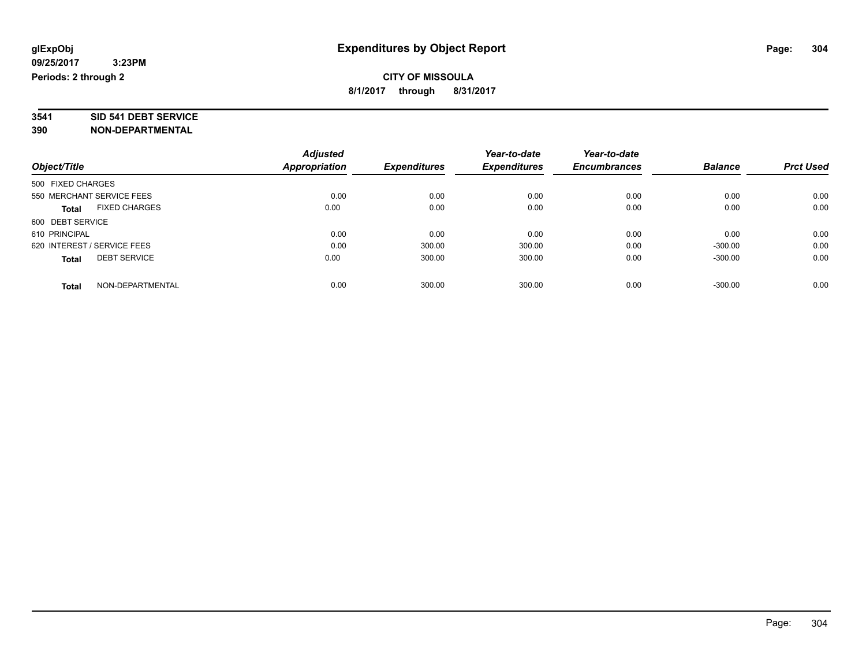# **3541 SID 541 DEBT SERVICE**

|                                      | <b>Adjusted</b> |                     | Year-to-date        | Year-to-date        |                |                  |
|--------------------------------------|-----------------|---------------------|---------------------|---------------------|----------------|------------------|
| Object/Title                         | Appropriation   | <b>Expenditures</b> | <b>Expenditures</b> | <b>Encumbrances</b> | <b>Balance</b> | <b>Prct Used</b> |
| 500 FIXED CHARGES                    |                 |                     |                     |                     |                |                  |
| 550 MERCHANT SERVICE FEES            | 0.00            | 0.00                | 0.00                | 0.00                | 0.00           | 0.00             |
| <b>FIXED CHARGES</b><br><b>Total</b> | 0.00            | 0.00                | 0.00                | 0.00                | 0.00           | 0.00             |
| 600 DEBT SERVICE                     |                 |                     |                     |                     |                |                  |
| 610 PRINCIPAL                        | 0.00            | 0.00                | 0.00                | 0.00                | 0.00           | 0.00             |
| 620 INTEREST / SERVICE FEES          | 0.00            | 300.00              | 300.00              | 0.00                | $-300.00$      | 0.00             |
| <b>DEBT SERVICE</b><br><b>Total</b>  | 0.00            | 300.00              | 300.00              | 0.00                | $-300.00$      | 0.00             |
| NON-DEPARTMENTAL<br><b>Total</b>     | 0.00            | 300.00              | 300.00              | 0.00                | $-300.00$      | 0.00             |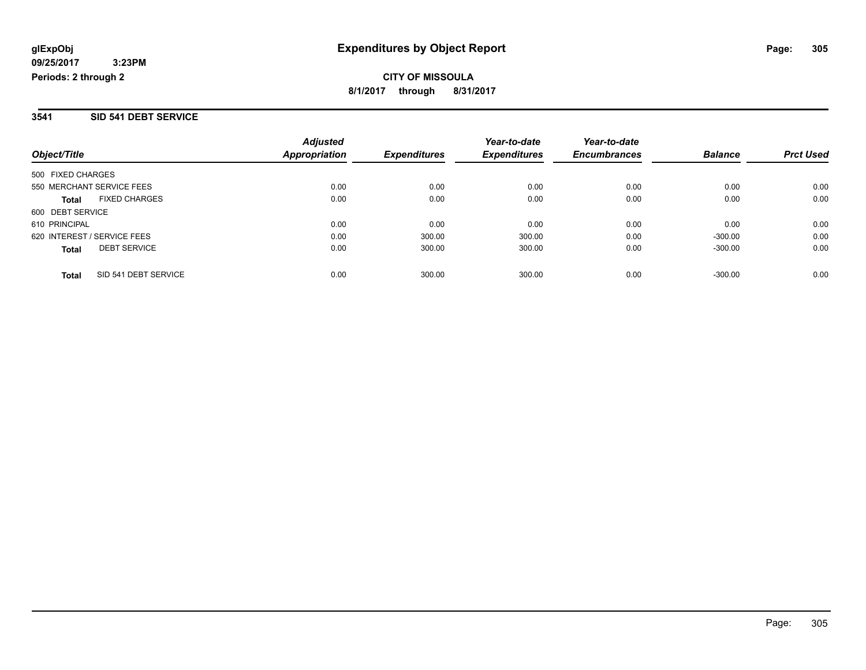#### **3541 SID 541 DEBT SERVICE**

| Object/Title                         | <b>Adjusted</b><br>Appropriation | <b>Expenditures</b> | Year-to-date<br><b>Expenditures</b> | Year-to-date<br><b>Encumbrances</b> | <b>Balance</b> | <b>Prct Used</b> |
|--------------------------------------|----------------------------------|---------------------|-------------------------------------|-------------------------------------|----------------|------------------|
| 500 FIXED CHARGES                    |                                  |                     |                                     |                                     |                |                  |
| 550 MERCHANT SERVICE FEES            | 0.00                             | 0.00                | 0.00                                | 0.00                                | 0.00           | 0.00             |
|                                      |                                  |                     |                                     |                                     |                |                  |
| <b>FIXED CHARGES</b><br><b>Total</b> | 0.00                             | 0.00                | 0.00                                | 0.00                                | 0.00           | 0.00             |
| 600 DEBT SERVICE                     |                                  |                     |                                     |                                     |                |                  |
| 610 PRINCIPAL                        | 0.00                             | 0.00                | 0.00                                | 0.00                                | 0.00           | 0.00             |
| 620 INTEREST / SERVICE FEES          | 0.00                             | 300.00              | 300.00                              | 0.00                                | $-300.00$      | 0.00             |
| <b>DEBT SERVICE</b><br><b>Total</b>  | 0.00                             | 300.00              | 300.00                              | 0.00                                | $-300.00$      | 0.00             |
| SID 541 DEBT SERVICE<br><b>Total</b> | 0.00                             | 300.00              | 300.00                              | 0.00                                | $-300.00$      | 0.00             |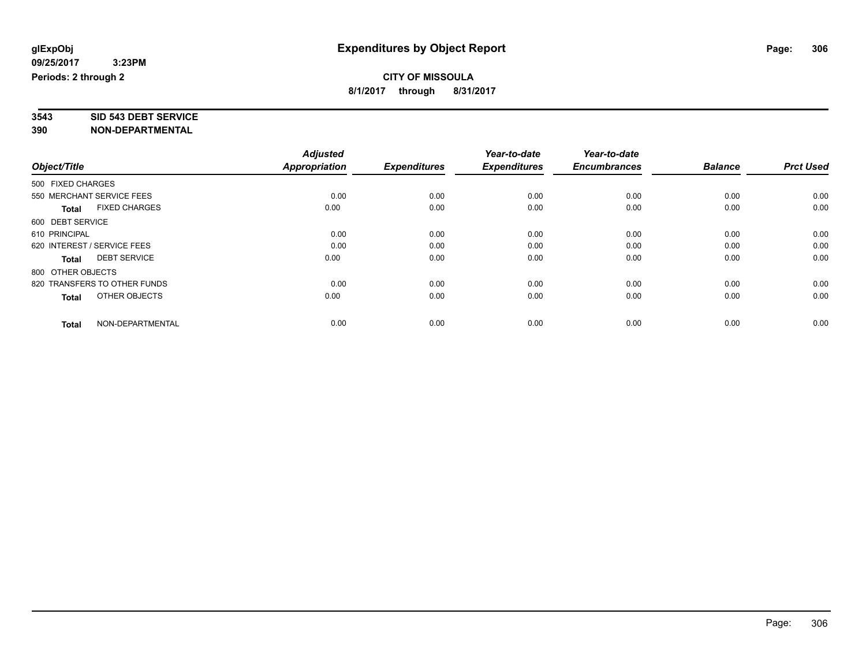# **3543 SID 543 DEBT SERVICE**

|                                      | <b>Adjusted</b> |                     | Year-to-date        | Year-to-date        |                |                  |
|--------------------------------------|-----------------|---------------------|---------------------|---------------------|----------------|------------------|
| Object/Title                         | Appropriation   | <b>Expenditures</b> | <b>Expenditures</b> | <b>Encumbrances</b> | <b>Balance</b> | <b>Prct Used</b> |
| 500 FIXED CHARGES                    |                 |                     |                     |                     |                |                  |
| 550 MERCHANT SERVICE FEES            | 0.00            | 0.00                | 0.00                | 0.00                | 0.00           | 0.00             |
| <b>FIXED CHARGES</b><br><b>Total</b> | 0.00            | 0.00                | 0.00                | 0.00                | 0.00           | 0.00             |
| 600 DEBT SERVICE                     |                 |                     |                     |                     |                |                  |
| 610 PRINCIPAL                        | 0.00            | 0.00                | 0.00                | 0.00                | 0.00           | 0.00             |
| 620 INTEREST / SERVICE FEES          | 0.00            | 0.00                | 0.00                | 0.00                | 0.00           | 0.00             |
| <b>DEBT SERVICE</b><br><b>Total</b>  | 0.00            | 0.00                | 0.00                | 0.00                | 0.00           | 0.00             |
| 800 OTHER OBJECTS                    |                 |                     |                     |                     |                |                  |
| 820 TRANSFERS TO OTHER FUNDS         | 0.00            | 0.00                | 0.00                | 0.00                | 0.00           | 0.00             |
| OTHER OBJECTS<br><b>Total</b>        | 0.00            | 0.00                | 0.00                | 0.00                | 0.00           | 0.00             |
|                                      |                 |                     |                     |                     |                |                  |
| NON-DEPARTMENTAL<br><b>Total</b>     | 0.00            | 0.00                | 0.00                | 0.00                | 0.00           | 0.00             |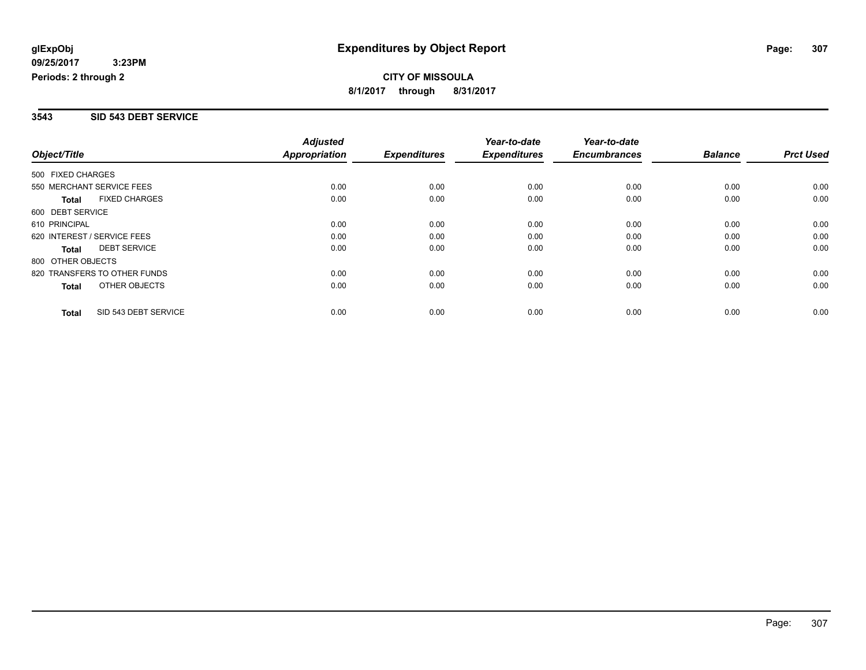#### **3543 SID 543 DEBT SERVICE**

|                                      | <b>Adjusted</b>      |                     | Year-to-date        | Year-to-date        |                |                  |
|--------------------------------------|----------------------|---------------------|---------------------|---------------------|----------------|------------------|
| Object/Title                         | <b>Appropriation</b> | <b>Expenditures</b> | <b>Expenditures</b> | <b>Encumbrances</b> | <b>Balance</b> | <b>Prct Used</b> |
| 500 FIXED CHARGES                    |                      |                     |                     |                     |                |                  |
| 550 MERCHANT SERVICE FEES            | 0.00                 | 0.00                | 0.00                | 0.00                | 0.00           | 0.00             |
| <b>FIXED CHARGES</b><br><b>Total</b> | 0.00                 | 0.00                | 0.00                | 0.00                | 0.00           | 0.00             |
| 600 DEBT SERVICE                     |                      |                     |                     |                     |                |                  |
| 610 PRINCIPAL                        | 0.00                 | 0.00                | 0.00                | 0.00                | 0.00           | 0.00             |
| 620 INTEREST / SERVICE FEES          | 0.00                 | 0.00                | 0.00                | 0.00                | 0.00           | 0.00             |
| <b>DEBT SERVICE</b><br><b>Total</b>  | 0.00                 | 0.00                | 0.00                | 0.00                | 0.00           | 0.00             |
| 800 OTHER OBJECTS                    |                      |                     |                     |                     |                |                  |
| 820 TRANSFERS TO OTHER FUNDS         | 0.00                 | 0.00                | 0.00                | 0.00                | 0.00           | 0.00             |
| OTHER OBJECTS<br><b>Total</b>        | 0.00                 | 0.00                | 0.00                | 0.00                | 0.00           | 0.00             |
| SID 543 DEBT SERVICE<br><b>Total</b> | 0.00                 | 0.00                | 0.00                | 0.00                | 0.00           | 0.00             |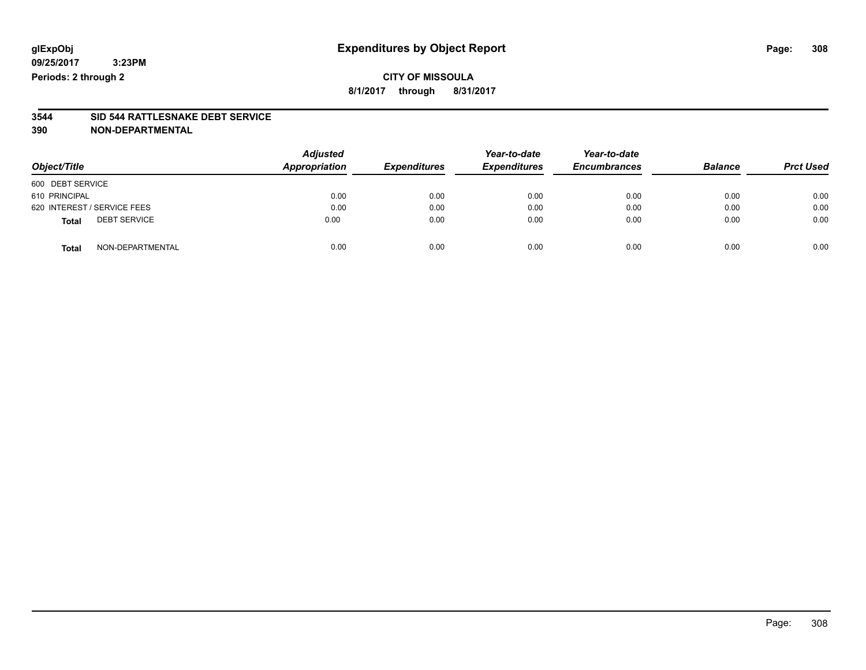### **CITY OF MISSOULA 8/1/2017 through 8/31/2017**

# **3544 SID 544 RATTLESNAKE DEBT SERVICE**

| Object/Title                        | <b>Adjusted</b><br>Appropriation | <b>Expenditures</b> | Year-to-date<br><b>Expenditures</b> | Year-to-date<br><b>Encumbrances</b> | <b>Balance</b> | <b>Prct Used</b> |
|-------------------------------------|----------------------------------|---------------------|-------------------------------------|-------------------------------------|----------------|------------------|
| 600 DEBT SERVICE                    |                                  |                     |                                     |                                     |                |                  |
| 610 PRINCIPAL                       | 0.00                             | 0.00                | 0.00                                | 0.00                                | 0.00           | 0.00             |
| 620 INTEREST / SERVICE FEES         | 0.00                             | 0.00                | 0.00                                | 0.00                                | 0.00           | 0.00             |
| <b>DEBT SERVICE</b><br><b>Total</b> | 0.00                             | 0.00                | 0.00                                | 0.00                                | 0.00           | 0.00             |
| NON-DEPARTMENTAL<br><b>Total</b>    | 0.00                             | 0.00                | 0.00                                | 0.00                                | 0.00           | 0.00             |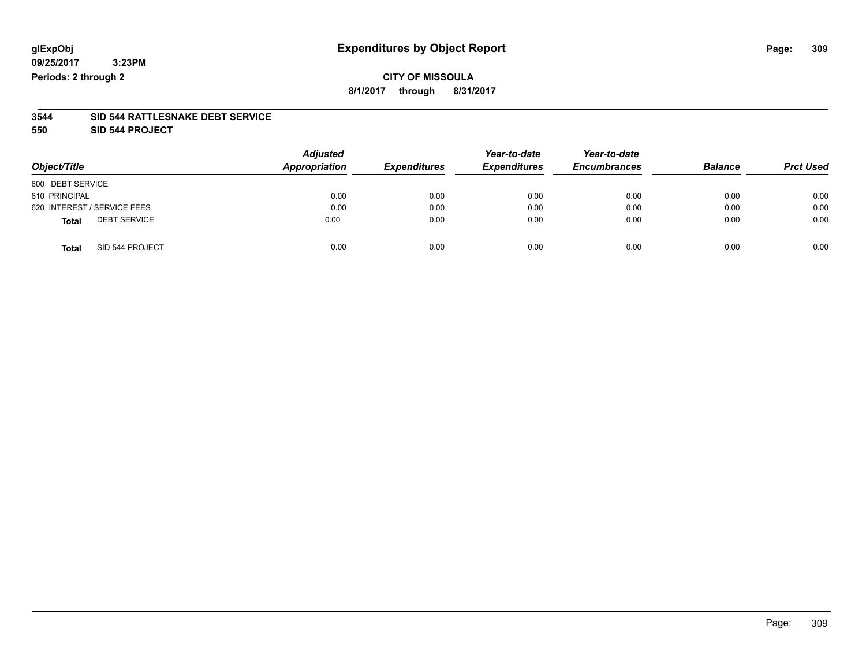### **CITY OF MISSOULA 8/1/2017 through 8/31/2017**

#### **3544 SID 544 RATTLESNAKE DEBT SERVICE**

**550 SID 544 PROJECT**

|                                     | <b>Adjusted</b> |                     | Year-to-date        | Year-to-date        |                |                  |
|-------------------------------------|-----------------|---------------------|---------------------|---------------------|----------------|------------------|
| Object/Title                        | Appropriation   | <b>Expenditures</b> | <b>Expenditures</b> | <b>Encumbrances</b> | <b>Balance</b> | <b>Prct Used</b> |
| 600 DEBT SERVICE                    |                 |                     |                     |                     |                |                  |
| 610 PRINCIPAL                       | 0.00            | 0.00                | 0.00                | 0.00                | 0.00           | 0.00             |
| 620 INTEREST / SERVICE FEES         | 0.00            | 0.00                | 0.00                | 0.00                | 0.00           | 0.00             |
| <b>DEBT SERVICE</b><br><b>Total</b> | 0.00            | 0.00                | 0.00                | 0.00                | 0.00           | 0.00             |
| SID 544 PROJECT<br><b>Total</b>     | 0.00            | 0.00                | 0.00                | 0.00                | 0.00           | 0.00             |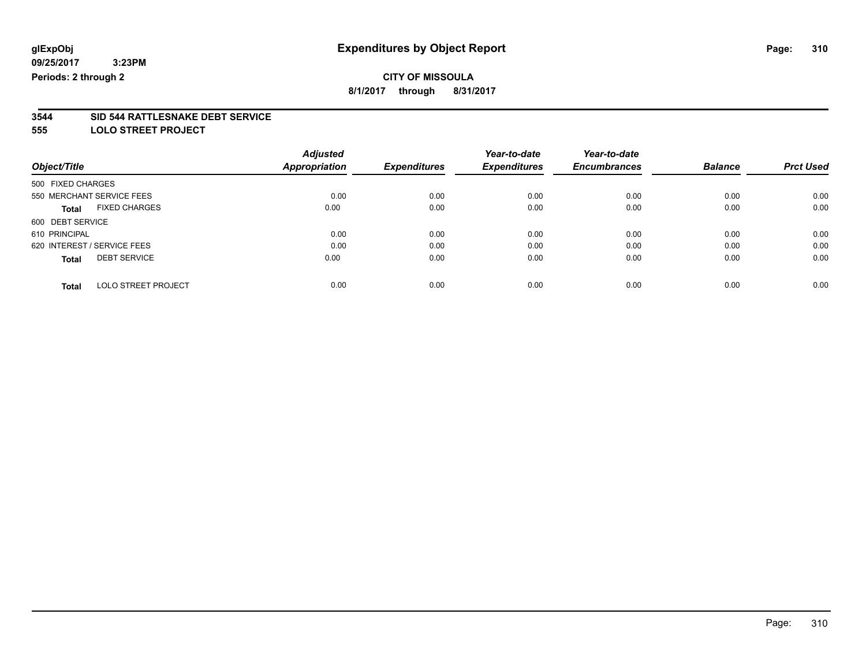# **CITY OF MISSOULA**

**8/1/2017 through 8/31/2017**

# **3544 SID 544 RATTLESNAKE DEBT SERVICE**

**555 LOLO STREET PROJECT**

|                             |                            | <b>Adjusted</b>      |                     | Year-to-date        | Year-to-date        |                |                  |
|-----------------------------|----------------------------|----------------------|---------------------|---------------------|---------------------|----------------|------------------|
| Object/Title                |                            | <b>Appropriation</b> | <b>Expenditures</b> | <b>Expenditures</b> | <b>Encumbrances</b> | <b>Balance</b> | <b>Prct Used</b> |
| 500 FIXED CHARGES           |                            |                      |                     |                     |                     |                |                  |
| 550 MERCHANT SERVICE FEES   |                            | 0.00                 | 0.00                | 0.00                | 0.00                | 0.00           | 0.00             |
| <b>Total</b>                | <b>FIXED CHARGES</b>       | 0.00                 | 0.00                | 0.00                | 0.00                | 0.00           | 0.00             |
| 600 DEBT SERVICE            |                            |                      |                     |                     |                     |                |                  |
| 610 PRINCIPAL               |                            | 0.00                 | 0.00                | 0.00                | 0.00                | 0.00           | 0.00             |
| 620 INTEREST / SERVICE FEES |                            | 0.00                 | 0.00                | 0.00                | 0.00                | 0.00           | 0.00             |
| <b>Total</b>                | <b>DEBT SERVICE</b>        | 0.00                 | 0.00                | 0.00                | 0.00                | 0.00           | 0.00             |
| <b>Total</b>                | <b>LOLO STREET PROJECT</b> | 0.00                 | 0.00                | 0.00                | 0.00                | 0.00           | 0.00             |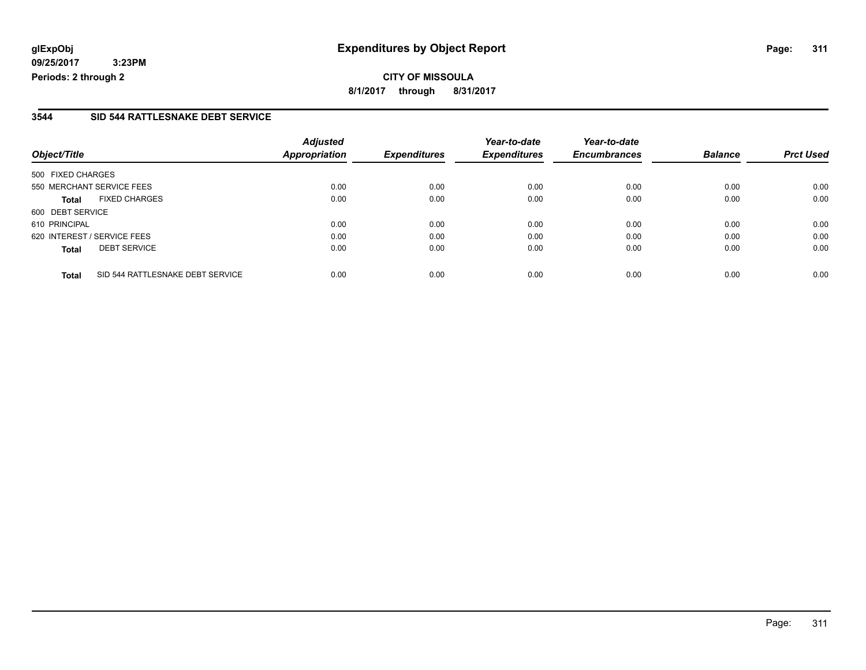**CITY OF MISSOULA 8/1/2017 through 8/31/2017**

#### **3544 SID 544 RATTLESNAKE DEBT SERVICE**

| Object/Title                                     | <b>Adjusted</b><br>Appropriation | <b>Expenditures</b> | Year-to-date<br><b>Expenditures</b> | Year-to-date<br><b>Encumbrances</b> | <b>Balance</b> | <b>Prct Used</b> |
|--------------------------------------------------|----------------------------------|---------------------|-------------------------------------|-------------------------------------|----------------|------------------|
| 500 FIXED CHARGES                                |                                  |                     |                                     |                                     |                |                  |
| 550 MERCHANT SERVICE FEES                        | 0.00                             | 0.00                | 0.00                                | 0.00                                | 0.00           | 0.00             |
| <b>FIXED CHARGES</b><br><b>Total</b>             | 0.00                             | 0.00                | 0.00                                | 0.00                                | 0.00           | 0.00             |
| 600 DEBT SERVICE                                 |                                  |                     |                                     |                                     |                |                  |
| 610 PRINCIPAL                                    | 0.00                             | 0.00                | 0.00                                | 0.00                                | 0.00           | 0.00             |
| 620 INTEREST / SERVICE FEES                      | 0.00                             | 0.00                | 0.00                                | 0.00                                | 0.00           | 0.00             |
| <b>DEBT SERVICE</b><br><b>Total</b>              | 0.00                             | 0.00                | 0.00                                | 0.00                                | 0.00           | 0.00             |
| SID 544 RATTLESNAKE DEBT SERVICE<br><b>Total</b> | 0.00                             | 0.00                | 0.00                                | 0.00                                | 0.00           | 0.00             |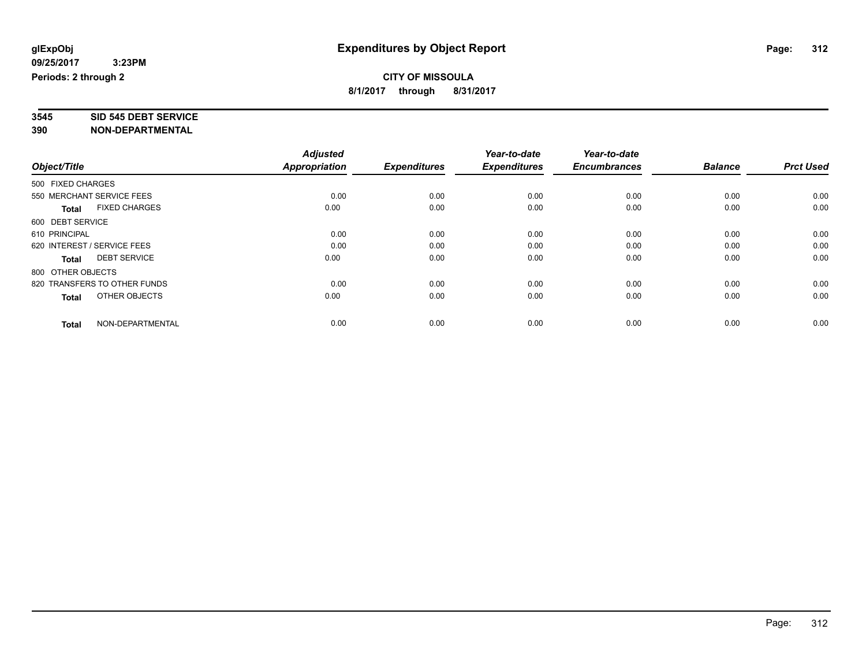# **3545 SID 545 DEBT SERVICE**

|                                      | <b>Adjusted</b>      |                     | Year-to-date        | Year-to-date        |                |                  |
|--------------------------------------|----------------------|---------------------|---------------------|---------------------|----------------|------------------|
| Object/Title                         | <b>Appropriation</b> | <b>Expenditures</b> | <b>Expenditures</b> | <b>Encumbrances</b> | <b>Balance</b> | <b>Prct Used</b> |
| 500 FIXED CHARGES                    |                      |                     |                     |                     |                |                  |
| 550 MERCHANT SERVICE FEES            | 0.00                 | 0.00                | 0.00                | 0.00                | 0.00           | 0.00             |
| <b>FIXED CHARGES</b><br><b>Total</b> | 0.00                 | 0.00                | 0.00                | 0.00                | 0.00           | 0.00             |
| 600 DEBT SERVICE                     |                      |                     |                     |                     |                |                  |
| 610 PRINCIPAL                        | 0.00                 | 0.00                | 0.00                | 0.00                | 0.00           | 0.00             |
| 620 INTEREST / SERVICE FEES          | 0.00                 | 0.00                | 0.00                | 0.00                | 0.00           | 0.00             |
| <b>DEBT SERVICE</b><br><b>Total</b>  | 0.00                 | 0.00                | 0.00                | 0.00                | 0.00           | 0.00             |
| 800 OTHER OBJECTS                    |                      |                     |                     |                     |                |                  |
| 820 TRANSFERS TO OTHER FUNDS         | 0.00                 | 0.00                | 0.00                | 0.00                | 0.00           | 0.00             |
| OTHER OBJECTS<br><b>Total</b>        | 0.00                 | 0.00                | 0.00                | 0.00                | 0.00           | 0.00             |
|                                      |                      |                     |                     |                     |                |                  |
| NON-DEPARTMENTAL<br><b>Total</b>     | 0.00                 | 0.00                | 0.00                | 0.00                | 0.00           | 0.00             |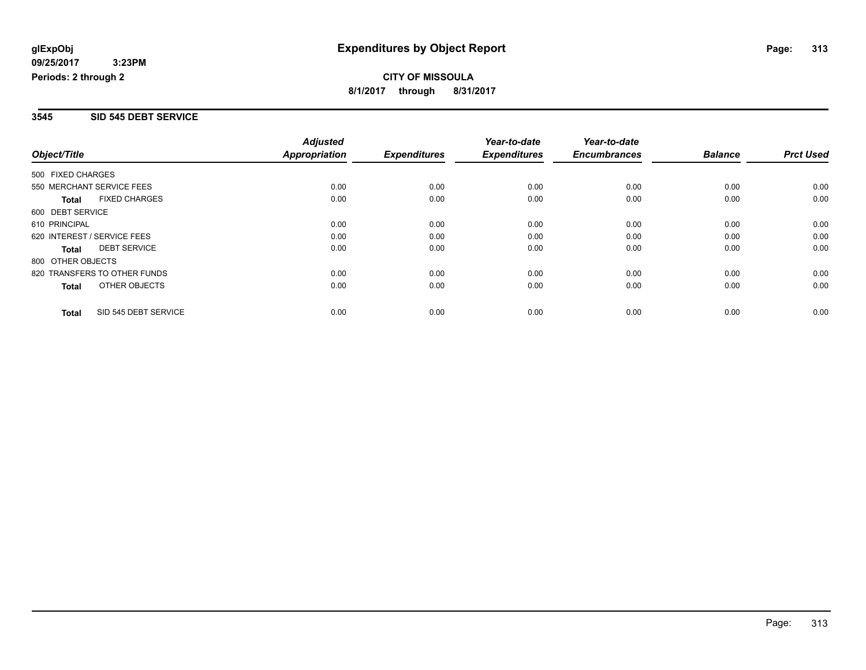#### **3545 SID 545 DEBT SERVICE**

|                   |                              | <b>Adjusted</b>      |                     | Year-to-date        | Year-to-date        |                |                  |
|-------------------|------------------------------|----------------------|---------------------|---------------------|---------------------|----------------|------------------|
| Object/Title      |                              | <b>Appropriation</b> | <b>Expenditures</b> | <b>Expenditures</b> | <b>Encumbrances</b> | <b>Balance</b> | <b>Prct Used</b> |
| 500 FIXED CHARGES |                              |                      |                     |                     |                     |                |                  |
|                   | 550 MERCHANT SERVICE FEES    | 0.00                 | 0.00                | 0.00                | 0.00                | 0.00           | 0.00             |
| <b>Total</b>      | <b>FIXED CHARGES</b>         | 0.00                 | 0.00                | 0.00                | 0.00                | 0.00           | 0.00             |
| 600 DEBT SERVICE  |                              |                      |                     |                     |                     |                |                  |
| 610 PRINCIPAL     |                              | 0.00                 | 0.00                | 0.00                | 0.00                | 0.00           | 0.00             |
|                   | 620 INTEREST / SERVICE FEES  | 0.00                 | 0.00                | 0.00                | 0.00                | 0.00           | 0.00             |
| Total             | <b>DEBT SERVICE</b>          | 0.00                 | 0.00                | 0.00                | 0.00                | 0.00           | 0.00             |
| 800 OTHER OBJECTS |                              |                      |                     |                     |                     |                |                  |
|                   | 820 TRANSFERS TO OTHER FUNDS | 0.00                 | 0.00                | 0.00                | 0.00                | 0.00           | 0.00             |
| <b>Total</b>      | OTHER OBJECTS                | 0.00                 | 0.00                | 0.00                | 0.00                | 0.00           | 0.00             |
| <b>Total</b>      | SID 545 DEBT SERVICE         | 0.00                 | 0.00                | 0.00                | 0.00                | 0.00           | 0.00             |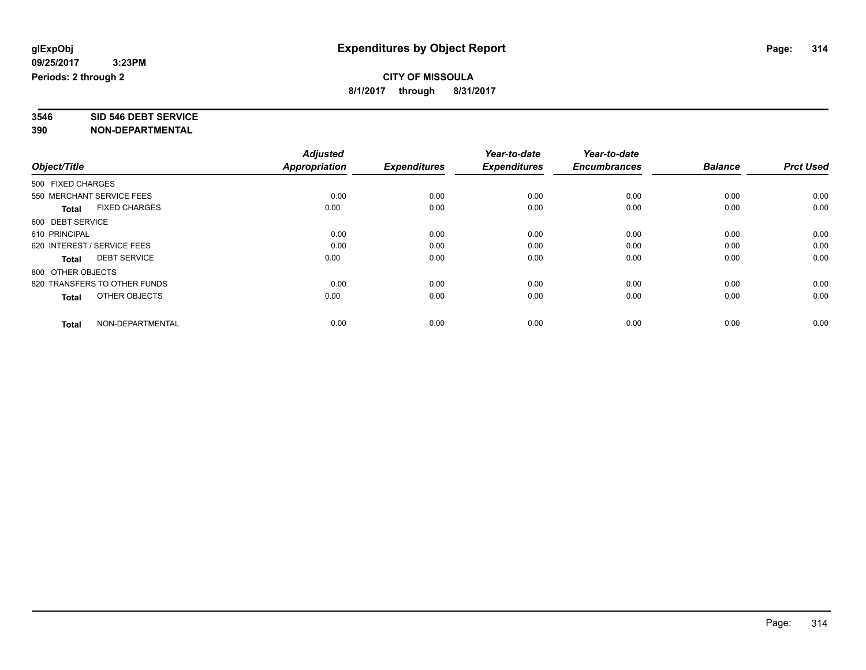# **3546 SID 546 DEBT SERVICE**

|                                      | <b>Adjusted</b> |                     | Year-to-date        | Year-to-date        |                |                  |
|--------------------------------------|-----------------|---------------------|---------------------|---------------------|----------------|------------------|
| Object/Title                         | Appropriation   | <b>Expenditures</b> | <b>Expenditures</b> | <b>Encumbrances</b> | <b>Balance</b> | <b>Prct Used</b> |
| 500 FIXED CHARGES                    |                 |                     |                     |                     |                |                  |
| 550 MERCHANT SERVICE FEES            | 0.00            | 0.00                | 0.00                | 0.00                | 0.00           | 0.00             |
| <b>FIXED CHARGES</b><br><b>Total</b> | 0.00            | 0.00                | 0.00                | 0.00                | 0.00           | 0.00             |
| 600 DEBT SERVICE                     |                 |                     |                     |                     |                |                  |
| 610 PRINCIPAL                        | 0.00            | 0.00                | 0.00                | 0.00                | 0.00           | 0.00             |
| 620 INTEREST / SERVICE FEES          | 0.00            | 0.00                | 0.00                | 0.00                | 0.00           | 0.00             |
| <b>DEBT SERVICE</b><br><b>Total</b>  | 0.00            | 0.00                | 0.00                | 0.00                | 0.00           | 0.00             |
| 800 OTHER OBJECTS                    |                 |                     |                     |                     |                |                  |
| 820 TRANSFERS TO OTHER FUNDS         | 0.00            | 0.00                | 0.00                | 0.00                | 0.00           | 0.00             |
| OTHER OBJECTS<br><b>Total</b>        | 0.00            | 0.00                | 0.00                | 0.00                | 0.00           | 0.00             |
|                                      |                 |                     |                     |                     |                |                  |
| NON-DEPARTMENTAL<br><b>Total</b>     | 0.00            | 0.00                | 0.00                | 0.00                | 0.00           | 0.00             |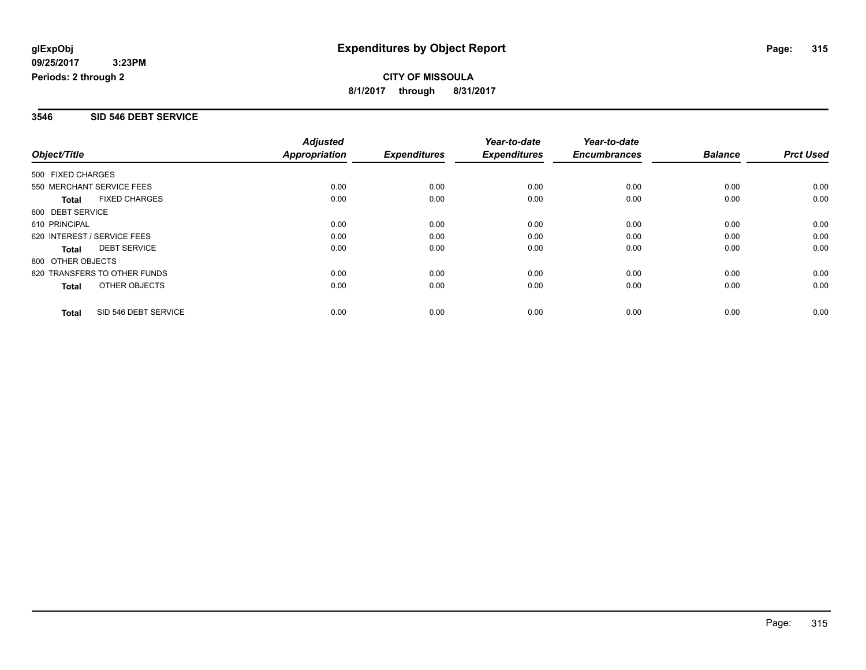#### **3546 SID 546 DEBT SERVICE**

|                              |                      | <b>Adjusted</b>      |                     | Year-to-date        | Year-to-date        |                |                  |
|------------------------------|----------------------|----------------------|---------------------|---------------------|---------------------|----------------|------------------|
| Object/Title                 |                      | <b>Appropriation</b> | <b>Expenditures</b> | <b>Expenditures</b> | <b>Encumbrances</b> | <b>Balance</b> | <b>Prct Used</b> |
| 500 FIXED CHARGES            |                      |                      |                     |                     |                     |                |                  |
| 550 MERCHANT SERVICE FEES    |                      | 0.00                 | 0.00                | 0.00                | 0.00                | 0.00           | 0.00             |
| <b>Total</b>                 | <b>FIXED CHARGES</b> | 0.00                 | 0.00                | 0.00                | 0.00                | 0.00           | 0.00             |
| 600 DEBT SERVICE             |                      |                      |                     |                     |                     |                |                  |
| 610 PRINCIPAL                |                      | 0.00                 | 0.00                | 0.00                | 0.00                | 0.00           | 0.00             |
| 620 INTEREST / SERVICE FEES  |                      | 0.00                 | 0.00                | 0.00                | 0.00                | 0.00           | 0.00             |
| <b>Total</b>                 | <b>DEBT SERVICE</b>  | 0.00                 | 0.00                | 0.00                | 0.00                | 0.00           | 0.00             |
| 800 OTHER OBJECTS            |                      |                      |                     |                     |                     |                |                  |
| 820 TRANSFERS TO OTHER FUNDS |                      | 0.00                 | 0.00                | 0.00                | 0.00                | 0.00           | 0.00             |
| Total                        | OTHER OBJECTS        | 0.00                 | 0.00                | 0.00                | 0.00                | 0.00           | 0.00             |
| <b>Total</b>                 | SID 546 DEBT SERVICE | 0.00                 | 0.00                | 0.00                | 0.00                | 0.00           | 0.00             |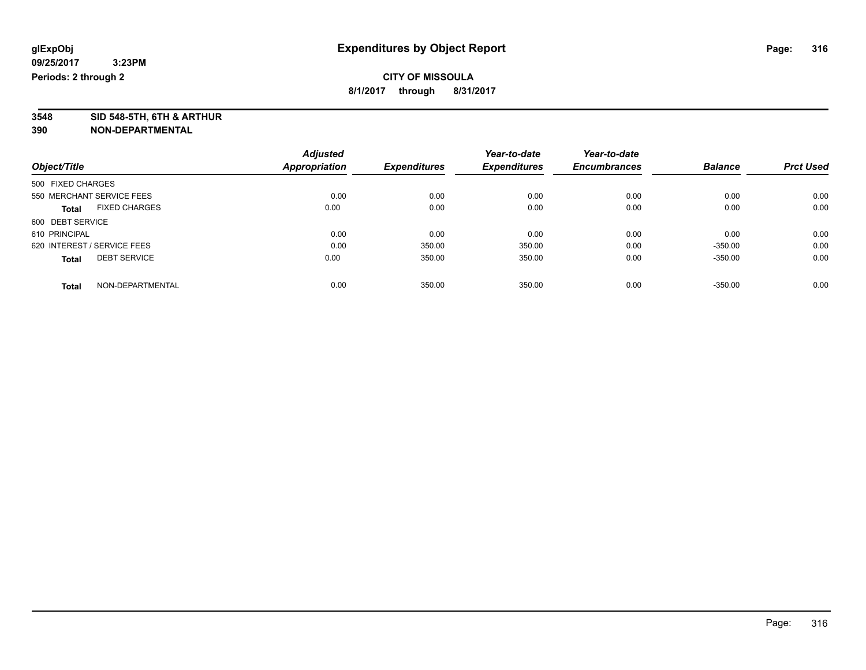**3548 SID 548-5TH, 6TH & ARTHUR**

|                                      | <b>Adjusted</b> |                     | Year-to-date        | Year-to-date        |                |                  |
|--------------------------------------|-----------------|---------------------|---------------------|---------------------|----------------|------------------|
| Object/Title                         | Appropriation   | <b>Expenditures</b> | <b>Expenditures</b> | <b>Encumbrances</b> | <b>Balance</b> | <b>Prct Used</b> |
| 500 FIXED CHARGES                    |                 |                     |                     |                     |                |                  |
| 550 MERCHANT SERVICE FEES            | 0.00            | 0.00                | 0.00                | 0.00                | 0.00           | 0.00             |
| <b>FIXED CHARGES</b><br><b>Total</b> | 0.00            | 0.00                | 0.00                | 0.00                | 0.00           | 0.00             |
| 600 DEBT SERVICE                     |                 |                     |                     |                     |                |                  |
| 610 PRINCIPAL                        | 0.00            | 0.00                | 0.00                | 0.00                | 0.00           | 0.00             |
| 620 INTEREST / SERVICE FEES          | 0.00            | 350.00              | 350.00              | 0.00                | $-350.00$      | 0.00             |
| <b>DEBT SERVICE</b><br><b>Total</b>  | 0.00            | 350.00              | 350.00              | 0.00                | $-350.00$      | 0.00             |
| NON-DEPARTMENTAL<br><b>Total</b>     | 0.00            | 350.00              | 350.00              | 0.00                | $-350.00$      | 0.00             |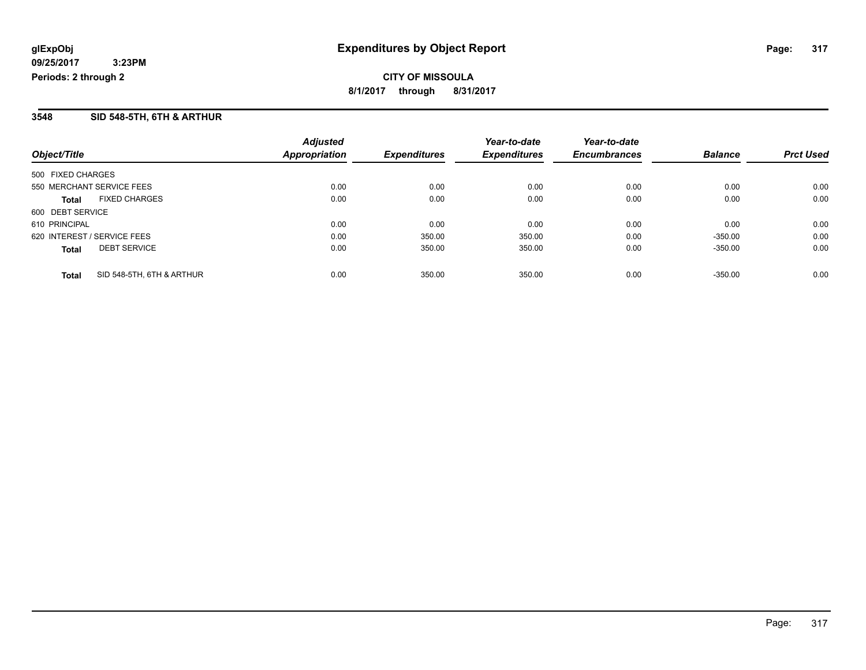**CITY OF MISSOULA 8/1/2017 through 8/31/2017**

#### **3548 SID 548-5TH, 6TH & ARTHUR**

| Object/Title                              | <b>Adjusted</b><br><b>Appropriation</b> | <b>Expenditures</b> | Year-to-date<br><b>Expenditures</b> | Year-to-date<br><b>Encumbrances</b> | <b>Balance</b> | <b>Prct Used</b> |
|-------------------------------------------|-----------------------------------------|---------------------|-------------------------------------|-------------------------------------|----------------|------------------|
|                                           |                                         |                     |                                     |                                     |                |                  |
| 500 FIXED CHARGES                         |                                         |                     |                                     |                                     |                |                  |
| 550 MERCHANT SERVICE FEES                 | 0.00                                    | 0.00                | 0.00                                | 0.00                                | 0.00           | 0.00             |
| <b>FIXED CHARGES</b><br><b>Total</b>      | 0.00                                    | 0.00                | 0.00                                | 0.00                                | 0.00           | 0.00             |
| 600 DEBT SERVICE                          |                                         |                     |                                     |                                     |                |                  |
| 610 PRINCIPAL                             | 0.00                                    | 0.00                | 0.00                                | 0.00                                | 0.00           | 0.00             |
| 620 INTEREST / SERVICE FEES               | 0.00                                    | 350.00              | 350.00                              | 0.00                                | $-350.00$      | 0.00             |
| <b>DEBT SERVICE</b><br><b>Total</b>       | 0.00                                    | 350.00              | 350.00                              | 0.00                                | $-350.00$      | 0.00             |
| SID 548-5TH, 6TH & ARTHUR<br><b>Total</b> | 0.00                                    | 350.00              | 350.00                              | 0.00                                | $-350.00$      | 0.00             |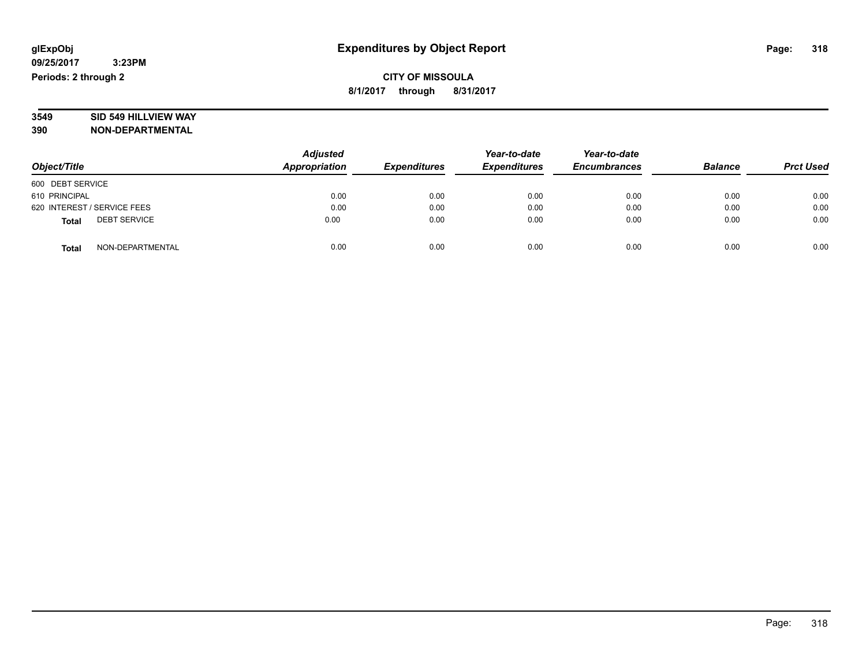# **3549 SID 549 HILLVIEW WAY**

|                                     | <b>Adjusted</b> |                     | Year-to-date        | Year-to-date        |                |                  |
|-------------------------------------|-----------------|---------------------|---------------------|---------------------|----------------|------------------|
| Object/Title                        | Appropriation   | <b>Expenditures</b> | <b>Expenditures</b> | <b>Encumbrances</b> | <b>Balance</b> | <b>Prct Used</b> |
| 600 DEBT SERVICE                    |                 |                     |                     |                     |                |                  |
| 610 PRINCIPAL                       | 0.00            | 0.00                | 0.00                | 0.00                | 0.00           | 0.00             |
| 620 INTEREST / SERVICE FEES         | 0.00            | 0.00                | 0.00                | 0.00                | 0.00           | 0.00             |
| <b>DEBT SERVICE</b><br><b>Total</b> | 0.00            | 0.00                | 0.00                | 0.00                | 0.00           | 0.00             |
| NON-DEPARTMENTAL<br><b>Total</b>    | 0.00            | 0.00                | 0.00                | 0.00                | 0.00           | 0.00             |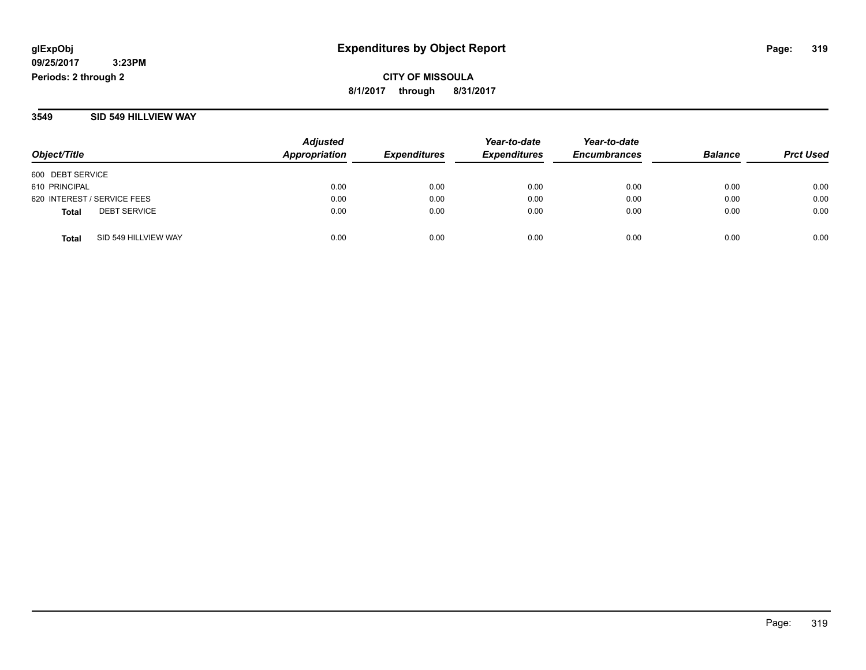**CITY OF MISSOULA 8/1/2017 through 8/31/2017**

#### **3549 SID 549 HILLVIEW WAY**

| Object/Title                         | <b>Adjusted</b><br><b>Appropriation</b> | <b>Expenditures</b> | Year-to-date<br><b>Expenditures</b> | Year-to-date<br><b>Encumbrances</b> | <b>Balance</b> | <b>Prct Used</b> |
|--------------------------------------|-----------------------------------------|---------------------|-------------------------------------|-------------------------------------|----------------|------------------|
| 600 DEBT SERVICE                     |                                         |                     |                                     |                                     |                |                  |
| 610 PRINCIPAL                        | 0.00                                    | 0.00                | 0.00                                | 0.00                                | 0.00           | 0.00             |
| 620 INTEREST / SERVICE FEES          | 0.00                                    | 0.00                | 0.00                                | 0.00                                | 0.00           | 0.00             |
| <b>DEBT SERVICE</b><br>Total         | 0.00                                    | 0.00                | 0.00                                | 0.00                                | 0.00           | 0.00             |
| SID 549 HILLVIEW WAY<br><b>Total</b> | 0.00                                    | 0.00                | 0.00                                | 0.00                                | 0.00           | 0.00             |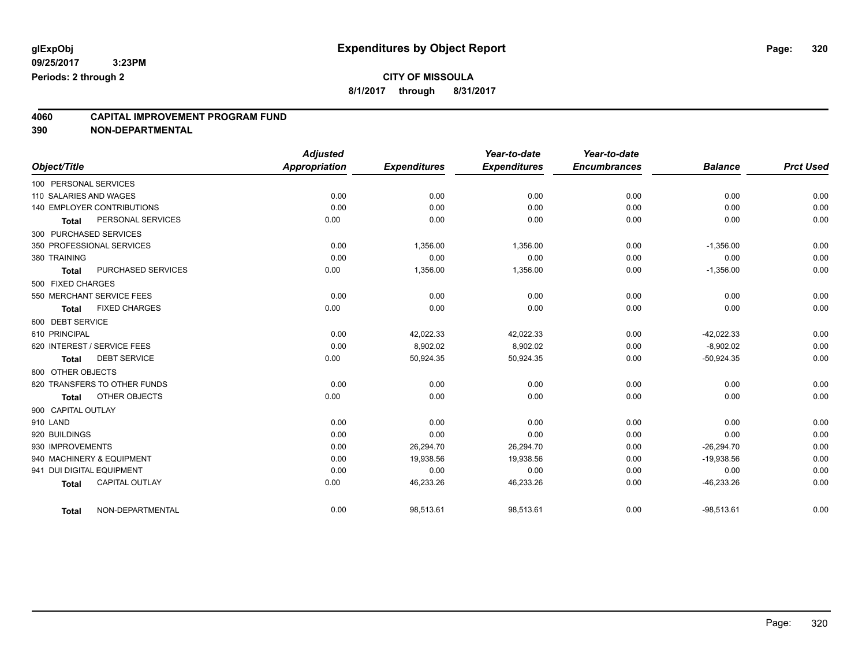## **CITY OF MISSOULA**

**8/1/2017 through 8/31/2017**

# **4060 CAPITAL IMPROVEMENT PROGRAM FUND**

| Object/Title              |                                   | <b>Adjusted</b><br><b>Appropriation</b> | <b>Expenditures</b> | Year-to-date<br><b>Expenditures</b> | Year-to-date<br><b>Encumbrances</b> | <b>Balance</b> | <b>Prct Used</b> |
|---------------------------|-----------------------------------|-----------------------------------------|---------------------|-------------------------------------|-------------------------------------|----------------|------------------|
|                           |                                   |                                         |                     |                                     |                                     |                |                  |
| 100 PERSONAL SERVICES     |                                   |                                         |                     |                                     |                                     |                |                  |
| 110 SALARIES AND WAGES    |                                   | 0.00                                    | 0.00                | 0.00                                | 0.00                                | 0.00           | 0.00             |
|                           | <b>140 EMPLOYER CONTRIBUTIONS</b> | 0.00                                    | 0.00                | 0.00                                | 0.00                                | 0.00           | 0.00             |
| Total                     | PERSONAL SERVICES                 | 0.00                                    | 0.00                | 0.00                                | 0.00                                | 0.00           | 0.00             |
| 300 PURCHASED SERVICES    |                                   |                                         |                     |                                     |                                     |                |                  |
|                           | 350 PROFESSIONAL SERVICES         | 0.00                                    | 1,356.00            | 1,356.00                            | 0.00                                | $-1,356.00$    | 0.00             |
| 380 TRAINING              |                                   | 0.00                                    | 0.00                | 0.00                                | 0.00                                | 0.00           | 0.00             |
| <b>Total</b>              | PURCHASED SERVICES                | 0.00                                    | 1,356.00            | 1,356.00                            | 0.00                                | $-1,356.00$    | 0.00             |
| 500 FIXED CHARGES         |                                   |                                         |                     |                                     |                                     |                |                  |
|                           | 550 MERCHANT SERVICE FEES         | 0.00                                    | 0.00                | 0.00                                | 0.00                                | 0.00           | 0.00             |
| <b>Total</b>              | <b>FIXED CHARGES</b>              | 0.00                                    | 0.00                | 0.00                                | 0.00                                | 0.00           | 0.00             |
| 600 DEBT SERVICE          |                                   |                                         |                     |                                     |                                     |                |                  |
| 610 PRINCIPAL             |                                   | 0.00                                    | 42.022.33           | 42,022.33                           | 0.00                                | $-42.022.33$   | 0.00             |
|                           | 620 INTEREST / SERVICE FEES       | 0.00                                    | 8,902.02            | 8,902.02                            | 0.00                                | $-8,902.02$    | 0.00             |
| <b>Total</b>              | <b>DEBT SERVICE</b>               | 0.00                                    | 50,924.35           | 50,924.35                           | 0.00                                | $-50,924.35$   | 0.00             |
| 800 OTHER OBJECTS         |                                   |                                         |                     |                                     |                                     |                |                  |
|                           | 820 TRANSFERS TO OTHER FUNDS      | 0.00                                    | 0.00                | 0.00                                | 0.00                                | 0.00           | 0.00             |
| <b>Total</b>              | OTHER OBJECTS                     | 0.00                                    | 0.00                | 0.00                                | 0.00                                | 0.00           | 0.00             |
| 900 CAPITAL OUTLAY        |                                   |                                         |                     |                                     |                                     |                |                  |
| 910 LAND                  |                                   | 0.00                                    | 0.00                | 0.00                                | 0.00                                | 0.00           | 0.00             |
| 920 BUILDINGS             |                                   | 0.00                                    | 0.00                | 0.00                                | 0.00                                | 0.00           | 0.00             |
| 930 IMPROVEMENTS          |                                   | 0.00                                    | 26,294.70           | 26,294.70                           | 0.00                                | $-26,294.70$   | 0.00             |
|                           | 940 MACHINERY & EQUIPMENT         | 0.00                                    | 19,938.56           | 19,938.56                           | 0.00                                | $-19,938.56$   | 0.00             |
| 941 DUI DIGITAL EQUIPMENT |                                   | 0.00                                    | 0.00                | 0.00                                | 0.00                                | 0.00           | 0.00             |
| <b>Total</b>              | <b>CAPITAL OUTLAY</b>             | 0.00                                    | 46,233.26           | 46,233.26                           | 0.00                                | $-46,233.26$   | 0.00             |
| <b>Total</b>              | NON-DEPARTMENTAL                  | 0.00                                    | 98,513.61           | 98,513.61                           | 0.00                                | $-98,513.61$   | 0.00             |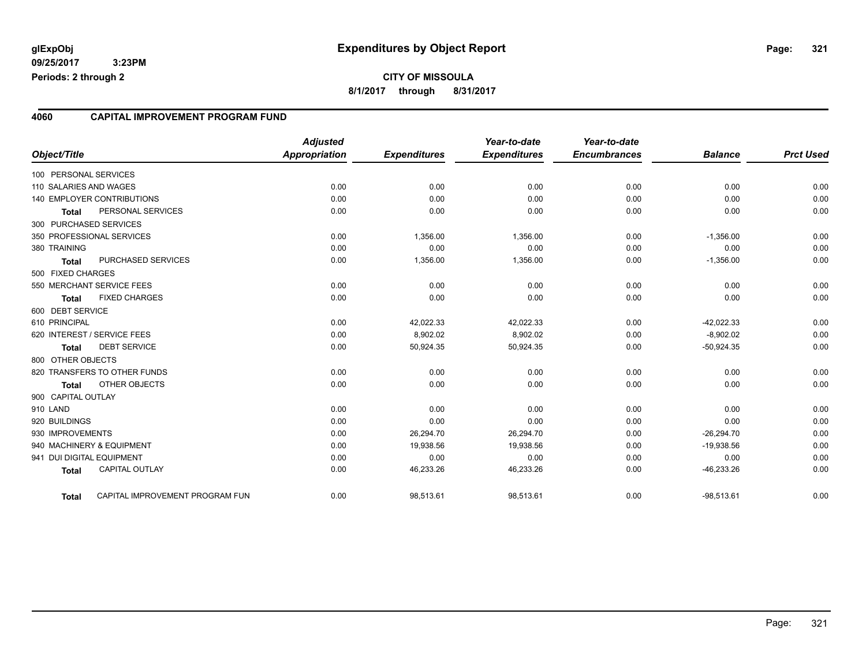#### **4060 CAPITAL IMPROVEMENT PROGRAM FUND**

| Object/Title              |                                   | <b>Adjusted</b><br><b>Appropriation</b> | <b>Expenditures</b> | Year-to-date<br><b>Expenditures</b> | Year-to-date<br><b>Encumbrances</b> | <b>Balance</b> | <b>Prct Used</b> |
|---------------------------|-----------------------------------|-----------------------------------------|---------------------|-------------------------------------|-------------------------------------|----------------|------------------|
| 100 PERSONAL SERVICES     |                                   |                                         |                     |                                     |                                     |                |                  |
| 110 SALARIES AND WAGES    |                                   | 0.00                                    | 0.00                | 0.00                                | 0.00                                | 0.00           | 0.00             |
|                           | <b>140 EMPLOYER CONTRIBUTIONS</b> | 0.00                                    | 0.00                | 0.00                                | 0.00                                | 0.00           | 0.00             |
| <b>Total</b>              | PERSONAL SERVICES                 | 0.00                                    | 0.00                | 0.00                                | 0.00                                | 0.00           | 0.00             |
| 300 PURCHASED SERVICES    |                                   |                                         |                     |                                     |                                     |                |                  |
|                           | 350 PROFESSIONAL SERVICES         | 0.00                                    | 1,356.00            | 1,356.00                            | 0.00                                | $-1,356.00$    | 0.00             |
| 380 TRAINING              |                                   | 0.00                                    | 0.00                | 0.00                                | 0.00                                | 0.00           | 0.00             |
| <b>Total</b>              | PURCHASED SERVICES                | 0.00                                    | 1,356.00            | 1,356.00                            | 0.00                                | $-1,356.00$    | 0.00             |
| 500 FIXED CHARGES         |                                   |                                         |                     |                                     |                                     |                |                  |
|                           | 550 MERCHANT SERVICE FEES         | 0.00                                    | 0.00                | 0.00                                | 0.00                                | 0.00           | 0.00             |
| <b>Total</b>              | <b>FIXED CHARGES</b>              | 0.00                                    | 0.00                | 0.00                                | 0.00                                | 0.00           | 0.00             |
| 600 DEBT SERVICE          |                                   |                                         |                     |                                     |                                     |                |                  |
| 610 PRINCIPAL             |                                   | 0.00                                    | 42,022.33           | 42,022.33                           | 0.00                                | $-42,022.33$   | 0.00             |
|                           | 620 INTEREST / SERVICE FEES       | 0.00                                    | 8,902.02            | 8,902.02                            | 0.00                                | $-8,902.02$    | 0.00             |
| <b>Total</b>              | <b>DEBT SERVICE</b>               | 0.00                                    | 50,924.35           | 50,924.35                           | 0.00                                | $-50,924.35$   | 0.00             |
| 800 OTHER OBJECTS         |                                   |                                         |                     |                                     |                                     |                |                  |
|                           | 820 TRANSFERS TO OTHER FUNDS      | 0.00                                    | 0.00                | 0.00                                | 0.00                                | 0.00           | 0.00             |
| <b>Total</b>              | <b>OTHER OBJECTS</b>              | 0.00                                    | 0.00                | 0.00                                | 0.00                                | 0.00           | 0.00             |
| 900 CAPITAL OUTLAY        |                                   |                                         |                     |                                     |                                     |                |                  |
| 910 LAND                  |                                   | 0.00                                    | 0.00                | 0.00                                | 0.00                                | 0.00           | 0.00             |
| 920 BUILDINGS             |                                   | 0.00                                    | 0.00                | 0.00                                | 0.00                                | 0.00           | 0.00             |
| 930 IMPROVEMENTS          |                                   | 0.00                                    | 26,294.70           | 26,294.70                           | 0.00                                | $-26,294.70$   | 0.00             |
|                           | 940 MACHINERY & EQUIPMENT         | 0.00                                    | 19,938.56           | 19,938.56                           | 0.00                                | $-19,938.56$   | 0.00             |
| 941 DUI DIGITAL EQUIPMENT |                                   | 0.00                                    | 0.00                | 0.00                                | 0.00                                | 0.00           | 0.00             |
| <b>Total</b>              | <b>CAPITAL OUTLAY</b>             | 0.00                                    | 46,233.26           | 46,233.26                           | 0.00                                | $-46,233.26$   | 0.00             |
| <b>Total</b>              | CAPITAL IMPROVEMENT PROGRAM FUN   | 0.00                                    | 98,513.61           | 98,513.61                           | 0.00                                | $-98,513.61$   | 0.00             |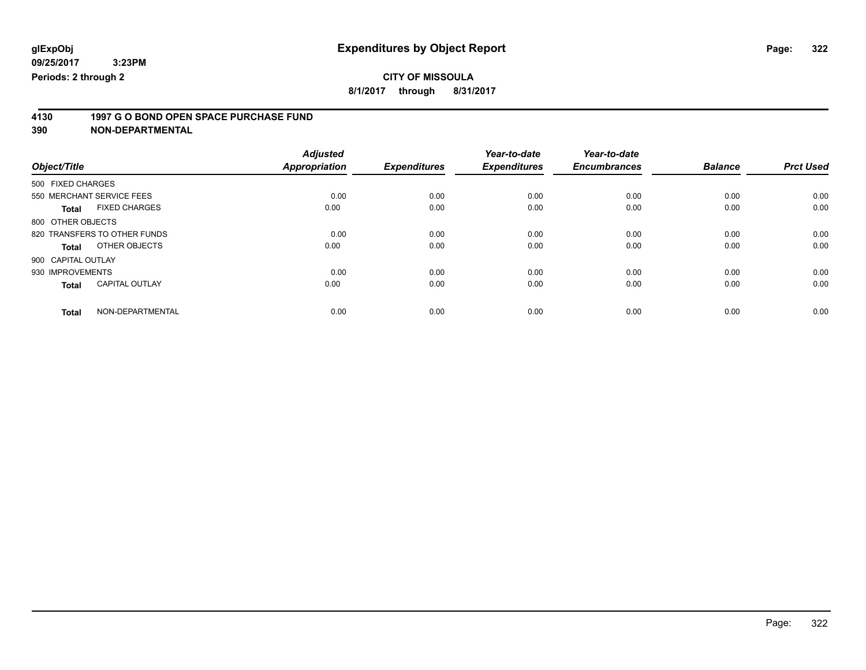## **CITY OF MISSOULA**

**8/1/2017 through 8/31/2017**

# **4130 1997 G O BOND OPEN SPACE PURCHASE FUND**

|                                       | <b>Adjusted</b>      |                     | Year-to-date        | Year-to-date        |                |                  |
|---------------------------------------|----------------------|---------------------|---------------------|---------------------|----------------|------------------|
| Object/Title                          | <b>Appropriation</b> | <b>Expenditures</b> | <b>Expenditures</b> | <b>Encumbrances</b> | <b>Balance</b> | <b>Prct Used</b> |
| 500 FIXED CHARGES                     |                      |                     |                     |                     |                |                  |
| 550 MERCHANT SERVICE FEES             | 0.00                 | 0.00                | 0.00                | 0.00                | 0.00           | 0.00             |
| <b>FIXED CHARGES</b><br><b>Total</b>  | 0.00                 | 0.00                | 0.00                | 0.00                | 0.00           | 0.00             |
| 800 OTHER OBJECTS                     |                      |                     |                     |                     |                |                  |
| 820 TRANSFERS TO OTHER FUNDS          | 0.00                 | 0.00                | 0.00                | 0.00                | 0.00           | 0.00             |
| OTHER OBJECTS<br>Total                | 0.00                 | 0.00                | 0.00                | 0.00                | 0.00           | 0.00             |
| 900 CAPITAL OUTLAY                    |                      |                     |                     |                     |                |                  |
| 930 IMPROVEMENTS                      | 0.00                 | 0.00                | 0.00                | 0.00                | 0.00           | 0.00             |
| <b>CAPITAL OUTLAY</b><br><b>Total</b> | 0.00                 | 0.00                | 0.00                | 0.00                | 0.00           | 0.00             |
| NON-DEPARTMENTAL<br><b>Total</b>      | 0.00                 | 0.00                | 0.00                | 0.00                | 0.00           | 0.00             |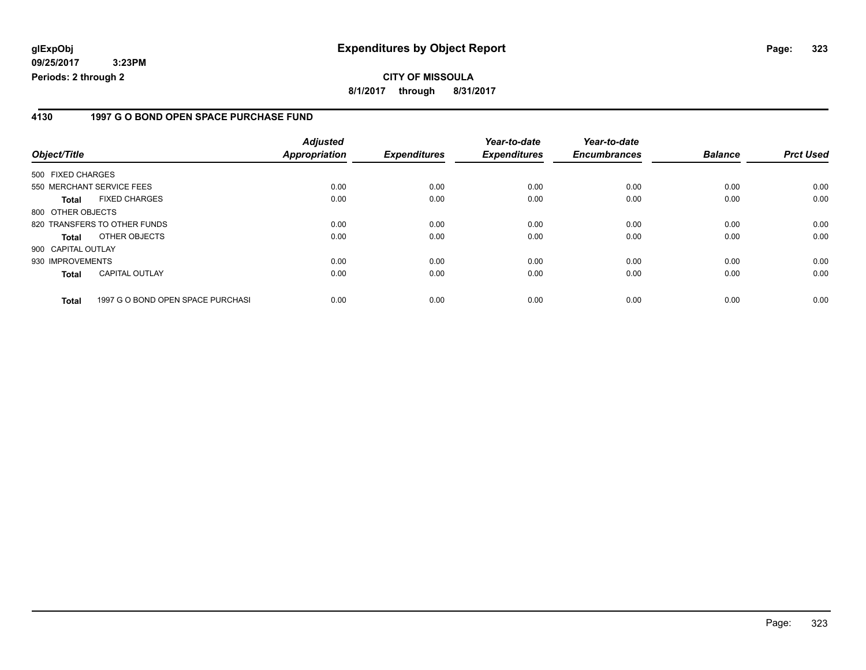#### **4130 1997 G O BOND OPEN SPACE PURCHASE FUND**

| Object/Title       |                                   | <b>Adjusted</b><br>Appropriation | <b>Expenditures</b> | Year-to-date<br><b>Expenditures</b> | Year-to-date<br><b>Encumbrances</b> | <b>Balance</b> | <b>Prct Used</b> |
|--------------------|-----------------------------------|----------------------------------|---------------------|-------------------------------------|-------------------------------------|----------------|------------------|
| 500 FIXED CHARGES  |                                   |                                  |                     |                                     |                                     |                |                  |
|                    | 550 MERCHANT SERVICE FEES         | 0.00                             | 0.00                | 0.00                                | 0.00                                | 0.00           | 0.00             |
| Total              | <b>FIXED CHARGES</b>              | 0.00                             | 0.00                | 0.00                                | 0.00                                | 0.00           | 0.00             |
| 800 OTHER OBJECTS  |                                   |                                  |                     |                                     |                                     |                |                  |
|                    | 820 TRANSFERS TO OTHER FUNDS      | 0.00                             | 0.00                | 0.00                                | 0.00                                | 0.00           | 0.00             |
| <b>Total</b>       | OTHER OBJECTS                     | 0.00                             | 0.00                | 0.00                                | 0.00                                | 0.00           | 0.00             |
| 900 CAPITAL OUTLAY |                                   |                                  |                     |                                     |                                     |                |                  |
| 930 IMPROVEMENTS   |                                   | 0.00                             | 0.00                | 0.00                                | 0.00                                | 0.00           | 0.00             |
| <b>Total</b>       | <b>CAPITAL OUTLAY</b>             | 0.00                             | 0.00                | 0.00                                | 0.00                                | 0.00           | 0.00             |
| <b>Total</b>       | 1997 G O BOND OPEN SPACE PURCHASI | 0.00                             | 0.00                | 0.00                                | 0.00                                | 0.00           | 0.00             |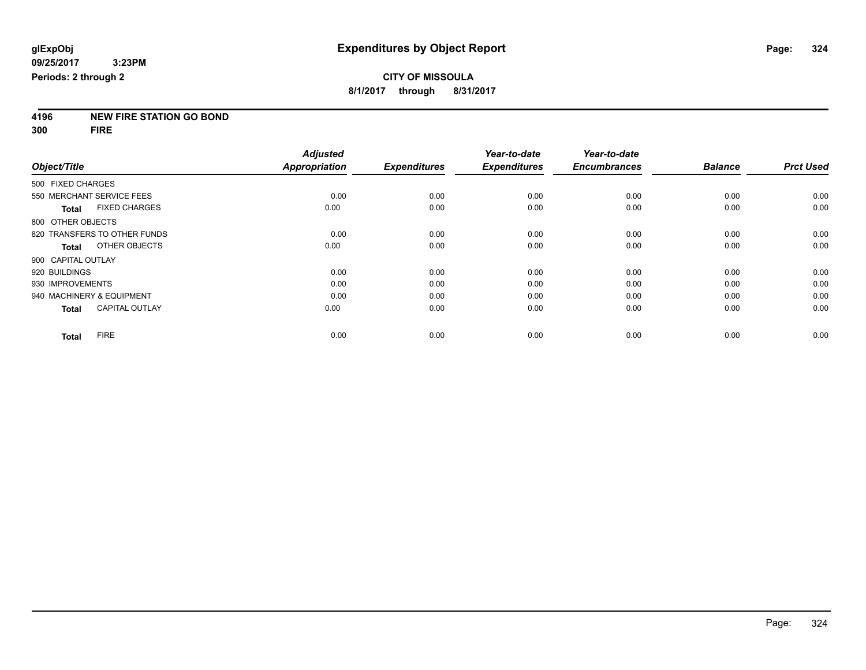**4196 NEW FIRE STATION GO BOND**

**300 FIRE**

|                    |                              | <b>Adjusted</b> |                     | Year-to-date        | Year-to-date        |                |                  |
|--------------------|------------------------------|-----------------|---------------------|---------------------|---------------------|----------------|------------------|
| Object/Title       |                              | Appropriation   | <b>Expenditures</b> | <b>Expenditures</b> | <b>Encumbrances</b> | <b>Balance</b> | <b>Prct Used</b> |
| 500 FIXED CHARGES  |                              |                 |                     |                     |                     |                |                  |
|                    | 550 MERCHANT SERVICE FEES    | 0.00            | 0.00                | 0.00                | 0.00                | 0.00           | 0.00             |
| <b>Total</b>       | <b>FIXED CHARGES</b>         | 0.00            | 0.00                | 0.00                | 0.00                | 0.00           | 0.00             |
| 800 OTHER OBJECTS  |                              |                 |                     |                     |                     |                |                  |
|                    | 820 TRANSFERS TO OTHER FUNDS | 0.00            | 0.00                | 0.00                | 0.00                | 0.00           | 0.00             |
| Total              | OTHER OBJECTS                | 0.00            | 0.00                | 0.00                | 0.00                | 0.00           | 0.00             |
| 900 CAPITAL OUTLAY |                              |                 |                     |                     |                     |                |                  |
| 920 BUILDINGS      |                              | 0.00            | 0.00                | 0.00                | 0.00                | 0.00           | 0.00             |
| 930 IMPROVEMENTS   |                              | 0.00            | 0.00                | 0.00                | 0.00                | 0.00           | 0.00             |
|                    | 940 MACHINERY & EQUIPMENT    | 0.00            | 0.00                | 0.00                | 0.00                | 0.00           | 0.00             |
| <b>Total</b>       | <b>CAPITAL OUTLAY</b>        | 0.00            | 0.00                | 0.00                | 0.00                | 0.00           | 0.00             |
| <b>Total</b>       | <b>FIRE</b>                  | 0.00            | 0.00                | 0.00                | 0.00                | 0.00           | 0.00             |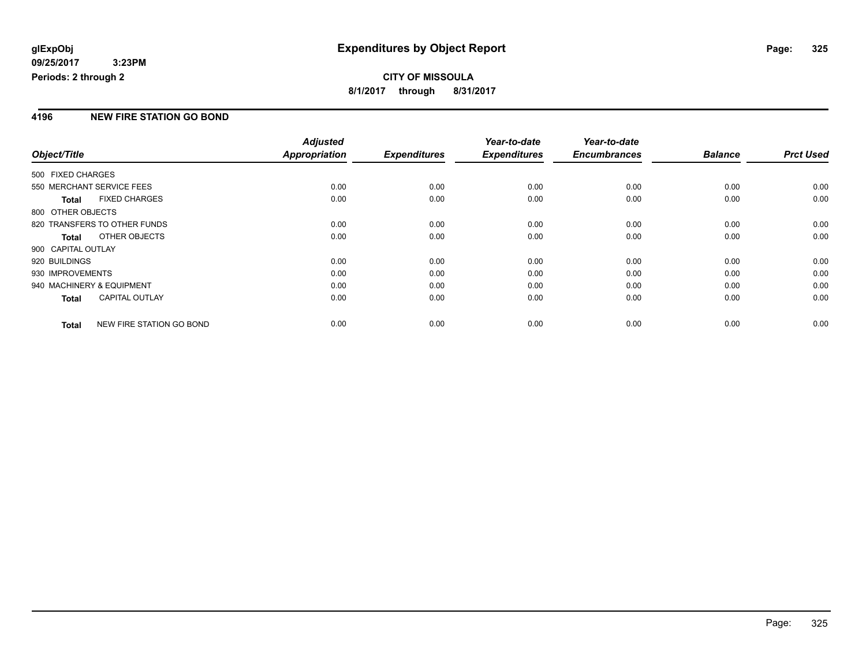### **CITY OF MISSOULA 8/1/2017 through 8/31/2017**

### **4196 NEW FIRE STATION GO BOND**

|                    |                              | <b>Adjusted</b> |                     | Year-to-date        | Year-to-date        |                |                  |
|--------------------|------------------------------|-----------------|---------------------|---------------------|---------------------|----------------|------------------|
| Object/Title       |                              | Appropriation   | <b>Expenditures</b> | <b>Expenditures</b> | <b>Encumbrances</b> | <b>Balance</b> | <b>Prct Used</b> |
| 500 FIXED CHARGES  |                              |                 |                     |                     |                     |                |                  |
|                    | 550 MERCHANT SERVICE FEES    | 0.00            | 0.00                | 0.00                | 0.00                | 0.00           | 0.00             |
| <b>Total</b>       | <b>FIXED CHARGES</b>         | 0.00            | 0.00                | 0.00                | 0.00                | 0.00           | 0.00             |
| 800 OTHER OBJECTS  |                              |                 |                     |                     |                     |                |                  |
|                    | 820 TRANSFERS TO OTHER FUNDS | 0.00            | 0.00                | 0.00                | 0.00                | 0.00           | 0.00             |
| <b>Total</b>       | OTHER OBJECTS                | 0.00            | 0.00                | 0.00                | 0.00                | 0.00           | 0.00             |
| 900 CAPITAL OUTLAY |                              |                 |                     |                     |                     |                |                  |
| 920 BUILDINGS      |                              | 0.00            | 0.00                | 0.00                | 0.00                | 0.00           | 0.00             |
| 930 IMPROVEMENTS   |                              | 0.00            | 0.00                | 0.00                | 0.00                | 0.00           | 0.00             |
|                    | 940 MACHINERY & EQUIPMENT    | 0.00            | 0.00                | 0.00                | 0.00                | 0.00           | 0.00             |
| <b>Total</b>       | <b>CAPITAL OUTLAY</b>        | 0.00            | 0.00                | 0.00                | 0.00                | 0.00           | 0.00             |
| <b>Total</b>       | NEW FIRE STATION GO BOND     | 0.00            | 0.00                | 0.00                | 0.00                | 0.00           | 0.00             |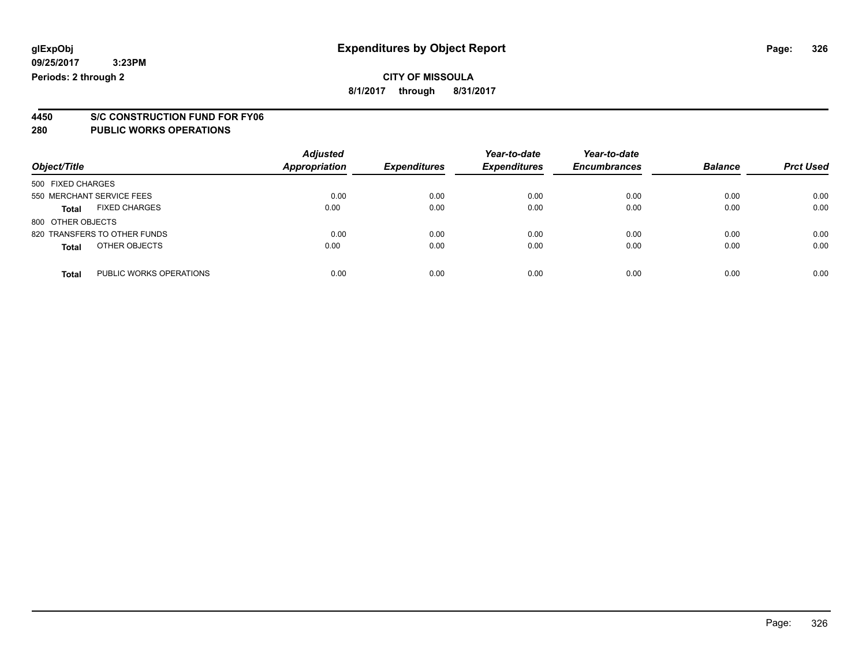### **CITY OF MISSOULA 8/1/2017 through 8/31/2017**

**4450 S/C CONSTRUCTION FUND FOR FY06**

| Object/Title                            | <b>Adjusted</b><br>Appropriation | <b>Expenditures</b> | Year-to-date<br><b>Expenditures</b> | Year-to-date<br><b>Encumbrances</b> | <b>Balance</b> | <b>Prct Used</b> |
|-----------------------------------------|----------------------------------|---------------------|-------------------------------------|-------------------------------------|----------------|------------------|
| 500 FIXED CHARGES                       |                                  |                     |                                     |                                     |                |                  |
| 550 MERCHANT SERVICE FEES               | 0.00                             | 0.00                | 0.00                                | 0.00                                | 0.00           | 0.00             |
| <b>FIXED CHARGES</b><br><b>Total</b>    | 0.00                             | 0.00                | 0.00                                | 0.00                                | 0.00           | 0.00             |
| 800 OTHER OBJECTS                       |                                  |                     |                                     |                                     |                |                  |
| 820 TRANSFERS TO OTHER FUNDS            | 0.00                             | 0.00                | 0.00                                | 0.00                                | 0.00           | 0.00             |
| OTHER OBJECTS<br><b>Total</b>           | 0.00                             | 0.00                | 0.00                                | 0.00                                | 0.00           | 0.00             |
| PUBLIC WORKS OPERATIONS<br><b>Total</b> | 0.00                             | 0.00                | 0.00                                | 0.00                                | 0.00           | 0.00             |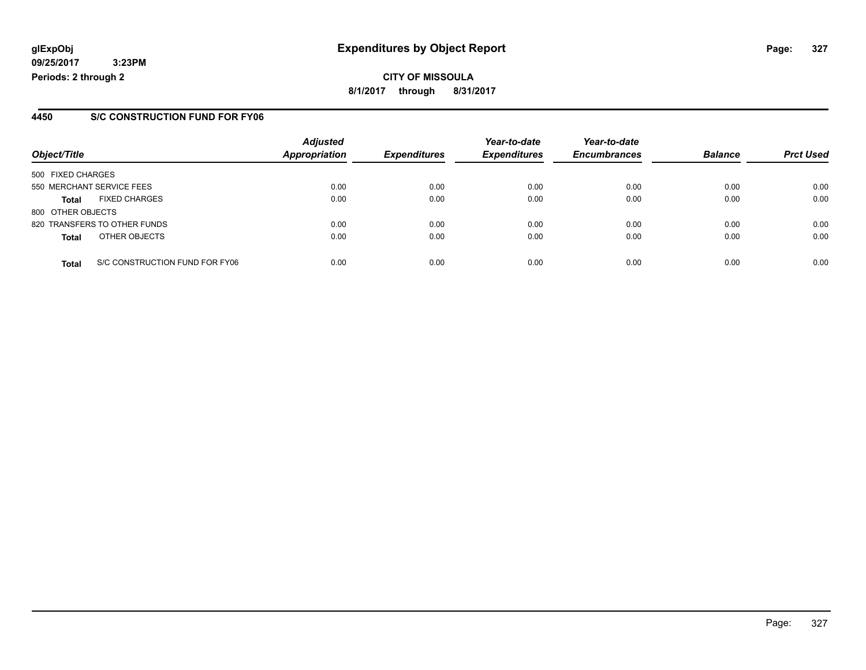**CITY OF MISSOULA 8/1/2017 through 8/31/2017**

### **4450 S/C CONSTRUCTION FUND FOR FY06**

|                   |                                | <b>Adjusted</b> |                     | Year-to-date        | Year-to-date        |                |                  |
|-------------------|--------------------------------|-----------------|---------------------|---------------------|---------------------|----------------|------------------|
| Object/Title      |                                | Appropriation   | <b>Expenditures</b> | <b>Expenditures</b> | <b>Encumbrances</b> | <b>Balance</b> | <b>Prct Used</b> |
| 500 FIXED CHARGES |                                |                 |                     |                     |                     |                |                  |
|                   | 550 MERCHANT SERVICE FEES      | 0.00            | 0.00                | 0.00                | 0.00                | 0.00           | 0.00             |
| <b>Total</b>      | <b>FIXED CHARGES</b>           | 0.00            | 0.00                | 0.00                | 0.00                | 0.00           | 0.00             |
| 800 OTHER OBJECTS |                                |                 |                     |                     |                     |                |                  |
|                   | 820 TRANSFERS TO OTHER FUNDS   | 0.00            | 0.00                | 0.00                | 0.00                | 0.00           | 0.00             |
| <b>Total</b>      | OTHER OBJECTS                  | 0.00            | 0.00                | 0.00                | 0.00                | 0.00           | 0.00             |
| <b>Total</b>      | S/C CONSTRUCTION FUND FOR FY06 | 0.00            | 0.00                | 0.00                | 0.00                | 0.00           | 0.00             |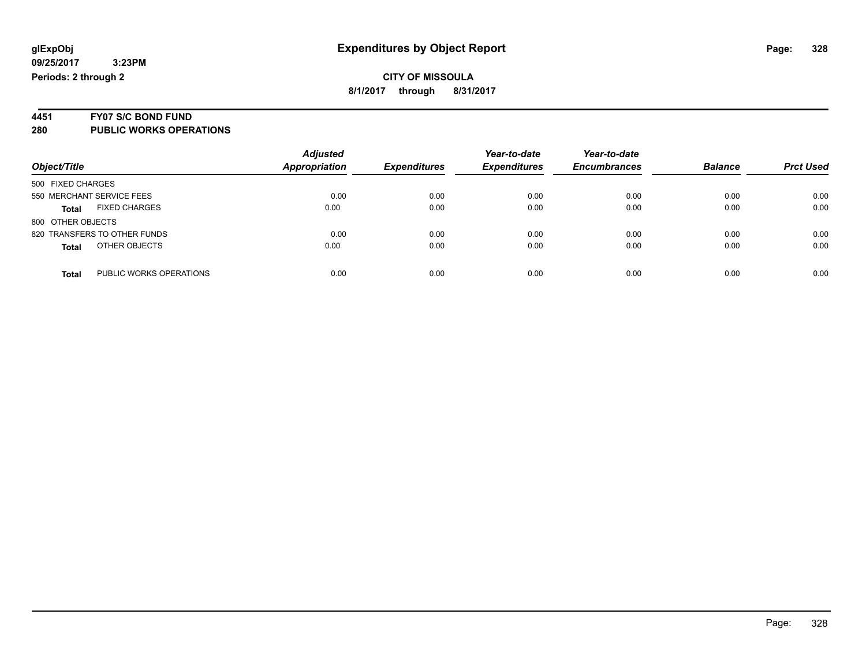# **4451 FY07 S/C BOND FUND**

| Object/Title                     | <b>Adjusted</b><br>Appropriation | <b>Expenditures</b> | Year-to-date<br><b>Expenditures</b> | Year-to-date<br><b>Encumbrances</b> | <b>Balance</b> | <b>Prct Used</b> |
|----------------------------------|----------------------------------|---------------------|-------------------------------------|-------------------------------------|----------------|------------------|
| 500 FIXED CHARGES                |                                  |                     |                                     |                                     |                |                  |
| 550 MERCHANT SERVICE FEES        | 0.00                             | 0.00                | 0.00                                | 0.00                                | 0.00           | 0.00             |
| <b>FIXED CHARGES</b><br>Total    | 0.00                             | 0.00                | 0.00                                | 0.00                                | 0.00           | 0.00             |
| 800 OTHER OBJECTS                |                                  |                     |                                     |                                     |                |                  |
| 820 TRANSFERS TO OTHER FUNDS     | 0.00                             | 0.00                | 0.00                                | 0.00                                | 0.00           | 0.00             |
| OTHER OBJECTS<br><b>Total</b>    | 0.00                             | 0.00                | 0.00                                | 0.00                                | 0.00           | 0.00             |
|                                  |                                  |                     |                                     |                                     |                |                  |
| PUBLIC WORKS OPERATIONS<br>Total | 0.00                             | 0.00                | 0.00                                | 0.00                                | 0.00           | 0.00             |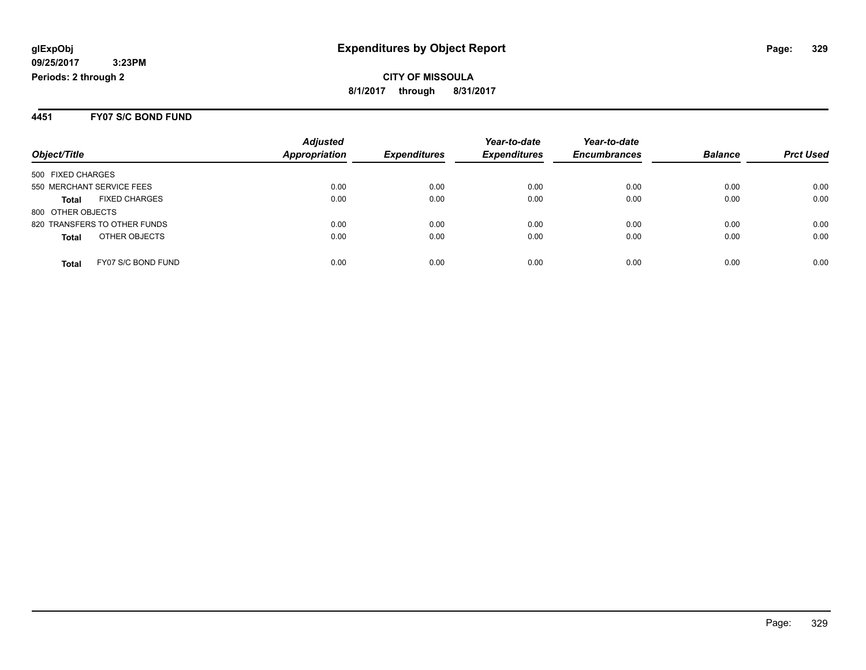#### **4451 FY07 S/C BOND FUND**

|                                      | <b>Adjusted</b> |                     | Year-to-date        | Year-to-date        |                |                  |
|--------------------------------------|-----------------|---------------------|---------------------|---------------------|----------------|------------------|
| Object/Title                         | Appropriation   | <b>Expenditures</b> | <b>Expenditures</b> | <b>Encumbrances</b> | <b>Balance</b> | <b>Prct Used</b> |
| 500 FIXED CHARGES                    |                 |                     |                     |                     |                |                  |
| 550 MERCHANT SERVICE FEES            | 0.00            | 0.00                | 0.00                | 0.00                | 0.00           | 0.00             |
| <b>FIXED CHARGES</b><br><b>Total</b> | 0.00            | 0.00                | 0.00                | 0.00                | 0.00           | 0.00             |
| 800 OTHER OBJECTS                    |                 |                     |                     |                     |                |                  |
| 820 TRANSFERS TO OTHER FUNDS         | 0.00            | 0.00                | 0.00                | 0.00                | 0.00           | 0.00             |
| OTHER OBJECTS<br><b>Total</b>        | 0.00            | 0.00                | 0.00                | 0.00                | 0.00           | 0.00             |
| FY07 S/C BOND FUND<br>Total          | 0.00            | 0.00                | 0.00                | 0.00                | 0.00           | 0.00             |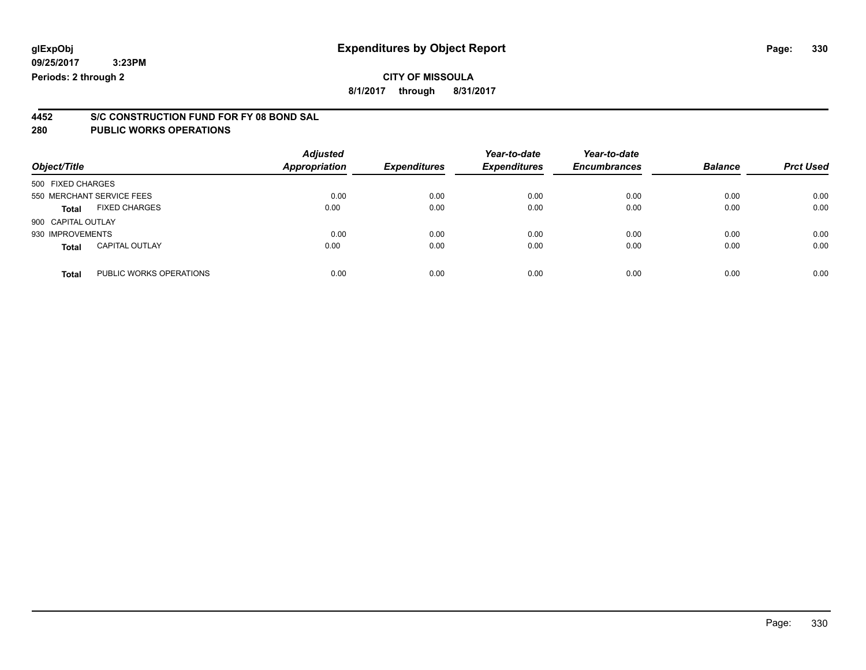## **CITY OF MISSOULA**

**8/1/2017 through 8/31/2017**

# **4452 S/C CONSTRUCTION FUND FOR FY 08 BOND SAL**

| Object/Title              |                         | <b>Adjusted</b><br><b>Appropriation</b> | <b>Expenditures</b> | Year-to-date<br><b>Expenditures</b> | Year-to-date<br><b>Encumbrances</b> | <b>Balance</b> | <b>Prct Used</b> |
|---------------------------|-------------------------|-----------------------------------------|---------------------|-------------------------------------|-------------------------------------|----------------|------------------|
| 500 FIXED CHARGES         |                         |                                         |                     |                                     |                                     |                |                  |
| 550 MERCHANT SERVICE FEES |                         | 0.00                                    | 0.00                | 0.00                                | 0.00                                | 0.00           | 0.00             |
| <b>Total</b>              | <b>FIXED CHARGES</b>    | 0.00                                    | 0.00                | 0.00                                | 0.00                                | 0.00           | 0.00             |
| 900 CAPITAL OUTLAY        |                         |                                         |                     |                                     |                                     |                |                  |
| 930 IMPROVEMENTS          |                         | 0.00                                    | 0.00                | 0.00                                | 0.00                                | 0.00           | 0.00             |
| <b>Total</b>              | <b>CAPITAL OUTLAY</b>   | 0.00                                    | 0.00                | 0.00                                | 0.00                                | 0.00           | 0.00             |
| <b>Total</b>              | PUBLIC WORKS OPERATIONS | 0.00                                    | 0.00                | 0.00                                | 0.00                                | 0.00           | 0.00             |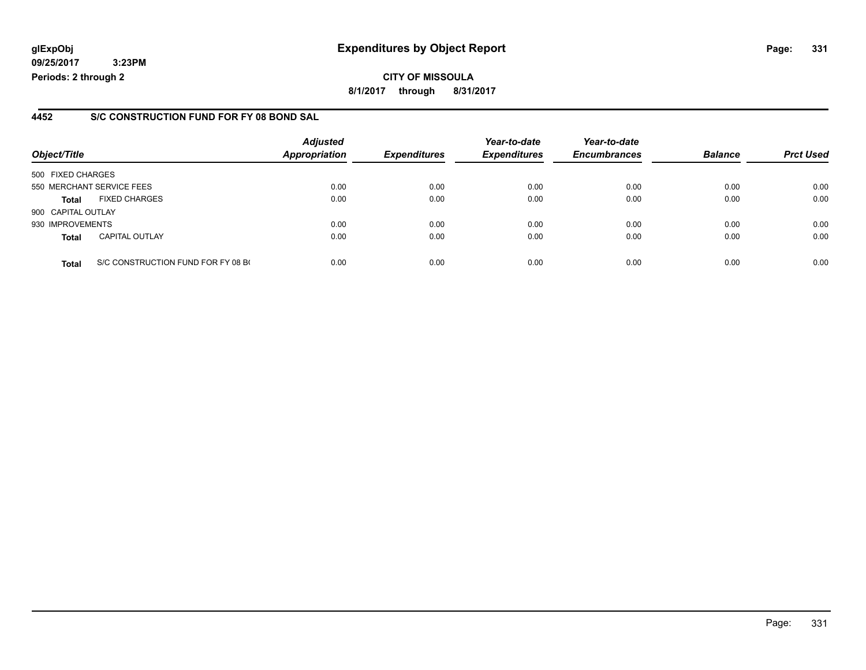### **glExpObj Expenditures by Object Report Page: 331**

**09/25/2017 3:23PM Periods: 2 through 2**

### **4452 S/C CONSTRUCTION FUND FOR FY 08 BOND SAL**

| Object/Title              |                                    | <b>Adjusted</b><br><b>Appropriation</b> | <b>Expenditures</b> | Year-to-date<br><b>Expenditures</b> | Year-to-date<br><b>Encumbrances</b> | <b>Balance</b> | <b>Prct Used</b> |
|---------------------------|------------------------------------|-----------------------------------------|---------------------|-------------------------------------|-------------------------------------|----------------|------------------|
|                           |                                    |                                         |                     |                                     |                                     |                |                  |
| 500 FIXED CHARGES         |                                    |                                         |                     |                                     |                                     |                |                  |
| 550 MERCHANT SERVICE FEES |                                    | 0.00                                    | 0.00                | 0.00                                | 0.00                                | 0.00           | 0.00             |
| <b>Total</b>              | <b>FIXED CHARGES</b>               | 0.00                                    | 0.00                | 0.00                                | 0.00                                | 0.00           | 0.00             |
| 900 CAPITAL OUTLAY        |                                    |                                         |                     |                                     |                                     |                |                  |
| 930 IMPROVEMENTS          |                                    | 0.00                                    | 0.00                | 0.00                                | 0.00                                | 0.00           | 0.00             |
| <b>Total</b>              | <b>CAPITAL OUTLAY</b>              | 0.00                                    | 0.00                | 0.00                                | 0.00                                | 0.00           | 0.00             |
| <b>Total</b>              | S/C CONSTRUCTION FUND FOR FY 08 BO | 0.00                                    | 0.00                | 0.00                                | 0.00                                | 0.00           | 0.00             |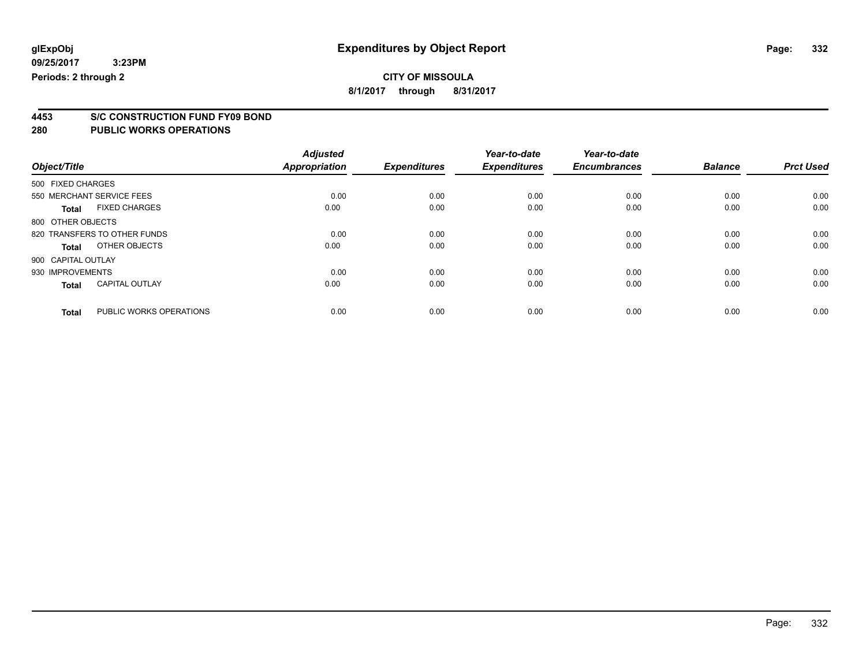**8/1/2017 through 8/31/2017**

# **4453 S/C CONSTRUCTION FUND FY09 BOND**

| Object/Title       |                              | <b>Adjusted</b><br><b>Appropriation</b> | <b>Expenditures</b> | Year-to-date<br><b>Expenditures</b> | Year-to-date<br><b>Encumbrances</b> | <b>Balance</b> | <b>Prct Used</b> |
|--------------------|------------------------------|-----------------------------------------|---------------------|-------------------------------------|-------------------------------------|----------------|------------------|
| 500 FIXED CHARGES  |                              |                                         |                     |                                     |                                     |                |                  |
|                    | 550 MERCHANT SERVICE FEES    | 0.00                                    | 0.00                | 0.00                                | 0.00                                | 0.00           | 0.00             |
| <b>Total</b>       | <b>FIXED CHARGES</b>         | 0.00                                    | 0.00                | 0.00                                | 0.00                                | 0.00           | 0.00             |
| 800 OTHER OBJECTS  |                              |                                         |                     |                                     |                                     |                |                  |
|                    | 820 TRANSFERS TO OTHER FUNDS | 0.00                                    | 0.00                | 0.00                                | 0.00                                | 0.00           | 0.00             |
| Total              | OTHER OBJECTS                | 0.00                                    | 0.00                | 0.00                                | 0.00                                | 0.00           | 0.00             |
| 900 CAPITAL OUTLAY |                              |                                         |                     |                                     |                                     |                |                  |
| 930 IMPROVEMENTS   |                              | 0.00                                    | 0.00                | 0.00                                | 0.00                                | 0.00           | 0.00             |
| <b>Total</b>       | <b>CAPITAL OUTLAY</b>        | 0.00                                    | 0.00                | 0.00                                | 0.00                                | 0.00           | 0.00             |
|                    |                              |                                         |                     |                                     |                                     |                |                  |
| <b>Total</b>       | PUBLIC WORKS OPERATIONS      | 0.00                                    | 0.00                | 0.00                                | 0.00                                | 0.00           | 0.00             |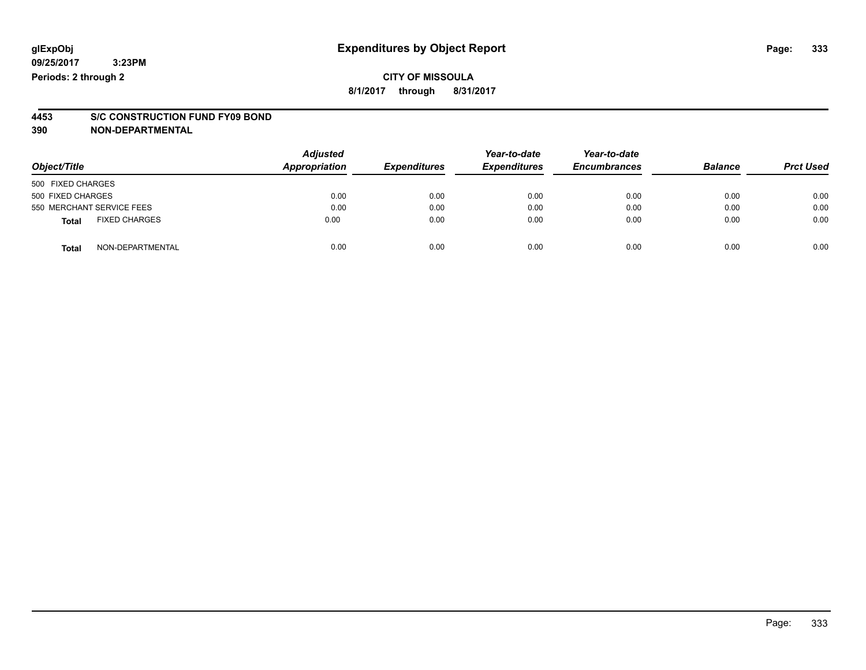### **CITY OF MISSOULA 8/1/2017 through 8/31/2017**

# **4453 S/C CONSTRUCTION FUND FY09 BOND**

**390 NON-DEPARTMENTAL**

| Object/Title                         | <b>Adjusted</b><br>Appropriation | <b>Expenditures</b> | Year-to-date<br><b>Expenditures</b> | Year-to-date<br><b>Encumbrances</b> | <b>Balance</b> | <b>Prct Used</b> |
|--------------------------------------|----------------------------------|---------------------|-------------------------------------|-------------------------------------|----------------|------------------|
| 500 FIXED CHARGES                    |                                  |                     |                                     |                                     |                |                  |
| 500 FIXED CHARGES                    | 0.00                             | 0.00                | 0.00                                | 0.00                                | 0.00           | 0.00             |
| 550 MERCHANT SERVICE FEES            | 0.00                             | 0.00                | 0.00                                | 0.00                                | 0.00           | 0.00             |
| <b>FIXED CHARGES</b><br><b>Total</b> | 0.00                             | 0.00                | 0.00                                | 0.00                                | 0.00           | 0.00             |
| NON-DEPARTMENTAL<br><b>Total</b>     | 0.00                             | 0.00                | 0.00                                | 0.00                                | 0.00           | 0.00             |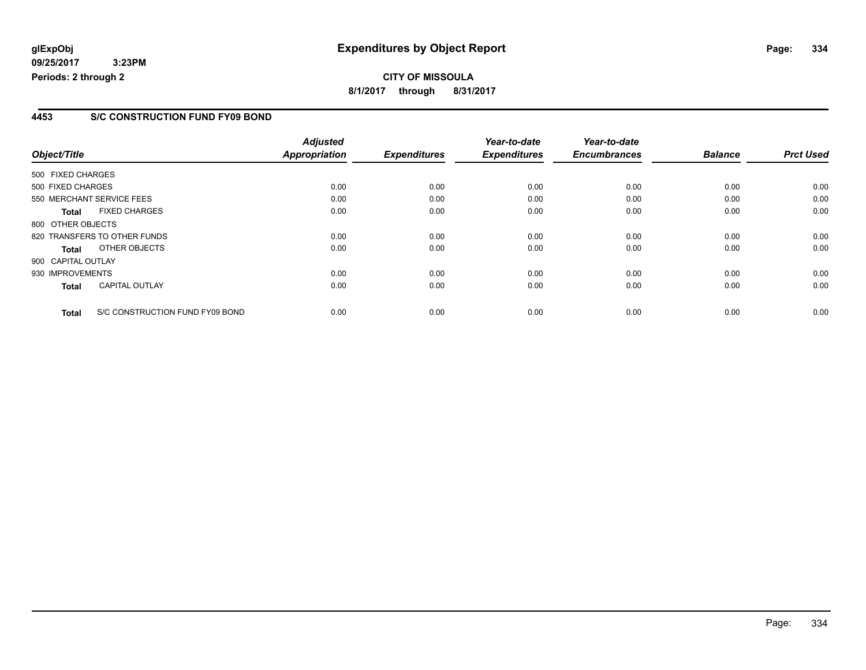### **glExpObj Expenditures by Object Report Page: 334**

**09/25/2017 3:23PM Periods: 2 through 2**

### **4453 S/C CONSTRUCTION FUND FY09 BOND**

|                    |                                 | <b>Adjusted</b>      |                     | Year-to-date        | Year-to-date        |                |                  |
|--------------------|---------------------------------|----------------------|---------------------|---------------------|---------------------|----------------|------------------|
| Object/Title       |                                 | <b>Appropriation</b> | <b>Expenditures</b> | <b>Expenditures</b> | <b>Encumbrances</b> | <b>Balance</b> | <b>Prct Used</b> |
| 500 FIXED CHARGES  |                                 |                      |                     |                     |                     |                |                  |
| 500 FIXED CHARGES  |                                 | 0.00                 | 0.00                | 0.00                | 0.00                | 0.00           | 0.00             |
|                    | 550 MERCHANT SERVICE FEES       | 0.00                 | 0.00                | 0.00                | 0.00                | 0.00           | 0.00             |
| <b>Total</b>       | <b>FIXED CHARGES</b>            | 0.00                 | 0.00                | 0.00                | 0.00                | 0.00           | 0.00             |
| 800 OTHER OBJECTS  |                                 |                      |                     |                     |                     |                |                  |
|                    | 820 TRANSFERS TO OTHER FUNDS    | 0.00                 | 0.00                | 0.00                | 0.00                | 0.00           | 0.00             |
| <b>Total</b>       | OTHER OBJECTS                   | 0.00                 | 0.00                | 0.00                | 0.00                | 0.00           | 0.00             |
| 900 CAPITAL OUTLAY |                                 |                      |                     |                     |                     |                |                  |
| 930 IMPROVEMENTS   |                                 | 0.00                 | 0.00                | 0.00                | 0.00                | 0.00           | 0.00             |
| <b>Total</b>       | <b>CAPITAL OUTLAY</b>           | 0.00                 | 0.00                | 0.00                | 0.00                | 0.00           | 0.00             |
| <b>Total</b>       | S/C CONSTRUCTION FUND FY09 BOND | 0.00                 | 0.00                | 0.00                | 0.00                | 0.00           | 0.00             |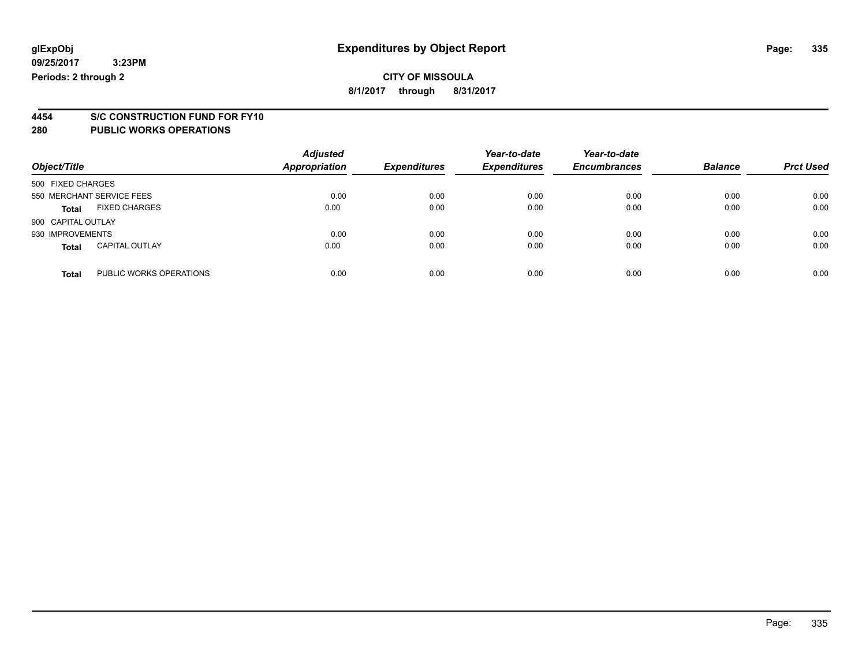### **CITY OF MISSOULA 8/1/2017 through 8/31/2017**

# **4454 S/C CONSTRUCTION FUND FOR FY10**

| Object/Title                            | <b>Adjusted</b><br><b>Appropriation</b> | <b>Expenditures</b> | Year-to-date<br><b>Expenditures</b> | Year-to-date<br><b>Encumbrances</b> | <b>Balance</b> | <b>Prct Used</b> |
|-----------------------------------------|-----------------------------------------|---------------------|-------------------------------------|-------------------------------------|----------------|------------------|
| 500 FIXED CHARGES                       |                                         |                     |                                     |                                     |                |                  |
| 550 MERCHANT SERVICE FEES               | 0.00                                    | 0.00                | 0.00                                | 0.00                                | 0.00           | 0.00             |
| <b>FIXED CHARGES</b><br><b>Total</b>    | 0.00                                    | 0.00                | 0.00                                | 0.00                                | 0.00           | 0.00             |
| 900 CAPITAL OUTLAY                      |                                         |                     |                                     |                                     |                |                  |
| 930 IMPROVEMENTS                        | 0.00                                    | 0.00                | 0.00                                | 0.00                                | 0.00           | 0.00             |
| <b>CAPITAL OUTLAY</b><br><b>Total</b>   | 0.00                                    | 0.00                | 0.00                                | 0.00                                | 0.00           | 0.00             |
| PUBLIC WORKS OPERATIONS<br><b>Total</b> | 0.00                                    | 0.00                | 0.00                                | 0.00                                | 0.00           | 0.00             |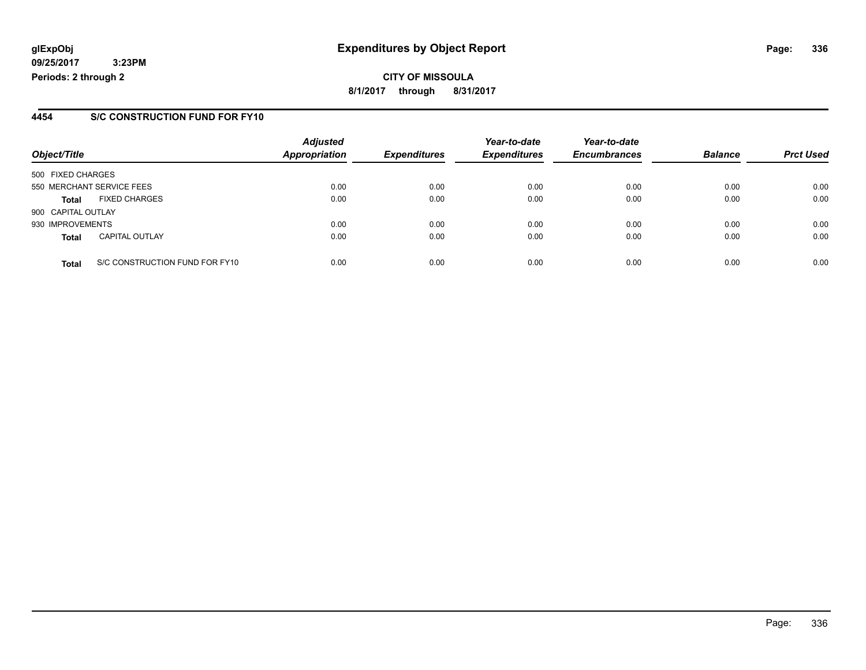### **glExpObj Expenditures by Object Report Page: 336**

**09/25/2017 3:23PM Periods: 2 through 2**

### **4454 S/C CONSTRUCTION FUND FOR FY10**

| Object/Title       |                                | <b>Adjusted</b><br><b>Appropriation</b> | <b>Expenditures</b> | Year-to-date<br><b>Expenditures</b> | Year-to-date<br><b>Encumbrances</b> | <b>Balance</b> | <b>Prct Used</b> |
|--------------------|--------------------------------|-----------------------------------------|---------------------|-------------------------------------|-------------------------------------|----------------|------------------|
| 500 FIXED CHARGES  |                                |                                         |                     |                                     |                                     |                |                  |
|                    | 550 MERCHANT SERVICE FEES      | 0.00                                    | 0.00                | 0.00                                | 0.00                                | 0.00           | 0.00             |
| <b>Total</b>       | <b>FIXED CHARGES</b>           | 0.00                                    | 0.00                | 0.00                                | 0.00                                | 0.00           | 0.00             |
| 900 CAPITAL OUTLAY |                                |                                         |                     |                                     |                                     |                |                  |
| 930 IMPROVEMENTS   |                                | 0.00                                    | 0.00                | 0.00                                | 0.00                                | 0.00           | 0.00             |
| <b>Total</b>       | <b>CAPITAL OUTLAY</b>          | 0.00                                    | 0.00                | 0.00                                | 0.00                                | 0.00           | 0.00             |
| <b>Total</b>       | S/C CONSTRUCTION FUND FOR FY10 | 0.00                                    | 0.00                | 0.00                                | 0.00                                | 0.00           | 0.00             |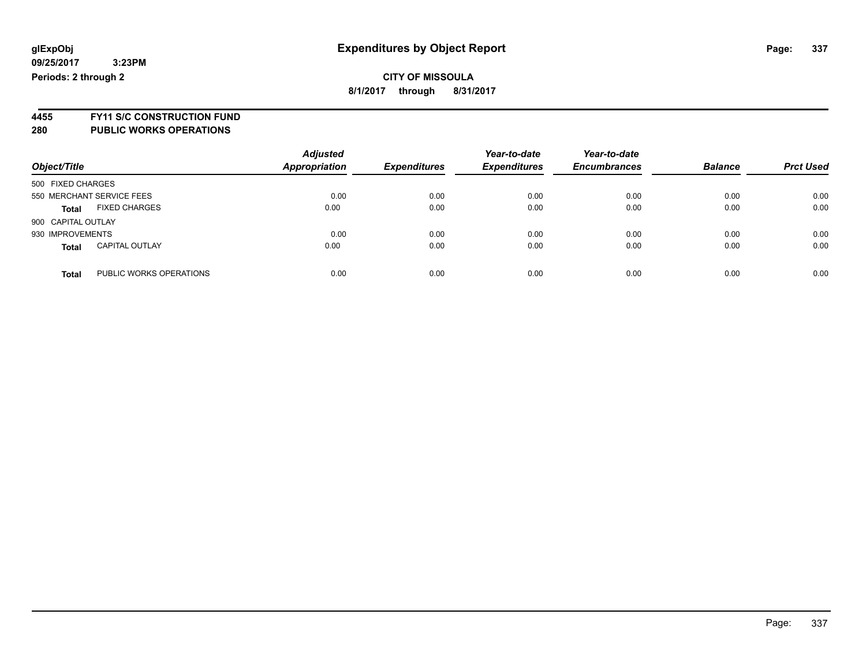**4455 FY11 S/C CONSTRUCTION FUND**

| Object/Title                            | <b>Adjusted</b><br><b>Appropriation</b> | <b>Expenditures</b> | Year-to-date<br><b>Expenditures</b> | Year-to-date<br><b>Encumbrances</b> | <b>Balance</b> | <b>Prct Used</b> |
|-----------------------------------------|-----------------------------------------|---------------------|-------------------------------------|-------------------------------------|----------------|------------------|
| 500 FIXED CHARGES                       |                                         |                     |                                     |                                     |                |                  |
| 550 MERCHANT SERVICE FEES               | 0.00                                    | 0.00                | 0.00                                | 0.00                                | 0.00           | 0.00             |
| <b>FIXED CHARGES</b><br><b>Total</b>    | 0.00                                    | 0.00                | 0.00                                | 0.00                                | 0.00           | 0.00             |
| 900 CAPITAL OUTLAY                      |                                         |                     |                                     |                                     |                |                  |
| 930 IMPROVEMENTS                        | 0.00                                    | 0.00                | 0.00                                | 0.00                                | 0.00           | 0.00             |
| <b>CAPITAL OUTLAY</b><br><b>Total</b>   | 0.00                                    | 0.00                | 0.00                                | 0.00                                | 0.00           | 0.00             |
| PUBLIC WORKS OPERATIONS<br><b>Total</b> | 0.00                                    | 0.00                | 0.00                                | 0.00                                | 0.00           | 0.00             |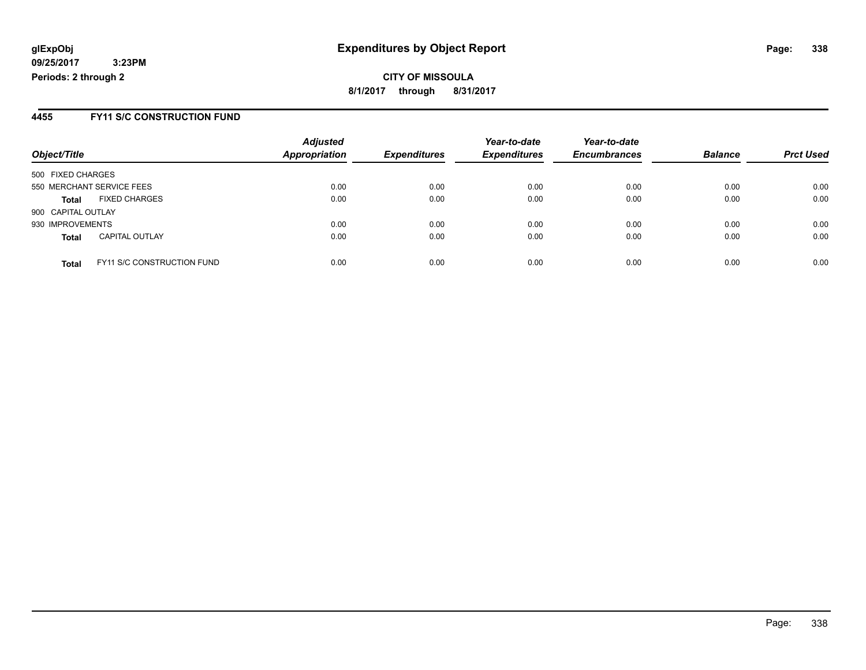**CITY OF MISSOULA 8/1/2017 through 8/31/2017**

### **4455 FY11 S/C CONSTRUCTION FUND**

| Object/Title       |                                   | <b>Adjusted</b><br><b>Appropriation</b> | <b>Expenditures</b> | Year-to-date<br><b>Expenditures</b> | Year-to-date<br><b>Encumbrances</b> | <b>Balance</b> | <b>Prct Used</b> |
|--------------------|-----------------------------------|-----------------------------------------|---------------------|-------------------------------------|-------------------------------------|----------------|------------------|
| 500 FIXED CHARGES  |                                   |                                         |                     |                                     |                                     |                |                  |
|                    | 550 MERCHANT SERVICE FEES         | 0.00                                    | 0.00                | 0.00                                | 0.00                                | 0.00           | 0.00             |
| <b>Total</b>       | <b>FIXED CHARGES</b>              | 0.00                                    | 0.00                | 0.00                                | 0.00                                | 0.00           | 0.00             |
| 900 CAPITAL OUTLAY |                                   |                                         |                     |                                     |                                     |                |                  |
| 930 IMPROVEMENTS   |                                   | 0.00                                    | 0.00                | 0.00                                | 0.00                                | 0.00           | 0.00             |
| <b>Total</b>       | <b>CAPITAL OUTLAY</b>             | 0.00                                    | 0.00                | 0.00                                | 0.00                                | 0.00           | 0.00             |
| <b>Total</b>       | <b>FY11 S/C CONSTRUCTION FUND</b> | 0.00                                    | 0.00                | 0.00                                | 0.00                                | 0.00           | 0.00             |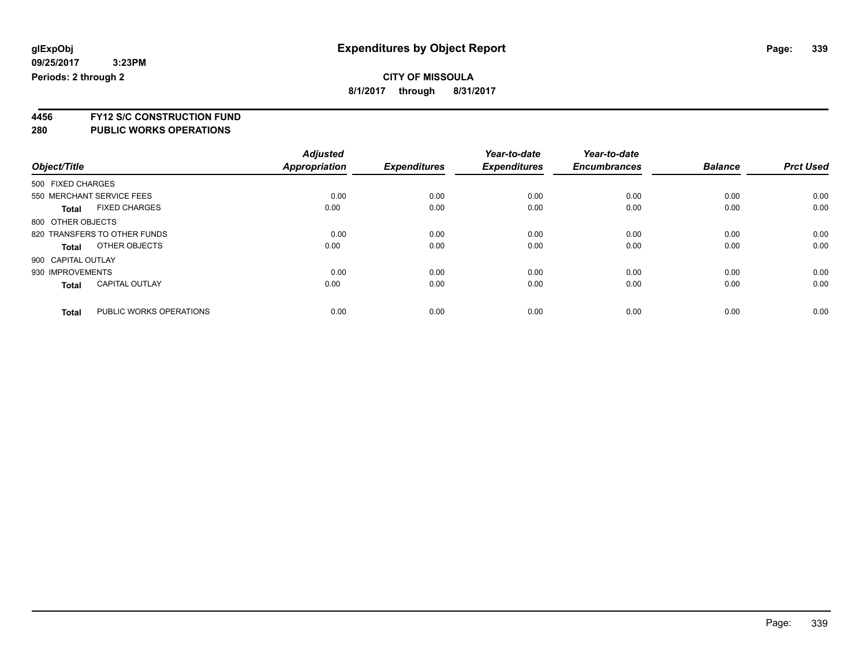**4456 FY12 S/C CONSTRUCTION FUND**

|                    |                              | <b>Adjusted</b> |                     | Year-to-date        | Year-to-date        |                |                  |
|--------------------|------------------------------|-----------------|---------------------|---------------------|---------------------|----------------|------------------|
| Object/Title       |                              | Appropriation   | <b>Expenditures</b> | <b>Expenditures</b> | <b>Encumbrances</b> | <b>Balance</b> | <b>Prct Used</b> |
| 500 FIXED CHARGES  |                              |                 |                     |                     |                     |                |                  |
|                    | 550 MERCHANT SERVICE FEES    | 0.00            | 0.00                | 0.00                | 0.00                | 0.00           | 0.00             |
| <b>Total</b>       | <b>FIXED CHARGES</b>         | 0.00            | 0.00                | 0.00                | 0.00                | 0.00           | 0.00             |
| 800 OTHER OBJECTS  |                              |                 |                     |                     |                     |                |                  |
|                    | 820 TRANSFERS TO OTHER FUNDS | 0.00            | 0.00                | 0.00                | 0.00                | 0.00           | 0.00             |
| <b>Total</b>       | OTHER OBJECTS                | 0.00            | 0.00                | 0.00                | 0.00                | 0.00           | 0.00             |
| 900 CAPITAL OUTLAY |                              |                 |                     |                     |                     |                |                  |
| 930 IMPROVEMENTS   |                              | 0.00            | 0.00                | 0.00                | 0.00                | 0.00           | 0.00             |
| <b>Total</b>       | <b>CAPITAL OUTLAY</b>        | 0.00            | 0.00                | 0.00                | 0.00                | 0.00           | 0.00             |
| <b>Total</b>       | PUBLIC WORKS OPERATIONS      | 0.00            | 0.00                | 0.00                | 0.00                | 0.00           | 0.00             |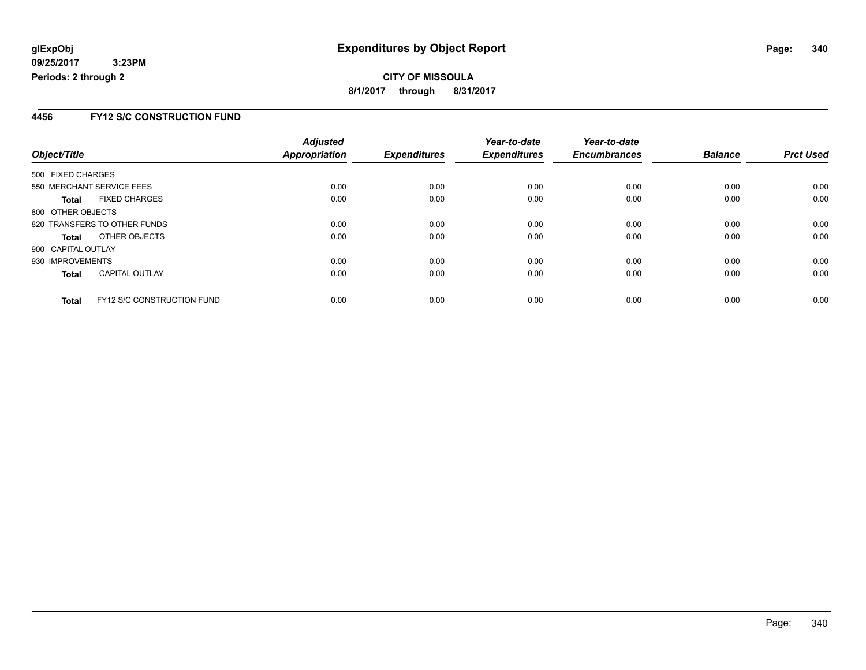### **CITY OF MISSOULA 8/1/2017 through 8/31/2017**

### **4456 FY12 S/C CONSTRUCTION FUND**

|                           |                                   | <b>Adjusted</b> |                     | Year-to-date        | Year-to-date        |                |                  |
|---------------------------|-----------------------------------|-----------------|---------------------|---------------------|---------------------|----------------|------------------|
| Object/Title              |                                   | Appropriation   | <b>Expenditures</b> | <b>Expenditures</b> | <b>Encumbrances</b> | <b>Balance</b> | <b>Prct Used</b> |
| 500 FIXED CHARGES         |                                   |                 |                     |                     |                     |                |                  |
| 550 MERCHANT SERVICE FEES |                                   | 0.00            | 0.00                | 0.00                | 0.00                | 0.00           | 0.00             |
| <b>Total</b>              | <b>FIXED CHARGES</b>              | 0.00            | 0.00                | 0.00                | 0.00                | 0.00           | 0.00             |
| 800 OTHER OBJECTS         |                                   |                 |                     |                     |                     |                |                  |
|                           | 820 TRANSFERS TO OTHER FUNDS      | 0.00            | 0.00                | 0.00                | 0.00                | 0.00           | 0.00             |
| <b>Total</b>              | OTHER OBJECTS                     | 0.00            | 0.00                | 0.00                | 0.00                | 0.00           | 0.00             |
| 900 CAPITAL OUTLAY        |                                   |                 |                     |                     |                     |                |                  |
| 930 IMPROVEMENTS          |                                   | 0.00            | 0.00                | 0.00                | 0.00                | 0.00           | 0.00             |
| <b>Total</b>              | <b>CAPITAL OUTLAY</b>             | 0.00            | 0.00                | 0.00                | 0.00                | 0.00           | 0.00             |
| <b>Total</b>              | <b>FY12 S/C CONSTRUCTION FUND</b> | 0.00            | 0.00                | 0.00                | 0.00                | 0.00           | 0.00             |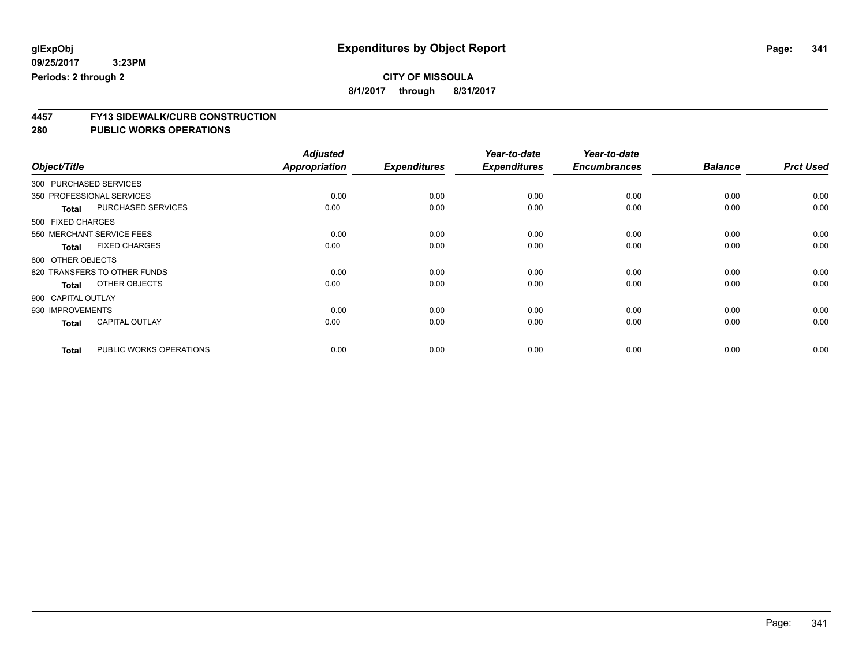**8/1/2017 through 8/31/2017**

# **4457 FY13 SIDEWALK/CURB CONSTRUCTION**

|                                         | <b>Adjusted</b>      |                     | Year-to-date        | Year-to-date        |                |                  |
|-----------------------------------------|----------------------|---------------------|---------------------|---------------------|----------------|------------------|
| Object/Title                            | <b>Appropriation</b> | <b>Expenditures</b> | <b>Expenditures</b> | <b>Encumbrances</b> | <b>Balance</b> | <b>Prct Used</b> |
| 300 PURCHASED SERVICES                  |                      |                     |                     |                     |                |                  |
| 350 PROFESSIONAL SERVICES               | 0.00                 | 0.00                | 0.00                | 0.00                | 0.00           | 0.00             |
| PURCHASED SERVICES<br><b>Total</b>      | 0.00                 | 0.00                | 0.00                | 0.00                | 0.00           | 0.00             |
| 500 FIXED CHARGES                       |                      |                     |                     |                     |                |                  |
| 550 MERCHANT SERVICE FEES               | 0.00                 | 0.00                | 0.00                | 0.00                | 0.00           | 0.00             |
| <b>FIXED CHARGES</b><br><b>Total</b>    | 0.00                 | 0.00                | 0.00                | 0.00                | 0.00           | 0.00             |
| 800 OTHER OBJECTS                       |                      |                     |                     |                     |                |                  |
| 820 TRANSFERS TO OTHER FUNDS            | 0.00                 | 0.00                | 0.00                | 0.00                | 0.00           | 0.00             |
| OTHER OBJECTS<br><b>Total</b>           | 0.00                 | 0.00                | 0.00                | 0.00                | 0.00           | 0.00             |
| 900 CAPITAL OUTLAY                      |                      |                     |                     |                     |                |                  |
| 930 IMPROVEMENTS                        | 0.00                 | 0.00                | 0.00                | 0.00                | 0.00           | 0.00             |
| <b>CAPITAL OUTLAY</b><br><b>Total</b>   | 0.00                 | 0.00                | 0.00                | 0.00                | 0.00           | 0.00             |
| PUBLIC WORKS OPERATIONS<br><b>Total</b> | 0.00                 | 0.00                | 0.00                | 0.00                | 0.00           | 0.00             |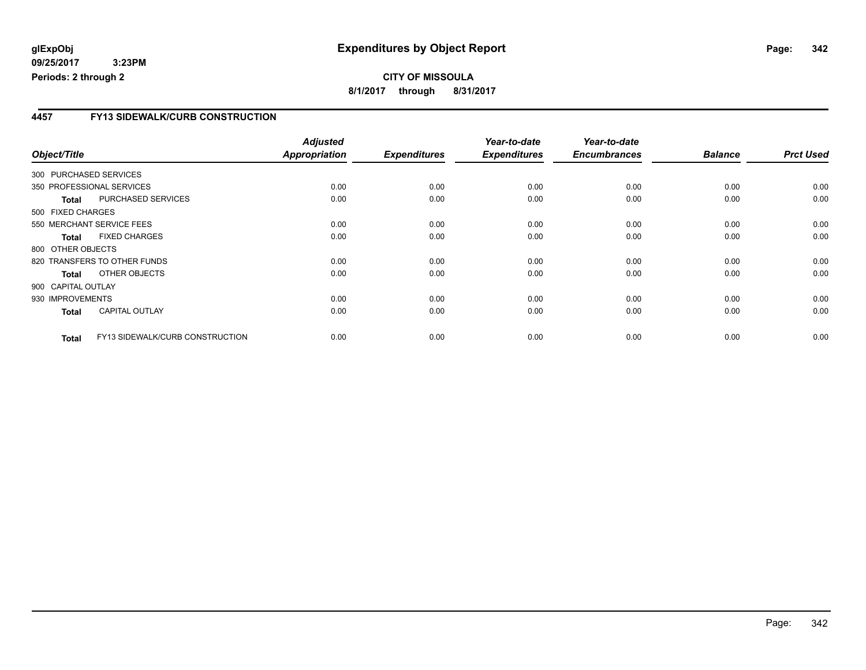### **4457 FY13 SIDEWALK/CURB CONSTRUCTION**

| Object/Title           |                                 | <b>Adjusted</b><br><b>Appropriation</b> | <b>Expenditures</b> | Year-to-date<br><b>Expenditures</b> | Year-to-date<br><b>Encumbrances</b> | <b>Balance</b> | <b>Prct Used</b> |
|------------------------|---------------------------------|-----------------------------------------|---------------------|-------------------------------------|-------------------------------------|----------------|------------------|
| 300 PURCHASED SERVICES |                                 |                                         |                     |                                     |                                     |                |                  |
|                        | 350 PROFESSIONAL SERVICES       | 0.00                                    | 0.00                | 0.00                                | 0.00                                | 0.00           | 0.00             |
| <b>Total</b>           | PURCHASED SERVICES              | 0.00                                    | 0.00                | 0.00                                | 0.00                                | 0.00           | 0.00             |
| 500 FIXED CHARGES      |                                 |                                         |                     |                                     |                                     |                |                  |
|                        | 550 MERCHANT SERVICE FEES       | 0.00                                    | 0.00                | 0.00                                | 0.00                                | 0.00           | 0.00             |
| <b>Total</b>           | <b>FIXED CHARGES</b>            | 0.00                                    | 0.00                | 0.00                                | 0.00                                | 0.00           | 0.00             |
| 800 OTHER OBJECTS      |                                 |                                         |                     |                                     |                                     |                |                  |
|                        | 820 TRANSFERS TO OTHER FUNDS    | 0.00                                    | 0.00                | 0.00                                | 0.00                                | 0.00           | 0.00             |
| Total                  | OTHER OBJECTS                   | 0.00                                    | 0.00                | 0.00                                | 0.00                                | 0.00           | 0.00             |
| 900 CAPITAL OUTLAY     |                                 |                                         |                     |                                     |                                     |                |                  |
| 930 IMPROVEMENTS       |                                 | 0.00                                    | 0.00                | 0.00                                | 0.00                                | 0.00           | 0.00             |
| <b>Total</b>           | <b>CAPITAL OUTLAY</b>           | 0.00                                    | 0.00                | 0.00                                | 0.00                                | 0.00           | 0.00             |
| <b>Total</b>           | FY13 SIDEWALK/CURB CONSTRUCTION | 0.00                                    | 0.00                | 0.00                                | 0.00                                | 0.00           | 0.00             |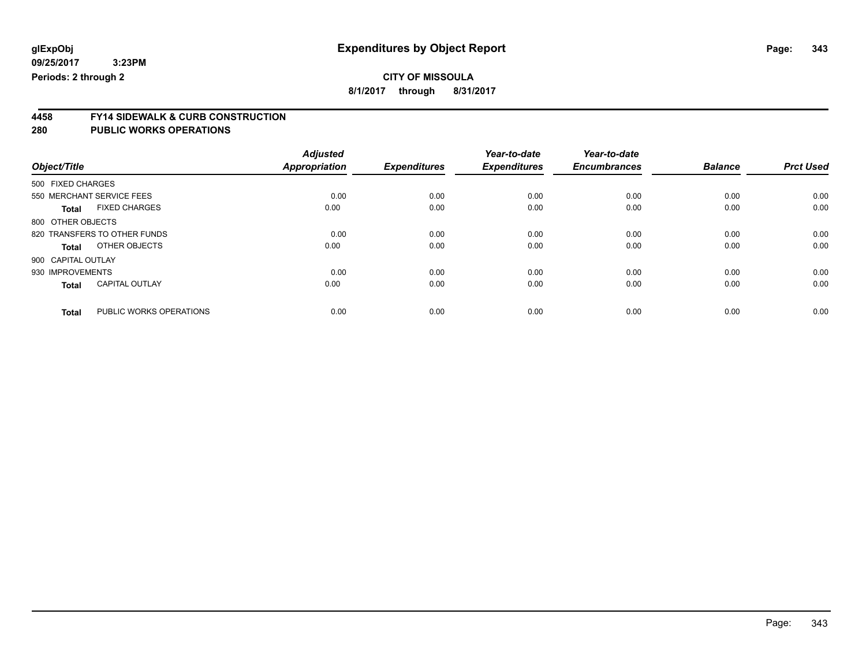## **CITY OF MISSOULA**

**8/1/2017 through 8/31/2017**

# **4458 FY14 SIDEWALK & CURB CONSTRUCTION**

| Object/Title       |                              | <b>Adjusted</b><br><b>Appropriation</b> | <b>Expenditures</b> | Year-to-date<br><b>Expenditures</b> | Year-to-date<br><b>Encumbrances</b> | <b>Balance</b> | <b>Prct Used</b> |
|--------------------|------------------------------|-----------------------------------------|---------------------|-------------------------------------|-------------------------------------|----------------|------------------|
| 500 FIXED CHARGES  |                              |                                         |                     |                                     |                                     |                |                  |
|                    |                              |                                         |                     |                                     |                                     |                |                  |
|                    | 550 MERCHANT SERVICE FEES    | 0.00                                    | 0.00                | 0.00                                | 0.00                                | 0.00           | 0.00             |
| <b>Total</b>       | <b>FIXED CHARGES</b>         | 0.00                                    | 0.00                | 0.00                                | 0.00                                | 0.00           | 0.00             |
| 800 OTHER OBJECTS  |                              |                                         |                     |                                     |                                     |                |                  |
|                    | 820 TRANSFERS TO OTHER FUNDS | 0.00                                    | 0.00                | 0.00                                | 0.00                                | 0.00           | 0.00             |
| Total              | OTHER OBJECTS                | 0.00                                    | 0.00                | 0.00                                | 0.00                                | 0.00           | 0.00             |
| 900 CAPITAL OUTLAY |                              |                                         |                     |                                     |                                     |                |                  |
| 930 IMPROVEMENTS   |                              | 0.00                                    | 0.00                | 0.00                                | 0.00                                | 0.00           | 0.00             |
| <b>Total</b>       | <b>CAPITAL OUTLAY</b>        | 0.00                                    | 0.00                | 0.00                                | 0.00                                | 0.00           | 0.00             |
|                    |                              |                                         |                     |                                     |                                     |                |                  |
| <b>Total</b>       | PUBLIC WORKS OPERATIONS      | 0.00                                    | 0.00                | 0.00                                | 0.00                                | 0.00           | 0.00             |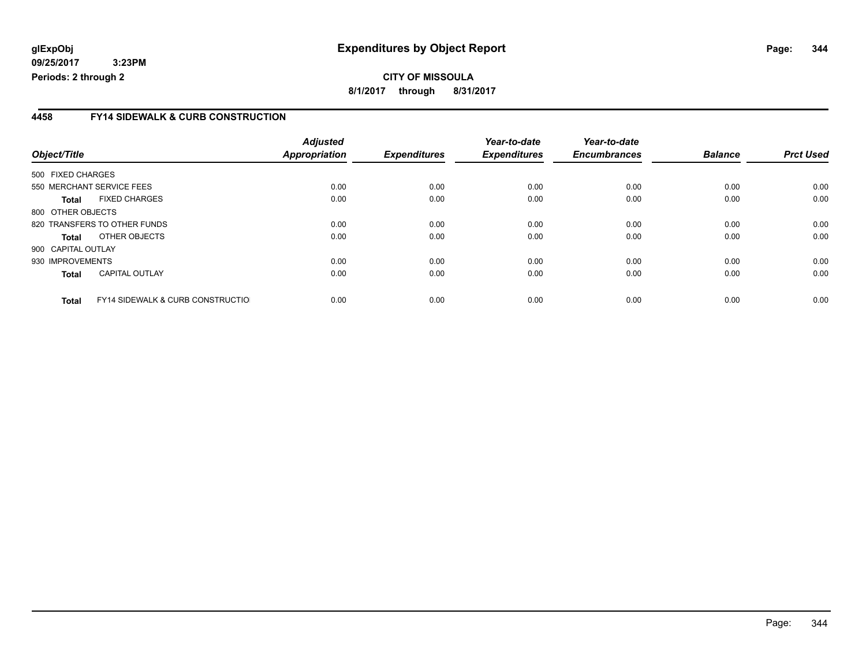**CITY OF MISSOULA 8/1/2017 through 8/31/2017**

### **4458 FY14 SIDEWALK & CURB CONSTRUCTION**

|                    |                                              | <b>Adjusted</b> |                     | Year-to-date        | Year-to-date        |                |                  |
|--------------------|----------------------------------------------|-----------------|---------------------|---------------------|---------------------|----------------|------------------|
| Object/Title       |                                              | Appropriation   | <b>Expenditures</b> | <b>Expenditures</b> | <b>Encumbrances</b> | <b>Balance</b> | <b>Prct Used</b> |
| 500 FIXED CHARGES  |                                              |                 |                     |                     |                     |                |                  |
|                    | 550 MERCHANT SERVICE FEES                    | 0.00            | 0.00                | 0.00                | 0.00                | 0.00           | 0.00             |
| Total              | <b>FIXED CHARGES</b>                         | 0.00            | 0.00                | 0.00                | 0.00                | 0.00           | 0.00             |
| 800 OTHER OBJECTS  |                                              |                 |                     |                     |                     |                |                  |
|                    | 820 TRANSFERS TO OTHER FUNDS                 | 0.00            | 0.00                | 0.00                | 0.00                | 0.00           | 0.00             |
| Total              | OTHER OBJECTS                                | 0.00            | 0.00                | 0.00                | 0.00                | 0.00           | 0.00             |
| 900 CAPITAL OUTLAY |                                              |                 |                     |                     |                     |                |                  |
| 930 IMPROVEMENTS   |                                              | 0.00            | 0.00                | 0.00                | 0.00                | 0.00           | 0.00             |
| <b>Total</b>       | <b>CAPITAL OUTLAY</b>                        | 0.00            | 0.00                | 0.00                | 0.00                | 0.00           | 0.00             |
| <b>Total</b>       | <b>FY14 SIDEWALK &amp; CURB CONSTRUCTIOL</b> | 0.00            | 0.00                | 0.00                | 0.00                | 0.00           | 0.00             |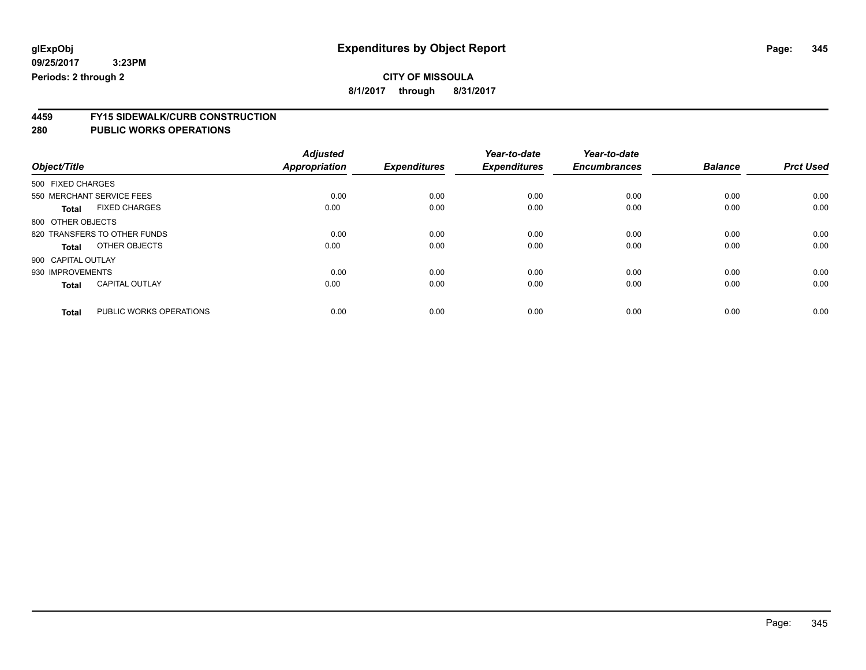## **CITY OF MISSOULA**

**8/1/2017 through 8/31/2017**

# **4459 FY15 SIDEWALK/CURB CONSTRUCTION**

|                                         | <b>Adjusted</b> |                     | Year-to-date        | Year-to-date        |                |                  |
|-----------------------------------------|-----------------|---------------------|---------------------|---------------------|----------------|------------------|
| Object/Title                            | Appropriation   | <b>Expenditures</b> | <b>Expenditures</b> | <b>Encumbrances</b> | <b>Balance</b> | <b>Prct Used</b> |
| 500 FIXED CHARGES                       |                 |                     |                     |                     |                |                  |
| 550 MERCHANT SERVICE FEES               | 0.00            | 0.00                | 0.00                | 0.00                | 0.00           | 0.00             |
| <b>FIXED CHARGES</b><br><b>Total</b>    | 0.00            | 0.00                | 0.00                | 0.00                | 0.00           | 0.00             |
| 800 OTHER OBJECTS                       |                 |                     |                     |                     |                |                  |
| 820 TRANSFERS TO OTHER FUNDS            | 0.00            | 0.00                | 0.00                | 0.00                | 0.00           | 0.00             |
| OTHER OBJECTS<br>Total                  | 0.00            | 0.00                | 0.00                | 0.00                | 0.00           | 0.00             |
| 900 CAPITAL OUTLAY                      |                 |                     |                     |                     |                |                  |
| 930 IMPROVEMENTS                        | 0.00            | 0.00                | 0.00                | 0.00                | 0.00           | 0.00             |
| <b>CAPITAL OUTLAY</b><br><b>Total</b>   | 0.00            | 0.00                | 0.00                | 0.00                | 0.00           | 0.00             |
| PUBLIC WORKS OPERATIONS<br><b>Total</b> | 0.00            | 0.00                | 0.00                | 0.00                | 0.00           | 0.00             |
|                                         |                 |                     |                     |                     |                |                  |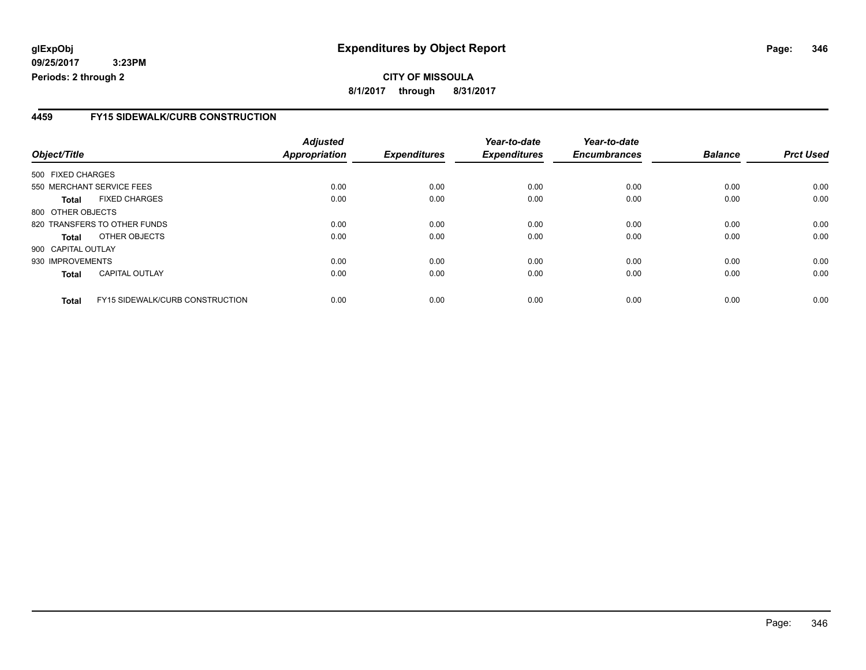### **CITY OF MISSOULA 8/1/2017 through 8/31/2017**

### **4459 FY15 SIDEWALK/CURB CONSTRUCTION**

|                                                 | <b>Adjusted</b> |                     | Year-to-date        | Year-to-date        |                |                  |
|-------------------------------------------------|-----------------|---------------------|---------------------|---------------------|----------------|------------------|
| Object/Title                                    | Appropriation   | <b>Expenditures</b> | <b>Expenditures</b> | <b>Encumbrances</b> | <b>Balance</b> | <b>Prct Used</b> |
| 500 FIXED CHARGES                               |                 |                     |                     |                     |                |                  |
| 550 MERCHANT SERVICE FEES                       | 0.00            | 0.00                | 0.00                | 0.00                | 0.00           | 0.00             |
| <b>FIXED CHARGES</b><br><b>Total</b>            | 0.00            | 0.00                | 0.00                | 0.00                | 0.00           | 0.00             |
| 800 OTHER OBJECTS                               |                 |                     |                     |                     |                |                  |
| 820 TRANSFERS TO OTHER FUNDS                    | 0.00            | 0.00                | 0.00                | 0.00                | 0.00           | 0.00             |
| OTHER OBJECTS<br><b>Total</b>                   | 0.00            | 0.00                | 0.00                | 0.00                | 0.00           | 0.00             |
| 900 CAPITAL OUTLAY                              |                 |                     |                     |                     |                |                  |
| 930 IMPROVEMENTS                                | 0.00            | 0.00                | 0.00                | 0.00                | 0.00           | 0.00             |
| <b>CAPITAL OUTLAY</b><br><b>Total</b>           | 0.00            | 0.00                | 0.00                | 0.00                | 0.00           | 0.00             |
| FY15 SIDEWALK/CURB CONSTRUCTION<br><b>Total</b> | 0.00            | 0.00                | 0.00                | 0.00                | 0.00           | 0.00             |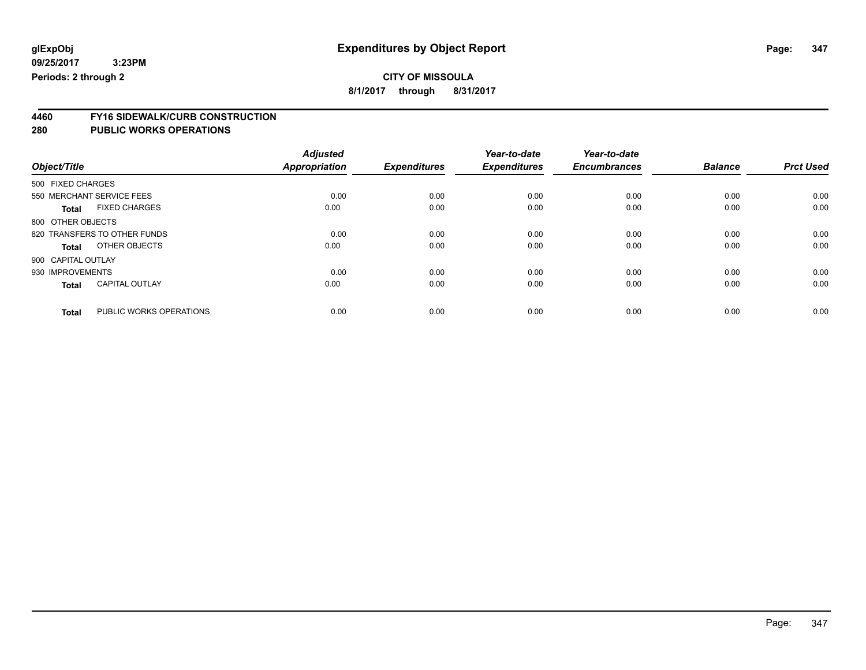**8/1/2017 through 8/31/2017**

# **4460 FY16 SIDEWALK/CURB CONSTRUCTION**

|                                         | <b>Adjusted</b>      |                     | Year-to-date        | Year-to-date        |                |                  |
|-----------------------------------------|----------------------|---------------------|---------------------|---------------------|----------------|------------------|
| Object/Title                            | <b>Appropriation</b> | <b>Expenditures</b> | <b>Expenditures</b> | <b>Encumbrances</b> | <b>Balance</b> | <b>Prct Used</b> |
| 500 FIXED CHARGES                       |                      |                     |                     |                     |                |                  |
| 550 MERCHANT SERVICE FEES               | 0.00                 | 0.00                | 0.00                | 0.00                | 0.00           | 0.00             |
| <b>FIXED CHARGES</b><br><b>Total</b>    | 0.00                 | 0.00                | 0.00                | 0.00                | 0.00           | 0.00             |
| 800 OTHER OBJECTS                       |                      |                     |                     |                     |                |                  |
| 820 TRANSFERS TO OTHER FUNDS            | 0.00                 | 0.00                | 0.00                | 0.00                | 0.00           | 0.00             |
| OTHER OBJECTS<br>Total                  | 0.00                 | 0.00                | 0.00                | 0.00                | 0.00           | 0.00             |
| 900 CAPITAL OUTLAY                      |                      |                     |                     |                     |                |                  |
| 930 IMPROVEMENTS                        | 0.00                 | 0.00                | 0.00                | 0.00                | 0.00           | 0.00             |
| <b>CAPITAL OUTLAY</b><br><b>Total</b>   | 0.00                 | 0.00                | 0.00                | 0.00                | 0.00           | 0.00             |
|                                         |                      |                     |                     |                     |                |                  |
| PUBLIC WORKS OPERATIONS<br><b>Total</b> | 0.00                 | 0.00                | 0.00                | 0.00                | 0.00           | 0.00             |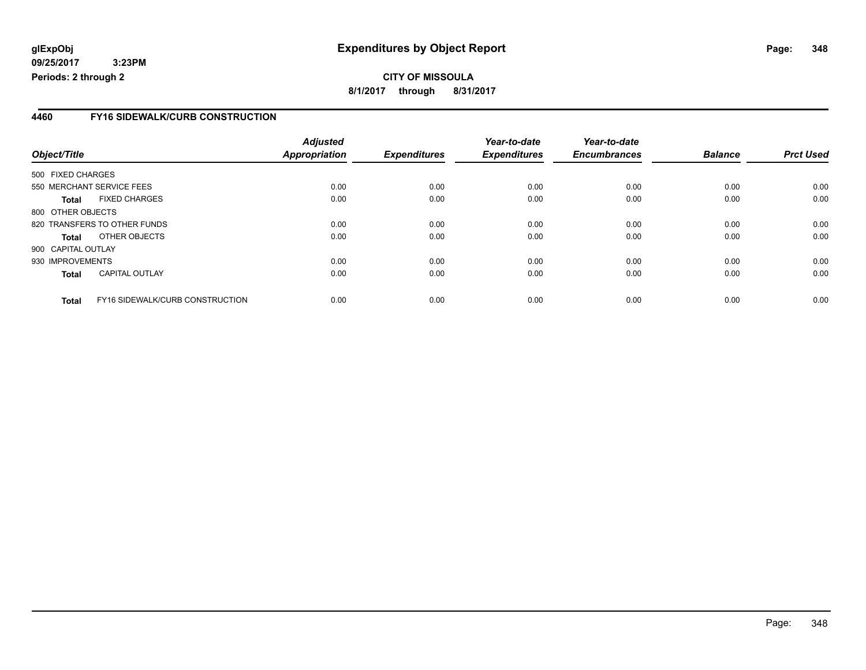**CITY OF MISSOULA 8/1/2017 through 8/31/2017**

### **4460 FY16 SIDEWALK/CURB CONSTRUCTION**

|                    |                                 | <b>Adjusted</b> |                     | Year-to-date        | Year-to-date<br><b>Encumbrances</b> | <b>Balance</b> | <b>Prct Used</b> |
|--------------------|---------------------------------|-----------------|---------------------|---------------------|-------------------------------------|----------------|------------------|
| Object/Title       |                                 | Appropriation   | <b>Expenditures</b> | <b>Expenditures</b> |                                     |                |                  |
| 500 FIXED CHARGES  |                                 |                 |                     |                     |                                     |                |                  |
|                    | 550 MERCHANT SERVICE FEES       | 0.00            | 0.00                | 0.00                | 0.00                                | 0.00           | 0.00             |
| <b>Total</b>       | <b>FIXED CHARGES</b>            | 0.00            | 0.00                | 0.00                | 0.00                                | 0.00           | 0.00             |
| 800 OTHER OBJECTS  |                                 |                 |                     |                     |                                     |                |                  |
|                    | 820 TRANSFERS TO OTHER FUNDS    | 0.00            | 0.00                | 0.00                | 0.00                                | 0.00           | 0.00             |
| <b>Total</b>       | OTHER OBJECTS                   | 0.00            | 0.00                | 0.00                | 0.00                                | 0.00           | 0.00             |
| 900 CAPITAL OUTLAY |                                 |                 |                     |                     |                                     |                |                  |
| 930 IMPROVEMENTS   |                                 | 0.00            | 0.00                | 0.00                | 0.00                                | 0.00           | 0.00             |
| <b>Total</b>       | <b>CAPITAL OUTLAY</b>           | 0.00            | 0.00                | 0.00                | 0.00                                | 0.00           | 0.00             |
| <b>Total</b>       | FY16 SIDEWALK/CURB CONSTRUCTION | 0.00            | 0.00                | 0.00                | 0.00                                | 0.00           | 0.00             |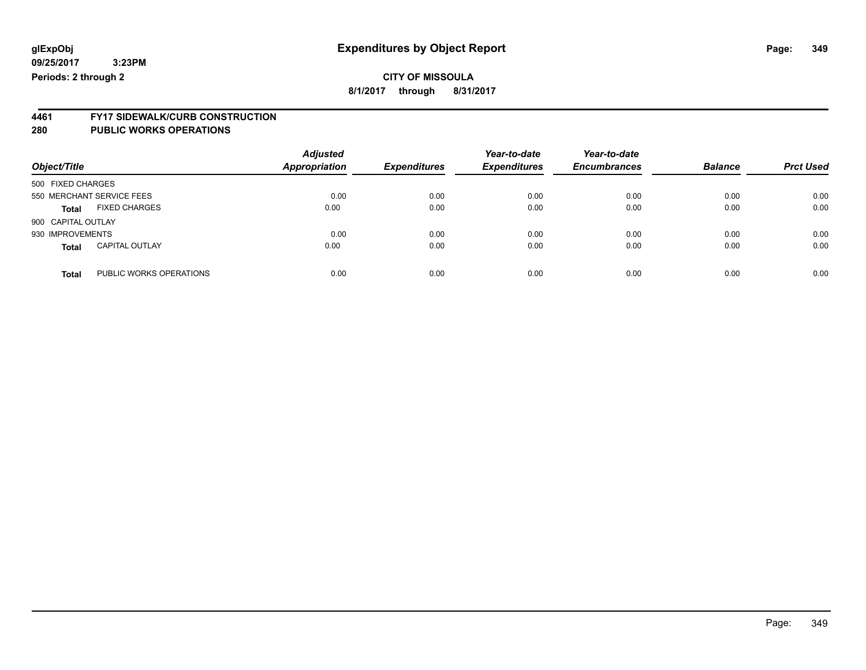### **CITY OF MISSOULA 8/1/2017 through 8/31/2017**

**4461 FY17 SIDEWALK/CURB CONSTRUCTION 280 PUBLIC WORKS OPERATIONS**

| Object/Title       |                           | <b>Adjusted</b><br><b>Appropriation</b> | <b>Expenditures</b> | Year-to-date<br><b>Expenditures</b> | Year-to-date<br><b>Encumbrances</b> | <b>Balance</b> | <b>Prct Used</b> |
|--------------------|---------------------------|-----------------------------------------|---------------------|-------------------------------------|-------------------------------------|----------------|------------------|
| 500 FIXED CHARGES  |                           |                                         |                     |                                     |                                     |                |                  |
|                    | 550 MERCHANT SERVICE FEES | 0.00                                    | 0.00                | 0.00                                | 0.00                                | 0.00           | 0.00             |
| Total              | <b>FIXED CHARGES</b>      | 0.00                                    | 0.00                | 0.00                                | 0.00                                | 0.00           | 0.00             |
| 900 CAPITAL OUTLAY |                           |                                         |                     |                                     |                                     |                |                  |
| 930 IMPROVEMENTS   |                           | 0.00                                    | 0.00                | 0.00                                | 0.00                                | 0.00           | 0.00             |
| <b>Total</b>       | <b>CAPITAL OUTLAY</b>     | 0.00                                    | 0.00                | 0.00                                | 0.00                                | 0.00           | 0.00             |
| <b>Total</b>       | PUBLIC WORKS OPERATIONS   | 0.00                                    | 0.00                | 0.00                                | 0.00                                | 0.00           | 0.00             |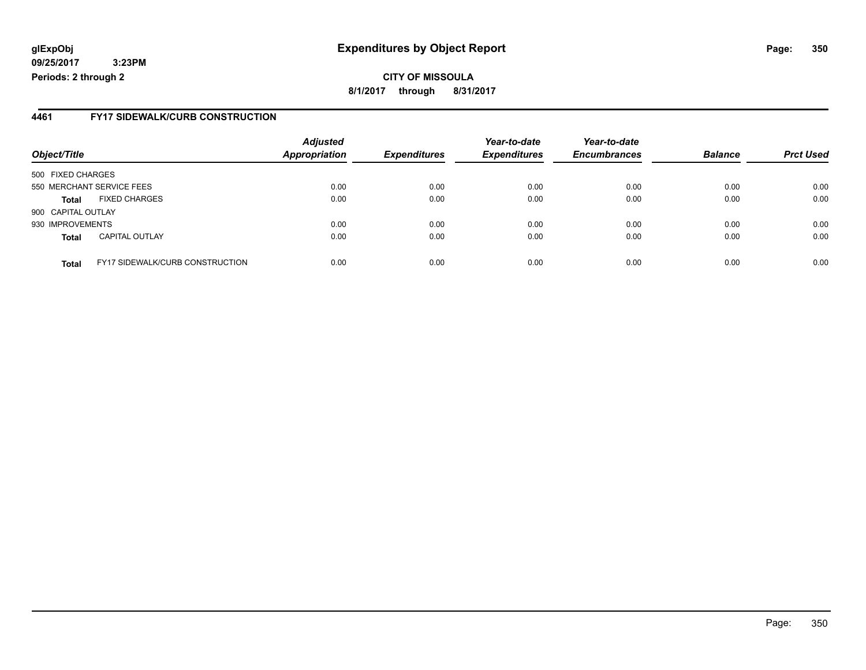### **glExpObj Expenditures by Object Report Page: 350**

**09/25/2017 3:23PM Periods: 2 through 2**

### **4461 FY17 SIDEWALK/CURB CONSTRUCTION**

| Object/Title       |                                        | <b>Adjusted</b><br><b>Appropriation</b> | <b>Expenditures</b> | Year-to-date<br><b>Expenditures</b> | Year-to-date<br><b>Encumbrances</b> | <b>Balance</b> | <b>Prct Used</b> |
|--------------------|----------------------------------------|-----------------------------------------|---------------------|-------------------------------------|-------------------------------------|----------------|------------------|
| 500 FIXED CHARGES  |                                        |                                         |                     |                                     |                                     |                |                  |
|                    | 550 MERCHANT SERVICE FEES              | 0.00                                    | 0.00                | 0.00                                | 0.00                                | 0.00           | 0.00             |
| <b>Total</b>       | <b>FIXED CHARGES</b>                   | 0.00                                    | 0.00                | 0.00                                | 0.00                                | 0.00           | 0.00             |
| 900 CAPITAL OUTLAY |                                        |                                         |                     |                                     |                                     |                |                  |
| 930 IMPROVEMENTS   |                                        | 0.00                                    | 0.00                | 0.00                                | 0.00                                | 0.00           | 0.00             |
| <b>Total</b>       | <b>CAPITAL OUTLAY</b>                  | 0.00                                    | 0.00                | 0.00                                | 0.00                                | 0.00           | 0.00             |
| <b>Total</b>       | <b>FY17 SIDEWALK/CURB CONSTRUCTION</b> | 0.00                                    | 0.00                | 0.00                                | 0.00                                | 0.00           | 0.00             |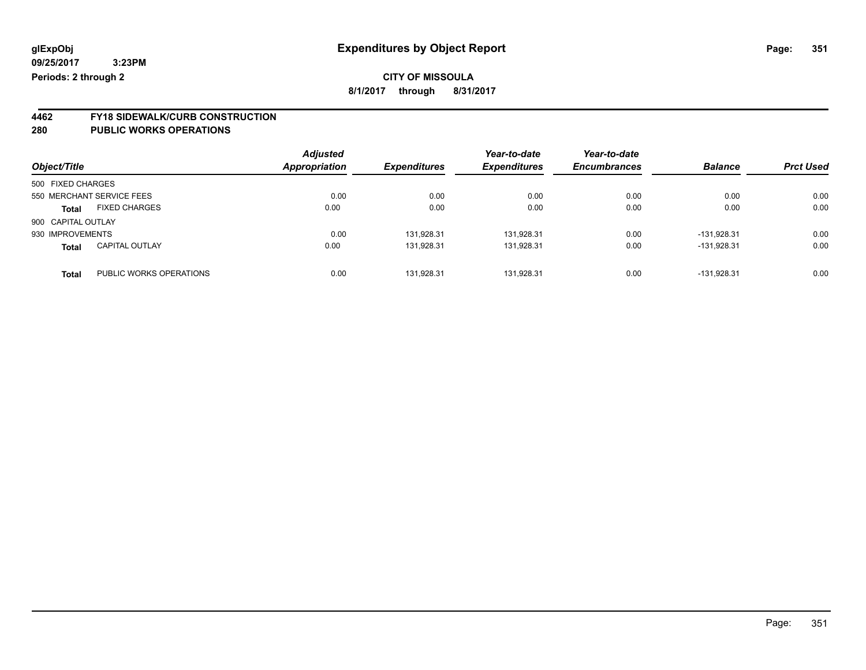**8/1/2017 through 8/31/2017**

# **4462 FY18 SIDEWALK/CURB CONSTRUCTION**

| Object/Title       |                           | <b>Adjusted</b><br>Appropriation | <b>Expenditures</b> | Year-to-date<br><b>Expenditures</b> | Year-to-date<br><b>Encumbrances</b> | <b>Balance</b> | <b>Prct Used</b> |
|--------------------|---------------------------|----------------------------------|---------------------|-------------------------------------|-------------------------------------|----------------|------------------|
| 500 FIXED CHARGES  |                           |                                  |                     |                                     |                                     |                |                  |
|                    | 550 MERCHANT SERVICE FEES | 0.00                             | 0.00                | 0.00                                | 0.00                                | 0.00           | 0.00             |
| <b>Total</b>       | <b>FIXED CHARGES</b>      | 0.00                             | 0.00                | 0.00                                | 0.00                                | 0.00           | 0.00             |
| 900 CAPITAL OUTLAY |                           |                                  |                     |                                     |                                     |                |                  |
| 930 IMPROVEMENTS   |                           | 0.00                             | 131.928.31          | 131,928.31                          | 0.00                                | -131.928.31    | 0.00             |
| <b>Total</b>       | <b>CAPITAL OUTLAY</b>     | 0.00                             | 131.928.31          | 131.928.31                          | 0.00                                | $-131.928.31$  | 0.00             |
| <b>Total</b>       | PUBLIC WORKS OPERATIONS   | 0.00                             | 131.928.31          | 131.928.31                          | 0.00                                | -131.928.31    | 0.00             |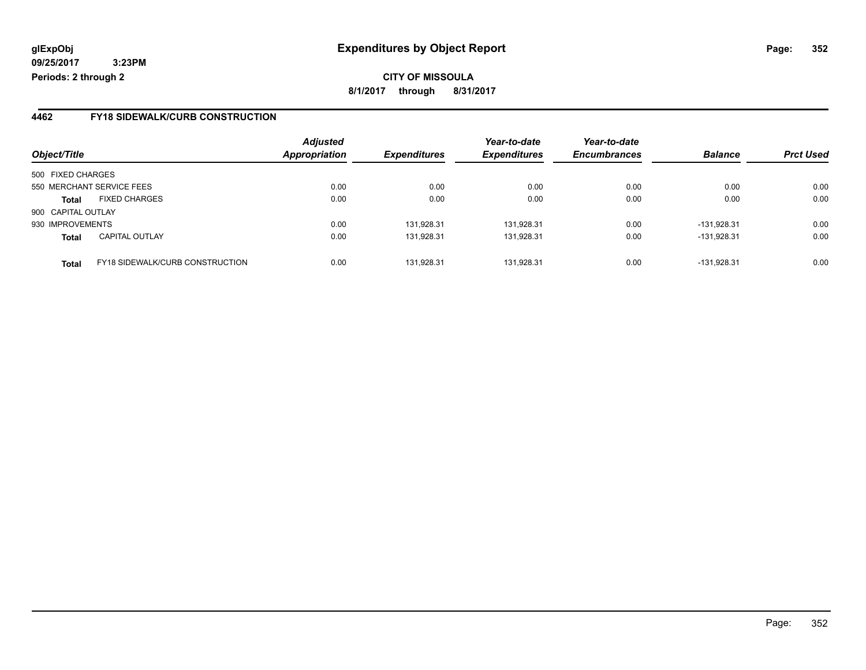**CITY OF MISSOULA 8/1/2017 through 8/31/2017**

### **4462 FY18 SIDEWALK/CURB CONSTRUCTION**

|                    |                                        | <b>Adjusted</b>      |                            | Year-to-date        | Year-to-date        |                |                  |
|--------------------|----------------------------------------|----------------------|----------------------------|---------------------|---------------------|----------------|------------------|
| Object/Title       |                                        | <b>Appropriation</b> | <i><b>Expenditures</b></i> | <b>Expenditures</b> | <b>Encumbrances</b> | <b>Balance</b> | <b>Prct Used</b> |
| 500 FIXED CHARGES  |                                        |                      |                            |                     |                     |                |                  |
|                    | 550 MERCHANT SERVICE FEES              | 0.00                 | 0.00                       | 0.00                | 0.00                | 0.00           | 0.00             |
| <b>Total</b>       | <b>FIXED CHARGES</b>                   | 0.00                 | 0.00                       | 0.00                | 0.00                | 0.00           | 0.00             |
| 900 CAPITAL OUTLAY |                                        |                      |                            |                     |                     |                |                  |
| 930 IMPROVEMENTS   |                                        | 0.00                 | 131,928.31                 | 131.928.31          | 0.00                | -131.928.31    | 0.00             |
| <b>Total</b>       | <b>CAPITAL OUTLAY</b>                  | 0.00                 | 131,928.31                 | 131,928.31          | 0.00                | -131.928.31    | 0.00             |
| <b>Total</b>       | <b>FY18 SIDEWALK/CURB CONSTRUCTION</b> | 0.00                 | 131.928.31                 | 131.928.31          | 0.00                | -131.928.31    | 0.00             |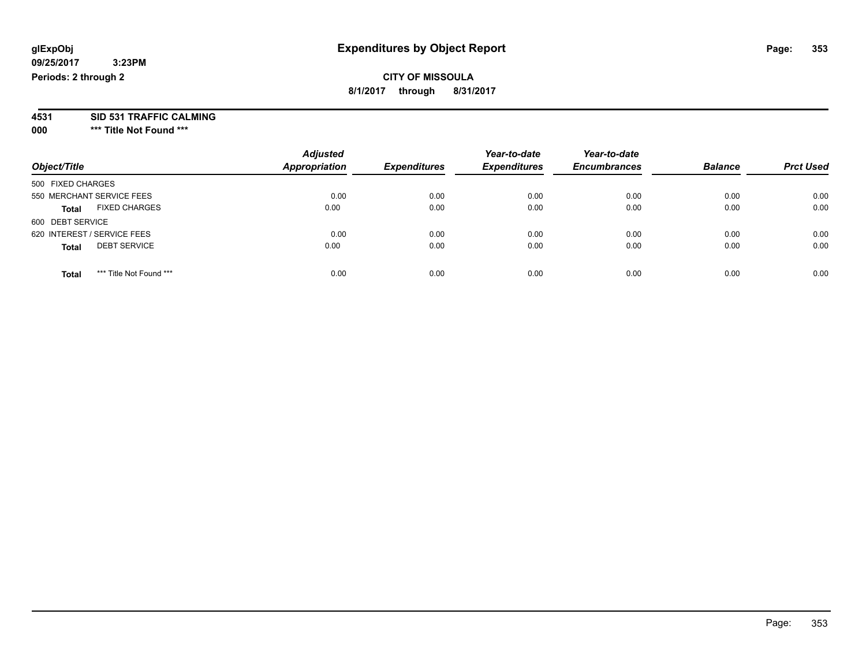### **CITY OF MISSOULA 8/1/2017 through 8/31/2017**

**4531 SID 531 TRAFFIC CALMING**

**000 \*\*\* Title Not Found \*\*\***

| Object/Title                            | <b>Adjusted</b><br>Appropriation | <b>Expenditures</b> | Year-to-date<br><b>Expenditures</b> | Year-to-date<br><b>Encumbrances</b> | <b>Balance</b> | <b>Prct Used</b> |
|-----------------------------------------|----------------------------------|---------------------|-------------------------------------|-------------------------------------|----------------|------------------|
| 500 FIXED CHARGES                       |                                  |                     |                                     |                                     |                |                  |
| 550 MERCHANT SERVICE FEES               | 0.00                             | 0.00                | 0.00                                | 0.00                                | 0.00           | 0.00             |
| <b>FIXED CHARGES</b><br><b>Total</b>    | 0.00                             | 0.00                | 0.00                                | 0.00                                | 0.00           | 0.00             |
| 600 DEBT SERVICE                        |                                  |                     |                                     |                                     |                |                  |
| 620 INTEREST / SERVICE FEES             | 0.00                             | 0.00                | 0.00                                | 0.00                                | 0.00           | 0.00             |
| <b>DEBT SERVICE</b><br><b>Total</b>     | 0.00                             | 0.00                | 0.00                                | 0.00                                | 0.00           | 0.00             |
| *** Title Not Found ***<br><b>Total</b> | 0.00                             | 0.00                | 0.00                                | 0.00                                | 0.00           | 0.00             |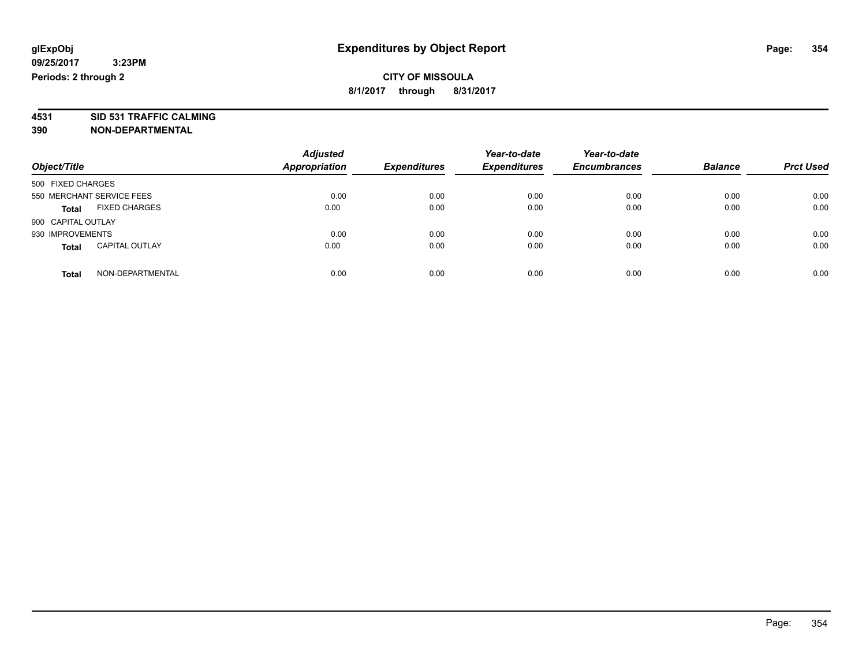**4531 SID 531 TRAFFIC CALMING 390 NON-DEPARTMENTAL**

| Object/Title                          | <b>Adjusted</b><br><b>Appropriation</b> | <b>Expenditures</b> | Year-to-date<br><b>Expenditures</b> | Year-to-date<br><b>Encumbrances</b> | <b>Balance</b> | <b>Prct Used</b> |
|---------------------------------------|-----------------------------------------|---------------------|-------------------------------------|-------------------------------------|----------------|------------------|
| 500 FIXED CHARGES                     |                                         |                     |                                     |                                     |                |                  |
| 550 MERCHANT SERVICE FEES             | 0.00                                    | 0.00                | 0.00                                | 0.00                                | 0.00           | 0.00             |
| <b>FIXED CHARGES</b><br><b>Total</b>  | 0.00                                    | 0.00                | 0.00                                | 0.00                                | 0.00           | 0.00             |
| 900 CAPITAL OUTLAY                    |                                         |                     |                                     |                                     |                |                  |
| 930 IMPROVEMENTS                      | 0.00                                    | 0.00                | 0.00                                | 0.00                                | 0.00           | 0.00             |
| <b>CAPITAL OUTLAY</b><br><b>Total</b> | 0.00                                    | 0.00                | 0.00                                | 0.00                                | 0.00           | 0.00             |
| NON-DEPARTMENTAL<br>Total             | 0.00                                    | 0.00                | 0.00                                | 0.00                                | 0.00           | 0.00             |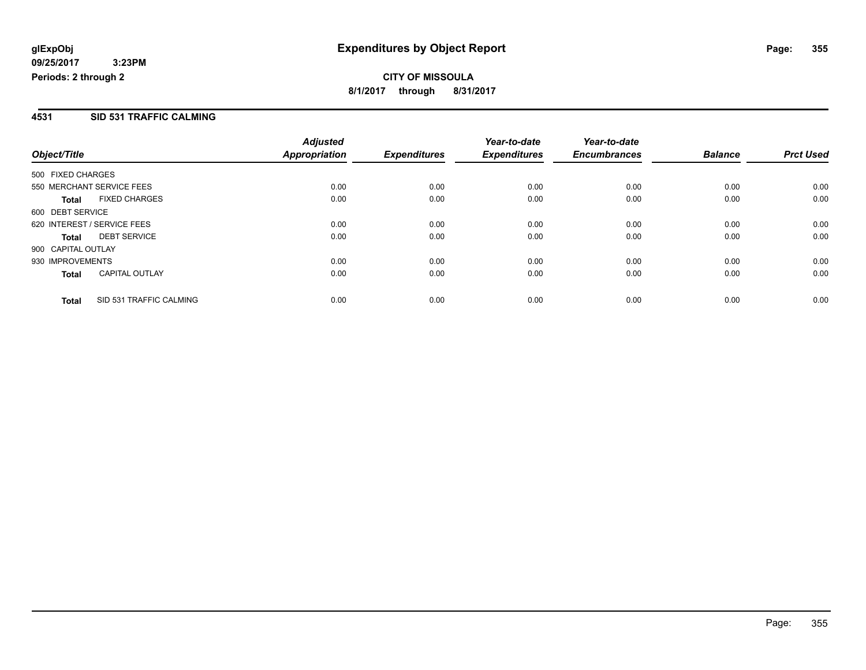### **4531 SID 531 TRAFFIC CALMING**

|                             |                         | <b>Adjusted</b> |                     | Year-to-date        | Year-to-date        |                |                  |
|-----------------------------|-------------------------|-----------------|---------------------|---------------------|---------------------|----------------|------------------|
| Object/Title                |                         | Appropriation   | <b>Expenditures</b> | <b>Expenditures</b> | <b>Encumbrances</b> | <b>Balance</b> | <b>Prct Used</b> |
| 500 FIXED CHARGES           |                         |                 |                     |                     |                     |                |                  |
| 550 MERCHANT SERVICE FEES   |                         | 0.00            | 0.00                | 0.00                | 0.00                | 0.00           | 0.00             |
| <b>Total</b>                | <b>FIXED CHARGES</b>    | 0.00            | 0.00                | 0.00                | 0.00                | 0.00           | 0.00             |
| 600 DEBT SERVICE            |                         |                 |                     |                     |                     |                |                  |
| 620 INTEREST / SERVICE FEES |                         | 0.00            | 0.00                | 0.00                | 0.00                | 0.00           | 0.00             |
| <b>Total</b>                | <b>DEBT SERVICE</b>     | 0.00            | 0.00                | 0.00                | 0.00                | 0.00           | 0.00             |
| 900 CAPITAL OUTLAY          |                         |                 |                     |                     |                     |                |                  |
| 930 IMPROVEMENTS            |                         | 0.00            | 0.00                | 0.00                | 0.00                | 0.00           | 0.00             |
| <b>Total</b>                | <b>CAPITAL OUTLAY</b>   | 0.00            | 0.00                | 0.00                | 0.00                | 0.00           | 0.00             |
| <b>Total</b>                | SID 531 TRAFFIC CALMING | 0.00            | 0.00                | 0.00                | 0.00                | 0.00           | 0.00             |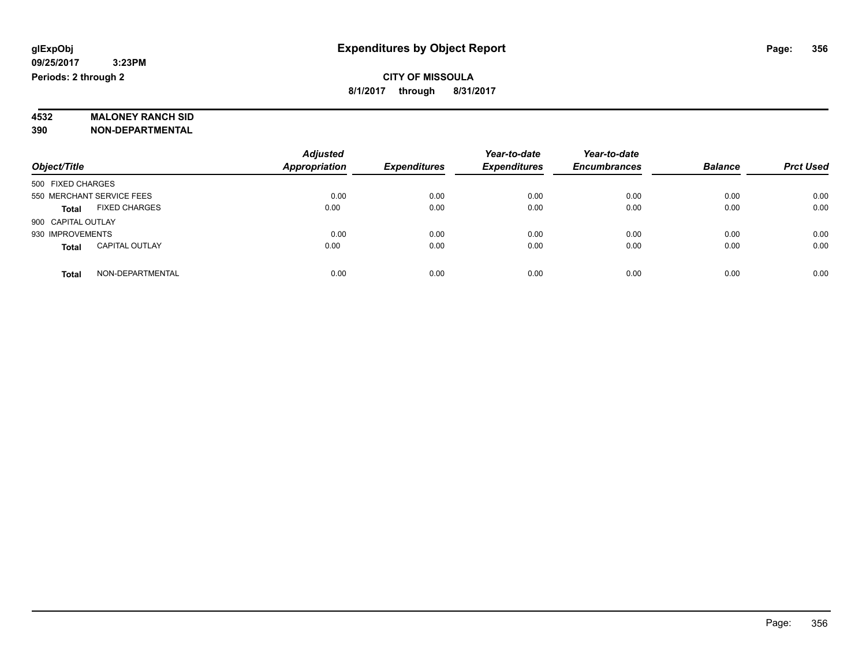# **4532 MALONEY RANCH SID**

**390 NON-DEPARTMENTAL**

|                                       | <b>Adjusted</b>      |                     | Year-to-date        | Year-to-date        |                |                  |
|---------------------------------------|----------------------|---------------------|---------------------|---------------------|----------------|------------------|
| Object/Title                          | <b>Appropriation</b> | <b>Expenditures</b> | <b>Expenditures</b> | <b>Encumbrances</b> | <b>Balance</b> | <b>Prct Used</b> |
| 500 FIXED CHARGES                     |                      |                     |                     |                     |                |                  |
| 550 MERCHANT SERVICE FEES             | 0.00                 | 0.00                | 0.00                | 0.00                | 0.00           | 0.00             |
| <b>FIXED CHARGES</b><br><b>Total</b>  | 0.00                 | 0.00                | 0.00                | 0.00                | 0.00           | 0.00             |
| 900 CAPITAL OUTLAY                    |                      |                     |                     |                     |                |                  |
| 930 IMPROVEMENTS                      | 0.00                 | 0.00                | 0.00                | 0.00                | 0.00           | 0.00             |
| <b>CAPITAL OUTLAY</b><br><b>Total</b> | 0.00                 | 0.00                | 0.00                | 0.00                | 0.00           | 0.00             |
| NON-DEPARTMENTAL<br><b>Total</b>      | 0.00                 | 0.00                | 0.00                | 0.00                | 0.00           | 0.00             |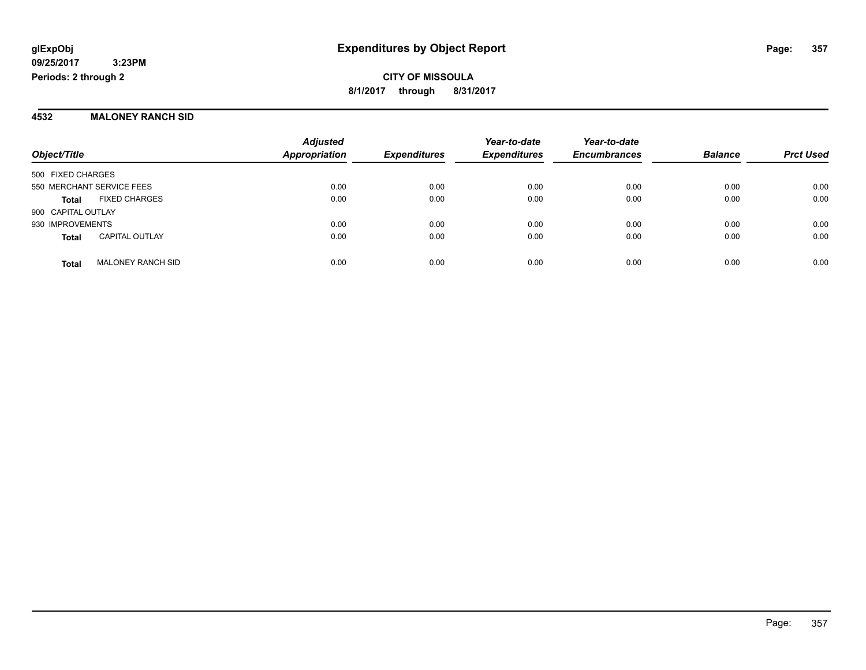#### **4532 MALONEY RANCH SID**

|                           |                          | <b>Adjusted</b><br><b>Appropriation</b> | <b>Expenditures</b> | Year-to-date<br><b>Expenditures</b> | Year-to-date<br><b>Encumbrances</b> | <b>Balance</b> | <b>Prct Used</b> |
|---------------------------|--------------------------|-----------------------------------------|---------------------|-------------------------------------|-------------------------------------|----------------|------------------|
| Object/Title              |                          |                                         |                     |                                     |                                     |                |                  |
| 500 FIXED CHARGES         |                          |                                         |                     |                                     |                                     |                |                  |
| 550 MERCHANT SERVICE FEES |                          | 0.00                                    | 0.00                | 0.00                                | 0.00                                | 0.00           | 0.00             |
| <b>Total</b>              | <b>FIXED CHARGES</b>     | 0.00                                    | 0.00                | 0.00                                | 0.00                                | 0.00           | 0.00             |
| 900 CAPITAL OUTLAY        |                          |                                         |                     |                                     |                                     |                |                  |
| 930 IMPROVEMENTS          |                          | 0.00                                    | 0.00                | 0.00                                | 0.00                                | 0.00           | 0.00             |
| <b>Total</b>              | <b>CAPITAL OUTLAY</b>    | 0.00                                    | 0.00                | 0.00                                | 0.00                                | 0.00           | 0.00             |
| <b>Total</b>              | <b>MALONEY RANCH SID</b> | 0.00                                    | 0.00                | 0.00                                | 0.00                                | 0.00           | 0.00             |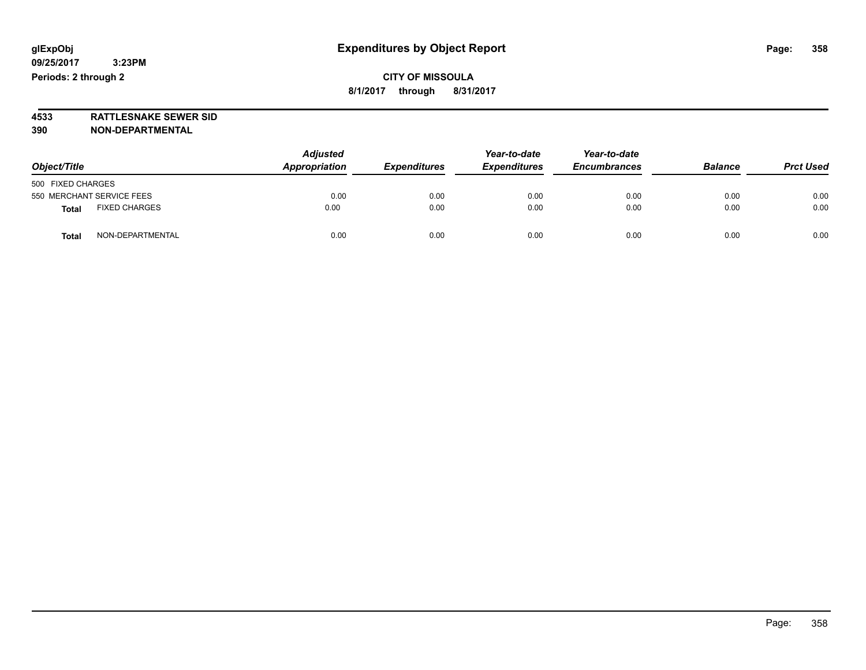**4533 RATTLESNAKE SEWER SID 390 NON-DEPARTMENTAL**

| Object/Title                         | <b>Adjusted</b><br>Appropriation | <b>Expenditures</b> | Year-to-date<br><b>Expenditures</b> | Year-to-date<br><b>Encumbrances</b> | <b>Balance</b> | <b>Prct Used</b> |
|--------------------------------------|----------------------------------|---------------------|-------------------------------------|-------------------------------------|----------------|------------------|
| 500 FIXED CHARGES                    |                                  |                     |                                     |                                     |                |                  |
| 550 MERCHANT SERVICE FEES            | 0.00                             | 0.00                | 0.00                                | 0.00                                | 0.00           | 0.00             |
| <b>FIXED CHARGES</b><br><b>Total</b> | 0.00                             | 0.00                | 0.00                                | 0.00                                | 0.00           | 0.00             |
| NON-DEPARTMENTAL<br><b>Total</b>     | 0.00                             | 0.00                | 0.00                                | 0.00                                | 0.00           | 0.00             |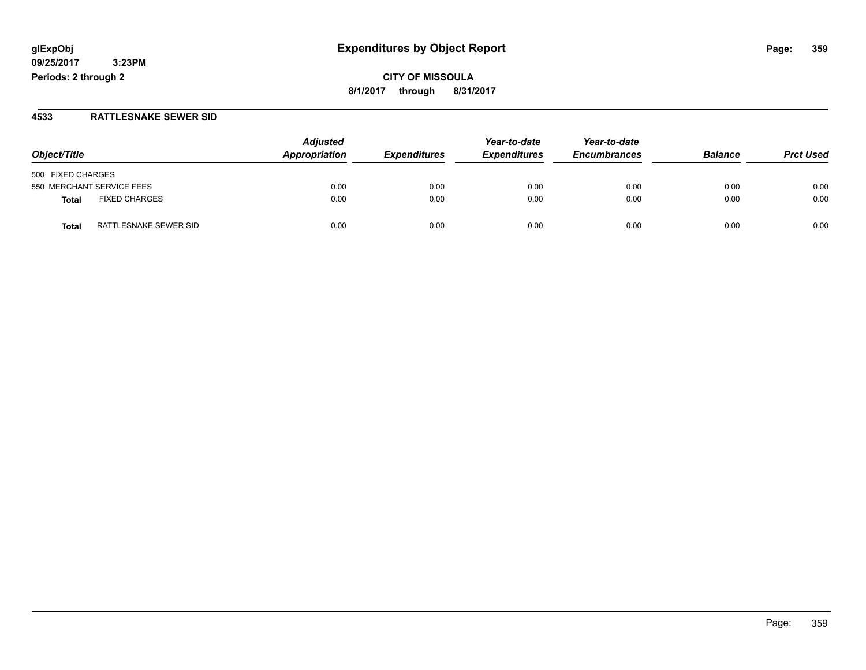### **glExpObj Expenditures by Object Report Page: 359**

**09/25/2017 3:23PM Periods: 2 through 2**

### **4533 RATTLESNAKE SEWER SID**

| Object/Title                         | <b>Adjusted</b><br>Appropriation | <b>Expenditures</b> | Year-to-date<br><b>Expenditures</b> | Year-to-date<br><b>Encumbrances</b> | <b>Balance</b> | <b>Prct Used</b> |
|--------------------------------------|----------------------------------|---------------------|-------------------------------------|-------------------------------------|----------------|------------------|
| 500 FIXED CHARGES                    |                                  |                     |                                     |                                     |                |                  |
| 550 MERCHANT SERVICE FEES            | 0.00                             | 0.00                | 0.00                                | 0.00                                | 0.00           | 0.00             |
| <b>FIXED CHARGES</b><br><b>Total</b> | 0.00                             | 0.00                | 0.00                                | 0.00                                | 0.00           | 0.00             |
| RATTLESNAKE SEWER SID<br>Total       | 0.00                             | 0.00                | 0.00                                | 0.00                                | 0.00           | 0.00             |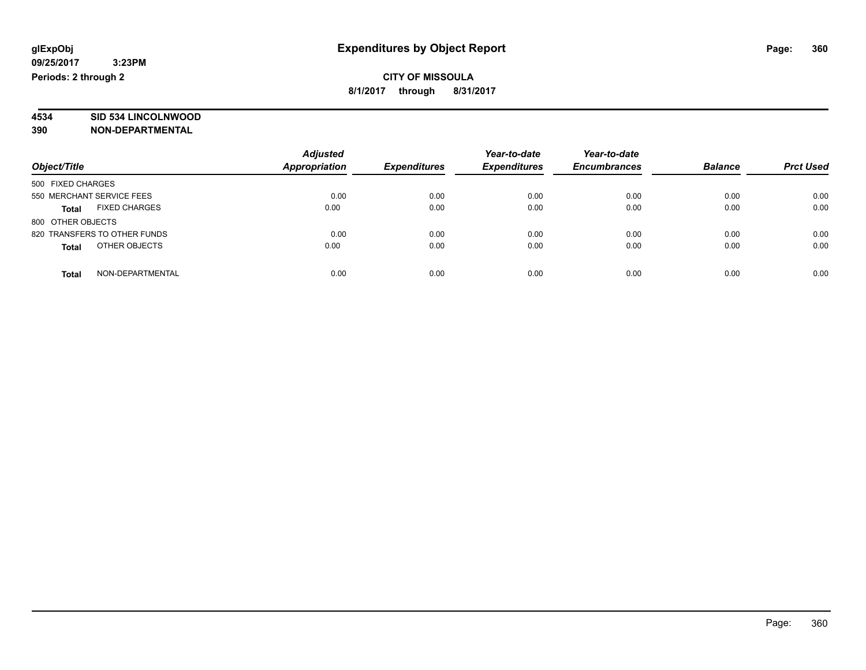# **4534 SID 534 LINCOLNWOOD**

**390 NON-DEPARTMENTAL**

| Object/Title                  | <b>Adjusted</b><br>Appropriation | <b>Expenditures</b> | Year-to-date<br><b>Expenditures</b> | Year-to-date<br><b>Encumbrances</b> | <b>Balance</b> | <b>Prct Used</b> |
|-------------------------------|----------------------------------|---------------------|-------------------------------------|-------------------------------------|----------------|------------------|
| 500 FIXED CHARGES             |                                  |                     |                                     |                                     |                |                  |
| 550 MERCHANT SERVICE FEES     | 0.00                             | 0.00                | 0.00                                | 0.00                                | 0.00           | 0.00             |
| <b>FIXED CHARGES</b><br>Total | 0.00                             | 0.00                | 0.00                                | 0.00                                | 0.00           | 0.00             |
| 800 OTHER OBJECTS             |                                  |                     |                                     |                                     |                |                  |
| 820 TRANSFERS TO OTHER FUNDS  | 0.00                             | 0.00                | 0.00                                | 0.00                                | 0.00           | 0.00             |
| OTHER OBJECTS<br><b>Total</b> | 0.00                             | 0.00                | 0.00                                | 0.00                                | 0.00           | 0.00             |
| NON-DEPARTMENTAL<br>Total     | 0.00                             | 0.00                | 0.00                                | 0.00                                | 0.00           | 0.00             |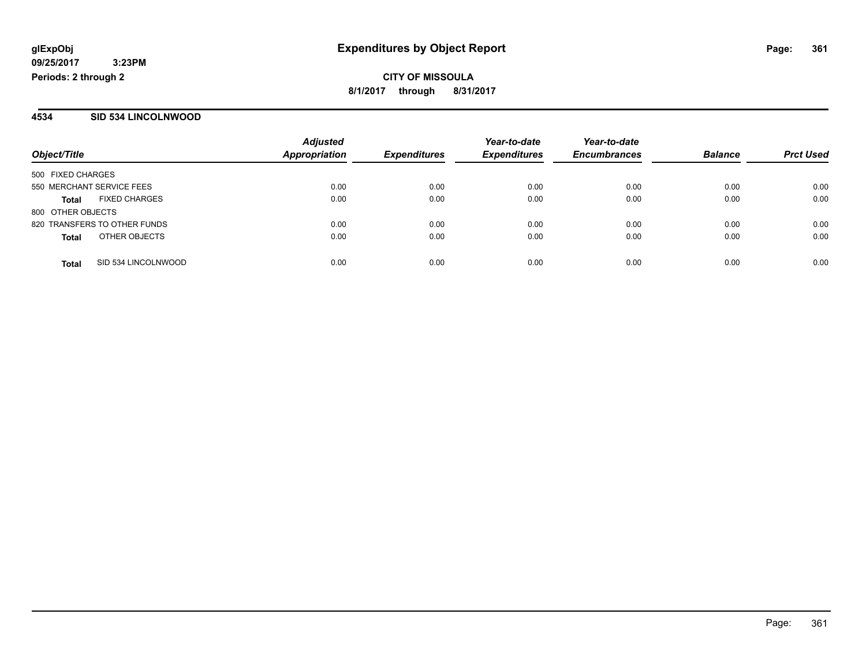#### **4534 SID 534 LINCOLNWOOD**

|                           |                              | <b>Adjusted</b> |                     | Year-to-date        | Year-to-date        |                |                  |
|---------------------------|------------------------------|-----------------|---------------------|---------------------|---------------------|----------------|------------------|
| Object/Title              |                              | Appropriation   | <b>Expenditures</b> | <b>Expenditures</b> | <b>Encumbrances</b> | <b>Balance</b> | <b>Prct Used</b> |
| 500 FIXED CHARGES         |                              |                 |                     |                     |                     |                |                  |
| 550 MERCHANT SERVICE FEES |                              | 0.00            | 0.00                | 0.00                | 0.00                | 0.00           | 0.00             |
| <b>Total</b>              | <b>FIXED CHARGES</b>         | 0.00            | 0.00                | 0.00                | 0.00                | 0.00           | 0.00             |
| 800 OTHER OBJECTS         |                              |                 |                     |                     |                     |                |                  |
|                           | 820 TRANSFERS TO OTHER FUNDS | 0.00            | 0.00                | 0.00                | 0.00                | 0.00           | 0.00             |
| <b>Total</b>              | OTHER OBJECTS                | 0.00            | 0.00                | 0.00                | 0.00                | 0.00           | 0.00             |
| <b>Total</b>              | SID 534 LINCOLNWOOD          | 0.00            | 0.00                | 0.00                | 0.00                | 0.00           | 0.00             |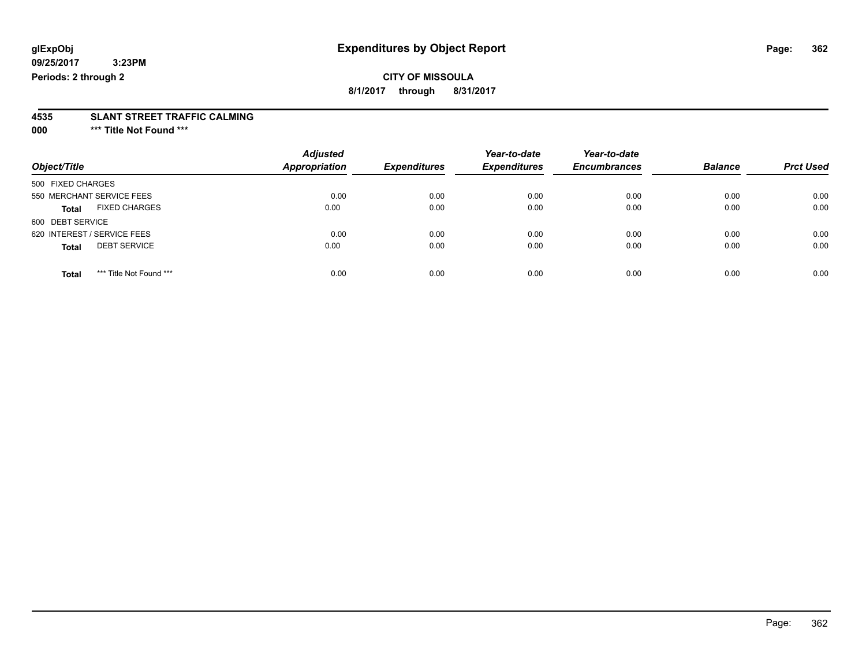### **CITY OF MISSOULA**

**8/1/2017 through 8/31/2017**

# **4535 SLANT STREET TRAFFIC CALMING**

**000 \*\*\* Title Not Found \*\*\***

| Object/Title                            | <b>Adjusted</b><br>Appropriation | <b>Expenditures</b> | Year-to-date<br><b>Expenditures</b> | Year-to-date<br><b>Encumbrances</b> | <b>Balance</b> | <b>Prct Used</b> |
|-----------------------------------------|----------------------------------|---------------------|-------------------------------------|-------------------------------------|----------------|------------------|
|                                         |                                  |                     |                                     |                                     |                |                  |
| 500 FIXED CHARGES                       |                                  |                     |                                     |                                     |                |                  |
| 550 MERCHANT SERVICE FEES               | 0.00                             | 0.00                | 0.00                                | 0.00                                | 0.00           | 0.00             |
| <b>FIXED CHARGES</b><br><b>Total</b>    | 0.00                             | 0.00                | 0.00                                | 0.00                                | 0.00           | 0.00             |
| 600 DEBT SERVICE                        |                                  |                     |                                     |                                     |                |                  |
| 620 INTEREST / SERVICE FEES             | 0.00                             | 0.00                | 0.00                                | 0.00                                | 0.00           | 0.00             |
| <b>DEBT SERVICE</b><br><b>Total</b>     | 0.00                             | 0.00                | 0.00                                | 0.00                                | 0.00           | 0.00             |
| *** Title Not Found ***<br><b>Total</b> | 0.00                             | 0.00                | 0.00                                | 0.00                                | 0.00           | 0.00             |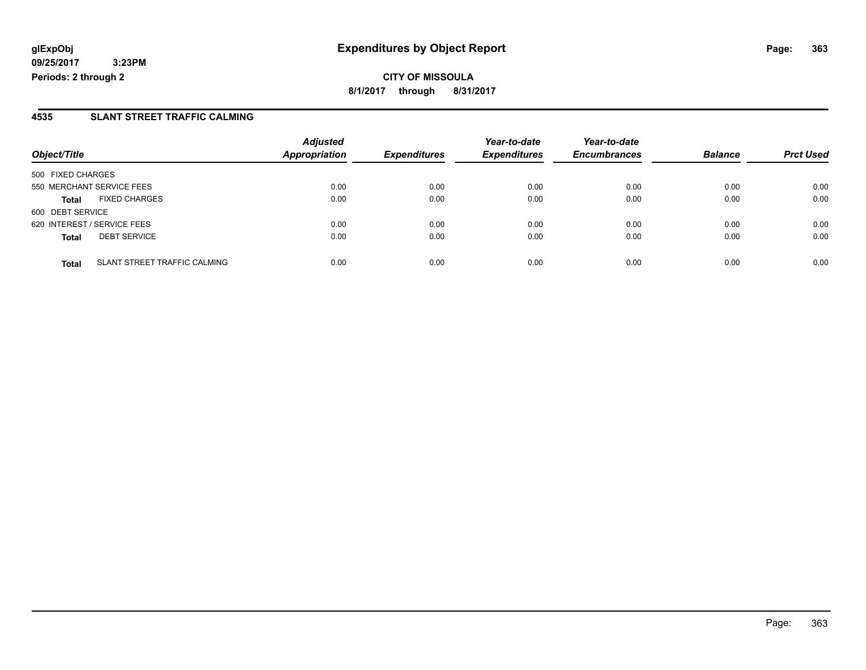**CITY OF MISSOULA 8/1/2017 through 8/31/2017**

### **4535 SLANT STREET TRAFFIC CALMING**

|                                              | <b>Adjusted</b>      |                     | Year-to-date        | Year-to-date        |                |                  |
|----------------------------------------------|----------------------|---------------------|---------------------|---------------------|----------------|------------------|
| Object/Title                                 | <b>Appropriation</b> | <b>Expenditures</b> | <b>Expenditures</b> | <b>Encumbrances</b> | <b>Balance</b> | <b>Prct Used</b> |
| 500 FIXED CHARGES                            |                      |                     |                     |                     |                |                  |
| 550 MERCHANT SERVICE FEES                    | 0.00                 | 0.00                | 0.00                | 0.00                | 0.00           | 0.00             |
| <b>FIXED CHARGES</b><br><b>Total</b>         | 0.00                 | 0.00                | 0.00                | 0.00                | 0.00           | 0.00             |
| 600 DEBT SERVICE                             |                      |                     |                     |                     |                |                  |
| 620 INTEREST / SERVICE FEES                  | 0.00                 | 0.00                | 0.00                | 0.00                | 0.00           | 0.00             |
| <b>DEBT SERVICE</b><br><b>Total</b>          | 0.00                 | 0.00                | 0.00                | 0.00                | 0.00           | 0.00             |
| SLANT STREET TRAFFIC CALMING<br><b>Total</b> | 0.00                 | 0.00                | 0.00                | 0.00                | 0.00           | 0.00             |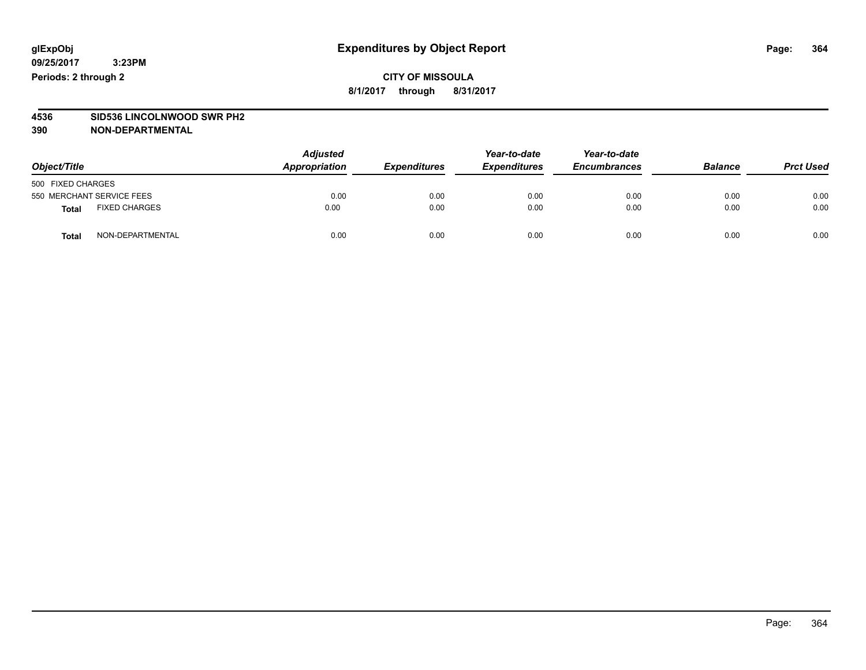### **CITY OF MISSOULA 8/1/2017 through 8/31/2017**

# **4536 SID536 LINCOLNWOOD SWR PH2**

| Object/Title                         |                  | <b>Adjusted</b><br>Appropriation | <b>Expenditures</b> | Year-to-date<br><b>Expenditures</b> | Year-to-date<br><b>Encumbrances</b> | <b>Balance</b> | <b>Prct Used</b> |
|--------------------------------------|------------------|----------------------------------|---------------------|-------------------------------------|-------------------------------------|----------------|------------------|
| 500 FIXED CHARGES                    |                  |                                  |                     |                                     |                                     |                |                  |
| 550 MERCHANT SERVICE FEES            |                  | 0.00                             | 0.00                | 0.00                                | 0.00                                | 0.00           | 0.00             |
| <b>FIXED CHARGES</b><br><b>Total</b> |                  | 0.00                             | 0.00                | 0.00                                | 0.00                                | 0.00           | 0.00             |
| <b>Total</b>                         | NON-DEPARTMENTAL | 0.00                             | 0.00                | 0.00                                | 0.00                                | 0.00           | 0.00             |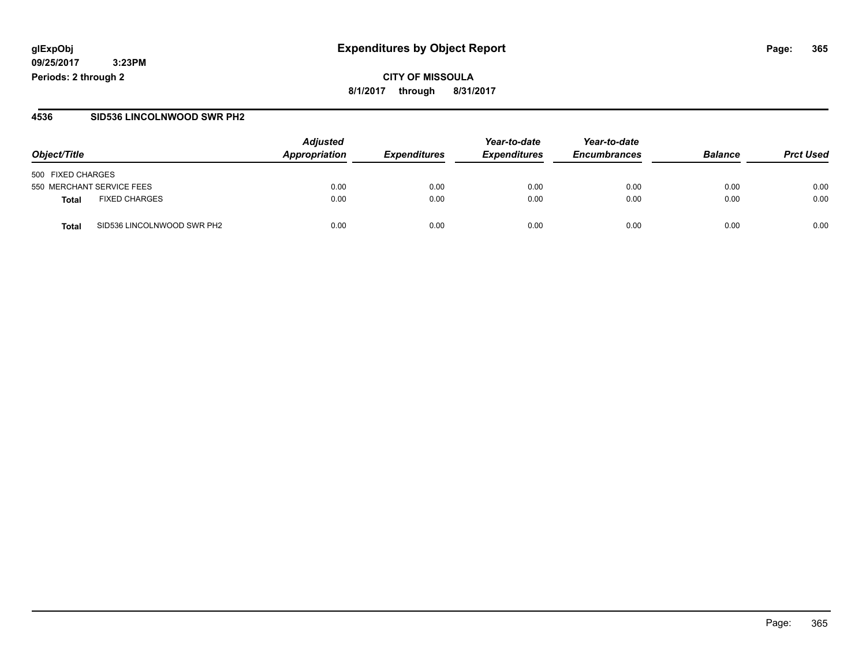#### **4536 SID536 LINCOLNWOOD SWR PH2**

| Object/Title                        | <b>Adjusted</b><br>Appropriation | <b>Expenditures</b> | Year-to-date<br><b>Expenditures</b> | Year-to-date<br><b>Encumbrances</b> | <b>Balance</b> | <b>Prct Used</b> |
|-------------------------------------|----------------------------------|---------------------|-------------------------------------|-------------------------------------|----------------|------------------|
| 500 FIXED CHARGES                   |                                  |                     |                                     |                                     |                |                  |
| 550 MERCHANT SERVICE FEES           | 0.00                             | 0.00                | 0.00                                | 0.00                                | 0.00           | 0.00             |
| <b>FIXED CHARGES</b><br>Total       | 0.00                             | 0.00                | 0.00                                | 0.00                                | 0.00           | 0.00             |
| SID536 LINCOLNWOOD SWR PH2<br>Total | 0.00                             | 0.00                | 0.00                                | 0.00                                | 0.00           | 0.00             |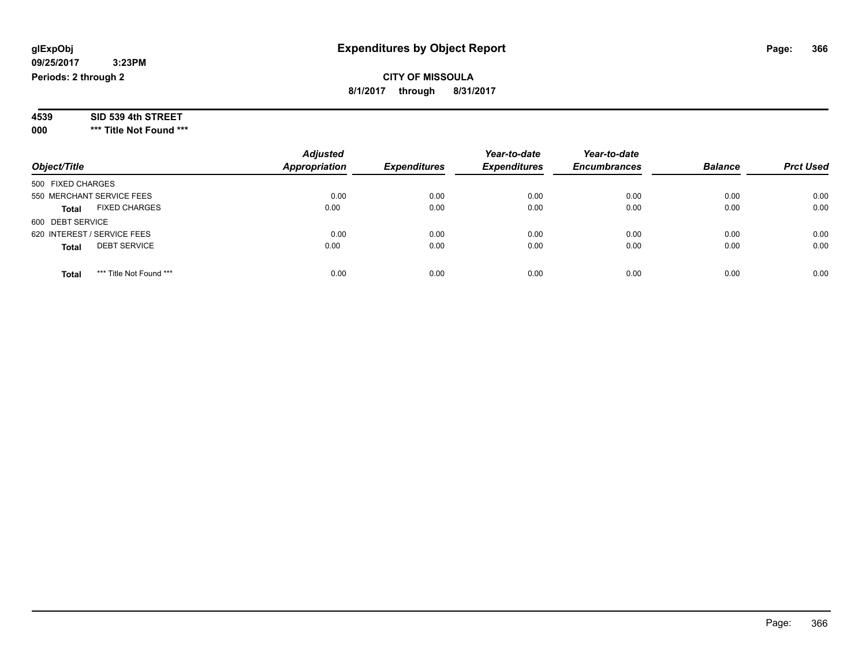### **09/25/2017 3:23PM**

**Periods: 2 through 2**

**CITY OF MISSOULA 8/1/2017 through 8/31/2017**

| 4539 | SID 539 4th STREET |
|------|--------------------|
|------|--------------------|

**000 \*\*\* Title Not Found \*\*\***

| Object/Title                            | <b>Adjusted</b><br><b>Appropriation</b> | <b>Expenditures</b> | Year-to-date<br><b>Expenditures</b> | Year-to-date<br><b>Encumbrances</b> | <b>Balance</b> | <b>Prct Used</b> |
|-----------------------------------------|-----------------------------------------|---------------------|-------------------------------------|-------------------------------------|----------------|------------------|
| 500 FIXED CHARGES                       |                                         |                     |                                     |                                     |                |                  |
| 550 MERCHANT SERVICE FEES               | 0.00                                    | 0.00                | 0.00                                | 0.00                                | 0.00           | 0.00             |
| <b>FIXED CHARGES</b><br><b>Total</b>    | 0.00                                    | 0.00                | 0.00                                | 0.00                                | 0.00           | 0.00             |
| 600 DEBT SERVICE                        |                                         |                     |                                     |                                     |                |                  |
| 620 INTEREST / SERVICE FEES             | 0.00                                    | 0.00                | 0.00                                | 0.00                                | 0.00           | 0.00             |
| <b>DEBT SERVICE</b><br><b>Total</b>     | 0.00                                    | 0.00                | 0.00                                | 0.00                                | 0.00           | 0.00             |
| *** Title Not Found ***<br><b>Total</b> | 0.00                                    | 0.00                | 0.00                                | 0.00                                | 0.00           | 0.00             |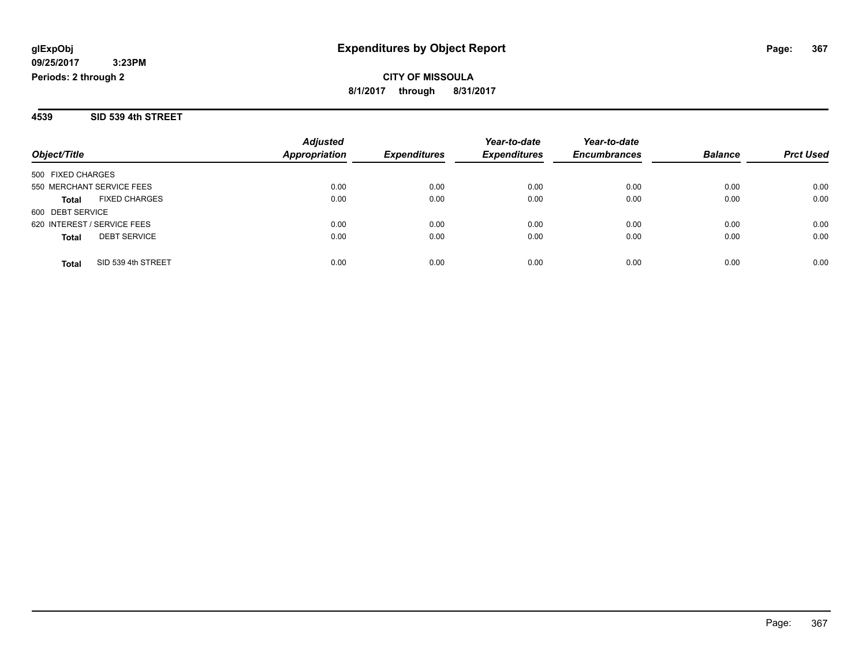**4539 SID 539 4th STREET**

| Object/Title                         | <b>Adjusted</b><br>Appropriation | <b>Expenditures</b> | Year-to-date<br><b>Expenditures</b> | Year-to-date<br><b>Encumbrances</b> | <b>Balance</b> | <b>Prct Used</b> |
|--------------------------------------|----------------------------------|---------------------|-------------------------------------|-------------------------------------|----------------|------------------|
|                                      |                                  |                     |                                     |                                     |                |                  |
| 500 FIXED CHARGES                    |                                  |                     |                                     |                                     |                |                  |
| 550 MERCHANT SERVICE FEES            | 0.00                             | 0.00                | 0.00                                | 0.00                                | 0.00           | 0.00             |
| <b>FIXED CHARGES</b><br><b>Total</b> | 0.00                             | 0.00                | 0.00                                | 0.00                                | 0.00           | 0.00             |
| 600 DEBT SERVICE                     |                                  |                     |                                     |                                     |                |                  |
| 620 INTEREST / SERVICE FEES          | 0.00                             | 0.00                | 0.00                                | 0.00                                | 0.00           | 0.00             |
| <b>DEBT SERVICE</b><br><b>Total</b>  | 0.00                             | 0.00                | 0.00                                | 0.00                                | 0.00           | 0.00             |
|                                      |                                  |                     |                                     |                                     |                |                  |
| SID 539 4th STREET<br>Total          | 0.00                             | 0.00                | 0.00                                | 0.00                                | 0.00           | 0.00             |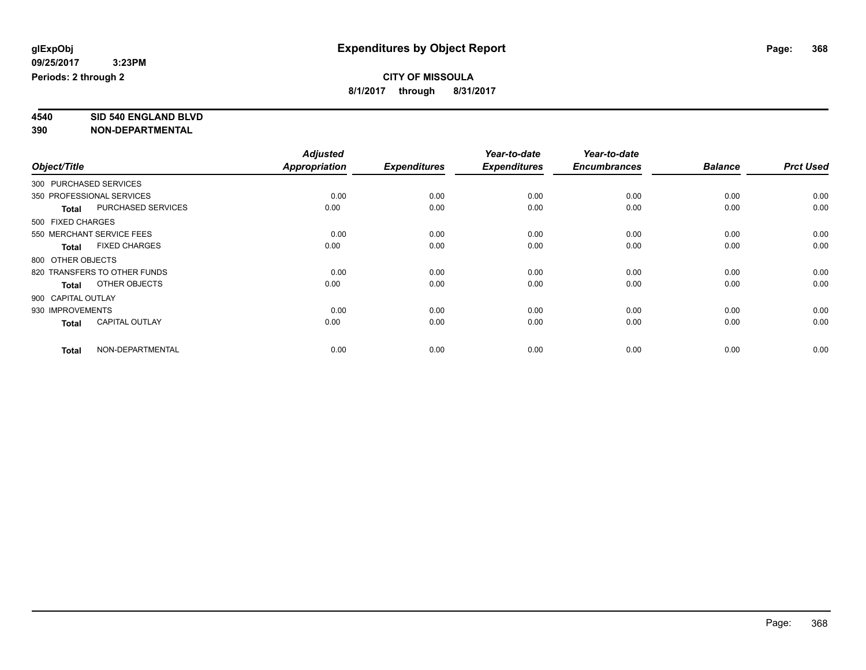**4540 SID 540 ENGLAND BLVD**

| Object/Title       |                              | <b>Adjusted</b>      |                     | Year-to-date        | Year-to-date        |                |                  |
|--------------------|------------------------------|----------------------|---------------------|---------------------|---------------------|----------------|------------------|
|                    |                              | <b>Appropriation</b> | <b>Expenditures</b> | <b>Expenditures</b> | <b>Encumbrances</b> | <b>Balance</b> | <b>Prct Used</b> |
|                    | 300 PURCHASED SERVICES       |                      |                     |                     |                     |                |                  |
|                    | 350 PROFESSIONAL SERVICES    | 0.00                 | 0.00                | 0.00                | 0.00                | 0.00           | 0.00             |
| <b>Total</b>       | PURCHASED SERVICES           | 0.00                 | 0.00                | 0.00                | 0.00                | 0.00           | 0.00             |
| 500 FIXED CHARGES  |                              |                      |                     |                     |                     |                |                  |
|                    | 550 MERCHANT SERVICE FEES    | 0.00                 | 0.00                | 0.00                | 0.00                | 0.00           | 0.00             |
| <b>Total</b>       | <b>FIXED CHARGES</b>         | 0.00                 | 0.00                | 0.00                | 0.00                | 0.00           | 0.00             |
| 800 OTHER OBJECTS  |                              |                      |                     |                     |                     |                |                  |
|                    | 820 TRANSFERS TO OTHER FUNDS | 0.00                 | 0.00                | 0.00                | 0.00                | 0.00           | 0.00             |
| <b>Total</b>       | OTHER OBJECTS                | 0.00                 | 0.00                | 0.00                | 0.00                | 0.00           | 0.00             |
| 900 CAPITAL OUTLAY |                              |                      |                     |                     |                     |                |                  |
| 930 IMPROVEMENTS   |                              | 0.00                 | 0.00                | 0.00                | 0.00                | 0.00           | 0.00             |
| <b>Total</b>       | <b>CAPITAL OUTLAY</b>        | 0.00                 | 0.00                | 0.00                | 0.00                | 0.00           | 0.00             |
| <b>Total</b>       | NON-DEPARTMENTAL             | 0.00                 | 0.00                | 0.00                | 0.00                | 0.00           | 0.00             |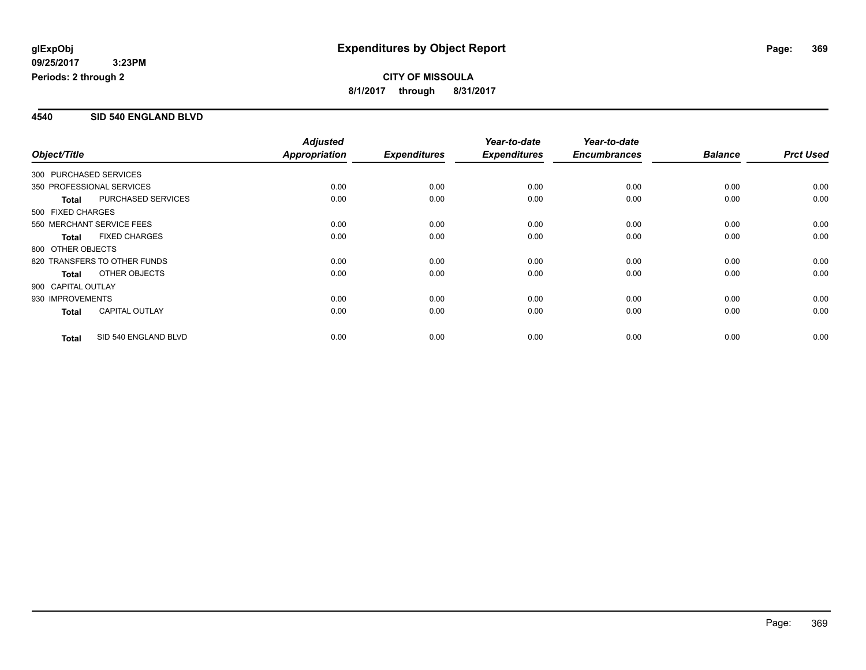#### **4540 SID 540 ENGLAND BLVD**

|                                           | <b>Adjusted</b>      |                     | Year-to-date        | Year-to-date        |                |                  |
|-------------------------------------------|----------------------|---------------------|---------------------|---------------------|----------------|------------------|
| Object/Title                              | <b>Appropriation</b> | <b>Expenditures</b> | <b>Expenditures</b> | <b>Encumbrances</b> | <b>Balance</b> | <b>Prct Used</b> |
| 300 PURCHASED SERVICES                    |                      |                     |                     |                     |                |                  |
| 350 PROFESSIONAL SERVICES                 | 0.00                 | 0.00                | 0.00                | 0.00                | 0.00           | 0.00             |
| <b>PURCHASED SERVICES</b><br><b>Total</b> | 0.00                 | 0.00                | 0.00                | 0.00                | 0.00           | 0.00             |
| 500 FIXED CHARGES                         |                      |                     |                     |                     |                |                  |
| 550 MERCHANT SERVICE FEES                 | 0.00                 | 0.00                | 0.00                | 0.00                | 0.00           | 0.00             |
| <b>FIXED CHARGES</b><br><b>Total</b>      | 0.00                 | 0.00                | 0.00                | 0.00                | 0.00           | 0.00             |
| 800 OTHER OBJECTS                         |                      |                     |                     |                     |                |                  |
| 820 TRANSFERS TO OTHER FUNDS              | 0.00                 | 0.00                | 0.00                | 0.00                | 0.00           | 0.00             |
| OTHER OBJECTS<br><b>Total</b>             | 0.00                 | 0.00                | 0.00                | 0.00                | 0.00           | 0.00             |
| 900 CAPITAL OUTLAY                        |                      |                     |                     |                     |                |                  |
| 930 IMPROVEMENTS                          | 0.00                 | 0.00                | 0.00                | 0.00                | 0.00           | 0.00             |
| <b>CAPITAL OUTLAY</b><br><b>Total</b>     | 0.00                 | 0.00                | 0.00                | 0.00                | 0.00           | 0.00             |
| SID 540 ENGLAND BLVD<br><b>Total</b>      | 0.00                 | 0.00                | 0.00                | 0.00                | 0.00           | 0.00             |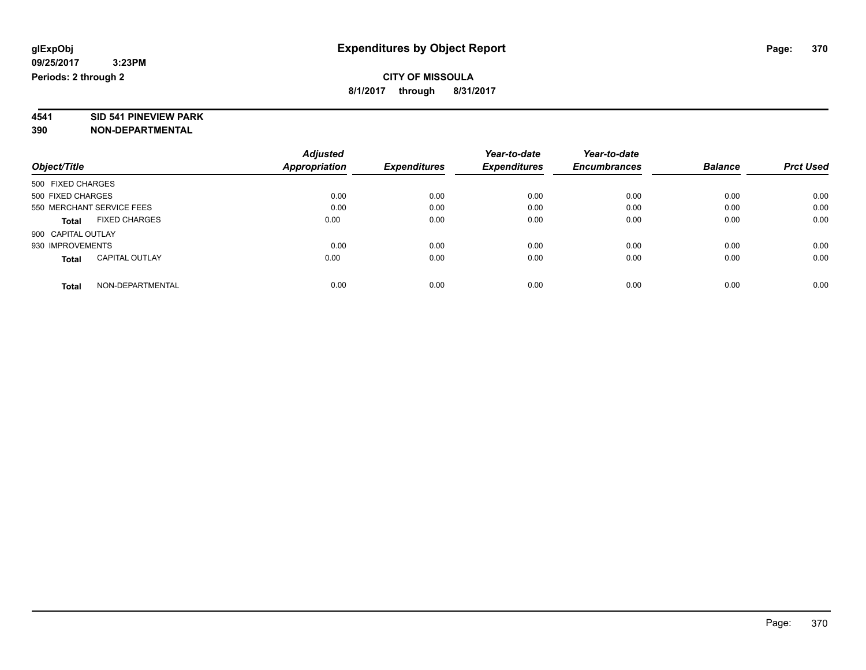# **4541 SID 541 PINEVIEW PARK**

|                                       | <b>Adjusted</b> |                     | Year-to-date        | Year-to-date        |                |                  |
|---------------------------------------|-----------------|---------------------|---------------------|---------------------|----------------|------------------|
| Object/Title                          | Appropriation   | <b>Expenditures</b> | <b>Expenditures</b> | <b>Encumbrances</b> | <b>Balance</b> | <b>Prct Used</b> |
| 500 FIXED CHARGES                     |                 |                     |                     |                     |                |                  |
| 500 FIXED CHARGES                     | 0.00            | 0.00                | 0.00                | 0.00                | 0.00           | 0.00             |
| 550 MERCHANT SERVICE FEES             | 0.00            | 0.00                | 0.00                | 0.00                | 0.00           | 0.00             |
| <b>FIXED CHARGES</b><br><b>Total</b>  | 0.00            | 0.00                | 0.00                | 0.00                | 0.00           | 0.00             |
| 900 CAPITAL OUTLAY                    |                 |                     |                     |                     |                |                  |
| 930 IMPROVEMENTS                      | 0.00            | 0.00                | 0.00                | 0.00                | 0.00           | 0.00             |
| <b>CAPITAL OUTLAY</b><br><b>Total</b> | 0.00            | 0.00                | 0.00                | 0.00                | 0.00           | 0.00             |
| NON-DEPARTMENTAL<br><b>Total</b>      | 0.00            | 0.00                | 0.00                | 0.00                | 0.00           | 0.00             |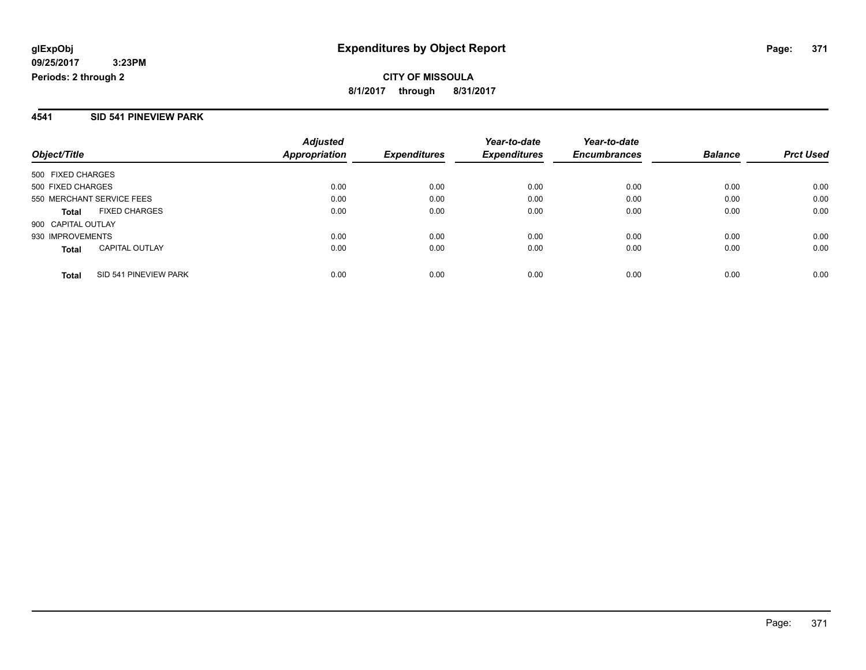#### **4541 SID 541 PINEVIEW PARK**

| Object/Title                          | <b>Adjusted</b><br>Appropriation | <b>Expenditures</b> | Year-to-date<br><b>Expenditures</b> | Year-to-date<br><b>Encumbrances</b> | <b>Balance</b> | <b>Prct Used</b> |
|---------------------------------------|----------------------------------|---------------------|-------------------------------------|-------------------------------------|----------------|------------------|
| 500 FIXED CHARGES                     |                                  |                     |                                     |                                     |                |                  |
| 500 FIXED CHARGES                     | 0.00                             | 0.00                | 0.00                                | 0.00                                | 0.00           | 0.00             |
| 550 MERCHANT SERVICE FEES             | 0.00                             | 0.00                | 0.00                                | 0.00                                | 0.00           | 0.00             |
| <b>FIXED CHARGES</b><br><b>Total</b>  | 0.00                             | 0.00                | 0.00                                | 0.00                                | 0.00           | 0.00             |
| 900 CAPITAL OUTLAY                    |                                  |                     |                                     |                                     |                |                  |
| 930 IMPROVEMENTS                      | 0.00                             | 0.00                | 0.00                                | 0.00                                | 0.00           | 0.00             |
| <b>CAPITAL OUTLAY</b><br><b>Total</b> | 0.00                             | 0.00                | 0.00                                | 0.00                                | 0.00           | 0.00             |
| SID 541 PINEVIEW PARK<br><b>Total</b> | 0.00                             | 0.00                | 0.00                                | 0.00                                | 0.00           | 0.00             |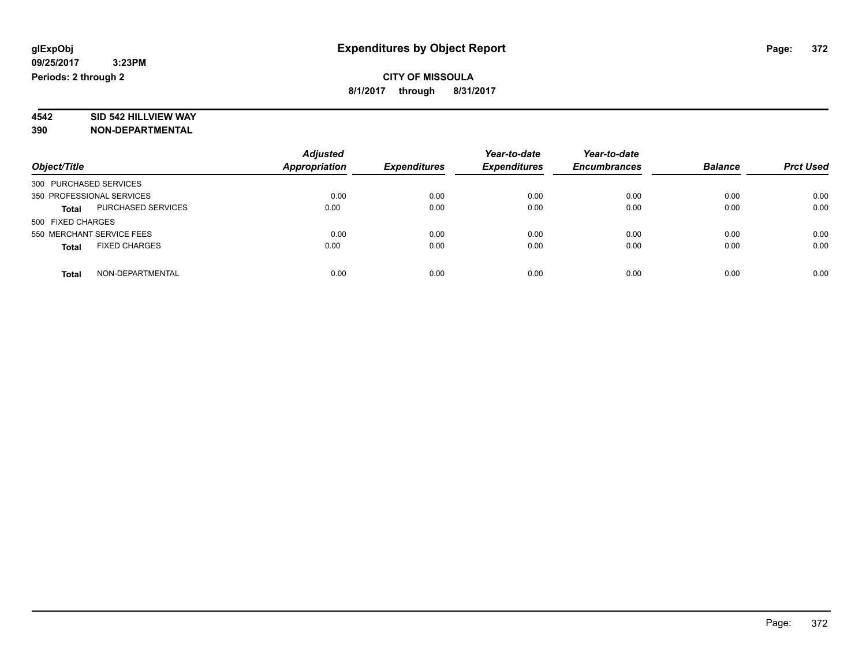# **4542 SID 542 HILLVIEW WAY**

|                                      | <b>Adjusted</b>      |                     | Year-to-date        | Year-to-date        |                |                  |
|--------------------------------------|----------------------|---------------------|---------------------|---------------------|----------------|------------------|
| Object/Title                         | <b>Appropriation</b> | <b>Expenditures</b> | <b>Expenditures</b> | <b>Encumbrances</b> | <b>Balance</b> | <b>Prct Used</b> |
| 300 PURCHASED SERVICES               |                      |                     |                     |                     |                |                  |
| 350 PROFESSIONAL SERVICES            | 0.00                 | 0.00                | 0.00                | 0.00                | 0.00           | 0.00             |
| PURCHASED SERVICES<br><b>Total</b>   | 0.00                 | 0.00                | 0.00                | 0.00                | 0.00           | 0.00             |
| 500 FIXED CHARGES                    |                      |                     |                     |                     |                |                  |
| 550 MERCHANT SERVICE FEES            | 0.00                 | 0.00                | 0.00                | 0.00                | 0.00           | 0.00             |
| <b>FIXED CHARGES</b><br><b>Total</b> | 0.00                 | 0.00                | 0.00                | 0.00                | 0.00           | 0.00             |
| NON-DEPARTMENTAL<br><b>Total</b>     | 0.00                 | 0.00                | 0.00                | 0.00                | 0.00           | 0.00             |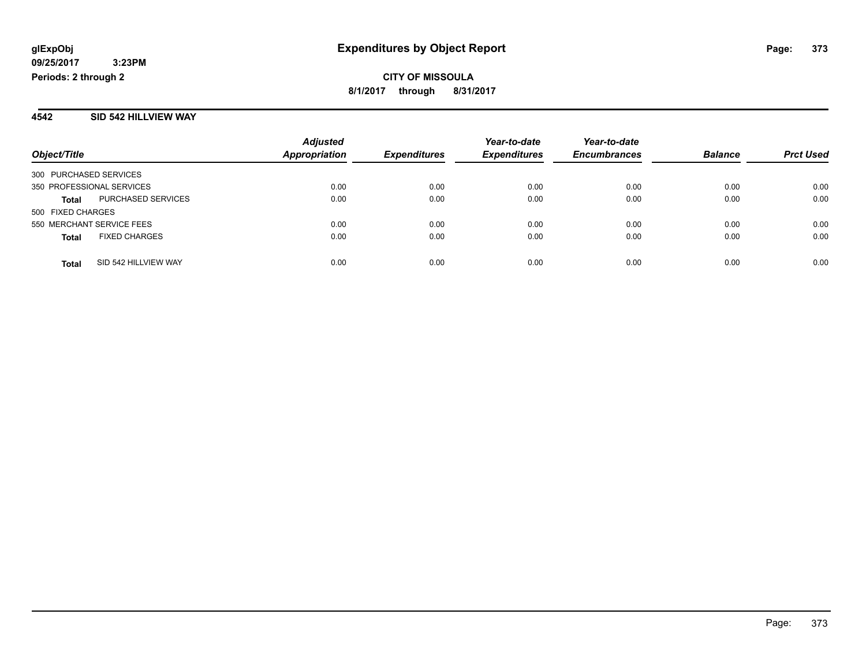#### **4542 SID 542 HILLVIEW WAY**

|                           |                      | <b>Adjusted</b>      |                     | Year-to-date        | Year-to-date        |                |                  |
|---------------------------|----------------------|----------------------|---------------------|---------------------|---------------------|----------------|------------------|
| Object/Title              |                      | <b>Appropriation</b> | <b>Expenditures</b> | <b>Expenditures</b> | <b>Encumbrances</b> | <b>Balance</b> | <b>Prct Used</b> |
| 300 PURCHASED SERVICES    |                      |                      |                     |                     |                     |                |                  |
| 350 PROFESSIONAL SERVICES |                      | 0.00                 | 0.00                | 0.00                | 0.00                | 0.00           | 0.00             |
| <b>Total</b>              | PURCHASED SERVICES   | 0.00                 | 0.00                | 0.00                | 0.00                | 0.00           | 0.00             |
| 500 FIXED CHARGES         |                      |                      |                     |                     |                     |                |                  |
| 550 MERCHANT SERVICE FEES |                      | 0.00                 | 0.00                | 0.00                | 0.00                | 0.00           | 0.00             |
| <b>Total</b>              | <b>FIXED CHARGES</b> | 0.00                 | 0.00                | 0.00                | 0.00                | 0.00           | 0.00             |
| <b>Total</b>              | SID 542 HILLVIEW WAY | 0.00                 | 0.00                | 0.00                | 0.00                | 0.00           | 0.00             |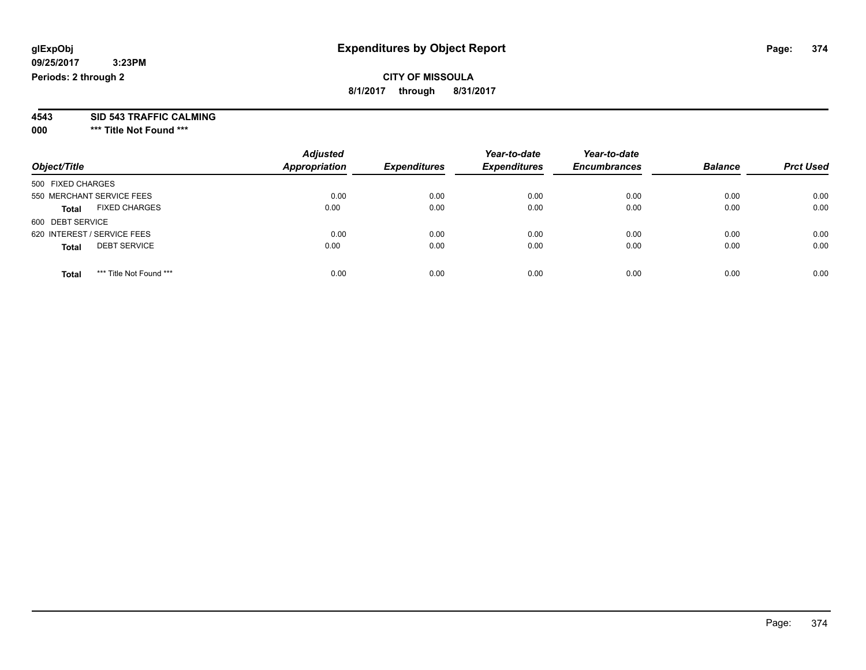### **CITY OF MISSOULA 8/1/2017 through 8/31/2017**

**4543 SID 543 TRAFFIC CALMING**

**000 \*\*\* Title Not Found \*\*\***

| Object/Title                            | <b>Adjusted</b><br><b>Appropriation</b> | <b>Expenditures</b> | Year-to-date<br><b>Expenditures</b> | Year-to-date<br><b>Encumbrances</b> | <b>Balance</b> | <b>Prct Used</b> |
|-----------------------------------------|-----------------------------------------|---------------------|-------------------------------------|-------------------------------------|----------------|------------------|
| 500 FIXED CHARGES                       |                                         |                     |                                     |                                     |                |                  |
| 550 MERCHANT SERVICE FEES               | 0.00                                    | 0.00                | 0.00                                | 0.00                                | 0.00           | 0.00             |
| <b>FIXED CHARGES</b><br><b>Total</b>    | 0.00                                    | 0.00                | 0.00                                | 0.00                                | 0.00           | 0.00             |
| 600 DEBT SERVICE                        |                                         |                     |                                     |                                     |                |                  |
| 620 INTEREST / SERVICE FEES             | 0.00                                    | 0.00                | 0.00                                | 0.00                                | 0.00           | 0.00             |
| <b>DEBT SERVICE</b><br><b>Total</b>     | 0.00                                    | 0.00                | 0.00                                | 0.00                                | 0.00           | 0.00             |
|                                         |                                         |                     |                                     |                                     |                |                  |
| *** Title Not Found ***<br><b>Total</b> | 0.00                                    | 0.00                | 0.00                                | 0.00                                | 0.00           | 0.00             |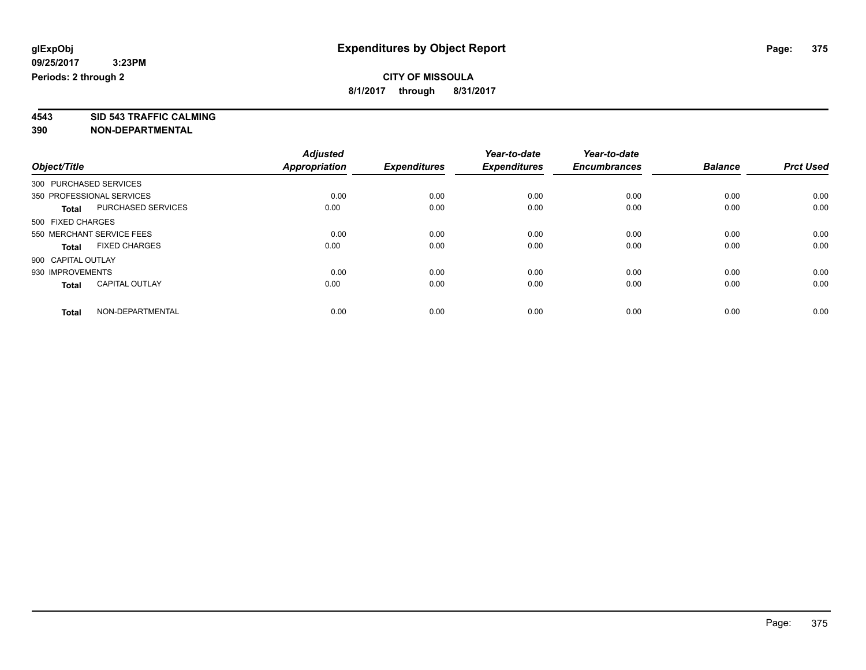**4543 SID 543 TRAFFIC CALMING**

|                        |                           | <b>Adjusted</b>      |                     | Year-to-date        | Year-to-date        |                |                  |
|------------------------|---------------------------|----------------------|---------------------|---------------------|---------------------|----------------|------------------|
| Object/Title           |                           | <b>Appropriation</b> | <b>Expenditures</b> | <b>Expenditures</b> | <b>Encumbrances</b> | <b>Balance</b> | <b>Prct Used</b> |
| 300 PURCHASED SERVICES |                           |                      |                     |                     |                     |                |                  |
|                        | 350 PROFESSIONAL SERVICES | 0.00                 | 0.00                | 0.00                | 0.00                | 0.00           | 0.00             |
| <b>Total</b>           | <b>PURCHASED SERVICES</b> | 0.00                 | 0.00                | 0.00                | 0.00                | 0.00           | 0.00             |
| 500 FIXED CHARGES      |                           |                      |                     |                     |                     |                |                  |
|                        | 550 MERCHANT SERVICE FEES | 0.00                 | 0.00                | 0.00                | 0.00                | 0.00           | 0.00             |
| <b>Total</b>           | <b>FIXED CHARGES</b>      | 0.00                 | 0.00                | 0.00                | 0.00                | 0.00           | 0.00             |
| 900 CAPITAL OUTLAY     |                           |                      |                     |                     |                     |                |                  |
| 930 IMPROVEMENTS       |                           | 0.00                 | 0.00                | 0.00                | 0.00                | 0.00           | 0.00             |
| <b>Total</b>           | <b>CAPITAL OUTLAY</b>     | 0.00                 | 0.00                | 0.00                | 0.00                | 0.00           | 0.00             |
| <b>Total</b>           | NON-DEPARTMENTAL          | 0.00                 | 0.00                | 0.00                | 0.00                | 0.00           | 0.00             |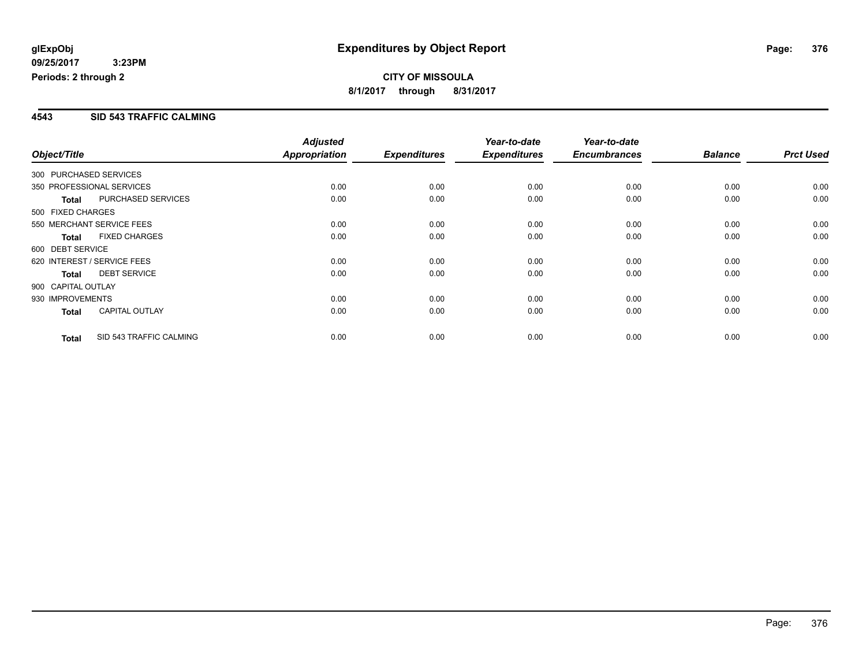### **4543 SID 543 TRAFFIC CALMING**

|                        |                             | <b>Adjusted</b> |                     | Year-to-date        | Year-to-date        |                |                  |
|------------------------|-----------------------------|-----------------|---------------------|---------------------|---------------------|----------------|------------------|
| Object/Title           |                             | Appropriation   | <b>Expenditures</b> | <b>Expenditures</b> | <b>Encumbrances</b> | <b>Balance</b> | <b>Prct Used</b> |
| 300 PURCHASED SERVICES |                             |                 |                     |                     |                     |                |                  |
|                        | 350 PROFESSIONAL SERVICES   | 0.00            | 0.00                | 0.00                | 0.00                | 0.00           | 0.00             |
| <b>Total</b>           | PURCHASED SERVICES          | 0.00            | 0.00                | 0.00                | 0.00                | 0.00           | 0.00             |
| 500 FIXED CHARGES      |                             |                 |                     |                     |                     |                |                  |
|                        | 550 MERCHANT SERVICE FEES   | 0.00            | 0.00                | 0.00                | 0.00                | 0.00           | 0.00             |
| <b>Total</b>           | <b>FIXED CHARGES</b>        | 0.00            | 0.00                | 0.00                | 0.00                | 0.00           | 0.00             |
| 600 DEBT SERVICE       |                             |                 |                     |                     |                     |                |                  |
|                        | 620 INTEREST / SERVICE FEES | 0.00            | 0.00                | 0.00                | 0.00                | 0.00           | 0.00             |
| <b>Total</b>           | <b>DEBT SERVICE</b>         | 0.00            | 0.00                | 0.00                | 0.00                | 0.00           | 0.00             |
| 900 CAPITAL OUTLAY     |                             |                 |                     |                     |                     |                |                  |
| 930 IMPROVEMENTS       |                             | 0.00            | 0.00                | 0.00                | 0.00                | 0.00           | 0.00             |
| <b>Total</b>           | <b>CAPITAL OUTLAY</b>       | 0.00            | 0.00                | 0.00                | 0.00                | 0.00           | 0.00             |
| <b>Total</b>           | SID 543 TRAFFIC CALMING     | 0.00            | 0.00                | 0.00                | 0.00                | 0.00           | 0.00             |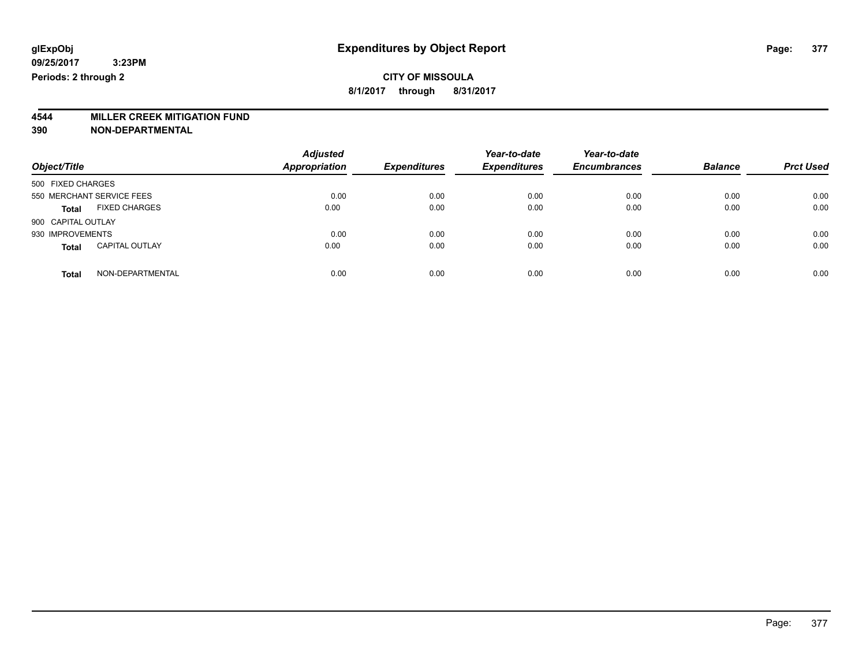# **4544 MILLER CREEK MITIGATION FUND**

| Object/Title                          | <b>Adjusted</b><br><b>Appropriation</b> | <b>Expenditures</b> | Year-to-date<br><b>Expenditures</b> | Year-to-date<br><b>Encumbrances</b> | <b>Balance</b> | <b>Prct Used</b> |
|---------------------------------------|-----------------------------------------|---------------------|-------------------------------------|-------------------------------------|----------------|------------------|
| 500 FIXED CHARGES                     |                                         |                     |                                     |                                     |                |                  |
| 550 MERCHANT SERVICE FEES             | 0.00                                    | 0.00                | 0.00                                | 0.00                                | 0.00           | 0.00             |
| <b>FIXED CHARGES</b><br><b>Total</b>  | 0.00                                    | 0.00                | 0.00                                | 0.00                                | 0.00           | 0.00             |
| 900 CAPITAL OUTLAY                    |                                         |                     |                                     |                                     |                |                  |
| 930 IMPROVEMENTS                      | 0.00                                    | 0.00                | 0.00                                | 0.00                                | 0.00           | 0.00             |
| <b>CAPITAL OUTLAY</b><br><b>Total</b> | 0.00                                    | 0.00                | 0.00                                | 0.00                                | 0.00           | 0.00             |
| NON-DEPARTMENTAL<br><b>Total</b>      | 0.00                                    | 0.00                | 0.00                                | 0.00                                | 0.00           | 0.00             |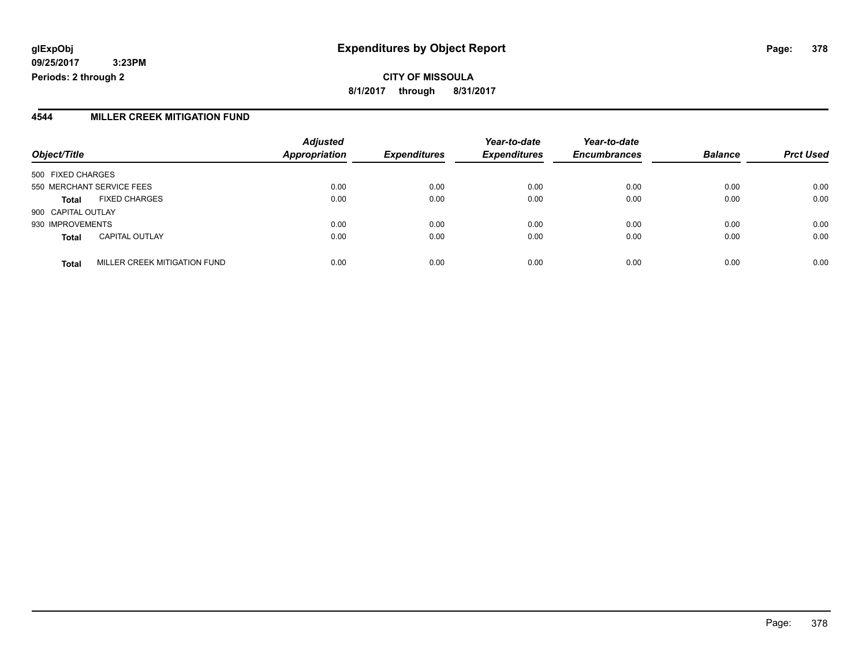**CITY OF MISSOULA 8/1/2017 through 8/31/2017**

#### **4544 MILLER CREEK MITIGATION FUND**

| Object/Title       |                              | <b>Adjusted</b><br>Appropriation | <b>Expenditures</b> | Year-to-date<br><b>Expenditures</b> | Year-to-date<br><b>Encumbrances</b> | <b>Balance</b> | <b>Prct Used</b> |
|--------------------|------------------------------|----------------------------------|---------------------|-------------------------------------|-------------------------------------|----------------|------------------|
| 500 FIXED CHARGES  |                              |                                  |                     |                                     |                                     |                |                  |
|                    | 550 MERCHANT SERVICE FEES    | 0.00                             | 0.00                | 0.00                                | 0.00                                | 0.00           | 0.00             |
| <b>Total</b>       | <b>FIXED CHARGES</b>         | 0.00                             | 0.00                | 0.00                                | 0.00                                | 0.00           | 0.00             |
| 900 CAPITAL OUTLAY |                              |                                  |                     |                                     |                                     |                |                  |
| 930 IMPROVEMENTS   |                              | 0.00                             | 0.00                | 0.00                                | 0.00                                | 0.00           | 0.00             |
| <b>Total</b>       | <b>CAPITAL OUTLAY</b>        | 0.00                             | 0.00                | 0.00                                | 0.00                                | 0.00           | 0.00             |
| <b>Total</b>       | MILLER CREEK MITIGATION FUND | 0.00                             | 0.00                | 0.00                                | 0.00                                | 0.00           | 0.00             |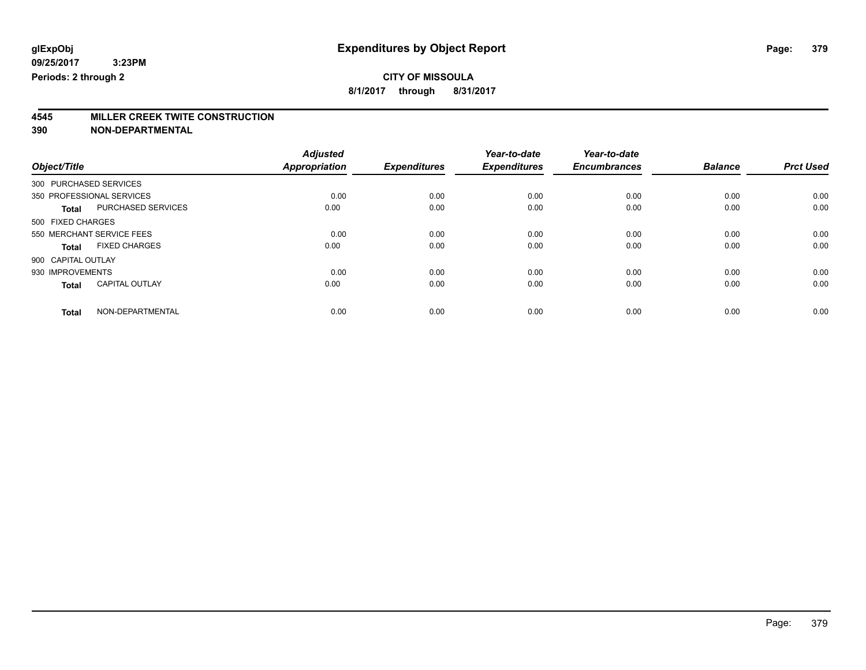**8/1/2017 through 8/31/2017**

# **4545 MILLER CREEK TWITE CONSTRUCTION**

|                        |                           | <b>Adjusted</b> |                     | Year-to-date        | Year-to-date        |                |                  |
|------------------------|---------------------------|-----------------|---------------------|---------------------|---------------------|----------------|------------------|
| Object/Title           |                           | Appropriation   | <b>Expenditures</b> | <b>Expenditures</b> | <b>Encumbrances</b> | <b>Balance</b> | <b>Prct Used</b> |
| 300 PURCHASED SERVICES |                           |                 |                     |                     |                     |                |                  |
|                        | 350 PROFESSIONAL SERVICES | 0.00            | 0.00                | 0.00                | 0.00                | 0.00           | 0.00             |
| <b>Total</b>           | PURCHASED SERVICES        | 0.00            | 0.00                | 0.00                | 0.00                | 0.00           | 0.00             |
| 500 FIXED CHARGES      |                           |                 |                     |                     |                     |                |                  |
|                        | 550 MERCHANT SERVICE FEES | 0.00            | 0.00                | 0.00                | 0.00                | 0.00           | 0.00             |
| <b>Total</b>           | <b>FIXED CHARGES</b>      | 0.00            | 0.00                | 0.00                | 0.00                | 0.00           | 0.00             |
| 900 CAPITAL OUTLAY     |                           |                 |                     |                     |                     |                |                  |
| 930 IMPROVEMENTS       |                           | 0.00            | 0.00                | 0.00                | 0.00                | 0.00           | 0.00             |
| <b>Total</b>           | <b>CAPITAL OUTLAY</b>     | 0.00            | 0.00                | 0.00                | 0.00                | 0.00           | 0.00             |
| <b>Total</b>           | NON-DEPARTMENTAL          | 0.00            | 0.00                | 0.00                | 0.00                | 0.00           | 0.00             |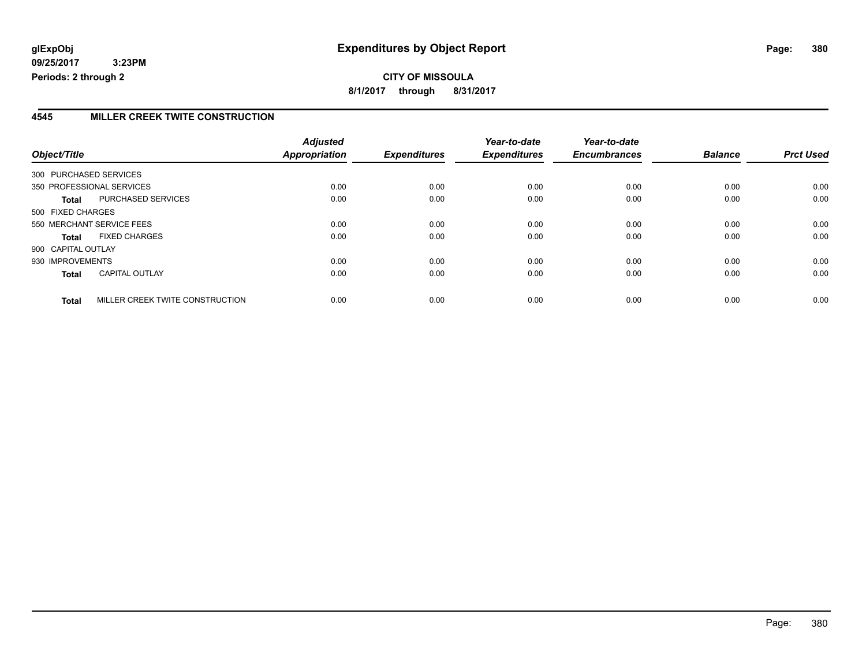### **4545 MILLER CREEK TWITE CONSTRUCTION**

| Object/Title           |                                 | <b>Adjusted</b><br>Appropriation | <b>Expenditures</b> | Year-to-date<br><b>Expenditures</b> | Year-to-date<br><b>Encumbrances</b> | <b>Balance</b> | <b>Prct Used</b> |
|------------------------|---------------------------------|----------------------------------|---------------------|-------------------------------------|-------------------------------------|----------------|------------------|
| 300 PURCHASED SERVICES |                                 |                                  |                     |                                     |                                     |                |                  |
|                        |                                 |                                  |                     |                                     |                                     |                |                  |
|                        | 350 PROFESSIONAL SERVICES       | 0.00                             | 0.00                | 0.00                                | 0.00                                | 0.00           | 0.00             |
| Total                  | PURCHASED SERVICES              | 0.00                             | 0.00                | 0.00                                | 0.00                                | 0.00           | 0.00             |
| 500 FIXED CHARGES      |                                 |                                  |                     |                                     |                                     |                |                  |
|                        | 550 MERCHANT SERVICE FEES       | 0.00                             | 0.00                | 0.00                                | 0.00                                | 0.00           | 0.00             |
| <b>Total</b>           | <b>FIXED CHARGES</b>            | 0.00                             | 0.00                | 0.00                                | 0.00                                | 0.00           | 0.00             |
| 900 CAPITAL OUTLAY     |                                 |                                  |                     |                                     |                                     |                |                  |
| 930 IMPROVEMENTS       |                                 | 0.00                             | 0.00                | 0.00                                | 0.00                                | 0.00           | 0.00             |
| <b>Total</b>           | <b>CAPITAL OUTLAY</b>           | 0.00                             | 0.00                | 0.00                                | 0.00                                | 0.00           | 0.00             |
| <b>Total</b>           | MILLER CREEK TWITE CONSTRUCTION | 0.00                             | 0.00                | 0.00                                | 0.00                                | 0.00           | 0.00             |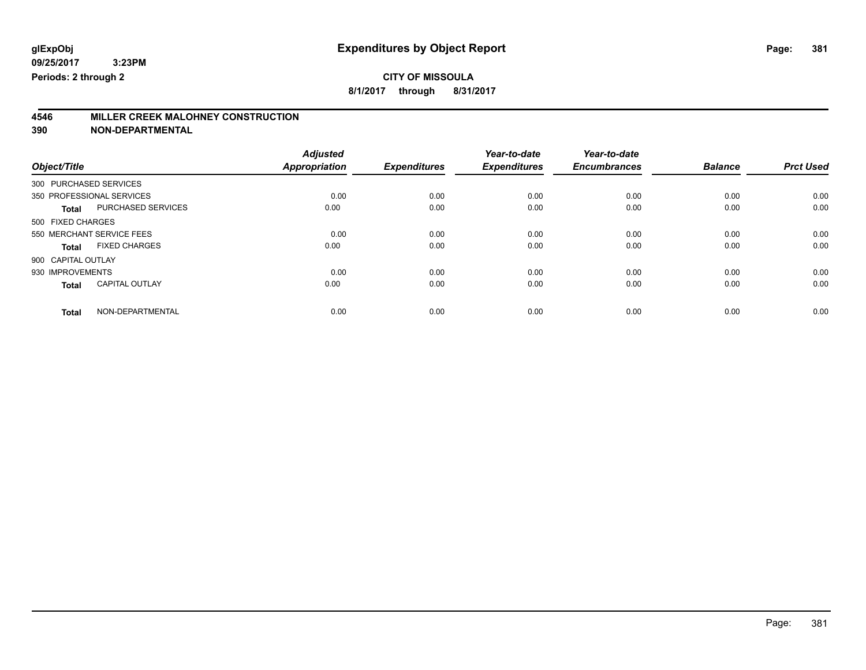**8/1/2017 through 8/31/2017**

# **4546 MILLER CREEK MALOHNEY CONSTRUCTION**

|                    |                           | <b>Adjusted</b> |                     | Year-to-date        | Year-to-date        |                |                  |
|--------------------|---------------------------|-----------------|---------------------|---------------------|---------------------|----------------|------------------|
| Object/Title       |                           | Appropriation   | <b>Expenditures</b> | <b>Expenditures</b> | <b>Encumbrances</b> | <b>Balance</b> | <b>Prct Used</b> |
|                    | 300 PURCHASED SERVICES    |                 |                     |                     |                     |                |                  |
|                    | 350 PROFESSIONAL SERVICES | 0.00            | 0.00                | 0.00                | 0.00                | 0.00           | 0.00             |
| <b>Total</b>       | <b>PURCHASED SERVICES</b> | 0.00            | 0.00                | 0.00                | 0.00                | 0.00           | 0.00             |
| 500 FIXED CHARGES  |                           |                 |                     |                     |                     |                |                  |
|                    | 550 MERCHANT SERVICE FEES | 0.00            | 0.00                | 0.00                | 0.00                | 0.00           | 0.00             |
| <b>Total</b>       | <b>FIXED CHARGES</b>      | 0.00            | 0.00                | 0.00                | 0.00                | 0.00           | 0.00             |
| 900 CAPITAL OUTLAY |                           |                 |                     |                     |                     |                |                  |
| 930 IMPROVEMENTS   |                           | 0.00            | 0.00                | 0.00                | 0.00                | 0.00           | 0.00             |
| <b>Total</b>       | <b>CAPITAL OUTLAY</b>     | 0.00            | 0.00                | 0.00                | 0.00                | 0.00           | 0.00             |
| <b>Total</b>       | NON-DEPARTMENTAL          | 0.00            | 0.00                | 0.00                | 0.00                | 0.00           | 0.00             |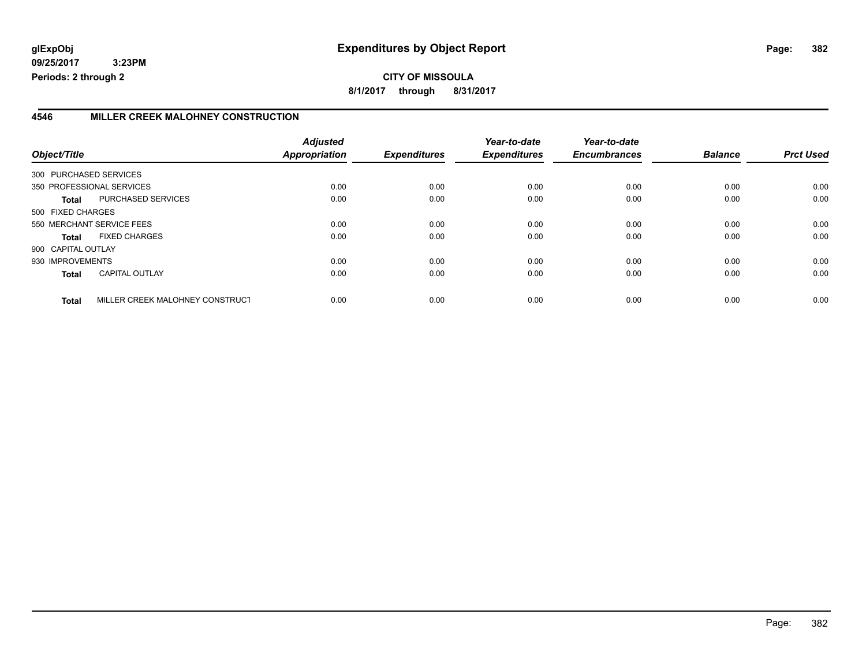**8/1/2017 through 8/31/2017**

### **4546 MILLER CREEK MALOHNEY CONSTRUCTION**

| Object/Title           |                                 | <b>Adjusted</b><br><b>Appropriation</b> | <b>Expenditures</b> | Year-to-date<br><b>Expenditures</b> | Year-to-date<br><b>Encumbrances</b> | <b>Balance</b> | <b>Prct Used</b> |
|------------------------|---------------------------------|-----------------------------------------|---------------------|-------------------------------------|-------------------------------------|----------------|------------------|
| 300 PURCHASED SERVICES |                                 |                                         |                     |                                     |                                     |                |                  |
|                        | 350 PROFESSIONAL SERVICES       | 0.00                                    | 0.00                | 0.00                                | 0.00                                | 0.00           | 0.00             |
| Total                  | PURCHASED SERVICES              | 0.00                                    | 0.00                | 0.00                                | 0.00                                | 0.00           | 0.00             |
| 500 FIXED CHARGES      |                                 |                                         |                     |                                     |                                     |                |                  |
|                        | 550 MERCHANT SERVICE FEES       | 0.00                                    | 0.00                | 0.00                                | 0.00                                | 0.00           | 0.00             |
| Total                  | <b>FIXED CHARGES</b>            | 0.00                                    | 0.00                | 0.00                                | 0.00                                | 0.00           | 0.00             |
| 900 CAPITAL OUTLAY     |                                 |                                         |                     |                                     |                                     |                |                  |
| 930 IMPROVEMENTS       |                                 | 0.00                                    | 0.00                | 0.00                                | 0.00                                | 0.00           | 0.00             |
| <b>Total</b>           | <b>CAPITAL OUTLAY</b>           | 0.00                                    | 0.00                | 0.00                                | 0.00                                | 0.00           | 0.00             |
| <b>Total</b>           | MILLER CREEK MALOHNEY CONSTRUCT | 0.00                                    | 0.00                | 0.00                                | 0.00                                | 0.00           | 0.00             |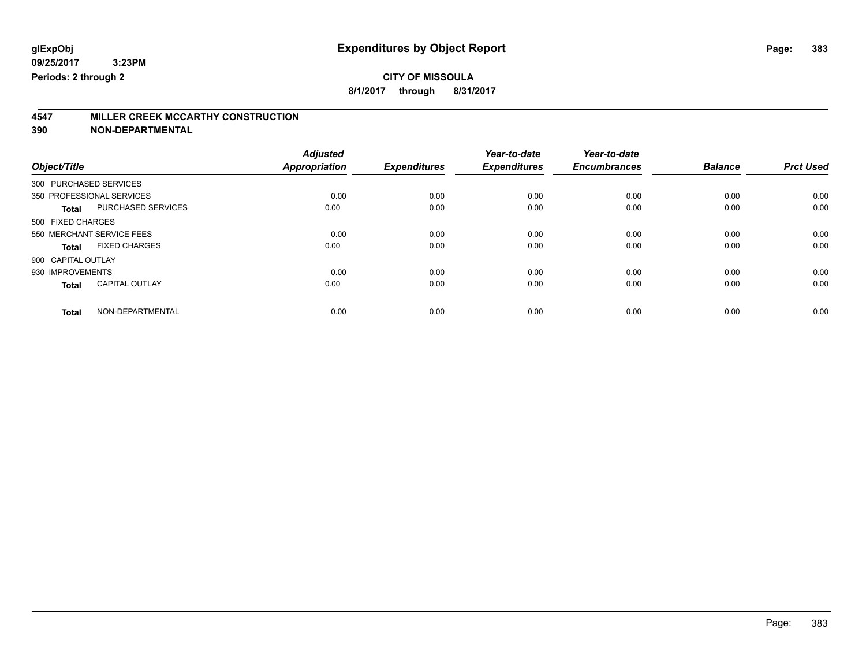**8/1/2017 through 8/31/2017**

# **4547 MILLER CREEK MCCARTHY CONSTRUCTION**

|                                       | <b>Adjusted</b>      |                     | Year-to-date        | Year-to-date        |                |                  |
|---------------------------------------|----------------------|---------------------|---------------------|---------------------|----------------|------------------|
| Object/Title                          | <b>Appropriation</b> | <b>Expenditures</b> | <b>Expenditures</b> | <b>Encumbrances</b> | <b>Balance</b> | <b>Prct Used</b> |
| 300 PURCHASED SERVICES                |                      |                     |                     |                     |                |                  |
| 350 PROFESSIONAL SERVICES             | 0.00                 | 0.00                | 0.00                | 0.00                | 0.00           | 0.00             |
| PURCHASED SERVICES<br><b>Total</b>    | 0.00                 | 0.00                | 0.00                | 0.00                | 0.00           | 0.00             |
| 500 FIXED CHARGES                     |                      |                     |                     |                     |                |                  |
| 550 MERCHANT SERVICE FEES             | 0.00                 | 0.00                | 0.00                | 0.00                | 0.00           | 0.00             |
| <b>FIXED CHARGES</b><br>Total         | 0.00                 | 0.00                | 0.00                | 0.00                | 0.00           | 0.00             |
| 900 CAPITAL OUTLAY                    |                      |                     |                     |                     |                |                  |
| 930 IMPROVEMENTS                      | 0.00                 | 0.00                | 0.00                | 0.00                | 0.00           | 0.00             |
| <b>CAPITAL OUTLAY</b><br><b>Total</b> | 0.00                 | 0.00                | 0.00                | 0.00                | 0.00           | 0.00             |
| NON-DEPARTMENTAL<br><b>Total</b>      | 0.00                 | 0.00                | 0.00                | 0.00                | 0.00           | 0.00             |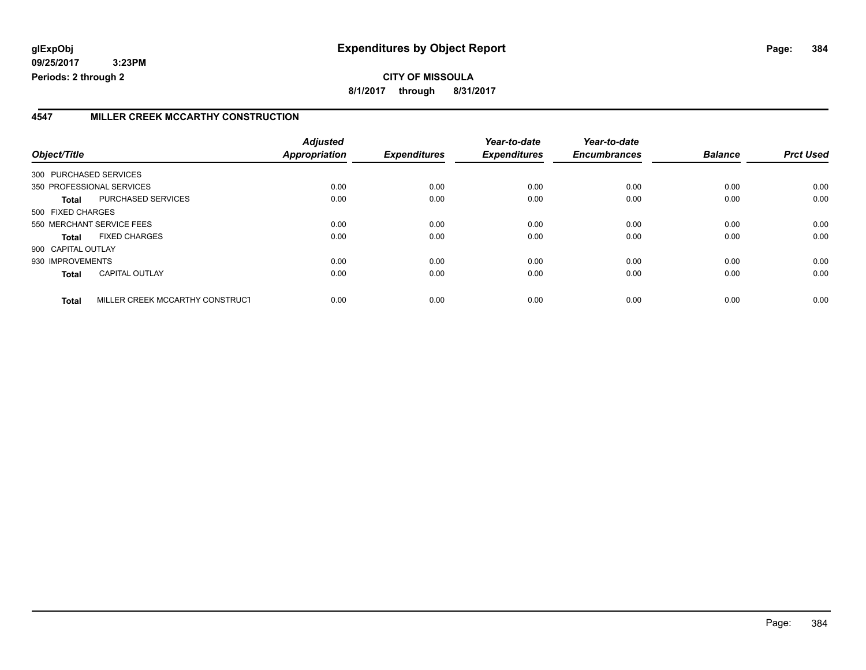**CITY OF MISSOULA 8/1/2017 through 8/31/2017**

### **4547 MILLER CREEK MCCARTHY CONSTRUCTION**

| Object/Title       |                                 | <b>Adjusted</b><br>Appropriation | <b>Expenditures</b> | Year-to-date<br><b>Expenditures</b> | Year-to-date<br><b>Encumbrances</b> | <b>Balance</b> | <b>Prct Used</b> |
|--------------------|---------------------------------|----------------------------------|---------------------|-------------------------------------|-------------------------------------|----------------|------------------|
|                    |                                 |                                  |                     |                                     |                                     |                |                  |
|                    | 300 PURCHASED SERVICES          |                                  |                     |                                     |                                     |                |                  |
|                    | 350 PROFESSIONAL SERVICES       | 0.00                             | 0.00                | 0.00                                | 0.00                                | 0.00           | 0.00             |
| <b>Total</b>       | PURCHASED SERVICES              | 0.00                             | 0.00                | 0.00                                | 0.00                                | 0.00           | 0.00             |
| 500 FIXED CHARGES  |                                 |                                  |                     |                                     |                                     |                |                  |
|                    | 550 MERCHANT SERVICE FEES       | 0.00                             | 0.00                | 0.00                                | 0.00                                | 0.00           | 0.00             |
| Total              | <b>FIXED CHARGES</b>            | 0.00                             | 0.00                | 0.00                                | 0.00                                | 0.00           | 0.00             |
| 900 CAPITAL OUTLAY |                                 |                                  |                     |                                     |                                     |                |                  |
| 930 IMPROVEMENTS   |                                 | 0.00                             | 0.00                | 0.00                                | 0.00                                | 0.00           | 0.00             |
| <b>Total</b>       | <b>CAPITAL OUTLAY</b>           | 0.00                             | 0.00                | 0.00                                | 0.00                                | 0.00           | 0.00             |
| <b>Total</b>       | MILLER CREEK MCCARTHY CONSTRUCT | 0.00                             | 0.00                | 0.00                                | 0.00                                | 0.00           | 0.00             |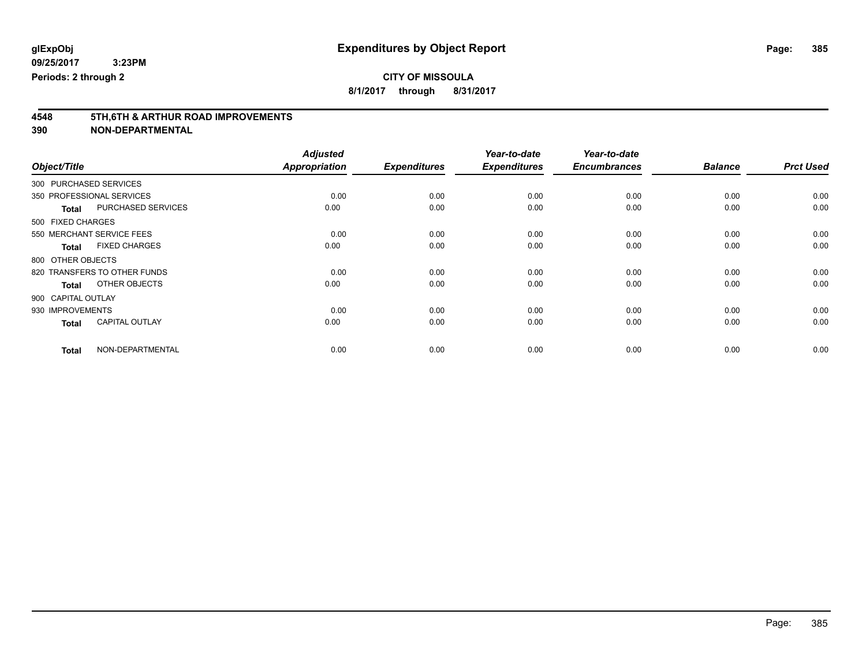**8/1/2017 through 8/31/2017**

# **4548 5TH,6TH & ARTHUR ROAD IMPROVEMENTS**

| Object/Title     |                              | <b>Adjusted</b><br><b>Appropriation</b> | <b>Expenditures</b> | Year-to-date<br><b>Expenditures</b> | Year-to-date<br><b>Encumbrances</b> | <b>Balance</b> | <b>Prct Used</b> |
|------------------|------------------------------|-----------------------------------------|---------------------|-------------------------------------|-------------------------------------|----------------|------------------|
|                  |                              |                                         |                     |                                     |                                     |                |                  |
|                  | 300 PURCHASED SERVICES       |                                         |                     |                                     |                                     |                |                  |
|                  | 350 PROFESSIONAL SERVICES    | 0.00                                    | 0.00                | 0.00                                | 0.00                                | 0.00           | 0.00             |
| <b>Total</b>     | PURCHASED SERVICES           | 0.00                                    | 0.00                | 0.00                                | 0.00                                | 0.00           | 0.00             |
|                  | 500 FIXED CHARGES            |                                         |                     |                                     |                                     |                |                  |
|                  | 550 MERCHANT SERVICE FEES    | 0.00                                    | 0.00                | 0.00                                | 0.00                                | 0.00           | 0.00             |
| <b>Total</b>     | <b>FIXED CHARGES</b>         | 0.00                                    | 0.00                | 0.00                                | 0.00                                | 0.00           | 0.00             |
|                  | 800 OTHER OBJECTS            |                                         |                     |                                     |                                     |                |                  |
|                  | 820 TRANSFERS TO OTHER FUNDS | 0.00                                    | 0.00                | 0.00                                | 0.00                                | 0.00           | 0.00             |
| <b>Total</b>     | OTHER OBJECTS                | 0.00                                    | 0.00                | 0.00                                | 0.00                                | 0.00           | 0.00             |
|                  | 900 CAPITAL OUTLAY           |                                         |                     |                                     |                                     |                |                  |
| 930 IMPROVEMENTS |                              | 0.00                                    | 0.00                | 0.00                                | 0.00                                | 0.00           | 0.00             |
| <b>Total</b>     | <b>CAPITAL OUTLAY</b>        | 0.00                                    | 0.00                | 0.00                                | 0.00                                | 0.00           | 0.00             |
| <b>Total</b>     | NON-DEPARTMENTAL             | 0.00                                    | 0.00                | 0.00                                | 0.00                                | 0.00           | 0.00             |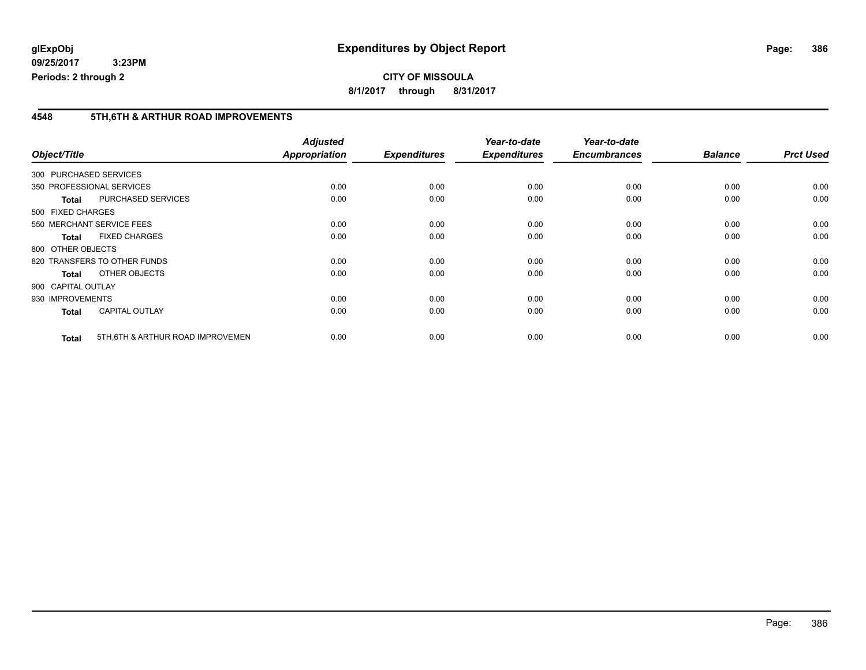**8/1/2017 through 8/31/2017**

### **4548 5TH,6TH & ARTHUR ROAD IMPROVEMENTS**

| Object/Title       |                                   | <b>Adjusted</b><br>Appropriation | <b>Expenditures</b> | Year-to-date<br><b>Expenditures</b> | Year-to-date<br><b>Encumbrances</b> | <b>Balance</b> | <b>Prct Used</b> |
|--------------------|-----------------------------------|----------------------------------|---------------------|-------------------------------------|-------------------------------------|----------------|------------------|
|                    | 300 PURCHASED SERVICES            |                                  |                     |                                     |                                     |                |                  |
|                    | 350 PROFESSIONAL SERVICES         | 0.00                             | 0.00                | 0.00                                | 0.00                                | 0.00           | 0.00             |
| <b>Total</b>       | PURCHASED SERVICES                | 0.00                             | 0.00                | 0.00                                | 0.00                                | 0.00           | 0.00             |
| 500 FIXED CHARGES  |                                   |                                  |                     |                                     |                                     |                |                  |
|                    | 550 MERCHANT SERVICE FEES         | 0.00                             | 0.00                | 0.00                                | 0.00                                | 0.00           | 0.00             |
| <b>Total</b>       | <b>FIXED CHARGES</b>              | 0.00                             | 0.00                | 0.00                                | 0.00                                | 0.00           | 0.00             |
| 800 OTHER OBJECTS  |                                   |                                  |                     |                                     |                                     |                |                  |
|                    | 820 TRANSFERS TO OTHER FUNDS      | 0.00                             | 0.00                | 0.00                                | 0.00                                | 0.00           | 0.00             |
| Total              | OTHER OBJECTS                     | 0.00                             | 0.00                | 0.00                                | 0.00                                | 0.00           | 0.00             |
| 900 CAPITAL OUTLAY |                                   |                                  |                     |                                     |                                     |                |                  |
| 930 IMPROVEMENTS   |                                   | 0.00                             | 0.00                | 0.00                                | 0.00                                | 0.00           | 0.00             |
| <b>Total</b>       | <b>CAPITAL OUTLAY</b>             | 0.00                             | 0.00                | 0.00                                | 0.00                                | 0.00           | 0.00             |
| <b>Total</b>       | 5TH, 6TH & ARTHUR ROAD IMPROVEMEN | 0.00                             | 0.00                | 0.00                                | 0.00                                | 0.00           | 0.00             |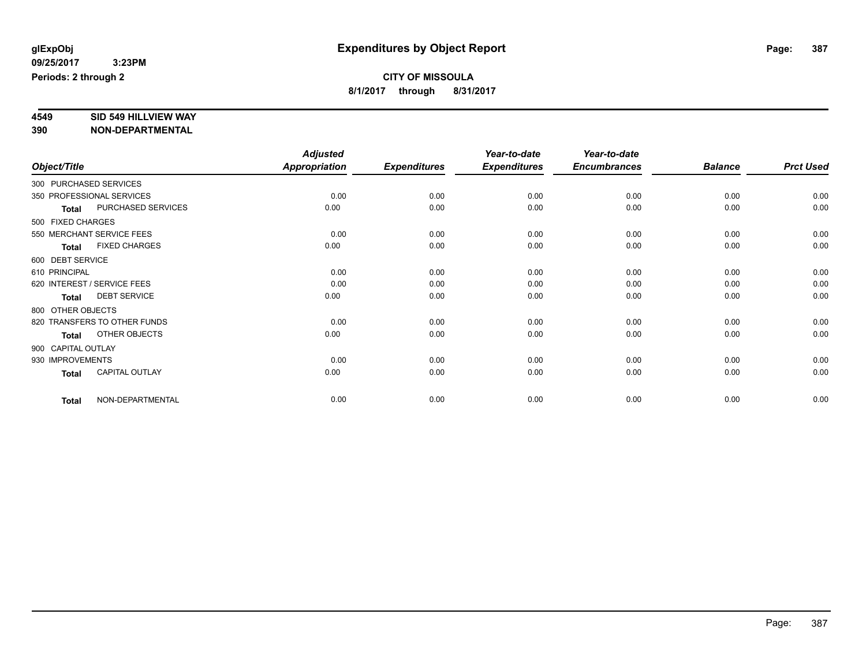# **4549 SID 549 HILLVIEW WAY**

|                    |                              | <b>Adjusted</b><br><b>Appropriation</b> |                     | Year-to-date<br><b>Expenditures</b> | Year-to-date<br><b>Encumbrances</b> | <b>Balance</b> | <b>Prct Used</b> |
|--------------------|------------------------------|-----------------------------------------|---------------------|-------------------------------------|-------------------------------------|----------------|------------------|
| Object/Title       |                              |                                         | <b>Expenditures</b> |                                     |                                     |                |                  |
|                    | 300 PURCHASED SERVICES       |                                         |                     |                                     |                                     |                |                  |
|                    | 350 PROFESSIONAL SERVICES    | 0.00                                    | 0.00                | 0.00                                | 0.00                                | 0.00           | 0.00             |
| <b>Total</b>       | PURCHASED SERVICES           | 0.00                                    | 0.00                | 0.00                                | 0.00                                | 0.00           | 0.00             |
| 500 FIXED CHARGES  |                              |                                         |                     |                                     |                                     |                |                  |
|                    | 550 MERCHANT SERVICE FEES    | 0.00                                    | 0.00                | 0.00                                | 0.00                                | 0.00           | 0.00             |
| <b>Total</b>       | <b>FIXED CHARGES</b>         | 0.00                                    | 0.00                | 0.00                                | 0.00                                | 0.00           | 0.00             |
| 600 DEBT SERVICE   |                              |                                         |                     |                                     |                                     |                |                  |
| 610 PRINCIPAL      |                              | 0.00                                    | 0.00                | 0.00                                | 0.00                                | 0.00           | 0.00             |
|                    | 620 INTEREST / SERVICE FEES  | 0.00                                    | 0.00                | 0.00                                | 0.00                                | 0.00           | 0.00             |
| <b>Total</b>       | <b>DEBT SERVICE</b>          | 0.00                                    | 0.00                | 0.00                                | 0.00                                | 0.00           | 0.00             |
| 800 OTHER OBJECTS  |                              |                                         |                     |                                     |                                     |                |                  |
|                    | 820 TRANSFERS TO OTHER FUNDS | 0.00                                    | 0.00                | 0.00                                | 0.00                                | 0.00           | 0.00             |
| <b>Total</b>       | OTHER OBJECTS                | 0.00                                    | 0.00                | 0.00                                | 0.00                                | 0.00           | 0.00             |
| 900 CAPITAL OUTLAY |                              |                                         |                     |                                     |                                     |                |                  |
| 930 IMPROVEMENTS   |                              | 0.00                                    | 0.00                | 0.00                                | 0.00                                | 0.00           | 0.00             |
| <b>Total</b>       | CAPITAL OUTLAY               | 0.00                                    | 0.00                | 0.00                                | 0.00                                | 0.00           | 0.00             |
| <b>Total</b>       | NON-DEPARTMENTAL             | 0.00                                    | 0.00                | 0.00                                | 0.00                                | 0.00           | 0.00             |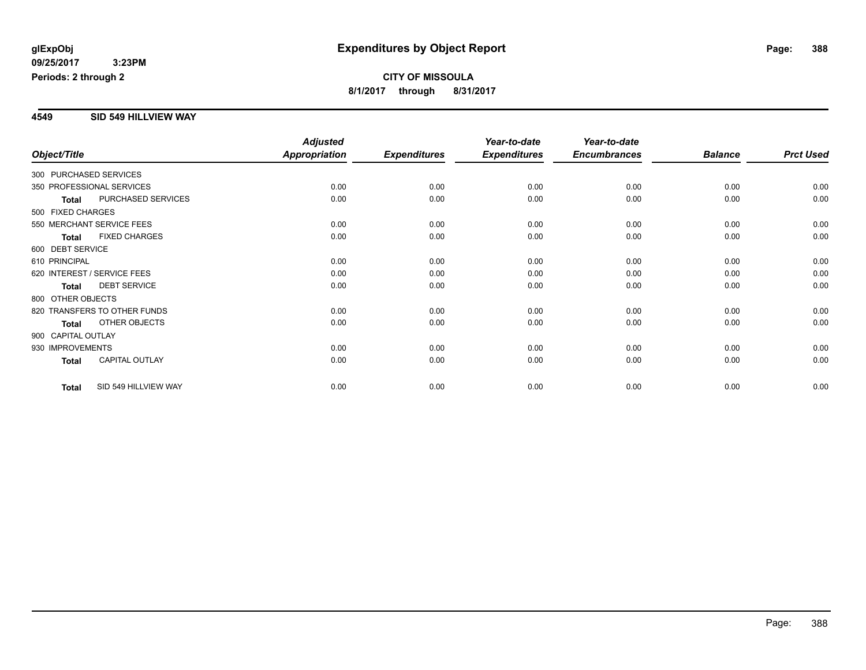#### **4549 SID 549 HILLVIEW WAY**

|                                       | <b>Adjusted</b>      |                     | Year-to-date        | Year-to-date        |                |                  |
|---------------------------------------|----------------------|---------------------|---------------------|---------------------|----------------|------------------|
| Object/Title                          | <b>Appropriation</b> | <b>Expenditures</b> | <b>Expenditures</b> | <b>Encumbrances</b> | <b>Balance</b> | <b>Prct Used</b> |
| 300 PURCHASED SERVICES                |                      |                     |                     |                     |                |                  |
| 350 PROFESSIONAL SERVICES             | 0.00                 | 0.00                | 0.00                | 0.00                | 0.00           | 0.00             |
| PURCHASED SERVICES<br><b>Total</b>    | 0.00                 | 0.00                | 0.00                | 0.00                | 0.00           | 0.00             |
| 500 FIXED CHARGES                     |                      |                     |                     |                     |                |                  |
| 550 MERCHANT SERVICE FEES             | 0.00                 | 0.00                | 0.00                | 0.00                | 0.00           | 0.00             |
| <b>FIXED CHARGES</b><br><b>Total</b>  | 0.00                 | 0.00                | 0.00                | 0.00                | 0.00           | 0.00             |
| 600 DEBT SERVICE                      |                      |                     |                     |                     |                |                  |
| 610 PRINCIPAL                         | 0.00                 | 0.00                | 0.00                | 0.00                | 0.00           | 0.00             |
| 620 INTEREST / SERVICE FEES           | 0.00                 | 0.00                | 0.00                | 0.00                | 0.00           | 0.00             |
| <b>DEBT SERVICE</b><br><b>Total</b>   | 0.00                 | 0.00                | 0.00                | 0.00                | 0.00           | 0.00             |
| 800 OTHER OBJECTS                     |                      |                     |                     |                     |                |                  |
| 820 TRANSFERS TO OTHER FUNDS          | 0.00                 | 0.00                | 0.00                | 0.00                | 0.00           | 0.00             |
| OTHER OBJECTS<br><b>Total</b>         | 0.00                 | 0.00                | 0.00                | 0.00                | 0.00           | 0.00             |
| 900 CAPITAL OUTLAY                    |                      |                     |                     |                     |                |                  |
| 930 IMPROVEMENTS                      | 0.00                 | 0.00                | 0.00                | 0.00                | 0.00           | 0.00             |
| <b>CAPITAL OUTLAY</b><br><b>Total</b> | 0.00                 | 0.00                | 0.00                | 0.00                | 0.00           | 0.00             |
|                                       |                      |                     |                     |                     |                |                  |
| SID 549 HILLVIEW WAY<br><b>Total</b>  | 0.00                 | 0.00                | 0.00                | 0.00                | 0.00           | 0.00             |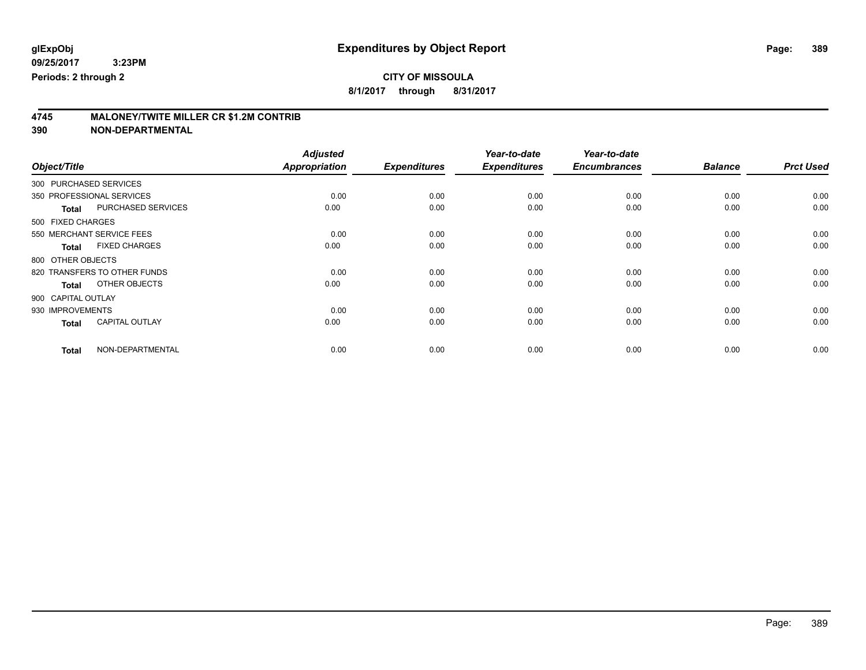**8/1/2017 through 8/31/2017**

# **4745 MALONEY/TWITE MILLER CR \$1.2M CONTRIB**

|                        |                              | <b>Adjusted</b>      |                     | Year-to-date        | Year-to-date        |                |                  |
|------------------------|------------------------------|----------------------|---------------------|---------------------|---------------------|----------------|------------------|
| Object/Title           |                              | <b>Appropriation</b> | <b>Expenditures</b> | <b>Expenditures</b> | <b>Encumbrances</b> | <b>Balance</b> | <b>Prct Used</b> |
| 300 PURCHASED SERVICES |                              |                      |                     |                     |                     |                |                  |
|                        | 350 PROFESSIONAL SERVICES    | 0.00                 | 0.00                | 0.00                | 0.00                | 0.00           | 0.00             |
| <b>Total</b>           | PURCHASED SERVICES           | 0.00                 | 0.00                | 0.00                | 0.00                | 0.00           | 0.00             |
| 500 FIXED CHARGES      |                              |                      |                     |                     |                     |                |                  |
|                        | 550 MERCHANT SERVICE FEES    | 0.00                 | 0.00                | 0.00                | 0.00                | 0.00           | 0.00             |
| <b>Total</b>           | <b>FIXED CHARGES</b>         | 0.00                 | 0.00                | 0.00                | 0.00                | 0.00           | 0.00             |
| 800 OTHER OBJECTS      |                              |                      |                     |                     |                     |                |                  |
|                        | 820 TRANSFERS TO OTHER FUNDS | 0.00                 | 0.00                | 0.00                | 0.00                | 0.00           | 0.00             |
| <b>Total</b>           | OTHER OBJECTS                | 0.00                 | 0.00                | 0.00                | 0.00                | 0.00           | 0.00             |
| 900 CAPITAL OUTLAY     |                              |                      |                     |                     |                     |                |                  |
| 930 IMPROVEMENTS       |                              | 0.00                 | 0.00                | 0.00                | 0.00                | 0.00           | 0.00             |
| <b>Total</b>           | <b>CAPITAL OUTLAY</b>        | 0.00                 | 0.00                | 0.00                | 0.00                | 0.00           | 0.00             |
| <b>Total</b>           | NON-DEPARTMENTAL             | 0.00                 | 0.00                | 0.00                | 0.00                | 0.00           | 0.00             |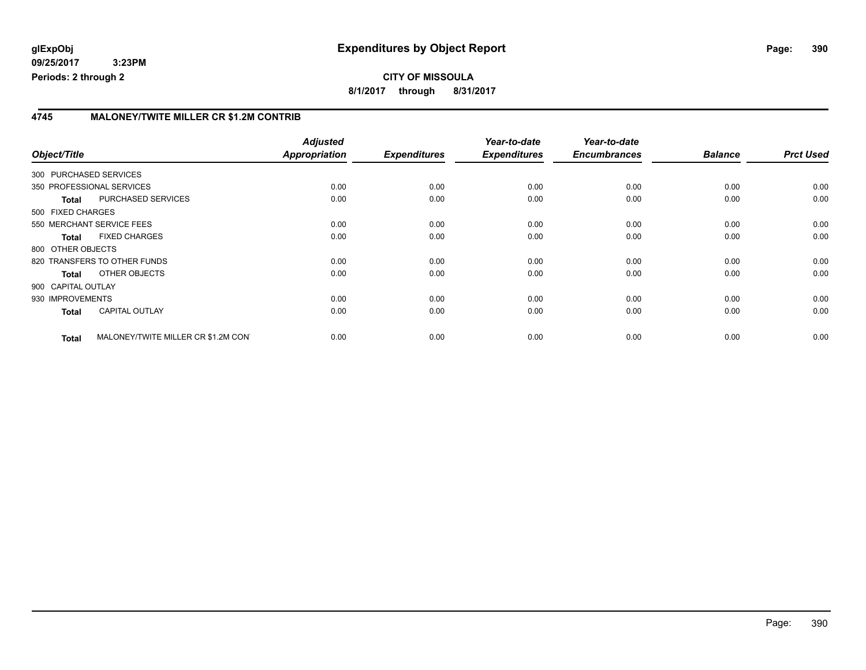### **4745 MALONEY/TWITE MILLER CR \$1.2M CONTRIB**

| Object/Title           |                                     | <b>Adjusted</b><br>Appropriation | <b>Expenditures</b> | Year-to-date<br><b>Expenditures</b> | Year-to-date<br><b>Encumbrances</b> | <b>Balance</b> | <b>Prct Used</b> |
|------------------------|-------------------------------------|----------------------------------|---------------------|-------------------------------------|-------------------------------------|----------------|------------------|
| 300 PURCHASED SERVICES |                                     |                                  |                     |                                     |                                     |                |                  |
|                        | 350 PROFESSIONAL SERVICES           | 0.00                             | 0.00                | 0.00                                | 0.00                                | 0.00           | 0.00             |
| <b>Total</b>           | PURCHASED SERVICES                  | 0.00                             | 0.00                | 0.00                                | 0.00                                | 0.00           | 0.00             |
| 500 FIXED CHARGES      |                                     |                                  |                     |                                     |                                     |                |                  |
|                        | 550 MERCHANT SERVICE FEES           | 0.00                             | 0.00                | 0.00                                | 0.00                                | 0.00           | 0.00             |
| <b>Total</b>           | <b>FIXED CHARGES</b>                | 0.00                             | 0.00                | 0.00                                | 0.00                                | 0.00           | 0.00             |
| 800 OTHER OBJECTS      |                                     |                                  |                     |                                     |                                     |                |                  |
|                        | 820 TRANSFERS TO OTHER FUNDS        | 0.00                             | 0.00                | 0.00                                | 0.00                                | 0.00           | 0.00             |
| Total                  | OTHER OBJECTS                       | 0.00                             | 0.00                | 0.00                                | 0.00                                | 0.00           | 0.00             |
| 900 CAPITAL OUTLAY     |                                     |                                  |                     |                                     |                                     |                |                  |
| 930 IMPROVEMENTS       |                                     | 0.00                             | 0.00                | 0.00                                | 0.00                                | 0.00           | 0.00             |
| <b>Total</b>           | <b>CAPITAL OUTLAY</b>               | 0.00                             | 0.00                | 0.00                                | 0.00                                | 0.00           | 0.00             |
| <b>Total</b>           | MALONEY/TWITE MILLER CR \$1.2M CONT | 0.00                             | 0.00                | 0.00                                | 0.00                                | 0.00           | 0.00             |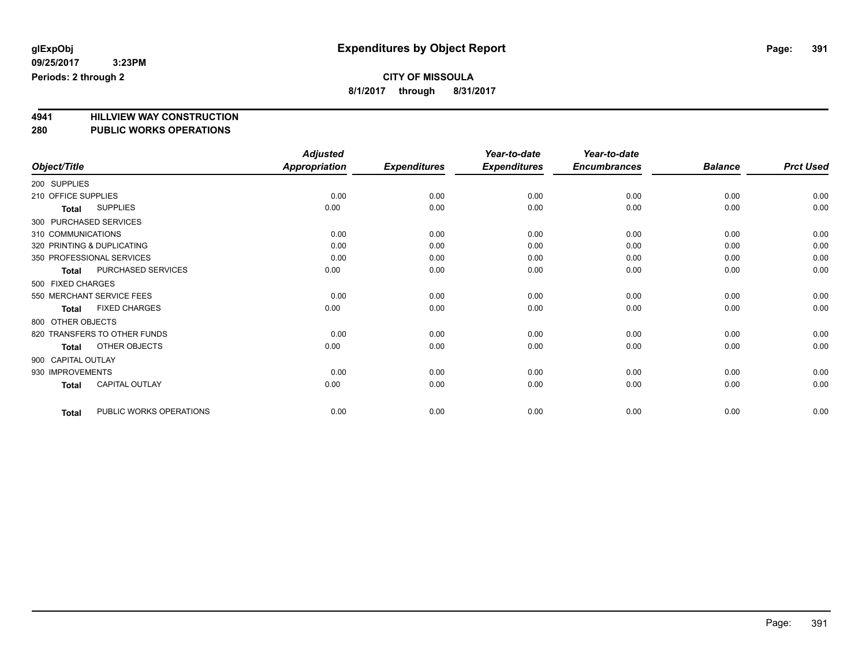**8/1/2017 through 8/31/2017**

# **4941 HILLVIEW WAY CONSTRUCTION**

### **280 PUBLIC WORKS OPERATIONS**

|                                         | <b>Adjusted</b>      |                     | Year-to-date        | Year-to-date        |                |                  |
|-----------------------------------------|----------------------|---------------------|---------------------|---------------------|----------------|------------------|
| Object/Title                            | <b>Appropriation</b> | <b>Expenditures</b> | <b>Expenditures</b> | <b>Encumbrances</b> | <b>Balance</b> | <b>Prct Used</b> |
| 200 SUPPLIES                            |                      |                     |                     |                     |                |                  |
| 210 OFFICE SUPPLIES                     | 0.00                 | 0.00                | 0.00                | 0.00                | 0.00           | 0.00             |
| <b>SUPPLIES</b><br>Total                | 0.00                 | 0.00                | 0.00                | 0.00                | 0.00           | 0.00             |
| 300 PURCHASED SERVICES                  |                      |                     |                     |                     |                |                  |
| 310 COMMUNICATIONS                      | 0.00                 | 0.00                | 0.00                | 0.00                | 0.00           | 0.00             |
| 320 PRINTING & DUPLICATING              | 0.00                 | 0.00                | 0.00                | 0.00                | 0.00           | 0.00             |
| 350 PROFESSIONAL SERVICES               | 0.00                 | 0.00                | 0.00                | 0.00                | 0.00           | 0.00             |
| PURCHASED SERVICES<br><b>Total</b>      | 0.00                 | 0.00                | 0.00                | 0.00                | 0.00           | 0.00             |
| 500 FIXED CHARGES                       |                      |                     |                     |                     |                |                  |
| 550 MERCHANT SERVICE FEES               | 0.00                 | 0.00                | 0.00                | 0.00                | 0.00           | 0.00             |
| <b>FIXED CHARGES</b><br><b>Total</b>    | 0.00                 | 0.00                | 0.00                | 0.00                | 0.00           | 0.00             |
| 800 OTHER OBJECTS                       |                      |                     |                     |                     |                |                  |
| 820 TRANSFERS TO OTHER FUNDS            | 0.00                 | 0.00                | 0.00                | 0.00                | 0.00           | 0.00             |
| OTHER OBJECTS<br>Total                  | 0.00                 | 0.00                | 0.00                | 0.00                | 0.00           | 0.00             |
| 900 CAPITAL OUTLAY                      |                      |                     |                     |                     |                |                  |
| 930 IMPROVEMENTS                        | 0.00                 | 0.00                | 0.00                | 0.00                | 0.00           | 0.00             |
| <b>CAPITAL OUTLAY</b><br><b>Total</b>   | 0.00                 | 0.00                | 0.00                | 0.00                | 0.00           | 0.00             |
| PUBLIC WORKS OPERATIONS<br><b>Total</b> | 0.00                 | 0.00                | 0.00                | 0.00                | 0.00           | 0.00             |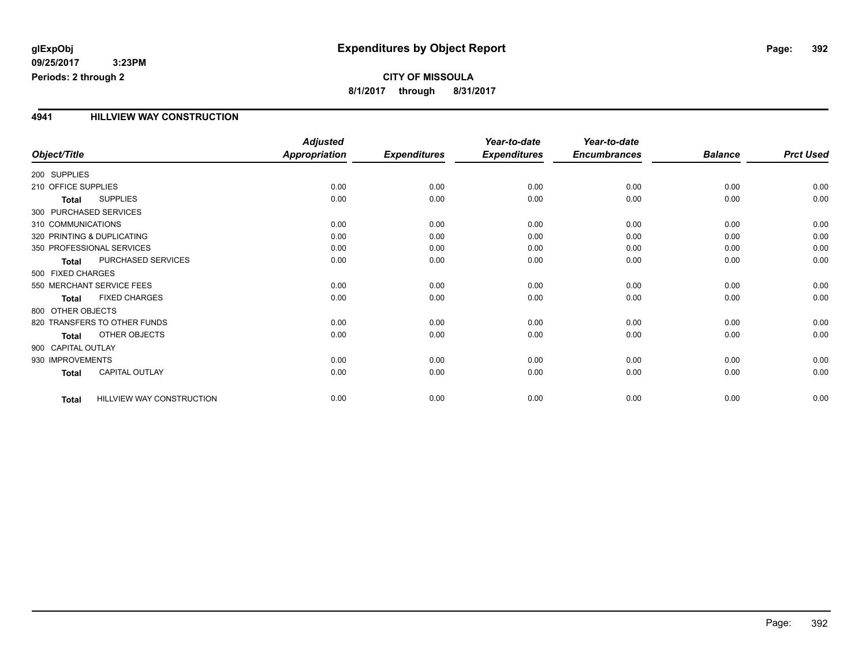### **CITY OF MISSOULA 8/1/2017 through 8/31/2017**

### **4941 HILLVIEW WAY CONSTRUCTION**

|                        |                                  | <b>Adjusted</b>      |                     | Year-to-date        | Year-to-date        |                |                  |
|------------------------|----------------------------------|----------------------|---------------------|---------------------|---------------------|----------------|------------------|
| Object/Title           |                                  | <b>Appropriation</b> | <b>Expenditures</b> | <b>Expenditures</b> | <b>Encumbrances</b> | <b>Balance</b> | <b>Prct Used</b> |
| 200 SUPPLIES           |                                  |                      |                     |                     |                     |                |                  |
| 210 OFFICE SUPPLIES    |                                  | 0.00                 | 0.00                | 0.00                | 0.00                | 0.00           | 0.00             |
| Total                  | <b>SUPPLIES</b>                  | 0.00                 | 0.00                | 0.00                | 0.00                | 0.00           | 0.00             |
| 300 PURCHASED SERVICES |                                  |                      |                     |                     |                     |                |                  |
| 310 COMMUNICATIONS     |                                  | 0.00                 | 0.00                | 0.00                | 0.00                | 0.00           | 0.00             |
|                        | 320 PRINTING & DUPLICATING       | 0.00                 | 0.00                | 0.00                | 0.00                | 0.00           | 0.00             |
|                        | 350 PROFESSIONAL SERVICES        | 0.00                 | 0.00                | 0.00                | 0.00                | 0.00           | 0.00             |
| <b>Total</b>           | PURCHASED SERVICES               | 0.00                 | 0.00                | 0.00                | 0.00                | 0.00           | 0.00             |
| 500 FIXED CHARGES      |                                  |                      |                     |                     |                     |                |                  |
|                        | 550 MERCHANT SERVICE FEES        | 0.00                 | 0.00                | 0.00                | 0.00                | 0.00           | 0.00             |
| <b>Total</b>           | <b>FIXED CHARGES</b>             | 0.00                 | 0.00                | 0.00                | 0.00                | 0.00           | 0.00             |
| 800 OTHER OBJECTS      |                                  |                      |                     |                     |                     |                |                  |
|                        | 820 TRANSFERS TO OTHER FUNDS     | 0.00                 | 0.00                | 0.00                | 0.00                | 0.00           | 0.00             |
| <b>Total</b>           | OTHER OBJECTS                    | 0.00                 | 0.00                | 0.00                | 0.00                | 0.00           | 0.00             |
| 900 CAPITAL OUTLAY     |                                  |                      |                     |                     |                     |                |                  |
| 930 IMPROVEMENTS       |                                  | 0.00                 | 0.00                | 0.00                | 0.00                | 0.00           | 0.00             |
| <b>Total</b>           | CAPITAL OUTLAY                   | 0.00                 | 0.00                | 0.00                | 0.00                | 0.00           | 0.00             |
| <b>Total</b>           | <b>HILLVIEW WAY CONSTRUCTION</b> | 0.00                 | 0.00                | 0.00                | 0.00                | 0.00           | 0.00             |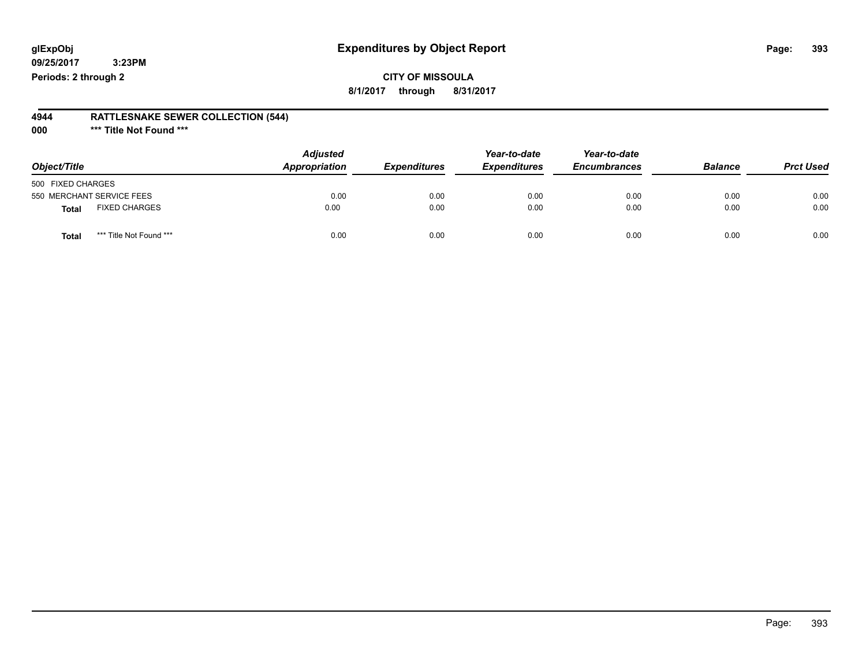### **CITY OF MISSOULA 8/1/2017 through 8/31/2017**

#### **4944 RATTLESNAKE SEWER COLLECTION (544)**

**000 \*\*\* Title Not Found \*\*\***

| Object/Title                         | <b>Adjusted</b> | Appropriation<br><b>Expenditures</b> | Year-to-date<br><b>Expenditures</b> | Year-to-date<br><b>Encumbrances</b> | <b>Balance</b> | <b>Prct Used</b> |
|--------------------------------------|-----------------|--------------------------------------|-------------------------------------|-------------------------------------|----------------|------------------|
| 500 FIXED CHARGES                    |                 |                                      |                                     |                                     |                |                  |
| 550 MERCHANT SERVICE FEES            | 0.00            | 0.00                                 | 0.00                                | 0.00                                | 0.00           | 0.00             |
| <b>FIXED CHARGES</b><br><b>Total</b> | 0.00            | 0.00                                 | 0.00                                | 0.00                                | 0.00           | 0.00             |
| *** Title Not Found ***<br>Total     | 0.00            | 0.00                                 | 0.00                                | 0.00                                | 0.00           | 0.00             |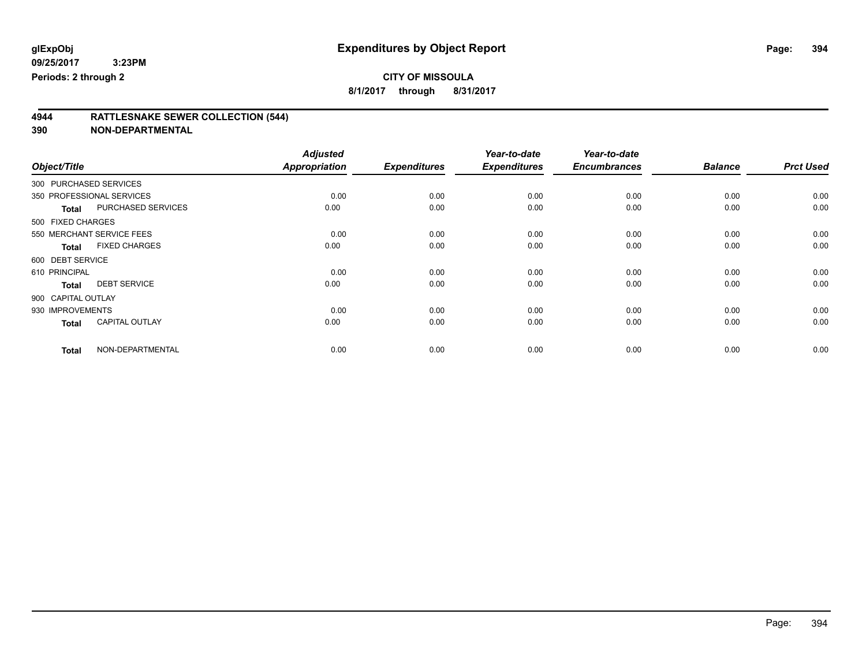**8/1/2017 through 8/31/2017**

### **4944 RATTLESNAKE SEWER COLLECTION (544)**

|                    |                           | <b>Adjusted</b> |                     | Year-to-date        | Year-to-date        |                |                  |
|--------------------|---------------------------|-----------------|---------------------|---------------------|---------------------|----------------|------------------|
| Object/Title       |                           | Appropriation   | <b>Expenditures</b> | <b>Expenditures</b> | <b>Encumbrances</b> | <b>Balance</b> | <b>Prct Used</b> |
|                    | 300 PURCHASED SERVICES    |                 |                     |                     |                     |                |                  |
|                    | 350 PROFESSIONAL SERVICES | 0.00            | 0.00                | 0.00                | 0.00                | 0.00           | 0.00             |
| <b>Total</b>       | PURCHASED SERVICES        | 0.00            | 0.00                | 0.00                | 0.00                | 0.00           | 0.00             |
| 500 FIXED CHARGES  |                           |                 |                     |                     |                     |                |                  |
|                    | 550 MERCHANT SERVICE FEES | 0.00            | 0.00                | 0.00                | 0.00                | 0.00           | 0.00             |
| <b>Total</b>       | <b>FIXED CHARGES</b>      | 0.00            | 0.00                | 0.00                | 0.00                | 0.00           | 0.00             |
| 600 DEBT SERVICE   |                           |                 |                     |                     |                     |                |                  |
| 610 PRINCIPAL      |                           | 0.00            | 0.00                | 0.00                | 0.00                | 0.00           | 0.00             |
| <b>Total</b>       | <b>DEBT SERVICE</b>       | 0.00            | 0.00                | 0.00                | 0.00                | 0.00           | 0.00             |
| 900 CAPITAL OUTLAY |                           |                 |                     |                     |                     |                |                  |
| 930 IMPROVEMENTS   |                           | 0.00            | 0.00                | 0.00                | 0.00                | 0.00           | 0.00             |
| <b>Total</b>       | <b>CAPITAL OUTLAY</b>     | 0.00            | 0.00                | 0.00                | 0.00                | 0.00           | 0.00             |
| <b>Total</b>       | NON-DEPARTMENTAL          | 0.00            | 0.00                | 0.00                | 0.00                | 0.00           | 0.00             |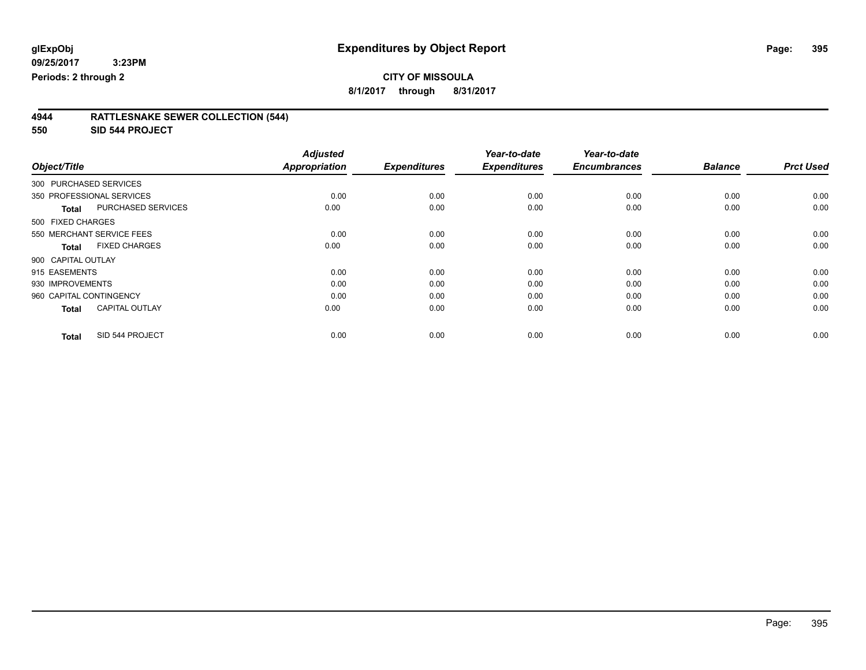**8/1/2017 through 8/31/2017**

| 4944 | <b>RATTLESNAKE SEWER COLLECTION (544)</b> |  |
|------|-------------------------------------------|--|
|      |                                           |  |

**550 SID 544 PROJECT**

|                           |                           | <b>Adjusted</b>      |                     | Year-to-date        | Year-to-date        |                |                  |
|---------------------------|---------------------------|----------------------|---------------------|---------------------|---------------------|----------------|------------------|
| Object/Title              |                           | <b>Appropriation</b> | <b>Expenditures</b> | <b>Expenditures</b> | <b>Encumbrances</b> | <b>Balance</b> | <b>Prct Used</b> |
| 300 PURCHASED SERVICES    |                           |                      |                     |                     |                     |                |                  |
| 350 PROFESSIONAL SERVICES |                           | 0.00                 | 0.00                | 0.00                | 0.00                | 0.00           | 0.00             |
| <b>Total</b>              | <b>PURCHASED SERVICES</b> | 0.00                 | 0.00                | 0.00                | 0.00                | 0.00           | 0.00             |
| 500 FIXED CHARGES         |                           |                      |                     |                     |                     |                |                  |
| 550 MERCHANT SERVICE FEES |                           | 0.00                 | 0.00                | 0.00                | 0.00                | 0.00           | 0.00             |
| <b>Total</b>              | <b>FIXED CHARGES</b>      | 0.00                 | 0.00                | 0.00                | 0.00                | 0.00           | 0.00             |
| 900 CAPITAL OUTLAY        |                           |                      |                     |                     |                     |                |                  |
| 915 EASEMENTS             |                           | 0.00                 | 0.00                | 0.00                | 0.00                | 0.00           | 0.00             |
| 930 IMPROVEMENTS          |                           | 0.00                 | 0.00                | 0.00                | 0.00                | 0.00           | 0.00             |
| 960 CAPITAL CONTINGENCY   |                           | 0.00                 | 0.00                | 0.00                | 0.00                | 0.00           | 0.00             |
| <b>Total</b>              | <b>CAPITAL OUTLAY</b>     | 0.00                 | 0.00                | 0.00                | 0.00                | 0.00           | 0.00             |
| <b>Total</b>              | SID 544 PROJECT           | 0.00                 | 0.00                | 0.00                | 0.00                | 0.00           | 0.00             |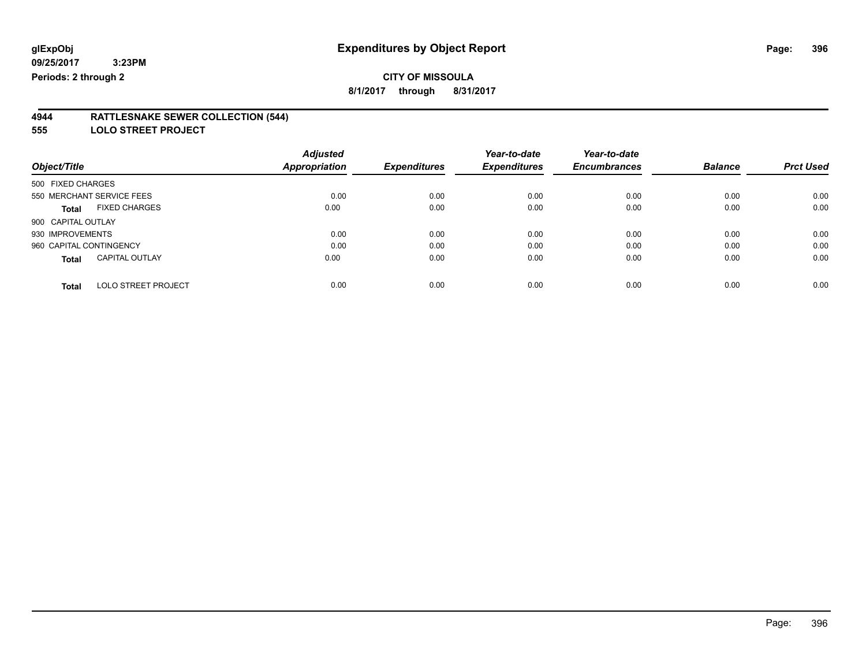### **CITY OF MISSOULA**

**8/1/2017 through 8/31/2017**

#### **4944 RATTLESNAKE SEWER COLLECTION (544)**

**555 LOLO STREET PROJECT**

|                                            | <b>Adjusted</b>      |                     | Year-to-date        | Year-to-date        |                |                  |
|--------------------------------------------|----------------------|---------------------|---------------------|---------------------|----------------|------------------|
| Object/Title                               | <b>Appropriation</b> | <b>Expenditures</b> | <b>Expenditures</b> | <b>Encumbrances</b> | <b>Balance</b> | <b>Prct Used</b> |
| 500 FIXED CHARGES                          |                      |                     |                     |                     |                |                  |
| 550 MERCHANT SERVICE FEES                  | 0.00                 | 0.00                | 0.00                | 0.00                | 0.00           | 0.00             |
| <b>FIXED CHARGES</b><br><b>Total</b>       | 0.00                 | 0.00                | 0.00                | 0.00                | 0.00           | 0.00             |
| 900 CAPITAL OUTLAY                         |                      |                     |                     |                     |                |                  |
| 930 IMPROVEMENTS                           | 0.00                 | 0.00                | 0.00                | 0.00                | 0.00           | 0.00             |
| 960 CAPITAL CONTINGENCY                    | 0.00                 | 0.00                | 0.00                | 0.00                | 0.00           | 0.00             |
| <b>CAPITAL OUTLAY</b><br><b>Total</b>      | 0.00                 | 0.00                | 0.00                | 0.00                | 0.00           | 0.00             |
| <b>LOLO STREET PROJECT</b><br><b>Total</b> | 0.00                 | 0.00                | 0.00                | 0.00                | 0.00           | 0.00             |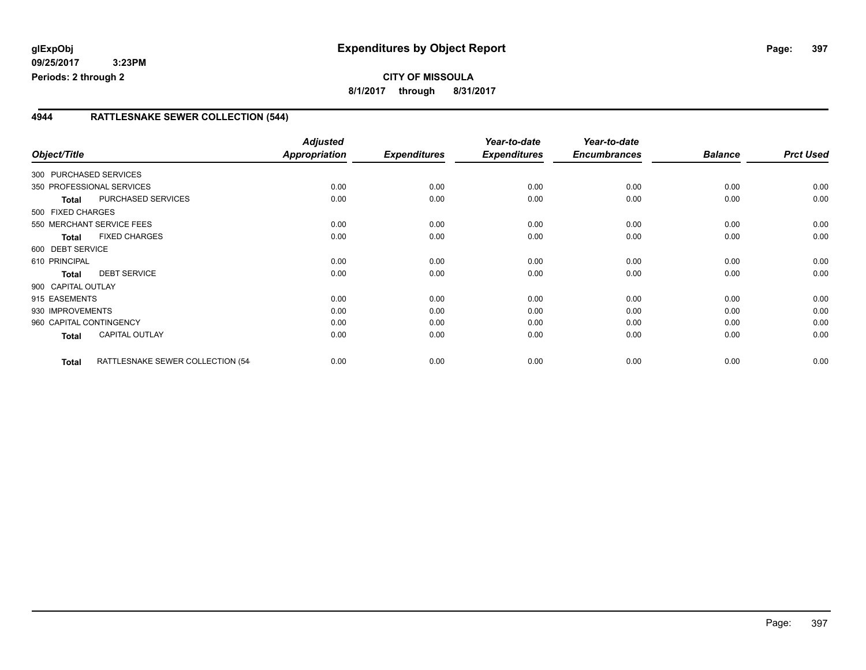#### **4944 RATTLESNAKE SEWER COLLECTION (544)**

| Object/Title            |                                  | <b>Adjusted</b><br>Appropriation | <b>Expenditures</b> | Year-to-date<br><b>Expenditures</b> | Year-to-date<br><b>Encumbrances</b> | <b>Balance</b> | <b>Prct Used</b> |
|-------------------------|----------------------------------|----------------------------------|---------------------|-------------------------------------|-------------------------------------|----------------|------------------|
| 300 PURCHASED SERVICES  |                                  |                                  |                     |                                     |                                     |                |                  |
|                         | 350 PROFESSIONAL SERVICES        | 0.00                             | 0.00                | 0.00                                | 0.00                                | 0.00           | 0.00             |
| <b>Total</b>            | PURCHASED SERVICES               | 0.00                             | 0.00                | 0.00                                | 0.00                                | 0.00           | 0.00             |
| 500 FIXED CHARGES       |                                  |                                  |                     |                                     |                                     |                |                  |
|                         | 550 MERCHANT SERVICE FEES        | 0.00                             | 0.00                | 0.00                                | 0.00                                | 0.00           | 0.00             |
| <b>Total</b>            | <b>FIXED CHARGES</b>             | 0.00                             | 0.00                | 0.00                                | 0.00                                | 0.00           | 0.00             |
| 600 DEBT SERVICE        |                                  |                                  |                     |                                     |                                     |                |                  |
| 610 PRINCIPAL           |                                  | 0.00                             | 0.00                | 0.00                                | 0.00                                | 0.00           | 0.00             |
| <b>Total</b>            | <b>DEBT SERVICE</b>              | 0.00                             | 0.00                | 0.00                                | 0.00                                | 0.00           | 0.00             |
| 900 CAPITAL OUTLAY      |                                  |                                  |                     |                                     |                                     |                |                  |
| 915 EASEMENTS           |                                  | 0.00                             | 0.00                | 0.00                                | 0.00                                | 0.00           | 0.00             |
| 930 IMPROVEMENTS        |                                  | 0.00                             | 0.00                | 0.00                                | 0.00                                | 0.00           | 0.00             |
| 960 CAPITAL CONTINGENCY |                                  | 0.00                             | 0.00                | 0.00                                | 0.00                                | 0.00           | 0.00             |
| Total                   | <b>CAPITAL OUTLAY</b>            | 0.00                             | 0.00                | 0.00                                | 0.00                                | 0.00           | 0.00             |
| <b>Total</b>            | RATTLESNAKE SEWER COLLECTION (54 | 0.00                             | 0.00                | 0.00                                | 0.00                                | 0.00           | 0.00             |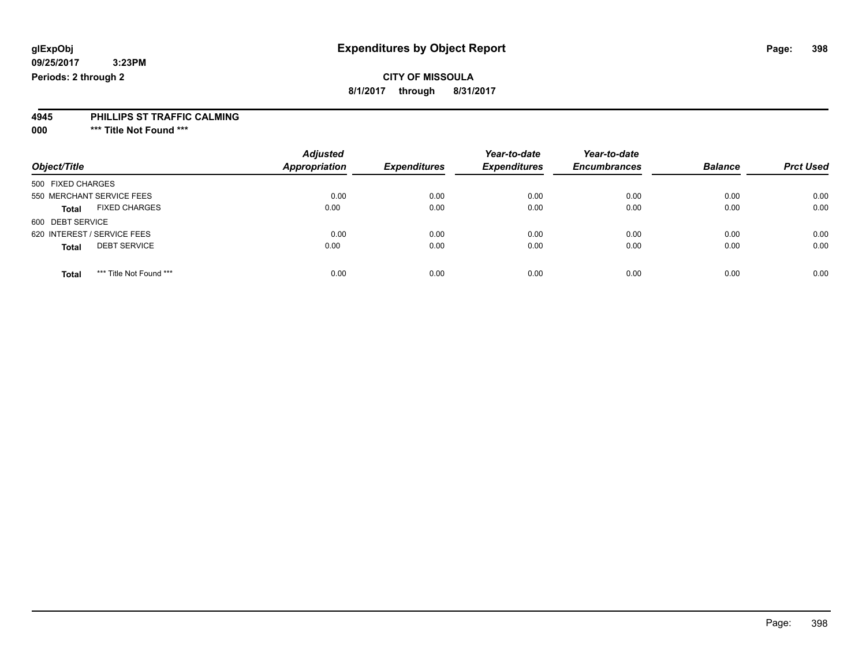### **CITY OF MISSOULA**

**8/1/2017 through 8/31/2017**

#### **4945 PHILLIPS ST TRAFFIC CALMING**

**000 \*\*\* Title Not Found \*\*\***

| Object/Title                            | <b>Adjusted</b><br><b>Appropriation</b> | <b>Expenditures</b> | Year-to-date<br><b>Expenditures</b> | Year-to-date<br><b>Encumbrances</b> | <b>Balance</b> | <b>Prct Used</b> |
|-----------------------------------------|-----------------------------------------|---------------------|-------------------------------------|-------------------------------------|----------------|------------------|
| 500 FIXED CHARGES                       |                                         |                     |                                     |                                     |                |                  |
| 550 MERCHANT SERVICE FEES               | 0.00                                    | 0.00                | 0.00                                | 0.00                                | 0.00           | 0.00             |
| <b>FIXED CHARGES</b><br><b>Total</b>    | 0.00                                    | 0.00                | 0.00                                | 0.00                                | 0.00           | 0.00             |
| 600 DEBT SERVICE                        |                                         |                     |                                     |                                     |                |                  |
| 620 INTEREST / SERVICE FEES             | 0.00                                    | 0.00                | 0.00                                | 0.00                                | 0.00           | 0.00             |
| <b>DEBT SERVICE</b><br><b>Total</b>     | 0.00                                    | 0.00                | 0.00                                | 0.00                                | 0.00           | 0.00             |
| *** Title Not Found ***<br><b>Total</b> | 0.00                                    | 0.00                | 0.00                                | 0.00                                | 0.00           | 0.00             |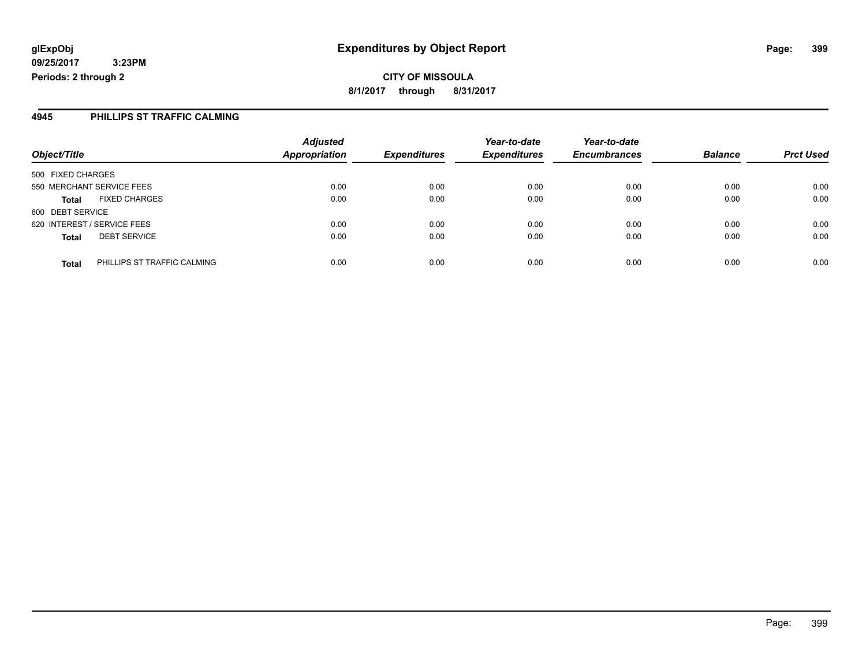**CITY OF MISSOULA 8/1/2017 through 8/31/2017**

#### **4945 PHILLIPS ST TRAFFIC CALMING**

|                             |                             | <b>Adjusted</b>      |                     | Year-to-date        | Year-to-date        | <b>Balance</b> |                  |
|-----------------------------|-----------------------------|----------------------|---------------------|---------------------|---------------------|----------------|------------------|
| Object/Title                |                             | <b>Appropriation</b> | <b>Expenditures</b> | <b>Expenditures</b> | <b>Encumbrances</b> |                | <b>Prct Used</b> |
| 500 FIXED CHARGES           |                             |                      |                     |                     |                     |                |                  |
| 550 MERCHANT SERVICE FEES   |                             | 0.00                 | 0.00                | 0.00                | 0.00                | 0.00           | 0.00             |
| <b>Total</b>                | <b>FIXED CHARGES</b>        | 0.00                 | 0.00                | 0.00                | 0.00                | 0.00           | 0.00             |
| 600 DEBT SERVICE            |                             |                      |                     |                     |                     |                |                  |
| 620 INTEREST / SERVICE FEES |                             | 0.00                 | 0.00                | 0.00                | 0.00                | 0.00           | 0.00             |
| <b>Total</b>                | <b>DEBT SERVICE</b>         | 0.00                 | 0.00                | 0.00                | 0.00                | 0.00           | 0.00             |
| <b>Total</b>                | PHILLIPS ST TRAFFIC CALMING | 0.00                 | 0.00                | 0.00                | 0.00                | 0.00           | 0.00             |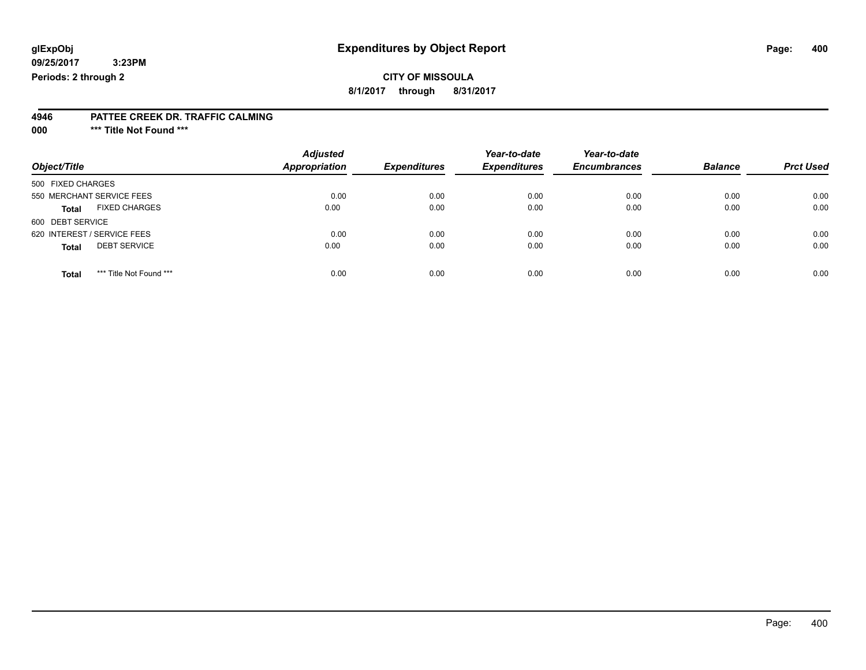### **CITY OF MISSOULA**

**8/1/2017 through 8/31/2017**

#### **4946 PATTEE CREEK DR. TRAFFIC CALMING**

**000 \*\*\* Title Not Found \*\*\***

| Object/Title                            | <b>Adjusted</b><br><b>Appropriation</b> | <b>Expenditures</b> | Year-to-date<br><b>Expenditures</b> | Year-to-date<br><b>Encumbrances</b> | <b>Balance</b> | <b>Prct Used</b> |
|-----------------------------------------|-----------------------------------------|---------------------|-------------------------------------|-------------------------------------|----------------|------------------|
| 500 FIXED CHARGES                       |                                         |                     |                                     |                                     |                |                  |
| 550 MERCHANT SERVICE FEES               | 0.00                                    | 0.00                | 0.00                                | 0.00                                | 0.00           | 0.00             |
| <b>FIXED CHARGES</b><br><b>Total</b>    | 0.00                                    | 0.00                | 0.00                                | 0.00                                | 0.00           | 0.00             |
| 600 DEBT SERVICE                        |                                         |                     |                                     |                                     |                |                  |
| 620 INTEREST / SERVICE FEES             | 0.00                                    | 0.00                | 0.00                                | 0.00                                | 0.00           | 0.00             |
| <b>DEBT SERVICE</b><br><b>Total</b>     | 0.00                                    | 0.00                | 0.00                                | 0.00                                | 0.00           | 0.00             |
|                                         |                                         |                     |                                     |                                     |                |                  |
| *** Title Not Found ***<br><b>Total</b> | 0.00                                    | 0.00                | 0.00                                | 0.00                                | 0.00           | 0.00             |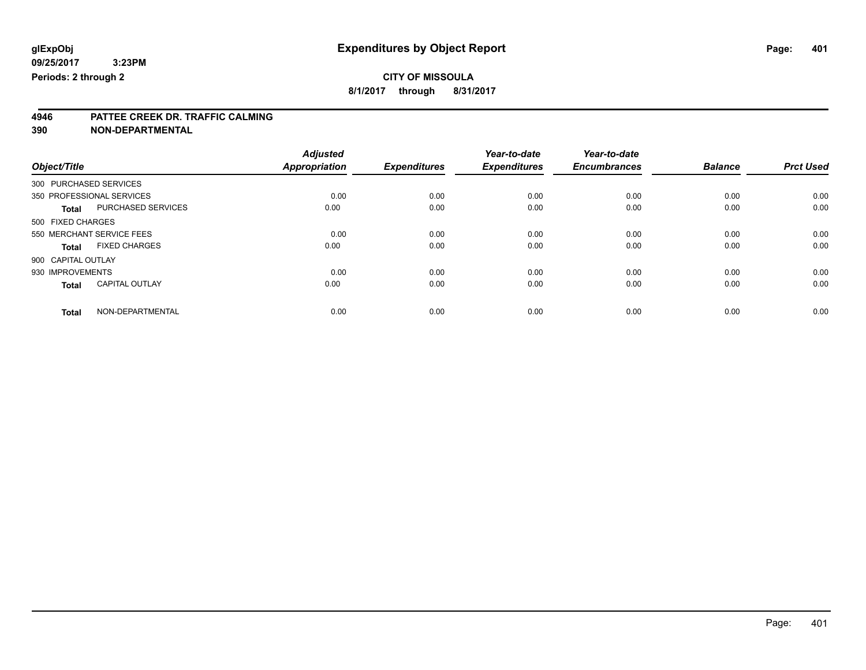### **CITY OF MISSOULA**

**8/1/2017 through 8/31/2017**

# **4946 PATTEE CREEK DR. TRAFFIC CALMING**

**390 NON-DEPARTMENTAL**

|                        |                           | <b>Adjusted</b> |                     | Year-to-date        | Year-to-date        |                |                  |
|------------------------|---------------------------|-----------------|---------------------|---------------------|---------------------|----------------|------------------|
| Object/Title           |                           | Appropriation   | <b>Expenditures</b> | <b>Expenditures</b> | <b>Encumbrances</b> | <b>Balance</b> | <b>Prct Used</b> |
| 300 PURCHASED SERVICES |                           |                 |                     |                     |                     |                |                  |
|                        | 350 PROFESSIONAL SERVICES | 0.00            | 0.00                | 0.00                | 0.00                | 0.00           | 0.00             |
| <b>Total</b>           | PURCHASED SERVICES        | 0.00            | 0.00                | 0.00                | 0.00                | 0.00           | 0.00             |
| 500 FIXED CHARGES      |                           |                 |                     |                     |                     |                |                  |
|                        | 550 MERCHANT SERVICE FEES | 0.00            | 0.00                | 0.00                | 0.00                | 0.00           | 0.00             |
| <b>Total</b>           | <b>FIXED CHARGES</b>      | 0.00            | 0.00                | 0.00                | 0.00                | 0.00           | 0.00             |
| 900 CAPITAL OUTLAY     |                           |                 |                     |                     |                     |                |                  |
| 930 IMPROVEMENTS       |                           | 0.00            | 0.00                | 0.00                | 0.00                | 0.00           | 0.00             |
| <b>Total</b>           | <b>CAPITAL OUTLAY</b>     | 0.00            | 0.00                | 0.00                | 0.00                | 0.00           | 0.00             |
| <b>Total</b>           | NON-DEPARTMENTAL          | 0.00            | 0.00                | 0.00                | 0.00                | 0.00           | 0.00             |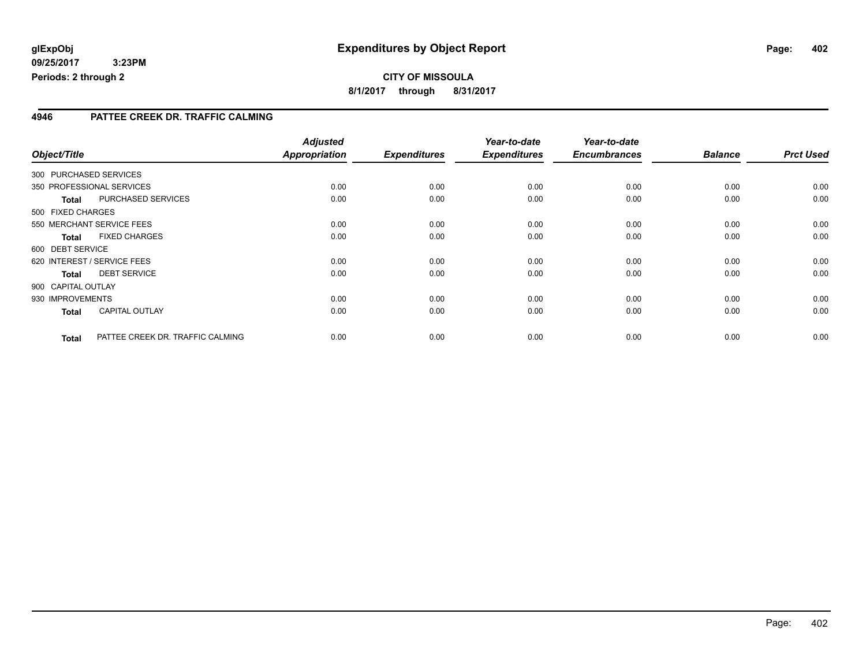#### **4946 PATTEE CREEK DR. TRAFFIC CALMING**

|                    |                                  | <b>Adjusted</b>      |                     | Year-to-date        | Year-to-date        |                |                  |
|--------------------|----------------------------------|----------------------|---------------------|---------------------|---------------------|----------------|------------------|
| Object/Title       |                                  | <b>Appropriation</b> | <b>Expenditures</b> | <b>Expenditures</b> | <b>Encumbrances</b> | <b>Balance</b> | <b>Prct Used</b> |
|                    | 300 PURCHASED SERVICES           |                      |                     |                     |                     |                |                  |
|                    | 350 PROFESSIONAL SERVICES        | 0.00                 | 0.00                | 0.00                | 0.00                | 0.00           | 0.00             |
| <b>Total</b>       | PURCHASED SERVICES               | 0.00                 | 0.00                | 0.00                | 0.00                | 0.00           | 0.00             |
| 500 FIXED CHARGES  |                                  |                      |                     |                     |                     |                |                  |
|                    | 550 MERCHANT SERVICE FEES        | 0.00                 | 0.00                | 0.00                | 0.00                | 0.00           | 0.00             |
| <b>Total</b>       | <b>FIXED CHARGES</b>             | 0.00                 | 0.00                | 0.00                | 0.00                | 0.00           | 0.00             |
| 600 DEBT SERVICE   |                                  |                      |                     |                     |                     |                |                  |
|                    | 620 INTEREST / SERVICE FEES      | 0.00                 | 0.00                | 0.00                | 0.00                | 0.00           | 0.00             |
| <b>Total</b>       | <b>DEBT SERVICE</b>              | 0.00                 | 0.00                | 0.00                | 0.00                | 0.00           | 0.00             |
| 900 CAPITAL OUTLAY |                                  |                      |                     |                     |                     |                |                  |
| 930 IMPROVEMENTS   |                                  | 0.00                 | 0.00                | 0.00                | 0.00                | 0.00           | 0.00             |
| <b>Total</b>       | <b>CAPITAL OUTLAY</b>            | 0.00                 | 0.00                | 0.00                | 0.00                | 0.00           | 0.00             |
| <b>Total</b>       | PATTEE CREEK DR. TRAFFIC CALMING | 0.00                 | 0.00                | 0.00                | 0.00                | 0.00           | 0.00             |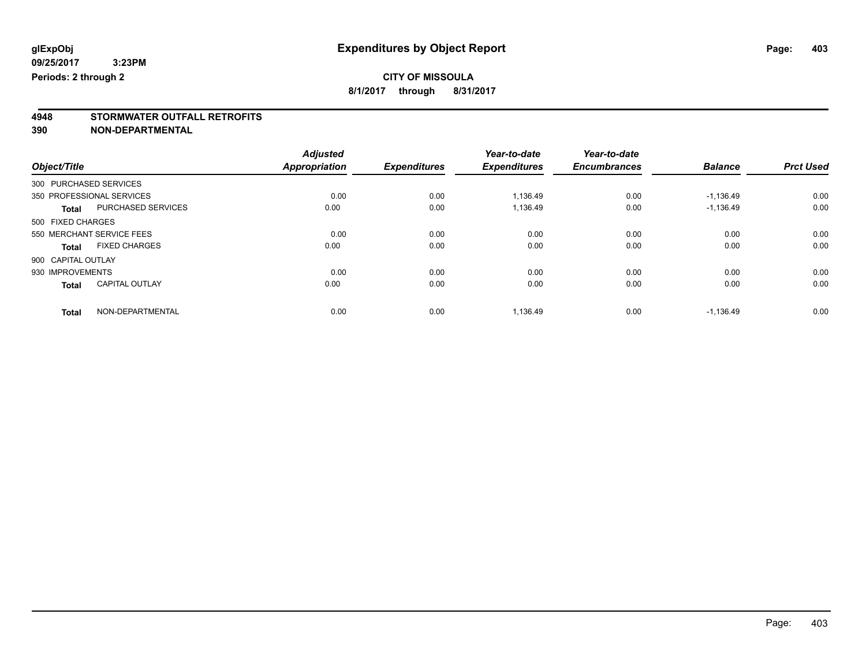### **CITY OF MISSOULA**

**8/1/2017 through 8/31/2017**

# **4948 STORMWATER OUTFALL RETROFITS**

**390 NON-DEPARTMENTAL**

|                                       | <b>Adjusted</b>      |                     | Year-to-date        | Year-to-date        |                |                  |
|---------------------------------------|----------------------|---------------------|---------------------|---------------------|----------------|------------------|
| Object/Title                          | <b>Appropriation</b> | <b>Expenditures</b> | <b>Expenditures</b> | <b>Encumbrances</b> | <b>Balance</b> | <b>Prct Used</b> |
| 300 PURCHASED SERVICES                |                      |                     |                     |                     |                |                  |
| 350 PROFESSIONAL SERVICES             | 0.00                 | 0.00                | 1,136.49            | 0.00                | $-1,136.49$    | 0.00             |
| PURCHASED SERVICES<br><b>Total</b>    | 0.00                 | 0.00                | 1,136.49            | 0.00                | $-1,136.49$    | 0.00             |
| 500 FIXED CHARGES                     |                      |                     |                     |                     |                |                  |
| 550 MERCHANT SERVICE FEES             | 0.00                 | 0.00                | 0.00                | 0.00                | 0.00           | 0.00             |
| <b>FIXED CHARGES</b><br>Total         | 0.00                 | 0.00                | 0.00                | 0.00                | 0.00           | 0.00             |
| 900 CAPITAL OUTLAY                    |                      |                     |                     |                     |                |                  |
| 930 IMPROVEMENTS                      | 0.00                 | 0.00                | 0.00                | 0.00                | 0.00           | 0.00             |
| <b>CAPITAL OUTLAY</b><br><b>Total</b> | 0.00                 | 0.00                | 0.00                | 0.00                | 0.00           | 0.00             |
| NON-DEPARTMENTAL<br><b>Total</b>      | 0.00                 | 0.00                | 1,136.49            | 0.00                | $-1,136.49$    | 0.00             |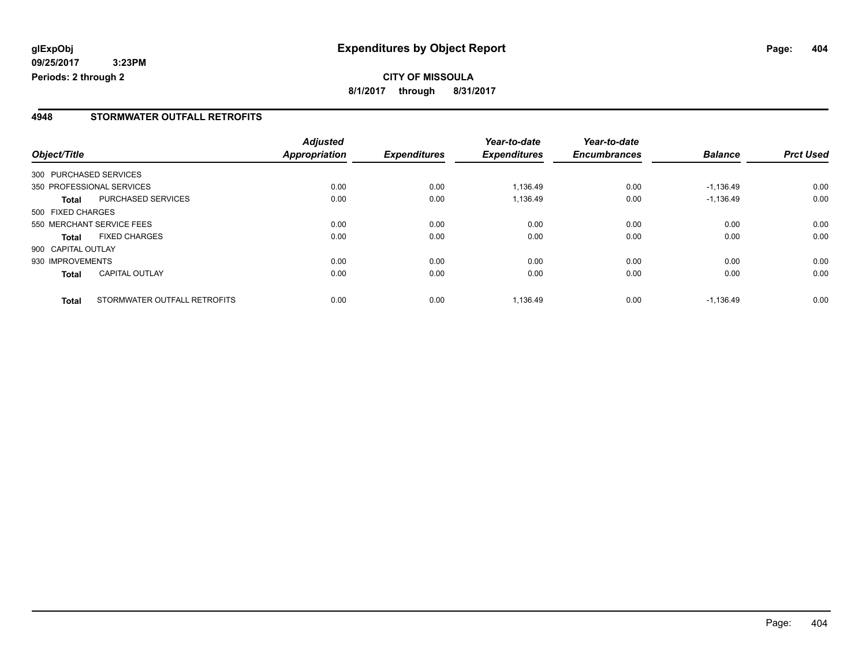#### **4948 STORMWATER OUTFALL RETROFITS**

|                    |                              | <b>Adjusted</b> |                     | Year-to-date        | Year-to-date        |                |                  |
|--------------------|------------------------------|-----------------|---------------------|---------------------|---------------------|----------------|------------------|
| Object/Title       |                              | Appropriation   | <b>Expenditures</b> | <b>Expenditures</b> | <b>Encumbrances</b> | <b>Balance</b> | <b>Prct Used</b> |
|                    | 300 PURCHASED SERVICES       |                 |                     |                     |                     |                |                  |
|                    | 350 PROFESSIONAL SERVICES    | 0.00            | 0.00                | 1,136.49            | 0.00                | $-1,136.49$    | 0.00             |
| Total              | PURCHASED SERVICES           | 0.00            | 0.00                | 1,136.49            | 0.00                | $-1,136.49$    | 0.00             |
| 500 FIXED CHARGES  |                              |                 |                     |                     |                     |                |                  |
|                    | 550 MERCHANT SERVICE FEES    | 0.00            | 0.00                | 0.00                | 0.00                | 0.00           | 0.00             |
| <b>Total</b>       | <b>FIXED CHARGES</b>         | 0.00            | 0.00                | 0.00                | 0.00                | 0.00           | 0.00             |
| 900 CAPITAL OUTLAY |                              |                 |                     |                     |                     |                |                  |
| 930 IMPROVEMENTS   |                              | 0.00            | 0.00                | 0.00                | 0.00                | 0.00           | 0.00             |
| <b>Total</b>       | <b>CAPITAL OUTLAY</b>        | 0.00            | 0.00                | 0.00                | 0.00                | 0.00           | 0.00             |
| <b>Total</b>       | STORMWATER OUTFALL RETROFITS | 0.00            | 0.00                | 1,136.49            | 0.00                | $-1.136.49$    | 0.00             |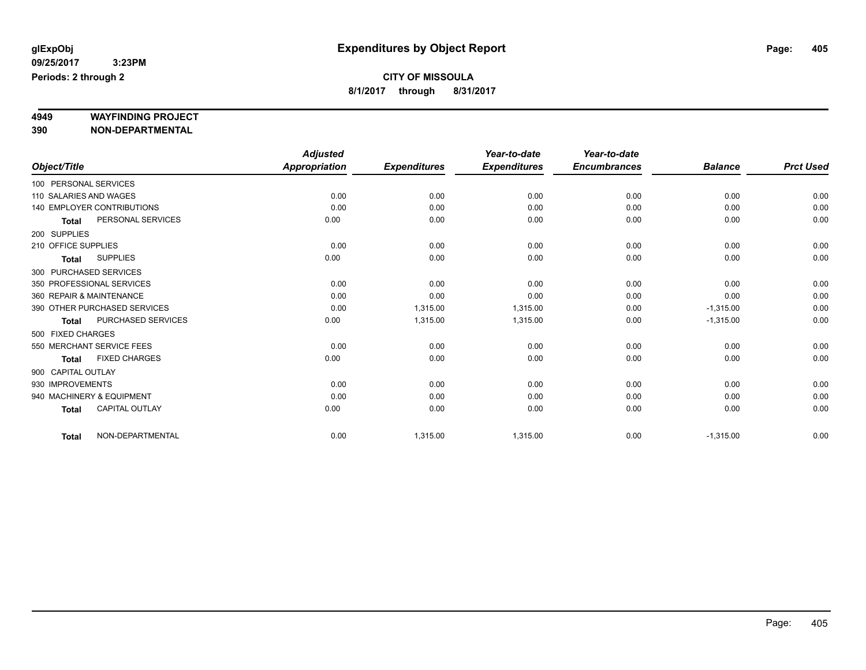# **4949 WAYFINDING PROJECT**

**390 NON-DEPARTMENTAL**

|                     |                                   | <b>Adjusted</b>      |                     | Year-to-date        | Year-to-date        |                |                  |
|---------------------|-----------------------------------|----------------------|---------------------|---------------------|---------------------|----------------|------------------|
| Object/Title        |                                   | <b>Appropriation</b> | <b>Expenditures</b> | <b>Expenditures</b> | <b>Encumbrances</b> | <b>Balance</b> | <b>Prct Used</b> |
|                     | 100 PERSONAL SERVICES             |                      |                     |                     |                     |                |                  |
|                     | 110 SALARIES AND WAGES            | 0.00                 | 0.00                | 0.00                | 0.00                | 0.00           | 0.00             |
|                     | <b>140 EMPLOYER CONTRIBUTIONS</b> | 0.00                 | 0.00                | 0.00                | 0.00                | 0.00           | 0.00             |
| <b>Total</b>        | PERSONAL SERVICES                 | 0.00                 | 0.00                | 0.00                | 0.00                | 0.00           | 0.00             |
| 200 SUPPLIES        |                                   |                      |                     |                     |                     |                |                  |
| 210 OFFICE SUPPLIES |                                   | 0.00                 | 0.00                | 0.00                | 0.00                | 0.00           | 0.00             |
| <b>Total</b>        | <b>SUPPLIES</b>                   | 0.00                 | 0.00                | 0.00                | 0.00                | 0.00           | 0.00             |
|                     | 300 PURCHASED SERVICES            |                      |                     |                     |                     |                |                  |
|                     | 350 PROFESSIONAL SERVICES         | 0.00                 | 0.00                | 0.00                | 0.00                | 0.00           | 0.00             |
|                     | 360 REPAIR & MAINTENANCE          | 0.00                 | 0.00                | 0.00                | 0.00                | 0.00           | 0.00             |
|                     | 390 OTHER PURCHASED SERVICES      | 0.00                 | 1,315.00            | 1,315.00            | 0.00                | $-1,315.00$    | 0.00             |
| <b>Total</b>        | <b>PURCHASED SERVICES</b>         | 0.00                 | 1,315.00            | 1,315.00            | 0.00                | $-1,315.00$    | 0.00             |
| 500 FIXED CHARGES   |                                   |                      |                     |                     |                     |                |                  |
|                     | 550 MERCHANT SERVICE FEES         | 0.00                 | 0.00                | 0.00                | 0.00                | 0.00           | 0.00             |
| <b>Total</b>        | <b>FIXED CHARGES</b>              | 0.00                 | 0.00                | 0.00                | 0.00                | 0.00           | 0.00             |
| 900 CAPITAL OUTLAY  |                                   |                      |                     |                     |                     |                |                  |
| 930 IMPROVEMENTS    |                                   | 0.00                 | 0.00                | 0.00                | 0.00                | 0.00           | 0.00             |
|                     | 940 MACHINERY & EQUIPMENT         | 0.00                 | 0.00                | 0.00                | 0.00                | 0.00           | 0.00             |
| <b>Total</b>        | <b>CAPITAL OUTLAY</b>             | 0.00                 | 0.00                | 0.00                | 0.00                | 0.00           | 0.00             |
| <b>Total</b>        | NON-DEPARTMENTAL                  | 0.00                 | 1,315.00            | 1,315.00            | 0.00                | $-1,315.00$    | 0.00             |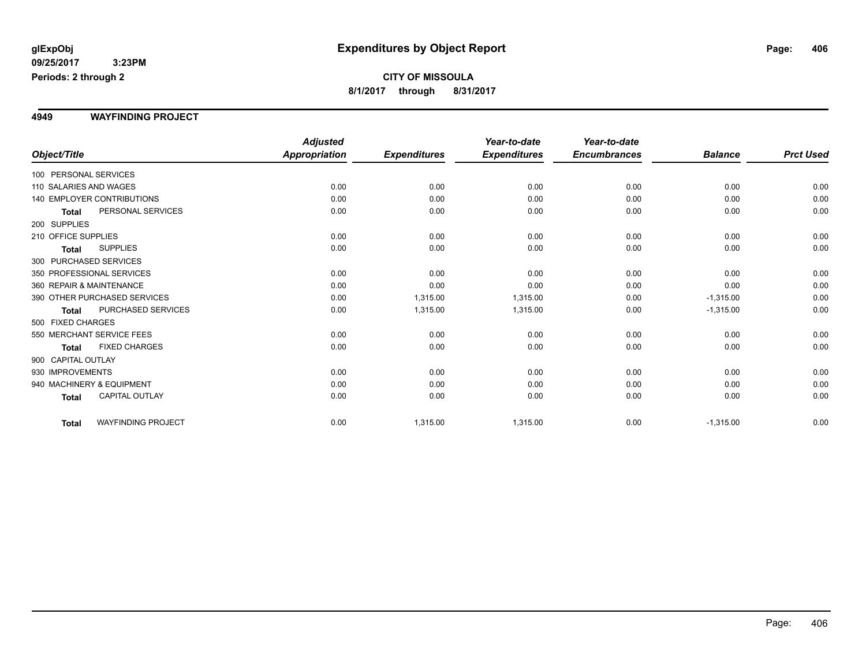#### **4949 WAYFINDING PROJECT**

|                          |                                   | <b>Adjusted</b>      |                     | Year-to-date        | Year-to-date        |                |                  |
|--------------------------|-----------------------------------|----------------------|---------------------|---------------------|---------------------|----------------|------------------|
| Object/Title             |                                   | <b>Appropriation</b> | <b>Expenditures</b> | <b>Expenditures</b> | <b>Encumbrances</b> | <b>Balance</b> | <b>Prct Used</b> |
| 100 PERSONAL SERVICES    |                                   |                      |                     |                     |                     |                |                  |
| 110 SALARIES AND WAGES   |                                   | 0.00                 | 0.00                | 0.00                | 0.00                | 0.00           | 0.00             |
|                          | <b>140 EMPLOYER CONTRIBUTIONS</b> | 0.00                 | 0.00                | 0.00                | 0.00                | 0.00           | 0.00             |
| Total                    | PERSONAL SERVICES                 | 0.00                 | 0.00                | 0.00                | 0.00                | 0.00           | 0.00             |
| 200 SUPPLIES             |                                   |                      |                     |                     |                     |                |                  |
| 210 OFFICE SUPPLIES      |                                   | 0.00                 | 0.00                | 0.00                | 0.00                | 0.00           | 0.00             |
| <b>Total</b>             | <b>SUPPLIES</b>                   | 0.00                 | 0.00                | 0.00                | 0.00                | 0.00           | 0.00             |
| 300 PURCHASED SERVICES   |                                   |                      |                     |                     |                     |                |                  |
|                          | 350 PROFESSIONAL SERVICES         | 0.00                 | 0.00                | 0.00                | 0.00                | 0.00           | 0.00             |
| 360 REPAIR & MAINTENANCE |                                   | 0.00                 | 0.00                | 0.00                | 0.00                | 0.00           | 0.00             |
|                          | 390 OTHER PURCHASED SERVICES      | 0.00                 | 1,315.00            | 1,315.00            | 0.00                | $-1,315.00$    | 0.00             |
| Total                    | <b>PURCHASED SERVICES</b>         | 0.00                 | 1,315.00            | 1,315.00            | 0.00                | $-1,315.00$    | 0.00             |
| 500 FIXED CHARGES        |                                   |                      |                     |                     |                     |                |                  |
|                          | 550 MERCHANT SERVICE FEES         | 0.00                 | 0.00                | 0.00                | 0.00                | 0.00           | 0.00             |
| <b>Total</b>             | <b>FIXED CHARGES</b>              | 0.00                 | 0.00                | 0.00                | 0.00                | 0.00           | 0.00             |
| 900 CAPITAL OUTLAY       |                                   |                      |                     |                     |                     |                |                  |
| 930 IMPROVEMENTS         |                                   | 0.00                 | 0.00                | 0.00                | 0.00                | 0.00           | 0.00             |
|                          | 940 MACHINERY & EQUIPMENT         | 0.00                 | 0.00                | 0.00                | 0.00                | 0.00           | 0.00             |
| <b>Total</b>             | <b>CAPITAL OUTLAY</b>             | 0.00                 | 0.00                | 0.00                | 0.00                | 0.00           | 0.00             |
| <b>Total</b>             | <b>WAYFINDING PROJECT</b>         | 0.00                 | 1,315.00            | 1,315.00            | 0.00                | $-1,315.00$    | 0.00             |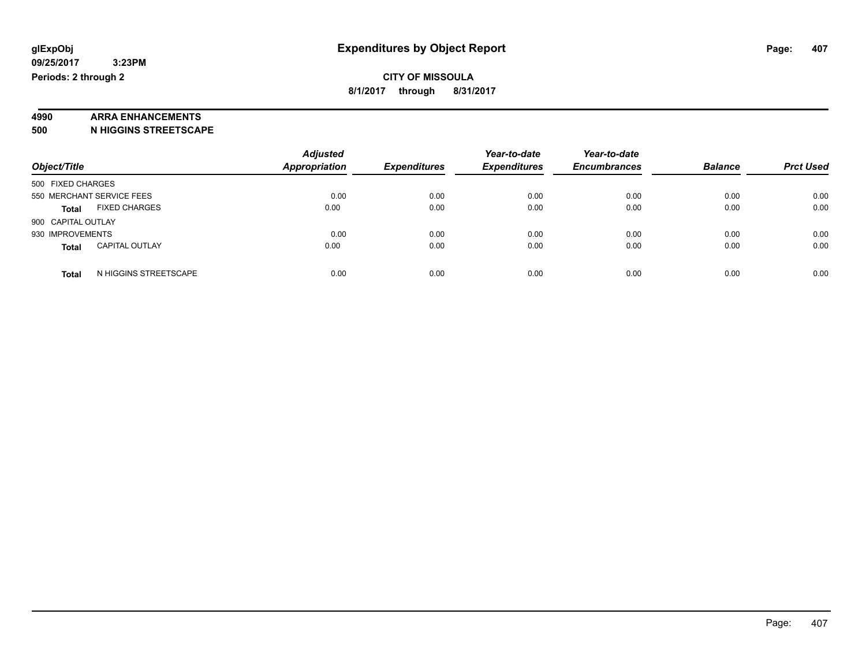# **4990 ARRA ENHANCEMENTS**

**500 N HIGGINS STREETSCAPE**

| Object/Title                          | <b>Adjusted</b><br><b>Appropriation</b> | <b>Expenditures</b> | Year-to-date<br><b>Expenditures</b> | Year-to-date<br><b>Encumbrances</b> | <b>Balance</b> | <b>Prct Used</b> |
|---------------------------------------|-----------------------------------------|---------------------|-------------------------------------|-------------------------------------|----------------|------------------|
| 500 FIXED CHARGES                     |                                         |                     |                                     |                                     |                |                  |
| 550 MERCHANT SERVICE FEES             | 0.00                                    | 0.00                | 0.00                                | 0.00                                | 0.00           | 0.00             |
| <b>FIXED CHARGES</b><br><b>Total</b>  | 0.00                                    | 0.00                | 0.00                                | 0.00                                | 0.00           | 0.00             |
| 900 CAPITAL OUTLAY                    |                                         |                     |                                     |                                     |                |                  |
| 930 IMPROVEMENTS                      | 0.00                                    | 0.00                | 0.00                                | 0.00                                | 0.00           | 0.00             |
| <b>CAPITAL OUTLAY</b><br><b>Total</b> | 0.00                                    | 0.00                | 0.00                                | 0.00                                | 0.00           | 0.00             |
| N HIGGINS STREETSCAPE<br><b>Total</b> | 0.00                                    | 0.00                | 0.00                                | 0.00                                | 0.00           | 0.00             |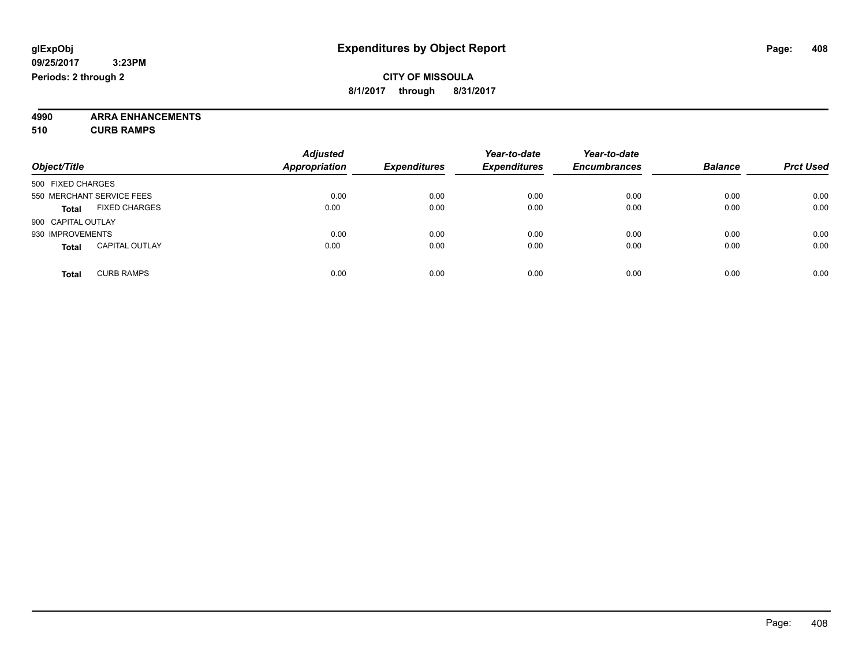**4990 ARRA ENHANCEMENTS 510 CURB RAMPS**

| Object/Title                          | <b>Adjusted</b><br><b>Appropriation</b> | <b>Expenditures</b> | Year-to-date<br><b>Expenditures</b> | Year-to-date<br><b>Encumbrances</b> | <b>Balance</b> | <b>Prct Used</b> |
|---------------------------------------|-----------------------------------------|---------------------|-------------------------------------|-------------------------------------|----------------|------------------|
| 500 FIXED CHARGES                     |                                         |                     |                                     |                                     |                |                  |
| 550 MERCHANT SERVICE FEES             | 0.00                                    | 0.00                | 0.00                                | 0.00                                | 0.00           | 0.00             |
| <b>FIXED CHARGES</b><br><b>Total</b>  | 0.00                                    | 0.00                | 0.00                                | 0.00                                | 0.00           | 0.00             |
| 900 CAPITAL OUTLAY                    |                                         |                     |                                     |                                     |                |                  |
| 930 IMPROVEMENTS                      | 0.00                                    | 0.00                | 0.00                                | 0.00                                | 0.00           | 0.00             |
| <b>CAPITAL OUTLAY</b><br><b>Total</b> | 0.00                                    | 0.00                | 0.00                                | 0.00                                | 0.00           | 0.00             |
| <b>CURB RAMPS</b><br><b>Total</b>     | 0.00                                    | 0.00                | 0.00                                | 0.00                                | 0.00           | 0.00             |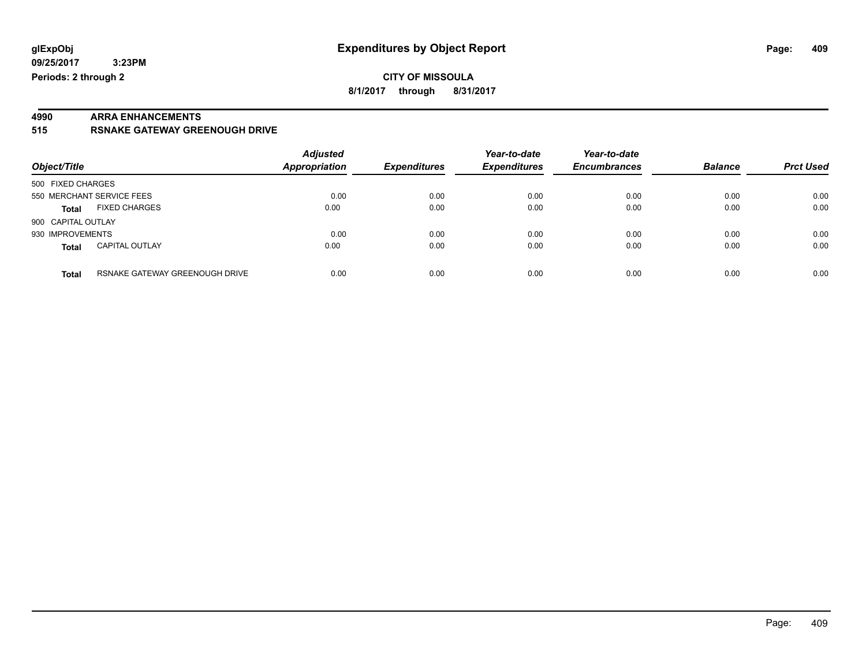# **4990 ARRA ENHANCEMENTS**

**515 RSNAKE GATEWAY GREENOUGH DRIVE**

| Object/Title       |                                | <b>Adjusted</b><br>Appropriation | <b>Expenditures</b> | Year-to-date<br><b>Expenditures</b> | Year-to-date<br><b>Encumbrances</b> | <b>Balance</b> | <b>Prct Used</b> |
|--------------------|--------------------------------|----------------------------------|---------------------|-------------------------------------|-------------------------------------|----------------|------------------|
| 500 FIXED CHARGES  |                                |                                  |                     |                                     |                                     |                |                  |
|                    | 550 MERCHANT SERVICE FEES      | 0.00                             | 0.00                | 0.00                                | 0.00                                | 0.00           | 0.00             |
| <b>Total</b>       | <b>FIXED CHARGES</b>           | 0.00                             | 0.00                | 0.00                                | 0.00                                | 0.00           | 0.00             |
| 900 CAPITAL OUTLAY |                                |                                  |                     |                                     |                                     |                |                  |
| 930 IMPROVEMENTS   |                                | 0.00                             | 0.00                | 0.00                                | 0.00                                | 0.00           | 0.00             |
| <b>Total</b>       | <b>CAPITAL OUTLAY</b>          | 0.00                             | 0.00                | 0.00                                | 0.00                                | 0.00           | 0.00             |
| <b>Total</b>       | RSNAKE GATEWAY GREENOUGH DRIVE | 0.00                             | 0.00                | 0.00                                | 0.00                                | 0.00           | 0.00             |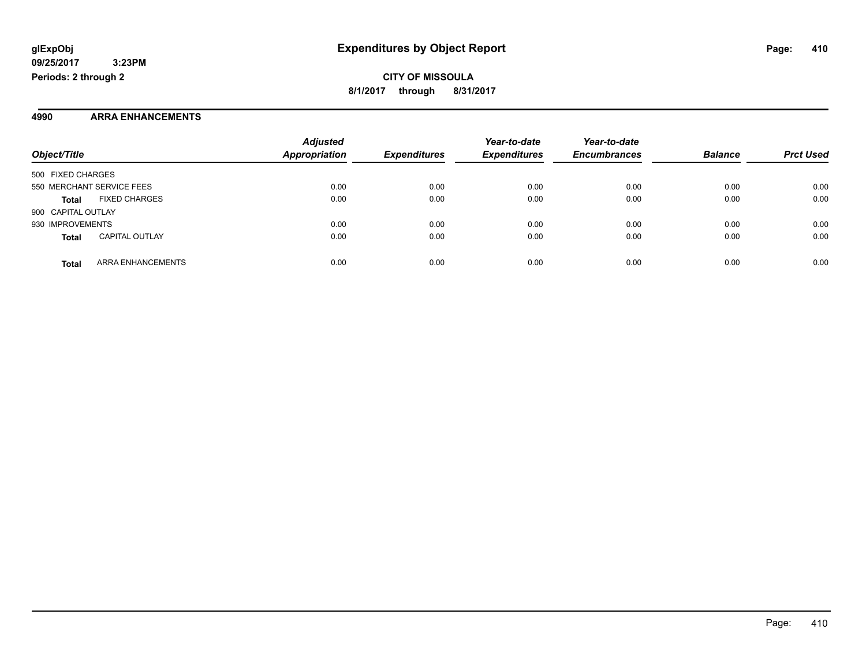#### **4990 ARRA ENHANCEMENTS**

| Object/Title       |                           | <b>Adjusted</b><br><b>Appropriation</b> | <b>Expenditures</b> | Year-to-date<br><b>Expenditures</b> | Year-to-date<br><b>Encumbrances</b> | <b>Balance</b> | <b>Prct Used</b> |
|--------------------|---------------------------|-----------------------------------------|---------------------|-------------------------------------|-------------------------------------|----------------|------------------|
|                    |                           |                                         |                     |                                     |                                     |                |                  |
| 500 FIXED CHARGES  |                           |                                         |                     |                                     |                                     |                |                  |
|                    | 550 MERCHANT SERVICE FEES | 0.00                                    | 0.00                | 0.00                                | 0.00                                | 0.00           | 0.00             |
| <b>Total</b>       | <b>FIXED CHARGES</b>      | 0.00                                    | 0.00                | 0.00                                | 0.00                                | 0.00           | 0.00             |
| 900 CAPITAL OUTLAY |                           |                                         |                     |                                     |                                     |                |                  |
| 930 IMPROVEMENTS   |                           | 0.00                                    | 0.00                | 0.00                                | 0.00                                | 0.00           | 0.00             |
| <b>Total</b>       | <b>CAPITAL OUTLAY</b>     | 0.00                                    | 0.00                | 0.00                                | 0.00                                | 0.00           | 0.00             |
| <b>Total</b>       | ARRA ENHANCEMENTS         | 0.00                                    | 0.00                | 0.00                                | 0.00                                | 0.00           | 0.00             |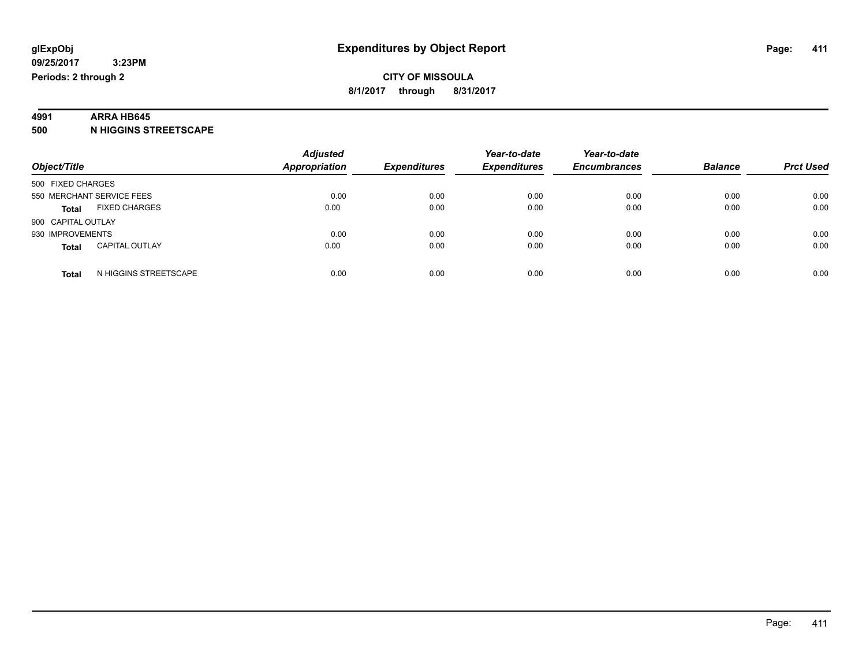#### **4991 ARRA HB645**

**500 N HIGGINS STREETSCAPE**

| Object/Title              |                       | <b>Adjusted</b><br><b>Appropriation</b> | <b>Expenditures</b> | Year-to-date<br><b>Expenditures</b> | Year-to-date<br><b>Encumbrances</b> | <b>Balance</b> | <b>Prct Used</b> |
|---------------------------|-----------------------|-----------------------------------------|---------------------|-------------------------------------|-------------------------------------|----------------|------------------|
| 500 FIXED CHARGES         |                       |                                         |                     |                                     |                                     |                |                  |
| 550 MERCHANT SERVICE FEES |                       | 0.00                                    | 0.00                | 0.00                                | 0.00                                | 0.00           | 0.00             |
| <b>Total</b>              | <b>FIXED CHARGES</b>  | 0.00                                    | 0.00                | 0.00                                | 0.00                                | 0.00           | 0.00             |
| 900 CAPITAL OUTLAY        |                       |                                         |                     |                                     |                                     |                |                  |
| 930 IMPROVEMENTS          |                       | 0.00                                    | 0.00                | 0.00                                | 0.00                                | 0.00           | 0.00             |
| <b>Total</b>              | <b>CAPITAL OUTLAY</b> | 0.00                                    | 0.00                | 0.00                                | 0.00                                | 0.00           | 0.00             |
| <b>Total</b>              | N HIGGINS STREETSCAPE | 0.00                                    | 0.00                | 0.00                                | 0.00                                | 0.00           | 0.00             |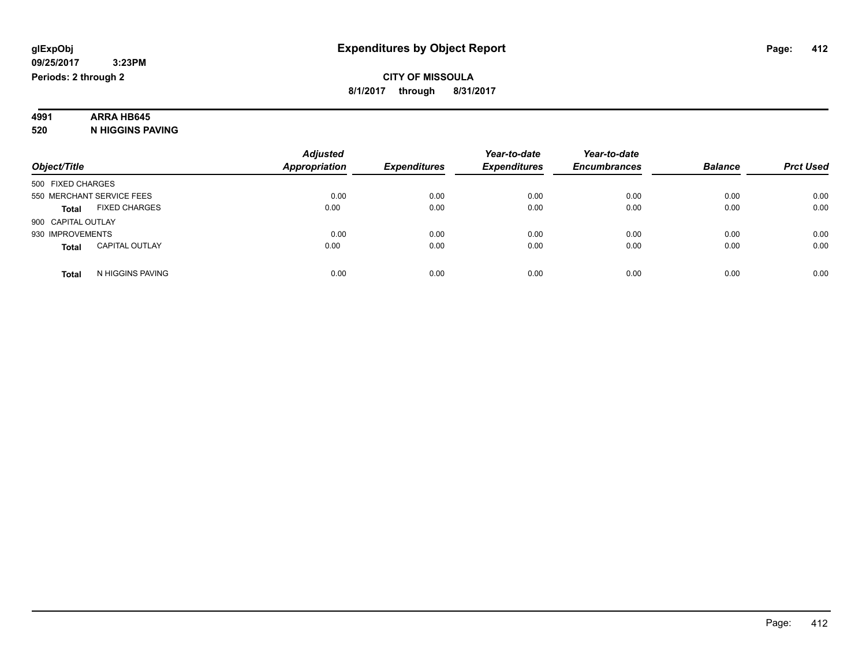# **4991 ARRA HB645**

**520 N HIGGINS PAVING**

|                                       | <b>Adjusted</b>      |                     | Year-to-date        | Year-to-date        |                |                  |
|---------------------------------------|----------------------|---------------------|---------------------|---------------------|----------------|------------------|
| Object/Title                          | <b>Appropriation</b> | <b>Expenditures</b> | <b>Expenditures</b> | <b>Encumbrances</b> | <b>Balance</b> | <b>Prct Used</b> |
| 500 FIXED CHARGES                     |                      |                     |                     |                     |                |                  |
| 550 MERCHANT SERVICE FEES             | 0.00                 | 0.00                | 0.00                | 0.00                | 0.00           | 0.00             |
| <b>FIXED CHARGES</b><br><b>Total</b>  | 0.00                 | 0.00                | 0.00                | 0.00                | 0.00           | 0.00             |
| 900 CAPITAL OUTLAY                    |                      |                     |                     |                     |                |                  |
| 930 IMPROVEMENTS                      | 0.00                 | 0.00                | 0.00                | 0.00                | 0.00           | 0.00             |
| <b>CAPITAL OUTLAY</b><br><b>Total</b> | 0.00                 | 0.00                | 0.00                | 0.00                | 0.00           | 0.00             |
| N HIGGINS PAVING<br>Total             | 0.00                 | 0.00                | 0.00                | 0.00                | 0.00           | 0.00             |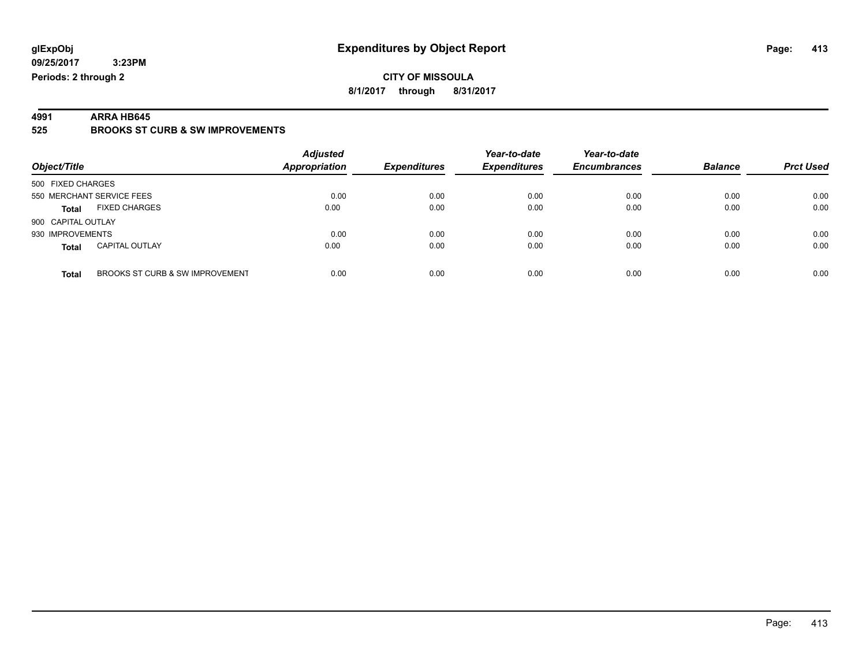**4991 ARRA HB645 525 BROOKS ST CURB & SW IMPROVEMENTS**

| Object/Title                                    | <b>Adjusted</b><br><b>Appropriation</b> | <b>Expenditures</b> | Year-to-date<br><b>Expenditures</b> | Year-to-date<br><b>Encumbrances</b> | <b>Balance</b> | <b>Prct Used</b> |
|-------------------------------------------------|-----------------------------------------|---------------------|-------------------------------------|-------------------------------------|----------------|------------------|
| 500 FIXED CHARGES                               |                                         |                     |                                     |                                     |                |                  |
| 550 MERCHANT SERVICE FEES                       | 0.00                                    | 0.00                | 0.00                                | 0.00                                | 0.00           | 0.00             |
| <b>FIXED CHARGES</b><br><b>Total</b>            | 0.00                                    | 0.00                | 0.00                                | 0.00                                | 0.00           | 0.00             |
| 900 CAPITAL OUTLAY                              |                                         |                     |                                     |                                     |                |                  |
| 930 IMPROVEMENTS                                | 0.00                                    | 0.00                | 0.00                                | 0.00                                | 0.00           | 0.00             |
| <b>CAPITAL OUTLAY</b><br><b>Total</b>           | 0.00                                    | 0.00                | 0.00                                | 0.00                                | 0.00           | 0.00             |
| BROOKS ST CURB & SW IMPROVEMENT<br><b>Total</b> | 0.00                                    | 0.00                | 0.00                                | 0.00                                | 0.00           | 0.00             |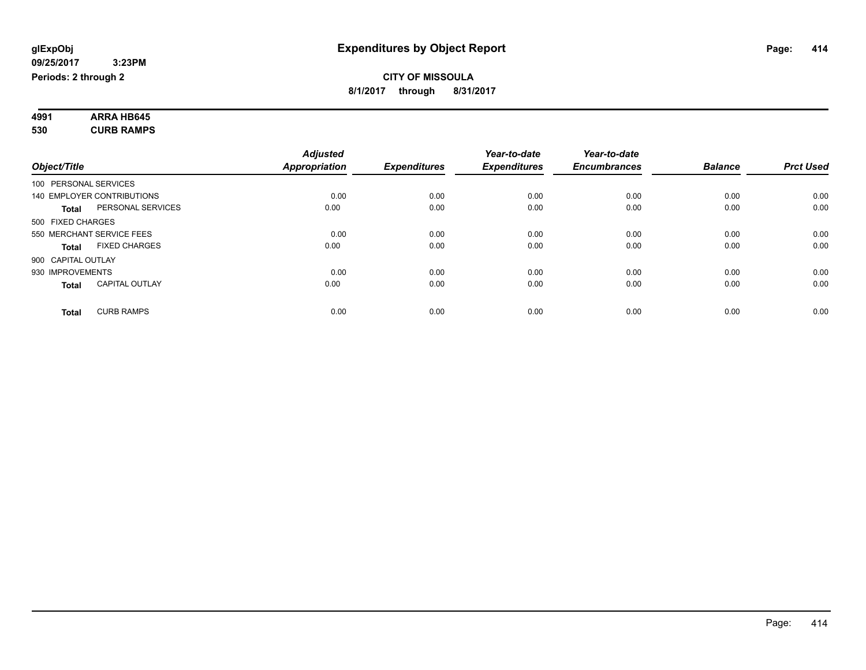#### **4991 ARRA HB645 530 CURB RAMPS**

| Object/Title          |                            | <b>Adjusted</b><br><b>Appropriation</b> | <b>Expenditures</b> | Year-to-date<br><b>Expenditures</b> | Year-to-date<br><b>Encumbrances</b> | <b>Balance</b> | <b>Prct Used</b> |
|-----------------------|----------------------------|-----------------------------------------|---------------------|-------------------------------------|-------------------------------------|----------------|------------------|
|                       |                            |                                         |                     |                                     |                                     |                |                  |
| 100 PERSONAL SERVICES |                            |                                         |                     |                                     |                                     |                |                  |
|                       | 140 EMPLOYER CONTRIBUTIONS | 0.00                                    | 0.00                | 0.00                                | 0.00                                | 0.00           | 0.00             |
| <b>Total</b>          | PERSONAL SERVICES          | 0.00                                    | 0.00                | 0.00                                | 0.00                                | 0.00           | 0.00             |
| 500 FIXED CHARGES     |                            |                                         |                     |                                     |                                     |                |                  |
|                       | 550 MERCHANT SERVICE FEES  | 0.00                                    | 0.00                | 0.00                                | 0.00                                | 0.00           | 0.00             |
| Total                 | <b>FIXED CHARGES</b>       | 0.00                                    | 0.00                | 0.00                                | 0.00                                | 0.00           | 0.00             |
| 900 CAPITAL OUTLAY    |                            |                                         |                     |                                     |                                     |                |                  |
| 930 IMPROVEMENTS      |                            | 0.00                                    | 0.00                | 0.00                                | 0.00                                | 0.00           | 0.00             |
| <b>Total</b>          | <b>CAPITAL OUTLAY</b>      | 0.00                                    | 0.00                | 0.00                                | 0.00                                | 0.00           | 0.00             |
| <b>Total</b>          | <b>CURB RAMPS</b>          | 0.00                                    | 0.00                | 0.00                                | 0.00                                | 0.00           | 0.00             |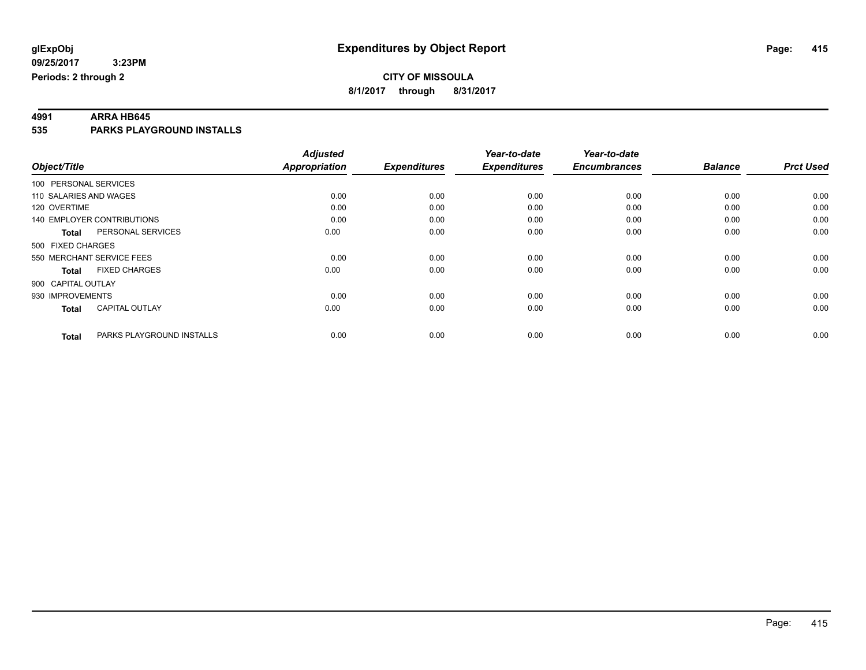**4991 ARRA HB645 535 PARKS PLAYGROUND INSTALLS**

| Object/Title              |                                   | <b>Adjusted</b><br><b>Appropriation</b> | <b>Expenditures</b> | Year-to-date<br><b>Expenditures</b> | Year-to-date<br><b>Encumbrances</b> | <b>Balance</b> | <b>Prct Used</b> |
|---------------------------|-----------------------------------|-----------------------------------------|---------------------|-------------------------------------|-------------------------------------|----------------|------------------|
| 100 PERSONAL SERVICES     |                                   |                                         |                     |                                     |                                     |                |                  |
| 110 SALARIES AND WAGES    |                                   | 0.00                                    | 0.00                | 0.00                                | 0.00                                | 0.00           | 0.00             |
| 120 OVERTIME              |                                   | 0.00                                    | 0.00                | 0.00                                | 0.00                                | 0.00           | 0.00             |
|                           | <b>140 EMPLOYER CONTRIBUTIONS</b> | 0.00                                    | 0.00                | 0.00                                | 0.00                                | 0.00           | 0.00             |
| <b>Total</b>              | PERSONAL SERVICES                 | 0.00                                    | 0.00                | 0.00                                | 0.00                                | 0.00           | 0.00             |
| 500 FIXED CHARGES         |                                   |                                         |                     |                                     |                                     |                |                  |
| 550 MERCHANT SERVICE FEES |                                   | 0.00                                    | 0.00                | 0.00                                | 0.00                                | 0.00           | 0.00             |
| <b>Total</b>              | <b>FIXED CHARGES</b>              | 0.00                                    | 0.00                | 0.00                                | 0.00                                | 0.00           | 0.00             |
| 900 CAPITAL OUTLAY        |                                   |                                         |                     |                                     |                                     |                |                  |
| 930 IMPROVEMENTS          |                                   | 0.00                                    | 0.00                | 0.00                                | 0.00                                | 0.00           | 0.00             |
| <b>Total</b>              | <b>CAPITAL OUTLAY</b>             | 0.00                                    | 0.00                | 0.00                                | 0.00                                | 0.00           | 0.00             |
| <b>Total</b>              | PARKS PLAYGROUND INSTALLS         | 0.00                                    | 0.00                | 0.00                                | 0.00                                | 0.00           | 0.00             |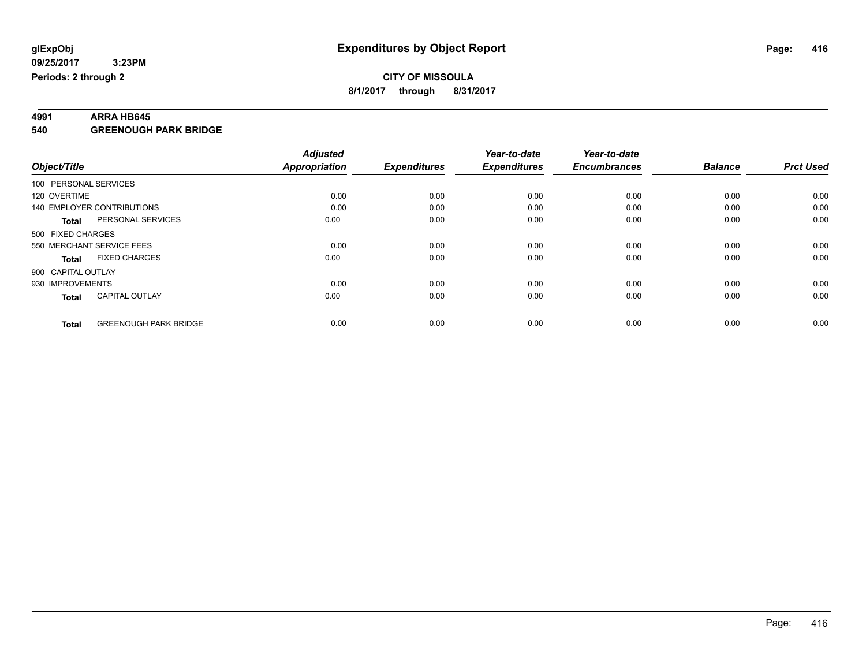**4991 ARRA HB645 540 GREENOUGH PARK BRIDGE**

|                                              | <b>Adjusted</b>      |                     | Year-to-date        | Year-to-date        |                |                  |
|----------------------------------------------|----------------------|---------------------|---------------------|---------------------|----------------|------------------|
| Object/Title                                 | <b>Appropriation</b> | <b>Expenditures</b> | <b>Expenditures</b> | <b>Encumbrances</b> | <b>Balance</b> | <b>Prct Used</b> |
| 100 PERSONAL SERVICES                        |                      |                     |                     |                     |                |                  |
| 120 OVERTIME                                 | 0.00                 | 0.00                | 0.00                | 0.00                | 0.00           | 0.00             |
| 140 EMPLOYER CONTRIBUTIONS                   | 0.00                 | 0.00                | 0.00                | 0.00                | 0.00           | 0.00             |
| PERSONAL SERVICES<br><b>Total</b>            | 0.00                 | 0.00                | 0.00                | 0.00                | 0.00           | 0.00             |
| 500 FIXED CHARGES                            |                      |                     |                     |                     |                |                  |
| 550 MERCHANT SERVICE FEES                    | 0.00                 | 0.00                | 0.00                | 0.00                | 0.00           | 0.00             |
| <b>FIXED CHARGES</b><br><b>Total</b>         | 0.00                 | 0.00                | 0.00                | 0.00                | 0.00           | 0.00             |
| 900 CAPITAL OUTLAY                           |                      |                     |                     |                     |                |                  |
| 930 IMPROVEMENTS                             | 0.00                 | 0.00                | 0.00                | 0.00                | 0.00           | 0.00             |
| <b>CAPITAL OUTLAY</b><br><b>Total</b>        | 0.00                 | 0.00                | 0.00                | 0.00                | 0.00           | 0.00             |
| <b>GREENOUGH PARK BRIDGE</b><br><b>Total</b> | 0.00                 | 0.00                | 0.00                | 0.00                | 0.00           | 0.00             |
|                                              |                      |                     |                     |                     |                |                  |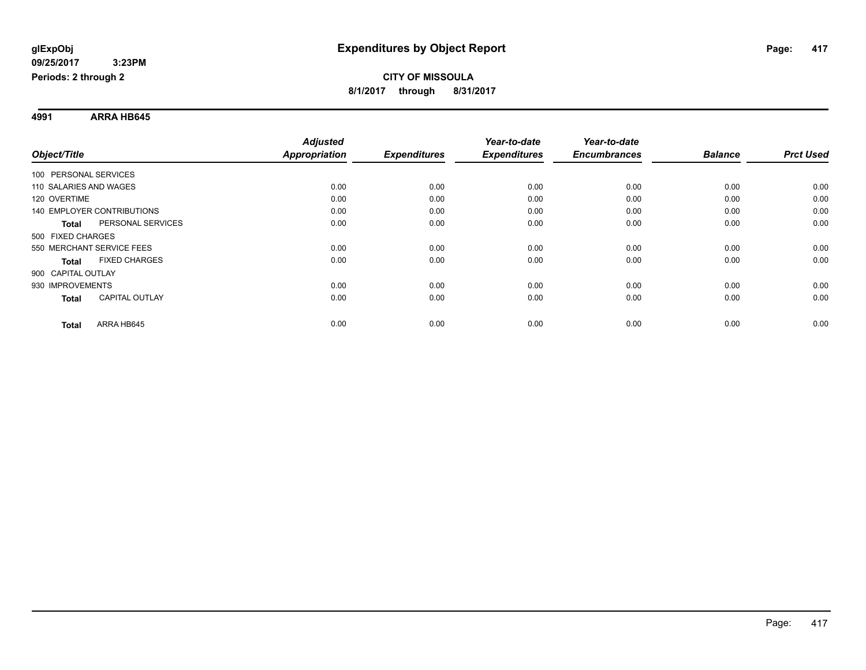**4991 ARRA HB645**

|                                   |                       | <b>Adjusted</b>      |                     | Year-to-date        | Year-to-date        |                |                  |
|-----------------------------------|-----------------------|----------------------|---------------------|---------------------|---------------------|----------------|------------------|
| Object/Title                      |                       | <b>Appropriation</b> | <b>Expenditures</b> | <b>Expenditures</b> | <b>Encumbrances</b> | <b>Balance</b> | <b>Prct Used</b> |
| 100 PERSONAL SERVICES             |                       |                      |                     |                     |                     |                |                  |
| 110 SALARIES AND WAGES            |                       | 0.00                 | 0.00                | 0.00                | 0.00                | 0.00           | 0.00             |
| 120 OVERTIME                      |                       | 0.00                 | 0.00                | 0.00                | 0.00                | 0.00           | 0.00             |
| <b>140 EMPLOYER CONTRIBUTIONS</b> |                       | 0.00                 | 0.00                | 0.00                | 0.00                | 0.00           | 0.00             |
| <b>Total</b>                      | PERSONAL SERVICES     | 0.00                 | 0.00                | 0.00                | 0.00                | 0.00           | 0.00             |
| 500 FIXED CHARGES                 |                       |                      |                     |                     |                     |                |                  |
| 550 MERCHANT SERVICE FEES         |                       | 0.00                 | 0.00                | 0.00                | 0.00                | 0.00           | 0.00             |
| <b>Total</b>                      | <b>FIXED CHARGES</b>  | 0.00                 | 0.00                | 0.00                | 0.00                | 0.00           | 0.00             |
| 900 CAPITAL OUTLAY                |                       |                      |                     |                     |                     |                |                  |
| 930 IMPROVEMENTS                  |                       | 0.00                 | 0.00                | 0.00                | 0.00                | 0.00           | 0.00             |
| <b>Total</b>                      | <b>CAPITAL OUTLAY</b> | 0.00                 | 0.00                | 0.00                | 0.00                | 0.00           | 0.00             |
| <b>Total</b>                      | ARRA HB645            | 0.00                 | 0.00                | 0.00                | 0.00                | 0.00           | 0.00             |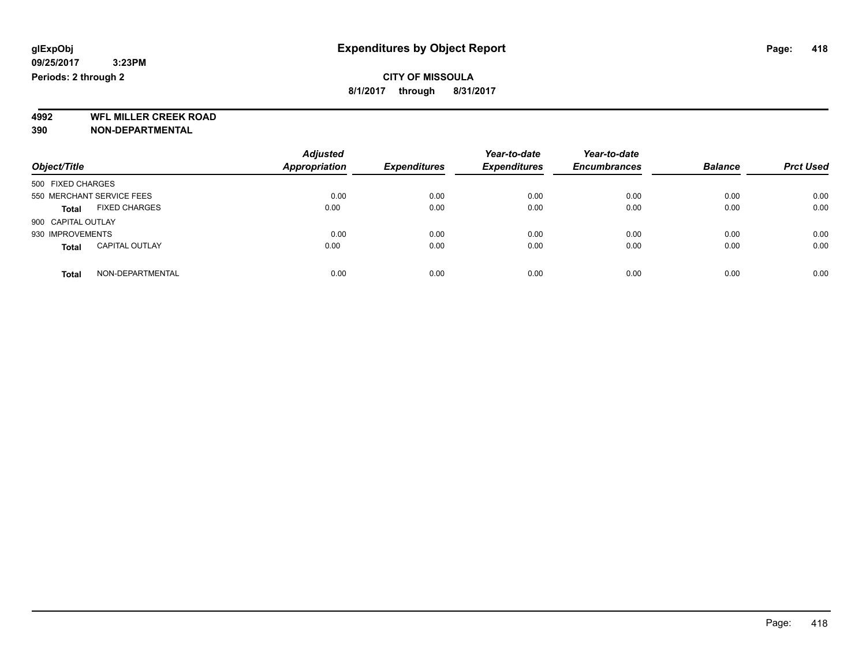**4992 WFL MILLER CREEK ROAD 390 NON-DEPARTMENTAL**

| Object/Title                          | <b>Adjusted</b><br><b>Appropriation</b> | <b>Expenditures</b> | Year-to-date<br><b>Expenditures</b> | Year-to-date<br><b>Encumbrances</b> | <b>Balance</b> | <b>Prct Used</b> |
|---------------------------------------|-----------------------------------------|---------------------|-------------------------------------|-------------------------------------|----------------|------------------|
| 500 FIXED CHARGES                     |                                         |                     |                                     |                                     |                |                  |
| 550 MERCHANT SERVICE FEES             | 0.00                                    | 0.00                | 0.00                                | 0.00                                | 0.00           | 0.00             |
| <b>FIXED CHARGES</b><br><b>Total</b>  | 0.00                                    | 0.00                | 0.00                                | 0.00                                | 0.00           | 0.00             |
| 900 CAPITAL OUTLAY                    |                                         |                     |                                     |                                     |                |                  |
| 930 IMPROVEMENTS                      | 0.00                                    | 0.00                | 0.00                                | 0.00                                | 0.00           | 0.00             |
| <b>CAPITAL OUTLAY</b><br><b>Total</b> | 0.00                                    | 0.00                | 0.00                                | 0.00                                | 0.00           | 0.00             |
| NON-DEPARTMENTAL<br>Total             | 0.00                                    | 0.00                | 0.00                                | 0.00                                | 0.00           | 0.00             |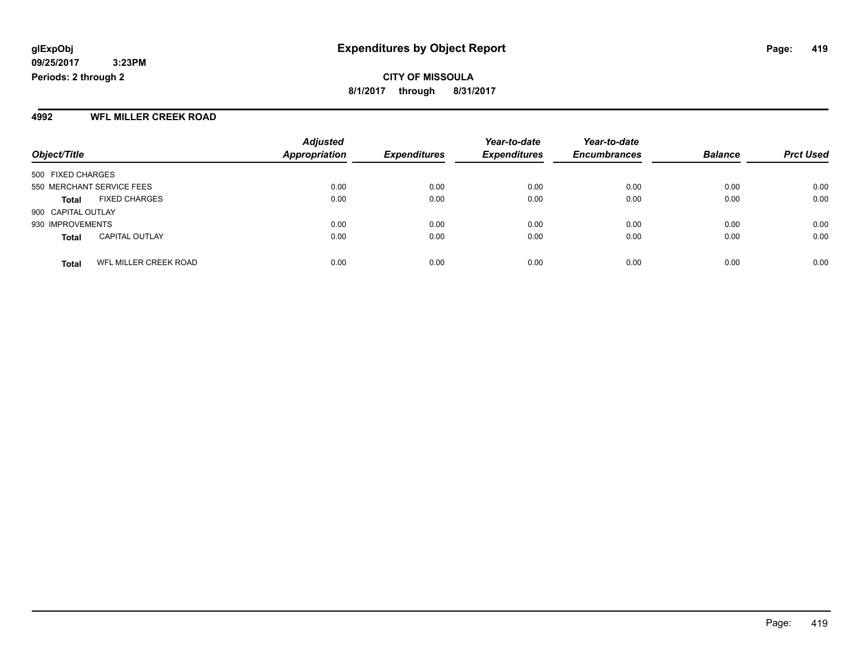#### **4992 WFL MILLER CREEK ROAD**

|                           |                       | <b>Adjusted</b>      |                     | Year-to-date        | Year-to-date        |                |                  |
|---------------------------|-----------------------|----------------------|---------------------|---------------------|---------------------|----------------|------------------|
| Object/Title              |                       | <b>Appropriation</b> | <b>Expenditures</b> | <b>Expenditures</b> | <b>Encumbrances</b> | <b>Balance</b> | <b>Prct Used</b> |
| 500 FIXED CHARGES         |                       |                      |                     |                     |                     |                |                  |
| 550 MERCHANT SERVICE FEES |                       | 0.00                 | 0.00                | 0.00                | 0.00                | 0.00           | 0.00             |
| Total                     | <b>FIXED CHARGES</b>  | 0.00                 | 0.00                | 0.00                | 0.00                | 0.00           | 0.00             |
| 900 CAPITAL OUTLAY        |                       |                      |                     |                     |                     |                |                  |
| 930 IMPROVEMENTS          |                       | 0.00                 | 0.00                | 0.00                | 0.00                | 0.00           | 0.00             |
| <b>Total</b>              | <b>CAPITAL OUTLAY</b> | 0.00                 | 0.00                | 0.00                | 0.00                | 0.00           | 0.00             |
| <b>Total</b>              | WFL MILLER CREEK ROAD | 0.00                 | 0.00                | 0.00                | 0.00                | 0.00           | 0.00             |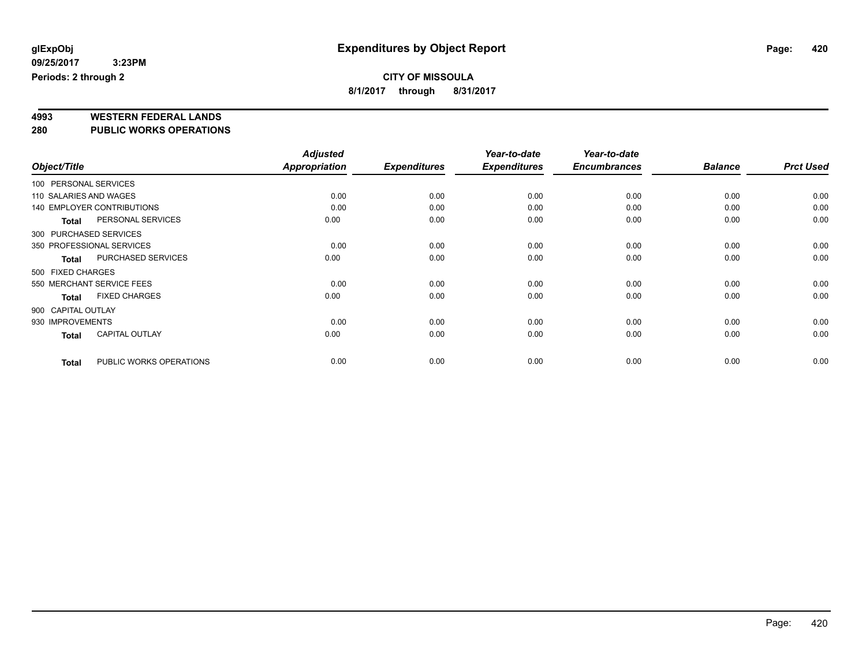### **CITY OF MISSOULA**

**8/1/2017 through 8/31/2017**

# **4993 WESTERN FEDERAL LANDS**

**280 PUBLIC WORKS OPERATIONS**

|                        |                                   | <b>Adjusted</b> |                     | Year-to-date        | Year-to-date        |                |                  |
|------------------------|-----------------------------------|-----------------|---------------------|---------------------|---------------------|----------------|------------------|
| Object/Title           |                                   | Appropriation   | <b>Expenditures</b> | <b>Expenditures</b> | <b>Encumbrances</b> | <b>Balance</b> | <b>Prct Used</b> |
| 100 PERSONAL SERVICES  |                                   |                 |                     |                     |                     |                |                  |
| 110 SALARIES AND WAGES |                                   | 0.00            | 0.00                | 0.00                | 0.00                | 0.00           | 0.00             |
|                        | <b>140 EMPLOYER CONTRIBUTIONS</b> | 0.00            | 0.00                | 0.00                | 0.00                | 0.00           | 0.00             |
| Total                  | PERSONAL SERVICES                 | 0.00            | 0.00                | 0.00                | 0.00                | 0.00           | 0.00             |
|                        | 300 PURCHASED SERVICES            |                 |                     |                     |                     |                |                  |
|                        | 350 PROFESSIONAL SERVICES         | 0.00            | 0.00                | 0.00                | 0.00                | 0.00           | 0.00             |
| <b>Total</b>           | <b>PURCHASED SERVICES</b>         | 0.00            | 0.00                | 0.00                | 0.00                | 0.00           | 0.00             |
| 500 FIXED CHARGES      |                                   |                 |                     |                     |                     |                |                  |
|                        | 550 MERCHANT SERVICE FEES         | 0.00            | 0.00                | 0.00                | 0.00                | 0.00           | 0.00             |
| <b>Total</b>           | <b>FIXED CHARGES</b>              | 0.00            | 0.00                | 0.00                | 0.00                | 0.00           | 0.00             |
| 900 CAPITAL OUTLAY     |                                   |                 |                     |                     |                     |                |                  |
| 930 IMPROVEMENTS       |                                   | 0.00            | 0.00                | 0.00                | 0.00                | 0.00           | 0.00             |
| <b>Total</b>           | <b>CAPITAL OUTLAY</b>             | 0.00            | 0.00                | 0.00                | 0.00                | 0.00           | 0.00             |
| <b>Total</b>           | PUBLIC WORKS OPERATIONS           | 0.00            | 0.00                | 0.00                | 0.00                | 0.00           | 0.00             |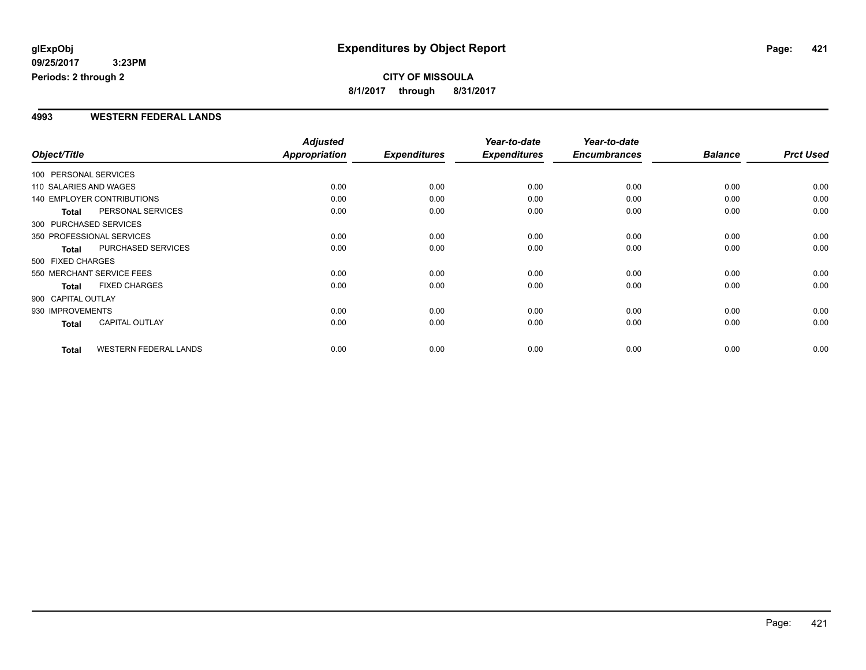### **CITY OF MISSOULA 8/1/2017 through 8/31/2017**

#### **4993 WESTERN FEDERAL LANDS**

|                        |                                   | <b>Adjusted</b> |                     | Year-to-date        | Year-to-date        |                |                  |
|------------------------|-----------------------------------|-----------------|---------------------|---------------------|---------------------|----------------|------------------|
| Object/Title           |                                   | Appropriation   | <b>Expenditures</b> | <b>Expenditures</b> | <b>Encumbrances</b> | <b>Balance</b> | <b>Prct Used</b> |
| 100 PERSONAL SERVICES  |                                   |                 |                     |                     |                     |                |                  |
| 110 SALARIES AND WAGES |                                   | 0.00            | 0.00                | 0.00                | 0.00                | 0.00           | 0.00             |
|                        | <b>140 EMPLOYER CONTRIBUTIONS</b> | 0.00            | 0.00                | 0.00                | 0.00                | 0.00           | 0.00             |
| <b>Total</b>           | PERSONAL SERVICES                 | 0.00            | 0.00                | 0.00                | 0.00                | 0.00           | 0.00             |
| 300 PURCHASED SERVICES |                                   |                 |                     |                     |                     |                |                  |
|                        | 350 PROFESSIONAL SERVICES         | 0.00            | 0.00                | 0.00                | 0.00                | 0.00           | 0.00             |
| <b>Total</b>           | PURCHASED SERVICES                | 0.00            | 0.00                | 0.00                | 0.00                | 0.00           | 0.00             |
| 500 FIXED CHARGES      |                                   |                 |                     |                     |                     |                |                  |
|                        | 550 MERCHANT SERVICE FEES         | 0.00            | 0.00                | 0.00                | 0.00                | 0.00           | 0.00             |
| <b>Total</b>           | <b>FIXED CHARGES</b>              | 0.00            | 0.00                | 0.00                | 0.00                | 0.00           | 0.00             |
| 900 CAPITAL OUTLAY     |                                   |                 |                     |                     |                     |                |                  |
| 930 IMPROVEMENTS       |                                   | 0.00            | 0.00                | 0.00                | 0.00                | 0.00           | 0.00             |
| Total                  | <b>CAPITAL OUTLAY</b>             | 0.00            | 0.00                | 0.00                | 0.00                | 0.00           | 0.00             |
| <b>Total</b>           | <b>WESTERN FEDERAL LANDS</b>      | 0.00            | 0.00                | 0.00                | 0.00                | 0.00           | 0.00             |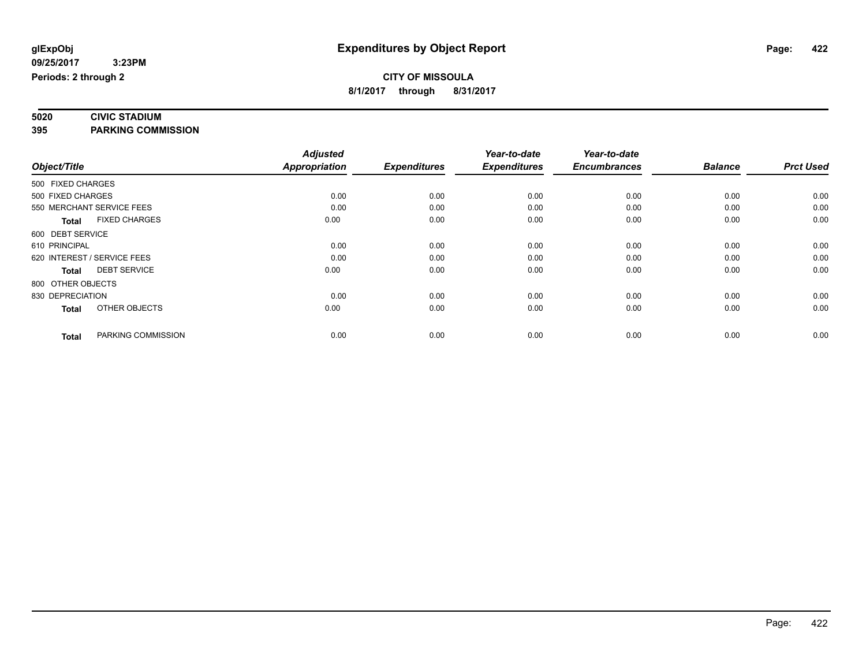# **5020 CIVIC STADIUM**

**395 PARKING COMMISSION**

|                   |                             | <b>Adjusted</b>      |                     | Year-to-date        | Year-to-date        |                |                  |
|-------------------|-----------------------------|----------------------|---------------------|---------------------|---------------------|----------------|------------------|
| Object/Title      |                             | <b>Appropriation</b> | <b>Expenditures</b> | <b>Expenditures</b> | <b>Encumbrances</b> | <b>Balance</b> | <b>Prct Used</b> |
| 500 FIXED CHARGES |                             |                      |                     |                     |                     |                |                  |
| 500 FIXED CHARGES |                             | 0.00                 | 0.00                | 0.00                | 0.00                | 0.00           | 0.00             |
|                   | 550 MERCHANT SERVICE FEES   | 0.00                 | 0.00                | 0.00                | 0.00                | 0.00           | 0.00             |
| <b>Total</b>      | <b>FIXED CHARGES</b>        | 0.00                 | 0.00                | 0.00                | 0.00                | 0.00           | 0.00             |
| 600 DEBT SERVICE  |                             |                      |                     |                     |                     |                |                  |
| 610 PRINCIPAL     |                             | 0.00                 | 0.00                | 0.00                | 0.00                | 0.00           | 0.00             |
|                   | 620 INTEREST / SERVICE FEES | 0.00                 | 0.00                | 0.00                | 0.00                | 0.00           | 0.00             |
| <b>Total</b>      | <b>DEBT SERVICE</b>         | 0.00                 | 0.00                | 0.00                | 0.00                | 0.00           | 0.00             |
| 800 OTHER OBJECTS |                             |                      |                     |                     |                     |                |                  |
| 830 DEPRECIATION  |                             | 0.00                 | 0.00                | 0.00                | 0.00                | 0.00           | 0.00             |
| <b>Total</b>      | OTHER OBJECTS               | 0.00                 | 0.00                | 0.00                | 0.00                | 0.00           | 0.00             |
| <b>Total</b>      | PARKING COMMISSION          | 0.00                 | 0.00                | 0.00                | 0.00                | 0.00           | 0.00             |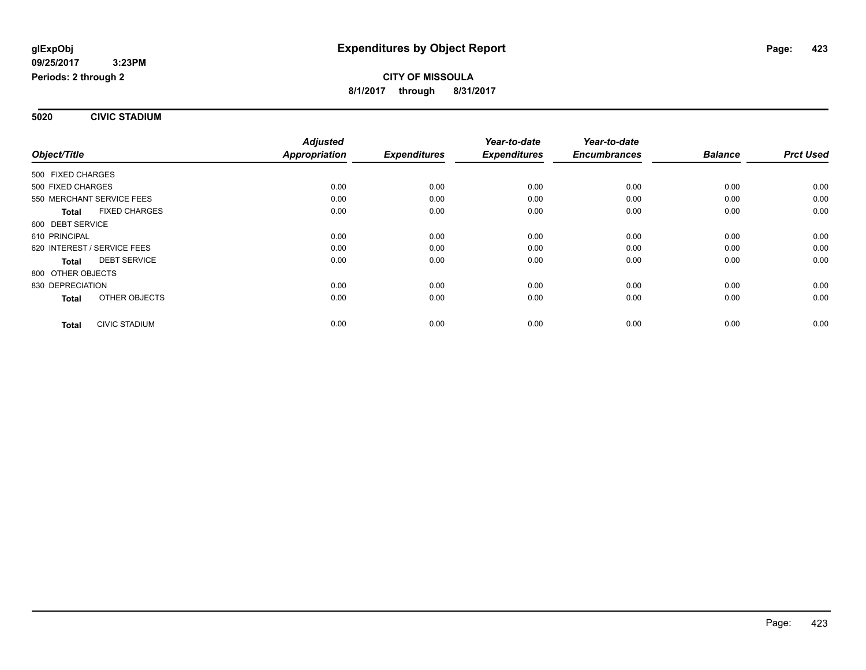**5020 CIVIC STADIUM**

|                                      | <b>Adjusted</b>      |                     | Year-to-date        | Year-to-date        |                |                  |
|--------------------------------------|----------------------|---------------------|---------------------|---------------------|----------------|------------------|
| Object/Title                         | <b>Appropriation</b> | <b>Expenditures</b> | <b>Expenditures</b> | <b>Encumbrances</b> | <b>Balance</b> | <b>Prct Used</b> |
| 500 FIXED CHARGES                    |                      |                     |                     |                     |                |                  |
| 500 FIXED CHARGES                    | 0.00                 | 0.00                | 0.00                | 0.00                | 0.00           | 0.00             |
| 550 MERCHANT SERVICE FEES            | 0.00                 | 0.00                | 0.00                | 0.00                | 0.00           | 0.00             |
| <b>FIXED CHARGES</b><br><b>Total</b> | 0.00                 | 0.00                | 0.00                | 0.00                | 0.00           | 0.00             |
| 600 DEBT SERVICE                     |                      |                     |                     |                     |                |                  |
| 610 PRINCIPAL                        | 0.00                 | 0.00                | 0.00                | 0.00                | 0.00           | 0.00             |
| 620 INTEREST / SERVICE FEES          | 0.00                 | 0.00                | 0.00                | 0.00                | 0.00           | 0.00             |
| <b>DEBT SERVICE</b><br>Total         | 0.00                 | 0.00                | 0.00                | 0.00                | 0.00           | 0.00             |
| 800 OTHER OBJECTS                    |                      |                     |                     |                     |                |                  |
| 830 DEPRECIATION                     | 0.00                 | 0.00                | 0.00                | 0.00                | 0.00           | 0.00             |
| OTHER OBJECTS<br><b>Total</b>        | 0.00                 | 0.00                | 0.00                | 0.00                | 0.00           | 0.00             |
| <b>CIVIC STADIUM</b><br><b>Total</b> | 0.00                 | 0.00                | 0.00                | 0.00                | 0.00           | 0.00             |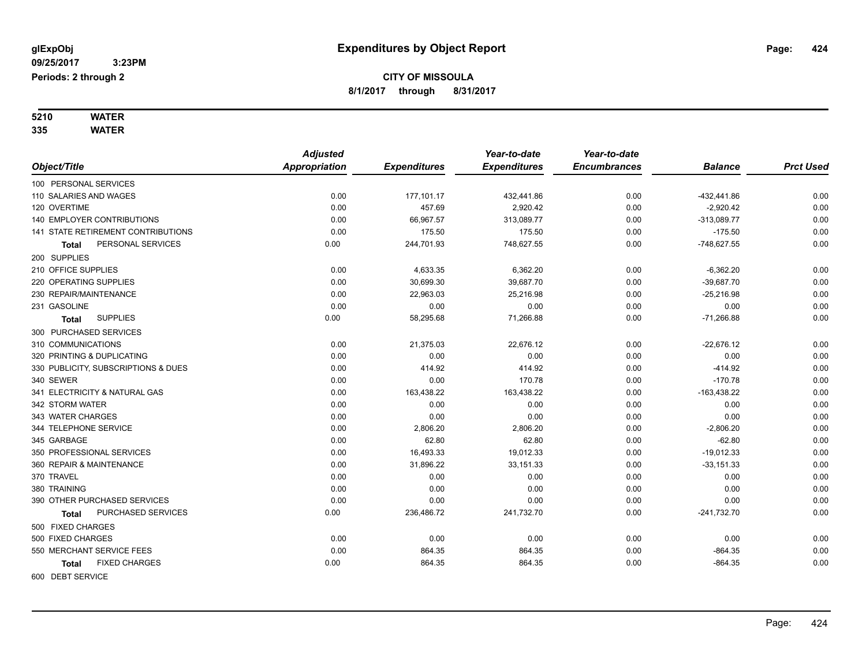# **5210 WATER**

**335 WATER**

|                                     | <b>Adjusted</b> |                     | Year-to-date        | Year-to-date        |                |                  |
|-------------------------------------|-----------------|---------------------|---------------------|---------------------|----------------|------------------|
| Object/Title                        | Appropriation   | <b>Expenditures</b> | <b>Expenditures</b> | <b>Encumbrances</b> | <b>Balance</b> | <b>Prct Used</b> |
| 100 PERSONAL SERVICES               |                 |                     |                     |                     |                |                  |
| 110 SALARIES AND WAGES              | 0.00            | 177,101.17          | 432,441.86          | 0.00                | -432,441.86    | 0.00             |
| 120 OVERTIME                        | 0.00            | 457.69              | 2,920.42            | 0.00                | $-2,920.42$    | 0.00             |
| <b>140 EMPLOYER CONTRIBUTIONS</b>   | 0.00            | 66,967.57           | 313,089.77          | 0.00                | $-313,089.77$  | 0.00             |
| 141 STATE RETIREMENT CONTRIBUTIONS  | 0.00            | 175.50              | 175.50              | 0.00                | $-175.50$      | 0.00             |
| PERSONAL SERVICES<br><b>Total</b>   | 0.00            | 244,701.93          | 748,627.55          | 0.00                | $-748,627.55$  | 0.00             |
| 200 SUPPLIES                        |                 |                     |                     |                     |                |                  |
| 210 OFFICE SUPPLIES                 | 0.00            | 4,633.35            | 6,362.20            | 0.00                | $-6,362.20$    | 0.00             |
| 220 OPERATING SUPPLIES              | 0.00            | 30,699.30           | 39,687.70           | 0.00                | $-39,687.70$   | 0.00             |
| 230 REPAIR/MAINTENANCE              | 0.00            | 22,963.03           | 25,216.98           | 0.00                | $-25,216.98$   | 0.00             |
| 231 GASOLINE                        | 0.00            | 0.00                | 0.00                | 0.00                | 0.00           | 0.00             |
| <b>SUPPLIES</b><br><b>Total</b>     | 0.00            | 58,295.68           | 71,266.88           | 0.00                | $-71,266.88$   | 0.00             |
| 300 PURCHASED SERVICES              |                 |                     |                     |                     |                |                  |
| 310 COMMUNICATIONS                  | 0.00            | 21,375.03           | 22,676.12           | 0.00                | $-22,676.12$   | 0.00             |
| 320 PRINTING & DUPLICATING          | 0.00            | 0.00                | 0.00                | 0.00                | 0.00           | 0.00             |
| 330 PUBLICITY, SUBSCRIPTIONS & DUES | 0.00            | 414.92              | 414.92              | 0.00                | $-414.92$      | 0.00             |
| 340 SEWER                           | 0.00            | 0.00                | 170.78              | 0.00                | $-170.78$      | 0.00             |
| 341 ELECTRICITY & NATURAL GAS       | 0.00            | 163,438.22          | 163,438.22          | 0.00                | $-163,438.22$  | 0.00             |
| 342 STORM WATER                     | 0.00            | 0.00                | 0.00                | 0.00                | 0.00           | 0.00             |
| 343 WATER CHARGES                   | 0.00            | 0.00                | 0.00                | 0.00                | 0.00           | 0.00             |
| 344 TELEPHONE SERVICE               | 0.00            | 2,806.20            | 2,806.20            | 0.00                | $-2,806.20$    | 0.00             |
| 345 GARBAGE                         | 0.00            | 62.80               | 62.80               | 0.00                | $-62.80$       | 0.00             |
| 350 PROFESSIONAL SERVICES           | 0.00            | 16,493.33           | 19,012.33           | 0.00                | $-19,012.33$   | 0.00             |
| 360 REPAIR & MAINTENANCE            | 0.00            | 31,896.22           | 33,151.33           | 0.00                | $-33, 151.33$  | 0.00             |
| 370 TRAVEL                          | 0.00            | 0.00                | 0.00                | 0.00                | 0.00           | 0.00             |
| 380 TRAINING                        | 0.00            | 0.00                | 0.00                | 0.00                | 0.00           | 0.00             |
| 390 OTHER PURCHASED SERVICES        | 0.00            | 0.00                | 0.00                | 0.00                | 0.00           | 0.00             |
| PURCHASED SERVICES<br>Total         | 0.00            | 236,486.72          | 241,732.70          | 0.00                | $-241,732.70$  | 0.00             |
| 500 FIXED CHARGES                   |                 |                     |                     |                     |                |                  |
| 500 FIXED CHARGES                   | 0.00            | 0.00                | 0.00                | 0.00                | 0.00           | 0.00             |
| 550 MERCHANT SERVICE FEES           | 0.00            | 864.35              | 864.35              | 0.00                | $-864.35$      | 0.00             |
| <b>FIXED CHARGES</b><br>Total       | 0.00            | 864.35              | 864.35              | 0.00                | $-864.35$      | 0.00             |
| 600 DEBT SERVICE                    |                 |                     |                     |                     |                |                  |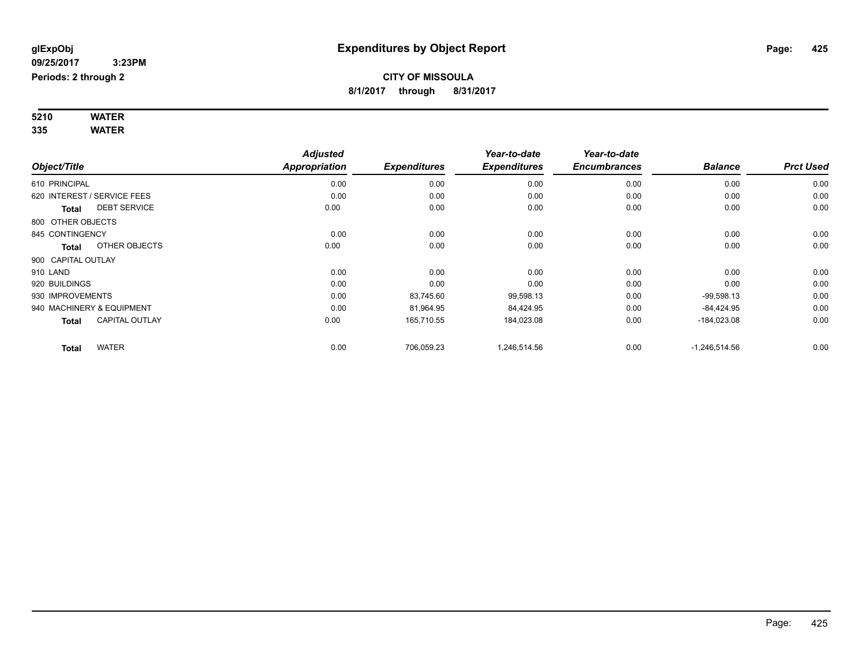#### **5210 WATER 335 WATER**

| Object/Title                |                       | <b>Adjusted</b><br>Appropriation | <b>Expenditures</b> | Year-to-date<br><b>Expenditures</b> | Year-to-date<br><b>Encumbrances</b> | <b>Balance</b>  | <b>Prct Used</b> |
|-----------------------------|-----------------------|----------------------------------|---------------------|-------------------------------------|-------------------------------------|-----------------|------------------|
| 610 PRINCIPAL               |                       | 0.00                             | 0.00                | 0.00                                | 0.00                                | 0.00            | 0.00             |
| 620 INTEREST / SERVICE FEES |                       | 0.00                             | 0.00                | 0.00                                | 0.00                                | 0.00            | 0.00             |
| <b>Total</b>                | <b>DEBT SERVICE</b>   | 0.00                             | 0.00                | 0.00                                | 0.00                                | 0.00            | 0.00             |
| 800 OTHER OBJECTS           |                       |                                  |                     |                                     |                                     |                 |                  |
| 845 CONTINGENCY             |                       | 0.00                             | 0.00                | 0.00                                | 0.00                                | 0.00            | 0.00             |
| <b>Total</b>                | OTHER OBJECTS         | 0.00                             | 0.00                | 0.00                                | 0.00                                | 0.00            | 0.00             |
| 900 CAPITAL OUTLAY          |                       |                                  |                     |                                     |                                     |                 |                  |
| 910 LAND                    |                       | 0.00                             | 0.00                | 0.00                                | 0.00                                | 0.00            | 0.00             |
| 920 BUILDINGS               |                       | 0.00                             | 0.00                | 0.00                                | 0.00                                | 0.00            | 0.00             |
| 930 IMPROVEMENTS            |                       | 0.00                             | 83,745.60           | 99,598.13                           | 0.00                                | $-99,598.13$    | 0.00             |
| 940 MACHINERY & EQUIPMENT   |                       | 0.00                             | 81,964.95           | 84,424.95                           | 0.00                                | $-84,424.95$    | 0.00             |
| <b>Total</b>                | <b>CAPITAL OUTLAY</b> | 0.00                             | 165,710.55          | 184,023.08                          | 0.00                                | $-184,023.08$   | 0.00             |
| <b>Total</b>                | <b>WATER</b>          | 0.00                             | 706,059.23          | 1,246,514.56                        | 0.00                                | $-1,246,514.56$ | 0.00             |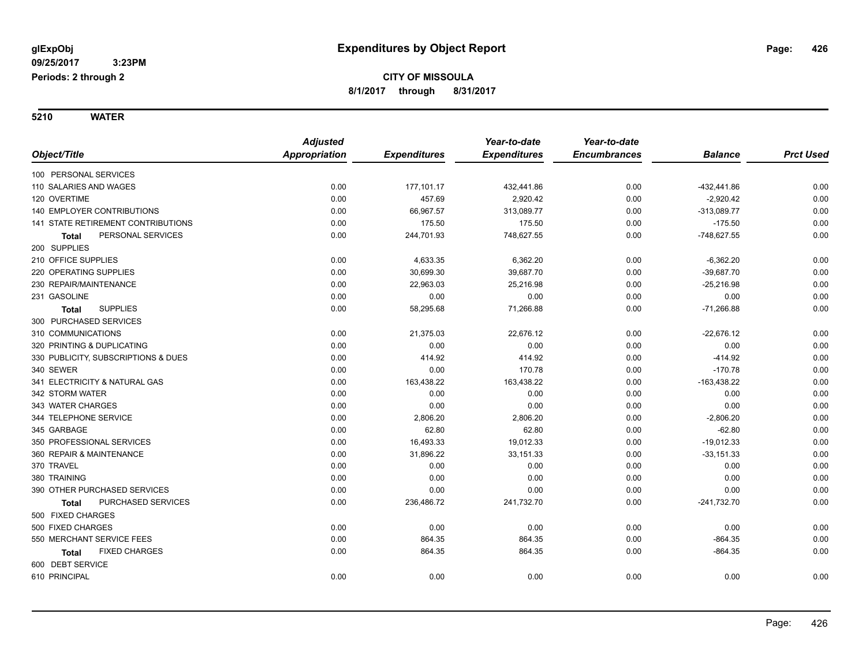**5210 WATER**

|                                     | <b>Adjusted</b>      |                     | Year-to-date        | Year-to-date        |                |                  |
|-------------------------------------|----------------------|---------------------|---------------------|---------------------|----------------|------------------|
| Object/Title                        | <b>Appropriation</b> | <b>Expenditures</b> | <b>Expenditures</b> | <b>Encumbrances</b> | <b>Balance</b> | <b>Prct Used</b> |
| 100 PERSONAL SERVICES               |                      |                     |                     |                     |                |                  |
| 110 SALARIES AND WAGES              | 0.00                 | 177,101.17          | 432,441.86          | 0.00                | $-432, 441.86$ | 0.00             |
| 120 OVERTIME                        | 0.00                 | 457.69              | 2,920.42            | 0.00                | $-2,920.42$    | 0.00             |
| <b>140 EMPLOYER CONTRIBUTIONS</b>   | 0.00                 | 66,967.57           | 313,089.77          | 0.00                | $-313,089.77$  | 0.00             |
| 141 STATE RETIREMENT CONTRIBUTIONS  | 0.00                 | 175.50              | 175.50              | 0.00                | $-175.50$      | 0.00             |
| PERSONAL SERVICES<br>Total          | 0.00                 | 244,701.93          | 748,627.55          | 0.00                | $-748,627.55$  | 0.00             |
| 200 SUPPLIES                        |                      |                     |                     |                     |                |                  |
| 210 OFFICE SUPPLIES                 | 0.00                 | 4,633.35            | 6,362.20            | 0.00                | $-6,362.20$    | 0.00             |
| 220 OPERATING SUPPLIES              | 0.00                 | 30,699.30           | 39,687.70           | 0.00                | $-39,687.70$   | 0.00             |
| 230 REPAIR/MAINTENANCE              | 0.00                 | 22,963.03           | 25,216.98           | 0.00                | $-25,216.98$   | 0.00             |
| 231 GASOLINE                        | 0.00                 | 0.00                | 0.00                | 0.00                | 0.00           | 0.00             |
| <b>SUPPLIES</b><br><b>Total</b>     | 0.00                 | 58,295.68           | 71,266.88           | 0.00                | $-71,266.88$   | 0.00             |
| 300 PURCHASED SERVICES              |                      |                     |                     |                     |                |                  |
| 310 COMMUNICATIONS                  | 0.00                 | 21,375.03           | 22,676.12           | 0.00                | $-22,676.12$   | 0.00             |
| 320 PRINTING & DUPLICATING          | 0.00                 | 0.00                | 0.00                | 0.00                | 0.00           | 0.00             |
| 330 PUBLICITY, SUBSCRIPTIONS & DUES | 0.00                 | 414.92              | 414.92              | 0.00                | $-414.92$      | 0.00             |
| 340 SEWER                           | 0.00                 | 0.00                | 170.78              | 0.00                | $-170.78$      | 0.00             |
| 341 ELECTRICITY & NATURAL GAS       | 0.00                 | 163,438.22          | 163,438.22          | 0.00                | $-163,438.22$  | 0.00             |
| 342 STORM WATER                     | 0.00                 | 0.00                | 0.00                | 0.00                | 0.00           | 0.00             |
| 343 WATER CHARGES                   | 0.00                 | 0.00                | 0.00                | 0.00                | 0.00           | 0.00             |
| 344 TELEPHONE SERVICE               | 0.00                 | 2,806.20            | 2,806.20            | 0.00                | $-2,806.20$    | 0.00             |
| 345 GARBAGE                         | 0.00                 | 62.80               | 62.80               | 0.00                | $-62.80$       | 0.00             |
| 350 PROFESSIONAL SERVICES           | 0.00                 | 16,493.33           | 19,012.33           | 0.00                | $-19,012.33$   | 0.00             |
| 360 REPAIR & MAINTENANCE            | 0.00                 | 31,896.22           | 33,151.33           | 0.00                | $-33,151.33$   | 0.00             |
| 370 TRAVEL                          | 0.00                 | 0.00                | 0.00                | 0.00                | 0.00           | 0.00             |
| 380 TRAINING                        | 0.00                 | 0.00                | 0.00                | 0.00                | 0.00           | 0.00             |
| 390 OTHER PURCHASED SERVICES        | 0.00                 | 0.00                | 0.00                | 0.00                | 0.00           | 0.00             |
| PURCHASED SERVICES<br>Total         | 0.00                 | 236,486.72          | 241,732.70          | 0.00                | $-241,732.70$  | 0.00             |
| 500 FIXED CHARGES                   |                      |                     |                     |                     |                |                  |
| 500 FIXED CHARGES                   | 0.00                 | 0.00                | 0.00                | 0.00                | 0.00           | 0.00             |
| 550 MERCHANT SERVICE FEES           | 0.00                 | 864.35              | 864.35              | 0.00                | $-864.35$      | 0.00             |
| <b>FIXED CHARGES</b><br>Total       | 0.00                 | 864.35              | 864.35              | 0.00                | $-864.35$      | 0.00             |
| 600 DEBT SERVICE                    |                      |                     |                     |                     |                |                  |
| 610 PRINCIPAL                       | 0.00                 | 0.00                | 0.00                | 0.00                | 0.00           | 0.00             |
|                                     |                      |                     |                     |                     |                |                  |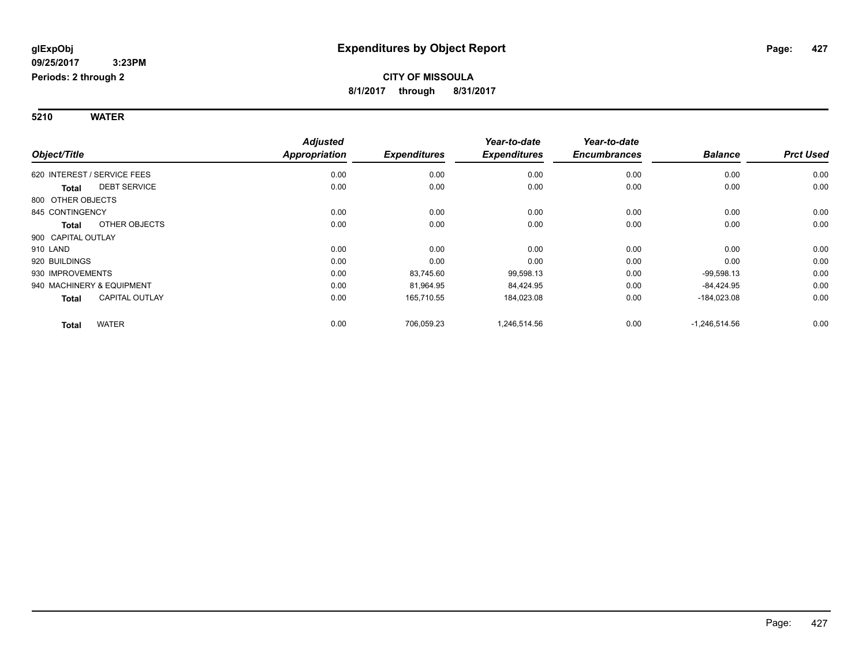#### **5210 WATER**

|                                       | <b>Adjusted</b> |                     | Year-to-date        | Year-to-date        |                 |                  |
|---------------------------------------|-----------------|---------------------|---------------------|---------------------|-----------------|------------------|
| Object/Title                          | Appropriation   | <b>Expenditures</b> | <b>Expenditures</b> | <b>Encumbrances</b> | <b>Balance</b>  | <b>Prct Used</b> |
| 620 INTEREST / SERVICE FEES           | 0.00            | 0.00                | 0.00                | 0.00                | 0.00            | 0.00             |
| <b>DEBT SERVICE</b><br><b>Total</b>   | 0.00            | 0.00                | 0.00                | 0.00                | 0.00            | 0.00             |
| 800 OTHER OBJECTS                     |                 |                     |                     |                     |                 |                  |
| 845 CONTINGENCY                       | 0.00            | 0.00                | 0.00                | 0.00                | 0.00            | 0.00             |
| OTHER OBJECTS<br><b>Total</b>         | 0.00            | 0.00                | 0.00                | 0.00                | 0.00            | 0.00             |
| 900 CAPITAL OUTLAY                    |                 |                     |                     |                     |                 |                  |
| 910 LAND                              | 0.00            | 0.00                | 0.00                | 0.00                | 0.00            | 0.00             |
| 920 BUILDINGS                         | 0.00            | 0.00                | 0.00                | 0.00                | 0.00            | 0.00             |
| 930 IMPROVEMENTS                      | 0.00            | 83,745.60           | 99,598.13           | 0.00                | $-99,598.13$    | 0.00             |
| 940 MACHINERY & EQUIPMENT             | 0.00            | 81,964.95           | 84,424.95           | 0.00                | $-84,424.95$    | 0.00             |
| <b>CAPITAL OUTLAY</b><br><b>Total</b> | 0.00            | 165,710.55          | 184,023.08          | 0.00                | $-184,023.08$   | 0.00             |
| <b>WATER</b><br><b>Total</b>          | 0.00            | 706,059.23          | 1,246,514.56        | 0.00                | $-1,246,514.56$ | 0.00             |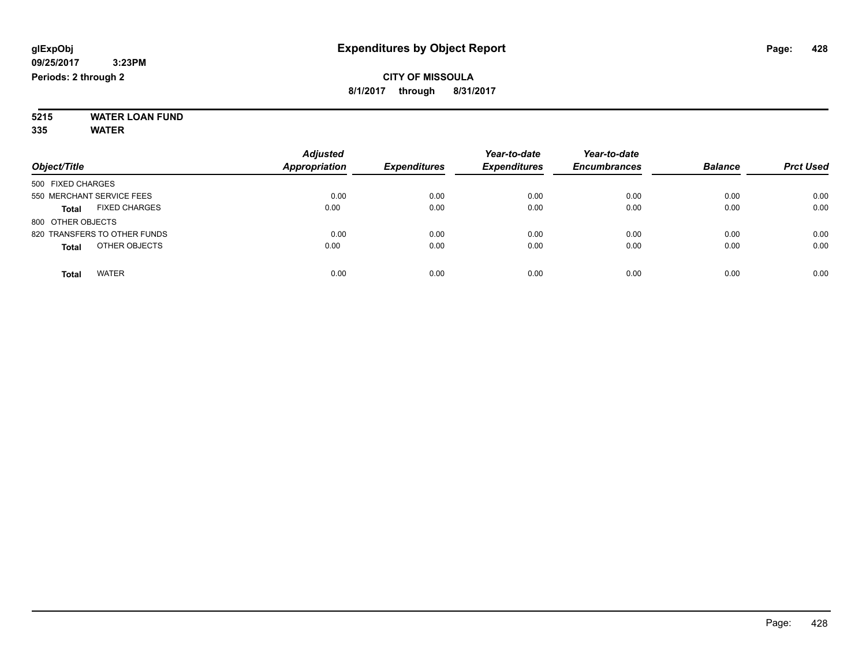#### **5215 WATER LOAN FUND 335 WATER**

|                                      | <b>Adjusted</b>      |                     | Year-to-date        | Year-to-date        |                |                  |
|--------------------------------------|----------------------|---------------------|---------------------|---------------------|----------------|------------------|
| Object/Title                         | <b>Appropriation</b> | <b>Expenditures</b> | <b>Expenditures</b> | <b>Encumbrances</b> | <b>Balance</b> | <b>Prct Used</b> |
| 500 FIXED CHARGES                    |                      |                     |                     |                     |                |                  |
| 550 MERCHANT SERVICE FEES            | 0.00                 | 0.00                | 0.00                | 0.00                | 0.00           | 0.00             |
| <b>FIXED CHARGES</b><br><b>Total</b> | 0.00                 | 0.00                | 0.00                | 0.00                | 0.00           | 0.00             |
| 800 OTHER OBJECTS                    |                      |                     |                     |                     |                |                  |
| 820 TRANSFERS TO OTHER FUNDS         | 0.00                 | 0.00                | 0.00                | 0.00                | 0.00           | 0.00             |
| OTHER OBJECTS<br><b>Total</b>        | 0.00                 | 0.00                | 0.00                | 0.00                | 0.00           | 0.00             |
| <b>WATER</b><br>Total                | 0.00                 | 0.00                | 0.00                | 0.00                | 0.00           | 0.00             |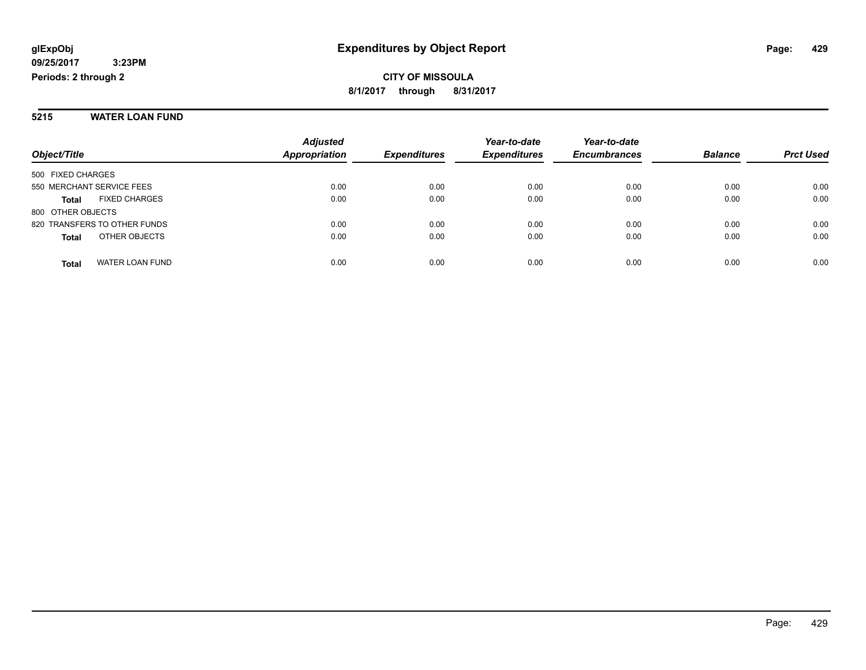#### **5215 WATER LOAN FUND**

|                                        | <b>Adjusted</b>      |                     | Year-to-date        | Year-to-date        |                |                  |
|----------------------------------------|----------------------|---------------------|---------------------|---------------------|----------------|------------------|
| Object/Title                           | <b>Appropriation</b> | <b>Expenditures</b> | <b>Expenditures</b> | <b>Encumbrances</b> | <b>Balance</b> | <b>Prct Used</b> |
| 500 FIXED CHARGES                      |                      |                     |                     |                     |                |                  |
| 550 MERCHANT SERVICE FEES              | 0.00                 | 0.00                | 0.00                | 0.00                | 0.00           | 0.00             |
| <b>FIXED CHARGES</b><br><b>Total</b>   | 0.00                 | 0.00                | 0.00                | 0.00                | 0.00           | 0.00             |
| 800 OTHER OBJECTS                      |                      |                     |                     |                     |                |                  |
| 820 TRANSFERS TO OTHER FUNDS           | 0.00                 | 0.00                | 0.00                | 0.00                | 0.00           | 0.00             |
| OTHER OBJECTS<br><b>Total</b>          | 0.00                 | 0.00                | 0.00                | 0.00                | 0.00           | 0.00             |
| <b>WATER LOAN FUND</b><br><b>Total</b> | 0.00                 | 0.00                | 0.00                | 0.00                | 0.00           | 0.00             |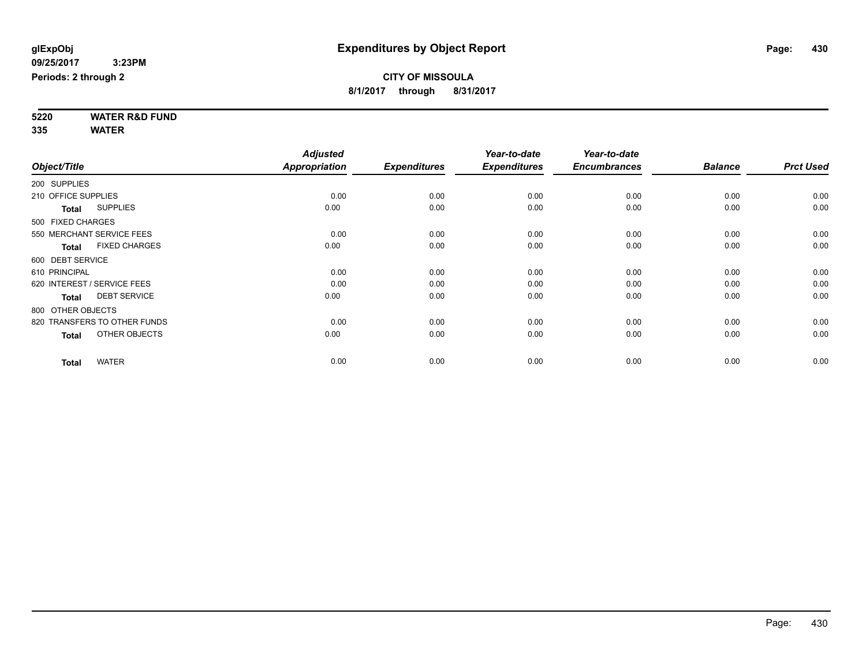**5220 WATER R&D FUND 335 WATER**

|                     |                              | <b>Adjusted</b>      |                     | Year-to-date        | Year-to-date        |                |                  |
|---------------------|------------------------------|----------------------|---------------------|---------------------|---------------------|----------------|------------------|
| Object/Title        |                              | <b>Appropriation</b> | <b>Expenditures</b> | <b>Expenditures</b> | <b>Encumbrances</b> | <b>Balance</b> | <b>Prct Used</b> |
| 200 SUPPLIES        |                              |                      |                     |                     |                     |                |                  |
| 210 OFFICE SUPPLIES |                              | 0.00                 | 0.00                | 0.00                | 0.00                | 0.00           | 0.00             |
| <b>Total</b>        | <b>SUPPLIES</b>              | 0.00                 | 0.00                | 0.00                | 0.00                | 0.00           | 0.00             |
| 500 FIXED CHARGES   |                              |                      |                     |                     |                     |                |                  |
|                     | 550 MERCHANT SERVICE FEES    | 0.00                 | 0.00                | 0.00                | 0.00                | 0.00           | 0.00             |
| <b>Total</b>        | <b>FIXED CHARGES</b>         | 0.00                 | 0.00                | 0.00                | 0.00                | 0.00           | 0.00             |
| 600 DEBT SERVICE    |                              |                      |                     |                     |                     |                |                  |
| 610 PRINCIPAL       |                              | 0.00                 | 0.00                | 0.00                | 0.00                | 0.00           | 0.00             |
|                     | 620 INTEREST / SERVICE FEES  | 0.00                 | 0.00                | 0.00                | 0.00                | 0.00           | 0.00             |
| <b>Total</b>        | <b>DEBT SERVICE</b>          | 0.00                 | 0.00                | 0.00                | 0.00                | 0.00           | 0.00             |
| 800 OTHER OBJECTS   |                              |                      |                     |                     |                     |                |                  |
|                     | 820 TRANSFERS TO OTHER FUNDS | 0.00                 | 0.00                | 0.00                | 0.00                | 0.00           | 0.00             |
| <b>Total</b>        | OTHER OBJECTS                | 0.00                 | 0.00                | 0.00                | 0.00                | 0.00           | 0.00             |
| <b>Total</b>        | <b>WATER</b>                 | 0.00                 | 0.00                | 0.00                | 0.00                | 0.00           | 0.00             |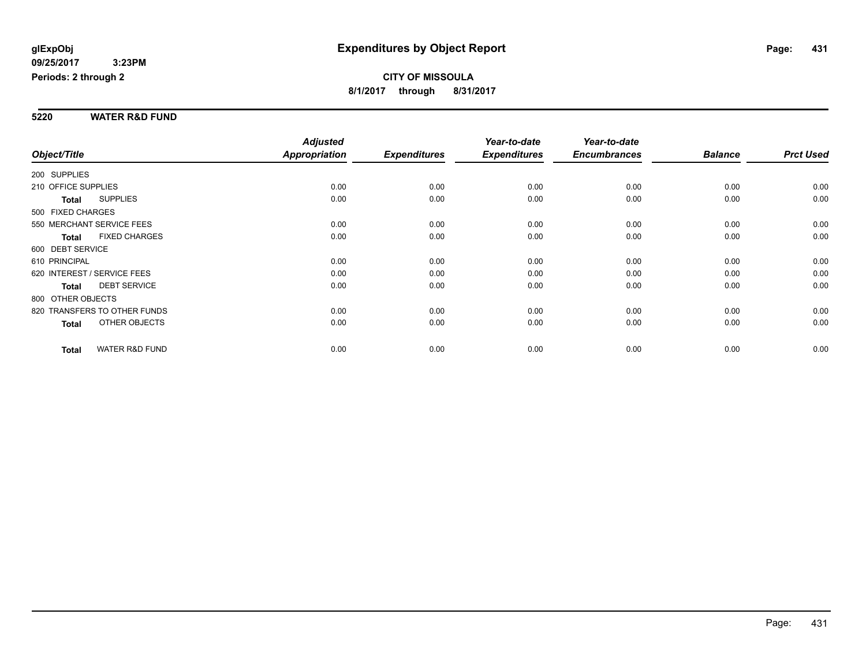#### **5220 WATER R&D FUND**

|                                           | <b>Adjusted</b>      |                     | Year-to-date        | Year-to-date        |                |                  |
|-------------------------------------------|----------------------|---------------------|---------------------|---------------------|----------------|------------------|
| Object/Title                              | <b>Appropriation</b> | <b>Expenditures</b> | <b>Expenditures</b> | <b>Encumbrances</b> | <b>Balance</b> | <b>Prct Used</b> |
| 200 SUPPLIES                              |                      |                     |                     |                     |                |                  |
| 210 OFFICE SUPPLIES                       | 0.00                 | 0.00                | 0.00                | 0.00                | 0.00           | 0.00             |
| <b>SUPPLIES</b><br><b>Total</b>           | 0.00                 | 0.00                | 0.00                | 0.00                | 0.00           | 0.00             |
| 500 FIXED CHARGES                         |                      |                     |                     |                     |                |                  |
| 550 MERCHANT SERVICE FEES                 | 0.00                 | 0.00                | 0.00                | 0.00                | 0.00           | 0.00             |
| <b>FIXED CHARGES</b><br><b>Total</b>      | 0.00                 | 0.00                | 0.00                | 0.00                | 0.00           | 0.00             |
| 600 DEBT SERVICE                          |                      |                     |                     |                     |                |                  |
| 610 PRINCIPAL                             | 0.00                 | 0.00                | 0.00                | 0.00                | 0.00           | 0.00             |
| 620 INTEREST / SERVICE FEES               | 0.00                 | 0.00                | 0.00                | 0.00                | 0.00           | 0.00             |
| <b>DEBT SERVICE</b><br><b>Total</b>       | 0.00                 | 0.00                | 0.00                | 0.00                | 0.00           | 0.00             |
| 800 OTHER OBJECTS                         |                      |                     |                     |                     |                |                  |
| 820 TRANSFERS TO OTHER FUNDS              | 0.00                 | 0.00                | 0.00                | 0.00                | 0.00           | 0.00             |
| <b>OTHER OBJECTS</b><br><b>Total</b>      | 0.00                 | 0.00                | 0.00                | 0.00                | 0.00           | 0.00             |
| <b>WATER R&amp;D FUND</b><br><b>Total</b> | 0.00                 | 0.00                | 0.00                | 0.00                | 0.00           | 0.00             |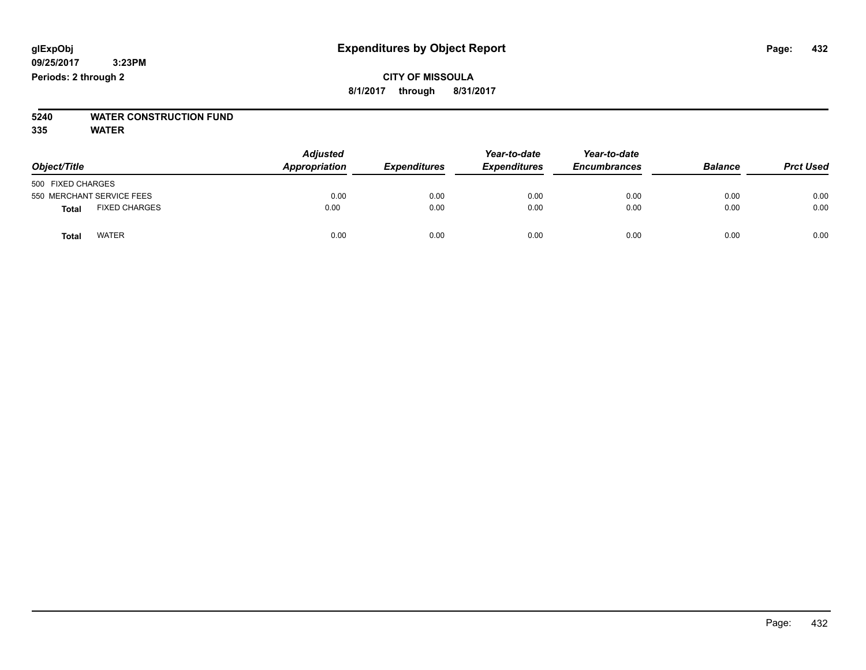# **5240 WATER CONSTRUCTION FUND**

**335 WATER**

| Object/Title                         | <b>Adjusted</b><br>Appropriation<br><b>Expenditures</b> | Year-to-date<br><b>Expenditures</b> | Year-to-date<br><b>Encumbrances</b> | <b>Balance</b> | <b>Prct Used</b> |      |
|--------------------------------------|---------------------------------------------------------|-------------------------------------|-------------------------------------|----------------|------------------|------|
| 500 FIXED CHARGES                    |                                                         |                                     |                                     |                |                  |      |
| 550 MERCHANT SERVICE FEES            | 0.00                                                    | 0.00                                | 0.00                                | 0.00           | 0.00             | 0.00 |
| <b>FIXED CHARGES</b><br><b>Total</b> | 0.00                                                    | 0.00                                | 0.00                                | 0.00           | 0.00             | 0.00 |
| <b>WATER</b><br>Total                | 0.00                                                    | 0.00                                | 0.00                                | 0.00           | 0.00             | 0.00 |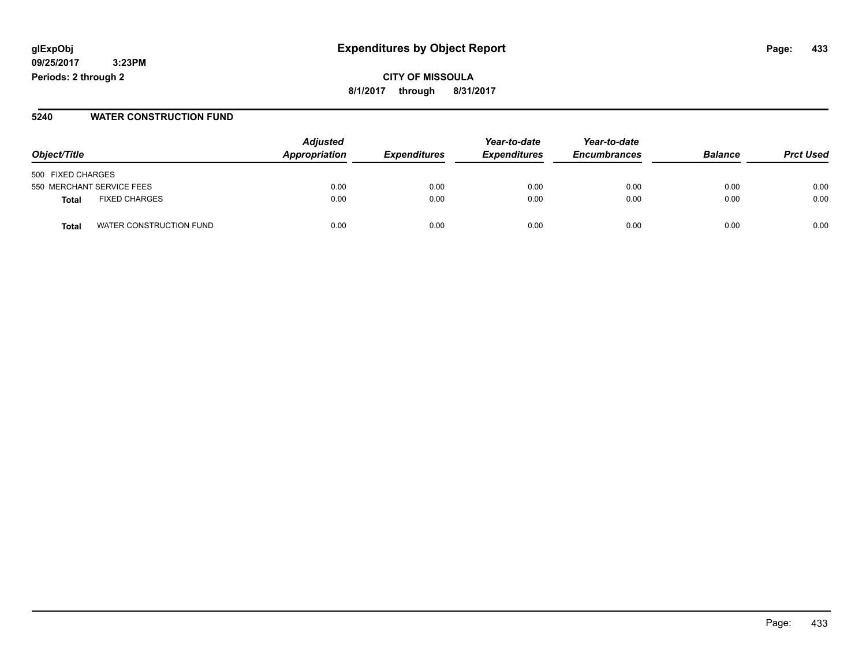**CITY OF MISSOULA 8/1/2017 through 8/31/2017**

#### **5240 WATER CONSTRUCTION FUND**

| Object/Title                     | <b>Adjusted</b><br>Appropriation | <i><b>Expenditures</b></i> | Year-to-date<br><b>Expenditures</b> | Year-to-date<br><b>Encumbrances</b> | <b>Balance</b> | <b>Prct Used</b> |
|----------------------------------|----------------------------------|----------------------------|-------------------------------------|-------------------------------------|----------------|------------------|
|                                  |                                  |                            |                                     |                                     |                |                  |
| 500 FIXED CHARGES                |                                  |                            |                                     |                                     |                |                  |
| 550 MERCHANT SERVICE FEES        | 0.00                             | 0.00                       | 0.00                                | 0.00                                | 0.00           | 0.00             |
| <b>FIXED CHARGES</b><br>Total    | 0.00                             | 0.00                       | 0.00                                | 0.00                                | 0.00           | 0.00             |
| WATER CONSTRUCTION FUND<br>Total | 0.00                             | 0.00                       | 0.00                                | 0.00                                | 0.00           | 0.00             |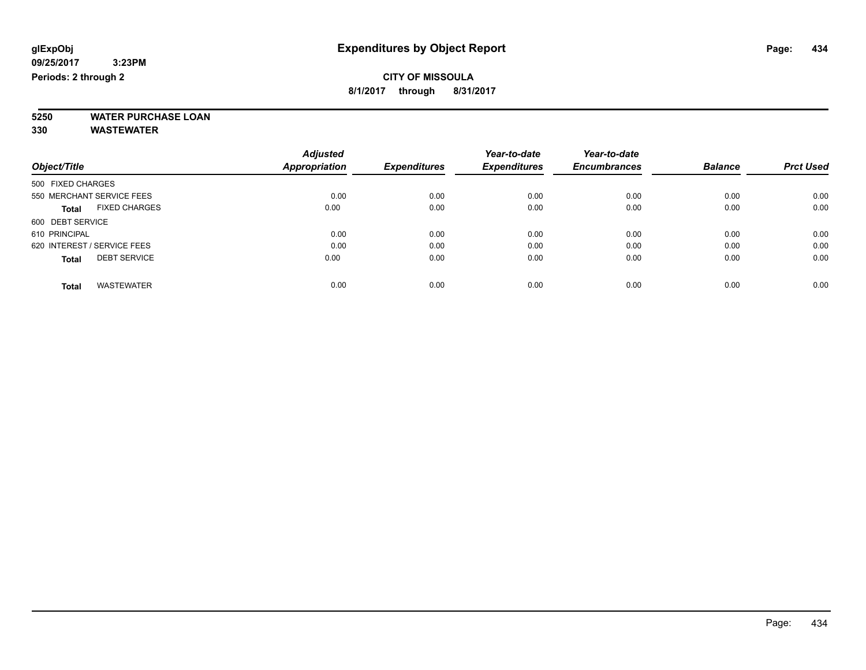#### **CITY OF MISSOULA 8/1/2017 through 8/31/2017**

**5250 WATER PURCHASE LOAN**

|                                      | <b>Adjusted</b>      |                     | Year-to-date        | Year-to-date        |                |                  |
|--------------------------------------|----------------------|---------------------|---------------------|---------------------|----------------|------------------|
| Object/Title                         | <b>Appropriation</b> | <b>Expenditures</b> | <b>Expenditures</b> | <b>Encumbrances</b> | <b>Balance</b> | <b>Prct Used</b> |
| 500 FIXED CHARGES                    |                      |                     |                     |                     |                |                  |
| 550 MERCHANT SERVICE FEES            | 0.00                 | 0.00                | 0.00                | 0.00                | 0.00           | 0.00             |
| <b>FIXED CHARGES</b><br><b>Total</b> | 0.00                 | 0.00                | 0.00                | 0.00                | 0.00           | 0.00             |
| 600 DEBT SERVICE                     |                      |                     |                     |                     |                |                  |
| 610 PRINCIPAL                        | 0.00                 | 0.00                | 0.00                | 0.00                | 0.00           | 0.00             |
| 620 INTEREST / SERVICE FEES          | 0.00                 | 0.00                | 0.00                | 0.00                | 0.00           | 0.00             |
| <b>DEBT SERVICE</b><br><b>Total</b>  | 0.00                 | 0.00                | 0.00                | 0.00                | 0.00           | 0.00             |
| <b>WASTEWATER</b><br><b>Total</b>    | 0.00                 | 0.00                | 0.00                | 0.00                | 0.00           | 0.00             |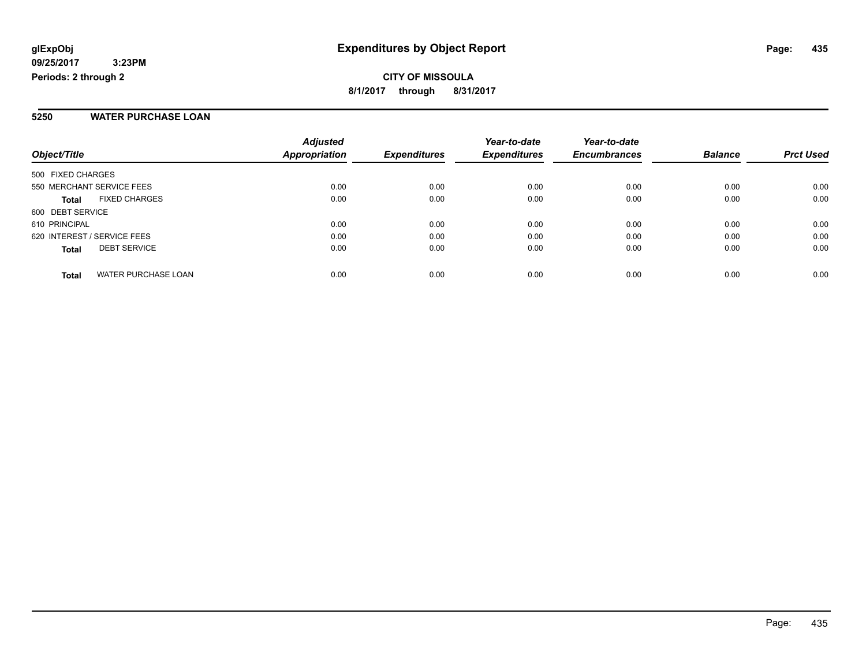**CITY OF MISSOULA 8/1/2017 through 8/31/2017**

#### **5250 WATER PURCHASE LOAN**

| Object/Title                               | <b>Adjusted</b><br><b>Appropriation</b> | <b>Expenditures</b> | Year-to-date<br><b>Expenditures</b> | Year-to-date<br><b>Encumbrances</b> | <b>Balance</b> | <b>Prct Used</b> |
|--------------------------------------------|-----------------------------------------|---------------------|-------------------------------------|-------------------------------------|----------------|------------------|
| 500 FIXED CHARGES                          |                                         |                     |                                     |                                     |                |                  |
| 550 MERCHANT SERVICE FEES                  | 0.00                                    | 0.00                | 0.00                                | 0.00                                | 0.00           | 0.00             |
| <b>FIXED CHARGES</b><br><b>Total</b>       | 0.00                                    | 0.00                | 0.00                                | 0.00                                | 0.00           | 0.00             |
| 600 DEBT SERVICE                           |                                         |                     |                                     |                                     |                |                  |
| 610 PRINCIPAL                              | 0.00                                    | 0.00                | 0.00                                | 0.00                                | 0.00           | 0.00             |
| 620 INTEREST / SERVICE FEES                | 0.00                                    | 0.00                | 0.00                                | 0.00                                | 0.00           | 0.00             |
| <b>DEBT SERVICE</b><br><b>Total</b>        | 0.00                                    | 0.00                | 0.00                                | 0.00                                | 0.00           | 0.00             |
| <b>WATER PURCHASE LOAN</b><br><b>Total</b> | 0.00                                    | 0.00                | 0.00                                | 0.00                                | 0.00           | 0.00             |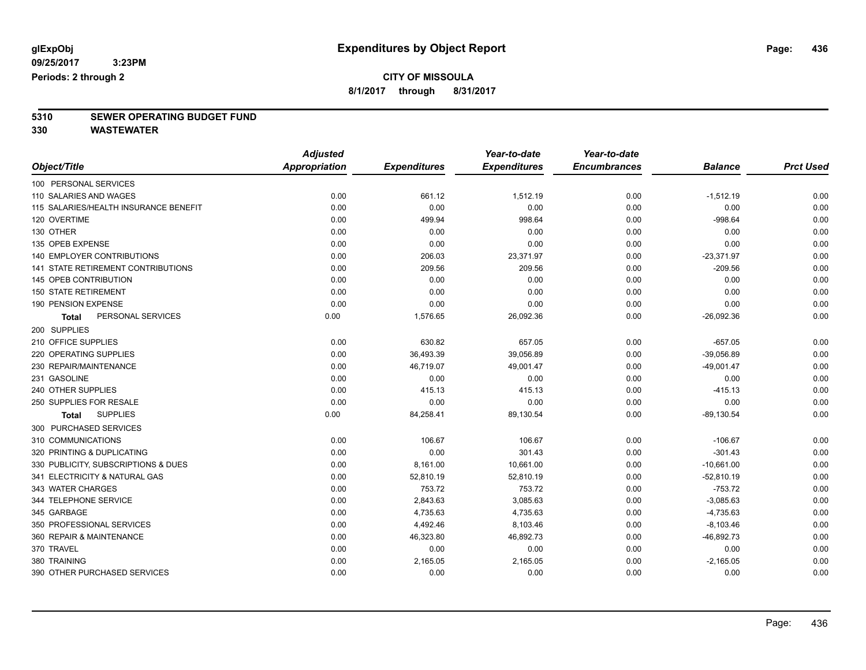### **CITY OF MISSOULA**

**8/1/2017 through 8/31/2017**

# **5310 SEWER OPERATING BUDGET FUND**

|                                           | <b>Adjusted</b>      |                     | Year-to-date        | Year-to-date        |                |                  |
|-------------------------------------------|----------------------|---------------------|---------------------|---------------------|----------------|------------------|
| Object/Title                              | <b>Appropriation</b> | <b>Expenditures</b> | <b>Expenditures</b> | <b>Encumbrances</b> | <b>Balance</b> | <b>Prct Used</b> |
| 100 PERSONAL SERVICES                     |                      |                     |                     |                     |                |                  |
| 110 SALARIES AND WAGES                    | 0.00                 | 661.12              | 1,512.19            | 0.00                | $-1,512.19$    | 0.00             |
| 115 SALARIES/HEALTH INSURANCE BENEFIT     | 0.00                 | 0.00                | 0.00                | 0.00                | 0.00           | 0.00             |
| 120 OVERTIME                              | 0.00                 | 499.94              | 998.64              | 0.00                | $-998.64$      | 0.00             |
| 130 OTHER                                 | 0.00                 | 0.00                | 0.00                | 0.00                | 0.00           | 0.00             |
| 135 OPEB EXPENSE                          | 0.00                 | 0.00                | 0.00                | 0.00                | 0.00           | 0.00             |
| 140 EMPLOYER CONTRIBUTIONS                | 0.00                 | 206.03              | 23,371.97           | 0.00                | $-23,371.97$   | 0.00             |
| <b>141 STATE RETIREMENT CONTRIBUTIONS</b> | 0.00                 | 209.56              | 209.56              | 0.00                | $-209.56$      | 0.00             |
| 145 OPEB CONTRIBUTION                     | 0.00                 | 0.00                | 0.00                | 0.00                | 0.00           | 0.00             |
| <b>150 STATE RETIREMENT</b>               | 0.00                 | 0.00                | 0.00                | 0.00                | 0.00           | 0.00             |
| 190 PENSION EXPENSE                       | 0.00                 | 0.00                | 0.00                | 0.00                | 0.00           | 0.00             |
| PERSONAL SERVICES<br><b>Total</b>         | 0.00                 | 1,576.65            | 26,092.36           | 0.00                | $-26,092.36$   | 0.00             |
| 200 SUPPLIES                              |                      |                     |                     |                     |                |                  |
| 210 OFFICE SUPPLIES                       | 0.00                 | 630.82              | 657.05              | 0.00                | $-657.05$      | 0.00             |
| 220 OPERATING SUPPLIES                    | 0.00                 | 36,493.39           | 39,056.89           | 0.00                | $-39,056.89$   | 0.00             |
| 230 REPAIR/MAINTENANCE                    | 0.00                 | 46,719.07           | 49,001.47           | 0.00                | $-49,001.47$   | 0.00             |
| 231 GASOLINE                              | 0.00                 | 0.00                | 0.00                | 0.00                | 0.00           | 0.00             |
| 240 OTHER SUPPLIES                        | 0.00                 | 415.13              | 415.13              | 0.00                | $-415.13$      | 0.00             |
| 250 SUPPLIES FOR RESALE                   | 0.00                 | 0.00                | 0.00                | 0.00                | 0.00           | 0.00             |
| <b>SUPPLIES</b><br><b>Total</b>           | 0.00                 | 84,258.41           | 89,130.54           | 0.00                | $-89,130.54$   | 0.00             |
| 300 PURCHASED SERVICES                    |                      |                     |                     |                     |                |                  |
| 310 COMMUNICATIONS                        | 0.00                 | 106.67              | 106.67              | 0.00                | $-106.67$      | 0.00             |
| 320 PRINTING & DUPLICATING                | 0.00                 | 0.00                | 301.43              | 0.00                | $-301.43$      | 0.00             |
| 330 PUBLICITY, SUBSCRIPTIONS & DUES       | 0.00                 | 8,161.00            | 10,661.00           | 0.00                | $-10,661.00$   | 0.00             |
| 341 ELECTRICITY & NATURAL GAS             | 0.00                 | 52,810.19           | 52,810.19           | 0.00                | $-52,810.19$   | 0.00             |
| 343 WATER CHARGES                         | 0.00                 | 753.72              | 753.72              | 0.00                | $-753.72$      | 0.00             |
| 344 TELEPHONE SERVICE                     | 0.00                 | 2,843.63            | 3,085.63            | 0.00                | $-3,085.63$    | 0.00             |
| 345 GARBAGE                               | 0.00                 | 4,735.63            | 4,735.63            | 0.00                | $-4,735.63$    | 0.00             |
| 350 PROFESSIONAL SERVICES                 | 0.00                 | 4,492.46            | 8,103.46            | 0.00                | $-8,103.46$    | 0.00             |
| 360 REPAIR & MAINTENANCE                  | 0.00                 | 46,323.80           | 46,892.73           | 0.00                | $-46,892.73$   | 0.00             |
| 370 TRAVEL                                | 0.00                 | 0.00                | 0.00                | 0.00                | 0.00           | 0.00             |
| 380 TRAINING                              | 0.00                 | 2,165.05            | 2,165.05            | 0.00                | $-2,165.05$    | 0.00             |
| 390 OTHER PURCHASED SERVICES              | 0.00                 | 0.00                | 0.00                | 0.00                | 0.00           | 0.00             |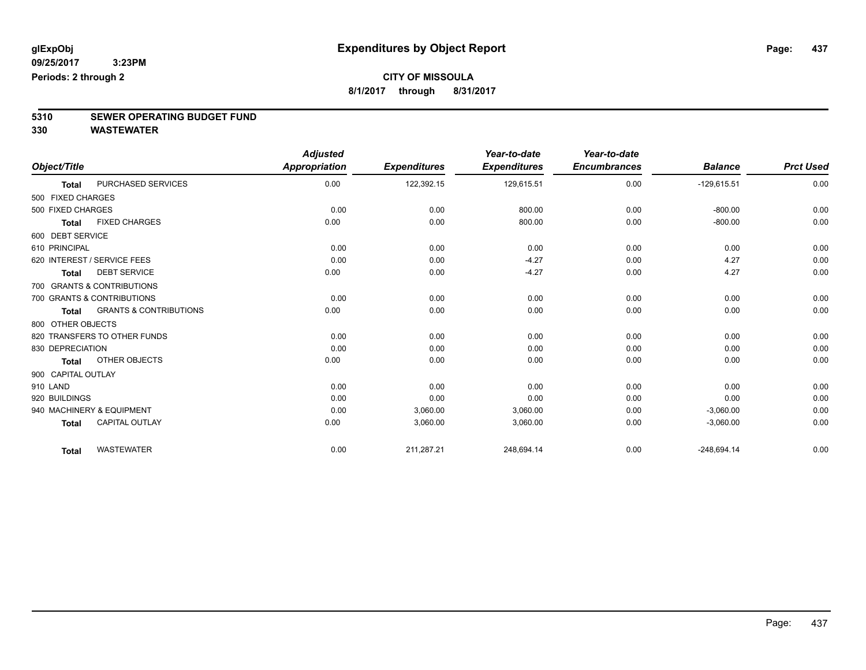### **CITY OF MISSOULA**

**8/1/2017 through 8/31/2017**

# **5310 SEWER OPERATING BUDGET FUND**

|                    |                                   | <b>Adjusted</b>      |                     | Year-to-date        | Year-to-date        |                |                  |
|--------------------|-----------------------------------|----------------------|---------------------|---------------------|---------------------|----------------|------------------|
| Object/Title       |                                   | <b>Appropriation</b> | <b>Expenditures</b> | <b>Expenditures</b> | <b>Encumbrances</b> | <b>Balance</b> | <b>Prct Used</b> |
| <b>Total</b>       | PURCHASED SERVICES                | 0.00                 | 122,392.15          | 129,615.51          | 0.00                | $-129,615.51$  | 0.00             |
| 500 FIXED CHARGES  |                                   |                      |                     |                     |                     |                |                  |
| 500 FIXED CHARGES  |                                   | 0.00                 | 0.00                | 800.00              | 0.00                | $-800.00$      | 0.00             |
| <b>Total</b>       | <b>FIXED CHARGES</b>              | 0.00                 | 0.00                | 800.00              | 0.00                | $-800.00$      | 0.00             |
| 600 DEBT SERVICE   |                                   |                      |                     |                     |                     |                |                  |
| 610 PRINCIPAL      |                                   | 0.00                 | 0.00                | 0.00                | 0.00                | 0.00           | 0.00             |
|                    | 620 INTEREST / SERVICE FEES       | 0.00                 | 0.00                | $-4.27$             | 0.00                | 4.27           | 0.00             |
| <b>Total</b>       | <b>DEBT SERVICE</b>               | 0.00                 | 0.00                | $-4.27$             | 0.00                | 4.27           | 0.00             |
|                    | 700 GRANTS & CONTRIBUTIONS        |                      |                     |                     |                     |                |                  |
|                    | 700 GRANTS & CONTRIBUTIONS        | 0.00                 | 0.00                | 0.00                | 0.00                | 0.00           | 0.00             |
| <b>Total</b>       | <b>GRANTS &amp; CONTRIBUTIONS</b> | 0.00                 | 0.00                | 0.00                | 0.00                | 0.00           | 0.00             |
| 800 OTHER OBJECTS  |                                   |                      |                     |                     |                     |                |                  |
|                    | 820 TRANSFERS TO OTHER FUNDS      | 0.00                 | 0.00                | 0.00                | 0.00                | 0.00           | 0.00             |
| 830 DEPRECIATION   |                                   | 0.00                 | 0.00                | 0.00                | 0.00                | 0.00           | 0.00             |
| <b>Total</b>       | OTHER OBJECTS                     | 0.00                 | 0.00                | 0.00                | 0.00                | 0.00           | 0.00             |
| 900 CAPITAL OUTLAY |                                   |                      |                     |                     |                     |                |                  |
| 910 LAND           |                                   | 0.00                 | 0.00                | 0.00                | 0.00                | 0.00           | 0.00             |
| 920 BUILDINGS      |                                   | 0.00                 | 0.00                | 0.00                | 0.00                | 0.00           | 0.00             |
|                    | 940 MACHINERY & EQUIPMENT         | 0.00                 | 3,060.00            | 3,060.00            | 0.00                | $-3,060.00$    | 0.00             |
| <b>Total</b>       | <b>CAPITAL OUTLAY</b>             | 0.00                 | 3,060.00            | 3,060.00            | 0.00                | $-3,060.00$    | 0.00             |
| <b>Total</b>       | <b>WASTEWATER</b>                 | 0.00                 | 211,287.21          | 248,694.14          | 0.00                | $-248,694.14$  | 0.00             |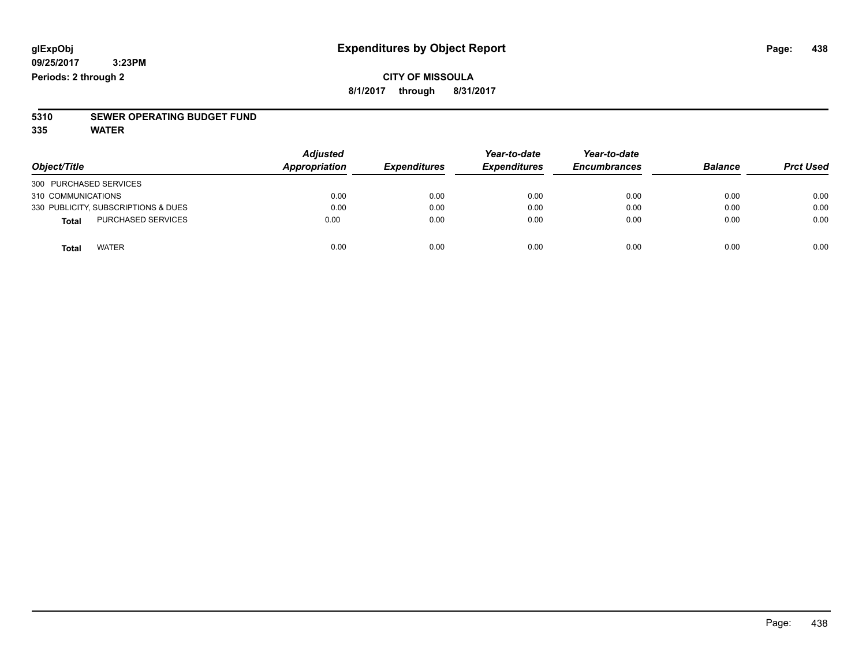#### **CITY OF MISSOULA 8/1/2017 through 8/31/2017**

# **5310 SEWER OPERATING BUDGET FUND**

**335 WATER**

| Object/Title                              | <b>Adjusted</b><br>Appropriation | <b>Expenditures</b> | Year-to-date<br><b>Expenditures</b> | Year-to-date<br><b>Encumbrances</b> | <b>Balance</b> | <b>Prct Used</b> |
|-------------------------------------------|----------------------------------|---------------------|-------------------------------------|-------------------------------------|----------------|------------------|
| 300 PURCHASED SERVICES                    |                                  |                     |                                     |                                     |                |                  |
| 310 COMMUNICATIONS                        | 0.00                             | 0.00                | 0.00                                | 0.00                                | 0.00           | 0.00             |
| 330 PUBLICITY, SUBSCRIPTIONS & DUES       | 0.00                             | 0.00                | 0.00                                | 0.00                                | 0.00           | 0.00             |
| <b>PURCHASED SERVICES</b><br><b>Total</b> | 0.00                             | 0.00                | 0.00                                | 0.00                                | 0.00           | 0.00             |
| <b>WATER</b><br>Total                     | 0.00                             | 0.00                | 0.00                                | 0.00                                | 0.00           | 0.00             |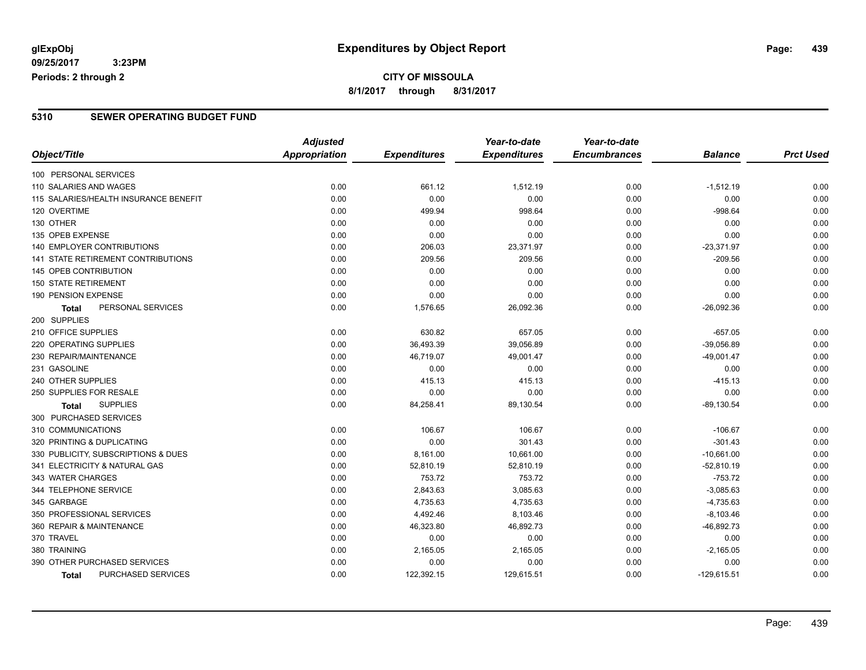#### **CITY OF MISSOULA 8/1/2017 through 8/31/2017**

#### **5310 SEWER OPERATING BUDGET FUND**

|                                       | <b>Adjusted</b>      |                     | Year-to-date        | Year-to-date        |                |                  |
|---------------------------------------|----------------------|---------------------|---------------------|---------------------|----------------|------------------|
| Object/Title                          | <b>Appropriation</b> | <b>Expenditures</b> | <b>Expenditures</b> | <b>Encumbrances</b> | <b>Balance</b> | <b>Prct Used</b> |
| 100 PERSONAL SERVICES                 |                      |                     |                     |                     |                |                  |
| 110 SALARIES AND WAGES                | 0.00                 | 661.12              | 1,512.19            | 0.00                | $-1,512.19$    | 0.00             |
| 115 SALARIES/HEALTH INSURANCE BENEFIT | 0.00                 | 0.00                | 0.00                | 0.00                | 0.00           | 0.00             |
| 120 OVERTIME                          | 0.00                 | 499.94              | 998.64              | 0.00                | $-998.64$      | 0.00             |
| 130 OTHER                             | 0.00                 | 0.00                | 0.00                | 0.00                | 0.00           | 0.00             |
| 135 OPEB EXPENSE                      | 0.00                 | 0.00                | 0.00                | 0.00                | 0.00           | 0.00             |
| 140 EMPLOYER CONTRIBUTIONS            | 0.00                 | 206.03              | 23,371.97           | 0.00                | $-23,371.97$   | 0.00             |
| 141 STATE RETIREMENT CONTRIBUTIONS    | 0.00                 | 209.56              | 209.56              | 0.00                | $-209.56$      | 0.00             |
| 145 OPEB CONTRIBUTION                 | 0.00                 | 0.00                | 0.00                | 0.00                | 0.00           | 0.00             |
| <b>150 STATE RETIREMENT</b>           | 0.00                 | 0.00                | 0.00                | 0.00                | 0.00           | 0.00             |
| 190 PENSION EXPENSE                   | 0.00                 | 0.00                | 0.00                | 0.00                | 0.00           | 0.00             |
| PERSONAL SERVICES<br>Total            | 0.00                 | 1,576.65            | 26,092.36           | 0.00                | $-26,092.36$   | 0.00             |
| 200 SUPPLIES                          |                      |                     |                     |                     |                |                  |
| 210 OFFICE SUPPLIES                   | 0.00                 | 630.82              | 657.05              | 0.00                | $-657.05$      | 0.00             |
| 220 OPERATING SUPPLIES                | 0.00                 | 36,493.39           | 39,056.89           | 0.00                | $-39,056.89$   | 0.00             |
| 230 REPAIR/MAINTENANCE                | 0.00                 | 46,719.07           | 49,001.47           | 0.00                | $-49,001.47$   | 0.00             |
| 231 GASOLINE                          | 0.00                 | 0.00                | 0.00                | 0.00                | 0.00           | 0.00             |
| 240 OTHER SUPPLIES                    | 0.00                 | 415.13              | 415.13              | 0.00                | $-415.13$      | 0.00             |
| 250 SUPPLIES FOR RESALE               | 0.00                 | 0.00                | 0.00                | 0.00                | 0.00           | 0.00             |
| <b>SUPPLIES</b><br><b>Total</b>       | 0.00                 | 84,258.41           | 89,130.54           | 0.00                | $-89,130.54$   | 0.00             |
| 300 PURCHASED SERVICES                |                      |                     |                     |                     |                |                  |
| 310 COMMUNICATIONS                    | 0.00                 | 106.67              | 106.67              | 0.00                | $-106.67$      | 0.00             |
| 320 PRINTING & DUPLICATING            | 0.00                 | 0.00                | 301.43              | 0.00                | $-301.43$      | 0.00             |
| 330 PUBLICITY, SUBSCRIPTIONS & DUES   | 0.00                 | 8,161.00            | 10,661.00           | 0.00                | $-10,661.00$   | 0.00             |
| 341 ELECTRICITY & NATURAL GAS         | 0.00                 | 52,810.19           | 52,810.19           | 0.00                | $-52,810.19$   | 0.00             |
| 343 WATER CHARGES                     | 0.00                 | 753.72              | 753.72              | 0.00                | $-753.72$      | 0.00             |
| 344 TELEPHONE SERVICE                 | 0.00                 | 2,843.63            | 3,085.63            | 0.00                | $-3,085.63$    | 0.00             |
| 345 GARBAGE                           | 0.00                 | 4,735.63            | 4,735.63            | 0.00                | $-4,735.63$    | 0.00             |
| 350 PROFESSIONAL SERVICES             | 0.00                 | 4,492.46            | 8,103.46            | 0.00                | $-8,103.46$    | 0.00             |
| 360 REPAIR & MAINTENANCE              | 0.00                 | 46,323.80           | 46,892.73           | 0.00                | $-46,892.73$   | 0.00             |
| 370 TRAVEL                            | 0.00                 | 0.00                | 0.00                | 0.00                | 0.00           | 0.00             |
| 380 TRAINING                          | 0.00                 | 2,165.05            | 2,165.05            | 0.00                | $-2,165.05$    | 0.00             |
| 390 OTHER PURCHASED SERVICES          | 0.00                 | 0.00                | 0.00                | 0.00                | 0.00           | 0.00             |
| PURCHASED SERVICES<br><b>Total</b>    | 0.00                 | 122,392.15          | 129,615.51          | 0.00                | $-129,615.51$  | 0.00             |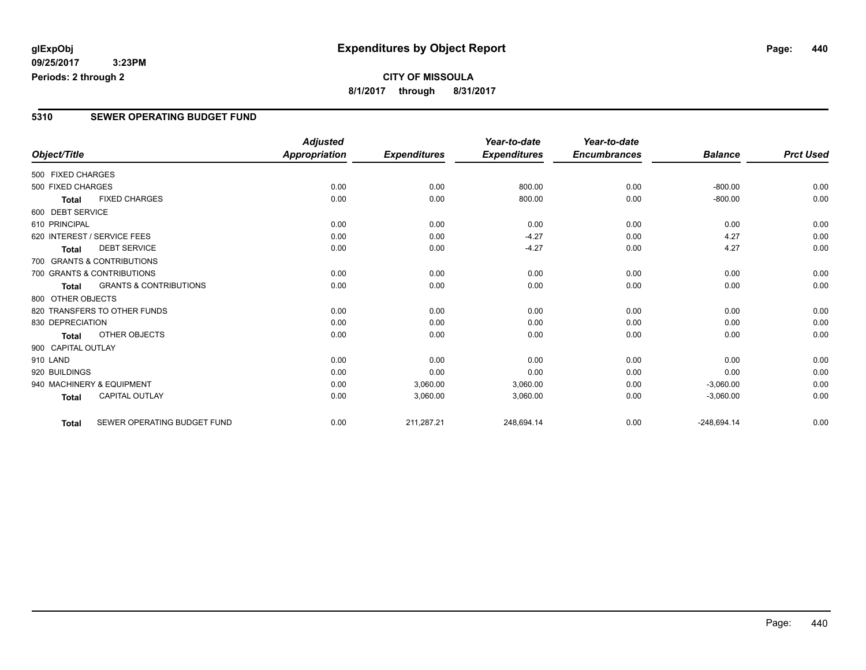**09/25/2017 3:23PM Periods: 2 through 2**

#### **5310 SEWER OPERATING BUDGET FUND**

|                    |                                   | <b>Adjusted</b>      |                     | Year-to-date        | Year-to-date        |                |                  |
|--------------------|-----------------------------------|----------------------|---------------------|---------------------|---------------------|----------------|------------------|
| Object/Title       |                                   | <b>Appropriation</b> | <b>Expenditures</b> | <b>Expenditures</b> | <b>Encumbrances</b> | <b>Balance</b> | <b>Prct Used</b> |
| 500 FIXED CHARGES  |                                   |                      |                     |                     |                     |                |                  |
| 500 FIXED CHARGES  |                                   | 0.00                 | 0.00                | 800.00              | 0.00                | $-800.00$      | 0.00             |
| <b>Total</b>       | <b>FIXED CHARGES</b>              | 0.00                 | 0.00                | 800.00              | 0.00                | $-800.00$      | 0.00             |
| 600 DEBT SERVICE   |                                   |                      |                     |                     |                     |                |                  |
| 610 PRINCIPAL      |                                   | 0.00                 | 0.00                | 0.00                | 0.00                | 0.00           | 0.00             |
|                    | 620 INTEREST / SERVICE FEES       | 0.00                 | 0.00                | $-4.27$             | 0.00                | 4.27           | 0.00             |
| <b>Total</b>       | <b>DEBT SERVICE</b>               | 0.00                 | 0.00                | $-4.27$             | 0.00                | 4.27           | 0.00             |
|                    | 700 GRANTS & CONTRIBUTIONS        |                      |                     |                     |                     |                |                  |
|                    | 700 GRANTS & CONTRIBUTIONS        | 0.00                 | 0.00                | 0.00                | 0.00                | 0.00           | 0.00             |
| <b>Total</b>       | <b>GRANTS &amp; CONTRIBUTIONS</b> | 0.00                 | 0.00                | 0.00                | 0.00                | 0.00           | 0.00             |
| 800 OTHER OBJECTS  |                                   |                      |                     |                     |                     |                |                  |
|                    | 820 TRANSFERS TO OTHER FUNDS      | 0.00                 | 0.00                | 0.00                | 0.00                | 0.00           | 0.00             |
| 830 DEPRECIATION   |                                   | 0.00                 | 0.00                | 0.00                | 0.00                | 0.00           | 0.00             |
| <b>Total</b>       | OTHER OBJECTS                     | 0.00                 | 0.00                | 0.00                | 0.00                | 0.00           | 0.00             |
| 900 CAPITAL OUTLAY |                                   |                      |                     |                     |                     |                |                  |
| 910 LAND           |                                   | 0.00                 | 0.00                | 0.00                | 0.00                | 0.00           | 0.00             |
| 920 BUILDINGS      |                                   | 0.00                 | 0.00                | 0.00                | 0.00                | 0.00           | 0.00             |
|                    | 940 MACHINERY & EQUIPMENT         | 0.00                 | 3,060.00            | 3,060.00            | 0.00                | $-3,060.00$    | 0.00             |
| <b>Total</b>       | <b>CAPITAL OUTLAY</b>             | 0.00                 | 3,060.00            | 3,060.00            | 0.00                | $-3,060.00$    | 0.00             |
| <b>Total</b>       | SEWER OPERATING BUDGET FUND       | 0.00                 | 211,287.21          | 248,694.14          | 0.00                | $-248,694.14$  | 0.00             |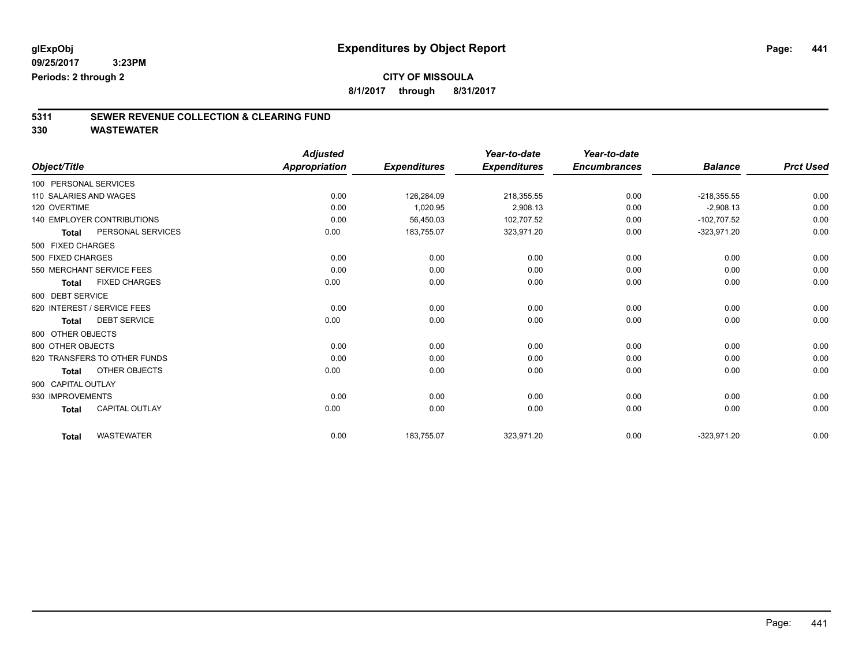### **CITY OF MISSOULA**

**8/1/2017 through 8/31/2017**

# **5311 SEWER REVENUE COLLECTION & CLEARING FUND**

|                                   |                       | <b>Adjusted</b>      |                     | Year-to-date        | Year-to-date        |                |                  |
|-----------------------------------|-----------------------|----------------------|---------------------|---------------------|---------------------|----------------|------------------|
| Object/Title                      |                       | <b>Appropriation</b> | <b>Expenditures</b> | <b>Expenditures</b> | <b>Encumbrances</b> | <b>Balance</b> | <b>Prct Used</b> |
| 100 PERSONAL SERVICES             |                       |                      |                     |                     |                     |                |                  |
| 110 SALARIES AND WAGES            |                       | 0.00                 | 126,284.09          | 218,355.55          | 0.00                | $-218,355.55$  | 0.00             |
| 120 OVERTIME                      |                       | 0.00                 | 1,020.95            | 2,908.13            | 0.00                | $-2,908.13$    | 0.00             |
| <b>140 EMPLOYER CONTRIBUTIONS</b> |                       | 0.00                 | 56,450.03           | 102,707.52          | 0.00                | $-102,707.52$  | 0.00             |
| <b>Total</b>                      | PERSONAL SERVICES     | 0.00                 | 183,755.07          | 323,971.20          | 0.00                | $-323,971.20$  | 0.00             |
| 500 FIXED CHARGES                 |                       |                      |                     |                     |                     |                |                  |
| 500 FIXED CHARGES                 |                       | 0.00                 | 0.00                | 0.00                | 0.00                | 0.00           | 0.00             |
| 550 MERCHANT SERVICE FEES         |                       | 0.00                 | 0.00                | 0.00                | 0.00                | 0.00           | 0.00             |
| <b>Total</b>                      | <b>FIXED CHARGES</b>  | 0.00                 | 0.00                | 0.00                | 0.00                | 0.00           | 0.00             |
| 600 DEBT SERVICE                  |                       |                      |                     |                     |                     |                |                  |
| 620 INTEREST / SERVICE FEES       |                       | 0.00                 | 0.00                | 0.00                | 0.00                | 0.00           | 0.00             |
| <b>Total</b>                      | <b>DEBT SERVICE</b>   | 0.00                 | 0.00                | 0.00                | 0.00                | 0.00           | 0.00             |
| 800 OTHER OBJECTS                 |                       |                      |                     |                     |                     |                |                  |
| 800 OTHER OBJECTS                 |                       | 0.00                 | 0.00                | 0.00                | 0.00                | 0.00           | 0.00             |
| 820 TRANSFERS TO OTHER FUNDS      |                       | 0.00                 | 0.00                | 0.00                | 0.00                | 0.00           | 0.00             |
| <b>Total</b>                      | OTHER OBJECTS         | 0.00                 | 0.00                | 0.00                | 0.00                | 0.00           | 0.00             |
| 900 CAPITAL OUTLAY                |                       |                      |                     |                     |                     |                |                  |
| 930 IMPROVEMENTS                  |                       | 0.00                 | 0.00                | 0.00                | 0.00                | 0.00           | 0.00             |
| <b>Total</b>                      | <b>CAPITAL OUTLAY</b> | 0.00                 | 0.00                | 0.00                | 0.00                | 0.00           | 0.00             |
| <b>Total</b>                      | <b>WASTEWATER</b>     | 0.00                 | 183,755.07          | 323,971.20          | 0.00                | $-323,971.20$  | 0.00             |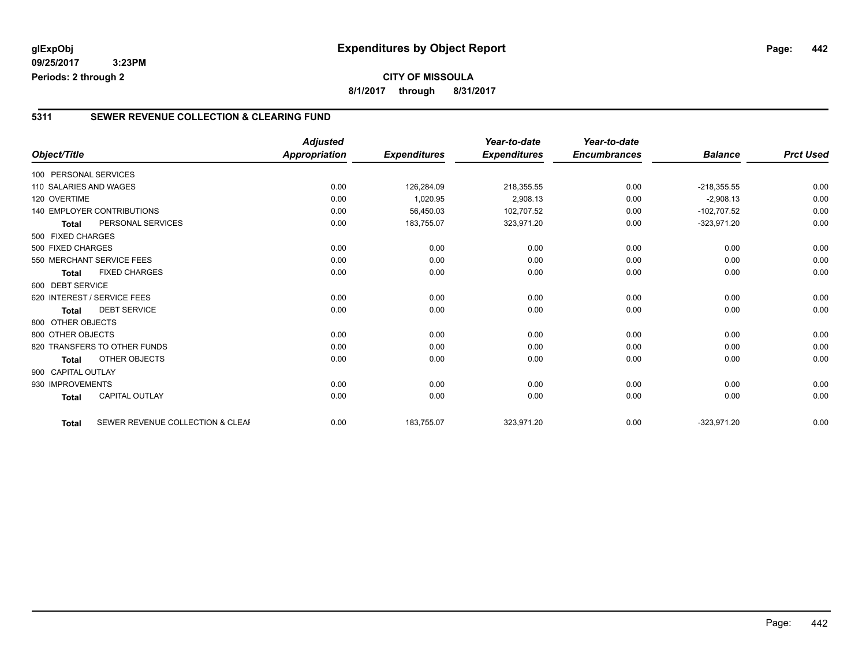**09/25/2017 3:23PM Periods: 2 through 2**

#### **5311 SEWER REVENUE COLLECTION & CLEARING FUND**

|                        |                                  | <b>Adjusted</b>      |                     | Year-to-date        | Year-to-date        |                |                  |
|------------------------|----------------------------------|----------------------|---------------------|---------------------|---------------------|----------------|------------------|
| Object/Title           |                                  | <b>Appropriation</b> | <b>Expenditures</b> | <b>Expenditures</b> | <b>Encumbrances</b> | <b>Balance</b> | <b>Prct Used</b> |
| 100 PERSONAL SERVICES  |                                  |                      |                     |                     |                     |                |                  |
| 110 SALARIES AND WAGES |                                  | 0.00                 | 126,284.09          | 218,355.55          | 0.00                | $-218,355.55$  | 0.00             |
| 120 OVERTIME           |                                  | 0.00                 | 1,020.95            | 2,908.13            | 0.00                | $-2,908.13$    | 0.00             |
|                        | 140 EMPLOYER CONTRIBUTIONS       | 0.00                 | 56,450.03           | 102,707.52          | 0.00                | $-102,707.52$  | 0.00             |
| <b>Total</b>           | PERSONAL SERVICES                | 0.00                 | 183,755.07          | 323,971.20          | 0.00                | $-323,971.20$  | 0.00             |
| 500 FIXED CHARGES      |                                  |                      |                     |                     |                     |                |                  |
| 500 FIXED CHARGES      |                                  | 0.00                 | 0.00                | 0.00                | 0.00                | 0.00           | 0.00             |
|                        | 550 MERCHANT SERVICE FEES        | 0.00                 | 0.00                | 0.00                | 0.00                | 0.00           | 0.00             |
| <b>Total</b>           | <b>FIXED CHARGES</b>             | 0.00                 | 0.00                | 0.00                | 0.00                | 0.00           | 0.00             |
| 600 DEBT SERVICE       |                                  |                      |                     |                     |                     |                |                  |
|                        | 620 INTEREST / SERVICE FEES      | 0.00                 | 0.00                | 0.00                | 0.00                | 0.00           | 0.00             |
| <b>Total</b>           | <b>DEBT SERVICE</b>              | 0.00                 | 0.00                | 0.00                | 0.00                | 0.00           | 0.00             |
| 800 OTHER OBJECTS      |                                  |                      |                     |                     |                     |                |                  |
| 800 OTHER OBJECTS      |                                  | 0.00                 | 0.00                | 0.00                | 0.00                | 0.00           | 0.00             |
|                        | 820 TRANSFERS TO OTHER FUNDS     | 0.00                 | 0.00                | 0.00                | 0.00                | 0.00           | 0.00             |
| <b>Total</b>           | OTHER OBJECTS                    | 0.00                 | 0.00                | 0.00                | 0.00                | 0.00           | 0.00             |
| 900 CAPITAL OUTLAY     |                                  |                      |                     |                     |                     |                |                  |
| 930 IMPROVEMENTS       |                                  | 0.00                 | 0.00                | 0.00                | 0.00                | 0.00           | 0.00             |
| <b>Total</b>           | <b>CAPITAL OUTLAY</b>            | 0.00                 | 0.00                | 0.00                | 0.00                | 0.00           | 0.00             |
|                        |                                  |                      |                     |                     |                     |                |                  |
| <b>Total</b>           | SEWER REVENUE COLLECTION & CLEAF | 0.00                 | 183,755.07          | 323,971.20          | 0.00                | $-323,971.20$  | 0.00             |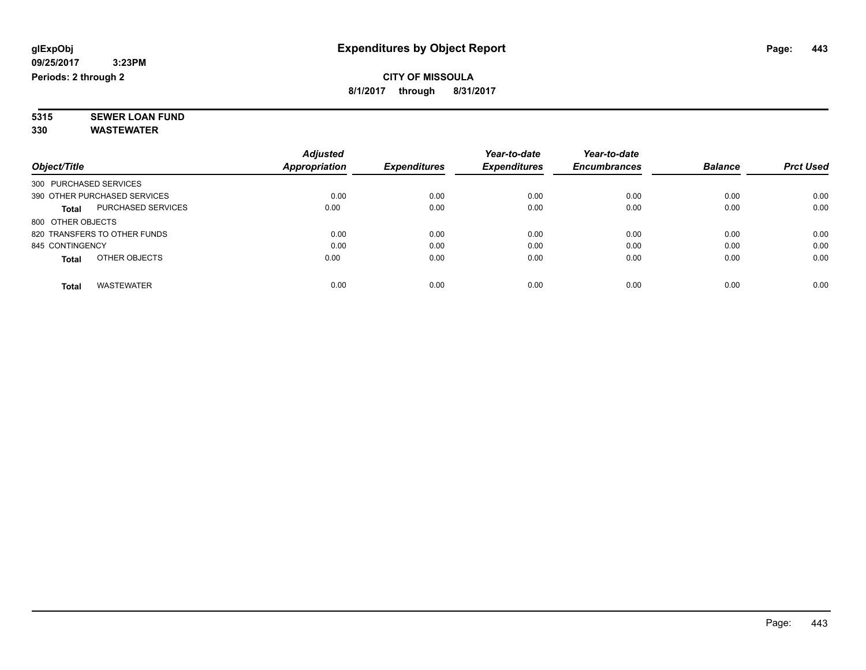#### **CITY OF MISSOULA 8/1/2017 through 8/31/2017**

**5315 SEWER LOAN FUND 330 WASTEWATER**

|                                           | <b>Adjusted</b> |                     | Year-to-date        | Year-to-date        |                |                  |
|-------------------------------------------|-----------------|---------------------|---------------------|---------------------|----------------|------------------|
| Object/Title                              | Appropriation   | <b>Expenditures</b> | <b>Expenditures</b> | <b>Encumbrances</b> | <b>Balance</b> | <b>Prct Used</b> |
| 300 PURCHASED SERVICES                    |                 |                     |                     |                     |                |                  |
| 390 OTHER PURCHASED SERVICES              | 0.00            | 0.00                | 0.00                | 0.00                | 0.00           | 0.00             |
| <b>PURCHASED SERVICES</b><br><b>Total</b> | 0.00            | 0.00                | 0.00                | 0.00                | 0.00           | 0.00             |
| 800 OTHER OBJECTS                         |                 |                     |                     |                     |                |                  |
| 820 TRANSFERS TO OTHER FUNDS              | 0.00            | 0.00                | 0.00                | 0.00                | 0.00           | 0.00             |
| 845 CONTINGENCY                           | 0.00            | 0.00                | 0.00                | 0.00                | 0.00           | 0.00             |
| OTHER OBJECTS<br><b>Total</b>             | 0.00            | 0.00                | 0.00                | 0.00                | 0.00           | 0.00             |
| <b>WASTEWATER</b><br><b>Total</b>         | 0.00            | 0.00                | 0.00                | 0.00                | 0.00           | 0.00             |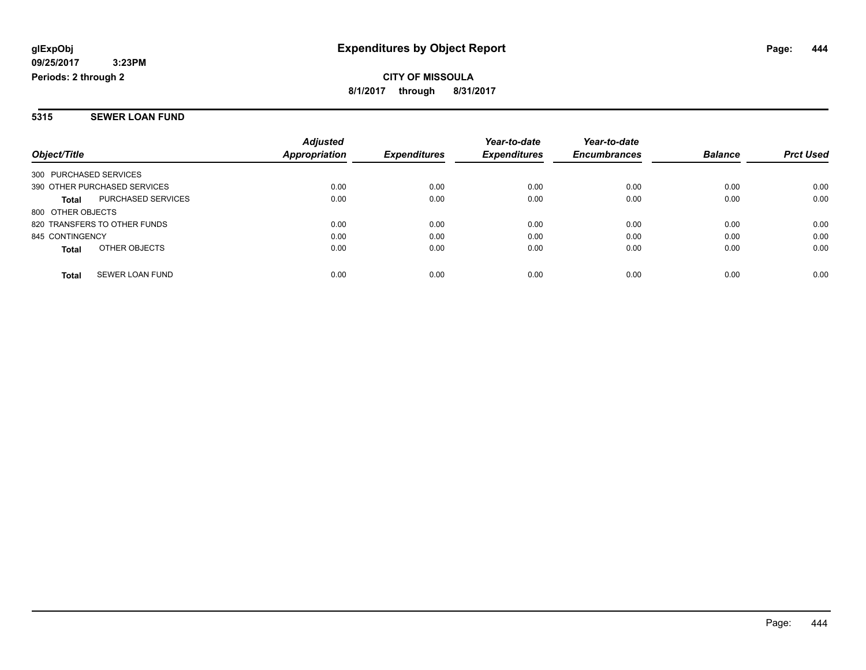**CITY OF MISSOULA 8/1/2017 through 8/31/2017**

#### **5315 SEWER LOAN FUND**

|                                        | <b>Adjusted</b>      |                     | Year-to-date        | Year-to-date        |                |                  |
|----------------------------------------|----------------------|---------------------|---------------------|---------------------|----------------|------------------|
| Object/Title                           | <b>Appropriation</b> | <b>Expenditures</b> | <b>Expenditures</b> | <b>Encumbrances</b> | <b>Balance</b> | <b>Prct Used</b> |
| 300 PURCHASED SERVICES                 |                      |                     |                     |                     |                |                  |
| 390 OTHER PURCHASED SERVICES           | 0.00                 | 0.00                | 0.00                | 0.00                | 0.00           | 0.00             |
| PURCHASED SERVICES<br><b>Total</b>     | 0.00                 | 0.00                | 0.00                | 0.00                | 0.00           | 0.00             |
| 800 OTHER OBJECTS                      |                      |                     |                     |                     |                |                  |
| 820 TRANSFERS TO OTHER FUNDS           | 0.00                 | 0.00                | 0.00                | 0.00                | 0.00           | 0.00             |
| 845 CONTINGENCY                        | 0.00                 | 0.00                | 0.00                | 0.00                | 0.00           | 0.00             |
| OTHER OBJECTS<br><b>Total</b>          | 0.00                 | 0.00                | 0.00                | 0.00                | 0.00           | 0.00             |
| <b>SEWER LOAN FUND</b><br><b>Total</b> | 0.00                 | 0.00                | 0.00                | 0.00                | 0.00           | 0.00             |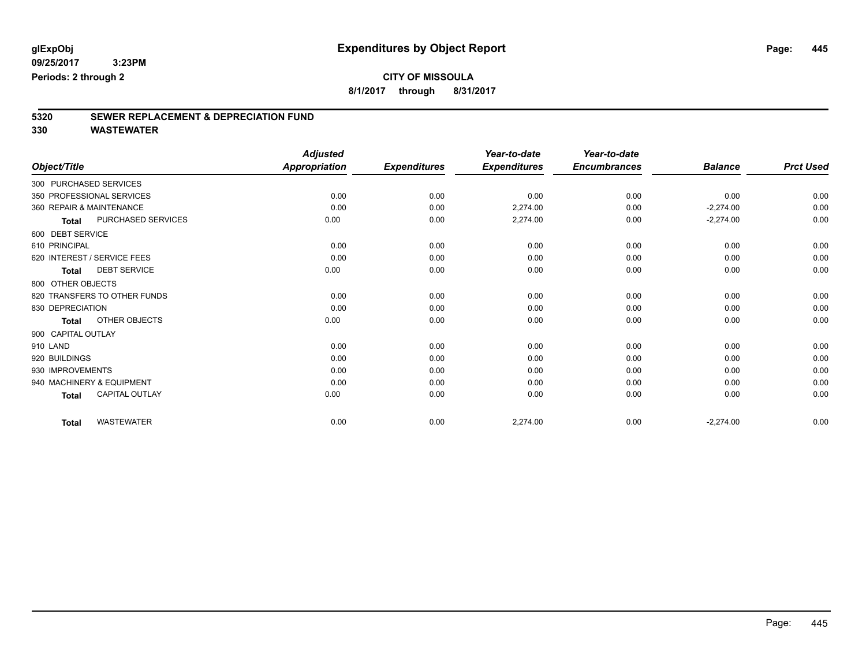### **CITY OF MISSOULA**

**8/1/2017 through 8/31/2017**

# **5320 SEWER REPLACEMENT & DEPRECIATION FUND**

|                             |                              | <b>Adjusted</b>      |                     | Year-to-date        | Year-to-date        |                |                  |
|-----------------------------|------------------------------|----------------------|---------------------|---------------------|---------------------|----------------|------------------|
| Object/Title                |                              | <b>Appropriation</b> | <b>Expenditures</b> | <b>Expenditures</b> | <b>Encumbrances</b> | <b>Balance</b> | <b>Prct Used</b> |
| 300 PURCHASED SERVICES      |                              |                      |                     |                     |                     |                |                  |
| 350 PROFESSIONAL SERVICES   |                              | 0.00                 | 0.00                | 0.00                | 0.00                | 0.00           | 0.00             |
| 360 REPAIR & MAINTENANCE    |                              | 0.00                 | 0.00                | 2,274.00            | 0.00                | $-2,274.00$    | 0.00             |
| <b>Total</b>                | PURCHASED SERVICES           | 0.00                 | 0.00                | 2,274.00            | 0.00                | $-2,274.00$    | 0.00             |
| 600 DEBT SERVICE            |                              |                      |                     |                     |                     |                |                  |
| 610 PRINCIPAL               |                              | 0.00                 | 0.00                | 0.00                | 0.00                | 0.00           | 0.00             |
| 620 INTEREST / SERVICE FEES |                              | 0.00                 | 0.00                | 0.00                | 0.00                | 0.00           | 0.00             |
| <b>Total</b>                | <b>DEBT SERVICE</b>          | 0.00                 | 0.00                | 0.00                | 0.00                | 0.00           | 0.00             |
| 800 OTHER OBJECTS           |                              |                      |                     |                     |                     |                |                  |
|                             | 820 TRANSFERS TO OTHER FUNDS | 0.00                 | 0.00                | 0.00                | 0.00                | 0.00           | 0.00             |
| 830 DEPRECIATION            |                              | 0.00                 | 0.00                | 0.00                | 0.00                | 0.00           | 0.00             |
| <b>Total</b>                | OTHER OBJECTS                | 0.00                 | 0.00                | 0.00                | 0.00                | 0.00           | 0.00             |
| 900 CAPITAL OUTLAY          |                              |                      |                     |                     |                     |                |                  |
| 910 LAND                    |                              | 0.00                 | 0.00                | 0.00                | 0.00                | 0.00           | 0.00             |
| 920 BUILDINGS               |                              | 0.00                 | 0.00                | 0.00                | 0.00                | 0.00           | 0.00             |
| 930 IMPROVEMENTS            |                              | 0.00                 | 0.00                | 0.00                | 0.00                | 0.00           | 0.00             |
| 940 MACHINERY & EQUIPMENT   |                              | 0.00                 | 0.00                | 0.00                | 0.00                | 0.00           | 0.00             |
| <b>Total</b>                | <b>CAPITAL OUTLAY</b>        | 0.00                 | 0.00                | 0.00                | 0.00                | 0.00           | 0.00             |
| <b>Total</b>                | <b>WASTEWATER</b>            | 0.00                 | 0.00                | 2,274.00            | 0.00                | $-2,274.00$    | 0.00             |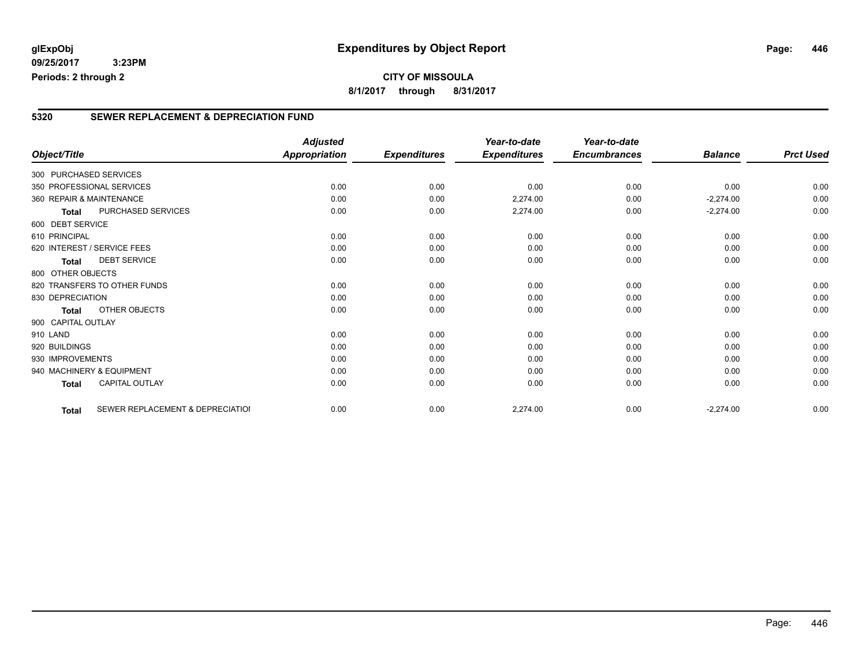#### **5320 SEWER REPLACEMENT & DEPRECIATION FUND**

|                          |                                  | <b>Adjusted</b>      |                     | Year-to-date        | Year-to-date        |                |                  |
|--------------------------|----------------------------------|----------------------|---------------------|---------------------|---------------------|----------------|------------------|
| Object/Title             |                                  | <b>Appropriation</b> | <b>Expenditures</b> | <b>Expenditures</b> | <b>Encumbrances</b> | <b>Balance</b> | <b>Prct Used</b> |
| 300 PURCHASED SERVICES   |                                  |                      |                     |                     |                     |                |                  |
|                          | 350 PROFESSIONAL SERVICES        | 0.00                 | 0.00                | 0.00                | 0.00                | 0.00           | 0.00             |
| 360 REPAIR & MAINTENANCE |                                  | 0.00                 | 0.00                | 2,274.00            | 0.00                | $-2,274.00$    | 0.00             |
| <b>Total</b>             | PURCHASED SERVICES               | 0.00                 | 0.00                | 2,274.00            | 0.00                | $-2,274.00$    | 0.00             |
| 600 DEBT SERVICE         |                                  |                      |                     |                     |                     |                |                  |
| 610 PRINCIPAL            |                                  | 0.00                 | 0.00                | 0.00                | 0.00                | 0.00           | 0.00             |
|                          | 620 INTEREST / SERVICE FEES      | 0.00                 | 0.00                | 0.00                | 0.00                | 0.00           | 0.00             |
| <b>Total</b>             | <b>DEBT SERVICE</b>              | 0.00                 | 0.00                | 0.00                | 0.00                | 0.00           | 0.00             |
| 800 OTHER OBJECTS        |                                  |                      |                     |                     |                     |                |                  |
|                          | 820 TRANSFERS TO OTHER FUNDS     | 0.00                 | 0.00                | 0.00                | 0.00                | 0.00           | 0.00             |
| 830 DEPRECIATION         |                                  | 0.00                 | 0.00                | 0.00                | 0.00                | 0.00           | 0.00             |
| <b>Total</b>             | OTHER OBJECTS                    | 0.00                 | 0.00                | 0.00                | 0.00                | 0.00           | 0.00             |
| 900 CAPITAL OUTLAY       |                                  |                      |                     |                     |                     |                |                  |
| 910 LAND                 |                                  | 0.00                 | 0.00                | 0.00                | 0.00                | 0.00           | 0.00             |
| 920 BUILDINGS            |                                  | 0.00                 | 0.00                | 0.00                | 0.00                | 0.00           | 0.00             |
| 930 IMPROVEMENTS         |                                  | 0.00                 | 0.00                | 0.00                | 0.00                | 0.00           | 0.00             |
|                          | 940 MACHINERY & EQUIPMENT        | 0.00                 | 0.00                | 0.00                | 0.00                | 0.00           | 0.00             |
| <b>Total</b>             | <b>CAPITAL OUTLAY</b>            | 0.00                 | 0.00                | 0.00                | 0.00                | 0.00           | 0.00             |
| <b>Total</b>             | SEWER REPLACEMENT & DEPRECIATIOI | 0.00                 | 0.00                | 2,274.00            | 0.00                | $-2,274.00$    | 0.00             |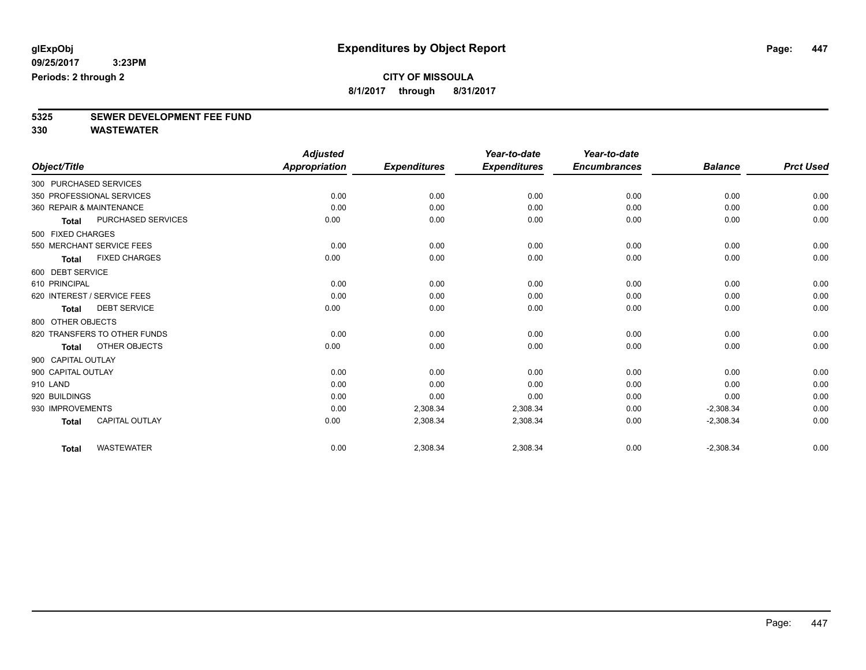### **CITY OF MISSOULA**

**8/1/2017 through 8/31/2017**

# **5325 SEWER DEVELOPMENT FEE FUND**

|                                     |                       | <b>Adjusted</b>      |                     | Year-to-date        | Year-to-date        |                |                  |
|-------------------------------------|-----------------------|----------------------|---------------------|---------------------|---------------------|----------------|------------------|
| Object/Title                        |                       | <b>Appropriation</b> | <b>Expenditures</b> | <b>Expenditures</b> | <b>Encumbrances</b> | <b>Balance</b> | <b>Prct Used</b> |
| 300 PURCHASED SERVICES              |                       |                      |                     |                     |                     |                |                  |
| 350 PROFESSIONAL SERVICES           |                       | 0.00                 | 0.00                | 0.00                | 0.00                | 0.00           | 0.00             |
| 360 REPAIR & MAINTENANCE            |                       | 0.00                 | 0.00                | 0.00                | 0.00                | 0.00           | 0.00             |
| <b>Total</b>                        | PURCHASED SERVICES    | 0.00                 | 0.00                | 0.00                | 0.00                | 0.00           | 0.00             |
| 500 FIXED CHARGES                   |                       |                      |                     |                     |                     |                |                  |
| 550 MERCHANT SERVICE FEES           |                       | 0.00                 | 0.00                | 0.00                | 0.00                | 0.00           | 0.00             |
| <b>Total</b>                        | <b>FIXED CHARGES</b>  | 0.00                 | 0.00                | 0.00                | 0.00                | 0.00           | 0.00             |
| 600 DEBT SERVICE                    |                       |                      |                     |                     |                     |                |                  |
| 610 PRINCIPAL                       |                       | 0.00                 | 0.00                | 0.00                | 0.00                | 0.00           | 0.00             |
| 620 INTEREST / SERVICE FEES         |                       | 0.00                 | 0.00                | 0.00                | 0.00                | 0.00           | 0.00             |
| <b>DEBT SERVICE</b><br><b>Total</b> |                       | 0.00                 | 0.00                | 0.00                | 0.00                | 0.00           | 0.00             |
| 800 OTHER OBJECTS                   |                       |                      |                     |                     |                     |                |                  |
| 820 TRANSFERS TO OTHER FUNDS        |                       | 0.00                 | 0.00                | 0.00                | 0.00                | 0.00           | 0.00             |
| <b>Total</b>                        | OTHER OBJECTS         | 0.00                 | 0.00                | 0.00                | 0.00                | 0.00           | 0.00             |
| 900 CAPITAL OUTLAY                  |                       |                      |                     |                     |                     |                |                  |
| 900 CAPITAL OUTLAY                  |                       | 0.00                 | 0.00                | 0.00                | 0.00                | 0.00           | 0.00             |
| 910 LAND                            |                       | 0.00                 | 0.00                | 0.00                | 0.00                | 0.00           | 0.00             |
| 920 BUILDINGS                       |                       | 0.00                 | 0.00                | 0.00                | 0.00                | 0.00           | 0.00             |
| 930 IMPROVEMENTS                    |                       | 0.00                 | 2,308.34            | 2,308.34            | 0.00                | $-2,308.34$    | 0.00             |
| <b>Total</b>                        | <b>CAPITAL OUTLAY</b> | 0.00                 | 2,308.34            | 2,308.34            | 0.00                | $-2,308.34$    | 0.00             |
| <b>WASTEWATER</b><br><b>Total</b>   |                       | 0.00                 | 2,308.34            | 2,308.34            | 0.00                | $-2,308.34$    | 0.00             |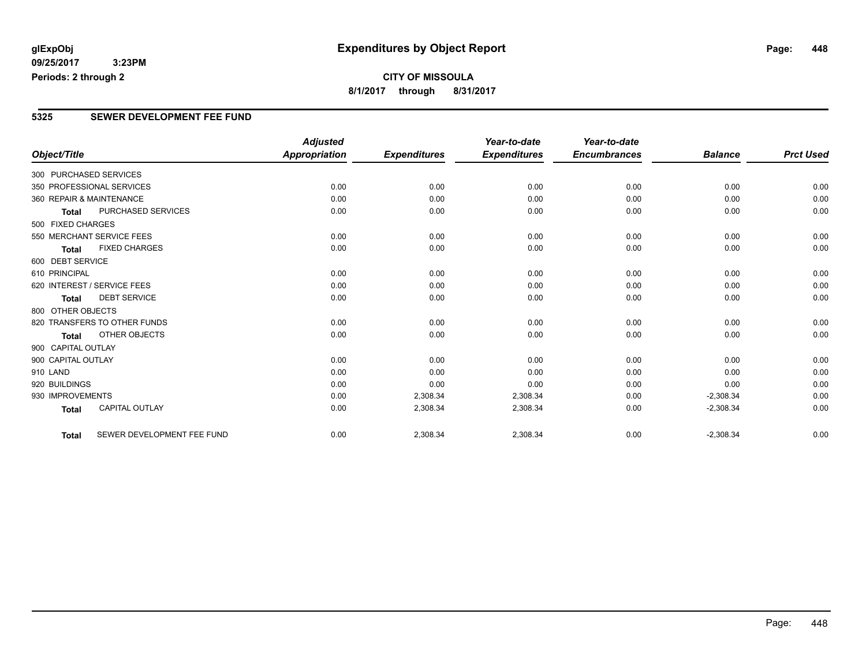#### **CITY OF MISSOULA 8/1/2017 through 8/31/2017**

#### **5325 SEWER DEVELOPMENT FEE FUND**

|                          |                              | <b>Adjusted</b>      |                     | Year-to-date        | Year-to-date        |                |                  |
|--------------------------|------------------------------|----------------------|---------------------|---------------------|---------------------|----------------|------------------|
| Object/Title             |                              | <b>Appropriation</b> | <b>Expenditures</b> | <b>Expenditures</b> | <b>Encumbrances</b> | <b>Balance</b> | <b>Prct Used</b> |
| 300 PURCHASED SERVICES   |                              |                      |                     |                     |                     |                |                  |
|                          | 350 PROFESSIONAL SERVICES    | 0.00                 | 0.00                | 0.00                | 0.00                | 0.00           | 0.00             |
| 360 REPAIR & MAINTENANCE |                              | 0.00                 | 0.00                | 0.00                | 0.00                | 0.00           | 0.00             |
| <b>Total</b>             | <b>PURCHASED SERVICES</b>    | 0.00                 | 0.00                | 0.00                | 0.00                | 0.00           | 0.00             |
| 500 FIXED CHARGES        |                              |                      |                     |                     |                     |                |                  |
|                          | 550 MERCHANT SERVICE FEES    | 0.00                 | 0.00                | 0.00                | 0.00                | 0.00           | 0.00             |
| <b>Total</b>             | <b>FIXED CHARGES</b>         | 0.00                 | 0.00                | 0.00                | 0.00                | 0.00           | 0.00             |
| 600 DEBT SERVICE         |                              |                      |                     |                     |                     |                |                  |
| 610 PRINCIPAL            |                              | 0.00                 | 0.00                | 0.00                | 0.00                | 0.00           | 0.00             |
|                          | 620 INTEREST / SERVICE FEES  | 0.00                 | 0.00                | 0.00                | 0.00                | 0.00           | 0.00             |
| <b>Total</b>             | <b>DEBT SERVICE</b>          | 0.00                 | 0.00                | 0.00                | 0.00                | 0.00           | 0.00             |
| 800 OTHER OBJECTS        |                              |                      |                     |                     |                     |                |                  |
|                          | 820 TRANSFERS TO OTHER FUNDS | 0.00                 | 0.00                | 0.00                | 0.00                | 0.00           | 0.00             |
| <b>Total</b>             | OTHER OBJECTS                | 0.00                 | 0.00                | 0.00                | 0.00                | 0.00           | 0.00             |
| 900 CAPITAL OUTLAY       |                              |                      |                     |                     |                     |                |                  |
| 900 CAPITAL OUTLAY       |                              | 0.00                 | 0.00                | 0.00                | 0.00                | 0.00           | 0.00             |
| 910 LAND                 |                              | 0.00                 | 0.00                | 0.00                | 0.00                | 0.00           | 0.00             |
| 920 BUILDINGS            |                              | 0.00                 | 0.00                | 0.00                | 0.00                | 0.00           | 0.00             |
| 930 IMPROVEMENTS         |                              | 0.00                 | 2,308.34            | 2,308.34            | 0.00                | $-2,308.34$    | 0.00             |
| <b>Total</b>             | <b>CAPITAL OUTLAY</b>        | 0.00                 | 2,308.34            | 2,308.34            | 0.00                | $-2,308.34$    | 0.00             |
| <b>Total</b>             | SEWER DEVELOPMENT FEE FUND   | 0.00                 | 2,308.34            | 2,308.34            | 0.00                | $-2,308.34$    | 0.00             |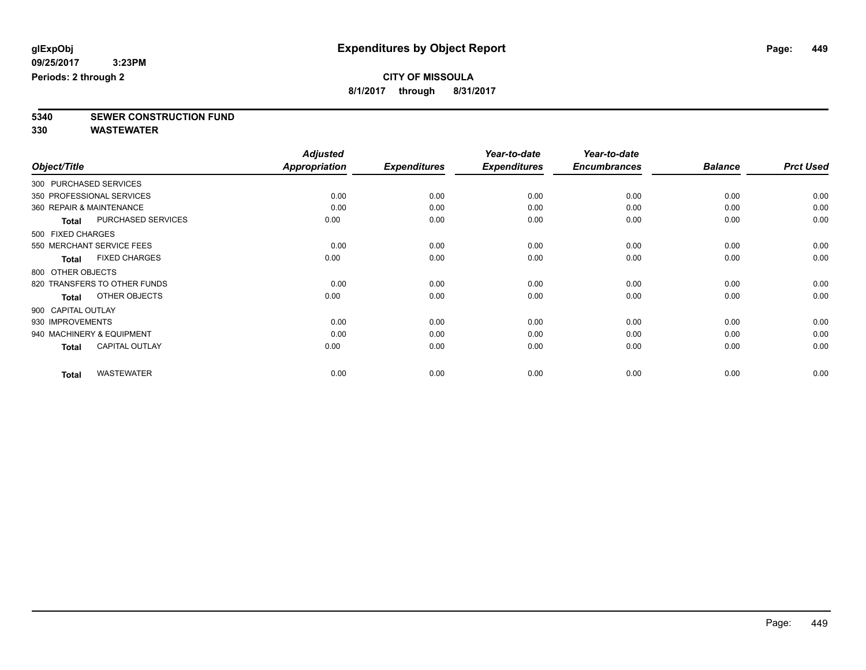### **CITY OF MISSOULA**

**8/1/2017 through 8/31/2017**

**5340 SEWER CONSTRUCTION FUND**

|                           |                              | <b>Adjusted</b>      |                     | Year-to-date        | Year-to-date        |                |                  |
|---------------------------|------------------------------|----------------------|---------------------|---------------------|---------------------|----------------|------------------|
| Object/Title              |                              | <b>Appropriation</b> | <b>Expenditures</b> | <b>Expenditures</b> | <b>Encumbrances</b> | <b>Balance</b> | <b>Prct Used</b> |
| 300 PURCHASED SERVICES    |                              |                      |                     |                     |                     |                |                  |
| 350 PROFESSIONAL SERVICES |                              | 0.00                 | 0.00                | 0.00                | 0.00                | 0.00           | 0.00             |
| 360 REPAIR & MAINTENANCE  |                              | 0.00                 | 0.00                | 0.00                | 0.00                | 0.00           | 0.00             |
| <b>Total</b>              | PURCHASED SERVICES           | 0.00                 | 0.00                | 0.00                | 0.00                | 0.00           | 0.00             |
| 500 FIXED CHARGES         |                              |                      |                     |                     |                     |                |                  |
|                           | 550 MERCHANT SERVICE FEES    | 0.00                 | 0.00                | 0.00                | 0.00                | 0.00           | 0.00             |
| <b>Total</b>              | <b>FIXED CHARGES</b>         | 0.00                 | 0.00                | 0.00                | 0.00                | 0.00           | 0.00             |
| 800 OTHER OBJECTS         |                              |                      |                     |                     |                     |                |                  |
|                           | 820 TRANSFERS TO OTHER FUNDS | 0.00                 | 0.00                | 0.00                | 0.00                | 0.00           | 0.00             |
| Total                     | OTHER OBJECTS                | 0.00                 | 0.00                | 0.00                | 0.00                | 0.00           | 0.00             |
| 900 CAPITAL OUTLAY        |                              |                      |                     |                     |                     |                |                  |
| 930 IMPROVEMENTS          |                              | 0.00                 | 0.00                | 0.00                | 0.00                | 0.00           | 0.00             |
| 940 MACHINERY & EQUIPMENT |                              | 0.00                 | 0.00                | 0.00                | 0.00                | 0.00           | 0.00             |
| <b>Total</b>              | <b>CAPITAL OUTLAY</b>        | 0.00                 | 0.00                | 0.00                | 0.00                | 0.00           | 0.00             |
| <b>Total</b>              | <b>WASTEWATER</b>            | 0.00                 | 0.00                | 0.00                | 0.00                | 0.00           | 0.00             |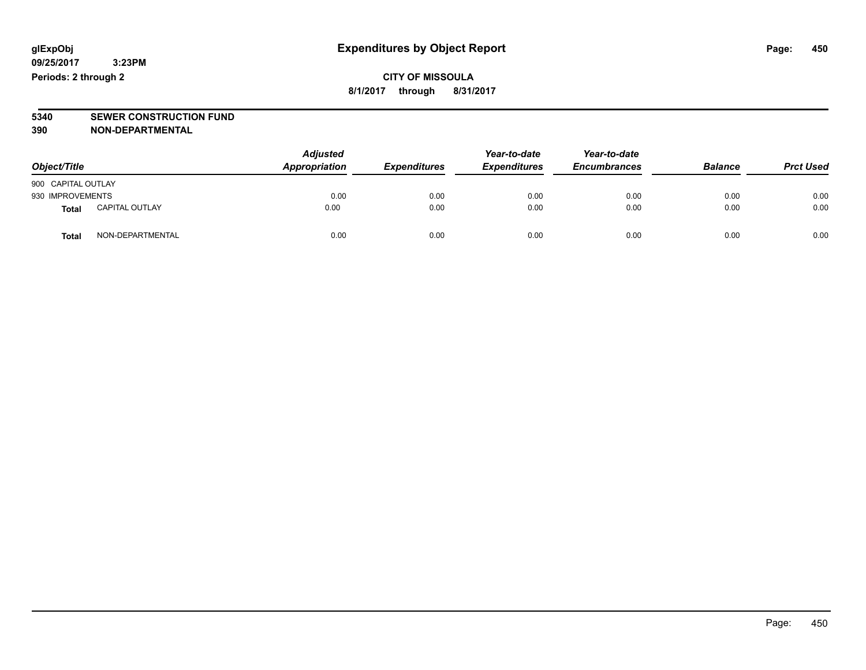**CITY OF MISSOULA 8/1/2017 through 8/31/2017**

# **5340 SEWER CONSTRUCTION FUND**

**390 NON-DEPARTMENTAL**

| Object/Title       |                       | <b>Adjusted</b><br>Appropriation | <b>Expenditures</b> | Year-to-date<br><b>Expenditures</b> | Year-to-date<br><b>Encumbrances</b> | <b>Balance</b> | <b>Prct Used</b> |
|--------------------|-----------------------|----------------------------------|---------------------|-------------------------------------|-------------------------------------|----------------|------------------|
| 900 CAPITAL OUTLAY |                       |                                  |                     |                                     |                                     |                |                  |
| 930 IMPROVEMENTS   |                       | 0.00                             | 0.00                | 0.00                                | 0.00                                | 0.00           | 0.00             |
| <b>Total</b>       | <b>CAPITAL OUTLAY</b> | 0.00                             | 0.00                | 0.00                                | 0.00                                | 0.00           | 0.00             |
| <b>Total</b>       | NON-DEPARTMENTAL      | 0.00                             | 0.00                | 0.00                                | 0.00                                | 0.00           | 0.00             |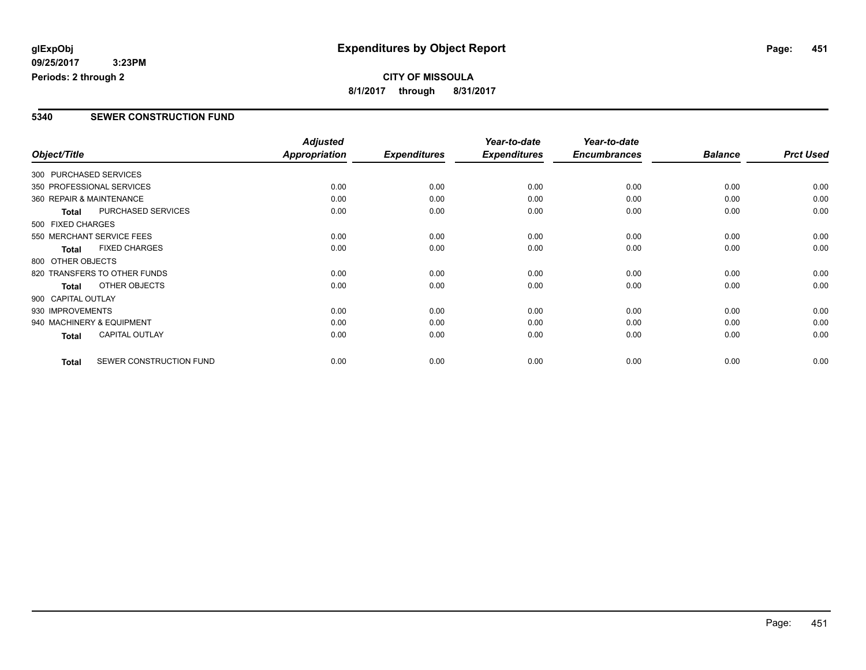#### **CITY OF MISSOULA 8/1/2017 through 8/31/2017**

#### **5340 SEWER CONSTRUCTION FUND**

|                          |                              | <b>Adjusted</b> |                     | Year-to-date        | Year-to-date        |                |                  |
|--------------------------|------------------------------|-----------------|---------------------|---------------------|---------------------|----------------|------------------|
| Object/Title             |                              | Appropriation   | <b>Expenditures</b> | <b>Expenditures</b> | <b>Encumbrances</b> | <b>Balance</b> | <b>Prct Used</b> |
| 300 PURCHASED SERVICES   |                              |                 |                     |                     |                     |                |                  |
|                          | 350 PROFESSIONAL SERVICES    | 0.00            | 0.00                | 0.00                | 0.00                | 0.00           | 0.00             |
| 360 REPAIR & MAINTENANCE |                              | 0.00            | 0.00                | 0.00                | 0.00                | 0.00           | 0.00             |
| <b>Total</b>             | PURCHASED SERVICES           | 0.00            | 0.00                | 0.00                | 0.00                | 0.00           | 0.00             |
| 500 FIXED CHARGES        |                              |                 |                     |                     |                     |                |                  |
|                          | 550 MERCHANT SERVICE FEES    | 0.00            | 0.00                | 0.00                | 0.00                | 0.00           | 0.00             |
| <b>Total</b>             | <b>FIXED CHARGES</b>         | 0.00            | 0.00                | 0.00                | 0.00                | 0.00           | 0.00             |
| 800 OTHER OBJECTS        |                              |                 |                     |                     |                     |                |                  |
|                          | 820 TRANSFERS TO OTHER FUNDS | 0.00            | 0.00                | 0.00                | 0.00                | 0.00           | 0.00             |
| <b>Total</b>             | OTHER OBJECTS                | 0.00            | 0.00                | 0.00                | 0.00                | 0.00           | 0.00             |
| 900 CAPITAL OUTLAY       |                              |                 |                     |                     |                     |                |                  |
| 930 IMPROVEMENTS         |                              | 0.00            | 0.00                | 0.00                | 0.00                | 0.00           | 0.00             |
|                          | 940 MACHINERY & EQUIPMENT    | 0.00            | 0.00                | 0.00                | 0.00                | 0.00           | 0.00             |
| <b>Total</b>             | <b>CAPITAL OUTLAY</b>        | 0.00            | 0.00                | 0.00                | 0.00                | 0.00           | 0.00             |
| <b>Total</b>             | SEWER CONSTRUCTION FUND      | 0.00            | 0.00                | 0.00                | 0.00                | 0.00           | 0.00             |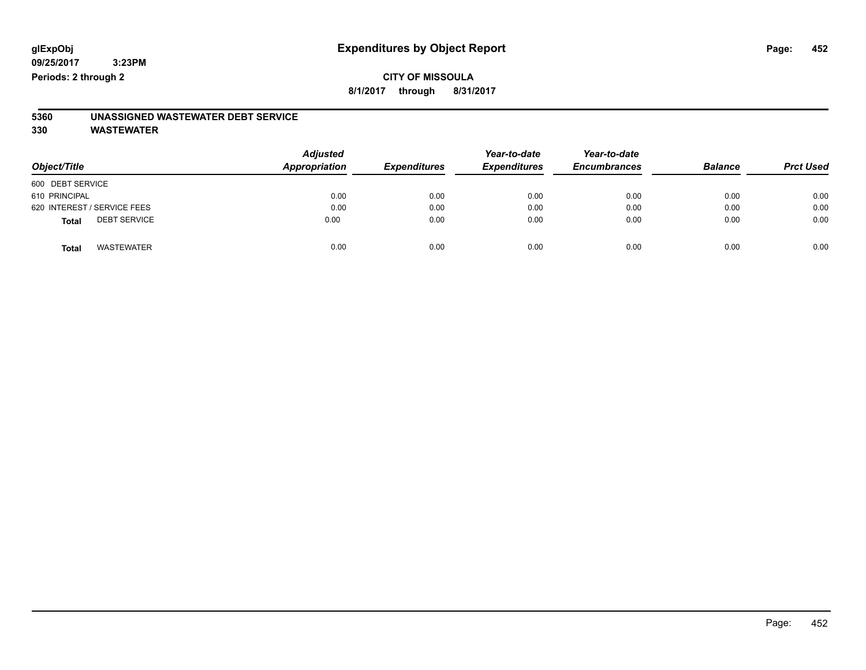#### **CITY OF MISSOULA 8/1/2017 through 8/31/2017**

# **5360 UNASSIGNED WASTEWATER DEBT SERVICE**

| Object/Title                        | <b>Adjusted</b><br>Appropriation | <b>Expenditures</b> | Year-to-date<br><b>Expenditures</b> | Year-to-date<br><b>Encumbrances</b> | <b>Balance</b> | <b>Prct Used</b> |
|-------------------------------------|----------------------------------|---------------------|-------------------------------------|-------------------------------------|----------------|------------------|
| 600 DEBT SERVICE                    |                                  |                     |                                     |                                     |                |                  |
| 610 PRINCIPAL                       | 0.00                             | 0.00                | 0.00                                | 0.00                                | 0.00           | 0.00             |
| 620 INTEREST / SERVICE FEES         | 0.00                             | 0.00                | 0.00                                | 0.00                                | 0.00           | 0.00             |
| <b>DEBT SERVICE</b><br><b>Total</b> | 0.00                             | 0.00                | 0.00                                | 0.00                                | 0.00           | 0.00             |
| <b>WASTEWATER</b><br><b>Total</b>   | 0.00                             | 0.00                | 0.00                                | 0.00                                | 0.00           | 0.00             |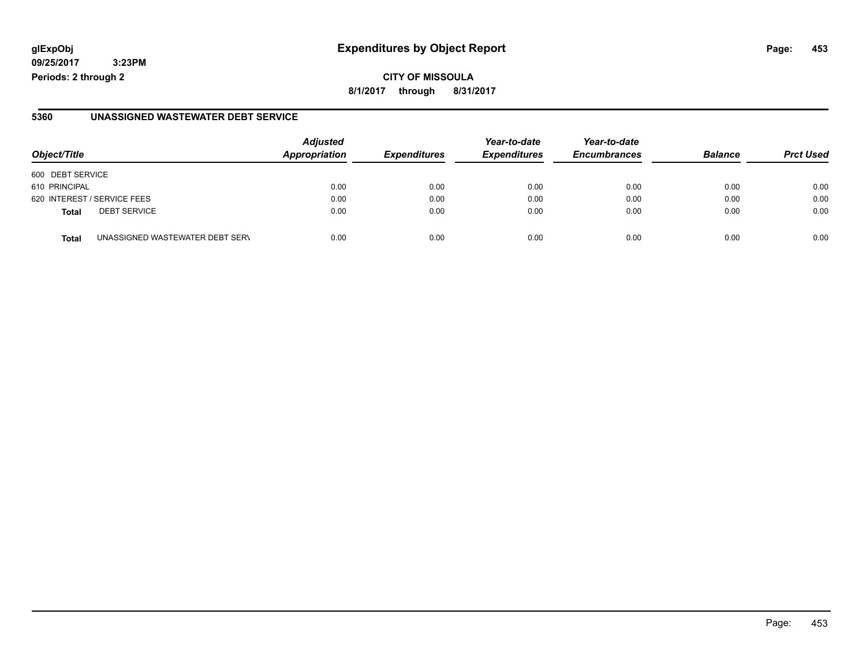**09/25/2017 3:23PM Periods: 2 through 2**

**8/1/2017 through 8/31/2017**

#### **5360 UNASSIGNED WASTEWATER DEBT SERVICE**

| Object/Title                                    | <b>Adjusted</b><br>Appropriation | <b>Expenditures</b> | Year-to-date<br><b>Expenditures</b> | Year-to-date<br><b>Encumbrances</b> | <b>Balance</b> | <b>Prct Used</b> |
|-------------------------------------------------|----------------------------------|---------------------|-------------------------------------|-------------------------------------|----------------|------------------|
| 600 DEBT SERVICE                                |                                  |                     |                                     |                                     |                |                  |
| 610 PRINCIPAL                                   | 0.00                             | 0.00                | 0.00                                | 0.00                                | 0.00           | 0.00             |
| 620 INTEREST / SERVICE FEES                     | 0.00                             | 0.00                | 0.00                                | 0.00                                | 0.00           | 0.00             |
| <b>DEBT SERVICE</b><br><b>Total</b>             | 0.00                             | 0.00                | 0.00                                | 0.00                                | 0.00           | 0.00             |
| UNASSIGNED WASTEWATER DEBT SERV<br><b>Total</b> | 0.00                             | 0.00                | 0.00                                | 0.00                                | 0.00           | 0.00             |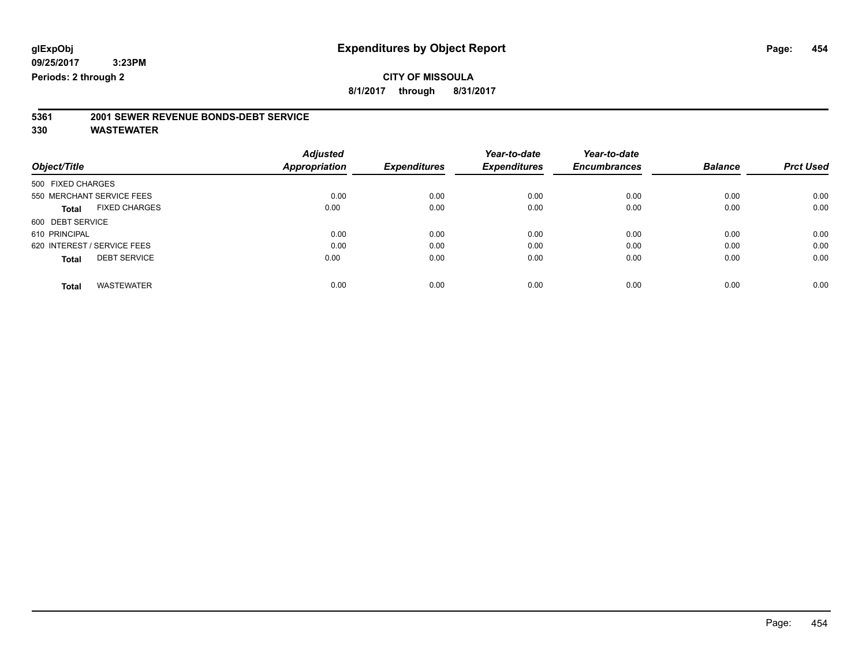### **CITY OF MISSOULA**

**8/1/2017 through 8/31/2017**

# **5361 2001 SEWER REVENUE BONDS-DEBT SERVICE**

|                                      | <b>Adjusted</b>      |                     | Year-to-date        | Year-to-date        |                |                  |
|--------------------------------------|----------------------|---------------------|---------------------|---------------------|----------------|------------------|
| Object/Title                         | <b>Appropriation</b> | <b>Expenditures</b> | <b>Expenditures</b> | <b>Encumbrances</b> | <b>Balance</b> | <b>Prct Used</b> |
| 500 FIXED CHARGES                    |                      |                     |                     |                     |                |                  |
| 550 MERCHANT SERVICE FEES            | 0.00                 | 0.00                | 0.00                | 0.00                | 0.00           | 0.00             |
| <b>FIXED CHARGES</b><br><b>Total</b> | 0.00                 | 0.00                | 0.00                | 0.00                | 0.00           | 0.00             |
| 600 DEBT SERVICE                     |                      |                     |                     |                     |                |                  |
| 610 PRINCIPAL                        | 0.00                 | 0.00                | 0.00                | 0.00                | 0.00           | 0.00             |
| 620 INTEREST / SERVICE FEES          | 0.00                 | 0.00                | 0.00                | 0.00                | 0.00           | 0.00             |
| <b>DEBT SERVICE</b><br>Total         | 0.00                 | 0.00                | 0.00                | 0.00                | 0.00           | 0.00             |
|                                      |                      |                     |                     |                     |                |                  |
| <b>WASTEWATER</b><br>Total           | 0.00                 | 0.00                | 0.00                | 0.00                | 0.00           | 0.00             |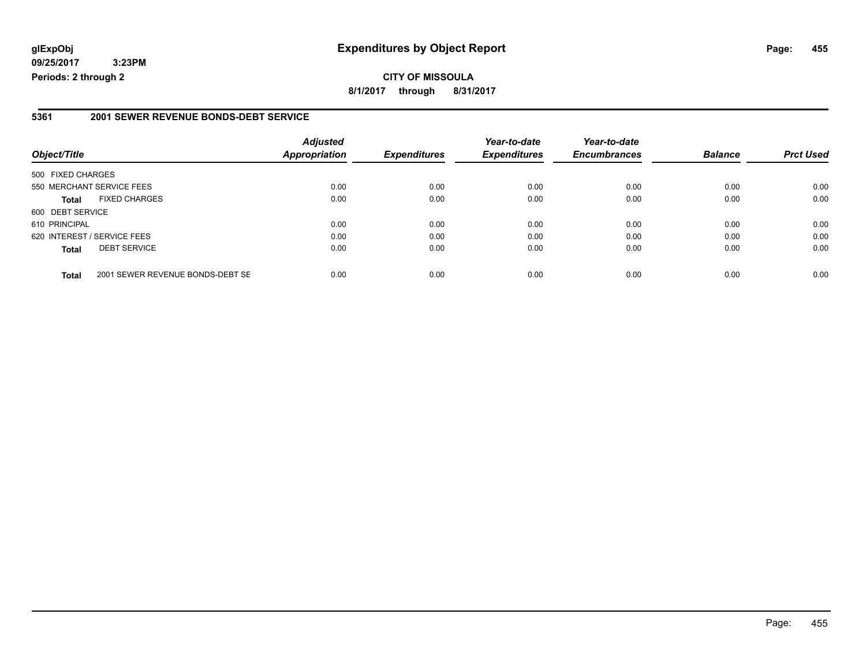**09/25/2017 3:23PM Periods: 2 through 2**

**8/1/2017 through 8/31/2017**

#### **5361 2001 SEWER REVENUE BONDS-DEBT SERVICE**

| Object/Title                |                                  | <b>Adjusted</b><br><b>Appropriation</b> | <b>Expenditures</b> | Year-to-date<br><b>Expenditures</b> | Year-to-date<br><b>Encumbrances</b> | <b>Balance</b> | <b>Prct Used</b> |
|-----------------------------|----------------------------------|-----------------------------------------|---------------------|-------------------------------------|-------------------------------------|----------------|------------------|
| 500 FIXED CHARGES           |                                  |                                         |                     |                                     |                                     |                |                  |
|                             | 550 MERCHANT SERVICE FEES        | 0.00                                    | 0.00                | 0.00                                | 0.00                                | 0.00           | 0.00             |
| <b>Total</b>                | <b>FIXED CHARGES</b>             | 0.00                                    | 0.00                | 0.00                                | 0.00                                | 0.00           | 0.00             |
| 600 DEBT SERVICE            |                                  |                                         |                     |                                     |                                     |                |                  |
| 610 PRINCIPAL               |                                  | 0.00                                    | 0.00                | 0.00                                | 0.00                                | 0.00           | 0.00             |
| 620 INTEREST / SERVICE FEES |                                  | 0.00                                    | 0.00                | 0.00                                | 0.00                                | 0.00           | 0.00             |
| <b>Total</b>                | <b>DEBT SERVICE</b>              | 0.00                                    | 0.00                | 0.00                                | 0.00                                | 0.00           | 0.00             |
| <b>Total</b>                | 2001 SEWER REVENUE BONDS-DEBT SE | 0.00                                    | 0.00                | 0.00                                | 0.00                                | 0.00           | 0.00             |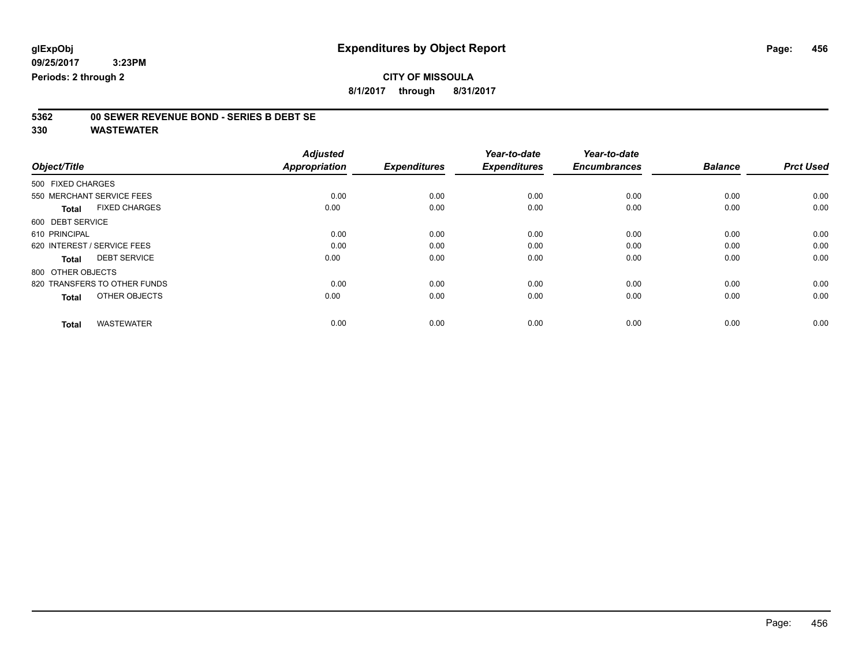### **CITY OF MISSOULA**

**8/1/2017 through 8/31/2017**

# **5362 00 SEWER REVENUE BOND - SERIES B DEBT SE**

| Object/Title                         | <b>Adjusted</b><br>Appropriation | <b>Expenditures</b> | Year-to-date<br><b>Expenditures</b> | Year-to-date<br><b>Encumbrances</b> | <b>Balance</b> | <b>Prct Used</b> |
|--------------------------------------|----------------------------------|---------------------|-------------------------------------|-------------------------------------|----------------|------------------|
| 500 FIXED CHARGES                    |                                  |                     |                                     |                                     |                |                  |
| 550 MERCHANT SERVICE FEES            | 0.00                             | 0.00                | 0.00                                | 0.00                                | 0.00           | 0.00             |
| <b>FIXED CHARGES</b><br><b>Total</b> | 0.00                             | 0.00                | 0.00                                | 0.00                                | 0.00           | 0.00             |
| 600 DEBT SERVICE                     |                                  |                     |                                     |                                     |                |                  |
| 610 PRINCIPAL                        | 0.00                             | 0.00                | 0.00                                | 0.00                                | 0.00           | 0.00             |
| 620 INTEREST / SERVICE FEES          | 0.00                             | 0.00                | 0.00                                | 0.00                                | 0.00           | 0.00             |
| <b>DEBT SERVICE</b><br><b>Total</b>  | 0.00                             | 0.00                | 0.00                                | 0.00                                | 0.00           | 0.00             |
| 800 OTHER OBJECTS                    |                                  |                     |                                     |                                     |                |                  |
| 820 TRANSFERS TO OTHER FUNDS         | 0.00                             | 0.00                | 0.00                                | 0.00                                | 0.00           | 0.00             |
| OTHER OBJECTS<br><b>Total</b>        | 0.00                             | 0.00                | 0.00                                | 0.00                                | 0.00           | 0.00             |
|                                      |                                  |                     |                                     |                                     |                |                  |
| <b>WASTEWATER</b><br><b>Total</b>    | 0.00                             | 0.00                | 0.00                                | 0.00                                | 0.00           | 0.00             |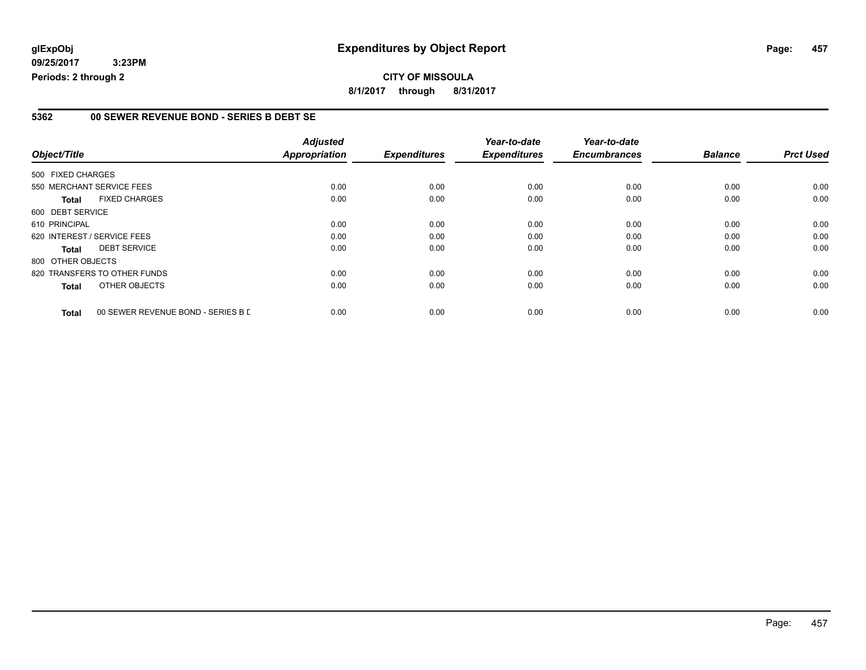#### **5362 00 SEWER REVENUE BOND - SERIES B DEBT SE**

|                   |                                    | <b>Adjusted</b>      |                     | Year-to-date        | Year-to-date        |                |                  |
|-------------------|------------------------------------|----------------------|---------------------|---------------------|---------------------|----------------|------------------|
| Object/Title      |                                    | <b>Appropriation</b> | <b>Expenditures</b> | <b>Expenditures</b> | <b>Encumbrances</b> | <b>Balance</b> | <b>Prct Used</b> |
| 500 FIXED CHARGES |                                    |                      |                     |                     |                     |                |                  |
|                   | 550 MERCHANT SERVICE FEES          | 0.00                 | 0.00                | 0.00                | 0.00                | 0.00           | 0.00             |
| <b>Total</b>      | <b>FIXED CHARGES</b>               | 0.00                 | 0.00                | 0.00                | 0.00                | 0.00           | 0.00             |
| 600 DEBT SERVICE  |                                    |                      |                     |                     |                     |                |                  |
| 610 PRINCIPAL     |                                    | 0.00                 | 0.00                | 0.00                | 0.00                | 0.00           | 0.00             |
|                   | 620 INTEREST / SERVICE FEES        | 0.00                 | 0.00                | 0.00                | 0.00                | 0.00           | 0.00             |
| <b>Total</b>      | <b>DEBT SERVICE</b>                | 0.00                 | 0.00                | 0.00                | 0.00                | 0.00           | 0.00             |
| 800 OTHER OBJECTS |                                    |                      |                     |                     |                     |                |                  |
|                   | 820 TRANSFERS TO OTHER FUNDS       | 0.00                 | 0.00                | 0.00                | 0.00                | 0.00           | 0.00             |
| <b>Total</b>      | OTHER OBJECTS                      | 0.00                 | 0.00                | 0.00                | 0.00                | 0.00           | 0.00             |
| <b>Total</b>      | 00 SEWER REVENUE BOND - SERIES B L | 0.00                 | 0.00                | 0.00                | 0.00                | 0.00           | 0.00             |

Page: 457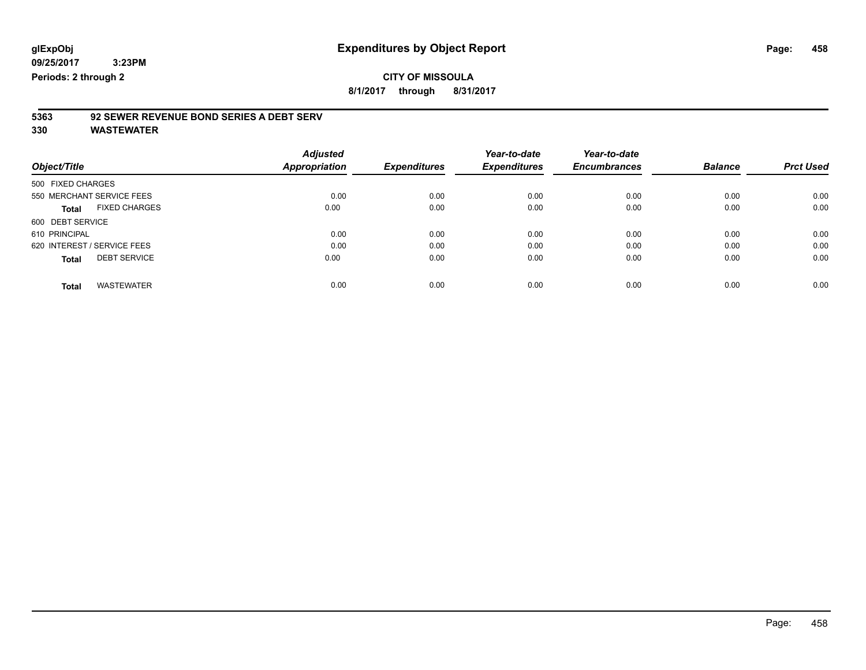### **CITY OF MISSOULA**

**8/1/2017 through 8/31/2017**

### **5363 92 SEWER REVENUE BOND SERIES A DEBT SERV**

| Object/Title                         | <b>Adjusted</b><br>Appropriation | <b>Expenditures</b> | Year-to-date<br><b>Expenditures</b> | Year-to-date<br><b>Encumbrances</b> | <b>Balance</b> | <b>Prct Used</b> |
|--------------------------------------|----------------------------------|---------------------|-------------------------------------|-------------------------------------|----------------|------------------|
| 500 FIXED CHARGES                    |                                  |                     |                                     |                                     |                |                  |
| 550 MERCHANT SERVICE FEES            | 0.00                             | 0.00                | 0.00                                | 0.00                                | 0.00           | 0.00             |
| <b>FIXED CHARGES</b><br><b>Total</b> | 0.00                             | 0.00                | 0.00                                | 0.00                                | 0.00           | 0.00             |
| 600 DEBT SERVICE                     |                                  |                     |                                     |                                     |                |                  |
| 610 PRINCIPAL                        | 0.00                             | 0.00                | 0.00                                | 0.00                                | 0.00           | 0.00             |
| 620 INTEREST / SERVICE FEES          | 0.00                             | 0.00                | 0.00                                | 0.00                                | 0.00           | 0.00             |
| <b>DEBT SERVICE</b><br><b>Total</b>  | 0.00                             | 0.00                | 0.00                                | 0.00                                | 0.00           | 0.00             |
| <b>WASTEWATER</b><br><b>Total</b>    | 0.00                             | 0.00                | 0.00                                | 0.00                                | 0.00           | 0.00             |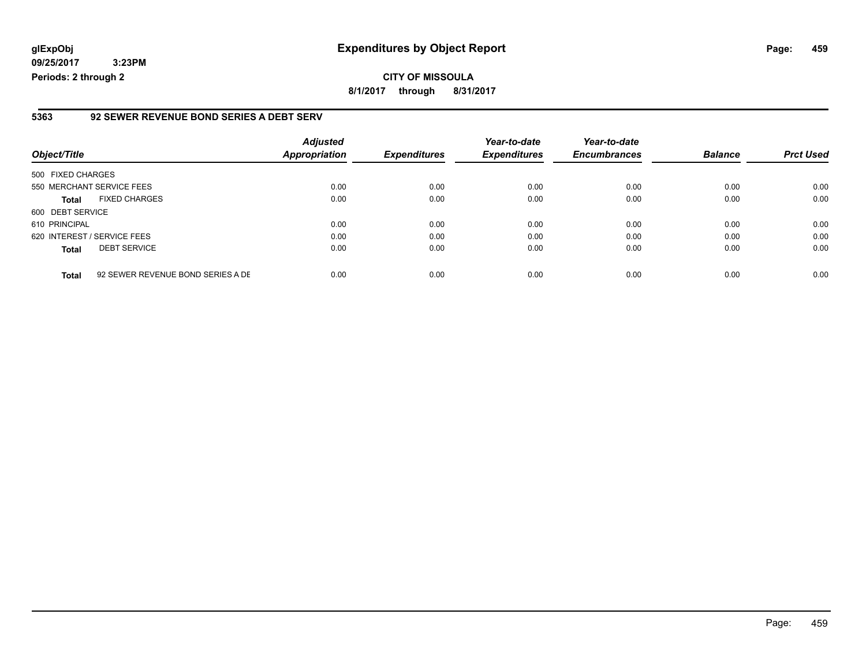**09/25/2017 3:23PM**

#### **5363 92 SEWER REVENUE BOND SERIES A DEBT SERV**

| Object/Title                |                                   | <b>Adjusted</b><br><b>Appropriation</b> | <b>Expenditures</b> | Year-to-date<br><b>Expenditures</b> | Year-to-date<br><b>Encumbrances</b> | <b>Balance</b> | <b>Prct Used</b> |
|-----------------------------|-----------------------------------|-----------------------------------------|---------------------|-------------------------------------|-------------------------------------|----------------|------------------|
| 500 FIXED CHARGES           |                                   |                                         |                     |                                     |                                     |                |                  |
| 550 MERCHANT SERVICE FEES   |                                   | 0.00                                    | 0.00                | 0.00                                | 0.00                                | 0.00           | 0.00             |
| <b>Total</b>                | <b>FIXED CHARGES</b>              | 0.00                                    | 0.00                | 0.00                                | 0.00                                | 0.00           | 0.00             |
| 600 DEBT SERVICE            |                                   |                                         |                     |                                     |                                     |                |                  |
| 610 PRINCIPAL               |                                   | 0.00                                    | 0.00                | 0.00                                | 0.00                                | 0.00           | 0.00             |
| 620 INTEREST / SERVICE FEES |                                   | 0.00                                    | 0.00                | 0.00                                | 0.00                                | 0.00           | 0.00             |
| <b>Total</b>                | <b>DEBT SERVICE</b>               | 0.00                                    | 0.00                | 0.00                                | 0.00                                | 0.00           | 0.00             |
| <b>Total</b>                | 92 SEWER REVENUE BOND SERIES A DE | 0.00                                    | 0.00                | 0.00                                | 0.00                                | 0.00           | 0.00             |

**Periods: 2 through 2**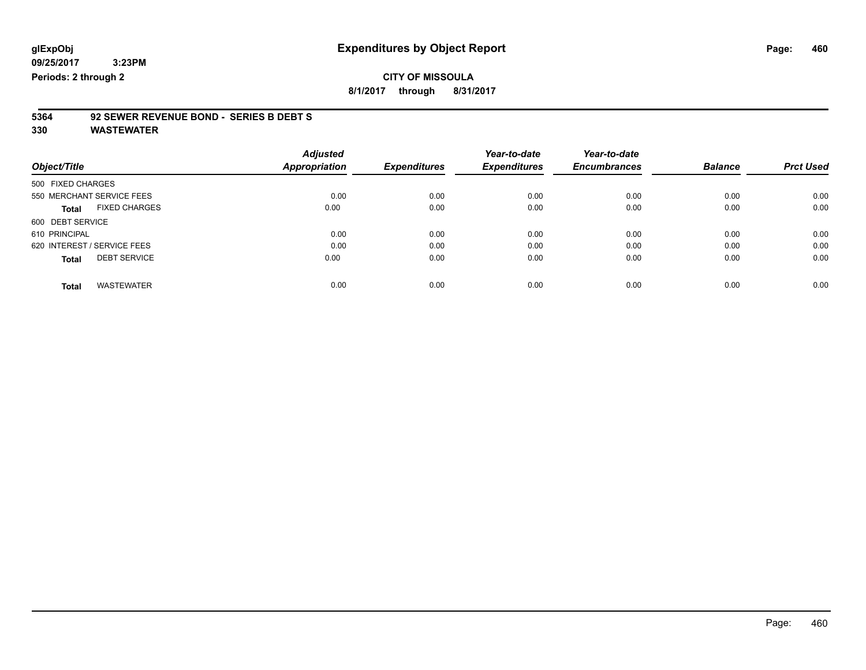**09/25/2017 3:23PM**

**Periods: 2 through 2**

**CITY OF MISSOULA 8/1/2017 through 8/31/2017**

# **5364 92 SEWER REVENUE BOND - SERIES B DEBT S**

|                                      | <b>Adjusted</b> |                     | Year-to-date        | Year-to-date        |                |                  |
|--------------------------------------|-----------------|---------------------|---------------------|---------------------|----------------|------------------|
| Object/Title                         | Appropriation   | <b>Expenditures</b> | <b>Expenditures</b> | <b>Encumbrances</b> | <b>Balance</b> | <b>Prct Used</b> |
| 500 FIXED CHARGES                    |                 |                     |                     |                     |                |                  |
| 550 MERCHANT SERVICE FEES            | 0.00            | 0.00                | 0.00                | 0.00                | 0.00           | 0.00             |
| <b>FIXED CHARGES</b><br><b>Total</b> | 0.00            | 0.00                | 0.00                | 0.00                | 0.00           | 0.00             |
| 600 DEBT SERVICE                     |                 |                     |                     |                     |                |                  |
| 610 PRINCIPAL                        | 0.00            | 0.00                | 0.00                | 0.00                | 0.00           | 0.00             |
| 620 INTEREST / SERVICE FEES          | 0.00            | 0.00                | 0.00                | 0.00                | 0.00           | 0.00             |
| <b>DEBT SERVICE</b><br><b>Total</b>  | 0.00            | 0.00                | 0.00                | 0.00                | 0.00           | 0.00             |
| <b>WASTEWATER</b><br>Total           | 0.00            | 0.00                | 0.00                | 0.00                | 0.00           | 0.00             |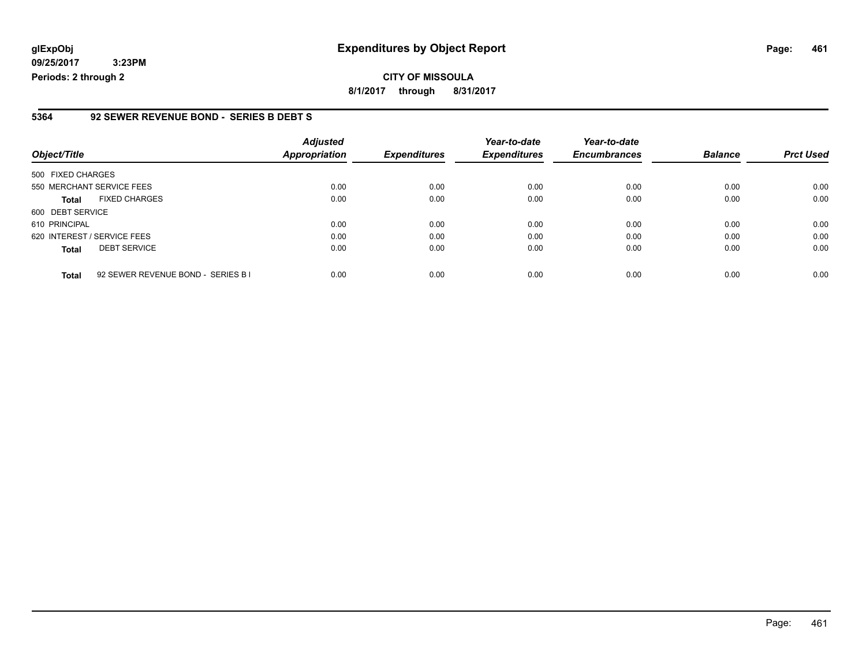**09/25/2017 3:23PM Periods: 2 through 2**

#### **5364 92 SEWER REVENUE BOND - SERIES B DEBT S**

| Object/Title                                       | <b>Adjusted</b><br><b>Appropriation</b> | <b>Expenditures</b> | Year-to-date<br><b>Expenditures</b> | Year-to-date<br><b>Encumbrances</b> | <b>Balance</b> | <b>Prct Used</b> |
|----------------------------------------------------|-----------------------------------------|---------------------|-------------------------------------|-------------------------------------|----------------|------------------|
| 500 FIXED CHARGES                                  |                                         |                     |                                     |                                     |                |                  |
| 550 MERCHANT SERVICE FEES                          | 0.00                                    | 0.00                | 0.00                                | 0.00                                | 0.00           | 0.00             |
| <b>FIXED CHARGES</b><br><b>Total</b>               | 0.00                                    | 0.00                | 0.00                                | 0.00                                | 0.00           | 0.00             |
| 600 DEBT SERVICE                                   |                                         |                     |                                     |                                     |                |                  |
| 610 PRINCIPAL                                      | 0.00                                    | 0.00                | 0.00                                | 0.00                                | 0.00           | 0.00             |
| 620 INTEREST / SERVICE FEES                        | 0.00                                    | 0.00                | 0.00                                | 0.00                                | 0.00           | 0.00             |
| <b>DEBT SERVICE</b><br><b>Total</b>                | 0.00                                    | 0.00                | 0.00                                | 0.00                                | 0.00           | 0.00             |
| 92 SEWER REVENUE BOND - SERIES B I<br><b>Total</b> | 0.00                                    | 0.00                | 0.00                                | 0.00                                | 0.00           | 0.00             |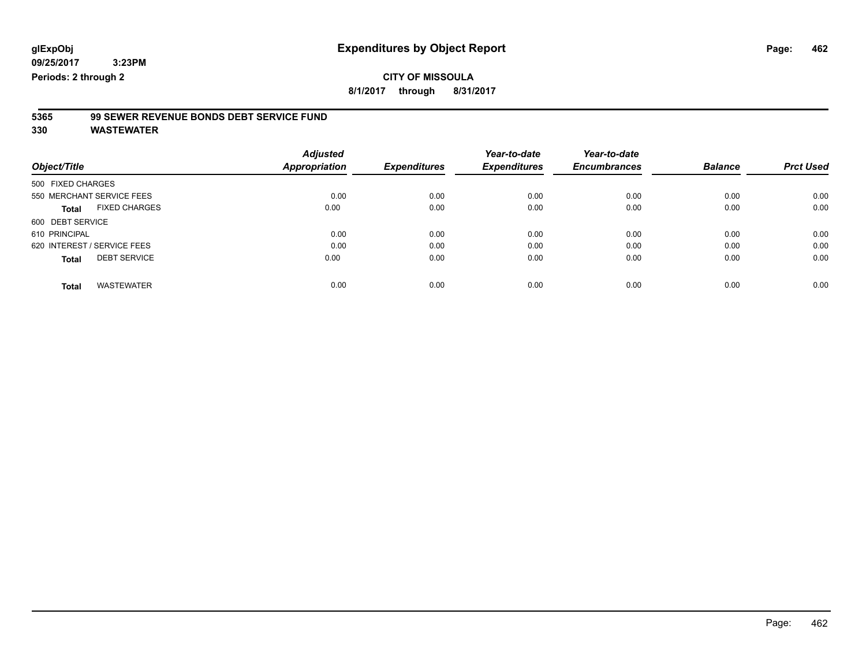### **CITY OF MISSOULA**

**8/1/2017 through 8/31/2017**

### **5365 99 SEWER REVENUE BONDS DEBT SERVICE FUND**

|                                      | <b>Adjusted</b> |                     | Year-to-date        | Year-to-date        |                |                  |
|--------------------------------------|-----------------|---------------------|---------------------|---------------------|----------------|------------------|
| Object/Title                         | Appropriation   | <b>Expenditures</b> | <b>Expenditures</b> | <b>Encumbrances</b> | <b>Balance</b> | <b>Prct Used</b> |
| 500 FIXED CHARGES                    |                 |                     |                     |                     |                |                  |
| 550 MERCHANT SERVICE FEES            | 0.00            | 0.00                | 0.00                | 0.00                | 0.00           | 0.00             |
| <b>FIXED CHARGES</b><br><b>Total</b> | 0.00            | 0.00                | 0.00                | 0.00                | 0.00           | 0.00             |
| 600 DEBT SERVICE                     |                 |                     |                     |                     |                |                  |
| 610 PRINCIPAL                        | 0.00            | 0.00                | 0.00                | 0.00                | 0.00           | 0.00             |
| 620 INTEREST / SERVICE FEES          | 0.00            | 0.00                | 0.00                | 0.00                | 0.00           | 0.00             |
| <b>DEBT SERVICE</b><br><b>Total</b>  | 0.00            | 0.00                | 0.00                | 0.00                | 0.00           | 0.00             |
|                                      |                 |                     |                     |                     |                |                  |
| <b>WASTEWATER</b><br>Total           | 0.00            | 0.00                | 0.00                | 0.00                | 0.00           | 0.00             |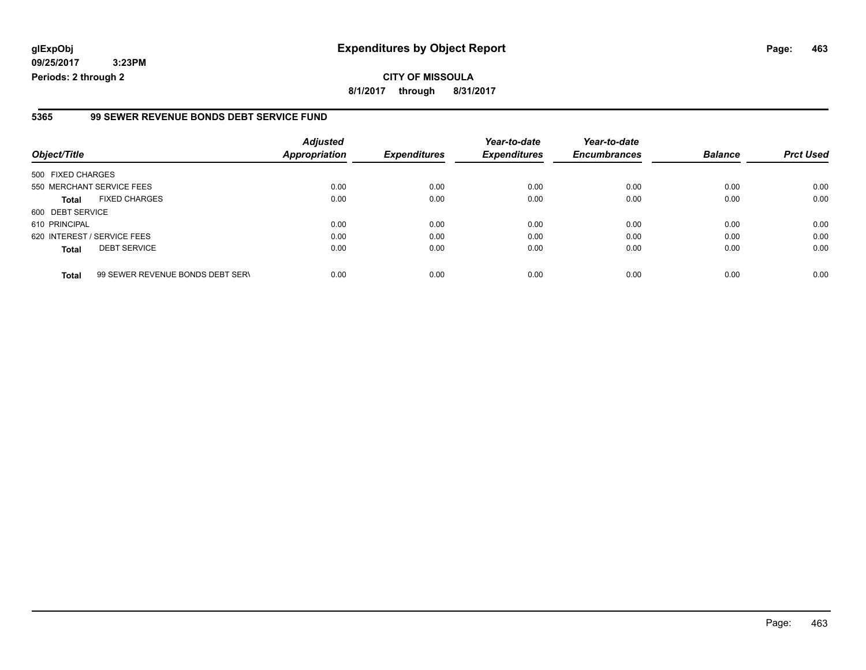**09/25/2017 3:23PM Periods: 2 through 2**

#### **5365 99 SEWER REVENUE BONDS DEBT SERVICE FUND**

| Object/Title                |                                  | <b>Adjusted</b><br><b>Appropriation</b> | <b>Expenditures</b> | Year-to-date<br><b>Expenditures</b> | Year-to-date<br><b>Encumbrances</b> | <b>Balance</b> | <b>Prct Used</b> |
|-----------------------------|----------------------------------|-----------------------------------------|---------------------|-------------------------------------|-------------------------------------|----------------|------------------|
| 500 FIXED CHARGES           |                                  |                                         |                     |                                     |                                     |                |                  |
| 550 MERCHANT SERVICE FEES   |                                  | 0.00                                    | 0.00                | 0.00                                | 0.00                                | 0.00           | 0.00             |
| <b>Total</b>                | <b>FIXED CHARGES</b>             | 0.00                                    | 0.00                | 0.00                                | 0.00                                | 0.00           | 0.00             |
| 600 DEBT SERVICE            |                                  |                                         |                     |                                     |                                     |                |                  |
| 610 PRINCIPAL               |                                  | 0.00                                    | 0.00                | 0.00                                | 0.00                                | 0.00           | 0.00             |
| 620 INTEREST / SERVICE FEES |                                  | 0.00                                    | 0.00                | 0.00                                | 0.00                                | 0.00           | 0.00             |
| <b>Total</b>                | <b>DEBT SERVICE</b>              | 0.00                                    | 0.00                | 0.00                                | 0.00                                | 0.00           | 0.00             |
| <b>Total</b>                | 99 SEWER REVENUE BONDS DEBT SERV | 0.00                                    | 0.00                | 0.00                                | 0.00                                | 0.00           | 0.00             |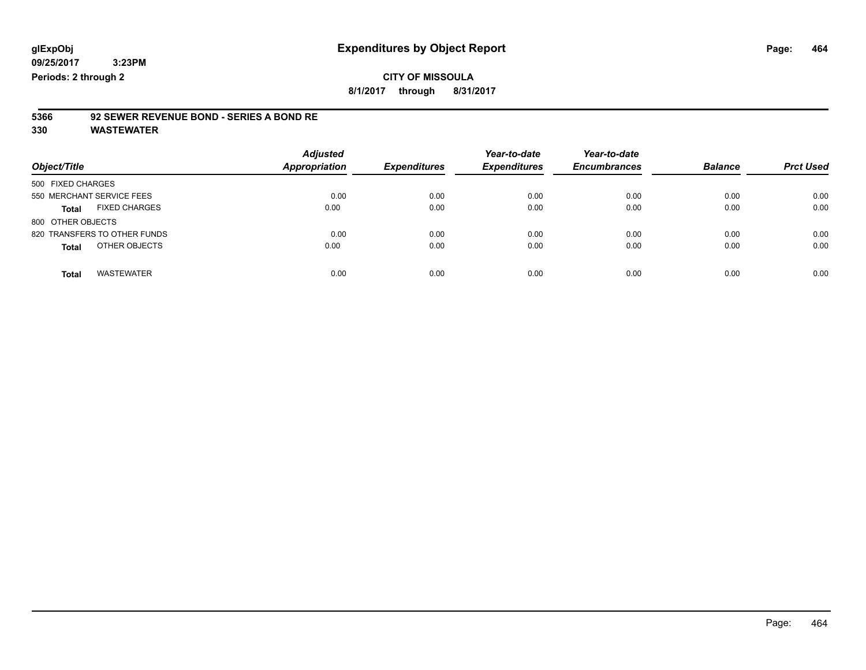### **CITY OF MISSOULA**

**8/1/2017 through 8/31/2017**

# **5366 92 SEWER REVENUE BOND - SERIES A BOND RE**

| Object/Title                         | <b>Adjusted</b><br><b>Appropriation</b> | <b>Expenditures</b> | Year-to-date<br><b>Expenditures</b> | Year-to-date<br><b>Encumbrances</b> | <b>Balance</b> | <b>Prct Used</b> |
|--------------------------------------|-----------------------------------------|---------------------|-------------------------------------|-------------------------------------|----------------|------------------|
| 500 FIXED CHARGES                    |                                         |                     |                                     |                                     |                |                  |
| 550 MERCHANT SERVICE FEES            | 0.00                                    | 0.00                | 0.00                                | 0.00                                | 0.00           | 0.00             |
| <b>FIXED CHARGES</b><br><b>Total</b> | 0.00                                    | 0.00                | 0.00                                | 0.00                                | 0.00           | 0.00             |
| 800 OTHER OBJECTS                    |                                         |                     |                                     |                                     |                |                  |
| 820 TRANSFERS TO OTHER FUNDS         | 0.00                                    | 0.00                | 0.00                                | 0.00                                | 0.00           | 0.00             |
| OTHER OBJECTS<br><b>Total</b>        | 0.00                                    | 0.00                | 0.00                                | 0.00                                | 0.00           | 0.00             |
| <b>WASTEWATER</b><br><b>Total</b>    | 0.00                                    | 0.00                | 0.00                                | 0.00                                | 0.00           | 0.00             |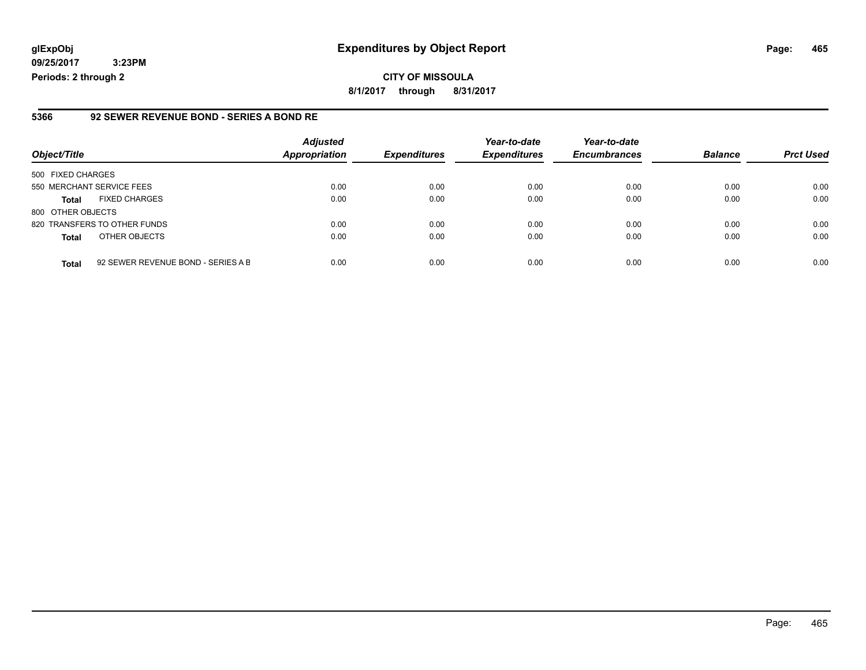**09/25/2017 3:23PM Periods: 2 through 2**

#### **5366 92 SEWER REVENUE BOND - SERIES A BOND RE**

| Object/Title                 |                                    | <b>Adjusted</b><br><b>Appropriation</b> | <b>Expenditures</b> | Year-to-date<br><b>Expenditures</b> | Year-to-date<br><b>Encumbrances</b> | <b>Balance</b> | <b>Prct Used</b> |
|------------------------------|------------------------------------|-----------------------------------------|---------------------|-------------------------------------|-------------------------------------|----------------|------------------|
| 500 FIXED CHARGES            |                                    |                                         |                     |                                     |                                     |                |                  |
| 550 MERCHANT SERVICE FEES    |                                    | 0.00                                    | 0.00                | 0.00                                | 0.00                                | 0.00           | 0.00             |
| <b>Total</b>                 | <b>FIXED CHARGES</b>               | 0.00                                    | 0.00                | 0.00                                | 0.00                                | 0.00           | 0.00             |
| 800 OTHER OBJECTS            |                                    |                                         |                     |                                     |                                     |                |                  |
| 820 TRANSFERS TO OTHER FUNDS |                                    | 0.00                                    | 0.00                | 0.00                                | 0.00                                | 0.00           | 0.00             |
| <b>Total</b>                 | OTHER OBJECTS                      | 0.00                                    | 0.00                | 0.00                                | 0.00                                | 0.00           | 0.00             |
| <b>Total</b>                 | 92 SEWER REVENUE BOND - SERIES A B | 0.00                                    | 0.00                | 0.00                                | 0.00                                | 0.00           | 0.00             |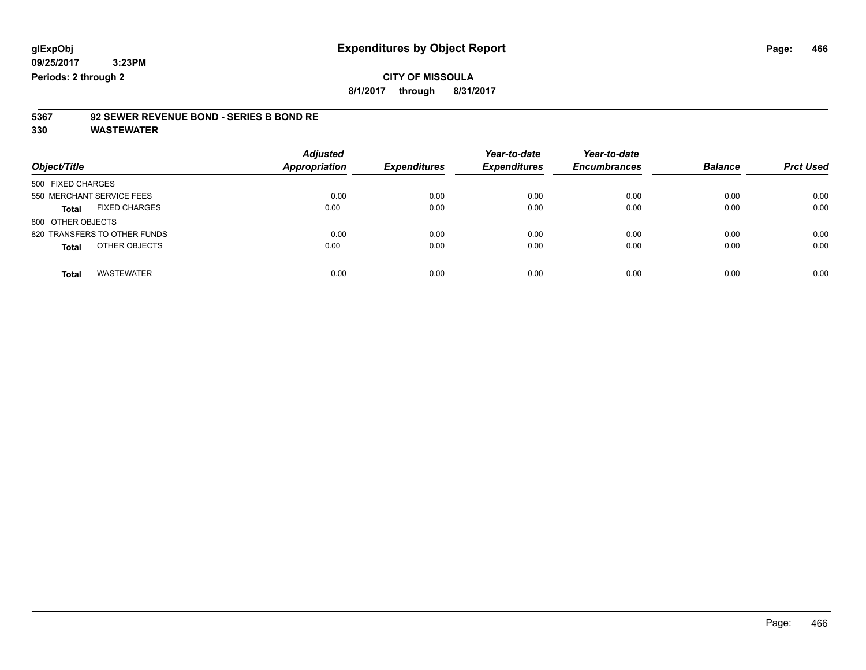### **CITY OF MISSOULA**

**8/1/2017 through 8/31/2017**

# **5367 92 SEWER REVENUE BOND - SERIES B BOND RE**

| Object/Title                         | <b>Adjusted</b><br><b>Appropriation</b> | <b>Expenditures</b> | Year-to-date<br><b>Expenditures</b> | Year-to-date<br><b>Encumbrances</b> | <b>Balance</b> | <b>Prct Used</b> |
|--------------------------------------|-----------------------------------------|---------------------|-------------------------------------|-------------------------------------|----------------|------------------|
| 500 FIXED CHARGES                    |                                         |                     |                                     |                                     |                |                  |
| 550 MERCHANT SERVICE FEES            | 0.00                                    | 0.00                | 0.00                                | 0.00                                | 0.00           | 0.00             |
| <b>FIXED CHARGES</b><br><b>Total</b> | 0.00                                    | 0.00                | 0.00                                | 0.00                                | 0.00           | 0.00             |
| 800 OTHER OBJECTS                    |                                         |                     |                                     |                                     |                |                  |
| 820 TRANSFERS TO OTHER FUNDS         | 0.00                                    | 0.00                | 0.00                                | 0.00                                | 0.00           | 0.00             |
| OTHER OBJECTS<br><b>Total</b>        | 0.00                                    | 0.00                | 0.00                                | 0.00                                | 0.00           | 0.00             |
|                                      |                                         |                     |                                     |                                     |                |                  |
| <b>WASTEWATER</b><br><b>Total</b>    | 0.00                                    | 0.00                | 0.00                                | 0.00                                | 0.00           | 0.00             |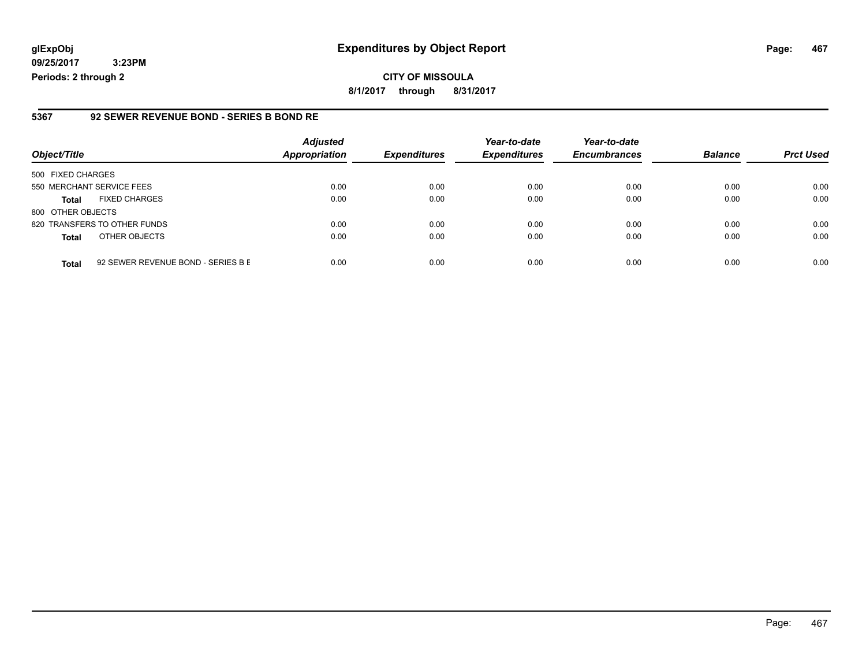**09/25/2017 3:23PM Periods: 2 through 2**

#### **5367 92 SEWER REVENUE BOND - SERIES B BOND RE**

| Object/Title              |                                    | <b>Adjusted</b><br><b>Appropriation</b> | <b>Expenditures</b> | Year-to-date<br><b>Expenditures</b> | Year-to-date<br><b>Encumbrances</b> | <b>Balance</b> | <b>Prct Used</b> |
|---------------------------|------------------------------------|-----------------------------------------|---------------------|-------------------------------------|-------------------------------------|----------------|------------------|
| 500 FIXED CHARGES         |                                    |                                         |                     |                                     |                                     |                |                  |
| 550 MERCHANT SERVICE FEES |                                    | 0.00                                    | 0.00                | 0.00                                | 0.00                                | 0.00           | 0.00             |
| <b>Total</b>              | <b>FIXED CHARGES</b>               | 0.00                                    | 0.00                | 0.00                                | 0.00                                | 0.00           | 0.00             |
| 800 OTHER OBJECTS         |                                    |                                         |                     |                                     |                                     |                |                  |
|                           | 820 TRANSFERS TO OTHER FUNDS       | 0.00                                    | 0.00                | 0.00                                | 0.00                                | 0.00           | 0.00             |
| <b>Total</b>              | OTHER OBJECTS                      | 0.00                                    | 0.00                | 0.00                                | 0.00                                | 0.00           | 0.00             |
| <b>Total</b>              | 92 SEWER REVENUE BOND - SERIES B E | 0.00                                    | 0.00                | 0.00                                | 0.00                                | 0.00           | 0.00             |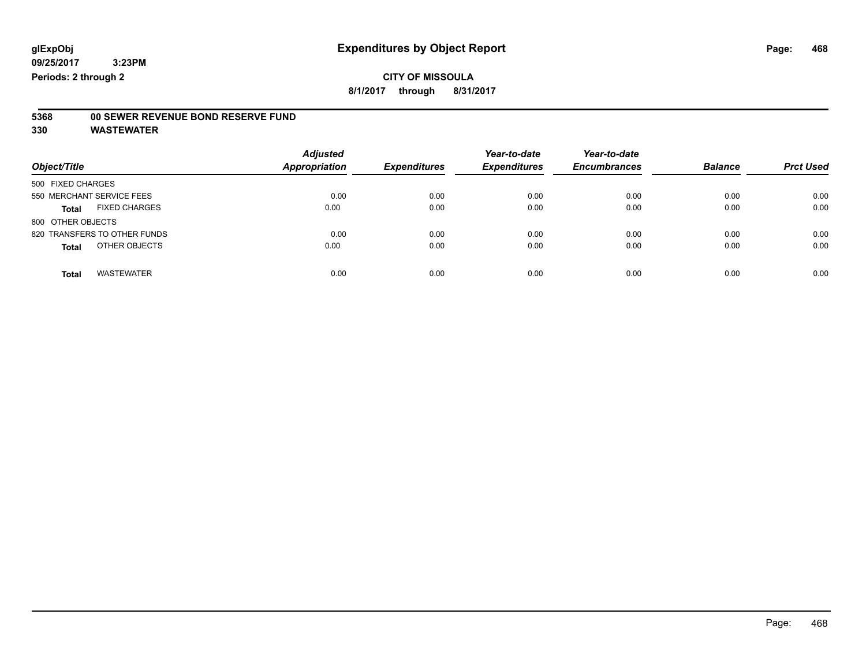### **CITY OF MISSOULA**

**8/1/2017 through 8/31/2017**

### **5368 00 SEWER REVENUE BOND RESERVE FUND**

| Object/Title                         | <b>Adjusted</b><br><b>Appropriation</b> | <b>Expenditures</b> | Year-to-date<br><b>Expenditures</b> | Year-to-date<br><b>Encumbrances</b> | <b>Balance</b> | <b>Prct Used</b> |
|--------------------------------------|-----------------------------------------|---------------------|-------------------------------------|-------------------------------------|----------------|------------------|
| 500 FIXED CHARGES                    |                                         |                     |                                     |                                     |                |                  |
| 550 MERCHANT SERVICE FEES            | 0.00                                    | 0.00                | 0.00                                | 0.00                                | 0.00           | 0.00             |
| <b>FIXED CHARGES</b><br><b>Total</b> | 0.00                                    | 0.00                | 0.00                                | 0.00                                | 0.00           | 0.00             |
| 800 OTHER OBJECTS                    |                                         |                     |                                     |                                     |                |                  |
| 820 TRANSFERS TO OTHER FUNDS         | 0.00                                    | 0.00                | 0.00                                | 0.00                                | 0.00           | 0.00             |
| OTHER OBJECTS<br><b>Total</b>        | 0.00                                    | 0.00                | 0.00                                | 0.00                                | 0.00           | 0.00             |
| <b>WASTEWATER</b><br><b>Total</b>    | 0.00                                    | 0.00                | 0.00                                | 0.00                                | 0.00           | 0.00             |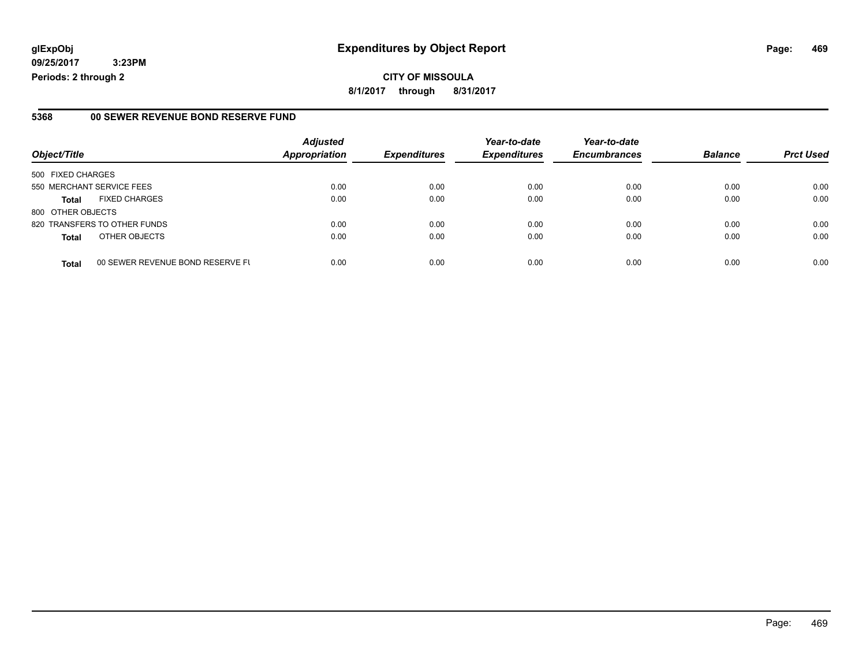**CITY OF MISSOULA 8/1/2017 through 8/31/2017**

#### **5368 00 SEWER REVENUE BOND RESERVE FUND**

|                           |                                  | <b>Adjusted</b>      |                     | Year-to-date        | Year-to-date        |                |                  |
|---------------------------|----------------------------------|----------------------|---------------------|---------------------|---------------------|----------------|------------------|
| Object/Title              |                                  | <b>Appropriation</b> | <b>Expenditures</b> | <b>Expenditures</b> | <b>Encumbrances</b> | <b>Balance</b> | <b>Prct Used</b> |
| 500 FIXED CHARGES         |                                  |                      |                     |                     |                     |                |                  |
| 550 MERCHANT SERVICE FEES |                                  | 0.00                 | 0.00                | 0.00                | 0.00                | 0.00           | 0.00             |
| <b>Total</b>              | <b>FIXED CHARGES</b>             | 0.00                 | 0.00                | 0.00                | 0.00                | 0.00           | 0.00             |
| 800 OTHER OBJECTS         |                                  |                      |                     |                     |                     |                |                  |
|                           | 820 TRANSFERS TO OTHER FUNDS     | 0.00                 | 0.00                | 0.00                | 0.00                | 0.00           | 0.00             |
| <b>Total</b>              | OTHER OBJECTS                    | 0.00                 | 0.00                | 0.00                | 0.00                | 0.00           | 0.00             |
| <b>Total</b>              | 00 SEWER REVENUE BOND RESERVE FL | 0.00                 | 0.00                | 0.00                | 0.00                | 0.00           | 0.00             |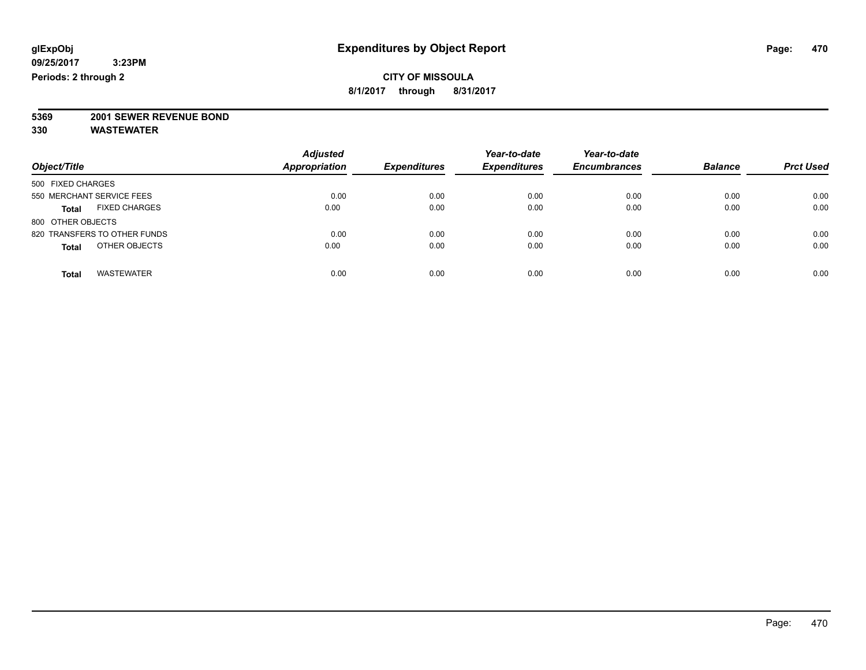**8/1/2017 through 8/31/2017**

# **5369 2001 SEWER REVENUE BOND**

| Object/Title                         | <b>Adjusted</b><br><b>Appropriation</b> | <b>Expenditures</b> | Year-to-date<br><b>Expenditures</b> | Year-to-date<br><b>Encumbrances</b> | <b>Balance</b> | <b>Prct Used</b> |
|--------------------------------------|-----------------------------------------|---------------------|-------------------------------------|-------------------------------------|----------------|------------------|
| 500 FIXED CHARGES                    |                                         |                     |                                     |                                     |                |                  |
| 550 MERCHANT SERVICE FEES            | 0.00                                    | 0.00                | 0.00                                | 0.00                                | 0.00           | 0.00             |
| <b>FIXED CHARGES</b><br><b>Total</b> | 0.00                                    | 0.00                | 0.00                                | 0.00                                | 0.00           | 0.00             |
| 800 OTHER OBJECTS                    |                                         |                     |                                     |                                     |                |                  |
| 820 TRANSFERS TO OTHER FUNDS         | 0.00                                    | 0.00                | 0.00                                | 0.00                                | 0.00           | 0.00             |
| OTHER OBJECTS<br><b>Total</b>        | 0.00                                    | 0.00                | 0.00                                | 0.00                                | 0.00           | 0.00             |
| <b>WASTEWATER</b><br><b>Total</b>    | 0.00                                    | 0.00                | 0.00                                | 0.00                                | 0.00           | 0.00             |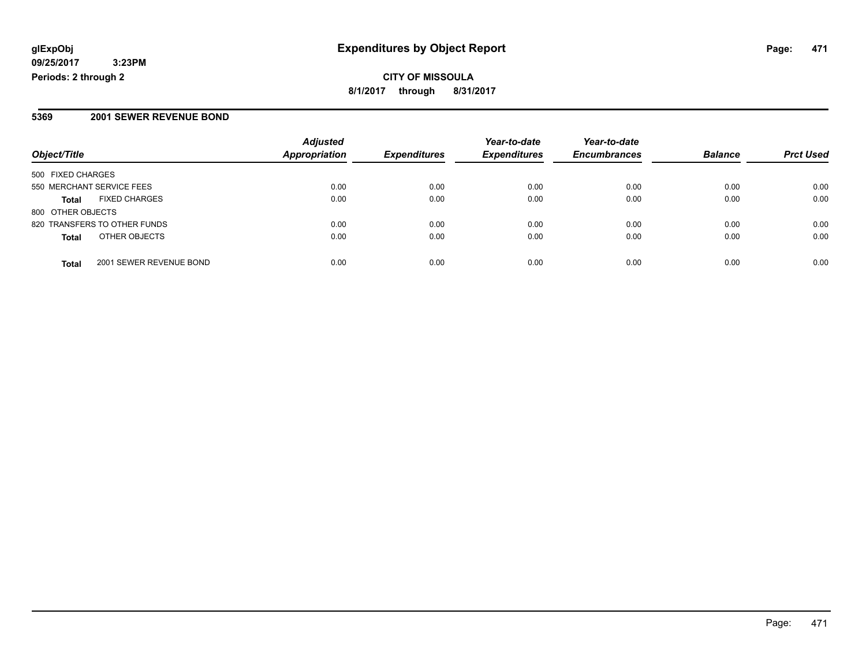#### **CITY OF MISSOULA 8/1/2017 through 8/31/2017**

#### **5369 2001 SEWER REVENUE BOND**

|                              |                         | <b>Adjusted</b>      |                     | Year-to-date        | Year-to-date        |                |                  |
|------------------------------|-------------------------|----------------------|---------------------|---------------------|---------------------|----------------|------------------|
| Object/Title                 |                         | <b>Appropriation</b> | <b>Expenditures</b> | <b>Expenditures</b> | <b>Encumbrances</b> | <b>Balance</b> | <b>Prct Used</b> |
| 500 FIXED CHARGES            |                         |                      |                     |                     |                     |                |                  |
| 550 MERCHANT SERVICE FEES    |                         | 0.00                 | 0.00                | 0.00                | 0.00                | 0.00           | 0.00             |
| <b>Total</b>                 | <b>FIXED CHARGES</b>    | 0.00                 | 0.00                | 0.00                | 0.00                | 0.00           | 0.00             |
| 800 OTHER OBJECTS            |                         |                      |                     |                     |                     |                |                  |
| 820 TRANSFERS TO OTHER FUNDS |                         | 0.00                 | 0.00                | 0.00                | 0.00                | 0.00           | 0.00             |
| <b>Total</b>                 | OTHER OBJECTS           | 0.00                 | 0.00                | 0.00                | 0.00                | 0.00           | 0.00             |
| <b>Total</b>                 | 2001 SEWER REVENUE BOND | 0.00                 | 0.00                | 0.00                | 0.00                | 0.00           | 0.00             |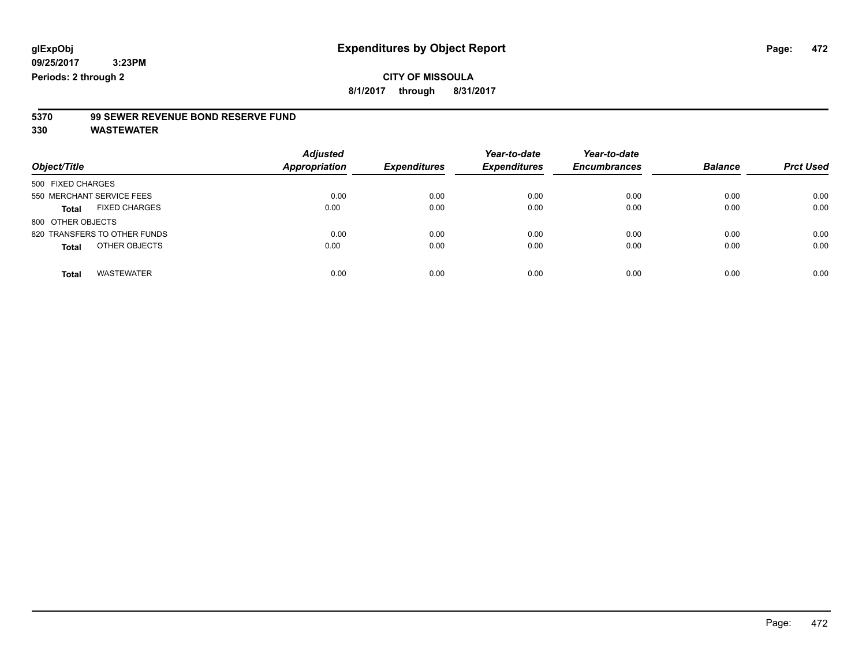**8/1/2017 through 8/31/2017**

# **5370 99 SEWER REVENUE BOND RESERVE FUND**

| Object/Title                         | <b>Adjusted</b><br>Appropriation | <b>Expenditures</b> | Year-to-date<br><b>Expenditures</b> | Year-to-date<br><b>Encumbrances</b> | <b>Balance</b> | <b>Prct Used</b> |
|--------------------------------------|----------------------------------|---------------------|-------------------------------------|-------------------------------------|----------------|------------------|
| 500 FIXED CHARGES                    |                                  |                     |                                     |                                     |                |                  |
| 550 MERCHANT SERVICE FEES            | 0.00                             | 0.00                | 0.00                                | 0.00                                | 0.00           | 0.00             |
| <b>FIXED CHARGES</b><br><b>Total</b> | 0.00                             | 0.00                | 0.00                                | 0.00                                | 0.00           | 0.00             |
| 800 OTHER OBJECTS                    |                                  |                     |                                     |                                     |                |                  |
| 820 TRANSFERS TO OTHER FUNDS         | 0.00                             | 0.00                | 0.00                                | 0.00                                | 0.00           | 0.00             |
| OTHER OBJECTS<br><b>Total</b>        | 0.00                             | 0.00                | 0.00                                | 0.00                                | 0.00           | 0.00             |
| <b>WASTEWATER</b><br><b>Total</b>    | 0.00                             | 0.00                | 0.00                                | 0.00                                | 0.00           | 0.00             |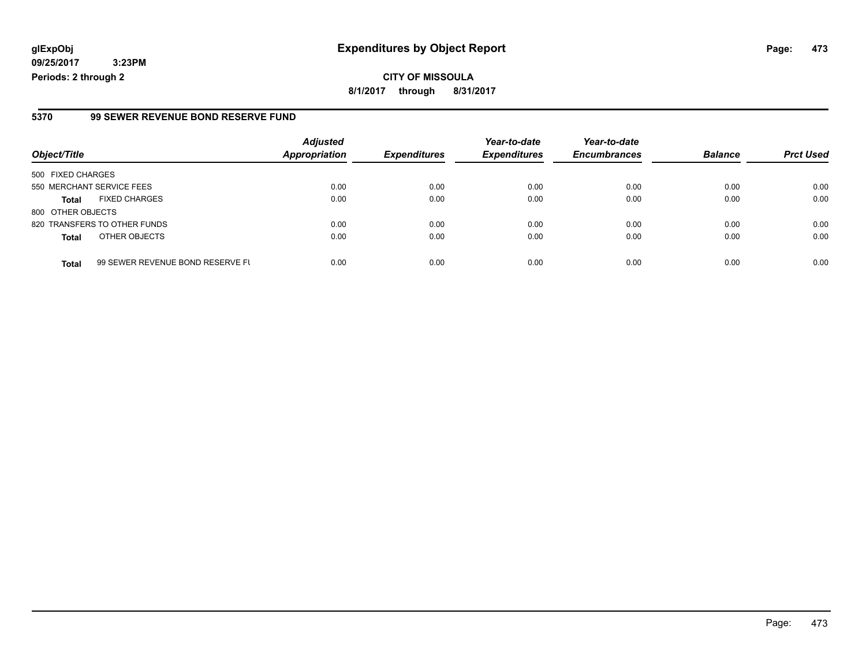**CITY OF MISSOULA 8/1/2017 through 8/31/2017**

#### **5370 99 SEWER REVENUE BOND RESERVE FUND**

|                           |                                  | <b>Adjusted</b>      |                     | Year-to-date        | Year-to-date        |                |                  |
|---------------------------|----------------------------------|----------------------|---------------------|---------------------|---------------------|----------------|------------------|
| Object/Title              |                                  | <b>Appropriation</b> | <b>Expenditures</b> | <b>Expenditures</b> | <b>Encumbrances</b> | <b>Balance</b> | <b>Prct Used</b> |
| 500 FIXED CHARGES         |                                  |                      |                     |                     |                     |                |                  |
| 550 MERCHANT SERVICE FEES |                                  | 0.00                 | 0.00                | 0.00                | 0.00                | 0.00           | 0.00             |
| <b>Total</b>              | <b>FIXED CHARGES</b>             | 0.00                 | 0.00                | 0.00                | 0.00                | 0.00           | 0.00             |
| 800 OTHER OBJECTS         |                                  |                      |                     |                     |                     |                |                  |
|                           | 820 TRANSFERS TO OTHER FUNDS     | 0.00                 | 0.00                | 0.00                | 0.00                | 0.00           | 0.00             |
| <b>Total</b>              | OTHER OBJECTS                    | 0.00                 | 0.00                | 0.00                | 0.00                | 0.00           | 0.00             |
| <b>Total</b>              | 99 SEWER REVENUE BOND RESERVE FL | 0.00                 | 0.00                | 0.00                | 0.00                | 0.00           | 0.00             |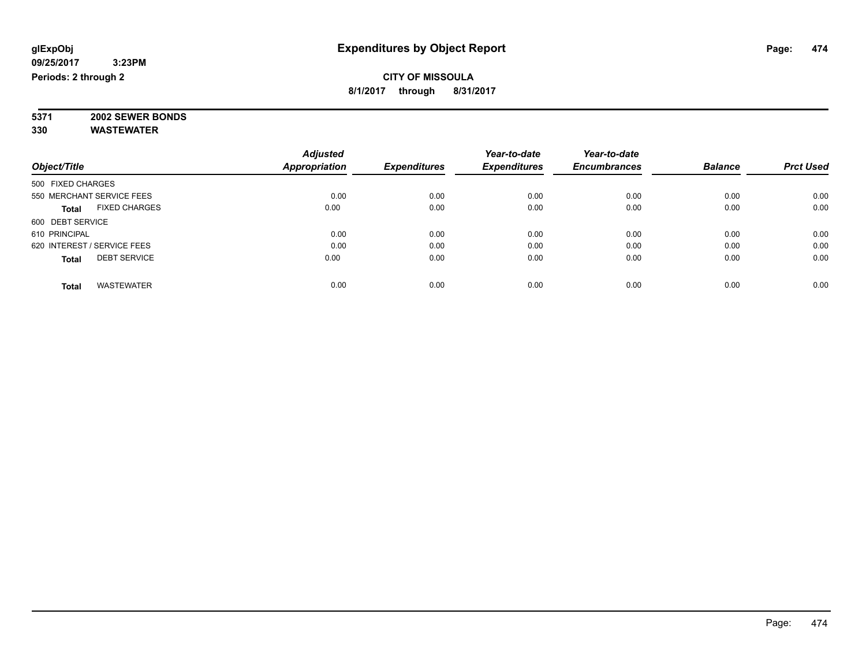#### **CITY OF MISSOULA 8/1/2017 through 8/31/2017**

**5371 2002 SEWER BONDS 330 WASTEWATER**

|                                      | <b>Adjusted</b> |                     | Year-to-date        | Year-to-date        |                |                  |
|--------------------------------------|-----------------|---------------------|---------------------|---------------------|----------------|------------------|
| Object/Title                         | Appropriation   | <b>Expenditures</b> | <b>Expenditures</b> | <b>Encumbrances</b> | <b>Balance</b> | <b>Prct Used</b> |
| 500 FIXED CHARGES                    |                 |                     |                     |                     |                |                  |
| 550 MERCHANT SERVICE FEES            | 0.00            | 0.00                | 0.00                | 0.00                | 0.00           | 0.00             |
| <b>FIXED CHARGES</b><br><b>Total</b> | 0.00            | 0.00                | 0.00                | 0.00                | 0.00           | 0.00             |
| 600 DEBT SERVICE                     |                 |                     |                     |                     |                |                  |
| 610 PRINCIPAL                        | 0.00            | 0.00                | 0.00                | 0.00                | 0.00           | 0.00             |
| 620 INTEREST / SERVICE FEES          | 0.00            | 0.00                | 0.00                | 0.00                | 0.00           | 0.00             |
| <b>DEBT SERVICE</b><br><b>Total</b>  | 0.00            | 0.00                | 0.00                | 0.00                | 0.00           | 0.00             |
| <b>WASTEWATER</b><br><b>Total</b>    | 0.00            | 0.00                | 0.00                | 0.00                | 0.00           | 0.00             |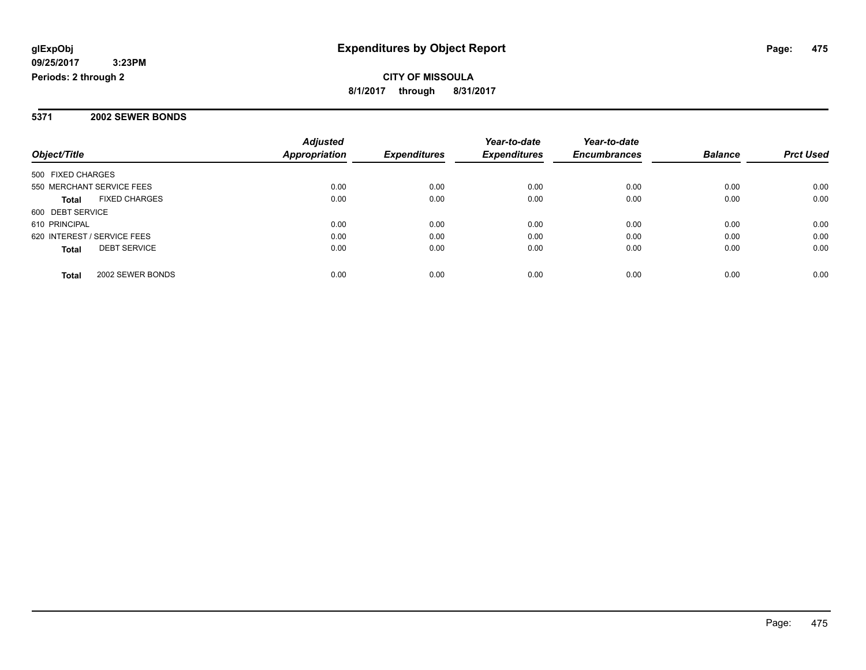**CITY OF MISSOULA 8/1/2017 through 8/31/2017**

#### **5371 2002 SEWER BONDS**

|                                      | <b>Adjusted</b> |                     | Year-to-date        | Year-to-date        |                |                  |
|--------------------------------------|-----------------|---------------------|---------------------|---------------------|----------------|------------------|
| Object/Title                         | Appropriation   | <b>Expenditures</b> | <b>Expenditures</b> | <b>Encumbrances</b> | <b>Balance</b> | <b>Prct Used</b> |
| 500 FIXED CHARGES                    |                 |                     |                     |                     |                |                  |
| 550 MERCHANT SERVICE FEES            | 0.00            | 0.00                | 0.00                | 0.00                | 0.00           | 0.00             |
| <b>FIXED CHARGES</b><br><b>Total</b> | 0.00            | 0.00                | 0.00                | 0.00                | 0.00           | 0.00             |
| 600 DEBT SERVICE                     |                 |                     |                     |                     |                |                  |
| 610 PRINCIPAL                        | 0.00            | 0.00                | 0.00                | 0.00                | 0.00           | 0.00             |
| 620 INTEREST / SERVICE FEES          | 0.00            | 0.00                | 0.00                | 0.00                | 0.00           | 0.00             |
| <b>DEBT SERVICE</b><br><b>Total</b>  | 0.00            | 0.00                | 0.00                | 0.00                | 0.00           | 0.00             |
| 2002 SEWER BONDS<br><b>Total</b>     | 0.00            | 0.00                | 0.00                | 0.00                | 0.00           | 0.00             |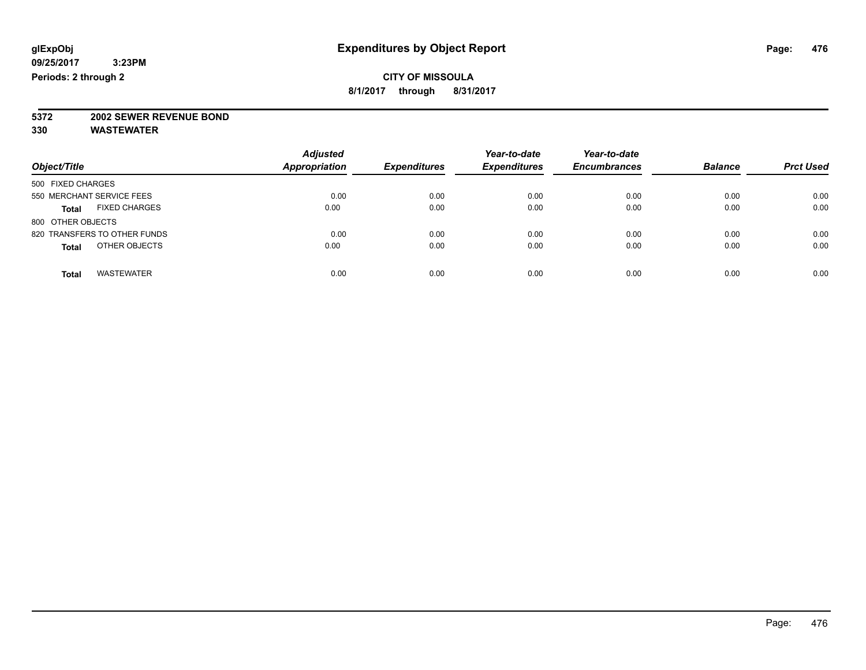**8/1/2017 through 8/31/2017**

# **5372 2002 SEWER REVENUE BOND**

| Object/Title                         | <b>Adjusted</b><br><b>Appropriation</b> | <b>Expenditures</b> | Year-to-date<br><b>Expenditures</b> | Year-to-date<br><b>Encumbrances</b> | <b>Balance</b> | <b>Prct Used</b> |
|--------------------------------------|-----------------------------------------|---------------------|-------------------------------------|-------------------------------------|----------------|------------------|
| 500 FIXED CHARGES                    |                                         |                     |                                     |                                     |                |                  |
| 550 MERCHANT SERVICE FEES            | 0.00                                    | 0.00                | 0.00                                | 0.00                                | 0.00           | 0.00             |
| <b>FIXED CHARGES</b><br><b>Total</b> | 0.00                                    | 0.00                | 0.00                                | 0.00                                | 0.00           | 0.00             |
| 800 OTHER OBJECTS                    |                                         |                     |                                     |                                     |                |                  |
| 820 TRANSFERS TO OTHER FUNDS         | 0.00                                    | 0.00                | 0.00                                | 0.00                                | 0.00           | 0.00             |
| OTHER OBJECTS<br><b>Total</b>        | 0.00                                    | 0.00                | 0.00                                | 0.00                                | 0.00           | 0.00             |
| <b>WASTEWATER</b><br><b>Total</b>    | 0.00                                    | 0.00                | 0.00                                | 0.00                                | 0.00           | 0.00             |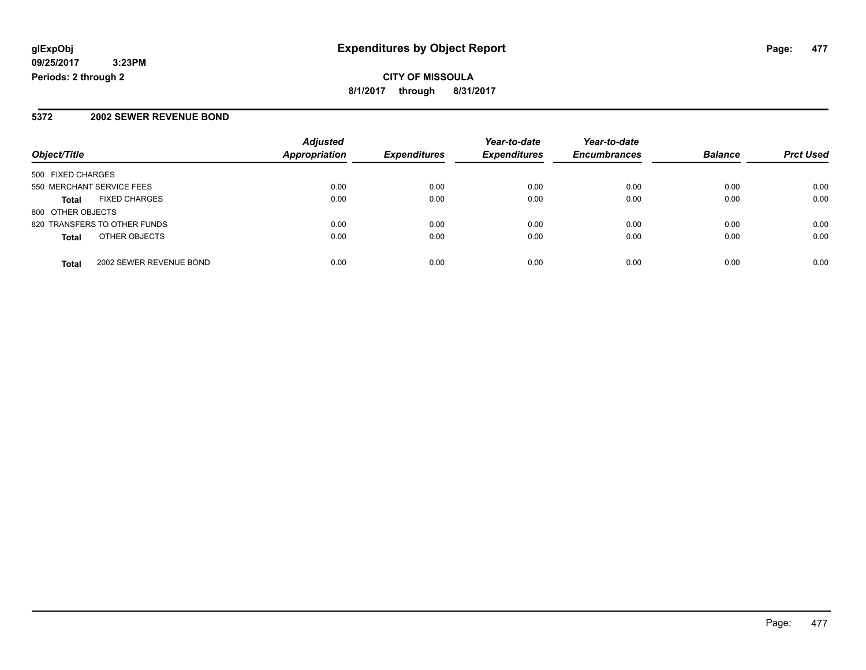**CITY OF MISSOULA 8/1/2017 through 8/31/2017**

#### **5372 2002 SEWER REVENUE BOND**

|                                         | <b>Adjusted</b>      |                     | Year-to-date        | Year-to-date        |                |                  |
|-----------------------------------------|----------------------|---------------------|---------------------|---------------------|----------------|------------------|
| Object/Title                            | <b>Appropriation</b> | <b>Expenditures</b> | <b>Expenditures</b> | <b>Encumbrances</b> | <b>Balance</b> | <b>Prct Used</b> |
| 500 FIXED CHARGES                       |                      |                     |                     |                     |                |                  |
| 550 MERCHANT SERVICE FEES               | 0.00                 | 0.00                | 0.00                | 0.00                | 0.00           | 0.00             |
| <b>FIXED CHARGES</b><br><b>Total</b>    | 0.00                 | 0.00                | 0.00                | 0.00                | 0.00           | 0.00             |
| 800 OTHER OBJECTS                       |                      |                     |                     |                     |                |                  |
| 820 TRANSFERS TO OTHER FUNDS            | 0.00                 | 0.00                | 0.00                | 0.00                | 0.00           | 0.00             |
| OTHER OBJECTS<br><b>Total</b>           | 0.00                 | 0.00                | 0.00                | 0.00                | 0.00           | 0.00             |
| 2002 SEWER REVENUE BOND<br><b>Total</b> | 0.00                 | 0.00                | 0.00                | 0.00                | 0.00           | 0.00             |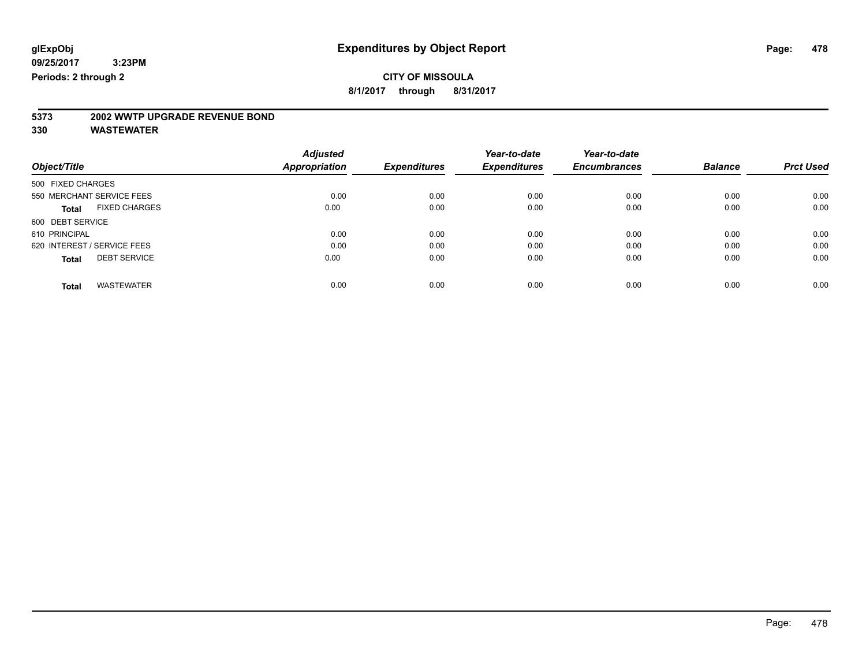**8/1/2017 through 8/31/2017**

# **5373 2002 WWTP UPGRADE REVENUE BOND**

|                                      | <b>Adjusted</b> |                     | Year-to-date        | Year-to-date        |                |                  |
|--------------------------------------|-----------------|---------------------|---------------------|---------------------|----------------|------------------|
| Object/Title                         | Appropriation   | <b>Expenditures</b> | <b>Expenditures</b> | <b>Encumbrances</b> | <b>Balance</b> | <b>Prct Used</b> |
| 500 FIXED CHARGES                    |                 |                     |                     |                     |                |                  |
| 550 MERCHANT SERVICE FEES            | 0.00            | 0.00                | 0.00                | 0.00                | 0.00           | 0.00             |
| <b>FIXED CHARGES</b><br><b>Total</b> | 0.00            | 0.00                | 0.00                | 0.00                | 0.00           | 0.00             |
| 600 DEBT SERVICE                     |                 |                     |                     |                     |                |                  |
| 610 PRINCIPAL                        | 0.00            | 0.00                | 0.00                | 0.00                | 0.00           | 0.00             |
| 620 INTEREST / SERVICE FEES          | 0.00            | 0.00                | 0.00                | 0.00                | 0.00           | 0.00             |
| <b>DEBT SERVICE</b><br><b>Total</b>  | 0.00            | 0.00                | 0.00                | 0.00                | 0.00           | 0.00             |
|                                      |                 |                     |                     |                     |                |                  |
| <b>WASTEWATER</b><br><b>Total</b>    | 0.00            | 0.00                | 0.00                | 0.00                | 0.00           | 0.00             |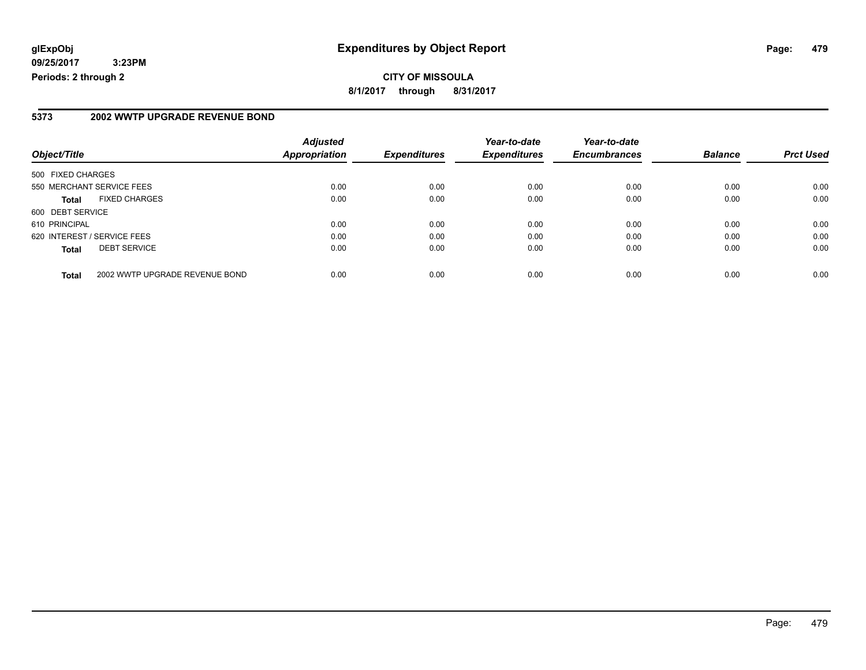**CITY OF MISSOULA 8/1/2017 through 8/31/2017**

#### **5373 2002 WWTP UPGRADE REVENUE BOND**

| Object/Title                |                                | <b>Adjusted</b><br><b>Appropriation</b> | <b>Expenditures</b> | Year-to-date<br><b>Expenditures</b> | Year-to-date<br><b>Encumbrances</b> | <b>Balance</b> | <b>Prct Used</b> |
|-----------------------------|--------------------------------|-----------------------------------------|---------------------|-------------------------------------|-------------------------------------|----------------|------------------|
| 500 FIXED CHARGES           |                                |                                         |                     |                                     |                                     |                |                  |
| 550 MERCHANT SERVICE FEES   |                                | 0.00                                    | 0.00                | 0.00                                | 0.00                                | 0.00           | 0.00             |
| <b>Total</b>                | <b>FIXED CHARGES</b>           | 0.00                                    | 0.00                | 0.00                                | 0.00                                | 0.00           | 0.00             |
| 600 DEBT SERVICE            |                                |                                         |                     |                                     |                                     |                |                  |
| 610 PRINCIPAL               |                                | 0.00                                    | 0.00                | 0.00                                | 0.00                                | 0.00           | 0.00             |
| 620 INTEREST / SERVICE FEES |                                | 0.00                                    | 0.00                | 0.00                                | 0.00                                | 0.00           | 0.00             |
| <b>Total</b>                | <b>DEBT SERVICE</b>            | 0.00                                    | 0.00                | 0.00                                | 0.00                                | 0.00           | 0.00             |
| <b>Total</b>                | 2002 WWTP UPGRADE REVENUE BOND | 0.00                                    | 0.00                | 0.00                                | 0.00                                | 0.00           | 0.00             |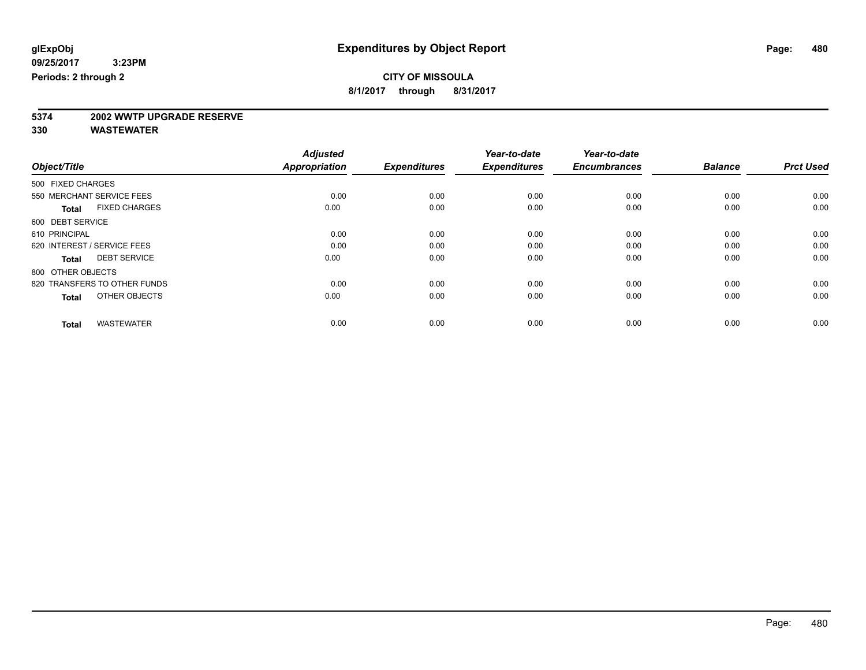**8/1/2017 through 8/31/2017**

# **5374 2002 WWTP UPGRADE RESERVE**

|                                      | <b>Adjusted</b>      |                     | Year-to-date        | Year-to-date        |                |                  |
|--------------------------------------|----------------------|---------------------|---------------------|---------------------|----------------|------------------|
| Object/Title                         | <b>Appropriation</b> | <b>Expenditures</b> | <b>Expenditures</b> | <b>Encumbrances</b> | <b>Balance</b> | <b>Prct Used</b> |
| 500 FIXED CHARGES                    |                      |                     |                     |                     |                |                  |
| 550 MERCHANT SERVICE FEES            | 0.00                 | 0.00                | 0.00                | 0.00                | 0.00           | 0.00             |
| <b>FIXED CHARGES</b><br><b>Total</b> | 0.00                 | 0.00                | 0.00                | 0.00                | 0.00           | 0.00             |
| 600 DEBT SERVICE                     |                      |                     |                     |                     |                |                  |
| 610 PRINCIPAL                        | 0.00                 | 0.00                | 0.00                | 0.00                | 0.00           | 0.00             |
| 620 INTEREST / SERVICE FEES          | 0.00                 | 0.00                | 0.00                | 0.00                | 0.00           | 0.00             |
| <b>DEBT SERVICE</b><br><b>Total</b>  | 0.00                 | 0.00                | 0.00                | 0.00                | 0.00           | 0.00             |
| 800 OTHER OBJECTS                    |                      |                     |                     |                     |                |                  |
| 820 TRANSFERS TO OTHER FUNDS         | 0.00                 | 0.00                | 0.00                | 0.00                | 0.00           | 0.00             |
| OTHER OBJECTS<br><b>Total</b>        | 0.00                 | 0.00                | 0.00                | 0.00                | 0.00           | 0.00             |
|                                      |                      |                     |                     |                     |                |                  |
| <b>WASTEWATER</b><br><b>Total</b>    | 0.00                 | 0.00                | 0.00                | 0.00                | 0.00           | 0.00             |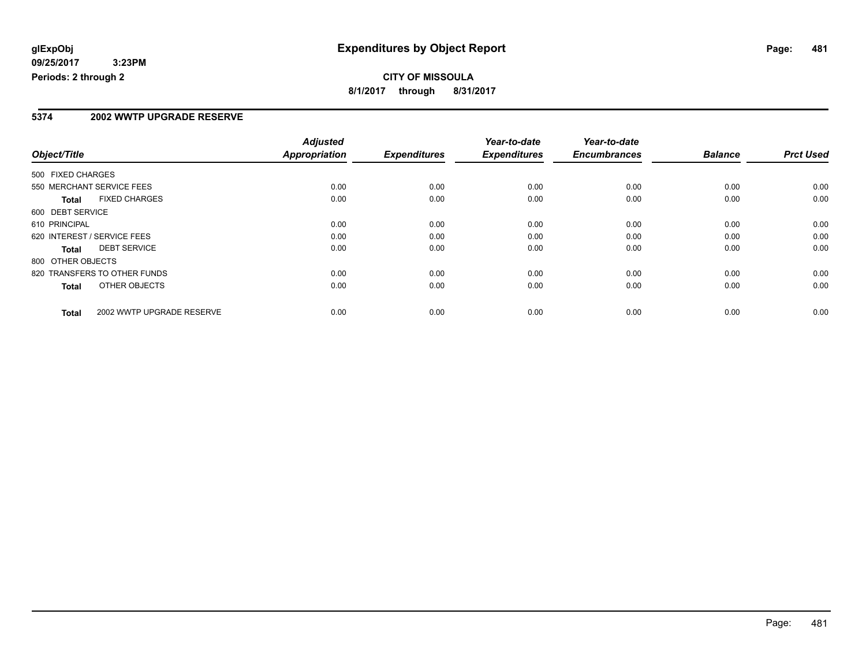#### **5374 2002 WWTP UPGRADE RESERVE**

|                                      |                           | <b>Adjusted</b>      |                     | Year-to-date        | Year-to-date        |                |                  |
|--------------------------------------|---------------------------|----------------------|---------------------|---------------------|---------------------|----------------|------------------|
| Object/Title                         |                           | <b>Appropriation</b> | <b>Expenditures</b> | <b>Expenditures</b> | <b>Encumbrances</b> | <b>Balance</b> | <b>Prct Used</b> |
| 500 FIXED CHARGES                    |                           |                      |                     |                     |                     |                |                  |
| 550 MERCHANT SERVICE FEES            |                           | 0.00                 | 0.00                | 0.00                | 0.00                | 0.00           | 0.00             |
| <b>FIXED CHARGES</b><br><b>Total</b> |                           | 0.00                 | 0.00                | 0.00                | 0.00                | 0.00           | 0.00             |
| 600 DEBT SERVICE                     |                           |                      |                     |                     |                     |                |                  |
| 610 PRINCIPAL                        |                           | 0.00                 | 0.00                | 0.00                | 0.00                | 0.00           | 0.00             |
| 620 INTEREST / SERVICE FEES          |                           | 0.00                 | 0.00                | 0.00                | 0.00                | 0.00           | 0.00             |
| <b>DEBT SERVICE</b><br>Total         |                           | 0.00                 | 0.00                | 0.00                | 0.00                | 0.00           | 0.00             |
| 800 OTHER OBJECTS                    |                           |                      |                     |                     |                     |                |                  |
| 820 TRANSFERS TO OTHER FUNDS         |                           | 0.00                 | 0.00                | 0.00                | 0.00                | 0.00           | 0.00             |
| OTHER OBJECTS<br>Total               |                           | 0.00                 | 0.00                | 0.00                | 0.00                | 0.00           | 0.00             |
| <b>Total</b>                         | 2002 WWTP UPGRADE RESERVE | 0.00                 | 0.00                | 0.00                | 0.00                | 0.00           | 0.00             |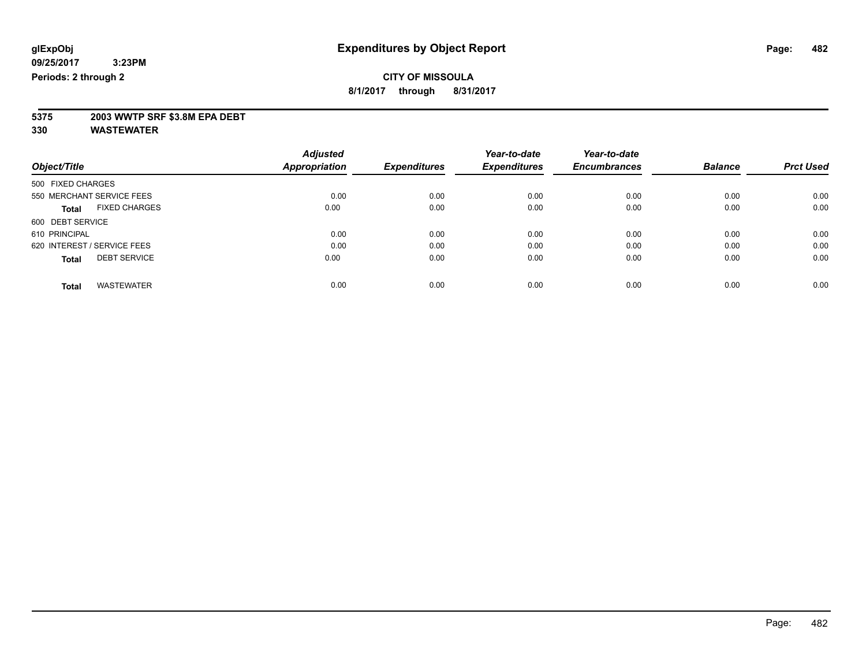**8/1/2017 through 8/31/2017**

# **5375 2003 WWTP SRF \$3.8M EPA DEBT**

|                                      | <b>Adjusted</b>      |                     | Year-to-date        | Year-to-date        |                |                  |
|--------------------------------------|----------------------|---------------------|---------------------|---------------------|----------------|------------------|
| Object/Title                         | <b>Appropriation</b> | <b>Expenditures</b> | <b>Expenditures</b> | <b>Encumbrances</b> | <b>Balance</b> | <b>Prct Used</b> |
| 500 FIXED CHARGES                    |                      |                     |                     |                     |                |                  |
| 550 MERCHANT SERVICE FEES            | 0.00                 | 0.00                | 0.00                | 0.00                | 0.00           | 0.00             |
| <b>FIXED CHARGES</b><br><b>Total</b> | 0.00                 | 0.00                | 0.00                | 0.00                | 0.00           | 0.00             |
| 600 DEBT SERVICE                     |                      |                     |                     |                     |                |                  |
| 610 PRINCIPAL                        | 0.00                 | 0.00                | 0.00                | 0.00                | 0.00           | 0.00             |
| 620 INTEREST / SERVICE FEES          | 0.00                 | 0.00                | 0.00                | 0.00                | 0.00           | 0.00             |
| <b>DEBT SERVICE</b><br><b>Total</b>  | 0.00                 | 0.00                | 0.00                | 0.00                | 0.00           | 0.00             |
| <b>WASTEWATER</b><br><b>Total</b>    | 0.00                 | 0.00                | 0.00                | 0.00                | 0.00           | 0.00             |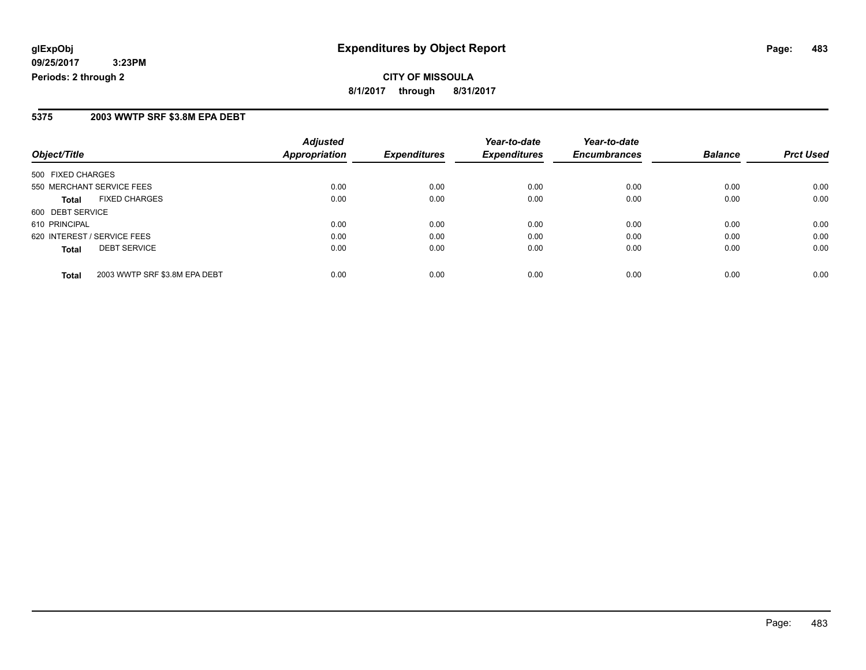#### **5375 2003 WWTP SRF \$3.8M EPA DEBT**

| Object/Title                                  | <b>Adjusted</b><br>Appropriation | <b>Expenditures</b> | Year-to-date<br><b>Expenditures</b> | Year-to-date<br><b>Encumbrances</b> | <b>Balance</b> | <b>Prct Used</b> |
|-----------------------------------------------|----------------------------------|---------------------|-------------------------------------|-------------------------------------|----------------|------------------|
| 500 FIXED CHARGES                             |                                  |                     |                                     |                                     |                |                  |
| 550 MERCHANT SERVICE FEES                     | 0.00                             | 0.00                | 0.00                                | 0.00                                | 0.00           | 0.00             |
| <b>FIXED CHARGES</b><br><b>Total</b>          | 0.00                             | 0.00                | 0.00                                | 0.00                                | 0.00           | 0.00             |
| 600 DEBT SERVICE                              |                                  |                     |                                     |                                     |                |                  |
| 610 PRINCIPAL                                 | 0.00                             | 0.00                | 0.00                                | 0.00                                | 0.00           | 0.00             |
| 620 INTEREST / SERVICE FEES                   | 0.00                             | 0.00                | 0.00                                | 0.00                                | 0.00           | 0.00             |
| <b>DEBT SERVICE</b><br><b>Total</b>           | 0.00                             | 0.00                | 0.00                                | 0.00                                | 0.00           | 0.00             |
| 2003 WWTP SRF \$3.8M EPA DEBT<br><b>Total</b> | 0.00                             | 0.00                | 0.00                                | 0.00                                | 0.00           | 0.00             |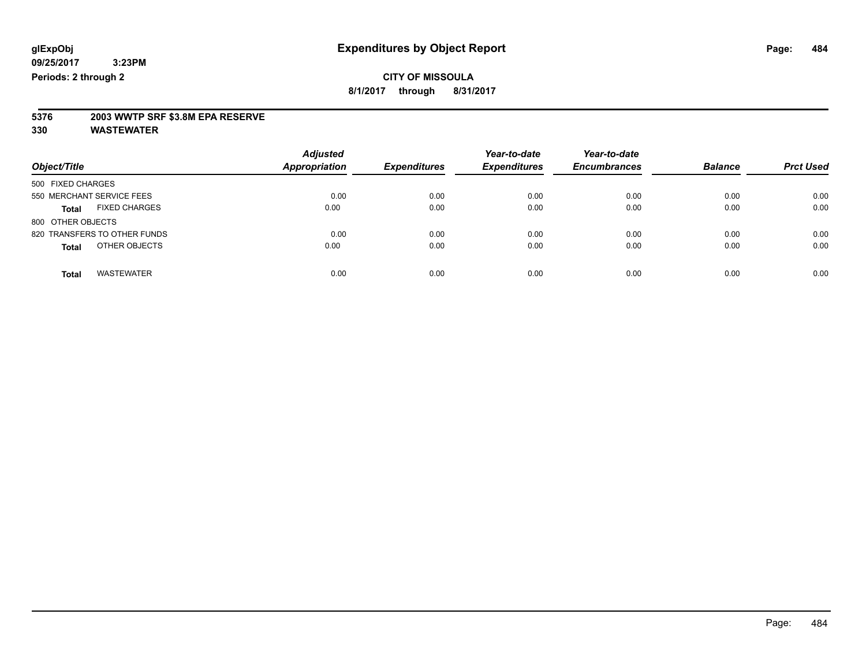**8/1/2017 through 8/31/2017**

# **5376 2003 WWTP SRF \$3.8M EPA RESERVE**

| Object/Title                         | <b>Adjusted</b><br><b>Appropriation</b> | <b>Expenditures</b> | Year-to-date<br><b>Expenditures</b> | Year-to-date<br><b>Encumbrances</b> | <b>Balance</b> | <b>Prct Used</b> |
|--------------------------------------|-----------------------------------------|---------------------|-------------------------------------|-------------------------------------|----------------|------------------|
|                                      |                                         |                     |                                     |                                     |                |                  |
| 500 FIXED CHARGES                    |                                         |                     |                                     |                                     |                |                  |
| 550 MERCHANT SERVICE FEES            | 0.00                                    | 0.00                | 0.00                                | 0.00                                | 0.00           | 0.00             |
| <b>FIXED CHARGES</b><br><b>Total</b> | 0.00                                    | 0.00                | 0.00                                | 0.00                                | 0.00           | 0.00             |
| 800 OTHER OBJECTS                    |                                         |                     |                                     |                                     |                |                  |
| 820 TRANSFERS TO OTHER FUNDS         | 0.00                                    | 0.00                | 0.00                                | 0.00                                | 0.00           | 0.00             |
| OTHER OBJECTS<br><b>Total</b>        | 0.00                                    | 0.00                | 0.00                                | 0.00                                | 0.00           | 0.00             |
| <b>WASTEWATER</b><br><b>Total</b>    | 0.00                                    | 0.00                | 0.00                                | 0.00                                | 0.00           | 0.00             |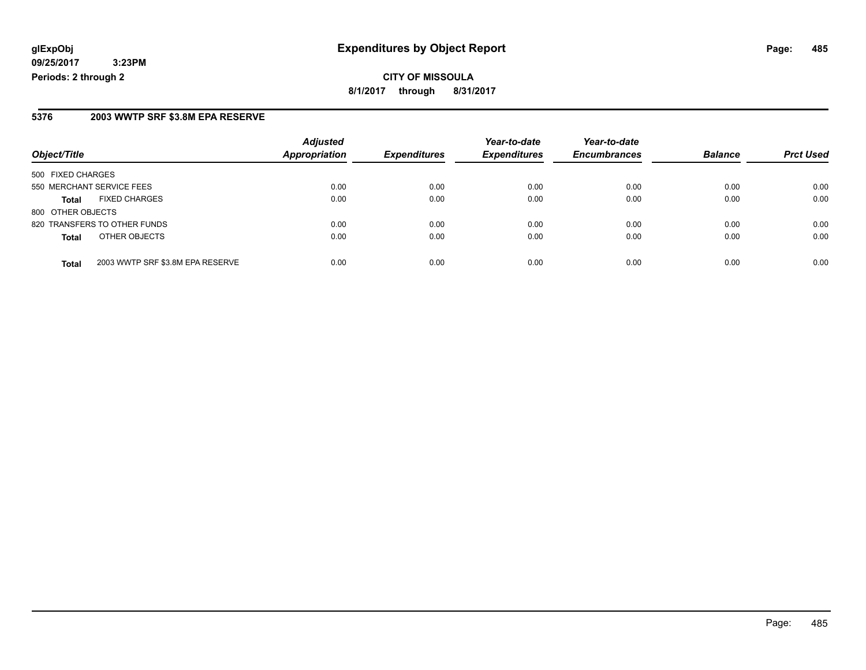**CITY OF MISSOULA 8/1/2017 through 8/31/2017**

#### **5376 2003 WWTP SRF \$3.8M EPA RESERVE**

|                                      |                                  | <b>Adjusted</b> |                     | Year-to-date        | Year-to-date        |                |                  |
|--------------------------------------|----------------------------------|-----------------|---------------------|---------------------|---------------------|----------------|------------------|
| Object/Title                         |                                  | Appropriation   | <b>Expenditures</b> | <b>Expenditures</b> | <b>Encumbrances</b> | <b>Balance</b> | <b>Prct Used</b> |
| 500 FIXED CHARGES                    |                                  |                 |                     |                     |                     |                |                  |
| 550 MERCHANT SERVICE FEES            |                                  | 0.00            | 0.00                | 0.00                | 0.00                | 0.00           | 0.00             |
| <b>FIXED CHARGES</b><br><b>Total</b> |                                  | 0.00            | 0.00                | 0.00                | 0.00                | 0.00           | 0.00             |
| 800 OTHER OBJECTS                    |                                  |                 |                     |                     |                     |                |                  |
| 820 TRANSFERS TO OTHER FUNDS         |                                  | 0.00            | 0.00                | 0.00                | 0.00                | 0.00           | 0.00             |
| OTHER OBJECTS<br><b>Total</b>        |                                  | 0.00            | 0.00                | 0.00                | 0.00                | 0.00           | 0.00             |
| <b>Total</b>                         | 2003 WWTP SRF \$3.8M EPA RESERVE | 0.00            | 0.00                | 0.00                | 0.00                | 0.00           | 0.00             |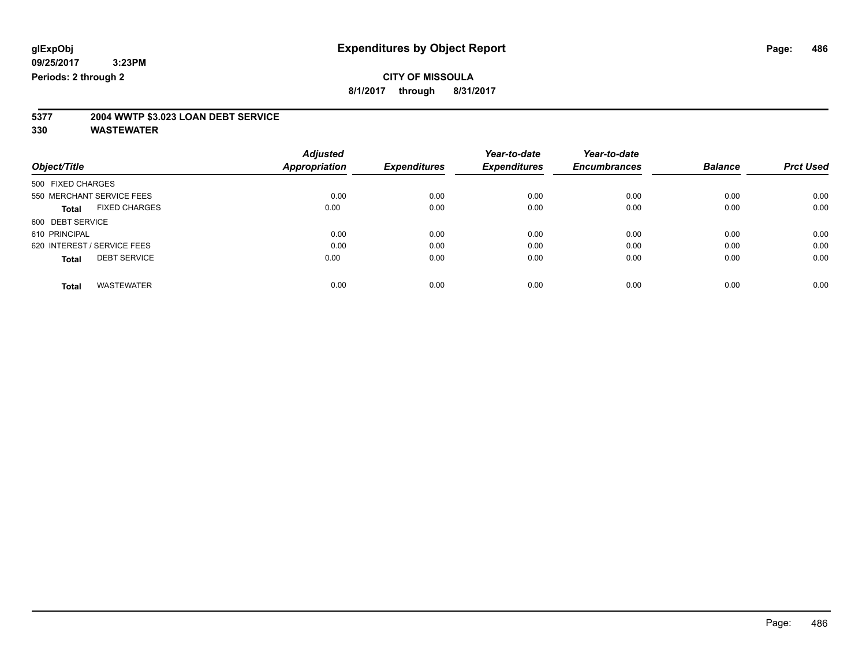**8/1/2017 through 8/31/2017**

# **5377 2004 WWTP \$3.023 LOAN DEBT SERVICE**

|                                      | <b>Adjusted</b>      |                     | Year-to-date        | Year-to-date        |                |                  |
|--------------------------------------|----------------------|---------------------|---------------------|---------------------|----------------|------------------|
| Object/Title                         | <b>Appropriation</b> | <b>Expenditures</b> | <b>Expenditures</b> | <b>Encumbrances</b> | <b>Balance</b> | <b>Prct Used</b> |
| 500 FIXED CHARGES                    |                      |                     |                     |                     |                |                  |
| 550 MERCHANT SERVICE FEES            | 0.00                 | 0.00                | 0.00                | 0.00                | 0.00           | 0.00             |
| <b>FIXED CHARGES</b><br><b>Total</b> | 0.00                 | 0.00                | 0.00                | 0.00                | 0.00           | 0.00             |
| 600 DEBT SERVICE                     |                      |                     |                     |                     |                |                  |
| 610 PRINCIPAL                        | 0.00                 | 0.00                | 0.00                | 0.00                | 0.00           | 0.00             |
| 620 INTEREST / SERVICE FEES          | 0.00                 | 0.00                | 0.00                | 0.00                | 0.00           | 0.00             |
| <b>DEBT SERVICE</b><br><b>Total</b>  | 0.00                 | 0.00                | 0.00                | 0.00                | 0.00           | 0.00             |
| <b>WASTEWATER</b><br><b>Total</b>    | 0.00                 | 0.00                | 0.00                | 0.00                | 0.00           | 0.00             |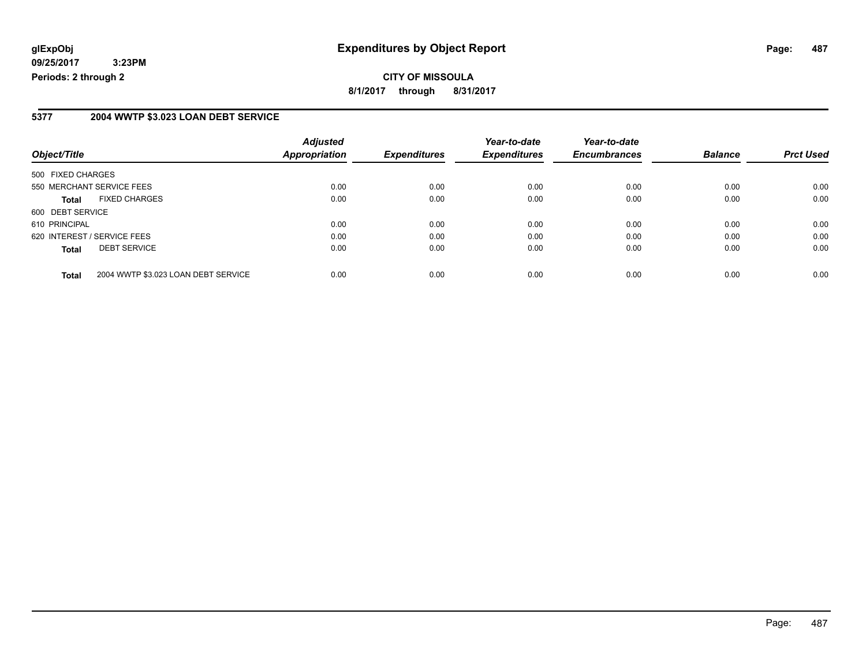**CITY OF MISSOULA 8/1/2017 through 8/31/2017**

#### **5377 2004 WWTP \$3.023 LOAN DEBT SERVICE**

| Object/Title                                        | <b>Adjusted</b><br><b>Appropriation</b> | <b>Expenditures</b> | Year-to-date<br><b>Expenditures</b> | Year-to-date<br><b>Encumbrances</b> | <b>Balance</b> | <b>Prct Used</b> |
|-----------------------------------------------------|-----------------------------------------|---------------------|-------------------------------------|-------------------------------------|----------------|------------------|
| 500 FIXED CHARGES                                   |                                         |                     |                                     |                                     |                |                  |
| 550 MERCHANT SERVICE FEES                           | 0.00                                    | 0.00                | 0.00                                | 0.00                                | 0.00           | 0.00             |
| <b>FIXED CHARGES</b><br><b>Total</b>                | 0.00                                    | 0.00                | 0.00                                | 0.00                                | 0.00           | 0.00             |
| 600 DEBT SERVICE                                    |                                         |                     |                                     |                                     |                |                  |
| 610 PRINCIPAL                                       | 0.00                                    | 0.00                | 0.00                                | 0.00                                | 0.00           | 0.00             |
| 620 INTEREST / SERVICE FEES                         | 0.00                                    | 0.00                | 0.00                                | 0.00                                | 0.00           | 0.00             |
| <b>DEBT SERVICE</b><br><b>Total</b>                 | 0.00                                    | 0.00                | 0.00                                | 0.00                                | 0.00           | 0.00             |
| 2004 WWTP \$3.023 LOAN DEBT SERVICE<br><b>Total</b> | 0.00                                    | 0.00                | 0.00                                | 0.00                                | 0.00           | 0.00             |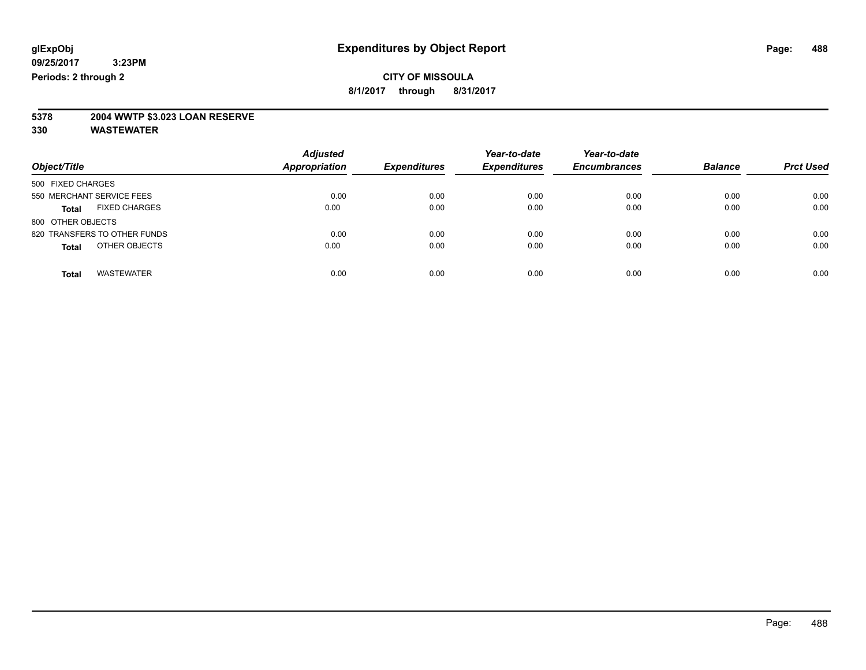#### **CITY OF MISSOULA 8/1/2017 through 8/31/2017**

**5378 2004 WWTP \$3.023 LOAN RESERVE**

|                                      | <b>Adjusted</b>      |                     | Year-to-date        | Year-to-date        | <b>Balance</b> | <b>Prct Used</b> |
|--------------------------------------|----------------------|---------------------|---------------------|---------------------|----------------|------------------|
| Object/Title                         | <b>Appropriation</b> | <b>Expenditures</b> | <b>Expenditures</b> | <b>Encumbrances</b> |                |                  |
| 500 FIXED CHARGES                    |                      |                     |                     |                     |                |                  |
| 550 MERCHANT SERVICE FEES            | 0.00                 | 0.00                | 0.00                | 0.00                | 0.00           | 0.00             |
| <b>FIXED CHARGES</b><br><b>Total</b> | 0.00                 | 0.00                | 0.00                | 0.00                | 0.00           | 0.00             |
| 800 OTHER OBJECTS                    |                      |                     |                     |                     |                |                  |
| 820 TRANSFERS TO OTHER FUNDS         | 0.00                 | 0.00                | 0.00                | 0.00                | 0.00           | 0.00             |
| OTHER OBJECTS<br><b>Total</b>        | 0.00                 | 0.00                | 0.00                | 0.00                | 0.00           | 0.00             |
| <b>WASTEWATER</b><br><b>Total</b>    | 0.00                 | 0.00                | 0.00                | 0.00                | 0.00           | 0.00             |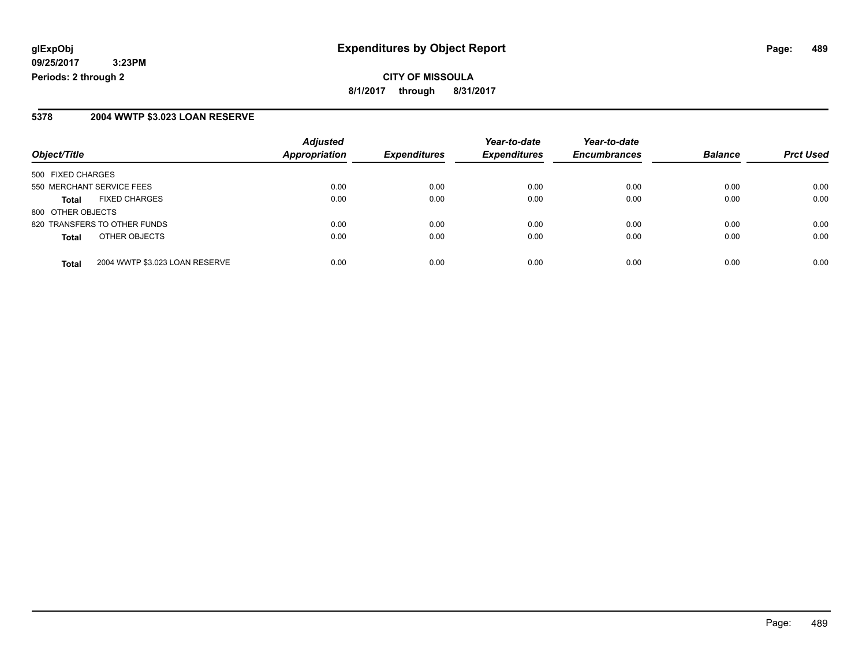**CITY OF MISSOULA 8/1/2017 through 8/31/2017**

#### **5378 2004 WWTP \$3.023 LOAN RESERVE**

| Object/Title                                   | <b>Adjusted</b><br>Appropriation | <b>Expenditures</b> | Year-to-date<br><b>Expenditures</b> | Year-to-date<br><b>Encumbrances</b> | <b>Balance</b> | <b>Prct Used</b> |
|------------------------------------------------|----------------------------------|---------------------|-------------------------------------|-------------------------------------|----------------|------------------|
|                                                |                                  |                     |                                     |                                     |                |                  |
| 500 FIXED CHARGES                              |                                  |                     |                                     |                                     |                |                  |
| 550 MERCHANT SERVICE FEES                      | 0.00                             | 0.00                | 0.00                                | 0.00                                | 0.00           | 0.00             |
| <b>FIXED CHARGES</b><br><b>Total</b>           | 0.00                             | 0.00                | 0.00                                | 0.00                                | 0.00           | 0.00             |
| 800 OTHER OBJECTS                              |                                  |                     |                                     |                                     |                |                  |
| 820 TRANSFERS TO OTHER FUNDS                   | 0.00                             | 0.00                | 0.00                                | 0.00                                | 0.00           | 0.00             |
| OTHER OBJECTS<br><b>Total</b>                  | 0.00                             | 0.00                | 0.00                                | 0.00                                | 0.00           | 0.00             |
|                                                |                                  |                     |                                     |                                     |                |                  |
| 2004 WWTP \$3.023 LOAN RESERVE<br><b>Total</b> | 0.00                             | 0.00                | 0.00                                | 0.00                                | 0.00           | 0.00             |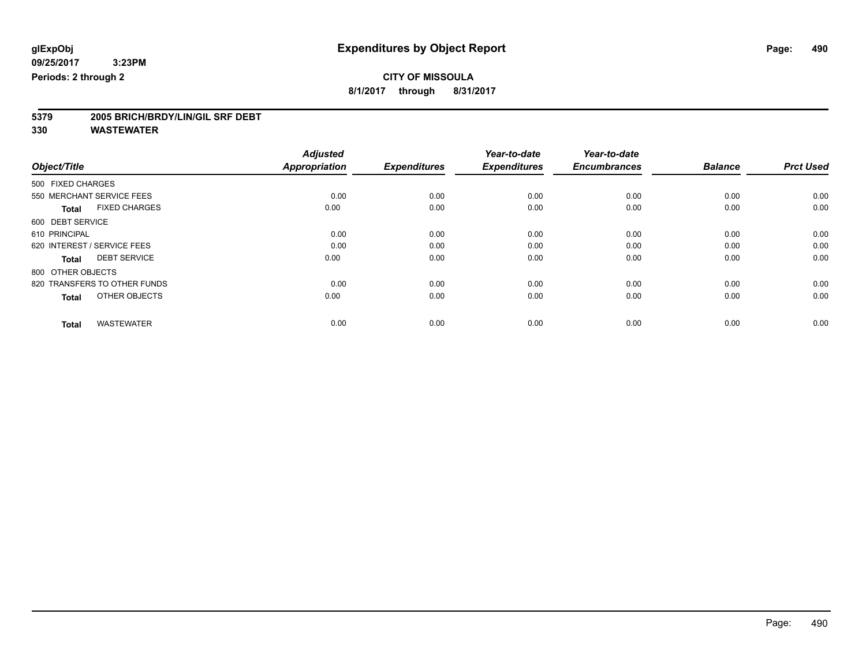**8/1/2017 through 8/31/2017**

# **5379 2005 BRICH/BRDY/LIN/GIL SRF DEBT**

|                                      | <b>Adjusted</b>      |                     | Year-to-date        | Year-to-date        |                |                  |
|--------------------------------------|----------------------|---------------------|---------------------|---------------------|----------------|------------------|
| Object/Title                         | <b>Appropriation</b> | <b>Expenditures</b> | <b>Expenditures</b> | <b>Encumbrances</b> | <b>Balance</b> | <b>Prct Used</b> |
| 500 FIXED CHARGES                    |                      |                     |                     |                     |                |                  |
| 550 MERCHANT SERVICE FEES            | 0.00                 | 0.00                | 0.00                | 0.00                | 0.00           | 0.00             |
| <b>FIXED CHARGES</b><br><b>Total</b> | 0.00                 | 0.00                | 0.00                | 0.00                | 0.00           | 0.00             |
| 600 DEBT SERVICE                     |                      |                     |                     |                     |                |                  |
| 610 PRINCIPAL                        | 0.00                 | 0.00                | 0.00                | 0.00                | 0.00           | 0.00             |
| 620 INTEREST / SERVICE FEES          | 0.00                 | 0.00                | 0.00                | 0.00                | 0.00           | 0.00             |
| <b>DEBT SERVICE</b><br><b>Total</b>  | 0.00                 | 0.00                | 0.00                | 0.00                | 0.00           | 0.00             |
| 800 OTHER OBJECTS                    |                      |                     |                     |                     |                |                  |
| 820 TRANSFERS TO OTHER FUNDS         | 0.00                 | 0.00                | 0.00                | 0.00                | 0.00           | 0.00             |
| OTHER OBJECTS<br><b>Total</b>        | 0.00                 | 0.00                | 0.00                | 0.00                | 0.00           | 0.00             |
|                                      |                      |                     |                     |                     |                |                  |
| <b>WASTEWATER</b><br><b>Total</b>    | 0.00                 | 0.00                | 0.00                | 0.00                | 0.00           | 0.00             |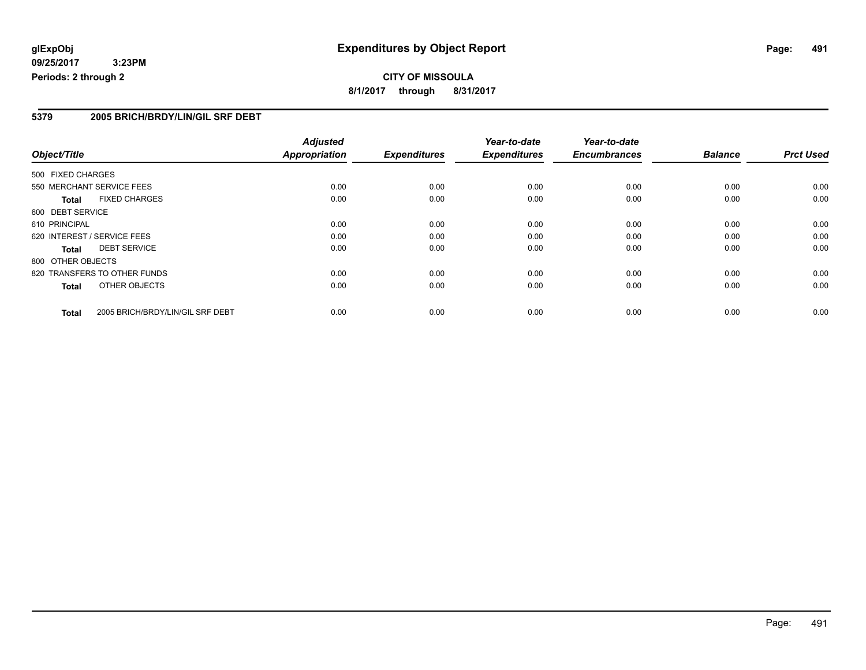#### **5379 2005 BRICH/BRDY/LIN/GIL SRF DEBT**

|                   |                                  | <b>Adjusted</b>      |                     | Year-to-date        | Year-to-date        |                |                  |
|-------------------|----------------------------------|----------------------|---------------------|---------------------|---------------------|----------------|------------------|
| Object/Title      |                                  | <b>Appropriation</b> | <b>Expenditures</b> | <b>Expenditures</b> | <b>Encumbrances</b> | <b>Balance</b> | <b>Prct Used</b> |
| 500 FIXED CHARGES |                                  |                      |                     |                     |                     |                |                  |
|                   | 550 MERCHANT SERVICE FEES        | 0.00                 | 0.00                | 0.00                | 0.00                | 0.00           | 0.00             |
| <b>Total</b>      | <b>FIXED CHARGES</b>             | 0.00                 | 0.00                | 0.00                | 0.00                | 0.00           | 0.00             |
| 600 DEBT SERVICE  |                                  |                      |                     |                     |                     |                |                  |
| 610 PRINCIPAL     |                                  | 0.00                 | 0.00                | 0.00                | 0.00                | 0.00           | 0.00             |
|                   | 620 INTEREST / SERVICE FEES      | 0.00                 | 0.00                | 0.00                | 0.00                | 0.00           | 0.00             |
| Total             | <b>DEBT SERVICE</b>              | 0.00                 | 0.00                | 0.00                | 0.00                | 0.00           | 0.00             |
| 800 OTHER OBJECTS |                                  |                      |                     |                     |                     |                |                  |
|                   | 820 TRANSFERS TO OTHER FUNDS     | 0.00                 | 0.00                | 0.00                | 0.00                | 0.00           | 0.00             |
| <b>Total</b>      | OTHER OBJECTS                    | 0.00                 | 0.00                | 0.00                | 0.00                | 0.00           | 0.00             |
| <b>Total</b>      | 2005 BRICH/BRDY/LIN/GIL SRF DEBT | 0.00                 | 0.00                | 0.00                | 0.00                | 0.00           | 0.00             |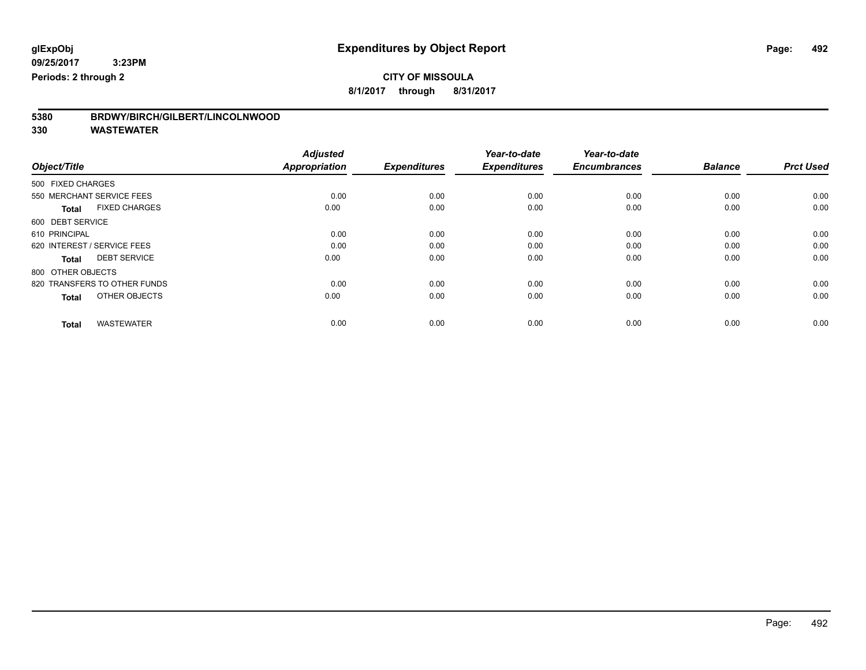**8/1/2017 through 8/31/2017**

| 5380 | BRDWY/BIRCH/GILBERT/LINCOLNWOOD |
|------|---------------------------------|
|------|---------------------------------|

|                                      | <b>Adjusted</b>      |                     | Year-to-date        | Year-to-date        |                |                  |
|--------------------------------------|----------------------|---------------------|---------------------|---------------------|----------------|------------------|
| Object/Title                         | <b>Appropriation</b> | <b>Expenditures</b> | <b>Expenditures</b> | <b>Encumbrances</b> | <b>Balance</b> | <b>Prct Used</b> |
| 500 FIXED CHARGES                    |                      |                     |                     |                     |                |                  |
| 550 MERCHANT SERVICE FEES            | 0.00                 | 0.00                | 0.00                | 0.00                | 0.00           | 0.00             |
| <b>FIXED CHARGES</b><br><b>Total</b> | 0.00                 | 0.00                | 0.00                | 0.00                | 0.00           | 0.00             |
| 600 DEBT SERVICE                     |                      |                     |                     |                     |                |                  |
| 610 PRINCIPAL                        | 0.00                 | 0.00                | 0.00                | 0.00                | 0.00           | 0.00             |
| 620 INTEREST / SERVICE FEES          | 0.00                 | 0.00                | 0.00                | 0.00                | 0.00           | 0.00             |
| <b>DEBT SERVICE</b><br><b>Total</b>  | 0.00                 | 0.00                | 0.00                | 0.00                | 0.00           | 0.00             |
| 800 OTHER OBJECTS                    |                      |                     |                     |                     |                |                  |
| 820 TRANSFERS TO OTHER FUNDS         | 0.00                 | 0.00                | 0.00                | 0.00                | 0.00           | 0.00             |
| OTHER OBJECTS<br><b>Total</b>        | 0.00                 | 0.00                | 0.00                | 0.00                | 0.00           | 0.00             |
|                                      |                      |                     |                     |                     |                |                  |
| <b>WASTEWATER</b><br><b>Total</b>    | 0.00                 | 0.00                | 0.00                | 0.00                | 0.00           | 0.00             |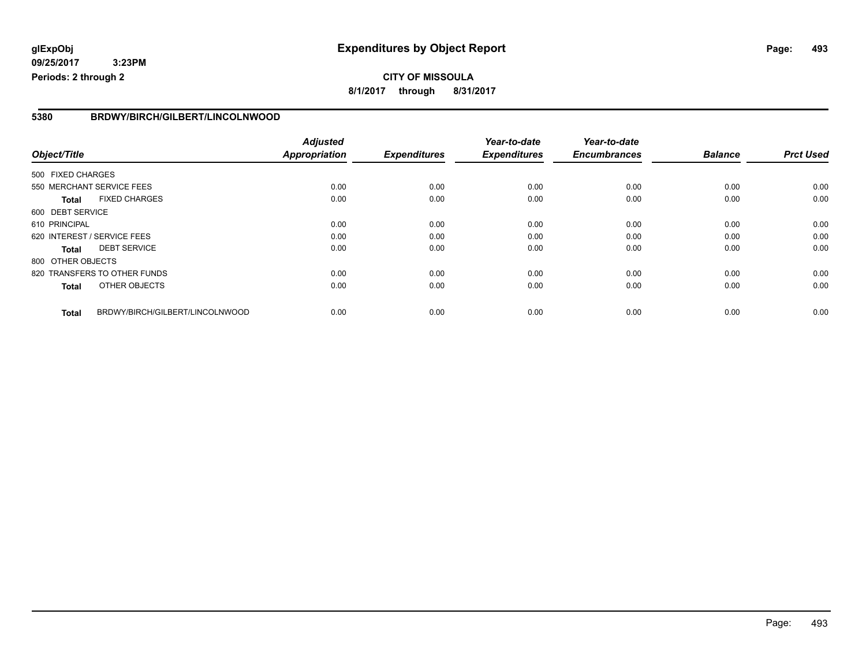#### **5380 BRDWY/BIRCH/GILBERT/LINCOLNWOOD**

|                   |                                 | <b>Adjusted</b>      |                     | Year-to-date        | Year-to-date        |                |                  |
|-------------------|---------------------------------|----------------------|---------------------|---------------------|---------------------|----------------|------------------|
| Object/Title      |                                 | <b>Appropriation</b> | <b>Expenditures</b> | <b>Expenditures</b> | <b>Encumbrances</b> | <b>Balance</b> | <b>Prct Used</b> |
| 500 FIXED CHARGES |                                 |                      |                     |                     |                     |                |                  |
|                   | 550 MERCHANT SERVICE FEES       | 0.00                 | 0.00                | 0.00                | 0.00                | 0.00           | 0.00             |
| <b>Total</b>      | <b>FIXED CHARGES</b>            | 0.00                 | 0.00                | 0.00                | 0.00                | 0.00           | 0.00             |
| 600 DEBT SERVICE  |                                 |                      |                     |                     |                     |                |                  |
| 610 PRINCIPAL     |                                 | 0.00                 | 0.00                | 0.00                | 0.00                | 0.00           | 0.00             |
|                   | 620 INTEREST / SERVICE FEES     | 0.00                 | 0.00                | 0.00                | 0.00                | 0.00           | 0.00             |
| <b>Total</b>      | <b>DEBT SERVICE</b>             | 0.00                 | 0.00                | 0.00                | 0.00                | 0.00           | 0.00             |
| 800 OTHER OBJECTS |                                 |                      |                     |                     |                     |                |                  |
|                   | 820 TRANSFERS TO OTHER FUNDS    | 0.00                 | 0.00                | 0.00                | 0.00                | 0.00           | 0.00             |
| <b>Total</b>      | OTHER OBJECTS                   | 0.00                 | 0.00                | 0.00                | 0.00                | 0.00           | 0.00             |
| <b>Total</b>      | BRDWY/BIRCH/GILBERT/LINCOLNWOOD | 0.00                 | 0.00                | 0.00                | 0.00                | 0.00           | 0.00             |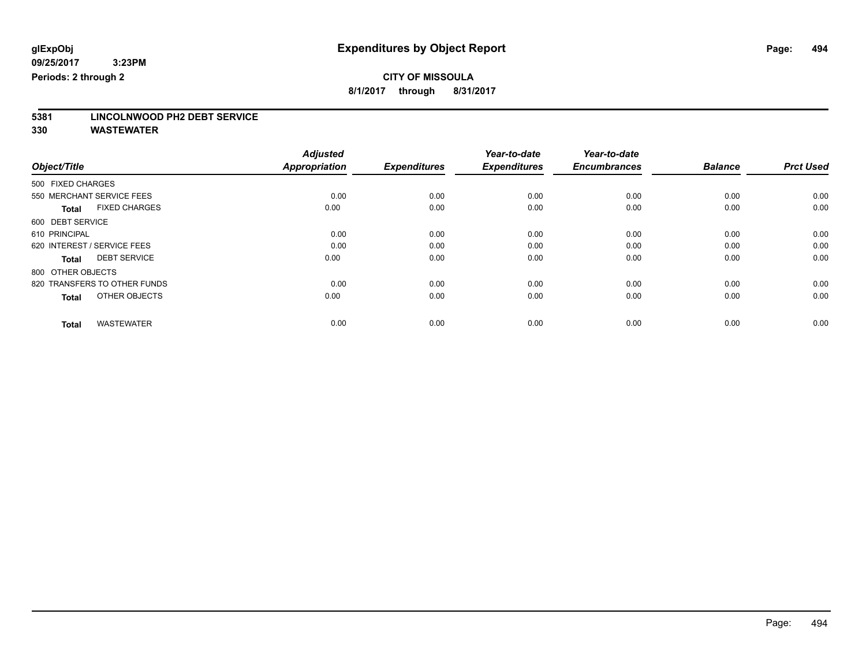**8/1/2017 through 8/31/2017**

# **5381 LINCOLNWOOD PH2 DEBT SERVICE**

|                                      | <b>Adjusted</b>      |                     | Year-to-date        | Year-to-date        |                |                  |
|--------------------------------------|----------------------|---------------------|---------------------|---------------------|----------------|------------------|
| Object/Title                         | <b>Appropriation</b> | <b>Expenditures</b> | <b>Expenditures</b> | <b>Encumbrances</b> | <b>Balance</b> | <b>Prct Used</b> |
| 500 FIXED CHARGES                    |                      |                     |                     |                     |                |                  |
| 550 MERCHANT SERVICE FEES            | 0.00                 | 0.00                | 0.00                | 0.00                | 0.00           | 0.00             |
| <b>FIXED CHARGES</b><br><b>Total</b> | 0.00                 | 0.00                | 0.00                | 0.00                | 0.00           | 0.00             |
| 600 DEBT SERVICE                     |                      |                     |                     |                     |                |                  |
| 610 PRINCIPAL                        | 0.00                 | 0.00                | 0.00                | 0.00                | 0.00           | 0.00             |
| 620 INTEREST / SERVICE FEES          | 0.00                 | 0.00                | 0.00                | 0.00                | 0.00           | 0.00             |
| <b>DEBT SERVICE</b><br><b>Total</b>  | 0.00                 | 0.00                | 0.00                | 0.00                | 0.00           | 0.00             |
| 800 OTHER OBJECTS                    |                      |                     |                     |                     |                |                  |
| 820 TRANSFERS TO OTHER FUNDS         | 0.00                 | 0.00                | 0.00                | 0.00                | 0.00           | 0.00             |
| OTHER OBJECTS<br><b>Total</b>        | 0.00                 | 0.00                | 0.00                | 0.00                | 0.00           | 0.00             |
|                                      |                      |                     |                     |                     |                |                  |
| <b>WASTEWATER</b><br><b>Total</b>    | 0.00                 | 0.00                | 0.00                | 0.00                | 0.00           | 0.00             |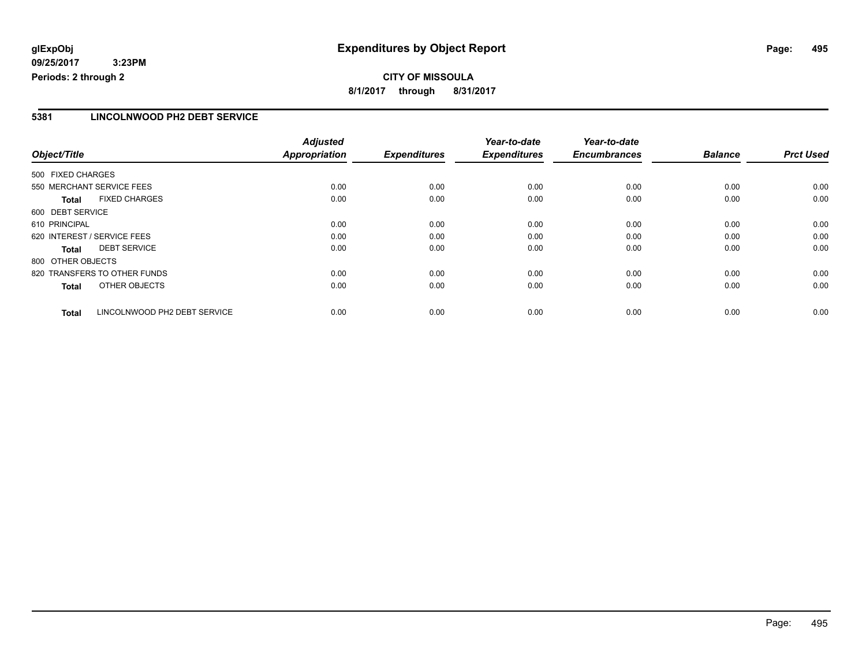#### **5381 LINCOLNWOOD PH2 DEBT SERVICE**

|                   |                              | <b>Adjusted</b>      |                     | Year-to-date        | Year-to-date        |                |                  |
|-------------------|------------------------------|----------------------|---------------------|---------------------|---------------------|----------------|------------------|
| Object/Title      |                              | <b>Appropriation</b> | <b>Expenditures</b> | <b>Expenditures</b> | <b>Encumbrances</b> | <b>Balance</b> | <b>Prct Used</b> |
| 500 FIXED CHARGES |                              |                      |                     |                     |                     |                |                  |
|                   | 550 MERCHANT SERVICE FEES    | 0.00                 | 0.00                | 0.00                | 0.00                | 0.00           | 0.00             |
| <b>Total</b>      | <b>FIXED CHARGES</b>         | 0.00                 | 0.00                | 0.00                | 0.00                | 0.00           | 0.00             |
| 600 DEBT SERVICE  |                              |                      |                     |                     |                     |                |                  |
| 610 PRINCIPAL     |                              | 0.00                 | 0.00                | 0.00                | 0.00                | 0.00           | 0.00             |
|                   | 620 INTEREST / SERVICE FEES  | 0.00                 | 0.00                | 0.00                | 0.00                | 0.00           | 0.00             |
| Total             | <b>DEBT SERVICE</b>          | 0.00                 | 0.00                | 0.00                | 0.00                | 0.00           | 0.00             |
| 800 OTHER OBJECTS |                              |                      |                     |                     |                     |                |                  |
|                   | 820 TRANSFERS TO OTHER FUNDS | 0.00                 | 0.00                | 0.00                | 0.00                | 0.00           | 0.00             |
| <b>Total</b>      | OTHER OBJECTS                | 0.00                 | 0.00                | 0.00                | 0.00                | 0.00           | 0.00             |
| <b>Total</b>      | LINCOLNWOOD PH2 DEBT SERVICE | 0.00                 | 0.00                | 0.00                | 0.00                | 0.00           | 0.00             |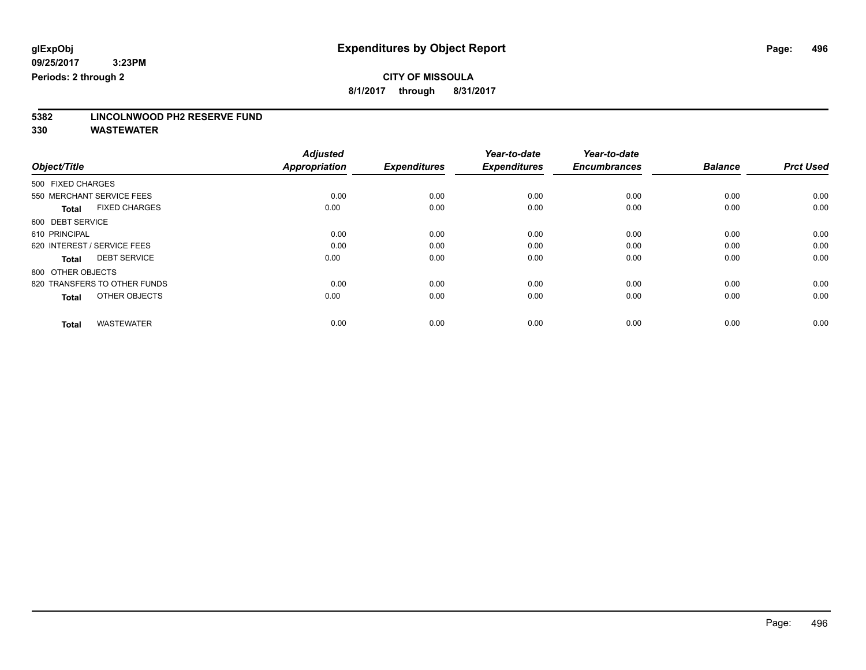**8/1/2017 through 8/31/2017**

# **5382 LINCOLNWOOD PH2 RESERVE FUND**

|                                      | <b>Adjusted</b><br><b>Appropriation</b> | <b>Expenditures</b> | Year-to-date<br><b>Expenditures</b> | Year-to-date<br><b>Encumbrances</b> | <b>Balance</b> |                  |
|--------------------------------------|-----------------------------------------|---------------------|-------------------------------------|-------------------------------------|----------------|------------------|
| Object/Title                         |                                         |                     |                                     |                                     |                | <b>Prct Used</b> |
| 500 FIXED CHARGES                    |                                         |                     |                                     |                                     |                |                  |
| 550 MERCHANT SERVICE FEES            | 0.00                                    | 0.00                | 0.00                                | 0.00                                | 0.00           | 0.00             |
| <b>FIXED CHARGES</b><br><b>Total</b> | 0.00                                    | 0.00                | 0.00                                | 0.00                                | 0.00           | 0.00             |
| 600 DEBT SERVICE                     |                                         |                     |                                     |                                     |                |                  |
| 610 PRINCIPAL                        | 0.00                                    | 0.00                | 0.00                                | 0.00                                | 0.00           | 0.00             |
| 620 INTEREST / SERVICE FEES          | 0.00                                    | 0.00                | 0.00                                | 0.00                                | 0.00           | 0.00             |
| <b>DEBT SERVICE</b><br><b>Total</b>  | 0.00                                    | 0.00                | 0.00                                | 0.00                                | 0.00           | 0.00             |
| 800 OTHER OBJECTS                    |                                         |                     |                                     |                                     |                |                  |
| 820 TRANSFERS TO OTHER FUNDS         | 0.00                                    | 0.00                | 0.00                                | 0.00                                | 0.00           | 0.00             |
| OTHER OBJECTS<br><b>Total</b>        | 0.00                                    | 0.00                | 0.00                                | 0.00                                | 0.00           | 0.00             |
|                                      |                                         |                     |                                     |                                     |                |                  |
| <b>WASTEWATER</b><br><b>Total</b>    | 0.00                                    | 0.00                | 0.00                                | 0.00                                | 0.00           | 0.00             |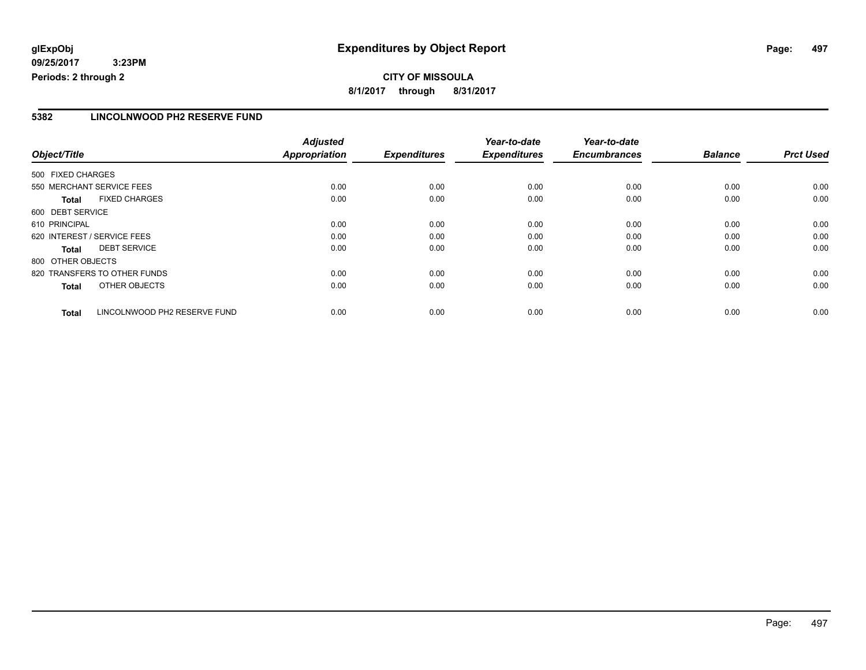#### **CITY OF MISSOULA 8/1/2017 through 8/31/2017**

#### **5382 LINCOLNWOOD PH2 RESERVE FUND**

|                                              | <b>Adjusted</b>      |                     | Year-to-date        | Year-to-date        |                |                  |
|----------------------------------------------|----------------------|---------------------|---------------------|---------------------|----------------|------------------|
| Object/Title                                 | <b>Appropriation</b> | <b>Expenditures</b> | <b>Expenditures</b> | <b>Encumbrances</b> | <b>Balance</b> | <b>Prct Used</b> |
| 500 FIXED CHARGES                            |                      |                     |                     |                     |                |                  |
| 550 MERCHANT SERVICE FEES                    | 0.00                 | 0.00                | 0.00                | 0.00                | 0.00           | 0.00             |
| <b>FIXED CHARGES</b><br><b>Total</b>         | 0.00                 | 0.00                | 0.00                | 0.00                | 0.00           | 0.00             |
| 600 DEBT SERVICE                             |                      |                     |                     |                     |                |                  |
| 610 PRINCIPAL                                | 0.00                 | 0.00                | 0.00                | 0.00                | 0.00           | 0.00             |
| 620 INTEREST / SERVICE FEES                  | 0.00                 | 0.00                | 0.00                | 0.00                | 0.00           | 0.00             |
| <b>DEBT SERVICE</b><br><b>Total</b>          | 0.00                 | 0.00                | 0.00                | 0.00                | 0.00           | 0.00             |
| 800 OTHER OBJECTS                            |                      |                     |                     |                     |                |                  |
| 820 TRANSFERS TO OTHER FUNDS                 | 0.00                 | 0.00                | 0.00                | 0.00                | 0.00           | 0.00             |
| OTHER OBJECTS<br><b>Total</b>                | 0.00                 | 0.00                | 0.00                | 0.00                | 0.00           | 0.00             |
| LINCOLNWOOD PH2 RESERVE FUND<br><b>Total</b> | 0.00                 | 0.00                | 0.00                | 0.00                | 0.00           | 0.00             |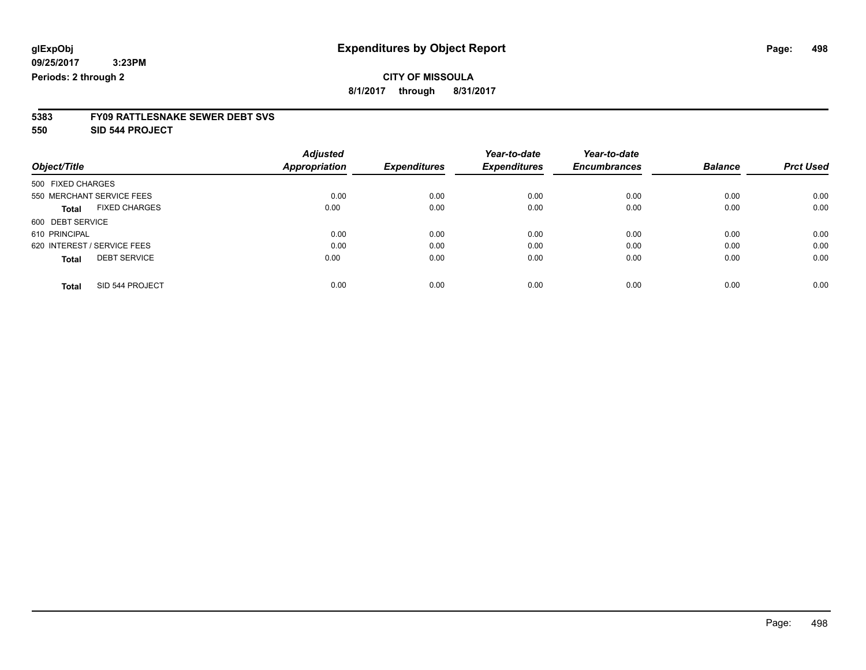**8/1/2017 through 8/31/2017**

# **5383 FY09 RATTLESNAKE SEWER DEBT SVS**

**550 SID 544 PROJECT**

|                                      | <b>Adjusted</b> |                     | Year-to-date        | Year-to-date        |                | <b>Prct Used</b> |
|--------------------------------------|-----------------|---------------------|---------------------|---------------------|----------------|------------------|
| Object/Title                         | Appropriation   | <b>Expenditures</b> | <b>Expenditures</b> | <b>Encumbrances</b> | <b>Balance</b> |                  |
| 500 FIXED CHARGES                    |                 |                     |                     |                     |                |                  |
| 550 MERCHANT SERVICE FEES            | 0.00            | 0.00                | 0.00                | 0.00                | 0.00           | 0.00             |
| <b>FIXED CHARGES</b><br><b>Total</b> | 0.00            | 0.00                | 0.00                | 0.00                | 0.00           | 0.00             |
| 600 DEBT SERVICE                     |                 |                     |                     |                     |                |                  |
| 610 PRINCIPAL                        | 0.00            | 0.00                | 0.00                | 0.00                | 0.00           | 0.00             |
| 620 INTEREST / SERVICE FEES          | 0.00            | 0.00                | 0.00                | 0.00                | 0.00           | 0.00             |
| <b>DEBT SERVICE</b><br><b>Total</b>  | 0.00            | 0.00                | 0.00                | 0.00                | 0.00           | 0.00             |
| SID 544 PROJECT<br><b>Total</b>      | 0.00            | 0.00                | 0.00                | 0.00                | 0.00           | 0.00             |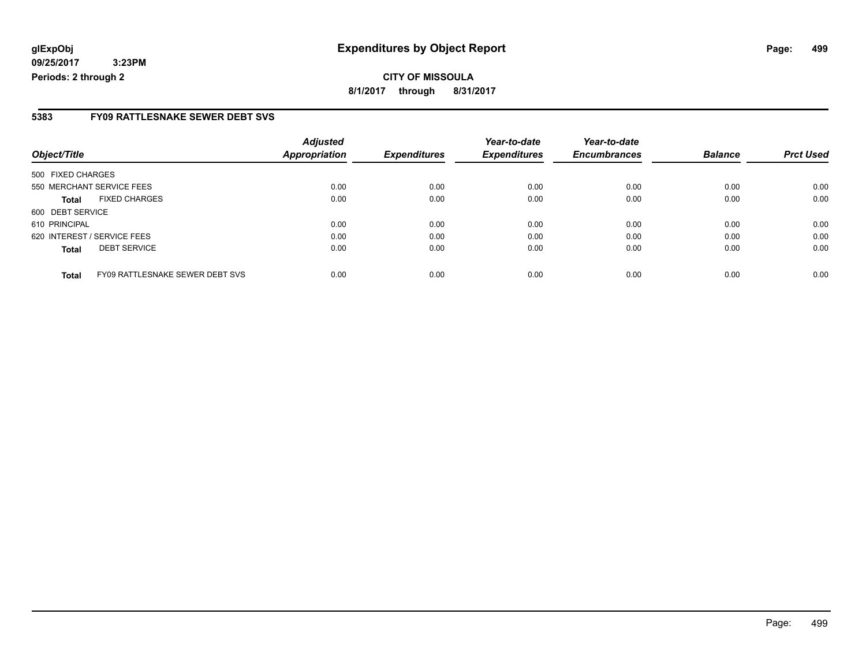**CITY OF MISSOULA 8/1/2017 through 8/31/2017**

#### **5383 FY09 RATTLESNAKE SEWER DEBT SVS**

| Object/Title      |                                        | <b>Adjusted</b><br><b>Appropriation</b> | <b>Expenditures</b> | Year-to-date<br><b>Expenditures</b> | Year-to-date<br><b>Encumbrances</b> | <b>Balance</b> | <b>Prct Used</b> |
|-------------------|----------------------------------------|-----------------------------------------|---------------------|-------------------------------------|-------------------------------------|----------------|------------------|
|                   |                                        |                                         |                     |                                     |                                     |                |                  |
| 500 FIXED CHARGES |                                        |                                         |                     |                                     |                                     |                |                  |
|                   | 550 MERCHANT SERVICE FEES              | 0.00                                    | 0.00                | 0.00                                | 0.00                                | 0.00           | 0.00             |
| <b>Total</b>      | <b>FIXED CHARGES</b>                   | 0.00                                    | 0.00                | 0.00                                | 0.00                                | 0.00           | 0.00             |
| 600 DEBT SERVICE  |                                        |                                         |                     |                                     |                                     |                |                  |
| 610 PRINCIPAL     |                                        | 0.00                                    | 0.00                | 0.00                                | 0.00                                | 0.00           | 0.00             |
|                   | 620 INTEREST / SERVICE FEES            | 0.00                                    | 0.00                | 0.00                                | 0.00                                | 0.00           | 0.00             |
| <b>Total</b>      | <b>DEBT SERVICE</b>                    | 0.00                                    | 0.00                | 0.00                                | 0.00                                | 0.00           | 0.00             |
| <b>Total</b>      | <b>FY09 RATTLESNAKE SEWER DEBT SVS</b> | 0.00                                    | 0.00                | 0.00                                | 0.00                                | 0.00           | 0.00             |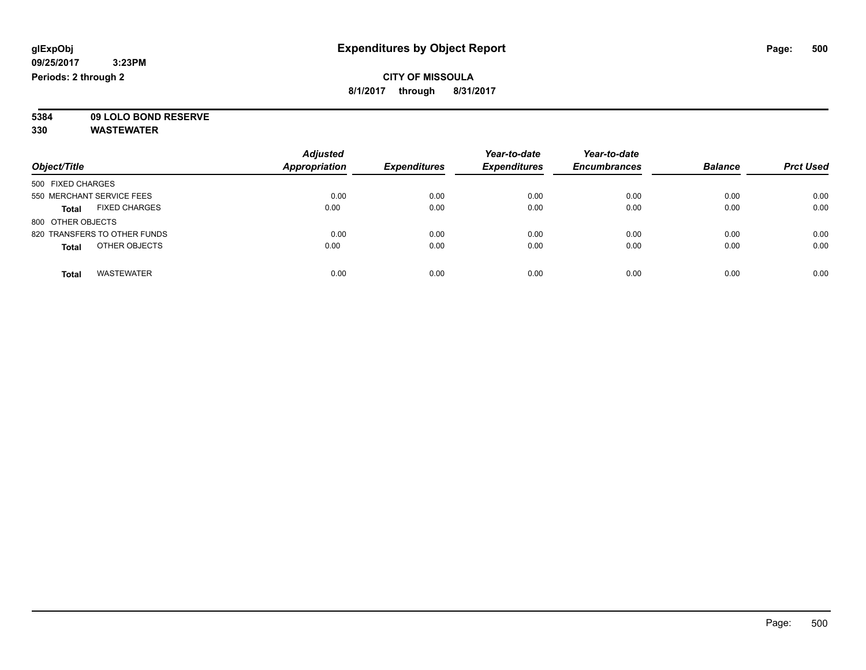#### **CITY OF MISSOULA 8/1/2017 through 8/31/2017**

**5384 09 LOLO BOND RESERVE**

|                                      | <b>Adjusted</b> |                     | Year-to-date        | Year-to-date        |                |                  |
|--------------------------------------|-----------------|---------------------|---------------------|---------------------|----------------|------------------|
| Object/Title                         | Appropriation   | <b>Expenditures</b> | <b>Expenditures</b> | <b>Encumbrances</b> | <b>Balance</b> | <b>Prct Used</b> |
| 500 FIXED CHARGES                    |                 |                     |                     |                     |                |                  |
| 550 MERCHANT SERVICE FEES            | 0.00            | 0.00                | 0.00                | 0.00                | 0.00           | 0.00             |
| <b>FIXED CHARGES</b><br><b>Total</b> | 0.00            | 0.00                | 0.00                | 0.00                | 0.00           | 0.00             |
| 800 OTHER OBJECTS                    |                 |                     |                     |                     |                |                  |
| 820 TRANSFERS TO OTHER FUNDS         | 0.00            | 0.00                | 0.00                | 0.00                | 0.00           | 0.00             |
| OTHER OBJECTS<br><b>Total</b>        | 0.00            | 0.00                | 0.00                | 0.00                | 0.00           | 0.00             |
| <b>WASTEWATER</b><br><b>Total</b>    | 0.00            | 0.00                | 0.00                | 0.00                | 0.00           | 0.00             |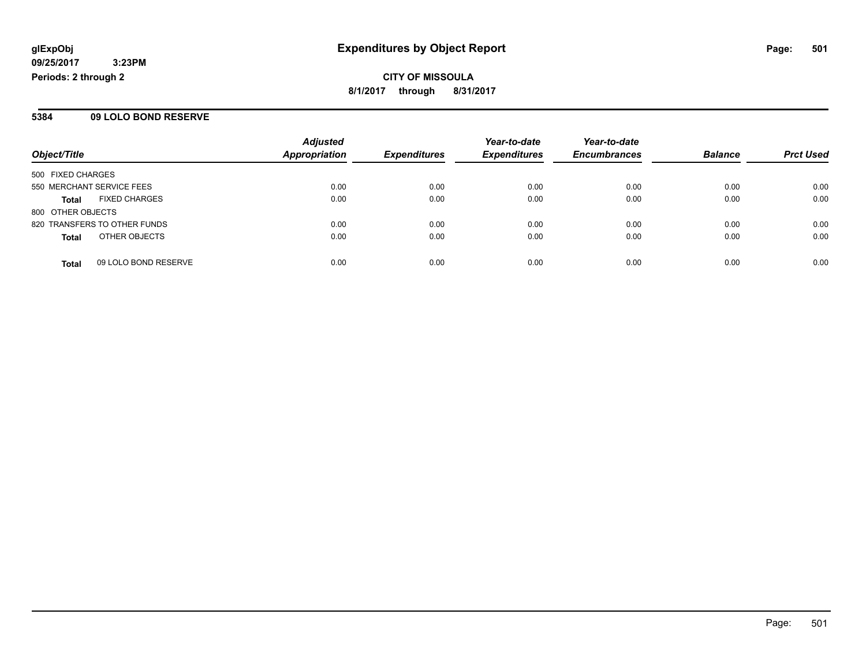**CITY OF MISSOULA 8/1/2017 through 8/31/2017**

#### **5384 09 LOLO BOND RESERVE**

| Object/Title                 |                      | <b>Adjusted</b>      |                     | Year-to-date<br><b>Expenditures</b> | Year-to-date        | <b>Balance</b> |                  |
|------------------------------|----------------------|----------------------|---------------------|-------------------------------------|---------------------|----------------|------------------|
|                              |                      | <b>Appropriation</b> | <b>Expenditures</b> |                                     | <b>Encumbrances</b> |                | <b>Prct Used</b> |
| 500 FIXED CHARGES            |                      |                      |                     |                                     |                     |                |                  |
| 550 MERCHANT SERVICE FEES    |                      | 0.00                 | 0.00                | 0.00                                | 0.00                | 0.00           | 0.00             |
| <b>Total</b>                 | <b>FIXED CHARGES</b> | 0.00                 | 0.00                | 0.00                                | 0.00                | 0.00           | 0.00             |
| 800 OTHER OBJECTS            |                      |                      |                     |                                     |                     |                |                  |
| 820 TRANSFERS TO OTHER FUNDS |                      | 0.00                 | 0.00                | 0.00                                | 0.00                | 0.00           | 0.00             |
| <b>Total</b>                 | OTHER OBJECTS        | 0.00                 | 0.00                | 0.00                                | 0.00                | 0.00           | 0.00             |
| <b>Total</b>                 | 09 LOLO BOND RESERVE | 0.00                 | 0.00                | 0.00                                | 0.00                | 0.00           | 0.00             |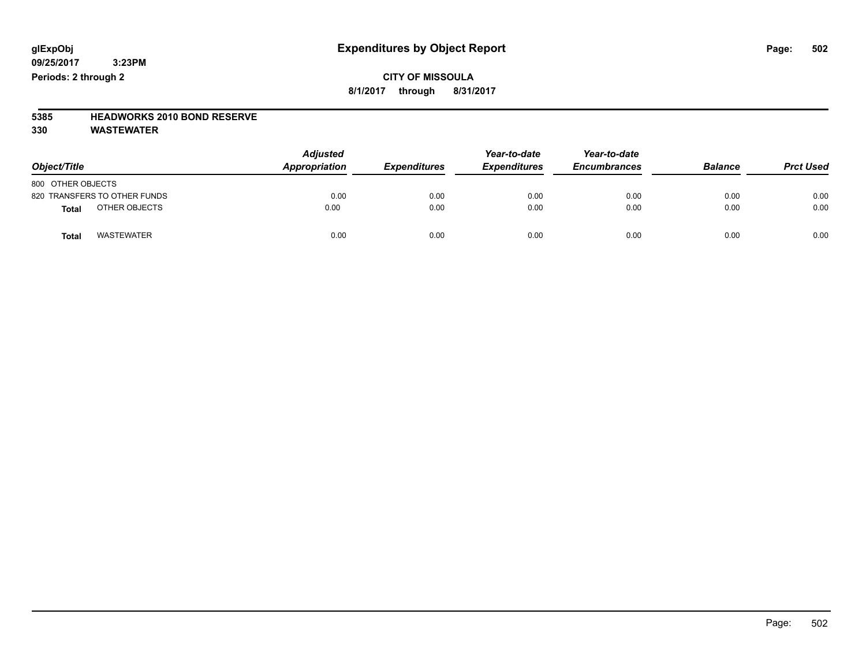#### **CITY OF MISSOULA 8/1/2017 through 8/31/2017**

## **5385 HEADWORKS 2010 BOND RESERVE**

| Object/Title                      | <b>Adjusted</b><br><b>Appropriation</b> | <b>Expenditures</b> | Year-to-date<br><b>Expenditures</b> | Year-to-date<br><b>Encumbrances</b> | <b>Balance</b> | <b>Prct Used</b> |
|-----------------------------------|-----------------------------------------|---------------------|-------------------------------------|-------------------------------------|----------------|------------------|
| 800 OTHER OBJECTS                 |                                         |                     |                                     |                                     |                |                  |
| 820 TRANSFERS TO OTHER FUNDS      | 0.00                                    | 0.00                | 0.00                                | 0.00                                | 0.00           | 0.00             |
| OTHER OBJECTS<br><b>Total</b>     | 0.00                                    | 0.00                | 0.00                                | 0.00                                | 0.00           | 0.00             |
| <b>WASTEWATER</b><br><b>Total</b> | 0.00                                    | 0.00                | 0.00                                | 0.00                                | 0.00           | 0.00             |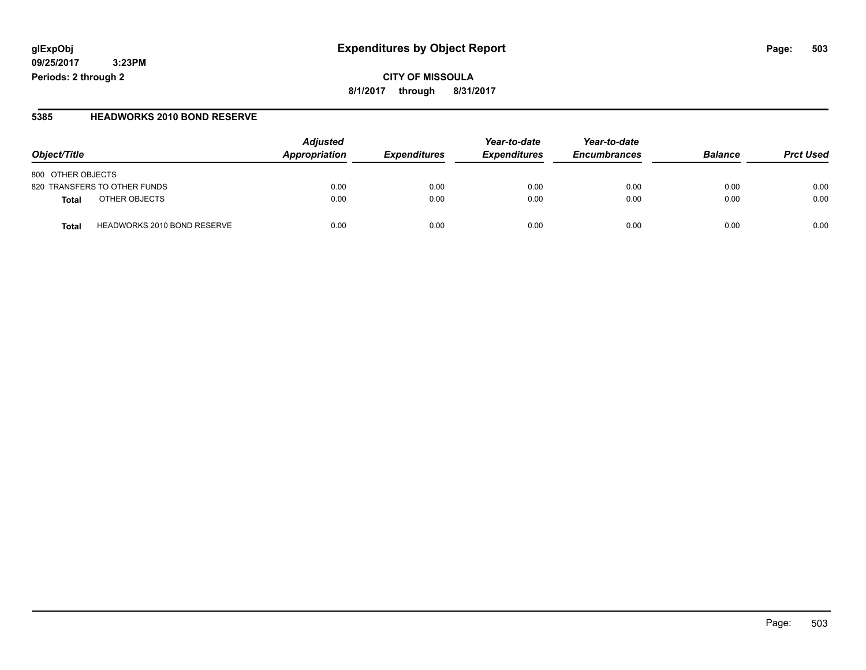#### **glExpObj Expenditures by Object Report Page: 503**

**09/25/2017 3:23PM Periods: 2 through 2**

#### **5385 HEADWORKS 2010 BOND RESERVE**

| Object/Title                                | <b>Adjusted</b><br>Appropriation | <b>Expenditures</b> | Year-to-date<br><b>Expenditures</b> | Year-to-date<br><b>Encumbrances</b> | <b>Balance</b> | <b>Prct Used</b> |
|---------------------------------------------|----------------------------------|---------------------|-------------------------------------|-------------------------------------|----------------|------------------|
| 800 OTHER OBJECTS                           |                                  |                     |                                     |                                     |                |                  |
| 820 TRANSFERS TO OTHER FUNDS                | 0.00                             | 0.00                | 0.00                                | 0.00                                | 0.00           | 0.00             |
| OTHER OBJECTS<br>Total                      | 0.00                             | 0.00                | 0.00                                | 0.00                                | 0.00           | 0.00             |
| <b>HEADWORKS 2010 BOND RESERVE</b><br>Total | 0.00                             | 0.00                | 0.00                                | 0.00                                | 0.00           | 0.00             |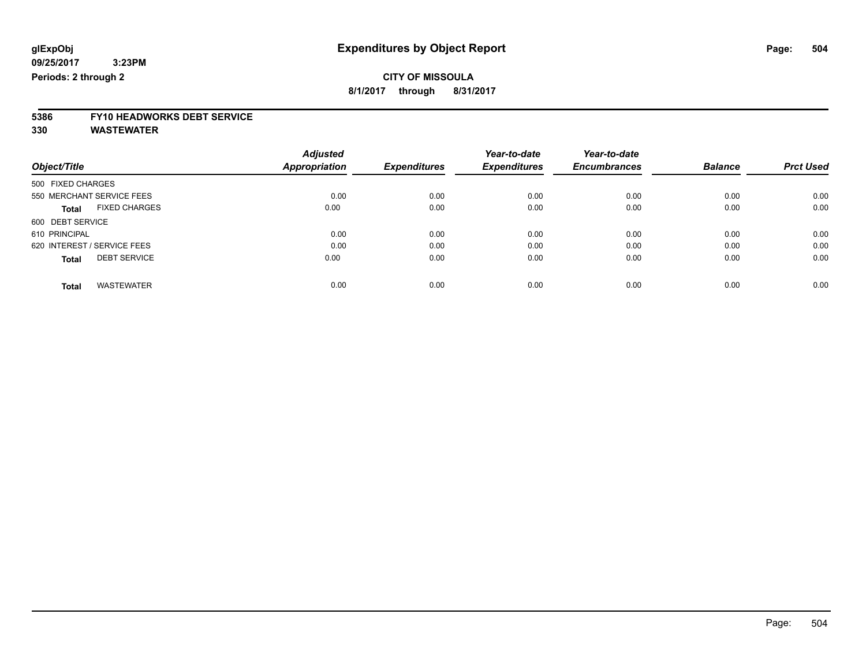**8/1/2017 through 8/31/2017**

# **5386 FY10 HEADWORKS DEBT SERVICE**

| Object/Title                         | <b>Adjusted</b><br>Appropriation | <b>Expenditures</b> | Year-to-date<br><b>Expenditures</b> | Year-to-date<br><b>Encumbrances</b> | <b>Balance</b> | <b>Prct Used</b> |
|--------------------------------------|----------------------------------|---------------------|-------------------------------------|-------------------------------------|----------------|------------------|
|                                      |                                  |                     |                                     |                                     |                |                  |
| 550 MERCHANT SERVICE FEES            | 0.00                             | 0.00                | 0.00                                | 0.00                                | 0.00           | 0.00             |
| <b>FIXED CHARGES</b><br><b>Total</b> | 0.00                             | 0.00                | 0.00                                | 0.00                                | 0.00           | 0.00             |
| 600 DEBT SERVICE                     |                                  |                     |                                     |                                     |                |                  |
| 610 PRINCIPAL                        | 0.00                             | 0.00                | 0.00                                | 0.00                                | 0.00           | 0.00             |
| 620 INTEREST / SERVICE FEES          | 0.00                             | 0.00                | 0.00                                | 0.00                                | 0.00           | 0.00             |
| <b>DEBT SERVICE</b><br><b>Total</b>  | 0.00                             | 0.00                | 0.00                                | 0.00                                | 0.00           | 0.00             |
| <b>WASTEWATER</b><br>Total           | 0.00                             | 0.00                | 0.00                                | 0.00                                | 0.00           | 0.00             |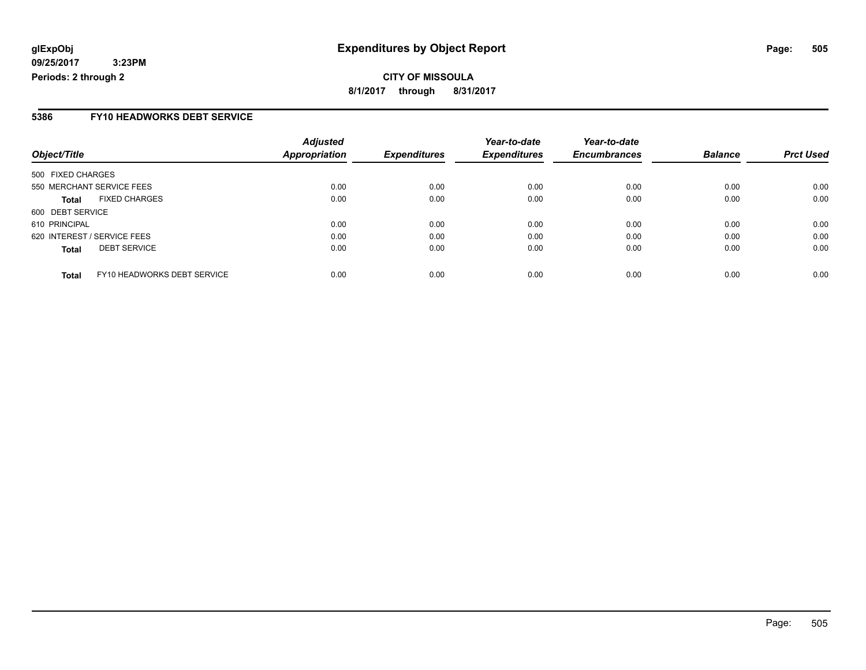### **5386 FY10 HEADWORKS DEBT SERVICE**

| Object/Title                                | <b>Adjusted</b><br>Appropriation | <b>Expenditures</b> | Year-to-date<br><b>Expenditures</b> | Year-to-date<br><b>Encumbrances</b> | <b>Balance</b> | <b>Prct Used</b> |
|---------------------------------------------|----------------------------------|---------------------|-------------------------------------|-------------------------------------|----------------|------------------|
|                                             |                                  |                     |                                     |                                     |                |                  |
| 500 FIXED CHARGES                           |                                  |                     |                                     |                                     |                |                  |
| 550 MERCHANT SERVICE FEES                   | 0.00                             | 0.00                | 0.00                                | 0.00                                | 0.00           | 0.00             |
| <b>FIXED CHARGES</b><br><b>Total</b>        | 0.00                             | 0.00                | 0.00                                | 0.00                                | 0.00           | 0.00             |
| 600 DEBT SERVICE                            |                                  |                     |                                     |                                     |                |                  |
| 610 PRINCIPAL                               | 0.00                             | 0.00                | 0.00                                | 0.00                                | 0.00           | 0.00             |
| 620 INTEREST / SERVICE FEES                 | 0.00                             | 0.00                | 0.00                                | 0.00                                | 0.00           | 0.00             |
| <b>DEBT SERVICE</b><br><b>Total</b>         | 0.00                             | 0.00                | 0.00                                | 0.00                                | 0.00           | 0.00             |
| FY10 HEADWORKS DEBT SERVICE<br><b>Total</b> | 0.00                             | 0.00                | 0.00                                | 0.00                                | 0.00           | 0.00             |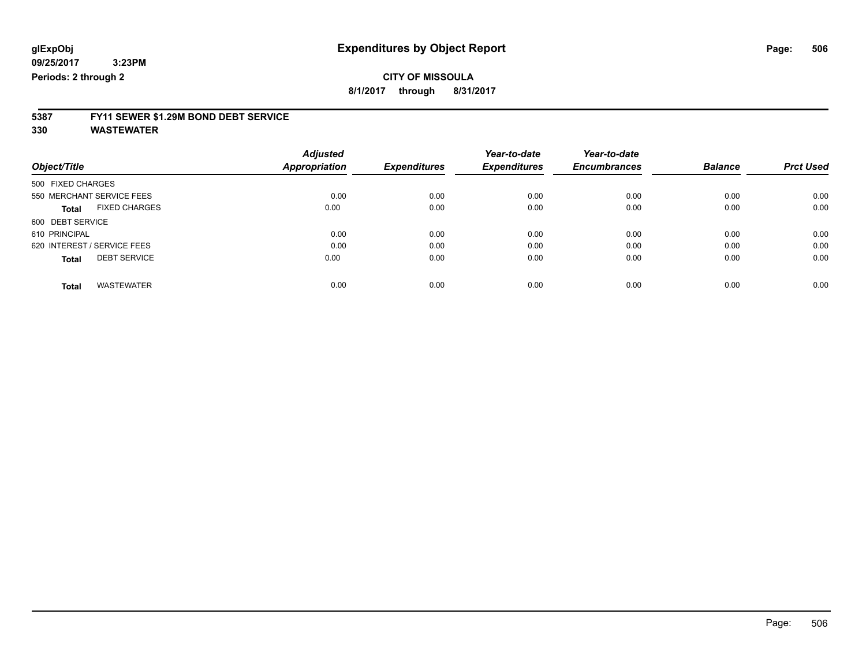**8/1/2017 through 8/31/2017**

# **5387 FY11 SEWER \$1.29M BOND DEBT SERVICE**

**330 WASTEWATER**

|                                      | <b>Adjusted</b> |                     | Year-to-date        | Year-to-date        | <b>Balance</b> | <b>Prct Used</b> |
|--------------------------------------|-----------------|---------------------|---------------------|---------------------|----------------|------------------|
| Object/Title                         | Appropriation   | <b>Expenditures</b> | <b>Expenditures</b> | <b>Encumbrances</b> |                |                  |
| 500 FIXED CHARGES                    |                 |                     |                     |                     |                |                  |
| 550 MERCHANT SERVICE FEES            | 0.00            | 0.00                | 0.00                | 0.00                | 0.00           | 0.00             |
| <b>FIXED CHARGES</b><br><b>Total</b> | 0.00            | 0.00                | 0.00                | 0.00                | 0.00           | 0.00             |
| 600 DEBT SERVICE                     |                 |                     |                     |                     |                |                  |
| 610 PRINCIPAL                        | 0.00            | 0.00                | 0.00                | 0.00                | 0.00           | 0.00             |
| 620 INTEREST / SERVICE FEES          | 0.00            | 0.00                | 0.00                | 0.00                | 0.00           | 0.00             |
| <b>DEBT SERVICE</b><br><b>Total</b>  | 0.00            | 0.00                | 0.00                | 0.00                | 0.00           | 0.00             |
| <b>WASTEWATER</b><br><b>Total</b>    | 0.00            | 0.00                | 0.00                | 0.00                | 0.00           | 0.00             |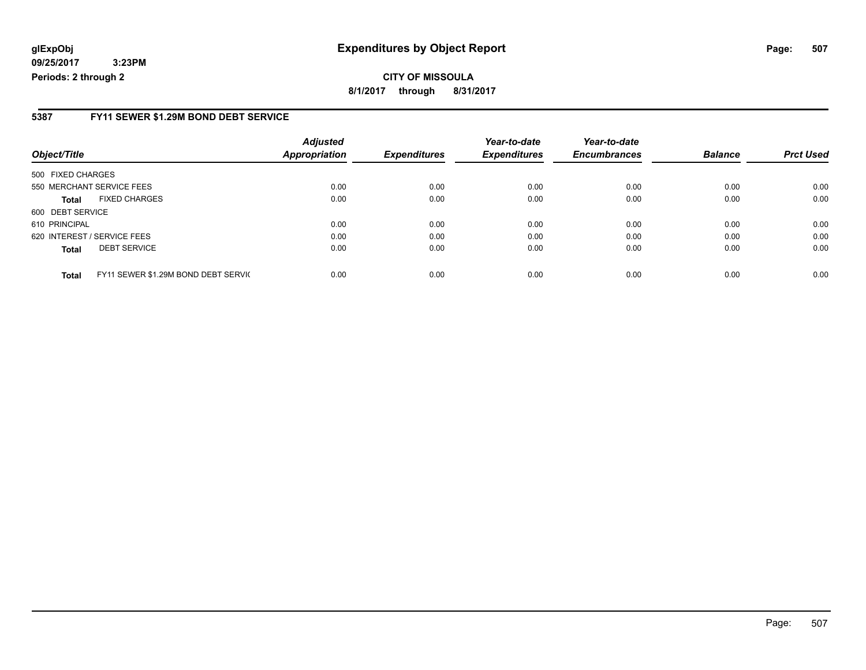### **glExpObj Expenditures by Object Report Page: 507**

**09/25/2017 3:23PM Periods: 2 through 2**

### **5387 FY11 SEWER \$1.29M BOND DEBT SERVICE**

| Object/Title                |                                     | <b>Adjusted</b><br><b>Appropriation</b> | <b>Expenditures</b> | Year-to-date<br><b>Expenditures</b> | Year-to-date<br><b>Encumbrances</b> | <b>Balance</b> | <b>Prct Used</b> |
|-----------------------------|-------------------------------------|-----------------------------------------|---------------------|-------------------------------------|-------------------------------------|----------------|------------------|
| 500 FIXED CHARGES           |                                     |                                         |                     |                                     |                                     |                |                  |
| 550 MERCHANT SERVICE FEES   |                                     | 0.00                                    | 0.00                | 0.00                                | 0.00                                | 0.00           | 0.00             |
| Total                       | <b>FIXED CHARGES</b>                | 0.00                                    | 0.00                | 0.00                                | 0.00                                | 0.00           | 0.00             |
| 600 DEBT SERVICE            |                                     |                                         |                     |                                     |                                     |                |                  |
| 610 PRINCIPAL               |                                     | 0.00                                    | 0.00                | 0.00                                | 0.00                                | 0.00           | 0.00             |
| 620 INTEREST / SERVICE FEES |                                     | 0.00                                    | 0.00                | 0.00                                | 0.00                                | 0.00           | 0.00             |
| <b>Total</b>                | <b>DEBT SERVICE</b>                 | 0.00                                    | 0.00                | 0.00                                | 0.00                                | 0.00           | 0.00             |
| <b>Total</b>                | FY11 SEWER \$1.29M BOND DEBT SERVIC | 0.00                                    | 0.00                | 0.00                                | 0.00                                | 0.00           | 0.00             |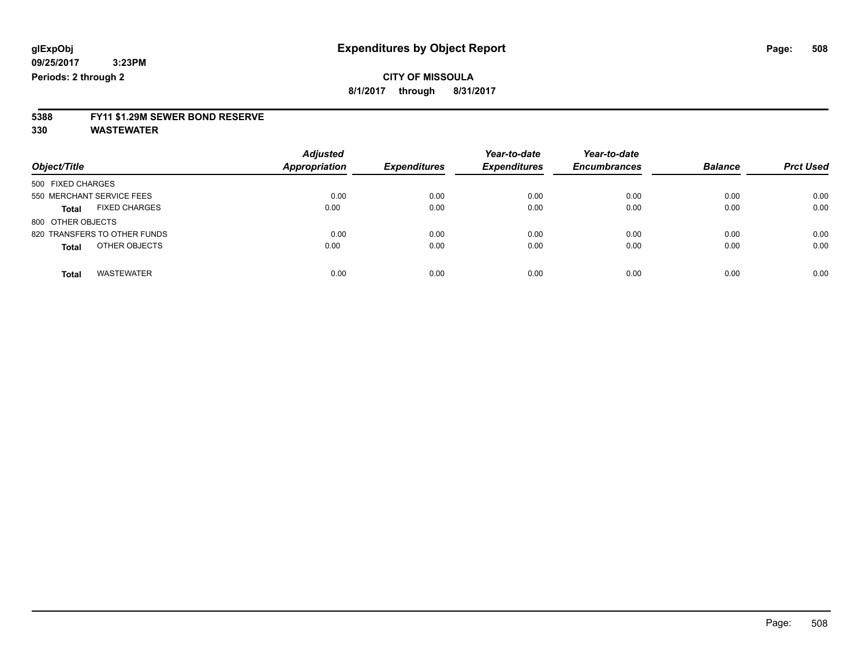**8/1/2017 through 8/31/2017**

# **5388 FY11 \$1.29M SEWER BOND RESERVE**

**330 WASTEWATER**

| Object/Title                         | <b>Adjusted</b><br>Appropriation | <b>Expenditures</b> | Year-to-date<br><b>Expenditures</b> | Year-to-date<br><b>Encumbrances</b> | <b>Balance</b> | <b>Prct Used</b> |
|--------------------------------------|----------------------------------|---------------------|-------------------------------------|-------------------------------------|----------------|------------------|
| 500 FIXED CHARGES                    |                                  |                     |                                     |                                     |                |                  |
| 550 MERCHANT SERVICE FEES            | 0.00                             | 0.00                | 0.00                                | 0.00                                | 0.00           | 0.00             |
| <b>FIXED CHARGES</b><br><b>Total</b> | 0.00                             | 0.00                | 0.00                                | 0.00                                | 0.00           | 0.00             |
| 800 OTHER OBJECTS                    |                                  |                     |                                     |                                     |                |                  |
| 820 TRANSFERS TO OTHER FUNDS         | 0.00                             | 0.00                | 0.00                                | 0.00                                | 0.00           | 0.00             |
| OTHER OBJECTS<br><b>Total</b>        | 0.00                             | 0.00                | 0.00                                | 0.00                                | 0.00           | 0.00             |
| <b>WASTEWATER</b><br><b>Total</b>    | 0.00                             | 0.00                | 0.00                                | 0.00                                | 0.00           | 0.00             |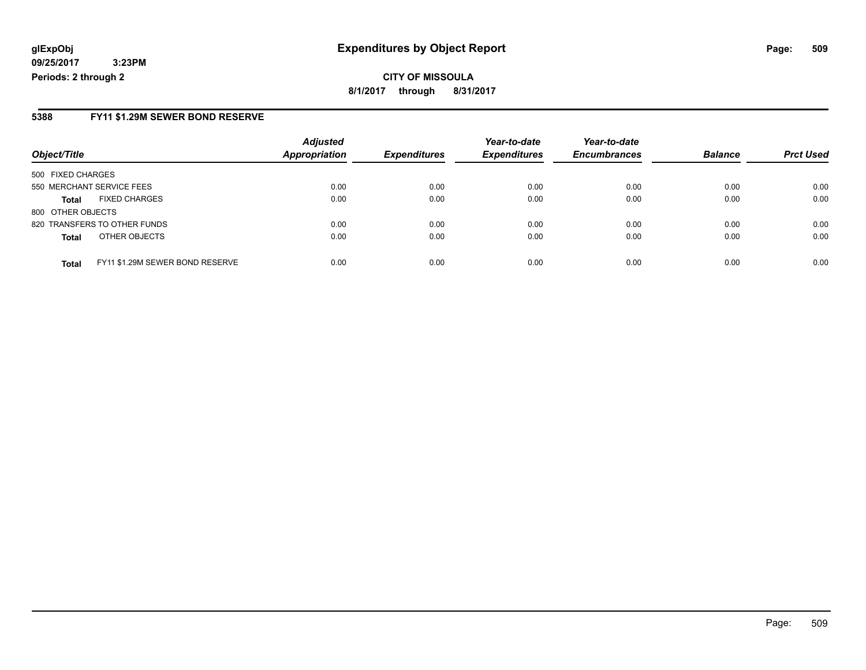**CITY OF MISSOULA 8/1/2017 through 8/31/2017**

#### **5388 FY11 \$1.29M SEWER BOND RESERVE**

|                           |                                 | <b>Adjusted</b> |                     | Year-to-date        | Year-to-date        |                |                  |
|---------------------------|---------------------------------|-----------------|---------------------|---------------------|---------------------|----------------|------------------|
| Object/Title              |                                 | Appropriation   | <b>Expenditures</b> | <b>Expenditures</b> | <b>Encumbrances</b> | <b>Balance</b> | <b>Prct Used</b> |
| 500 FIXED CHARGES         |                                 |                 |                     |                     |                     |                |                  |
| 550 MERCHANT SERVICE FEES |                                 | 0.00            | 0.00                | 0.00                | 0.00                | 0.00           | 0.00             |
| <b>Total</b>              | <b>FIXED CHARGES</b>            | 0.00            | 0.00                | 0.00                | 0.00                | 0.00           | 0.00             |
| 800 OTHER OBJECTS         |                                 |                 |                     |                     |                     |                |                  |
|                           | 820 TRANSFERS TO OTHER FUNDS    | 0.00            | 0.00                | 0.00                | 0.00                | 0.00           | 0.00             |
| <b>Total</b>              | OTHER OBJECTS                   | 0.00            | 0.00                | 0.00                | 0.00                | 0.00           | 0.00             |
| <b>Total</b>              | FY11 \$1.29M SEWER BOND RESERVE | 0.00            | 0.00                | 0.00                | 0.00                | 0.00           | 0.00             |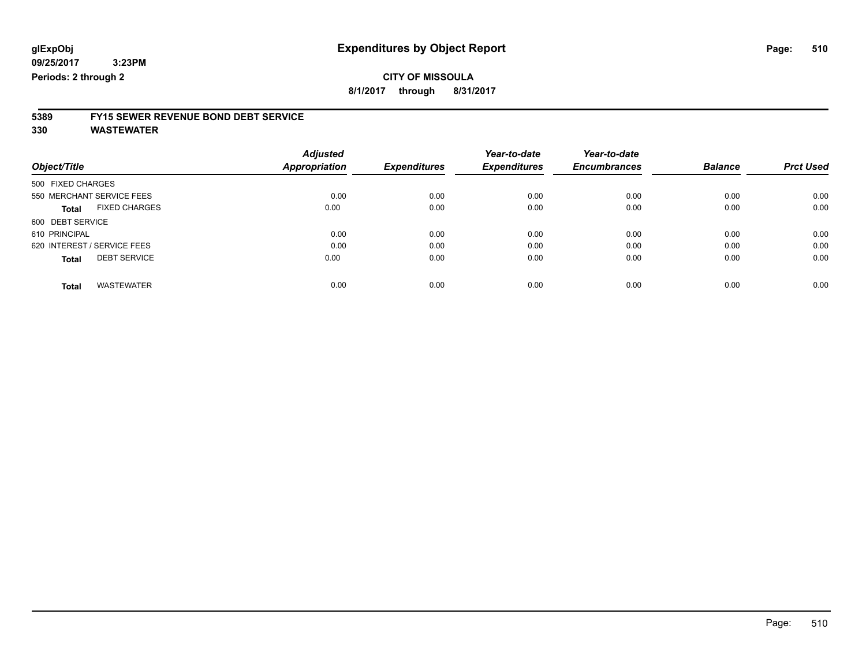### **CITY OF MISSOULA**

**8/1/2017 through 8/31/2017**

# **5389 FY15 SEWER REVENUE BOND DEBT SERVICE**

**330 WASTEWATER**

| <b>Adjusted</b>                                                                                                              |                               | Year-to-date        | Year-to-date        |                |                  |
|------------------------------------------------------------------------------------------------------------------------------|-------------------------------|---------------------|---------------------|----------------|------------------|
|                                                                                                                              | <b>Expenditures</b>           | <b>Expenditures</b> | <b>Encumbrances</b> | <b>Balance</b> | <b>Prct Used</b> |
|                                                                                                                              |                               |                     |                     |                |                  |
| 0.00                                                                                                                         | 0.00                          | 0.00                | 0.00                | 0.00           | 0.00             |
|                                                                                                                              | 0.00                          | 0.00                | 0.00                | 0.00           | 0.00             |
|                                                                                                                              |                               |                     |                     |                |                  |
| 0.00                                                                                                                         | 0.00                          | 0.00                | 0.00                | 0.00           | 0.00             |
| 0.00                                                                                                                         | 0.00                          | 0.00                | 0.00                | 0.00           | 0.00             |
|                                                                                                                              | 0.00                          | 0.00                | 0.00                | 0.00           | 0.00             |
| 0.00                                                                                                                         | 0.00                          | 0.00                | 0.00                | 0.00           | 0.00             |
| 550 MERCHANT SERVICE FEES<br><b>FIXED CHARGES</b><br>620 INTEREST / SERVICE FEES<br><b>DEBT SERVICE</b><br><b>WASTEWATER</b> | Appropriation<br>0.00<br>0.00 |                     |                     |                |                  |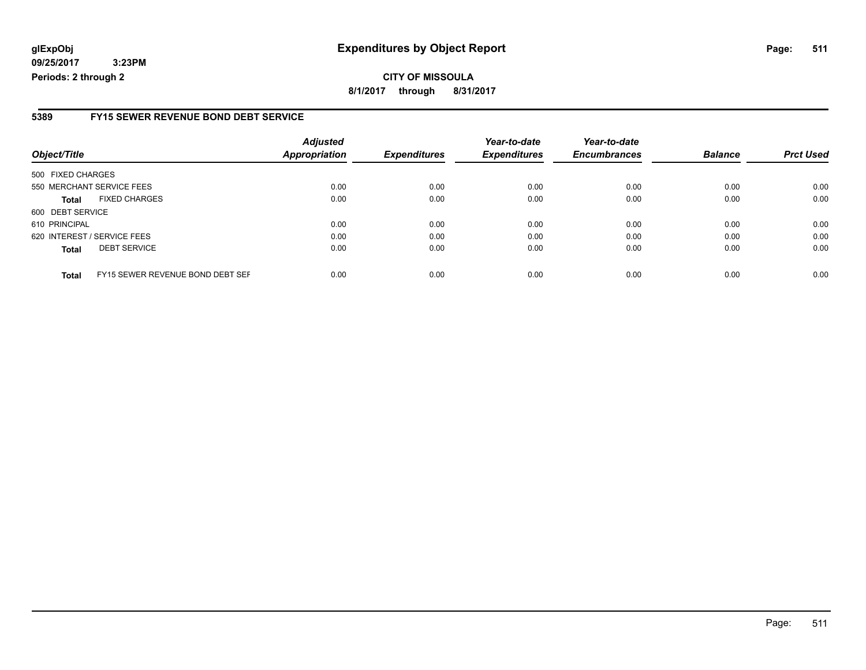### **glExpObj Expenditures by Object Report Page: 511**

**09/25/2017 3:23PM Periods: 2 through 2**

#### **5389 FY15 SEWER REVENUE BOND DEBT SERVICE**

| Object/Title                                     | <b>Adjusted</b><br>Appropriation | <b>Expenditures</b> | Year-to-date<br><b>Expenditures</b> | Year-to-date<br><b>Encumbrances</b> | <b>Balance</b> | <b>Prct Used</b> |
|--------------------------------------------------|----------------------------------|---------------------|-------------------------------------|-------------------------------------|----------------|------------------|
|                                                  |                                  |                     |                                     |                                     |                |                  |
| 500 FIXED CHARGES                                |                                  |                     |                                     |                                     |                |                  |
| 550 MERCHANT SERVICE FEES                        | 0.00                             | 0.00                | 0.00                                | 0.00                                | 0.00           | 0.00             |
| <b>FIXED CHARGES</b><br><b>Total</b>             | 0.00                             | 0.00                | 0.00                                | 0.00                                | 0.00           | 0.00             |
| 600 DEBT SERVICE                                 |                                  |                     |                                     |                                     |                |                  |
| 610 PRINCIPAL                                    | 0.00                             | 0.00                | 0.00                                | 0.00                                | 0.00           | 0.00             |
| 620 INTEREST / SERVICE FEES                      | 0.00                             | 0.00                | 0.00                                | 0.00                                | 0.00           | 0.00             |
| <b>DEBT SERVICE</b><br><b>Total</b>              | 0.00                             | 0.00                | 0.00                                | 0.00                                | 0.00           | 0.00             |
| FY15 SEWER REVENUE BOND DEBT SEF<br><b>Total</b> | 0.00                             | 0.00                | 0.00                                | 0.00                                | 0.00           | 0.00             |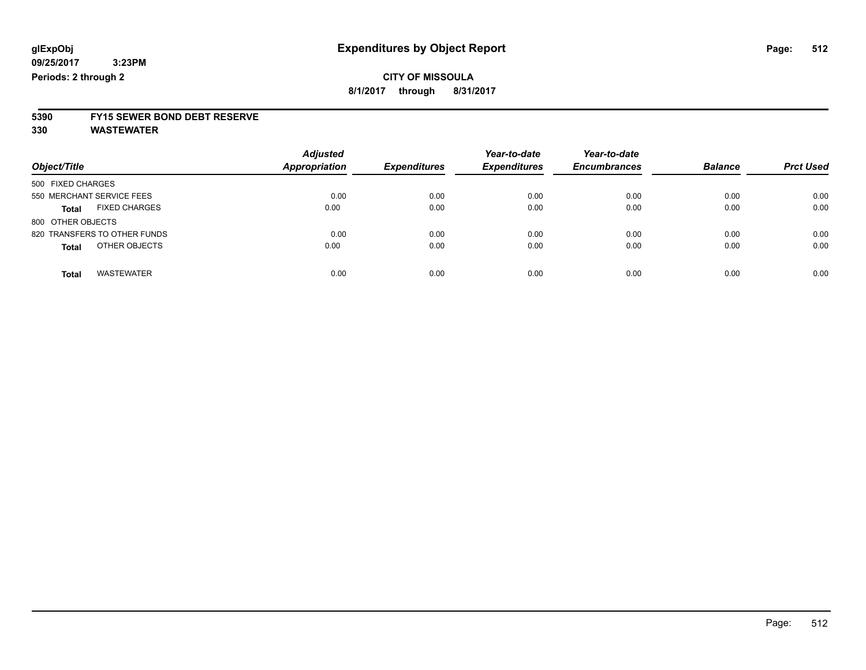# **5390 FY15 SEWER BOND DEBT RESERVE**

**330 WASTEWATER**

| Object/Title                         | <b>Adjusted</b><br><b>Appropriation</b> | <b>Expenditures</b> | Year-to-date<br><b>Expenditures</b> | Year-to-date<br><b>Encumbrances</b> | <b>Balance</b> | <b>Prct Used</b> |
|--------------------------------------|-----------------------------------------|---------------------|-------------------------------------|-------------------------------------|----------------|------------------|
| 500 FIXED CHARGES                    |                                         |                     |                                     |                                     |                |                  |
| 550 MERCHANT SERVICE FEES            | 0.00                                    | 0.00                | 0.00                                | 0.00                                | 0.00           | 0.00             |
| <b>FIXED CHARGES</b><br><b>Total</b> | 0.00                                    | 0.00                | 0.00                                | 0.00                                | 0.00           | 0.00             |
| 800 OTHER OBJECTS                    |                                         |                     |                                     |                                     |                |                  |
| 820 TRANSFERS TO OTHER FUNDS         | 0.00                                    | 0.00                | 0.00                                | 0.00                                | 0.00           | 0.00             |
| OTHER OBJECTS<br><b>Total</b>        | 0.00                                    | 0.00                | 0.00                                | 0.00                                | 0.00           | 0.00             |
| <b>WASTEWATER</b><br><b>Total</b>    | 0.00                                    | 0.00                | 0.00                                | 0.00                                | 0.00           | 0.00             |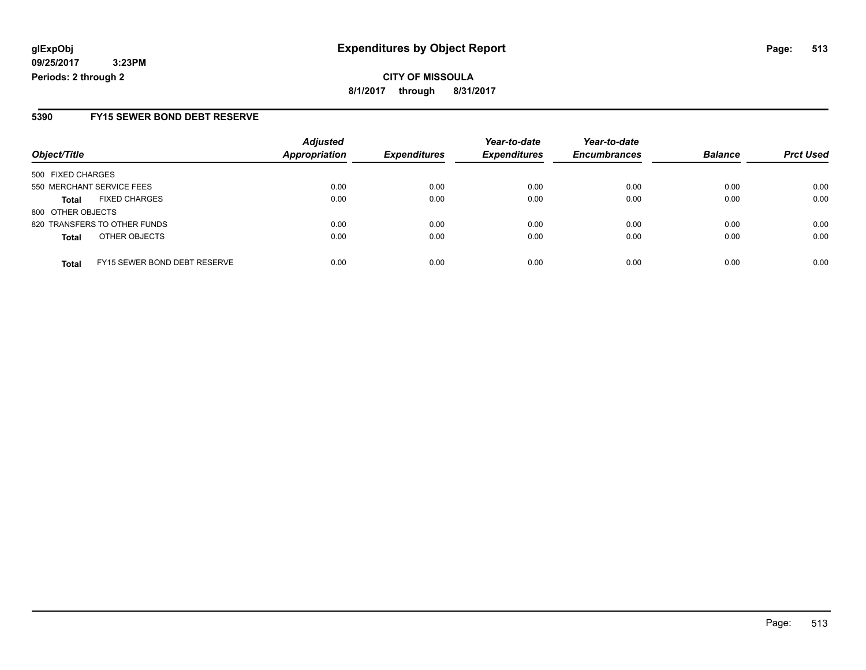**CITY OF MISSOULA 8/1/2017 through 8/31/2017**

### **5390 FY15 SEWER BOND DEBT RESERVE**

| Object/Title              |                                     | <b>Adjusted</b> | <b>Expenditures</b> | Year-to-date<br><b>Expenditures</b> | Year-to-date        | <b>Balance</b> |                  |
|---------------------------|-------------------------------------|-----------------|---------------------|-------------------------------------|---------------------|----------------|------------------|
|                           |                                     | Appropriation   |                     |                                     | <b>Encumbrances</b> |                | <b>Prct Used</b> |
| 500 FIXED CHARGES         |                                     |                 |                     |                                     |                     |                |                  |
| 550 MERCHANT SERVICE FEES |                                     | 0.00            | 0.00                | 0.00                                | 0.00                | 0.00           | 0.00             |
| <b>Total</b>              | <b>FIXED CHARGES</b>                | 0.00            | 0.00                | 0.00                                | 0.00                | 0.00           | 0.00             |
| 800 OTHER OBJECTS         |                                     |                 |                     |                                     |                     |                |                  |
|                           | 820 TRANSFERS TO OTHER FUNDS        | 0.00            | 0.00                | 0.00                                | 0.00                | 0.00           | 0.00             |
| <b>Total</b>              | OTHER OBJECTS                       | 0.00            | 0.00                | 0.00                                | 0.00                | 0.00           | 0.00             |
| <b>Total</b>              | <b>FY15 SEWER BOND DEBT RESERVE</b> | 0.00            | 0.00                | 0.00                                | 0.00                | 0.00           | 0.00             |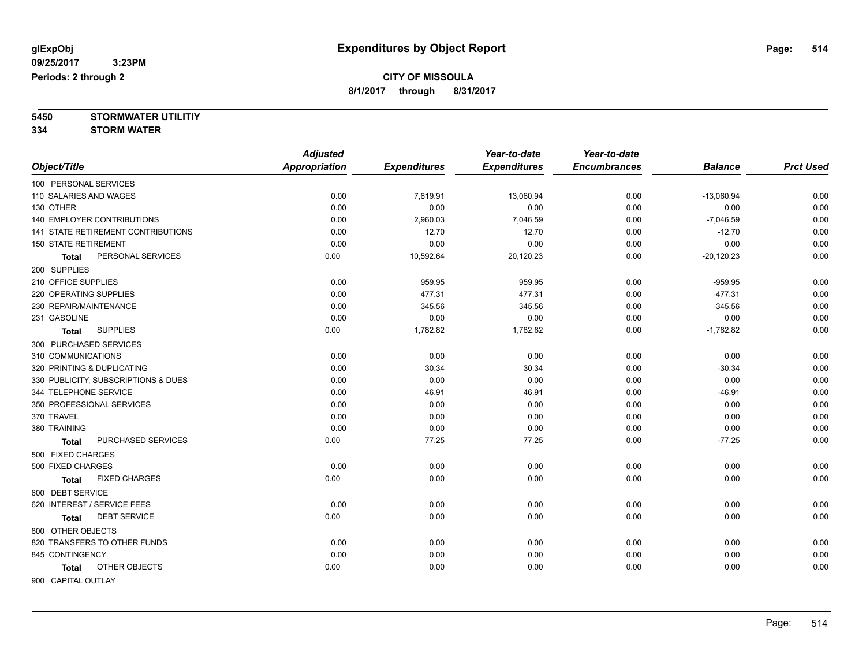**5450 STORMWATER UTILITIY**

**334 STORM WATER**

|                                      | <b>Adjusted</b>      |                     | Year-to-date        | Year-to-date        |                |                  |
|--------------------------------------|----------------------|---------------------|---------------------|---------------------|----------------|------------------|
| Object/Title                         | <b>Appropriation</b> | <b>Expenditures</b> | <b>Expenditures</b> | <b>Encumbrances</b> | <b>Balance</b> | <b>Prct Used</b> |
| 100 PERSONAL SERVICES                |                      |                     |                     |                     |                |                  |
| 110 SALARIES AND WAGES               | 0.00                 | 7,619.91            | 13,060.94           | 0.00                | $-13,060.94$   | 0.00             |
| 130 OTHER                            | 0.00                 | 0.00                | 0.00                | 0.00                | 0.00           | 0.00             |
| <b>140 EMPLOYER CONTRIBUTIONS</b>    | 0.00                 | 2,960.03            | 7,046.59            | 0.00                | $-7,046.59$    | 0.00             |
| 141 STATE RETIREMENT CONTRIBUTIONS   | 0.00                 | 12.70               | 12.70               | 0.00                | $-12.70$       | 0.00             |
| <b>150 STATE RETIREMENT</b>          | 0.00                 | 0.00                | 0.00                | 0.00                | 0.00           | 0.00             |
| PERSONAL SERVICES<br><b>Total</b>    | 0.00                 | 10,592.64           | 20,120.23           | 0.00                | $-20,120.23$   | 0.00             |
| 200 SUPPLIES                         |                      |                     |                     |                     |                |                  |
| 210 OFFICE SUPPLIES                  | 0.00                 | 959.95              | 959.95              | 0.00                | $-959.95$      | 0.00             |
| 220 OPERATING SUPPLIES               | 0.00                 | 477.31              | 477.31              | 0.00                | $-477.31$      | 0.00             |
| 230 REPAIR/MAINTENANCE               | 0.00                 | 345.56              | 345.56              | 0.00                | $-345.56$      | 0.00             |
| 231 GASOLINE                         | 0.00                 | 0.00                | 0.00                | 0.00                | 0.00           | 0.00             |
| <b>SUPPLIES</b><br><b>Total</b>      | 0.00                 | 1,782.82            | 1,782.82            | 0.00                | $-1,782.82$    | 0.00             |
| 300 PURCHASED SERVICES               |                      |                     |                     |                     |                |                  |
| 310 COMMUNICATIONS                   | 0.00                 | 0.00                | 0.00                | 0.00                | 0.00           | 0.00             |
| 320 PRINTING & DUPLICATING           | 0.00                 | 30.34               | 30.34               | 0.00                | $-30.34$       | 0.00             |
| 330 PUBLICITY, SUBSCRIPTIONS & DUES  | 0.00                 | 0.00                | 0.00                | 0.00                | 0.00           | 0.00             |
| 344 TELEPHONE SERVICE                | 0.00                 | 46.91               | 46.91               | 0.00                | $-46.91$       | 0.00             |
| 350 PROFESSIONAL SERVICES            | 0.00                 | 0.00                | 0.00                | 0.00                | 0.00           | 0.00             |
| 370 TRAVEL                           | 0.00                 | 0.00                | 0.00                | 0.00                | 0.00           | 0.00             |
| 380 TRAINING                         | 0.00                 | 0.00                | 0.00                | 0.00                | 0.00           | 0.00             |
| PURCHASED SERVICES<br><b>Total</b>   | 0.00                 | 77.25               | 77.25               | 0.00                | $-77.25$       | 0.00             |
| 500 FIXED CHARGES                    |                      |                     |                     |                     |                |                  |
| 500 FIXED CHARGES                    | 0.00                 | 0.00                | 0.00                | 0.00                | 0.00           | 0.00             |
| <b>FIXED CHARGES</b><br><b>Total</b> | 0.00                 | 0.00                | 0.00                | 0.00                | 0.00           | 0.00             |
| 600 DEBT SERVICE                     |                      |                     |                     |                     |                |                  |
| 620 INTEREST / SERVICE FEES          | 0.00                 | 0.00                | 0.00                | 0.00                | 0.00           | 0.00             |
| <b>DEBT SERVICE</b><br><b>Total</b>  | 0.00                 | 0.00                | 0.00                | 0.00                | 0.00           | 0.00             |
| 800 OTHER OBJECTS                    |                      |                     |                     |                     |                |                  |
| 820 TRANSFERS TO OTHER FUNDS         | 0.00                 | 0.00                | 0.00                | 0.00                | 0.00           | 0.00             |
| 845 CONTINGENCY                      | 0.00                 | 0.00                | 0.00                | 0.00                | 0.00           | 0.00             |
| OTHER OBJECTS<br>Total               | 0.00                 | 0.00                | 0.00                | 0.00                | 0.00           | 0.00             |
| 900 CAPITAL OUTLAY                   |                      |                     |                     |                     |                |                  |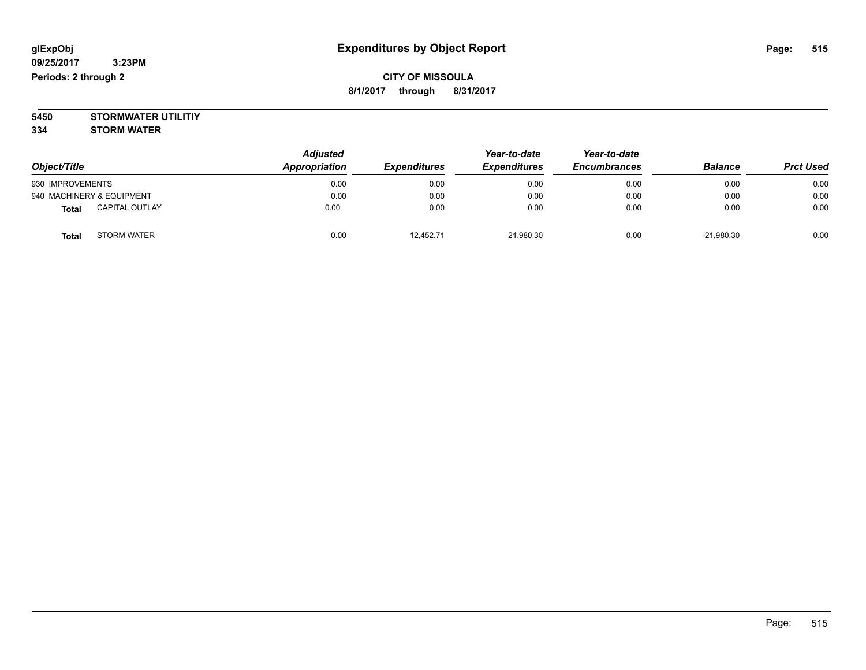### **CITY OF MISSOULA 8/1/2017 through 8/31/2017**

**5450 STORMWATER UTILITIY 334 STORM WATER**

|                                       | <b>Adjusted</b> |                     |                     | Year-to-date        |                |                  |
|---------------------------------------|-----------------|---------------------|---------------------|---------------------|----------------|------------------|
| Object/Title                          | Appropriation   | <b>Expenditures</b> | <b>Expenditures</b> | <b>Encumbrances</b> | <b>Balance</b> | <b>Prct Used</b> |
| 930 IMPROVEMENTS                      | 0.00            | 0.00                | 0.00                | 0.00                | 0.00           | 0.00             |
| 940 MACHINERY & EQUIPMENT             | 0.00            | 0.00                | 0.00                | 0.00                | 0.00           | 0.00             |
| <b>CAPITAL OUTLAY</b><br><b>Total</b> | 0.00            | 0.00                | 0.00                | 0.00                | 0.00           | 0.00             |
| <b>STORM WATER</b><br>Tota            | 0.00            | 12,452.71           | 21,980.30           | 0.00                | $-21,980.30$   | 0.00             |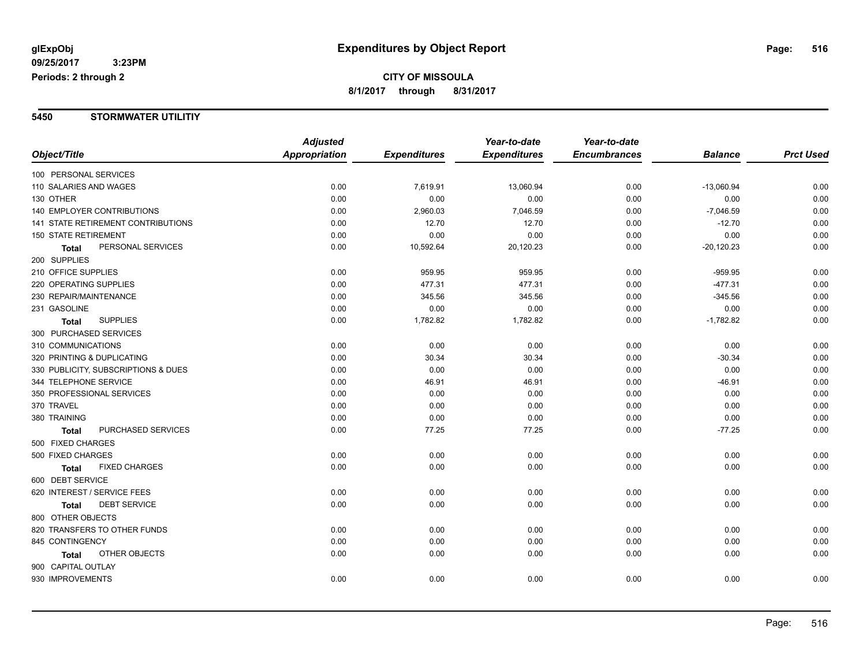#### **5450 STORMWATER UTILITIY**

|                                      | <b>Adjusted</b> |                     | Year-to-date        | Year-to-date        |                |                  |
|--------------------------------------|-----------------|---------------------|---------------------|---------------------|----------------|------------------|
| Object/Title                         | Appropriation   | <b>Expenditures</b> | <b>Expenditures</b> | <b>Encumbrances</b> | <b>Balance</b> | <b>Prct Used</b> |
| 100 PERSONAL SERVICES                |                 |                     |                     |                     |                |                  |
| 110 SALARIES AND WAGES               | 0.00            | 7,619.91            | 13,060.94           | 0.00                | $-13,060.94$   | 0.00             |
| 130 OTHER                            | 0.00            | 0.00                | 0.00                | 0.00                | 0.00           | 0.00             |
| <b>140 EMPLOYER CONTRIBUTIONS</b>    | 0.00            | 2,960.03            | 7,046.59            | 0.00                | $-7,046.59$    | 0.00             |
| 141 STATE RETIREMENT CONTRIBUTIONS   | 0.00            | 12.70               | 12.70               | 0.00                | $-12.70$       | 0.00             |
| <b>150 STATE RETIREMENT</b>          | 0.00            | 0.00                | 0.00                | 0.00                | 0.00           | 0.00             |
| PERSONAL SERVICES<br><b>Total</b>    | 0.00            | 10,592.64           | 20,120.23           | 0.00                | $-20,120.23$   | 0.00             |
| 200 SUPPLIES                         |                 |                     |                     |                     |                |                  |
| 210 OFFICE SUPPLIES                  | 0.00            | 959.95              | 959.95              | 0.00                | $-959.95$      | 0.00             |
| 220 OPERATING SUPPLIES               | 0.00            | 477.31              | 477.31              | 0.00                | $-477.31$      | 0.00             |
| 230 REPAIR/MAINTENANCE               | 0.00            | 345.56              | 345.56              | 0.00                | $-345.56$      | 0.00             |
| 231 GASOLINE                         | 0.00            | 0.00                | 0.00                | 0.00                | 0.00           | 0.00             |
| <b>SUPPLIES</b><br><b>Total</b>      | 0.00            | 1,782.82            | 1,782.82            | 0.00                | $-1,782.82$    | 0.00             |
| 300 PURCHASED SERVICES               |                 |                     |                     |                     |                |                  |
| 310 COMMUNICATIONS                   | 0.00            | 0.00                | 0.00                | 0.00                | 0.00           | 0.00             |
| 320 PRINTING & DUPLICATING           | 0.00            | 30.34               | 30.34               | 0.00                | $-30.34$       | 0.00             |
| 330 PUBLICITY, SUBSCRIPTIONS & DUES  | 0.00            | 0.00                | 0.00                | 0.00                | 0.00           | 0.00             |
| 344 TELEPHONE SERVICE                | 0.00            | 46.91               | 46.91               | 0.00                | $-46.91$       | 0.00             |
| 350 PROFESSIONAL SERVICES            | 0.00            | 0.00                | 0.00                | 0.00                | 0.00           | 0.00             |
| 370 TRAVEL                           | 0.00            | 0.00                | 0.00                | 0.00                | 0.00           | 0.00             |
| 380 TRAINING                         | 0.00            | 0.00                | 0.00                | 0.00                | 0.00           | 0.00             |
| PURCHASED SERVICES<br><b>Total</b>   | 0.00            | 77.25               | 77.25               | 0.00                | $-77.25$       | 0.00             |
| 500 FIXED CHARGES                    |                 |                     |                     |                     |                |                  |
| 500 FIXED CHARGES                    | 0.00            | 0.00                | 0.00                | 0.00                | 0.00           | 0.00             |
| <b>FIXED CHARGES</b><br><b>Total</b> | 0.00            | 0.00                | 0.00                | 0.00                | 0.00           | 0.00             |
| 600 DEBT SERVICE                     |                 |                     |                     |                     |                |                  |
| 620 INTEREST / SERVICE FEES          | 0.00            | 0.00                | 0.00                | 0.00                | 0.00           | 0.00             |
| <b>DEBT SERVICE</b><br><b>Total</b>  | 0.00            | 0.00                | 0.00                | 0.00                | 0.00           | 0.00             |
| 800 OTHER OBJECTS                    |                 |                     |                     |                     |                |                  |
| 820 TRANSFERS TO OTHER FUNDS         | 0.00            | 0.00                | 0.00                | 0.00                | 0.00           | 0.00             |
| 845 CONTINGENCY                      | 0.00            | 0.00                | 0.00                | 0.00                | 0.00           | 0.00             |
| OTHER OBJECTS<br><b>Total</b>        | 0.00            | 0.00                | 0.00                | 0.00                | 0.00           | 0.00             |
| 900 CAPITAL OUTLAY                   |                 |                     |                     |                     |                |                  |
| 930 IMPROVEMENTS                     | 0.00            | 0.00                | 0.00                | 0.00                | 0.00           | 0.00             |
|                                      |                 |                     |                     |                     |                |                  |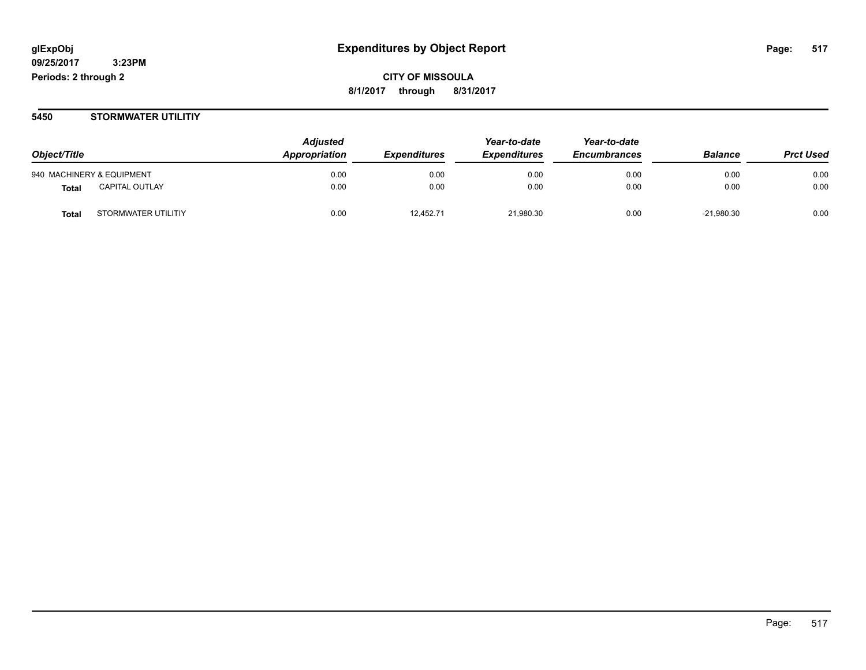**CITY OF MISSOULA 8/1/2017 through 8/31/2017**

#### **5450 STORMWATER UTILITIY**

| Object/Title              |                       | <b>Adjusted</b> |                            | Year-to-date        | Year-to-date<br><b>Encumbrances</b> |                | <b>Prct Used</b> |
|---------------------------|-----------------------|-----------------|----------------------------|---------------------|-------------------------------------|----------------|------------------|
|                           |                       | Appropriation   | <i><b>Expenditures</b></i> | <b>Expenditures</b> |                                     | <b>Balance</b> |                  |
| 940 MACHINERY & EQUIPMENT |                       | 0.00            | 0.00                       | 0.00                | 0.00                                | 0.00           | 0.00             |
| Total                     | <b>CAPITAL OUTLAY</b> | 0.00            | 0.00                       | 0.00                | 0.00                                | 0.00           | 0.00             |
| <b>Total</b>              | STORMWATER UTILITIY   | 0.00            | 12.452.71                  | 21,980.30           | 0.00                                | $-21,980.30$   | 0.00             |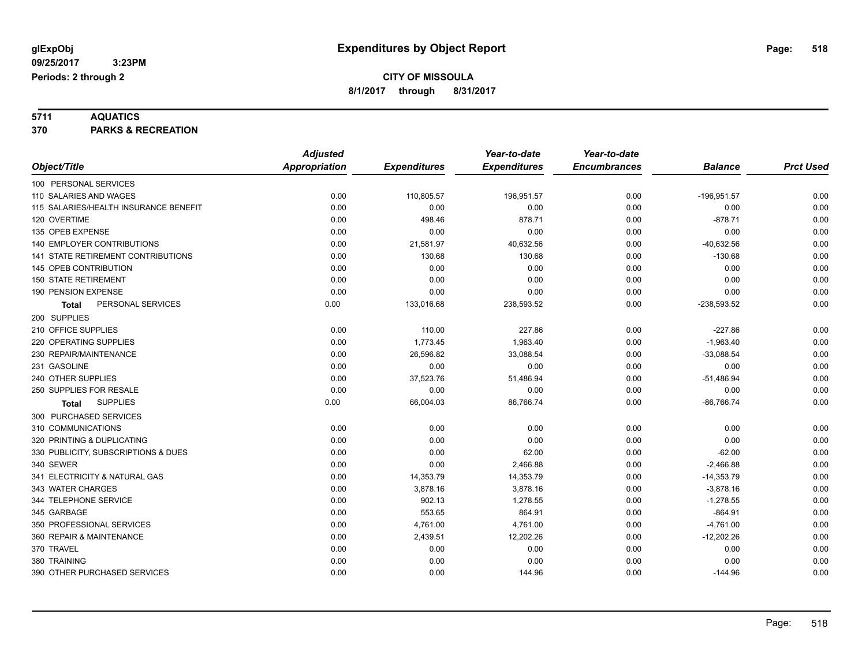**5711 AQUATICS 370 PARKS & RECREATION**

|                                       | <b>Adjusted</b>      |                     | Year-to-date        | Year-to-date        |                |                  |
|---------------------------------------|----------------------|---------------------|---------------------|---------------------|----------------|------------------|
| Object/Title                          | <b>Appropriation</b> | <b>Expenditures</b> | <b>Expenditures</b> | <b>Encumbrances</b> | <b>Balance</b> | <b>Prct Used</b> |
| 100 PERSONAL SERVICES                 |                      |                     |                     |                     |                |                  |
| 110 SALARIES AND WAGES                | 0.00                 | 110,805.57          | 196,951.57          | 0.00                | $-196,951.57$  | 0.00             |
| 115 SALARIES/HEALTH INSURANCE BENEFIT | 0.00                 | 0.00                | 0.00                | 0.00                | 0.00           | 0.00             |
| 120 OVERTIME                          | 0.00                 | 498.46              | 878.71              | 0.00                | $-878.71$      | 0.00             |
| 135 OPEB EXPENSE                      | 0.00                 | 0.00                | 0.00                | 0.00                | 0.00           | 0.00             |
| <b>140 EMPLOYER CONTRIBUTIONS</b>     | 0.00                 | 21,581.97           | 40,632.56           | 0.00                | $-40,632.56$   | 0.00             |
| 141 STATE RETIREMENT CONTRIBUTIONS    | 0.00                 | 130.68              | 130.68              | 0.00                | $-130.68$      | 0.00             |
| 145 OPEB CONTRIBUTION                 | 0.00                 | 0.00                | 0.00                | 0.00                | 0.00           | 0.00             |
| <b>150 STATE RETIREMENT</b>           | 0.00                 | 0.00                | 0.00                | 0.00                | 0.00           | 0.00             |
| 190 PENSION EXPENSE                   | 0.00                 | 0.00                | 0.00                | 0.00                | 0.00           | 0.00             |
| PERSONAL SERVICES<br><b>Total</b>     | 0.00                 | 133,016.68          | 238,593.52          | 0.00                | $-238,593.52$  | 0.00             |
| 200 SUPPLIES                          |                      |                     |                     |                     |                |                  |
| 210 OFFICE SUPPLIES                   | 0.00                 | 110.00              | 227.86              | 0.00                | $-227.86$      | 0.00             |
| 220 OPERATING SUPPLIES                | 0.00                 | 1,773.45            | 1,963.40            | 0.00                | $-1,963.40$    | 0.00             |
| 230 REPAIR/MAINTENANCE                | 0.00                 | 26,596.82           | 33,088.54           | 0.00                | $-33,088.54$   | 0.00             |
| 231 GASOLINE                          | 0.00                 | 0.00                | 0.00                | 0.00                | 0.00           | 0.00             |
| 240 OTHER SUPPLIES                    | 0.00                 | 37,523.76           | 51,486.94           | 0.00                | $-51,486.94$   | 0.00             |
| 250 SUPPLIES FOR RESALE               | 0.00                 | 0.00                | 0.00                | 0.00                | 0.00           | 0.00             |
| <b>SUPPLIES</b><br>Total              | 0.00                 | 66,004.03           | 86,766.74           | 0.00                | $-86,766.74$   | 0.00             |
| 300 PURCHASED SERVICES                |                      |                     |                     |                     |                |                  |
| 310 COMMUNICATIONS                    | 0.00                 | 0.00                | 0.00                | 0.00                | 0.00           | 0.00             |
| 320 PRINTING & DUPLICATING            | 0.00                 | 0.00                | 0.00                | 0.00                | 0.00           | 0.00             |
| 330 PUBLICITY, SUBSCRIPTIONS & DUES   | 0.00                 | 0.00                | 62.00               | 0.00                | $-62.00$       | 0.00             |
| 340 SEWER                             | 0.00                 | 0.00                | 2,466.88            | 0.00                | $-2,466.88$    | 0.00             |
| 341 ELECTRICITY & NATURAL GAS         | 0.00                 | 14,353.79           | 14,353.79           | 0.00                | $-14,353.79$   | 0.00             |
| 343 WATER CHARGES                     | 0.00                 | 3,878.16            | 3,878.16            | 0.00                | $-3,878.16$    | 0.00             |
| 344 TELEPHONE SERVICE                 | 0.00                 | 902.13              | 1,278.55            | 0.00                | $-1,278.55$    | 0.00             |
| 345 GARBAGE                           | 0.00                 | 553.65              | 864.91              | 0.00                | $-864.91$      | 0.00             |
| 350 PROFESSIONAL SERVICES             | 0.00                 | 4,761.00            | 4,761.00            | 0.00                | $-4,761.00$    | 0.00             |
| 360 REPAIR & MAINTENANCE              | 0.00                 | 2,439.51            | 12,202.26           | 0.00                | $-12,202.26$   | 0.00             |
| 370 TRAVEL                            | 0.00                 | 0.00                | 0.00                | 0.00                | 0.00           | 0.00             |
| 380 TRAINING                          | 0.00                 | 0.00                | 0.00                | 0.00                | 0.00           | 0.00             |
| 390 OTHER PURCHASED SERVICES          | 0.00                 | 0.00                | 144.96              | 0.00                | $-144.96$      | 0.00             |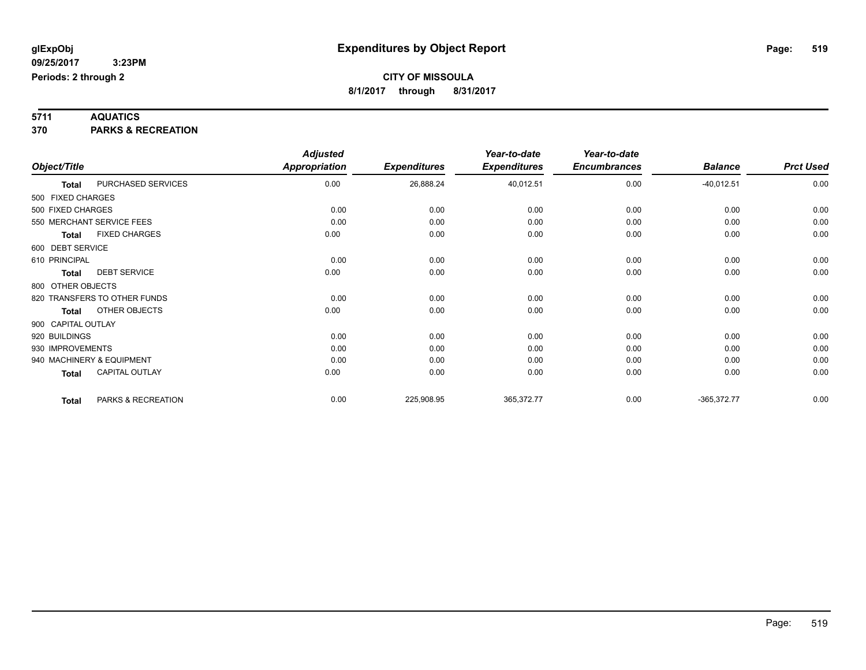**5711 AQUATICS 370 PARKS & RECREATION**

|                    |                              | <b>Adjusted</b>      |                     | Year-to-date        | Year-to-date        |                |                  |
|--------------------|------------------------------|----------------------|---------------------|---------------------|---------------------|----------------|------------------|
| Object/Title       |                              | <b>Appropriation</b> | <b>Expenditures</b> | <b>Expenditures</b> | <b>Encumbrances</b> | <b>Balance</b> | <b>Prct Used</b> |
| Total              | PURCHASED SERVICES           | 0.00                 | 26,888.24           | 40,012.51           | 0.00                | $-40,012.51$   | 0.00             |
| 500 FIXED CHARGES  |                              |                      |                     |                     |                     |                |                  |
| 500 FIXED CHARGES  |                              | 0.00                 | 0.00                | 0.00                | 0.00                | 0.00           | 0.00             |
|                    | 550 MERCHANT SERVICE FEES    | 0.00                 | 0.00                | 0.00                | 0.00                | 0.00           | 0.00             |
| Total              | <b>FIXED CHARGES</b>         | 0.00                 | 0.00                | 0.00                | 0.00                | 0.00           | 0.00             |
| 600 DEBT SERVICE   |                              |                      |                     |                     |                     |                |                  |
| 610 PRINCIPAL      |                              | 0.00                 | 0.00                | 0.00                | 0.00                | 0.00           | 0.00             |
| <b>Total</b>       | <b>DEBT SERVICE</b>          | 0.00                 | 0.00                | 0.00                | 0.00                | 0.00           | 0.00             |
| 800 OTHER OBJECTS  |                              |                      |                     |                     |                     |                |                  |
|                    | 820 TRANSFERS TO OTHER FUNDS | 0.00                 | 0.00                | 0.00                | 0.00                | 0.00           | 0.00             |
| <b>Total</b>       | OTHER OBJECTS                | 0.00                 | 0.00                | 0.00                | 0.00                | 0.00           | 0.00             |
| 900 CAPITAL OUTLAY |                              |                      |                     |                     |                     |                |                  |
| 920 BUILDINGS      |                              | 0.00                 | 0.00                | 0.00                | 0.00                | 0.00           | 0.00             |
| 930 IMPROVEMENTS   |                              | 0.00                 | 0.00                | 0.00                | 0.00                | 0.00           | 0.00             |
|                    | 940 MACHINERY & EQUIPMENT    | 0.00                 | 0.00                | 0.00                | 0.00                | 0.00           | 0.00             |
| <b>Total</b>       | CAPITAL OUTLAY               | 0.00                 | 0.00                | 0.00                | 0.00                | 0.00           | 0.00             |
| <b>Total</b>       | PARKS & RECREATION           | 0.00                 | 225,908.95          | 365,372.77          | 0.00                | $-365,372.77$  | 0.00             |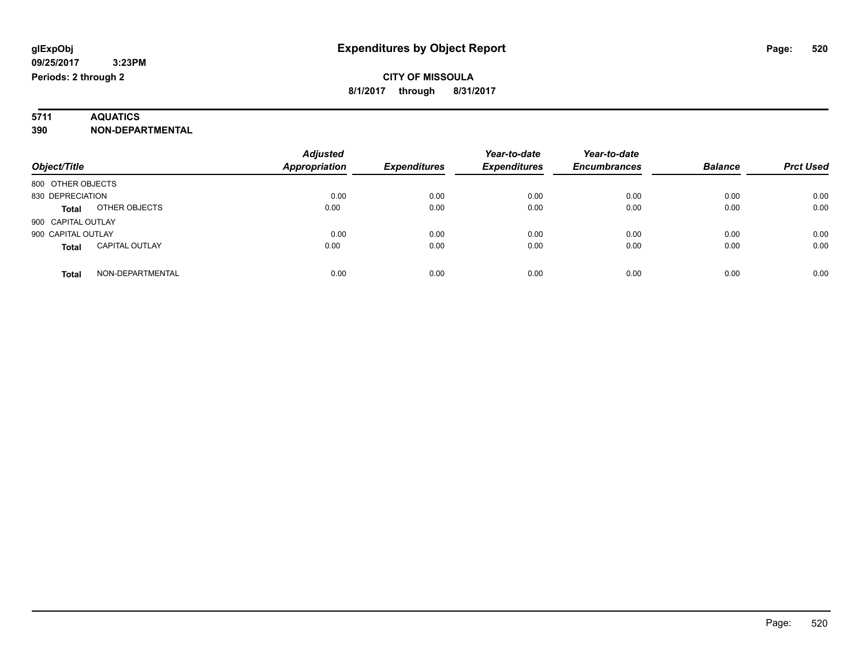# **5711 AQUATICS**

**390 NON-DEPARTMENTAL**

| Object/Title                          | <b>Adjusted</b><br>Appropriation | <b>Expenditures</b> | Year-to-date<br><b>Expenditures</b> | Year-to-date<br><b>Encumbrances</b> | <b>Balance</b> | <b>Prct Used</b> |
|---------------------------------------|----------------------------------|---------------------|-------------------------------------|-------------------------------------|----------------|------------------|
| 800 OTHER OBJECTS                     |                                  |                     |                                     |                                     |                |                  |
| 830 DEPRECIATION                      | 0.00                             | 0.00                | 0.00                                | 0.00                                | 0.00           | 0.00             |
| OTHER OBJECTS<br><b>Total</b>         | 0.00                             | 0.00                | 0.00                                | 0.00                                | 0.00           | 0.00             |
| 900 CAPITAL OUTLAY                    |                                  |                     |                                     |                                     |                |                  |
| 900 CAPITAL OUTLAY                    | 0.00                             | 0.00                | 0.00                                | 0.00                                | 0.00           | 0.00             |
| <b>CAPITAL OUTLAY</b><br><b>Total</b> | 0.00                             | 0.00                | 0.00                                | 0.00                                | 0.00           | 0.00             |
| NON-DEPARTMENTAL<br>Total             | 0.00                             | 0.00                | 0.00                                | 0.00                                | 0.00           | 0.00             |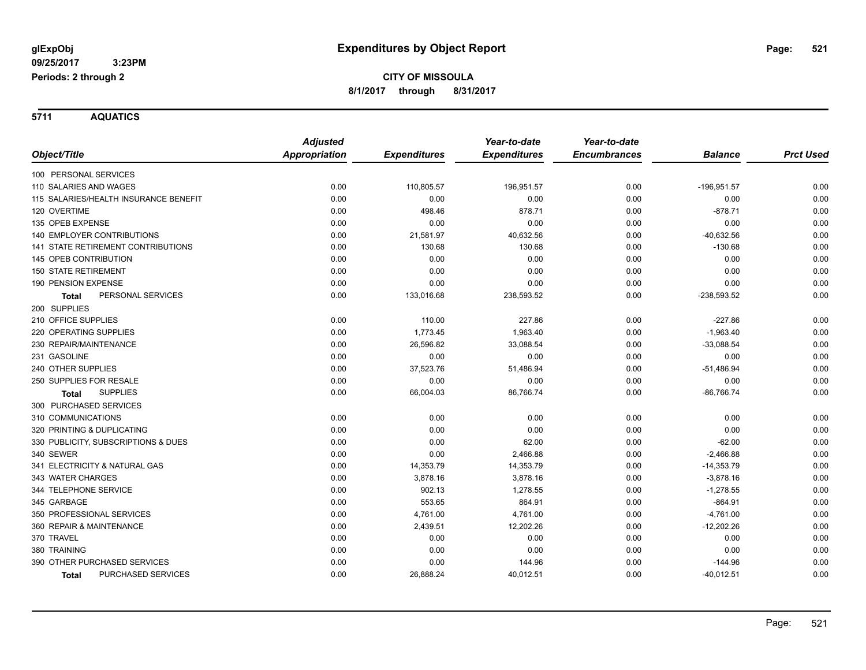**5711 AQUATICS**

|                                           | <b>Adjusted</b> |                     | Year-to-date        | Year-to-date        |                |                  |
|-------------------------------------------|-----------------|---------------------|---------------------|---------------------|----------------|------------------|
| Object/Title                              | Appropriation   | <b>Expenditures</b> | <b>Expenditures</b> | <b>Encumbrances</b> | <b>Balance</b> | <b>Prct Used</b> |
| 100 PERSONAL SERVICES                     |                 |                     |                     |                     |                |                  |
| 110 SALARIES AND WAGES                    | 0.00            | 110,805.57          | 196,951.57          | 0.00                | $-196,951.57$  | 0.00             |
| 115 SALARIES/HEALTH INSURANCE BENEFIT     | 0.00            | 0.00                | 0.00                | 0.00                | 0.00           | 0.00             |
| 120 OVERTIME                              | 0.00            | 498.46              | 878.71              | 0.00                | $-878.71$      | 0.00             |
| 135 OPEB EXPENSE                          | 0.00            | 0.00                | 0.00                | 0.00                | 0.00           | 0.00             |
| 140 EMPLOYER CONTRIBUTIONS                | 0.00            | 21,581.97           | 40,632.56           | 0.00                | $-40,632.56$   | 0.00             |
| <b>141 STATE RETIREMENT CONTRIBUTIONS</b> | 0.00            | 130.68              | 130.68              | 0.00                | $-130.68$      | 0.00             |
| 145 OPEB CONTRIBUTION                     | 0.00            | 0.00                | 0.00                | 0.00                | 0.00           | 0.00             |
| <b>150 STATE RETIREMENT</b>               | 0.00            | 0.00                | 0.00                | 0.00                | 0.00           | 0.00             |
| 190 PENSION EXPENSE                       | 0.00            | 0.00                | 0.00                | 0.00                | 0.00           | 0.00             |
| PERSONAL SERVICES<br><b>Total</b>         | 0.00            | 133,016.68          | 238,593.52          | 0.00                | $-238,593.52$  | 0.00             |
| 200 SUPPLIES                              |                 |                     |                     |                     |                |                  |
| 210 OFFICE SUPPLIES                       | 0.00            | 110.00              | 227.86              | 0.00                | $-227.86$      | 0.00             |
| 220 OPERATING SUPPLIES                    | 0.00            | 1,773.45            | 1,963.40            | 0.00                | $-1,963.40$    | 0.00             |
| 230 REPAIR/MAINTENANCE                    | 0.00            | 26,596.82           | 33,088.54           | 0.00                | $-33,088.54$   | 0.00             |
| 231 GASOLINE                              | 0.00            | 0.00                | 0.00                | 0.00                | 0.00           | 0.00             |
| 240 OTHER SUPPLIES                        | 0.00            | 37,523.76           | 51,486.94           | 0.00                | $-51,486.94$   | 0.00             |
| 250 SUPPLIES FOR RESALE                   | 0.00            | 0.00                | 0.00                | 0.00                | 0.00           | 0.00             |
| <b>SUPPLIES</b><br><b>Total</b>           | 0.00            | 66,004.03           | 86,766.74           | 0.00                | $-86,766.74$   | 0.00             |
| 300 PURCHASED SERVICES                    |                 |                     |                     |                     |                |                  |
| 310 COMMUNICATIONS                        | 0.00            | 0.00                | 0.00                | 0.00                | 0.00           | 0.00             |
| 320 PRINTING & DUPLICATING                | 0.00            | 0.00                | 0.00                | 0.00                | 0.00           | 0.00             |
| 330 PUBLICITY, SUBSCRIPTIONS & DUES       | 0.00            | 0.00                | 62.00               | 0.00                | $-62.00$       | 0.00             |
| 340 SEWER                                 | 0.00            | 0.00                | 2,466.88            | 0.00                | $-2,466.88$    | 0.00             |
| 341 ELECTRICITY & NATURAL GAS             | 0.00            | 14,353.79           | 14,353.79           | 0.00                | $-14,353.79$   | 0.00             |
| 343 WATER CHARGES                         | 0.00            | 3,878.16            | 3,878.16            | 0.00                | $-3,878.16$    | 0.00             |
| 344 TELEPHONE SERVICE                     | 0.00            | 902.13              | 1,278.55            | 0.00                | $-1,278.55$    | 0.00             |
| 345 GARBAGE                               | 0.00            | 553.65              | 864.91              | 0.00                | $-864.91$      | 0.00             |
| 350 PROFESSIONAL SERVICES                 | 0.00            | 4,761.00            | 4,761.00            | 0.00                | $-4,761.00$    | 0.00             |
| 360 REPAIR & MAINTENANCE                  | 0.00            | 2,439.51            | 12,202.26           | 0.00                | $-12,202.26$   | 0.00             |
| 370 TRAVEL                                | 0.00            | 0.00                | 0.00                | 0.00                | 0.00           | 0.00             |
| 380 TRAINING                              | 0.00            | 0.00                | 0.00                | 0.00                | 0.00           | 0.00             |
| 390 OTHER PURCHASED SERVICES              | 0.00            | 0.00                | 144.96              | 0.00                | $-144.96$      | 0.00             |
| PURCHASED SERVICES<br><b>Total</b>        | 0.00            | 26,888.24           | 40,012.51           | 0.00                | $-40,012.51$   | 0.00             |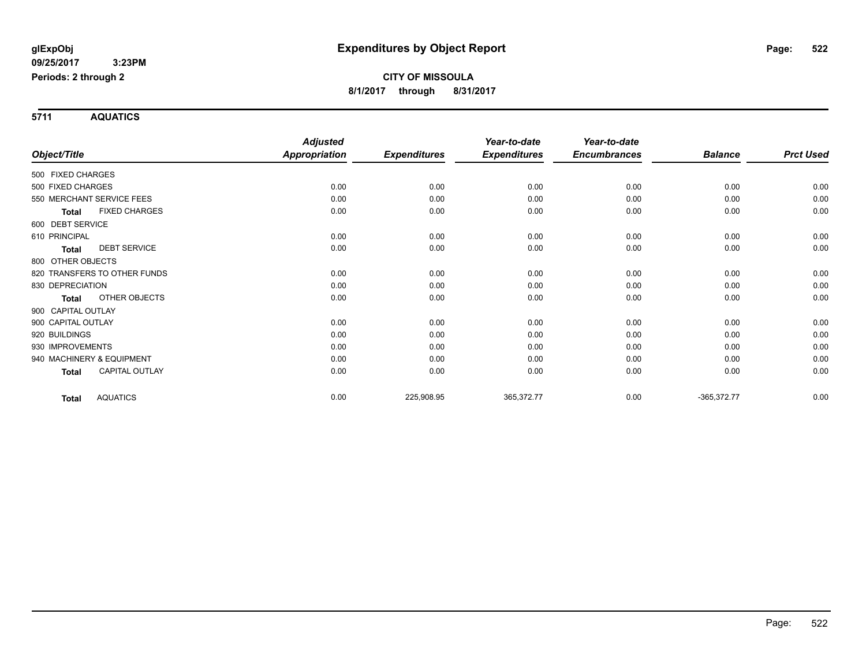**5711 AQUATICS**

|                    |                              | <b>Adjusted</b>      |                     | Year-to-date        | Year-to-date        |                |                  |
|--------------------|------------------------------|----------------------|---------------------|---------------------|---------------------|----------------|------------------|
| Object/Title       |                              | <b>Appropriation</b> | <b>Expenditures</b> | <b>Expenditures</b> | <b>Encumbrances</b> | <b>Balance</b> | <b>Prct Used</b> |
| 500 FIXED CHARGES  |                              |                      |                     |                     |                     |                |                  |
| 500 FIXED CHARGES  |                              | 0.00                 | 0.00                | 0.00                | 0.00                | 0.00           | 0.00             |
|                    | 550 MERCHANT SERVICE FEES    | 0.00                 | 0.00                | 0.00                | 0.00                | 0.00           | 0.00             |
| <b>Total</b>       | <b>FIXED CHARGES</b>         | 0.00                 | 0.00                | 0.00                | 0.00                | 0.00           | 0.00             |
| 600 DEBT SERVICE   |                              |                      |                     |                     |                     |                |                  |
| 610 PRINCIPAL      |                              | 0.00                 | 0.00                | 0.00                | 0.00                | 0.00           | 0.00             |
| <b>Total</b>       | <b>DEBT SERVICE</b>          | 0.00                 | 0.00                | 0.00                | 0.00                | 0.00           | 0.00             |
| 800 OTHER OBJECTS  |                              |                      |                     |                     |                     |                |                  |
|                    | 820 TRANSFERS TO OTHER FUNDS | 0.00                 | 0.00                | 0.00                | 0.00                | 0.00           | 0.00             |
| 830 DEPRECIATION   |                              | 0.00                 | 0.00                | 0.00                | 0.00                | 0.00           | 0.00             |
| Total              | <b>OTHER OBJECTS</b>         | 0.00                 | 0.00                | 0.00                | 0.00                | 0.00           | 0.00             |
| 900 CAPITAL OUTLAY |                              |                      |                     |                     |                     |                |                  |
| 900 CAPITAL OUTLAY |                              | 0.00                 | 0.00                | 0.00                | 0.00                | 0.00           | 0.00             |
| 920 BUILDINGS      |                              | 0.00                 | 0.00                | 0.00                | 0.00                | 0.00           | 0.00             |
| 930 IMPROVEMENTS   |                              | 0.00                 | 0.00                | 0.00                | 0.00                | 0.00           | 0.00             |
|                    | 940 MACHINERY & EQUIPMENT    | 0.00                 | 0.00                | 0.00                | 0.00                | 0.00           | 0.00             |
| Total              | <b>CAPITAL OUTLAY</b>        | 0.00                 | 0.00                | 0.00                | 0.00                | 0.00           | 0.00             |
| <b>Total</b>       | <b>AQUATICS</b>              | 0.00                 | 225,908.95          | 365,372.77          | 0.00                | $-365,372.77$  | 0.00             |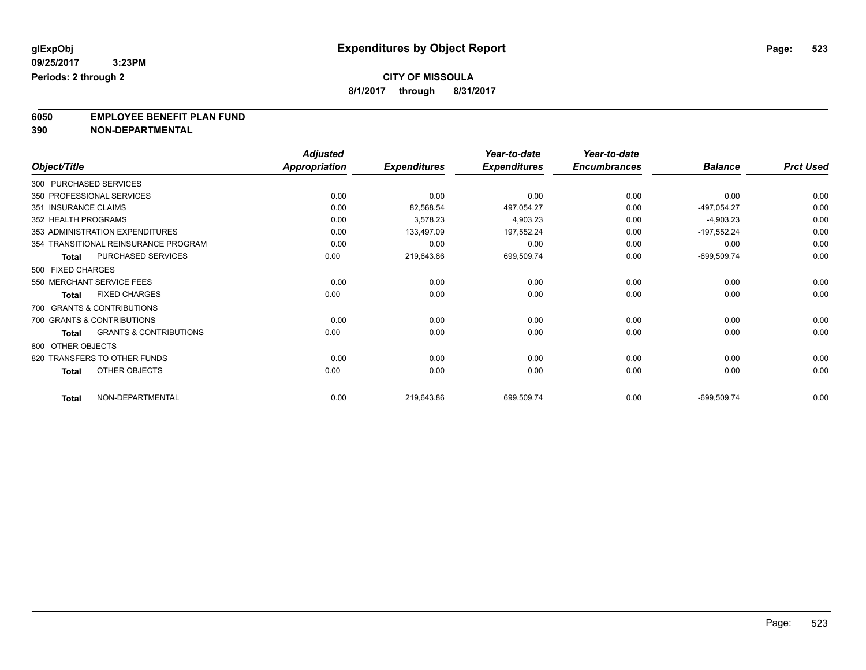**8/1/2017 through 8/31/2017**

# **6050 EMPLOYEE BENEFIT PLAN FUND**<br>390 NON-DEPARTMENTAL

**390 NON-DEPARTMENTAL**

|                                            | <b>Adjusted</b>      |                     | Year-to-date        | Year-to-date        |                |                  |
|--------------------------------------------|----------------------|---------------------|---------------------|---------------------|----------------|------------------|
| Object/Title                               | <b>Appropriation</b> | <b>Expenditures</b> | <b>Expenditures</b> | <b>Encumbrances</b> | <b>Balance</b> | <b>Prct Used</b> |
| 300 PURCHASED SERVICES                     |                      |                     |                     |                     |                |                  |
| 350 PROFESSIONAL SERVICES                  | 0.00                 | 0.00                | 0.00                | 0.00                | 0.00           | 0.00             |
| 351 INSURANCE CLAIMS                       | 0.00                 | 82,568.54           | 497,054.27          | 0.00                | -497,054.27    | 0.00             |
| 352 HEALTH PROGRAMS                        | 0.00                 | 3,578.23            | 4,903.23            | 0.00                | $-4,903.23$    | 0.00             |
| 353 ADMINISTRATION EXPENDITURES            | 0.00                 | 133,497.09          | 197,552.24          | 0.00                | $-197,552.24$  | 0.00             |
| 354 TRANSITIONAL REINSURANCE PROGRAM       | 0.00                 | 0.00                | 0.00                | 0.00                | 0.00           | 0.00             |
| <b>PURCHASED SERVICES</b><br><b>Total</b>  | 0.00                 | 219,643.86          | 699,509.74          | 0.00                | $-699,509.74$  | 0.00             |
| 500 FIXED CHARGES                          |                      |                     |                     |                     |                |                  |
| 550 MERCHANT SERVICE FEES                  | 0.00                 | 0.00                | 0.00                | 0.00                | 0.00           | 0.00             |
| <b>FIXED CHARGES</b><br><b>Total</b>       | 0.00                 | 0.00                | 0.00                | 0.00                | 0.00           | 0.00             |
| 700 GRANTS & CONTRIBUTIONS                 |                      |                     |                     |                     |                |                  |
| 700 GRANTS & CONTRIBUTIONS                 | 0.00                 | 0.00                | 0.00                | 0.00                | 0.00           | 0.00             |
| <b>GRANTS &amp; CONTRIBUTIONS</b><br>Total | 0.00                 | 0.00                | 0.00                | 0.00                | 0.00           | 0.00             |
| 800 OTHER OBJECTS                          |                      |                     |                     |                     |                |                  |
| 820 TRANSFERS TO OTHER FUNDS               | 0.00                 | 0.00                | 0.00                | 0.00                | 0.00           | 0.00             |
| OTHER OBJECTS<br>Total                     | 0.00                 | 0.00                | 0.00                | 0.00                | 0.00           | 0.00             |
| NON-DEPARTMENTAL<br><b>Total</b>           | 0.00                 | 219,643.86          | 699,509.74          | 0.00                | $-699,509.74$  | 0.00             |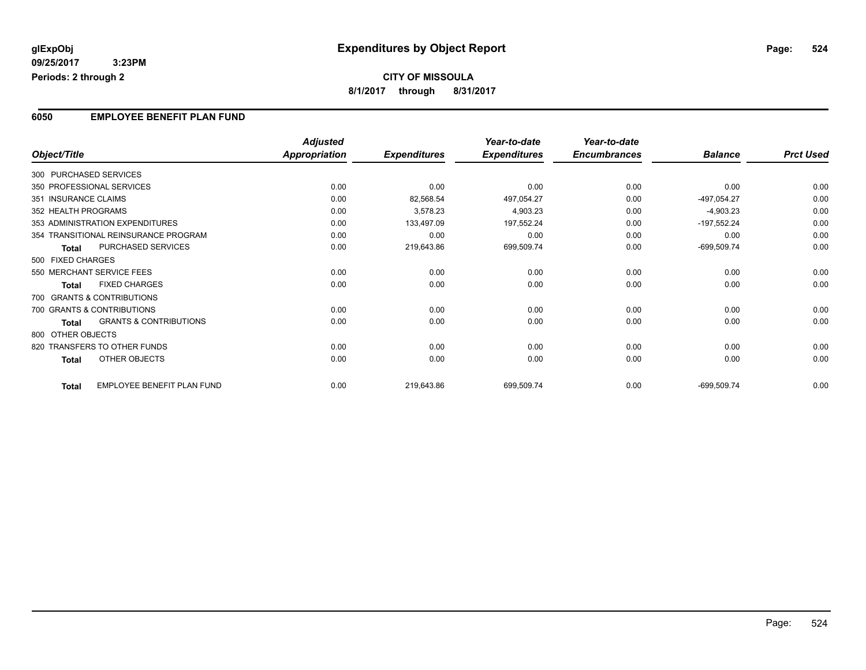### **CITY OF MISSOULA 8/1/2017 through 8/31/2017**

### **6050 EMPLOYEE BENEFIT PLAN FUND**

|                        |                                      | <b>Adjusted</b>      |                     | Year-to-date        | Year-to-date        |                |                  |
|------------------------|--------------------------------------|----------------------|---------------------|---------------------|---------------------|----------------|------------------|
| Object/Title           |                                      | <b>Appropriation</b> | <b>Expenditures</b> | <b>Expenditures</b> | <b>Encumbrances</b> | <b>Balance</b> | <b>Prct Used</b> |
| 300 PURCHASED SERVICES |                                      |                      |                     |                     |                     |                |                  |
|                        | 350 PROFESSIONAL SERVICES            | 0.00                 | 0.00                | 0.00                | 0.00                | 0.00           | 0.00             |
| 351 INSURANCE CLAIMS   |                                      | 0.00                 | 82,568.54           | 497,054.27          | 0.00                | -497,054.27    | 0.00             |
| 352 HEALTH PROGRAMS    |                                      | 0.00                 | 3,578.23            | 4,903.23            | 0.00                | $-4,903.23$    | 0.00             |
|                        | 353 ADMINISTRATION EXPENDITURES      | 0.00                 | 133,497.09          | 197,552.24          | 0.00                | $-197,552.24$  | 0.00             |
|                        | 354 TRANSITIONAL REINSURANCE PROGRAM | 0.00                 | 0.00                | 0.00                | 0.00                | 0.00           | 0.00             |
| <b>Total</b>           | PURCHASED SERVICES                   | 0.00                 | 219,643.86          | 699,509.74          | 0.00                | $-699,509.74$  | 0.00             |
| 500 FIXED CHARGES      |                                      |                      |                     |                     |                     |                |                  |
|                        | 550 MERCHANT SERVICE FEES            | 0.00                 | 0.00                | 0.00                | 0.00                | 0.00           | 0.00             |
| <b>Total</b>           | <b>FIXED CHARGES</b>                 | 0.00                 | 0.00                | 0.00                | 0.00                | 0.00           | 0.00             |
|                        | 700 GRANTS & CONTRIBUTIONS           |                      |                     |                     |                     |                |                  |
|                        | 700 GRANTS & CONTRIBUTIONS           | 0.00                 | 0.00                | 0.00                | 0.00                | 0.00           | 0.00             |
| <b>Total</b>           | <b>GRANTS &amp; CONTRIBUTIONS</b>    | 0.00                 | 0.00                | 0.00                | 0.00                | 0.00           | 0.00             |
| 800 OTHER OBJECTS      |                                      |                      |                     |                     |                     |                |                  |
|                        | 820 TRANSFERS TO OTHER FUNDS         | 0.00                 | 0.00                | 0.00                | 0.00                | 0.00           | 0.00             |
| <b>Total</b>           | OTHER OBJECTS                        | 0.00                 | 0.00                | 0.00                | 0.00                | 0.00           | 0.00             |
| Total                  | <b>EMPLOYEE BENEFIT PLAN FUND</b>    | 0.00                 | 219,643.86          | 699,509.74          | 0.00                | $-699,509.74$  | 0.00             |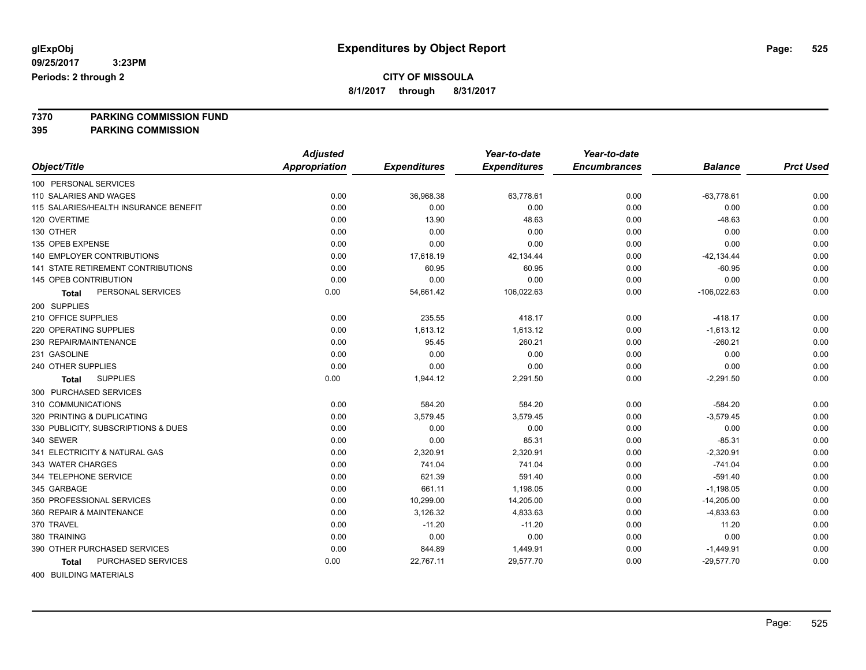**8/1/2017 through 8/31/2017**

# **7370 PARKING COMMISSION FUND**

**395 PARKING COMMISSION**

|                                       | <b>Adjusted</b>      |                     | Year-to-date        | Year-to-date        |                |                  |
|---------------------------------------|----------------------|---------------------|---------------------|---------------------|----------------|------------------|
| Object/Title                          | <b>Appropriation</b> | <b>Expenditures</b> | <b>Expenditures</b> | <b>Encumbrances</b> | <b>Balance</b> | <b>Prct Used</b> |
| 100 PERSONAL SERVICES                 |                      |                     |                     |                     |                |                  |
| 110 SALARIES AND WAGES                | 0.00                 | 36,968.38           | 63,778.61           | 0.00                | $-63,778.61$   | 0.00             |
| 115 SALARIES/HEALTH INSURANCE BENEFIT | 0.00                 | 0.00                | 0.00                | 0.00                | 0.00           | 0.00             |
| 120 OVERTIME                          | 0.00                 | 13.90               | 48.63               | 0.00                | $-48.63$       | 0.00             |
| 130 OTHER                             | 0.00                 | 0.00                | 0.00                | 0.00                | 0.00           | 0.00             |
| 135 OPEB EXPENSE                      | 0.00                 | 0.00                | 0.00                | 0.00                | 0.00           | 0.00             |
| 140 EMPLOYER CONTRIBUTIONS            | 0.00                 | 17,618.19           | 42,134.44           | 0.00                | $-42, 134.44$  | 0.00             |
| 141 STATE RETIREMENT CONTRIBUTIONS    | 0.00                 | 60.95               | 60.95               | 0.00                | $-60.95$       | 0.00             |
| 145 OPEB CONTRIBUTION                 | 0.00                 | 0.00                | 0.00                | 0.00                | 0.00           | 0.00             |
| PERSONAL SERVICES<br><b>Total</b>     | 0.00                 | 54,661.42           | 106,022.63          | 0.00                | $-106,022.63$  | 0.00             |
| 200 SUPPLIES                          |                      |                     |                     |                     |                |                  |
| 210 OFFICE SUPPLIES                   | 0.00                 | 235.55              | 418.17              | 0.00                | $-418.17$      | 0.00             |
| 220 OPERATING SUPPLIES                | 0.00                 | 1,613.12            | 1,613.12            | 0.00                | $-1,613.12$    | 0.00             |
| 230 REPAIR/MAINTENANCE                | 0.00                 | 95.45               | 260.21              | 0.00                | $-260.21$      | 0.00             |
| 231 GASOLINE                          | 0.00                 | 0.00                | 0.00                | 0.00                | 0.00           | 0.00             |
| 240 OTHER SUPPLIES                    | 0.00                 | 0.00                | 0.00                | 0.00                | 0.00           | 0.00             |
| <b>SUPPLIES</b><br><b>Total</b>       | 0.00                 | 1,944.12            | 2,291.50            | 0.00                | $-2,291.50$    | 0.00             |
| 300 PURCHASED SERVICES                |                      |                     |                     |                     |                |                  |
| 310 COMMUNICATIONS                    | 0.00                 | 584.20              | 584.20              | 0.00                | $-584.20$      | 0.00             |
| 320 PRINTING & DUPLICATING            | 0.00                 | 3,579.45            | 3,579.45            | 0.00                | $-3,579.45$    | 0.00             |
| 330 PUBLICITY, SUBSCRIPTIONS & DUES   | 0.00                 | 0.00                | 0.00                | 0.00                | 0.00           | 0.00             |
| 340 SEWER                             | 0.00                 | 0.00                | 85.31               | 0.00                | $-85.31$       | 0.00             |
| 341 ELECTRICITY & NATURAL GAS         | 0.00                 | 2,320.91            | 2,320.91            | 0.00                | $-2,320.91$    | 0.00             |
| 343 WATER CHARGES                     | 0.00                 | 741.04              | 741.04              | 0.00                | $-741.04$      | 0.00             |
| 344 TELEPHONE SERVICE                 | 0.00                 | 621.39              | 591.40              | 0.00                | $-591.40$      | 0.00             |
| 345 GARBAGE                           | 0.00                 | 661.11              | 1,198.05            | 0.00                | $-1,198.05$    | 0.00             |
| 350 PROFESSIONAL SERVICES             | 0.00                 | 10,299.00           | 14,205.00           | 0.00                | $-14,205.00$   | 0.00             |
| 360 REPAIR & MAINTENANCE              | 0.00                 | 3,126.32            | 4,833.63            | 0.00                | $-4,833.63$    | 0.00             |
| 370 TRAVEL                            | 0.00                 | $-11.20$            | $-11.20$            | 0.00                | 11.20          | 0.00             |
| 380 TRAINING                          | 0.00                 | 0.00                | 0.00                | 0.00                | 0.00           | 0.00             |
| 390 OTHER PURCHASED SERVICES          | 0.00                 | 844.89              | 1,449.91            | 0.00                | $-1,449.91$    | 0.00             |
| PURCHASED SERVICES<br>Total           | 0.00                 | 22,767.11           | 29,577.70           | 0.00                | $-29,577.70$   | 0.00             |
| $100 - 51111 - 51110 - 1117 - 51110$  |                      |                     |                     |                     |                |                  |

400 BUILDING MATERIALS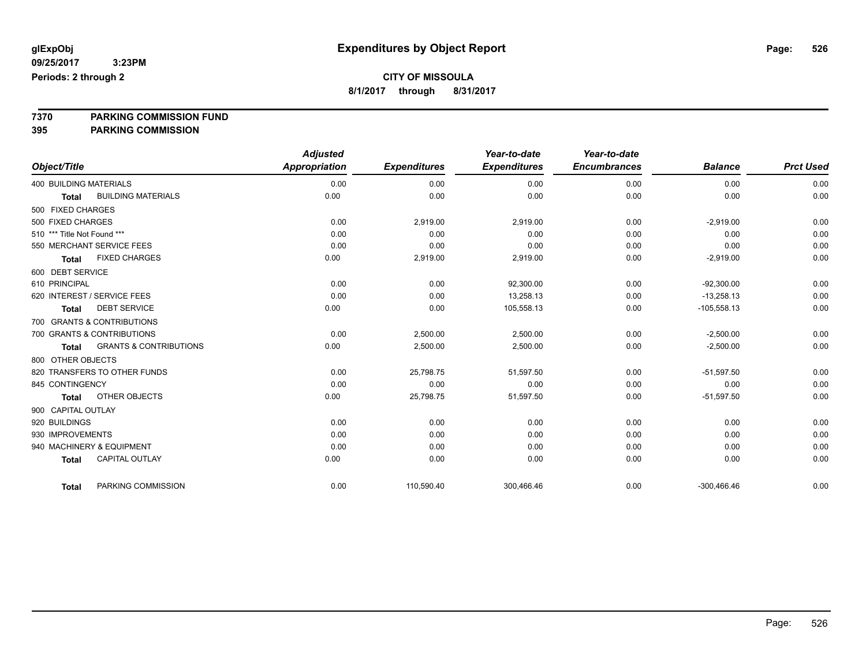**8/1/2017 through 8/31/2017**

# **7370 PARKING COMMISSION FUND**

**395 PARKING COMMISSION**

|                               |                                   | <b>Adjusted</b>      |                     | Year-to-date        | Year-to-date        |                |                  |
|-------------------------------|-----------------------------------|----------------------|---------------------|---------------------|---------------------|----------------|------------------|
| Object/Title                  |                                   | <b>Appropriation</b> | <b>Expenditures</b> | <b>Expenditures</b> | <b>Encumbrances</b> | <b>Balance</b> | <b>Prct Used</b> |
| <b>400 BUILDING MATERIALS</b> |                                   | 0.00                 | 0.00                | 0.00                | 0.00                | 0.00           | 0.00             |
| <b>Total</b>                  | <b>BUILDING MATERIALS</b>         | 0.00                 | 0.00                | 0.00                | 0.00                | 0.00           | 0.00             |
| 500 FIXED CHARGES             |                                   |                      |                     |                     |                     |                |                  |
| 500 FIXED CHARGES             |                                   | 0.00                 | 2,919.00            | 2,919.00            | 0.00                | $-2,919.00$    | 0.00             |
| 510 *** Title Not Found ***   |                                   | 0.00                 | 0.00                | 0.00                | 0.00                | 0.00           | 0.00             |
|                               | 550 MERCHANT SERVICE FEES         | 0.00                 | 0.00                | 0.00                | 0.00                | 0.00           | 0.00             |
| <b>Total</b>                  | <b>FIXED CHARGES</b>              | 0.00                 | 2,919.00            | 2,919.00            | 0.00                | $-2,919.00$    | 0.00             |
| 600 DEBT SERVICE              |                                   |                      |                     |                     |                     |                |                  |
| 610 PRINCIPAL                 |                                   | 0.00                 | 0.00                | 92.300.00           | 0.00                | $-92,300.00$   | 0.00             |
|                               | 620 INTEREST / SERVICE FEES       | 0.00                 | 0.00                | 13,258.13           | 0.00                | $-13,258.13$   | 0.00             |
| <b>Total</b>                  | <b>DEBT SERVICE</b>               | 0.00                 | 0.00                | 105,558.13          | 0.00                | $-105,558.13$  | 0.00             |
|                               | 700 GRANTS & CONTRIBUTIONS        |                      |                     |                     |                     |                |                  |
|                               | 700 GRANTS & CONTRIBUTIONS        | 0.00                 | 2,500.00            | 2,500.00            | 0.00                | $-2,500.00$    | 0.00             |
| <b>Total</b>                  | <b>GRANTS &amp; CONTRIBUTIONS</b> | 0.00                 | 2,500.00            | 2,500.00            | 0.00                | $-2,500.00$    | 0.00             |
| 800 OTHER OBJECTS             |                                   |                      |                     |                     |                     |                |                  |
|                               | 820 TRANSFERS TO OTHER FUNDS      | 0.00                 | 25,798.75           | 51,597.50           | 0.00                | $-51,597.50$   | 0.00             |
| 845 CONTINGENCY               |                                   | 0.00                 | 0.00                | 0.00                | 0.00                | 0.00           | 0.00             |
| <b>Total</b>                  | <b>OTHER OBJECTS</b>              | 0.00                 | 25,798.75           | 51,597.50           | 0.00                | $-51,597.50$   | 0.00             |
| 900 CAPITAL OUTLAY            |                                   |                      |                     |                     |                     |                |                  |
| 920 BUILDINGS                 |                                   | 0.00                 | 0.00                | 0.00                | 0.00                | 0.00           | 0.00             |
| 930 IMPROVEMENTS              |                                   | 0.00                 | 0.00                | 0.00                | 0.00                | 0.00           | 0.00             |
|                               | 940 MACHINERY & EQUIPMENT         | 0.00                 | 0.00                | 0.00                | 0.00                | 0.00           | 0.00             |
| <b>Total</b>                  | <b>CAPITAL OUTLAY</b>             | 0.00                 | 0.00                | 0.00                | 0.00                | 0.00           | 0.00             |
|                               |                                   |                      |                     |                     |                     |                |                  |
| <b>Total</b>                  | PARKING COMMISSION                | 0.00                 | 110,590.40          | 300,466.46          | 0.00                | $-300,466.46$  | 0.00             |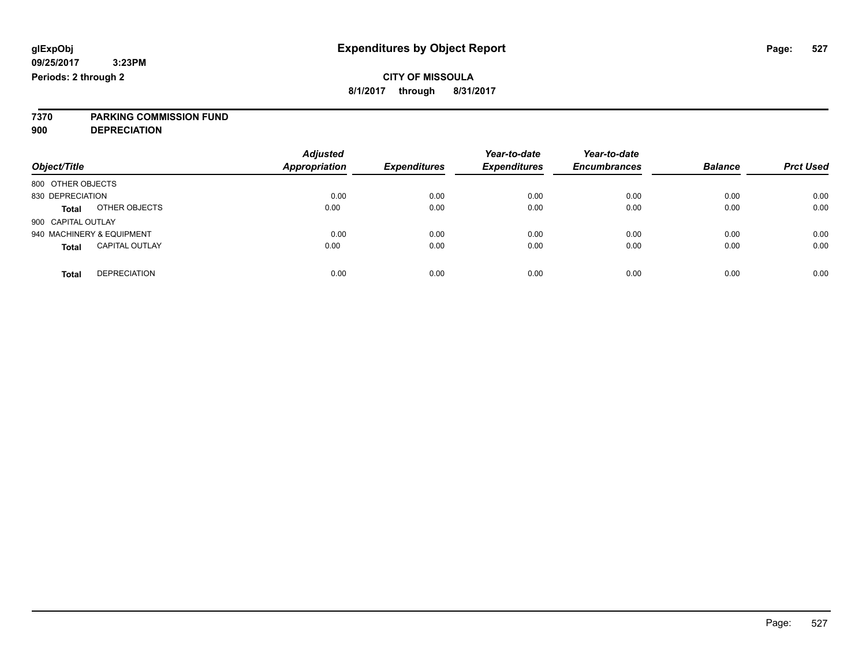**7370 PARKING COMMISSION FUND**

**900 DEPRECIATION**

| Object/Title                          | <b>Adjusted</b><br><b>Appropriation</b> | <b>Expenditures</b> | Year-to-date<br><b>Expenditures</b> | Year-to-date<br><b>Encumbrances</b> | <b>Balance</b> | <b>Prct Used</b> |
|---------------------------------------|-----------------------------------------|---------------------|-------------------------------------|-------------------------------------|----------------|------------------|
| 800 OTHER OBJECTS                     |                                         |                     |                                     |                                     |                |                  |
| 830 DEPRECIATION                      | 0.00                                    | 0.00                | 0.00                                | 0.00                                | 0.00           | 0.00             |
| OTHER OBJECTS<br><b>Total</b>         | 0.00                                    | 0.00                | 0.00                                | 0.00                                | 0.00           | 0.00             |
| 900 CAPITAL OUTLAY                    |                                         |                     |                                     |                                     |                |                  |
| 940 MACHINERY & EQUIPMENT             | 0.00                                    | 0.00                | 0.00                                | 0.00                                | 0.00           | 0.00             |
| <b>CAPITAL OUTLAY</b><br><b>Total</b> | 0.00                                    | 0.00                | 0.00                                | 0.00                                | 0.00           | 0.00             |
|                                       |                                         |                     |                                     |                                     |                |                  |
| <b>DEPRECIATION</b><br>Total          | 0.00                                    | 0.00                | 0.00                                | 0.00                                | 0.00           | 0.00             |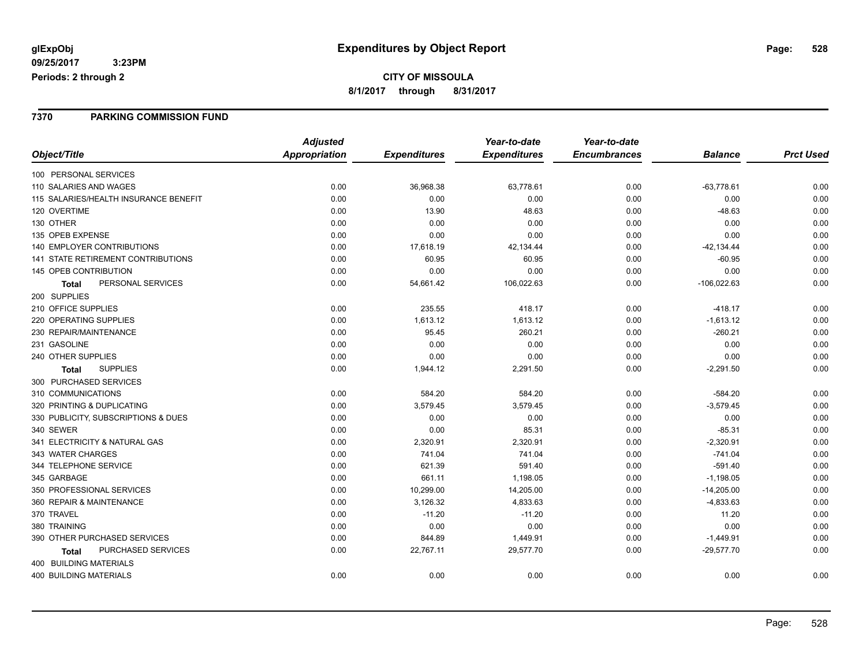#### **7370 PARKING COMMISSION FUND**

|                                           | <b>Adjusted</b> |                     | Year-to-date        | Year-to-date        |                |                  |
|-------------------------------------------|-----------------|---------------------|---------------------|---------------------|----------------|------------------|
| Object/Title                              | Appropriation   | <b>Expenditures</b> | <b>Expenditures</b> | <b>Encumbrances</b> | <b>Balance</b> | <b>Prct Used</b> |
| 100 PERSONAL SERVICES                     |                 |                     |                     |                     |                |                  |
| 110 SALARIES AND WAGES                    | 0.00            | 36,968.38           | 63,778.61           | 0.00                | $-63,778.61$   | 0.00             |
| 115 SALARIES/HEALTH INSURANCE BENEFIT     | 0.00            | 0.00                | 0.00                | 0.00                | 0.00           | 0.00             |
| 120 OVERTIME                              | 0.00            | 13.90               | 48.63               | 0.00                | $-48.63$       | 0.00             |
| 130 OTHER                                 | 0.00            | 0.00                | 0.00                | 0.00                | 0.00           | 0.00             |
| 135 OPEB EXPENSE                          | 0.00            | 0.00                | 0.00                | 0.00                | 0.00           | 0.00             |
| <b>140 EMPLOYER CONTRIBUTIONS</b>         | 0.00            | 17,618.19           | 42,134.44           | 0.00                | $-42, 134.44$  | 0.00             |
| <b>141 STATE RETIREMENT CONTRIBUTIONS</b> | 0.00            | 60.95               | 60.95               | 0.00                | $-60.95$       | 0.00             |
| 145 OPEB CONTRIBUTION                     | 0.00            | 0.00                | 0.00                | 0.00                | 0.00           | 0.00             |
| PERSONAL SERVICES<br><b>Total</b>         | 0.00            | 54,661.42           | 106,022.63          | 0.00                | $-106,022.63$  | 0.00             |
| 200 SUPPLIES                              |                 |                     |                     |                     |                |                  |
| 210 OFFICE SUPPLIES                       | 0.00            | 235.55              | 418.17              | 0.00                | $-418.17$      | 0.00             |
| 220 OPERATING SUPPLIES                    | 0.00            | 1,613.12            | 1,613.12            | 0.00                | $-1,613.12$    | 0.00             |
| 230 REPAIR/MAINTENANCE                    | 0.00            | 95.45               | 260.21              | 0.00                | $-260.21$      | 0.00             |
| 231 GASOLINE                              | 0.00            | 0.00                | 0.00                | 0.00                | 0.00           | 0.00             |
| 240 OTHER SUPPLIES                        | 0.00            | 0.00                | 0.00                | 0.00                | 0.00           | 0.00             |
| <b>SUPPLIES</b><br>Total                  | 0.00            | 1,944.12            | 2,291.50            | 0.00                | $-2,291.50$    | 0.00             |
| 300 PURCHASED SERVICES                    |                 |                     |                     |                     |                |                  |
| 310 COMMUNICATIONS                        | 0.00            | 584.20              | 584.20              | 0.00                | $-584.20$      | 0.00             |
| 320 PRINTING & DUPLICATING                | 0.00            | 3,579.45            | 3,579.45            | 0.00                | $-3,579.45$    | 0.00             |
| 330 PUBLICITY, SUBSCRIPTIONS & DUES       | 0.00            | 0.00                | 0.00                | 0.00                | 0.00           | 0.00             |
| 340 SEWER                                 | 0.00            | 0.00                | 85.31               | 0.00                | $-85.31$       | 0.00             |
| 341 ELECTRICITY & NATURAL GAS             | 0.00            | 2,320.91            | 2,320.91            | 0.00                | $-2,320.91$    | 0.00             |
| 343 WATER CHARGES                         | 0.00            | 741.04              | 741.04              | 0.00                | $-741.04$      | 0.00             |
| 344 TELEPHONE SERVICE                     | 0.00            | 621.39              | 591.40              | 0.00                | $-591.40$      | 0.00             |
| 345 GARBAGE                               | 0.00            | 661.11              | 1,198.05            | 0.00                | $-1,198.05$    | 0.00             |
| 350 PROFESSIONAL SERVICES                 | 0.00            | 10,299.00           | 14,205.00           | 0.00                | $-14,205.00$   | 0.00             |
| 360 REPAIR & MAINTENANCE                  | 0.00            | 3,126.32            | 4,833.63            | 0.00                | $-4,833.63$    | 0.00             |
| 370 TRAVEL                                | 0.00            | $-11.20$            | $-11.20$            | 0.00                | 11.20          | 0.00             |
| 380 TRAINING                              | 0.00            | 0.00                | 0.00                | 0.00                | 0.00           | 0.00             |
| 390 OTHER PURCHASED SERVICES              | 0.00            | 844.89              | 1,449.91            | 0.00                | $-1,449.91$    | 0.00             |
| PURCHASED SERVICES<br><b>Total</b>        | 0.00            | 22,767.11           | 29,577.70           | 0.00                | $-29,577.70$   | 0.00             |
| 400 BUILDING MATERIALS                    |                 |                     |                     |                     |                |                  |
| <b>400 BUILDING MATERIALS</b>             | 0.00            | 0.00                | 0.00                | 0.00                | 0.00           | 0.00             |
|                                           |                 |                     |                     |                     |                |                  |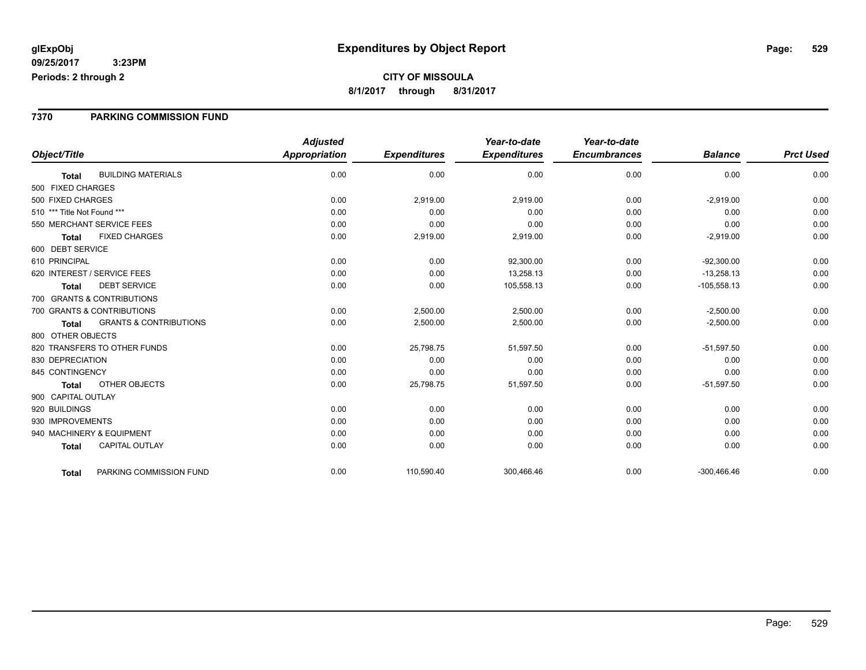### **7370 PARKING COMMISSION FUND**

|                                            | <b>Adjusted</b>      |                     | Year-to-date        | Year-to-date        |                |                  |
|--------------------------------------------|----------------------|---------------------|---------------------|---------------------|----------------|------------------|
| Object/Title                               | <b>Appropriation</b> | <b>Expenditures</b> | <b>Expenditures</b> | <b>Encumbrances</b> | <b>Balance</b> | <b>Prct Used</b> |
| <b>BUILDING MATERIALS</b><br><b>Total</b>  | 0.00                 | 0.00                | 0.00                | 0.00                | 0.00           | 0.00             |
| 500 FIXED CHARGES                          |                      |                     |                     |                     |                |                  |
| 500 FIXED CHARGES                          | 0.00                 | 2,919.00            | 2,919.00            | 0.00                | $-2,919.00$    | 0.00             |
| 510 *** Title Not Found ***                | 0.00                 | 0.00                | 0.00                | 0.00                | 0.00           | 0.00             |
| 550 MERCHANT SERVICE FEES                  | 0.00                 | 0.00                | 0.00                | 0.00                | 0.00           | 0.00             |
| <b>FIXED CHARGES</b><br><b>Total</b>       | 0.00                 | 2,919.00            | 2,919.00            | 0.00                | $-2,919.00$    | 0.00             |
| 600 DEBT SERVICE                           |                      |                     |                     |                     |                |                  |
| 610 PRINCIPAL                              | 0.00                 | 0.00                | 92,300.00           | 0.00                | $-92,300.00$   | 0.00             |
| 620 INTEREST / SERVICE FEES                | 0.00                 | 0.00                | 13,258.13           | 0.00                | $-13,258.13$   | 0.00             |
| <b>DEBT SERVICE</b><br><b>Total</b>        | 0.00                 | 0.00                | 105,558.13          | 0.00                | $-105,558.13$  | 0.00             |
| 700 GRANTS & CONTRIBUTIONS                 |                      |                     |                     |                     |                |                  |
| 700 GRANTS & CONTRIBUTIONS                 | 0.00                 | 2,500.00            | 2,500.00            | 0.00                | $-2,500.00$    | 0.00             |
| <b>GRANTS &amp; CONTRIBUTIONS</b><br>Total | 0.00                 | 2,500.00            | 2,500.00            | 0.00                | $-2,500.00$    | 0.00             |
| 800 OTHER OBJECTS                          |                      |                     |                     |                     |                |                  |
| 820 TRANSFERS TO OTHER FUNDS               | 0.00                 | 25,798.75           | 51,597.50           | 0.00                | $-51,597.50$   | 0.00             |
| 830 DEPRECIATION                           | 0.00                 | 0.00                | 0.00                | 0.00                | 0.00           | 0.00             |
| 845 CONTINGENCY                            | 0.00                 | 0.00                | 0.00                | 0.00                | 0.00           | 0.00             |
| <b>OTHER OBJECTS</b><br>Total              | 0.00                 | 25,798.75           | 51,597.50           | 0.00                | $-51,597.50$   | 0.00             |
| 900 CAPITAL OUTLAY                         |                      |                     |                     |                     |                |                  |
| 920 BUILDINGS                              | 0.00                 | 0.00                | 0.00                | 0.00                | 0.00           | 0.00             |
| 930 IMPROVEMENTS                           | 0.00                 | 0.00                | 0.00                | 0.00                | 0.00           | 0.00             |
| 940 MACHINERY & EQUIPMENT                  | 0.00                 | 0.00                | 0.00                | 0.00                | 0.00           | 0.00             |
| <b>CAPITAL OUTLAY</b><br><b>Total</b>      | 0.00                 | 0.00                | 0.00                | 0.00                | 0.00           | 0.00             |
| PARKING COMMISSION FUND<br><b>Total</b>    | 0.00                 | 110,590.40          | 300,466.46          | 0.00                | $-300,466.46$  | 0.00             |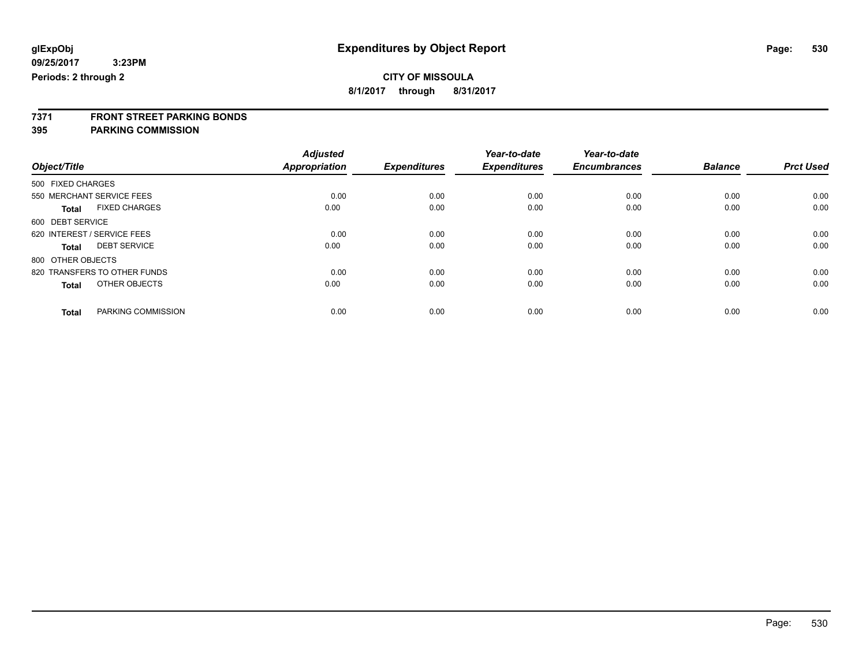**8/1/2017 through 8/31/2017**

# **7371 FRONT STREET PARKING BONDS**

### **395 PARKING COMMISSION**

|                                      | <b>Adjusted</b>      |                     | Year-to-date        | Year-to-date        |                |                  |
|--------------------------------------|----------------------|---------------------|---------------------|---------------------|----------------|------------------|
| Object/Title                         | <b>Appropriation</b> | <b>Expenditures</b> | <b>Expenditures</b> | <b>Encumbrances</b> | <b>Balance</b> | <b>Prct Used</b> |
| 500 FIXED CHARGES                    |                      |                     |                     |                     |                |                  |
| 550 MERCHANT SERVICE FEES            | 0.00                 | 0.00                | 0.00                | 0.00                | 0.00           | 0.00             |
| <b>FIXED CHARGES</b><br><b>Total</b> | 0.00                 | 0.00                | 0.00                | 0.00                | 0.00           | 0.00             |
| 600 DEBT SERVICE                     |                      |                     |                     |                     |                |                  |
| 620 INTEREST / SERVICE FEES          | 0.00                 | 0.00                | 0.00                | 0.00                | 0.00           | 0.00             |
| <b>DEBT SERVICE</b><br><b>Total</b>  | 0.00                 | 0.00                | 0.00                | 0.00                | 0.00           | 0.00             |
| 800 OTHER OBJECTS                    |                      |                     |                     |                     |                |                  |
| 820 TRANSFERS TO OTHER FUNDS         | 0.00                 | 0.00                | 0.00                | 0.00                | 0.00           | 0.00             |
| OTHER OBJECTS<br><b>Total</b>        | 0.00                 | 0.00                | 0.00                | 0.00                | 0.00           | 0.00             |
|                                      |                      |                     |                     |                     |                |                  |
| PARKING COMMISSION<br><b>Total</b>   | 0.00                 | 0.00                | 0.00                | 0.00                | 0.00           | 0.00             |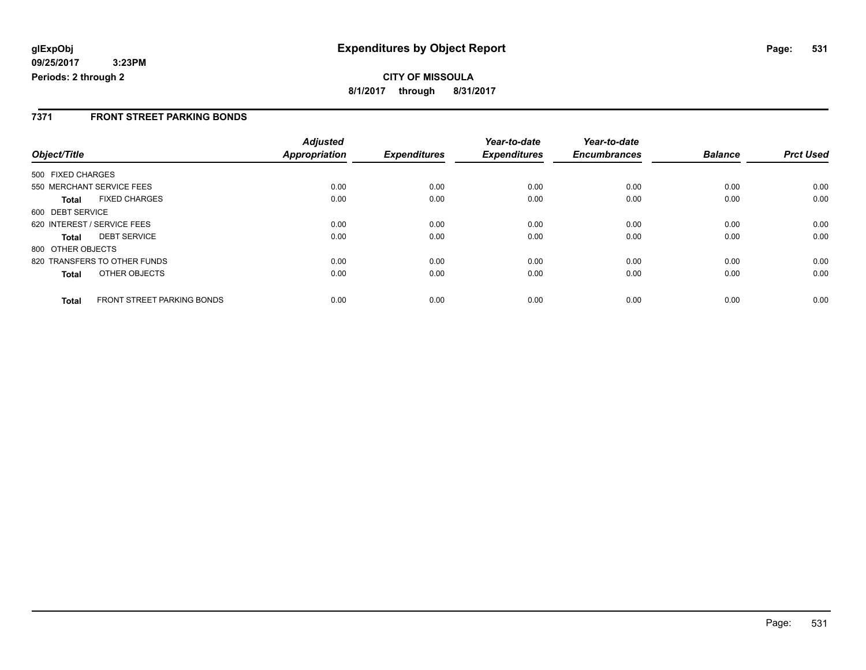### **7371 FRONT STREET PARKING BONDS**

|                   |                              | <b>Adjusted</b> |                     | Year-to-date        | Year-to-date<br><b>Encumbrances</b> | <b>Balance</b> | <b>Prct Used</b> |
|-------------------|------------------------------|-----------------|---------------------|---------------------|-------------------------------------|----------------|------------------|
| Object/Title      |                              | Appropriation   | <b>Expenditures</b> | <b>Expenditures</b> |                                     |                |                  |
| 500 FIXED CHARGES |                              |                 |                     |                     |                                     |                |                  |
|                   | 550 MERCHANT SERVICE FEES    | 0.00            | 0.00                | 0.00                | 0.00                                | 0.00           | 0.00             |
| Total             | <b>FIXED CHARGES</b>         | 0.00            | 0.00                | 0.00                | 0.00                                | 0.00           | 0.00             |
| 600 DEBT SERVICE  |                              |                 |                     |                     |                                     |                |                  |
|                   | 620 INTEREST / SERVICE FEES  | 0.00            | 0.00                | 0.00                | 0.00                                | 0.00           | 0.00             |
| <b>Total</b>      | <b>DEBT SERVICE</b>          | 0.00            | 0.00                | 0.00                | 0.00                                | 0.00           | 0.00             |
| 800 OTHER OBJECTS |                              |                 |                     |                     |                                     |                |                  |
|                   | 820 TRANSFERS TO OTHER FUNDS | 0.00            | 0.00                | 0.00                | 0.00                                | 0.00           | 0.00             |
| <b>Total</b>      | OTHER OBJECTS                | 0.00            | 0.00                | 0.00                | 0.00                                | 0.00           | 0.00             |
| <b>Total</b>      | FRONT STREET PARKING BONDS   | 0.00            | 0.00                | 0.00                | 0.00                                | 0.00           | 0.00             |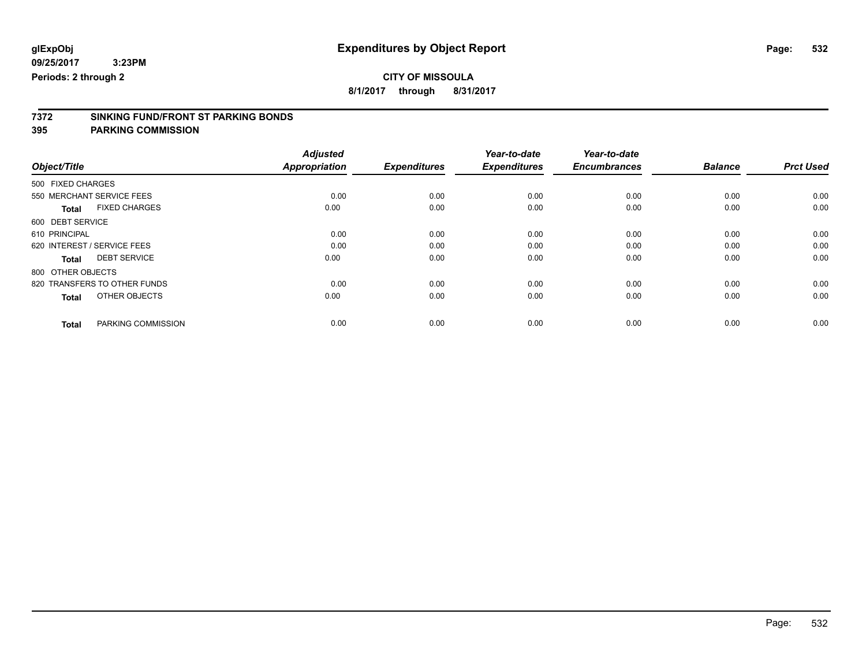**8/1/2017 through 8/31/2017**

# **7372 SINKING FUND/FRONT ST PARKING BONDS**

**395 PARKING COMMISSION**

|                                      | <b>Adjusted</b>      |                     | Year-to-date        | Year-to-date        |                |                  |
|--------------------------------------|----------------------|---------------------|---------------------|---------------------|----------------|------------------|
| Object/Title                         | <b>Appropriation</b> | <b>Expenditures</b> | <b>Expenditures</b> | <b>Encumbrances</b> | <b>Balance</b> | <b>Prct Used</b> |
| 500 FIXED CHARGES                    |                      |                     |                     |                     |                |                  |
| 550 MERCHANT SERVICE FEES            | 0.00                 | 0.00                | 0.00                | 0.00                | 0.00           | 0.00             |
| <b>FIXED CHARGES</b><br><b>Total</b> | 0.00                 | 0.00                | 0.00                | 0.00                | 0.00           | 0.00             |
| 600 DEBT SERVICE                     |                      |                     |                     |                     |                |                  |
| 610 PRINCIPAL                        | 0.00                 | 0.00                | 0.00                | 0.00                | 0.00           | 0.00             |
| 620 INTEREST / SERVICE FEES          | 0.00                 | 0.00                | 0.00                | 0.00                | 0.00           | 0.00             |
| <b>DEBT SERVICE</b><br><b>Total</b>  | 0.00                 | 0.00                | 0.00                | 0.00                | 0.00           | 0.00             |
| 800 OTHER OBJECTS                    |                      |                     |                     |                     |                |                  |
| 820 TRANSFERS TO OTHER FUNDS         | 0.00                 | 0.00                | 0.00                | 0.00                | 0.00           | 0.00             |
| OTHER OBJECTS<br><b>Total</b>        | 0.00                 | 0.00                | 0.00                | 0.00                | 0.00           | 0.00             |
|                                      |                      |                     |                     |                     |                |                  |
| PARKING COMMISSION<br><b>Total</b>   | 0.00                 | 0.00                | 0.00                | 0.00                | 0.00           | 0.00             |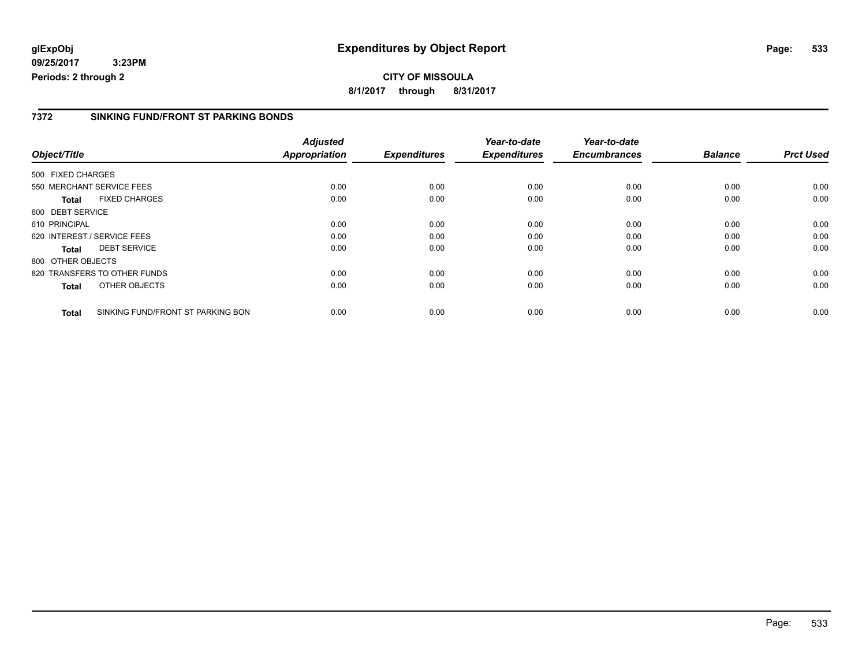**CITY OF MISSOULA 8/1/2017 through 8/31/2017**

### **7372 SINKING FUND/FRONT ST PARKING BONDS**

|                   |                                   | <b>Adjusted</b>      |                     | Year-to-date        | Year-to-date        |                |                  |
|-------------------|-----------------------------------|----------------------|---------------------|---------------------|---------------------|----------------|------------------|
| Object/Title      |                                   | <b>Appropriation</b> | <b>Expenditures</b> | <b>Expenditures</b> | <b>Encumbrances</b> | <b>Balance</b> | <b>Prct Used</b> |
| 500 FIXED CHARGES |                                   |                      |                     |                     |                     |                |                  |
|                   | 550 MERCHANT SERVICE FEES         | 0.00                 | 0.00                | 0.00                | 0.00                | 0.00           | 0.00             |
| <b>Total</b>      | <b>FIXED CHARGES</b>              | 0.00                 | 0.00                | 0.00                | 0.00                | 0.00           | 0.00             |
| 600 DEBT SERVICE  |                                   |                      |                     |                     |                     |                |                  |
| 610 PRINCIPAL     |                                   | 0.00                 | 0.00                | 0.00                | 0.00                | 0.00           | 0.00             |
|                   | 620 INTEREST / SERVICE FEES       | 0.00                 | 0.00                | 0.00                | 0.00                | 0.00           | 0.00             |
| Total             | <b>DEBT SERVICE</b>               | 0.00                 | 0.00                | 0.00                | 0.00                | 0.00           | 0.00             |
| 800 OTHER OBJECTS |                                   |                      |                     |                     |                     |                |                  |
|                   | 820 TRANSFERS TO OTHER FUNDS      | 0.00                 | 0.00                | 0.00                | 0.00                | 0.00           | 0.00             |
| <b>Total</b>      | OTHER OBJECTS                     | 0.00                 | 0.00                | 0.00                | 0.00                | 0.00           | 0.00             |
| <b>Total</b>      | SINKING FUND/FRONT ST PARKING BON | 0.00                 | 0.00                | 0.00                | 0.00                | 0.00           | 0.00             |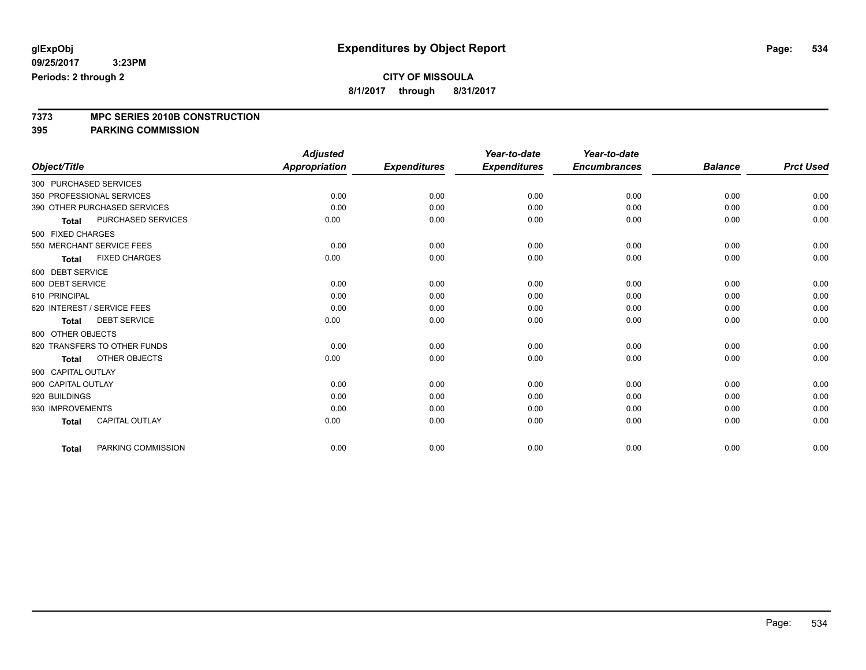**8/1/2017 through 8/31/2017**

# **7373 MPC SERIES 2010B CONSTRUCTION**

**395 PARKING COMMISSION**

|                                       |                    | <b>Adjusted</b>      |                     | Year-to-date        | Year-to-date        |                |                  |
|---------------------------------------|--------------------|----------------------|---------------------|---------------------|---------------------|----------------|------------------|
| Object/Title                          |                    | <b>Appropriation</b> | <b>Expenditures</b> | <b>Expenditures</b> | <b>Encumbrances</b> | <b>Balance</b> | <b>Prct Used</b> |
| 300 PURCHASED SERVICES                |                    |                      |                     |                     |                     |                |                  |
| 350 PROFESSIONAL SERVICES             |                    | 0.00                 | 0.00                | 0.00                | 0.00                | 0.00           | 0.00             |
| 390 OTHER PURCHASED SERVICES          |                    | 0.00                 | 0.00                | 0.00                | 0.00                | 0.00           | 0.00             |
| <b>Total</b>                          | PURCHASED SERVICES | 0.00                 | 0.00                | 0.00                | 0.00                | 0.00           | 0.00             |
| 500 FIXED CHARGES                     |                    |                      |                     |                     |                     |                |                  |
| 550 MERCHANT SERVICE FEES             |                    | 0.00                 | 0.00                | 0.00                | 0.00                | 0.00           | 0.00             |
| <b>FIXED CHARGES</b><br><b>Total</b>  |                    | 0.00                 | 0.00                | 0.00                | 0.00                | 0.00           | 0.00             |
| 600 DEBT SERVICE                      |                    |                      |                     |                     |                     |                |                  |
| 600 DEBT SERVICE                      |                    | 0.00                 | 0.00                | 0.00                | 0.00                | 0.00           | 0.00             |
| 610 PRINCIPAL                         |                    | 0.00                 | 0.00                | 0.00                | 0.00                | 0.00           | 0.00             |
| 620 INTEREST / SERVICE FEES           |                    | 0.00                 | 0.00                | 0.00                | 0.00                | 0.00           | 0.00             |
| <b>DEBT SERVICE</b><br><b>Total</b>   |                    | 0.00                 | 0.00                | 0.00                | 0.00                | 0.00           | 0.00             |
| 800 OTHER OBJECTS                     |                    |                      |                     |                     |                     |                |                  |
| 820 TRANSFERS TO OTHER FUNDS          |                    | 0.00                 | 0.00                | 0.00                | 0.00                | 0.00           | 0.00             |
| <b>OTHER OBJECTS</b><br><b>Total</b>  |                    | 0.00                 | 0.00                | 0.00                | 0.00                | 0.00           | 0.00             |
| 900 CAPITAL OUTLAY                    |                    |                      |                     |                     |                     |                |                  |
| 900 CAPITAL OUTLAY                    |                    | 0.00                 | 0.00                | 0.00                | 0.00                | 0.00           | 0.00             |
| 920 BUILDINGS                         |                    | 0.00                 | 0.00                | 0.00                | 0.00                | 0.00           | 0.00             |
| 930 IMPROVEMENTS                      |                    | 0.00                 | 0.00                | 0.00                | 0.00                | 0.00           | 0.00             |
| <b>CAPITAL OUTLAY</b><br><b>Total</b> |                    | 0.00                 | 0.00                | 0.00                | 0.00                | 0.00           | 0.00             |
| <b>Total</b>                          | PARKING COMMISSION | 0.00                 | 0.00                | 0.00                | 0.00                | 0.00           | 0.00             |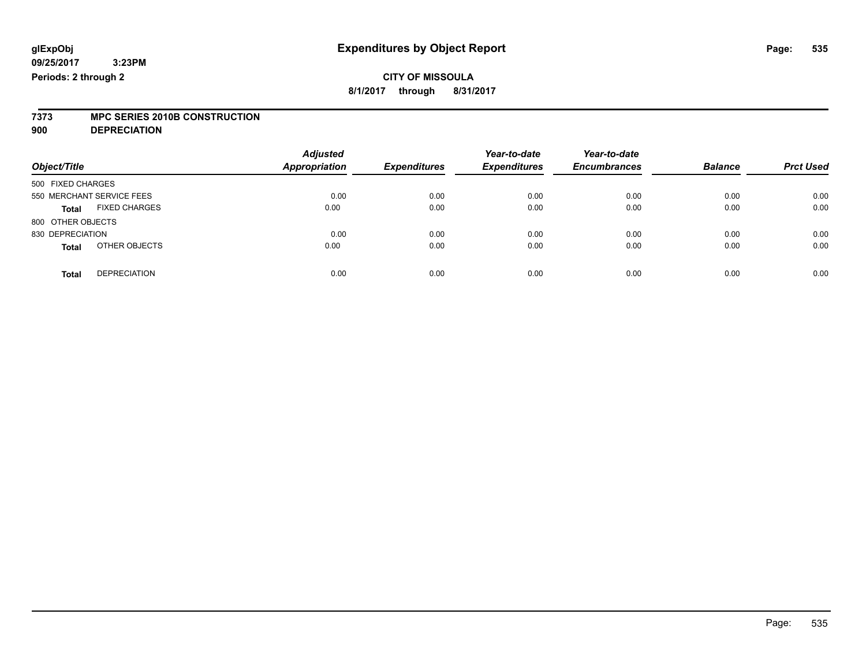**8/1/2017 through 8/31/2017**

# **7373 MPC SERIES 2010B CONSTRUCTION**

**900 DEPRECIATION**

| Object/Title                         | <b>Adjusted</b><br><b>Appropriation</b> | <b>Expenditures</b> | Year-to-date<br><b>Expenditures</b> | Year-to-date<br><b>Encumbrances</b> | <b>Balance</b> | <b>Prct Used</b> |
|--------------------------------------|-----------------------------------------|---------------------|-------------------------------------|-------------------------------------|----------------|------------------|
| 500 FIXED CHARGES                    |                                         |                     |                                     |                                     |                |                  |
| 550 MERCHANT SERVICE FEES            | 0.00                                    | 0.00                | 0.00                                | 0.00                                | 0.00           | 0.00             |
| <b>FIXED CHARGES</b><br><b>Total</b> | 0.00                                    | 0.00                | 0.00                                | 0.00                                | 0.00           | 0.00             |
| 800 OTHER OBJECTS                    |                                         |                     |                                     |                                     |                |                  |
| 830 DEPRECIATION                     | 0.00                                    | 0.00                | 0.00                                | 0.00                                | 0.00           | 0.00             |
| OTHER OBJECTS<br><b>Total</b>        | 0.00                                    | 0.00                | 0.00                                | 0.00                                | 0.00           | 0.00             |
| <b>DEPRECIATION</b><br><b>Total</b>  | 0.00                                    | 0.00                | 0.00                                | 0.00                                | 0.00           | 0.00             |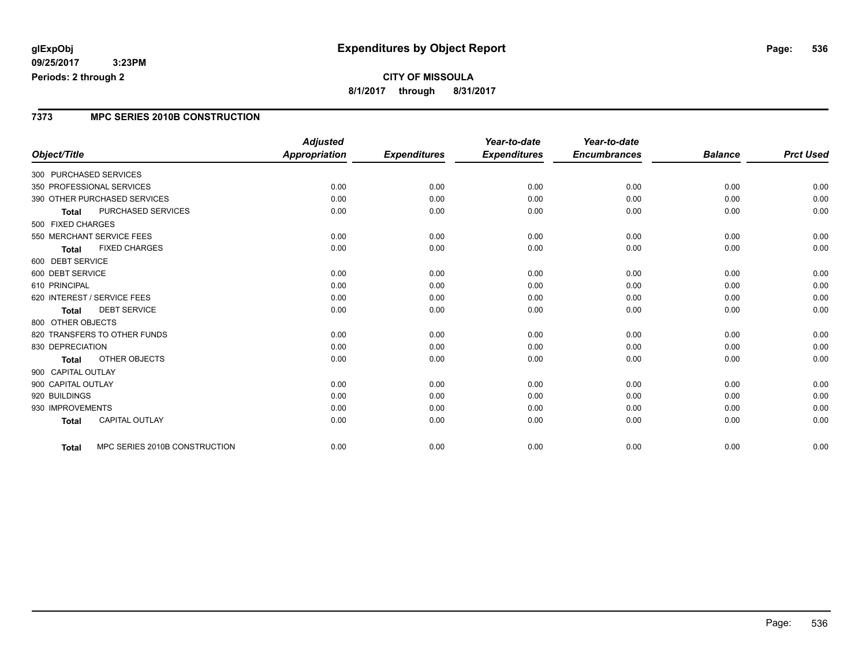### **CITY OF MISSOULA 8/1/2017 through 8/31/2017**

### **7373 MPC SERIES 2010B CONSTRUCTION**

|                                               | <b>Adjusted</b>      |                     | Year-to-date        | Year-to-date        |                |                  |
|-----------------------------------------------|----------------------|---------------------|---------------------|---------------------|----------------|------------------|
| Object/Title                                  | <b>Appropriation</b> | <b>Expenditures</b> | <b>Expenditures</b> | <b>Encumbrances</b> | <b>Balance</b> | <b>Prct Used</b> |
| 300 PURCHASED SERVICES                        |                      |                     |                     |                     |                |                  |
| 350 PROFESSIONAL SERVICES                     | 0.00                 | 0.00                | 0.00                | 0.00                | 0.00           | 0.00             |
| 390 OTHER PURCHASED SERVICES                  | 0.00                 | 0.00                | 0.00                | 0.00                | 0.00           | 0.00             |
| PURCHASED SERVICES<br><b>Total</b>            | 0.00                 | 0.00                | 0.00                | 0.00                | 0.00           | 0.00             |
| 500 FIXED CHARGES                             |                      |                     |                     |                     |                |                  |
| 550 MERCHANT SERVICE FEES                     | 0.00                 | 0.00                | 0.00                | 0.00                | 0.00           | 0.00             |
| <b>FIXED CHARGES</b><br><b>Total</b>          | 0.00                 | 0.00                | 0.00                | 0.00                | 0.00           | 0.00             |
| 600 DEBT SERVICE                              |                      |                     |                     |                     |                |                  |
| 600 DEBT SERVICE                              | 0.00                 | 0.00                | 0.00                | 0.00                | 0.00           | 0.00             |
| 610 PRINCIPAL                                 | 0.00                 | 0.00                | 0.00                | 0.00                | 0.00           | 0.00             |
| 620 INTEREST / SERVICE FEES                   | 0.00                 | 0.00                | 0.00                | 0.00                | 0.00           | 0.00             |
| <b>DEBT SERVICE</b><br><b>Total</b>           | 0.00                 | 0.00                | 0.00                | 0.00                | 0.00           | 0.00             |
| 800 OTHER OBJECTS                             |                      |                     |                     |                     |                |                  |
| 820 TRANSFERS TO OTHER FUNDS                  | 0.00                 | 0.00                | 0.00                | 0.00                | 0.00           | 0.00             |
| 830 DEPRECIATION                              | 0.00                 | 0.00                | 0.00                | 0.00                | 0.00           | 0.00             |
| OTHER OBJECTS<br><b>Total</b>                 | 0.00                 | 0.00                | 0.00                | 0.00                | 0.00           | 0.00             |
| 900 CAPITAL OUTLAY                            |                      |                     |                     |                     |                |                  |
| 900 CAPITAL OUTLAY                            | 0.00                 | 0.00                | 0.00                | 0.00                | 0.00           | 0.00             |
| 920 BUILDINGS                                 | 0.00                 | 0.00                | 0.00                | 0.00                | 0.00           | 0.00             |
| 930 IMPROVEMENTS                              | 0.00                 | 0.00                | 0.00                | 0.00                | 0.00           | 0.00             |
| <b>CAPITAL OUTLAY</b><br><b>Total</b>         | 0.00                 | 0.00                | 0.00                | 0.00                | 0.00           | 0.00             |
|                                               |                      |                     |                     |                     |                |                  |
| MPC SERIES 2010B CONSTRUCTION<br><b>Total</b> | 0.00                 | 0.00                | 0.00                | 0.00                | 0.00           | 0.00             |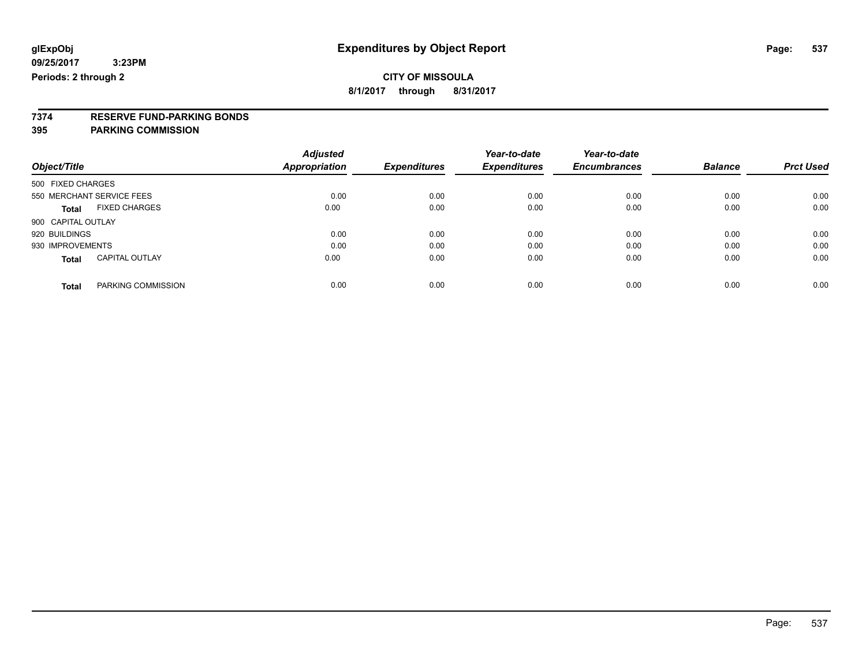**8/1/2017 through 8/31/2017**

# **7374 RESERVE FUND-PARKING BONDS**

### **395 PARKING COMMISSION**

|                           |                       | <b>Adjusted</b> |                     | Year-to-date        | Year-to-date        |                |                  |
|---------------------------|-----------------------|-----------------|---------------------|---------------------|---------------------|----------------|------------------|
| Object/Title              |                       | Appropriation   | <b>Expenditures</b> | <b>Expenditures</b> | <b>Encumbrances</b> | <b>Balance</b> | <b>Prct Used</b> |
| 500 FIXED CHARGES         |                       |                 |                     |                     |                     |                |                  |
| 550 MERCHANT SERVICE FEES |                       | 0.00            | 0.00                | 0.00                | 0.00                | 0.00           | 0.00             |
| <b>Total</b>              | <b>FIXED CHARGES</b>  | 0.00            | 0.00                | 0.00                | 0.00                | 0.00           | 0.00             |
| 900 CAPITAL OUTLAY        |                       |                 |                     |                     |                     |                |                  |
| 920 BUILDINGS             |                       | 0.00            | 0.00                | 0.00                | 0.00                | 0.00           | 0.00             |
| 930 IMPROVEMENTS          |                       | 0.00            | 0.00                | 0.00                | 0.00                | 0.00           | 0.00             |
| <b>Total</b>              | <b>CAPITAL OUTLAY</b> | 0.00            | 0.00                | 0.00                | 0.00                | 0.00           | 0.00             |
| <b>Total</b>              | PARKING COMMISSION    | 0.00            | 0.00                | 0.00                | 0.00                | 0.00           | 0.00             |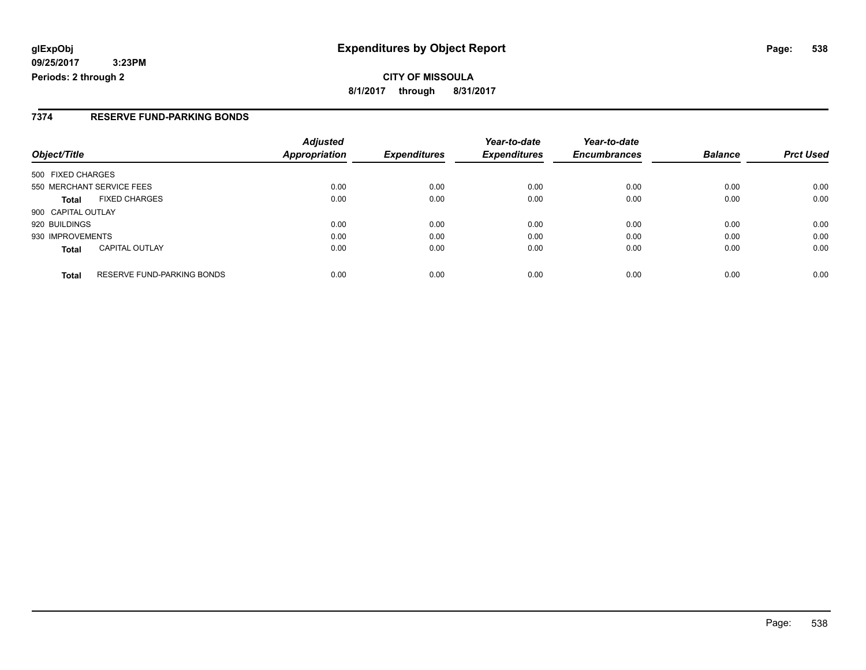### **7374 RESERVE FUND-PARKING BONDS**

| Object/Title                                      | <b>Adjusted</b><br><b>Appropriation</b> | <b>Expenditures</b> | Year-to-date<br><b>Expenditures</b> | Year-to-date<br><b>Encumbrances</b> | <b>Balance</b> | <b>Prct Used</b> |
|---------------------------------------------------|-----------------------------------------|---------------------|-------------------------------------|-------------------------------------|----------------|------------------|
| 500 FIXED CHARGES                                 |                                         |                     |                                     |                                     |                |                  |
| 550 MERCHANT SERVICE FEES                         | 0.00                                    | 0.00                | 0.00                                | 0.00                                | 0.00           | 0.00             |
| <b>FIXED CHARGES</b><br><b>Total</b>              | 0.00                                    | 0.00                | 0.00                                | 0.00                                | 0.00           | 0.00             |
| 900 CAPITAL OUTLAY                                |                                         |                     |                                     |                                     |                |                  |
| 920 BUILDINGS                                     | 0.00                                    | 0.00                | 0.00                                | 0.00                                | 0.00           | 0.00             |
| 930 IMPROVEMENTS                                  | 0.00                                    | 0.00                | 0.00                                | 0.00                                | 0.00           | 0.00             |
| <b>CAPITAL OUTLAY</b><br><b>Total</b>             | 0.00                                    | 0.00                | 0.00                                | 0.00                                | 0.00           | 0.00             |
| <b>RESERVE FUND-PARKING BONDS</b><br><b>Total</b> | 0.00                                    | 0.00                | 0.00                                | 0.00                                | 0.00           | 0.00             |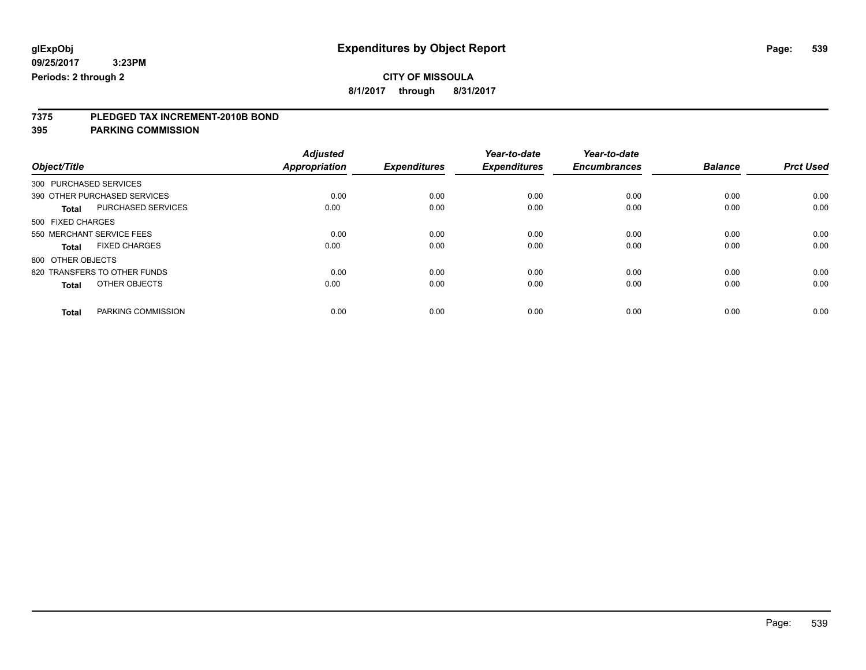**8/1/2017 through 8/31/2017**

# **7375 PLEDGED TAX INCREMENT-2010B BOND**

**395 PARKING COMMISSION**

|                                      | <b>Adjusted</b> |                     | Year-to-date        | Year-to-date        |                |                  |
|--------------------------------------|-----------------|---------------------|---------------------|---------------------|----------------|------------------|
| Object/Title                         | Appropriation   | <b>Expenditures</b> | <b>Expenditures</b> | <b>Encumbrances</b> | <b>Balance</b> | <b>Prct Used</b> |
| 300 PURCHASED SERVICES               |                 |                     |                     |                     |                |                  |
| 390 OTHER PURCHASED SERVICES         | 0.00            | 0.00                | 0.00                | 0.00                | 0.00           | 0.00             |
| PURCHASED SERVICES<br><b>Total</b>   | 0.00            | 0.00                | 0.00                | 0.00                | 0.00           | 0.00             |
| 500 FIXED CHARGES                    |                 |                     |                     |                     |                |                  |
| 550 MERCHANT SERVICE FEES            | 0.00            | 0.00                | 0.00                | 0.00                | 0.00           | 0.00             |
| <b>FIXED CHARGES</b><br><b>Total</b> | 0.00            | 0.00                | 0.00                | 0.00                | 0.00           | 0.00             |
| 800 OTHER OBJECTS                    |                 |                     |                     |                     |                |                  |
| 820 TRANSFERS TO OTHER FUNDS         | 0.00            | 0.00                | 0.00                | 0.00                | 0.00           | 0.00             |
| OTHER OBJECTS<br><b>Total</b>        | 0.00            | 0.00                | 0.00                | 0.00                | 0.00           | 0.00             |
|                                      |                 |                     |                     |                     |                |                  |
| PARKING COMMISSION<br><b>Total</b>   | 0.00            | 0.00                | 0.00                | 0.00                | 0.00           | 0.00             |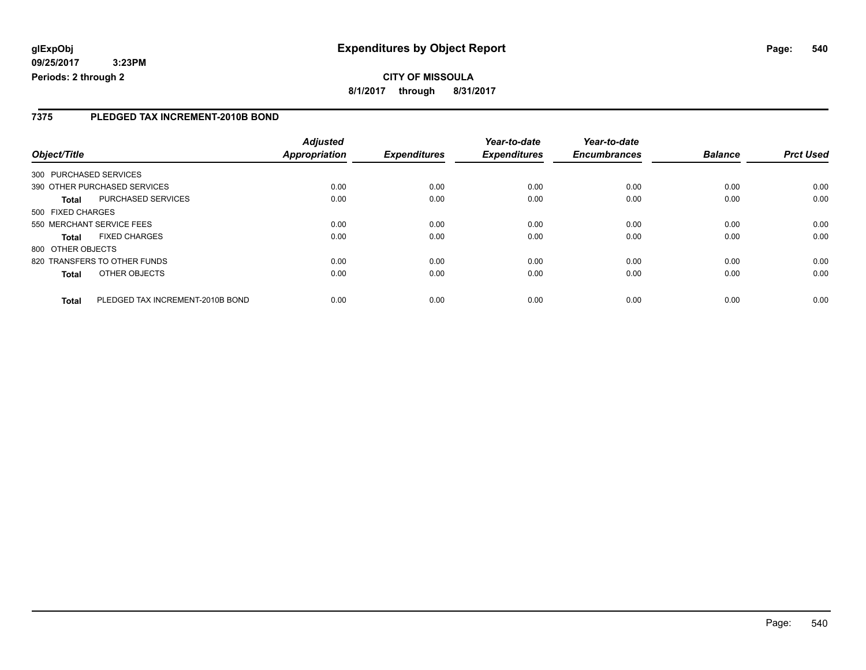**CITY OF MISSOULA 8/1/2017 through 8/31/2017**

### **7375 PLEDGED TAX INCREMENT-2010B BOND**

|                   |                                  | <b>Adjusted</b> |                     | Year-to-date        | Year-to-date        |                |                  |
|-------------------|----------------------------------|-----------------|---------------------|---------------------|---------------------|----------------|------------------|
| Object/Title      |                                  | Appropriation   | <b>Expenditures</b> | <b>Expenditures</b> | <b>Encumbrances</b> | <b>Balance</b> | <b>Prct Used</b> |
|                   | 300 PURCHASED SERVICES           |                 |                     |                     |                     |                |                  |
|                   | 390 OTHER PURCHASED SERVICES     | 0.00            | 0.00                | 0.00                | 0.00                | 0.00           | 0.00             |
| Total             | PURCHASED SERVICES               | 0.00            | 0.00                | 0.00                | 0.00                | 0.00           | 0.00             |
| 500 FIXED CHARGES |                                  |                 |                     |                     |                     |                |                  |
|                   | 550 MERCHANT SERVICE FEES        | 0.00            | 0.00                | 0.00                | 0.00                | 0.00           | 0.00             |
| <b>Total</b>      | <b>FIXED CHARGES</b>             | 0.00            | 0.00                | 0.00                | 0.00                | 0.00           | 0.00             |
| 800 OTHER OBJECTS |                                  |                 |                     |                     |                     |                |                  |
|                   | 820 TRANSFERS TO OTHER FUNDS     | 0.00            | 0.00                | 0.00                | 0.00                | 0.00           | 0.00             |
| <b>Total</b>      | OTHER OBJECTS                    | 0.00            | 0.00                | 0.00                | 0.00                | 0.00           | 0.00             |
| <b>Total</b>      | PLEDGED TAX INCREMENT-2010B BOND | 0.00            | 0.00                | 0.00                | 0.00                | 0.00           | 0.00             |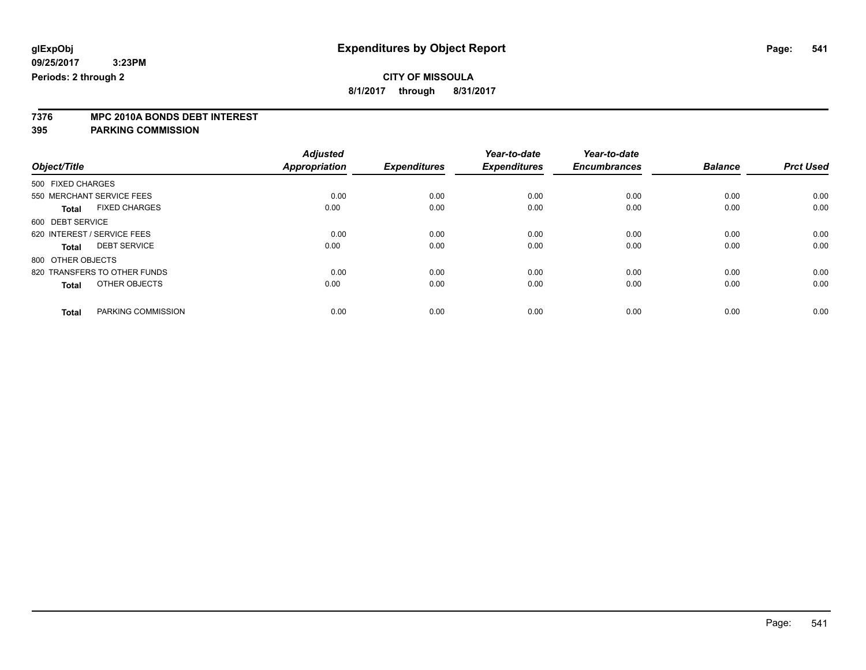### **CITY OF MISSOULA**

**8/1/2017 through 8/31/2017**

# **7376 MPC 2010A BONDS DEBT INTEREST**

### **395 PARKING COMMISSION**

|                                      | <b>Adjusted</b>      |                     | Year-to-date        | Year-to-date        |                |                  |
|--------------------------------------|----------------------|---------------------|---------------------|---------------------|----------------|------------------|
| Object/Title                         | <b>Appropriation</b> | <b>Expenditures</b> | <b>Expenditures</b> | <b>Encumbrances</b> | <b>Balance</b> | <b>Prct Used</b> |
| 500 FIXED CHARGES                    |                      |                     |                     |                     |                |                  |
| 550 MERCHANT SERVICE FEES            | 0.00                 | 0.00                | 0.00                | 0.00                | 0.00           | 0.00             |
| <b>FIXED CHARGES</b><br><b>Total</b> | 0.00                 | 0.00                | 0.00                | 0.00                | 0.00           | 0.00             |
| 600 DEBT SERVICE                     |                      |                     |                     |                     |                |                  |
| 620 INTEREST / SERVICE FEES          | 0.00                 | 0.00                | 0.00                | 0.00                | 0.00           | 0.00             |
| <b>DEBT SERVICE</b><br><b>Total</b>  | 0.00                 | 0.00                | 0.00                | 0.00                | 0.00           | 0.00             |
| 800 OTHER OBJECTS                    |                      |                     |                     |                     |                |                  |
| 820 TRANSFERS TO OTHER FUNDS         | 0.00                 | 0.00                | 0.00                | 0.00                | 0.00           | 0.00             |
| OTHER OBJECTS<br><b>Total</b>        | 0.00                 | 0.00                | 0.00                | 0.00                | 0.00           | 0.00             |
|                                      |                      |                     |                     |                     |                |                  |
| PARKING COMMISSION<br><b>Total</b>   | 0.00                 | 0.00                | 0.00                | 0.00                | 0.00           | 0.00             |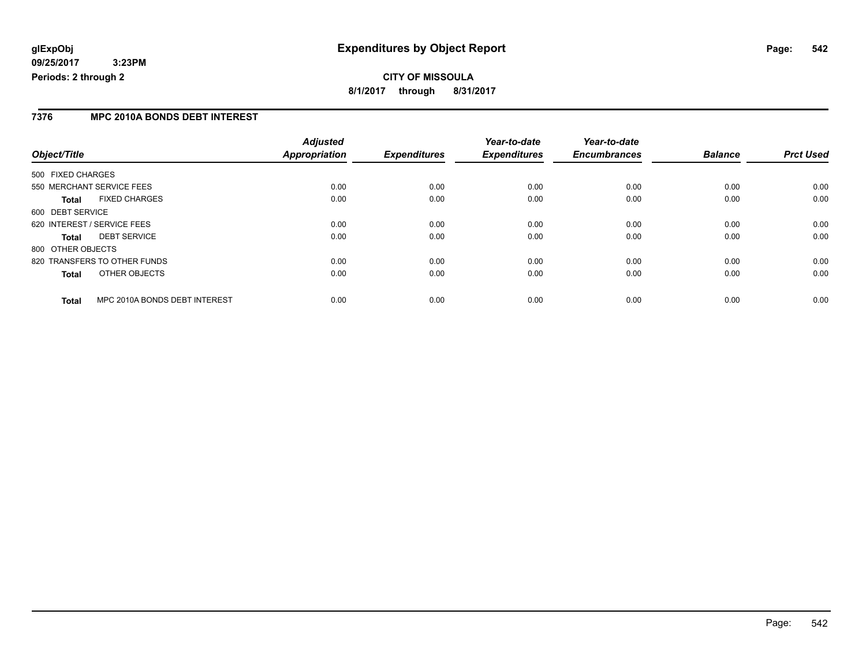### **7376 MPC 2010A BONDS DEBT INTEREST**

|                                               | <b>Adjusted</b> |                     | Year-to-date        | Year-to-date        |                |                  |
|-----------------------------------------------|-----------------|---------------------|---------------------|---------------------|----------------|------------------|
| Object/Title                                  | Appropriation   | <b>Expenditures</b> | <b>Expenditures</b> | <b>Encumbrances</b> | <b>Balance</b> | <b>Prct Used</b> |
| 500 FIXED CHARGES                             |                 |                     |                     |                     |                |                  |
| 550 MERCHANT SERVICE FEES                     | 0.00            | 0.00                | 0.00                | 0.00                | 0.00           | 0.00             |
| <b>FIXED CHARGES</b><br><b>Total</b>          | 0.00            | 0.00                | 0.00                | 0.00                | 0.00           | 0.00             |
| 600 DEBT SERVICE                              |                 |                     |                     |                     |                |                  |
| 620 INTEREST / SERVICE FEES                   | 0.00            | 0.00                | 0.00                | 0.00                | 0.00           | 0.00             |
| <b>DEBT SERVICE</b><br><b>Total</b>           | 0.00            | 0.00                | 0.00                | 0.00                | 0.00           | 0.00             |
| 800 OTHER OBJECTS                             |                 |                     |                     |                     |                |                  |
| 820 TRANSFERS TO OTHER FUNDS                  | 0.00            | 0.00                | 0.00                | 0.00                | 0.00           | 0.00             |
| OTHER OBJECTS<br><b>Total</b>                 | 0.00            | 0.00                | 0.00                | 0.00                | 0.00           | 0.00             |
| MPC 2010A BONDS DEBT INTEREST<br><b>Total</b> | 0.00            | 0.00                | 0.00                | 0.00                | 0.00           | 0.00             |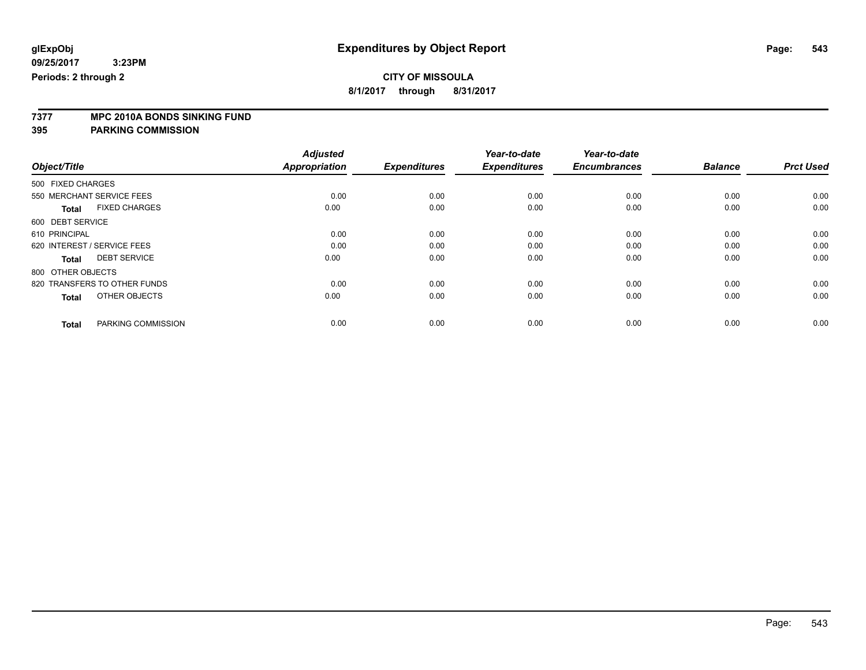### **CITY OF MISSOULA**

**8/1/2017 through 8/31/2017**

# **7377 MPC 2010A BONDS SINKING FUND**

**395 PARKING COMMISSION**

|                   |                              | <b>Adjusted</b>      |                     | Year-to-date        | Year-to-date        |                |                  |
|-------------------|------------------------------|----------------------|---------------------|---------------------|---------------------|----------------|------------------|
| Object/Title      |                              | <b>Appropriation</b> | <b>Expenditures</b> | <b>Expenditures</b> | <b>Encumbrances</b> | <b>Balance</b> | <b>Prct Used</b> |
| 500 FIXED CHARGES |                              |                      |                     |                     |                     |                |                  |
|                   | 550 MERCHANT SERVICE FEES    | 0.00                 | 0.00                | 0.00                | 0.00                | 0.00           | 0.00             |
| <b>Total</b>      | <b>FIXED CHARGES</b>         | 0.00                 | 0.00                | 0.00                | 0.00                | 0.00           | 0.00             |
| 600 DEBT SERVICE  |                              |                      |                     |                     |                     |                |                  |
| 610 PRINCIPAL     |                              | 0.00                 | 0.00                | 0.00                | 0.00                | 0.00           | 0.00             |
|                   | 620 INTEREST / SERVICE FEES  | 0.00                 | 0.00                | 0.00                | 0.00                | 0.00           | 0.00             |
| <b>Total</b>      | <b>DEBT SERVICE</b>          | 0.00                 | 0.00                | 0.00                | 0.00                | 0.00           | 0.00             |
| 800 OTHER OBJECTS |                              |                      |                     |                     |                     |                |                  |
|                   | 820 TRANSFERS TO OTHER FUNDS | 0.00                 | 0.00                | 0.00                | 0.00                | 0.00           | 0.00             |
| <b>Total</b>      | OTHER OBJECTS                | 0.00                 | 0.00                | 0.00                | 0.00                | 0.00           | 0.00             |
|                   |                              |                      |                     |                     |                     |                |                  |
| <b>Total</b>      | PARKING COMMISSION           | 0.00                 | 0.00                | 0.00                | 0.00                | 0.00           | 0.00             |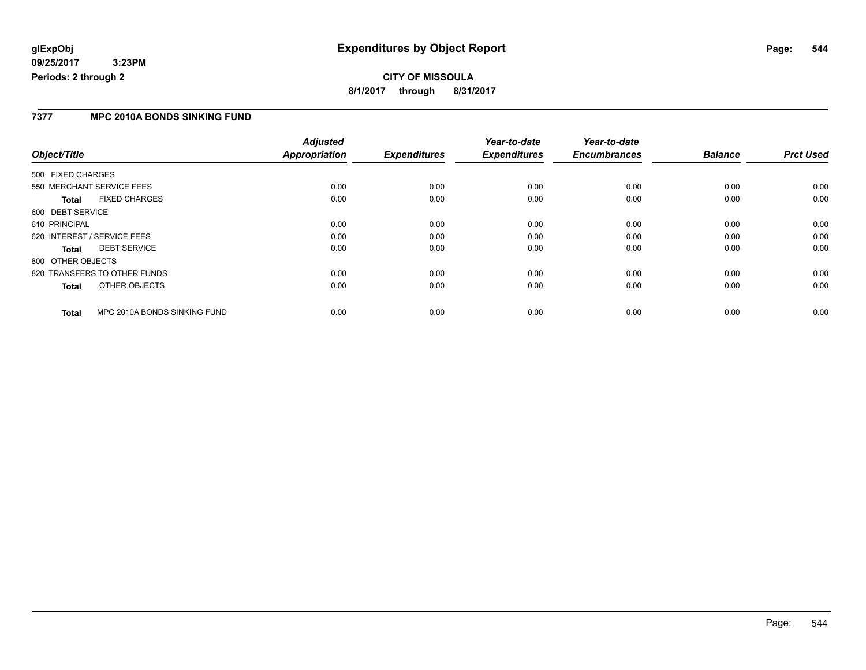### **7377 MPC 2010A BONDS SINKING FUND**

|                              |                              | <b>Adjusted</b>      |                     | Year-to-date        | Year-to-date        |                |                  |
|------------------------------|------------------------------|----------------------|---------------------|---------------------|---------------------|----------------|------------------|
| Object/Title                 |                              | <b>Appropriation</b> | <b>Expenditures</b> | <b>Expenditures</b> | <b>Encumbrances</b> | <b>Balance</b> | <b>Prct Used</b> |
| 500 FIXED CHARGES            |                              |                      |                     |                     |                     |                |                  |
| 550 MERCHANT SERVICE FEES    |                              | 0.00                 | 0.00                | 0.00                | 0.00                | 0.00           | 0.00             |
| Total                        | <b>FIXED CHARGES</b>         | 0.00                 | 0.00                | 0.00                | 0.00                | 0.00           | 0.00             |
| 600 DEBT SERVICE             |                              |                      |                     |                     |                     |                |                  |
| 610 PRINCIPAL                |                              | 0.00                 | 0.00                | 0.00                | 0.00                | 0.00           | 0.00             |
| 620 INTEREST / SERVICE FEES  |                              | 0.00                 | 0.00                | 0.00                | 0.00                | 0.00           | 0.00             |
| Total                        | <b>DEBT SERVICE</b>          | 0.00                 | 0.00                | 0.00                | 0.00                | 0.00           | 0.00             |
| 800 OTHER OBJECTS            |                              |                      |                     |                     |                     |                |                  |
| 820 TRANSFERS TO OTHER FUNDS |                              | 0.00                 | 0.00                | 0.00                | 0.00                | 0.00           | 0.00             |
| Total                        | OTHER OBJECTS                | 0.00                 | 0.00                | 0.00                | 0.00                | 0.00           | 0.00             |
| <b>Total</b>                 | MPC 2010A BONDS SINKING FUND | 0.00                 | 0.00                | 0.00                | 0.00                | 0.00           | 0.00             |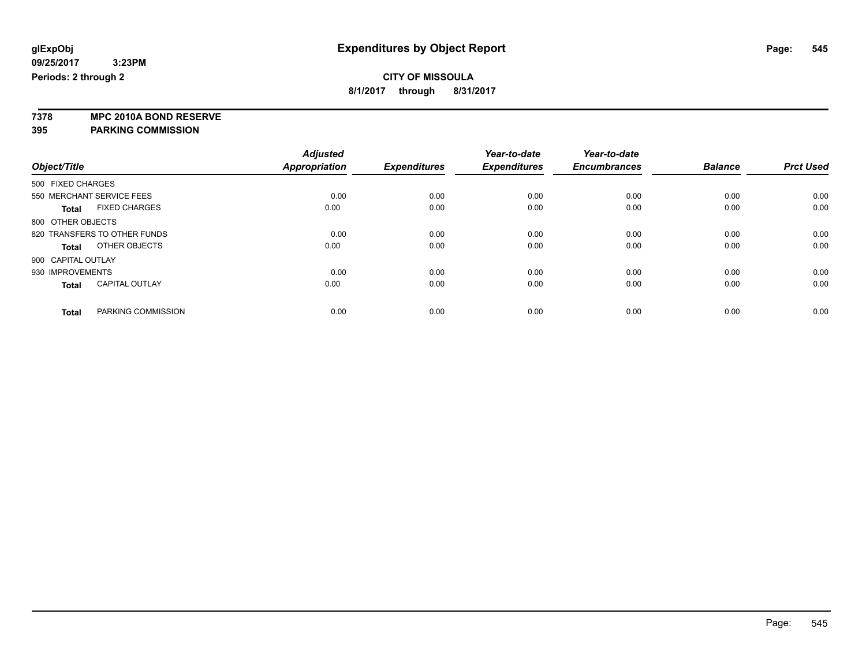### **CITY OF MISSOULA**

**8/1/2017 through 8/31/2017**

**7378 MPC 2010A BOND RESERVE**

**395 PARKING COMMISSION**

|                                       | <b>Adjusted</b> |                     | Year-to-date        | Year-to-date        |                |                  |
|---------------------------------------|-----------------|---------------------|---------------------|---------------------|----------------|------------------|
| Object/Title                          | Appropriation   | <b>Expenditures</b> | <b>Expenditures</b> | <b>Encumbrances</b> | <b>Balance</b> | <b>Prct Used</b> |
| 500 FIXED CHARGES                     |                 |                     |                     |                     |                |                  |
| 550 MERCHANT SERVICE FEES             | 0.00            | 0.00                | 0.00                | 0.00                | 0.00           | 0.00             |
| <b>FIXED CHARGES</b><br><b>Total</b>  | 0.00            | 0.00                | 0.00                | 0.00                | 0.00           | 0.00             |
| 800 OTHER OBJECTS                     |                 |                     |                     |                     |                |                  |
| 820 TRANSFERS TO OTHER FUNDS          | 0.00            | 0.00                | 0.00                | 0.00                | 0.00           | 0.00             |
| OTHER OBJECTS<br>Total                | 0.00            | 0.00                | 0.00                | 0.00                | 0.00           | 0.00             |
| 900 CAPITAL OUTLAY                    |                 |                     |                     |                     |                |                  |
| 930 IMPROVEMENTS                      | 0.00            | 0.00                | 0.00                | 0.00                | 0.00           | 0.00             |
| <b>CAPITAL OUTLAY</b><br><b>Total</b> | 0.00            | 0.00                | 0.00                | 0.00                | 0.00           | 0.00             |
|                                       |                 |                     |                     |                     |                |                  |
| PARKING COMMISSION<br><b>Total</b>    | 0.00            | 0.00                | 0.00                | 0.00                | 0.00           | 0.00             |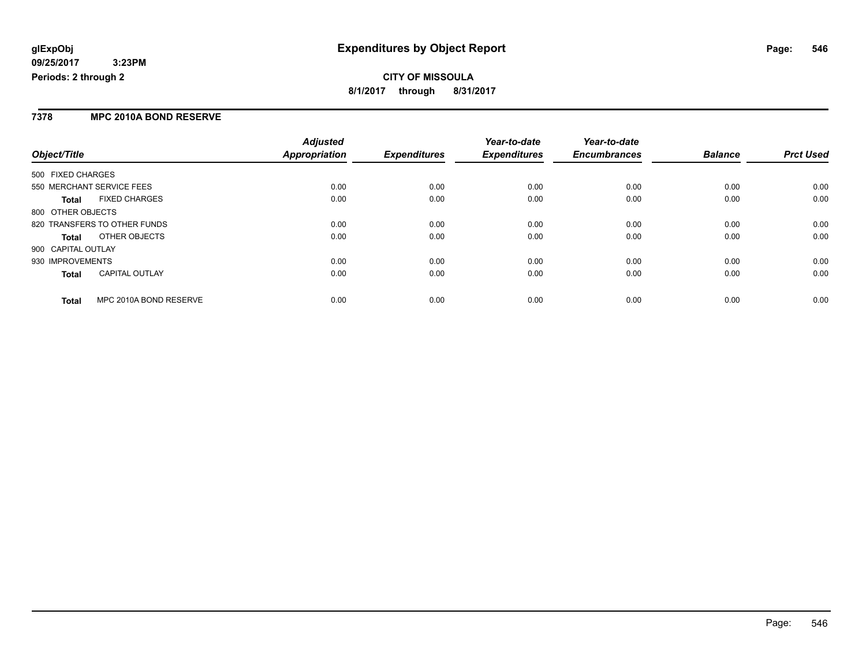### **7378 MPC 2010A BOND RESERVE**

|                                        | <b>Adjusted</b> |                     | Year-to-date        | Year-to-date        |                |                  |
|----------------------------------------|-----------------|---------------------|---------------------|---------------------|----------------|------------------|
| Object/Title                           | Appropriation   | <b>Expenditures</b> | <b>Expenditures</b> | <b>Encumbrances</b> | <b>Balance</b> | <b>Prct Used</b> |
| 500 FIXED CHARGES                      |                 |                     |                     |                     |                |                  |
| 550 MERCHANT SERVICE FEES              | 0.00            | 0.00                | 0.00                | 0.00                | 0.00           | 0.00             |
| <b>FIXED CHARGES</b><br><b>Total</b>   | 0.00            | 0.00                | 0.00                | 0.00                | 0.00           | 0.00             |
| 800 OTHER OBJECTS                      |                 |                     |                     |                     |                |                  |
| 820 TRANSFERS TO OTHER FUNDS           | 0.00            | 0.00                | 0.00                | 0.00                | 0.00           | 0.00             |
| OTHER OBJECTS<br>Total                 | 0.00            | 0.00                | 0.00                | 0.00                | 0.00           | 0.00             |
| 900 CAPITAL OUTLAY                     |                 |                     |                     |                     |                |                  |
| 930 IMPROVEMENTS                       | 0.00            | 0.00                | 0.00                | 0.00                | 0.00           | 0.00             |
| <b>CAPITAL OUTLAY</b><br><b>Total</b>  | 0.00            | 0.00                | 0.00                | 0.00                | 0.00           | 0.00             |
| MPC 2010A BOND RESERVE<br><b>Total</b> | 0.00            | 0.00                | 0.00                | 0.00                | 0.00           | 0.00             |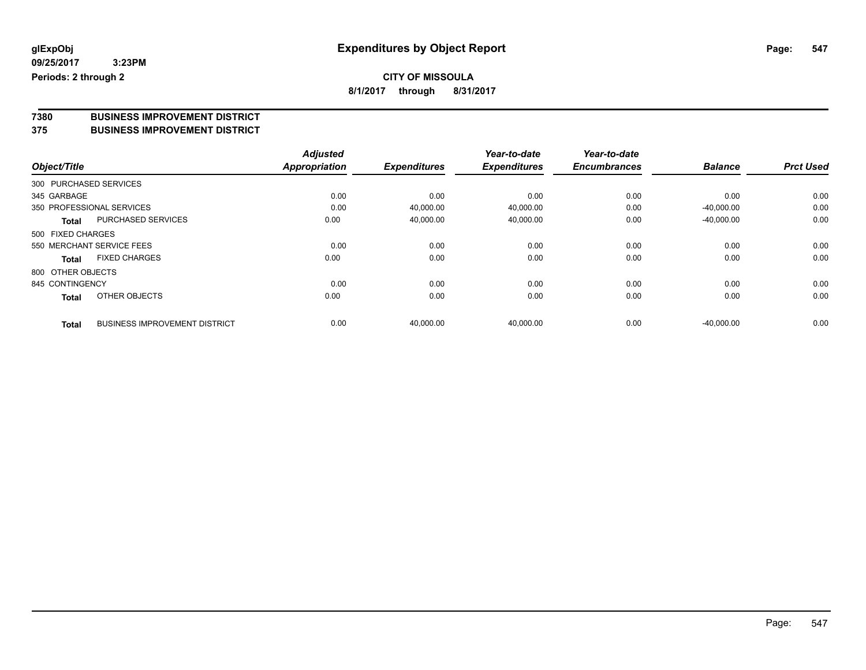# **7380 BUSINESS IMPROVEMENT DISTRICT**

### **375 BUSINESS IMPROVEMENT DISTRICT**

|                        |                                      | <b>Adjusted</b> |                     | Year-to-date        | Year-to-date        |                |                  |
|------------------------|--------------------------------------|-----------------|---------------------|---------------------|---------------------|----------------|------------------|
| Object/Title           |                                      | Appropriation   | <b>Expenditures</b> | <b>Expenditures</b> | <b>Encumbrances</b> | <b>Balance</b> | <b>Prct Used</b> |
| 300 PURCHASED SERVICES |                                      |                 |                     |                     |                     |                |                  |
| 345 GARBAGE            |                                      | 0.00            | 0.00                | 0.00                | 0.00                | 0.00           | 0.00             |
|                        | 350 PROFESSIONAL SERVICES            | 0.00            | 40,000.00           | 40,000.00           | 0.00                | $-40.000.00$   | 0.00             |
| Total                  | <b>PURCHASED SERVICES</b>            | 0.00            | 40,000.00           | 40,000.00           | 0.00                | $-40,000.00$   | 0.00             |
| 500 FIXED CHARGES      |                                      |                 |                     |                     |                     |                |                  |
|                        | 550 MERCHANT SERVICE FEES            | 0.00            | 0.00                | 0.00                | 0.00                | 0.00           | 0.00             |
| Total                  | <b>FIXED CHARGES</b>                 | 0.00            | 0.00                | 0.00                | 0.00                | 0.00           | 0.00             |
| 800 OTHER OBJECTS      |                                      |                 |                     |                     |                     |                |                  |
| 845 CONTINGENCY        |                                      | 0.00            | 0.00                | 0.00                | 0.00                | 0.00           | 0.00             |
| <b>Total</b>           | OTHER OBJECTS                        | 0.00            | 0.00                | 0.00                | 0.00                | 0.00           | 0.00             |
| <b>Total</b>           | <b>BUSINESS IMPROVEMENT DISTRICT</b> | 0.00            | 40.000.00           | 40.000.00           | 0.00                | $-40.000.00$   | 0.00             |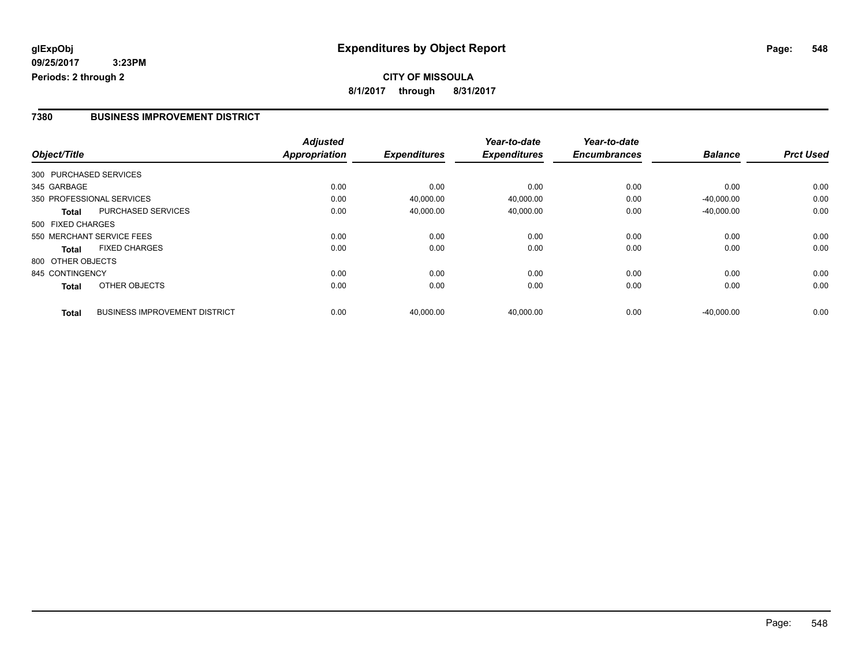### **7380 BUSINESS IMPROVEMENT DISTRICT**

|                   |                                      | <b>Adjusted</b> |                     | Year-to-date        | Year-to-date        |                |                  |
|-------------------|--------------------------------------|-----------------|---------------------|---------------------|---------------------|----------------|------------------|
| Object/Title      |                                      | Appropriation   | <b>Expenditures</b> | <b>Expenditures</b> | <b>Encumbrances</b> | <b>Balance</b> | <b>Prct Used</b> |
|                   | 300 PURCHASED SERVICES               |                 |                     |                     |                     |                |                  |
| 345 GARBAGE       |                                      | 0.00            | 0.00                | 0.00                | 0.00                | 0.00           | 0.00             |
|                   | 350 PROFESSIONAL SERVICES            | 0.00            | 40,000.00           | 40,000.00           | 0.00                | $-40,000.00$   | 0.00             |
| <b>Total</b>      | PURCHASED SERVICES                   | 0.00            | 40,000.00           | 40,000.00           | 0.00                | $-40,000.00$   | 0.00             |
| 500 FIXED CHARGES |                                      |                 |                     |                     |                     |                |                  |
|                   | 550 MERCHANT SERVICE FEES            | 0.00            | 0.00                | 0.00                | 0.00                | 0.00           | 0.00             |
| Total             | <b>FIXED CHARGES</b>                 | 0.00            | 0.00                | 0.00                | 0.00                | 0.00           | 0.00             |
| 800 OTHER OBJECTS |                                      |                 |                     |                     |                     |                |                  |
| 845 CONTINGENCY   |                                      | 0.00            | 0.00                | 0.00                | 0.00                | 0.00           | 0.00             |
| <b>Total</b>      | OTHER OBJECTS                        | 0.00            | 0.00                | 0.00                | 0.00                | 0.00           | 0.00             |
| <b>Total</b>      | <b>BUSINESS IMPROVEMENT DISTRICT</b> | 0.00            | 40,000.00           | 40.000.00           | 0.00                | $-40.000.00$   | 0.00             |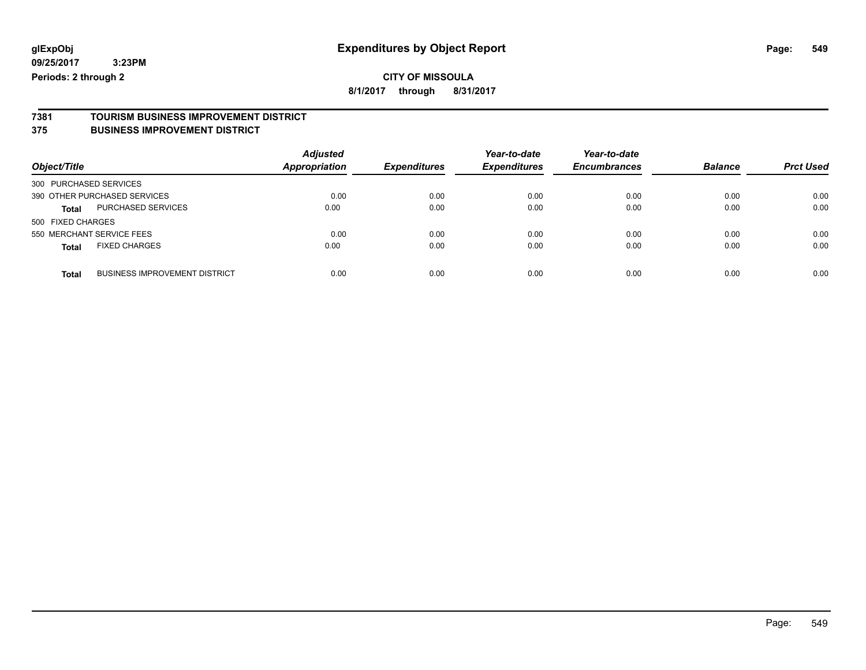## **CITY OF MISSOULA**

**8/1/2017 through 8/31/2017**

# **7381 TOURISM BUSINESS IMPROVEMENT DISTRICT**

### **375 BUSINESS IMPROVEMENT DISTRICT**

| Object/Title                                         | <b>Adjusted</b><br><b>Appropriation</b> | <b>Expenditures</b> | Year-to-date<br><b>Expenditures</b> | Year-to-date<br><b>Encumbrances</b> | <b>Balance</b> | <b>Prct Used</b> |
|------------------------------------------------------|-----------------------------------------|---------------------|-------------------------------------|-------------------------------------|----------------|------------------|
| 300 PURCHASED SERVICES                               |                                         |                     |                                     |                                     |                |                  |
| 390 OTHER PURCHASED SERVICES                         | 0.00                                    | 0.00                | 0.00                                | 0.00                                | 0.00           | 0.00             |
| PURCHASED SERVICES<br><b>Total</b>                   | 0.00                                    | 0.00                | 0.00                                | 0.00                                | 0.00           | 0.00             |
| 500 FIXED CHARGES                                    |                                         |                     |                                     |                                     |                |                  |
| 550 MERCHANT SERVICE FEES                            | 0.00                                    | 0.00                | 0.00                                | 0.00                                | 0.00           | 0.00             |
| <b>FIXED CHARGES</b><br><b>Total</b>                 | 0.00                                    | 0.00                | 0.00                                | 0.00                                | 0.00           | 0.00             |
| <b>BUSINESS IMPROVEMENT DISTRICT</b><br><b>Total</b> | 0.00                                    | 0.00                | 0.00                                | 0.00                                | 0.00           | 0.00             |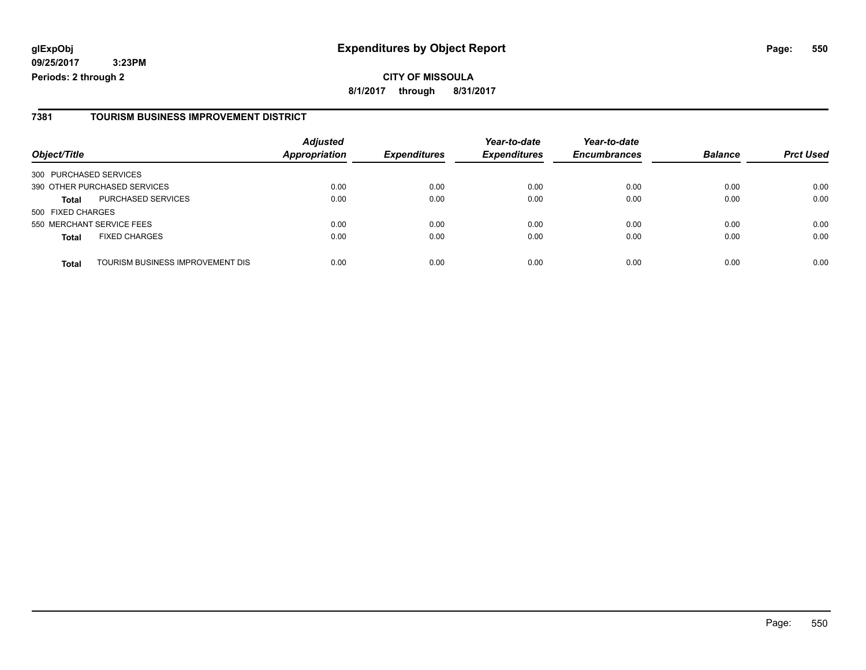**CITY OF MISSOULA 8/1/2017 through 8/31/2017**

### **7381 TOURISM BUSINESS IMPROVEMENT DISTRICT**

|                              |                                  | <b>Adjusted</b> |                     | Year-to-date        | Year-to-date        |                |                  |
|------------------------------|----------------------------------|-----------------|---------------------|---------------------|---------------------|----------------|------------------|
| Object/Title                 |                                  | Appropriation   | <b>Expenditures</b> | <b>Expenditures</b> | <b>Encumbrances</b> | <b>Balance</b> | <b>Prct Used</b> |
| 300 PURCHASED SERVICES       |                                  |                 |                     |                     |                     |                |                  |
| 390 OTHER PURCHASED SERVICES |                                  | 0.00            | 0.00                | 0.00                | 0.00                | 0.00           | 0.00             |
| <b>Total</b>                 | <b>PURCHASED SERVICES</b>        | 0.00            | 0.00                | 0.00                | 0.00                | 0.00           | 0.00             |
| 500 FIXED CHARGES            |                                  |                 |                     |                     |                     |                |                  |
| 550 MERCHANT SERVICE FEES    |                                  | 0.00            | 0.00                | 0.00                | 0.00                | 0.00           | 0.00             |
| <b>Total</b>                 | <b>FIXED CHARGES</b>             | 0.00            | 0.00                | 0.00                | 0.00                | 0.00           | 0.00             |
| <b>Total</b>                 | TOURISM BUSINESS IMPROVEMENT DIS | 0.00            | 0.00                | 0.00                | 0.00                | 0.00           | 0.00             |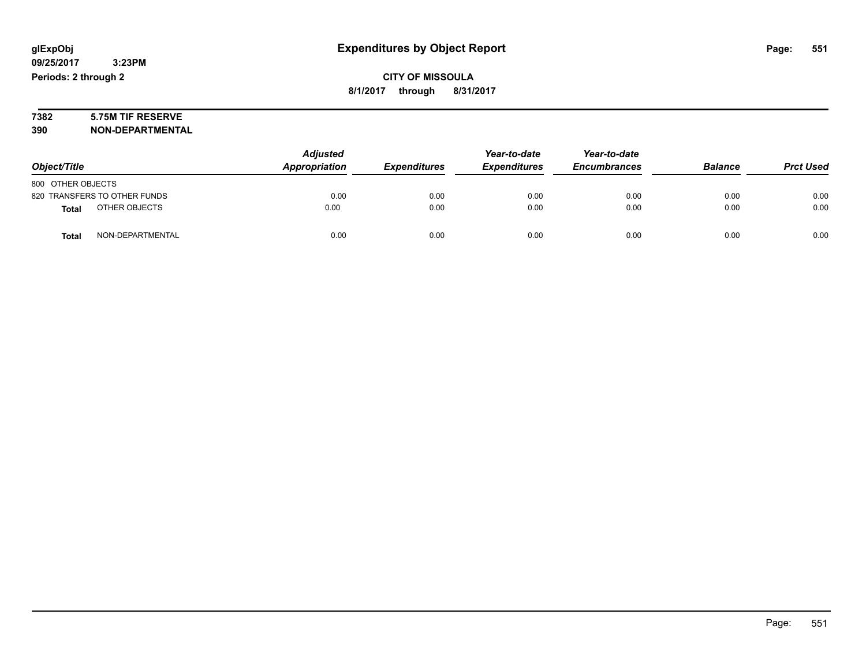# **7382 5.75M TIF RESERVE**

**390 NON-DEPARTMENTAL**

|                                  | <b>Adjusted</b> |                     | Year-to-date        | Year-to-date        |                |                  |
|----------------------------------|-----------------|---------------------|---------------------|---------------------|----------------|------------------|
| Object/Title                     | Appropriation   | <b>Expenditures</b> | <b>Expenditures</b> | <b>Encumbrances</b> | <b>Balance</b> | <b>Prct Used</b> |
| 800 OTHER OBJECTS                |                 |                     |                     |                     |                |                  |
| 820 TRANSFERS TO OTHER FUNDS     | 0.00            | 0.00                | 0.00                | 0.00                | 0.00           | 0.00             |
| OTHER OBJECTS<br><b>Total</b>    | 0.00            | 0.00                | 0.00                | 0.00                | 0.00           | 0.00             |
| NON-DEPARTMENTAL<br><b>Total</b> | 0.00            | 0.00                | 0.00                | 0.00                | 0.00           | 0.00             |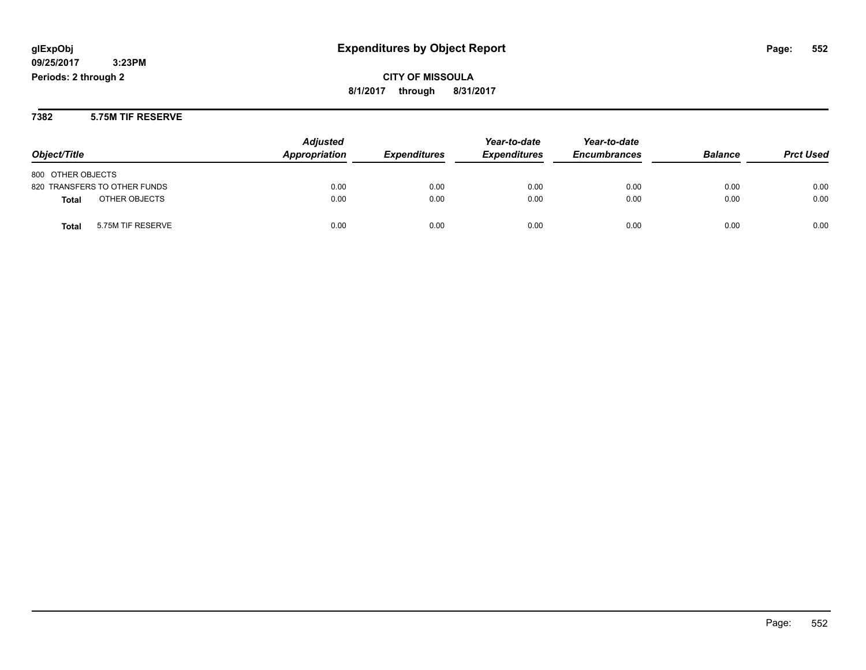**7382 5.75M TIF RESERVE**

|                                   | <b>Adjusted</b> |                            | Year-to-date        | Year-to-date        |                |                  |
|-----------------------------------|-----------------|----------------------------|---------------------|---------------------|----------------|------------------|
| Object/Title                      | Appropriation   | <i><b>Expenditures</b></i> | <b>Expenditures</b> | <b>Encumbrances</b> | <b>Balance</b> | <b>Prct Used</b> |
| 800 OTHER OBJECTS                 |                 |                            |                     |                     |                |                  |
| 820 TRANSFERS TO OTHER FUNDS      | 0.00            | 0.00                       | 0.00                | 0.00                | 0.00           | 0.00             |
| OTHER OBJECTS<br><b>Total</b>     | 0.00            | 0.00                       | 0.00                | 0.00                | 0.00           | 0.00             |
| 5.75M TIF RESERVE<br><b>Total</b> | 0.00            | 0.00                       | 0.00                | 0.00                | 0.00           | 0.00             |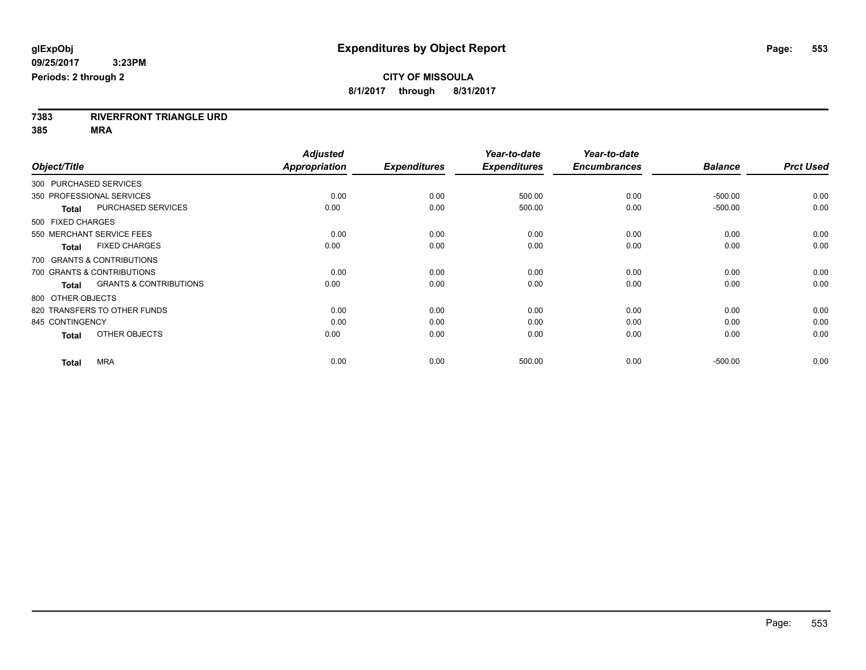**7383 RIVERFRONT TRIANGLE URD**

**385 MRA**

|                                                   | <b>Adjusted</b>      |                     | Year-to-date        | Year-to-date        |                |                  |
|---------------------------------------------------|----------------------|---------------------|---------------------|---------------------|----------------|------------------|
| Object/Title                                      | <b>Appropriation</b> | <b>Expenditures</b> | <b>Expenditures</b> | <b>Encumbrances</b> | <b>Balance</b> | <b>Prct Used</b> |
| 300 PURCHASED SERVICES                            |                      |                     |                     |                     |                |                  |
| 350 PROFESSIONAL SERVICES                         | 0.00                 | 0.00                | 500.00              | 0.00                | $-500.00$      | 0.00             |
| <b>PURCHASED SERVICES</b><br><b>Total</b>         | 0.00                 | 0.00                | 500.00              | 0.00                | $-500.00$      | 0.00             |
| 500 FIXED CHARGES                                 |                      |                     |                     |                     |                |                  |
| 550 MERCHANT SERVICE FEES                         | 0.00                 | 0.00                | 0.00                | 0.00                | 0.00           | 0.00             |
| <b>FIXED CHARGES</b><br><b>Total</b>              | 0.00                 | 0.00                | 0.00                | 0.00                | 0.00           | 0.00             |
| 700 GRANTS & CONTRIBUTIONS                        |                      |                     |                     |                     |                |                  |
| 700 GRANTS & CONTRIBUTIONS                        | 0.00                 | 0.00                | 0.00                | 0.00                | 0.00           | 0.00             |
| <b>GRANTS &amp; CONTRIBUTIONS</b><br><b>Total</b> | 0.00                 | 0.00                | 0.00                | 0.00                | 0.00           | 0.00             |
| 800 OTHER OBJECTS                                 |                      |                     |                     |                     |                |                  |
| 820 TRANSFERS TO OTHER FUNDS                      | 0.00                 | 0.00                | 0.00                | 0.00                | 0.00           | 0.00             |
| 845 CONTINGENCY                                   | 0.00                 | 0.00                | 0.00                | 0.00                | 0.00           | 0.00             |
| OTHER OBJECTS<br><b>Total</b>                     | 0.00                 | 0.00                | 0.00                | 0.00                | 0.00           | 0.00             |
| <b>MRA</b><br><b>Total</b>                        | 0.00                 | 0.00                | 500.00              | 0.00                | $-500.00$      | 0.00             |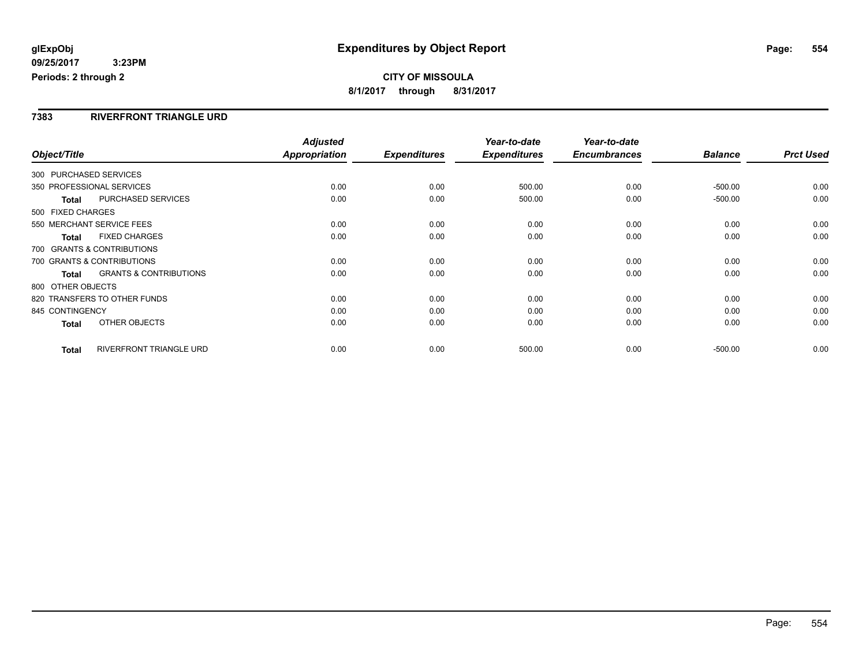### **CITY OF MISSOULA 8/1/2017 through 8/31/2017**

### **7383 RIVERFRONT TRIANGLE URD**

|                        |                                   | <b>Adjusted</b>      |                     | Year-to-date        | Year-to-date        |                |                  |
|------------------------|-----------------------------------|----------------------|---------------------|---------------------|---------------------|----------------|------------------|
| Object/Title           |                                   | <b>Appropriation</b> | <b>Expenditures</b> | <b>Expenditures</b> | <b>Encumbrances</b> | <b>Balance</b> | <b>Prct Used</b> |
| 300 PURCHASED SERVICES |                                   |                      |                     |                     |                     |                |                  |
|                        | 350 PROFESSIONAL SERVICES         | 0.00                 | 0.00                | 500.00              | 0.00                | $-500.00$      | 0.00             |
| Total                  | <b>PURCHASED SERVICES</b>         | 0.00                 | 0.00                | 500.00              | 0.00                | $-500.00$      | 0.00             |
| 500 FIXED CHARGES      |                                   |                      |                     |                     |                     |                |                  |
|                        | 550 MERCHANT SERVICE FEES         | 0.00                 | 0.00                | 0.00                | 0.00                | 0.00           | 0.00             |
| <b>Total</b>           | <b>FIXED CHARGES</b>              | 0.00                 | 0.00                | 0.00                | 0.00                | 0.00           | 0.00             |
|                        | 700 GRANTS & CONTRIBUTIONS        |                      |                     |                     |                     |                |                  |
|                        | 700 GRANTS & CONTRIBUTIONS        | 0.00                 | 0.00                | 0.00                | 0.00                | 0.00           | 0.00             |
| <b>Total</b>           | <b>GRANTS &amp; CONTRIBUTIONS</b> | 0.00                 | 0.00                | 0.00                | 0.00                | 0.00           | 0.00             |
| 800 OTHER OBJECTS      |                                   |                      |                     |                     |                     |                |                  |
|                        | 820 TRANSFERS TO OTHER FUNDS      | 0.00                 | 0.00                | 0.00                | 0.00                | 0.00           | 0.00             |
| 845 CONTINGENCY        |                                   | 0.00                 | 0.00                | 0.00                | 0.00                | 0.00           | 0.00             |
| Total                  | OTHER OBJECTS                     | 0.00                 | 0.00                | 0.00                | 0.00                | 0.00           | 0.00             |
| <b>Total</b>           | <b>RIVERFRONT TRIANGLE URD</b>    | 0.00                 | 0.00                | 500.00              | 0.00                | $-500.00$      | 0.00             |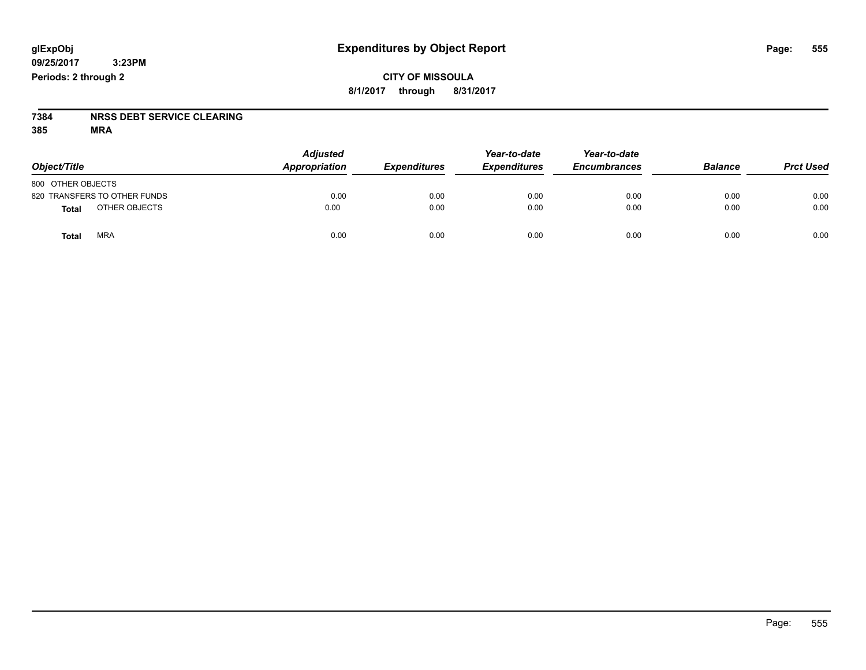### **CITY OF MISSOULA 8/1/2017 through 8/31/2017**

# **7384 NRSS DEBT SERVICE CLEARING**

**385 MRA**

| Object/Title                  | <b>Adjusted</b><br>Appropriation | <b>Expenditures</b> | Year-to-date<br><b>Expenditures</b> | Year-to-date<br><b>Encumbrances</b> | <b>Balance</b> | <b>Prct Used</b> |
|-------------------------------|----------------------------------|---------------------|-------------------------------------|-------------------------------------|----------------|------------------|
| 800 OTHER OBJECTS             |                                  |                     |                                     |                                     |                |                  |
| 820 TRANSFERS TO OTHER FUNDS  | 0.00                             | 0.00                | 0.00                                | 0.00                                | 0.00           | 0.00             |
| OTHER OBJECTS<br><b>Total</b> | 0.00                             | 0.00                | 0.00                                | 0.00                                | 0.00           | 0.00             |
| <b>MRA</b><br>Total           | 0.00                             | 0.00                | 0.00                                | 0.00                                | 0.00           | 0.00             |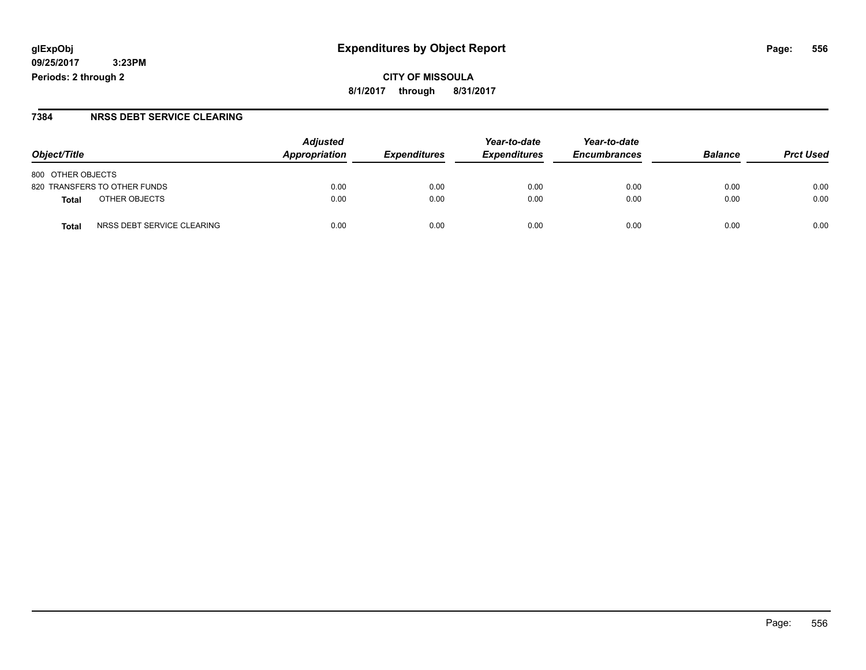**CITY OF MISSOULA 8/1/2017 through 8/31/2017**

### **7384 NRSS DEBT SERVICE CLEARING**

| Obiect/Title                        | <b>Adjusted</b><br>Appropriation | <b>Expenditures</b> | Year-to-date<br><b>Expenditures</b> | Year-to-date<br><b>Encumbrances</b> | <b>Balance</b> | <b>Prct Used</b> |
|-------------------------------------|----------------------------------|---------------------|-------------------------------------|-------------------------------------|----------------|------------------|
| 800 OTHER OBJECTS                   |                                  |                     |                                     |                                     |                |                  |
| 820 TRANSFERS TO OTHER FUNDS        | 0.00                             | 0.00                | 0.00                                | 0.00                                | 0.00           | 0.00             |
| OTHER OBJECTS<br>Total              | 0.00                             | 0.00                | 0.00                                | 0.00                                | 0.00           | 0.00             |
| NRSS DEBT SERVICE CLEARING<br>Total | 0.00                             | 0.00                | 0.00                                | 0.00                                | 0.00           | 0.00             |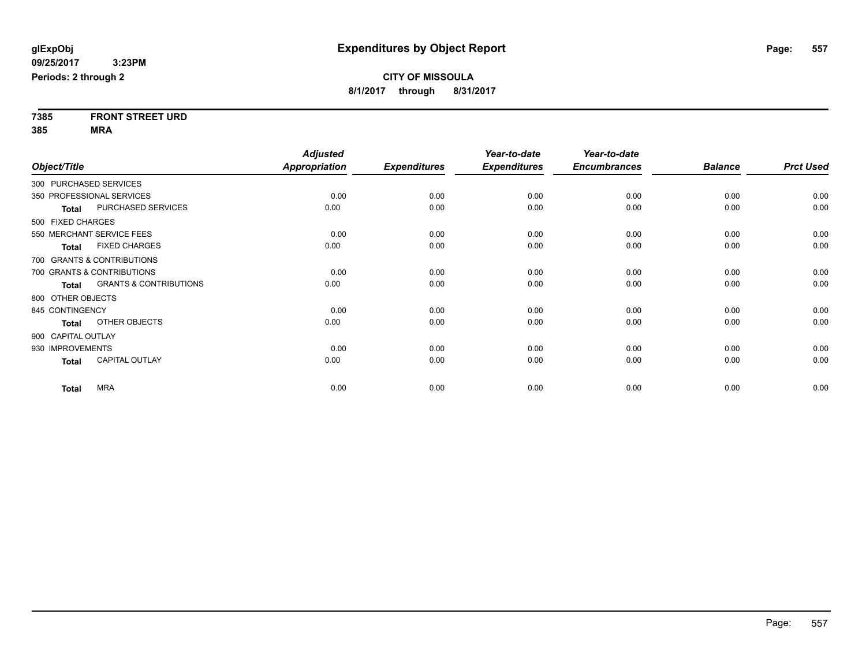| 7385    | <b>FRONT STREET URD</b> |
|---------|-------------------------|
| $- - -$ |                         |

**385 MRA**

|                                   | <b>Adjusted</b> |                     | Year-to-date        | Year-to-date        |                |                  |
|-----------------------------------|-----------------|---------------------|---------------------|---------------------|----------------|------------------|
|                                   | Appropriation   | <b>Expenditures</b> | <b>Expenditures</b> | <b>Encumbrances</b> | <b>Balance</b> | <b>Prct Used</b> |
| 300 PURCHASED SERVICES            |                 |                     |                     |                     |                |                  |
| 350 PROFESSIONAL SERVICES         | 0.00            | 0.00                | 0.00                | 0.00                | 0.00           | 0.00             |
| PURCHASED SERVICES                | 0.00            | 0.00                | 0.00                | 0.00                | 0.00           | 0.00             |
| 500 FIXED CHARGES                 |                 |                     |                     |                     |                |                  |
| 550 MERCHANT SERVICE FEES         | 0.00            | 0.00                | 0.00                | 0.00                | 0.00           | 0.00             |
| <b>FIXED CHARGES</b>              | 0.00            | 0.00                | 0.00                | 0.00                | 0.00           | 0.00             |
| 700 GRANTS & CONTRIBUTIONS        |                 |                     |                     |                     |                |                  |
| 700 GRANTS & CONTRIBUTIONS        | 0.00            | 0.00                | 0.00                | 0.00                | 0.00           | 0.00             |
| <b>GRANTS &amp; CONTRIBUTIONS</b> | 0.00            | 0.00                | 0.00                | 0.00                | 0.00           | 0.00             |
| 800 OTHER OBJECTS                 |                 |                     |                     |                     |                |                  |
| 845 CONTINGENCY                   | 0.00            | 0.00                | 0.00                | 0.00                | 0.00           | 0.00             |
| OTHER OBJECTS                     | 0.00            | 0.00                | 0.00                | 0.00                | 0.00           | 0.00             |
| 900 CAPITAL OUTLAY                |                 |                     |                     |                     |                |                  |
| 930 IMPROVEMENTS                  | 0.00            | 0.00                | 0.00                | 0.00                | 0.00           | 0.00             |
| <b>CAPITAL OUTLAY</b>             | 0.00            | 0.00                | 0.00                | 0.00                | 0.00           | 0.00             |
|                                   |                 |                     |                     |                     |                | 0.00             |
|                                   | <b>MRA</b>      | 0.00                | 0.00                | 0.00                | 0.00           | 0.00             |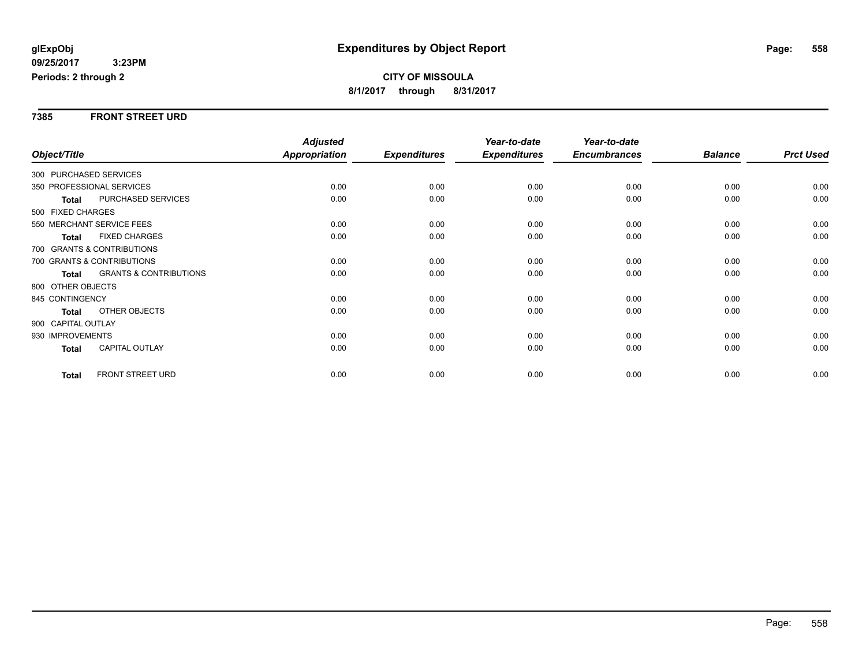### **7385 FRONT STREET URD**

|                           |                                   | <b>Adjusted</b> |                     | Year-to-date        | Year-to-date        |                |                  |
|---------------------------|-----------------------------------|-----------------|---------------------|---------------------|---------------------|----------------|------------------|
| Object/Title              |                                   | Appropriation   | <b>Expenditures</b> | <b>Expenditures</b> | <b>Encumbrances</b> | <b>Balance</b> | <b>Prct Used</b> |
| 300 PURCHASED SERVICES    |                                   |                 |                     |                     |                     |                |                  |
| 350 PROFESSIONAL SERVICES |                                   | 0.00            | 0.00                | 0.00                | 0.00                | 0.00           | 0.00             |
| <b>Total</b>              | PURCHASED SERVICES                | 0.00            | 0.00                | 0.00                | 0.00                | 0.00           | 0.00             |
| 500 FIXED CHARGES         |                                   |                 |                     |                     |                     |                |                  |
| 550 MERCHANT SERVICE FEES |                                   | 0.00            | 0.00                | 0.00                | 0.00                | 0.00           | 0.00             |
| <b>Total</b>              | <b>FIXED CHARGES</b>              | 0.00            | 0.00                | 0.00                | 0.00                | 0.00           | 0.00             |
|                           | 700 GRANTS & CONTRIBUTIONS        |                 |                     |                     |                     |                |                  |
|                           | 700 GRANTS & CONTRIBUTIONS        | 0.00            | 0.00                | 0.00                | 0.00                | 0.00           | 0.00             |
| <b>Total</b>              | <b>GRANTS &amp; CONTRIBUTIONS</b> | 0.00            | 0.00                | 0.00                | 0.00                | 0.00           | 0.00             |
| 800 OTHER OBJECTS         |                                   |                 |                     |                     |                     |                |                  |
| 845 CONTINGENCY           |                                   | 0.00            | 0.00                | 0.00                | 0.00                | 0.00           | 0.00             |
| <b>Total</b>              | <b>OTHER OBJECTS</b>              | 0.00            | 0.00                | 0.00                | 0.00                | 0.00           | 0.00             |
| 900 CAPITAL OUTLAY        |                                   |                 |                     |                     |                     |                |                  |
| 930 IMPROVEMENTS          |                                   | 0.00            | 0.00                | 0.00                | 0.00                | 0.00           | 0.00             |
| <b>Total</b>              | <b>CAPITAL OUTLAY</b>             | 0.00            | 0.00                | 0.00                | 0.00                | 0.00           | 0.00             |
|                           |                                   |                 |                     |                     |                     |                |                  |
| <b>Total</b>              | <b>FRONT STREET URD</b>           | 0.00            | 0.00                | 0.00                | 0.00                | 0.00           | 0.00             |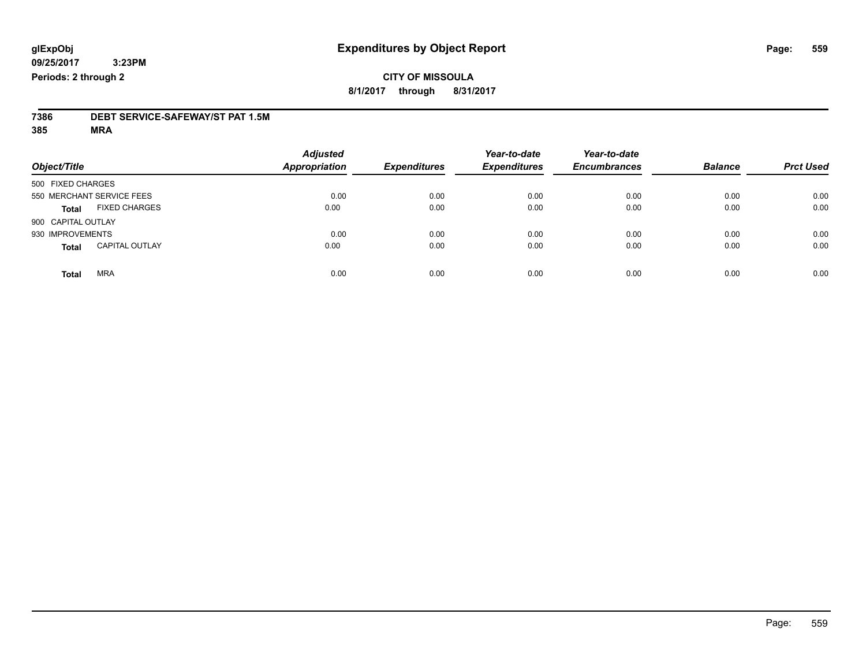### **CITY OF MISSOULA 8/1/2017 through 8/31/2017**

# **7386 DEBT SERVICE-SAFEWAY/ST PAT 1.5M**

**385 MRA**

| Object/Title       |                           | <b>Adjusted</b><br><b>Appropriation</b> | <b>Expenditures</b> | Year-to-date<br><b>Expenditures</b> | Year-to-date<br><b>Encumbrances</b> | <b>Balance</b> | <b>Prct Used</b> |
|--------------------|---------------------------|-----------------------------------------|---------------------|-------------------------------------|-------------------------------------|----------------|------------------|
| 500 FIXED CHARGES  |                           |                                         |                     |                                     |                                     |                |                  |
|                    | 550 MERCHANT SERVICE FEES | 0.00                                    | 0.00                | 0.00                                | 0.00                                | 0.00           | 0.00             |
| <b>Total</b>       | <b>FIXED CHARGES</b>      | 0.00                                    | 0.00                | 0.00                                | 0.00                                | 0.00           | 0.00             |
| 900 CAPITAL OUTLAY |                           |                                         |                     |                                     |                                     |                |                  |
| 930 IMPROVEMENTS   |                           | 0.00                                    | 0.00                | 0.00                                | 0.00                                | 0.00           | 0.00             |
| <b>Total</b>       | <b>CAPITAL OUTLAY</b>     | 0.00                                    | 0.00                | 0.00                                | 0.00                                | 0.00           | 0.00             |
| <b>Total</b>       | <b>MRA</b>                | 0.00                                    | 0.00                | 0.00                                | 0.00                                | 0.00           | 0.00             |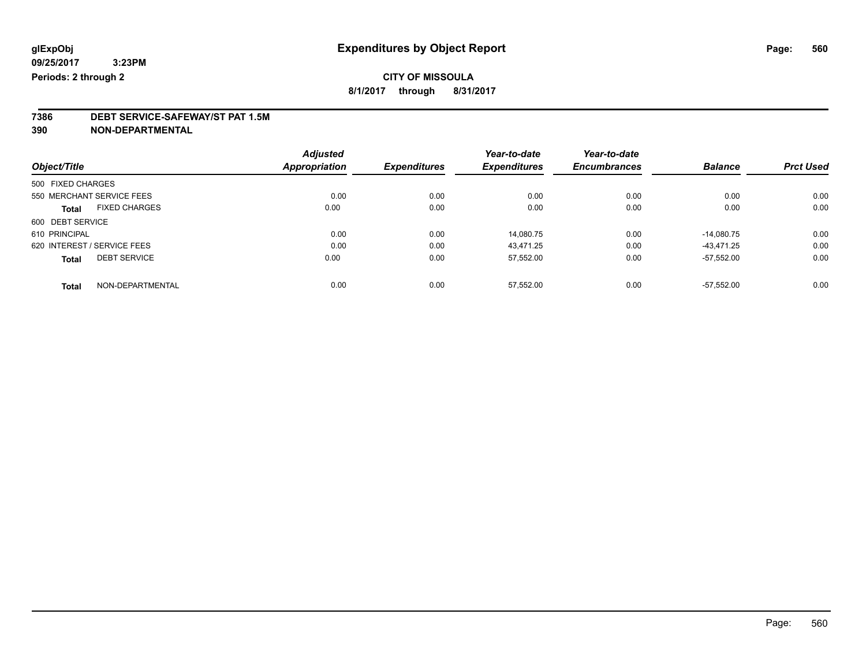### **CITY OF MISSOULA**

**8/1/2017 through 8/31/2017**

## **7386 DEBT SERVICE-SAFEWAY/ST PAT 1.5M**

**390 NON-DEPARTMENTAL**

|                                      | <b>Adjusted</b>      |                     | Year-to-date        | Year-to-date        |                |                  |
|--------------------------------------|----------------------|---------------------|---------------------|---------------------|----------------|------------------|
| Object/Title                         | <b>Appropriation</b> | <b>Expenditures</b> | <b>Expenditures</b> | <b>Encumbrances</b> | <b>Balance</b> | <b>Prct Used</b> |
| 500 FIXED CHARGES                    |                      |                     |                     |                     |                |                  |
| 550 MERCHANT SERVICE FEES            | 0.00                 | 0.00                | 0.00                | 0.00                | 0.00           | 0.00             |
| <b>FIXED CHARGES</b><br><b>Total</b> | 0.00                 | 0.00                | 0.00                | 0.00                | 0.00           | 0.00             |
| 600 DEBT SERVICE                     |                      |                     |                     |                     |                |                  |
| 610 PRINCIPAL                        | 0.00                 | 0.00                | 14.080.75           | 0.00                | $-14.080.75$   | 0.00             |
| 620 INTEREST / SERVICE FEES          | 0.00                 | 0.00                | 43.471.25           | 0.00                | -43.471.25     | 0.00             |
| <b>DEBT SERVICE</b><br><b>Total</b>  | 0.00                 | 0.00                | 57,552.00           | 0.00                | $-57.552.00$   | 0.00             |
| NON-DEPARTMENTAL<br><b>Total</b>     | 0.00                 | 0.00                | 57.552.00           | 0.00                | $-57.552.00$   | 0.00             |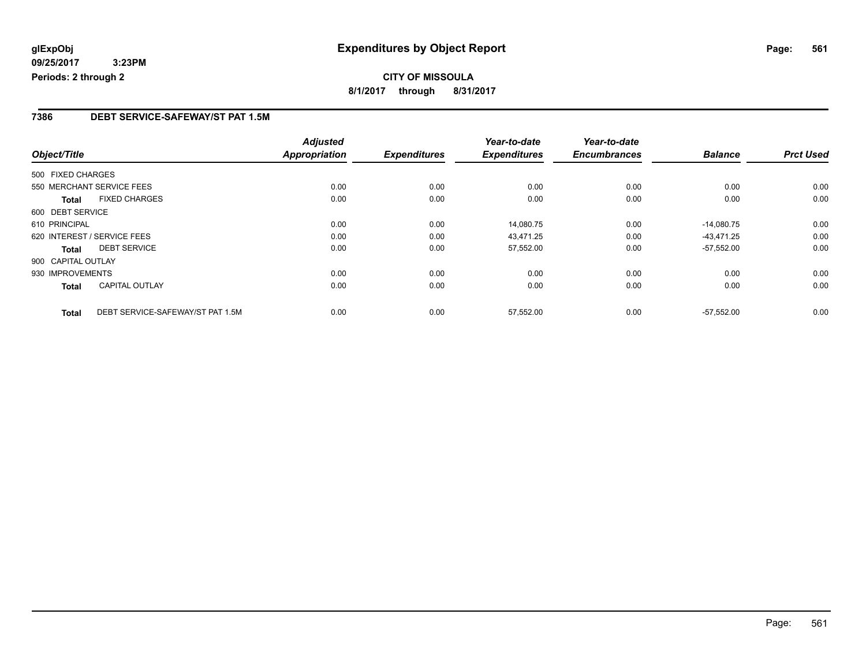### **7386 DEBT SERVICE-SAFEWAY/ST PAT 1.5M**

|                    |                                  | <b>Adjusted</b>      |                     | Year-to-date        | Year-to-date        |                |                  |
|--------------------|----------------------------------|----------------------|---------------------|---------------------|---------------------|----------------|------------------|
| Object/Title       |                                  | <b>Appropriation</b> | <b>Expenditures</b> | <b>Expenditures</b> | <b>Encumbrances</b> | <b>Balance</b> | <b>Prct Used</b> |
| 500 FIXED CHARGES  |                                  |                      |                     |                     |                     |                |                  |
|                    | 550 MERCHANT SERVICE FEES        | 0.00                 | 0.00                | 0.00                | 0.00                | 0.00           | 0.00             |
| <b>Total</b>       | <b>FIXED CHARGES</b>             | 0.00                 | 0.00                | 0.00                | 0.00                | 0.00           | 0.00             |
| 600 DEBT SERVICE   |                                  |                      |                     |                     |                     |                |                  |
| 610 PRINCIPAL      |                                  | 0.00                 | 0.00                | 14.080.75           | 0.00                | $-14.080.75$   | 0.00             |
|                    | 620 INTEREST / SERVICE FEES      | 0.00                 | 0.00                | 43,471.25           | 0.00                | $-43,471.25$   | 0.00             |
| Total              | <b>DEBT SERVICE</b>              | 0.00                 | 0.00                | 57,552.00           | 0.00                | $-57,552.00$   | 0.00             |
| 900 CAPITAL OUTLAY |                                  |                      |                     |                     |                     |                |                  |
| 930 IMPROVEMENTS   |                                  | 0.00                 | 0.00                | 0.00                | 0.00                | 0.00           | 0.00             |
| Total              | <b>CAPITAL OUTLAY</b>            | 0.00                 | 0.00                | 0.00                | 0.00                | 0.00           | 0.00             |
| <b>Total</b>       | DEBT SERVICE-SAFEWAY/ST PAT 1.5M | 0.00                 | 0.00                | 57.552.00           | 0.00                | $-57.552.00$   | 0.00             |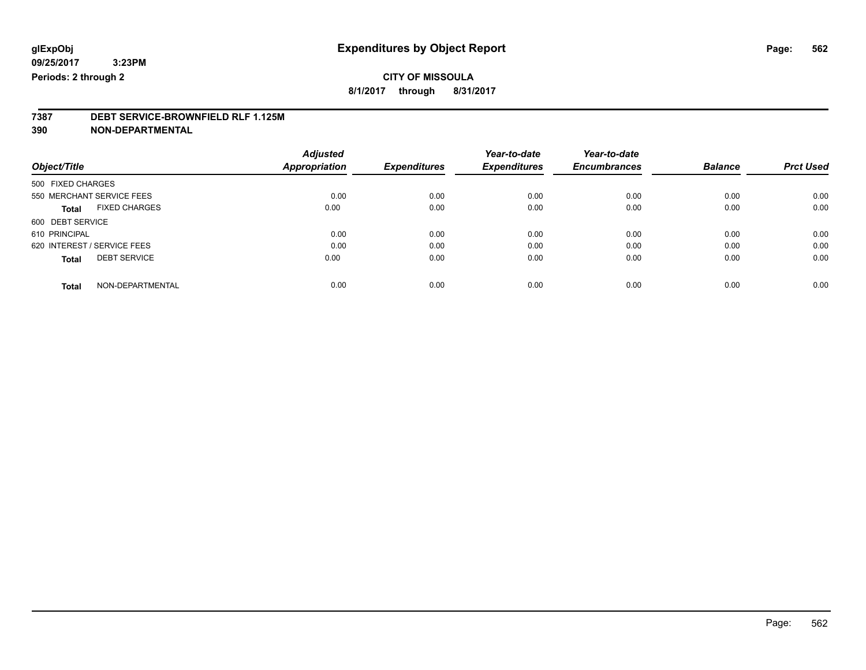### **CITY OF MISSOULA**

**8/1/2017 through 8/31/2017**

## **7387 DEBT SERVICE-BROWNFIELD RLF 1.125M**

**390 NON-DEPARTMENTAL**

|                                      | <b>Adjusted</b>      |                     | Year-to-date        | Year-to-date        |                |                  |
|--------------------------------------|----------------------|---------------------|---------------------|---------------------|----------------|------------------|
| Object/Title                         | <b>Appropriation</b> | <b>Expenditures</b> | <b>Expenditures</b> | <b>Encumbrances</b> | <b>Balance</b> | <b>Prct Used</b> |
| 500 FIXED CHARGES                    |                      |                     |                     |                     |                |                  |
| 550 MERCHANT SERVICE FEES            | 0.00                 | 0.00                | 0.00                | 0.00                | 0.00           | 0.00             |
| <b>FIXED CHARGES</b><br><b>Total</b> | 0.00                 | 0.00                | 0.00                | 0.00                | 0.00           | 0.00             |
| 600 DEBT SERVICE                     |                      |                     |                     |                     |                |                  |
| 610 PRINCIPAL                        | 0.00                 | 0.00                | 0.00                | 0.00                | 0.00           | 0.00             |
| 620 INTEREST / SERVICE FEES          | 0.00                 | 0.00                | 0.00                | 0.00                | 0.00           | 0.00             |
| <b>DEBT SERVICE</b><br><b>Total</b>  | 0.00                 | 0.00                | 0.00                | 0.00                | 0.00           | 0.00             |
| NON-DEPARTMENTAL<br><b>Total</b>     | 0.00                 | 0.00                | 0.00                | 0.00                | 0.00           | 0.00             |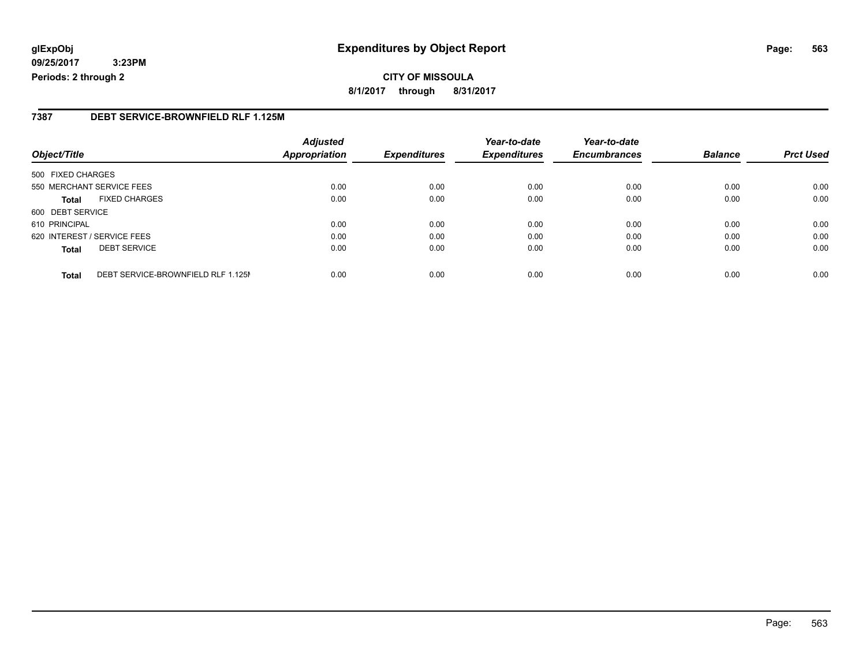### **glExpObj Expenditures by Object Report Page: 563**

**09/25/2017 3:23PM Periods: 2 through 2**

### **7387 DEBT SERVICE-BROWNFIELD RLF 1.125M**

| Object/Title                |                                    | <b>Adjusted</b><br><b>Appropriation</b> | <b>Expenditures</b> | Year-to-date<br><b>Expenditures</b> | Year-to-date<br><b>Encumbrances</b> | <b>Balance</b> | <b>Prct Used</b> |
|-----------------------------|------------------------------------|-----------------------------------------|---------------------|-------------------------------------|-------------------------------------|----------------|------------------|
|                             |                                    |                                         |                     |                                     |                                     |                |                  |
| 500 FIXED CHARGES           |                                    |                                         |                     |                                     |                                     |                |                  |
|                             | 550 MERCHANT SERVICE FEES          | 0.00                                    | 0.00                | 0.00                                | 0.00                                | 0.00           | 0.00             |
| <b>Total</b>                | <b>FIXED CHARGES</b>               | 0.00                                    | 0.00                | 0.00                                | 0.00                                | 0.00           | 0.00             |
| 600 DEBT SERVICE            |                                    |                                         |                     |                                     |                                     |                |                  |
| 610 PRINCIPAL               |                                    | 0.00                                    | 0.00                | 0.00                                | 0.00                                | 0.00           | 0.00             |
| 620 INTEREST / SERVICE FEES |                                    | 0.00                                    | 0.00                | 0.00                                | 0.00                                | 0.00           | 0.00             |
| <b>Total</b>                | <b>DEBT SERVICE</b>                | 0.00                                    | 0.00                | 0.00                                | 0.00                                | 0.00           | 0.00             |
| <b>Total</b>                | DEBT SERVICE-BROWNFIELD RLF 1.125M | 0.00                                    | 0.00                | 0.00                                | 0.00                                | 0.00           | 0.00             |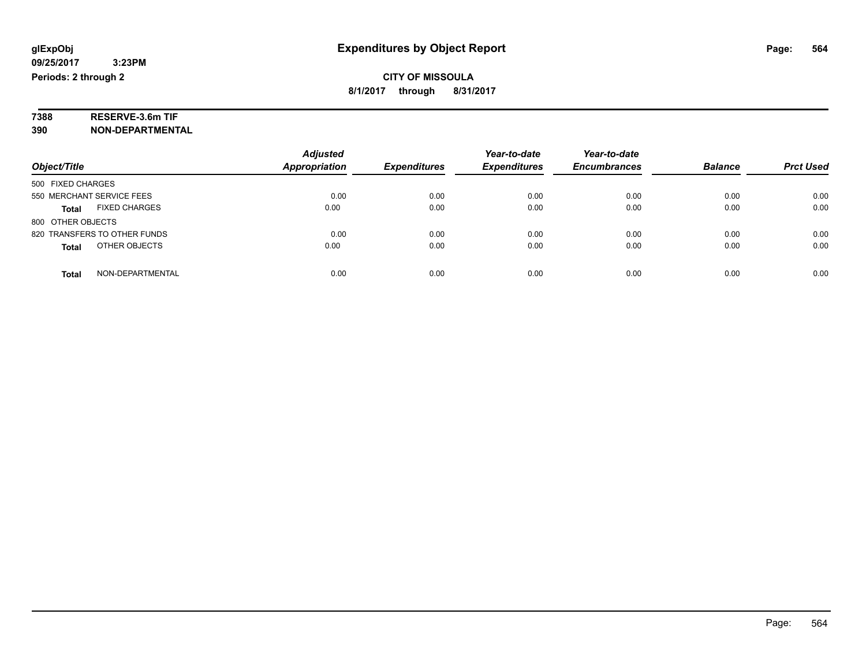# **7388 RESERVE-3.6m TIF**

**390 NON-DEPARTMENTAL**

|                                      | <b>Adjusted</b> |                     | Year-to-date        | Year-to-date        |                |                  |
|--------------------------------------|-----------------|---------------------|---------------------|---------------------|----------------|------------------|
| Object/Title                         | Appropriation   | <b>Expenditures</b> | <b>Expenditures</b> | <b>Encumbrances</b> | <b>Balance</b> | <b>Prct Used</b> |
| 500 FIXED CHARGES                    |                 |                     |                     |                     |                |                  |
| 550 MERCHANT SERVICE FEES            | 0.00            | 0.00                | 0.00                | 0.00                | 0.00           | 0.00             |
| <b>FIXED CHARGES</b><br><b>Total</b> | 0.00            | 0.00                | 0.00                | 0.00                | 0.00           | 0.00             |
| 800 OTHER OBJECTS                    |                 |                     |                     |                     |                |                  |
| 820 TRANSFERS TO OTHER FUNDS         | 0.00            | 0.00                | 0.00                | 0.00                | 0.00           | 0.00             |
| OTHER OBJECTS<br><b>Total</b>        | 0.00            | 0.00                | 0.00                | 0.00                | 0.00           | 0.00             |
| NON-DEPARTMENTAL<br><b>Total</b>     | 0.00            | 0.00                | 0.00                | 0.00                | 0.00           | 0.00             |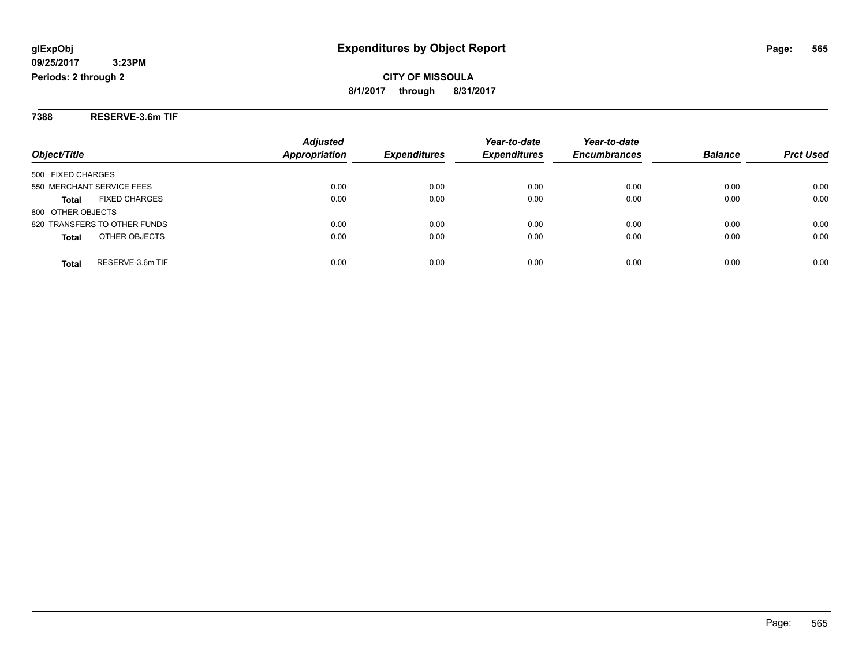**7388 RESERVE-3.6m TIF**

|                                      | <b>Adjusted</b> | <b>Expenditures</b> | Year-to-date<br><b>Expenditures</b> | Year-to-date<br><b>Encumbrances</b> | <b>Balance</b> |                  |
|--------------------------------------|-----------------|---------------------|-------------------------------------|-------------------------------------|----------------|------------------|
| Object/Title                         | Appropriation   |                     |                                     |                                     |                | <b>Prct Used</b> |
| 500 FIXED CHARGES                    |                 |                     |                                     |                                     |                |                  |
| 550 MERCHANT SERVICE FEES            | 0.00            | 0.00                | 0.00                                | 0.00                                | 0.00           | 0.00             |
| <b>FIXED CHARGES</b><br><b>Total</b> | 0.00            | 0.00                | 0.00                                | 0.00                                | 0.00           | 0.00             |
| 800 OTHER OBJECTS                    |                 |                     |                                     |                                     |                |                  |
| 820 TRANSFERS TO OTHER FUNDS         | 0.00            | 0.00                | 0.00                                | 0.00                                | 0.00           | 0.00             |
| OTHER OBJECTS<br><b>Total</b>        | 0.00            | 0.00                | 0.00                                | 0.00                                | 0.00           | 0.00             |
| RESERVE-3.6m TIF<br><b>Total</b>     | 0.00            | 0.00                | 0.00                                | 0.00                                | 0.00           | 0.00             |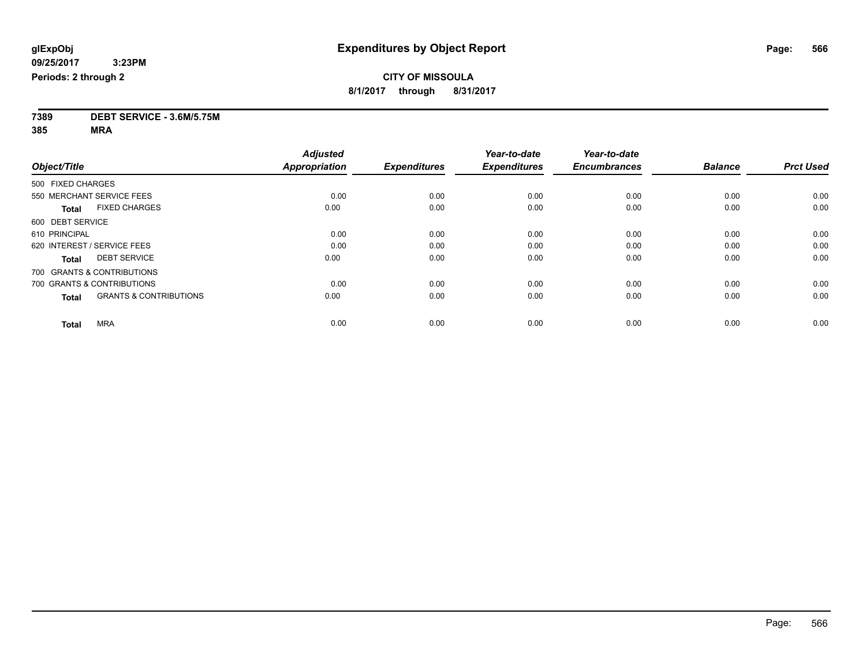**7389 DEBT SERVICE - 3.6M/5.75M**

**385 MRA**

|                                                   | <b>Adjusted</b>      |                     | Year-to-date        | Year-to-date        |                |                  |
|---------------------------------------------------|----------------------|---------------------|---------------------|---------------------|----------------|------------------|
| Object/Title                                      | <b>Appropriation</b> | <b>Expenditures</b> | <b>Expenditures</b> | <b>Encumbrances</b> | <b>Balance</b> | <b>Prct Used</b> |
| 500 FIXED CHARGES                                 |                      |                     |                     |                     |                |                  |
| 550 MERCHANT SERVICE FEES                         | 0.00                 | 0.00                | 0.00                | 0.00                | 0.00           | 0.00             |
| <b>FIXED CHARGES</b><br><b>Total</b>              | 0.00                 | 0.00                | 0.00                | 0.00                | 0.00           | 0.00             |
| 600 DEBT SERVICE                                  |                      |                     |                     |                     |                |                  |
| 610 PRINCIPAL                                     | 0.00                 | 0.00                | 0.00                | 0.00                | 0.00           | 0.00             |
| 620 INTEREST / SERVICE FEES                       | 0.00                 | 0.00                | 0.00                | 0.00                | 0.00           | 0.00             |
| <b>DEBT SERVICE</b><br><b>Total</b>               | 0.00                 | 0.00                | 0.00                | 0.00                | 0.00           | 0.00             |
| 700 GRANTS & CONTRIBUTIONS                        |                      |                     |                     |                     |                |                  |
| 700 GRANTS & CONTRIBUTIONS                        | 0.00                 | 0.00                | 0.00                | 0.00                | 0.00           | 0.00             |
| <b>GRANTS &amp; CONTRIBUTIONS</b><br><b>Total</b> | 0.00                 | 0.00                | 0.00                | 0.00                | 0.00           | 0.00             |
|                                                   |                      |                     |                     |                     |                |                  |
| <b>MRA</b><br><b>Total</b>                        | 0.00                 | 0.00                | 0.00                | 0.00                | 0.00           | 0.00             |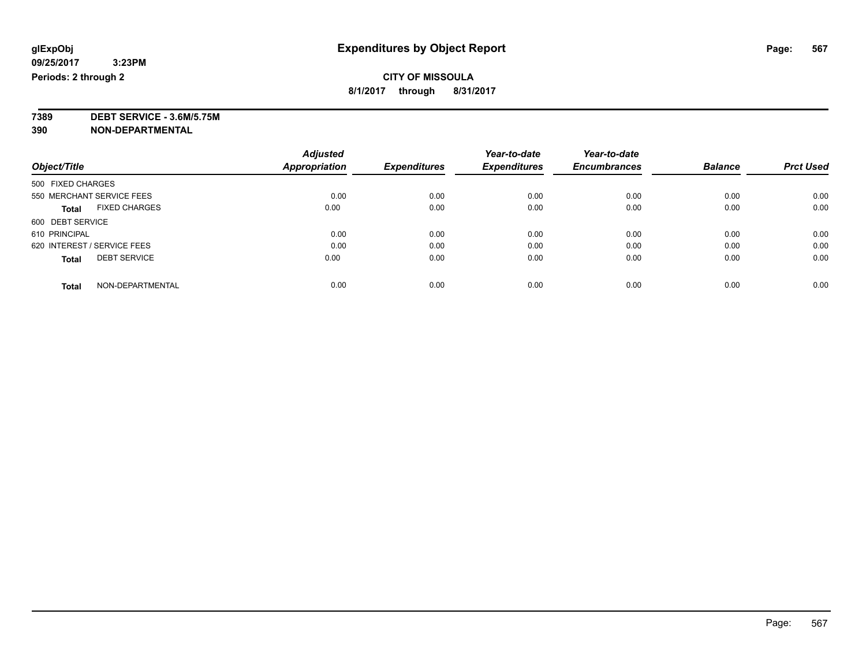## **CITY OF MISSOULA**

**8/1/2017 through 8/31/2017**

**7389 DEBT SERVICE - 3.6M/5.75M**

**390 NON-DEPARTMENTAL**

|                                      | <b>Adjusted</b>      |                     | Year-to-date        | Year-to-date        |                |                  |
|--------------------------------------|----------------------|---------------------|---------------------|---------------------|----------------|------------------|
| Object/Title                         | <b>Appropriation</b> | <b>Expenditures</b> | <b>Expenditures</b> | <b>Encumbrances</b> | <b>Balance</b> | <b>Prct Used</b> |
| 500 FIXED CHARGES                    |                      |                     |                     |                     |                |                  |
| 550 MERCHANT SERVICE FEES            | 0.00                 | 0.00                | 0.00                | 0.00                | 0.00           | 0.00             |
| <b>FIXED CHARGES</b><br><b>Total</b> | 0.00                 | 0.00                | 0.00                | 0.00                | 0.00           | 0.00             |
| 600 DEBT SERVICE                     |                      |                     |                     |                     |                |                  |
| 610 PRINCIPAL                        | 0.00                 | 0.00                | 0.00                | 0.00                | 0.00           | 0.00             |
| 620 INTEREST / SERVICE FEES          | 0.00                 | 0.00                | 0.00                | 0.00                | 0.00           | 0.00             |
| <b>DEBT SERVICE</b><br><b>Total</b>  | 0.00                 | 0.00                | 0.00                | 0.00                | 0.00           | 0.00             |
| NON-DEPARTMENTAL<br><b>Total</b>     | 0.00                 | 0.00                | 0.00                | 0.00                | 0.00           | 0.00             |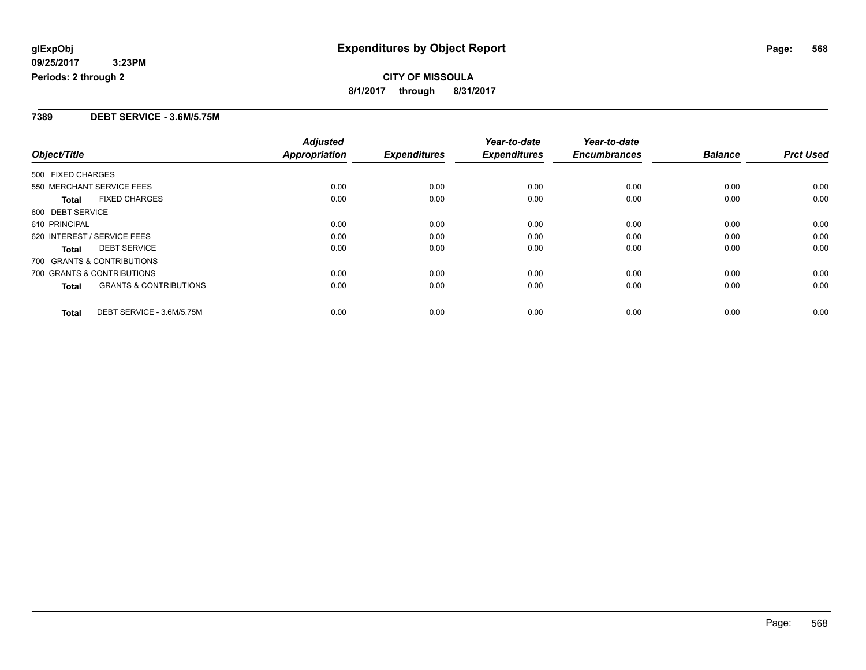### **7389 DEBT SERVICE - 3.6M/5.75M**

|                                                   | <b>Adjusted</b>      |                     | Year-to-date        | Year-to-date        |                |                  |
|---------------------------------------------------|----------------------|---------------------|---------------------|---------------------|----------------|------------------|
| Object/Title                                      | <b>Appropriation</b> | <b>Expenditures</b> | <b>Expenditures</b> | <b>Encumbrances</b> | <b>Balance</b> | <b>Prct Used</b> |
| 500 FIXED CHARGES                                 |                      |                     |                     |                     |                |                  |
| 550 MERCHANT SERVICE FEES                         | 0.00                 | 0.00                | 0.00                | 0.00                | 0.00           | 0.00             |
| <b>FIXED CHARGES</b><br><b>Total</b>              | 0.00                 | 0.00                | 0.00                | 0.00                | 0.00           | 0.00             |
| 600 DEBT SERVICE                                  |                      |                     |                     |                     |                |                  |
| 610 PRINCIPAL                                     | 0.00                 | 0.00                | 0.00                | 0.00                | 0.00           | 0.00             |
| 620 INTEREST / SERVICE FEES                       | 0.00                 | 0.00                | 0.00                | 0.00                | 0.00           | 0.00             |
| <b>DEBT SERVICE</b><br><b>Total</b>               | 0.00                 | 0.00                | 0.00                | 0.00                | 0.00           | 0.00             |
| 700 GRANTS & CONTRIBUTIONS                        |                      |                     |                     |                     |                |                  |
| 700 GRANTS & CONTRIBUTIONS                        | 0.00                 | 0.00                | 0.00                | 0.00                | 0.00           | 0.00             |
| <b>GRANTS &amp; CONTRIBUTIONS</b><br><b>Total</b> | 0.00                 | 0.00                | 0.00                | 0.00                | 0.00           | 0.00             |
| DEBT SERVICE - 3.6M/5.75M<br><b>Total</b>         | 0.00                 | 0.00                | 0.00                | 0.00                | 0.00           | 0.00             |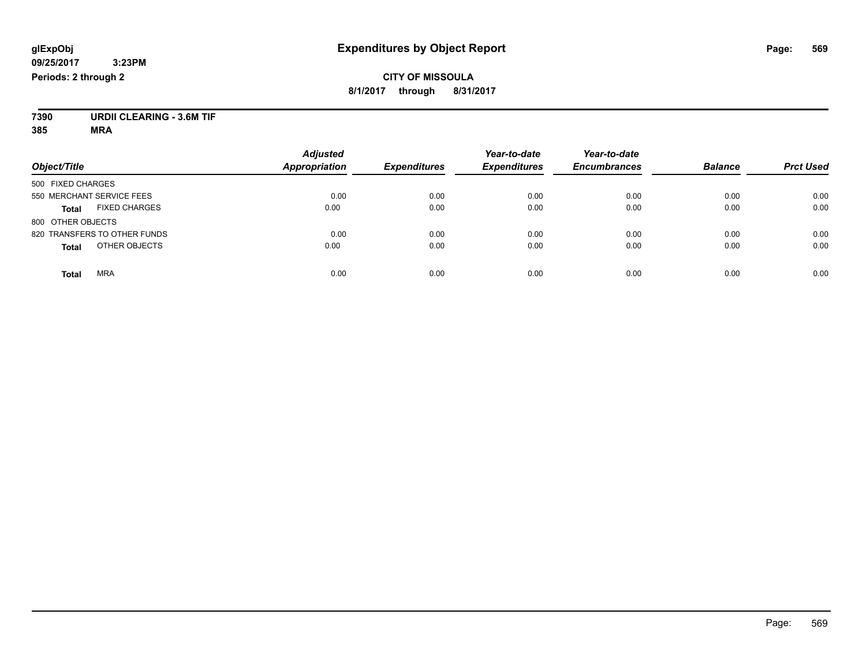### **CITY OF MISSOULA 8/1/2017 through 8/31/2017**

**7390 URDII CLEARING - 3.6M TIF**

**385 MRA**

|                                      | <b>Adjusted</b>      |                     | Year-to-date        | Year-to-date        |                |                  |
|--------------------------------------|----------------------|---------------------|---------------------|---------------------|----------------|------------------|
| Object/Title                         | <b>Appropriation</b> | <b>Expenditures</b> | <b>Expenditures</b> | <b>Encumbrances</b> | <b>Balance</b> | <b>Prct Used</b> |
| 500 FIXED CHARGES                    |                      |                     |                     |                     |                |                  |
| 550 MERCHANT SERVICE FEES            | 0.00                 | 0.00                | 0.00                | 0.00                | 0.00           | 0.00             |
| <b>FIXED CHARGES</b><br><b>Total</b> | 0.00                 | 0.00                | 0.00                | 0.00                | 0.00           | 0.00             |
| 800 OTHER OBJECTS                    |                      |                     |                     |                     |                |                  |
| 820 TRANSFERS TO OTHER FUNDS         | 0.00                 | 0.00                | 0.00                | 0.00                | 0.00           | 0.00             |
| OTHER OBJECTS<br><b>Total</b>        | 0.00                 | 0.00                | 0.00                | 0.00                | 0.00           | 0.00             |
| <b>MRA</b><br><b>Total</b>           | 0.00                 | 0.00                | 0.00                | 0.00                | 0.00           | 0.00             |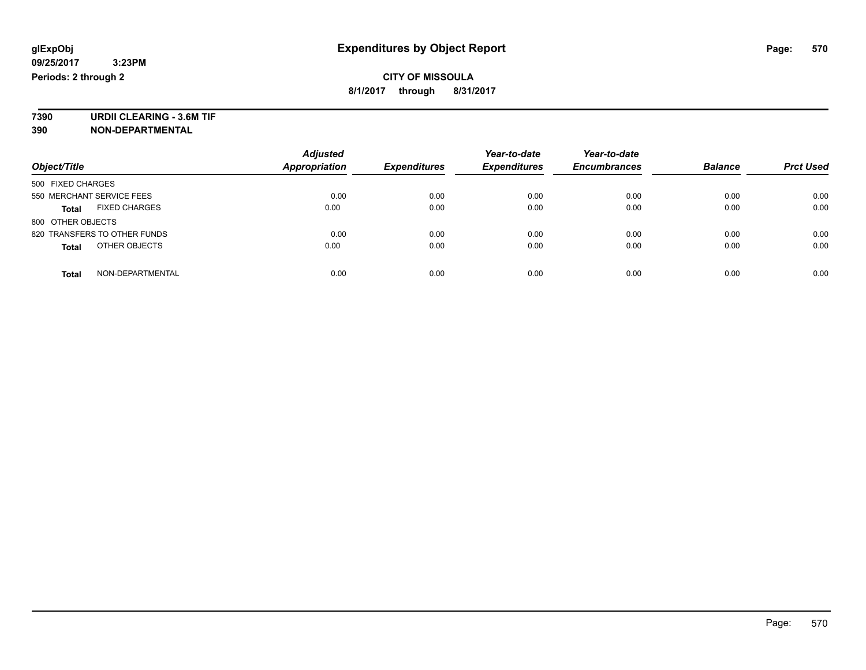**7390 URDII CLEARING - 3.6M TIF 390 NON-DEPARTMENTAL**

*Object/Title Adjusted Appropriation Expenditures Year-to-date Expenditures Year-to-date Encumbrances Balance Prct Used* 500 FIXED CHARGES 550 MERCHANT SERVICE FEES 0.00 0.00 0.00 0.00 0.00 0.00 **Total** FIXED CHARGES 0.00 0.00 0.00 0.00 0.00 0.00 800 OTHER OBJECTS 820 TRANSFERS TO OTHER FUNDS 0.00 0.00 0.00 0.00 0.00 0.00 **Total** OTHER OBJECTS 0.00 0.00 0.00 0.00 0.00 0.00 **Total** NON-DEPARTMENTAL 0.00 0.00 0.00 0.00 0.00 0.00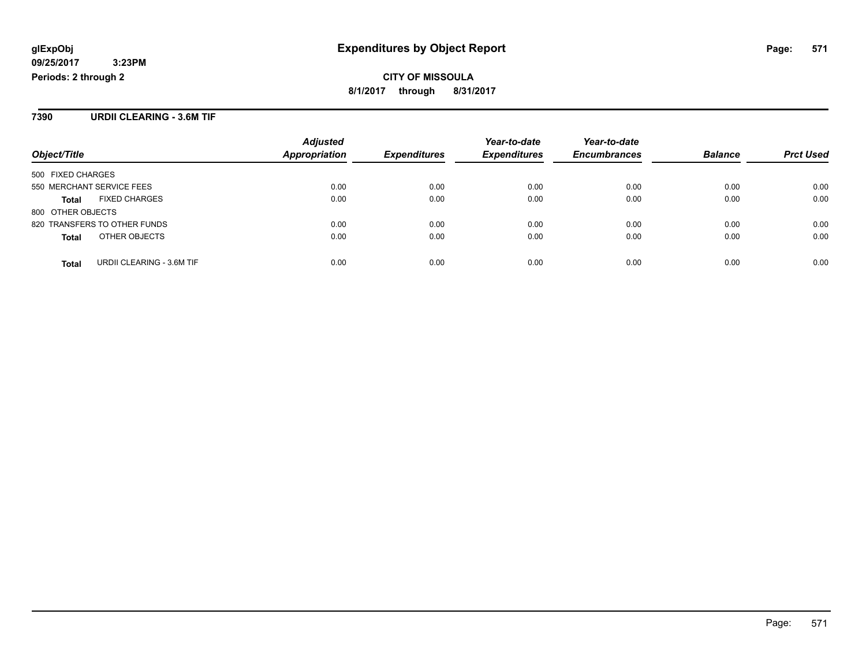### **7390 URDII CLEARING - 3.6M TIF**

|                                           | <b>Adjusted</b> |                     | Year-to-date        | Year-to-date        |                |                  |
|-------------------------------------------|-----------------|---------------------|---------------------|---------------------|----------------|------------------|
| Object/Title                              | Appropriation   | <b>Expenditures</b> | <b>Expenditures</b> | <b>Encumbrances</b> | <b>Balance</b> | <b>Prct Used</b> |
| 500 FIXED CHARGES                         |                 |                     |                     |                     |                |                  |
| 550 MERCHANT SERVICE FEES                 | 0.00            | 0.00                | 0.00                | 0.00                | 0.00           | 0.00             |
| <b>FIXED CHARGES</b><br><b>Total</b>      | 0.00            | 0.00                | 0.00                | 0.00                | 0.00           | 0.00             |
| 800 OTHER OBJECTS                         |                 |                     |                     |                     |                |                  |
| 820 TRANSFERS TO OTHER FUNDS              | 0.00            | 0.00                | 0.00                | 0.00                | 0.00           | 0.00             |
| OTHER OBJECTS<br><b>Total</b>             | 0.00            | 0.00                | 0.00                | 0.00                | 0.00           | 0.00             |
| URDII CLEARING - 3.6M TIF<br><b>Total</b> | 0.00            | 0.00                | 0.00                | 0.00                | 0.00           | 0.00             |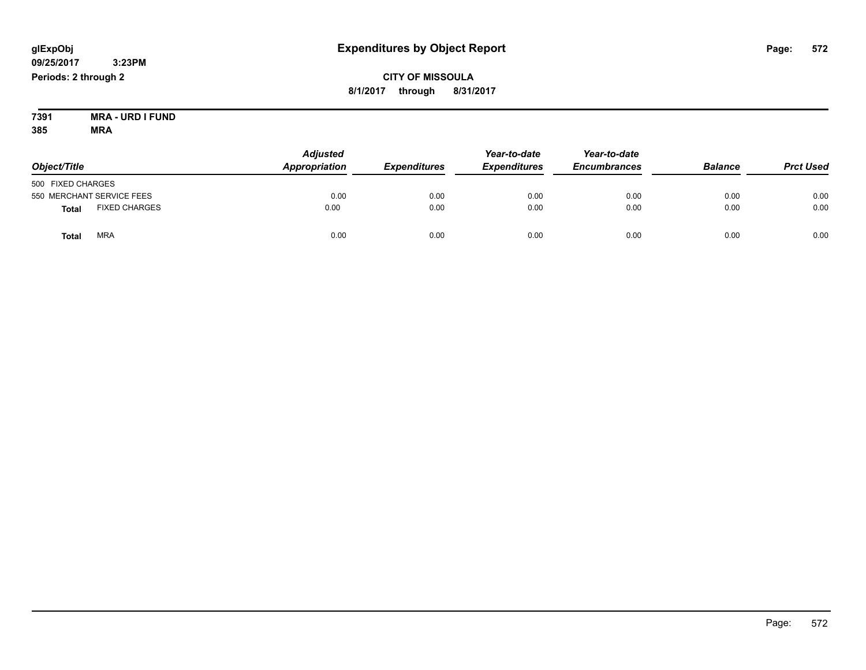### **CITY OF MISSOULA 8/1/2017 through 8/31/2017**

**7391 MRA - URD I FUND 385 MRA**

| Object/Title      |                           | <b>Adjusted</b><br>Appropriation | <b>Expenditures</b> | Year-to-date<br><b>Expenditures</b> | Year-to-date<br><b>Encumbrances</b> | <b>Balance</b> | <b>Prct Used</b> |
|-------------------|---------------------------|----------------------------------|---------------------|-------------------------------------|-------------------------------------|----------------|------------------|
| 500 FIXED CHARGES |                           |                                  |                     |                                     |                                     |                |                  |
|                   | 550 MERCHANT SERVICE FEES | 0.00                             | 0.00                | 0.00                                | 0.00                                | 0.00           | 0.00             |
| <b>Total</b>      | <b>FIXED CHARGES</b>      | 0.00                             | 0.00                | 0.00                                | 0.00                                | 0.00           | 0.00             |
| Total             | <b>MRA</b>                | 0.00                             | 0.00                | 0.00                                | 0.00                                | 0.00           | 0.00             |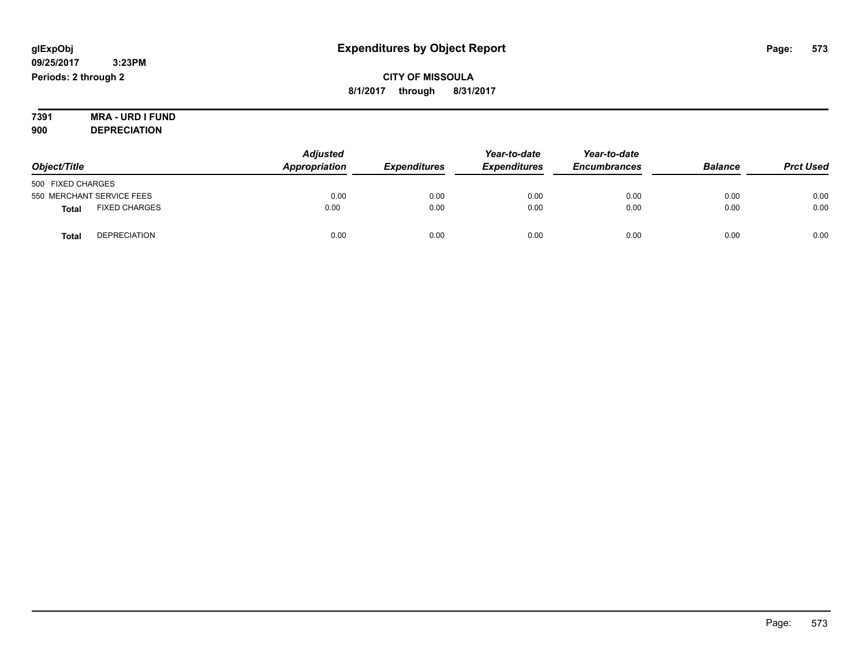### **CITY OF MISSOULA 8/1/2017 through 8/31/2017**

### **7391 MRA - URD I FUND 900 DEPRECIATION**

|                                      | <b>Adjusted</b> |                     | Year-to-date        | Year-to-date        |                |                  |
|--------------------------------------|-----------------|---------------------|---------------------|---------------------|----------------|------------------|
| Object/Title                         | Appropriation   | <b>Expenditures</b> | <b>Expenditures</b> | <b>Encumbrances</b> | <b>Balance</b> | <b>Prct Used</b> |
| 500 FIXED CHARGES                    |                 |                     |                     |                     |                |                  |
| 550 MERCHANT SERVICE FEES            | 0.00            | 0.00                | 0.00                | 0.00                | 0.00           | 0.00             |
| <b>FIXED CHARGES</b><br><b>Total</b> | 0.00            | 0.00                | 0.00                | 0.00                | 0.00           | 0.00             |
| <b>DEPRECIATION</b><br><b>Total</b>  | 0.00            | 0.00                | 0.00                | 0.00                | 0.00           | 0.00             |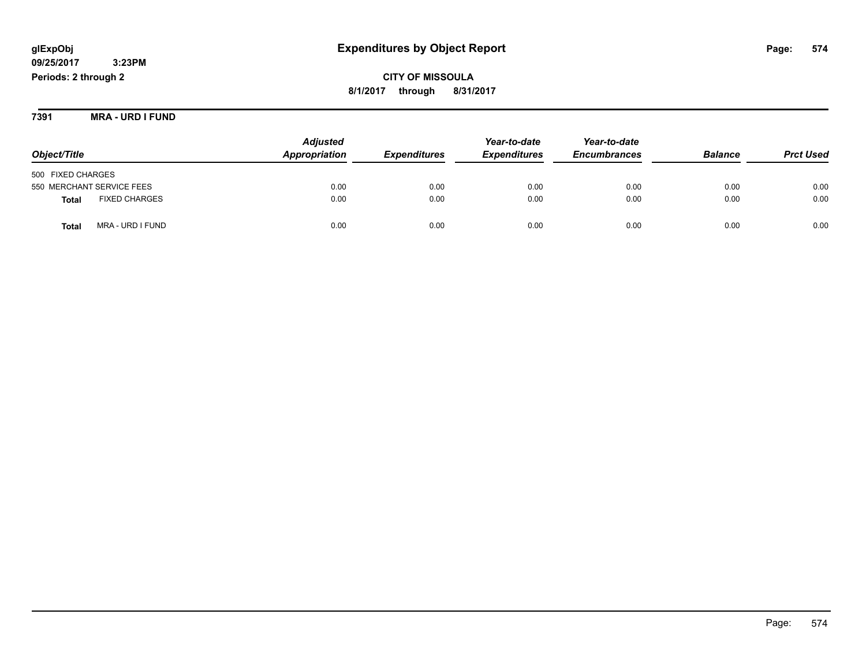**CITY OF MISSOULA 8/1/2017 through 8/31/2017**

**7391 MRA - URD I FUND**

|                                      | <b>Adjusted</b> | Year-to-date               |                     | Year-to-date        |                |                  |
|--------------------------------------|-----------------|----------------------------|---------------------|---------------------|----------------|------------------|
| Object/Title                         | Appropriation   | <i><b>Expenditures</b></i> | <b>Expenditures</b> | <b>Encumbrances</b> | <b>Balance</b> | <b>Prct Used</b> |
| 500 FIXED CHARGES                    |                 |                            |                     |                     |                |                  |
| 550 MERCHANT SERVICE FEES            | 0.00            | 0.00                       | 0.00                | 0.00                | 0.00           | 0.00             |
| <b>FIXED CHARGES</b><br><b>Total</b> | 0.00            | 0.00                       | 0.00                | 0.00                | 0.00           | 0.00             |
| MRA - URD I FUND<br>Total            | 0.00            | 0.00                       | 0.00                | 0.00                | 0.00           | 0.00             |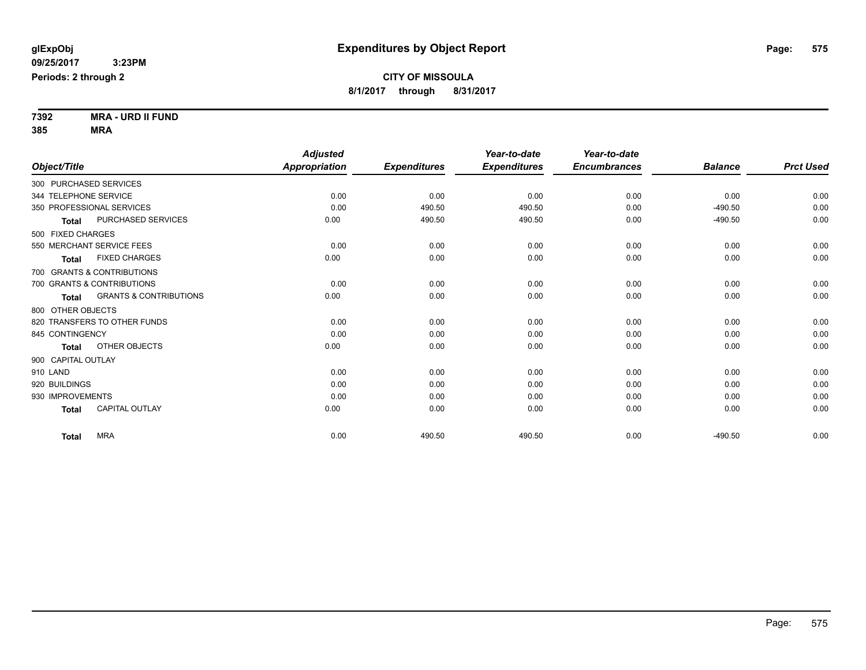**7392 MRA - URD II FUND 385 MRA**

| Object/Title              |                                   | <b>Adjusted</b><br>Appropriation | <b>Expenditures</b> | Year-to-date<br><b>Expenditures</b> | Year-to-date<br><b>Encumbrances</b> | <b>Balance</b> | <b>Prct Used</b> |
|---------------------------|-----------------------------------|----------------------------------|---------------------|-------------------------------------|-------------------------------------|----------------|------------------|
|                           |                                   |                                  |                     |                                     |                                     |                |                  |
| 300 PURCHASED SERVICES    |                                   |                                  |                     |                                     |                                     |                |                  |
| 344 TELEPHONE SERVICE     |                                   | 0.00                             | 0.00                | 0.00                                | 0.00                                | 0.00           | 0.00             |
| 350 PROFESSIONAL SERVICES |                                   | 0.00                             | 490.50              | 490.50                              | 0.00                                | $-490.50$      | 0.00             |
| <b>Total</b>              | PURCHASED SERVICES                | 0.00                             | 490.50              | 490.50                              | 0.00                                | $-490.50$      | 0.00             |
| 500 FIXED CHARGES         |                                   |                                  |                     |                                     |                                     |                |                  |
| 550 MERCHANT SERVICE FEES |                                   | 0.00                             | 0.00                | 0.00                                | 0.00                                | 0.00           | 0.00             |
| <b>Total</b>              | <b>FIXED CHARGES</b>              | 0.00                             | 0.00                | 0.00                                | 0.00                                | 0.00           | 0.00             |
|                           | 700 GRANTS & CONTRIBUTIONS        |                                  |                     |                                     |                                     |                |                  |
|                           | 700 GRANTS & CONTRIBUTIONS        | 0.00                             | 0.00                | 0.00                                | 0.00                                | 0.00           | 0.00             |
| <b>Total</b>              | <b>GRANTS &amp; CONTRIBUTIONS</b> | 0.00                             | 0.00                | 0.00                                | 0.00                                | 0.00           | 0.00             |
| 800 OTHER OBJECTS         |                                   |                                  |                     |                                     |                                     |                |                  |
|                           | 820 TRANSFERS TO OTHER FUNDS      | 0.00                             | 0.00                | 0.00                                | 0.00                                | 0.00           | 0.00             |
| 845 CONTINGENCY           |                                   | 0.00                             | 0.00                | 0.00                                | 0.00                                | 0.00           | 0.00             |
| <b>Total</b>              | OTHER OBJECTS                     | 0.00                             | 0.00                | 0.00                                | 0.00                                | 0.00           | 0.00             |
| 900 CAPITAL OUTLAY        |                                   |                                  |                     |                                     |                                     |                |                  |
| 910 LAND                  |                                   | 0.00                             | 0.00                | 0.00                                | 0.00                                | 0.00           | 0.00             |
| 920 BUILDINGS             |                                   | 0.00                             | 0.00                | 0.00                                | 0.00                                | 0.00           | 0.00             |
| 930 IMPROVEMENTS          |                                   | 0.00                             | 0.00                | 0.00                                | 0.00                                | 0.00           | 0.00             |
| <b>Total</b>              | <b>CAPITAL OUTLAY</b>             | 0.00                             | 0.00                | 0.00                                | 0.00                                | 0.00           | 0.00             |
| Total                     | <b>MRA</b>                        | 0.00                             | 490.50              | 490.50                              | 0.00                                | $-490.50$      | 0.00             |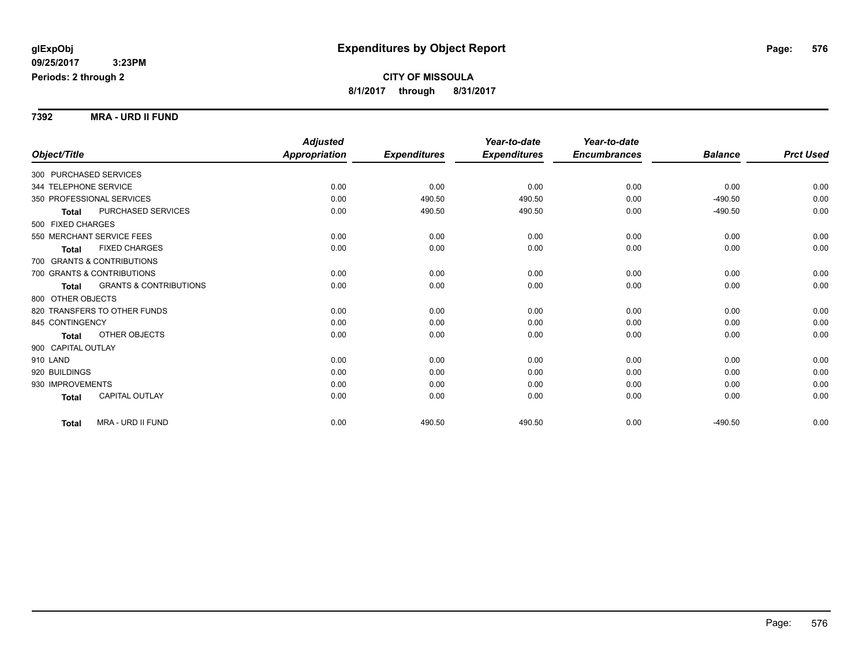**7392 MRA - URD II FUND**

|                                            | <b>Adjusted</b>      |                     | Year-to-date        | Year-to-date        |                |                  |
|--------------------------------------------|----------------------|---------------------|---------------------|---------------------|----------------|------------------|
| Object/Title                               | <b>Appropriation</b> | <b>Expenditures</b> | <b>Expenditures</b> | <b>Encumbrances</b> | <b>Balance</b> | <b>Prct Used</b> |
| 300 PURCHASED SERVICES                     |                      |                     |                     |                     |                |                  |
| 344 TELEPHONE SERVICE                      | 0.00                 | 0.00                | 0.00                | 0.00                | 0.00           | 0.00             |
| 350 PROFESSIONAL SERVICES                  | 0.00                 | 490.50              | 490.50              | 0.00                | $-490.50$      | 0.00             |
| PURCHASED SERVICES<br><b>Total</b>         | 0.00                 | 490.50              | 490.50              | 0.00                | $-490.50$      | 0.00             |
| 500 FIXED CHARGES                          |                      |                     |                     |                     |                |                  |
| 550 MERCHANT SERVICE FEES                  | 0.00                 | 0.00                | 0.00                | 0.00                | 0.00           | 0.00             |
| <b>FIXED CHARGES</b><br>Total              | 0.00                 | 0.00                | 0.00                | 0.00                | 0.00           | 0.00             |
| 700 GRANTS & CONTRIBUTIONS                 |                      |                     |                     |                     |                |                  |
| 700 GRANTS & CONTRIBUTIONS                 | 0.00                 | 0.00                | 0.00                | 0.00                | 0.00           | 0.00             |
| <b>GRANTS &amp; CONTRIBUTIONS</b><br>Total | 0.00                 | 0.00                | 0.00                | 0.00                | 0.00           | 0.00             |
| 800 OTHER OBJECTS                          |                      |                     |                     |                     |                |                  |
| 820 TRANSFERS TO OTHER FUNDS               | 0.00                 | 0.00                | 0.00                | 0.00                | 0.00           | 0.00             |
| 845 CONTINGENCY                            | 0.00                 | 0.00                | 0.00                | 0.00                | 0.00           | 0.00             |
| OTHER OBJECTS<br><b>Total</b>              | 0.00                 | 0.00                | 0.00                | 0.00                | 0.00           | 0.00             |
| 900 CAPITAL OUTLAY                         |                      |                     |                     |                     |                |                  |
| 910 LAND                                   | 0.00                 | 0.00                | 0.00                | 0.00                | 0.00           | 0.00             |
| 920 BUILDINGS                              | 0.00                 | 0.00                | 0.00                | 0.00                | 0.00           | 0.00             |
| 930 IMPROVEMENTS                           | 0.00                 | 0.00                | 0.00                | 0.00                | 0.00           | 0.00             |
| <b>CAPITAL OUTLAY</b><br><b>Total</b>      | 0.00                 | 0.00                | 0.00                | 0.00                | 0.00           | 0.00             |
| MRA - URD II FUND<br><b>Total</b>          | 0.00                 | 490.50              | 490.50              | 0.00                | $-490.50$      | 0.00             |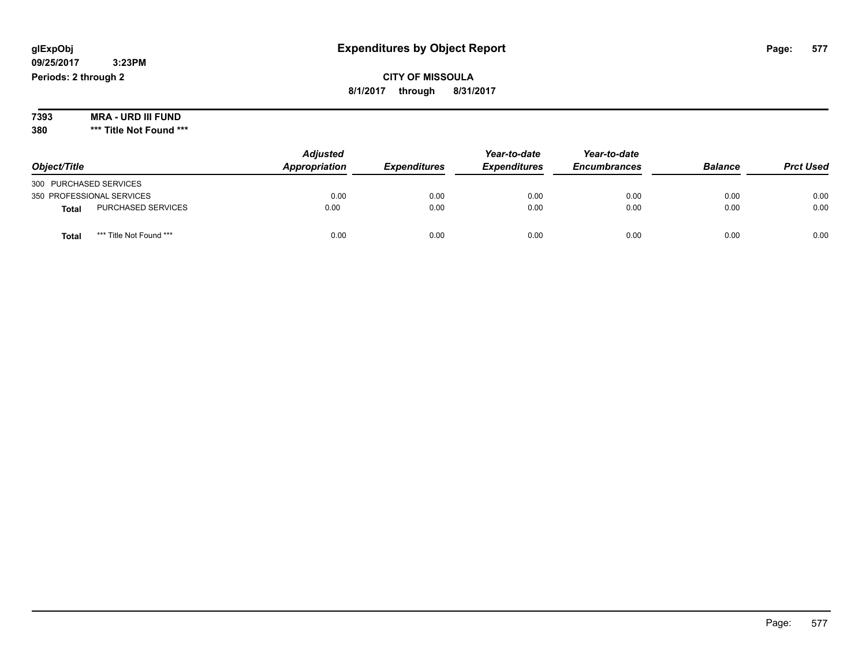**CITY OF MISSOULA 8/1/2017 through 8/31/2017**

**7393 MRA - URD III FUND**

**380 \*\*\* Title Not Found \*\*\***

| Object/Title           |                           | <b>Adjusted</b><br>Appropriation | <b>Expenditures</b> | Year-to-date<br><b>Expenditures</b> | Year-to-date<br><b>Encumbrances</b> | <b>Balance</b> | <b>Prct Used</b> |
|------------------------|---------------------------|----------------------------------|---------------------|-------------------------------------|-------------------------------------|----------------|------------------|
| 300 PURCHASED SERVICES |                           |                                  |                     |                                     |                                     |                |                  |
|                        | 350 PROFESSIONAL SERVICES | 0.00                             | 0.00                | 0.00                                | 0.00                                | 0.00           | 0.00             |
| <b>Total</b>           | PURCHASED SERVICES        | 0.00                             | 0.00                | 0.00                                | 0.00                                | 0.00           | 0.00             |
| <b>Total</b>           | *** Title Not Found ***   | 0.00                             | 0.00                | 0.00                                | 0.00                                | 0.00           | 0.00             |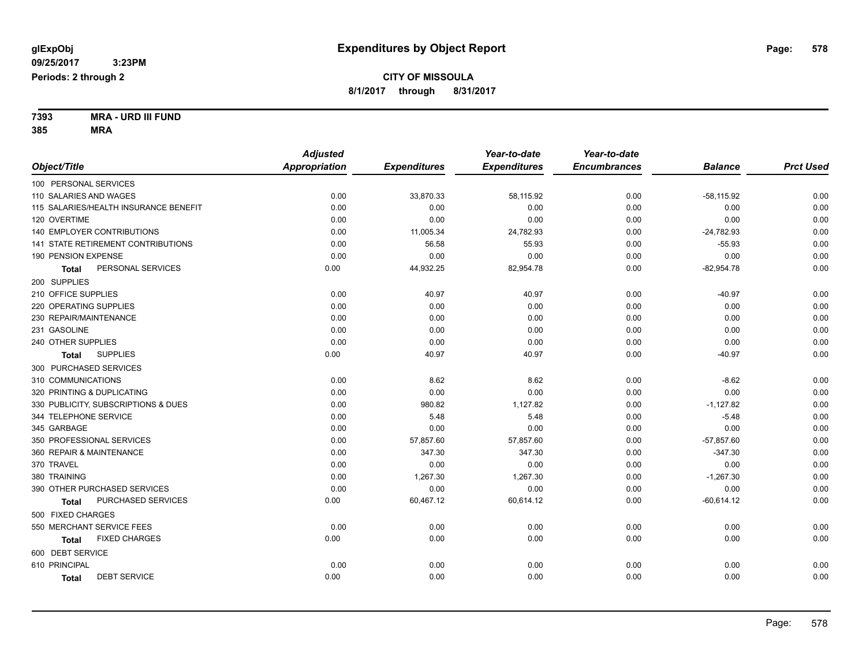#### **7393 MRA - URD III FUND 385 MRA**

|                                       | <b>Adjusted</b>      |                     | Year-to-date        | Year-to-date        |                |                  |
|---------------------------------------|----------------------|---------------------|---------------------|---------------------|----------------|------------------|
| Object/Title                          | <b>Appropriation</b> | <b>Expenditures</b> | <b>Expenditures</b> | <b>Encumbrances</b> | <b>Balance</b> | <b>Prct Used</b> |
| 100 PERSONAL SERVICES                 |                      |                     |                     |                     |                |                  |
| 110 SALARIES AND WAGES                | 0.00                 | 33,870.33           | 58,115.92           | 0.00                | $-58,115.92$   | 0.00             |
| 115 SALARIES/HEALTH INSURANCE BENEFIT | 0.00                 | 0.00                | 0.00                | 0.00                | 0.00           | 0.00             |
| 120 OVERTIME                          | 0.00                 | 0.00                | 0.00                | 0.00                | 0.00           | 0.00             |
| <b>140 EMPLOYER CONTRIBUTIONS</b>     | 0.00                 | 11,005.34           | 24,782.93           | 0.00                | $-24,782.93$   | 0.00             |
| 141 STATE RETIREMENT CONTRIBUTIONS    | 0.00                 | 56.58               | 55.93               | 0.00                | $-55.93$       | 0.00             |
| 190 PENSION EXPENSE                   | 0.00                 | 0.00                | 0.00                | 0.00                | 0.00           | 0.00             |
| PERSONAL SERVICES<br>Total            | 0.00                 | 44,932.25           | 82,954.78           | 0.00                | $-82,954.78$   | 0.00             |
| 200 SUPPLIES                          |                      |                     |                     |                     |                |                  |
| 210 OFFICE SUPPLIES                   | 0.00                 | 40.97               | 40.97               | 0.00                | $-40.97$       | 0.00             |
| 220 OPERATING SUPPLIES                | 0.00                 | 0.00                | 0.00                | 0.00                | 0.00           | 0.00             |
| 230 REPAIR/MAINTENANCE                | 0.00                 | 0.00                | 0.00                | 0.00                | 0.00           | 0.00             |
| 231 GASOLINE                          | 0.00                 | 0.00                | 0.00                | 0.00                | 0.00           | 0.00             |
| 240 OTHER SUPPLIES                    | 0.00                 | 0.00                | 0.00                | 0.00                | 0.00           | 0.00             |
| <b>SUPPLIES</b><br><b>Total</b>       | 0.00                 | 40.97               | 40.97               | 0.00                | $-40.97$       | 0.00             |
| 300 PURCHASED SERVICES                |                      |                     |                     |                     |                |                  |
| 310 COMMUNICATIONS                    | 0.00                 | 8.62                | 8.62                | 0.00                | $-8.62$        | 0.00             |
| 320 PRINTING & DUPLICATING            | 0.00                 | 0.00                | 0.00                | 0.00                | 0.00           | 0.00             |
| 330 PUBLICITY, SUBSCRIPTIONS & DUES   | 0.00                 | 980.82              | 1,127.82            | 0.00                | $-1,127.82$    | 0.00             |
| 344 TELEPHONE SERVICE                 | 0.00                 | 5.48                | 5.48                | 0.00                | $-5.48$        | 0.00             |
| 345 GARBAGE                           | 0.00                 | 0.00                | 0.00                | 0.00                | 0.00           | 0.00             |
| 350 PROFESSIONAL SERVICES             | 0.00                 | 57,857.60           | 57,857.60           | 0.00                | $-57,857.60$   | 0.00             |
| 360 REPAIR & MAINTENANCE              | 0.00                 | 347.30              | 347.30              | 0.00                | $-347.30$      | 0.00             |
| 370 TRAVEL                            | 0.00                 | 0.00                | 0.00                | 0.00                | 0.00           | 0.00             |
| 380 TRAINING                          | 0.00                 | 1,267.30            | 1,267.30            | 0.00                | $-1,267.30$    | 0.00             |
| 390 OTHER PURCHASED SERVICES          | 0.00                 | 0.00                | 0.00                | 0.00                | 0.00           | 0.00             |
| PURCHASED SERVICES<br><b>Total</b>    | 0.00                 | 60,467.12           | 60,614.12           | 0.00                | $-60,614.12$   | 0.00             |
| 500 FIXED CHARGES                     |                      |                     |                     |                     |                |                  |
| 550 MERCHANT SERVICE FEES             | 0.00                 | 0.00                | 0.00                | 0.00                | 0.00           | 0.00             |
| <b>FIXED CHARGES</b><br><b>Total</b>  | 0.00                 | 0.00                | 0.00                | 0.00                | 0.00           | 0.00             |
| 600 DEBT SERVICE                      |                      |                     |                     |                     |                |                  |
| 610 PRINCIPAL                         | 0.00                 | 0.00                | 0.00                | 0.00                | 0.00           | 0.00             |
| <b>DEBT SERVICE</b><br><b>Total</b>   | 0.00                 | 0.00                | 0.00                | 0.00                | 0.00           | 0.00             |
|                                       |                      |                     |                     |                     |                |                  |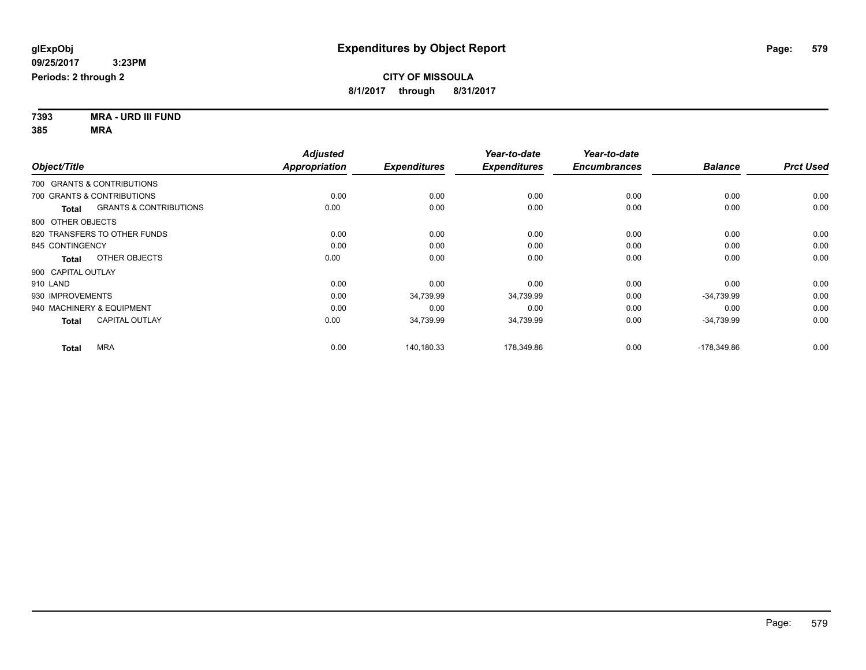| 7393                               | <b>MRA - URD III FUND</b> |
|------------------------------------|---------------------------|
| $\mathbf{A} \mathbf{A} \mathbf{F}$ |                           |

| 385 |  |  | <b>MRA</b> |  |
|-----|--|--|------------|--|
|     |  |  |            |  |

|                                                   | <b>Adjusted</b>      |                     | Year-to-date        | Year-to-date        |                |                  |
|---------------------------------------------------|----------------------|---------------------|---------------------|---------------------|----------------|------------------|
| Object/Title                                      | <b>Appropriation</b> | <b>Expenditures</b> | <b>Expenditures</b> | <b>Encumbrances</b> | <b>Balance</b> | <b>Prct Used</b> |
| 700 GRANTS & CONTRIBUTIONS                        |                      |                     |                     |                     |                |                  |
| 700 GRANTS & CONTRIBUTIONS                        | 0.00                 | 0.00                | 0.00                | 0.00                | 0.00           | 0.00             |
| <b>GRANTS &amp; CONTRIBUTIONS</b><br><b>Total</b> | 0.00                 | 0.00                | 0.00                | 0.00                | 0.00           | 0.00             |
| 800 OTHER OBJECTS                                 |                      |                     |                     |                     |                |                  |
| 820 TRANSFERS TO OTHER FUNDS                      | 0.00                 | 0.00                | 0.00                | 0.00                | 0.00           | 0.00             |
| 845 CONTINGENCY                                   | 0.00                 | 0.00                | 0.00                | 0.00                | 0.00           | 0.00             |
| OTHER OBJECTS<br>Total                            | 0.00                 | 0.00                | 0.00                | 0.00                | 0.00           | 0.00             |
| 900 CAPITAL OUTLAY                                |                      |                     |                     |                     |                |                  |
| 910 LAND                                          | 0.00                 | 0.00                | 0.00                | 0.00                | 0.00           | 0.00             |
| 930 IMPROVEMENTS                                  | 0.00                 | 34,739.99           | 34,739.99           | 0.00                | $-34,739.99$   | 0.00             |
| 940 MACHINERY & EQUIPMENT                         | 0.00                 | 0.00                | 0.00                | 0.00                | 0.00           | 0.00             |
| <b>CAPITAL OUTLAY</b><br><b>Total</b>             | 0.00                 | 34,739.99           | 34,739.99           | 0.00                | $-34,739.99$   | 0.00             |
| <b>MRA</b><br><b>Total</b>                        | 0.00                 | 140,180.33          | 178,349.86          | 0.00                | -178,349.86    | 0.00             |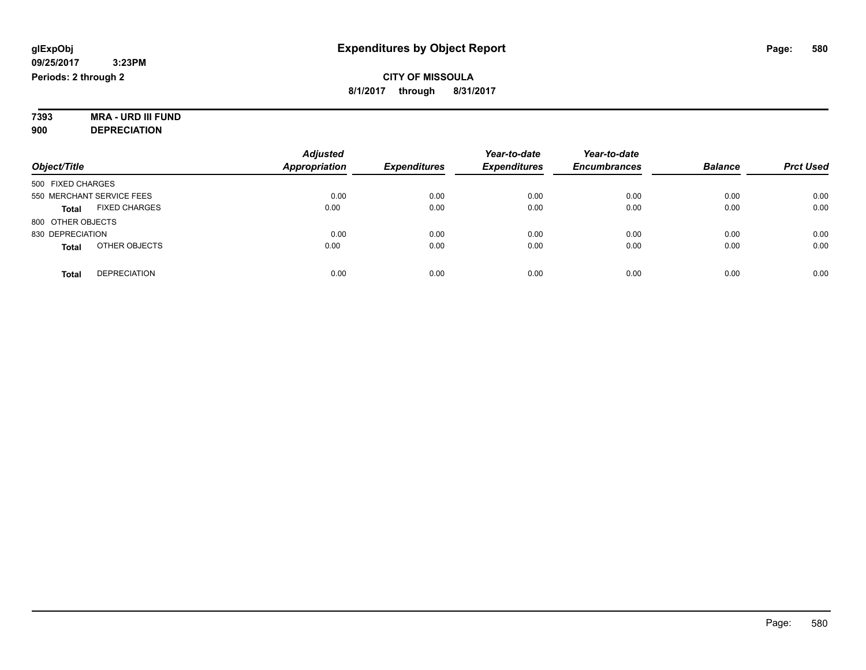#### **7393 MRA - URD III FUND 900 DEPRECIATION**

|                                      | <b>Adjusted</b>      |                     | Year-to-date        | Year-to-date        |                |                  |
|--------------------------------------|----------------------|---------------------|---------------------|---------------------|----------------|------------------|
| Object/Title                         | <b>Appropriation</b> | <b>Expenditures</b> | <b>Expenditures</b> | <b>Encumbrances</b> | <b>Balance</b> | <b>Prct Used</b> |
| 500 FIXED CHARGES                    |                      |                     |                     |                     |                |                  |
| 550 MERCHANT SERVICE FEES            | 0.00                 | 0.00                | 0.00                | 0.00                | 0.00           | 0.00             |
| <b>FIXED CHARGES</b><br><b>Total</b> | 0.00                 | 0.00                | 0.00                | 0.00                | 0.00           | 0.00             |
| 800 OTHER OBJECTS                    |                      |                     |                     |                     |                |                  |
| 830 DEPRECIATION                     | 0.00                 | 0.00                | 0.00                | 0.00                | 0.00           | 0.00             |
| OTHER OBJECTS<br><b>Total</b>        | 0.00                 | 0.00                | 0.00                | 0.00                | 0.00           | 0.00             |
| <b>DEPRECIATION</b><br><b>Total</b>  | 0.00                 | 0.00                | 0.00                | 0.00                | 0.00           | 0.00             |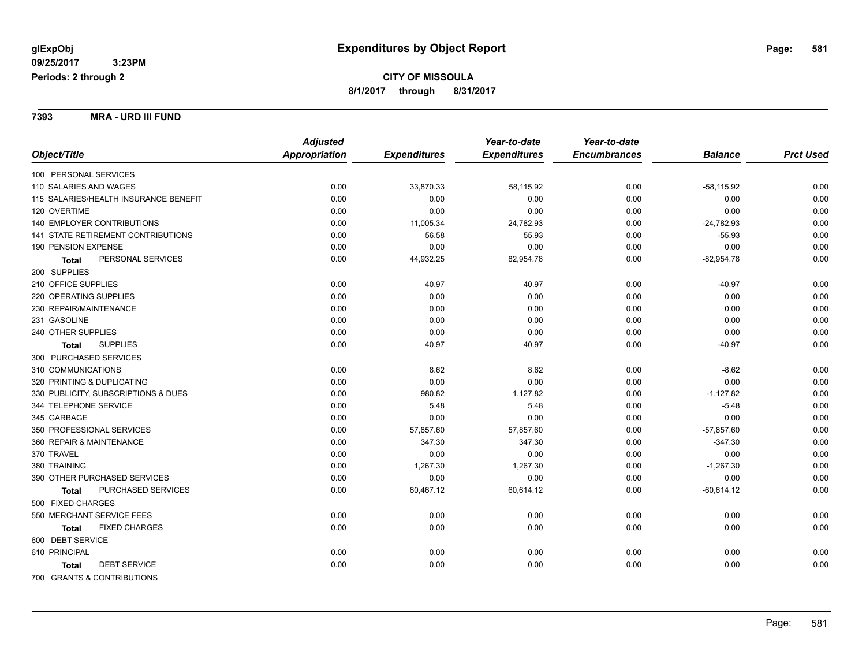**7393 MRA - URD III FUND**

| <b>Adjusted</b>                                                             | Year-to-date<br>Year-to-date |                |                  |
|-----------------------------------------------------------------------------|------------------------------|----------------|------------------|
| <b>Expenditures</b><br>Object/Title<br>Appropriation<br><b>Expenditures</b> | <b>Encumbrances</b>          | <b>Balance</b> | <b>Prct Used</b> |
| 100 PERSONAL SERVICES                                                       |                              |                |                  |
| 0.00<br>33,870.33<br>110 SALARIES AND WAGES                                 | 0.00<br>58,115.92            | $-58,115.92$   | 0.00             |
| 0.00<br>0.00<br>115 SALARIES/HEALTH INSURANCE BENEFIT                       | 0.00<br>0.00                 | 0.00           | 0.00             |
| 120 OVERTIME<br>0.00<br>0.00                                                | 0.00<br>0.00                 | 0.00           | 0.00             |
| 140 EMPLOYER CONTRIBUTIONS<br>0.00<br>11,005.34                             | 24,782.93<br>0.00            | $-24,782.93$   | 0.00             |
| 141 STATE RETIREMENT CONTRIBUTIONS<br>0.00<br>56.58                         | 0.00<br>55.93                | $-55.93$       | 0.00             |
| 190 PENSION EXPENSE<br>0.00<br>0.00                                         | 0.00<br>0.00                 | 0.00           | 0.00             |
| PERSONAL SERVICES<br>0.00<br>44,932.25<br><b>Total</b>                      | 0.00<br>82,954.78            | $-82,954.78$   | 0.00             |
| 200 SUPPLIES                                                                |                              |                |                  |
| 210 OFFICE SUPPLIES<br>0.00<br>40.97                                        | 40.97<br>0.00                | $-40.97$       | 0.00             |
| 220 OPERATING SUPPLIES<br>0.00<br>0.00                                      | 0.00<br>0.00                 | 0.00           | 0.00             |
| 0.00<br>230 REPAIR/MAINTENANCE<br>0.00                                      | 0.00<br>0.00                 | 0.00           | 0.00             |
| 0.00<br>231 GASOLINE<br>0.00                                                | 0.00<br>0.00                 | 0.00           | 0.00             |
| 240 OTHER SUPPLIES<br>0.00<br>0.00                                          | 0.00<br>0.00                 | 0.00           | 0.00             |
| <b>SUPPLIES</b><br>0.00<br>40.97<br><b>Total</b>                            | 40.97<br>0.00                | $-40.97$       | 0.00             |
| 300 PURCHASED SERVICES                                                      |                              |                |                  |
| 310 COMMUNICATIONS<br>0.00<br>8.62                                          | 8.62<br>0.00                 | $-8.62$        | 0.00             |
| 0.00<br>320 PRINTING & DUPLICATING<br>0.00                                  | 0.00<br>0.00                 | 0.00           | 0.00             |
| 980.82<br>330 PUBLICITY, SUBSCRIPTIONS & DUES<br>0.00                       | 1,127.82<br>0.00             | $-1,127.82$    | 0.00             |
| 344 TELEPHONE SERVICE<br>0.00<br>5.48                                       | 5.48<br>0.00                 | $-5.48$        | 0.00             |
| 345 GARBAGE<br>0.00<br>0.00                                                 | 0.00<br>0.00                 | 0.00           | 0.00             |
| 350 PROFESSIONAL SERVICES<br>0.00<br>57,857.60                              | 57,857.60<br>0.00            | $-57,857.60$   | 0.00             |
| 347.30<br>360 REPAIR & MAINTENANCE<br>0.00                                  | 347.30<br>0.00               | $-347.30$      | 0.00             |
| 0.00<br>370 TRAVEL<br>0.00                                                  | 0.00<br>0.00                 | 0.00           | 0.00             |
| 380 TRAINING<br>0.00<br>1,267.30                                            | 1,267.30<br>0.00             | $-1,267.30$    | 0.00             |
| 0.00<br>0.00<br>390 OTHER PURCHASED SERVICES                                | 0.00<br>0.00                 | 0.00           | 0.00             |
| PURCHASED SERVICES<br>0.00<br>60,467.12<br>Total                            | 0.00<br>60,614.12            | $-60,614.12$   | 0.00             |
| 500 FIXED CHARGES                                                           |                              |                |                  |
| 0.00<br>550 MERCHANT SERVICE FEES<br>0.00                                   | 0.00<br>0.00                 | 0.00           | 0.00             |
| <b>FIXED CHARGES</b><br>0.00<br>0.00<br><b>Total</b>                        | 0.00<br>0.00                 | 0.00           | 0.00             |
| 600 DEBT SERVICE                                                            |                              |                |                  |
| 610 PRINCIPAL<br>0.00<br>0.00                                               | 0.00<br>0.00                 | 0.00           | 0.00             |
| <b>DEBT SERVICE</b><br>0.00<br>0.00<br><b>Total</b>                         | 0.00<br>0.00                 | 0.00           | 0.00             |
| 700 GRANTS & CONTRIBUTIONS                                                  |                              |                |                  |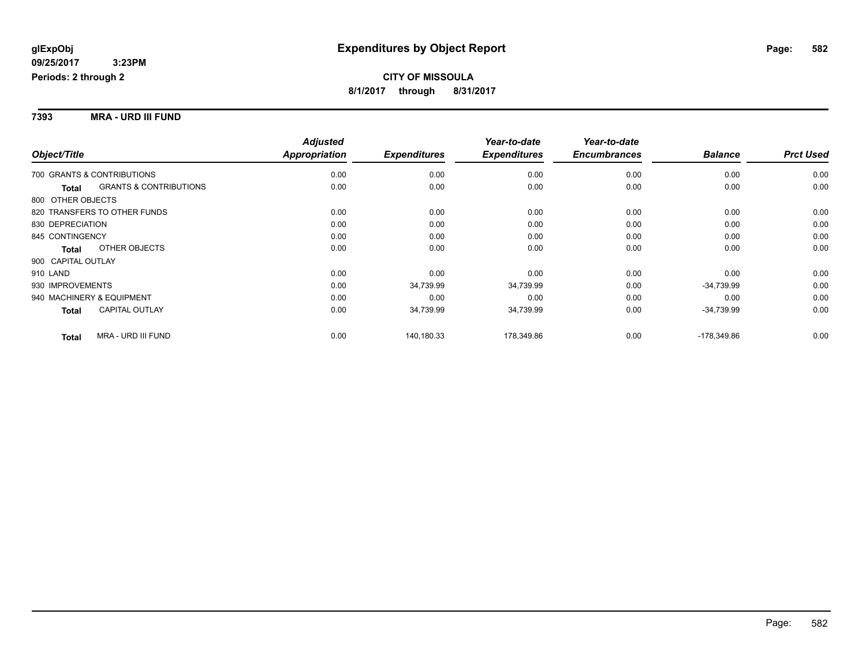### **7393 MRA - URD III FUND**

|                    |                                   | <b>Adjusted</b> |                     | Year-to-date        | Year-to-date        |                |                  |
|--------------------|-----------------------------------|-----------------|---------------------|---------------------|---------------------|----------------|------------------|
| Object/Title       |                                   | Appropriation   | <b>Expenditures</b> | <b>Expenditures</b> | <b>Encumbrances</b> | <b>Balance</b> | <b>Prct Used</b> |
|                    | 700 GRANTS & CONTRIBUTIONS        | 0.00            | 0.00                | 0.00                | 0.00                | 0.00           | 0.00             |
| <b>Total</b>       | <b>GRANTS &amp; CONTRIBUTIONS</b> | 0.00            | 0.00                | 0.00                | 0.00                | 0.00           | 0.00             |
| 800 OTHER OBJECTS  |                                   |                 |                     |                     |                     |                |                  |
|                    | 820 TRANSFERS TO OTHER FUNDS      | 0.00            | 0.00                | 0.00                | 0.00                | 0.00           | 0.00             |
| 830 DEPRECIATION   |                                   | 0.00            | 0.00                | 0.00                | 0.00                | 0.00           | 0.00             |
| 845 CONTINGENCY    |                                   | 0.00            | 0.00                | 0.00                | 0.00                | 0.00           | 0.00             |
| <b>Total</b>       | OTHER OBJECTS                     | 0.00            | 0.00                | 0.00                | 0.00                | 0.00           | 0.00             |
| 900 CAPITAL OUTLAY |                                   |                 |                     |                     |                     |                |                  |
| 910 LAND           |                                   | 0.00            | 0.00                | 0.00                | 0.00                | 0.00           | 0.00             |
| 930 IMPROVEMENTS   |                                   | 0.00            | 34,739.99           | 34,739.99           | 0.00                | $-34,739.99$   | 0.00             |
|                    | 940 MACHINERY & EQUIPMENT         | 0.00            | 0.00                | 0.00                | 0.00                | 0.00           | 0.00             |
| <b>Total</b>       | <b>CAPITAL OUTLAY</b>             | 0.00            | 34,739.99           | 34,739.99           | 0.00                | $-34,739.99$   | 0.00             |
| <b>Total</b>       | MRA - URD III FUND                | 0.00            | 140,180.33          | 178,349.86          | 0.00                | -178,349.86    | 0.00             |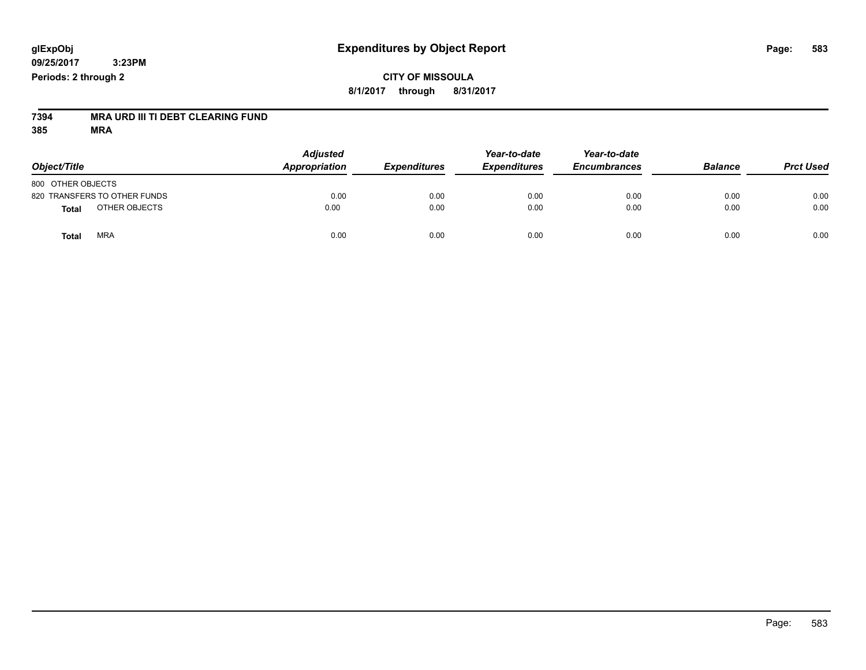## **CITY OF MISSOULA 8/1/2017 through 8/31/2017**

# **7394 MRA URD III TI DEBT CLEARING FUND**

| Object/Title                 | <b>Adjusted</b><br>Appropriation | <b>Expenditures</b> | Year-to-date<br><b>Expenditures</b> | Year-to-date<br><b>Encumbrances</b> | <b>Balance</b> | <b>Prct Used</b> |
|------------------------------|----------------------------------|---------------------|-------------------------------------|-------------------------------------|----------------|------------------|
| 800 OTHER OBJECTS            |                                  |                     |                                     |                                     |                |                  |
| 820 TRANSFERS TO OTHER FUNDS | 0.00                             | 0.00                | 0.00                                | 0.00                                | 0.00           | 0.00             |
| OTHER OBJECTS<br>Total       | 0.00                             | 0.00                | 0.00                                | 0.00                                | 0.00           | 0.00             |
| <b>MRA</b><br><b>Total</b>   | 0.00                             | 0.00                | 0.00                                | 0.00                                | 0.00           | 0.00             |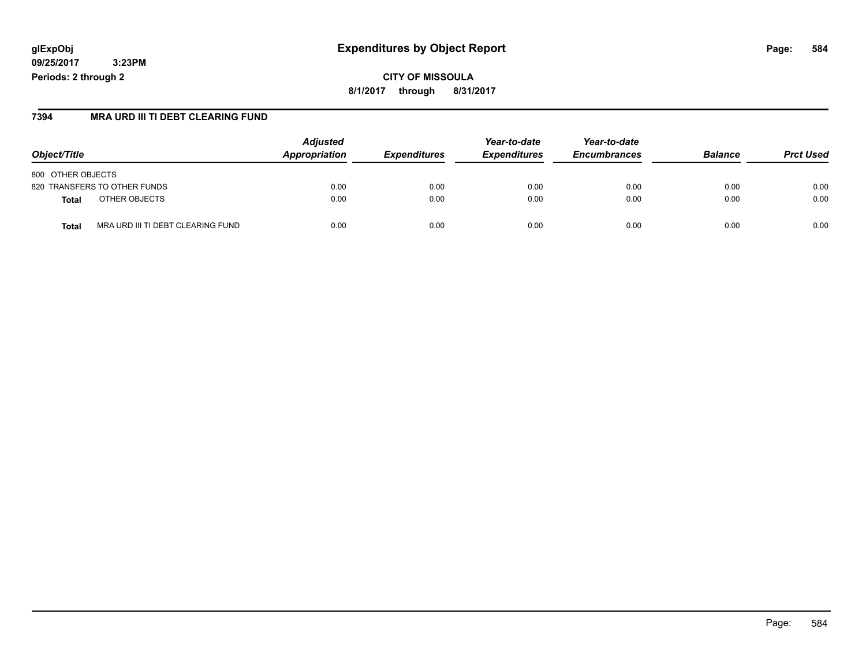## **glExpObj Expenditures by Object Report Page: 584**

**09/25/2017 3:23PM Periods: 2 through 2**

### **7394 MRA URD III TI DEBT CLEARING FUND**

| Object/Title                                      | <b>Adjusted</b><br>Appropriation | <b>Expenditures</b> | Year-to-date<br><b>Expenditures</b> | Year-to-date<br><b>Encumbrances</b> | <b>Balance</b> | <b>Prct Used</b> |
|---------------------------------------------------|----------------------------------|---------------------|-------------------------------------|-------------------------------------|----------------|------------------|
| 800 OTHER OBJECTS                                 |                                  |                     |                                     |                                     |                |                  |
| 820 TRANSFERS TO OTHER FUNDS                      | 0.00                             | 0.00                | 0.00                                | 0.00                                | 0.00           | 0.00             |
| OTHER OBJECTS<br><b>Total</b>                     | 0.00                             | 0.00                | 0.00                                | 0.00                                | 0.00           | 0.00             |
| MRA URD III TI DEBT CLEARING FUND<br><b>Total</b> | 0.00                             | 0.00                | 0.00                                | 0.00                                | 0.00           | 0.00             |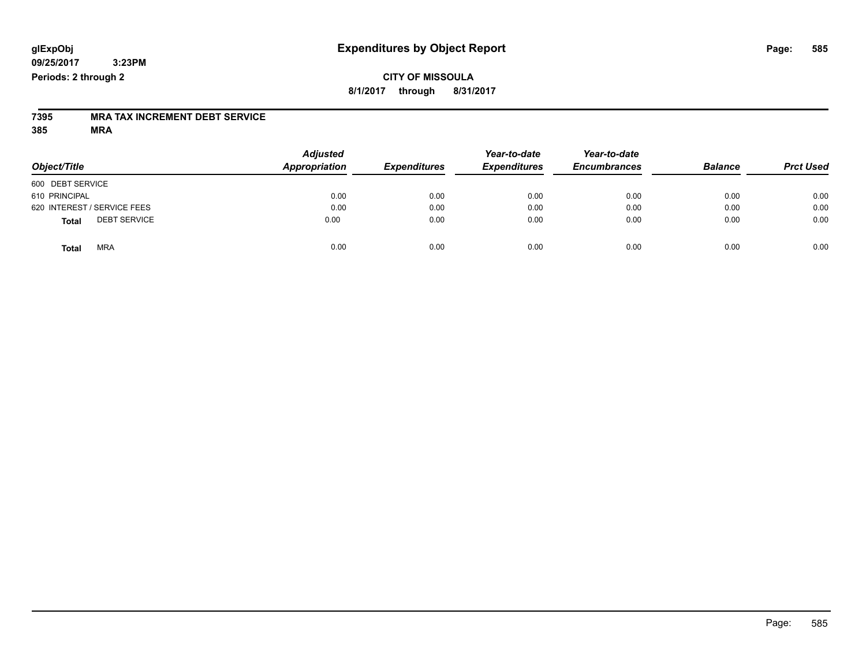## **CITY OF MISSOULA 8/1/2017 through 8/31/2017**

# **7395 MRA TAX INCREMENT DEBT SERVICE**

| Object/Title                 | <b>Adjusted</b><br>Appropriation | <b>Expenditures</b> | Year-to-date<br><b>Expenditures</b> | Year-to-date<br><b>Encumbrances</b> | <b>Balance</b> | <b>Prct Used</b> |
|------------------------------|----------------------------------|---------------------|-------------------------------------|-------------------------------------|----------------|------------------|
| 600 DEBT SERVICE             |                                  |                     |                                     |                                     |                |                  |
| 610 PRINCIPAL                | 0.00                             | 0.00                | 0.00                                | 0.00                                | 0.00           | 0.00             |
| 620 INTEREST / SERVICE FEES  | 0.00                             | 0.00                | 0.00                                | 0.00                                | 0.00           | 0.00             |
| <b>DEBT SERVICE</b><br>Total | 0.00                             | 0.00                | 0.00                                | 0.00                                | 0.00           | 0.00             |
| <b>MRA</b><br><b>Total</b>   | 0.00                             | 0.00                | 0.00                                | 0.00                                | 0.00           | 0.00             |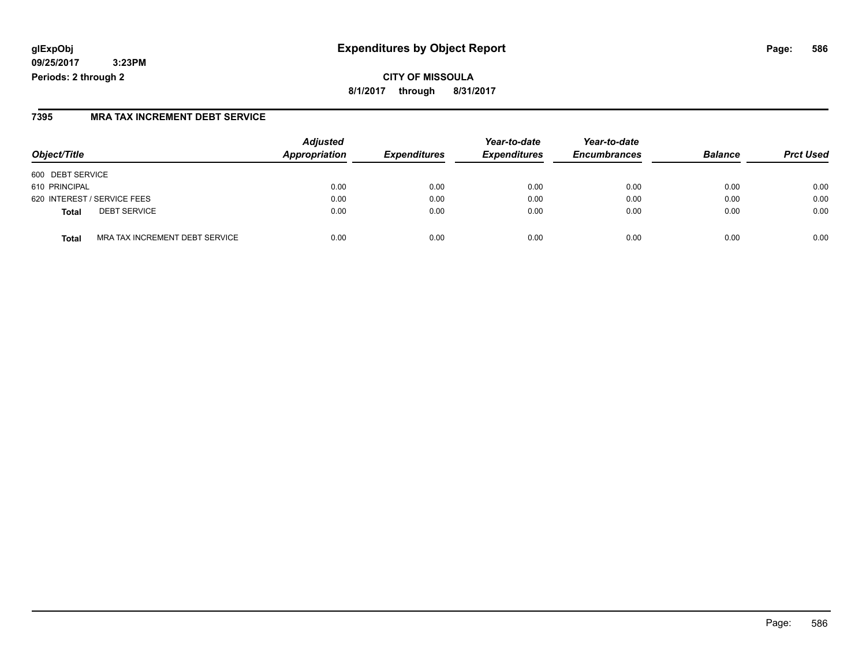# **glExpObj Expenditures by Object Report Page: 586**

**09/25/2017 3:23PM Periods: 2 through 2**

### **7395 MRA TAX INCREMENT DEBT SERVICE**

| Object/Title                                   | <b>Adjusted</b><br>Appropriation | <b>Expenditures</b> | Year-to-date<br><b>Expenditures</b> | Year-to-date<br><b>Encumbrances</b> | <b>Balance</b> | <b>Prct Used</b> |
|------------------------------------------------|----------------------------------|---------------------|-------------------------------------|-------------------------------------|----------------|------------------|
| 600 DEBT SERVICE                               |                                  |                     |                                     |                                     |                |                  |
| 610 PRINCIPAL                                  | 0.00                             | 0.00                | 0.00                                | 0.00                                | 0.00           | 0.00             |
| 620 INTEREST / SERVICE FEES                    | 0.00                             | 0.00                | 0.00                                | 0.00                                | 0.00           | 0.00             |
| <b>DEBT SERVICE</b><br><b>Total</b>            | 0.00                             | 0.00                | 0.00                                | 0.00                                | 0.00           | 0.00             |
| MRA TAX INCREMENT DEBT SERVICE<br><b>Total</b> | 0.00                             | 0.00                | 0.00                                | 0.00                                | 0.00           | 0.00             |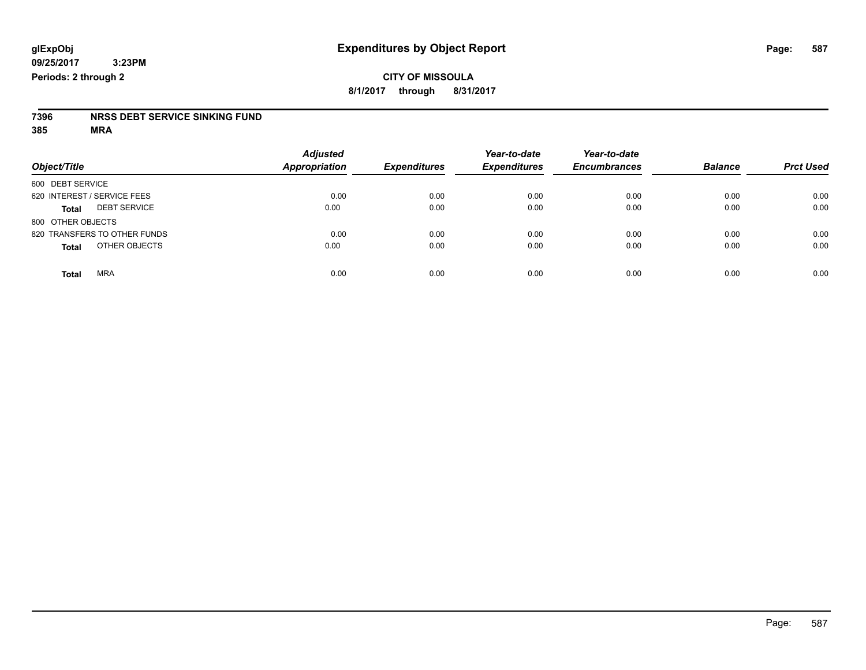# **7396 NRSS DEBT SERVICE SINKING FUND**

| Object/Title                        | <b>Adjusted</b><br><b>Appropriation</b> | <b>Expenditures</b> | Year-to-date<br><b>Expenditures</b> | Year-to-date<br><b>Encumbrances</b> | <b>Balance</b> | <b>Prct Used</b> |
|-------------------------------------|-----------------------------------------|---------------------|-------------------------------------|-------------------------------------|----------------|------------------|
| 600 DEBT SERVICE                    |                                         |                     |                                     |                                     |                |                  |
| 620 INTEREST / SERVICE FEES         | 0.00                                    | 0.00                | 0.00                                | 0.00                                | 0.00           | 0.00             |
| <b>DEBT SERVICE</b><br><b>Total</b> | 0.00                                    | 0.00                | 0.00                                | 0.00                                | 0.00           | 0.00             |
| 800 OTHER OBJECTS                   |                                         |                     |                                     |                                     |                |                  |
| 820 TRANSFERS TO OTHER FUNDS        | 0.00                                    | 0.00                | 0.00                                | 0.00                                | 0.00           | 0.00             |
| OTHER OBJECTS<br><b>Total</b>       | 0.00                                    | 0.00                | 0.00                                | 0.00                                | 0.00           | 0.00             |
| <b>MRA</b><br><b>Total</b>          | 0.00                                    | 0.00                | 0.00                                | 0.00                                | 0.00           | 0.00             |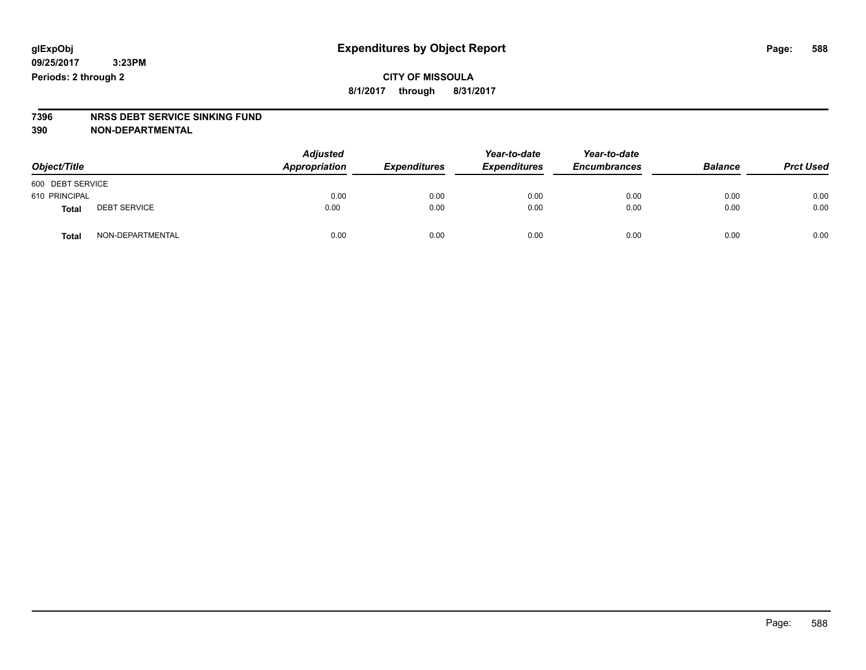## **CITY OF MISSOULA 8/1/2017 through 8/31/2017**

# **7396 NRSS DEBT SERVICE SINKING FUND**

**390 NON-DEPARTMENTAL**

| Object/Title     |                     | <b>Adjusted</b><br>Appropriation | <b>Expenditures</b> | Year-to-date<br><b>Expenditures</b> | Year-to-date<br><b>Encumbrances</b> | <b>Balance</b> | <b>Prct Used</b> |
|------------------|---------------------|----------------------------------|---------------------|-------------------------------------|-------------------------------------|----------------|------------------|
| 600 DEBT SERVICE |                     |                                  |                     |                                     |                                     |                |                  |
| 610 PRINCIPAL    |                     | 0.00                             | 0.00                | 0.00                                | 0.00                                | 0.00           | 0.00             |
| <b>Total</b>     | <b>DEBT SERVICE</b> | 0.00                             | 0.00                | 0.00                                | 0.00                                | 0.00           | 0.00             |
| <b>Total</b>     | NON-DEPARTMENTAL    | 0.00                             | 0.00                | 0.00                                | 0.00                                | 0.00           | 0.00             |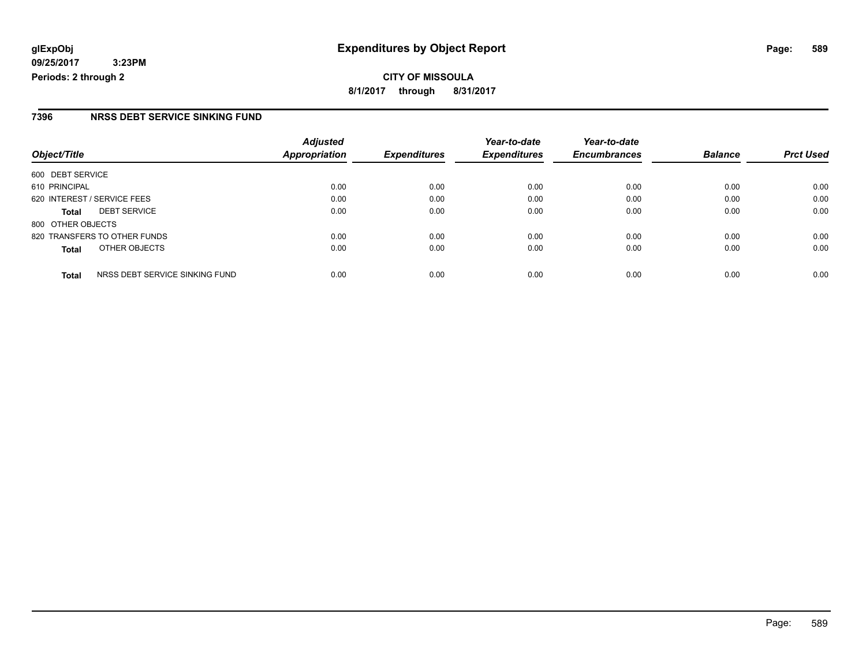### **7396 NRSS DEBT SERVICE SINKING FUND**

| Object/Title                                   | <b>Adjusted</b><br><b>Appropriation</b> | <b>Expenditures</b> | Year-to-date<br><b>Expenditures</b> | Year-to-date<br><b>Encumbrances</b> | <b>Balance</b> | <b>Prct Used</b> |
|------------------------------------------------|-----------------------------------------|---------------------|-------------------------------------|-------------------------------------|----------------|------------------|
| 600 DEBT SERVICE                               |                                         |                     |                                     |                                     |                |                  |
| 610 PRINCIPAL                                  | 0.00                                    | 0.00                | 0.00                                | 0.00                                | 0.00           | 0.00             |
| 620 INTEREST / SERVICE FEES                    | 0.00                                    | 0.00                | 0.00                                | 0.00                                | 0.00           | 0.00             |
| <b>DEBT SERVICE</b><br><b>Total</b>            | 0.00                                    | 0.00                | 0.00                                | 0.00                                | 0.00           | 0.00             |
| 800 OTHER OBJECTS                              |                                         |                     |                                     |                                     |                |                  |
| 820 TRANSFERS TO OTHER FUNDS                   | 0.00                                    | 0.00                | 0.00                                | 0.00                                | 0.00           | 0.00             |
| OTHER OBJECTS<br><b>Total</b>                  | 0.00                                    | 0.00                | 0.00                                | 0.00                                | 0.00           | 0.00             |
| NRSS DEBT SERVICE SINKING FUND<br><b>Total</b> | 0.00                                    | 0.00                | 0.00                                | 0.00                                | 0.00           | 0.00             |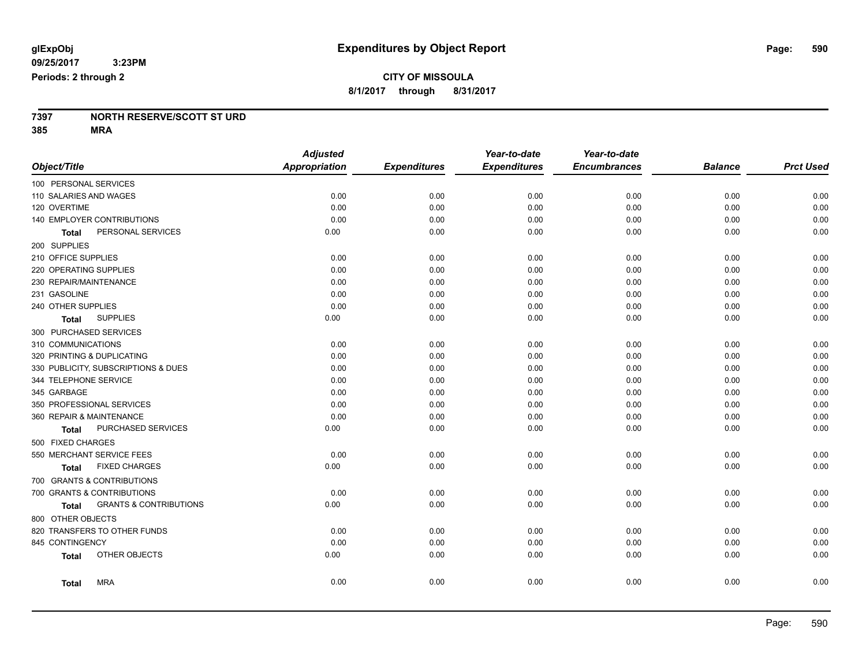# **7397 NORTH RESERVE/SCOTT ST URD**

|                                                   | <b>Adjusted</b> |                     | Year-to-date        | Year-to-date        |                |                  |
|---------------------------------------------------|-----------------|---------------------|---------------------|---------------------|----------------|------------------|
| Object/Title                                      | Appropriation   | <b>Expenditures</b> | <b>Expenditures</b> | <b>Encumbrances</b> | <b>Balance</b> | <b>Prct Used</b> |
| 100 PERSONAL SERVICES                             |                 |                     |                     |                     |                |                  |
| 110 SALARIES AND WAGES                            | 0.00            | 0.00                | 0.00                | 0.00                | 0.00           | 0.00             |
| 120 OVERTIME                                      | 0.00            | 0.00                | 0.00                | 0.00                | 0.00           | 0.00             |
| 140 EMPLOYER CONTRIBUTIONS                        | 0.00            | 0.00                | 0.00                | 0.00                | 0.00           | 0.00             |
| PERSONAL SERVICES<br>Total                        | 0.00            | 0.00                | 0.00                | 0.00                | 0.00           | 0.00             |
| 200 SUPPLIES                                      |                 |                     |                     |                     |                |                  |
| 210 OFFICE SUPPLIES                               | 0.00            | 0.00                | 0.00                | 0.00                | 0.00           | 0.00             |
| 220 OPERATING SUPPLIES                            | 0.00            | 0.00                | 0.00                | 0.00                | 0.00           | 0.00             |
| 230 REPAIR/MAINTENANCE                            | 0.00            | 0.00                | 0.00                | 0.00                | 0.00           | 0.00             |
| 231 GASOLINE                                      | 0.00            | 0.00                | 0.00                | 0.00                | 0.00           | 0.00             |
| 240 OTHER SUPPLIES                                | 0.00            | 0.00                | 0.00                | 0.00                | 0.00           | 0.00             |
| <b>SUPPLIES</b><br><b>Total</b>                   | 0.00            | 0.00                | 0.00                | 0.00                | 0.00           | 0.00             |
| 300 PURCHASED SERVICES                            |                 |                     |                     |                     |                |                  |
| 310 COMMUNICATIONS                                | 0.00            | 0.00                | 0.00                | 0.00                | 0.00           | 0.00             |
| 320 PRINTING & DUPLICATING                        | 0.00            | 0.00                | 0.00                | 0.00                | 0.00           | 0.00             |
| 330 PUBLICITY, SUBSCRIPTIONS & DUES               | 0.00            | 0.00                | 0.00                | 0.00                | 0.00           | 0.00             |
| 344 TELEPHONE SERVICE                             | 0.00            | 0.00                | 0.00                | 0.00                | 0.00           | 0.00             |
| 345 GARBAGE                                       | 0.00            | 0.00                | 0.00                | 0.00                | 0.00           | 0.00             |
| 350 PROFESSIONAL SERVICES                         | 0.00            | 0.00                | 0.00                | 0.00                | 0.00           | 0.00             |
| 360 REPAIR & MAINTENANCE                          | 0.00            | 0.00                | 0.00                | 0.00                | 0.00           | 0.00             |
| PURCHASED SERVICES<br><b>Total</b>                | 0.00            | 0.00                | 0.00                | 0.00                | 0.00           | 0.00             |
| 500 FIXED CHARGES                                 |                 |                     |                     |                     |                |                  |
| 550 MERCHANT SERVICE FEES                         | 0.00            | 0.00                | 0.00                | 0.00                | 0.00           | 0.00             |
| <b>FIXED CHARGES</b><br><b>Total</b>              | 0.00            | 0.00                | 0.00                | 0.00                | 0.00           | 0.00             |
| 700 GRANTS & CONTRIBUTIONS                        |                 |                     |                     |                     |                |                  |
| 700 GRANTS & CONTRIBUTIONS                        | 0.00            | 0.00                | 0.00                | 0.00                | 0.00           | 0.00             |
| <b>GRANTS &amp; CONTRIBUTIONS</b><br><b>Total</b> | 0.00            | 0.00                | 0.00                | 0.00                | 0.00           | 0.00             |
| 800 OTHER OBJECTS                                 |                 |                     |                     |                     |                |                  |
| 820 TRANSFERS TO OTHER FUNDS                      | 0.00            | 0.00                | 0.00                | 0.00                | 0.00           | 0.00             |
| 845 CONTINGENCY                                   | 0.00            | 0.00                | 0.00                | 0.00                | 0.00           | 0.00             |
| OTHER OBJECTS<br><b>Total</b>                     | 0.00            | 0.00                | 0.00                | 0.00                | 0.00           | 0.00             |
|                                                   |                 |                     |                     |                     |                |                  |
| <b>MRA</b><br><b>Total</b>                        | 0.00            | 0.00                | 0.00                | 0.00                | 0.00           | 0.00             |
|                                                   |                 |                     |                     |                     |                |                  |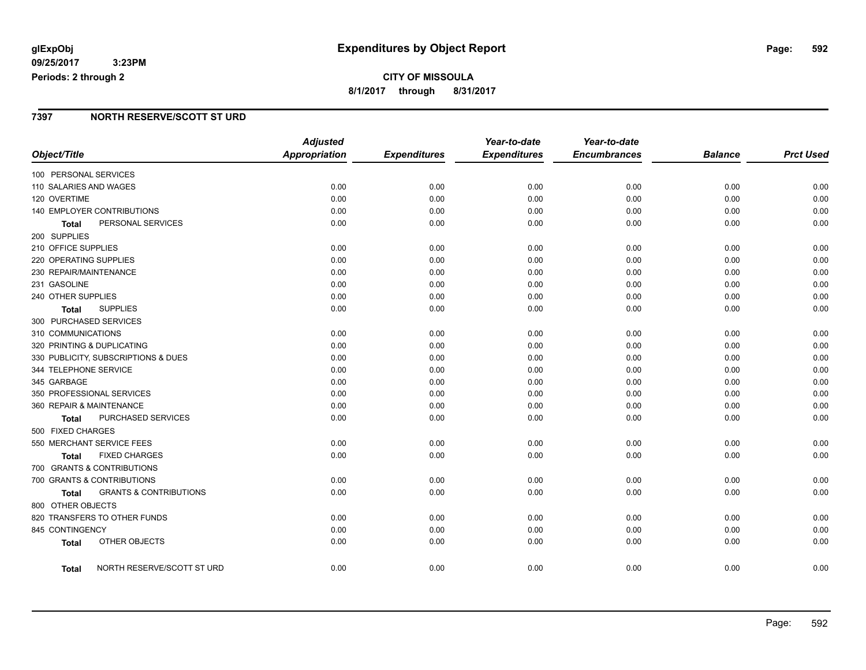# **CITY OF MISSOULA 8/1/2017 through 8/31/2017**

### **7397 NORTH RESERVE/SCOTT ST URD**

|                          |                                     | <b>Adjusted</b>      |                     | Year-to-date        | Year-to-date        |                |                  |
|--------------------------|-------------------------------------|----------------------|---------------------|---------------------|---------------------|----------------|------------------|
| Object/Title             |                                     | <b>Appropriation</b> | <b>Expenditures</b> | <b>Expenditures</b> | <b>Encumbrances</b> | <b>Balance</b> | <b>Prct Used</b> |
| 100 PERSONAL SERVICES    |                                     |                      |                     |                     |                     |                |                  |
| 110 SALARIES AND WAGES   |                                     | 0.00                 | 0.00                | 0.00                | 0.00                | 0.00           | 0.00             |
| 120 OVERTIME             |                                     | 0.00                 | 0.00                | 0.00                | 0.00                | 0.00           | 0.00             |
|                          | 140 EMPLOYER CONTRIBUTIONS          | 0.00                 | 0.00                | 0.00                | 0.00                | 0.00           | 0.00             |
| Total                    | PERSONAL SERVICES                   | 0.00                 | 0.00                | 0.00                | 0.00                | 0.00           | 0.00             |
| 200 SUPPLIES             |                                     |                      |                     |                     |                     |                |                  |
| 210 OFFICE SUPPLIES      |                                     | 0.00                 | 0.00                | 0.00                | 0.00                | 0.00           | 0.00             |
| 220 OPERATING SUPPLIES   |                                     | 0.00                 | 0.00                | 0.00                | 0.00                | 0.00           | 0.00             |
| 230 REPAIR/MAINTENANCE   |                                     | 0.00                 | 0.00                | 0.00                | 0.00                | 0.00           | 0.00             |
| 231 GASOLINE             |                                     | 0.00                 | 0.00                | 0.00                | 0.00                | 0.00           | 0.00             |
| 240 OTHER SUPPLIES       |                                     | 0.00                 | 0.00                | 0.00                | 0.00                | 0.00           | 0.00             |
| Total                    | <b>SUPPLIES</b>                     | 0.00                 | 0.00                | 0.00                | 0.00                | 0.00           | 0.00             |
| 300 PURCHASED SERVICES   |                                     |                      |                     |                     |                     |                |                  |
| 310 COMMUNICATIONS       |                                     | 0.00                 | 0.00                | 0.00                | 0.00                | 0.00           | 0.00             |
|                          | 320 PRINTING & DUPLICATING          | 0.00                 | 0.00                | 0.00                | 0.00                | 0.00           | 0.00             |
|                          | 330 PUBLICITY, SUBSCRIPTIONS & DUES | 0.00                 | 0.00                | 0.00                | 0.00                | 0.00           | 0.00             |
| 344 TELEPHONE SERVICE    |                                     | 0.00                 | 0.00                | 0.00                | 0.00                | 0.00           | 0.00             |
| 345 GARBAGE              |                                     | 0.00                 | 0.00                | 0.00                | 0.00                | 0.00           | 0.00             |
|                          | 350 PROFESSIONAL SERVICES           | 0.00                 | 0.00                | 0.00                | 0.00                | 0.00           | 0.00             |
| 360 REPAIR & MAINTENANCE |                                     | 0.00                 | 0.00                | 0.00                | 0.00                | 0.00           | 0.00             |
| Total                    | PURCHASED SERVICES                  | 0.00                 | 0.00                | 0.00                | 0.00                | 0.00           | 0.00             |
| 500 FIXED CHARGES        |                                     |                      |                     |                     |                     |                |                  |
|                          | 550 MERCHANT SERVICE FEES           | 0.00                 | 0.00                | 0.00                | 0.00                | 0.00           | 0.00             |
| Total                    | <b>FIXED CHARGES</b>                | 0.00                 | 0.00                | 0.00                | 0.00                | 0.00           | 0.00             |
|                          | 700 GRANTS & CONTRIBUTIONS          |                      |                     |                     |                     |                |                  |
|                          | 700 GRANTS & CONTRIBUTIONS          | 0.00                 | 0.00                | 0.00                | 0.00                | 0.00           | 0.00             |
| Total                    | <b>GRANTS &amp; CONTRIBUTIONS</b>   | 0.00                 | 0.00                | 0.00                | 0.00                | 0.00           | 0.00             |
| 800 OTHER OBJECTS        |                                     |                      |                     |                     |                     |                |                  |
|                          | 820 TRANSFERS TO OTHER FUNDS        | 0.00                 | 0.00                | 0.00                | 0.00                | 0.00           | 0.00             |
| 845 CONTINGENCY          |                                     | 0.00                 | 0.00                | 0.00                | 0.00                | 0.00           | 0.00             |
| <b>Total</b>             | OTHER OBJECTS                       | 0.00                 | 0.00                | 0.00                | 0.00                | 0.00           | 0.00             |
| Total                    | NORTH RESERVE/SCOTT ST URD          | 0.00                 | 0.00                | 0.00                | 0.00                | 0.00           | 0.00             |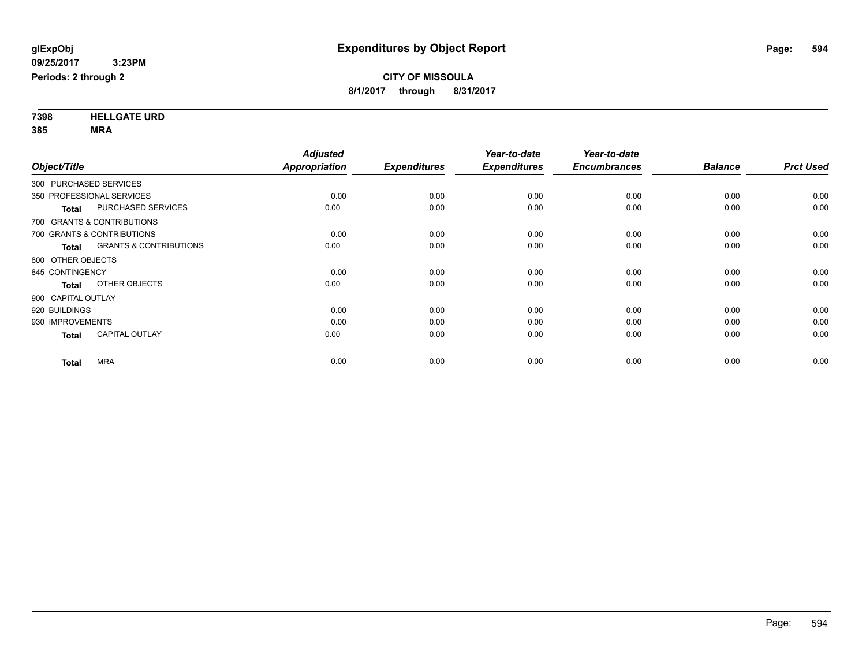**7398 HELLGATE URD 385 MRA**

|                        |                                   | <b>Adjusted</b>      |                     | Year-to-date        | Year-to-date        |                |                  |
|------------------------|-----------------------------------|----------------------|---------------------|---------------------|---------------------|----------------|------------------|
| Object/Title           |                                   | <b>Appropriation</b> | <b>Expenditures</b> | <b>Expenditures</b> | <b>Encumbrances</b> | <b>Balance</b> | <b>Prct Used</b> |
| 300 PURCHASED SERVICES |                                   |                      |                     |                     |                     |                |                  |
|                        | 350 PROFESSIONAL SERVICES         | 0.00                 | 0.00                | 0.00                | 0.00                | 0.00           | 0.00             |
| <b>Total</b>           | <b>PURCHASED SERVICES</b>         | 0.00                 | 0.00                | 0.00                | 0.00                | 0.00           | 0.00             |
|                        | 700 GRANTS & CONTRIBUTIONS        |                      |                     |                     |                     |                |                  |
|                        | 700 GRANTS & CONTRIBUTIONS        | 0.00                 | 0.00                | 0.00                | 0.00                | 0.00           | 0.00             |
| <b>Total</b>           | <b>GRANTS &amp; CONTRIBUTIONS</b> | 0.00                 | 0.00                | 0.00                | 0.00                | 0.00           | 0.00             |
| 800 OTHER OBJECTS      |                                   |                      |                     |                     |                     |                |                  |
| 845 CONTINGENCY        |                                   | 0.00                 | 0.00                | 0.00                | 0.00                | 0.00           | 0.00             |
| <b>Total</b>           | OTHER OBJECTS                     | 0.00                 | 0.00                | 0.00                | 0.00                | 0.00           | 0.00             |
| 900 CAPITAL OUTLAY     |                                   |                      |                     |                     |                     |                |                  |
| 920 BUILDINGS          |                                   | 0.00                 | 0.00                | 0.00                | 0.00                | 0.00           | 0.00             |
| 930 IMPROVEMENTS       |                                   | 0.00                 | 0.00                | 0.00                | 0.00                | 0.00           | 0.00             |
| <b>Total</b>           | <b>CAPITAL OUTLAY</b>             | 0.00                 | 0.00                | 0.00                | 0.00                | 0.00           | 0.00             |
| <b>Total</b>           | <b>MRA</b>                        | 0.00                 | 0.00                | 0.00                | 0.00                | 0.00           | 0.00             |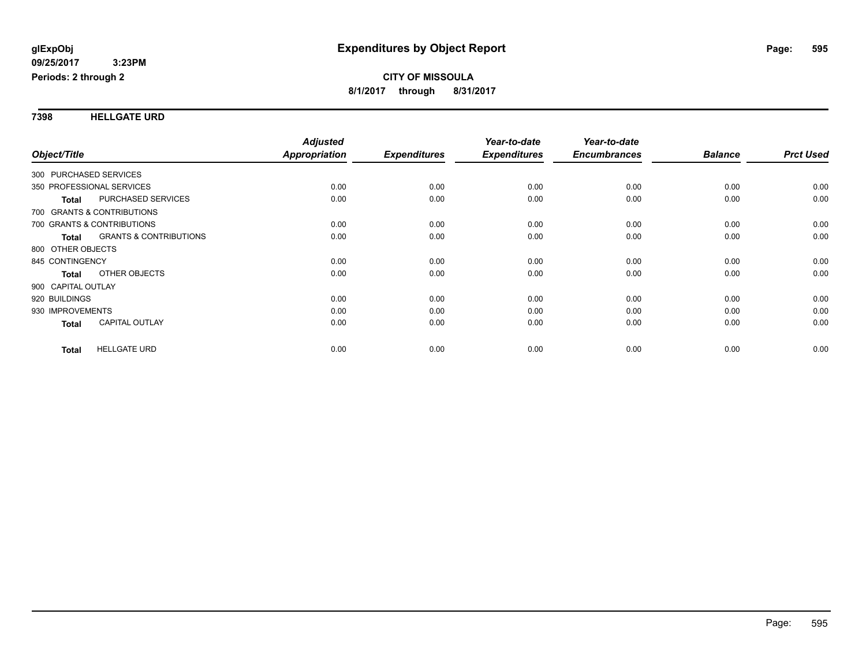**7398 HELLGATE URD**

|                                            | <b>Adjusted</b>      |                     | Year-to-date        | Year-to-date        |                |                  |
|--------------------------------------------|----------------------|---------------------|---------------------|---------------------|----------------|------------------|
| Object/Title                               | <b>Appropriation</b> | <b>Expenditures</b> | <b>Expenditures</b> | <b>Encumbrances</b> | <b>Balance</b> | <b>Prct Used</b> |
| 300 PURCHASED SERVICES                     |                      |                     |                     |                     |                |                  |
| 350 PROFESSIONAL SERVICES                  | 0.00                 | 0.00                | 0.00                | 0.00                | 0.00           | 0.00             |
| PURCHASED SERVICES<br><b>Total</b>         | 0.00                 | 0.00                | 0.00                | 0.00                | 0.00           | 0.00             |
| 700 GRANTS & CONTRIBUTIONS                 |                      |                     |                     |                     |                |                  |
| 700 GRANTS & CONTRIBUTIONS                 | 0.00                 | 0.00                | 0.00                | 0.00                | 0.00           | 0.00             |
| <b>GRANTS &amp; CONTRIBUTIONS</b><br>Total | 0.00                 | 0.00                | 0.00                | 0.00                | 0.00           | 0.00             |
| 800 OTHER OBJECTS                          |                      |                     |                     |                     |                |                  |
| 845 CONTINGENCY                            | 0.00                 | 0.00                | 0.00                | 0.00                | 0.00           | 0.00             |
| OTHER OBJECTS<br><b>Total</b>              | 0.00                 | 0.00                | 0.00                | 0.00                | 0.00           | 0.00             |
| 900 CAPITAL OUTLAY                         |                      |                     |                     |                     |                |                  |
| 920 BUILDINGS                              | 0.00                 | 0.00                | 0.00                | 0.00                | 0.00           | 0.00             |
| 930 IMPROVEMENTS                           | 0.00                 | 0.00                | 0.00                | 0.00                | 0.00           | 0.00             |
| <b>CAPITAL OUTLAY</b><br>Total             | 0.00                 | 0.00                | 0.00                | 0.00                | 0.00           | 0.00             |
| <b>HELLGATE URD</b><br><b>Total</b>        | 0.00                 | 0.00                | 0.00                | 0.00                | 0.00           | 0.00             |
|                                            |                      |                     |                     |                     |                |                  |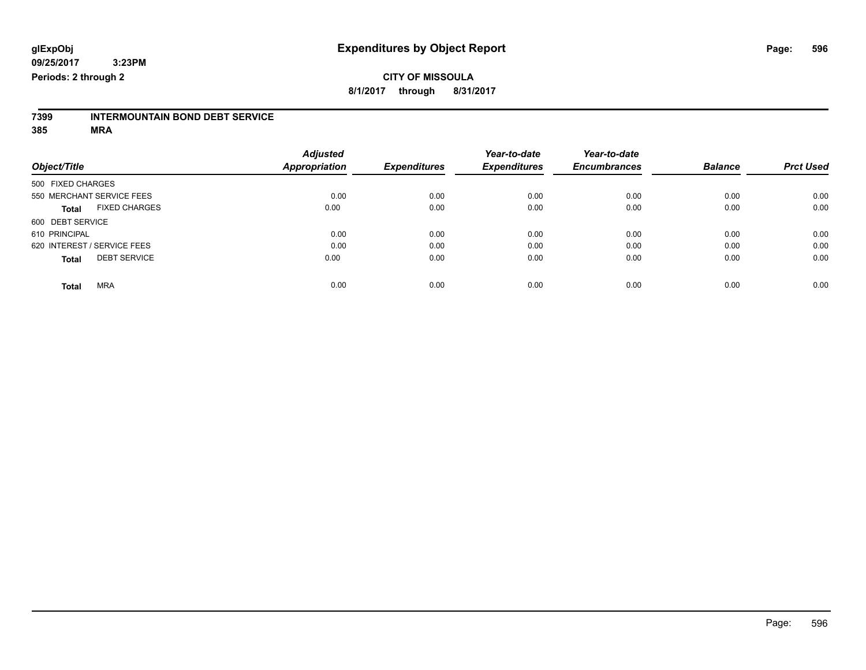## **CITY OF MISSOULA 8/1/2017 through 8/31/2017**

# **7399 INTERMOUNTAIN BOND DEBT SERVICE**

|                             |                      | <b>Adjusted</b>      |                     | Year-to-date        | Year-to-date        |                |                  |
|-----------------------------|----------------------|----------------------|---------------------|---------------------|---------------------|----------------|------------------|
| Object/Title                |                      | <b>Appropriation</b> | <b>Expenditures</b> | <b>Expenditures</b> | <b>Encumbrances</b> | <b>Balance</b> | <b>Prct Used</b> |
| 500 FIXED CHARGES           |                      |                      |                     |                     |                     |                |                  |
| 550 MERCHANT SERVICE FEES   |                      | 0.00                 | 0.00                | 0.00                | 0.00                | 0.00           | 0.00             |
| <b>Total</b>                | <b>FIXED CHARGES</b> | 0.00                 | 0.00                | 0.00                | 0.00                | 0.00           | 0.00             |
| 600 DEBT SERVICE            |                      |                      |                     |                     |                     |                |                  |
| 610 PRINCIPAL               |                      | 0.00                 | 0.00                | 0.00                | 0.00                | 0.00           | 0.00             |
| 620 INTEREST / SERVICE FEES |                      | 0.00                 | 0.00                | 0.00                | 0.00                | 0.00           | 0.00             |
| <b>Total</b>                | <b>DEBT SERVICE</b>  | 0.00                 | 0.00                | 0.00                | 0.00                | 0.00           | 0.00             |
| <b>MRA</b><br><b>Total</b>  |                      | 0.00                 | 0.00                | 0.00                | 0.00                | 0.00           | 0.00             |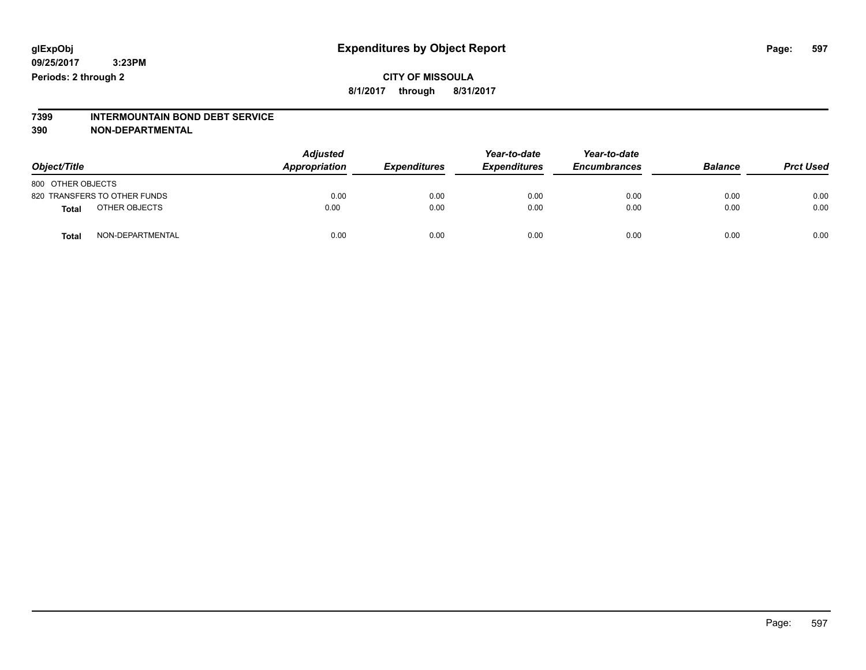## **CITY OF MISSOULA 8/1/2017 through 8/31/2017**

# **7399 INTERMOUNTAIN BOND DEBT SERVICE**

#### **390 NON-DEPARTMENTAL**

| Object/Title                     | <b>Adjusted</b><br>Appropriation | <b>Expenditures</b> | Year-to-date<br><b>Expenditures</b> | Year-to-date<br><b>Encumbrances</b> | <b>Balance</b> | <b>Prct Used</b> |
|----------------------------------|----------------------------------|---------------------|-------------------------------------|-------------------------------------|----------------|------------------|
| 800 OTHER OBJECTS                |                                  |                     |                                     |                                     |                |                  |
| 820 TRANSFERS TO OTHER FUNDS     | 0.00                             | 0.00                | 0.00                                | 0.00                                | 0.00           | 0.00             |
| OTHER OBJECTS<br>Total           | 0.00                             | 0.00                | 0.00                                | 0.00                                | 0.00           | 0.00             |
| NON-DEPARTMENTAL<br><b>Total</b> | 0.00                             | 0.00                | 0.00                                | 0.00                                | 0.00           | 0.00             |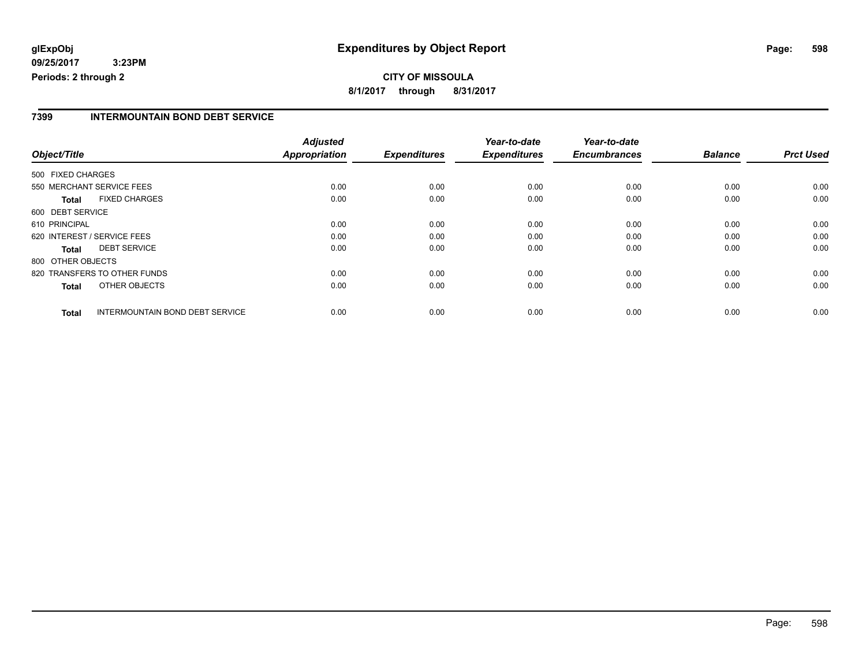# **CITY OF MISSOULA 8/1/2017 through 8/31/2017**

### **7399 INTERMOUNTAIN BOND DEBT SERVICE**

|                   |                                        | <b>Adjusted</b>      |                     | Year-to-date        | Year-to-date        |                |                  |
|-------------------|----------------------------------------|----------------------|---------------------|---------------------|---------------------|----------------|------------------|
| Object/Title      |                                        | <b>Appropriation</b> | <b>Expenditures</b> | <b>Expenditures</b> | <b>Encumbrances</b> | <b>Balance</b> | <b>Prct Used</b> |
| 500 FIXED CHARGES |                                        |                      |                     |                     |                     |                |                  |
|                   | 550 MERCHANT SERVICE FEES              | 0.00                 | 0.00                | 0.00                | 0.00                | 0.00           | 0.00             |
| <b>Total</b>      | <b>FIXED CHARGES</b>                   | 0.00                 | 0.00                | 0.00                | 0.00                | 0.00           | 0.00             |
| 600 DEBT SERVICE  |                                        |                      |                     |                     |                     |                |                  |
| 610 PRINCIPAL     |                                        | 0.00                 | 0.00                | 0.00                | 0.00                | 0.00           | 0.00             |
|                   | 620 INTEREST / SERVICE FEES            | 0.00                 | 0.00                | 0.00                | 0.00                | 0.00           | 0.00             |
| Total             | <b>DEBT SERVICE</b>                    | 0.00                 | 0.00                | 0.00                | 0.00                | 0.00           | 0.00             |
| 800 OTHER OBJECTS |                                        |                      |                     |                     |                     |                |                  |
|                   | 820 TRANSFERS TO OTHER FUNDS           | 0.00                 | 0.00                | 0.00                | 0.00                | 0.00           | 0.00             |
| <b>Total</b>      | OTHER OBJECTS                          | 0.00                 | 0.00                | 0.00                | 0.00                | 0.00           | 0.00             |
| <b>Total</b>      | <b>INTERMOUNTAIN BOND DEBT SERVICE</b> | 0.00                 | 0.00                | 0.00                | 0.00                | 0.00           | 0.00             |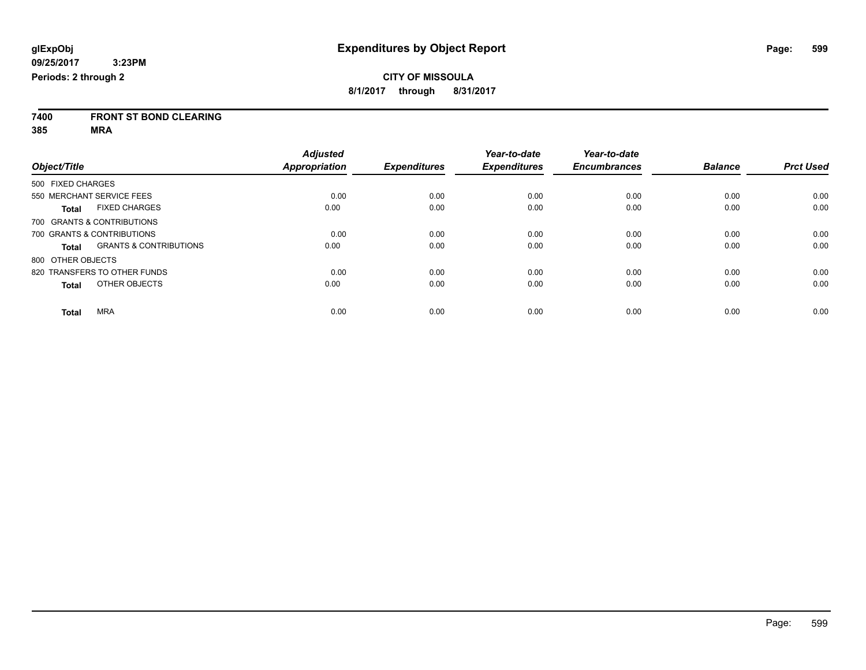**7400 FRONT ST BOND CLEARING**

|                              |                                   | <b>Adjusted</b> |                     | Year-to-date        | Year-to-date        |                |                  |
|------------------------------|-----------------------------------|-----------------|---------------------|---------------------|---------------------|----------------|------------------|
| Object/Title                 |                                   | Appropriation   | <b>Expenditures</b> | <b>Expenditures</b> | <b>Encumbrances</b> | <b>Balance</b> | <b>Prct Used</b> |
| 500 FIXED CHARGES            |                                   |                 |                     |                     |                     |                |                  |
| 550 MERCHANT SERVICE FEES    |                                   | 0.00            | 0.00                | 0.00                | 0.00                | 0.00           | 0.00             |
| <b>Total</b>                 | <b>FIXED CHARGES</b>              | 0.00            | 0.00                | 0.00                | 0.00                | 0.00           | 0.00             |
| 700 GRANTS & CONTRIBUTIONS   |                                   |                 |                     |                     |                     |                |                  |
| 700 GRANTS & CONTRIBUTIONS   |                                   | 0.00            | 0.00                | 0.00                | 0.00                | 0.00           | 0.00             |
| Total                        | <b>GRANTS &amp; CONTRIBUTIONS</b> | 0.00            | 0.00                | 0.00                | 0.00                | 0.00           | 0.00             |
| 800 OTHER OBJECTS            |                                   |                 |                     |                     |                     |                |                  |
| 820 TRANSFERS TO OTHER FUNDS |                                   | 0.00            | 0.00                | 0.00                | 0.00                | 0.00           | 0.00             |
| <b>Total</b>                 | OTHER OBJECTS                     | 0.00            | 0.00                | 0.00                | 0.00                | 0.00           | 0.00             |
| <b>MRA</b><br><b>Total</b>   |                                   | 0.00            | 0.00                | 0.00                | 0.00                | 0.00           | 0.00             |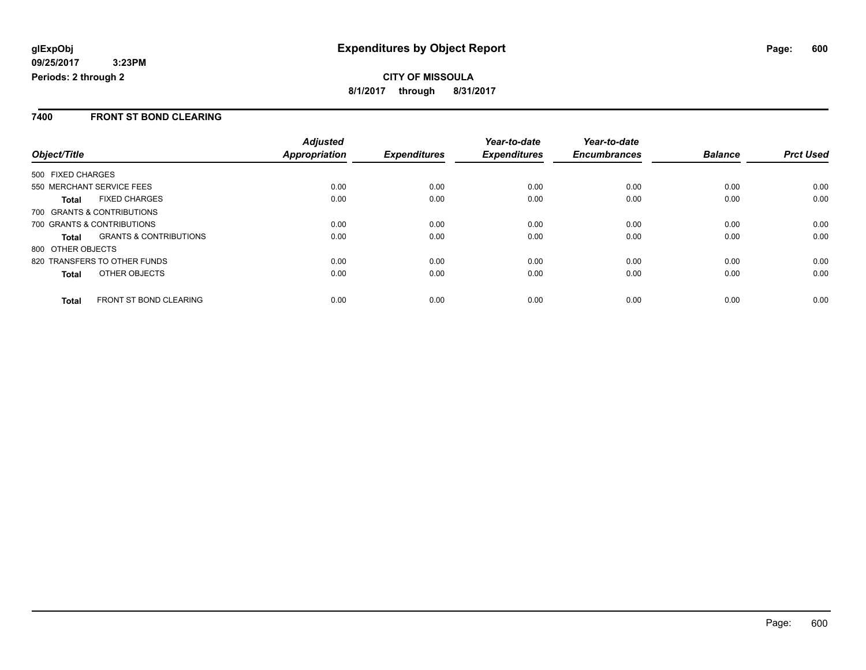### **7400 FRONT ST BOND CLEARING**

|                                                   | <b>Adjusted</b> |                     | Year-to-date        | Year-to-date        |                |                  |
|---------------------------------------------------|-----------------|---------------------|---------------------|---------------------|----------------|------------------|
| Object/Title                                      | Appropriation   | <b>Expenditures</b> | <b>Expenditures</b> | <b>Encumbrances</b> | <b>Balance</b> | <b>Prct Used</b> |
| 500 FIXED CHARGES                                 |                 |                     |                     |                     |                |                  |
| 550 MERCHANT SERVICE FEES                         | 0.00            | 0.00                | 0.00                | 0.00                | 0.00           | 0.00             |
| <b>FIXED CHARGES</b><br><b>Total</b>              | 0.00            | 0.00                | 0.00                | 0.00                | 0.00           | 0.00             |
| 700 GRANTS & CONTRIBUTIONS                        |                 |                     |                     |                     |                |                  |
| 700 GRANTS & CONTRIBUTIONS                        | 0.00            | 0.00                | 0.00                | 0.00                | 0.00           | 0.00             |
| <b>GRANTS &amp; CONTRIBUTIONS</b><br><b>Total</b> | 0.00            | 0.00                | 0.00                | 0.00                | 0.00           | 0.00             |
| 800 OTHER OBJECTS                                 |                 |                     |                     |                     |                |                  |
| 820 TRANSFERS TO OTHER FUNDS                      | 0.00            | 0.00                | 0.00                | 0.00                | 0.00           | 0.00             |
| <b>OTHER OBJECTS</b><br><b>Total</b>              | 0.00            | 0.00                | 0.00                | 0.00                | 0.00           | 0.00             |
| <b>FRONT ST BOND CLEARING</b><br><b>Total</b>     | 0.00            | 0.00                | 0.00                | 0.00                | 0.00           | 0.00             |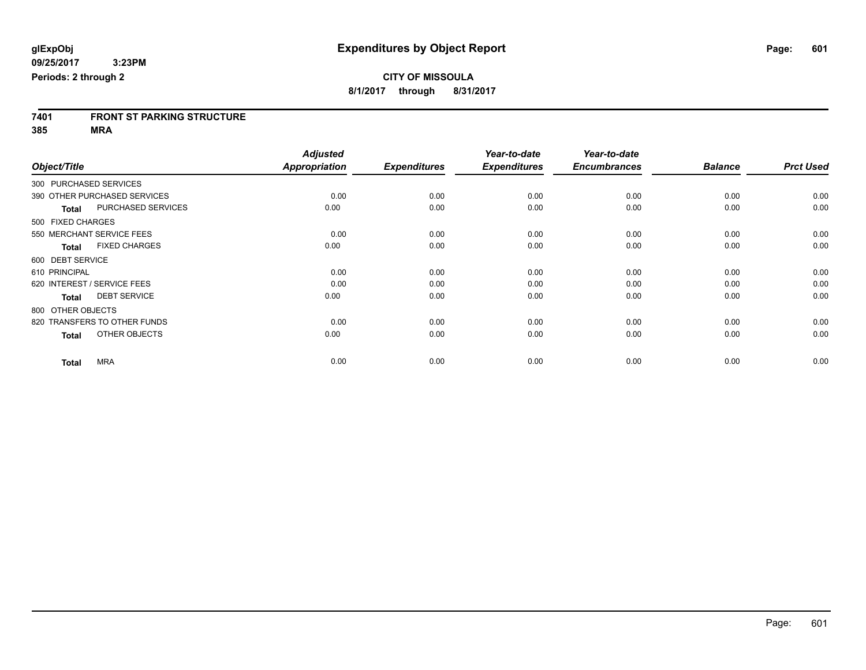# **7401 FRONT ST PARKING STRUCTURE**

|                   |                              | <b>Adjusted</b> |                     | Year-to-date        | Year-to-date        |                |                  |
|-------------------|------------------------------|-----------------|---------------------|---------------------|---------------------|----------------|------------------|
| Object/Title      |                              | Appropriation   | <b>Expenditures</b> | <b>Expenditures</b> | <b>Encumbrances</b> | <b>Balance</b> | <b>Prct Used</b> |
|                   | 300 PURCHASED SERVICES       |                 |                     |                     |                     |                |                  |
|                   | 390 OTHER PURCHASED SERVICES | 0.00            | 0.00                | 0.00                | 0.00                | 0.00           | 0.00             |
| <b>Total</b>      | PURCHASED SERVICES           | 0.00            | 0.00                | 0.00                | 0.00                | 0.00           | 0.00             |
| 500 FIXED CHARGES |                              |                 |                     |                     |                     |                |                  |
|                   | 550 MERCHANT SERVICE FEES    | 0.00            | 0.00                | 0.00                | 0.00                | 0.00           | 0.00             |
| <b>Total</b>      | <b>FIXED CHARGES</b>         | 0.00            | 0.00                | 0.00                | 0.00                | 0.00           | 0.00             |
| 600 DEBT SERVICE  |                              |                 |                     |                     |                     |                |                  |
| 610 PRINCIPAL     |                              | 0.00            | 0.00                | 0.00                | 0.00                | 0.00           | 0.00             |
|                   | 620 INTEREST / SERVICE FEES  | 0.00            | 0.00                | 0.00                | 0.00                | 0.00           | 0.00             |
| <b>Total</b>      | <b>DEBT SERVICE</b>          | 0.00            | 0.00                | 0.00                | 0.00                | 0.00           | 0.00             |
| 800 OTHER OBJECTS |                              |                 |                     |                     |                     |                |                  |
|                   | 820 TRANSFERS TO OTHER FUNDS | 0.00            | 0.00                | 0.00                | 0.00                | 0.00           | 0.00             |
| <b>Total</b>      | OTHER OBJECTS                | 0.00            | 0.00                | 0.00                | 0.00                | 0.00           | 0.00             |
| <b>Total</b>      | <b>MRA</b>                   | 0.00            | 0.00                | 0.00                | 0.00                | 0.00           | 0.00             |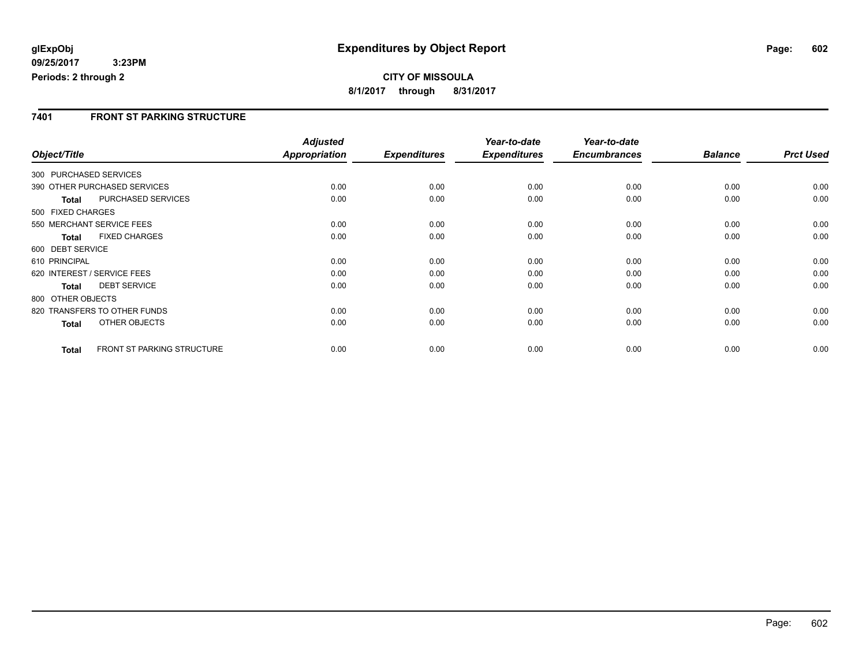# **CITY OF MISSOULA 8/1/2017 through 8/31/2017**

### **7401 FRONT ST PARKING STRUCTURE**

|                        |                                   | <b>Adjusted</b> |                     | Year-to-date        | Year-to-date        |                |                  |
|------------------------|-----------------------------------|-----------------|---------------------|---------------------|---------------------|----------------|------------------|
| Object/Title           |                                   | Appropriation   | <b>Expenditures</b> | <b>Expenditures</b> | <b>Encumbrances</b> | <b>Balance</b> | <b>Prct Used</b> |
| 300 PURCHASED SERVICES |                                   |                 |                     |                     |                     |                |                  |
|                        | 390 OTHER PURCHASED SERVICES      | 0.00            | 0.00                | 0.00                | 0.00                | 0.00           | 0.00             |
| <b>Total</b>           | PURCHASED SERVICES                | 0.00            | 0.00                | 0.00                | 0.00                | 0.00           | 0.00             |
| 500 FIXED CHARGES      |                                   |                 |                     |                     |                     |                |                  |
|                        | 550 MERCHANT SERVICE FEES         | 0.00            | 0.00                | 0.00                | 0.00                | 0.00           | 0.00             |
| <b>Total</b>           | <b>FIXED CHARGES</b>              | 0.00            | 0.00                | 0.00                | 0.00                | 0.00           | 0.00             |
| 600 DEBT SERVICE       |                                   |                 |                     |                     |                     |                |                  |
| 610 PRINCIPAL          |                                   | 0.00            | 0.00                | 0.00                | 0.00                | 0.00           | 0.00             |
|                        | 620 INTEREST / SERVICE FEES       | 0.00            | 0.00                | 0.00                | 0.00                | 0.00           | 0.00             |
| <b>Total</b>           | <b>DEBT SERVICE</b>               | 0.00            | 0.00                | 0.00                | 0.00                | 0.00           | 0.00             |
| 800 OTHER OBJECTS      |                                   |                 |                     |                     |                     |                |                  |
|                        | 820 TRANSFERS TO OTHER FUNDS      | 0.00            | 0.00                | 0.00                | 0.00                | 0.00           | 0.00             |
| <b>Total</b>           | OTHER OBJECTS                     | 0.00            | 0.00                | 0.00                | 0.00                | 0.00           | 0.00             |
| <b>Total</b>           | <b>FRONT ST PARKING STRUCTURE</b> | 0.00            | 0.00                | 0.00                | 0.00                | 0.00           | 0.00             |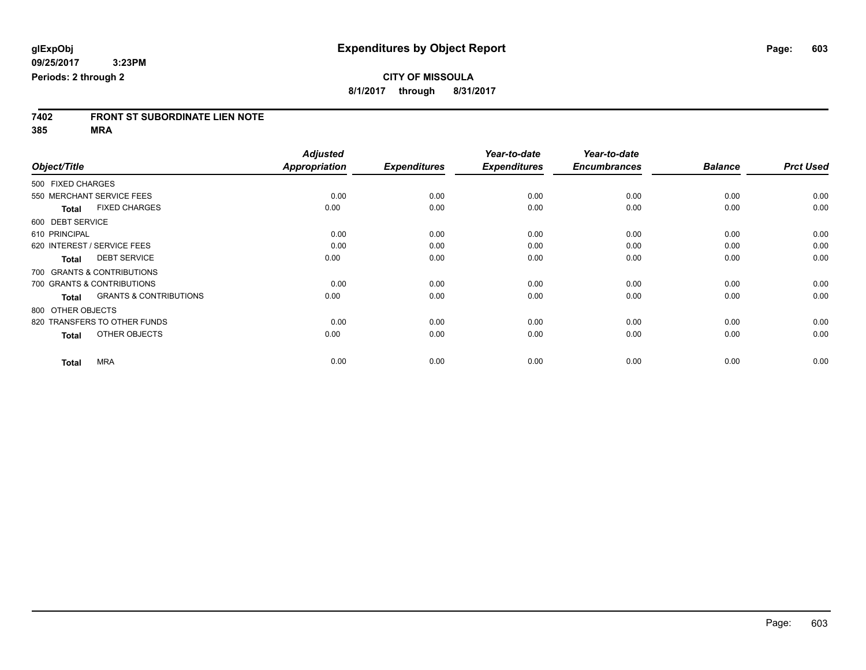# **7402 FRONT ST SUBORDINATE LIEN NOTE**

|                   |                                   | <b>Adjusted</b>      |                     | Year-to-date        | Year-to-date        |                |                  |
|-------------------|-----------------------------------|----------------------|---------------------|---------------------|---------------------|----------------|------------------|
| Object/Title      |                                   | <b>Appropriation</b> | <b>Expenditures</b> | <b>Expenditures</b> | <b>Encumbrances</b> | <b>Balance</b> | <b>Prct Used</b> |
| 500 FIXED CHARGES |                                   |                      |                     |                     |                     |                |                  |
|                   | 550 MERCHANT SERVICE FEES         | 0.00                 | 0.00                | 0.00                | 0.00                | 0.00           | 0.00             |
| <b>Total</b>      | <b>FIXED CHARGES</b>              | 0.00                 | 0.00                | 0.00                | 0.00                | 0.00           | 0.00             |
| 600 DEBT SERVICE  |                                   |                      |                     |                     |                     |                |                  |
| 610 PRINCIPAL     |                                   | 0.00                 | 0.00                | 0.00                | 0.00                | 0.00           | 0.00             |
|                   | 620 INTEREST / SERVICE FEES       | 0.00                 | 0.00                | 0.00                | 0.00                | 0.00           | 0.00             |
| <b>Total</b>      | <b>DEBT SERVICE</b>               | 0.00                 | 0.00                | 0.00                | 0.00                | 0.00           | 0.00             |
|                   | 700 GRANTS & CONTRIBUTIONS        |                      |                     |                     |                     |                |                  |
|                   | 700 GRANTS & CONTRIBUTIONS        | 0.00                 | 0.00                | 0.00                | 0.00                | 0.00           | 0.00             |
| <b>Total</b>      | <b>GRANTS &amp; CONTRIBUTIONS</b> | 0.00                 | 0.00                | 0.00                | 0.00                | 0.00           | 0.00             |
| 800 OTHER OBJECTS |                                   |                      |                     |                     |                     |                |                  |
|                   | 820 TRANSFERS TO OTHER FUNDS      | 0.00                 | 0.00                | 0.00                | 0.00                | 0.00           | 0.00             |
| <b>Total</b>      | OTHER OBJECTS                     | 0.00                 | 0.00                | 0.00                | 0.00                | 0.00           | 0.00             |
| <b>Total</b>      | <b>MRA</b>                        | 0.00                 | 0.00                | 0.00                | 0.00                | 0.00           | 0.00             |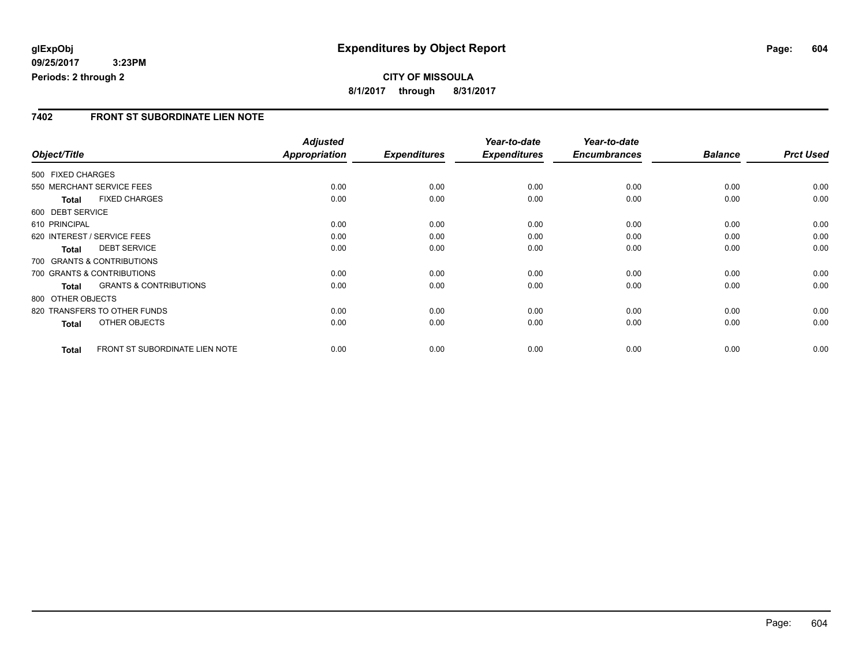### **7402 FRONT ST SUBORDINATE LIEN NOTE**

|                   |                                   | <b>Adjusted</b>      |                     | Year-to-date        | Year-to-date        |                |                  |
|-------------------|-----------------------------------|----------------------|---------------------|---------------------|---------------------|----------------|------------------|
| Object/Title      |                                   | <b>Appropriation</b> | <b>Expenditures</b> | <b>Expenditures</b> | <b>Encumbrances</b> | <b>Balance</b> | <b>Prct Used</b> |
| 500 FIXED CHARGES |                                   |                      |                     |                     |                     |                |                  |
|                   | 550 MERCHANT SERVICE FEES         | 0.00                 | 0.00                | 0.00                | 0.00                | 0.00           | 0.00             |
| <b>Total</b>      | <b>FIXED CHARGES</b>              | 0.00                 | 0.00                | 0.00                | 0.00                | 0.00           | 0.00             |
| 600 DEBT SERVICE  |                                   |                      |                     |                     |                     |                |                  |
| 610 PRINCIPAL     |                                   | 0.00                 | 0.00                | 0.00                | 0.00                | 0.00           | 0.00             |
|                   | 620 INTEREST / SERVICE FEES       | 0.00                 | 0.00                | 0.00                | 0.00                | 0.00           | 0.00             |
| <b>Total</b>      | <b>DEBT SERVICE</b>               | 0.00                 | 0.00                | 0.00                | 0.00                | 0.00           | 0.00             |
|                   | 700 GRANTS & CONTRIBUTIONS        |                      |                     |                     |                     |                |                  |
|                   | 700 GRANTS & CONTRIBUTIONS        | 0.00                 | 0.00                | 0.00                | 0.00                | 0.00           | 0.00             |
| <b>Total</b>      | <b>GRANTS &amp; CONTRIBUTIONS</b> | 0.00                 | 0.00                | 0.00                | 0.00                | 0.00           | 0.00             |
| 800 OTHER OBJECTS |                                   |                      |                     |                     |                     |                |                  |
|                   | 820 TRANSFERS TO OTHER FUNDS      | 0.00                 | 0.00                | 0.00                | 0.00                | 0.00           | 0.00             |
| <b>Total</b>      | OTHER OBJECTS                     | 0.00                 | 0.00                | 0.00                | 0.00                | 0.00           | 0.00             |
| <b>Total</b>      | FRONT ST SUBORDINATE LIEN NOTE    | 0.00                 | 0.00                | 0.00                | 0.00                | 0.00           | 0.00             |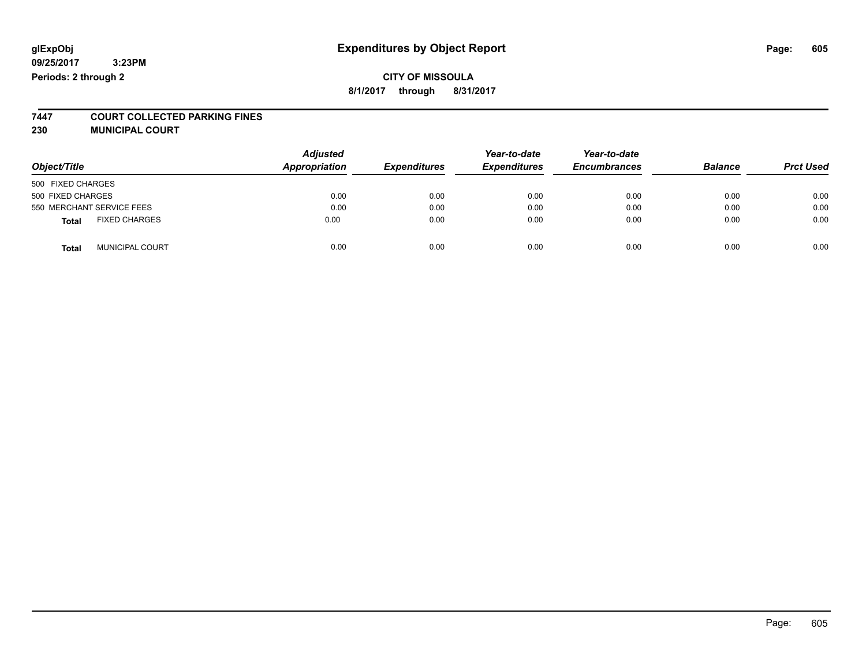## **CITY OF MISSOULA 8/1/2017 through 8/31/2017**

# **7447 COURT COLLECTED PARKING FINES**

**230 MUNICIPAL COURT**

| Object/Title                           | <b>Adjusted</b><br>Appropriation | <b>Expenditures</b> | Year-to-date<br><b>Expenditures</b> | Year-to-date<br><b>Encumbrances</b> | <b>Balance</b> | <b>Prct Used</b> |
|----------------------------------------|----------------------------------|---------------------|-------------------------------------|-------------------------------------|----------------|------------------|
| 500 FIXED CHARGES                      |                                  |                     |                                     |                                     |                |                  |
| 500 FIXED CHARGES                      | 0.00                             | 0.00                | 0.00                                | 0.00                                | 0.00           | 0.00             |
| 550 MERCHANT SERVICE FEES              | 0.00                             | 0.00                | 0.00                                | 0.00                                | 0.00           | 0.00             |
| <b>FIXED CHARGES</b><br><b>Total</b>   | 0.00                             | 0.00                | 0.00                                | 0.00                                | 0.00           | 0.00             |
| <b>MUNICIPAL COURT</b><br><b>Total</b> | 0.00                             | 0.00                | 0.00                                | 0.00                                | 0.00           | 0.00             |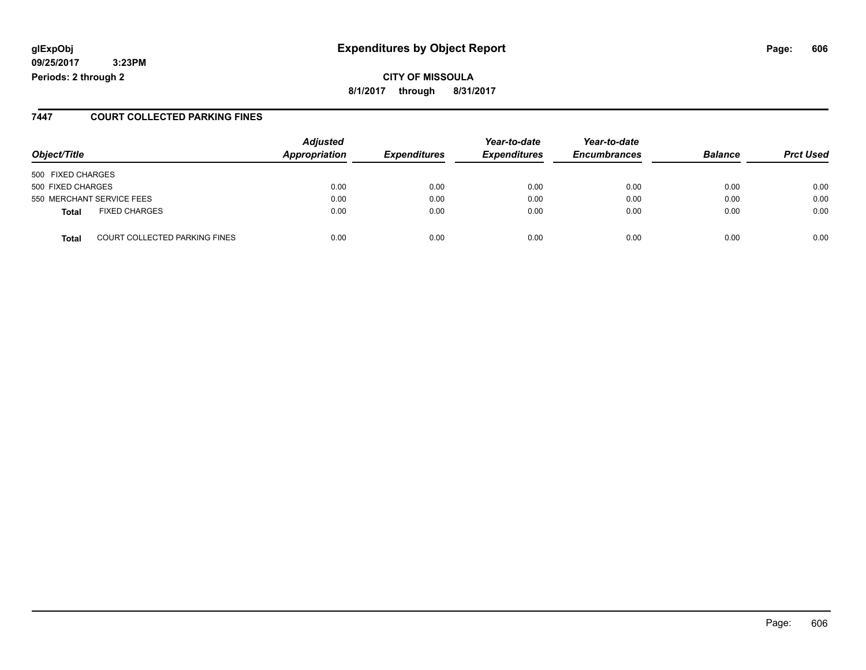# **glExpObj Expenditures by Object Report Page: 606**

**09/25/2017 3:23PM Periods: 2 through 2**

### **7447 COURT COLLECTED PARKING FINES**

| Object/Title      |                               | <b>Adjusted</b><br>Appropriation | <b>Expenditures</b> | Year-to-date<br><b>Expenditures</b> | Year-to-date<br><b>Encumbrances</b> | <b>Balance</b> | <b>Prct Used</b> |
|-------------------|-------------------------------|----------------------------------|---------------------|-------------------------------------|-------------------------------------|----------------|------------------|
| 500 FIXED CHARGES |                               |                                  |                     |                                     |                                     |                |                  |
| 500 FIXED CHARGES |                               | 0.00                             | 0.00                | 0.00                                | 0.00                                | 0.00           | 0.00             |
|                   | 550 MERCHANT SERVICE FEES     | 0.00                             | 0.00                | 0.00                                | 0.00                                | 0.00           | 0.00             |
| <b>Total</b>      | <b>FIXED CHARGES</b>          | 0.00                             | 0.00                | 0.00                                | 0.00                                | 0.00           | 0.00             |
| <b>Total</b>      | COURT COLLECTED PARKING FINES | 0.00                             | 0.00                | 0.00                                | 0.00                                | 0.00           | 0.00             |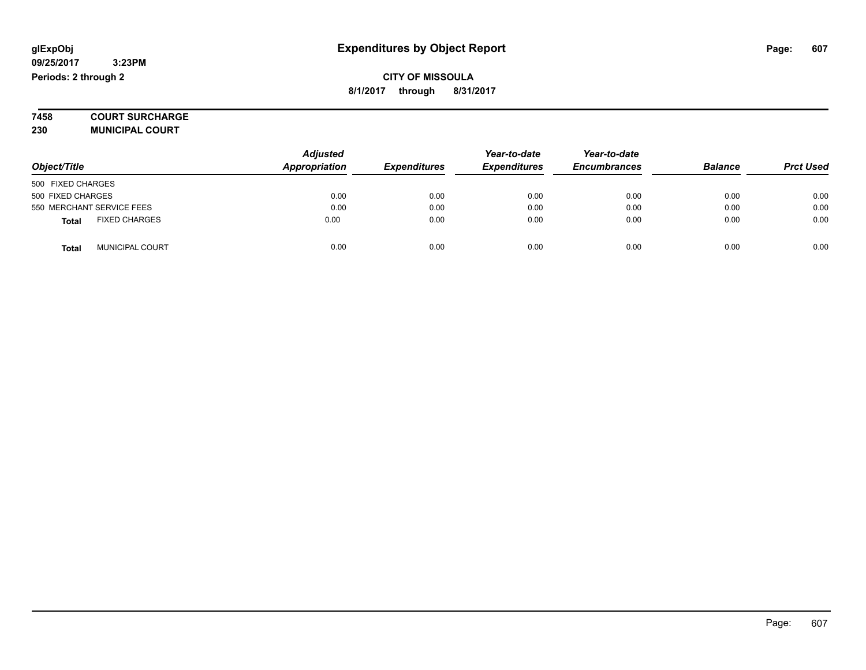**7458 COURT SURCHARGE**

**230 MUNICIPAL COURT**

|                           |                        | <b>Adjusted</b>      |                     | Year-to-date        | Year-to-date        |                |                  |
|---------------------------|------------------------|----------------------|---------------------|---------------------|---------------------|----------------|------------------|
| Object/Title              |                        | <b>Appropriation</b> | <b>Expenditures</b> | <b>Expenditures</b> | <b>Encumbrances</b> | <b>Balance</b> | <b>Prct Used</b> |
| 500 FIXED CHARGES         |                        |                      |                     |                     |                     |                |                  |
| 500 FIXED CHARGES         |                        | 0.00                 | 0.00                | 0.00                | 0.00                | 0.00           | 0.00             |
| 550 MERCHANT SERVICE FEES |                        | 0.00                 | 0.00                | 0.00                | 0.00                | 0.00           | 0.00             |
| <b>Total</b>              | <b>FIXED CHARGES</b>   | 0.00                 | 0.00                | 0.00                | 0.00                | 0.00           | 0.00             |
| Total                     | <b>MUNICIPAL COURT</b> | 0.00                 | 0.00                | 0.00                | 0.00                | 0.00           | 0.00             |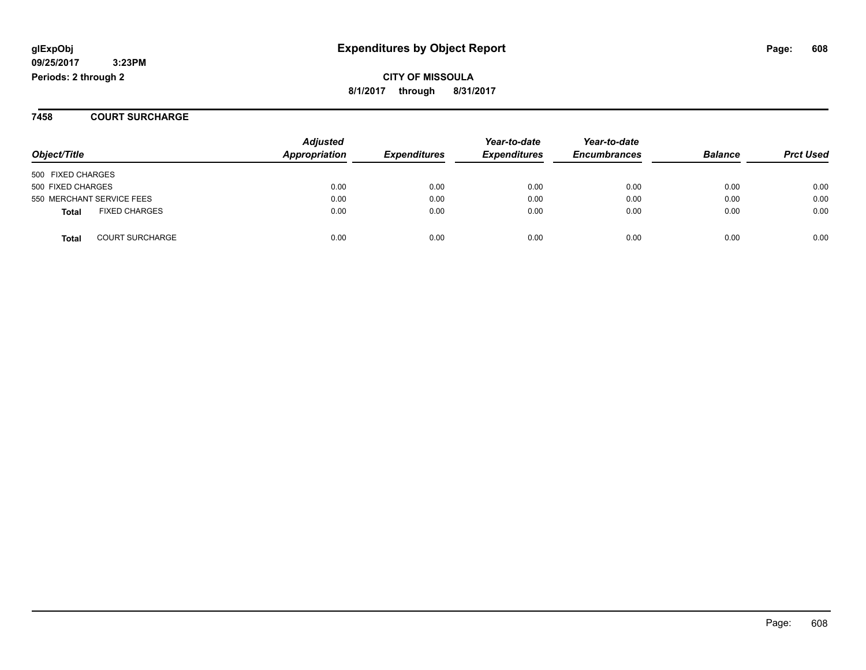**CITY OF MISSOULA 8/1/2017 through 8/31/2017**

**7458 COURT SURCHARGE**

| Object/Title              |                        | <b>Adjusted</b><br>Appropriation | <b>Expenditures</b> | Year-to-date<br><b>Expenditures</b> | Year-to-date<br><b>Encumbrances</b> | <b>Balance</b> | <b>Prct Used</b> |
|---------------------------|------------------------|----------------------------------|---------------------|-------------------------------------|-------------------------------------|----------------|------------------|
| 500 FIXED CHARGES         |                        |                                  |                     |                                     |                                     |                |                  |
| 500 FIXED CHARGES         |                        | 0.00                             | 0.00                | 0.00                                | 0.00                                | 0.00           | 0.00             |
| 550 MERCHANT SERVICE FEES |                        | 0.00                             | 0.00                | 0.00                                | 0.00                                | 0.00           | 0.00             |
| <b>Total</b>              | <b>FIXED CHARGES</b>   | 0.00                             | 0.00                | 0.00                                | 0.00                                | 0.00           | 0.00             |
| <b>Total</b>              | <b>COURT SURCHARGE</b> | 0.00                             | 0.00                | 0.00                                | 0.00                                | 0.00           | 0.00             |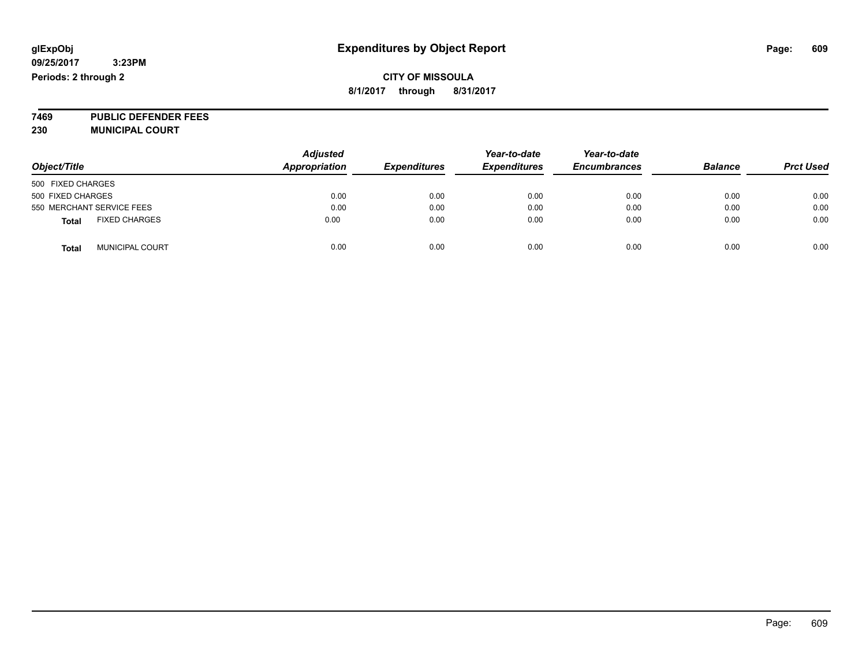## **CITY OF MISSOULA 8/1/2017 through 8/31/2017**

**7469 PUBLIC DEFENDER FEES 230 MUNICIPAL COURT**

| Object/Title                           | <b>Adjusted</b><br><b>Appropriation</b> | <b>Expenditures</b> | Year-to-date<br><b>Expenditures</b> | Year-to-date<br><b>Encumbrances</b> | <b>Balance</b> | <b>Prct Used</b> |
|----------------------------------------|-----------------------------------------|---------------------|-------------------------------------|-------------------------------------|----------------|------------------|
| 500 FIXED CHARGES                      |                                         |                     |                                     |                                     |                |                  |
| 500 FIXED CHARGES                      | 0.00                                    | 0.00                | 0.00                                | 0.00                                | 0.00           | 0.00             |
| 550 MERCHANT SERVICE FEES              | 0.00                                    | 0.00                | 0.00                                | 0.00                                | 0.00           | 0.00             |
| <b>FIXED CHARGES</b><br><b>Total</b>   | 0.00                                    | 0.00                | 0.00                                | 0.00                                | 0.00           | 0.00             |
| <b>MUNICIPAL COURT</b><br><b>Total</b> | 0.00                                    | 0.00                | 0.00                                | 0.00                                | 0.00           | 0.00             |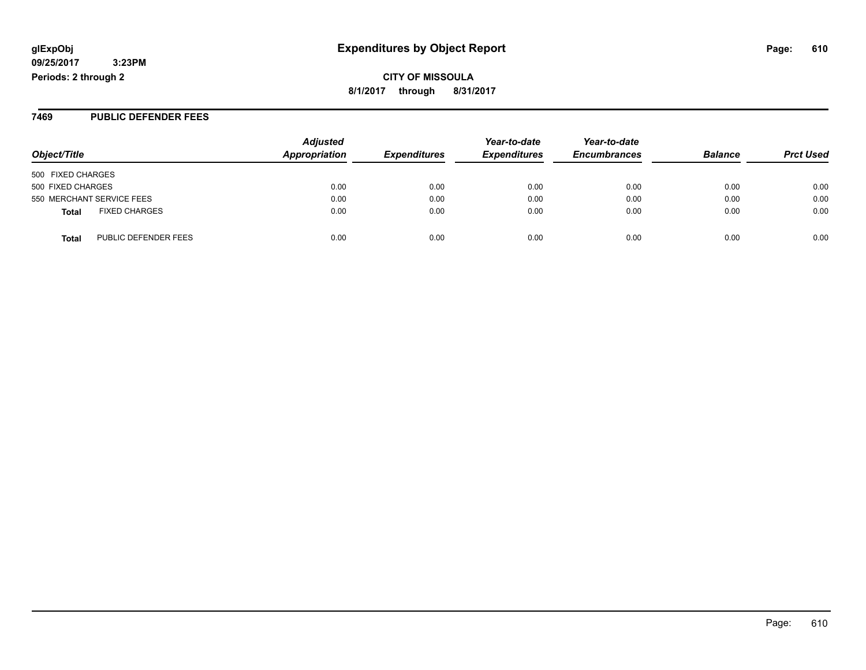**8/1/2017 through 8/31/2017**

#### **7469 PUBLIC DEFENDER FEES**

| Object/Title                         | <b>Adjusted</b><br>Appropriation | <b>Expenditures</b> | Year-to-date<br><b>Expenditures</b> | Year-to-date<br><b>Encumbrances</b> | <b>Balance</b> | <b>Prct Used</b> |
|--------------------------------------|----------------------------------|---------------------|-------------------------------------|-------------------------------------|----------------|------------------|
| 500 FIXED CHARGES                    |                                  |                     |                                     |                                     |                |                  |
| 500 FIXED CHARGES                    | 0.00                             | 0.00                | 0.00                                | 0.00                                | 0.00           | 0.00             |
| 550 MERCHANT SERVICE FEES            | 0.00                             | 0.00                | 0.00                                | 0.00                                | 0.00           | 0.00             |
| <b>FIXED CHARGES</b><br><b>Total</b> | 0.00                             | 0.00                | 0.00                                | 0.00                                | 0.00           | 0.00             |
| PUBLIC DEFENDER FEES<br>Total        | 0.00                             | 0.00                | 0.00                                | 0.00                                | 0.00           | 0.00             |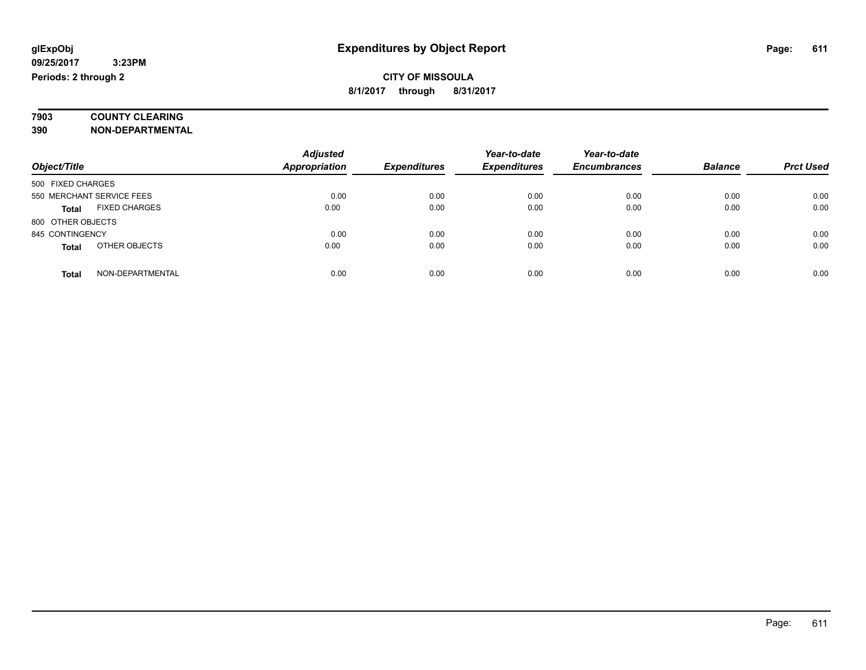# **7903 COUNTY CLEARING**

**390 NON-DEPARTMENTAL**

|                                      | <b>Adjusted</b>      |                     | Year-to-date        | Year-to-date        |                |                  |
|--------------------------------------|----------------------|---------------------|---------------------|---------------------|----------------|------------------|
| Object/Title                         | <b>Appropriation</b> | <b>Expenditures</b> | <b>Expenditures</b> | <b>Encumbrances</b> | <b>Balance</b> | <b>Prct Used</b> |
| 500 FIXED CHARGES                    |                      |                     |                     |                     |                |                  |
| 550 MERCHANT SERVICE FEES            | 0.00                 | 0.00                | 0.00                | 0.00                | 0.00           | 0.00             |
| <b>FIXED CHARGES</b><br><b>Total</b> | 0.00                 | 0.00                | 0.00                | 0.00                | 0.00           | 0.00             |
| 800 OTHER OBJECTS                    |                      |                     |                     |                     |                |                  |
| 845 CONTINGENCY                      | 0.00                 | 0.00                | 0.00                | 0.00                | 0.00           | 0.00             |
| OTHER OBJECTS<br><b>Total</b>        | 0.00                 | 0.00                | 0.00                | 0.00                | 0.00           | 0.00             |
| NON-DEPARTMENTAL<br>Total            | 0.00                 | 0.00                | 0.00                | 0.00                | 0.00           | 0.00             |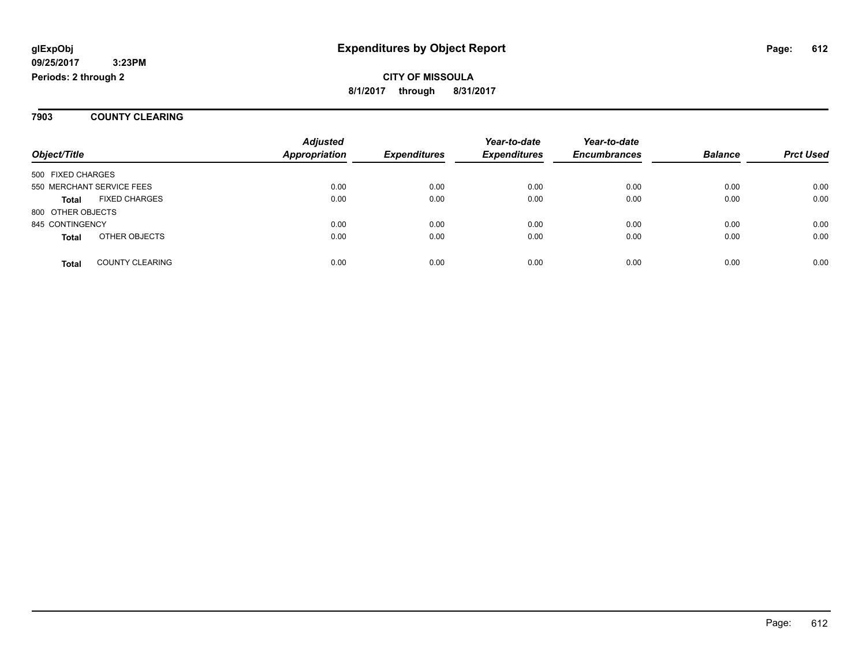**7903 COUNTY CLEARING**

| Object/Title                           | <b>Adjusted</b><br>Appropriation | <b>Expenditures</b> | Year-to-date<br><b>Expenditures</b> | Year-to-date<br><b>Encumbrances</b> | <b>Balance</b> | <b>Prct Used</b> |
|----------------------------------------|----------------------------------|---------------------|-------------------------------------|-------------------------------------|----------------|------------------|
|                                        |                                  |                     |                                     |                                     |                |                  |
| 500 FIXED CHARGES                      |                                  |                     |                                     |                                     |                |                  |
| 550 MERCHANT SERVICE FEES              | 0.00                             | 0.00                | 0.00                                | 0.00                                | 0.00           | 0.00             |
| <b>FIXED CHARGES</b><br><b>Total</b>   | 0.00                             | 0.00                | 0.00                                | 0.00                                | 0.00           | 0.00             |
| 800 OTHER OBJECTS                      |                                  |                     |                                     |                                     |                |                  |
| 845 CONTINGENCY                        | 0.00                             | 0.00                | 0.00                                | 0.00                                | 0.00           | 0.00             |
| OTHER OBJECTS<br><b>Total</b>          | 0.00                             | 0.00                | 0.00                                | 0.00                                | 0.00           | 0.00             |
|                                        |                                  |                     |                                     |                                     |                |                  |
| <b>COUNTY CLEARING</b><br><b>Total</b> | 0.00                             | 0.00                | 0.00                                | 0.00                                | 0.00           | 0.00             |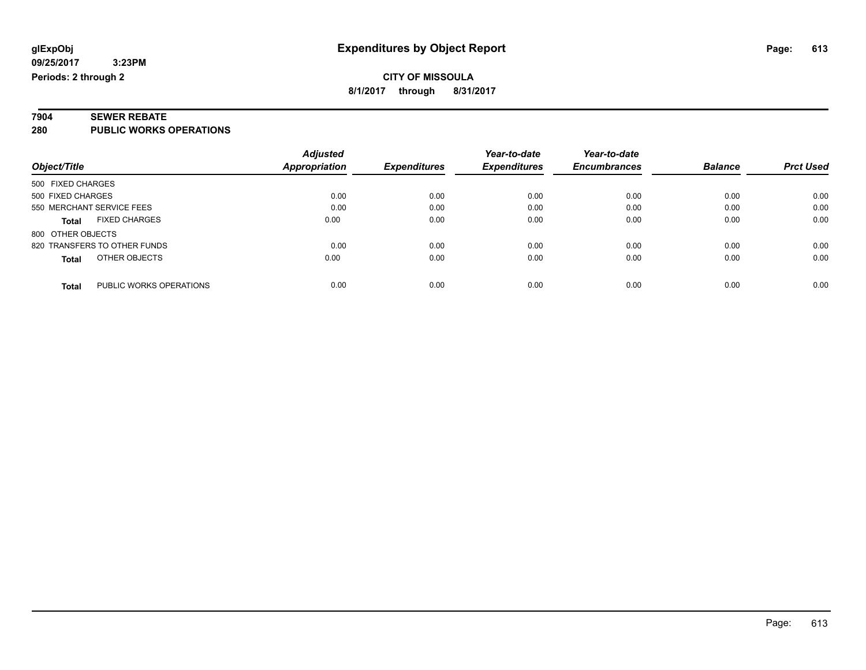# **7904 SEWER REBATE**

**280 PUBLIC WORKS OPERATIONS**

|                                         | <b>Adjusted</b> |                     | Year-to-date        | Year-to-date        |                |                  |
|-----------------------------------------|-----------------|---------------------|---------------------|---------------------|----------------|------------------|
| Object/Title                            | Appropriation   | <b>Expenditures</b> | <b>Expenditures</b> | <b>Encumbrances</b> | <b>Balance</b> | <b>Prct Used</b> |
| 500 FIXED CHARGES                       |                 |                     |                     |                     |                |                  |
| 500 FIXED CHARGES                       | 0.00            | 0.00                | 0.00                | 0.00                | 0.00           | 0.00             |
| 550 MERCHANT SERVICE FEES               | 0.00            | 0.00                | 0.00                | 0.00                | 0.00           | 0.00             |
| <b>FIXED CHARGES</b><br><b>Total</b>    | 0.00            | 0.00                | 0.00                | 0.00                | 0.00           | 0.00             |
| 800 OTHER OBJECTS                       |                 |                     |                     |                     |                |                  |
| 820 TRANSFERS TO OTHER FUNDS            | 0.00            | 0.00                | 0.00                | 0.00                | 0.00           | 0.00             |
| OTHER OBJECTS<br><b>Total</b>           | 0.00            | 0.00                | 0.00                | 0.00                | 0.00           | 0.00             |
| PUBLIC WORKS OPERATIONS<br><b>Total</b> | 0.00            | 0.00                | 0.00                | 0.00                | 0.00           | 0.00             |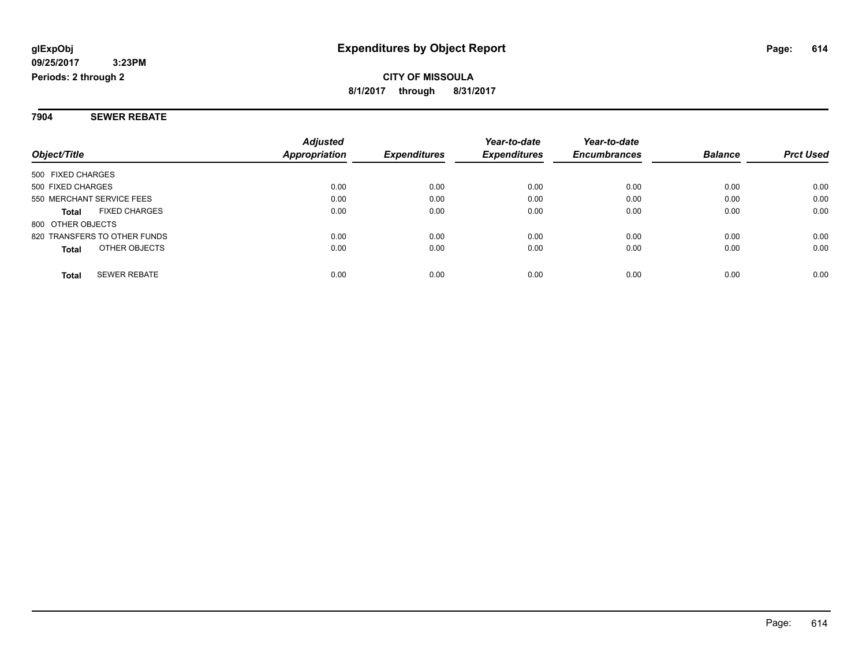**7904 SEWER REBATE**

|                                     | <b>Adjusted</b> |                     | Year-to-date        | Year-to-date        |                |                  |
|-------------------------------------|-----------------|---------------------|---------------------|---------------------|----------------|------------------|
| Object/Title                        | Appropriation   | <b>Expenditures</b> | <b>Expenditures</b> | <b>Encumbrances</b> | <b>Balance</b> | <b>Prct Used</b> |
| 500 FIXED CHARGES                   |                 |                     |                     |                     |                |                  |
| 500 FIXED CHARGES                   | 0.00            | 0.00                | 0.00                | 0.00                | 0.00           | 0.00             |
| 550 MERCHANT SERVICE FEES           | 0.00            | 0.00                | 0.00                | 0.00                | 0.00           | 0.00             |
| <b>FIXED CHARGES</b><br>Total       | 0.00            | 0.00                | 0.00                | 0.00                | 0.00           | 0.00             |
| 800 OTHER OBJECTS                   |                 |                     |                     |                     |                |                  |
| 820 TRANSFERS TO OTHER FUNDS        | 0.00            | 0.00                | 0.00                | 0.00                | 0.00           | 0.00             |
| OTHER OBJECTS<br>Total              | 0.00            | 0.00                | 0.00                | 0.00                | 0.00           | 0.00             |
| <b>SEWER REBATE</b><br><b>Total</b> | 0.00            | 0.00                | 0.00                | 0.00                | 0.00           | 0.00             |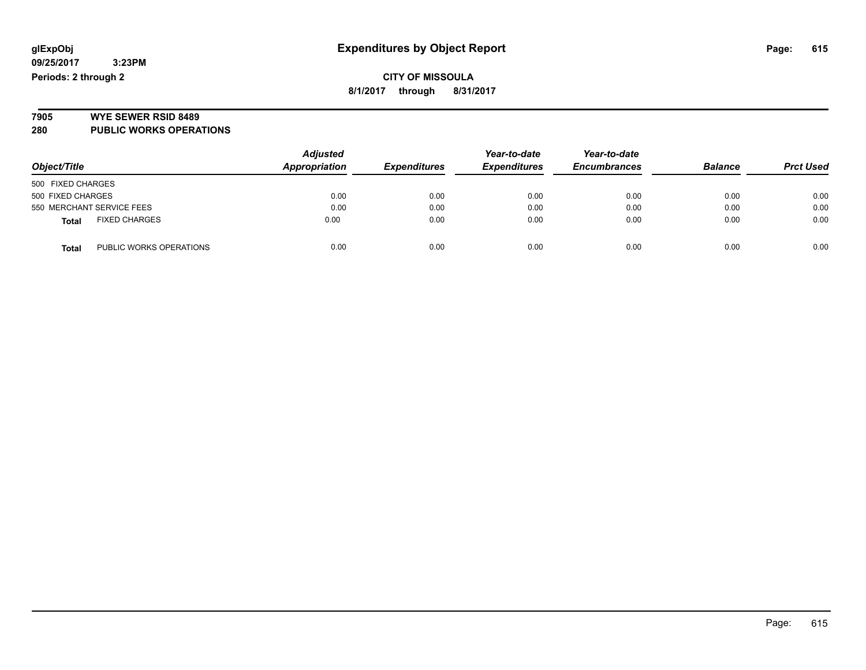**09/25/2017 3:23PM Periods: 2 through 2**

**CITY OF MISSOULA 8/1/2017 through 8/31/2017**

# **7905 WYE SEWER RSID 8489**

**280 PUBLIC WORKS OPERATIONS**

|                                         | <b>Adjusted</b> | Year-to-date        | Year-to-date        |                     |                |                  |
|-----------------------------------------|-----------------|---------------------|---------------------|---------------------|----------------|------------------|
| Object/Title                            | Appropriation   | <b>Expenditures</b> | <b>Expenditures</b> | <b>Encumbrances</b> | <b>Balance</b> | <b>Prct Used</b> |
| 500 FIXED CHARGES                       |                 |                     |                     |                     |                |                  |
| 500 FIXED CHARGES                       | 0.00            | 0.00                | 0.00                | 0.00                | 0.00           | 0.00             |
| 550 MERCHANT SERVICE FEES               | 0.00            | 0.00                | 0.00                | 0.00                | 0.00           | 0.00             |
| <b>FIXED CHARGES</b><br><b>Total</b>    | 0.00            | 0.00                | 0.00                | 0.00                | 0.00           | 0.00             |
| PUBLIC WORKS OPERATIONS<br><b>Total</b> | 0.00            | 0.00                | 0.00                | 0.00                | 0.00           | 0.00             |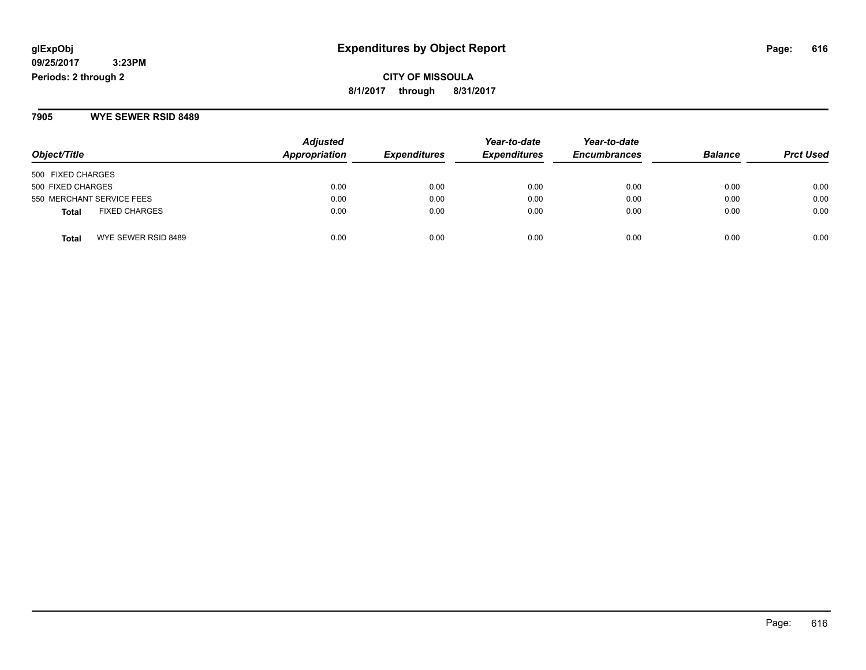#### **09/25/2017 3:23PM Periods: 2 through 2**

**CITY OF MISSOULA 8/1/2017 through 8/31/2017**

**7905 WYE SEWER RSID 8489**

| Object/Title                         | <b>Adjusted</b><br>Appropriation | <b>Expenditures</b> | Year-to-date<br><b>Expenditures</b> | Year-to-date<br><b>Encumbrances</b> | <b>Balance</b> | <b>Prct Used</b> |
|--------------------------------------|----------------------------------|---------------------|-------------------------------------|-------------------------------------|----------------|------------------|
| 500 FIXED CHARGES                    |                                  |                     |                                     |                                     |                |                  |
| 500 FIXED CHARGES                    | 0.00                             | 0.00                | 0.00                                | 0.00                                | 0.00           | 0.00             |
| 550 MERCHANT SERVICE FEES            | 0.00                             | 0.00                | 0.00                                | 0.00                                | 0.00           | 0.00             |
| <b>FIXED CHARGES</b><br><b>Total</b> | 0.00                             | 0.00                | 0.00                                | 0.00                                | 0.00           | 0.00             |
| WYE SEWER RSID 8489<br><b>Total</b>  | 0.00                             | 0.00                | 0.00                                | 0.00                                | 0.00           | 0.00             |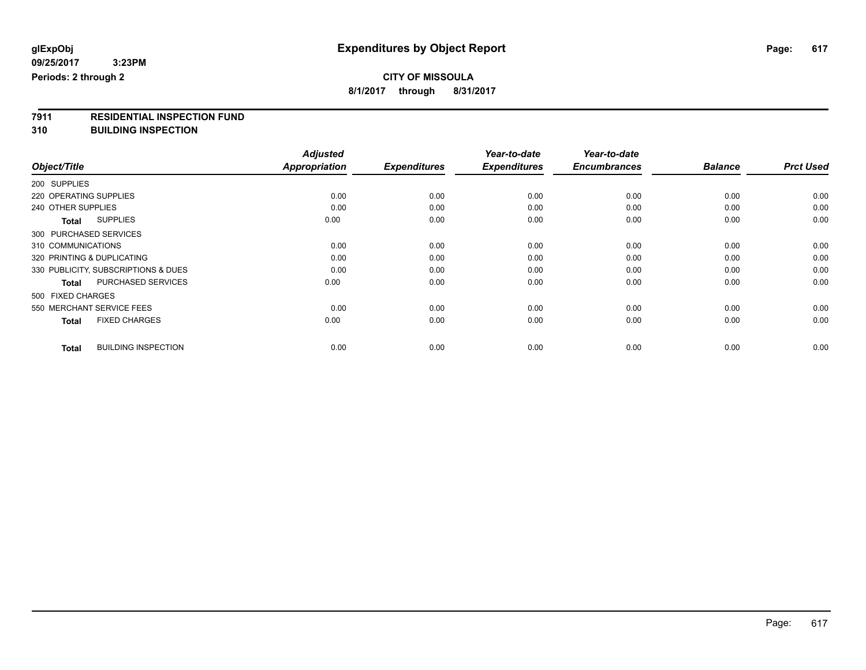## **CITY OF MISSOULA**

**8/1/2017 through 8/31/2017**

# **7911 RESIDENTIAL INSPECTION FUND**

**310 BUILDING INSPECTION**

|                                            | <b>Adjusted</b><br>Appropriation | <b>Expenditures</b> | Year-to-date        | Year-to-date<br><b>Encumbrances</b> | <b>Balance</b> | <b>Prct Used</b> |
|--------------------------------------------|----------------------------------|---------------------|---------------------|-------------------------------------|----------------|------------------|
| Object/Title                               |                                  |                     | <b>Expenditures</b> |                                     |                |                  |
| 200 SUPPLIES                               |                                  |                     |                     |                                     |                |                  |
| 220 OPERATING SUPPLIES                     | 0.00                             | 0.00                | 0.00                | 0.00                                | 0.00           | 0.00             |
| 240 OTHER SUPPLIES                         | 0.00                             | 0.00                | 0.00                | 0.00                                | 0.00           | 0.00             |
| <b>SUPPLIES</b><br>Total                   | 0.00                             | 0.00                | 0.00                | 0.00                                | 0.00           | 0.00             |
| 300 PURCHASED SERVICES                     |                                  |                     |                     |                                     |                |                  |
| 310 COMMUNICATIONS                         | 0.00                             | 0.00                | 0.00                | 0.00                                | 0.00           | 0.00             |
| 320 PRINTING & DUPLICATING                 | 0.00                             | 0.00                | 0.00                | 0.00                                | 0.00           | 0.00             |
| 330 PUBLICITY, SUBSCRIPTIONS & DUES        | 0.00                             | 0.00                | 0.00                | 0.00                                | 0.00           | 0.00             |
| PURCHASED SERVICES<br><b>Total</b>         | 0.00                             | 0.00                | 0.00                | 0.00                                | 0.00           | 0.00             |
| 500 FIXED CHARGES                          |                                  |                     |                     |                                     |                |                  |
| 550 MERCHANT SERVICE FEES                  | 0.00                             | 0.00                | 0.00                | 0.00                                | 0.00           | 0.00             |
| <b>FIXED CHARGES</b><br><b>Total</b>       | 0.00                             | 0.00                | 0.00                | 0.00                                | 0.00           | 0.00             |
| <b>BUILDING INSPECTION</b><br><b>Total</b> | 0.00                             | 0.00                | 0.00                | 0.00                                | 0.00           | 0.00             |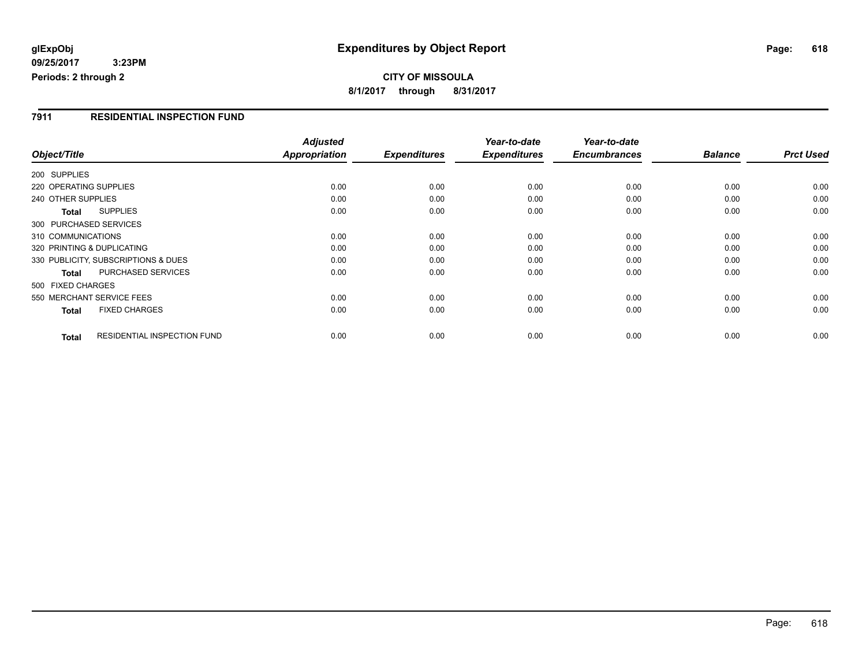**09/25/2017 3:23PM Periods: 2 through 2**

**CITY OF MISSOULA 8/1/2017 through 8/31/2017**

### **7911 RESIDENTIAL INSPECTION FUND**

|                        |                                     | <b>Adjusted</b> |                     | Year-to-date        | Year-to-date        |                |                  |
|------------------------|-------------------------------------|-----------------|---------------------|---------------------|---------------------|----------------|------------------|
| Object/Title           |                                     | Appropriation   | <b>Expenditures</b> | <b>Expenditures</b> | <b>Encumbrances</b> | <b>Balance</b> | <b>Prct Used</b> |
| 200 SUPPLIES           |                                     |                 |                     |                     |                     |                |                  |
| 220 OPERATING SUPPLIES |                                     | 0.00            | 0.00                | 0.00                | 0.00                | 0.00           | 0.00             |
| 240 OTHER SUPPLIES     |                                     | 0.00            | 0.00                | 0.00                | 0.00                | 0.00           | 0.00             |
| <b>Total</b>           | <b>SUPPLIES</b>                     | 0.00            | 0.00                | 0.00                | 0.00                | 0.00           | 0.00             |
| 300 PURCHASED SERVICES |                                     |                 |                     |                     |                     |                |                  |
| 310 COMMUNICATIONS     |                                     | 0.00            | 0.00                | 0.00                | 0.00                | 0.00           | 0.00             |
|                        | 320 PRINTING & DUPLICATING          | 0.00            | 0.00                | 0.00                | 0.00                | 0.00           | 0.00             |
|                        | 330 PUBLICITY, SUBSCRIPTIONS & DUES | 0.00            | 0.00                | 0.00                | 0.00                | 0.00           | 0.00             |
| <b>Total</b>           | PURCHASED SERVICES                  | 0.00            | 0.00                | 0.00                | 0.00                | 0.00           | 0.00             |
| 500 FIXED CHARGES      |                                     |                 |                     |                     |                     |                |                  |
|                        | 550 MERCHANT SERVICE FEES           | 0.00            | 0.00                | 0.00                | 0.00                | 0.00           | 0.00             |
| <b>Total</b>           | <b>FIXED CHARGES</b>                | 0.00            | 0.00                | 0.00                | 0.00                | 0.00           | 0.00             |
| <b>Total</b>           | RESIDENTIAL INSPECTION FUND         | 0.00            | 0.00                | 0.00                | 0.00                | 0.00           | 0.00             |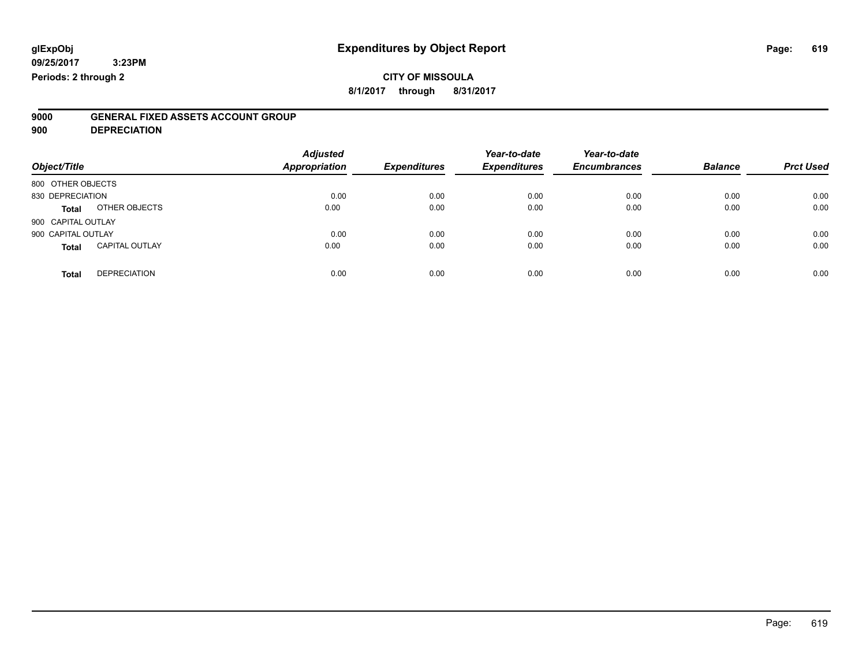## **CITY OF MISSOULA**

**8/1/2017 through 8/31/2017**

# **9000 GENERAL FIXED ASSETS ACCOUNT GROUP**

**900 DEPRECIATION**

| Object/Title                          | <b>Adjusted</b><br><b>Appropriation</b> | <b>Expenditures</b> | Year-to-date<br><b>Expenditures</b> | Year-to-date<br><b>Encumbrances</b> | <b>Balance</b> | <b>Prct Used</b> |
|---------------------------------------|-----------------------------------------|---------------------|-------------------------------------|-------------------------------------|----------------|------------------|
| 800 OTHER OBJECTS                     |                                         |                     |                                     |                                     |                |                  |
| 830 DEPRECIATION                      | 0.00                                    | 0.00                | 0.00                                | 0.00                                | 0.00           | 0.00             |
| OTHER OBJECTS<br><b>Total</b>         | 0.00                                    | 0.00                | 0.00                                | 0.00                                | 0.00           | 0.00             |
| 900 CAPITAL OUTLAY                    |                                         |                     |                                     |                                     |                |                  |
| 900 CAPITAL OUTLAY                    | 0.00                                    | 0.00                | 0.00                                | 0.00                                | 0.00           | 0.00             |
| <b>CAPITAL OUTLAY</b><br><b>Total</b> | 0.00                                    | 0.00                | 0.00                                | 0.00                                | 0.00           | 0.00             |
| <b>DEPRECIATION</b><br><b>Total</b>   | 0.00                                    | 0.00                | 0.00                                | 0.00                                | 0.00           | 0.00             |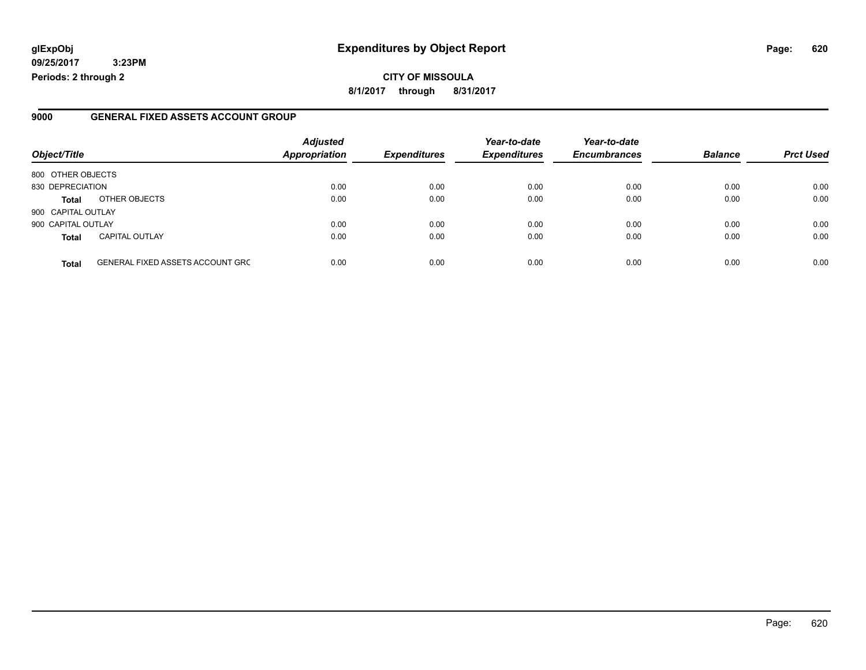### **glExpObj Expenditures by Object Report Page: 620**

**09/25/2017 3:23PM Periods: 2 through 2**

### **9000 GENERAL FIXED ASSETS ACCOUNT GROUP**

| Object/Title       |                                         | <b>Adjusted</b><br>Appropriation | <b>Expenditures</b> | Year-to-date<br><b>Expenditures</b> | Year-to-date<br><b>Encumbrances</b> | <b>Balance</b> | <b>Prct Used</b> |
|--------------------|-----------------------------------------|----------------------------------|---------------------|-------------------------------------|-------------------------------------|----------------|------------------|
| 800 OTHER OBJECTS  |                                         |                                  |                     |                                     |                                     |                |                  |
| 830 DEPRECIATION   |                                         | 0.00                             | 0.00                | 0.00                                | 0.00                                | 0.00           | 0.00             |
| <b>Total</b>       | OTHER OBJECTS                           | 0.00                             | 0.00                | 0.00                                | 0.00                                | 0.00           | 0.00             |
| 900 CAPITAL OUTLAY |                                         |                                  |                     |                                     |                                     |                |                  |
| 900 CAPITAL OUTLAY |                                         | 0.00                             | 0.00                | 0.00                                | 0.00                                | 0.00           | 0.00             |
| <b>Total</b>       | <b>CAPITAL OUTLAY</b>                   | 0.00                             | 0.00                | 0.00                                | 0.00                                | 0.00           | 0.00             |
| <b>Total</b>       | <b>GENERAL FIXED ASSETS ACCOUNT GRC</b> | 0.00                             | 0.00                | 0.00                                | 0.00                                | 0.00           | 0.00             |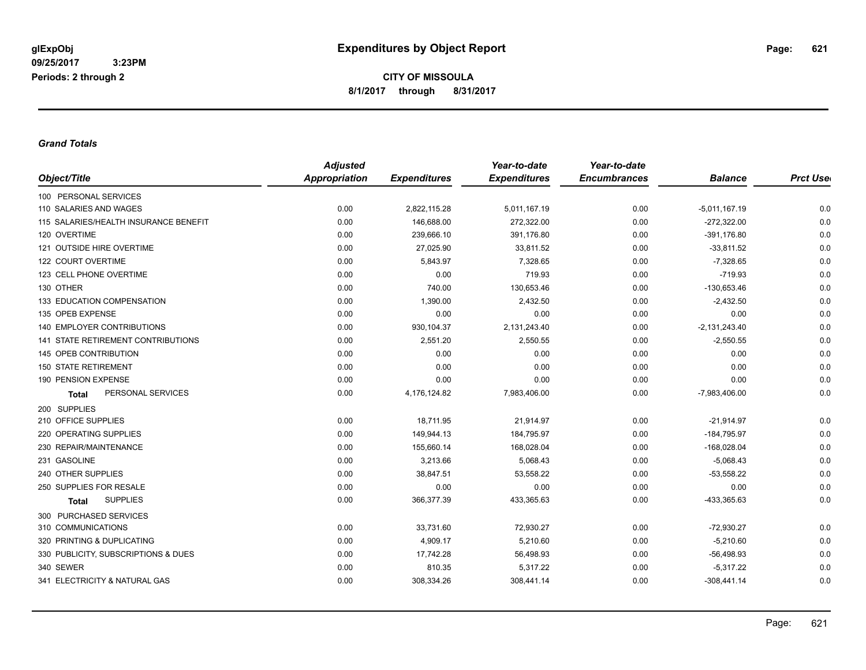#### *Grand Totals*

|                                           | <b>Adjusted</b> |                     | Year-to-date        | Year-to-date        |                 |                  |
|-------------------------------------------|-----------------|---------------------|---------------------|---------------------|-----------------|------------------|
| Object/Title                              | Appropriation   | <b>Expenditures</b> | <b>Expenditures</b> | <b>Encumbrances</b> | <b>Balance</b>  | <b>Prct Uset</b> |
| 100 PERSONAL SERVICES                     |                 |                     |                     |                     |                 |                  |
| 110 SALARIES AND WAGES                    | 0.00            | 2,822,115.28        | 5,011,167.19        | 0.00                | $-5,011,167.19$ | 0.0              |
| 115 SALARIES/HEALTH INSURANCE BENEFIT     | 0.00            | 146,688.00          | 272,322.00          | 0.00                | $-272,322.00$   | 0.0              |
| 120 OVERTIME                              | 0.00            | 239,666.10          | 391,176.80          | 0.00                | $-391,176.80$   | 0.0              |
| 121 OUTSIDE HIRE OVERTIME                 | 0.00            | 27,025.90           | 33,811.52           | 0.00                | $-33,811.52$    | 0.0              |
| 122 COURT OVERTIME                        | 0.00            | 5,843.97            | 7,328.65            | 0.00                | $-7,328.65$     | 0.0              |
| 123 CELL PHONE OVERTIME                   | 0.00            | 0.00                | 719.93              | 0.00                | $-719.93$       | 0.0              |
| 130 OTHER                                 | 0.00            | 740.00              | 130,653.46          | 0.00                | $-130,653.46$   | 0.0              |
| 133 EDUCATION COMPENSATION                | 0.00            | 1,390.00            | 2,432.50            | 0.00                | $-2,432.50$     | 0.0              |
| 135 OPEB EXPENSE                          | 0.00            | 0.00                | 0.00                | 0.00                | 0.00            | 0.0              |
| <b>140 EMPLOYER CONTRIBUTIONS</b>         | 0.00            | 930,104.37          | 2,131,243.40        | 0.00                | $-2,131,243.40$ | 0.0              |
| <b>141 STATE RETIREMENT CONTRIBUTIONS</b> | 0.00            | 2,551.20            | 2,550.55            | 0.00                | $-2,550.55$     | 0.0              |
| 145 OPEB CONTRIBUTION                     | 0.00            | 0.00                | 0.00                | 0.00                | 0.00            | 0.0              |
| <b>150 STATE RETIREMENT</b>               | 0.00            | 0.00                | 0.00                | 0.00                | 0.00            | 0.0              |
| 190 PENSION EXPENSE                       | 0.00            | 0.00                | 0.00                | 0.00                | 0.00            | 0.0              |
| PERSONAL SERVICES<br><b>Total</b>         | 0.00            | 4,176,124.82        | 7,983,406.00        | 0.00                | $-7,983,406.00$ | 0.0              |
| 200 SUPPLIES                              |                 |                     |                     |                     |                 |                  |
| 210 OFFICE SUPPLIES                       | 0.00            | 18,711.95           | 21,914.97           | 0.00                | $-21,914.97$    | 0.0              |
| 220 OPERATING SUPPLIES                    | 0.00            | 149,944.13          | 184,795.97          | 0.00                | $-184,795.97$   | 0.0              |
| 230 REPAIR/MAINTENANCE                    | 0.00            | 155,660.14          | 168,028.04          | 0.00                | $-168,028.04$   | 0.0              |
| 231 GASOLINE                              | 0.00            | 3,213.66            | 5,068.43            | 0.00                | $-5,068.43$     | 0.0              |
| 240 OTHER SUPPLIES                        | 0.00            | 38,847.51           | 53,558.22           | 0.00                | $-53,558.22$    | 0.0              |
| 250 SUPPLIES FOR RESALE                   | 0.00            | 0.00                | 0.00                | 0.00                | 0.00            | 0.0              |
| <b>SUPPLIES</b><br><b>Total</b>           | 0.00            | 366,377.39          | 433,365.63          | 0.00                | -433,365.63     | 0.0              |
| 300 PURCHASED SERVICES                    |                 |                     |                     |                     |                 |                  |
| 310 COMMUNICATIONS                        | 0.00            | 33,731.60           | 72,930.27           | 0.00                | $-72,930.27$    | 0.0              |
| 320 PRINTING & DUPLICATING                | 0.00            | 4,909.17            | 5,210.60            | 0.00                | $-5,210.60$     | 0.0              |
| 330 PUBLICITY, SUBSCRIPTIONS & DUES       | 0.00            | 17,742.28           | 56,498.93           | 0.00                | $-56,498.93$    | 0.0              |
| 340 SEWER                                 | 0.00            | 810.35              | 5,317.22            | 0.00                | $-5,317.22$     | 0.0              |
| 341 ELECTRICITY & NATURAL GAS             | 0.00            | 308,334.26          | 308,441.14          | 0.00                | $-308,441.14$   | 0.0              |
|                                           |                 |                     |                     |                     |                 |                  |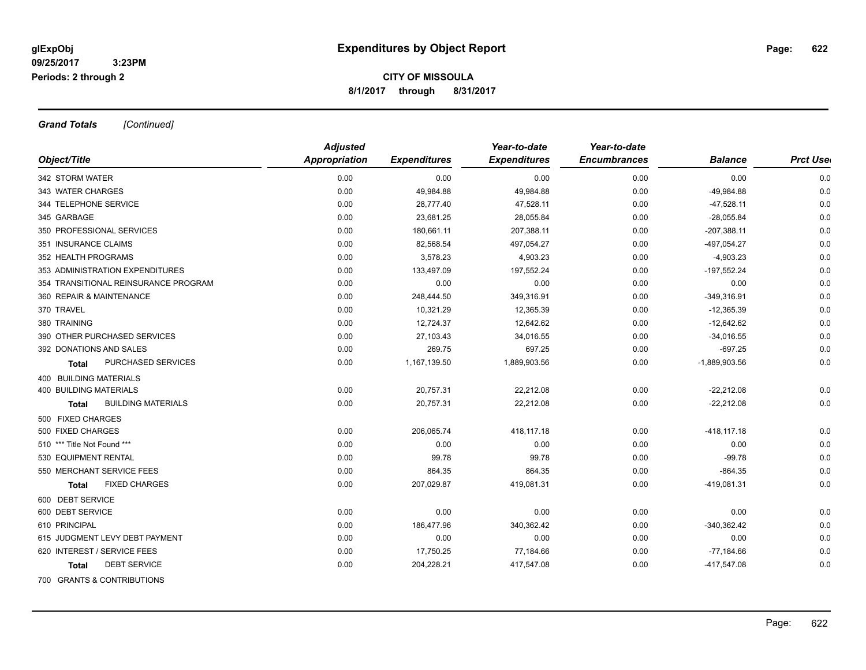*Grand Totals [Continued]*

|                                      | <b>Adjusted</b>      |                     | Year-to-date        | Year-to-date        |                 |                  |
|--------------------------------------|----------------------|---------------------|---------------------|---------------------|-----------------|------------------|
| Object/Title                         | <b>Appropriation</b> | <b>Expenditures</b> | <b>Expenditures</b> | <b>Encumbrances</b> | <b>Balance</b>  | <b>Prct User</b> |
| 342 STORM WATER                      | 0.00                 | 0.00                | 0.00                | 0.00                | 0.00            | 0.0              |
| 343 WATER CHARGES                    | 0.00                 | 49,984.88           | 49,984.88           | 0.00                | -49,984.88      | 0.0              |
| 344 TELEPHONE SERVICE                | 0.00                 | 28,777.40           | 47,528.11           | 0.00                | $-47,528.11$    | 0.0              |
| 345 GARBAGE                          | 0.00                 | 23,681.25           | 28,055.84           | 0.00                | $-28,055.84$    | 0.0              |
| 350 PROFESSIONAL SERVICES            | 0.00                 | 180,661.11          | 207,388.11          | 0.00                | $-207,388.11$   | 0.0              |
| 351 INSURANCE CLAIMS                 | 0.00                 | 82,568.54           | 497,054.27          | 0.00                | -497,054.27     | 0.0              |
| 352 HEALTH PROGRAMS                  | 0.00                 | 3,578.23            | 4,903.23            | 0.00                | $-4,903.23$     | 0.0              |
| 353 ADMINISTRATION EXPENDITURES      | 0.00                 | 133,497.09          | 197,552.24          | 0.00                | $-197,552.24$   | 0.0              |
| 354 TRANSITIONAL REINSURANCE PROGRAM | 0.00                 | 0.00                | 0.00                | 0.00                | 0.00            | 0.0              |
| 360 REPAIR & MAINTENANCE             | 0.00                 | 248,444.50          | 349,316.91          | 0.00                | $-349,316.91$   | 0.0              |
| 370 TRAVEL                           | 0.00                 | 10,321.29           | 12,365.39           | 0.00                | $-12,365.39$    | 0.0              |
| 380 TRAINING                         | 0.00                 | 12,724.37           | 12,642.62           | 0.00                | $-12,642.62$    | 0.0              |
| 390 OTHER PURCHASED SERVICES         | 0.00                 | 27,103.43           | 34,016.55           | 0.00                | $-34,016.55$    | 0.0              |
| 392 DONATIONS AND SALES              | 0.00                 | 269.75              | 697.25              | 0.00                | $-697.25$       | 0.0              |
| PURCHASED SERVICES<br><b>Total</b>   | 0.00                 | 1,167,139.50        | 1,889,903.56        | 0.00                | $-1,889,903.56$ | 0.0              |
| 400 BUILDING MATERIALS               |                      |                     |                     |                     |                 |                  |
| <b>400 BUILDING MATERIALS</b>        | 0.00                 | 20,757.31           | 22,212.08           | 0.00                | $-22,212.08$    | 0.0              |
| <b>BUILDING MATERIALS</b><br>Total   | 0.00                 | 20,757.31           | 22,212.08           | 0.00                | $-22,212.08$    | 0.0              |
| 500 FIXED CHARGES                    |                      |                     |                     |                     |                 |                  |
| 500 FIXED CHARGES                    | 0.00                 | 206,065.74          | 418,117.18          | 0.00                | $-418, 117.18$  | 0.0              |
| 510 *** Title Not Found ***          | 0.00                 | 0.00                | 0.00                | 0.00                | 0.00            | 0.0              |
| 530 EQUIPMENT RENTAL                 | 0.00                 | 99.78               | 99.78               | 0.00                | $-99.78$        | 0.0              |
| 550 MERCHANT SERVICE FEES            | 0.00                 | 864.35              | 864.35              | 0.00                | $-864.35$       | 0.0              |
| <b>FIXED CHARGES</b><br>Total        | 0.00                 | 207,029.87          | 419,081.31          | 0.00                | -419,081.31     | 0.0              |
| 600 DEBT SERVICE                     |                      |                     |                     |                     |                 |                  |
| 600 DEBT SERVICE                     | 0.00                 | 0.00                | 0.00                | 0.00                | 0.00            | 0.0              |
| 610 PRINCIPAL                        | 0.00                 | 186,477.96          | 340,362.42          | 0.00                | $-340,362.42$   | 0.0              |
| 615 JUDGMENT LEVY DEBT PAYMENT       | 0.00                 | 0.00                | 0.00                | 0.00                | 0.00            | 0.0              |
| 620 INTEREST / SERVICE FEES          | 0.00                 | 17,750.25           | 77,184.66           | 0.00                | $-77,184.66$    | 0.0              |
| <b>DEBT SERVICE</b><br><b>Total</b>  | 0.00                 | 204,228.21          | 417,547.08          | 0.00                | $-417,547.08$   | 0.0              |
| 700 GRANTS & CONTRIBUTIONS           |                      |                     |                     |                     |                 |                  |